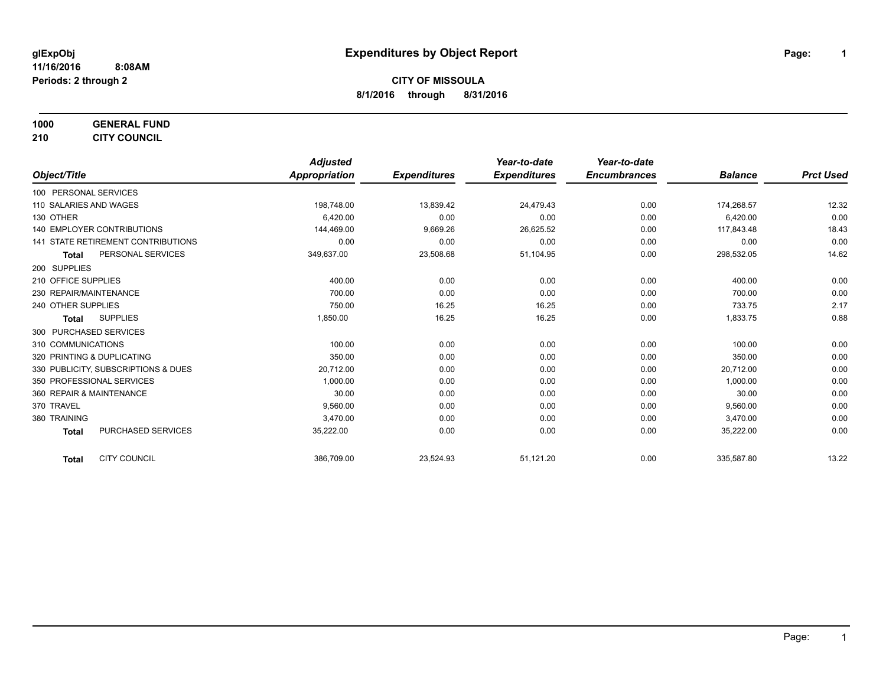**1000 GENERAL FUND**

**210 CITY COUNCIL**

|                                           | <b>Adjusted</b>      |                     | Year-to-date        | Year-to-date        |                |                  |
|-------------------------------------------|----------------------|---------------------|---------------------|---------------------|----------------|------------------|
| Object/Title                              | <b>Appropriation</b> | <b>Expenditures</b> | <b>Expenditures</b> | <b>Encumbrances</b> | <b>Balance</b> | <b>Prct Used</b> |
| 100 PERSONAL SERVICES                     |                      |                     |                     |                     |                |                  |
| 110 SALARIES AND WAGES                    | 198,748.00           | 13,839.42           | 24,479.43           | 0.00                | 174,268.57     | 12.32            |
| 130 OTHER                                 | 6,420.00             | 0.00                | 0.00                | 0.00                | 6,420.00       | 0.00             |
| 140 EMPLOYER CONTRIBUTIONS                | 144,469.00           | 9,669.26            | 26,625.52           | 0.00                | 117,843.48     | 18.43            |
| <b>141 STATE RETIREMENT CONTRIBUTIONS</b> | 0.00                 | 0.00                | 0.00                | 0.00                | 0.00           | 0.00             |
| PERSONAL SERVICES<br><b>Total</b>         | 349,637.00           | 23,508.68           | 51,104.95           | 0.00                | 298,532.05     | 14.62            |
| 200 SUPPLIES                              |                      |                     |                     |                     |                |                  |
| 210 OFFICE SUPPLIES                       | 400.00               | 0.00                | 0.00                | 0.00                | 400.00         | 0.00             |
| 230 REPAIR/MAINTENANCE                    | 700.00               | 0.00                | 0.00                | 0.00                | 700.00         | 0.00             |
| 240 OTHER SUPPLIES                        | 750.00               | 16.25               | 16.25               | 0.00                | 733.75         | 2.17             |
| <b>SUPPLIES</b><br>Total                  | 1,850.00             | 16.25               | 16.25               | 0.00                | 1,833.75       | 0.88             |
| 300 PURCHASED SERVICES                    |                      |                     |                     |                     |                |                  |
| 310 COMMUNICATIONS                        | 100.00               | 0.00                | 0.00                | 0.00                | 100.00         | 0.00             |
| 320 PRINTING & DUPLICATING                | 350.00               | 0.00                | 0.00                | 0.00                | 350.00         | 0.00             |
| 330 PUBLICITY, SUBSCRIPTIONS & DUES       | 20,712.00            | 0.00                | 0.00                | 0.00                | 20,712.00      | 0.00             |
| 350 PROFESSIONAL SERVICES                 | 1,000.00             | 0.00                | 0.00                | 0.00                | 1,000.00       | 0.00             |
| 360 REPAIR & MAINTENANCE                  | 30.00                | 0.00                | 0.00                | 0.00                | 30.00          | 0.00             |
| 370 TRAVEL                                | 9.560.00             | 0.00                | 0.00                | 0.00                | 9,560.00       | 0.00             |
| 380 TRAINING                              | 3,470.00             | 0.00                | 0.00                | 0.00                | 3,470.00       | 0.00             |
| <b>PURCHASED SERVICES</b><br><b>Total</b> | 35,222.00            | 0.00                | 0.00                | 0.00                | 35,222.00      | 0.00             |
| <b>CITY COUNCIL</b><br><b>Total</b>       | 386,709.00           | 23,524.93           | 51,121.20           | 0.00                | 335,587.80     | 13.22            |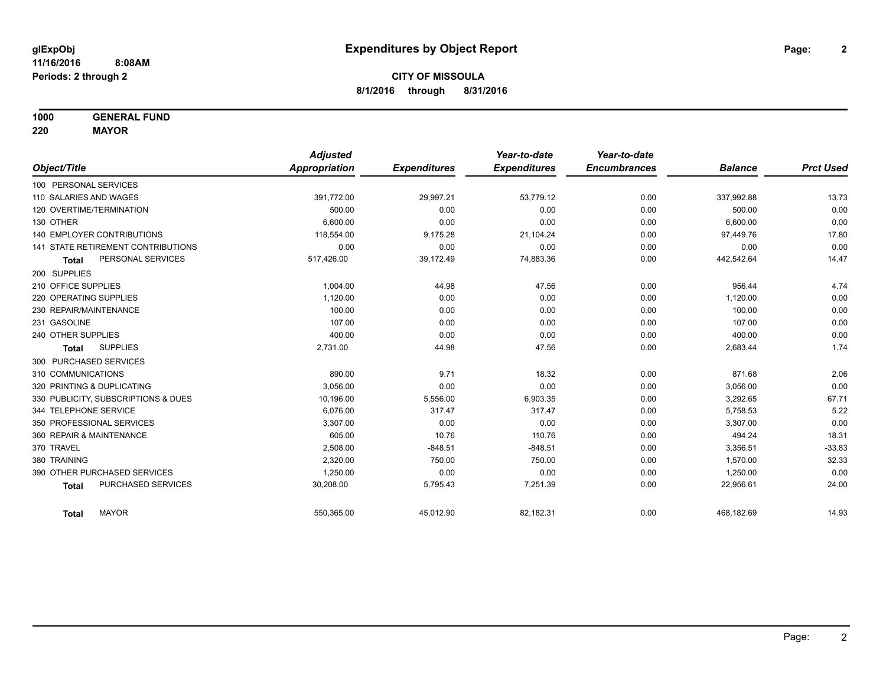**1000 GENERAL FUND**

**220 MAYOR**

|                                     | <b>Adjusted</b>      |                     | Year-to-date        | Year-to-date        |                |                  |
|-------------------------------------|----------------------|---------------------|---------------------|---------------------|----------------|------------------|
| Object/Title                        | <b>Appropriation</b> | <b>Expenditures</b> | <b>Expenditures</b> | <b>Encumbrances</b> | <b>Balance</b> | <b>Prct Used</b> |
| 100 PERSONAL SERVICES               |                      |                     |                     |                     |                |                  |
| 110 SALARIES AND WAGES              | 391,772.00           | 29,997.21           | 53,779.12           | 0.00                | 337,992.88     | 13.73            |
| 120 OVERTIME/TERMINATION            | 500.00               | 0.00                | 0.00                | 0.00                | 500.00         | 0.00             |
| 130 OTHER                           | 6.600.00             | 0.00                | 0.00                | 0.00                | 6,600.00       | 0.00             |
| <b>140 EMPLOYER CONTRIBUTIONS</b>   | 118,554.00           | 9,175.28            | 21,104.24           | 0.00                | 97,449.76      | 17.80            |
| 141 STATE RETIREMENT CONTRIBUTIONS  | 0.00                 | 0.00                | 0.00                | 0.00                | 0.00           | 0.00             |
| PERSONAL SERVICES<br><b>Total</b>   | 517,426.00           | 39,172.49           | 74,883.36           | 0.00                | 442,542.64     | 14.47            |
| 200 SUPPLIES                        |                      |                     |                     |                     |                |                  |
| 210 OFFICE SUPPLIES                 | 1.004.00             | 44.98               | 47.56               | 0.00                | 956.44         | 4.74             |
| 220 OPERATING SUPPLIES              | 1,120.00             | 0.00                | 0.00                | 0.00                | 1,120.00       | 0.00             |
| 230 REPAIR/MAINTENANCE              | 100.00               | 0.00                | 0.00                | 0.00                | 100.00         | 0.00             |
| 231 GASOLINE                        | 107.00               | 0.00                | 0.00                | 0.00                | 107.00         | 0.00             |
| 240 OTHER SUPPLIES                  | 400.00               | 0.00                | 0.00                | 0.00                | 400.00         | 0.00             |
| <b>SUPPLIES</b><br><b>Total</b>     | 2,731.00             | 44.98               | 47.56               | 0.00                | 2,683.44       | 1.74             |
| 300 PURCHASED SERVICES              |                      |                     |                     |                     |                |                  |
| 310 COMMUNICATIONS                  | 890.00               | 9.71                | 18.32               | 0.00                | 871.68         | 2.06             |
| 320 PRINTING & DUPLICATING          | 3,056.00             | 0.00                | 0.00                | 0.00                | 3,056.00       | 0.00             |
| 330 PUBLICITY, SUBSCRIPTIONS & DUES | 10,196.00            | 5,556.00            | 6,903.35            | 0.00                | 3,292.65       | 67.71            |
| 344 TELEPHONE SERVICE               | 6.076.00             | 317.47              | 317.47              | 0.00                | 5,758.53       | 5.22             |
| 350 PROFESSIONAL SERVICES           | 3,307.00             | 0.00                | 0.00                | 0.00                | 3,307.00       | 0.00             |
| 360 REPAIR & MAINTENANCE            | 605.00               | 10.76               | 110.76              | 0.00                | 494.24         | 18.31            |
| 370 TRAVEL                          | 2,508.00             | $-848.51$           | $-848.51$           | 0.00                | 3,356.51       | $-33.83$         |
| 380 TRAINING                        | 2,320.00             | 750.00              | 750.00              | 0.00                | 1,570.00       | 32.33            |
| 390 OTHER PURCHASED SERVICES        | 1,250.00             | 0.00                | 0.00                | 0.00                | 1,250.00       | 0.00             |
| PURCHASED SERVICES<br><b>Total</b>  | 30,208.00            | 5,795.43            | 7,251.39            | 0.00                | 22,956.61      | 24.00            |
| <b>MAYOR</b><br>Total               | 550,365.00           | 45,012.90           | 82,182.31           | 0.00                | 468,182.69     | 14.93            |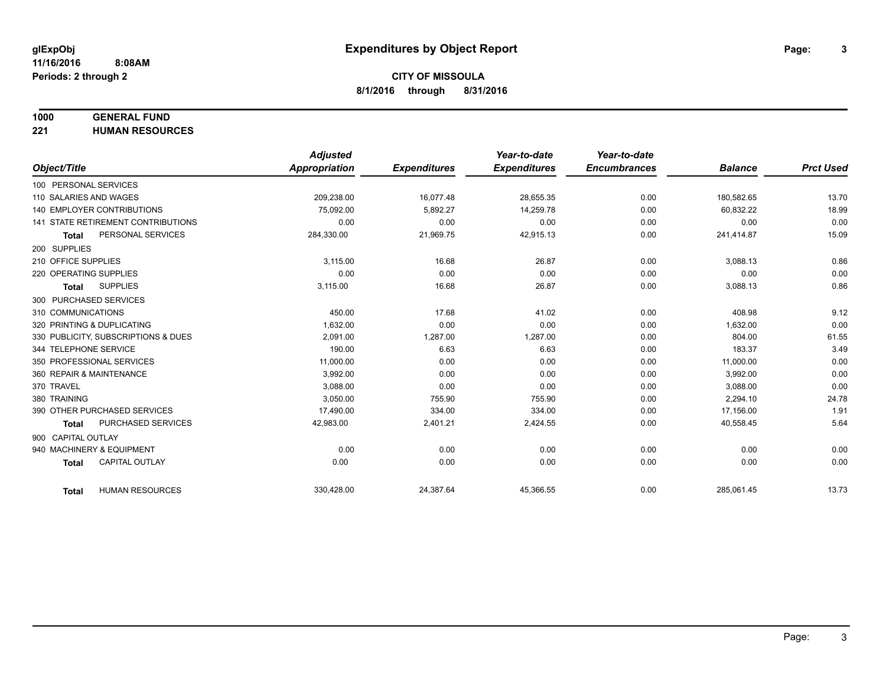# **1000 GENERAL FUND**

**221 HUMAN RESOURCES**

|                                           | <b>Adjusted</b> |                     | Year-to-date        | Year-to-date        |                |                  |
|-------------------------------------------|-----------------|---------------------|---------------------|---------------------|----------------|------------------|
| Object/Title                              | Appropriation   | <b>Expenditures</b> | <b>Expenditures</b> | <b>Encumbrances</b> | <b>Balance</b> | <b>Prct Used</b> |
| 100 PERSONAL SERVICES                     |                 |                     |                     |                     |                |                  |
| 110 SALARIES AND WAGES                    | 209,238.00      | 16,077.48           | 28,655.35           | 0.00                | 180,582.65     | 13.70            |
| <b>140 EMPLOYER CONTRIBUTIONS</b>         | 75.092.00       | 5.892.27            | 14,259.78           | 0.00                | 60,832.22      | 18.99            |
| <b>141 STATE RETIREMENT CONTRIBUTIONS</b> | 0.00            | 0.00                | 0.00                | 0.00                | 0.00           | 0.00             |
| PERSONAL SERVICES<br><b>Total</b>         | 284,330.00      | 21,969.75           | 42,915.13           | 0.00                | 241,414.87     | 15.09            |
| 200 SUPPLIES                              |                 |                     |                     |                     |                |                  |
| 210 OFFICE SUPPLIES                       | 3.115.00        | 16.68               | 26.87               | 0.00                | 3,088.13       | 0.86             |
| 220 OPERATING SUPPLIES                    | 0.00            | 0.00                | 0.00                | 0.00                | 0.00           | 0.00             |
| <b>SUPPLIES</b><br>Total                  | 3,115.00        | 16.68               | 26.87               | 0.00                | 3,088.13       | 0.86             |
| 300 PURCHASED SERVICES                    |                 |                     |                     |                     |                |                  |
| 310 COMMUNICATIONS                        | 450.00          | 17.68               | 41.02               | 0.00                | 408.98         | 9.12             |
| 320 PRINTING & DUPLICATING                | 1,632.00        | 0.00                | 0.00                | 0.00                | 1,632.00       | 0.00             |
| 330 PUBLICITY, SUBSCRIPTIONS & DUES       | 2.091.00        | 1,287.00            | 1,287.00            | 0.00                | 804.00         | 61.55            |
| 344 TELEPHONE SERVICE                     | 190.00          | 6.63                | 6.63                | 0.00                | 183.37         | 3.49             |
| 350 PROFESSIONAL SERVICES                 | 11,000.00       | 0.00                | 0.00                | 0.00                | 11,000.00      | 0.00             |
| 360 REPAIR & MAINTENANCE                  | 3.992.00        | 0.00                | 0.00                | 0.00                | 3,992.00       | 0.00             |
| 370 TRAVEL                                | 3,088.00        | 0.00                | 0.00                | 0.00                | 3,088.00       | 0.00             |
| 380 TRAINING                              | 3,050.00        | 755.90              | 755.90              | 0.00                | 2,294.10       | 24.78            |
| 390 OTHER PURCHASED SERVICES              | 17,490.00       | 334.00              | 334.00              | 0.00                | 17,156.00      | 1.91             |
| PURCHASED SERVICES<br><b>Total</b>        | 42,983.00       | 2,401.21            | 2,424.55            | 0.00                | 40,558.45      | 5.64             |
| 900 CAPITAL OUTLAY                        |                 |                     |                     |                     |                |                  |
| 940 MACHINERY & EQUIPMENT                 | 0.00            | 0.00                | 0.00                | 0.00                | 0.00           | 0.00             |
| <b>CAPITAL OUTLAY</b><br><b>Total</b>     | 0.00            | 0.00                | 0.00                | 0.00                | 0.00           | 0.00             |
|                                           |                 |                     |                     |                     |                |                  |
| <b>HUMAN RESOURCES</b><br><b>Total</b>    | 330,428.00      | 24,387.64           | 45,366.55           | 0.00                | 285,061.45     | 13.73            |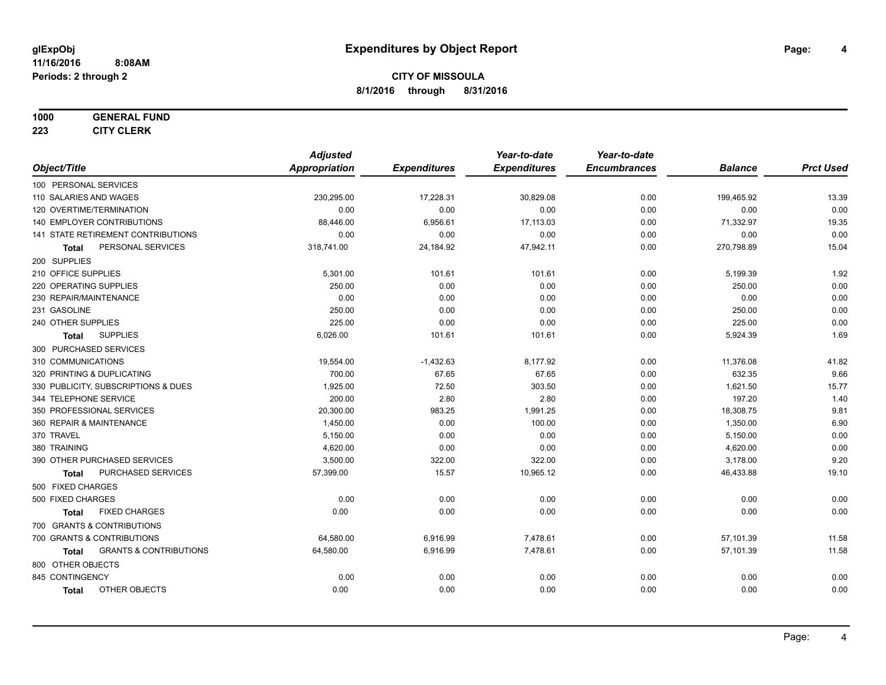#### **1000 GENERAL FUND**

**223 CITY CLERK**

|                                            | <b>Adjusted</b>      |                     | Year-to-date        | Year-to-date        |                |                  |
|--------------------------------------------|----------------------|---------------------|---------------------|---------------------|----------------|------------------|
| Object/Title                               | <b>Appropriation</b> | <b>Expenditures</b> | <b>Expenditures</b> | <b>Encumbrances</b> | <b>Balance</b> | <b>Prct Used</b> |
| 100 PERSONAL SERVICES                      |                      |                     |                     |                     |                |                  |
| 110 SALARIES AND WAGES                     | 230,295.00           | 17,228.31           | 30,829.08           | 0.00                | 199,465.92     | 13.39            |
| 120 OVERTIME/TERMINATION                   | 0.00                 | 0.00                | 0.00                | 0.00                | 0.00           | 0.00             |
| 140 EMPLOYER CONTRIBUTIONS                 | 88,446.00            | 6,956.61            | 17,113.03           | 0.00                | 71,332.97      | 19.35            |
| 141 STATE RETIREMENT CONTRIBUTIONS         | 0.00                 | 0.00                | 0.00                | 0.00                | 0.00           | 0.00             |
| PERSONAL SERVICES<br><b>Total</b>          | 318,741.00           | 24,184.92           | 47,942.11           | 0.00                | 270,798.89     | 15.04            |
| 200 SUPPLIES                               |                      |                     |                     |                     |                |                  |
| 210 OFFICE SUPPLIES                        | 5,301.00             | 101.61              | 101.61              | 0.00                | 5,199.39       | 1.92             |
| 220 OPERATING SUPPLIES                     | 250.00               | 0.00                | 0.00                | 0.00                | 250.00         | 0.00             |
| 230 REPAIR/MAINTENANCE                     | 0.00                 | 0.00                | 0.00                | 0.00                | 0.00           | 0.00             |
| 231 GASOLINE                               | 250.00               | 0.00                | 0.00                | 0.00                | 250.00         | 0.00             |
| 240 OTHER SUPPLIES                         | 225.00               | 0.00                | 0.00                | 0.00                | 225.00         | 0.00             |
| <b>SUPPLIES</b><br>Total                   | 6,026.00             | 101.61              | 101.61              | 0.00                | 5,924.39       | 1.69             |
| 300 PURCHASED SERVICES                     |                      |                     |                     |                     |                |                  |
| 310 COMMUNICATIONS                         | 19,554.00            | $-1,432.63$         | 8,177.92            | 0.00                | 11,376.08      | 41.82            |
| 320 PRINTING & DUPLICATING                 | 700.00               | 67.65               | 67.65               | 0.00                | 632.35         | 9.66             |
| 330 PUBLICITY, SUBSCRIPTIONS & DUES        | 1,925.00             | 72.50               | 303.50              | 0.00                | 1,621.50       | 15.77            |
| 344 TELEPHONE SERVICE                      | 200.00               | 2.80                | 2.80                | 0.00                | 197.20         | 1.40             |
| 350 PROFESSIONAL SERVICES                  | 20,300.00            | 983.25              | 1,991.25            | 0.00                | 18,308.75      | 9.81             |
| 360 REPAIR & MAINTENANCE                   | 1,450.00             | 0.00                | 100.00              | 0.00                | 1,350.00       | 6.90             |
| 370 TRAVEL                                 | 5,150.00             | 0.00                | 0.00                | 0.00                | 5,150.00       | 0.00             |
| 380 TRAINING                               | 4,620.00             | 0.00                | 0.00                | 0.00                | 4,620.00       | 0.00             |
| 390 OTHER PURCHASED SERVICES               | 3,500.00             | 322.00              | 322.00              | 0.00                | 3,178.00       | 9.20             |
| PURCHASED SERVICES<br><b>Total</b>         | 57,399.00            | 15.57               | 10,965.12           | 0.00                | 46,433.88      | 19.10            |
| 500 FIXED CHARGES                          |                      |                     |                     |                     |                |                  |
| 500 FIXED CHARGES                          | 0.00                 | 0.00                | 0.00                | 0.00                | 0.00           | 0.00             |
| <b>FIXED CHARGES</b><br><b>Total</b>       | 0.00                 | 0.00                | 0.00                | 0.00                | 0.00           | 0.00             |
| 700 GRANTS & CONTRIBUTIONS                 |                      |                     |                     |                     |                |                  |
| 700 GRANTS & CONTRIBUTIONS                 | 64,580.00            | 6,916.99            | 7,478.61            | 0.00                | 57,101.39      | 11.58            |
| <b>GRANTS &amp; CONTRIBUTIONS</b><br>Total | 64,580.00            | 6,916.99            | 7,478.61            | 0.00                | 57,101.39      | 11.58            |
| 800 OTHER OBJECTS                          |                      |                     |                     |                     |                |                  |
| 845 CONTINGENCY                            | 0.00                 | 0.00                | 0.00                | 0.00                | 0.00           | 0.00             |
| OTHER OBJECTS<br><b>Total</b>              | 0.00                 | 0.00                | 0.00                | 0.00                | 0.00           | 0.00             |
|                                            |                      |                     |                     |                     |                |                  |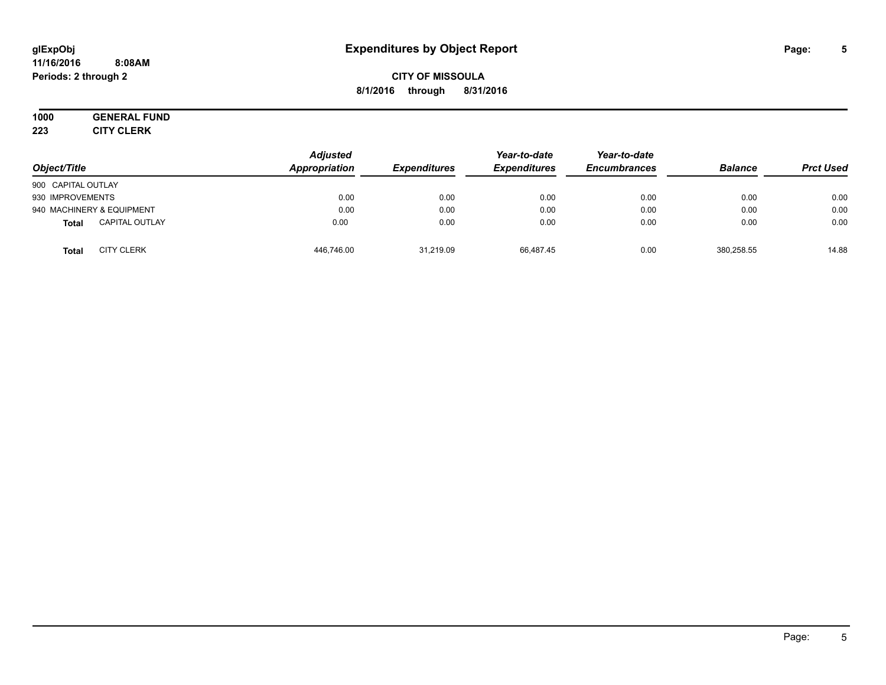#### **11/16/2016 8:08AM Periods: 2 through 2**

# **CITY OF MISSOULA 8/1/2016 through 8/31/2016**

# **1000 GENERAL FUND**

**223 CITY CLERK**

| Object/Title                          | <b>Adjusted</b><br>Appropriation | <b>Expenditures</b> | Year-to-date<br><b>Expenditures</b> | Year-to-date<br><b>Encumbrances</b> | <b>Balance</b> | <b>Prct Used</b> |
|---------------------------------------|----------------------------------|---------------------|-------------------------------------|-------------------------------------|----------------|------------------|
| 900 CAPITAL OUTLAY                    |                                  |                     |                                     |                                     |                |                  |
| 930 IMPROVEMENTS                      | 0.00                             | 0.00                | 0.00                                | 0.00                                | 0.00           | 0.00             |
| 940 MACHINERY & EQUIPMENT             | 0.00                             | 0.00                | 0.00                                | 0.00                                | 0.00           | 0.00             |
| <b>CAPITAL OUTLAY</b><br><b>Total</b> | 0.00                             | 0.00                | 0.00                                | 0.00                                | 0.00           | 0.00             |
| <b>CITY CLERK</b><br><b>Total</b>     | 446,746.00                       | 31,219.09           | 66.487.45                           | 0.00                                | 380,258.55     | 14.88            |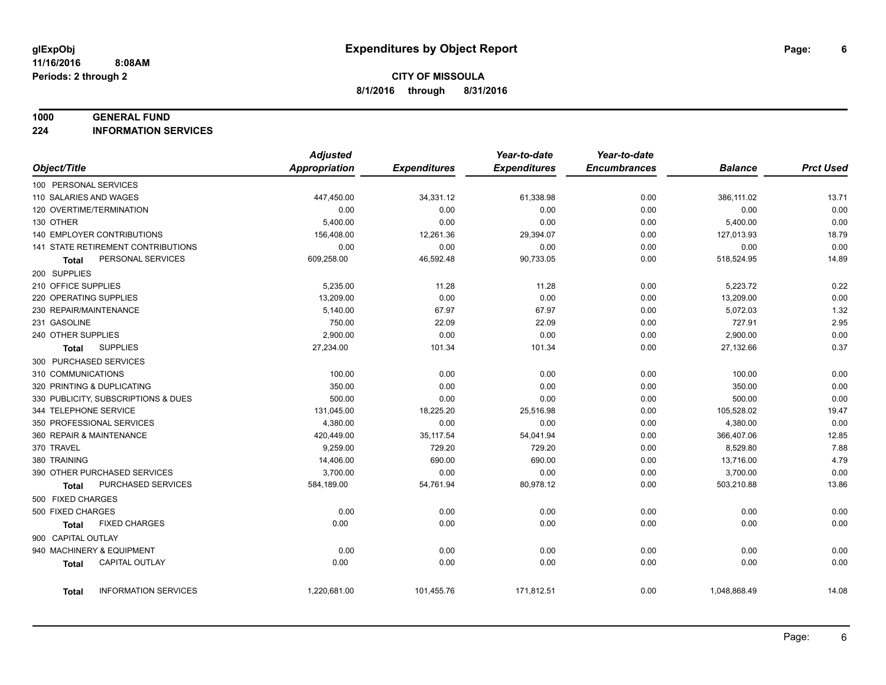#### **1000 GENERAL FUND**

**224 INFORMATION SERVICES**

|                                       | <b>Adjusted</b>      |                     | Year-to-date        | Year-to-date        |                |                  |
|---------------------------------------|----------------------|---------------------|---------------------|---------------------|----------------|------------------|
| Object/Title                          | <b>Appropriation</b> | <b>Expenditures</b> | <b>Expenditures</b> | <b>Encumbrances</b> | <b>Balance</b> | <b>Prct Used</b> |
| 100 PERSONAL SERVICES                 |                      |                     |                     |                     |                |                  |
| 110 SALARIES AND WAGES                | 447,450.00           | 34,331.12           | 61,338.98           | 0.00                | 386,111.02     | 13.71            |
| 120 OVERTIME/TERMINATION              | 0.00                 | 0.00                | 0.00                | 0.00                | 0.00           | 0.00             |
| 130 OTHER                             | 5,400.00             | 0.00                | 0.00                | 0.00                | 5,400.00       | 0.00             |
| <b>140 EMPLOYER CONTRIBUTIONS</b>     | 156,408.00           | 12,261.36           | 29,394.07           | 0.00                | 127,013.93     | 18.79            |
| 141 STATE RETIREMENT CONTRIBUTIONS    | 0.00                 | 0.00                | 0.00                | 0.00                | 0.00           | 0.00             |
| PERSONAL SERVICES<br>Total            | 609,258.00           | 46,592.48           | 90,733.05           | 0.00                | 518,524.95     | 14.89            |
| 200 SUPPLIES                          |                      |                     |                     |                     |                |                  |
| 210 OFFICE SUPPLIES                   | 5,235.00             | 11.28               | 11.28               | 0.00                | 5,223.72       | 0.22             |
| 220 OPERATING SUPPLIES                | 13,209.00            | 0.00                | 0.00                | 0.00                | 13,209.00      | 0.00             |
| 230 REPAIR/MAINTENANCE                | 5,140.00             | 67.97               | 67.97               | 0.00                | 5,072.03       | 1.32             |
| 231 GASOLINE                          | 750.00               | 22.09               | 22.09               | 0.00                | 727.91         | 2.95             |
| 240 OTHER SUPPLIES                    | 2,900.00             | 0.00                | 0.00                | 0.00                | 2,900.00       | 0.00             |
| <b>SUPPLIES</b><br>Total              | 27,234.00            | 101.34              | 101.34              | 0.00                | 27,132.66      | 0.37             |
| 300 PURCHASED SERVICES                |                      |                     |                     |                     |                |                  |
| 310 COMMUNICATIONS                    | 100.00               | 0.00                | 0.00                | 0.00                | 100.00         | 0.00             |
| 320 PRINTING & DUPLICATING            | 350.00               | 0.00                | 0.00                | 0.00                | 350.00         | 0.00             |
| 330 PUBLICITY, SUBSCRIPTIONS & DUES   | 500.00               | 0.00                | 0.00                | 0.00                | 500.00         | 0.00             |
| 344 TELEPHONE SERVICE                 | 131,045.00           | 18,225.20           | 25,516.98           | 0.00                | 105,528.02     | 19.47            |
| 350 PROFESSIONAL SERVICES             | 4,380.00             | 0.00                | 0.00                | 0.00                | 4,380.00       | 0.00             |
| 360 REPAIR & MAINTENANCE              | 420,449.00           | 35, 117.54          | 54,041.94           | 0.00                | 366,407.06     | 12.85            |
| 370 TRAVEL                            | 9,259.00             | 729.20              | 729.20              | 0.00                | 8,529.80       | 7.88             |
| 380 TRAINING                          | 14,406.00            | 690.00              | 690.00              | 0.00                | 13,716.00      | 4.79             |
| 390 OTHER PURCHASED SERVICES          | 3,700.00             | 0.00                | 0.00                | 0.00                | 3,700.00       | 0.00             |
| PURCHASED SERVICES<br>Total           | 584,189.00           | 54,761.94           | 80,978.12           | 0.00                | 503,210.88     | 13.86            |
| 500 FIXED CHARGES                     |                      |                     |                     |                     |                |                  |
| 500 FIXED CHARGES                     | 0.00                 | 0.00                | 0.00                | 0.00                | 0.00           | 0.00             |
| <b>FIXED CHARGES</b><br>Total         | 0.00                 | 0.00                | 0.00                | 0.00                | 0.00           | 0.00             |
| 900 CAPITAL OUTLAY                    |                      |                     |                     |                     |                |                  |
| 940 MACHINERY & EQUIPMENT             | 0.00                 | 0.00                | 0.00                | 0.00                | 0.00           | 0.00             |
| <b>CAPITAL OUTLAY</b><br><b>Total</b> | 0.00                 | 0.00                | 0.00                | 0.00                | 0.00           | 0.00             |
|                                       |                      |                     |                     |                     |                |                  |
| <b>INFORMATION SERVICES</b><br>Total  | 1,220,681.00         | 101,455.76          | 171,812.51          | 0.00                | 1,048,868.49   | 14.08            |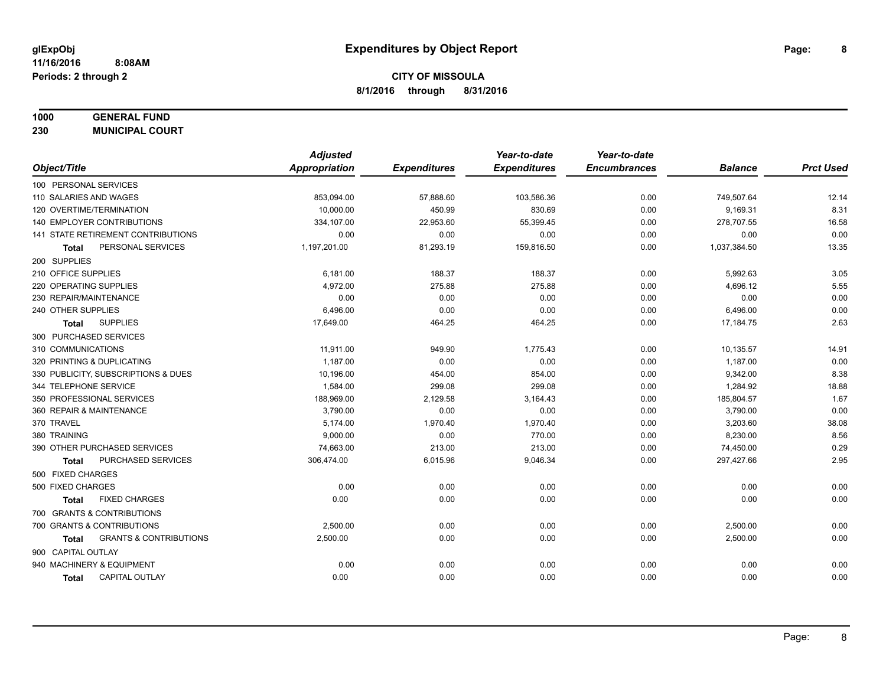# **1000 GENERAL FUND**

**230 MUNICIPAL COURT**

| <b>Appropriation</b><br>Object/Title<br><b>Expenditures</b><br><b>Expenditures</b><br><b>Encumbrances</b><br>100 PERSONAL SERVICES<br>0.00<br>110 SALARIES AND WAGES<br>853,094.00<br>57,888.60<br>103,586.36<br>120 OVERTIME/TERMINATION<br>10.000.00<br>450.99<br>830.69<br>0.00 | <b>Balance</b><br>749,507.64<br>9,169.31<br>278,707.55<br>0.00<br>1,037,384.50 | <b>Prct Used</b><br>12.14<br>8.31<br>16.58<br>0.00<br>13.35 |
|------------------------------------------------------------------------------------------------------------------------------------------------------------------------------------------------------------------------------------------------------------------------------------|--------------------------------------------------------------------------------|-------------------------------------------------------------|
|                                                                                                                                                                                                                                                                                    |                                                                                |                                                             |
|                                                                                                                                                                                                                                                                                    |                                                                                |                                                             |
|                                                                                                                                                                                                                                                                                    |                                                                                |                                                             |
|                                                                                                                                                                                                                                                                                    |                                                                                |                                                             |
| 140 EMPLOYER CONTRIBUTIONS<br>22,953.60<br>334,107.00<br>55,399.45<br>0.00                                                                                                                                                                                                         |                                                                                |                                                             |
| 141 STATE RETIREMENT CONTRIBUTIONS<br>0.00<br>0.00<br>0.00<br>0.00                                                                                                                                                                                                                 |                                                                                |                                                             |
| PERSONAL SERVICES<br>1,197,201.00<br>81,293.19<br>159,816.50<br>0.00<br>Total                                                                                                                                                                                                      |                                                                                |                                                             |
| 200 SUPPLIES                                                                                                                                                                                                                                                                       |                                                                                |                                                             |
| 210 OFFICE SUPPLIES<br>6,181.00<br>188.37<br>188.37<br>0.00                                                                                                                                                                                                                        | 5,992.63                                                                       | 3.05                                                        |
| 220 OPERATING SUPPLIES<br>4,972.00<br>275.88<br>275.88<br>0.00                                                                                                                                                                                                                     | 4,696.12                                                                       | 5.55                                                        |
| 0.00<br>230 REPAIR/MAINTENANCE<br>0.00<br>0.00<br>0.00                                                                                                                                                                                                                             | 0.00                                                                           | 0.00                                                        |
| 240 OTHER SUPPLIES<br>0.00<br>6,496.00<br>0.00<br>0.00                                                                                                                                                                                                                             | 6,496.00                                                                       | 0.00                                                        |
| <b>SUPPLIES</b><br>17,649.00<br>464.25<br>464.25<br>0.00<br><b>Total</b>                                                                                                                                                                                                           | 17,184.75                                                                      | 2.63                                                        |
| 300 PURCHASED SERVICES                                                                                                                                                                                                                                                             |                                                                                |                                                             |
| 310 COMMUNICATIONS<br>11,911.00<br>949.90<br>1,775.43<br>0.00                                                                                                                                                                                                                      | 10,135.57                                                                      | 14.91                                                       |
| 320 PRINTING & DUPLICATING<br>1,187.00<br>0.00<br>0.00<br>0.00                                                                                                                                                                                                                     | 1,187.00                                                                       | 0.00                                                        |
| 330 PUBLICITY, SUBSCRIPTIONS & DUES<br>10,196.00<br>454.00<br>0.00<br>854.00                                                                                                                                                                                                       | 9,342.00                                                                       | 8.38                                                        |
| 299.08<br>344 TELEPHONE SERVICE<br>1,584.00<br>299.08<br>0.00                                                                                                                                                                                                                      | 1,284.92                                                                       | 18.88                                                       |
| 350 PROFESSIONAL SERVICES<br>188,969.00<br>2,129.58<br>0.00<br>3,164.43                                                                                                                                                                                                            | 185,804.57                                                                     | 1.67                                                        |
| 3,790.00<br>0.00<br>360 REPAIR & MAINTENANCE<br>0.00<br>0.00                                                                                                                                                                                                                       | 3,790.00                                                                       | 0.00                                                        |
| 370 TRAVEL<br>5,174.00<br>1,970.40<br>1,970.40<br>0.00                                                                                                                                                                                                                             | 3,203.60                                                                       | 38.08                                                       |
| 380 TRAINING<br>9,000.00<br>0.00<br>770.00<br>0.00                                                                                                                                                                                                                                 | 8,230.00                                                                       | 8.56                                                        |
| 390 OTHER PURCHASED SERVICES<br>74,663.00<br>213.00<br>213.00<br>0.00                                                                                                                                                                                                              | 74,450.00                                                                      | 0.29                                                        |
| PURCHASED SERVICES<br>306,474.00<br>6,015.96<br>9,046.34<br>0.00<br>Total                                                                                                                                                                                                          | 297,427.66                                                                     | 2.95                                                        |
| 500 FIXED CHARGES                                                                                                                                                                                                                                                                  |                                                                                |                                                             |
| 500 FIXED CHARGES<br>0.00<br>0.00<br>0.00<br>0.00                                                                                                                                                                                                                                  | 0.00                                                                           | 0.00                                                        |
| <b>FIXED CHARGES</b><br>0.00<br>0.00<br>0.00<br>0.00<br><b>Total</b>                                                                                                                                                                                                               | 0.00                                                                           | 0.00                                                        |
| 700 GRANTS & CONTRIBUTIONS                                                                                                                                                                                                                                                         |                                                                                |                                                             |
| 700 GRANTS & CONTRIBUTIONS<br>0.00<br>2,500.00<br>0.00<br>0.00                                                                                                                                                                                                                     | 2,500.00                                                                       | 0.00                                                        |
| <b>GRANTS &amp; CONTRIBUTIONS</b><br>2,500.00<br>0.00<br>0.00<br>0.00<br>Total                                                                                                                                                                                                     | 2,500.00                                                                       | 0.00                                                        |
| 900 CAPITAL OUTLAY                                                                                                                                                                                                                                                                 |                                                                                |                                                             |
| 940 MACHINERY & EQUIPMENT<br>0.00<br>0.00<br>0.00<br>0.00                                                                                                                                                                                                                          | 0.00                                                                           | 0.00                                                        |
| <b>CAPITAL OUTLAY</b><br>0.00<br>0.00<br>0.00<br>0.00<br><b>Total</b>                                                                                                                                                                                                              | 0.00                                                                           | 0.00                                                        |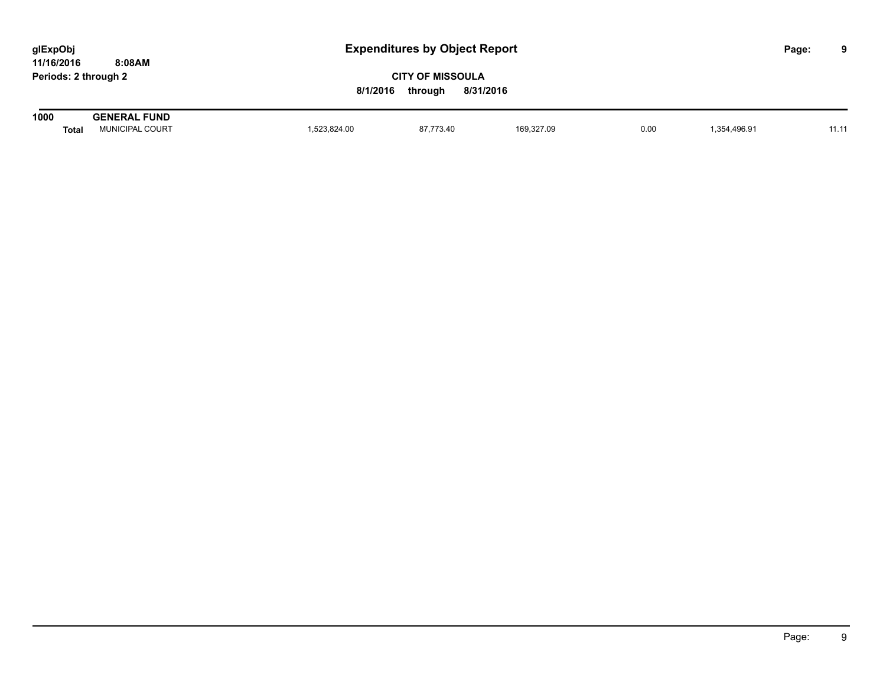| glExpObj             |        |  |
|----------------------|--------|--|
| 11/16/2016           | 8:08AM |  |
| Periods: 2 through 2 |        |  |

| 1000  | <b>FUND</b><br><b>GENEI</b><br>·RAL |             |                                                                                                                              |                |      |                                                                        |       |
|-------|-------------------------------------|-------------|------------------------------------------------------------------------------------------------------------------------------|----------------|------|------------------------------------------------------------------------|-------|
| Total | . COURT<br><b>'UNICIPAL</b>         | .523.824.00 | 97,773.40<br>the contract of the contract of the contract of the contract of the contract of the contract of the contract of | 169,327 $\sim$ | 0.00 | $\overline{354}$ $\overline{106}$ $\overline{04}$<br>$\sim$<br>,,,,,,, | 11.11 |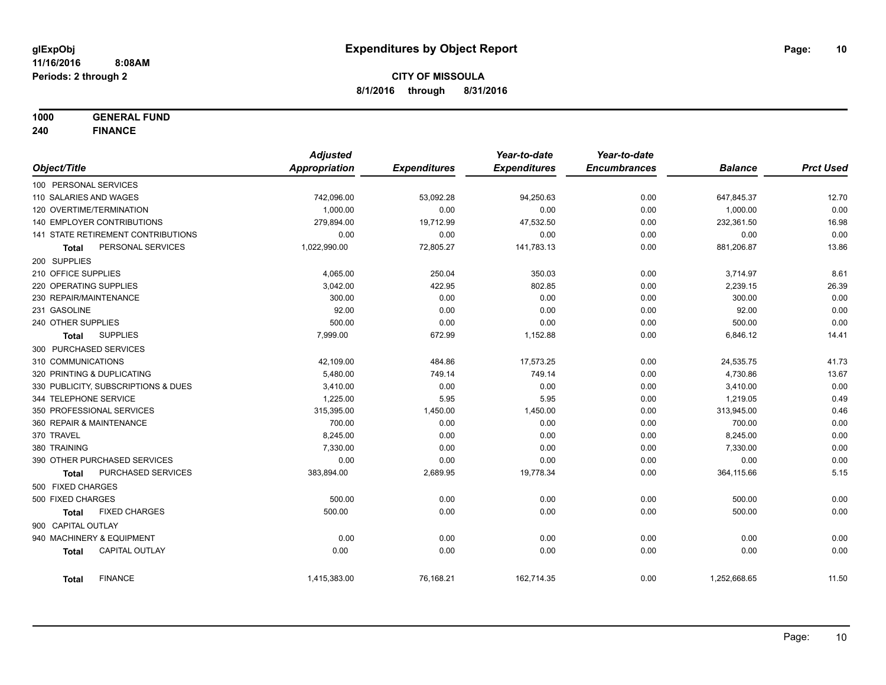**1000 GENERAL FUND**

**240 FINANCE**

|                            |                                     | <b>Adjusted</b> |                     | Year-to-date        | Year-to-date        |                |                  |
|----------------------------|-------------------------------------|-----------------|---------------------|---------------------|---------------------|----------------|------------------|
| Object/Title               |                                     | Appropriation   | <b>Expenditures</b> | <b>Expenditures</b> | <b>Encumbrances</b> | <b>Balance</b> | <b>Prct Used</b> |
| 100 PERSONAL SERVICES      |                                     |                 |                     |                     |                     |                |                  |
| 110 SALARIES AND WAGES     |                                     | 742,096.00      | 53,092.28           | 94,250.63           | 0.00                | 647,845.37     | 12.70            |
| 120 OVERTIME/TERMINATION   |                                     | 1,000.00        | 0.00                | 0.00                | 0.00                | 1,000.00       | 0.00             |
|                            | 140 EMPLOYER CONTRIBUTIONS          | 279,894.00      | 19,712.99           | 47,532.50           | 0.00                | 232,361.50     | 16.98            |
|                            | 141 STATE RETIREMENT CONTRIBUTIONS  | 0.00            | 0.00                | 0.00                | 0.00                | 0.00           | 0.00             |
| <b>Total</b>               | PERSONAL SERVICES                   | 1,022,990.00    | 72,805.27           | 141,783.13          | 0.00                | 881,206.87     | 13.86            |
| 200 SUPPLIES               |                                     |                 |                     |                     |                     |                |                  |
| 210 OFFICE SUPPLIES        |                                     | 4,065.00        | 250.04              | 350.03              | 0.00                | 3,714.97       | 8.61             |
| 220 OPERATING SUPPLIES     |                                     | 3,042.00        | 422.95              | 802.85              | 0.00                | 2,239.15       | 26.39            |
| 230 REPAIR/MAINTENANCE     |                                     | 300.00          | 0.00                | 0.00                | 0.00                | 300.00         | 0.00             |
| 231 GASOLINE               |                                     | 92.00           | 0.00                | 0.00                | 0.00                | 92.00          | 0.00             |
| 240 OTHER SUPPLIES         |                                     | 500.00          | 0.00                | 0.00                | 0.00                | 500.00         | 0.00             |
| Total                      | <b>SUPPLIES</b>                     | 7,999.00        | 672.99              | 1,152.88            | 0.00                | 6,846.12       | 14.41            |
| 300 PURCHASED SERVICES     |                                     |                 |                     |                     |                     |                |                  |
| 310 COMMUNICATIONS         |                                     | 42,109.00       | 484.86              | 17,573.25           | 0.00                | 24,535.75      | 41.73            |
| 320 PRINTING & DUPLICATING |                                     | 5,480.00        | 749.14              | 749.14              | 0.00                | 4,730.86       | 13.67            |
|                            | 330 PUBLICITY, SUBSCRIPTIONS & DUES | 3,410.00        | 0.00                | 0.00                | 0.00                | 3,410.00       | 0.00             |
| 344 TELEPHONE SERVICE      |                                     | 1,225.00        | 5.95                | 5.95                | 0.00                | 1,219.05       | 0.49             |
|                            | 350 PROFESSIONAL SERVICES           | 315,395.00      | 1,450.00            | 1,450.00            | 0.00                | 313,945.00     | 0.46             |
| 360 REPAIR & MAINTENANCE   |                                     | 700.00          | 0.00                | 0.00                | 0.00                | 700.00         | 0.00             |
| 370 TRAVEL                 |                                     | 8,245.00        | 0.00                | 0.00                | 0.00                | 8,245.00       | 0.00             |
| 380 TRAINING               |                                     | 7,330.00        | 0.00                | 0.00                | 0.00                | 7,330.00       | 0.00             |
|                            | 390 OTHER PURCHASED SERVICES        | 0.00            | 0.00                | 0.00                | 0.00                | 0.00           | 0.00             |
| <b>Total</b>               | <b>PURCHASED SERVICES</b>           | 383,894.00      | 2,689.95            | 19,778.34           | 0.00                | 364,115.66     | 5.15             |
| 500 FIXED CHARGES          |                                     |                 |                     |                     |                     |                |                  |
| 500 FIXED CHARGES          |                                     | 500.00          | 0.00                | 0.00                | 0.00                | 500.00         | 0.00             |
| <b>Total</b>               | <b>FIXED CHARGES</b>                | 500.00          | 0.00                | 0.00                | 0.00                | 500.00         | 0.00             |
| 900 CAPITAL OUTLAY         |                                     |                 |                     |                     |                     |                |                  |
|                            | 940 MACHINERY & EQUIPMENT           | 0.00            | 0.00                | 0.00                | 0.00                | 0.00           | 0.00             |
| <b>Total</b>               | <b>CAPITAL OUTLAY</b>               | 0.00            | 0.00                | 0.00                | 0.00                | 0.00           | 0.00             |
| <b>Total</b>               | <b>FINANCE</b>                      | 1,415,383.00    | 76,168.21           | 162,714.35          | 0.00                | 1,252,668.65   | 11.50            |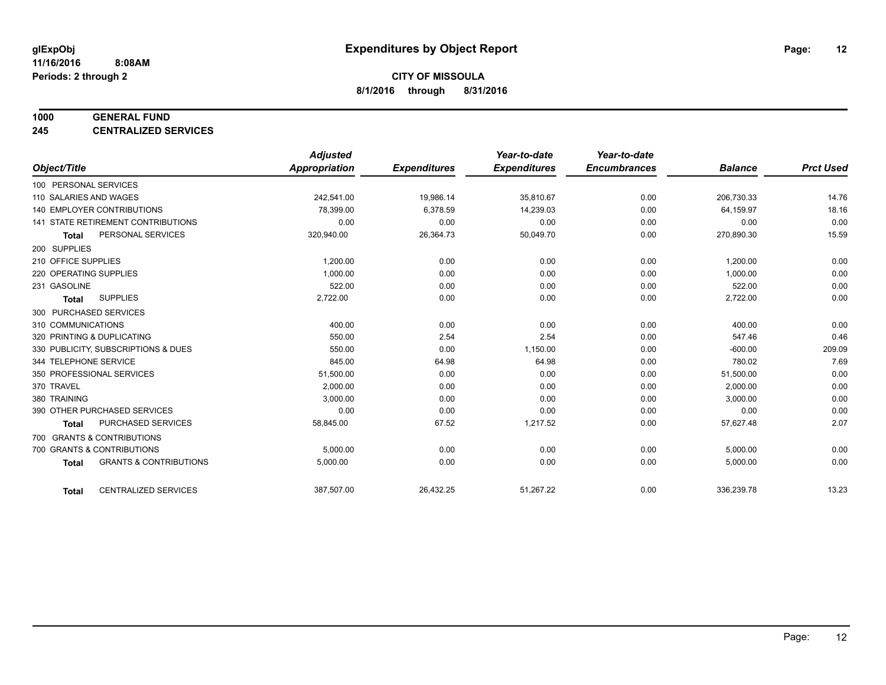#### **1000 GENERAL FUND**

**245 CENTRALIZED SERVICES**

|                                                   | <b>Adjusted</b> |                     | Year-to-date        | Year-to-date        |                |                  |
|---------------------------------------------------|-----------------|---------------------|---------------------|---------------------|----------------|------------------|
| Object/Title                                      | Appropriation   | <b>Expenditures</b> | <b>Expenditures</b> | <b>Encumbrances</b> | <b>Balance</b> | <b>Prct Used</b> |
| 100 PERSONAL SERVICES                             |                 |                     |                     |                     |                |                  |
| 110 SALARIES AND WAGES                            | 242,541.00      | 19,986.14           | 35,810.67           | 0.00                | 206,730.33     | 14.76            |
| 140 EMPLOYER CONTRIBUTIONS                        | 78,399.00       | 6,378.59            | 14,239.03           | 0.00                | 64,159.97      | 18.16            |
| <b>141 STATE RETIREMENT CONTRIBUTIONS</b>         | 0.00            | 0.00                | 0.00                | 0.00                | 0.00           | 0.00             |
| PERSONAL SERVICES<br>Total                        | 320,940.00      | 26,364.73           | 50,049.70           | 0.00                | 270,890.30     | 15.59            |
| 200 SUPPLIES                                      |                 |                     |                     |                     |                |                  |
| 210 OFFICE SUPPLIES                               | 1,200.00        | 0.00                | 0.00                | 0.00                | 1,200.00       | 0.00             |
| 220 OPERATING SUPPLIES                            | 1,000.00        | 0.00                | 0.00                | 0.00                | 1,000.00       | 0.00             |
| 231 GASOLINE                                      | 522.00          | 0.00                | 0.00                | 0.00                | 522.00         | 0.00             |
| <b>SUPPLIES</b><br><b>Total</b>                   | 2,722.00        | 0.00                | 0.00                | 0.00                | 2,722.00       | 0.00             |
| 300 PURCHASED SERVICES                            |                 |                     |                     |                     |                |                  |
| 310 COMMUNICATIONS                                | 400.00          | 0.00                | 0.00                | 0.00                | 400.00         | 0.00             |
| 320 PRINTING & DUPLICATING                        | 550.00          | 2.54                | 2.54                | 0.00                | 547.46         | 0.46             |
| 330 PUBLICITY, SUBSCRIPTIONS & DUES               | 550.00          | 0.00                | 1,150.00            | 0.00                | $-600.00$      | 209.09           |
| 344 TELEPHONE SERVICE                             | 845.00          | 64.98               | 64.98               | 0.00                | 780.02         | 7.69             |
| 350 PROFESSIONAL SERVICES                         | 51,500.00       | 0.00                | 0.00                | 0.00                | 51,500.00      | 0.00             |
| 370 TRAVEL                                        | 2,000.00        | 0.00                | 0.00                | 0.00                | 2,000.00       | 0.00             |
| 380 TRAINING                                      | 3,000.00        | 0.00                | 0.00                | 0.00                | 3,000.00       | 0.00             |
| 390 OTHER PURCHASED SERVICES                      | 0.00            | 0.00                | 0.00                | 0.00                | 0.00           | 0.00             |
| PURCHASED SERVICES<br>Total                       | 58,845.00       | 67.52               | 1,217.52            | 0.00                | 57,627.48      | 2.07             |
| 700 GRANTS & CONTRIBUTIONS                        |                 |                     |                     |                     |                |                  |
| 700 GRANTS & CONTRIBUTIONS                        | 5,000.00        | 0.00                | 0.00                | 0.00                | 5,000.00       | 0.00             |
| <b>GRANTS &amp; CONTRIBUTIONS</b><br><b>Total</b> | 5,000.00        | 0.00                | 0.00                | 0.00                | 5,000.00       | 0.00             |
|                                                   |                 |                     |                     |                     |                |                  |
| <b>CENTRALIZED SERVICES</b><br><b>Total</b>       | 387,507.00      | 26,432.25           | 51,267.22           | 0.00                | 336,239.78     | 13.23            |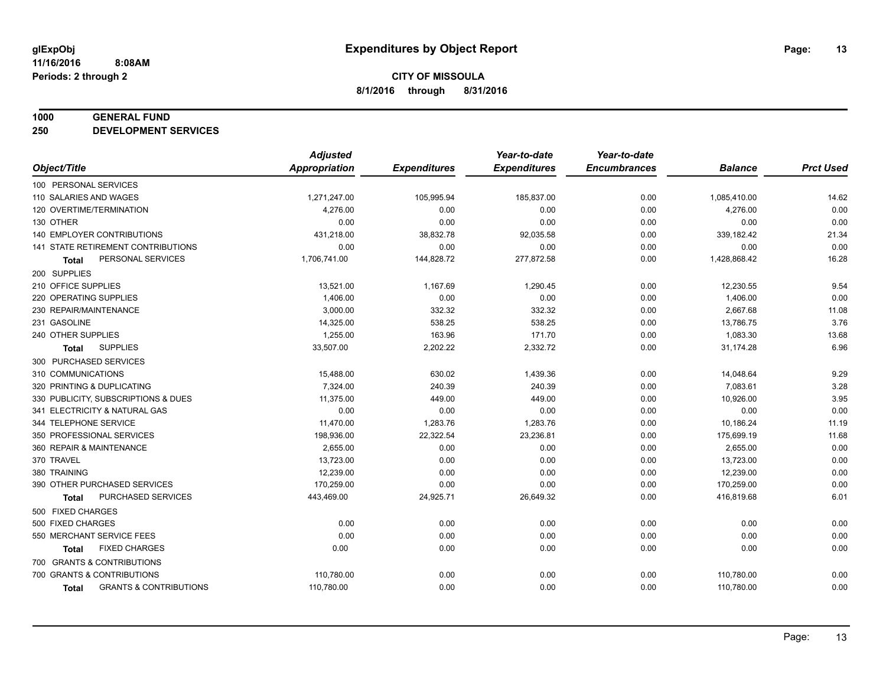#### **1000 GENERAL FUND**

**250 DEVELOPMENT SERVICES**

|                                            | <b>Adjusted</b>      |                     | Year-to-date        | Year-to-date        |                |                  |
|--------------------------------------------|----------------------|---------------------|---------------------|---------------------|----------------|------------------|
| Object/Title                               | <b>Appropriation</b> | <b>Expenditures</b> | <b>Expenditures</b> | <b>Encumbrances</b> | <b>Balance</b> | <b>Prct Used</b> |
| 100 PERSONAL SERVICES                      |                      |                     |                     |                     |                |                  |
| 110 SALARIES AND WAGES                     | 1,271,247.00         | 105,995.94          | 185,837.00          | 0.00                | 1,085,410.00   | 14.62            |
| 120 OVERTIME/TERMINATION                   | 4,276.00             | 0.00                | 0.00                | 0.00                | 4,276.00       | 0.00             |
| 130 OTHER                                  | 0.00                 | 0.00                | 0.00                | 0.00                | 0.00           | 0.00             |
| 140 EMPLOYER CONTRIBUTIONS                 | 431,218.00           | 38,832.78           | 92,035.58           | 0.00                | 339,182.42     | 21.34            |
| 141 STATE RETIREMENT CONTRIBUTIONS         | 0.00                 | 0.00                | 0.00                | 0.00                | 0.00           | 0.00             |
| PERSONAL SERVICES<br>Total                 | 1,706,741.00         | 144,828.72          | 277,872.58          | 0.00                | 1,428,868.42   | 16.28            |
| 200 SUPPLIES                               |                      |                     |                     |                     |                |                  |
| 210 OFFICE SUPPLIES                        | 13,521.00            | 1,167.69            | 1,290.45            | 0.00                | 12,230.55      | 9.54             |
| 220 OPERATING SUPPLIES                     | 1,406.00             | 0.00                | 0.00                | 0.00                | 1,406.00       | 0.00             |
| 230 REPAIR/MAINTENANCE                     | 3,000.00             | 332.32              | 332.32              | 0.00                | 2,667.68       | 11.08            |
| 231 GASOLINE                               | 14,325.00            | 538.25              | 538.25              | 0.00                | 13,786.75      | 3.76             |
| 240 OTHER SUPPLIES                         | 1,255.00             | 163.96              | 171.70              | 0.00                | 1,083.30       | 13.68            |
| <b>SUPPLIES</b><br>Total                   | 33,507.00            | 2,202.22            | 2,332.72            | 0.00                | 31,174.28      | 6.96             |
| 300 PURCHASED SERVICES                     |                      |                     |                     |                     |                |                  |
| 310 COMMUNICATIONS                         | 15,488.00            | 630.02              | 1,439.36            | 0.00                | 14,048.64      | 9.29             |
| 320 PRINTING & DUPLICATING                 | 7,324.00             | 240.39              | 240.39              | 0.00                | 7,083.61       | 3.28             |
| 330 PUBLICITY, SUBSCRIPTIONS & DUES        | 11,375.00            | 449.00              | 449.00              | 0.00                | 10,926.00      | 3.95             |
| 341 ELECTRICITY & NATURAL GAS              | 0.00                 | 0.00                | 0.00                | 0.00                | 0.00           | 0.00             |
| 344 TELEPHONE SERVICE                      | 11,470.00            | 1,283.76            | 1,283.76            | 0.00                | 10,186.24      | 11.19            |
| 350 PROFESSIONAL SERVICES                  | 198,936.00           | 22,322.54           | 23,236.81           | 0.00                | 175,699.19     | 11.68            |
| 360 REPAIR & MAINTENANCE                   | 2,655.00             | 0.00                | 0.00                | 0.00                | 2,655.00       | 0.00             |
| 370 TRAVEL                                 | 13,723.00            | 0.00                | 0.00                | 0.00                | 13,723.00      | 0.00             |
| 380 TRAINING                               | 12,239.00            | 0.00                | 0.00                | 0.00                | 12,239.00      | 0.00             |
| 390 OTHER PURCHASED SERVICES               | 170,259.00           | 0.00                | 0.00                | 0.00                | 170,259.00     | 0.00             |
| PURCHASED SERVICES<br>Total                | 443,469.00           | 24,925.71           | 26,649.32           | 0.00                | 416,819.68     | 6.01             |
| 500 FIXED CHARGES                          |                      |                     |                     |                     |                |                  |
| 500 FIXED CHARGES                          | 0.00                 | 0.00                | 0.00                | 0.00                | 0.00           | 0.00             |
| 550 MERCHANT SERVICE FEES                  | 0.00                 | 0.00                | 0.00                | 0.00                | 0.00           | 0.00             |
| <b>FIXED CHARGES</b><br>Total              | 0.00                 | 0.00                | 0.00                | 0.00                | 0.00           | 0.00             |
| 700 GRANTS & CONTRIBUTIONS                 |                      |                     |                     |                     |                |                  |
| 700 GRANTS & CONTRIBUTIONS                 | 110,780.00           | 0.00                | 0.00                | 0.00                | 110,780.00     | 0.00             |
| <b>GRANTS &amp; CONTRIBUTIONS</b><br>Total | 110,780.00           | 0.00                | 0.00                | 0.00                | 110,780.00     | 0.00             |
|                                            |                      |                     |                     |                     |                |                  |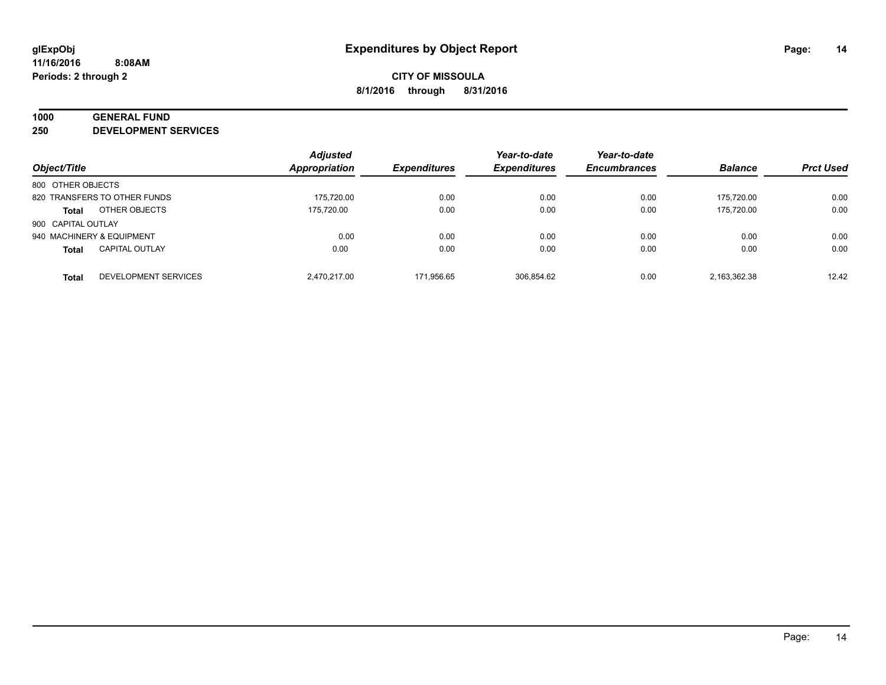# **1000 GENERAL FUND**

**250 DEVELOPMENT SERVICES**

|                    |                              | <b>Adjusted</b>      |                     | Year-to-date        | Year-to-date        |                |                  |
|--------------------|------------------------------|----------------------|---------------------|---------------------|---------------------|----------------|------------------|
| Object/Title       |                              | <b>Appropriation</b> | <b>Expenditures</b> | <b>Expenditures</b> | <b>Encumbrances</b> | <b>Balance</b> | <b>Prct Used</b> |
| 800 OTHER OBJECTS  |                              |                      |                     |                     |                     |                |                  |
|                    | 820 TRANSFERS TO OTHER FUNDS | 175,720.00           | 0.00                | 0.00                | 0.00                | 175.720.00     | 0.00             |
| <b>Total</b>       | OTHER OBJECTS                | 175.720.00           | 0.00                | 0.00                | 0.00                | 175.720.00     | 0.00             |
| 900 CAPITAL OUTLAY |                              |                      |                     |                     |                     |                |                  |
|                    | 940 MACHINERY & EQUIPMENT    | 0.00                 | 0.00                | 0.00                | 0.00                | 0.00           | 0.00             |
| <b>Total</b>       | <b>CAPITAL OUTLAY</b>        | 0.00                 | 0.00                | 0.00                | 0.00                | 0.00           | 0.00             |
| <b>Total</b>       | <b>DEVELOPMENT SERVICES</b>  | 2.470.217.00         | 171.956.65          | 306.854.62          | 0.00                | 2,163,362.38   | 12.42            |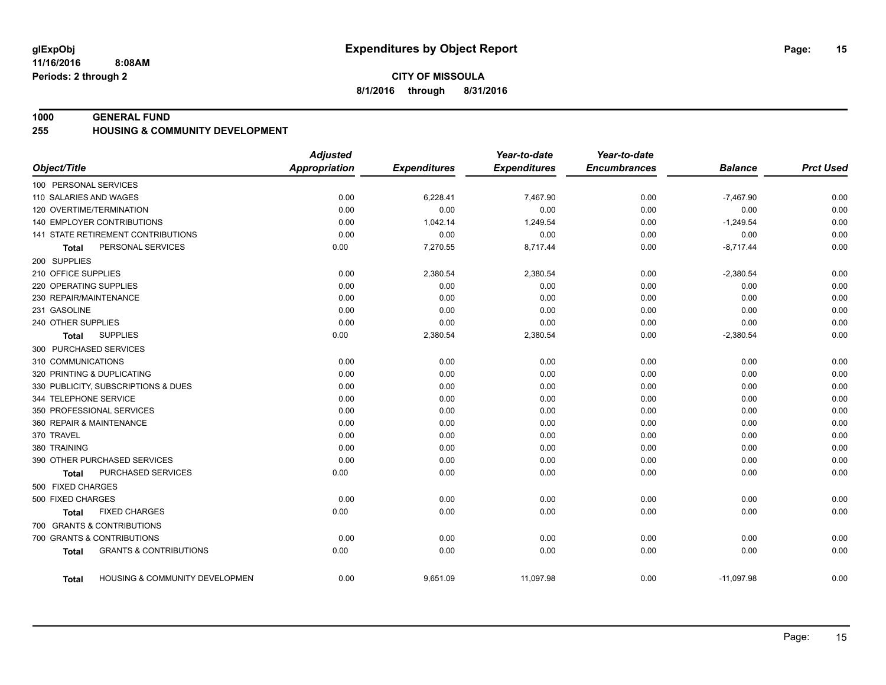#### **1000 GENERAL FUND**

#### **255 HOUSING & COMMUNITY DEVELOPMENT**

|                                                   | <b>Adjusted</b>      |                     | Year-to-date        | Year-to-date        |                |                  |
|---------------------------------------------------|----------------------|---------------------|---------------------|---------------------|----------------|------------------|
| Object/Title                                      | <b>Appropriation</b> | <b>Expenditures</b> | <b>Expenditures</b> | <b>Encumbrances</b> | <b>Balance</b> | <b>Prct Used</b> |
| 100 PERSONAL SERVICES                             |                      |                     |                     |                     |                |                  |
| 110 SALARIES AND WAGES                            | 0.00                 | 6,228.41            | 7,467.90            | 0.00                | $-7,467.90$    | 0.00             |
| 120 OVERTIME/TERMINATION                          | 0.00                 | 0.00                | 0.00                | 0.00                | 0.00           | 0.00             |
| <b>140 EMPLOYER CONTRIBUTIONS</b>                 | 0.00                 | 1,042.14            | 1,249.54            | 0.00                | $-1,249.54$    | 0.00             |
| 141 STATE RETIREMENT CONTRIBUTIONS                | 0.00                 | 0.00                | 0.00                | 0.00                | 0.00           | 0.00             |
| PERSONAL SERVICES<br><b>Total</b>                 | 0.00                 | 7,270.55            | 8,717.44            | 0.00                | $-8,717.44$    | 0.00             |
| 200 SUPPLIES                                      |                      |                     |                     |                     |                |                  |
| 210 OFFICE SUPPLIES                               | 0.00                 | 2,380.54            | 2,380.54            | 0.00                | $-2,380.54$    | 0.00             |
| 220 OPERATING SUPPLIES                            | 0.00                 | 0.00                | 0.00                | 0.00                | 0.00           | 0.00             |
| 230 REPAIR/MAINTENANCE                            | 0.00                 | 0.00                | 0.00                | 0.00                | 0.00           | 0.00             |
| 231 GASOLINE                                      | 0.00                 | 0.00                | 0.00                | 0.00                | 0.00           | 0.00             |
| 240 OTHER SUPPLIES                                | 0.00                 | 0.00                | 0.00                | 0.00                | 0.00           | 0.00             |
| <b>SUPPLIES</b><br>Total                          | 0.00                 | 2,380.54            | 2,380.54            | 0.00                | $-2,380.54$    | 0.00             |
| 300 PURCHASED SERVICES                            |                      |                     |                     |                     |                |                  |
| 310 COMMUNICATIONS                                | 0.00                 | 0.00                | 0.00                | 0.00                | 0.00           | 0.00             |
| 320 PRINTING & DUPLICATING                        | 0.00                 | 0.00                | 0.00                | 0.00                | 0.00           | 0.00             |
| 330 PUBLICITY, SUBSCRIPTIONS & DUES               | 0.00                 | 0.00                | 0.00                | 0.00                | 0.00           | 0.00             |
| 344 TELEPHONE SERVICE                             | 0.00                 | 0.00                | 0.00                | 0.00                | 0.00           | 0.00             |
| 350 PROFESSIONAL SERVICES                         | 0.00                 | 0.00                | 0.00                | 0.00                | 0.00           | 0.00             |
| 360 REPAIR & MAINTENANCE                          | 0.00                 | 0.00                | 0.00                | 0.00                | 0.00           | 0.00             |
| 370 TRAVEL                                        | 0.00                 | 0.00                | 0.00                | 0.00                | 0.00           | 0.00             |
| 380 TRAINING                                      | 0.00                 | 0.00                | 0.00                | 0.00                | 0.00           | 0.00             |
| 390 OTHER PURCHASED SERVICES                      | 0.00                 | 0.00                | 0.00                | 0.00                | 0.00           | 0.00             |
| PURCHASED SERVICES<br>Total                       | 0.00                 | 0.00                | 0.00                | 0.00                | 0.00           | 0.00             |
| 500 FIXED CHARGES                                 |                      |                     |                     |                     |                |                  |
| 500 FIXED CHARGES                                 | 0.00                 | 0.00                | 0.00                | 0.00                | 0.00           | 0.00             |
| <b>FIXED CHARGES</b><br><b>Total</b>              | 0.00                 | 0.00                | 0.00                | 0.00                | 0.00           | 0.00             |
| 700 GRANTS & CONTRIBUTIONS                        |                      |                     |                     |                     |                |                  |
| 700 GRANTS & CONTRIBUTIONS                        | 0.00                 | 0.00                | 0.00                | 0.00                | 0.00           | 0.00             |
| <b>GRANTS &amp; CONTRIBUTIONS</b><br><b>Total</b> | 0.00                 | 0.00                | 0.00                | 0.00                | 0.00           | 0.00             |
| HOUSING & COMMUNITY DEVELOPMEN<br>Total           | 0.00                 | 9,651.09            | 11,097.98           | 0.00                | $-11,097.98$   | 0.00             |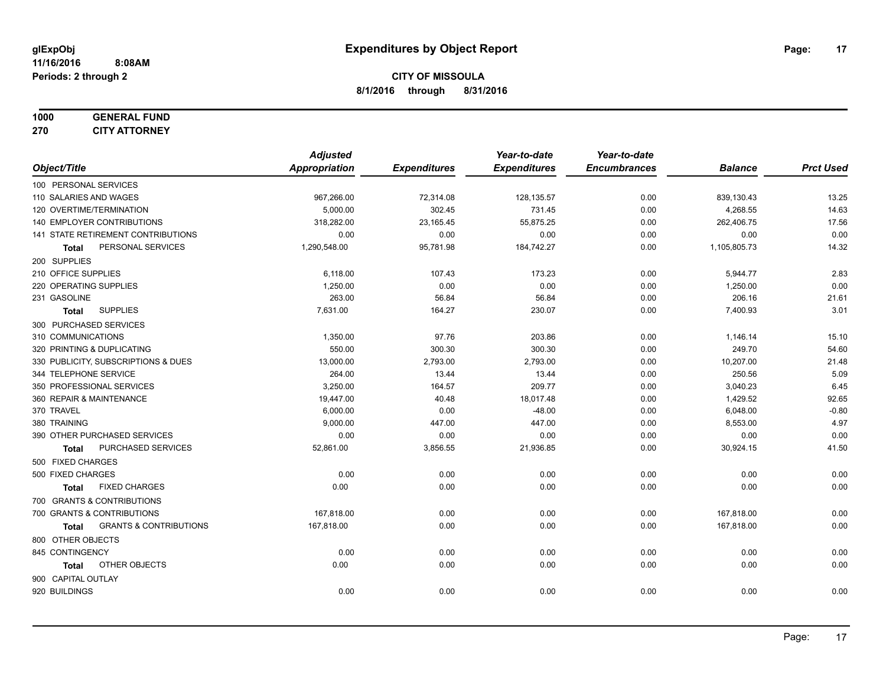# **1000 GENERAL FUND**

**270 CITY ATTORNEY**

|                                                   | <b>Adjusted</b> |                     | Year-to-date        | Year-to-date        |                |                  |
|---------------------------------------------------|-----------------|---------------------|---------------------|---------------------|----------------|------------------|
| Object/Title                                      | Appropriation   | <b>Expenditures</b> | <b>Expenditures</b> | <b>Encumbrances</b> | <b>Balance</b> | <b>Prct Used</b> |
| 100 PERSONAL SERVICES                             |                 |                     |                     |                     |                |                  |
| 110 SALARIES AND WAGES                            | 967,266.00      | 72,314.08           | 128,135.57          | 0.00                | 839,130.43     | 13.25            |
| 120 OVERTIME/TERMINATION                          | 5,000.00        | 302.45              | 731.45              | 0.00                | 4,268.55       | 14.63            |
| 140 EMPLOYER CONTRIBUTIONS                        | 318,282.00      | 23,165.45           | 55,875.25           | 0.00                | 262,406.75     | 17.56            |
| 141 STATE RETIREMENT CONTRIBUTIONS                | 0.00            | 0.00                | 0.00                | 0.00                | 0.00           | 0.00             |
| PERSONAL SERVICES<br>Total                        | 1,290,548.00    | 95,781.98           | 184,742.27          | 0.00                | 1,105,805.73   | 14.32            |
| 200 SUPPLIES                                      |                 |                     |                     |                     |                |                  |
| 210 OFFICE SUPPLIES                               | 6,118.00        | 107.43              | 173.23              | 0.00                | 5,944.77       | 2.83             |
| 220 OPERATING SUPPLIES                            | 1,250.00        | 0.00                | 0.00                | 0.00                | 1,250.00       | 0.00             |
| 231 GASOLINE                                      | 263.00          | 56.84               | 56.84               | 0.00                | 206.16         | 21.61            |
| <b>SUPPLIES</b><br><b>Total</b>                   | 7,631.00        | 164.27              | 230.07              | 0.00                | 7,400.93       | 3.01             |
| 300 PURCHASED SERVICES                            |                 |                     |                     |                     |                |                  |
| 310 COMMUNICATIONS                                | 1,350.00        | 97.76               | 203.86              | 0.00                | 1,146.14       | 15.10            |
| 320 PRINTING & DUPLICATING                        | 550.00          | 300.30              | 300.30              | 0.00                | 249.70         | 54.60            |
| 330 PUBLICITY, SUBSCRIPTIONS & DUES               | 13,000.00       | 2,793.00            | 2,793.00            | 0.00                | 10,207.00      | 21.48            |
| 344 TELEPHONE SERVICE                             | 264.00          | 13.44               | 13.44               | 0.00                | 250.56         | 5.09             |
| 350 PROFESSIONAL SERVICES                         | 3,250.00        | 164.57              | 209.77              | 0.00                | 3,040.23       | 6.45             |
| 360 REPAIR & MAINTENANCE                          | 19,447.00       | 40.48               | 18,017.48           | 0.00                | 1,429.52       | 92.65            |
| 370 TRAVEL                                        | 6,000.00        | 0.00                | $-48.00$            | 0.00                | 6,048.00       | $-0.80$          |
| 380 TRAINING                                      | 9,000.00        | 447.00              | 447.00              | 0.00                | 8,553.00       | 4.97             |
| 390 OTHER PURCHASED SERVICES                      | 0.00            | 0.00                | 0.00                | 0.00                | 0.00           | 0.00             |
| PURCHASED SERVICES<br>Total                       | 52,861.00       | 3,856.55            | 21,936.85           | 0.00                | 30,924.15      | 41.50            |
| 500 FIXED CHARGES                                 |                 |                     |                     |                     |                |                  |
| 500 FIXED CHARGES                                 | 0.00            | 0.00                | 0.00                | 0.00                | 0.00           | 0.00             |
| <b>FIXED CHARGES</b><br>Total                     | 0.00            | 0.00                | 0.00                | 0.00                | 0.00           | 0.00             |
| 700 GRANTS & CONTRIBUTIONS                        |                 |                     |                     |                     |                |                  |
| 700 GRANTS & CONTRIBUTIONS                        | 167,818.00      | 0.00                | 0.00                | 0.00                | 167,818.00     | 0.00             |
| <b>GRANTS &amp; CONTRIBUTIONS</b><br><b>Total</b> | 167,818.00      | 0.00                | 0.00                | 0.00                | 167,818.00     | 0.00             |
| 800 OTHER OBJECTS                                 |                 |                     |                     |                     |                |                  |
| 845 CONTINGENCY                                   | 0.00            | 0.00                | 0.00                | 0.00                | 0.00           | 0.00             |
| OTHER OBJECTS<br><b>Total</b>                     | 0.00            | 0.00                | 0.00                | 0.00                | 0.00           | 0.00             |
| 900 CAPITAL OUTLAY                                |                 |                     |                     |                     |                |                  |
| 920 BUILDINGS                                     | 0.00            | 0.00                | 0.00                | 0.00                | 0.00           | 0.00             |
|                                                   |                 |                     |                     |                     |                |                  |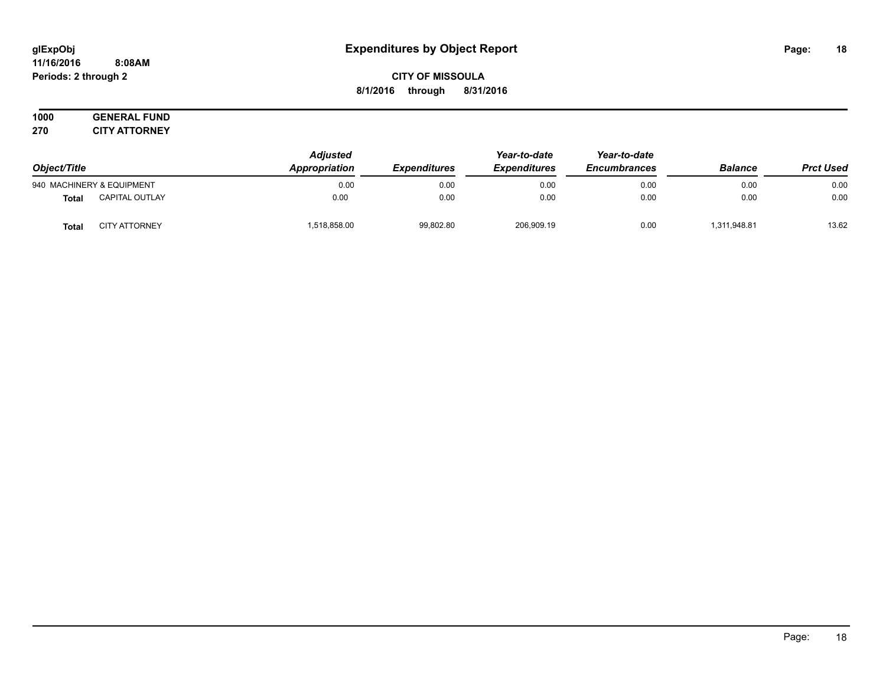#### **11/16/2016 8:08AM Periods: 2 through 2**

# **CITY OF MISSOULA 8/1/2016 through 8/31/2016**

#### **1000 GENERAL FUND 270 CITY ATTORNEY**

| Object/Title |                           | <b>Adjusted</b><br>Appropriation<br><b>Expenditures</b> | Year-to-date | Year-to-date        |                     |                |                  |
|--------------|---------------------------|---------------------------------------------------------|--------------|---------------------|---------------------|----------------|------------------|
|              |                           |                                                         |              | <b>Expenditures</b> | <b>Encumbrances</b> | <b>Balance</b> | <b>Prct Used</b> |
|              | 940 MACHINERY & EQUIPMENT | 0.00                                                    | 0.00         | 0.00                | 0.00                | 0.00           | 0.00             |
| <b>Total</b> | <b>CAPITAL OUTLAY</b>     | 0.00                                                    | 0.00         | 0.00                | 0.00                | 0.00           | 0.00             |
| <b>Total</b> | <b>CITY ATTORNEY</b>      | .518.858.00                                             | 99,802.80    | 206,909.19          | 0.00                | 311,948.81     | 13.62            |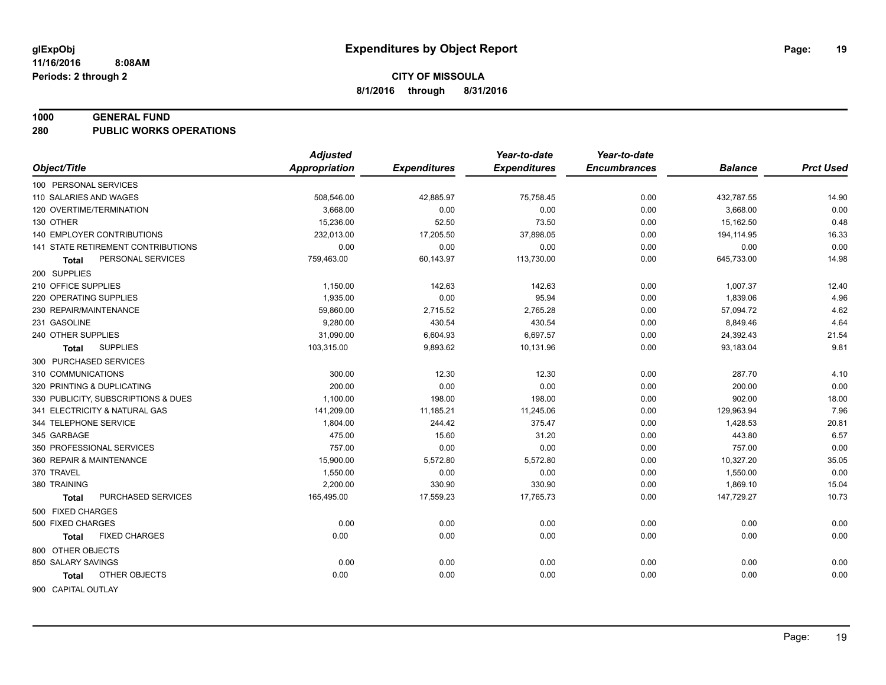#### **1000 GENERAL FUND**

**280 PUBLIC WORKS OPERATIONS**

|                                      | <b>Adjusted</b>      |                     | Year-to-date        | Year-to-date        |                |                  |
|--------------------------------------|----------------------|---------------------|---------------------|---------------------|----------------|------------------|
| Object/Title                         | <b>Appropriation</b> | <b>Expenditures</b> | <b>Expenditures</b> | <b>Encumbrances</b> | <b>Balance</b> | <b>Prct Used</b> |
| 100 PERSONAL SERVICES                |                      |                     |                     |                     |                |                  |
| 110 SALARIES AND WAGES               | 508,546.00           | 42,885.97           | 75,758.45           | 0.00                | 432,787.55     | 14.90            |
| 120 OVERTIME/TERMINATION             | 3.668.00             | 0.00                | 0.00                | 0.00                | 3,668.00       | 0.00             |
| 130 OTHER                            | 15,236.00            | 52.50               | 73.50               | 0.00                | 15,162.50      | 0.48             |
| <b>140 EMPLOYER CONTRIBUTIONS</b>    | 232,013.00           | 17,205.50           | 37,898.05           | 0.00                | 194,114.95     | 16.33            |
| 141 STATE RETIREMENT CONTRIBUTIONS   | 0.00                 | 0.00                | 0.00                | 0.00                | 0.00           | 0.00             |
| PERSONAL SERVICES<br>Total           | 759,463.00           | 60,143.97           | 113,730.00          | 0.00                | 645,733.00     | 14.98            |
| 200 SUPPLIES                         |                      |                     |                     |                     |                |                  |
| 210 OFFICE SUPPLIES                  | 1,150.00             | 142.63              | 142.63              | 0.00                | 1,007.37       | 12.40            |
| 220 OPERATING SUPPLIES               | 1,935.00             | 0.00                | 95.94               | 0.00                | 1,839.06       | 4.96             |
| 230 REPAIR/MAINTENANCE               | 59,860.00            | 2,715.52            | 2,765.28            | 0.00                | 57,094.72      | 4.62             |
| 231 GASOLINE                         | 9,280.00             | 430.54              | 430.54              | 0.00                | 8,849.46       | 4.64             |
| 240 OTHER SUPPLIES                   | 31,090.00            | 6,604.93            | 6,697.57            | 0.00                | 24,392.43      | 21.54            |
| <b>SUPPLIES</b><br><b>Total</b>      | 103,315.00           | 9,893.62            | 10,131.96           | 0.00                | 93,183.04      | 9.81             |
| 300 PURCHASED SERVICES               |                      |                     |                     |                     |                |                  |
| 310 COMMUNICATIONS                   | 300.00               | 12.30               | 12.30               | 0.00                | 287.70         | 4.10             |
| 320 PRINTING & DUPLICATING           | 200.00               | 0.00                | 0.00                | 0.00                | 200.00         | 0.00             |
| 330 PUBLICITY, SUBSCRIPTIONS & DUES  | 1,100.00             | 198.00              | 198.00              | 0.00                | 902.00         | 18.00            |
| 341 ELECTRICITY & NATURAL GAS        | 141,209.00           | 11,185.21           | 11,245.06           | 0.00                | 129,963.94     | 7.96             |
| 344 TELEPHONE SERVICE                | 1,804.00             | 244.42              | 375.47              | 0.00                | 1,428.53       | 20.81            |
| 345 GARBAGE                          | 475.00               | 15.60               | 31.20               | 0.00                | 443.80         | 6.57             |
| 350 PROFESSIONAL SERVICES            | 757.00               | 0.00                | 0.00                | 0.00                | 757.00         | 0.00             |
| 360 REPAIR & MAINTENANCE             | 15,900.00            | 5,572.80            | 5,572.80            | 0.00                | 10,327.20      | 35.05            |
| 370 TRAVEL                           | 1,550.00             | 0.00                | 0.00                | 0.00                | 1,550.00       | 0.00             |
| 380 TRAINING                         | 2,200.00             | 330.90              | 330.90              | 0.00                | 1,869.10       | 15.04            |
| PURCHASED SERVICES<br><b>Total</b>   | 165,495.00           | 17,559.23           | 17,765.73           | 0.00                | 147,729.27     | 10.73            |
| 500 FIXED CHARGES                    |                      |                     |                     |                     |                |                  |
| 500 FIXED CHARGES                    | 0.00                 | 0.00                | 0.00                | 0.00                | 0.00           | 0.00             |
| <b>FIXED CHARGES</b><br><b>Total</b> | 0.00                 | 0.00                | 0.00                | 0.00                | 0.00           | 0.00             |
| 800 OTHER OBJECTS                    |                      |                     |                     |                     |                |                  |
| 850 SALARY SAVINGS                   | 0.00                 | 0.00                | 0.00                | 0.00                | 0.00           | 0.00             |
| OTHER OBJECTS<br><b>Total</b>        | 0.00                 | 0.00                | 0.00                | 0.00                | 0.00           | 0.00             |
|                                      |                      |                     |                     |                     |                |                  |
| 900 CAPITAL OUTLAY                   |                      |                     |                     |                     |                |                  |

Page: 19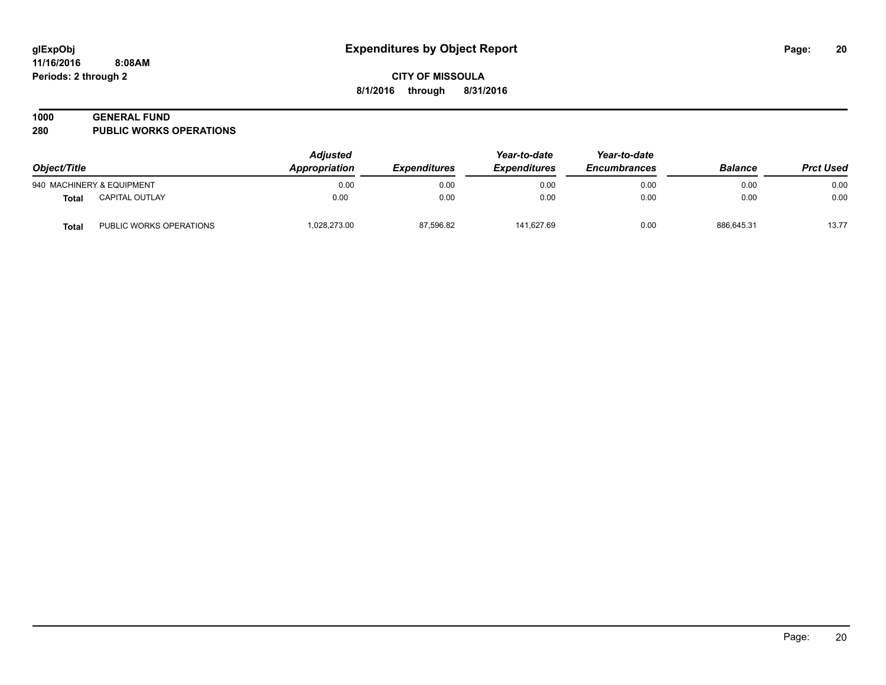# **1000 GENERAL FUND**

**280 PUBLIC WORKS OPERATIONS**

| Object/Title |                           | <b>Adjusted</b><br>Appropriation<br><i><b>Expenditures</b></i> |           | Year-to-date<br><b>Expenditures</b> | Year-to-date<br><b>Encumbrances</b> | <b>Balance</b> | <b>Prct Used</b> |
|--------------|---------------------------|----------------------------------------------------------------|-----------|-------------------------------------|-------------------------------------|----------------|------------------|
|              | 940 MACHINERY & EQUIPMENT | 0.00                                                           | 0.00      | 0.00                                | 0.00                                | 0.00           | 0.00             |
| <b>Total</b> | <b>CAPITAL OUTLAY</b>     | 0.00                                                           | 0.00      | 0.00                                | 0.00                                | 0.00           | 0.00             |
| <b>Total</b> | PUBLIC WORKS OPERATIONS   | 1.028.273.00                                                   | 87,596.82 | 141.627.69                          | 0.00                                | 886.645.31     | 13.77            |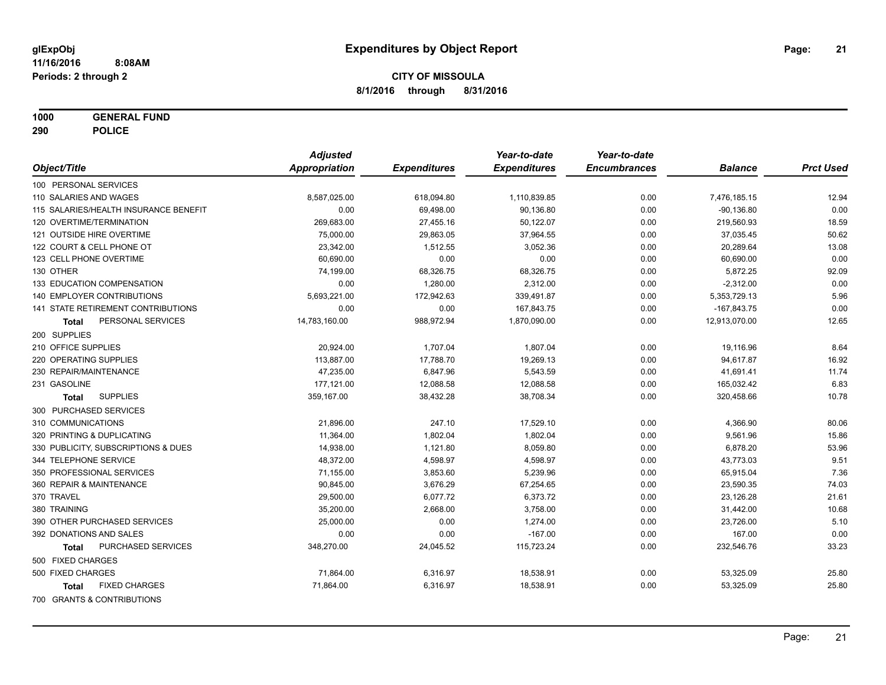**1000 GENERAL FUND**

**290 POLICE**

|                                       | <b>Adjusted</b>      |                     | Year-to-date        | Year-to-date        |                |                  |
|---------------------------------------|----------------------|---------------------|---------------------|---------------------|----------------|------------------|
| Object/Title                          | <b>Appropriation</b> | <b>Expenditures</b> | <b>Expenditures</b> | <b>Encumbrances</b> | <b>Balance</b> | <b>Prct Used</b> |
| 100 PERSONAL SERVICES                 |                      |                     |                     |                     |                |                  |
| 110 SALARIES AND WAGES                | 8,587,025.00         | 618,094.80          | 1,110,839.85        | 0.00                | 7,476,185.15   | 12.94            |
| 115 SALARIES/HEALTH INSURANCE BENEFIT | 0.00                 | 69,498.00           | 90,136.80           | 0.00                | $-90,136.80$   | 0.00             |
| 120 OVERTIME/TERMINATION              | 269,683.00           | 27,455.16           | 50,122.07           | 0.00                | 219,560.93     | 18.59            |
| 121 OUTSIDE HIRE OVERTIME             | 75,000.00            | 29,863.05           | 37,964.55           | 0.00                | 37,035.45      | 50.62            |
| 122 COURT & CELL PHONE OT             | 23,342.00            | 1,512.55            | 3,052.36            | 0.00                | 20,289.64      | 13.08            |
| 123 CELL PHONE OVERTIME               | 60,690.00            | 0.00                | 0.00                | 0.00                | 60,690.00      | 0.00             |
| 130 OTHER                             | 74,199.00            | 68,326.75           | 68,326.75           | 0.00                | 5,872.25       | 92.09            |
| 133 EDUCATION COMPENSATION            | 0.00                 | 1,280.00            | 2,312.00            | 0.00                | $-2,312.00$    | 0.00             |
| 140 EMPLOYER CONTRIBUTIONS            | 5,693,221.00         | 172,942.63          | 339,491.87          | 0.00                | 5,353,729.13   | 5.96             |
| 141 STATE RETIREMENT CONTRIBUTIONS    | 0.00                 | 0.00                | 167,843.75          | 0.00                | $-167,843.75$  | 0.00             |
| PERSONAL SERVICES<br>Total            | 14,783,160.00        | 988,972.94          | 1,870,090.00        | 0.00                | 12,913,070.00  | 12.65            |
| 200 SUPPLIES                          |                      |                     |                     |                     |                |                  |
| 210 OFFICE SUPPLIES                   | 20,924.00            | 1,707.04            | 1,807.04            | 0.00                | 19,116.96      | 8.64             |
| 220 OPERATING SUPPLIES                | 113,887.00           | 17,788.70           | 19,269.13           | 0.00                | 94,617.87      | 16.92            |
| 230 REPAIR/MAINTENANCE                | 47,235.00            | 6,847.96            | 5,543.59            | 0.00                | 41,691.41      | 11.74            |
| 231 GASOLINE                          | 177,121.00           | 12,088.58           | 12,088.58           | 0.00                | 165,032.42     | 6.83             |
| <b>SUPPLIES</b><br>Total              | 359,167.00           | 38,432.28           | 38,708.34           | 0.00                | 320,458.66     | 10.78            |
| 300 PURCHASED SERVICES                |                      |                     |                     |                     |                |                  |
| 310 COMMUNICATIONS                    | 21,896.00            | 247.10              | 17,529.10           | 0.00                | 4,366.90       | 80.06            |
| 320 PRINTING & DUPLICATING            | 11,364.00            | 1,802.04            | 1,802.04            | 0.00                | 9,561.96       | 15.86            |
| 330 PUBLICITY, SUBSCRIPTIONS & DUES   | 14,938.00            | 1,121.80            | 8,059.80            | 0.00                | 6,878.20       | 53.96            |
| 344 TELEPHONE SERVICE                 | 48,372.00            | 4,598.97            | 4,598.97            | 0.00                | 43,773.03      | 9.51             |
| 350 PROFESSIONAL SERVICES             | 71,155.00            | 3,853.60            | 5,239.96            | 0.00                | 65,915.04      | 7.36             |
| 360 REPAIR & MAINTENANCE              | 90,845.00            | 3,676.29            | 67,254.65           | 0.00                | 23,590.35      | 74.03            |
| 370 TRAVEL                            | 29,500.00            | 6,077.72            | 6,373.72            | 0.00                | 23,126.28      | 21.61            |
| 380 TRAINING                          | 35,200.00            | 2,668.00            | 3,758.00            | 0.00                | 31,442.00      | 10.68            |
| 390 OTHER PURCHASED SERVICES          | 25,000.00            | 0.00                | 1,274.00            | 0.00                | 23,726.00      | 5.10             |
| 392 DONATIONS AND SALES               | 0.00                 | 0.00                | $-167.00$           | 0.00                | 167.00         | 0.00             |
| PURCHASED SERVICES<br>Total           | 348,270.00           | 24,045.52           | 115,723.24          | 0.00                | 232,546.76     | 33.23            |
| 500 FIXED CHARGES                     |                      |                     |                     |                     |                |                  |
| 500 FIXED CHARGES                     | 71,864.00            | 6,316.97            | 18,538.91           | 0.00                | 53,325.09      | 25.80            |
| <b>FIXED CHARGES</b><br><b>Total</b>  | 71,864.00            | 6,316.97            | 18,538.91           | 0.00                | 53,325.09      | 25.80            |
| 700 GRANTS & CONTRIBUTIONS            |                      |                     |                     |                     |                |                  |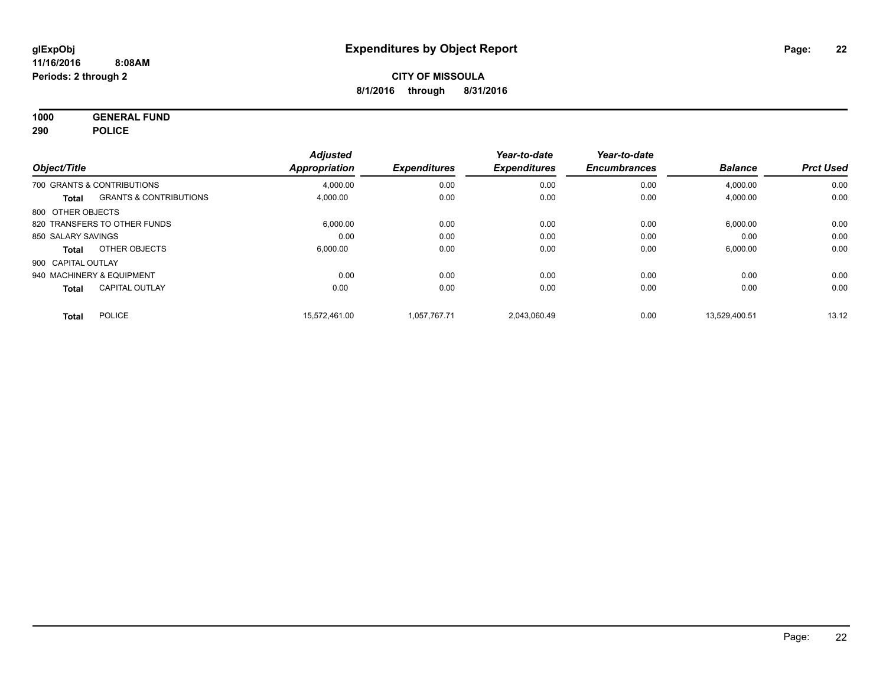**1000 GENERAL FUND 290 POLICE**

|                    |                                   | <b>Adjusted</b> |                     | Year-to-date        | Year-to-date        |                |                  |
|--------------------|-----------------------------------|-----------------|---------------------|---------------------|---------------------|----------------|------------------|
| Object/Title       |                                   | Appropriation   | <b>Expenditures</b> | <b>Expenditures</b> | <b>Encumbrances</b> | <b>Balance</b> | <b>Prct Used</b> |
|                    | 700 GRANTS & CONTRIBUTIONS        | 4.000.00        | 0.00                | 0.00                | 0.00                | 4,000.00       | 0.00             |
| Total              | <b>GRANTS &amp; CONTRIBUTIONS</b> | 4,000.00        | 0.00                | 0.00                | 0.00                | 4,000.00       | 0.00             |
| 800 OTHER OBJECTS  |                                   |                 |                     |                     |                     |                |                  |
|                    | 820 TRANSFERS TO OTHER FUNDS      | 6,000.00        | 0.00                | 0.00                | 0.00                | 6,000.00       | 0.00             |
| 850 SALARY SAVINGS |                                   | 0.00            | 0.00                | 0.00                | 0.00                | 0.00           | 0.00             |
| Total              | OTHER OBJECTS                     | 6.000.00        | 0.00                | 0.00                | 0.00                | 6,000.00       | 0.00             |
| 900 CAPITAL OUTLAY |                                   |                 |                     |                     |                     |                |                  |
|                    | 940 MACHINERY & EQUIPMENT         | 0.00            | 0.00                | 0.00                | 0.00                | 0.00           | 0.00             |
| <b>Total</b>       | <b>CAPITAL OUTLAY</b>             | 0.00            | 0.00                | 0.00                | 0.00                | 0.00           | 0.00             |
| Total              | <b>POLICE</b>                     | 15.572.461.00   | 1.057.767.71        | 2.043.060.49        | 0.00                | 13.529.400.51  | 13.12            |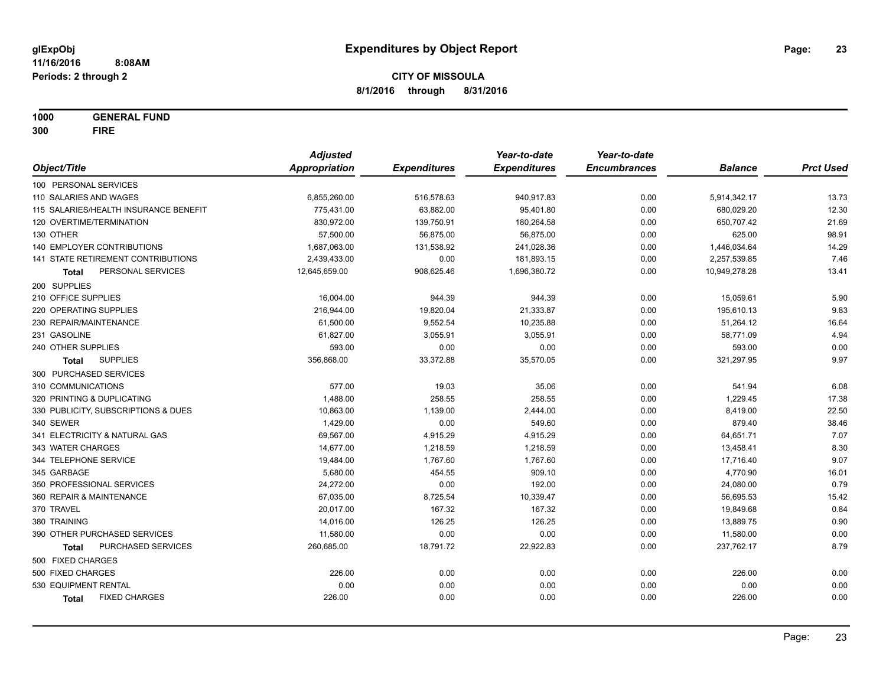**1000 GENERAL FUND 300 FIRE**

|                                       | <b>Adjusted</b>      |                     | Year-to-date        | Year-to-date        |                |                  |
|---------------------------------------|----------------------|---------------------|---------------------|---------------------|----------------|------------------|
| Object/Title                          | <b>Appropriation</b> | <b>Expenditures</b> | <b>Expenditures</b> | <b>Encumbrances</b> | <b>Balance</b> | <b>Prct Used</b> |
| 100 PERSONAL SERVICES                 |                      |                     |                     |                     |                |                  |
| 110 SALARIES AND WAGES                | 6,855,260.00         | 516,578.63          | 940,917.83          | 0.00                | 5,914,342.17   | 13.73            |
| 115 SALARIES/HEALTH INSURANCE BENEFIT | 775,431.00           | 63,882.00           | 95,401.80           | 0.00                | 680,029.20     | 12.30            |
| 120 OVERTIME/TERMINATION              | 830,972.00           | 139,750.91          | 180,264.58          | 0.00                | 650,707.42     | 21.69            |
| 130 OTHER                             | 57,500.00            | 56,875.00           | 56,875.00           | 0.00                | 625.00         | 98.91            |
| 140 EMPLOYER CONTRIBUTIONS            | 1,687,063.00         | 131,538.92          | 241,028.36          | 0.00                | 1,446,034.64   | 14.29            |
| 141 STATE RETIREMENT CONTRIBUTIONS    | 2,439,433.00         | 0.00                | 181,893.15          | 0.00                | 2,257,539.85   | 7.46             |
| PERSONAL SERVICES<br>Total            | 12,645,659.00        | 908,625.46          | 1,696,380.72        | 0.00                | 10,949,278.28  | 13.41            |
| 200 SUPPLIES                          |                      |                     |                     |                     |                |                  |
| 210 OFFICE SUPPLIES                   | 16,004.00            | 944.39              | 944.39              | 0.00                | 15,059.61      | 5.90             |
| 220 OPERATING SUPPLIES                | 216,944.00           | 19,820.04           | 21,333.87           | 0.00                | 195,610.13     | 9.83             |
| 230 REPAIR/MAINTENANCE                | 61,500.00            | 9,552.54            | 10,235.88           | 0.00                | 51,264.12      | 16.64            |
| 231 GASOLINE                          | 61,827.00            | 3,055.91            | 3,055.91            | 0.00                | 58,771.09      | 4.94             |
| 240 OTHER SUPPLIES                    | 593.00               | 0.00                | 0.00                | 0.00                | 593.00         | 0.00             |
| <b>SUPPLIES</b><br><b>Total</b>       | 356,868.00           | 33,372.88           | 35,570.05           | 0.00                | 321,297.95     | 9.97             |
| 300 PURCHASED SERVICES                |                      |                     |                     |                     |                |                  |
| 310 COMMUNICATIONS                    | 577.00               | 19.03               | 35.06               | 0.00                | 541.94         | 6.08             |
| 320 PRINTING & DUPLICATING            | 1,488.00             | 258.55              | 258.55              | 0.00                | 1,229.45       | 17.38            |
| 330 PUBLICITY, SUBSCRIPTIONS & DUES   | 10,863.00            | 1,139.00            | 2,444.00            | 0.00                | 8,419.00       | 22.50            |
| 340 SEWER                             | 1,429.00             | 0.00                | 549.60              | 0.00                | 879.40         | 38.46            |
| 341 ELECTRICITY & NATURAL GAS         | 69,567.00            | 4,915.29            | 4,915.29            | 0.00                | 64,651.71      | 7.07             |
| 343 WATER CHARGES                     | 14,677.00            | 1,218.59            | 1,218.59            | 0.00                | 13,458.41      | 8.30             |
| 344 TELEPHONE SERVICE                 | 19,484.00            | 1,767.60            | 1,767.60            | 0.00                | 17,716.40      | 9.07             |
| 345 GARBAGE                           | 5,680.00             | 454.55              | 909.10              | 0.00                | 4,770.90       | 16.01            |
| 350 PROFESSIONAL SERVICES             | 24,272.00            | 0.00                | 192.00              | 0.00                | 24,080.00      | 0.79             |
| 360 REPAIR & MAINTENANCE              | 67,035.00            | 8,725.54            | 10,339.47           | 0.00                | 56,695.53      | 15.42            |
| 370 TRAVEL                            | 20,017.00            | 167.32              | 167.32              | 0.00                | 19,849.68      | 0.84             |
| 380 TRAINING                          | 14,016.00            | 126.25              | 126.25              | 0.00                | 13,889.75      | 0.90             |
| 390 OTHER PURCHASED SERVICES          | 11,580.00            | 0.00                | 0.00                | 0.00                | 11,580.00      | 0.00             |
| PURCHASED SERVICES<br>Total           | 260,685.00           | 18,791.72           | 22,922.83           | 0.00                | 237,762.17     | 8.79             |
| 500 FIXED CHARGES                     |                      |                     |                     |                     |                |                  |
| 500 FIXED CHARGES                     | 226.00               | 0.00                | 0.00                | 0.00                | 226.00         | 0.00             |
| 530 EQUIPMENT RENTAL                  | 0.00                 | 0.00                | 0.00                | 0.00                | 0.00           | 0.00             |
| <b>FIXED CHARGES</b><br><b>Total</b>  | 226.00               | 0.00                | 0.00                | 0.00                | 226.00         | 0.00             |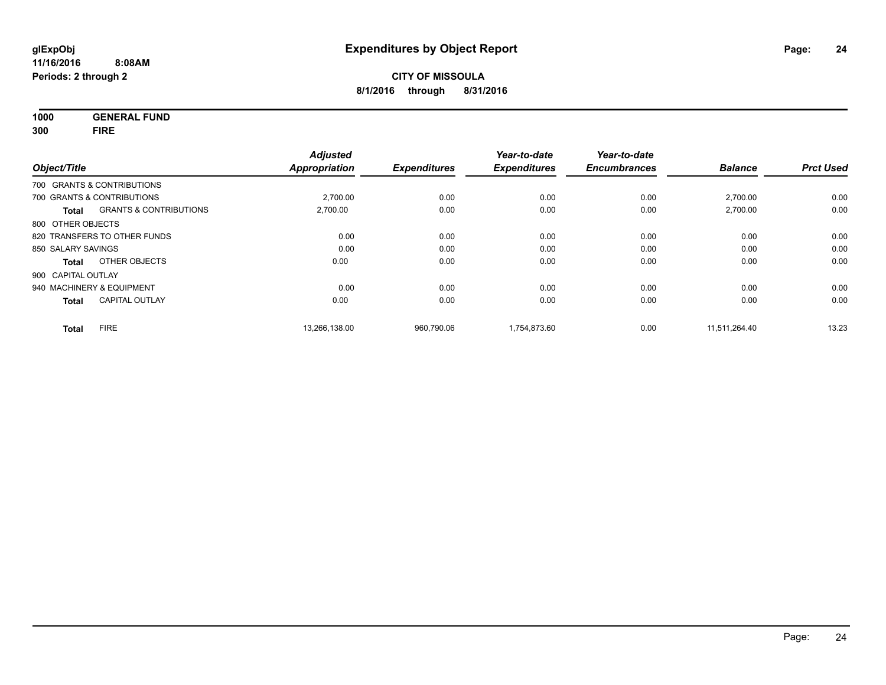**1000 GENERAL FUND 300 FIRE**

| Object/Title       |                                   | <b>Adjusted</b><br><b>Appropriation</b> | <b>Expenditures</b> | Year-to-date<br><b>Expenditures</b> | Year-to-date<br><b>Encumbrances</b> | <b>Balance</b> | <b>Prct Used</b> |
|--------------------|-----------------------------------|-----------------------------------------|---------------------|-------------------------------------|-------------------------------------|----------------|------------------|
|                    | 700 GRANTS & CONTRIBUTIONS        |                                         |                     |                                     |                                     |                |                  |
|                    | 700 GRANTS & CONTRIBUTIONS        | 2,700.00                                | 0.00                | 0.00                                | 0.00                                | 2,700.00       | 0.00             |
| <b>Total</b>       | <b>GRANTS &amp; CONTRIBUTIONS</b> | 2,700.00                                | 0.00                | 0.00                                | 0.00                                | 2,700.00       | 0.00             |
| 800 OTHER OBJECTS  |                                   |                                         |                     |                                     |                                     |                |                  |
|                    | 820 TRANSFERS TO OTHER FUNDS      | 0.00                                    | 0.00                | 0.00                                | 0.00                                | 0.00           | 0.00             |
| 850 SALARY SAVINGS |                                   | 0.00                                    | 0.00                | 0.00                                | 0.00                                | 0.00           | 0.00             |
| Total              | OTHER OBJECTS                     | 0.00                                    | 0.00                | 0.00                                | 0.00                                | 0.00           | 0.00             |
| 900 CAPITAL OUTLAY |                                   |                                         |                     |                                     |                                     |                |                  |
|                    | 940 MACHINERY & EQUIPMENT         | 0.00                                    | 0.00                | 0.00                                | 0.00                                | 0.00           | 0.00             |
| <b>Total</b>       | <b>CAPITAL OUTLAY</b>             | 0.00                                    | 0.00                | 0.00                                | 0.00                                | 0.00           | 0.00             |
| <b>Total</b>       | <b>FIRE</b>                       | 13.266.138.00                           | 960.790.06          | 1.754.873.60                        | 0.00                                | 11.511.264.40  | 13.23            |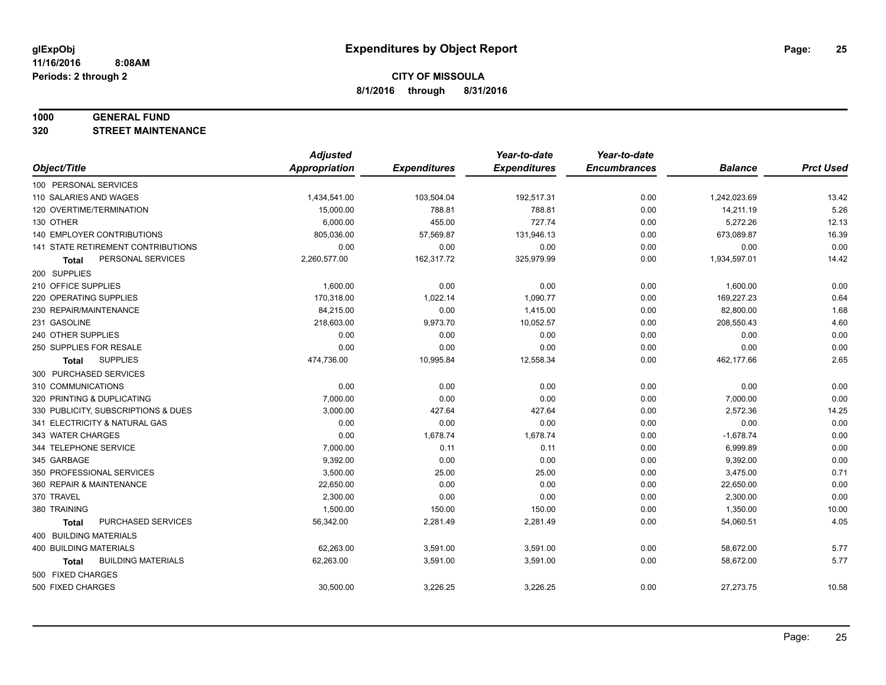#### **1000 GENERAL FUND**

**320 STREET MAINTENANCE**

|                                     | <b>Adjusted</b>      |                     | Year-to-date        | Year-to-date        |                |                  |
|-------------------------------------|----------------------|---------------------|---------------------|---------------------|----------------|------------------|
| Object/Title                        | <b>Appropriation</b> | <b>Expenditures</b> | <b>Expenditures</b> | <b>Encumbrances</b> | <b>Balance</b> | <b>Prct Used</b> |
| 100 PERSONAL SERVICES               |                      |                     |                     |                     |                |                  |
| 110 SALARIES AND WAGES              | 1,434,541.00         | 103,504.04          | 192,517.31          | 0.00                | 1,242,023.69   | 13.42            |
| 120 OVERTIME/TERMINATION            | 15,000.00            | 788.81              | 788.81              | 0.00                | 14,211.19      | 5.26             |
| 130 OTHER                           | 6,000.00             | 455.00              | 727.74              | 0.00                | 5,272.26       | 12.13            |
| <b>140 EMPLOYER CONTRIBUTIONS</b>   | 805,036.00           | 57,569.87           | 131,946.13          | 0.00                | 673,089.87     | 16.39            |
| 141 STATE RETIREMENT CONTRIBUTIONS  | 0.00                 | 0.00                | 0.00                | 0.00                | 0.00           | 0.00             |
| PERSONAL SERVICES<br>Total          | 2,260,577.00         | 162,317.72          | 325,979.99          | 0.00                | 1,934,597.01   | 14.42            |
| 200 SUPPLIES                        |                      |                     |                     |                     |                |                  |
| 210 OFFICE SUPPLIES                 | 1,600.00             | 0.00                | 0.00                | 0.00                | 1,600.00       | 0.00             |
| 220 OPERATING SUPPLIES              | 170,318.00           | 1,022.14            | 1,090.77            | 0.00                | 169,227.23     | 0.64             |
| 230 REPAIR/MAINTENANCE              | 84,215.00            | 0.00                | 1,415.00            | 0.00                | 82,800.00      | 1.68             |
| 231 GASOLINE                        | 218,603.00           | 9,973.70            | 10,052.57           | 0.00                | 208,550.43     | 4.60             |
| 240 OTHER SUPPLIES                  | 0.00                 | 0.00                | 0.00                | 0.00                | 0.00           | 0.00             |
| 250 SUPPLIES FOR RESALE             | 0.00                 | 0.00                | 0.00                | 0.00                | 0.00           | 0.00             |
| <b>SUPPLIES</b><br><b>Total</b>     | 474,736.00           | 10,995.84           | 12,558.34           | 0.00                | 462,177.66     | 2.65             |
| 300 PURCHASED SERVICES              |                      |                     |                     |                     |                |                  |
| 310 COMMUNICATIONS                  | 0.00                 | 0.00                | 0.00                | 0.00                | 0.00           | 0.00             |
| 320 PRINTING & DUPLICATING          | 7,000.00             | 0.00                | 0.00                | 0.00                | 7,000.00       | 0.00             |
| 330 PUBLICITY, SUBSCRIPTIONS & DUES | 3,000.00             | 427.64              | 427.64              | 0.00                | 2,572.36       | 14.25            |
| 341 ELECTRICITY & NATURAL GAS       | 0.00                 | 0.00                | 0.00                | 0.00                | 0.00           | 0.00             |
| 343 WATER CHARGES                   | 0.00                 | 1,678.74            | 1,678.74            | 0.00                | $-1,678.74$    | 0.00             |
| 344 TELEPHONE SERVICE               | 7,000.00             | 0.11                | 0.11                | 0.00                | 6,999.89       | 0.00             |
| 345 GARBAGE                         | 9,392.00             | 0.00                | 0.00                | 0.00                | 9,392.00       | 0.00             |
| 350 PROFESSIONAL SERVICES           | 3,500.00             | 25.00               | 25.00               | 0.00                | 3,475.00       | 0.71             |
| 360 REPAIR & MAINTENANCE            | 22,650.00            | 0.00                | 0.00                | 0.00                | 22,650.00      | 0.00             |
| 370 TRAVEL                          | 2,300.00             | 0.00                | 0.00                | 0.00                | 2,300.00       | 0.00             |
| 380 TRAINING                        | 1,500.00             | 150.00              | 150.00              | 0.00                | 1,350.00       | 10.00            |
| PURCHASED SERVICES<br><b>Total</b>  | 56,342.00            | 2,281.49            | 2,281.49            | 0.00                | 54,060.51      | 4.05             |
| 400 BUILDING MATERIALS              |                      |                     |                     |                     |                |                  |
| 400 BUILDING MATERIALS              | 62,263.00            | 3,591.00            | 3,591.00            | 0.00                | 58,672.00      | 5.77             |
| <b>BUILDING MATERIALS</b><br>Total  | 62,263.00            | 3,591.00            | 3,591.00            | 0.00                | 58,672.00      | 5.77             |
| 500 FIXED CHARGES                   |                      |                     |                     |                     |                |                  |
| 500 FIXED CHARGES                   | 30,500.00            | 3,226.25            | 3,226.25            | 0.00                | 27,273.75      | 10.58            |
|                                     |                      |                     |                     |                     |                |                  |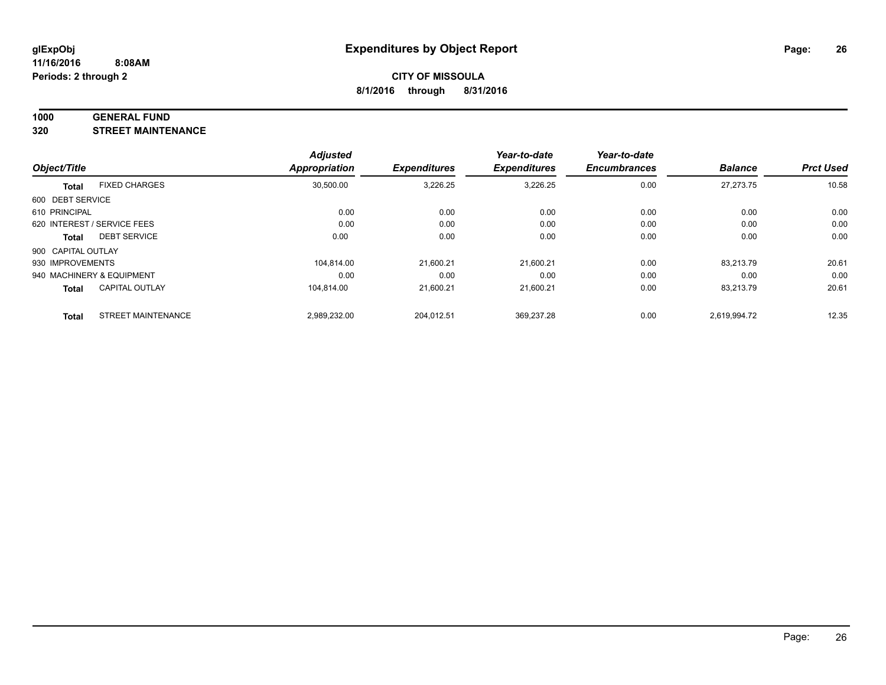#### **1000 GENERAL FUND**

**320 STREET MAINTENANCE**

|                    |                             | <b>Adjusted</b>      |                     | Year-to-date        | Year-to-date        |                |                  |
|--------------------|-----------------------------|----------------------|---------------------|---------------------|---------------------|----------------|------------------|
| Object/Title       |                             | <b>Appropriation</b> | <b>Expenditures</b> | <b>Expenditures</b> | <b>Encumbrances</b> | <b>Balance</b> | <b>Prct Used</b> |
| <b>Total</b>       | <b>FIXED CHARGES</b>        | 30,500.00            | 3,226.25            | 3,226.25            | 0.00                | 27,273.75      | 10.58            |
| 600 DEBT SERVICE   |                             |                      |                     |                     |                     |                |                  |
| 610 PRINCIPAL      |                             | 0.00                 | 0.00                | 0.00                | 0.00                | 0.00           | 0.00             |
|                    | 620 INTEREST / SERVICE FEES | 0.00                 | 0.00                | 0.00                | 0.00                | 0.00           | 0.00             |
| <b>Total</b>       | <b>DEBT SERVICE</b>         | 0.00                 | 0.00                | 0.00                | 0.00                | 0.00           | 0.00             |
| 900 CAPITAL OUTLAY |                             |                      |                     |                     |                     |                |                  |
| 930 IMPROVEMENTS   |                             | 104.814.00           | 21.600.21           | 21.600.21           | 0.00                | 83.213.79      | 20.61            |
|                    | 940 MACHINERY & EQUIPMENT   | 0.00                 | 0.00                | 0.00                | 0.00                | 0.00           | 0.00             |
| <b>Total</b>       | <b>CAPITAL OUTLAY</b>       | 104.814.00           | 21,600.21           | 21,600.21           | 0.00                | 83,213.79      | 20.61            |
| <b>Total</b>       | <b>STREET MAINTENANCE</b>   | 2,989,232.00         | 204,012.51          | 369,237.28          | 0.00                | 2.619.994.72   | 12.35            |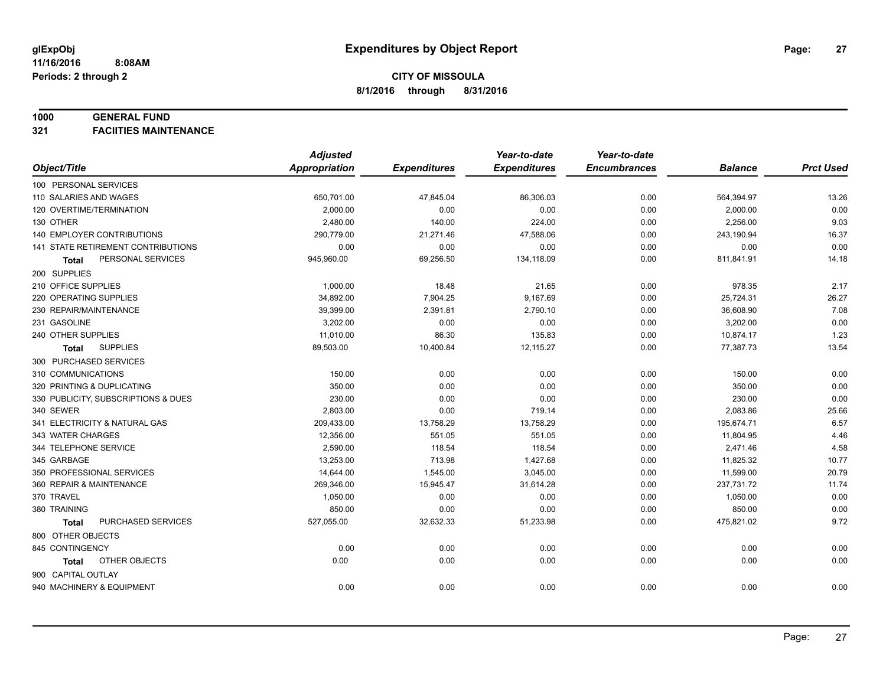#### **1000 GENERAL FUND**

**321 FACIITIES MAINTENANCE**

|                                     | <b>Adjusted</b>      |                     | Year-to-date        | Year-to-date        |                |                  |
|-------------------------------------|----------------------|---------------------|---------------------|---------------------|----------------|------------------|
| Object/Title                        | <b>Appropriation</b> | <b>Expenditures</b> | <b>Expenditures</b> | <b>Encumbrances</b> | <b>Balance</b> | <b>Prct Used</b> |
| 100 PERSONAL SERVICES               |                      |                     |                     |                     |                |                  |
| 110 SALARIES AND WAGES              | 650,701.00           | 47,845.04           | 86,306.03           | 0.00                | 564,394.97     | 13.26            |
| 120 OVERTIME/TERMINATION            | 2,000.00             | 0.00                | 0.00                | 0.00                | 2,000.00       | 0.00             |
| 130 OTHER                           | 2,480.00             | 140.00              | 224.00              | 0.00                | 2,256.00       | 9.03             |
| <b>140 EMPLOYER CONTRIBUTIONS</b>   | 290,779.00           | 21,271.46           | 47,588.06           | 0.00                | 243,190.94     | 16.37            |
| 141 STATE RETIREMENT CONTRIBUTIONS  | 0.00                 | 0.00                | 0.00                | 0.00                | 0.00           | 0.00             |
| PERSONAL SERVICES<br>Total          | 945,960.00           | 69,256.50           | 134,118.09          | 0.00                | 811,841.91     | 14.18            |
| 200 SUPPLIES                        |                      |                     |                     |                     |                |                  |
| 210 OFFICE SUPPLIES                 | 1,000.00             | 18.48               | 21.65               | 0.00                | 978.35         | 2.17             |
| 220 OPERATING SUPPLIES              | 34,892.00            | 7,904.25            | 9,167.69            | 0.00                | 25,724.31      | 26.27            |
| 230 REPAIR/MAINTENANCE              | 39,399.00            | 2,391.81            | 2,790.10            | 0.00                | 36,608.90      | 7.08             |
| 231 GASOLINE                        | 3,202.00             | 0.00                | 0.00                | 0.00                | 3,202.00       | 0.00             |
| 240 OTHER SUPPLIES                  | 11,010.00            | 86.30               | 135.83              | 0.00                | 10,874.17      | 1.23             |
| <b>SUPPLIES</b><br>Total            | 89,503.00            | 10,400.84           | 12,115.27           | 0.00                | 77,387.73      | 13.54            |
| 300 PURCHASED SERVICES              |                      |                     |                     |                     |                |                  |
| 310 COMMUNICATIONS                  | 150.00               | 0.00                | 0.00                | 0.00                | 150.00         | 0.00             |
| 320 PRINTING & DUPLICATING          | 350.00               | 0.00                | 0.00                | 0.00                | 350.00         | 0.00             |
| 330 PUBLICITY, SUBSCRIPTIONS & DUES | 230.00               | 0.00                | 0.00                | 0.00                | 230.00         | 0.00             |
| 340 SEWER                           | 2,803.00             | 0.00                | 719.14              | 0.00                | 2,083.86       | 25.66            |
| 341 ELECTRICITY & NATURAL GAS       | 209,433.00           | 13,758.29           | 13,758.29           | 0.00                | 195,674.71     | 6.57             |
| 343 WATER CHARGES                   | 12,356.00            | 551.05              | 551.05              | 0.00                | 11,804.95      | 4.46             |
| 344 TELEPHONE SERVICE               | 2,590.00             | 118.54              | 118.54              | 0.00                | 2,471.46       | 4.58             |
| 345 GARBAGE                         | 13,253.00            | 713.98              | 1,427.68            | 0.00                | 11,825.32      | 10.77            |
| 350 PROFESSIONAL SERVICES           | 14,644.00            | 1,545.00            | 3,045.00            | 0.00                | 11,599.00      | 20.79            |
| 360 REPAIR & MAINTENANCE            | 269,346.00           | 15,945.47           | 31,614.28           | 0.00                | 237,731.72     | 11.74            |
| 370 TRAVEL                          | 1,050.00             | 0.00                | 0.00                | 0.00                | 1,050.00       | 0.00             |
| 380 TRAINING                        | 850.00               | 0.00                | 0.00                | 0.00                | 850.00         | 0.00             |
| PURCHASED SERVICES<br><b>Total</b>  | 527,055.00           | 32,632.33           | 51,233.98           | 0.00                | 475,821.02     | 9.72             |
| 800 OTHER OBJECTS                   |                      |                     |                     |                     |                |                  |
| 845 CONTINGENCY                     | 0.00                 | 0.00                | 0.00                | 0.00                | 0.00           | 0.00             |
| OTHER OBJECTS<br>Total              | 0.00                 | 0.00                | 0.00                | 0.00                | 0.00           | 0.00             |
| 900 CAPITAL OUTLAY                  |                      |                     |                     |                     |                |                  |
| 940 MACHINERY & EQUIPMENT           | 0.00                 | 0.00                | 0.00                | 0.00                | 0.00           | 0.00             |
|                                     |                      |                     |                     |                     |                |                  |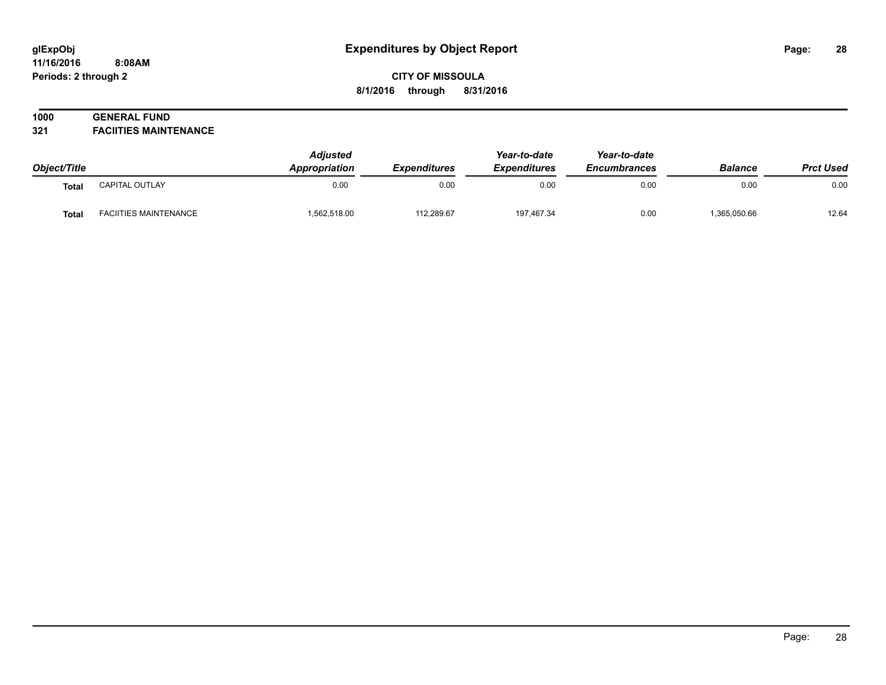#### **11/16/2016 8:08AM Periods: 2 through 2**

# **CITY OF MISSOULA 8/1/2016 through 8/31/2016**

# **1000 GENERAL FUND**

**321 FACIITIES MAINTENANCE**

| Object/Title |                              | <b>Adjusted</b><br><b>Appropriation</b> | Expenditures | Year-to-date<br><b>Expenditures</b> | Year-to-date<br><b>Encumbrances</b> | <b>Balance</b> | <b>Prct Used</b> |
|--------------|------------------------------|-----------------------------------------|--------------|-------------------------------------|-------------------------------------|----------------|------------------|
| <b>Total</b> | CAPITAL OUTLAY               | 0.00                                    | 0.00         | 0.00                                | 0.00                                | 0.00           | 0.00             |
| <b>Total</b> | <b>FACIITIES MAINTENANCE</b> | 1,562,518.00                            | 112,289.67   | 197,467.34                          | 0.00                                | ,365,050.66    | 12.64            |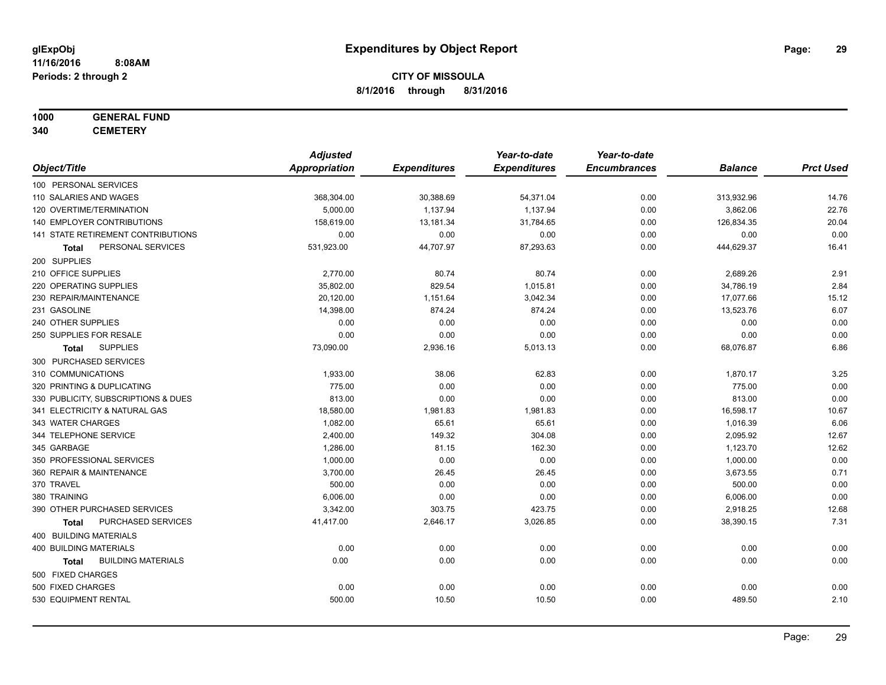# **1000 GENERAL FUND**

**340 CEMETERY**

|                                           | <b>Adjusted</b>      |                     | Year-to-date        | Year-to-date        |                |                  |
|-------------------------------------------|----------------------|---------------------|---------------------|---------------------|----------------|------------------|
| Object/Title                              | <b>Appropriation</b> | <b>Expenditures</b> | <b>Expenditures</b> | <b>Encumbrances</b> | <b>Balance</b> | <b>Prct Used</b> |
| 100 PERSONAL SERVICES                     |                      |                     |                     |                     |                |                  |
| 110 SALARIES AND WAGES                    | 368,304.00           | 30,388.69           | 54,371.04           | 0.00                | 313,932.96     | 14.76            |
| 120 OVERTIME/TERMINATION                  | 5,000.00             | 1,137.94            | 1,137.94            | 0.00                | 3,862.06       | 22.76            |
| 140 EMPLOYER CONTRIBUTIONS                | 158,619.00           | 13,181.34           | 31,784.65           | 0.00                | 126,834.35     | 20.04            |
| 141 STATE RETIREMENT CONTRIBUTIONS        | 0.00                 | 0.00                | 0.00                | 0.00                | 0.00           | 0.00             |
| PERSONAL SERVICES<br>Total                | 531,923.00           | 44,707.97           | 87,293.63           | 0.00                | 444,629.37     | 16.41            |
| 200 SUPPLIES                              |                      |                     |                     |                     |                |                  |
| 210 OFFICE SUPPLIES                       | 2,770.00             | 80.74               | 80.74               | 0.00                | 2,689.26       | 2.91             |
| 220 OPERATING SUPPLIES                    | 35,802.00            | 829.54              | 1,015.81            | 0.00                | 34,786.19      | 2.84             |
| 230 REPAIR/MAINTENANCE                    | 20,120.00            | 1,151.64            | 3,042.34            | 0.00                | 17,077.66      | 15.12            |
| 231 GASOLINE                              | 14,398.00            | 874.24              | 874.24              | 0.00                | 13,523.76      | 6.07             |
| 240 OTHER SUPPLIES                        | 0.00                 | 0.00                | 0.00                | 0.00                | 0.00           | 0.00             |
| 250 SUPPLIES FOR RESALE                   | 0.00                 | 0.00                | 0.00                | 0.00                | 0.00           | 0.00             |
| <b>SUPPLIES</b><br>Total                  | 73,090.00            | 2,936.16            | 5,013.13            | 0.00                | 68,076.87      | 6.86             |
| 300 PURCHASED SERVICES                    |                      |                     |                     |                     |                |                  |
| 310 COMMUNICATIONS                        | 1,933.00             | 38.06               | 62.83               | 0.00                | 1,870.17       | 3.25             |
| 320 PRINTING & DUPLICATING                | 775.00               | 0.00                | 0.00                | 0.00                | 775.00         | 0.00             |
| 330 PUBLICITY, SUBSCRIPTIONS & DUES       | 813.00               | 0.00                | 0.00                | 0.00                | 813.00         | 0.00             |
| 341 ELECTRICITY & NATURAL GAS             | 18,580.00            | 1,981.83            | 1,981.83            | 0.00                | 16,598.17      | 10.67            |
| 343 WATER CHARGES                         | 1,082.00             | 65.61               | 65.61               | 0.00                | 1,016.39       | 6.06             |
| 344 TELEPHONE SERVICE                     | 2,400.00             | 149.32              | 304.08              | 0.00                | 2,095.92       | 12.67            |
| 345 GARBAGE                               | 1,286.00             | 81.15               | 162.30              | 0.00                | 1,123.70       | 12.62            |
| 350 PROFESSIONAL SERVICES                 | 1,000.00             | 0.00                | 0.00                | 0.00                | 1,000.00       | 0.00             |
| 360 REPAIR & MAINTENANCE                  | 3,700.00             | 26.45               | 26.45               | 0.00                | 3,673.55       | 0.71             |
| 370 TRAVEL                                | 500.00               | 0.00                | 0.00                | 0.00                | 500.00         | 0.00             |
| 380 TRAINING                              | 6,006.00             | 0.00                | 0.00                | 0.00                | 6,006.00       | 0.00             |
| 390 OTHER PURCHASED SERVICES              | 3,342.00             | 303.75              | 423.75              | 0.00                | 2,918.25       | 12.68            |
| PURCHASED SERVICES<br><b>Total</b>        | 41,417.00            | 2,646.17            | 3,026.85            | 0.00                | 38,390.15      | 7.31             |
| 400 BUILDING MATERIALS                    |                      |                     |                     |                     |                |                  |
| <b>400 BUILDING MATERIALS</b>             | 0.00                 | 0.00                | 0.00                | 0.00                | 0.00           | 0.00             |
| <b>BUILDING MATERIALS</b><br><b>Total</b> | 0.00                 | 0.00                | 0.00                | 0.00                | 0.00           | 0.00             |
| 500 FIXED CHARGES                         |                      |                     |                     |                     |                |                  |
| 500 FIXED CHARGES                         | 0.00                 | 0.00                | 0.00                | 0.00                | 0.00           | 0.00             |
| 530 EQUIPMENT RENTAL                      | 500.00               | 10.50               | 10.50               | 0.00                | 489.50         | 2.10             |
|                                           |                      |                     |                     |                     |                |                  |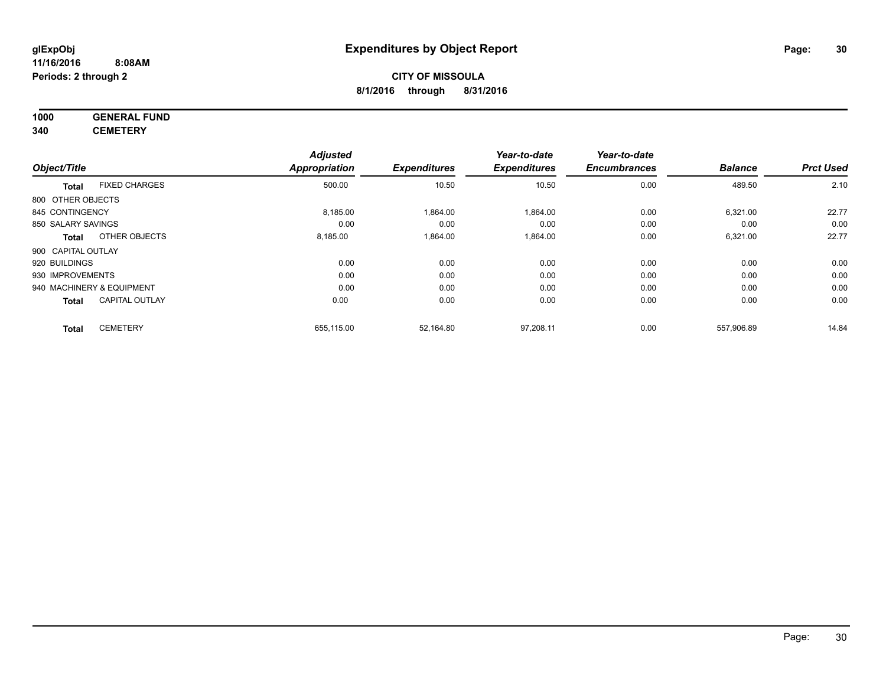#### **11/16/2016 8:08AM Periods: 2 through 2**

# **CITY OF MISSOULA 8/1/2016 through 8/31/2016**

**1000 GENERAL FUND 340 CEMETERY**

|                           |                       | <b>Adjusted</b>      |                     | Year-to-date        | Year-to-date        |                |                  |
|---------------------------|-----------------------|----------------------|---------------------|---------------------|---------------------|----------------|------------------|
| Object/Title              |                       | <b>Appropriation</b> | <b>Expenditures</b> | <b>Expenditures</b> | <b>Encumbrances</b> | <b>Balance</b> | <b>Prct Used</b> |
| <b>Total</b>              | <b>FIXED CHARGES</b>  | 500.00               | 10.50               | 10.50               | 0.00                | 489.50         | 2.10             |
| 800 OTHER OBJECTS         |                       |                      |                     |                     |                     |                |                  |
| 845 CONTINGENCY           |                       | 8,185.00             | 1.864.00            | 1,864.00            | 0.00                | 6,321.00       | 22.77            |
| 850 SALARY SAVINGS        |                       | 0.00                 | 0.00                | 0.00                | 0.00                | 0.00           | 0.00             |
| <b>Total</b>              | OTHER OBJECTS         | 8,185.00             | 1,864.00            | 1,864.00            | 0.00                | 6,321.00       | 22.77            |
| 900 CAPITAL OUTLAY        |                       |                      |                     |                     |                     |                |                  |
| 920 BUILDINGS             |                       | 0.00                 | 0.00                | 0.00                | 0.00                | 0.00           | 0.00             |
| 930 IMPROVEMENTS          |                       | 0.00                 | 0.00                | 0.00                | 0.00                | 0.00           | 0.00             |
| 940 MACHINERY & EQUIPMENT |                       | 0.00                 | 0.00                | 0.00                | 0.00                | 0.00           | 0.00             |
| <b>Total</b>              | <b>CAPITAL OUTLAY</b> | 0.00                 | 0.00                | 0.00                | 0.00                | 0.00           | 0.00             |
| <b>Total</b>              | <b>CEMETERY</b>       | 655,115.00           | 52,164.80           | 97.208.11           | 0.00                | 557.906.89     | 14.84            |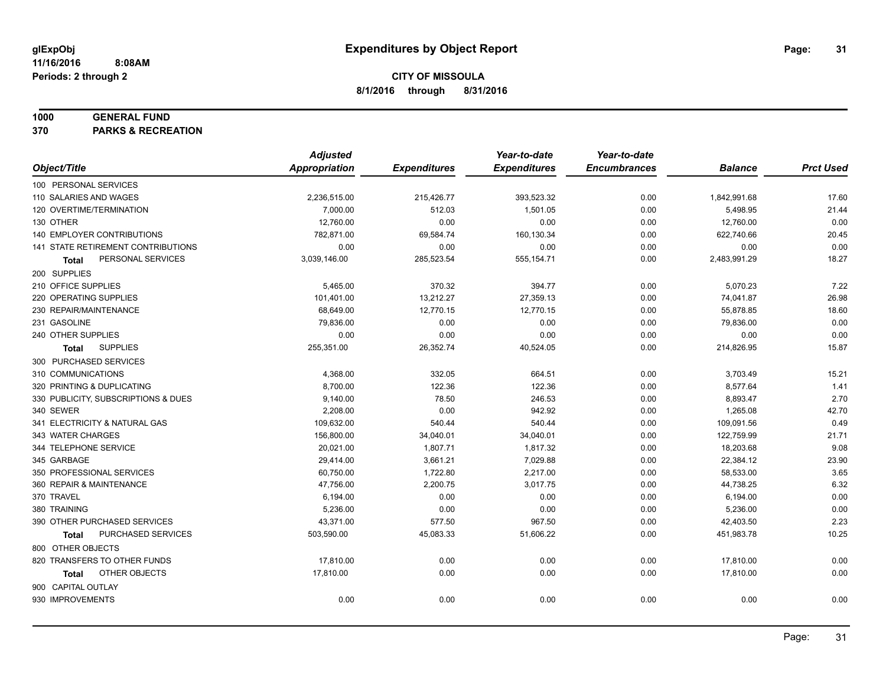#### **1000 GENERAL FUND**

**370 PARKS & RECREATION**

|                                           | <b>Adjusted</b>      |                     | Year-to-date        | Year-to-date        |                |                  |
|-------------------------------------------|----------------------|---------------------|---------------------|---------------------|----------------|------------------|
| Object/Title                              | <b>Appropriation</b> | <b>Expenditures</b> | <b>Expenditures</b> | <b>Encumbrances</b> | <b>Balance</b> | <b>Prct Used</b> |
| 100 PERSONAL SERVICES                     |                      |                     |                     |                     |                |                  |
| 110 SALARIES AND WAGES                    | 2,236,515.00         | 215,426.77          | 393,523.32          | 0.00                | 1,842,991.68   | 17.60            |
| 120 OVERTIME/TERMINATION                  | 7,000.00             | 512.03              | 1,501.05            | 0.00                | 5,498.95       | 21.44            |
| 130 OTHER                                 | 12,760.00            | 0.00                | 0.00                | 0.00                | 12,760.00      | 0.00             |
| 140 EMPLOYER CONTRIBUTIONS                | 782,871.00           | 69,584.74           | 160,130.34          | 0.00                | 622,740.66     | 20.45            |
| <b>141 STATE RETIREMENT CONTRIBUTIONS</b> | 0.00                 | 0.00                | 0.00                | 0.00                | 0.00           | 0.00             |
| PERSONAL SERVICES<br>Total                | 3,039,146.00         | 285,523.54          | 555,154.71          | 0.00                | 2,483,991.29   | 18.27            |
| 200 SUPPLIES                              |                      |                     |                     |                     |                |                  |
| 210 OFFICE SUPPLIES                       | 5,465.00             | 370.32              | 394.77              | 0.00                | 5,070.23       | 7.22             |
| 220 OPERATING SUPPLIES                    | 101,401.00           | 13,212.27           | 27,359.13           | 0.00                | 74,041.87      | 26.98            |
| 230 REPAIR/MAINTENANCE                    | 68,649.00            | 12,770.15           | 12,770.15           | 0.00                | 55,878.85      | 18.60            |
| 231 GASOLINE                              | 79,836.00            | 0.00                | 0.00                | 0.00                | 79,836.00      | 0.00             |
| 240 OTHER SUPPLIES                        | 0.00                 | 0.00                | 0.00                | 0.00                | 0.00           | 0.00             |
| <b>SUPPLIES</b><br><b>Total</b>           | 255,351.00           | 26,352.74           | 40,524.05           | 0.00                | 214,826.95     | 15.87            |
| 300 PURCHASED SERVICES                    |                      |                     |                     |                     |                |                  |
| 310 COMMUNICATIONS                        | 4,368.00             | 332.05              | 664.51              | 0.00                | 3,703.49       | 15.21            |
| 320 PRINTING & DUPLICATING                | 8,700.00             | 122.36              | 122.36              | 0.00                | 8,577.64       | 1.41             |
| 330 PUBLICITY, SUBSCRIPTIONS & DUES       | 9,140.00             | 78.50               | 246.53              | 0.00                | 8,893.47       | 2.70             |
| 340 SEWER                                 | 2,208.00             | 0.00                | 942.92              | 0.00                | 1,265.08       | 42.70            |
| 341 ELECTRICITY & NATURAL GAS             | 109,632.00           | 540.44              | 540.44              | 0.00                | 109,091.56     | 0.49             |
| 343 WATER CHARGES                         | 156,800.00           | 34,040.01           | 34,040.01           | 0.00                | 122,759.99     | 21.71            |
| 344 TELEPHONE SERVICE                     | 20,021.00            | 1,807.71            | 1,817.32            | 0.00                | 18,203.68      | 9.08             |
| 345 GARBAGE                               | 29,414.00            | 3,661.21            | 7,029.88            | 0.00                | 22,384.12      | 23.90            |
| 350 PROFESSIONAL SERVICES                 | 60,750.00            | 1,722.80            | 2,217.00            | 0.00                | 58,533.00      | 3.65             |
| 360 REPAIR & MAINTENANCE                  | 47,756.00            | 2,200.75            | 3,017.75            | 0.00                | 44,738.25      | 6.32             |
| 370 TRAVEL                                | 6,194.00             | 0.00                | 0.00                | 0.00                | 6,194.00       | 0.00             |
| 380 TRAINING                              | 5,236.00             | 0.00                | 0.00                | 0.00                | 5,236.00       | 0.00             |
| 390 OTHER PURCHASED SERVICES              | 43,371.00            | 577.50              | 967.50              | 0.00                | 42,403.50      | 2.23             |
| PURCHASED SERVICES<br><b>Total</b>        | 503,590.00           | 45,083.33           | 51,606.22           | 0.00                | 451,983.78     | 10.25            |
| 800 OTHER OBJECTS                         |                      |                     |                     |                     |                |                  |
| 820 TRANSFERS TO OTHER FUNDS              | 17,810.00            | 0.00                | 0.00                | 0.00                | 17,810.00      | 0.00             |
| OTHER OBJECTS<br><b>Total</b>             | 17,810.00            | 0.00                | 0.00                | 0.00                | 17,810.00      | 0.00             |
| 900 CAPITAL OUTLAY                        |                      |                     |                     |                     |                |                  |
| 930 IMPROVEMENTS                          | 0.00                 | 0.00                | 0.00                | 0.00                | 0.00           | 0.00             |
|                                           |                      |                     |                     |                     |                |                  |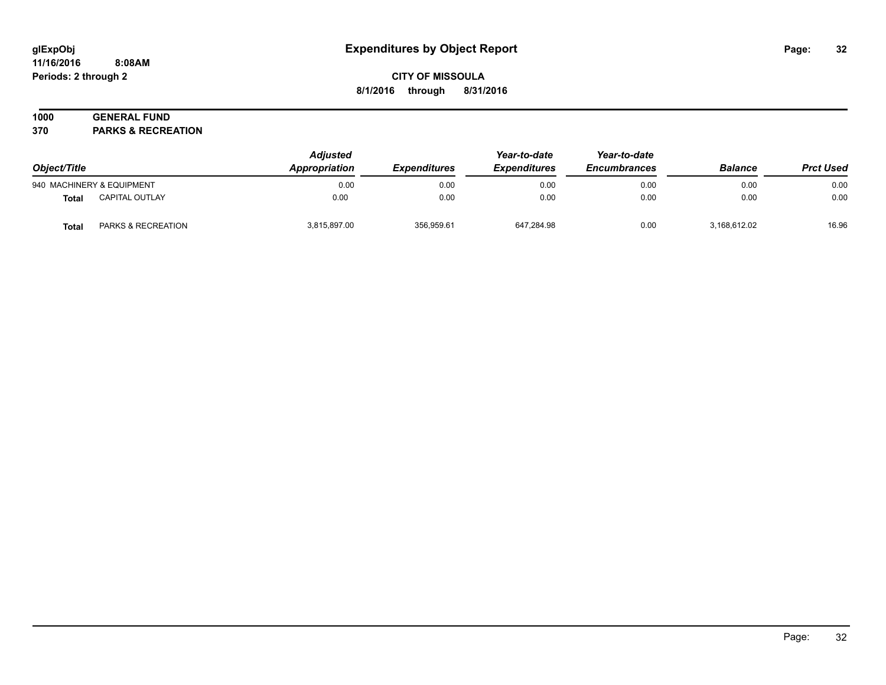#### **11/16/2016 8:08AM Periods: 2 through 2**

# **CITY OF MISSOULA 8/1/2016 through 8/31/2016**

# **1000 GENERAL FUND**

**370 PARKS & RECREATION**

| Object/Title |                           | <b>Adjusted</b><br>Appropriation | <i><b>Expenditures</b></i> | Year-to-date<br><b>Expenditures</b> | Year-to-date<br><b>Encumbrances</b> | <b>Balance</b> | <b>Prct Used</b> |
|--------------|---------------------------|----------------------------------|----------------------------|-------------------------------------|-------------------------------------|----------------|------------------|
|              | 940 MACHINERY & EQUIPMENT | 0.00                             | 0.00                       | 0.00                                | 0.00                                | 0.00           | 0.00             |
| <b>Total</b> | CAPITAL OUTLAY            | 0.00                             | 0.00                       | 0.00                                | 0.00                                | 0.00           | 0.00             |
| <b>Total</b> | PARKS & RECREATION        | 3,815,897.00                     | 356,959.61                 | 647,284.98                          | 0.00                                | 3,168,612.02   | 16.96            |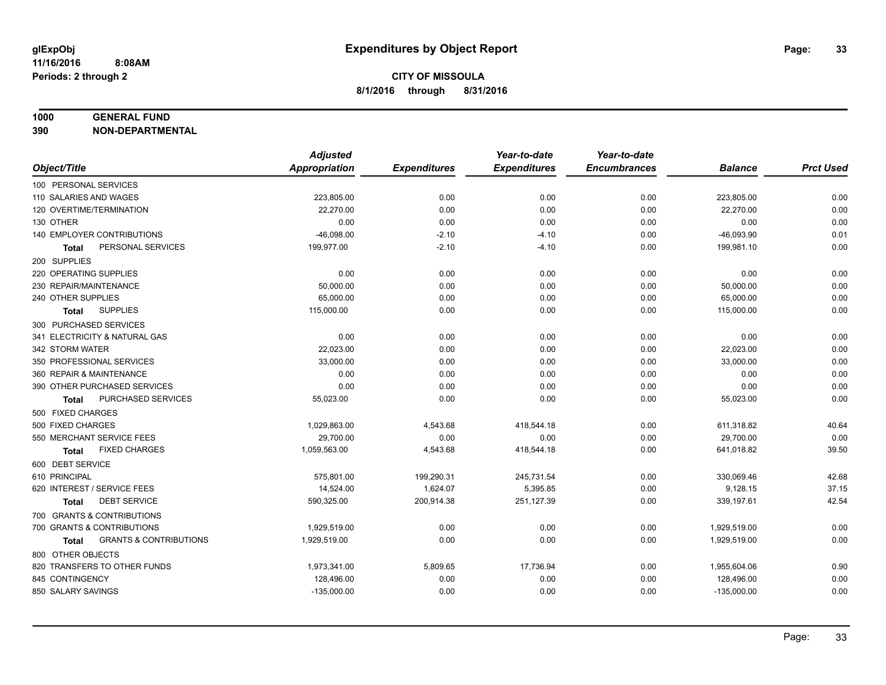#### **1000 GENERAL FUND**

**390 NON-DEPARTMENTAL**

|                                                   | <b>Adjusted</b> |                     | Year-to-date        | Year-to-date        |                |                  |
|---------------------------------------------------|-----------------|---------------------|---------------------|---------------------|----------------|------------------|
| Object/Title                                      | Appropriation   | <b>Expenditures</b> | <b>Expenditures</b> | <b>Encumbrances</b> | <b>Balance</b> | <b>Prct Used</b> |
| 100 PERSONAL SERVICES                             |                 |                     |                     |                     |                |                  |
| 110 SALARIES AND WAGES                            | 223,805.00      | 0.00                | 0.00                | 0.00                | 223,805.00     | 0.00             |
| 120 OVERTIME/TERMINATION                          | 22,270.00       | 0.00                | 0.00                | 0.00                | 22,270.00      | 0.00             |
| 130 OTHER                                         | 0.00            | 0.00                | 0.00                | 0.00                | 0.00           | 0.00             |
| 140 EMPLOYER CONTRIBUTIONS                        | $-46,098.00$    | $-2.10$             | $-4.10$             | 0.00                | $-46,093.90$   | 0.01             |
| PERSONAL SERVICES<br>Total                        | 199,977.00      | $-2.10$             | $-4.10$             | 0.00                | 199,981.10     | 0.00             |
| 200 SUPPLIES                                      |                 |                     |                     |                     |                |                  |
| 220 OPERATING SUPPLIES                            | 0.00            | 0.00                | 0.00                | 0.00                | 0.00           | 0.00             |
| 230 REPAIR/MAINTENANCE                            | 50,000.00       | 0.00                | 0.00                | 0.00                | 50,000.00      | 0.00             |
| 240 OTHER SUPPLIES                                | 65,000.00       | 0.00                | 0.00                | 0.00                | 65,000.00      | 0.00             |
| <b>SUPPLIES</b><br><b>Total</b>                   | 115,000.00      | 0.00                | 0.00                | 0.00                | 115,000.00     | 0.00             |
| 300 PURCHASED SERVICES                            |                 |                     |                     |                     |                |                  |
| 341 ELECTRICITY & NATURAL GAS                     | 0.00            | 0.00                | 0.00                | 0.00                | 0.00           | 0.00             |
| 342 STORM WATER                                   | 22,023.00       | 0.00                | 0.00                | 0.00                | 22,023.00      | 0.00             |
| 350 PROFESSIONAL SERVICES                         | 33,000.00       | 0.00                | 0.00                | 0.00                | 33,000.00      | 0.00             |
| 360 REPAIR & MAINTENANCE                          | 0.00            | 0.00                | 0.00                | 0.00                | 0.00           | 0.00             |
| 390 OTHER PURCHASED SERVICES                      | 0.00            | 0.00                | 0.00                | 0.00                | 0.00           | 0.00             |
| PURCHASED SERVICES<br><b>Total</b>                | 55,023.00       | 0.00                | 0.00                | 0.00                | 55,023.00      | 0.00             |
| 500 FIXED CHARGES                                 |                 |                     |                     |                     |                |                  |
| 500 FIXED CHARGES                                 | 1,029,863.00    | 4,543.68            | 418,544.18          | 0.00                | 611,318.82     | 40.64            |
| 550 MERCHANT SERVICE FEES                         | 29,700.00       | 0.00                | 0.00                | 0.00                | 29,700.00      | 0.00             |
| <b>FIXED CHARGES</b><br><b>Total</b>              | 1,059,563.00    | 4,543.68            | 418,544.18          | 0.00                | 641,018.82     | 39.50            |
| 600 DEBT SERVICE                                  |                 |                     |                     |                     |                |                  |
| 610 PRINCIPAL                                     | 575,801.00      | 199,290.31          | 245,731.54          | 0.00                | 330,069.46     | 42.68            |
| 620 INTEREST / SERVICE FEES                       | 14,524.00       | 1,624.07            | 5,395.85            | 0.00                | 9,128.15       | 37.15            |
| <b>DEBT SERVICE</b><br><b>Total</b>               | 590,325.00      | 200,914.38          | 251,127.39          | 0.00                | 339,197.61     | 42.54            |
| 700 GRANTS & CONTRIBUTIONS                        |                 |                     |                     |                     |                |                  |
| 700 GRANTS & CONTRIBUTIONS                        | 1,929,519.00    | 0.00                | 0.00                | 0.00                | 1,929,519.00   | 0.00             |
| <b>GRANTS &amp; CONTRIBUTIONS</b><br><b>Total</b> | 1,929,519.00    | 0.00                | 0.00                | 0.00                | 1,929,519.00   | 0.00             |
| 800 OTHER OBJECTS                                 |                 |                     |                     |                     |                |                  |
| 820 TRANSFERS TO OTHER FUNDS                      | 1,973,341.00    | 5,809.65            | 17,736.94           | 0.00                | 1,955,604.06   | 0.90             |
| 845 CONTINGENCY                                   | 128,496.00      | 0.00                | 0.00                | 0.00                | 128,496.00     | 0.00             |
| 850 SALARY SAVINGS                                | $-135,000.00$   | 0.00                | 0.00                | 0.00                | $-135,000.00$  | 0.00             |
|                                                   |                 |                     |                     |                     |                |                  |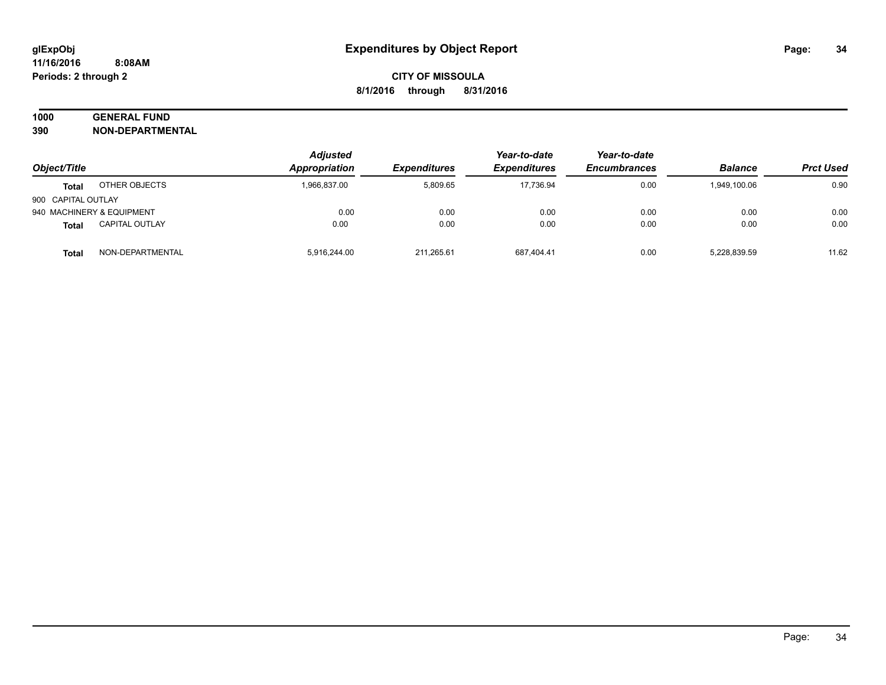# **1000 GENERAL FUND**

**390 NON-DEPARTMENTAL**

|                    |                           | <b>Adjusted</b> |                     | Year-to-date        | Year-to-date        |                |                  |
|--------------------|---------------------------|-----------------|---------------------|---------------------|---------------------|----------------|------------------|
| Object/Title       |                           | Appropriation   | <b>Expenditures</b> | <b>Expenditures</b> | <b>Encumbrances</b> | <b>Balance</b> | <b>Prct Used</b> |
| <b>Total</b>       | OTHER OBJECTS             | 1,966,837.00    | 5.809.65            | 17.736.94           | 0.00                | 1.949.100.06   | 0.90             |
| 900 CAPITAL OUTLAY |                           |                 |                     |                     |                     |                |                  |
|                    | 940 MACHINERY & EQUIPMENT | 0.00            | 0.00                | 0.00                | 0.00                | 0.00           | 0.00             |
| <b>Total</b>       | <b>CAPITAL OUTLAY</b>     | 0.00            | 0.00                | 0.00                | 0.00                | 0.00           | 0.00             |
| Total              | NON-DEPARTMENTAL          | 5,916,244.00    | 211,265.61          | 687,404.41          | 0.00                | 5,228,839.59   | 11.62            |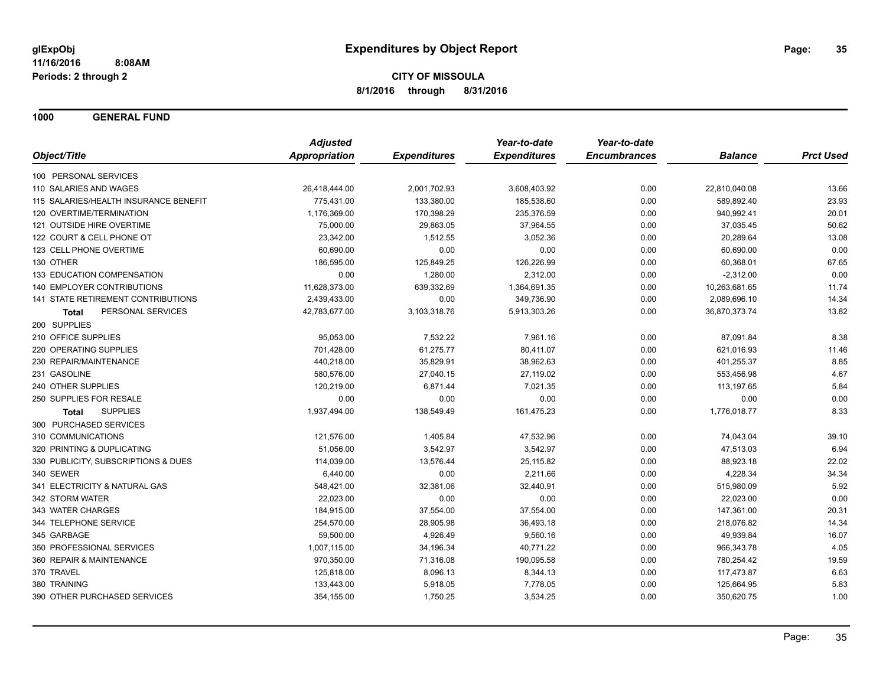**1000 GENERAL FUND**

|                                       | <b>Adjusted</b> |                     | Year-to-date        | Year-to-date        |                |                  |
|---------------------------------------|-----------------|---------------------|---------------------|---------------------|----------------|------------------|
| Object/Title                          | Appropriation   | <b>Expenditures</b> | <b>Expenditures</b> | <b>Encumbrances</b> | <b>Balance</b> | <b>Prct Used</b> |
| 100 PERSONAL SERVICES                 |                 |                     |                     |                     |                |                  |
| 110 SALARIES AND WAGES                | 26,418,444.00   | 2,001,702.93        | 3,608,403.92        | 0.00                | 22,810,040.08  | 13.66            |
| 115 SALARIES/HEALTH INSURANCE BENEFIT | 775,431.00      | 133,380.00          | 185,538.60          | 0.00                | 589,892.40     | 23.93            |
| 120 OVERTIME/TERMINATION              | 1,176,369.00    | 170,398.29          | 235,376.59          | 0.00                | 940,992.41     | 20.01            |
| 121 OUTSIDE HIRE OVERTIME             | 75,000.00       | 29,863.05           | 37,964.55           | 0.00                | 37,035.45      | 50.62            |
| 122 COURT & CELL PHONE OT             | 23,342.00       | 1,512.55            | 3,052.36            | 0.00                | 20,289.64      | 13.08            |
| 123 CELL PHONE OVERTIME               | 60,690.00       | 0.00                | 0.00                | 0.00                | 60,690.00      | 0.00             |
| 130 OTHER                             | 186,595.00      | 125,849.25          | 126,226.99          | 0.00                | 60,368.01      | 67.65            |
| 133 EDUCATION COMPENSATION            | 0.00            | 1,280.00            | 2,312.00            | 0.00                | $-2,312.00$    | 0.00             |
| 140 EMPLOYER CONTRIBUTIONS            | 11,628,373.00   | 639,332.69          | 1,364,691.35        | 0.00                | 10,263,681.65  | 11.74            |
| 141 STATE RETIREMENT CONTRIBUTIONS    | 2,439,433.00    | 0.00                | 349,736.90          | 0.00                | 2,089,696.10   | 14.34            |
| PERSONAL SERVICES<br><b>Total</b>     | 42,783,677.00   | 3,103,318.76        | 5,913,303.26        | 0.00                | 36,870,373.74  | 13.82            |
| 200 SUPPLIES                          |                 |                     |                     |                     |                |                  |
| 210 OFFICE SUPPLIES                   | 95,053.00       | 7,532.22            | 7,961.16            | 0.00                | 87,091.84      | 8.38             |
| 220 OPERATING SUPPLIES                | 701,428.00      | 61,275.77           | 80,411.07           | 0.00                | 621,016.93     | 11.46            |
| 230 REPAIR/MAINTENANCE                | 440,218.00      | 35,829.91           | 38,962.63           | 0.00                | 401,255.37     | 8.85             |
| 231 GASOLINE                          | 580,576.00      | 27,040.15           | 27,119.02           | 0.00                | 553,456.98     | 4.67             |
| 240 OTHER SUPPLIES                    | 120,219.00      | 6,871.44            | 7,021.35            | 0.00                | 113,197.65     | 5.84             |
| 250 SUPPLIES FOR RESALE               | 0.00            | 0.00                | 0.00                | 0.00                | 0.00           | 0.00             |
| <b>SUPPLIES</b><br>Total              | 1,937,494.00    | 138,549.49          | 161,475.23          | 0.00                | 1,776,018.77   | 8.33             |
| 300 PURCHASED SERVICES                |                 |                     |                     |                     |                |                  |
| 310 COMMUNICATIONS                    | 121,576.00      | 1,405.84            | 47,532.96           | 0.00                | 74,043.04      | 39.10            |
| 320 PRINTING & DUPLICATING            | 51,056.00       | 3,542.97            | 3,542.97            | 0.00                | 47,513.03      | 6.94             |
| 330 PUBLICITY, SUBSCRIPTIONS & DUES   | 114,039.00      | 13,576.44           | 25,115.82           | 0.00                | 88,923.18      | 22.02            |
| 340 SEWER                             | 6,440.00        | 0.00                | 2,211.66            | 0.00                | 4,228.34       | 34.34            |
| 341 ELECTRICITY & NATURAL GAS         | 548,421.00      | 32,381.06           | 32,440.91           | 0.00                | 515,980.09     | 5.92             |
| 342 STORM WATER                       | 22,023.00       | 0.00                | 0.00                | 0.00                | 22,023.00      | 0.00             |
| 343 WATER CHARGES                     | 184,915.00      | 37,554.00           | 37,554.00           | 0.00                | 147,361.00     | 20.31            |
| 344 TELEPHONE SERVICE                 | 254,570.00      | 28,905.98           | 36,493.18           | 0.00                | 218,076.82     | 14.34            |
| 345 GARBAGE                           | 59,500.00       | 4,926.49            | 9,560.16            | 0.00                | 49,939.84      | 16.07            |
| 350 PROFESSIONAL SERVICES             | 1,007,115.00    | 34,196.34           | 40,771.22           | 0.00                | 966,343.78     | 4.05             |
| 360 REPAIR & MAINTENANCE              | 970,350.00      | 71,316.08           | 190,095.58          | 0.00                | 780,254.42     | 19.59            |
| 370 TRAVEL                            | 125,818.00      | 8,096.13            | 8,344.13            | 0.00                | 117,473.87     | 6.63             |
| 380 TRAINING                          | 133,443.00      | 5,918.05            | 7,778.05            | 0.00                | 125,664.95     | 5.83             |
| 390 OTHER PURCHASED SERVICES          | 354,155.00      | 1,750.25            | 3,534.25            | 0.00                | 350,620.75     | 1.00             |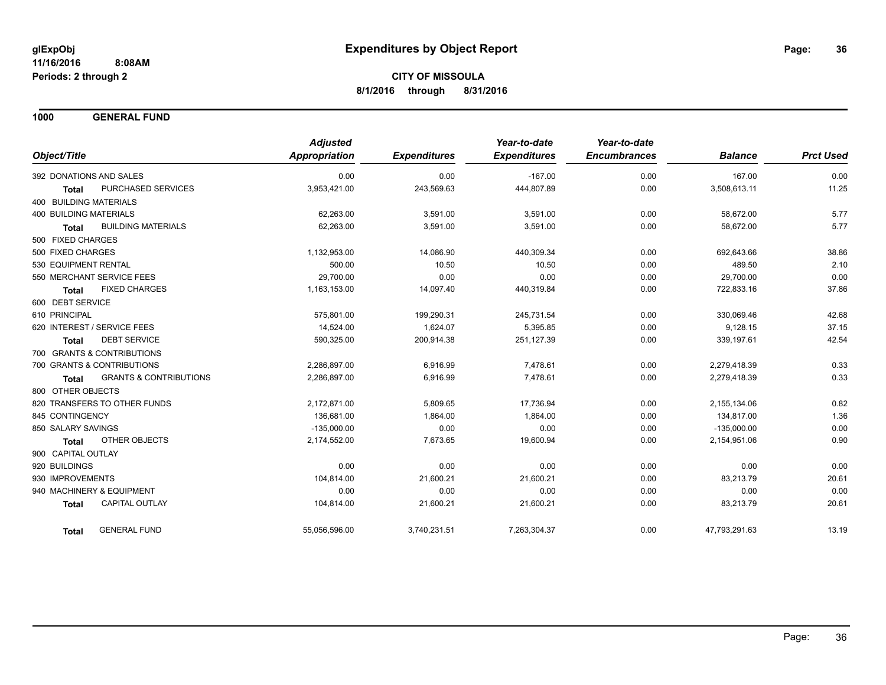**1000 GENERAL FUND**

|                                                   | <b>Adjusted</b>      |                     | Year-to-date        | Year-to-date        |                |                  |
|---------------------------------------------------|----------------------|---------------------|---------------------|---------------------|----------------|------------------|
| Object/Title                                      | <b>Appropriation</b> | <b>Expenditures</b> | <b>Expenditures</b> | <b>Encumbrances</b> | <b>Balance</b> | <b>Prct Used</b> |
| 392 DONATIONS AND SALES                           | 0.00                 | 0.00                | $-167.00$           | 0.00                | 167.00         | 0.00             |
| PURCHASED SERVICES<br><b>Total</b>                | 3,953,421.00         | 243,569.63          | 444,807.89          | 0.00                | 3,508,613.11   | 11.25            |
| <b>400 BUILDING MATERIALS</b>                     |                      |                     |                     |                     |                |                  |
| <b>400 BUILDING MATERIALS</b>                     | 62,263.00            | 3,591.00            | 3,591.00            | 0.00                | 58,672.00      | 5.77             |
| <b>BUILDING MATERIALS</b><br><b>Total</b>         | 62.263.00            | 3,591.00            | 3,591.00            | 0.00                | 58.672.00      | 5.77             |
| 500 FIXED CHARGES                                 |                      |                     |                     |                     |                |                  |
| 500 FIXED CHARGES                                 | 1,132,953.00         | 14,086.90           | 440,309.34          | 0.00                | 692,643.66     | 38.86            |
| 530 EQUIPMENT RENTAL                              | 500.00               | 10.50               | 10.50               | 0.00                | 489.50         | 2.10             |
| 550 MERCHANT SERVICE FEES                         | 29,700.00            | 0.00                | 0.00                | 0.00                | 29,700.00      | 0.00             |
| <b>FIXED CHARGES</b><br><b>Total</b>              | 1,163,153.00         | 14,097.40           | 440,319.84          | 0.00                | 722,833.16     | 37.86            |
| 600 DEBT SERVICE                                  |                      |                     |                     |                     |                |                  |
| 610 PRINCIPAL                                     | 575,801.00           | 199,290.31          | 245.731.54          | 0.00                | 330.069.46     | 42.68            |
| 620 INTEREST / SERVICE FEES                       | 14,524.00            | 1,624.07            | 5,395.85            | 0.00                | 9,128.15       | 37.15            |
| <b>DEBT SERVICE</b><br><b>Total</b>               | 590,325.00           | 200,914.38          | 251,127.39          | 0.00                | 339,197.61     | 42.54            |
| 700 GRANTS & CONTRIBUTIONS                        |                      |                     |                     |                     |                |                  |
| 700 GRANTS & CONTRIBUTIONS                        | 2,286,897.00         | 6,916.99            | 7,478.61            | 0.00                | 2,279,418.39   | 0.33             |
| <b>GRANTS &amp; CONTRIBUTIONS</b><br><b>Total</b> | 2,286,897.00         | 6,916.99            | 7,478.61            | 0.00                | 2,279,418.39   | 0.33             |
| 800 OTHER OBJECTS                                 |                      |                     |                     |                     |                |                  |
| 820 TRANSFERS TO OTHER FUNDS                      | 2.172.871.00         | 5,809.65            | 17.736.94           | 0.00                | 2,155,134.06   | 0.82             |
| 845 CONTINGENCY                                   | 136,681.00           | 1,864.00            | 1,864.00            | 0.00                | 134,817.00     | 1.36             |
| 850 SALARY SAVINGS                                | $-135,000.00$        | 0.00                | 0.00                | 0.00                | $-135,000.00$  | 0.00             |
| <b>OTHER OBJECTS</b><br><b>Total</b>              | 2,174,552.00         | 7,673.65            | 19,600.94           | 0.00                | 2,154,951.06   | 0.90             |
| 900 CAPITAL OUTLAY                                |                      |                     |                     |                     |                |                  |
| 920 BUILDINGS                                     | 0.00                 | 0.00                | 0.00                | 0.00                | 0.00           | 0.00             |
| 930 IMPROVEMENTS                                  | 104,814.00           | 21,600.21           | 21,600.21           | 0.00                | 83,213.79      | 20.61            |
| 940 MACHINERY & EQUIPMENT                         | 0.00                 | 0.00                | 0.00                | 0.00                | 0.00           | 0.00             |
| <b>CAPITAL OUTLAY</b><br><b>Total</b>             | 104,814.00           | 21,600.21           | 21,600.21           | 0.00                | 83,213.79      | 20.61            |
| <b>GENERAL FUND</b><br><b>Total</b>               | 55,056,596.00        | 3,740,231.51        | 7,263,304.37        | 0.00                | 47,793,291.63  | 13.19            |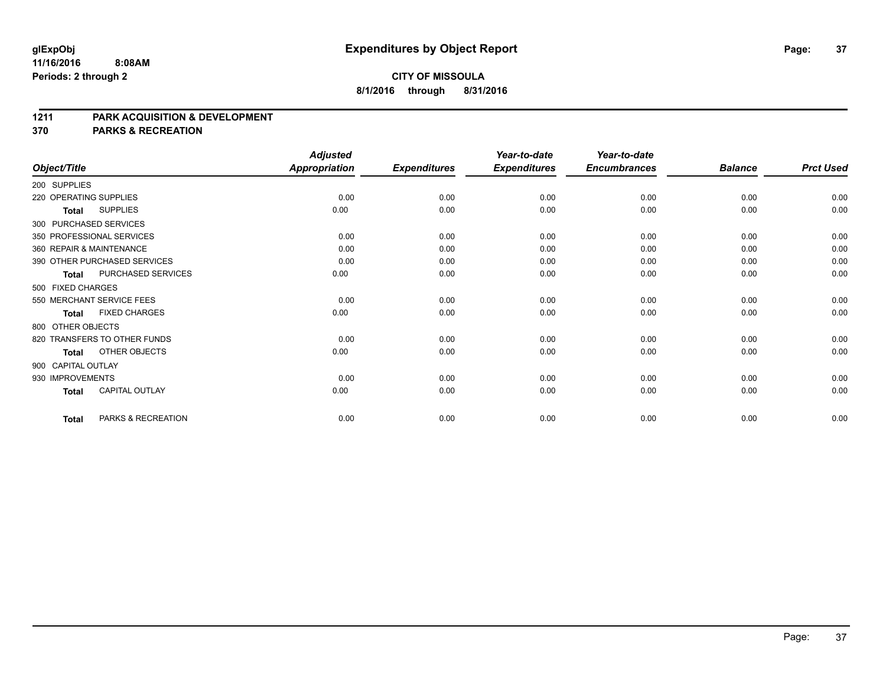### **CITY OF MISSOULA 8/1/2016 through 8/31/2016**

#### **1211 PARK ACQUISITION & DEVELOPMENT**

**370 PARKS & RECREATION**

|                        |                              | <b>Adjusted</b>      |                     | Year-to-date        | Year-to-date        |                |                  |
|------------------------|------------------------------|----------------------|---------------------|---------------------|---------------------|----------------|------------------|
| Object/Title           |                              | <b>Appropriation</b> | <b>Expenditures</b> | <b>Expenditures</b> | <b>Encumbrances</b> | <b>Balance</b> | <b>Prct Used</b> |
| 200 SUPPLIES           |                              |                      |                     |                     |                     |                |                  |
| 220 OPERATING SUPPLIES |                              | 0.00                 | 0.00                | 0.00                | 0.00                | 0.00           | 0.00             |
| <b>Total</b>           | <b>SUPPLIES</b>              | 0.00                 | 0.00                | 0.00                | 0.00                | 0.00           | 0.00             |
|                        | 300 PURCHASED SERVICES       |                      |                     |                     |                     |                |                  |
|                        | 350 PROFESSIONAL SERVICES    | 0.00                 | 0.00                | 0.00                | 0.00                | 0.00           | 0.00             |
|                        | 360 REPAIR & MAINTENANCE     | 0.00                 | 0.00                | 0.00                | 0.00                | 0.00           | 0.00             |
|                        | 390 OTHER PURCHASED SERVICES | 0.00                 | 0.00                | 0.00                | 0.00                | 0.00           | 0.00             |
| <b>Total</b>           | PURCHASED SERVICES           | 0.00                 | 0.00                | 0.00                | 0.00                | 0.00           | 0.00             |
| 500 FIXED CHARGES      |                              |                      |                     |                     |                     |                |                  |
|                        | 550 MERCHANT SERVICE FEES    | 0.00                 | 0.00                | 0.00                | 0.00                | 0.00           | 0.00             |
| <b>Total</b>           | <b>FIXED CHARGES</b>         | 0.00                 | 0.00                | 0.00                | 0.00                | 0.00           | 0.00             |
| 800 OTHER OBJECTS      |                              |                      |                     |                     |                     |                |                  |
|                        | 820 TRANSFERS TO OTHER FUNDS | 0.00                 | 0.00                | 0.00                | 0.00                | 0.00           | 0.00             |
| <b>Total</b>           | OTHER OBJECTS                | 0.00                 | 0.00                | 0.00                | 0.00                | 0.00           | 0.00             |
| 900 CAPITAL OUTLAY     |                              |                      |                     |                     |                     |                |                  |
| 930 IMPROVEMENTS       |                              | 0.00                 | 0.00                | 0.00                | 0.00                | 0.00           | 0.00             |
| <b>Total</b>           | <b>CAPITAL OUTLAY</b>        | 0.00                 | 0.00                | 0.00                | 0.00                | 0.00           | 0.00             |
| <b>Total</b>           | PARKS & RECREATION           | 0.00                 | 0.00                | 0.00                | 0.00                | 0.00           | 0.00             |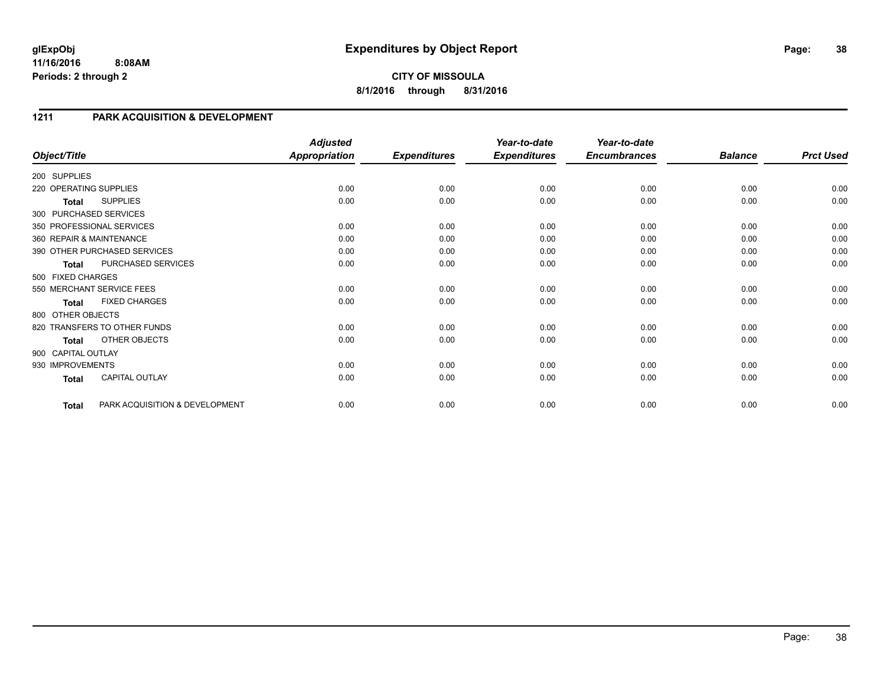### **1211 PARK ACQUISITION & DEVELOPMENT**

| Object/Title           |                                | <b>Adjusted</b><br><b>Appropriation</b> | <b>Expenditures</b> | Year-to-date<br><b>Expenditures</b> | Year-to-date<br><b>Encumbrances</b> | <b>Balance</b> | <b>Prct Used</b> |
|------------------------|--------------------------------|-----------------------------------------|---------------------|-------------------------------------|-------------------------------------|----------------|------------------|
| 200 SUPPLIES           |                                |                                         |                     |                                     |                                     |                |                  |
|                        |                                |                                         |                     |                                     |                                     |                |                  |
| 220 OPERATING SUPPLIES |                                | 0.00                                    | 0.00                | 0.00                                | 0.00                                | 0.00           | 0.00             |
| Total                  | <b>SUPPLIES</b>                | 0.00                                    | 0.00                | 0.00                                | 0.00                                | 0.00           | 0.00             |
|                        | 300 PURCHASED SERVICES         |                                         |                     |                                     |                                     |                |                  |
|                        | 350 PROFESSIONAL SERVICES      | 0.00                                    | 0.00                | 0.00                                | 0.00                                | 0.00           | 0.00             |
|                        | 360 REPAIR & MAINTENANCE       | 0.00                                    | 0.00                | 0.00                                | 0.00                                | 0.00           | 0.00             |
|                        | 390 OTHER PURCHASED SERVICES   | 0.00                                    | 0.00                | 0.00                                | 0.00                                | 0.00           | 0.00             |
| <b>Total</b>           | PURCHASED SERVICES             | 0.00                                    | 0.00                | 0.00                                | 0.00                                | 0.00           | 0.00             |
| 500 FIXED CHARGES      |                                |                                         |                     |                                     |                                     |                |                  |
|                        | 550 MERCHANT SERVICE FEES      | 0.00                                    | 0.00                | 0.00                                | 0.00                                | 0.00           | 0.00             |
| <b>Total</b>           | <b>FIXED CHARGES</b>           | 0.00                                    | 0.00                | 0.00                                | 0.00                                | 0.00           | 0.00             |
| 800 OTHER OBJECTS      |                                |                                         |                     |                                     |                                     |                |                  |
|                        | 820 TRANSFERS TO OTHER FUNDS   | 0.00                                    | 0.00                | 0.00                                | 0.00                                | 0.00           | 0.00             |
| <b>Total</b>           | OTHER OBJECTS                  | 0.00                                    | 0.00                | 0.00                                | 0.00                                | 0.00           | 0.00             |
| 900 CAPITAL OUTLAY     |                                |                                         |                     |                                     |                                     |                |                  |
| 930 IMPROVEMENTS       |                                | 0.00                                    | 0.00                | 0.00                                | 0.00                                | 0.00           | 0.00             |
| <b>Total</b>           | <b>CAPITAL OUTLAY</b>          | 0.00                                    | 0.00                | 0.00                                | 0.00                                | 0.00           | 0.00             |
| <b>Total</b>           | PARK ACQUISITION & DEVELOPMENT | 0.00                                    | 0.00                | 0.00                                | 0.00                                | 0.00           | 0.00             |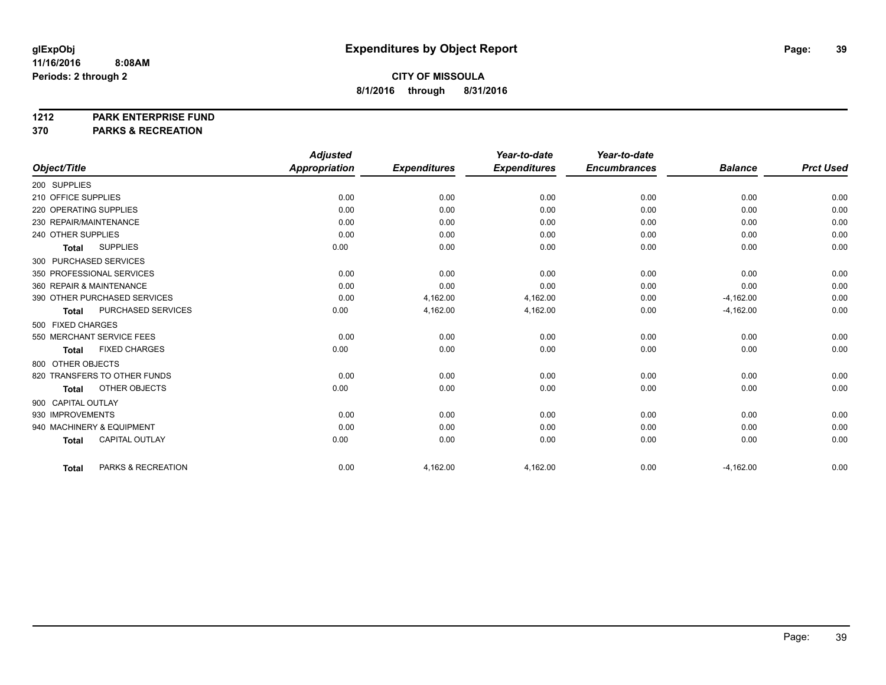#### **1212 PARK ENTERPRISE FUND**

**370 PARKS & RECREATION**

|                                       | <b>Adjusted</b>      |                     | Year-to-date        | Year-to-date        |                |                  |
|---------------------------------------|----------------------|---------------------|---------------------|---------------------|----------------|------------------|
| Object/Title                          | <b>Appropriation</b> | <b>Expenditures</b> | <b>Expenditures</b> | <b>Encumbrances</b> | <b>Balance</b> | <b>Prct Used</b> |
| 200 SUPPLIES                          |                      |                     |                     |                     |                |                  |
| 210 OFFICE SUPPLIES                   | 0.00                 | 0.00                | 0.00                | 0.00                | 0.00           | 0.00             |
| 220 OPERATING SUPPLIES                | 0.00                 | 0.00                | 0.00                | 0.00                | 0.00           | 0.00             |
| 230 REPAIR/MAINTENANCE                | 0.00                 | 0.00                | 0.00                | 0.00                | 0.00           | 0.00             |
| 240 OTHER SUPPLIES                    | 0.00                 | 0.00                | 0.00                | 0.00                | 0.00           | 0.00             |
| <b>SUPPLIES</b><br><b>Total</b>       | 0.00                 | 0.00                | 0.00                | 0.00                | 0.00           | 0.00             |
| 300 PURCHASED SERVICES                |                      |                     |                     |                     |                |                  |
| 350 PROFESSIONAL SERVICES             | 0.00                 | 0.00                | 0.00                | 0.00                | 0.00           | 0.00             |
| 360 REPAIR & MAINTENANCE              | 0.00                 | 0.00                | 0.00                | 0.00                | 0.00           | 0.00             |
| 390 OTHER PURCHASED SERVICES          | 0.00                 | 4,162.00            | 4,162.00            | 0.00                | $-4,162.00$    | 0.00             |
| PURCHASED SERVICES<br><b>Total</b>    | 0.00                 | 4,162.00            | 4,162.00            | 0.00                | $-4,162.00$    | 0.00             |
| 500 FIXED CHARGES                     |                      |                     |                     |                     |                |                  |
| 550 MERCHANT SERVICE FEES             | 0.00                 | 0.00                | 0.00                | 0.00                | 0.00           | 0.00             |
| <b>FIXED CHARGES</b><br><b>Total</b>  | 0.00                 | 0.00                | 0.00                | 0.00                | 0.00           | 0.00             |
| 800 OTHER OBJECTS                     |                      |                     |                     |                     |                |                  |
| 820 TRANSFERS TO OTHER FUNDS          | 0.00                 | 0.00                | 0.00                | 0.00                | 0.00           | 0.00             |
| OTHER OBJECTS<br><b>Total</b>         | 0.00                 | 0.00                | 0.00                | 0.00                | 0.00           | 0.00             |
| 900 CAPITAL OUTLAY                    |                      |                     |                     |                     |                |                  |
| 930 IMPROVEMENTS                      | 0.00                 | 0.00                | 0.00                | 0.00                | 0.00           | 0.00             |
| 940 MACHINERY & EQUIPMENT             | 0.00                 | 0.00                | 0.00                | 0.00                | 0.00           | 0.00             |
| <b>CAPITAL OUTLAY</b><br><b>Total</b> | 0.00                 | 0.00                | 0.00                | 0.00                | 0.00           | 0.00             |
|                                       |                      |                     |                     |                     |                |                  |
| PARKS & RECREATION<br><b>Total</b>    | 0.00                 | 4,162.00            | 4,162.00            | 0.00                | $-4,162.00$    | 0.00             |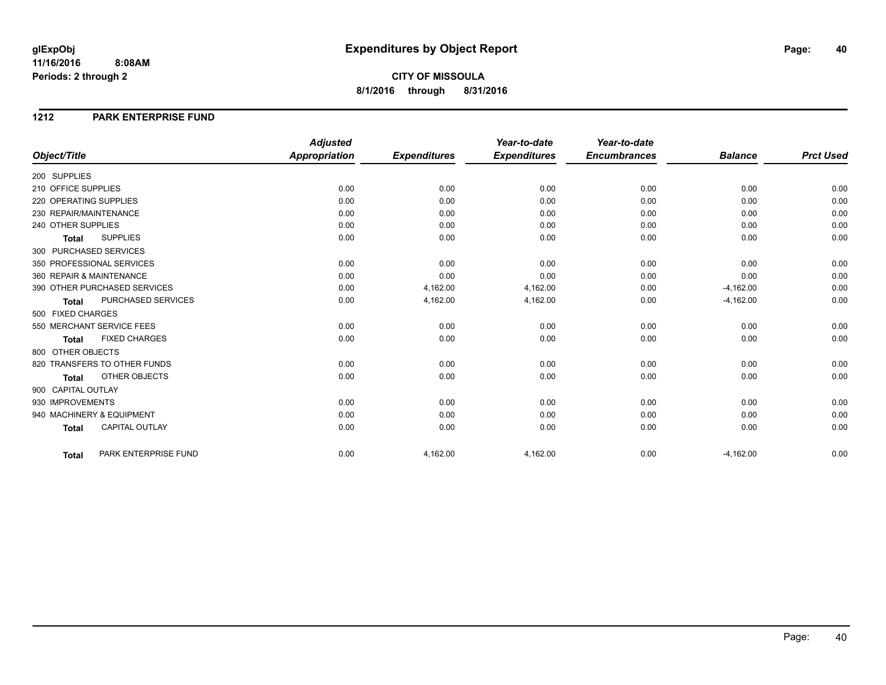**CITY OF MISSOULA 8/1/2016 through 8/31/2016**

#### **1212 PARK ENTERPRISE FUND**

|                                           | <b>Adjusted</b>      |                     | Year-to-date        | Year-to-date        |                |                  |
|-------------------------------------------|----------------------|---------------------|---------------------|---------------------|----------------|------------------|
| Object/Title                              | <b>Appropriation</b> | <b>Expenditures</b> | <b>Expenditures</b> | <b>Encumbrances</b> | <b>Balance</b> | <b>Prct Used</b> |
| 200 SUPPLIES                              |                      |                     |                     |                     |                |                  |
| 210 OFFICE SUPPLIES                       | 0.00                 | 0.00                | 0.00                | 0.00                | 0.00           | 0.00             |
| 220 OPERATING SUPPLIES                    | 0.00                 | 0.00                | 0.00                | 0.00                | 0.00           | 0.00             |
| 230 REPAIR/MAINTENANCE                    | 0.00                 | 0.00                | 0.00                | 0.00                | 0.00           | 0.00             |
| 240 OTHER SUPPLIES                        | 0.00                 | 0.00                | 0.00                | 0.00                | 0.00           | 0.00             |
| <b>SUPPLIES</b><br><b>Total</b>           | 0.00                 | 0.00                | 0.00                | 0.00                | 0.00           | 0.00             |
| 300 PURCHASED SERVICES                    |                      |                     |                     |                     |                |                  |
| 350 PROFESSIONAL SERVICES                 | 0.00                 | 0.00                | 0.00                | 0.00                | 0.00           | 0.00             |
| 360 REPAIR & MAINTENANCE                  | 0.00                 | 0.00                | 0.00                | 0.00                | 0.00           | 0.00             |
| 390 OTHER PURCHASED SERVICES              | 0.00                 | 4,162.00            | 4,162.00            | 0.00                | $-4,162.00$    | 0.00             |
| <b>PURCHASED SERVICES</b><br><b>Total</b> | 0.00                 | 4,162.00            | 4,162.00            | 0.00                | $-4,162.00$    | 0.00             |
| 500 FIXED CHARGES                         |                      |                     |                     |                     |                |                  |
| 550 MERCHANT SERVICE FEES                 | 0.00                 | 0.00                | 0.00                | 0.00                | 0.00           | 0.00             |
| <b>FIXED CHARGES</b><br><b>Total</b>      | 0.00                 | 0.00                | 0.00                | 0.00                | 0.00           | 0.00             |
| 800 OTHER OBJECTS                         |                      |                     |                     |                     |                |                  |
| 820 TRANSFERS TO OTHER FUNDS              | 0.00                 | 0.00                | 0.00                | 0.00                | 0.00           | 0.00             |
| OTHER OBJECTS<br><b>Total</b>             | 0.00                 | 0.00                | 0.00                | 0.00                | 0.00           | 0.00             |
| 900 CAPITAL OUTLAY                        |                      |                     |                     |                     |                |                  |
| 930 IMPROVEMENTS                          | 0.00                 | 0.00                | 0.00                | 0.00                | 0.00           | 0.00             |
| 940 MACHINERY & EQUIPMENT                 | 0.00                 | 0.00                | 0.00                | 0.00                | 0.00           | 0.00             |
| <b>CAPITAL OUTLAY</b><br><b>Total</b>     | 0.00                 | 0.00                | 0.00                | 0.00                | 0.00           | 0.00             |
|                                           |                      |                     |                     |                     |                |                  |
| PARK ENTERPRISE FUND<br><b>Total</b>      | 0.00                 | 4,162.00            | 4,162.00            | 0.00                | $-4,162.00$    | 0.00             |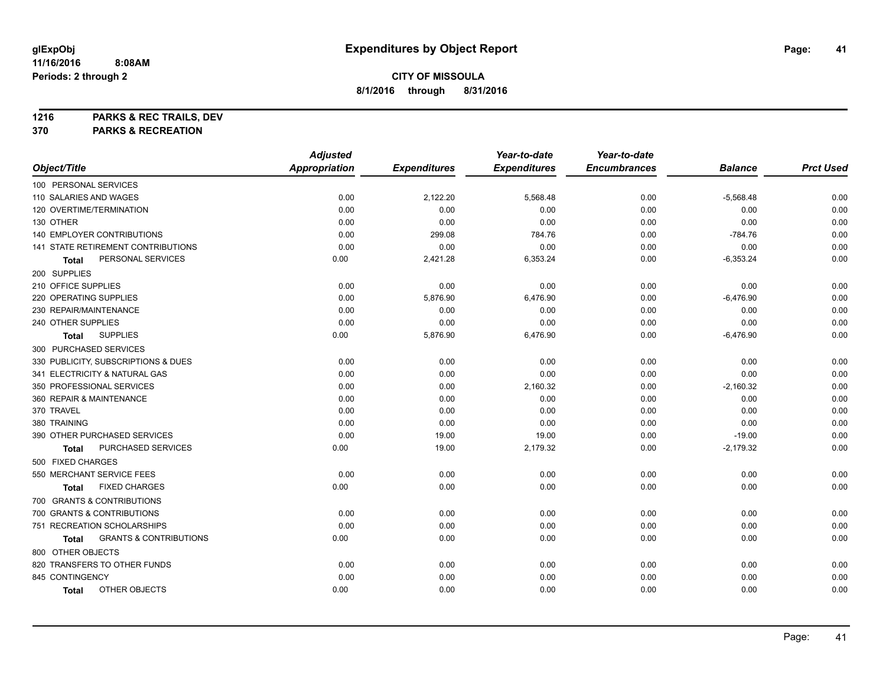**1216 PARKS & REC TRAILS, DEV**

**370 PARKS & RECREATION**

|                                            | <b>Adjusted</b>      |                     | Year-to-date        | Year-to-date        |                |                  |
|--------------------------------------------|----------------------|---------------------|---------------------|---------------------|----------------|------------------|
| Object/Title                               | <b>Appropriation</b> | <b>Expenditures</b> | <b>Expenditures</b> | <b>Encumbrances</b> | <b>Balance</b> | <b>Prct Used</b> |
| 100 PERSONAL SERVICES                      |                      |                     |                     |                     |                |                  |
| 110 SALARIES AND WAGES                     | 0.00                 | 2,122.20            | 5,568.48            | 0.00                | $-5,568.48$    | 0.00             |
| 120 OVERTIME/TERMINATION                   | 0.00                 | 0.00                | 0.00                | 0.00                | 0.00           | 0.00             |
| 130 OTHER                                  | 0.00                 | 0.00                | 0.00                | 0.00                | 0.00           | 0.00             |
| 140 EMPLOYER CONTRIBUTIONS                 | 0.00                 | 299.08              | 784.76              | 0.00                | $-784.76$      | 0.00             |
| <b>141 STATE RETIREMENT CONTRIBUTIONS</b>  | 0.00                 | 0.00                | 0.00                | 0.00                | 0.00           | 0.00             |
| PERSONAL SERVICES<br>Total                 | 0.00                 | 2,421.28            | 6,353.24            | 0.00                | $-6,353.24$    | 0.00             |
| 200 SUPPLIES                               |                      |                     |                     |                     |                |                  |
| 210 OFFICE SUPPLIES                        | 0.00                 | 0.00                | 0.00                | 0.00                | 0.00           | 0.00             |
| 220 OPERATING SUPPLIES                     | 0.00                 | 5,876.90            | 6,476.90            | 0.00                | $-6,476.90$    | 0.00             |
| 230 REPAIR/MAINTENANCE                     | 0.00                 | 0.00                | 0.00                | 0.00                | 0.00           | 0.00             |
| 240 OTHER SUPPLIES                         | 0.00                 | 0.00                | 0.00                | 0.00                | 0.00           | 0.00             |
| <b>SUPPLIES</b><br><b>Total</b>            | 0.00                 | 5,876.90            | 6,476.90            | 0.00                | $-6,476.90$    | 0.00             |
| 300 PURCHASED SERVICES                     |                      |                     |                     |                     |                |                  |
| 330 PUBLICITY, SUBSCRIPTIONS & DUES        | 0.00                 | 0.00                | 0.00                | 0.00                | 0.00           | 0.00             |
| 341 ELECTRICITY & NATURAL GAS              | 0.00                 | 0.00                | 0.00                | 0.00                | 0.00           | 0.00             |
| 350 PROFESSIONAL SERVICES                  | 0.00                 | 0.00                | 2,160.32            | 0.00                | $-2,160.32$    | 0.00             |
| 360 REPAIR & MAINTENANCE                   | 0.00                 | 0.00                | 0.00                | 0.00                | 0.00           | 0.00             |
| 370 TRAVEL                                 | 0.00                 | 0.00                | 0.00                | 0.00                | 0.00           | 0.00             |
| 380 TRAINING                               | 0.00                 | 0.00                | 0.00                | 0.00                | 0.00           | 0.00             |
| 390 OTHER PURCHASED SERVICES               | 0.00                 | 19.00               | 19.00               | 0.00                | $-19.00$       | 0.00             |
| PURCHASED SERVICES<br>Total                | 0.00                 | 19.00               | 2,179.32            | 0.00                | $-2,179.32$    | 0.00             |
| 500 FIXED CHARGES                          |                      |                     |                     |                     |                |                  |
| 550 MERCHANT SERVICE FEES                  | 0.00                 | 0.00                | 0.00                | 0.00                | 0.00           | 0.00             |
| <b>FIXED CHARGES</b><br>Total              | 0.00                 | 0.00                | 0.00                | 0.00                | 0.00           | 0.00             |
| 700 GRANTS & CONTRIBUTIONS                 |                      |                     |                     |                     |                |                  |
| 700 GRANTS & CONTRIBUTIONS                 | 0.00                 | 0.00                | 0.00                | 0.00                | 0.00           | 0.00             |
| 751 RECREATION SCHOLARSHIPS                | 0.00                 | 0.00                | 0.00                | 0.00                | 0.00           | 0.00             |
| <b>GRANTS &amp; CONTRIBUTIONS</b><br>Total | 0.00                 | 0.00                | 0.00                | 0.00                | 0.00           | 0.00             |
| 800 OTHER OBJECTS                          |                      |                     |                     |                     |                |                  |
| 820 TRANSFERS TO OTHER FUNDS               | 0.00                 | 0.00                | 0.00                | 0.00                | 0.00           | 0.00             |
| 845 CONTINGENCY                            | 0.00                 | 0.00                | 0.00                | 0.00                | 0.00           | 0.00             |
| OTHER OBJECTS<br><b>Total</b>              | 0.00                 | 0.00                | 0.00                | 0.00                | 0.00           | 0.00             |
|                                            |                      |                     |                     |                     |                |                  |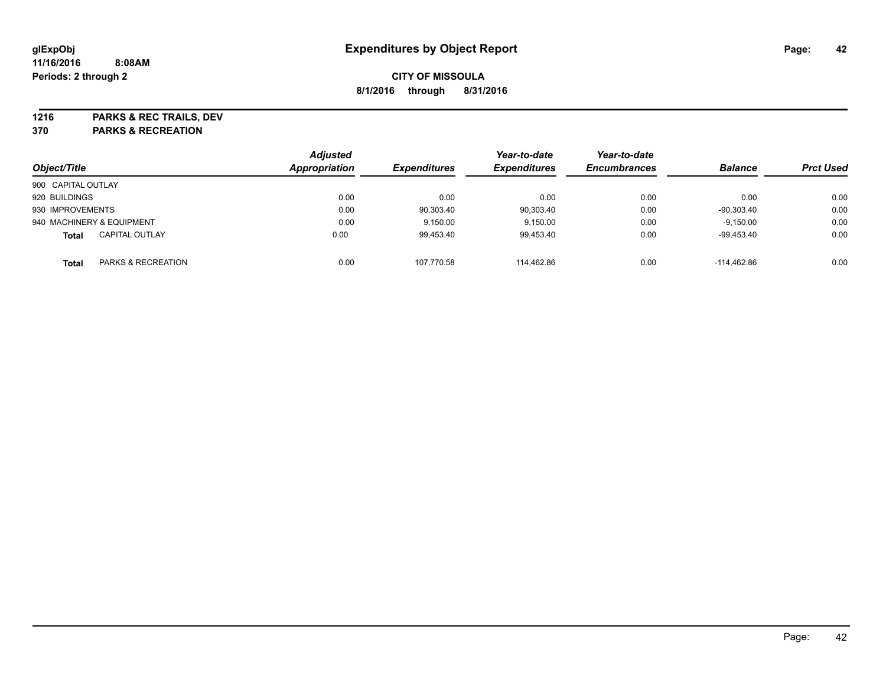**1216 PARKS & REC TRAILS, DEV**

**370 PARKS & RECREATION**

| Object/Title       |                           | <b>Adjusted</b><br>Appropriation | <b>Expenditures</b> | Year-to-date<br><b>Expenditures</b> | Year-to-date<br><b>Encumbrances</b> | <b>Balance</b> | <b>Prct Used</b> |
|--------------------|---------------------------|----------------------------------|---------------------|-------------------------------------|-------------------------------------|----------------|------------------|
| 900 CAPITAL OUTLAY |                           |                                  |                     |                                     |                                     |                |                  |
| 920 BUILDINGS      |                           | 0.00                             | 0.00                | 0.00                                | 0.00                                | 0.00           | 0.00             |
| 930 IMPROVEMENTS   |                           | 0.00                             | 90,303.40           | 90,303.40                           | 0.00                                | $-90.303.40$   | 0.00             |
|                    | 940 MACHINERY & EQUIPMENT | 0.00                             | 9,150.00            | 9,150.00                            | 0.00                                | $-9,150.00$    | 0.00             |
| <b>Total</b>       | <b>CAPITAL OUTLAY</b>     | 0.00                             | 99,453.40           | 99,453.40                           | 0.00                                | $-99,453.40$   | 0.00             |
| <b>Total</b>       | PARKS & RECREATION        | 0.00                             | 107.770.58          | 114.462.86                          | 0.00                                | $-114.462.86$  | 0.00             |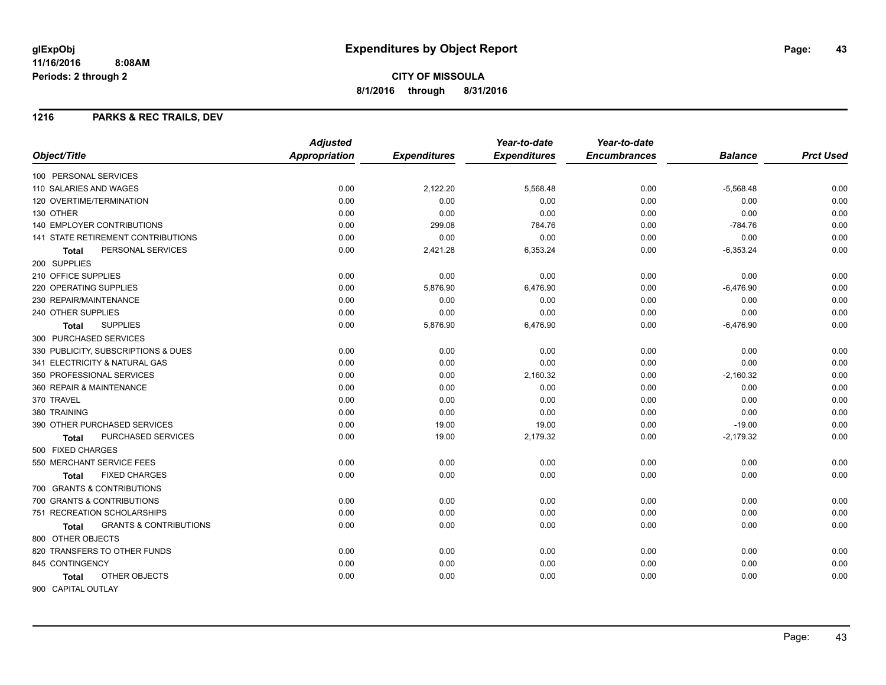#### **1216 PARKS & REC TRAILS, DEV**

|                                            | <b>Adjusted</b>      |                     | Year-to-date        | Year-to-date        |                |                  |
|--------------------------------------------|----------------------|---------------------|---------------------|---------------------|----------------|------------------|
| Object/Title                               | <b>Appropriation</b> | <b>Expenditures</b> | <b>Expenditures</b> | <b>Encumbrances</b> | <b>Balance</b> | <b>Prct Used</b> |
| 100 PERSONAL SERVICES                      |                      |                     |                     |                     |                |                  |
| 110 SALARIES AND WAGES                     | 0.00                 | 2,122.20            | 5,568.48            | 0.00                | $-5,568.48$    | 0.00             |
| 120 OVERTIME/TERMINATION                   | 0.00                 | 0.00                | 0.00                | 0.00                | 0.00           | 0.00             |
| 130 OTHER                                  | 0.00                 | 0.00                | 0.00                | 0.00                | 0.00           | 0.00             |
| 140 EMPLOYER CONTRIBUTIONS                 | 0.00                 | 299.08              | 784.76              | 0.00                | $-784.76$      | 0.00             |
| 141 STATE RETIREMENT CONTRIBUTIONS         | 0.00                 | 0.00                | 0.00                | 0.00                | 0.00           | 0.00             |
| PERSONAL SERVICES<br><b>Total</b>          | 0.00                 | 2,421.28            | 6,353.24            | 0.00                | $-6,353.24$    | 0.00             |
| 200 SUPPLIES                               |                      |                     |                     |                     |                |                  |
| 210 OFFICE SUPPLIES                        | 0.00                 | 0.00                | 0.00                | 0.00                | 0.00           | 0.00             |
| 220 OPERATING SUPPLIES                     | 0.00                 | 5,876.90            | 6,476.90            | 0.00                | $-6,476.90$    | 0.00             |
| 230 REPAIR/MAINTENANCE                     | 0.00                 | 0.00                | 0.00                | 0.00                | 0.00           | 0.00             |
| 240 OTHER SUPPLIES                         | 0.00                 | 0.00                | 0.00                | 0.00                | 0.00           | 0.00             |
| <b>SUPPLIES</b><br><b>Total</b>            | 0.00                 | 5,876.90            | 6,476.90            | 0.00                | $-6,476.90$    | 0.00             |
| 300 PURCHASED SERVICES                     |                      |                     |                     |                     |                |                  |
| 330 PUBLICITY, SUBSCRIPTIONS & DUES        | 0.00                 | 0.00                | 0.00                | 0.00                | 0.00           | 0.00             |
| 341 ELECTRICITY & NATURAL GAS              | 0.00                 | 0.00                | 0.00                | 0.00                | 0.00           | 0.00             |
| 350 PROFESSIONAL SERVICES                  | 0.00                 | 0.00                | 2,160.32            | 0.00                | $-2,160.32$    | 0.00             |
| 360 REPAIR & MAINTENANCE                   | 0.00                 | 0.00                | 0.00                | 0.00                | 0.00           | 0.00             |
| 370 TRAVEL                                 | 0.00                 | 0.00                | 0.00                | 0.00                | 0.00           | 0.00             |
| 380 TRAINING                               | 0.00                 | 0.00                | 0.00                | 0.00                | 0.00           | 0.00             |
| 390 OTHER PURCHASED SERVICES               | 0.00                 | 19.00               | 19.00               | 0.00                | $-19.00$       | 0.00             |
| <b>PURCHASED SERVICES</b><br>Total         | 0.00                 | 19.00               | 2,179.32            | 0.00                | $-2,179.32$    | 0.00             |
| 500 FIXED CHARGES                          |                      |                     |                     |                     |                |                  |
| 550 MERCHANT SERVICE FEES                  | 0.00                 | 0.00                | 0.00                | 0.00                | 0.00           | 0.00             |
| <b>FIXED CHARGES</b><br>Total              | 0.00                 | 0.00                | 0.00                | 0.00                | 0.00           | 0.00             |
| 700 GRANTS & CONTRIBUTIONS                 |                      |                     |                     |                     |                |                  |
| 700 GRANTS & CONTRIBUTIONS                 | 0.00                 | 0.00                | 0.00                | 0.00                | 0.00           | 0.00             |
| 751 RECREATION SCHOLARSHIPS                | 0.00                 | 0.00                | 0.00                | 0.00                | 0.00           | 0.00             |
| <b>GRANTS &amp; CONTRIBUTIONS</b><br>Total | 0.00                 | 0.00                | 0.00                | 0.00                | 0.00           | 0.00             |
| 800 OTHER OBJECTS                          |                      |                     |                     |                     |                |                  |
| 820 TRANSFERS TO OTHER FUNDS               | 0.00                 | 0.00                | 0.00                | 0.00                | 0.00           | 0.00             |
| 845 CONTINGENCY                            | 0.00                 | 0.00                | 0.00                | 0.00                | 0.00           | 0.00             |
| OTHER OBJECTS<br><b>Total</b>              | 0.00                 | 0.00                | 0.00                | 0.00                | 0.00           | 0.00             |
| 900 CAPITAL OUTLAY                         |                      |                     |                     |                     |                |                  |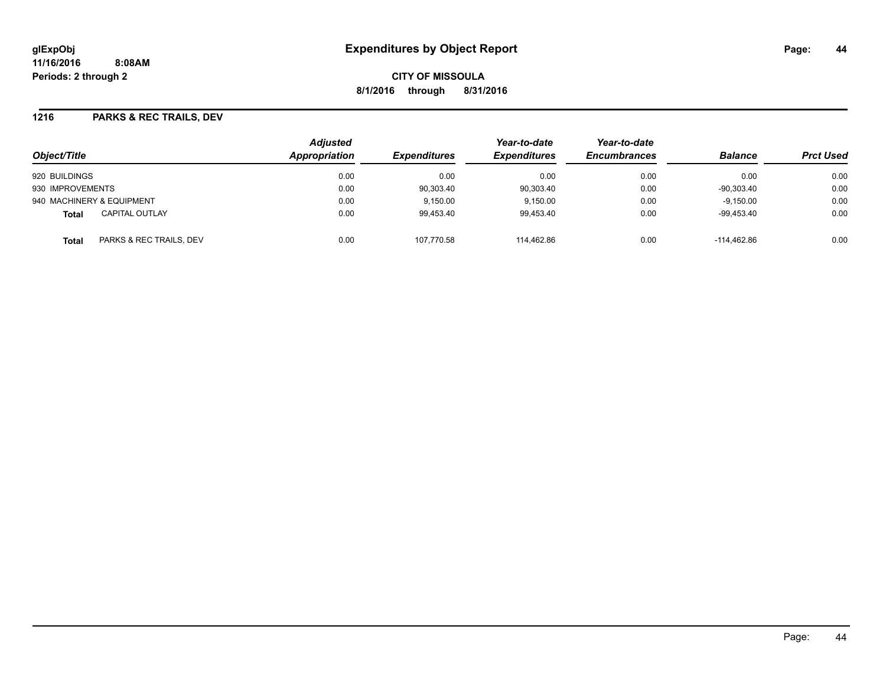**CITY OF MISSOULA 8/1/2016 through 8/31/2016**

#### **1216 PARKS & REC TRAILS, DEV**

| Object/Title                          | <b>Adjusted</b><br><b>Appropriation</b><br><i><b>Expenditures</b></i> | Year-to-date<br><b>Expenditures</b> | Year-to-date<br><b>Encumbrances</b> | <b>Balance</b> | <b>Prct Used</b> |      |
|---------------------------------------|-----------------------------------------------------------------------|-------------------------------------|-------------------------------------|----------------|------------------|------|
| 920 BUILDINGS                         | 0.00                                                                  | 0.00                                | 0.00                                | 0.00           | 0.00             | 0.00 |
| 930 IMPROVEMENTS                      | 0.00                                                                  | 90,303.40                           | 90,303.40                           | 0.00           | $-90.303.40$     | 0.00 |
| 940 MACHINERY & EQUIPMENT             | 0.00                                                                  | 9.150.00                            | 9.150.00                            | 0.00           | $-9,150.00$      | 0.00 |
| <b>CAPITAL OUTLAY</b><br><b>Total</b> | 0.00                                                                  | 99.453.40                           | 99.453.40                           | 0.00           | -99.453.40       | 0.00 |
| PARKS & REC TRAILS, DEV<br>Total      | 0.00                                                                  | 107.770.58                          | 114.462.86                          | 0.00           | -114.462.86      | 0.00 |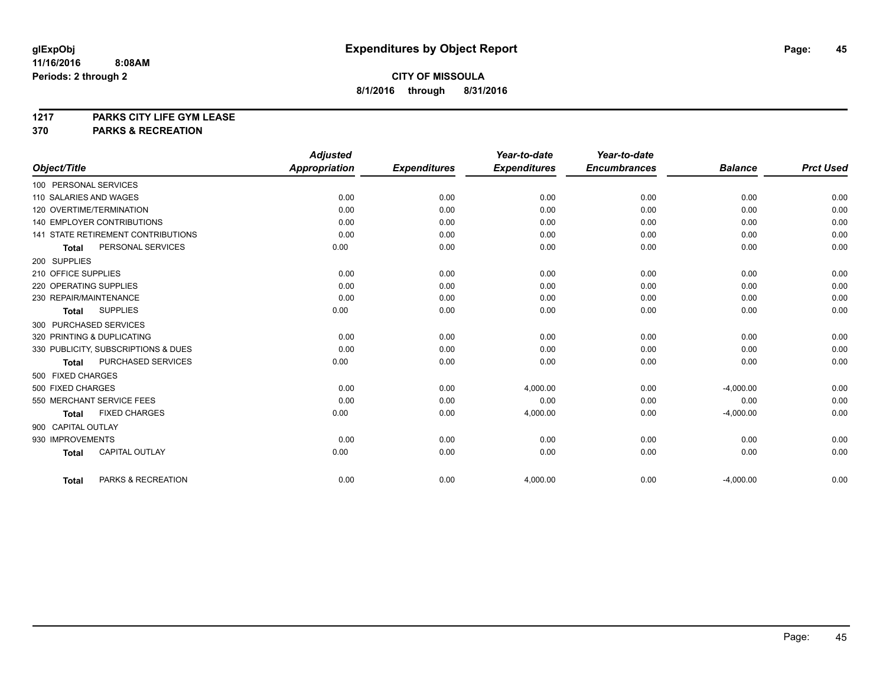# **1217 PARKS CITY LIFE GYM LEASE**

## **370 PARKS & RECREATION**

|                                           | <b>Adjusted</b>      |                     | Year-to-date        | Year-to-date        |                |                  |
|-------------------------------------------|----------------------|---------------------|---------------------|---------------------|----------------|------------------|
| Object/Title                              | <b>Appropriation</b> | <b>Expenditures</b> | <b>Expenditures</b> | <b>Encumbrances</b> | <b>Balance</b> | <b>Prct Used</b> |
| 100 PERSONAL SERVICES                     |                      |                     |                     |                     |                |                  |
| 110 SALARIES AND WAGES                    | 0.00                 | 0.00                | 0.00                | 0.00                | 0.00           | 0.00             |
| 120 OVERTIME/TERMINATION                  | 0.00                 | 0.00                | 0.00                | 0.00                | 0.00           | 0.00             |
| <b>140 EMPLOYER CONTRIBUTIONS</b>         | 0.00                 | 0.00                | 0.00                | 0.00                | 0.00           | 0.00             |
| <b>141 STATE RETIREMENT CONTRIBUTIONS</b> | 0.00                 | 0.00                | 0.00                | 0.00                | 0.00           | 0.00             |
| PERSONAL SERVICES<br><b>Total</b>         | 0.00                 | 0.00                | 0.00                | 0.00                | 0.00           | 0.00             |
| 200 SUPPLIES                              |                      |                     |                     |                     |                |                  |
| 210 OFFICE SUPPLIES                       | 0.00                 | 0.00                | 0.00                | 0.00                | 0.00           | 0.00             |
| 220 OPERATING SUPPLIES                    | 0.00                 | 0.00                | 0.00                | 0.00                | 0.00           | 0.00             |
| 230 REPAIR/MAINTENANCE                    | 0.00                 | 0.00                | 0.00                | 0.00                | 0.00           | 0.00             |
| <b>SUPPLIES</b><br><b>Total</b>           | 0.00                 | 0.00                | 0.00                | 0.00                | 0.00           | 0.00             |
| 300 PURCHASED SERVICES                    |                      |                     |                     |                     |                |                  |
| 320 PRINTING & DUPLICATING                | 0.00                 | 0.00                | 0.00                | 0.00                | 0.00           | 0.00             |
| 330 PUBLICITY, SUBSCRIPTIONS & DUES       | 0.00                 | 0.00                | 0.00                | 0.00                | 0.00           | 0.00             |
| PURCHASED SERVICES<br><b>Total</b>        | 0.00                 | 0.00                | 0.00                | 0.00                | 0.00           | 0.00             |
| 500 FIXED CHARGES                         |                      |                     |                     |                     |                |                  |
| 500 FIXED CHARGES                         | 0.00                 | 0.00                | 4,000.00            | 0.00                | $-4,000.00$    | 0.00             |
| 550 MERCHANT SERVICE FEES                 | 0.00                 | 0.00                | 0.00                | 0.00                | 0.00           | 0.00             |
| <b>FIXED CHARGES</b><br><b>Total</b>      | 0.00                 | 0.00                | 4,000.00            | 0.00                | $-4,000.00$    | 0.00             |
| 900 CAPITAL OUTLAY                        |                      |                     |                     |                     |                |                  |
| 930 IMPROVEMENTS                          | 0.00                 | 0.00                | 0.00                | 0.00                | 0.00           | 0.00             |
| CAPITAL OUTLAY<br><b>Total</b>            | 0.00                 | 0.00                | 0.00                | 0.00                | 0.00           | 0.00             |
|                                           |                      |                     |                     |                     |                |                  |
| PARKS & RECREATION<br><b>Total</b>        | 0.00                 | 0.00                | 4,000.00            | 0.00                | $-4,000.00$    | 0.00             |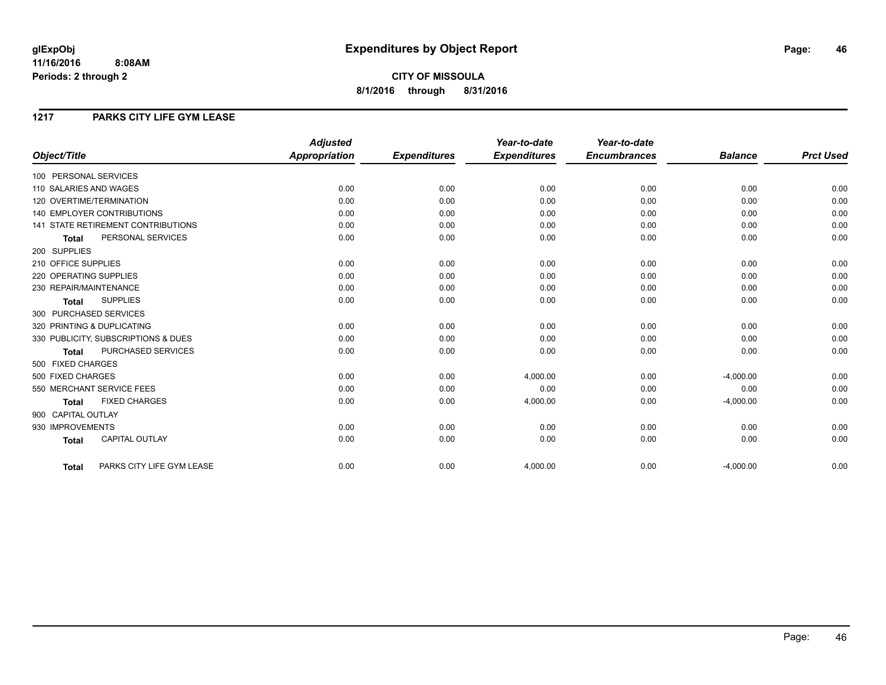**CITY OF MISSOULA 8/1/2016 through 8/31/2016**

#### **1217 PARKS CITY LIFE GYM LEASE**

|                                           | <b>Adjusted</b>      |                     | Year-to-date        | Year-to-date        |                |                  |
|-------------------------------------------|----------------------|---------------------|---------------------|---------------------|----------------|------------------|
| Object/Title                              | <b>Appropriation</b> | <b>Expenditures</b> | <b>Expenditures</b> | <b>Encumbrances</b> | <b>Balance</b> | <b>Prct Used</b> |
| 100 PERSONAL SERVICES                     |                      |                     |                     |                     |                |                  |
| 110 SALARIES AND WAGES                    | 0.00                 | 0.00                | 0.00                | 0.00                | 0.00           | 0.00             |
| 120 OVERTIME/TERMINATION                  | 0.00                 | 0.00                | 0.00                | 0.00                | 0.00           | 0.00             |
| <b>140 EMPLOYER CONTRIBUTIONS</b>         | 0.00                 | 0.00                | 0.00                | 0.00                | 0.00           | 0.00             |
| <b>141 STATE RETIREMENT CONTRIBUTIONS</b> | 0.00                 | 0.00                | 0.00                | 0.00                | 0.00           | 0.00             |
| PERSONAL SERVICES<br><b>Total</b>         | 0.00                 | 0.00                | 0.00                | 0.00                | 0.00           | 0.00             |
| 200 SUPPLIES                              |                      |                     |                     |                     |                |                  |
| 210 OFFICE SUPPLIES                       | 0.00                 | 0.00                | 0.00                | 0.00                | 0.00           | 0.00             |
| 220 OPERATING SUPPLIES                    | 0.00                 | 0.00                | 0.00                | 0.00                | 0.00           | 0.00             |
| 230 REPAIR/MAINTENANCE                    | 0.00                 | 0.00                | 0.00                | 0.00                | 0.00           | 0.00             |
| <b>SUPPLIES</b><br><b>Total</b>           | 0.00                 | 0.00                | 0.00                | 0.00                | 0.00           | 0.00             |
| 300 PURCHASED SERVICES                    |                      |                     |                     |                     |                |                  |
| 320 PRINTING & DUPLICATING                | 0.00                 | 0.00                | 0.00                | 0.00                | 0.00           | 0.00             |
| 330 PUBLICITY, SUBSCRIPTIONS & DUES       | 0.00                 | 0.00                | 0.00                | 0.00                | 0.00           | 0.00             |
| PURCHASED SERVICES<br><b>Total</b>        | 0.00                 | 0.00                | 0.00                | 0.00                | 0.00           | 0.00             |
| 500 FIXED CHARGES                         |                      |                     |                     |                     |                |                  |
| 500 FIXED CHARGES                         | 0.00                 | 0.00                | 4,000.00            | 0.00                | $-4,000.00$    | 0.00             |
| 550 MERCHANT SERVICE FEES                 | 0.00                 | 0.00                | 0.00                | 0.00                | 0.00           | 0.00             |
| <b>FIXED CHARGES</b><br><b>Total</b>      | 0.00                 | 0.00                | 4,000.00            | 0.00                | $-4,000.00$    | 0.00             |
| 900 CAPITAL OUTLAY                        |                      |                     |                     |                     |                |                  |
| 930 IMPROVEMENTS                          | 0.00                 | 0.00                | 0.00                | 0.00                | 0.00           | 0.00             |
| <b>CAPITAL OUTLAY</b><br><b>Total</b>     | 0.00                 | 0.00                | 0.00                | 0.00                | 0.00           | 0.00             |
| PARKS CITY LIFE GYM LEASE<br><b>Total</b> | 0.00                 | 0.00                | 4,000.00            | 0.00                | $-4,000.00$    | 0.00             |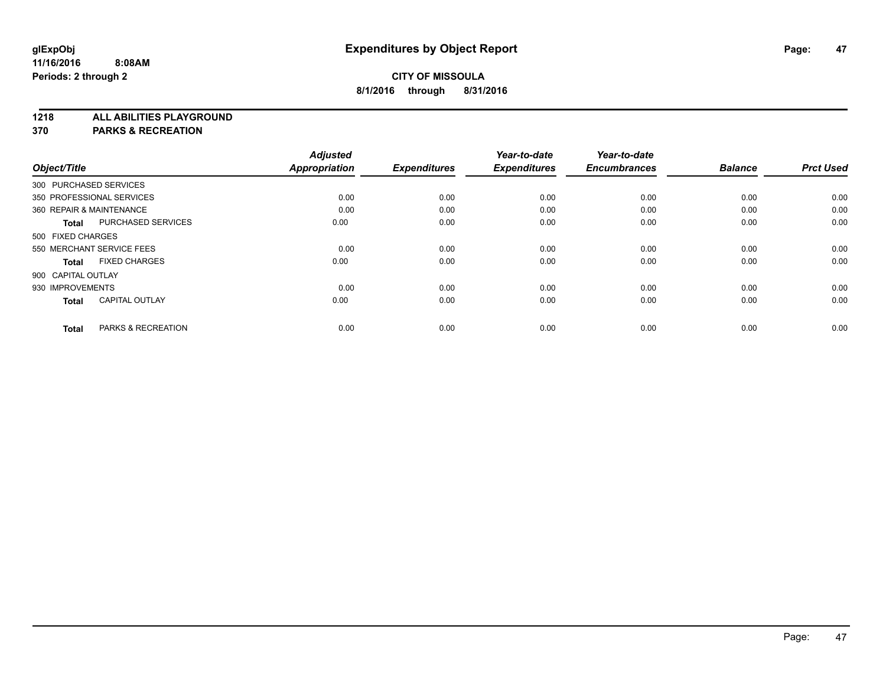**1218 ALL ABILITIES PLAYGROUND**

**370 PARKS & RECREATION**

|                    |                               | <b>Adjusted</b> |                     | Year-to-date        | Year-to-date        |                |                  |
|--------------------|-------------------------------|-----------------|---------------------|---------------------|---------------------|----------------|------------------|
| Object/Title       |                               | Appropriation   | <b>Expenditures</b> | <b>Expenditures</b> | <b>Encumbrances</b> | <b>Balance</b> | <b>Prct Used</b> |
|                    | 300 PURCHASED SERVICES        |                 |                     |                     |                     |                |                  |
|                    | 350 PROFESSIONAL SERVICES     | 0.00            | 0.00                | 0.00                | 0.00                | 0.00           | 0.00             |
|                    | 360 REPAIR & MAINTENANCE      | 0.00            | 0.00                | 0.00                | 0.00                | 0.00           | 0.00             |
| <b>Total</b>       | <b>PURCHASED SERVICES</b>     | 0.00            | 0.00                | 0.00                | 0.00                | 0.00           | 0.00             |
| 500 FIXED CHARGES  |                               |                 |                     |                     |                     |                |                  |
|                    | 550 MERCHANT SERVICE FEES     | 0.00            | 0.00                | 0.00                | 0.00                | 0.00           | 0.00             |
| <b>Total</b>       | <b>FIXED CHARGES</b>          | 0.00            | 0.00                | 0.00                | 0.00                | 0.00           | 0.00             |
| 900 CAPITAL OUTLAY |                               |                 |                     |                     |                     |                |                  |
| 930 IMPROVEMENTS   |                               | 0.00            | 0.00                | 0.00                | 0.00                | 0.00           | 0.00             |
| <b>Total</b>       | <b>CAPITAL OUTLAY</b>         | 0.00            | 0.00                | 0.00                | 0.00                | 0.00           | 0.00             |
|                    |                               |                 |                     |                     |                     |                |                  |
| Total              | <b>PARKS &amp; RECREATION</b> | 0.00            | 0.00                | 0.00                | 0.00                | 0.00           | 0.00             |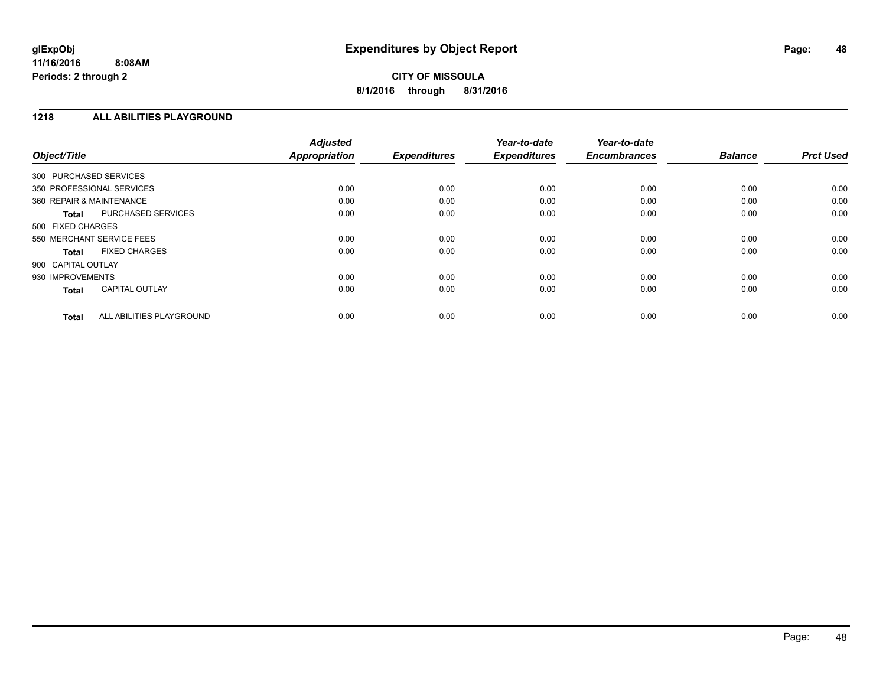#### **1218 ALL ABILITIES PLAYGROUND**

| Object/Title                              | <b>Adjusted</b><br><b>Appropriation</b> | <b>Expenditures</b> | Year-to-date<br><b>Expenditures</b> | Year-to-date<br><b>Encumbrances</b> | <b>Balance</b> | <b>Prct Used</b> |
|-------------------------------------------|-----------------------------------------|---------------------|-------------------------------------|-------------------------------------|----------------|------------------|
| 300 PURCHASED SERVICES                    |                                         |                     |                                     |                                     |                |                  |
|                                           |                                         |                     |                                     |                                     |                |                  |
| 350 PROFESSIONAL SERVICES                 | 0.00                                    | 0.00                | 0.00                                | 0.00                                | 0.00           | 0.00             |
| 360 REPAIR & MAINTENANCE                  | 0.00                                    | 0.00                | 0.00                                | 0.00                                | 0.00           | 0.00             |
| <b>PURCHASED SERVICES</b><br><b>Total</b> | 0.00                                    | 0.00                | 0.00                                | 0.00                                | 0.00           | 0.00             |
| 500 FIXED CHARGES                         |                                         |                     |                                     |                                     |                |                  |
| 550 MERCHANT SERVICE FEES                 | 0.00                                    | 0.00                | 0.00                                | 0.00                                | 0.00           | 0.00             |
| <b>FIXED CHARGES</b><br><b>Total</b>      | 0.00                                    | 0.00                | 0.00                                | 0.00                                | 0.00           | 0.00             |
| 900 CAPITAL OUTLAY                        |                                         |                     |                                     |                                     |                |                  |
| 930 IMPROVEMENTS                          | 0.00                                    | 0.00                | 0.00                                | 0.00                                | 0.00           | 0.00             |
| <b>CAPITAL OUTLAY</b><br><b>Total</b>     | 0.00                                    | 0.00                | 0.00                                | 0.00                                | 0.00           | 0.00             |
|                                           |                                         |                     |                                     |                                     |                |                  |
| ALL ABILITIES PLAYGROUND<br><b>Total</b>  | 0.00                                    | 0.00                | 0.00                                | 0.00                                | 0.00           | 0.00             |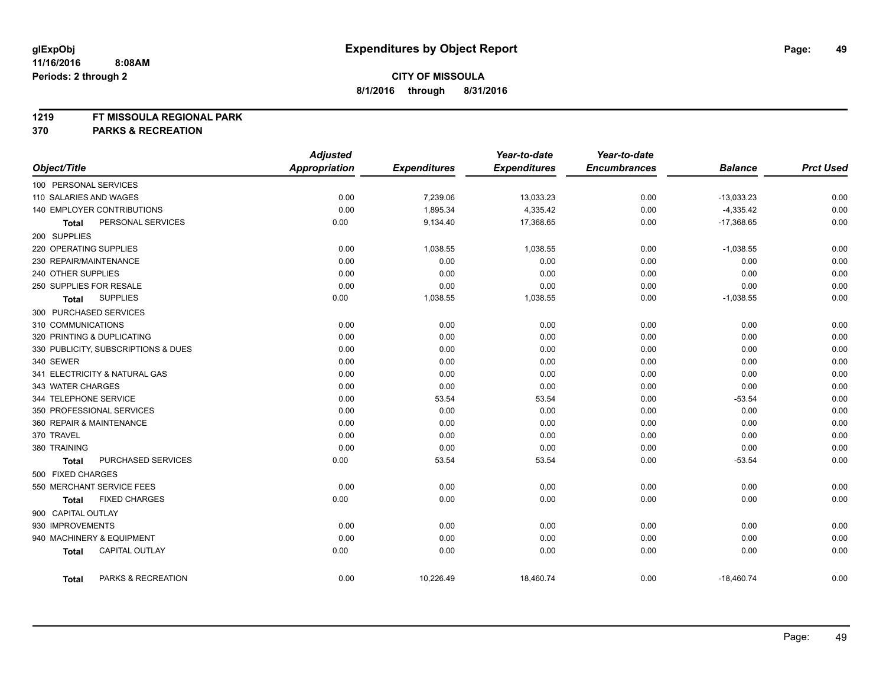#### **1219 FT MISSOULA REGIONAL PARK**

**370 PARKS & RECREATION**

|                                       | <b>Adjusted</b>      |                     | Year-to-date        | Year-to-date        |                |                  |
|---------------------------------------|----------------------|---------------------|---------------------|---------------------|----------------|------------------|
| Object/Title                          | <b>Appropriation</b> | <b>Expenditures</b> | <b>Expenditures</b> | <b>Encumbrances</b> | <b>Balance</b> | <b>Prct Used</b> |
| 100 PERSONAL SERVICES                 |                      |                     |                     |                     |                |                  |
| 110 SALARIES AND WAGES                | 0.00                 | 7,239.06            | 13,033.23           | 0.00                | $-13,033.23$   | 0.00             |
| 140 EMPLOYER CONTRIBUTIONS            | 0.00                 | 1,895.34            | 4,335.42            | 0.00                | $-4,335.42$    | 0.00             |
| PERSONAL SERVICES<br><b>Total</b>     | 0.00                 | 9,134.40            | 17,368.65           | 0.00                | $-17,368.65$   | 0.00             |
| 200 SUPPLIES                          |                      |                     |                     |                     |                |                  |
| 220 OPERATING SUPPLIES                | 0.00                 | 1,038.55            | 1,038.55            | 0.00                | $-1,038.55$    | 0.00             |
| 230 REPAIR/MAINTENANCE                | 0.00                 | 0.00                | 0.00                | 0.00                | 0.00           | 0.00             |
| 240 OTHER SUPPLIES                    | 0.00                 | 0.00                | 0.00                | 0.00                | 0.00           | 0.00             |
| 250 SUPPLIES FOR RESALE               | 0.00                 | 0.00                | 0.00                | 0.00                | 0.00           | 0.00             |
| <b>SUPPLIES</b><br><b>Total</b>       | 0.00                 | 1,038.55            | 1,038.55            | 0.00                | $-1,038.55$    | 0.00             |
| 300 PURCHASED SERVICES                |                      |                     |                     |                     |                |                  |
| 310 COMMUNICATIONS                    | 0.00                 | 0.00                | 0.00                | 0.00                | 0.00           | 0.00             |
| 320 PRINTING & DUPLICATING            | 0.00                 | 0.00                | 0.00                | 0.00                | 0.00           | 0.00             |
| 330 PUBLICITY, SUBSCRIPTIONS & DUES   | 0.00                 | 0.00                | 0.00                | 0.00                | 0.00           | 0.00             |
| 340 SEWER                             | 0.00                 | 0.00                | 0.00                | 0.00                | 0.00           | 0.00             |
| 341 ELECTRICITY & NATURAL GAS         | 0.00                 | 0.00                | 0.00                | 0.00                | 0.00           | 0.00             |
| 343 WATER CHARGES                     | 0.00                 | 0.00                | 0.00                | 0.00                | 0.00           | 0.00             |
| 344 TELEPHONE SERVICE                 | 0.00                 | 53.54               | 53.54               | 0.00                | $-53.54$       | 0.00             |
| 350 PROFESSIONAL SERVICES             | 0.00                 | 0.00                | 0.00                | 0.00                | 0.00           | 0.00             |
| 360 REPAIR & MAINTENANCE              | 0.00                 | 0.00                | 0.00                | 0.00                | 0.00           | 0.00             |
| 370 TRAVEL                            | 0.00                 | 0.00                | 0.00                | 0.00                | 0.00           | 0.00             |
| 380 TRAINING                          | 0.00                 | 0.00                | 0.00                | 0.00                | 0.00           | 0.00             |
| PURCHASED SERVICES<br><b>Total</b>    | 0.00                 | 53.54               | 53.54               | 0.00                | $-53.54$       | 0.00             |
| 500 FIXED CHARGES                     |                      |                     |                     |                     |                |                  |
| 550 MERCHANT SERVICE FEES             | 0.00                 | 0.00                | 0.00                | 0.00                | 0.00           | 0.00             |
| <b>FIXED CHARGES</b><br>Total         | 0.00                 | 0.00                | 0.00                | 0.00                | 0.00           | 0.00             |
| 900 CAPITAL OUTLAY                    |                      |                     |                     |                     |                |                  |
| 930 IMPROVEMENTS                      | 0.00                 | 0.00                | 0.00                | 0.00                | 0.00           | 0.00             |
| 940 MACHINERY & EQUIPMENT             | 0.00                 | 0.00                | 0.00                | 0.00                | 0.00           | 0.00             |
| <b>CAPITAL OUTLAY</b><br><b>Total</b> | 0.00                 | 0.00                | 0.00                | 0.00                | 0.00           | 0.00             |
| PARKS & RECREATION<br><b>Total</b>    | 0.00                 | 10,226.49           | 18,460.74           | 0.00                | $-18,460.74$   | 0.00             |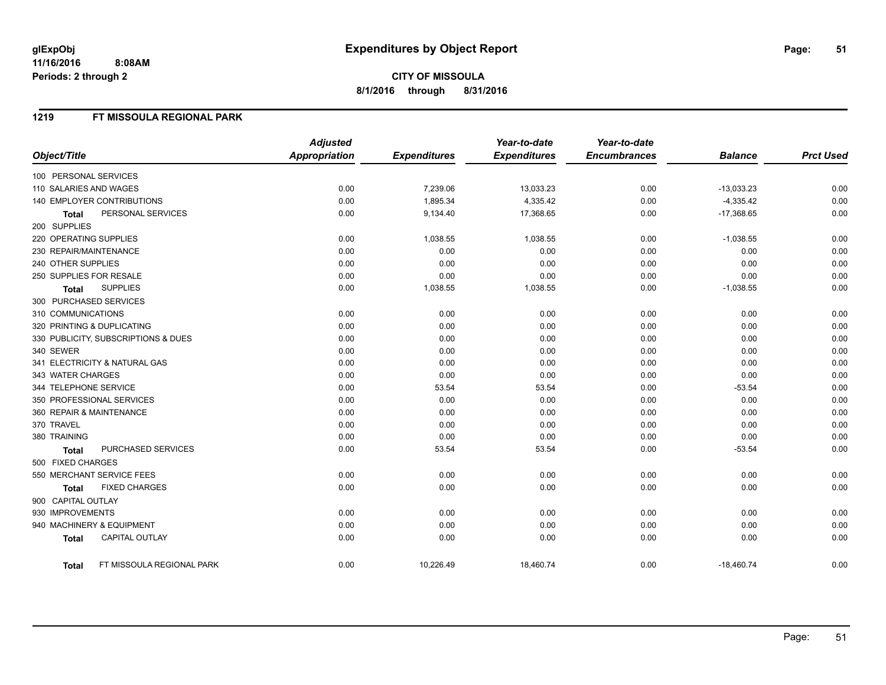#### **1219 FT MISSOULA REGIONAL PARK**

|                                           | <b>Adjusted</b>      |                     | Year-to-date        | Year-to-date        |                |                  |
|-------------------------------------------|----------------------|---------------------|---------------------|---------------------|----------------|------------------|
| Object/Title                              | <b>Appropriation</b> | <b>Expenditures</b> | <b>Expenditures</b> | <b>Encumbrances</b> | <b>Balance</b> | <b>Prct Used</b> |
| 100 PERSONAL SERVICES                     |                      |                     |                     |                     |                |                  |
| 110 SALARIES AND WAGES                    | 0.00                 | 7,239.06            | 13,033.23           | 0.00                | $-13,033.23$   | 0.00             |
| 140 EMPLOYER CONTRIBUTIONS                | 0.00                 | 1,895.34            | 4,335.42            | 0.00                | $-4,335.42$    | 0.00             |
| PERSONAL SERVICES<br><b>Total</b>         | 0.00                 | 9,134.40            | 17,368.65           | 0.00                | $-17,368.65$   | 0.00             |
| 200 SUPPLIES                              |                      |                     |                     |                     |                |                  |
| 220 OPERATING SUPPLIES                    | 0.00                 | 1,038.55            | 1,038.55            | 0.00                | $-1,038.55$    | 0.00             |
| 230 REPAIR/MAINTENANCE                    | 0.00                 | 0.00                | 0.00                | 0.00                | 0.00           | 0.00             |
| 240 OTHER SUPPLIES                        | 0.00                 | 0.00                | 0.00                | 0.00                | 0.00           | 0.00             |
| 250 SUPPLIES FOR RESALE                   | 0.00                 | 0.00                | 0.00                | 0.00                | 0.00           | 0.00             |
| <b>SUPPLIES</b><br>Total                  | 0.00                 | 1,038.55            | 1,038.55            | 0.00                | $-1,038.55$    | 0.00             |
| 300 PURCHASED SERVICES                    |                      |                     |                     |                     |                |                  |
| 310 COMMUNICATIONS                        | 0.00                 | 0.00                | 0.00                | 0.00                | 0.00           | 0.00             |
| 320 PRINTING & DUPLICATING                | 0.00                 | 0.00                | 0.00                | 0.00                | 0.00           | 0.00             |
| 330 PUBLICITY, SUBSCRIPTIONS & DUES       | 0.00                 | 0.00                | 0.00                | 0.00                | 0.00           | 0.00             |
| 340 SEWER                                 | 0.00                 | 0.00                | 0.00                | 0.00                | 0.00           | 0.00             |
| 341 ELECTRICITY & NATURAL GAS             | 0.00                 | 0.00                | 0.00                | 0.00                | 0.00           | 0.00             |
| 343 WATER CHARGES                         | 0.00                 | 0.00                | 0.00                | 0.00                | 0.00           | 0.00             |
| 344 TELEPHONE SERVICE                     | 0.00                 | 53.54               | 53.54               | 0.00                | $-53.54$       | 0.00             |
| 350 PROFESSIONAL SERVICES                 | 0.00                 | 0.00                | 0.00                | 0.00                | 0.00           | 0.00             |
| 360 REPAIR & MAINTENANCE                  | 0.00                 | 0.00                | 0.00                | 0.00                | 0.00           | 0.00             |
| 370 TRAVEL                                | 0.00                 | 0.00                | 0.00                | 0.00                | 0.00           | 0.00             |
| 380 TRAINING                              | 0.00                 | 0.00                | 0.00                | 0.00                | 0.00           | 0.00             |
| PURCHASED SERVICES<br>Total               | 0.00                 | 53.54               | 53.54               | 0.00                | $-53.54$       | 0.00             |
| 500 FIXED CHARGES                         |                      |                     |                     |                     |                |                  |
| 550 MERCHANT SERVICE FEES                 | 0.00                 | 0.00                | 0.00                | 0.00                | 0.00           | 0.00             |
| <b>FIXED CHARGES</b><br><b>Total</b>      | 0.00                 | 0.00                | 0.00                | 0.00                | 0.00           | 0.00             |
| 900 CAPITAL OUTLAY                        |                      |                     |                     |                     |                |                  |
| 930 IMPROVEMENTS                          | 0.00                 | 0.00                | 0.00                | 0.00                | 0.00           | 0.00             |
| 940 MACHINERY & EQUIPMENT                 | 0.00                 | 0.00                | 0.00                | 0.00                | 0.00           | 0.00             |
| <b>CAPITAL OUTLAY</b><br><b>Total</b>     | 0.00                 | 0.00                | 0.00                | 0.00                | 0.00           | 0.00             |
| FT MISSOULA REGIONAL PARK<br><b>Total</b> | 0.00                 | 10,226.49           | 18,460.74           | 0.00                | $-18,460.74$   | 0.00             |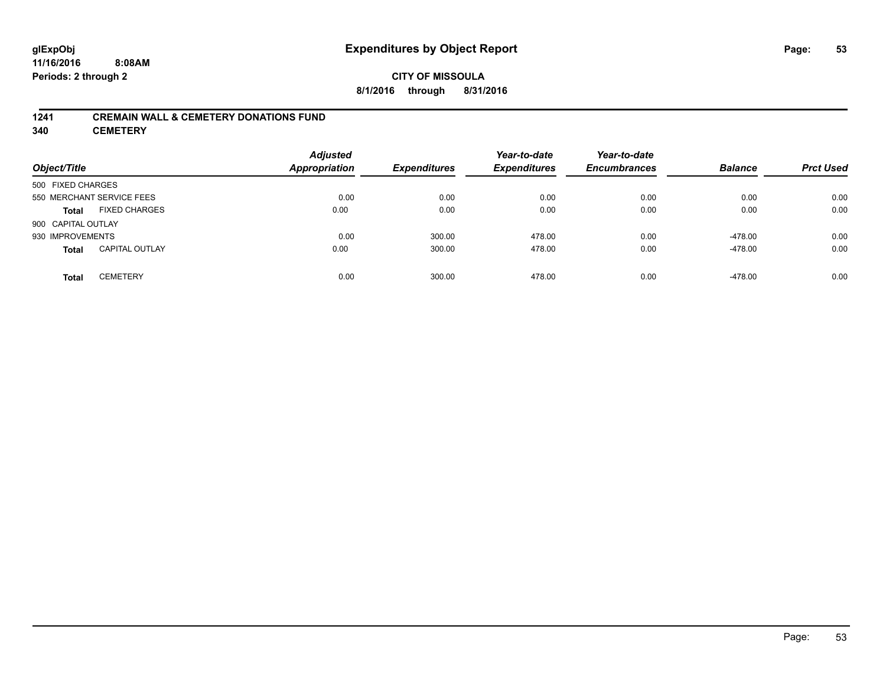### **CITY OF MISSOULA 8/1/2016 through 8/31/2016**

#### **1241 CREMAIN WALL & CEMETERY DONATIONS FUND**

**340 CEMETERY**

| Object/Title                          | <b>Adjusted</b><br><b>Appropriation</b> | <b>Expenditures</b> | Year-to-date<br><b>Expenditures</b> | Year-to-date<br><b>Encumbrances</b> | <b>Balance</b> | <b>Prct Used</b> |
|---------------------------------------|-----------------------------------------|---------------------|-------------------------------------|-------------------------------------|----------------|------------------|
| 500 FIXED CHARGES                     |                                         |                     |                                     |                                     |                |                  |
| 550 MERCHANT SERVICE FEES             | 0.00                                    | 0.00                | 0.00                                | 0.00                                | 0.00           | 0.00             |
| <b>FIXED CHARGES</b><br><b>Total</b>  | 0.00                                    | 0.00                | 0.00                                | 0.00                                | 0.00           | 0.00             |
| 900 CAPITAL OUTLAY                    |                                         |                     |                                     |                                     |                |                  |
| 930 IMPROVEMENTS                      | 0.00                                    | 300.00              | 478.00                              | 0.00                                | $-478.00$      | 0.00             |
| <b>CAPITAL OUTLAY</b><br><b>Total</b> | 0.00                                    | 300.00              | 478.00                              | 0.00                                | $-478.00$      | 0.00             |
| <b>CEMETERY</b><br>Total              | 0.00                                    | 300.00              | 478.00                              | 0.00                                | $-478.00$      | 0.00             |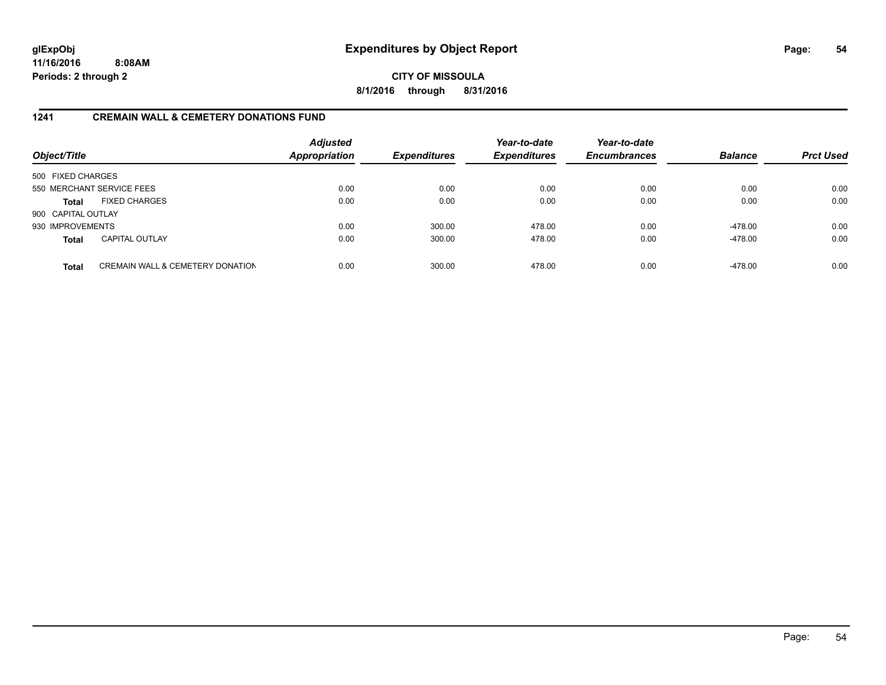## **CITY OF MISSOULA 8/1/2016 through 8/31/2016**

### **1241 CREMAIN WALL & CEMETERY DONATIONS FUND**

| Object/Title       |                                             | <b>Adjusted</b><br><b>Appropriation</b> | <b>Expenditures</b> | Year-to-date<br><b>Expenditures</b> | Year-to-date<br><b>Encumbrances</b> | <b>Balance</b> | <b>Prct Used</b> |
|--------------------|---------------------------------------------|-----------------------------------------|---------------------|-------------------------------------|-------------------------------------|----------------|------------------|
| 500 FIXED CHARGES  |                                             |                                         |                     |                                     |                                     |                |                  |
|                    | 550 MERCHANT SERVICE FEES                   | 0.00                                    | 0.00                | 0.00                                | 0.00                                | 0.00           | 0.00             |
| <b>Total</b>       | <b>FIXED CHARGES</b>                        | 0.00                                    | 0.00                | 0.00                                | 0.00                                | 0.00           | 0.00             |
| 900 CAPITAL OUTLAY |                                             |                                         |                     |                                     |                                     |                |                  |
| 930 IMPROVEMENTS   |                                             | 0.00                                    | 300.00              | 478.00                              | 0.00                                | $-478.00$      | 0.00             |
| <b>Total</b>       | <b>CAPITAL OUTLAY</b>                       | 0.00                                    | 300.00              | 478.00                              | 0.00                                | $-478.00$      | 0.00             |
| <b>Total</b>       | <b>CREMAIN WALL &amp; CEMETERY DONATION</b> | 0.00                                    | 300.00              | 478.00                              | 0.00                                | $-478.00$      | 0.00             |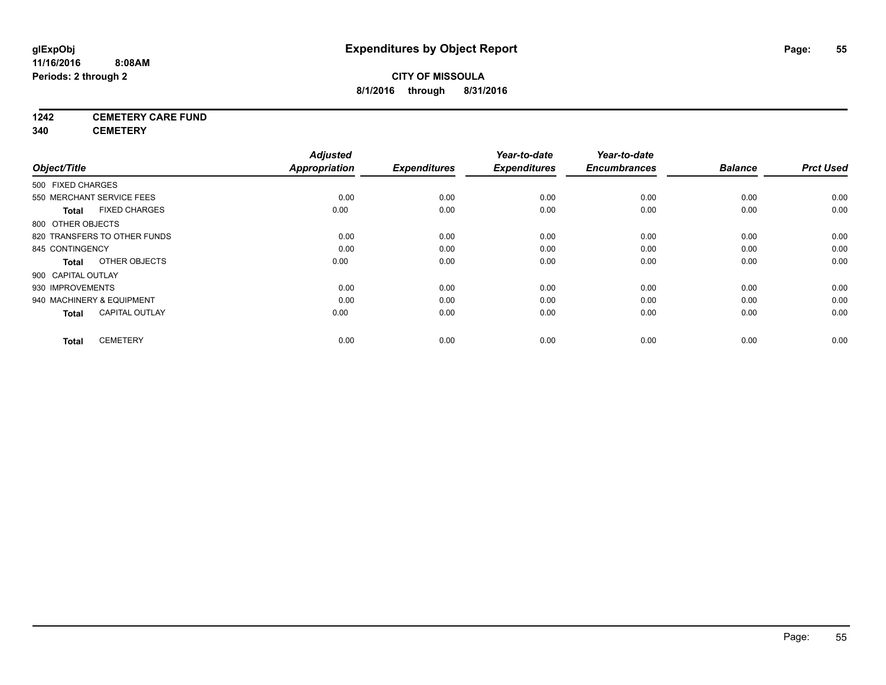## **1242 CEMETERY CARE FUND**

**340 CEMETERY**

|                    |                              | <b>Adjusted</b>      |                     | Year-to-date        | Year-to-date        |                |                  |
|--------------------|------------------------------|----------------------|---------------------|---------------------|---------------------|----------------|------------------|
| Object/Title       |                              | <b>Appropriation</b> | <b>Expenditures</b> | <b>Expenditures</b> | <b>Encumbrances</b> | <b>Balance</b> | <b>Prct Used</b> |
| 500 FIXED CHARGES  |                              |                      |                     |                     |                     |                |                  |
|                    | 550 MERCHANT SERVICE FEES    | 0.00                 | 0.00                | 0.00                | 0.00                | 0.00           | 0.00             |
| <b>Total</b>       | <b>FIXED CHARGES</b>         | 0.00                 | 0.00                | 0.00                | 0.00                | 0.00           | 0.00             |
| 800 OTHER OBJECTS  |                              |                      |                     |                     |                     |                |                  |
|                    | 820 TRANSFERS TO OTHER FUNDS | 0.00                 | 0.00                | 0.00                | 0.00                | 0.00           | 0.00             |
| 845 CONTINGENCY    |                              | 0.00                 | 0.00                | 0.00                | 0.00                | 0.00           | 0.00             |
| <b>Total</b>       | OTHER OBJECTS                | 0.00                 | 0.00                | 0.00                | 0.00                | 0.00           | 0.00             |
| 900 CAPITAL OUTLAY |                              |                      |                     |                     |                     |                |                  |
| 930 IMPROVEMENTS   |                              | 0.00                 | 0.00                | 0.00                | 0.00                | 0.00           | 0.00             |
|                    | 940 MACHINERY & EQUIPMENT    | 0.00                 | 0.00                | 0.00                | 0.00                | 0.00           | 0.00             |
| <b>Total</b>       | <b>CAPITAL OUTLAY</b>        | 0.00                 | 0.00                | 0.00                | 0.00                | 0.00           | 0.00             |
| <b>Total</b>       | <b>CEMETERY</b>              | 0.00                 | 0.00                | 0.00                | 0.00                | 0.00           | 0.00             |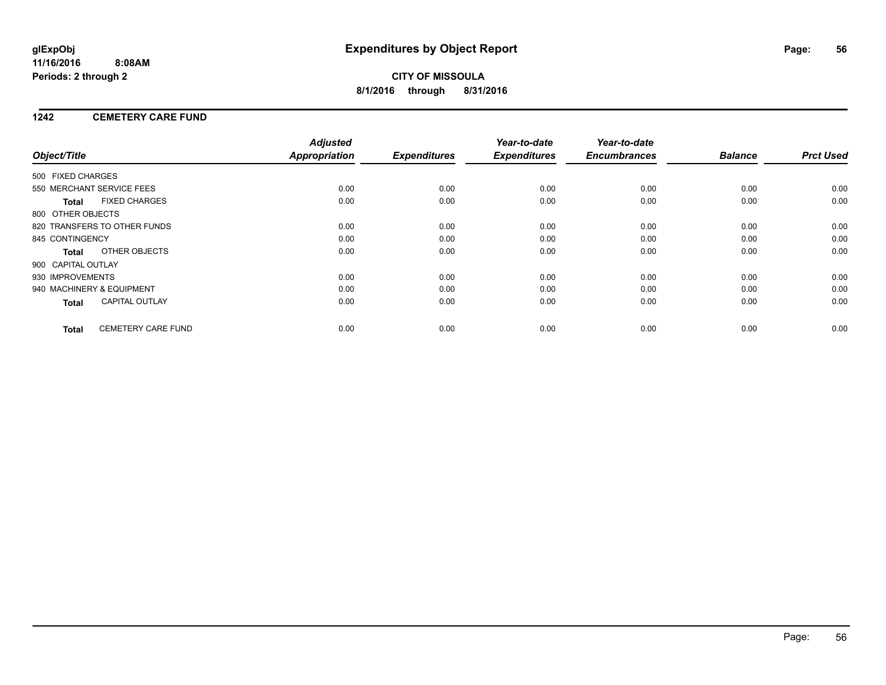### **1242 CEMETERY CARE FUND**

|                           |                              | <b>Adjusted</b>      |                     | Year-to-date        | Year-to-date        |                |                  |
|---------------------------|------------------------------|----------------------|---------------------|---------------------|---------------------|----------------|------------------|
| Object/Title              |                              | <b>Appropriation</b> | <b>Expenditures</b> | <b>Expenditures</b> | <b>Encumbrances</b> | <b>Balance</b> | <b>Prct Used</b> |
| 500 FIXED CHARGES         |                              |                      |                     |                     |                     |                |                  |
|                           | 550 MERCHANT SERVICE FEES    | 0.00                 | 0.00                | 0.00                | 0.00                | 0.00           | 0.00             |
| <b>Total</b>              | <b>FIXED CHARGES</b>         | 0.00                 | 0.00                | 0.00                | 0.00                | 0.00           | 0.00             |
| 800 OTHER OBJECTS         |                              |                      |                     |                     |                     |                |                  |
|                           | 820 TRANSFERS TO OTHER FUNDS | 0.00                 | 0.00                | 0.00                | 0.00                | 0.00           | 0.00             |
| 845 CONTINGENCY           |                              | 0.00                 | 0.00                | 0.00                | 0.00                | 0.00           | 0.00             |
| <b>Total</b>              | OTHER OBJECTS                | 0.00                 | 0.00                | 0.00                | 0.00                | 0.00           | 0.00             |
| 900 CAPITAL OUTLAY        |                              |                      |                     |                     |                     |                |                  |
| 930 IMPROVEMENTS          |                              | 0.00                 | 0.00                | 0.00                | 0.00                | 0.00           | 0.00             |
| 940 MACHINERY & EQUIPMENT |                              | 0.00                 | 0.00                | 0.00                | 0.00                | 0.00           | 0.00             |
| <b>Total</b>              | <b>CAPITAL OUTLAY</b>        | 0.00                 | 0.00                | 0.00                | 0.00                | 0.00           | 0.00             |
| <b>Total</b>              | <b>CEMETERY CARE FUND</b>    | 0.00                 | 0.00                | 0.00                | 0.00                | 0.00           | 0.00             |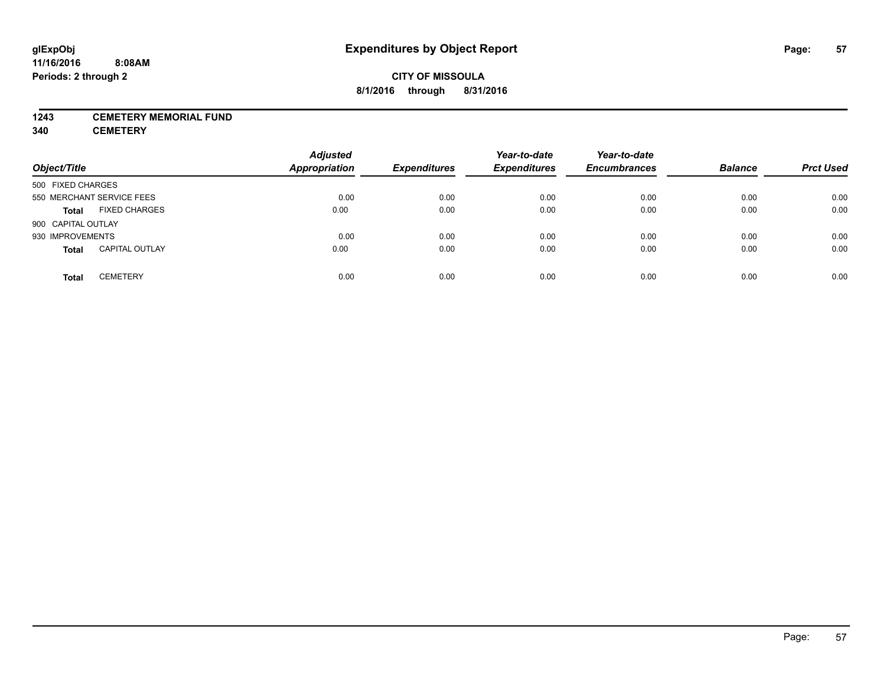#### **1243 CEMETERY MEMORIAL FUND**

**340 CEMETERY**

| Object/Title              |                       | <b>Adjusted</b><br><b>Appropriation</b> | <b>Expenditures</b> | Year-to-date<br><b>Expenditures</b> | Year-to-date<br><b>Encumbrances</b> | <b>Balance</b> | <b>Prct Used</b> |
|---------------------------|-----------------------|-----------------------------------------|---------------------|-------------------------------------|-------------------------------------|----------------|------------------|
| 500 FIXED CHARGES         |                       |                                         |                     |                                     |                                     |                |                  |
| 550 MERCHANT SERVICE FEES |                       | 0.00                                    | 0.00                | 0.00                                | 0.00                                | 0.00           | 0.00             |
| <b>Total</b>              | <b>FIXED CHARGES</b>  | 0.00                                    | 0.00                | 0.00                                | 0.00                                | 0.00           | 0.00             |
| 900 CAPITAL OUTLAY        |                       |                                         |                     |                                     |                                     |                |                  |
| 930 IMPROVEMENTS          |                       | 0.00                                    | 0.00                | 0.00                                | 0.00                                | 0.00           | 0.00             |
| <b>Total</b>              | <b>CAPITAL OUTLAY</b> | 0.00                                    | 0.00                | 0.00                                | 0.00                                | 0.00           | 0.00             |
| <b>Total</b>              | <b>CEMETERY</b>       | 0.00                                    | 0.00                | 0.00                                | 0.00                                | 0.00           | 0.00             |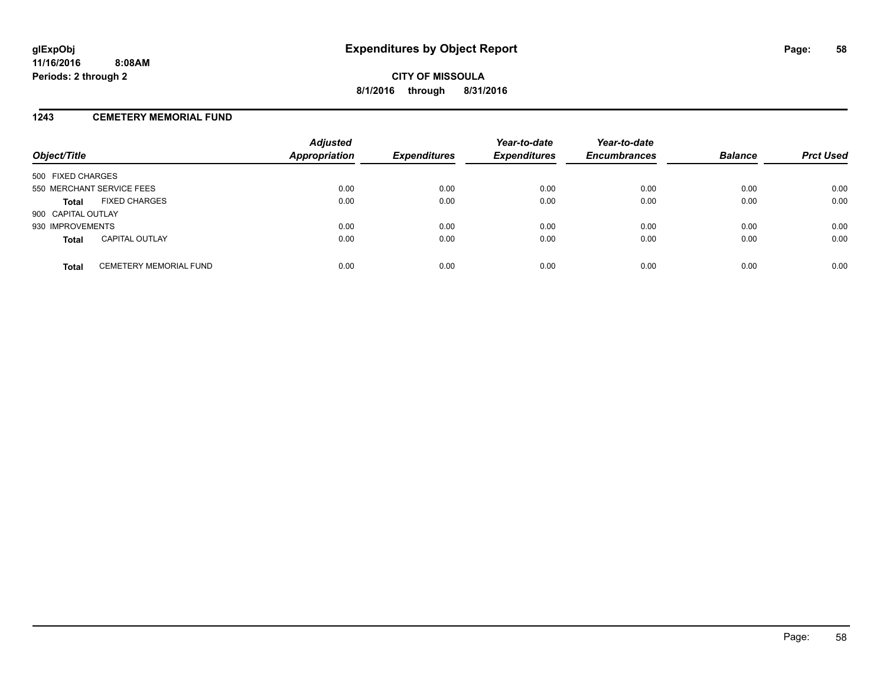#### **1243 CEMETERY MEMORIAL FUND**

| Object/Title              |                               | <b>Adjusted</b><br><b>Appropriation</b> | <b>Expenditures</b> | Year-to-date<br><b>Expenditures</b> | Year-to-date<br><b>Encumbrances</b> | <b>Balance</b> | <b>Prct Used</b> |
|---------------------------|-------------------------------|-----------------------------------------|---------------------|-------------------------------------|-------------------------------------|----------------|------------------|
| 500 FIXED CHARGES         |                               |                                         |                     |                                     |                                     |                |                  |
| 550 MERCHANT SERVICE FEES |                               | 0.00                                    | 0.00                | 0.00                                | 0.00                                | 0.00           | 0.00             |
| <b>Total</b>              | <b>FIXED CHARGES</b>          | 0.00                                    | 0.00                | 0.00                                | 0.00                                | 0.00           | 0.00             |
| 900 CAPITAL OUTLAY        |                               |                                         |                     |                                     |                                     |                |                  |
| 930 IMPROVEMENTS          |                               | 0.00                                    | 0.00                | 0.00                                | 0.00                                | 0.00           | 0.00             |
| <b>Total</b>              | <b>CAPITAL OUTLAY</b>         | 0.00                                    | 0.00                | 0.00                                | 0.00                                | 0.00           | 0.00             |
| <b>Total</b>              | <b>CEMETERY MEMORIAL FUND</b> | 0.00                                    | 0.00                | 0.00                                | 0.00                                | 0.00           | 0.00             |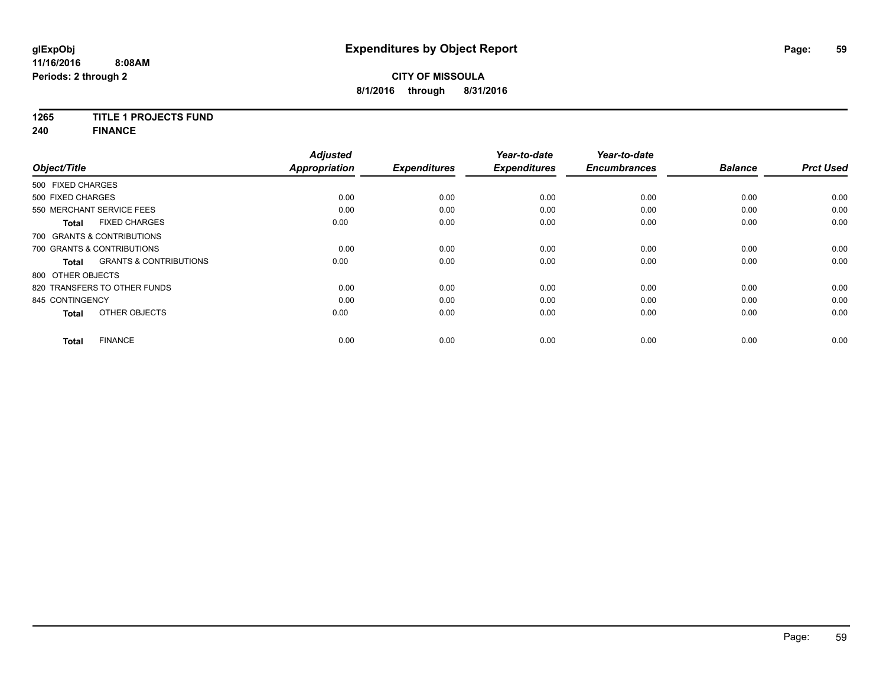## **1265 TITLE 1 PROJECTS FUND**

**240 FINANCE**

|                                            | <b>Adjusted</b>      |                     | Year-to-date        | Year-to-date        |                |                  |
|--------------------------------------------|----------------------|---------------------|---------------------|---------------------|----------------|------------------|
| Object/Title                               | <b>Appropriation</b> | <b>Expenditures</b> | <b>Expenditures</b> | <b>Encumbrances</b> | <b>Balance</b> | <b>Prct Used</b> |
| 500 FIXED CHARGES                          |                      |                     |                     |                     |                |                  |
| 500 FIXED CHARGES                          | 0.00                 | 0.00                | 0.00                | 0.00                | 0.00           | 0.00             |
| 550 MERCHANT SERVICE FEES                  | 0.00                 | 0.00                | 0.00                | 0.00                | 0.00           | 0.00             |
| <b>FIXED CHARGES</b><br>Total              | 0.00                 | 0.00                | 0.00                | 0.00                | 0.00           | 0.00             |
| 700 GRANTS & CONTRIBUTIONS                 |                      |                     |                     |                     |                |                  |
| 700 GRANTS & CONTRIBUTIONS                 | 0.00                 | 0.00                | 0.00                | 0.00                | 0.00           | 0.00             |
| <b>GRANTS &amp; CONTRIBUTIONS</b><br>Total | 0.00                 | 0.00                | 0.00                | 0.00                | 0.00           | 0.00             |
| 800 OTHER OBJECTS                          |                      |                     |                     |                     |                |                  |
| 820 TRANSFERS TO OTHER FUNDS               | 0.00                 | 0.00                | 0.00                | 0.00                | 0.00           | 0.00             |
| 845 CONTINGENCY                            | 0.00                 | 0.00                | 0.00                | 0.00                | 0.00           | 0.00             |
| OTHER OBJECTS<br><b>Total</b>              | 0.00                 | 0.00                | 0.00                | 0.00                | 0.00           | 0.00             |
| <b>FINANCE</b><br><b>Total</b>             | 0.00                 | 0.00                | 0.00                | 0.00                | 0.00           | 0.00             |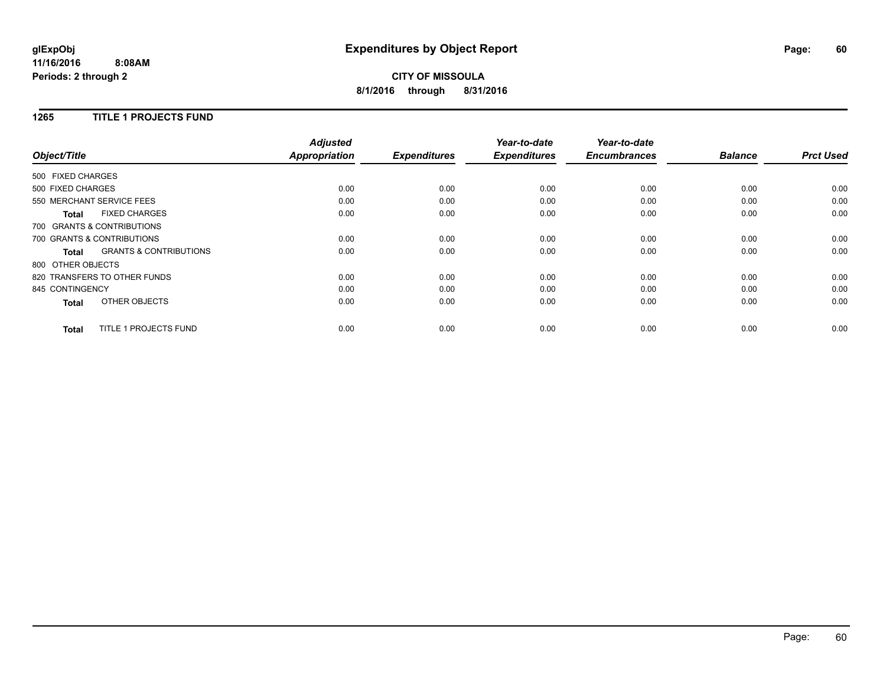## **CITY OF MISSOULA 8/1/2016 through 8/31/2016**

#### **1265 TITLE 1 PROJECTS FUND**

|                   |                                   | <b>Adjusted</b>      |                     | Year-to-date        | Year-to-date<br><b>Encumbrances</b> | <b>Balance</b> | <b>Prct Used</b> |
|-------------------|-----------------------------------|----------------------|---------------------|---------------------|-------------------------------------|----------------|------------------|
| Object/Title      |                                   | <b>Appropriation</b> | <b>Expenditures</b> | <b>Expenditures</b> |                                     |                |                  |
| 500 FIXED CHARGES |                                   |                      |                     |                     |                                     |                |                  |
| 500 FIXED CHARGES |                                   | 0.00                 | 0.00                | 0.00                | 0.00                                | 0.00           | 0.00             |
|                   | 550 MERCHANT SERVICE FEES         | 0.00                 | 0.00                | 0.00                | 0.00                                | 0.00           | 0.00             |
| <b>Total</b>      | <b>FIXED CHARGES</b>              | 0.00                 | 0.00                | 0.00                | 0.00                                | 0.00           | 0.00             |
|                   | 700 GRANTS & CONTRIBUTIONS        |                      |                     |                     |                                     |                |                  |
|                   | 700 GRANTS & CONTRIBUTIONS        | 0.00                 | 0.00                | 0.00                | 0.00                                | 0.00           | 0.00             |
| <b>Total</b>      | <b>GRANTS &amp; CONTRIBUTIONS</b> | 0.00                 | 0.00                | 0.00                | 0.00                                | 0.00           | 0.00             |
|                   | 800 OTHER OBJECTS                 |                      |                     |                     |                                     |                |                  |
|                   | 820 TRANSFERS TO OTHER FUNDS      | 0.00                 | 0.00                | 0.00                | 0.00                                | 0.00           | 0.00             |
| 845 CONTINGENCY   |                                   | 0.00                 | 0.00                | 0.00                | 0.00                                | 0.00           | 0.00             |
| <b>Total</b>      | OTHER OBJECTS                     | 0.00                 | 0.00                | 0.00                | 0.00                                | 0.00           | 0.00             |
| Total             | TITLE 1 PROJECTS FUND             | 0.00                 | 0.00                | 0.00                | 0.00                                | 0.00           | 0.00             |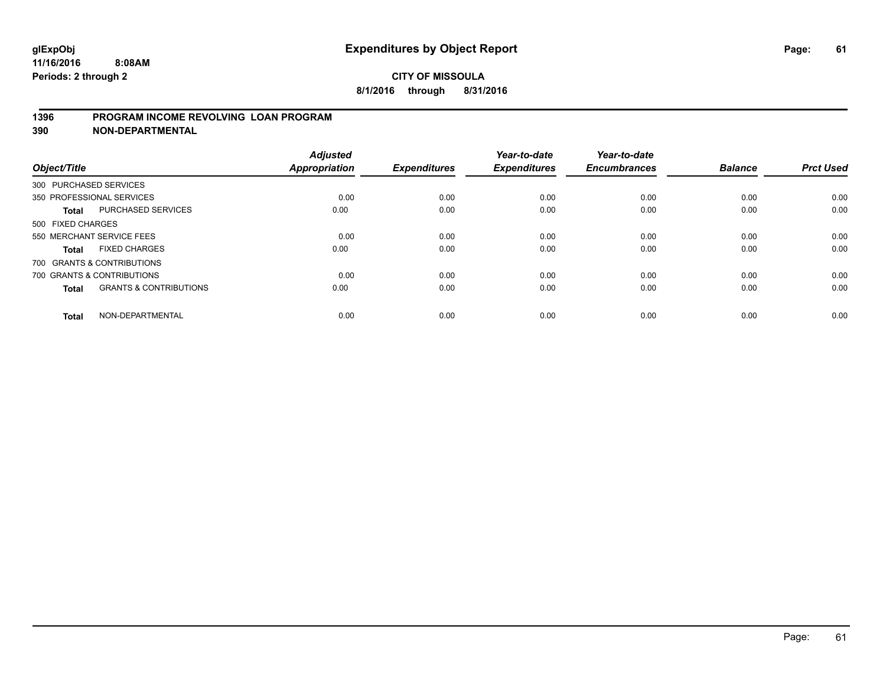### **1396 PROGRAM INCOME REVOLVING LOAN PROGRAM**

**390 NON-DEPARTMENTAL**

| Object/Title      |                                   | <b>Adjusted</b><br><b>Appropriation</b> | <b>Expenditures</b> | Year-to-date<br><b>Expenditures</b> | Year-to-date<br><b>Encumbrances</b> | <b>Balance</b> | <b>Prct Used</b> |
|-------------------|-----------------------------------|-----------------------------------------|---------------------|-------------------------------------|-------------------------------------|----------------|------------------|
|                   | 300 PURCHASED SERVICES            |                                         |                     |                                     |                                     |                |                  |
|                   | 350 PROFESSIONAL SERVICES         | 0.00                                    | 0.00                | 0.00                                | 0.00                                | 0.00           | 0.00             |
| Total             | <b>PURCHASED SERVICES</b>         | 0.00                                    | 0.00                | 0.00                                | 0.00                                | 0.00           | 0.00             |
| 500 FIXED CHARGES |                                   |                                         |                     |                                     |                                     |                |                  |
|                   | 550 MERCHANT SERVICE FEES         | 0.00                                    | 0.00                | 0.00                                | 0.00                                | 0.00           | 0.00             |
| <b>Total</b>      | <b>FIXED CHARGES</b>              | 0.00                                    | 0.00                | 0.00                                | 0.00                                | 0.00           | 0.00             |
|                   | 700 GRANTS & CONTRIBUTIONS        |                                         |                     |                                     |                                     |                |                  |
|                   | 700 GRANTS & CONTRIBUTIONS        | 0.00                                    | 0.00                | 0.00                                | 0.00                                | 0.00           | 0.00             |
| <b>Total</b>      | <b>GRANTS &amp; CONTRIBUTIONS</b> | 0.00                                    | 0.00                | 0.00                                | 0.00                                | 0.00           | 0.00             |
| <b>Total</b>      | NON-DEPARTMENTAL                  | 0.00                                    | 0.00                | 0.00                                | 0.00                                | 0.00           | 0.00             |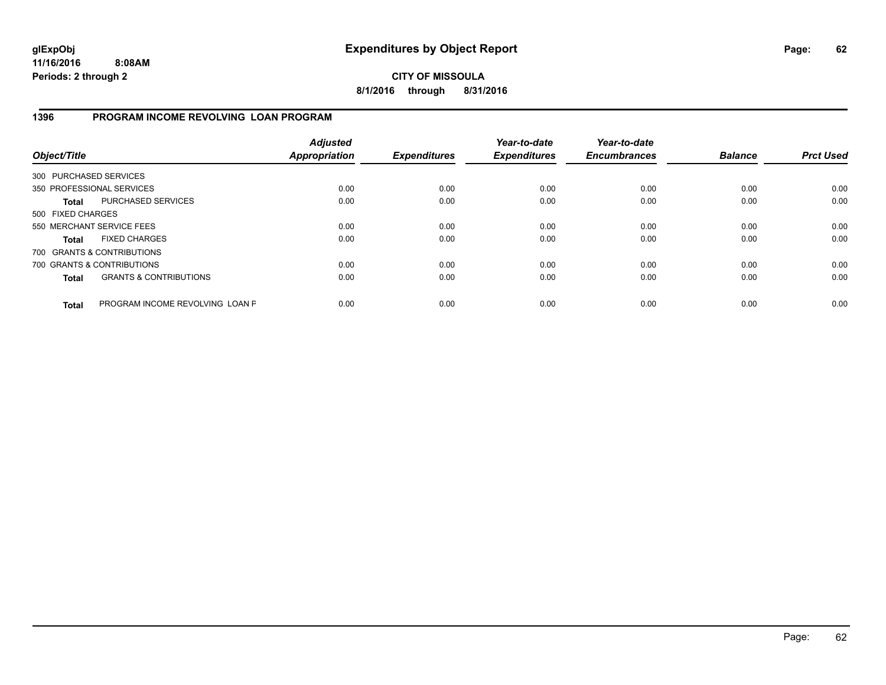### **CITY OF MISSOULA 8/1/2016 through 8/31/2016**

### **1396 PROGRAM INCOME REVOLVING LOAN PROGRAM**

| Object/Title           |                                   | <b>Adjusted</b><br><b>Appropriation</b> | <b>Expenditures</b> | Year-to-date<br><b>Expenditures</b> | Year-to-date<br><b>Encumbrances</b> | <b>Balance</b> | <b>Prct Used</b> |
|------------------------|-----------------------------------|-----------------------------------------|---------------------|-------------------------------------|-------------------------------------|----------------|------------------|
| 300 PURCHASED SERVICES |                                   |                                         |                     |                                     |                                     |                |                  |
|                        | 350 PROFESSIONAL SERVICES         | 0.00                                    | 0.00                | 0.00                                | 0.00                                | 0.00           | 0.00             |
| <b>Total</b>           | PURCHASED SERVICES                | 0.00                                    | 0.00                | 0.00                                | 0.00                                | 0.00           | 0.00             |
| 500 FIXED CHARGES      |                                   |                                         |                     |                                     |                                     |                |                  |
|                        | 550 MERCHANT SERVICE FEES         | 0.00                                    | 0.00                | 0.00                                | 0.00                                | 0.00           | 0.00             |
| <b>Total</b>           | <b>FIXED CHARGES</b>              | 0.00                                    | 0.00                | 0.00                                | 0.00                                | 0.00           | 0.00             |
|                        | 700 GRANTS & CONTRIBUTIONS        |                                         |                     |                                     |                                     |                |                  |
|                        | 700 GRANTS & CONTRIBUTIONS        | 0.00                                    | 0.00                | 0.00                                | 0.00                                | 0.00           | 0.00             |
| <b>Total</b>           | <b>GRANTS &amp; CONTRIBUTIONS</b> | 0.00                                    | 0.00                | 0.00                                | 0.00                                | 0.00           | 0.00             |
| <b>Total</b>           | PROGRAM INCOME REVOLVING LOAN P   | 0.00                                    | 0.00                | 0.00                                | 0.00                                | 0.00           | 0.00             |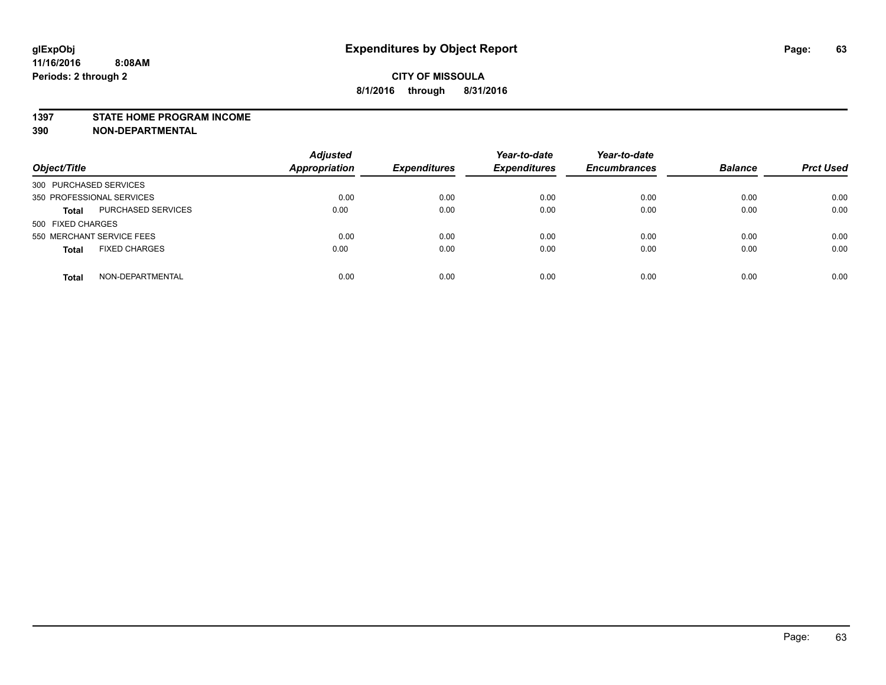#### **1397 STATE HOME PROGRAM INCOME**

**390 NON-DEPARTMENTAL**

| Object/Title                         | <b>Adjusted</b><br><b>Appropriation</b> | <b>Expenditures</b> | Year-to-date<br><b>Expenditures</b> | Year-to-date<br><b>Encumbrances</b> | <b>Balance</b> | <b>Prct Used</b> |
|--------------------------------------|-----------------------------------------|---------------------|-------------------------------------|-------------------------------------|----------------|------------------|
| 300 PURCHASED SERVICES               |                                         |                     |                                     |                                     |                |                  |
| 350 PROFESSIONAL SERVICES            | 0.00                                    | 0.00                | 0.00                                | 0.00                                | 0.00           | 0.00             |
| PURCHASED SERVICES<br><b>Total</b>   | 0.00                                    | 0.00                | 0.00                                | 0.00                                | 0.00           | 0.00             |
| 500 FIXED CHARGES                    |                                         |                     |                                     |                                     |                |                  |
| 550 MERCHANT SERVICE FEES            | 0.00                                    | 0.00                | 0.00                                | 0.00                                | 0.00           | 0.00             |
| <b>FIXED CHARGES</b><br><b>Total</b> | 0.00                                    | 0.00                | 0.00                                | 0.00                                | 0.00           | 0.00             |
| NON-DEPARTMENTAL<br><b>Total</b>     | 0.00                                    | 0.00                | 0.00                                | 0.00                                | 0.00           | 0.00             |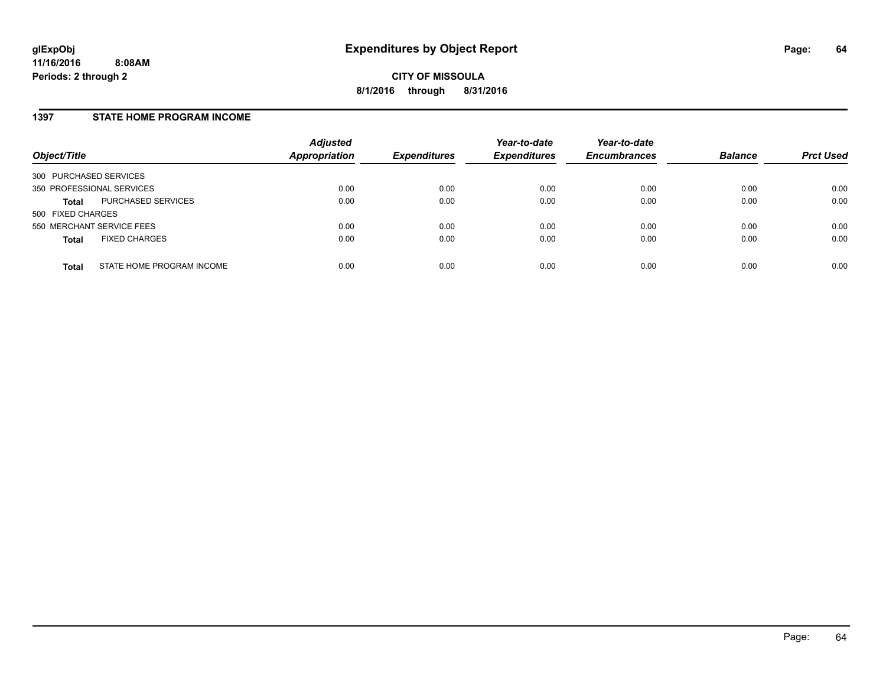#### **1397 STATE HOME PROGRAM INCOME**

| Object/Title                              | <b>Adjusted</b><br><b>Appropriation</b> | <b>Expenditures</b> | Year-to-date<br><b>Expenditures</b> | Year-to-date<br><b>Encumbrances</b> | <b>Balance</b> | <b>Prct Used</b> |
|-------------------------------------------|-----------------------------------------|---------------------|-------------------------------------|-------------------------------------|----------------|------------------|
| 300 PURCHASED SERVICES                    |                                         |                     |                                     |                                     |                |                  |
| 350 PROFESSIONAL SERVICES                 | 0.00                                    | 0.00                | 0.00                                | 0.00                                | 0.00           | 0.00             |
| PURCHASED SERVICES<br><b>Total</b>        | 0.00                                    | 0.00                | 0.00                                | 0.00                                | 0.00           | 0.00             |
| 500 FIXED CHARGES                         |                                         |                     |                                     |                                     |                |                  |
| 550 MERCHANT SERVICE FEES                 | 0.00                                    | 0.00                | 0.00                                | 0.00                                | 0.00           | 0.00             |
| <b>FIXED CHARGES</b><br><b>Total</b>      | 0.00                                    | 0.00                | 0.00                                | 0.00                                | 0.00           | 0.00             |
| STATE HOME PROGRAM INCOME<br><b>Total</b> | 0.00                                    | 0.00                | 0.00                                | 0.00                                | 0.00           | 0.00             |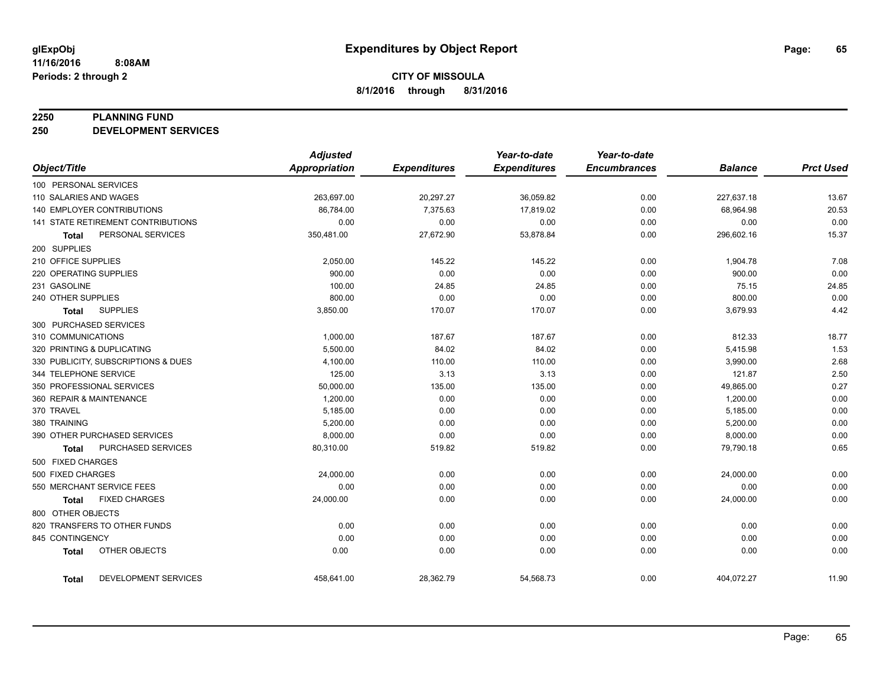#### **2250 PLANNING FUND**

**250 DEVELOPMENT SERVICES**

|                                   |                                     | <b>Adjusted</b>      |                     | Year-to-date        | Year-to-date        |                |                  |
|-----------------------------------|-------------------------------------|----------------------|---------------------|---------------------|---------------------|----------------|------------------|
| Object/Title                      |                                     | <b>Appropriation</b> | <b>Expenditures</b> | <b>Expenditures</b> | <b>Encumbrances</b> | <b>Balance</b> | <b>Prct Used</b> |
| 100 PERSONAL SERVICES             |                                     |                      |                     |                     |                     |                |                  |
| 110 SALARIES AND WAGES            |                                     | 263,697.00           | 20,297.27           | 36,059.82           | 0.00                | 227,637.18     | 13.67            |
| <b>140 EMPLOYER CONTRIBUTIONS</b> |                                     | 86,784.00            | 7,375.63            | 17,819.02           | 0.00                | 68,964.98      | 20.53            |
|                                   | 141 STATE RETIREMENT CONTRIBUTIONS  | 0.00                 | 0.00                | 0.00                | 0.00                | 0.00           | 0.00             |
| Total                             | PERSONAL SERVICES                   | 350,481.00           | 27,672.90           | 53,878.84           | 0.00                | 296,602.16     | 15.37            |
| 200 SUPPLIES                      |                                     |                      |                     |                     |                     |                |                  |
| 210 OFFICE SUPPLIES               |                                     | 2,050.00             | 145.22              | 145.22              | 0.00                | 1,904.78       | 7.08             |
| 220 OPERATING SUPPLIES            |                                     | 900.00               | 0.00                | 0.00                | 0.00                | 900.00         | 0.00             |
| 231 GASOLINE                      |                                     | 100.00               | 24.85               | 24.85               | 0.00                | 75.15          | 24.85            |
| 240 OTHER SUPPLIES                |                                     | 800.00               | 0.00                | 0.00                | 0.00                | 800.00         | 0.00             |
| Total                             | <b>SUPPLIES</b>                     | 3,850.00             | 170.07              | 170.07              | 0.00                | 3,679.93       | 4.42             |
| 300 PURCHASED SERVICES            |                                     |                      |                     |                     |                     |                |                  |
| 310 COMMUNICATIONS                |                                     | 1,000.00             | 187.67              | 187.67              | 0.00                | 812.33         | 18.77            |
| 320 PRINTING & DUPLICATING        |                                     | 5,500.00             | 84.02               | 84.02               | 0.00                | 5,415.98       | 1.53             |
|                                   | 330 PUBLICITY, SUBSCRIPTIONS & DUES | 4,100.00             | 110.00              | 110.00              | 0.00                | 3,990.00       | 2.68             |
| 344 TELEPHONE SERVICE             |                                     | 125.00               | 3.13                | 3.13                | 0.00                | 121.87         | 2.50             |
| 350 PROFESSIONAL SERVICES         |                                     | 50,000.00            | 135.00              | 135.00              | 0.00                | 49,865.00      | 0.27             |
| 360 REPAIR & MAINTENANCE          |                                     | 1,200.00             | 0.00                | 0.00                | 0.00                | 1,200.00       | 0.00             |
| 370 TRAVEL                        |                                     | 5,185.00             | 0.00                | 0.00                | 0.00                | 5,185.00       | 0.00             |
| 380 TRAINING                      |                                     | 5,200.00             | 0.00                | 0.00                | 0.00                | 5,200.00       | 0.00             |
|                                   | 390 OTHER PURCHASED SERVICES        | 8,000.00             | 0.00                | 0.00                | 0.00                | 8,000.00       | 0.00             |
| Total                             | PURCHASED SERVICES                  | 80,310.00            | 519.82              | 519.82              | 0.00                | 79,790.18      | 0.65             |
| 500 FIXED CHARGES                 |                                     |                      |                     |                     |                     |                |                  |
| 500 FIXED CHARGES                 |                                     | 24,000.00            | 0.00                | 0.00                | 0.00                | 24,000.00      | 0.00             |
| 550 MERCHANT SERVICE FEES         |                                     | 0.00                 | 0.00                | 0.00                | 0.00                | 0.00           | 0.00             |
| Total                             | <b>FIXED CHARGES</b>                | 24,000.00            | 0.00                | 0.00                | 0.00                | 24,000.00      | 0.00             |
| 800 OTHER OBJECTS                 |                                     |                      |                     |                     |                     |                |                  |
| 820 TRANSFERS TO OTHER FUNDS      |                                     | 0.00                 | 0.00                | 0.00                | 0.00                | 0.00           | 0.00             |
| 845 CONTINGENCY                   |                                     | 0.00                 | 0.00                | 0.00                | 0.00                | 0.00           | 0.00             |
| <b>Total</b>                      | OTHER OBJECTS                       | 0.00                 | 0.00                | 0.00                | 0.00                | 0.00           | 0.00             |
| <b>Total</b>                      | DEVELOPMENT SERVICES                | 458,641.00           | 28,362.79           | 54,568.73           | 0.00                | 404,072.27     | 11.90            |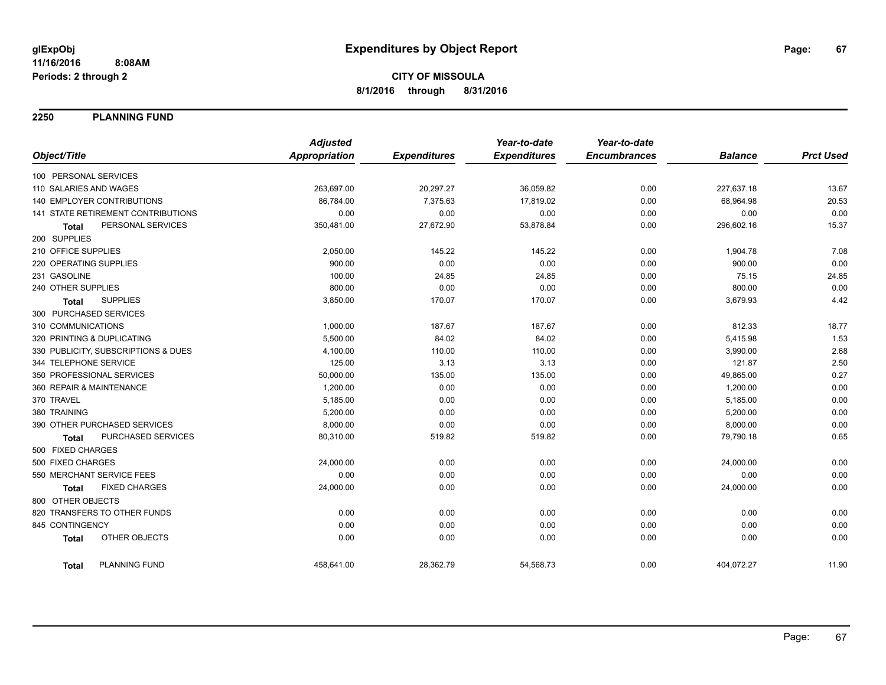**2250 PLANNING FUND**

|                                           | <b>Adjusted</b>      |                     | Year-to-date        | Year-to-date        |                |                  |
|-------------------------------------------|----------------------|---------------------|---------------------|---------------------|----------------|------------------|
| Object/Title                              | <b>Appropriation</b> | <b>Expenditures</b> | <b>Expenditures</b> | <b>Encumbrances</b> | <b>Balance</b> | <b>Prct Used</b> |
| 100 PERSONAL SERVICES                     |                      |                     |                     |                     |                |                  |
| 110 SALARIES AND WAGES                    | 263,697.00           | 20,297.27           | 36,059.82           | 0.00                | 227,637.18     | 13.67            |
| 140 EMPLOYER CONTRIBUTIONS                | 86,784.00            | 7,375.63            | 17,819.02           | 0.00                | 68,964.98      | 20.53            |
| 141 STATE RETIREMENT CONTRIBUTIONS        | 0.00                 | 0.00                | 0.00                | 0.00                | 0.00           | 0.00             |
| PERSONAL SERVICES<br><b>Total</b>         | 350,481.00           | 27,672.90           | 53,878.84           | 0.00                | 296,602.16     | 15.37            |
| 200 SUPPLIES                              |                      |                     |                     |                     |                |                  |
| 210 OFFICE SUPPLIES                       | 2,050.00             | 145.22              | 145.22              | 0.00                | 1,904.78       | 7.08             |
| 220 OPERATING SUPPLIES                    | 900.00               | 0.00                | 0.00                | 0.00                | 900.00         | 0.00             |
| 231 GASOLINE                              | 100.00               | 24.85               | 24.85               | 0.00                | 75.15          | 24.85            |
| 240 OTHER SUPPLIES                        | 800.00               | 0.00                | 0.00                | 0.00                | 800.00         | 0.00             |
| <b>SUPPLIES</b><br><b>Total</b>           | 3,850.00             | 170.07              | 170.07              | 0.00                | 3,679.93       | 4.42             |
| 300 PURCHASED SERVICES                    |                      |                     |                     |                     |                |                  |
| 310 COMMUNICATIONS                        | 1,000.00             | 187.67              | 187.67              | 0.00                | 812.33         | 18.77            |
| 320 PRINTING & DUPLICATING                | 5,500.00             | 84.02               | 84.02               | 0.00                | 5,415.98       | 1.53             |
| 330 PUBLICITY, SUBSCRIPTIONS & DUES       | 4,100.00             | 110.00              | 110.00              | 0.00                | 3,990.00       | 2.68             |
| 344 TELEPHONE SERVICE                     | 125.00               | 3.13                | 3.13                | 0.00                | 121.87         | 2.50             |
| 350 PROFESSIONAL SERVICES                 | 50,000.00            | 135.00              | 135.00              | 0.00                | 49,865.00      | 0.27             |
| 360 REPAIR & MAINTENANCE                  | 1,200.00             | 0.00                | 0.00                | 0.00                | 1,200.00       | 0.00             |
| 370 TRAVEL                                | 5,185.00             | 0.00                | 0.00                | 0.00                | 5,185.00       | 0.00             |
| 380 TRAINING                              | 5,200.00             | 0.00                | 0.00                | 0.00                | 5,200.00       | 0.00             |
| 390 OTHER PURCHASED SERVICES              | 8,000.00             | 0.00                | 0.00                | 0.00                | 8,000.00       | 0.00             |
| <b>PURCHASED SERVICES</b><br><b>Total</b> | 80,310.00            | 519.82              | 519.82              | 0.00                | 79,790.18      | 0.65             |
| 500 FIXED CHARGES                         |                      |                     |                     |                     |                |                  |
| 500 FIXED CHARGES                         | 24,000.00            | 0.00                | 0.00                | 0.00                | 24,000.00      | 0.00             |
| 550 MERCHANT SERVICE FEES                 | 0.00                 | 0.00                | 0.00                | 0.00                | 0.00           | 0.00             |
| <b>FIXED CHARGES</b><br><b>Total</b>      | 24,000.00            | 0.00                | 0.00                | 0.00                | 24,000.00      | 0.00             |
| 800 OTHER OBJECTS                         |                      |                     |                     |                     |                |                  |
| 820 TRANSFERS TO OTHER FUNDS              | 0.00                 | 0.00                | 0.00                | 0.00                | 0.00           | 0.00             |
| 845 CONTINGENCY                           | 0.00                 | 0.00                | 0.00                | 0.00                | 0.00           | 0.00             |
| OTHER OBJECTS<br><b>Total</b>             | 0.00                 | 0.00                | 0.00                | 0.00                | 0.00           | 0.00             |
| <b>PLANNING FUND</b><br><b>Total</b>      | 458,641.00           | 28,362.79           | 54,568.73           | 0.00                | 404,072.27     | 11.90            |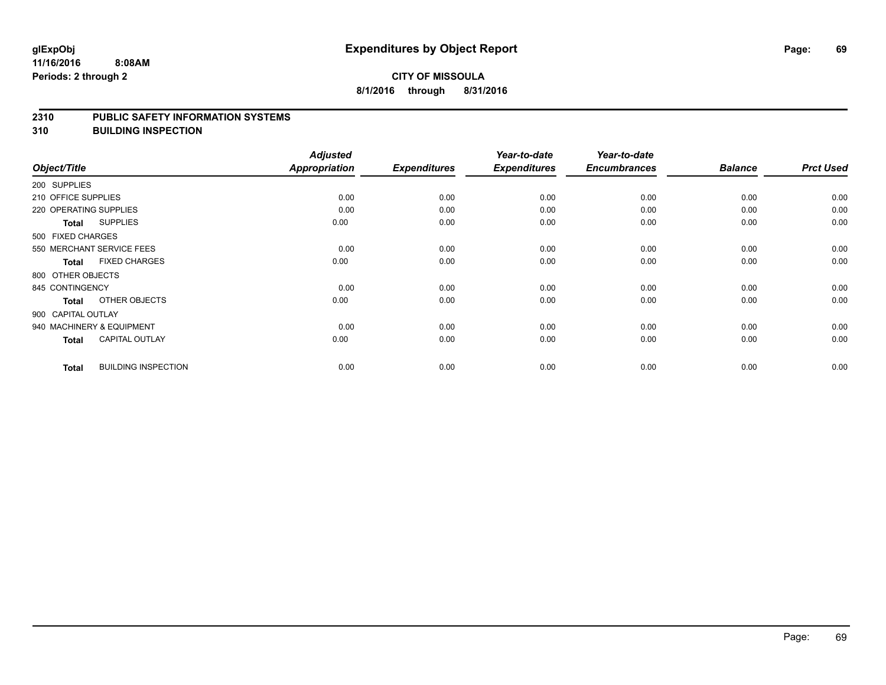#### **2310 PUBLIC SAFETY INFORMATION SYSTEMS**

**310 BUILDING INSPECTION**

|                     |                            | <b>Adjusted</b> |                     | Year-to-date        | Year-to-date        |                |                  |
|---------------------|----------------------------|-----------------|---------------------|---------------------|---------------------|----------------|------------------|
| Object/Title        |                            | Appropriation   | <b>Expenditures</b> | <b>Expenditures</b> | <b>Encumbrances</b> | <b>Balance</b> | <b>Prct Used</b> |
| 200 SUPPLIES        |                            |                 |                     |                     |                     |                |                  |
| 210 OFFICE SUPPLIES |                            | 0.00            | 0.00                | 0.00                | 0.00                | 0.00           | 0.00             |
|                     | 220 OPERATING SUPPLIES     | 0.00            | 0.00                | 0.00                | 0.00                | 0.00           | 0.00             |
| <b>Total</b>        | <b>SUPPLIES</b>            | 0.00            | 0.00                | 0.00                | 0.00                | 0.00           | 0.00             |
| 500 FIXED CHARGES   |                            |                 |                     |                     |                     |                |                  |
|                     | 550 MERCHANT SERVICE FEES  | 0.00            | 0.00                | 0.00                | 0.00                | 0.00           | 0.00             |
| <b>Total</b>        | <b>FIXED CHARGES</b>       | 0.00            | 0.00                | 0.00                | 0.00                | 0.00           | 0.00             |
| 800 OTHER OBJECTS   |                            |                 |                     |                     |                     |                |                  |
| 845 CONTINGENCY     |                            | 0.00            | 0.00                | 0.00                | 0.00                | 0.00           | 0.00             |
| <b>Total</b>        | OTHER OBJECTS              | 0.00            | 0.00                | 0.00                | 0.00                | 0.00           | 0.00             |
| 900 CAPITAL OUTLAY  |                            |                 |                     |                     |                     |                |                  |
|                     | 940 MACHINERY & EQUIPMENT  | 0.00            | 0.00                | 0.00                | 0.00                | 0.00           | 0.00             |
| <b>Total</b>        | <b>CAPITAL OUTLAY</b>      | 0.00            | 0.00                | 0.00                | 0.00                | 0.00           | 0.00             |
| <b>Total</b>        | <b>BUILDING INSPECTION</b> | 0.00            | 0.00                | 0.00                | 0.00                | 0.00           | 0.00             |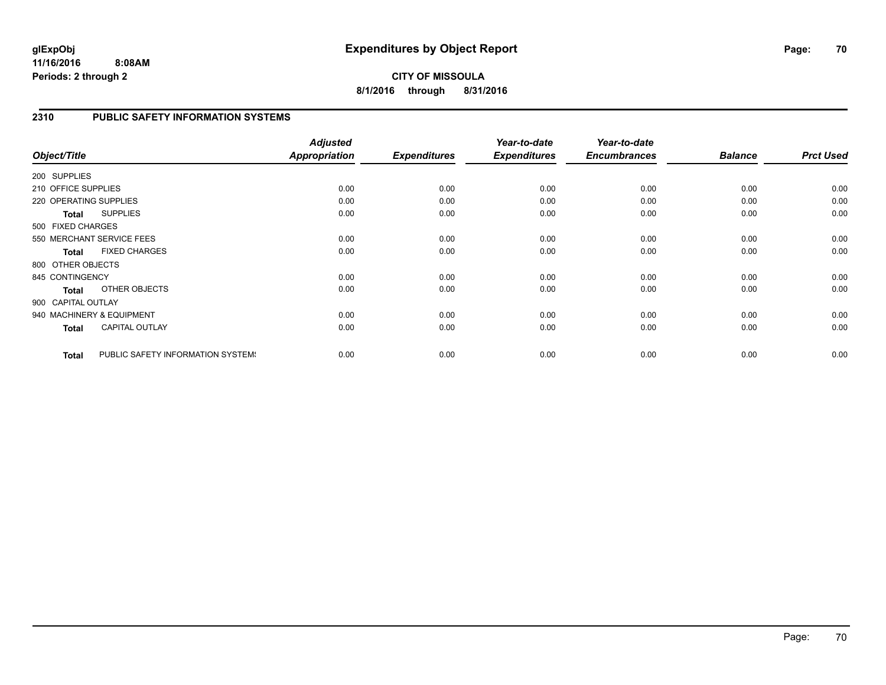**CITY OF MISSOULA 8/1/2016 through 8/31/2016**

#### **2310 PUBLIC SAFETY INFORMATION SYSTEMS**

|                        |                                   | <b>Adjusted</b> |                     | Year-to-date        | Year-to-date        |                |                  |
|------------------------|-----------------------------------|-----------------|---------------------|---------------------|---------------------|----------------|------------------|
| Object/Title           |                                   | Appropriation   | <b>Expenditures</b> | <b>Expenditures</b> | <b>Encumbrances</b> | <b>Balance</b> | <b>Prct Used</b> |
| 200 SUPPLIES           |                                   |                 |                     |                     |                     |                |                  |
| 210 OFFICE SUPPLIES    |                                   | 0.00            | 0.00                | 0.00                | 0.00                | 0.00           | 0.00             |
| 220 OPERATING SUPPLIES |                                   | 0.00            | 0.00                | 0.00                | 0.00                | 0.00           | 0.00             |
| <b>Total</b>           | <b>SUPPLIES</b>                   | 0.00            | 0.00                | 0.00                | 0.00                | 0.00           | 0.00             |
| 500 FIXED CHARGES      |                                   |                 |                     |                     |                     |                |                  |
|                        | 550 MERCHANT SERVICE FEES         | 0.00            | 0.00                | 0.00                | 0.00                | 0.00           | 0.00             |
| <b>Total</b>           | <b>FIXED CHARGES</b>              | 0.00            | 0.00                | 0.00                | 0.00                | 0.00           | 0.00             |
| 800 OTHER OBJECTS      |                                   |                 |                     |                     |                     |                |                  |
| 845 CONTINGENCY        |                                   | 0.00            | 0.00                | 0.00                | 0.00                | 0.00           | 0.00             |
| <b>Total</b>           | OTHER OBJECTS                     | 0.00            | 0.00                | 0.00                | 0.00                | 0.00           | 0.00             |
| 900 CAPITAL OUTLAY     |                                   |                 |                     |                     |                     |                |                  |
|                        | 940 MACHINERY & EQUIPMENT         | 0.00            | 0.00                | 0.00                | 0.00                | 0.00           | 0.00             |
| <b>Total</b>           | <b>CAPITAL OUTLAY</b>             | 0.00            | 0.00                | 0.00                | 0.00                | 0.00           | 0.00             |
| <b>Total</b>           | PUBLIC SAFETY INFORMATION SYSTEM! | 0.00            | 0.00                | 0.00                | 0.00                | 0.00           | 0.00             |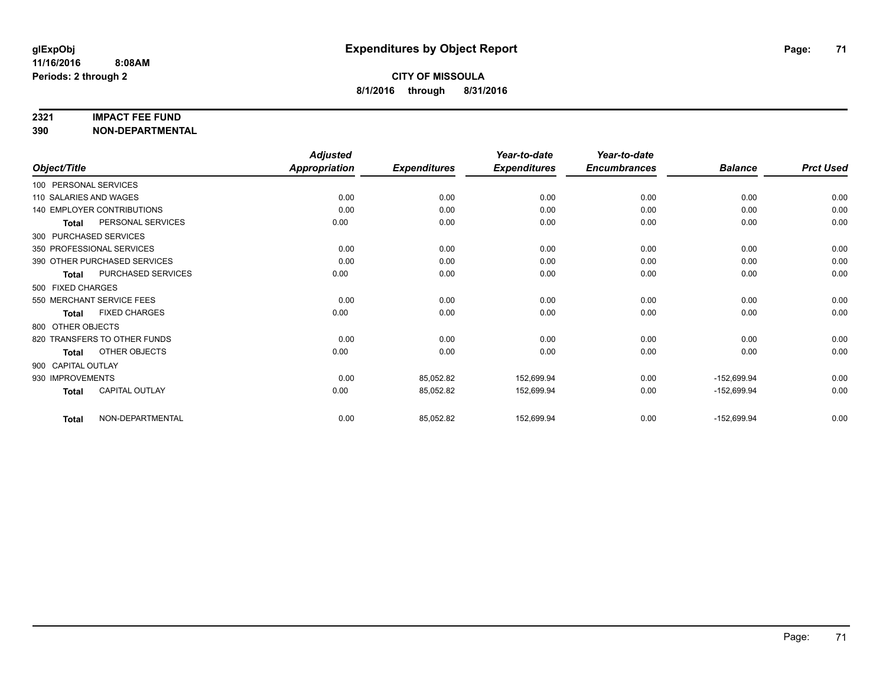#### **2321 IMPACT FEE FUND**

**390 NON-DEPARTMENTAL**

|                        |                                   | <b>Adjusted</b>      |                     | Year-to-date        | Year-to-date        |                |                  |
|------------------------|-----------------------------------|----------------------|---------------------|---------------------|---------------------|----------------|------------------|
| Object/Title           |                                   | <b>Appropriation</b> | <b>Expenditures</b> | <b>Expenditures</b> | <b>Encumbrances</b> | <b>Balance</b> | <b>Prct Used</b> |
| 100 PERSONAL SERVICES  |                                   |                      |                     |                     |                     |                |                  |
| 110 SALARIES AND WAGES |                                   | 0.00                 | 0.00                | 0.00                | 0.00                | 0.00           | 0.00             |
|                        | <b>140 EMPLOYER CONTRIBUTIONS</b> | 0.00                 | 0.00                | 0.00                | 0.00                | 0.00           | 0.00             |
| <b>Total</b>           | PERSONAL SERVICES                 | 0.00                 | 0.00                | 0.00                | 0.00                | 0.00           | 0.00             |
| 300 PURCHASED SERVICES |                                   |                      |                     |                     |                     |                |                  |
|                        | 350 PROFESSIONAL SERVICES         | 0.00                 | 0.00                | 0.00                | 0.00                | 0.00           | 0.00             |
|                        | 390 OTHER PURCHASED SERVICES      | 0.00                 | 0.00                | 0.00                | 0.00                | 0.00           | 0.00             |
| <b>Total</b>           | <b>PURCHASED SERVICES</b>         | 0.00                 | 0.00                | 0.00                | 0.00                | 0.00           | 0.00             |
| 500 FIXED CHARGES      |                                   |                      |                     |                     |                     |                |                  |
|                        | 550 MERCHANT SERVICE FEES         | 0.00                 | 0.00                | 0.00                | 0.00                | 0.00           | 0.00             |
| <b>Total</b>           | <b>FIXED CHARGES</b>              | 0.00                 | 0.00                | 0.00                | 0.00                | 0.00           | 0.00             |
| 800 OTHER OBJECTS      |                                   |                      |                     |                     |                     |                |                  |
|                        | 820 TRANSFERS TO OTHER FUNDS      | 0.00                 | 0.00                | 0.00                | 0.00                | 0.00           | 0.00             |
| <b>Total</b>           | OTHER OBJECTS                     | 0.00                 | 0.00                | 0.00                | 0.00                | 0.00           | 0.00             |
| 900 CAPITAL OUTLAY     |                                   |                      |                     |                     |                     |                |                  |
| 930 IMPROVEMENTS       |                                   | 0.00                 | 85,052.82           | 152,699.94          | 0.00                | $-152,699.94$  | 0.00             |
| <b>Total</b>           | <b>CAPITAL OUTLAY</b>             | 0.00                 | 85,052.82           | 152,699.94          | 0.00                | $-152,699.94$  | 0.00             |
| <b>Total</b>           | NON-DEPARTMENTAL                  | 0.00                 | 85,052.82           | 152,699.94          | 0.00                | $-152,699.94$  | 0.00             |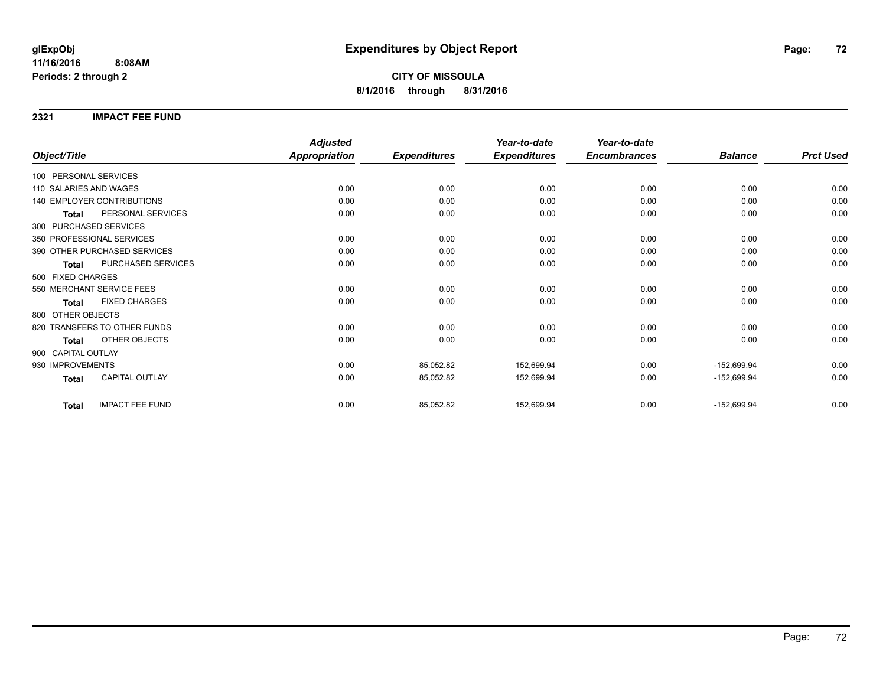### **2321 IMPACT FEE FUND**

|                                        | <b>Adjusted</b>      |                     | Year-to-date        | Year-to-date        |                |                  |
|----------------------------------------|----------------------|---------------------|---------------------|---------------------|----------------|------------------|
| Object/Title                           | <b>Appropriation</b> | <b>Expenditures</b> | <b>Expenditures</b> | <b>Encumbrances</b> | <b>Balance</b> | <b>Prct Used</b> |
| 100 PERSONAL SERVICES                  |                      |                     |                     |                     |                |                  |
| 110 SALARIES AND WAGES                 | 0.00                 | 0.00                | 0.00                | 0.00                | 0.00           | 0.00             |
| <b>140 EMPLOYER CONTRIBUTIONS</b>      | 0.00                 | 0.00                | 0.00                | 0.00                | 0.00           | 0.00             |
| PERSONAL SERVICES<br><b>Total</b>      | 0.00                 | 0.00                | 0.00                | 0.00                | 0.00           | 0.00             |
| 300 PURCHASED SERVICES                 |                      |                     |                     |                     |                |                  |
| 350 PROFESSIONAL SERVICES              | 0.00                 | 0.00                | 0.00                | 0.00                | 0.00           | 0.00             |
| 390 OTHER PURCHASED SERVICES           | 0.00                 | 0.00                | 0.00                | 0.00                | 0.00           | 0.00             |
| PURCHASED SERVICES<br><b>Total</b>     | 0.00                 | 0.00                | 0.00                | 0.00                | 0.00           | 0.00             |
| 500 FIXED CHARGES                      |                      |                     |                     |                     |                |                  |
| 550 MERCHANT SERVICE FEES              | 0.00                 | 0.00                | 0.00                | 0.00                | 0.00           | 0.00             |
| <b>FIXED CHARGES</b><br>Total          | 0.00                 | 0.00                | 0.00                | 0.00                | 0.00           | 0.00             |
| 800 OTHER OBJECTS                      |                      |                     |                     |                     |                |                  |
| 820 TRANSFERS TO OTHER FUNDS           | 0.00                 | 0.00                | 0.00                | 0.00                | 0.00           | 0.00             |
| <b>OTHER OBJECTS</b><br><b>Total</b>   | 0.00                 | 0.00                | 0.00                | 0.00                | 0.00           | 0.00             |
| 900 CAPITAL OUTLAY                     |                      |                     |                     |                     |                |                  |
| 930 IMPROVEMENTS                       | 0.00                 | 85,052.82           | 152,699.94          | 0.00                | $-152,699.94$  | 0.00             |
| <b>CAPITAL OUTLAY</b><br><b>Total</b>  | 0.00                 | 85,052.82           | 152,699.94          | 0.00                | $-152,699.94$  | 0.00             |
| <b>IMPACT FEE FUND</b><br><b>Total</b> | 0.00                 | 85,052.82           | 152,699.94          | 0.00                | $-152,699.94$  | 0.00             |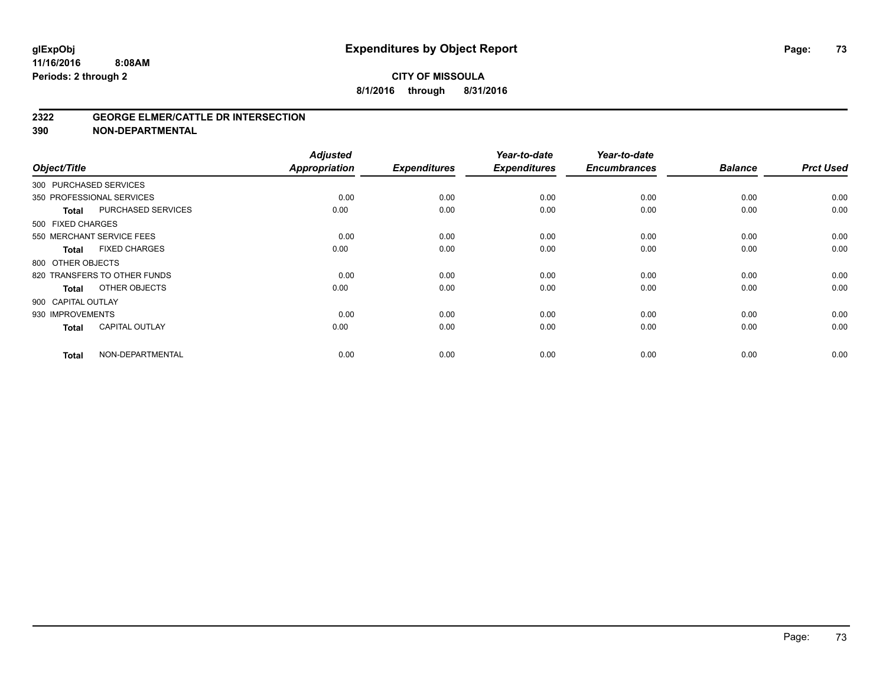#### **2322 GEORGE ELMER/CATTLE DR INTERSECTION**

| Object/Title       |                              | <b>Adjusted</b><br><b>Appropriation</b> | <b>Expenditures</b> | Year-to-date<br><b>Expenditures</b> | Year-to-date<br><b>Encumbrances</b> | <b>Balance</b> | <b>Prct Used</b> |
|--------------------|------------------------------|-----------------------------------------|---------------------|-------------------------------------|-------------------------------------|----------------|------------------|
|                    | 300 PURCHASED SERVICES       |                                         |                     |                                     |                                     |                |                  |
|                    | 350 PROFESSIONAL SERVICES    | 0.00                                    | 0.00                | 0.00                                | 0.00                                | 0.00           | 0.00             |
| <b>Total</b>       | <b>PURCHASED SERVICES</b>    | 0.00                                    | 0.00                | 0.00                                | 0.00                                | 0.00           | 0.00             |
| 500 FIXED CHARGES  |                              |                                         |                     |                                     |                                     |                |                  |
|                    | 550 MERCHANT SERVICE FEES    | 0.00                                    | 0.00                | 0.00                                | 0.00                                | 0.00           | 0.00             |
| <b>Total</b>       | <b>FIXED CHARGES</b>         | 0.00                                    | 0.00                | 0.00                                | 0.00                                | 0.00           | 0.00             |
| 800 OTHER OBJECTS  |                              |                                         |                     |                                     |                                     |                |                  |
|                    | 820 TRANSFERS TO OTHER FUNDS | 0.00                                    | 0.00                | 0.00                                | 0.00                                | 0.00           | 0.00             |
| <b>Total</b>       | OTHER OBJECTS                | 0.00                                    | 0.00                | 0.00                                | 0.00                                | 0.00           | 0.00             |
| 900 CAPITAL OUTLAY |                              |                                         |                     |                                     |                                     |                |                  |
| 930 IMPROVEMENTS   |                              | 0.00                                    | 0.00                | 0.00                                | 0.00                                | 0.00           | 0.00             |
| <b>Total</b>       | <b>CAPITAL OUTLAY</b>        | 0.00                                    | 0.00                | 0.00                                | 0.00                                | 0.00           | 0.00             |
| <b>Total</b>       | NON-DEPARTMENTAL             | 0.00                                    | 0.00                | 0.00                                | 0.00                                | 0.00           | 0.00             |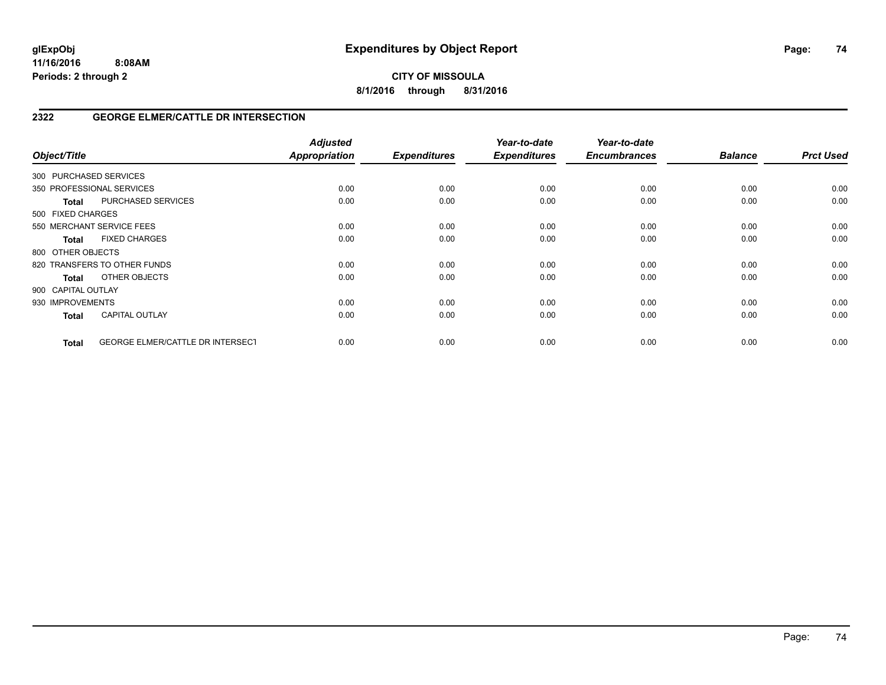**CITY OF MISSOULA 8/1/2016 through 8/31/2016**

## **2322 GEORGE ELMER/CATTLE DR INTERSECTION**

| Object/Title           |                                         | <b>Adjusted</b><br>Appropriation | <b>Expenditures</b> | Year-to-date<br><b>Expenditures</b> | Year-to-date<br><b>Encumbrances</b> | <b>Balance</b> | <b>Prct Used</b> |
|------------------------|-----------------------------------------|----------------------------------|---------------------|-------------------------------------|-------------------------------------|----------------|------------------|
| 300 PURCHASED SERVICES |                                         |                                  |                     |                                     |                                     |                |                  |
|                        | 350 PROFESSIONAL SERVICES               | 0.00                             | 0.00                | 0.00                                | 0.00                                | 0.00           | 0.00             |
| <b>Total</b>           | PURCHASED SERVICES                      | 0.00                             | 0.00                | 0.00                                | 0.00                                | 0.00           | 0.00             |
| 500 FIXED CHARGES      |                                         |                                  |                     |                                     |                                     |                |                  |
|                        | 550 MERCHANT SERVICE FEES               | 0.00                             | 0.00                | 0.00                                | 0.00                                | 0.00           | 0.00             |
| <b>Total</b>           | <b>FIXED CHARGES</b>                    | 0.00                             | 0.00                | 0.00                                | 0.00                                | 0.00           | 0.00             |
| 800 OTHER OBJECTS      |                                         |                                  |                     |                                     |                                     |                |                  |
|                        | 820 TRANSFERS TO OTHER FUNDS            | 0.00                             | 0.00                | 0.00                                | 0.00                                | 0.00           | 0.00             |
| Total                  | OTHER OBJECTS                           | 0.00                             | 0.00                | 0.00                                | 0.00                                | 0.00           | 0.00             |
| 900 CAPITAL OUTLAY     |                                         |                                  |                     |                                     |                                     |                |                  |
| 930 IMPROVEMENTS       |                                         | 0.00                             | 0.00                | 0.00                                | 0.00                                | 0.00           | 0.00             |
| <b>Total</b>           | <b>CAPITAL OUTLAY</b>                   | 0.00                             | 0.00                | 0.00                                | 0.00                                | 0.00           | 0.00             |
| <b>Total</b>           | <b>GEORGE ELMER/CATTLE DR INTERSECT</b> | 0.00                             | 0.00                | 0.00                                | 0.00                                | 0.00           | 0.00             |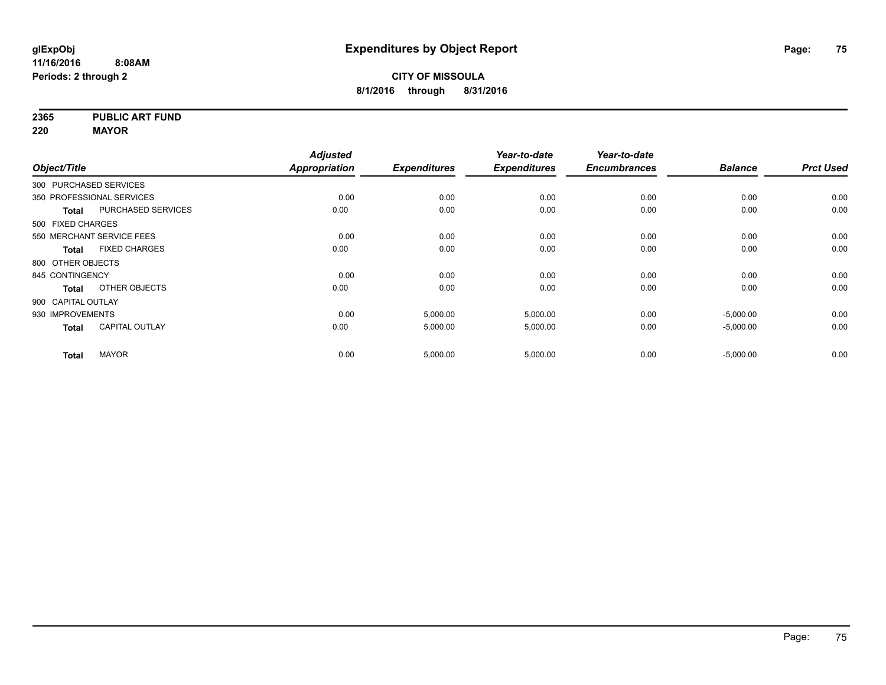**2365 PUBLIC ART FUND**

**220 MAYOR**

|                        |                           | <b>Adjusted</b>      |                     | Year-to-date        | Year-to-date        |                |                  |
|------------------------|---------------------------|----------------------|---------------------|---------------------|---------------------|----------------|------------------|
| Object/Title           |                           | <b>Appropriation</b> | <b>Expenditures</b> | <b>Expenditures</b> | <b>Encumbrances</b> | <b>Balance</b> | <b>Prct Used</b> |
| 300 PURCHASED SERVICES |                           |                      |                     |                     |                     |                |                  |
|                        | 350 PROFESSIONAL SERVICES | 0.00                 | 0.00                | 0.00                | 0.00                | 0.00           | 0.00             |
| <b>Total</b>           | <b>PURCHASED SERVICES</b> | 0.00                 | 0.00                | 0.00                | 0.00                | 0.00           | 0.00             |
| 500 FIXED CHARGES      |                           |                      |                     |                     |                     |                |                  |
|                        | 550 MERCHANT SERVICE FEES | 0.00                 | 0.00                | 0.00                | 0.00                | 0.00           | 0.00             |
| <b>Total</b>           | <b>FIXED CHARGES</b>      | 0.00                 | 0.00                | 0.00                | 0.00                | 0.00           | 0.00             |
| 800 OTHER OBJECTS      |                           |                      |                     |                     |                     |                |                  |
| 845 CONTINGENCY        |                           | 0.00                 | 0.00                | 0.00                | 0.00                | 0.00           | 0.00             |
| <b>Total</b>           | OTHER OBJECTS             | 0.00                 | 0.00                | 0.00                | 0.00                | 0.00           | 0.00             |
| 900 CAPITAL OUTLAY     |                           |                      |                     |                     |                     |                |                  |
| 930 IMPROVEMENTS       |                           | 0.00                 | 5,000.00            | 5,000.00            | 0.00                | $-5,000.00$    | 0.00             |
| <b>Total</b>           | <b>CAPITAL OUTLAY</b>     | 0.00                 | 5,000.00            | 5,000.00            | 0.00                | $-5,000.00$    | 0.00             |
| <b>Total</b>           | <b>MAYOR</b>              | 0.00                 | 5,000.00            | 5,000.00            | 0.00                | $-5,000.00$    | 0.00             |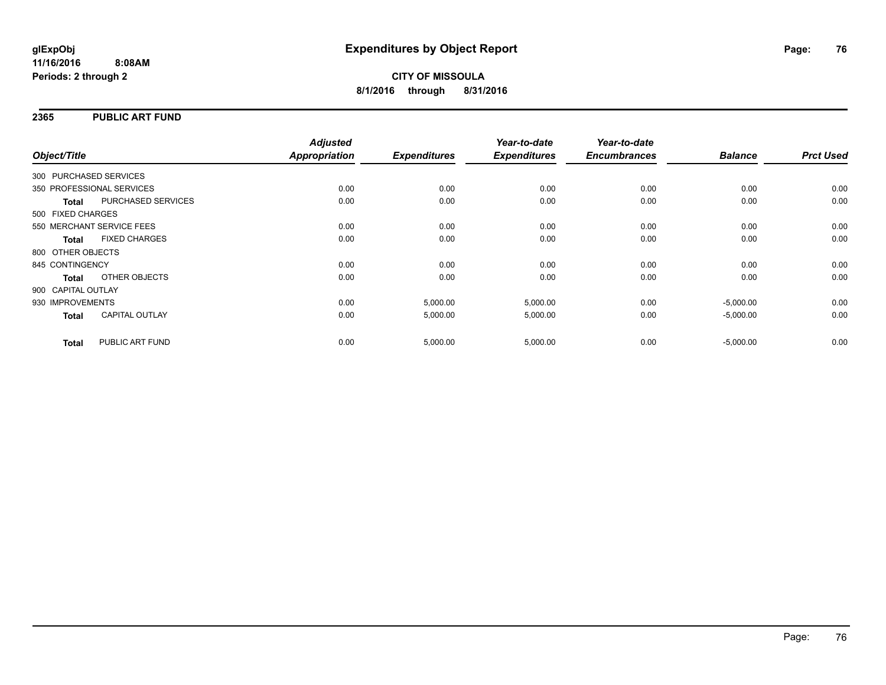### **2365 PUBLIC ART FUND**

| Object/Title           |                           | <b>Adjusted</b><br>Appropriation | <b>Expenditures</b> | Year-to-date<br><b>Expenditures</b> | Year-to-date<br><b>Encumbrances</b> | <b>Balance</b> | <b>Prct Used</b> |
|------------------------|---------------------------|----------------------------------|---------------------|-------------------------------------|-------------------------------------|----------------|------------------|
|                        |                           |                                  |                     |                                     |                                     |                |                  |
| 300 PURCHASED SERVICES |                           |                                  |                     |                                     |                                     |                |                  |
|                        | 350 PROFESSIONAL SERVICES | 0.00                             | 0.00                | 0.00                                | 0.00                                | 0.00           | 0.00             |
| <b>Total</b>           | PURCHASED SERVICES        | 0.00                             | 0.00                | 0.00                                | 0.00                                | 0.00           | 0.00             |
| 500 FIXED CHARGES      |                           |                                  |                     |                                     |                                     |                |                  |
|                        | 550 MERCHANT SERVICE FEES | 0.00                             | 0.00                | 0.00                                | 0.00                                | 0.00           | 0.00             |
| <b>Total</b>           | <b>FIXED CHARGES</b>      | 0.00                             | 0.00                | 0.00                                | 0.00                                | 0.00           | 0.00             |
| 800 OTHER OBJECTS      |                           |                                  |                     |                                     |                                     |                |                  |
| 845 CONTINGENCY        |                           | 0.00                             | 0.00                | 0.00                                | 0.00                                | 0.00           | 0.00             |
| Total                  | OTHER OBJECTS             | 0.00                             | 0.00                | 0.00                                | 0.00                                | 0.00           | 0.00             |
| 900 CAPITAL OUTLAY     |                           |                                  |                     |                                     |                                     |                |                  |
| 930 IMPROVEMENTS       |                           | 0.00                             | 5,000.00            | 5,000.00                            | 0.00                                | $-5,000.00$    | 0.00             |
| <b>Total</b>           | <b>CAPITAL OUTLAY</b>     | 0.00                             | 5,000.00            | 5,000.00                            | 0.00                                | $-5,000.00$    | 0.00             |
| <b>Total</b>           | PUBLIC ART FUND           | 0.00                             | 5,000.00            | 5,000.00                            | 0.00                                | $-5,000.00$    | 0.00             |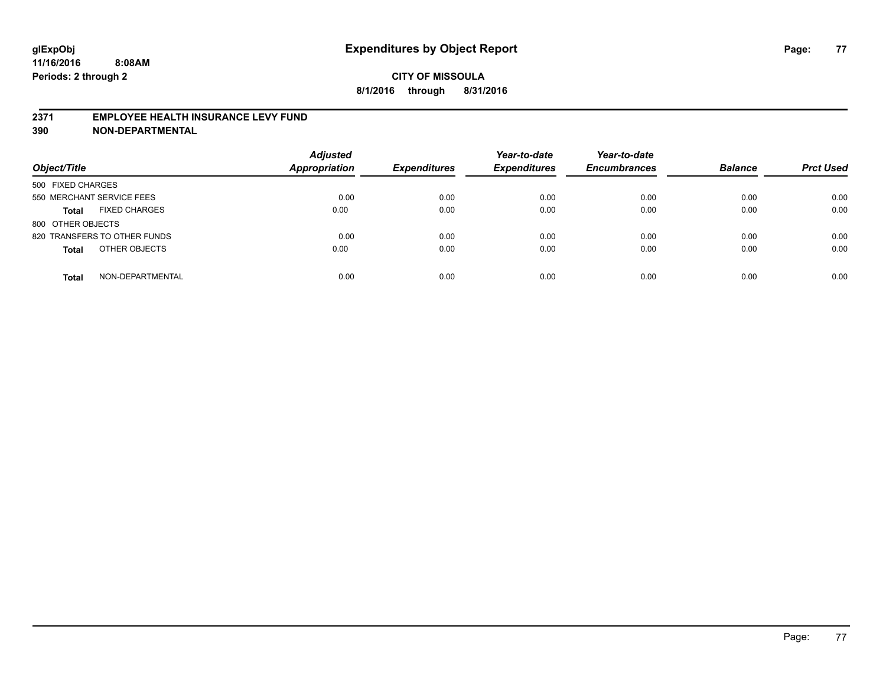#### **2371 EMPLOYEE HEALTH INSURANCE LEVY FUND**

| Object/Title                         | <b>Adjusted</b><br><b>Appropriation</b> | <b>Expenditures</b> | Year-to-date<br><b>Expenditures</b> | Year-to-date<br><b>Encumbrances</b> | <b>Balance</b> | <b>Prct Used</b> |
|--------------------------------------|-----------------------------------------|---------------------|-------------------------------------|-------------------------------------|----------------|------------------|
| 500 FIXED CHARGES                    |                                         |                     |                                     |                                     |                |                  |
| 550 MERCHANT SERVICE FEES            | 0.00                                    | 0.00                | 0.00                                | 0.00                                | 0.00           | 0.00             |
| <b>FIXED CHARGES</b><br><b>Total</b> | 0.00                                    | 0.00                | 0.00                                | 0.00                                | 0.00           | 0.00             |
| 800 OTHER OBJECTS                    |                                         |                     |                                     |                                     |                |                  |
| 820 TRANSFERS TO OTHER FUNDS         | 0.00                                    | 0.00                | 0.00                                | 0.00                                | 0.00           | 0.00             |
| OTHER OBJECTS<br><b>Total</b>        | 0.00                                    | 0.00                | 0.00                                | 0.00                                | 0.00           | 0.00             |
| NON-DEPARTMENTAL<br><b>Total</b>     | 0.00                                    | 0.00                | 0.00                                | 0.00                                | 0.00           | 0.00             |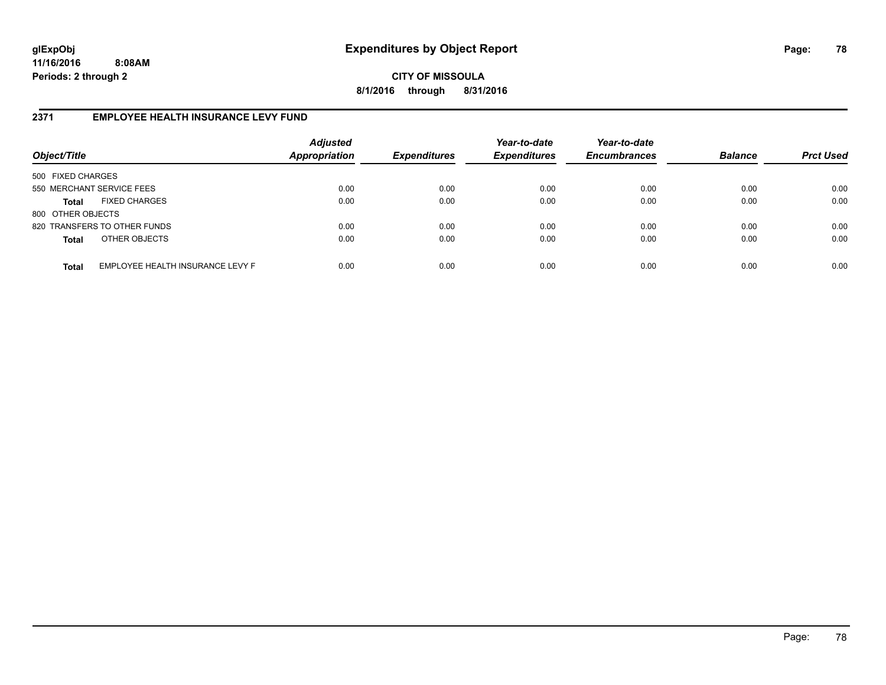**CITY OF MISSOULA 8/1/2016 through 8/31/2016**

### **2371 EMPLOYEE HEALTH INSURANCE LEVY FUND**

| Object/Title              |                                  | <b>Adjusted</b><br>Appropriation | <b>Expenditures</b> | Year-to-date<br><b>Expenditures</b> | Year-to-date<br><b>Encumbrances</b> | <b>Balance</b> | <b>Prct Used</b> |
|---------------------------|----------------------------------|----------------------------------|---------------------|-------------------------------------|-------------------------------------|----------------|------------------|
| 500 FIXED CHARGES         |                                  |                                  |                     |                                     |                                     |                |                  |
| 550 MERCHANT SERVICE FEES |                                  | 0.00                             | 0.00                | 0.00                                | 0.00                                | 0.00           | 0.00             |
| Total                     | <b>FIXED CHARGES</b>             | 0.00                             | 0.00                | 0.00                                | 0.00                                | 0.00           | 0.00             |
| 800 OTHER OBJECTS         |                                  |                                  |                     |                                     |                                     |                |                  |
|                           | 820 TRANSFERS TO OTHER FUNDS     | 0.00                             | 0.00                | 0.00                                | 0.00                                | 0.00           | 0.00             |
| <b>Total</b>              | OTHER OBJECTS                    | 0.00                             | 0.00                | 0.00                                | 0.00                                | 0.00           | 0.00             |
| <b>Total</b>              | EMPLOYEE HEALTH INSURANCE LEVY F | 0.00                             | 0.00                | 0.00                                | 0.00                                | 0.00           | 0.00             |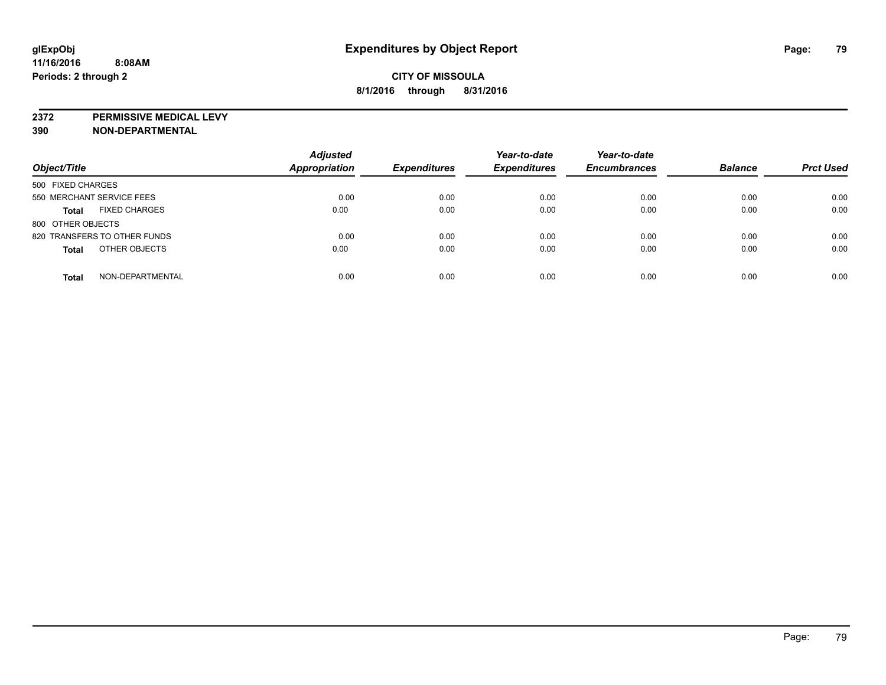**2372 PERMISSIVE MEDICAL LEVY**

| Object/Title                         | <b>Adjusted</b><br>Appropriation | <b>Expenditures</b> | Year-to-date<br><b>Expenditures</b> | Year-to-date<br><b>Encumbrances</b> | <b>Balance</b> | <b>Prct Used</b> |
|--------------------------------------|----------------------------------|---------------------|-------------------------------------|-------------------------------------|----------------|------------------|
| 500 FIXED CHARGES                    |                                  |                     |                                     |                                     |                |                  |
| 550 MERCHANT SERVICE FEES            | 0.00                             | 0.00                | 0.00                                | 0.00                                | 0.00           | 0.00             |
| <b>FIXED CHARGES</b><br><b>Total</b> | 0.00                             | 0.00                | 0.00                                | 0.00                                | 0.00           | 0.00             |
| 800 OTHER OBJECTS                    |                                  |                     |                                     |                                     |                |                  |
| 820 TRANSFERS TO OTHER FUNDS         | 0.00                             | 0.00                | 0.00                                | 0.00                                | 0.00           | 0.00             |
| OTHER OBJECTS<br><b>Total</b>        | 0.00                             | 0.00                | 0.00                                | 0.00                                | 0.00           | 0.00             |
| NON-DEPARTMENTAL<br><b>Total</b>     | 0.00                             | 0.00                | 0.00                                | 0.00                                | 0.00           | 0.00             |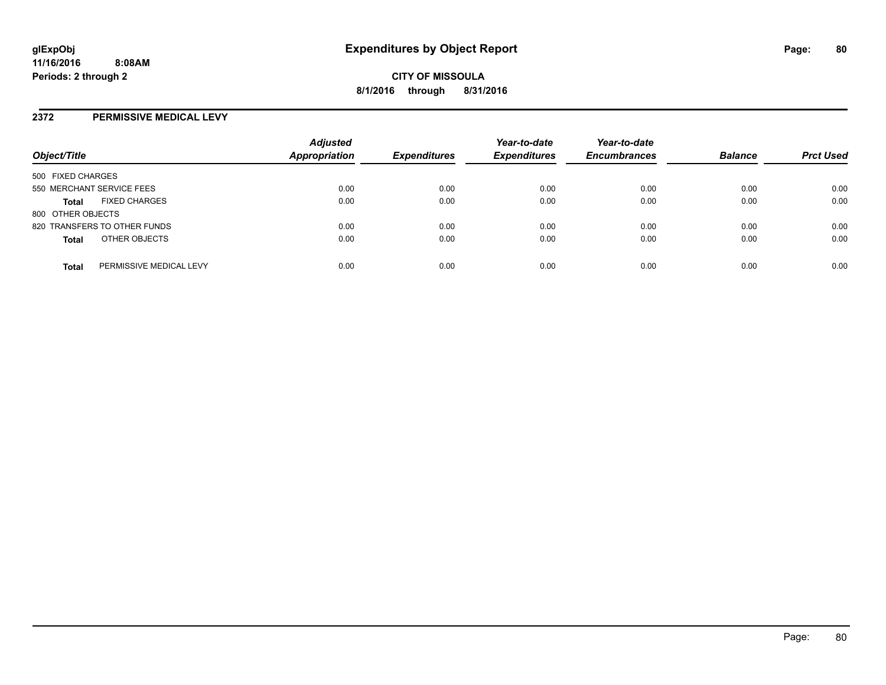#### **2372 PERMISSIVE MEDICAL LEVY**

| Object/Title              |                              | <b>Adjusted</b><br><b>Appropriation</b> | <b>Expenditures</b> | Year-to-date<br><b>Expenditures</b> | Year-to-date<br><b>Encumbrances</b> | <b>Balance</b> | <b>Prct Used</b> |
|---------------------------|------------------------------|-----------------------------------------|---------------------|-------------------------------------|-------------------------------------|----------------|------------------|
| 500 FIXED CHARGES         |                              |                                         |                     |                                     |                                     |                |                  |
| 550 MERCHANT SERVICE FEES |                              | 0.00                                    | 0.00                | 0.00                                | 0.00                                | 0.00           | 0.00             |
| <b>Total</b>              | <b>FIXED CHARGES</b>         | 0.00                                    | 0.00                | 0.00                                | 0.00                                | 0.00           | 0.00             |
| 800 OTHER OBJECTS         |                              |                                         |                     |                                     |                                     |                |                  |
|                           | 820 TRANSFERS TO OTHER FUNDS | 0.00                                    | 0.00                | 0.00                                | 0.00                                | 0.00           | 0.00             |
| <b>Total</b>              | OTHER OBJECTS                | 0.00                                    | 0.00                | 0.00                                | 0.00                                | 0.00           | 0.00             |
| <b>Total</b>              | PERMISSIVE MEDICAL LEVY      | 0.00                                    | 0.00                | 0.00                                | 0.00                                | 0.00           | 0.00             |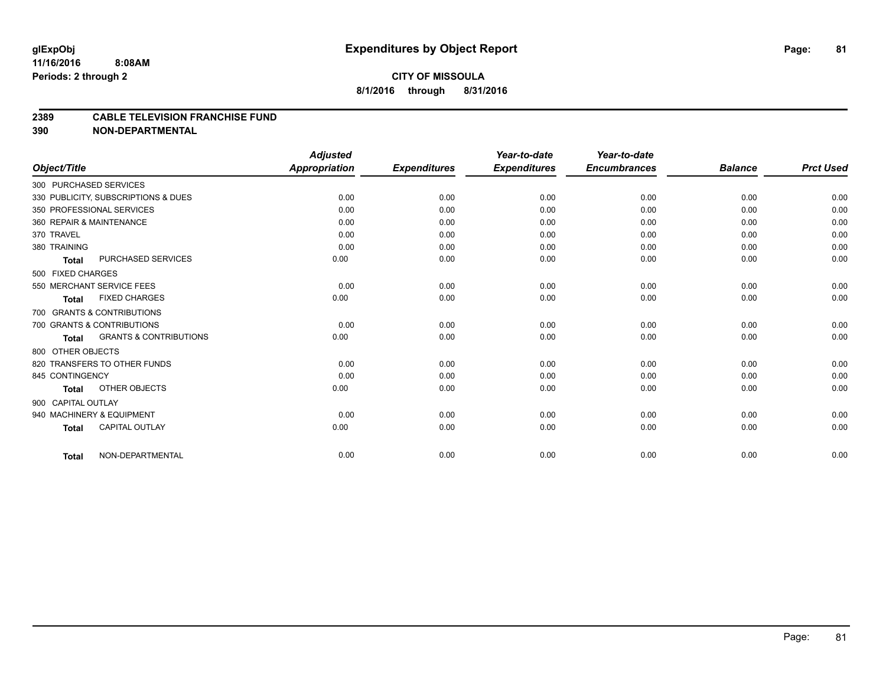#### **2389 CABLE TELEVISION FRANCHISE FUND**

|                                            | <b>Adjusted</b>      |                     | Year-to-date        | Year-to-date        |                |                  |
|--------------------------------------------|----------------------|---------------------|---------------------|---------------------|----------------|------------------|
| Object/Title                               | <b>Appropriation</b> | <b>Expenditures</b> | <b>Expenditures</b> | <b>Encumbrances</b> | <b>Balance</b> | <b>Prct Used</b> |
| 300 PURCHASED SERVICES                     |                      |                     |                     |                     |                |                  |
| 330 PUBLICITY, SUBSCRIPTIONS & DUES        | 0.00                 | 0.00                | 0.00                | 0.00                | 0.00           | 0.00             |
| 350 PROFESSIONAL SERVICES                  | 0.00                 | 0.00                | 0.00                | 0.00                | 0.00           | 0.00             |
| 360 REPAIR & MAINTENANCE                   | 0.00                 | 0.00                | 0.00                | 0.00                | 0.00           | 0.00             |
| 370 TRAVEL                                 | 0.00                 | 0.00                | 0.00                | 0.00                | 0.00           | 0.00             |
| 380 TRAINING                               | 0.00                 | 0.00                | 0.00                | 0.00                | 0.00           | 0.00             |
| PURCHASED SERVICES<br>Total                | 0.00                 | 0.00                | 0.00                | 0.00                | 0.00           | 0.00             |
| 500 FIXED CHARGES                          |                      |                     |                     |                     |                |                  |
| 550 MERCHANT SERVICE FEES                  | 0.00                 | 0.00                | 0.00                | 0.00                | 0.00           | 0.00             |
| <b>FIXED CHARGES</b><br><b>Total</b>       | 0.00                 | 0.00                | 0.00                | 0.00                | 0.00           | 0.00             |
| 700 GRANTS & CONTRIBUTIONS                 |                      |                     |                     |                     |                |                  |
| 700 GRANTS & CONTRIBUTIONS                 | 0.00                 | 0.00                | 0.00                | 0.00                | 0.00           | 0.00             |
| <b>GRANTS &amp; CONTRIBUTIONS</b><br>Total | 0.00                 | 0.00                | 0.00                | 0.00                | 0.00           | 0.00             |
| 800 OTHER OBJECTS                          |                      |                     |                     |                     |                |                  |
| 820 TRANSFERS TO OTHER FUNDS               | 0.00                 | 0.00                | 0.00                | 0.00                | 0.00           | 0.00             |
| 845 CONTINGENCY                            | 0.00                 | 0.00                | 0.00                | 0.00                | 0.00           | 0.00             |
| OTHER OBJECTS<br><b>Total</b>              | 0.00                 | 0.00                | 0.00                | 0.00                | 0.00           | 0.00             |
| 900 CAPITAL OUTLAY                         |                      |                     |                     |                     |                |                  |
| 940 MACHINERY & EQUIPMENT                  | 0.00                 | 0.00                | 0.00                | 0.00                | 0.00           | 0.00             |
| <b>CAPITAL OUTLAY</b><br><b>Total</b>      | 0.00                 | 0.00                | 0.00                | 0.00                | 0.00           | 0.00             |
| NON-DEPARTMENTAL                           | 0.00                 | 0.00                | 0.00                | 0.00                | 0.00           | 0.00             |
| <b>Total</b>                               |                      |                     |                     |                     |                |                  |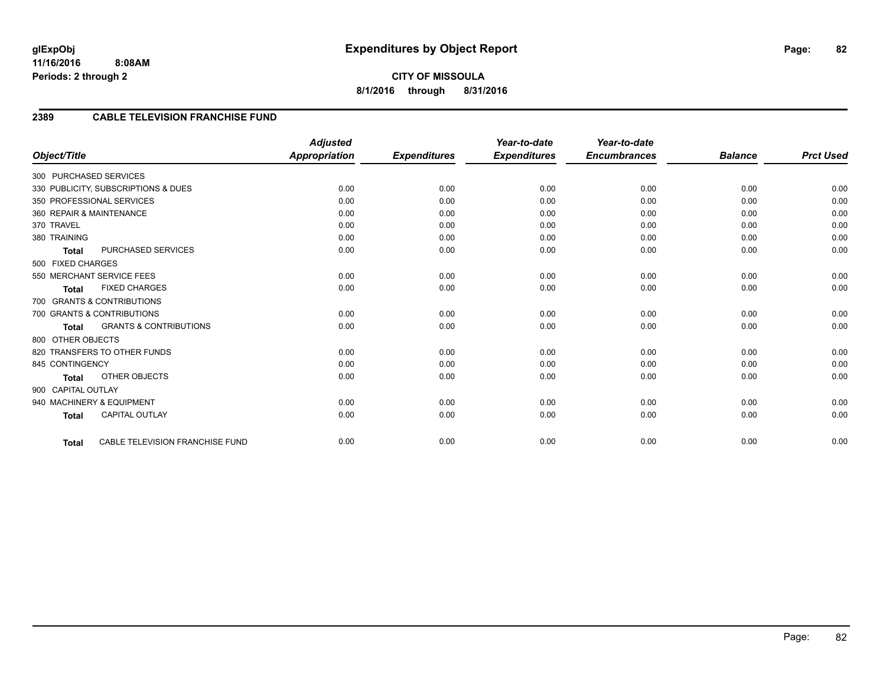### **2389 CABLE TELEVISION FRANCHISE FUND**

|                          |                                     | <b>Adjusted</b>      |                     | Year-to-date        | Year-to-date        |                |                  |
|--------------------------|-------------------------------------|----------------------|---------------------|---------------------|---------------------|----------------|------------------|
| Object/Title             |                                     | <b>Appropriation</b> | <b>Expenditures</b> | <b>Expenditures</b> | <b>Encumbrances</b> | <b>Balance</b> | <b>Prct Used</b> |
| 300 PURCHASED SERVICES   |                                     |                      |                     |                     |                     |                |                  |
|                          | 330 PUBLICITY, SUBSCRIPTIONS & DUES | 0.00                 | 0.00                | 0.00                | 0.00                | 0.00           | 0.00             |
|                          | 350 PROFESSIONAL SERVICES           | 0.00                 | 0.00                | 0.00                | 0.00                | 0.00           | 0.00             |
| 360 REPAIR & MAINTENANCE |                                     | 0.00                 | 0.00                | 0.00                | 0.00                | 0.00           | 0.00             |
| 370 TRAVEL               |                                     | 0.00                 | 0.00                | 0.00                | 0.00                | 0.00           | 0.00             |
| 380 TRAINING             |                                     | 0.00                 | 0.00                | 0.00                | 0.00                | 0.00           | 0.00             |
| <b>Total</b>             | <b>PURCHASED SERVICES</b>           | 0.00                 | 0.00                | 0.00                | 0.00                | 0.00           | 0.00             |
| 500 FIXED CHARGES        |                                     |                      |                     |                     |                     |                |                  |
|                          | 550 MERCHANT SERVICE FEES           | 0.00                 | 0.00                | 0.00                | 0.00                | 0.00           | 0.00             |
| <b>Total</b>             | <b>FIXED CHARGES</b>                | 0.00                 | 0.00                | 0.00                | 0.00                | 0.00           | 0.00             |
|                          | 700 GRANTS & CONTRIBUTIONS          |                      |                     |                     |                     |                |                  |
|                          | 700 GRANTS & CONTRIBUTIONS          | 0.00                 | 0.00                | 0.00                | 0.00                | 0.00           | 0.00             |
| <b>Total</b>             | <b>GRANTS &amp; CONTRIBUTIONS</b>   | 0.00                 | 0.00                | 0.00                | 0.00                | 0.00           | 0.00             |
| 800 OTHER OBJECTS        |                                     |                      |                     |                     |                     |                |                  |
|                          | 820 TRANSFERS TO OTHER FUNDS        | 0.00                 | 0.00                | 0.00                | 0.00                | 0.00           | 0.00             |
| 845 CONTINGENCY          |                                     | 0.00                 | 0.00                | 0.00                | 0.00                | 0.00           | 0.00             |
| <b>Total</b>             | <b>OTHER OBJECTS</b>                | 0.00                 | 0.00                | 0.00                | 0.00                | 0.00           | 0.00             |
| 900 CAPITAL OUTLAY       |                                     |                      |                     |                     |                     |                |                  |
|                          | 940 MACHINERY & EQUIPMENT           | 0.00                 | 0.00                | 0.00                | 0.00                | 0.00           | 0.00             |
| <b>Total</b>             | CAPITAL OUTLAY                      | 0.00                 | 0.00                | 0.00                | 0.00                | 0.00           | 0.00             |
|                          |                                     |                      |                     |                     |                     |                |                  |
| <b>Total</b>             | CABLE TELEVISION FRANCHISE FUND     | 0.00                 | 0.00                | 0.00                | 0.00                | 0.00           | 0.00             |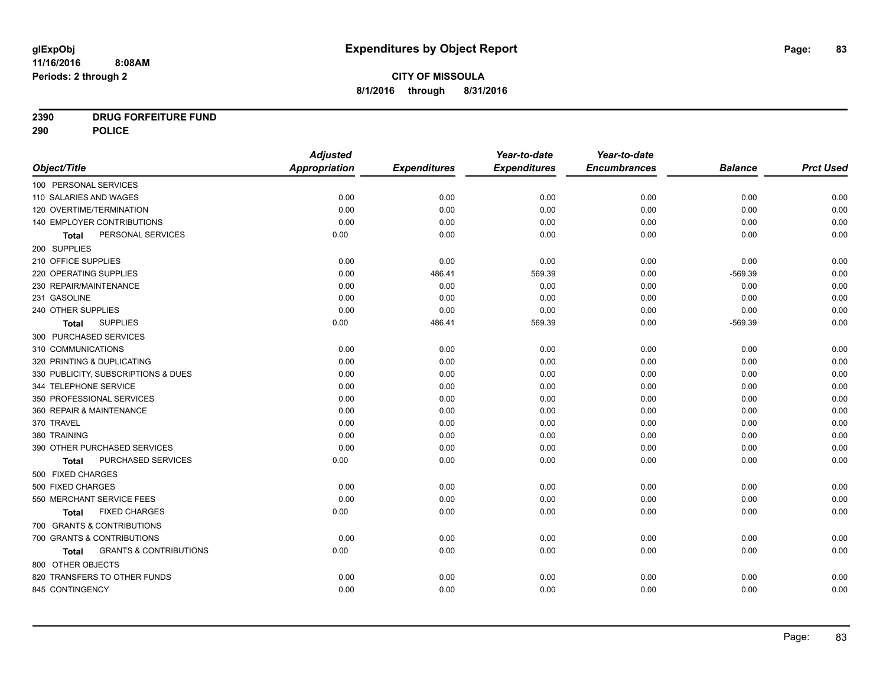# **CITY OF MISSOULA 8/1/2016 through 8/31/2016**

# **2390 DRUG FORFEITURE FUND**

**290 POLICE**

|                                            | <b>Adjusted</b> |                     | Year-to-date        | Year-to-date        |                |                  |
|--------------------------------------------|-----------------|---------------------|---------------------|---------------------|----------------|------------------|
| Object/Title                               | Appropriation   | <b>Expenditures</b> | <b>Expenditures</b> | <b>Encumbrances</b> | <b>Balance</b> | <b>Prct Used</b> |
| 100 PERSONAL SERVICES                      |                 |                     |                     |                     |                |                  |
| 110 SALARIES AND WAGES                     | 0.00            | 0.00                | 0.00                | 0.00                | 0.00           | 0.00             |
| 120 OVERTIME/TERMINATION                   | 0.00            | 0.00                | 0.00                | 0.00                | 0.00           | 0.00             |
| 140 EMPLOYER CONTRIBUTIONS                 | 0.00            | 0.00                | 0.00                | 0.00                | 0.00           | 0.00             |
| PERSONAL SERVICES<br>Total                 | 0.00            | 0.00                | 0.00                | 0.00                | 0.00           | 0.00             |
| 200 SUPPLIES                               |                 |                     |                     |                     |                |                  |
| 210 OFFICE SUPPLIES                        | 0.00            | 0.00                | 0.00                | 0.00                | 0.00           | 0.00             |
| 220 OPERATING SUPPLIES                     | 0.00            | 486.41              | 569.39              | 0.00                | $-569.39$      | 0.00             |
| 230 REPAIR/MAINTENANCE                     | 0.00            | 0.00                | 0.00                | 0.00                | 0.00           | 0.00             |
| 231 GASOLINE                               | 0.00            | 0.00                | 0.00                | 0.00                | 0.00           | 0.00             |
| 240 OTHER SUPPLIES                         | 0.00            | 0.00                | 0.00                | 0.00                | 0.00           | 0.00             |
| <b>SUPPLIES</b><br>Total                   | 0.00            | 486.41              | 569.39              | 0.00                | $-569.39$      | 0.00             |
| 300 PURCHASED SERVICES                     |                 |                     |                     |                     |                |                  |
| 310 COMMUNICATIONS                         | 0.00            | 0.00                | 0.00                | 0.00                | 0.00           | 0.00             |
| 320 PRINTING & DUPLICATING                 | 0.00            | 0.00                | 0.00                | 0.00                | 0.00           | 0.00             |
| 330 PUBLICITY, SUBSCRIPTIONS & DUES        | 0.00            | 0.00                | 0.00                | 0.00                | 0.00           | 0.00             |
| 344 TELEPHONE SERVICE                      | 0.00            | 0.00                | 0.00                | 0.00                | 0.00           | 0.00             |
| 350 PROFESSIONAL SERVICES                  | 0.00            | 0.00                | 0.00                | 0.00                | 0.00           | 0.00             |
| 360 REPAIR & MAINTENANCE                   | 0.00            | 0.00                | 0.00                | 0.00                | 0.00           | 0.00             |
| 370 TRAVEL                                 | 0.00            | 0.00                | 0.00                | 0.00                | 0.00           | 0.00             |
| 380 TRAINING                               | 0.00            | 0.00                | 0.00                | 0.00                | 0.00           | 0.00             |
| 390 OTHER PURCHASED SERVICES               | 0.00            | 0.00                | 0.00                | 0.00                | 0.00           | 0.00             |
| PURCHASED SERVICES<br><b>Total</b>         | 0.00            | 0.00                | 0.00                | 0.00                | 0.00           | 0.00             |
| 500 FIXED CHARGES                          |                 |                     |                     |                     |                |                  |
| 500 FIXED CHARGES                          | 0.00            | 0.00                | 0.00                | 0.00                | 0.00           | 0.00             |
| 550 MERCHANT SERVICE FEES                  | 0.00            | 0.00                | 0.00                | 0.00                | 0.00           | 0.00             |
| <b>FIXED CHARGES</b><br>Total              | 0.00            | 0.00                | 0.00                | 0.00                | 0.00           | 0.00             |
| 700 GRANTS & CONTRIBUTIONS                 |                 |                     |                     |                     |                |                  |
| 700 GRANTS & CONTRIBUTIONS                 | 0.00            | 0.00                | 0.00                | 0.00                | 0.00           | 0.00             |
| <b>GRANTS &amp; CONTRIBUTIONS</b><br>Total | 0.00            | 0.00                | 0.00                | 0.00                | 0.00           | 0.00             |
| 800 OTHER OBJECTS                          |                 |                     |                     |                     |                |                  |
| 820 TRANSFERS TO OTHER FUNDS               | 0.00            | 0.00                | 0.00                | 0.00                | 0.00           | 0.00             |
| 845 CONTINGENCY                            | 0.00            | 0.00                | 0.00                | 0.00                | 0.00           | 0.00             |
|                                            |                 |                     |                     |                     |                |                  |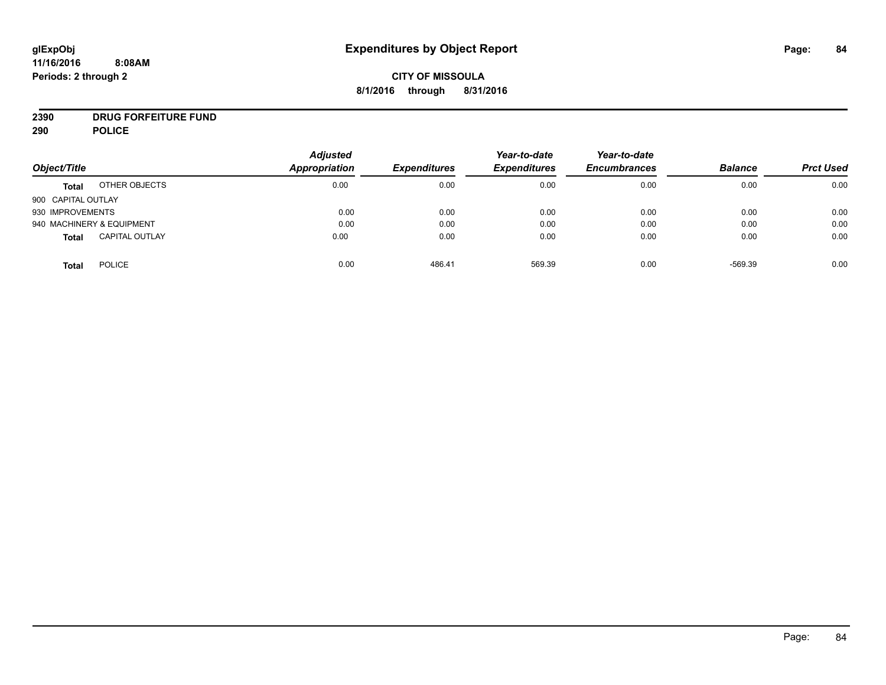# **CITY OF MISSOULA 8/1/2016 through 8/31/2016**

# **2390 DRUG FORFEITURE FUND**

**290 POLICE**

|                               |                       | <b>Adjusted</b> |                     | Year-to-date        | Year-to-date        |                |                  |
|-------------------------------|-----------------------|-----------------|---------------------|---------------------|---------------------|----------------|------------------|
| Object/Title                  |                       | Appropriation   | <b>Expenditures</b> | <b>Expenditures</b> | <b>Encumbrances</b> | <b>Balance</b> | <b>Prct Used</b> |
| <b>Total</b>                  | OTHER OBJECTS         | 0.00            | 0.00                | 0.00                | 0.00                | 0.00           | 0.00             |
| 900 CAPITAL OUTLAY            |                       |                 |                     |                     |                     |                |                  |
| 930 IMPROVEMENTS              |                       | 0.00            | 0.00                | 0.00                | 0.00                | 0.00           | 0.00             |
| 940 MACHINERY & EQUIPMENT     |                       | 0.00            | 0.00                | 0.00                | 0.00                | 0.00           | 0.00             |
| <b>Total</b>                  | <b>CAPITAL OUTLAY</b> | 0.00            | 0.00                | 0.00                | 0.00                | 0.00           | 0.00             |
| <b>POLICE</b><br><b>Total</b> |                       | 0.00            | 486.41              | 569.39              | 0.00                | $-569.39$      | 0.00             |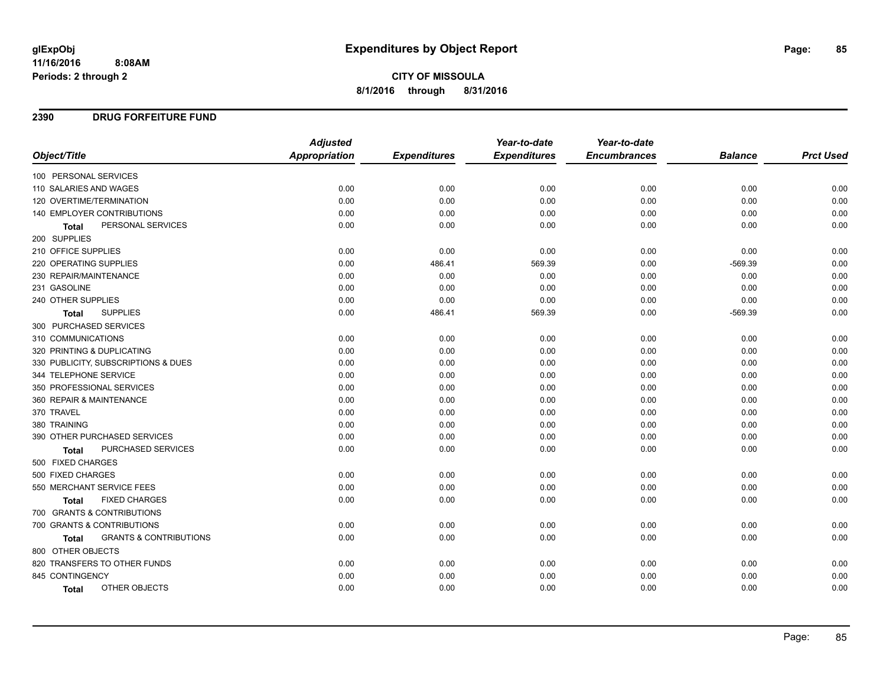# **CITY OF MISSOULA 8/1/2016 through 8/31/2016**

### **2390 DRUG FORFEITURE FUND**

|                                            | <b>Adjusted</b> |                     | Year-to-date        | Year-to-date        |                |                  |
|--------------------------------------------|-----------------|---------------------|---------------------|---------------------|----------------|------------------|
| Object/Title                               | Appropriation   | <b>Expenditures</b> | <b>Expenditures</b> | <b>Encumbrances</b> | <b>Balance</b> | <b>Prct Used</b> |
| 100 PERSONAL SERVICES                      |                 |                     |                     |                     |                |                  |
| 110 SALARIES AND WAGES                     | 0.00            | 0.00                | 0.00                | 0.00                | 0.00           | 0.00             |
| 120 OVERTIME/TERMINATION                   | 0.00            | 0.00                | 0.00                | 0.00                | 0.00           | 0.00             |
| 140 EMPLOYER CONTRIBUTIONS                 | 0.00            | 0.00                | 0.00                | 0.00                | 0.00           | 0.00             |
| PERSONAL SERVICES<br><b>Total</b>          | 0.00            | 0.00                | 0.00                | 0.00                | 0.00           | 0.00             |
| 200 SUPPLIES                               |                 |                     |                     |                     |                |                  |
| 210 OFFICE SUPPLIES                        | 0.00            | 0.00                | 0.00                | 0.00                | 0.00           | 0.00             |
| <b>220 OPERATING SUPPLIES</b>              | 0.00            | 486.41              | 569.39              | 0.00                | $-569.39$      | 0.00             |
| 230 REPAIR/MAINTENANCE                     | 0.00            | 0.00                | 0.00                | 0.00                | 0.00           | 0.00             |
| 231 GASOLINE                               | 0.00            | 0.00                | 0.00                | 0.00                | 0.00           | 0.00             |
| 240 OTHER SUPPLIES                         | 0.00            | 0.00                | 0.00                | 0.00                | 0.00           | 0.00             |
| <b>SUPPLIES</b><br><b>Total</b>            | 0.00            | 486.41              | 569.39              | 0.00                | $-569.39$      | 0.00             |
| 300 PURCHASED SERVICES                     |                 |                     |                     |                     |                |                  |
| 310 COMMUNICATIONS                         | 0.00            | 0.00                | 0.00                | 0.00                | 0.00           | 0.00             |
| 320 PRINTING & DUPLICATING                 | 0.00            | 0.00                | 0.00                | 0.00                | 0.00           | 0.00             |
| 330 PUBLICITY, SUBSCRIPTIONS & DUES        | 0.00            | 0.00                | 0.00                | 0.00                | 0.00           | 0.00             |
| 344 TELEPHONE SERVICE                      | 0.00            | 0.00                | 0.00                | 0.00                | 0.00           | 0.00             |
| 350 PROFESSIONAL SERVICES                  | 0.00            | 0.00                | 0.00                | 0.00                | 0.00           | 0.00             |
| 360 REPAIR & MAINTENANCE                   | 0.00            | 0.00                | 0.00                | 0.00                | 0.00           | 0.00             |
| 370 TRAVEL                                 | 0.00            | 0.00                | 0.00                | 0.00                | 0.00           | 0.00             |
| 380 TRAINING                               | 0.00            | 0.00                | 0.00                | 0.00                | 0.00           | 0.00             |
| 390 OTHER PURCHASED SERVICES               | 0.00            | 0.00                | 0.00                | 0.00                | 0.00           | 0.00             |
| PURCHASED SERVICES<br><b>Total</b>         | 0.00            | 0.00                | 0.00                | 0.00                | 0.00           | 0.00             |
| 500 FIXED CHARGES                          |                 |                     |                     |                     |                |                  |
| 500 FIXED CHARGES                          | 0.00            | 0.00                | 0.00                | 0.00                | 0.00           | 0.00             |
| 550 MERCHANT SERVICE FEES                  | 0.00            | 0.00                | 0.00                | 0.00                | 0.00           | 0.00             |
| <b>FIXED CHARGES</b><br><b>Total</b>       | 0.00            | 0.00                | 0.00                | 0.00                | 0.00           | 0.00             |
| 700 GRANTS & CONTRIBUTIONS                 |                 |                     |                     |                     |                |                  |
| 700 GRANTS & CONTRIBUTIONS                 | 0.00            | 0.00                | 0.00                | 0.00                | 0.00           | 0.00             |
| <b>GRANTS &amp; CONTRIBUTIONS</b><br>Total | 0.00            | 0.00                | 0.00                | 0.00                | 0.00           | 0.00             |
| 800 OTHER OBJECTS                          |                 |                     |                     |                     |                |                  |
| 820 TRANSFERS TO OTHER FUNDS               | 0.00            | 0.00                | 0.00                | 0.00                | 0.00           | 0.00             |
| 845 CONTINGENCY                            | 0.00            | 0.00                | 0.00                | 0.00                | 0.00           | 0.00             |
| OTHER OBJECTS<br>Total                     | 0.00            | 0.00                | 0.00                | 0.00                | 0.00           | 0.00             |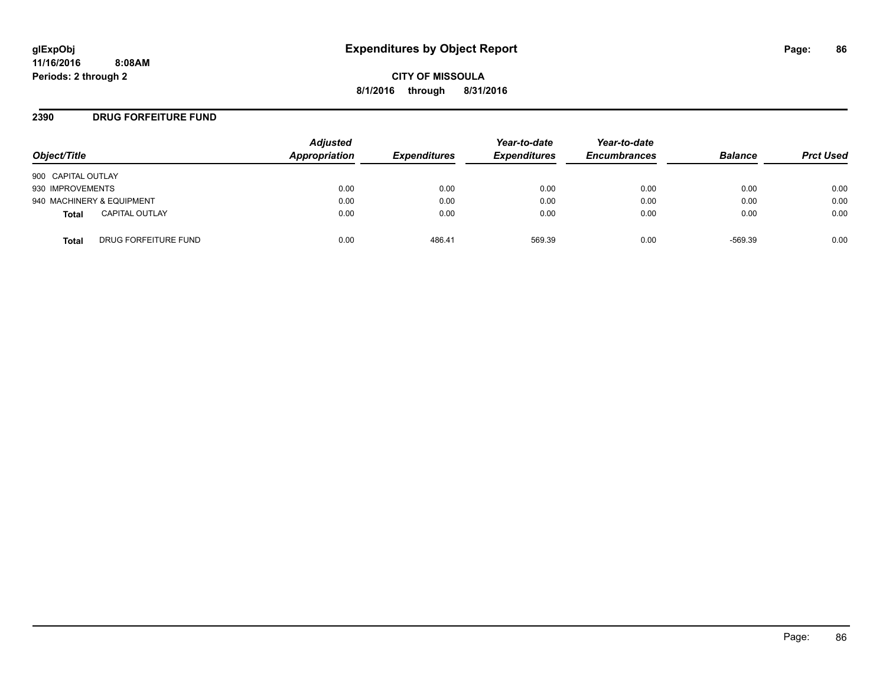**CITY OF MISSOULA 8/1/2016 through 8/31/2016**

#### **2390 DRUG FORFEITURE FUND**

| Object/Title                          | <b>Adjusted</b><br>Appropriation | <b>Expenditures</b> | Year-to-date<br><b>Expenditures</b> | Year-to-date<br><b>Encumbrances</b> | <b>Balance</b> | <b>Prct Used</b> |
|---------------------------------------|----------------------------------|---------------------|-------------------------------------|-------------------------------------|----------------|------------------|
| 900 CAPITAL OUTLAY                    |                                  |                     |                                     |                                     |                |                  |
| 930 IMPROVEMENTS                      | 0.00                             | 0.00                | 0.00                                | 0.00                                | 0.00           | 0.00             |
| 940 MACHINERY & EQUIPMENT             | 0.00                             | 0.00                | 0.00                                | 0.00                                | 0.00           | 0.00             |
| <b>CAPITAL OUTLAY</b><br><b>Total</b> | 0.00                             | 0.00                | 0.00                                | 0.00                                | 0.00           | 0.00             |
| DRUG FORFEITURE FUND<br><b>Total</b>  | 0.00                             | 486.41              | 569.39                              | 0.00                                | $-569.39$      | 0.00             |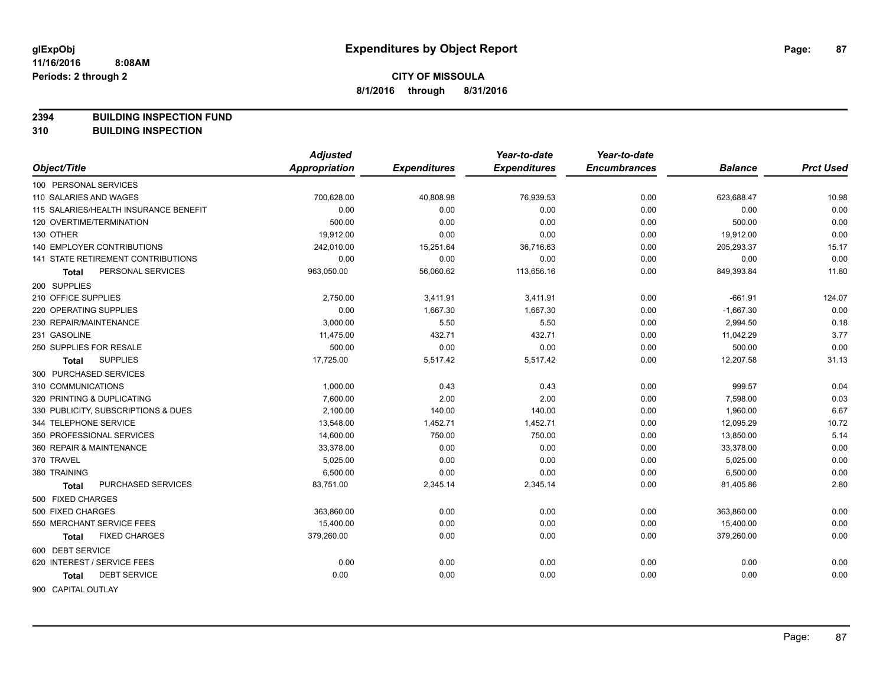**2394 BUILDING INSPECTION FUND**

**310 BUILDING INSPECTION**

|                                           | <b>Adjusted</b>      |                     | Year-to-date        | Year-to-date        |                |                  |
|-------------------------------------------|----------------------|---------------------|---------------------|---------------------|----------------|------------------|
| Object/Title                              | <b>Appropriation</b> | <b>Expenditures</b> | <b>Expenditures</b> | <b>Encumbrances</b> | <b>Balance</b> | <b>Prct Used</b> |
| 100 PERSONAL SERVICES                     |                      |                     |                     |                     |                |                  |
| 110 SALARIES AND WAGES                    | 700,628.00           | 40,808.98           | 76,939.53           | 0.00                | 623,688.47     | 10.98            |
| 115 SALARIES/HEALTH INSURANCE BENEFIT     | 0.00                 | 0.00                | 0.00                | 0.00                | 0.00           | 0.00             |
| 120 OVERTIME/TERMINATION                  | 500.00               | 0.00                | 0.00                | 0.00                | 500.00         | 0.00             |
| 130 OTHER                                 | 19,912.00            | 0.00                | 0.00                | 0.00                | 19,912.00      | 0.00             |
| <b>140 EMPLOYER CONTRIBUTIONS</b>         | 242,010.00           | 15,251.64           | 36,716.63           | 0.00                | 205,293.37     | 15.17            |
| <b>141 STATE RETIREMENT CONTRIBUTIONS</b> | 0.00                 | 0.00                | 0.00                | 0.00                | 0.00           | 0.00             |
| PERSONAL SERVICES<br>Total                | 963,050.00           | 56,060.62           | 113,656.16          | 0.00                | 849,393.84     | 11.80            |
| 200 SUPPLIES                              |                      |                     |                     |                     |                |                  |
| 210 OFFICE SUPPLIES                       | 2,750.00             | 3,411.91            | 3,411.91            | 0.00                | $-661.91$      | 124.07           |
| 220 OPERATING SUPPLIES                    | 0.00                 | 1,667.30            | 1,667.30            | 0.00                | $-1,667.30$    | 0.00             |
| 230 REPAIR/MAINTENANCE                    | 3,000.00             | 5.50                | 5.50                | 0.00                | 2,994.50       | 0.18             |
| 231 GASOLINE                              | 11,475.00            | 432.71              | 432.71              | 0.00                | 11,042.29      | 3.77             |
| 250 SUPPLIES FOR RESALE                   | 500.00               | 0.00                | 0.00                | 0.00                | 500.00         | 0.00             |
| <b>SUPPLIES</b><br>Total                  | 17,725.00            | 5,517.42            | 5,517.42            | 0.00                | 12,207.58      | 31.13            |
| 300 PURCHASED SERVICES                    |                      |                     |                     |                     |                |                  |
| 310 COMMUNICATIONS                        | 1,000.00             | 0.43                | 0.43                | 0.00                | 999.57         | 0.04             |
| 320 PRINTING & DUPLICATING                | 7,600.00             | 2.00                | 2.00                | 0.00                | 7,598.00       | 0.03             |
| 330 PUBLICITY, SUBSCRIPTIONS & DUES       | 2,100.00             | 140.00              | 140.00              | 0.00                | 1,960.00       | 6.67             |
| 344 TELEPHONE SERVICE                     | 13,548.00            | 1,452.71            | 1,452.71            | 0.00                | 12,095.29      | 10.72            |
| 350 PROFESSIONAL SERVICES                 | 14,600.00            | 750.00              | 750.00              | 0.00                | 13,850.00      | 5.14             |
| 360 REPAIR & MAINTENANCE                  | 33,378.00            | 0.00                | 0.00                | 0.00                | 33,378.00      | 0.00             |
| 370 TRAVEL                                | 5,025.00             | 0.00                | 0.00                | 0.00                | 5,025.00       | 0.00             |
| 380 TRAINING                              | 6,500.00             | 0.00                | 0.00                | 0.00                | 6,500.00       | 0.00             |
| PURCHASED SERVICES<br>Total               | 83,751.00            | 2,345.14            | 2,345.14            | 0.00                | 81,405.86      | 2.80             |
| 500 FIXED CHARGES                         |                      |                     |                     |                     |                |                  |
| 500 FIXED CHARGES                         | 363,860.00           | 0.00                | 0.00                | 0.00                | 363,860.00     | 0.00             |
| 550 MERCHANT SERVICE FEES                 | 15,400.00            | 0.00                | 0.00                | 0.00                | 15,400.00      | 0.00             |
| <b>FIXED CHARGES</b><br>Total             | 379,260.00           | 0.00                | 0.00                | 0.00                | 379,260.00     | 0.00             |
| 600 DEBT SERVICE                          |                      |                     |                     |                     |                |                  |
| 620 INTEREST / SERVICE FEES               | 0.00                 | 0.00                | 0.00                | 0.00                | 0.00           | 0.00             |
| <b>DEBT SERVICE</b><br>Total              | 0.00                 | 0.00                | 0.00                | 0.00                | 0.00           | 0.00             |
| 900 CAPITAL OUTLAY                        |                      |                     |                     |                     |                |                  |

Page: 87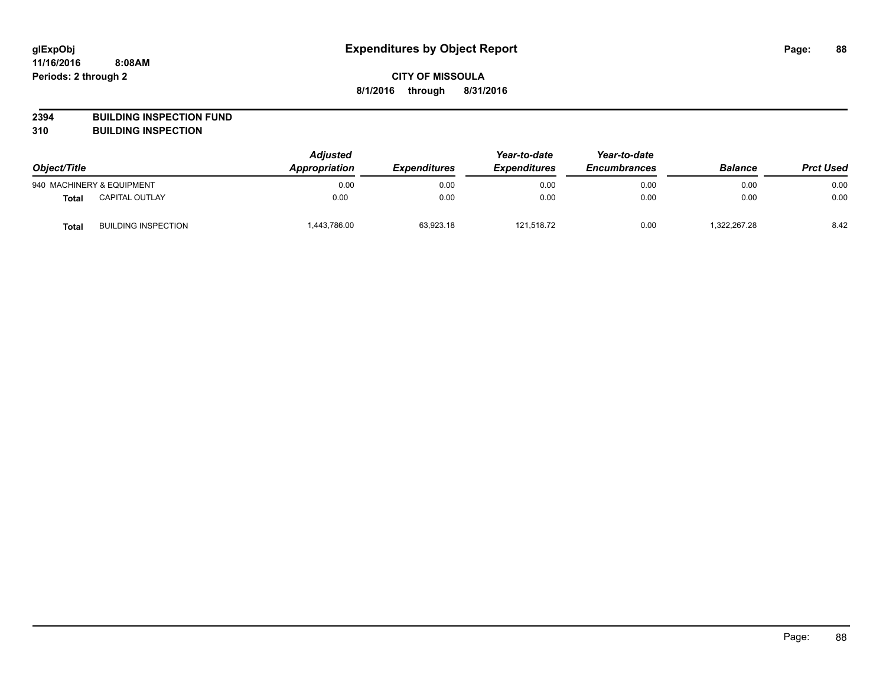**2394 BUILDING INSPECTION FUND**

**310 BUILDING INSPECTION**

| Object/Title |                            | <b>Adjusted</b><br>Appropriation | <b>Expenditures</b> | Year-to-date<br><b>Expenditures</b> | Year-to-date<br><b>Encumbrances</b> | <b>Balance</b> | <b>Prct Used</b> |
|--------------|----------------------------|----------------------------------|---------------------|-------------------------------------|-------------------------------------|----------------|------------------|
|              | 940 MACHINERY & EQUIPMENT  | 0.00                             | 0.00                | 0.00                                | 0.00                                | 0.00           | 0.00             |
| <b>Total</b> | <b>CAPITAL OUTLAY</b>      | 0.00                             | 0.00                | 0.00                                | 0.00                                | 0.00           | 0.00             |
| <b>Total</b> | <b>BUILDING INSPECTION</b> | 1,443,786.00                     | 63,923.18           | 121,518.72                          | 0.00                                | 322,267.28     | 8.42             |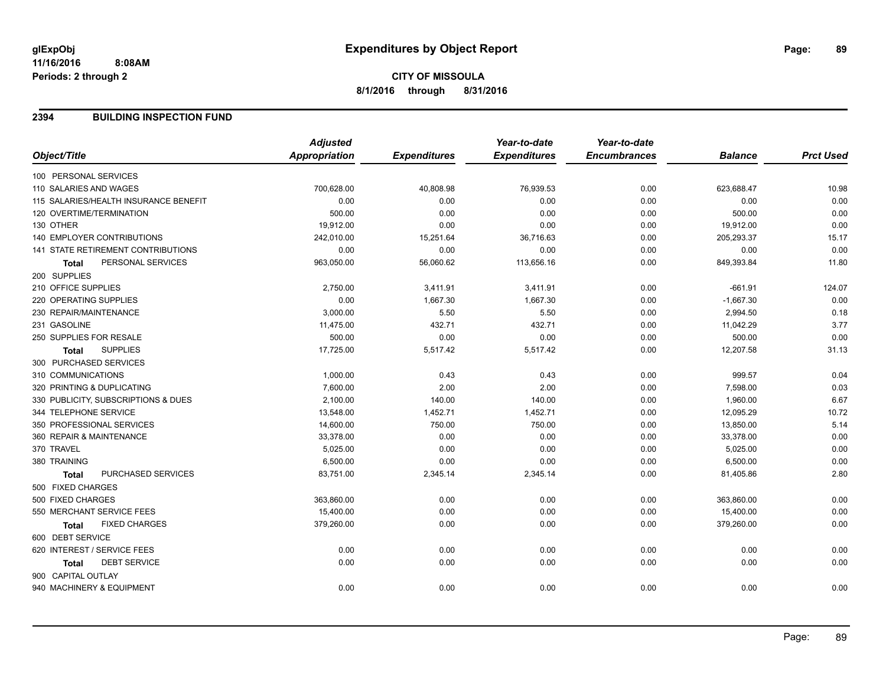#### **2394 BUILDING INSPECTION FUND**

|                                           | <b>Adjusted</b>      |                     | Year-to-date        | Year-to-date        |                |                  |
|-------------------------------------------|----------------------|---------------------|---------------------|---------------------|----------------|------------------|
| Object/Title                              | <b>Appropriation</b> | <b>Expenditures</b> | <b>Expenditures</b> | <b>Encumbrances</b> | <b>Balance</b> | <b>Prct Used</b> |
| 100 PERSONAL SERVICES                     |                      |                     |                     |                     |                |                  |
| 110 SALARIES AND WAGES                    | 700,628.00           | 40,808.98           | 76,939.53           | 0.00                | 623,688.47     | 10.98            |
| 115 SALARIES/HEALTH INSURANCE BENEFIT     | 0.00                 | 0.00                | 0.00                | 0.00                | 0.00           | 0.00             |
| 120 OVERTIME/TERMINATION                  | 500.00               | 0.00                | 0.00                | 0.00                | 500.00         | 0.00             |
| 130 OTHER                                 | 19,912.00            | 0.00                | 0.00                | 0.00                | 19,912.00      | 0.00             |
| 140 EMPLOYER CONTRIBUTIONS                | 242,010.00           | 15,251.64           | 36,716.63           | 0.00                | 205,293.37     | 15.17            |
| <b>141 STATE RETIREMENT CONTRIBUTIONS</b> | 0.00                 | 0.00                | 0.00                | 0.00                | 0.00           | 0.00             |
| PERSONAL SERVICES<br><b>Total</b>         | 963,050.00           | 56,060.62           | 113,656.16          | 0.00                | 849,393.84     | 11.80            |
| 200 SUPPLIES                              |                      |                     |                     |                     |                |                  |
| 210 OFFICE SUPPLIES                       | 2,750.00             | 3,411.91            | 3,411.91            | 0.00                | $-661.91$      | 124.07           |
| 220 OPERATING SUPPLIES                    | 0.00                 | 1,667.30            | 1,667.30            | 0.00                | $-1,667.30$    | 0.00             |
| 230 REPAIR/MAINTENANCE                    | 3,000.00             | 5.50                | 5.50                | 0.00                | 2,994.50       | 0.18             |
| 231 GASOLINE                              | 11,475.00            | 432.71              | 432.71              | 0.00                | 11,042.29      | 3.77             |
| 250 SUPPLIES FOR RESALE                   | 500.00               | 0.00                | 0.00                | 0.00                | 500.00         | 0.00             |
| <b>SUPPLIES</b><br><b>Total</b>           | 17,725.00            | 5,517.42            | 5,517.42            | 0.00                | 12,207.58      | 31.13            |
| 300 PURCHASED SERVICES                    |                      |                     |                     |                     |                |                  |
| 310 COMMUNICATIONS                        | 1,000.00             | 0.43                | 0.43                | 0.00                | 999.57         | 0.04             |
| 320 PRINTING & DUPLICATING                | 7,600.00             | 2.00                | 2.00                | 0.00                | 7,598.00       | 0.03             |
| 330 PUBLICITY, SUBSCRIPTIONS & DUES       | 2,100.00             | 140.00              | 140.00              | 0.00                | 1,960.00       | 6.67             |
| 344 TELEPHONE SERVICE                     | 13,548.00            | 1,452.71            | 1,452.71            | 0.00                | 12,095.29      | 10.72            |
| 350 PROFESSIONAL SERVICES                 | 14,600.00            | 750.00              | 750.00              | 0.00                | 13,850.00      | 5.14             |
| 360 REPAIR & MAINTENANCE                  | 33,378.00            | 0.00                | 0.00                | 0.00                | 33,378.00      | 0.00             |
| 370 TRAVEL                                | 5,025.00             | 0.00                | 0.00                | 0.00                | 5,025.00       | 0.00             |
| 380 TRAINING                              | 6,500.00             | 0.00                | 0.00                | 0.00                | 6,500.00       | 0.00             |
| PURCHASED SERVICES<br><b>Total</b>        | 83,751.00            | 2,345.14            | 2,345.14            | 0.00                | 81,405.86      | 2.80             |
| 500 FIXED CHARGES                         |                      |                     |                     |                     |                |                  |
| 500 FIXED CHARGES                         | 363,860.00           | 0.00                | 0.00                | 0.00                | 363,860.00     | 0.00             |
| 550 MERCHANT SERVICE FEES                 | 15,400.00            | 0.00                | 0.00                | 0.00                | 15,400.00      | 0.00             |
| <b>FIXED CHARGES</b><br><b>Total</b>      | 379,260.00           | 0.00                | 0.00                | 0.00                | 379,260.00     | 0.00             |
| 600 DEBT SERVICE                          |                      |                     |                     |                     |                |                  |
| 620 INTEREST / SERVICE FEES               | 0.00                 | 0.00                | 0.00                | 0.00                | 0.00           | 0.00             |
| <b>DEBT SERVICE</b><br><b>Total</b>       | 0.00                 | 0.00                | 0.00                | 0.00                | 0.00           | 0.00             |
| 900 CAPITAL OUTLAY                        |                      |                     |                     |                     |                |                  |
| 940 MACHINERY & EQUIPMENT                 | 0.00                 | 0.00                | 0.00                | 0.00                | 0.00           | 0.00             |
|                                           |                      |                     |                     |                     |                |                  |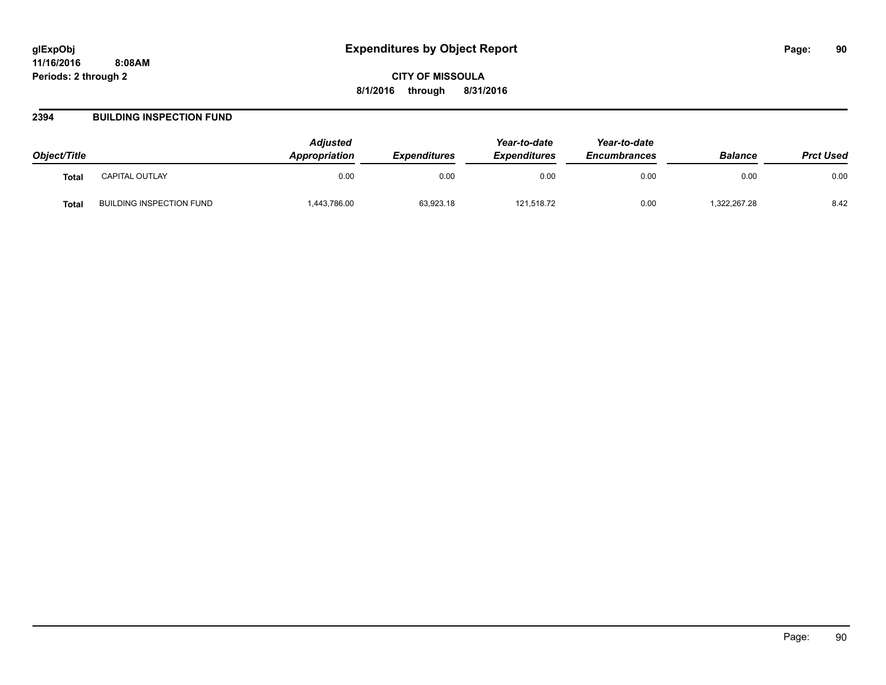#### **2394 BUILDING INSPECTION FUND**

| Object/Title |                          | <b>Adjusted</b><br>Appropriation | <b>Expenditures</b> | Year-to-date<br><b>Expenditures</b> | Year-to-date<br><b>Encumbrances</b> | <b>Balance</b> | <b>Prct Used</b> |
|--------------|--------------------------|----------------------------------|---------------------|-------------------------------------|-------------------------------------|----------------|------------------|
| <b>Total</b> | CAPITAL OUTLAY           | 0.00                             | 0.00                | 0.00                                | 0.00                                | 0.00           | 0.00             |
| <b>Total</b> | BUILDING INSPECTION FUND | 443,786.00                       | 63,923.18           | 121,518.72                          | 0.00                                | ,322,267.28    | 8.42             |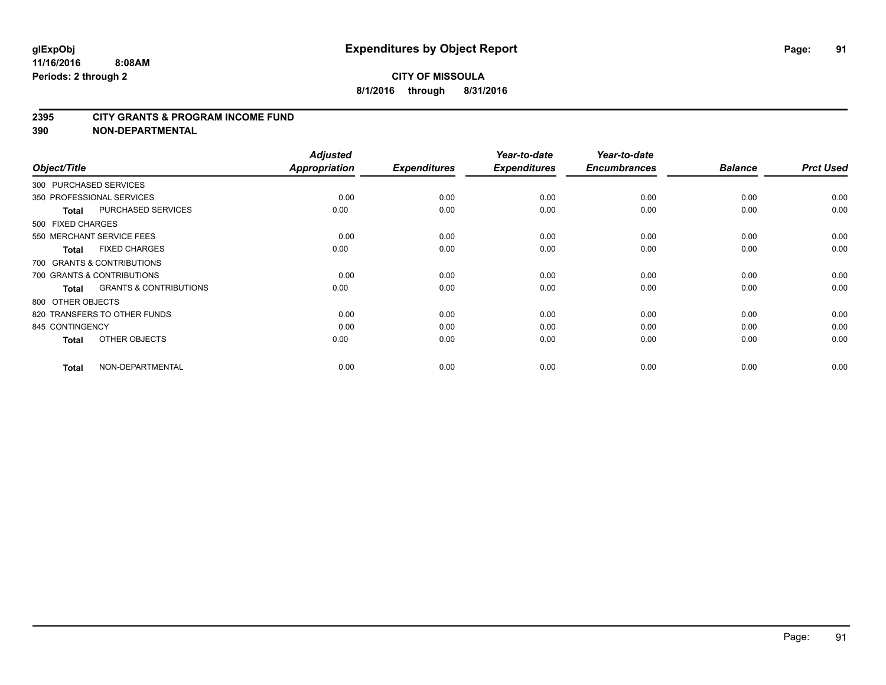#### **2395 CITY GRANTS & PROGRAM INCOME FUND**

| Object/Title               |                                   | <b>Adjusted</b><br><b>Appropriation</b> | <b>Expenditures</b> | Year-to-date<br><b>Expenditures</b> | Year-to-date<br><b>Encumbrances</b> | <b>Balance</b> | <b>Prct Used</b> |
|----------------------------|-----------------------------------|-----------------------------------------|---------------------|-------------------------------------|-------------------------------------|----------------|------------------|
| 300 PURCHASED SERVICES     |                                   |                                         |                     |                                     |                                     |                |                  |
| 350 PROFESSIONAL SERVICES  |                                   | 0.00                                    | 0.00                | 0.00                                | 0.00                                | 0.00           | 0.00             |
| <b>Total</b>               | <b>PURCHASED SERVICES</b>         | 0.00                                    | 0.00                | 0.00                                | 0.00                                | 0.00           | 0.00             |
| 500 FIXED CHARGES          |                                   |                                         |                     |                                     |                                     |                |                  |
| 550 MERCHANT SERVICE FEES  |                                   | 0.00                                    | 0.00                | 0.00                                | 0.00                                | 0.00           | 0.00             |
| <b>Total</b>               | <b>FIXED CHARGES</b>              | 0.00                                    | 0.00                | 0.00                                | 0.00                                | 0.00           | 0.00             |
|                            | 700 GRANTS & CONTRIBUTIONS        |                                         |                     |                                     |                                     |                |                  |
| 700 GRANTS & CONTRIBUTIONS |                                   | 0.00                                    | 0.00                | 0.00                                | 0.00                                | 0.00           | 0.00             |
| <b>Total</b>               | <b>GRANTS &amp; CONTRIBUTIONS</b> | 0.00                                    | 0.00                | 0.00                                | 0.00                                | 0.00           | 0.00             |
| 800 OTHER OBJECTS          |                                   |                                         |                     |                                     |                                     |                |                  |
|                            | 820 TRANSFERS TO OTHER FUNDS      | 0.00                                    | 0.00                | 0.00                                | 0.00                                | 0.00           | 0.00             |
| 845 CONTINGENCY            |                                   | 0.00                                    | 0.00                | 0.00                                | 0.00                                | 0.00           | 0.00             |
| <b>Total</b>               | OTHER OBJECTS                     | 0.00                                    | 0.00                | 0.00                                | 0.00                                | 0.00           | 0.00             |
| <b>Total</b>               | NON-DEPARTMENTAL                  | 0.00                                    | 0.00                | 0.00                                | 0.00                                | 0.00           | 0.00             |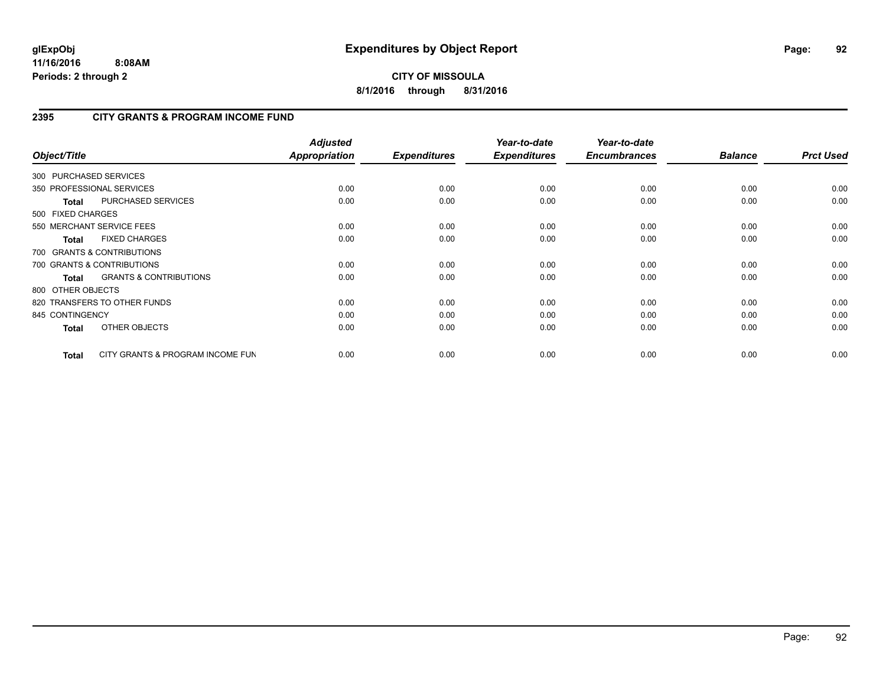**CITY OF MISSOULA 8/1/2016 through 8/31/2016**

## **2395 CITY GRANTS & PROGRAM INCOME FUND**

| Object/Title           |                                   | <b>Adjusted</b><br>Appropriation | <b>Expenditures</b> | Year-to-date<br><b>Expenditures</b> | Year-to-date<br><b>Encumbrances</b> | <b>Balance</b> | <b>Prct Used</b> |
|------------------------|-----------------------------------|----------------------------------|---------------------|-------------------------------------|-------------------------------------|----------------|------------------|
| 300 PURCHASED SERVICES |                                   |                                  |                     |                                     |                                     |                |                  |
|                        | 350 PROFESSIONAL SERVICES         | 0.00                             | 0.00                | 0.00                                | 0.00                                | 0.00           | 0.00             |
| <b>Total</b>           | <b>PURCHASED SERVICES</b>         | 0.00                             | 0.00                | 0.00                                | 0.00                                | 0.00           | 0.00             |
| 500 FIXED CHARGES      |                                   |                                  |                     |                                     |                                     |                |                  |
|                        | 550 MERCHANT SERVICE FEES         | 0.00                             | 0.00                | 0.00                                | 0.00                                | 0.00           | 0.00             |
| <b>Total</b>           | <b>FIXED CHARGES</b>              | 0.00                             | 0.00                | 0.00                                | 0.00                                | 0.00           | 0.00             |
|                        | 700 GRANTS & CONTRIBUTIONS        |                                  |                     |                                     |                                     |                |                  |
|                        | 700 GRANTS & CONTRIBUTIONS        | 0.00                             | 0.00                | 0.00                                | 0.00                                | 0.00           | 0.00             |
| <b>Total</b>           | <b>GRANTS &amp; CONTRIBUTIONS</b> | 0.00                             | 0.00                | 0.00                                | 0.00                                | 0.00           | 0.00             |
| 800 OTHER OBJECTS      |                                   |                                  |                     |                                     |                                     |                |                  |
|                        | 820 TRANSFERS TO OTHER FUNDS      | 0.00                             | 0.00                | 0.00                                | 0.00                                | 0.00           | 0.00             |
| 845 CONTINGENCY        |                                   | 0.00                             | 0.00                | 0.00                                | 0.00                                | 0.00           | 0.00             |
| <b>Total</b>           | OTHER OBJECTS                     | 0.00                             | 0.00                | 0.00                                | 0.00                                | 0.00           | 0.00             |
| <b>Total</b>           | CITY GRANTS & PROGRAM INCOME FUN  | 0.00                             | 0.00                | 0.00                                | 0.00                                | 0.00           | 0.00             |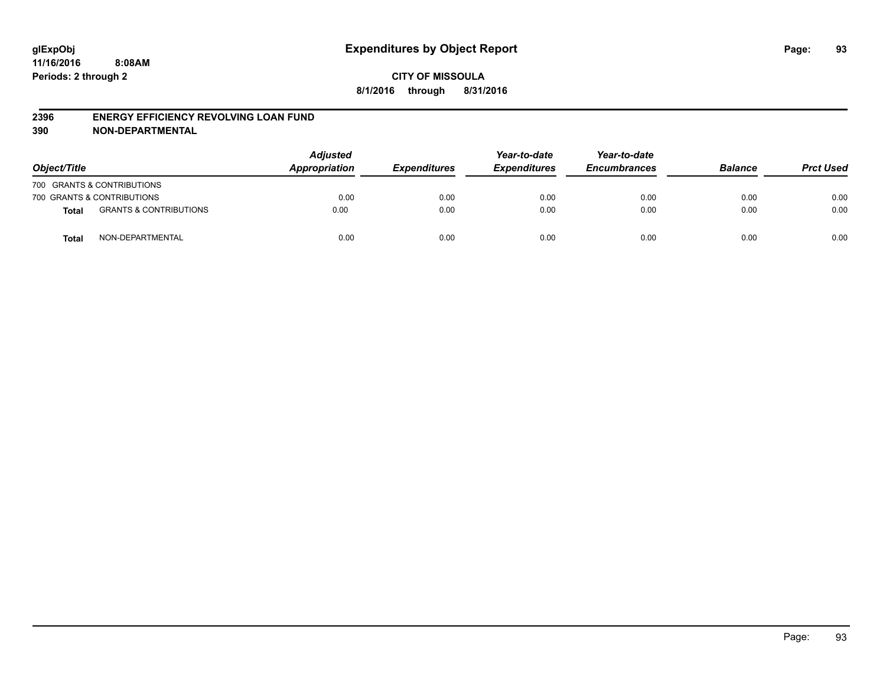#### **2396 ENERGY EFFICIENCY REVOLVING LOAN FUND**

| Object/Title |                                   | <b>Adjusted</b><br>Appropriation | <b>Expenditures</b> | Year-to-date<br><b>Expenditures</b> | Year-to-date<br><b>Encumbrances</b> | <b>Balance</b> | <b>Prct Used</b> |
|--------------|-----------------------------------|----------------------------------|---------------------|-------------------------------------|-------------------------------------|----------------|------------------|
|              | 700 GRANTS & CONTRIBUTIONS        |                                  |                     |                                     |                                     |                |                  |
|              | 700 GRANTS & CONTRIBUTIONS        | 0.00                             | 0.00                | 0.00                                | 0.00                                | 0.00           | 0.00             |
| <b>Total</b> | <b>GRANTS &amp; CONTRIBUTIONS</b> | 0.00                             | 0.00                | 0.00                                | 0.00                                | 0.00           | 0.00             |
| <b>Total</b> | NON-DEPARTMENTAL                  | 0.00                             | 0.00                | 0.00                                | 0.00                                | 0.00           | 0.00             |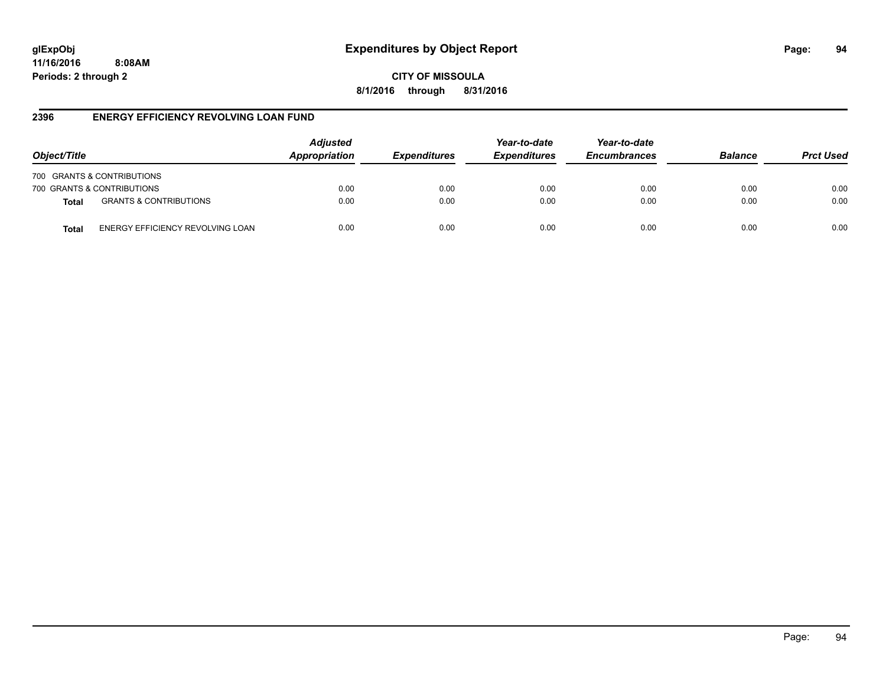# **glExpObj Expenditures by Object Report Page: 94**

**11/16/2016 8:08AM Periods: 2 through 2**

**CITY OF MISSOULA 8/1/2016 through 8/31/2016**

### **2396 ENERGY EFFICIENCY REVOLVING LOAN FUND**

| Object/Title |                                   | <b>Adjusted</b><br>Appropriation | <b>Expenditures</b> | Year-to-date<br><b>Expenditures</b> | Year-to-date<br><b>Encumbrances</b> | <b>Balance</b> | <b>Prct Used</b> |
|--------------|-----------------------------------|----------------------------------|---------------------|-------------------------------------|-------------------------------------|----------------|------------------|
|              | 700 GRANTS & CONTRIBUTIONS        |                                  |                     |                                     |                                     |                |                  |
|              | 700 GRANTS & CONTRIBUTIONS        | 0.00                             | 0.00                | 0.00                                | 0.00                                | 0.00           | 0.00             |
| <b>Total</b> | <b>GRANTS &amp; CONTRIBUTIONS</b> | 0.00                             | 0.00                | 0.00                                | 0.00                                | 0.00           | 0.00             |
| Total        | ENERGY EFFICIENCY REVOLVING LOAN  | 0.00                             | 0.00                | 0.00                                | 0.00                                | 0.00           | 0.00             |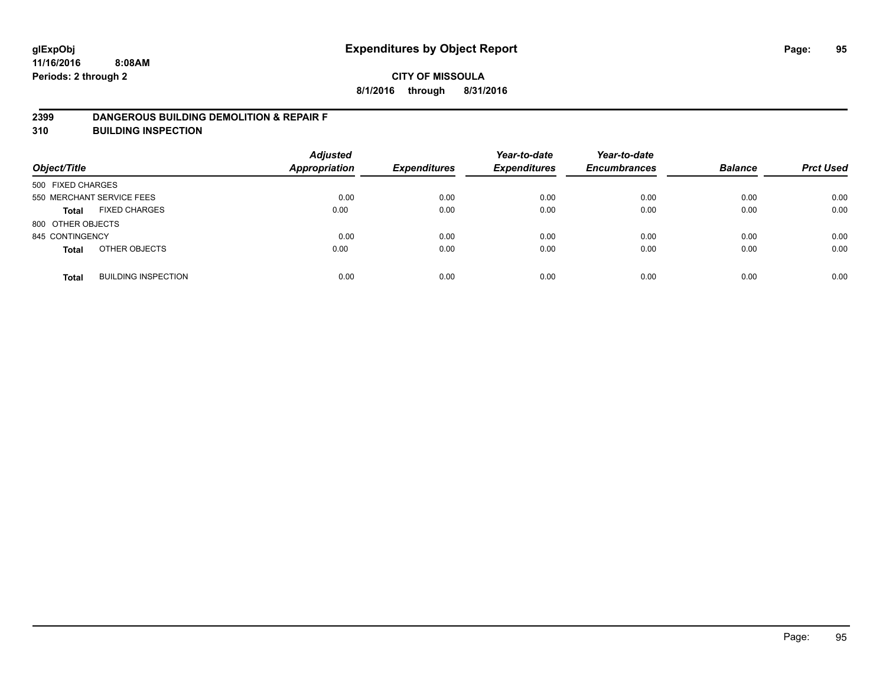### **2399 DANGEROUS BUILDING DEMOLITION & REPAIR F**

**310 BUILDING INSPECTION**

| Object/Title      |                            | <b>Adjusted</b><br><b>Appropriation</b> | <b>Expenditures</b> | Year-to-date<br><b>Expenditures</b> | Year-to-date<br><b>Encumbrances</b> | <b>Balance</b> | <b>Prct Used</b> |
|-------------------|----------------------------|-----------------------------------------|---------------------|-------------------------------------|-------------------------------------|----------------|------------------|
| 500 FIXED CHARGES |                            |                                         |                     |                                     |                                     |                |                  |
|                   | 550 MERCHANT SERVICE FEES  | 0.00                                    | 0.00                | 0.00                                | 0.00                                | 0.00           | 0.00             |
| <b>Total</b>      | <b>FIXED CHARGES</b>       | 0.00                                    | 0.00                | 0.00                                | 0.00                                | 0.00           | 0.00             |
| 800 OTHER OBJECTS |                            |                                         |                     |                                     |                                     |                |                  |
| 845 CONTINGENCY   |                            | 0.00                                    | 0.00                | 0.00                                | 0.00                                | 0.00           | 0.00             |
| <b>Total</b>      | OTHER OBJECTS              | 0.00                                    | 0.00                | 0.00                                | 0.00                                | 0.00           | 0.00             |
| <b>Total</b>      | <b>BUILDING INSPECTION</b> | 0.00                                    | 0.00                | 0.00                                | 0.00                                | 0.00           | 0.00             |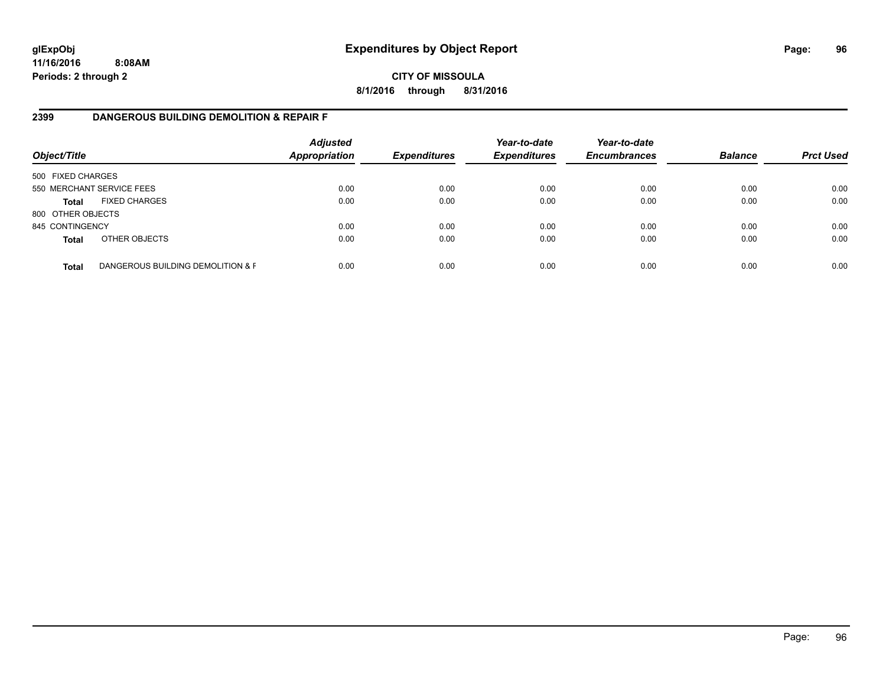**CITY OF MISSOULA 8/1/2016 through 8/31/2016**

### **2399 DANGEROUS BUILDING DEMOLITION & REPAIR F**

| Object/Title      |                                   | <b>Adjusted</b><br><b>Appropriation</b> | <b>Expenditures</b> | Year-to-date<br><b>Expenditures</b> | Year-to-date<br><b>Encumbrances</b> | <b>Balance</b> | <b>Prct Used</b> |
|-------------------|-----------------------------------|-----------------------------------------|---------------------|-------------------------------------|-------------------------------------|----------------|------------------|
| 500 FIXED CHARGES |                                   |                                         |                     |                                     |                                     |                |                  |
|                   | 550 MERCHANT SERVICE FEES         | 0.00                                    | 0.00                | 0.00                                | 0.00                                | 0.00           | 0.00             |
| <b>Total</b>      | <b>FIXED CHARGES</b>              | 0.00                                    | 0.00                | 0.00                                | 0.00                                | 0.00           | 0.00             |
| 800 OTHER OBJECTS |                                   |                                         |                     |                                     |                                     |                |                  |
| 845 CONTINGENCY   |                                   | 0.00                                    | 0.00                | 0.00                                | 0.00                                | 0.00           | 0.00             |
| <b>Total</b>      | OTHER OBJECTS                     | 0.00                                    | 0.00                | 0.00                                | 0.00                                | 0.00           | 0.00             |
| <b>Total</b>      | DANGEROUS BUILDING DEMOLITION & F | 0.00                                    | 0.00                | 0.00                                | 0.00                                | 0.00           | 0.00             |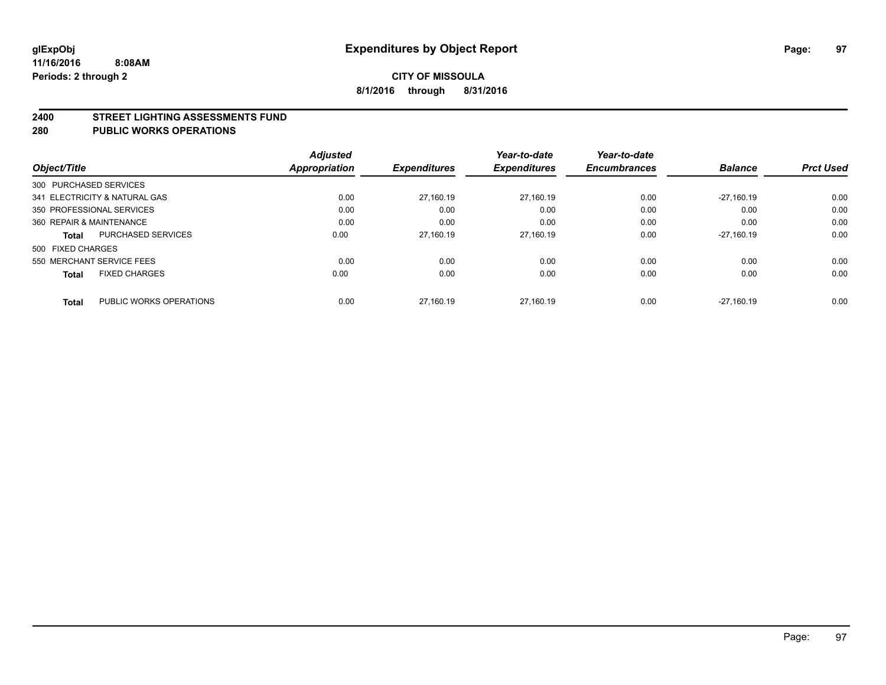#### **2400 STREET LIGHTING ASSESSMENTS FUND**

#### **280 PUBLIC WORKS OPERATIONS**

| Object/Title                         |                           | <b>Adjusted</b><br>Appropriation | <b>Expenditures</b> | Year-to-date<br><b>Expenditures</b> | Year-to-date<br><b>Encumbrances</b> | <b>Balance</b> | <b>Prct Used</b> |
|--------------------------------------|---------------------------|----------------------------------|---------------------|-------------------------------------|-------------------------------------|----------------|------------------|
| 300 PURCHASED SERVICES               |                           |                                  |                     |                                     |                                     |                |                  |
| 341 ELECTRICITY & NATURAL GAS        |                           | 0.00                             | 27.160.19           | 27.160.19                           | 0.00                                | $-27.160.19$   | 0.00             |
| 350 PROFESSIONAL SERVICES            |                           | 0.00                             | 0.00                | 0.00                                | 0.00                                | 0.00           | 0.00             |
| 360 REPAIR & MAINTENANCE             |                           | 0.00                             | 0.00                | 0.00                                | 0.00                                | 0.00           | 0.00             |
| <b>Total</b>                         | <b>PURCHASED SERVICES</b> | 0.00                             | 27,160.19           | 27.160.19                           | 0.00                                | $-27.160.19$   | 0.00             |
| 500 FIXED CHARGES                    |                           |                                  |                     |                                     |                                     |                |                  |
| 550 MERCHANT SERVICE FEES            |                           | 0.00                             | 0.00                | 0.00                                | 0.00                                | 0.00           | 0.00             |
| <b>FIXED CHARGES</b><br><b>Total</b> |                           | 0.00                             | 0.00                | 0.00                                | 0.00                                | 0.00           | 0.00             |
| <b>Total</b>                         | PUBLIC WORKS OPERATIONS   | 0.00                             | 27.160.19           | 27.160.19                           | 0.00                                | $-27.160.19$   | 0.00             |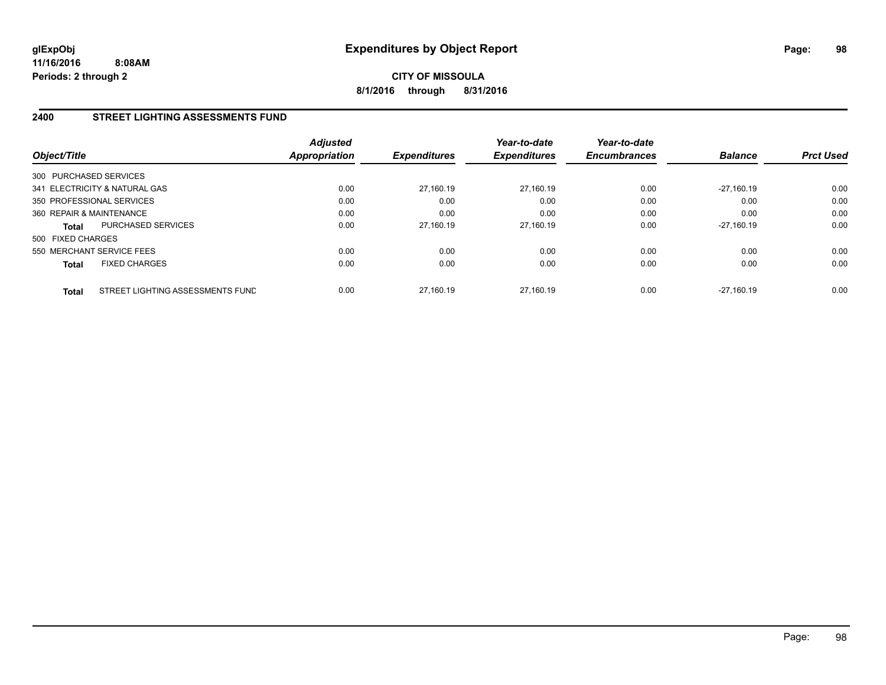**CITY OF MISSOULA 8/1/2016 through 8/31/2016**

### **2400 STREET LIGHTING ASSESSMENTS FUND**

| Object/Title             |                                  | <b>Adjusted</b><br>Appropriation | <b>Expenditures</b> | Year-to-date<br><b>Expenditures</b> | Year-to-date<br><b>Encumbrances</b> | <b>Balance</b> | <b>Prct Used</b> |
|--------------------------|----------------------------------|----------------------------------|---------------------|-------------------------------------|-------------------------------------|----------------|------------------|
| 300 PURCHASED SERVICES   |                                  |                                  |                     |                                     |                                     |                |                  |
|                          | 341 ELECTRICITY & NATURAL GAS    | 0.00                             | 27.160.19           | 27.160.19                           | 0.00                                | $-27.160.19$   | 0.00             |
|                          | 350 PROFESSIONAL SERVICES        | 0.00                             | 0.00                | 0.00                                | 0.00                                | 0.00           | 0.00             |
| 360 REPAIR & MAINTENANCE |                                  | 0.00                             | 0.00                | 0.00                                | 0.00                                | 0.00           | 0.00             |
| Total                    | PURCHASED SERVICES               | 0.00                             | 27,160.19           | 27.160.19                           | 0.00                                | $-27.160.19$   | 0.00             |
| 500 FIXED CHARGES        |                                  |                                  |                     |                                     |                                     |                |                  |
|                          | 550 MERCHANT SERVICE FEES        | 0.00                             | 0.00                | 0.00                                | 0.00                                | 0.00           | 0.00             |
| <b>Total</b>             | <b>FIXED CHARGES</b>             | 0.00                             | 0.00                | 0.00                                | 0.00                                | 0.00           | 0.00             |
| <b>Total</b>             | STREET LIGHTING ASSESSMENTS FUND | 0.00                             | 27.160.19           | 27.160.19                           | 0.00                                | $-27.160.19$   | 0.00             |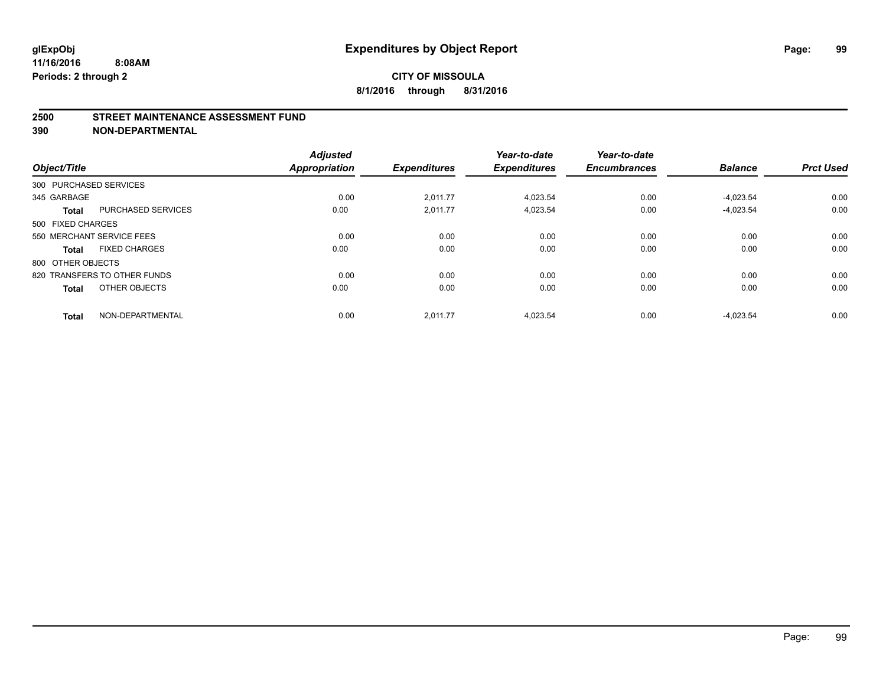#### **2500 STREET MAINTENANCE ASSESSMENT FUND**

| Object/Title           |                              | <b>Adjusted</b><br><b>Appropriation</b> | <b>Expenditures</b> | Year-to-date<br><b>Expenditures</b> | Year-to-date<br><b>Encumbrances</b> | <b>Balance</b> | <b>Prct Used</b> |
|------------------------|------------------------------|-----------------------------------------|---------------------|-------------------------------------|-------------------------------------|----------------|------------------|
| 300 PURCHASED SERVICES |                              |                                         |                     |                                     |                                     |                |                  |
| 345 GARBAGE            |                              | 0.00                                    | 2,011.77            | 4,023.54                            | 0.00                                | $-4,023.54$    | 0.00             |
| <b>Total</b>           | <b>PURCHASED SERVICES</b>    | 0.00                                    | 2,011.77            | 4,023.54                            | 0.00                                | $-4,023.54$    | 0.00             |
| 500 FIXED CHARGES      |                              |                                         |                     |                                     |                                     |                |                  |
|                        | 550 MERCHANT SERVICE FEES    | 0.00                                    | 0.00                | 0.00                                | 0.00                                | 0.00           | 0.00             |
| <b>Total</b>           | <b>FIXED CHARGES</b>         | 0.00                                    | 0.00                | 0.00                                | 0.00                                | 0.00           | 0.00             |
| 800 OTHER OBJECTS      |                              |                                         |                     |                                     |                                     |                |                  |
|                        | 820 TRANSFERS TO OTHER FUNDS | 0.00                                    | 0.00                | 0.00                                | 0.00                                | 0.00           | 0.00             |
| <b>Total</b>           | OTHER OBJECTS                | 0.00                                    | 0.00                | 0.00                                | 0.00                                | 0.00           | 0.00             |
| <b>Total</b>           | NON-DEPARTMENTAL             | 0.00                                    | 2.011.77            | 4.023.54                            | 0.00                                | $-4.023.54$    | 0.00             |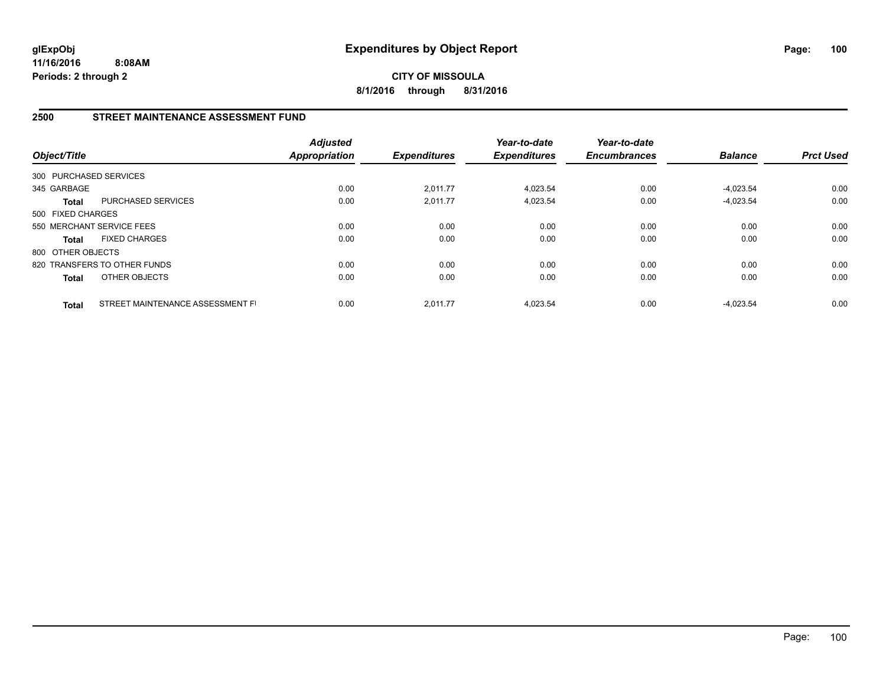**CITY OF MISSOULA 8/1/2016 through 8/31/2016**

### **2500 STREET MAINTENANCE ASSESSMENT FUND**

| Object/Title           |                                  | <b>Adjusted</b><br><b>Appropriation</b> | <b>Expenditures</b> | Year-to-date<br><b>Expenditures</b> | Year-to-date<br><b>Encumbrances</b> | <b>Balance</b> | <b>Prct Used</b> |
|------------------------|----------------------------------|-----------------------------------------|---------------------|-------------------------------------|-------------------------------------|----------------|------------------|
| 300 PURCHASED SERVICES |                                  |                                         |                     |                                     |                                     |                |                  |
| 345 GARBAGE            |                                  | 0.00                                    | 2,011.77            | 4,023.54                            | 0.00                                | $-4.023.54$    | 0.00             |
| <b>Total</b>           | <b>PURCHASED SERVICES</b>        | 0.00                                    | 2,011.77            | 4,023.54                            | 0.00                                | $-4.023.54$    | 0.00             |
| 500 FIXED CHARGES      |                                  |                                         |                     |                                     |                                     |                |                  |
|                        | 550 MERCHANT SERVICE FEES        | 0.00                                    | 0.00                | 0.00                                | 0.00                                | 0.00           | 0.00             |
| <b>Total</b>           | <b>FIXED CHARGES</b>             | 0.00                                    | 0.00                | 0.00                                | 0.00                                | 0.00           | 0.00             |
| 800 OTHER OBJECTS      |                                  |                                         |                     |                                     |                                     |                |                  |
|                        | 820 TRANSFERS TO OTHER FUNDS     | 0.00                                    | 0.00                | 0.00                                | 0.00                                | 0.00           | 0.00             |
| <b>Total</b>           | OTHER OBJECTS                    | 0.00                                    | 0.00                | 0.00                                | 0.00                                | 0.00           | 0.00             |
| <b>Total</b>           | STREET MAINTENANCE ASSESSMENT FI | 0.00                                    | 2,011.77            | 4.023.54                            | 0.00                                | $-4.023.54$    | 0.00             |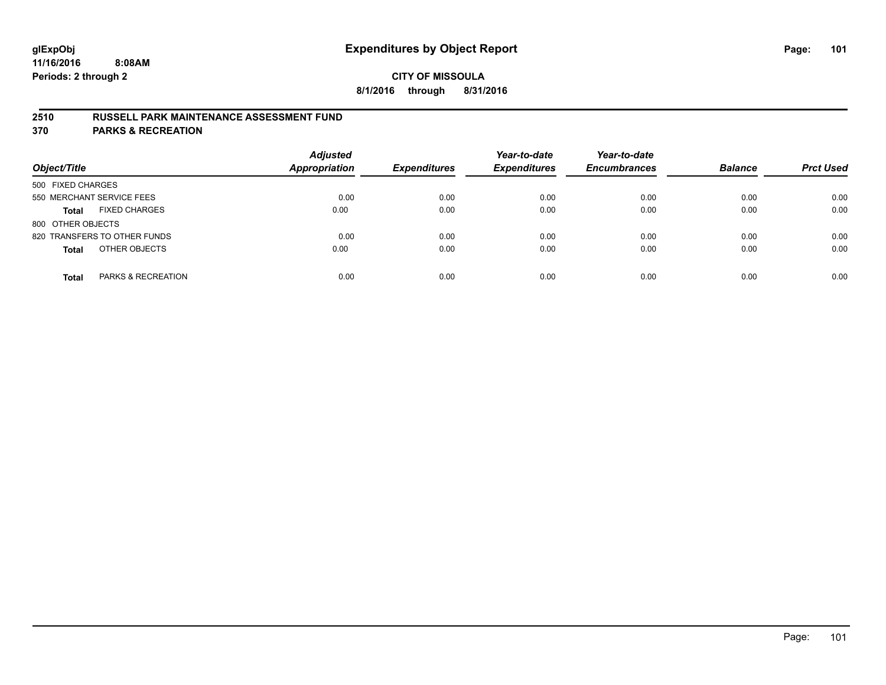### **2510 RUSSELL PARK MAINTENANCE ASSESSMENT FUND**

**370 PARKS & RECREATION**

| Object/Title                         | <b>Adjusted</b><br><b>Appropriation</b> | <b>Expenditures</b> | Year-to-date<br><b>Expenditures</b> | Year-to-date<br><b>Encumbrances</b> | <b>Balance</b> | <b>Prct Used</b> |
|--------------------------------------|-----------------------------------------|---------------------|-------------------------------------|-------------------------------------|----------------|------------------|
| 500 FIXED CHARGES                    |                                         |                     |                                     |                                     |                |                  |
| 550 MERCHANT SERVICE FEES            | 0.00                                    | 0.00                | 0.00                                | 0.00                                | 0.00           | 0.00             |
| <b>FIXED CHARGES</b><br><b>Total</b> | 0.00                                    | 0.00                | 0.00                                | 0.00                                | 0.00           | 0.00             |
| 800 OTHER OBJECTS                    |                                         |                     |                                     |                                     |                |                  |
| 820 TRANSFERS TO OTHER FUNDS         | 0.00                                    | 0.00                | 0.00                                | 0.00                                | 0.00           | 0.00             |
| OTHER OBJECTS<br><b>Total</b>        | 0.00                                    | 0.00                | 0.00                                | 0.00                                | 0.00           | 0.00             |
| PARKS & RECREATION<br><b>Total</b>   | 0.00                                    | 0.00                | 0.00                                | 0.00                                | 0.00           | 0.00             |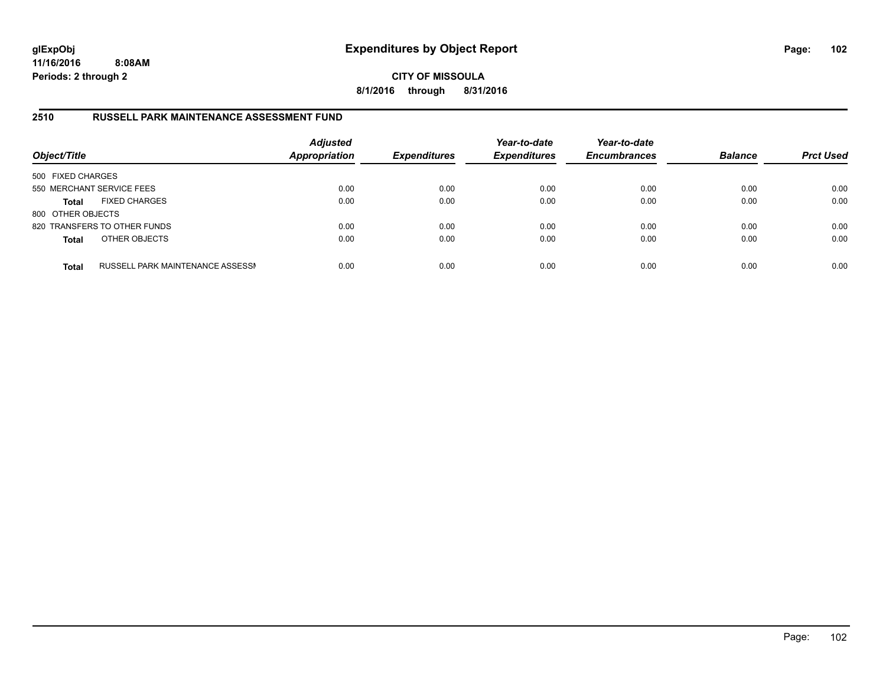**CITY OF MISSOULA 8/1/2016 through 8/31/2016**

### **2510 RUSSELL PARK MAINTENANCE ASSESSMENT FUND**

| Object/Title              |                                  | <b>Adjusted</b><br><b>Appropriation</b> | <b>Expenditures</b> | Year-to-date<br><b>Expenditures</b> | Year-to-date<br><b>Encumbrances</b> | <b>Balance</b> | <b>Prct Used</b> |
|---------------------------|----------------------------------|-----------------------------------------|---------------------|-------------------------------------|-------------------------------------|----------------|------------------|
| 500 FIXED CHARGES         |                                  |                                         |                     |                                     |                                     |                |                  |
| 550 MERCHANT SERVICE FEES |                                  | 0.00                                    | 0.00                | 0.00                                | 0.00                                | 0.00           | 0.00             |
| <b>Total</b>              | <b>FIXED CHARGES</b>             | 0.00                                    | 0.00                | 0.00                                | 0.00                                | 0.00           | 0.00             |
| 800 OTHER OBJECTS         |                                  |                                         |                     |                                     |                                     |                |                  |
|                           | 820 TRANSFERS TO OTHER FUNDS     | 0.00                                    | 0.00                | 0.00                                | 0.00                                | 0.00           | 0.00             |
| <b>Total</b>              | OTHER OBJECTS                    | 0.00                                    | 0.00                | 0.00                                | 0.00                                | 0.00           | 0.00             |
| <b>Total</b>              | RUSSELL PARK MAINTENANCE ASSESSN | 0.00                                    | 0.00                | 0.00                                | 0.00                                | 0.00           | 0.00             |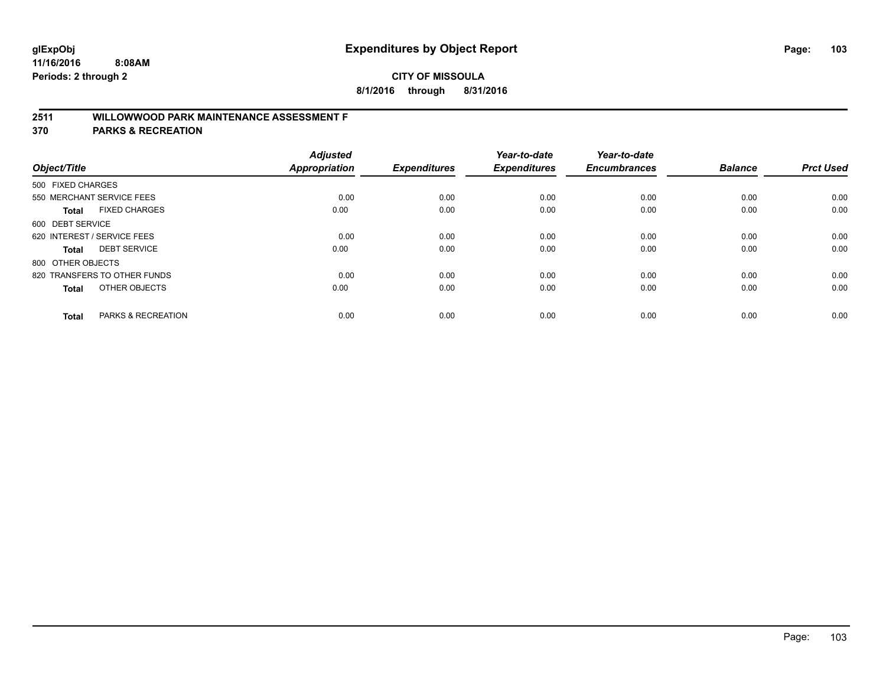# **2511 WILLOWWOOD PARK MAINTENANCE ASSESSMENT F**

**370 PARKS & RECREATION**

| Object/Title                |                               | <b>Adjusted</b><br><b>Appropriation</b> | <b>Expenditures</b> | Year-to-date<br><b>Expenditures</b> | Year-to-date<br><b>Encumbrances</b> | <b>Balance</b> | <b>Prct Used</b> |
|-----------------------------|-------------------------------|-----------------------------------------|---------------------|-------------------------------------|-------------------------------------|----------------|------------------|
| 500 FIXED CHARGES           |                               |                                         |                     |                                     |                                     |                |                  |
|                             | 550 MERCHANT SERVICE FEES     | 0.00                                    | 0.00                | 0.00                                | 0.00                                | 0.00           | 0.00             |
| <b>Total</b>                | <b>FIXED CHARGES</b>          | 0.00                                    | 0.00                | 0.00                                | 0.00                                | 0.00           | 0.00             |
| 600 DEBT SERVICE            |                               |                                         |                     |                                     |                                     |                |                  |
| 620 INTEREST / SERVICE FEES |                               | 0.00                                    | 0.00                | 0.00                                | 0.00                                | 0.00           | 0.00             |
| Total                       | <b>DEBT SERVICE</b>           | 0.00                                    | 0.00                | 0.00                                | 0.00                                | 0.00           | 0.00             |
| 800 OTHER OBJECTS           |                               |                                         |                     |                                     |                                     |                |                  |
|                             | 820 TRANSFERS TO OTHER FUNDS  | 0.00                                    | 0.00                | 0.00                                | 0.00                                | 0.00           | 0.00             |
| Total                       | OTHER OBJECTS                 | 0.00                                    | 0.00                | 0.00                                | 0.00                                | 0.00           | 0.00             |
|                             |                               |                                         |                     |                                     |                                     |                |                  |
| <b>Total</b>                | <b>PARKS &amp; RECREATION</b> | 0.00                                    | 0.00                | 0.00                                | 0.00                                | 0.00           | 0.00             |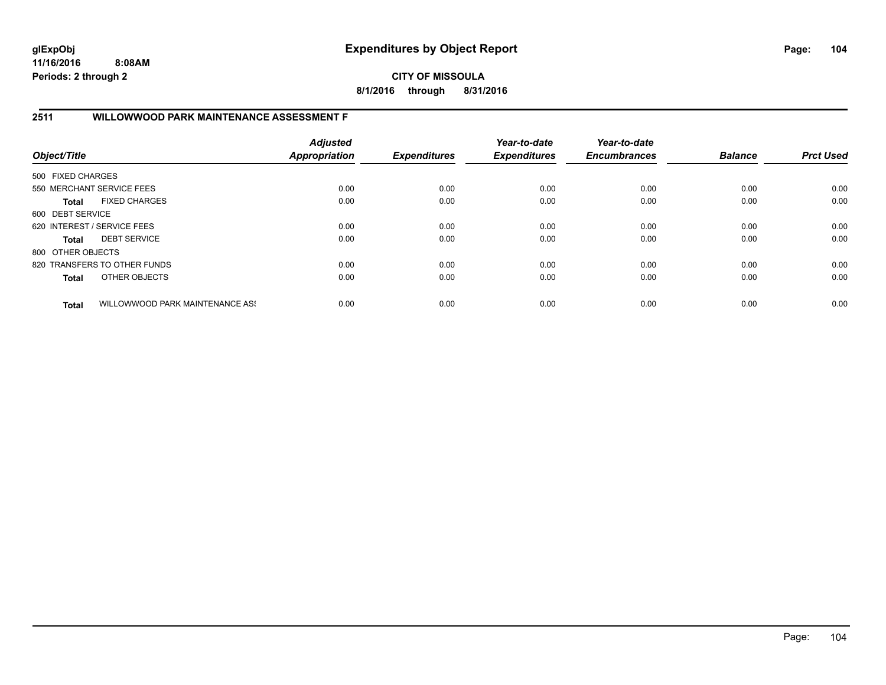**CITY OF MISSOULA 8/1/2016 through 8/31/2016**

### **2511 WILLOWWOOD PARK MAINTENANCE ASSESSMENT F**

| Object/Title      |                                 | <b>Adjusted</b><br>Appropriation | <b>Expenditures</b> | Year-to-date<br><b>Expenditures</b> | Year-to-date<br><b>Encumbrances</b> | <b>Balance</b> | <b>Prct Used</b> |
|-------------------|---------------------------------|----------------------------------|---------------------|-------------------------------------|-------------------------------------|----------------|------------------|
| 500 FIXED CHARGES |                                 |                                  |                     |                                     |                                     |                |                  |
|                   | 550 MERCHANT SERVICE FEES       | 0.00                             | 0.00                | 0.00                                | 0.00                                | 0.00           | 0.00             |
| <b>Total</b>      | <b>FIXED CHARGES</b>            | 0.00                             | 0.00                | 0.00                                | 0.00                                | 0.00           | 0.00             |
| 600 DEBT SERVICE  |                                 |                                  |                     |                                     |                                     |                |                  |
|                   | 620 INTEREST / SERVICE FEES     | 0.00                             | 0.00                | 0.00                                | 0.00                                | 0.00           | 0.00             |
| <b>Total</b>      | <b>DEBT SERVICE</b>             | 0.00                             | 0.00                | 0.00                                | 0.00                                | 0.00           | 0.00             |
| 800 OTHER OBJECTS |                                 |                                  |                     |                                     |                                     |                |                  |
|                   | 820 TRANSFERS TO OTHER FUNDS    | 0.00                             | 0.00                | 0.00                                | 0.00                                | 0.00           | 0.00             |
| <b>Total</b>      | OTHER OBJECTS                   | 0.00                             | 0.00                | 0.00                                | 0.00                                | 0.00           | 0.00             |
| <b>Total</b>      | WILLOWWOOD PARK MAINTENANCE ASS | 0.00                             | 0.00                | 0.00                                | 0.00                                | 0.00           | 0.00             |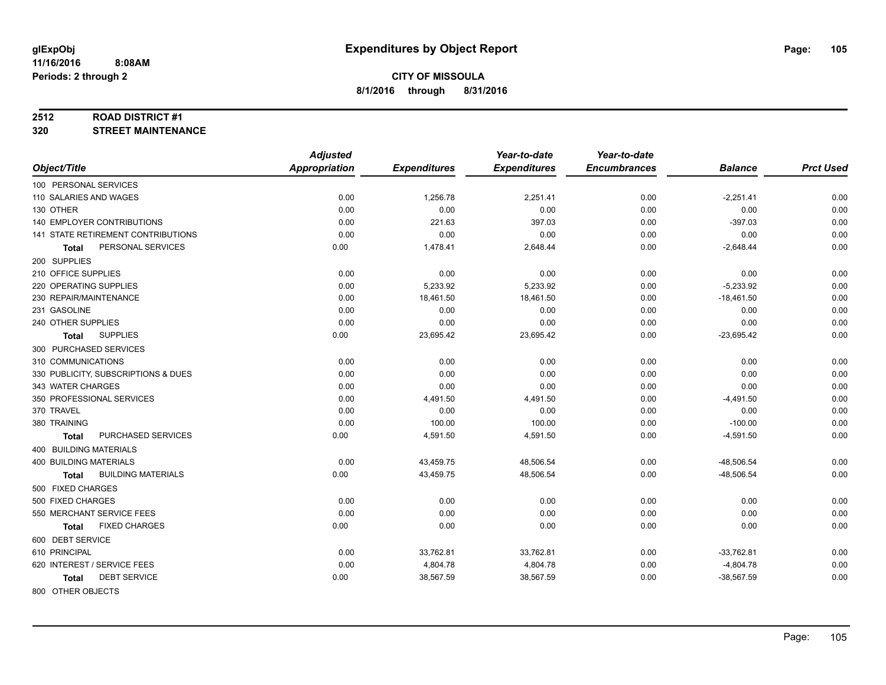#### **2512 ROAD DISTRICT #1**

**320 STREET MAINTENANCE**

|                                      | <b>Adjusted</b>      |                     | Year-to-date        | Year-to-date        |                |                  |
|--------------------------------------|----------------------|---------------------|---------------------|---------------------|----------------|------------------|
| Object/Title                         | <b>Appropriation</b> | <b>Expenditures</b> | <b>Expenditures</b> | <b>Encumbrances</b> | <b>Balance</b> | <b>Prct Used</b> |
| 100 PERSONAL SERVICES                |                      |                     |                     |                     |                |                  |
| 110 SALARIES AND WAGES               | 0.00                 | 1,256.78            | 2,251.41            | 0.00                | $-2,251.41$    | 0.00             |
| 130 OTHER                            | 0.00                 | 0.00                | 0.00                | 0.00                | 0.00           | 0.00             |
| <b>140 EMPLOYER CONTRIBUTIONS</b>    | 0.00                 | 221.63              | 397.03              | 0.00                | $-397.03$      | 0.00             |
| 141 STATE RETIREMENT CONTRIBUTIONS   | 0.00                 | 0.00                | 0.00                | 0.00                | 0.00           | 0.00             |
| PERSONAL SERVICES<br><b>Total</b>    | 0.00                 | 1,478.41            | 2,648.44            | 0.00                | $-2,648.44$    | 0.00             |
| 200 SUPPLIES                         |                      |                     |                     |                     |                |                  |
| 210 OFFICE SUPPLIES                  | 0.00                 | 0.00                | 0.00                | 0.00                | 0.00           | 0.00             |
| 220 OPERATING SUPPLIES               | 0.00                 | 5,233.92            | 5,233.92            | 0.00                | $-5,233.92$    | 0.00             |
| 230 REPAIR/MAINTENANCE               | 0.00                 | 18,461.50           | 18,461.50           | 0.00                | $-18,461.50$   | 0.00             |
| 231 GASOLINE                         | 0.00                 | 0.00                | 0.00                | 0.00                | 0.00           | 0.00             |
| 240 OTHER SUPPLIES                   | 0.00                 | 0.00                | 0.00                | 0.00                | 0.00           | 0.00             |
| <b>SUPPLIES</b><br>Total             | 0.00                 | 23,695.42           | 23,695.42           | 0.00                | $-23,695.42$   | 0.00             |
| 300 PURCHASED SERVICES               |                      |                     |                     |                     |                |                  |
| 310 COMMUNICATIONS                   | 0.00                 | 0.00                | 0.00                | 0.00                | 0.00           | 0.00             |
| 330 PUBLICITY, SUBSCRIPTIONS & DUES  | 0.00                 | 0.00                | 0.00                | 0.00                | 0.00           | 0.00             |
| 343 WATER CHARGES                    | 0.00                 | 0.00                | 0.00                | 0.00                | 0.00           | 0.00             |
| 350 PROFESSIONAL SERVICES            | 0.00                 | 4,491.50            | 4,491.50            | 0.00                | $-4,491.50$    | 0.00             |
| 370 TRAVEL                           | 0.00                 | 0.00                | 0.00                | 0.00                | 0.00           | 0.00             |
| 380 TRAINING                         | 0.00                 | 100.00              | 100.00              | 0.00                | $-100.00$      | 0.00             |
| PURCHASED SERVICES<br><b>Total</b>   | 0.00                 | 4,591.50            | 4,591.50            | 0.00                | $-4,591.50$    | 0.00             |
| 400 BUILDING MATERIALS               |                      |                     |                     |                     |                |                  |
| <b>400 BUILDING MATERIALS</b>        | 0.00                 | 43,459.75           | 48,506.54           | 0.00                | $-48,506.54$   | 0.00             |
| <b>BUILDING MATERIALS</b><br>Total   | 0.00                 | 43,459.75           | 48,506.54           | 0.00                | $-48,506.54$   | 0.00             |
| 500 FIXED CHARGES                    |                      |                     |                     |                     |                |                  |
| 500 FIXED CHARGES                    | 0.00                 | 0.00                | 0.00                | 0.00                | 0.00           | 0.00             |
| 550 MERCHANT SERVICE FEES            | 0.00                 | 0.00                | 0.00                | 0.00                | 0.00           | 0.00             |
| <b>FIXED CHARGES</b><br><b>Total</b> | 0.00                 | 0.00                | 0.00                | 0.00                | 0.00           | 0.00             |
| 600 DEBT SERVICE                     |                      |                     |                     |                     |                |                  |
| 610 PRINCIPAL                        | 0.00                 | 33,762.81           | 33,762.81           | 0.00                | $-33,762.81$   | 0.00             |
| 620 INTEREST / SERVICE FEES          | 0.00                 | 4,804.78            | 4,804.78            | 0.00                | $-4,804.78$    | 0.00             |
| <b>DEBT SERVICE</b><br><b>Total</b>  | 0.00                 | 38,567.59           | 38,567.59           | 0.00                | $-38,567.59$   | 0.00             |
|                                      |                      |                     |                     |                     |                |                  |

800 OTHER OBJECTS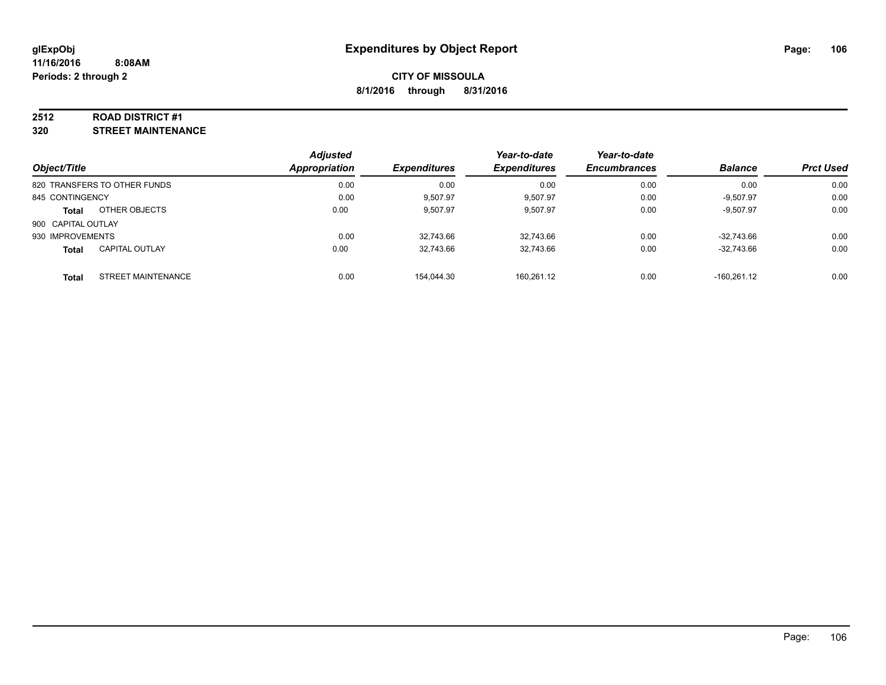#### **2512 ROAD DISTRICT #1**

**320 STREET MAINTENANCE**

| Object/Title                              | <b>Adjusted</b><br><b>Appropriation</b> | <b>Expenditures</b> | Year-to-date<br><b>Expenditures</b> | Year-to-date<br><b>Encumbrances</b> | <b>Balance</b> | <b>Prct Used</b> |
|-------------------------------------------|-----------------------------------------|---------------------|-------------------------------------|-------------------------------------|----------------|------------------|
| 820 TRANSFERS TO OTHER FUNDS              | 0.00                                    | 0.00                | 0.00                                | 0.00                                | 0.00           | 0.00             |
| 845 CONTINGENCY                           | 0.00                                    | 9,507.97            | 9,507.97                            | 0.00                                | $-9,507.97$    | 0.00             |
| OTHER OBJECTS<br><b>Total</b>             | 0.00                                    | 9,507.97            | 9,507.97                            | 0.00                                | $-9,507.97$    | 0.00             |
| 900 CAPITAL OUTLAY                        |                                         |                     |                                     |                                     |                |                  |
| 930 IMPROVEMENTS                          | 0.00                                    | 32,743.66           | 32.743.66                           | 0.00                                | $-32.743.66$   | 0.00             |
| <b>CAPITAL OUTLAY</b><br>Total            | 0.00                                    | 32,743.66           | 32,743.66                           | 0.00                                | $-32.743.66$   | 0.00             |
| <b>STREET MAINTENANCE</b><br><b>Total</b> | 0.00                                    | 154.044.30          | 160.261.12                          | 0.00                                | $-160.261.12$  | 0.00             |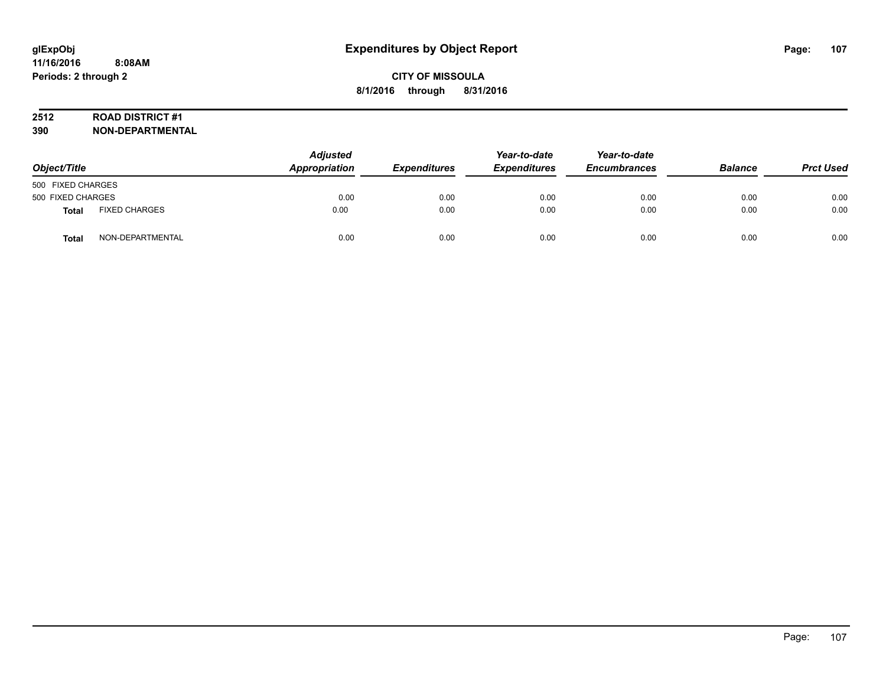# **2512 ROAD DISTRICT #1**

| Object/Title      |                      | <b>Adjusted</b><br>Appropriation | <b>Expenditures</b> | Year-to-date<br><b>Expenditures</b> | Year-to-date<br><b>Encumbrances</b> | <b>Balance</b> | <b>Prct Used</b> |
|-------------------|----------------------|----------------------------------|---------------------|-------------------------------------|-------------------------------------|----------------|------------------|
| 500 FIXED CHARGES |                      |                                  |                     |                                     |                                     |                |                  |
| 500 FIXED CHARGES |                      | 0.00                             | 0.00                | 0.00                                | 0.00                                | 0.00           | 0.00             |
| <b>Total</b>      | <b>FIXED CHARGES</b> | 0.00                             | 0.00                | 0.00                                | 0.00                                | 0.00           | 0.00             |
| Total             | NON-DEPARTMENTAL     | 0.00                             | 0.00                | 0.00                                | 0.00                                | 0.00           | 0.00             |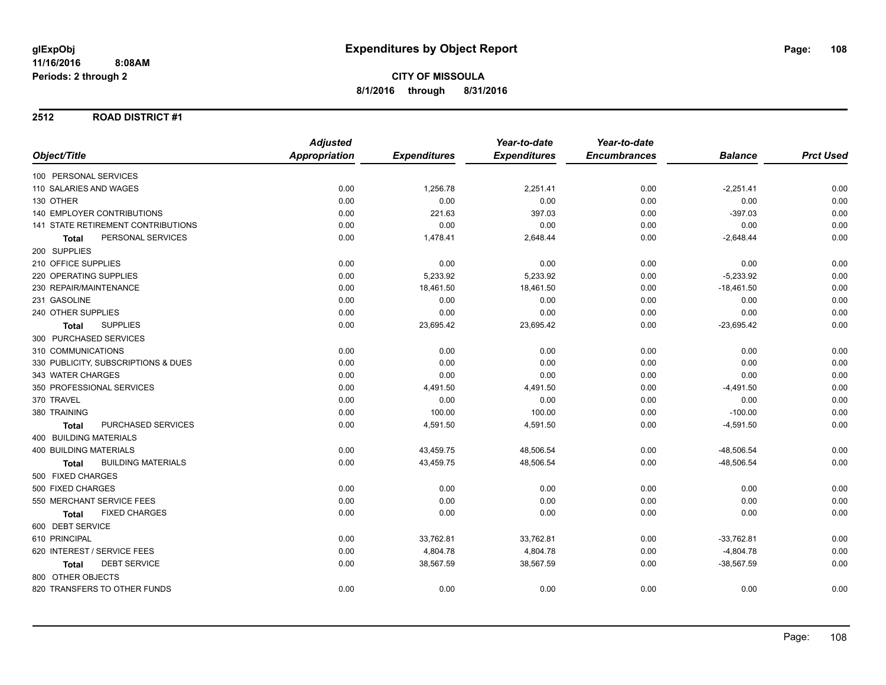#### **2512 ROAD DISTRICT #1**

|                                           | <b>Adjusted</b>      |                     | Year-to-date        | Year-to-date        |                |                  |
|-------------------------------------------|----------------------|---------------------|---------------------|---------------------|----------------|------------------|
| Object/Title                              | <b>Appropriation</b> | <b>Expenditures</b> | <b>Expenditures</b> | <b>Encumbrances</b> | <b>Balance</b> | <b>Prct Used</b> |
| 100 PERSONAL SERVICES                     |                      |                     |                     |                     |                |                  |
| 110 SALARIES AND WAGES                    | 0.00                 | 1,256.78            | 2,251.41            | 0.00                | $-2,251.41$    | 0.00             |
| 130 OTHER                                 | 0.00                 | 0.00                | 0.00                | 0.00                | 0.00           | 0.00             |
| <b>140 EMPLOYER CONTRIBUTIONS</b>         | 0.00                 | 221.63              | 397.03              | 0.00                | $-397.03$      | 0.00             |
| 141 STATE RETIREMENT CONTRIBUTIONS        | 0.00                 | 0.00                | 0.00                | 0.00                | 0.00           | 0.00             |
| PERSONAL SERVICES<br><b>Total</b>         | 0.00                 | 1,478.41            | 2,648.44            | 0.00                | $-2,648.44$    | 0.00             |
| 200 SUPPLIES                              |                      |                     |                     |                     |                |                  |
| 210 OFFICE SUPPLIES                       | 0.00                 | 0.00                | 0.00                | 0.00                | 0.00           | 0.00             |
| 220 OPERATING SUPPLIES                    | 0.00                 | 5,233.92            | 5,233.92            | 0.00                | $-5,233.92$    | 0.00             |
| 230 REPAIR/MAINTENANCE                    | 0.00                 | 18,461.50           | 18,461.50           | 0.00                | $-18,461.50$   | 0.00             |
| 231 GASOLINE                              | 0.00                 | 0.00                | 0.00                | 0.00                | 0.00           | 0.00             |
| 240 OTHER SUPPLIES                        | 0.00                 | 0.00                | 0.00                | 0.00                | 0.00           | 0.00             |
| <b>SUPPLIES</b><br><b>Total</b>           | 0.00                 | 23,695.42           | 23,695.42           | 0.00                | $-23,695.42$   | 0.00             |
| 300 PURCHASED SERVICES                    |                      |                     |                     |                     |                |                  |
| 310 COMMUNICATIONS                        | 0.00                 | 0.00                | 0.00                | 0.00                | 0.00           | 0.00             |
| 330 PUBLICITY, SUBSCRIPTIONS & DUES       | 0.00                 | 0.00                | 0.00                | 0.00                | 0.00           | 0.00             |
| 343 WATER CHARGES                         | 0.00                 | 0.00                | 0.00                | 0.00                | 0.00           | 0.00             |
| 350 PROFESSIONAL SERVICES                 | 0.00                 | 4,491.50            | 4,491.50            | 0.00                | $-4,491.50$    | 0.00             |
| 370 TRAVEL                                | 0.00                 | 0.00                | 0.00                | 0.00                | 0.00           | 0.00             |
| 380 TRAINING                              | 0.00                 | 100.00              | 100.00              | 0.00                | $-100.00$      | 0.00             |
| PURCHASED SERVICES<br><b>Total</b>        | 0.00                 | 4,591.50            | 4,591.50            | 0.00                | $-4,591.50$    | 0.00             |
| 400 BUILDING MATERIALS                    |                      |                     |                     |                     |                |                  |
| <b>400 BUILDING MATERIALS</b>             | 0.00                 | 43,459.75           | 48,506.54           | 0.00                | $-48,506.54$   | 0.00             |
| <b>BUILDING MATERIALS</b><br><b>Total</b> | 0.00                 | 43,459.75           | 48,506.54           | 0.00                | $-48,506.54$   | 0.00             |
| 500 FIXED CHARGES                         |                      |                     |                     |                     |                |                  |
| 500 FIXED CHARGES                         | 0.00                 | 0.00                | 0.00                | 0.00                | 0.00           | 0.00             |
| 550 MERCHANT SERVICE FEES                 | 0.00                 | 0.00                | 0.00                | 0.00                | 0.00           | 0.00             |
| <b>FIXED CHARGES</b><br><b>Total</b>      | 0.00                 | 0.00                | 0.00                | 0.00                | 0.00           | 0.00             |
| 600 DEBT SERVICE                          |                      |                     |                     |                     |                |                  |
| 610 PRINCIPAL                             | 0.00                 | 33,762.81           | 33,762.81           | 0.00                | $-33,762.81$   | 0.00             |
| 620 INTEREST / SERVICE FEES               | 0.00                 | 4,804.78            | 4,804.78            | 0.00                | $-4,804.78$    | 0.00             |
| <b>DEBT SERVICE</b><br><b>Total</b>       | 0.00                 | 38,567.59           | 38,567.59           | 0.00                | $-38,567.59$   | 0.00             |
| 800 OTHER OBJECTS                         |                      |                     |                     |                     |                |                  |
| 820 TRANSFERS TO OTHER FUNDS              | 0.00                 | 0.00                | 0.00                | 0.00                | 0.00           | 0.00             |
|                                           |                      |                     |                     |                     |                |                  |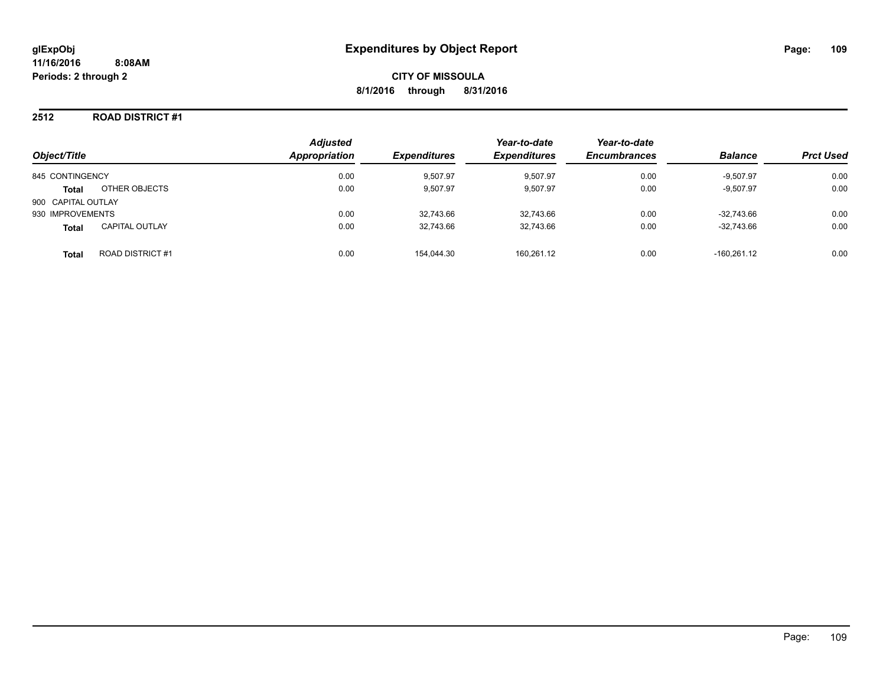### **2512 ROAD DISTRICT #1**

| Object/Title       |                        | <b>Adjusted</b><br>Appropriation | <b>Expenditures</b> | Year-to-date<br><b>Expenditures</b> | Year-to-date<br><b>Encumbrances</b> | <b>Balance</b> | <b>Prct Used</b> |
|--------------------|------------------------|----------------------------------|---------------------|-------------------------------------|-------------------------------------|----------------|------------------|
| 845 CONTINGENCY    |                        | 0.00                             | 9,507.97            | 9,507.97                            | 0.00                                | $-9,507.97$    | 0.00             |
| <b>Total</b>       | OTHER OBJECTS          | 0.00                             | 9.507.97            | 9,507.97                            | 0.00                                | $-9,507.97$    | 0.00             |
| 900 CAPITAL OUTLAY |                        |                                  |                     |                                     |                                     |                |                  |
| 930 IMPROVEMENTS   |                        | 0.00                             | 32,743.66           | 32.743.66                           | 0.00                                | $-32.743.66$   | 0.00             |
| <b>Total</b>       | <b>CAPITAL OUTLAY</b>  | 0.00                             | 32.743.66           | 32.743.66                           | 0.00                                | $-32.743.66$   | 0.00             |
| <b>Total</b>       | <b>ROAD DISTRICT#1</b> | 0.00                             | 154.044.30          | 160,261.12                          | 0.00                                | $-160.261.12$  | 0.00             |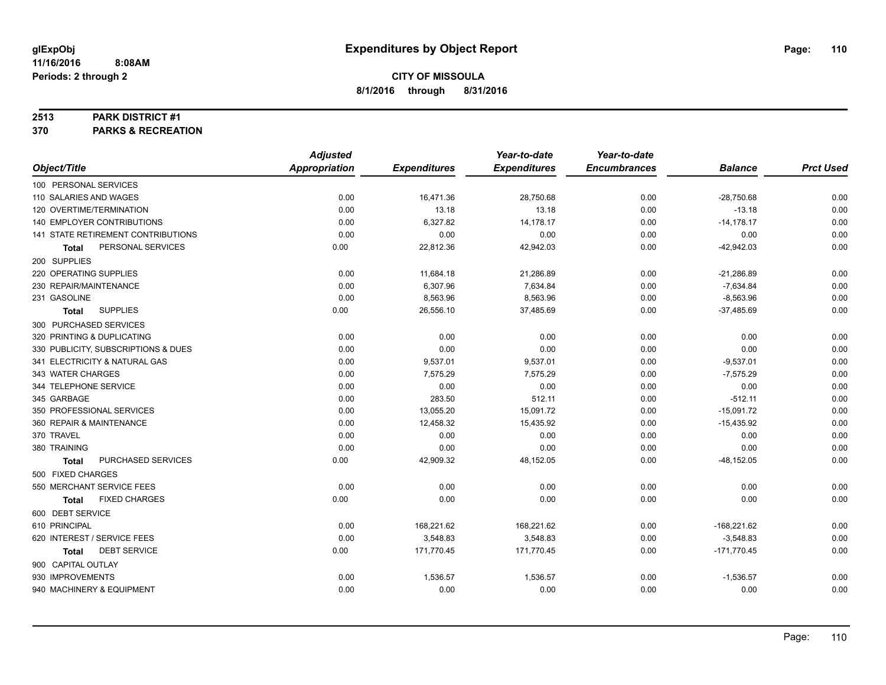#### **2513 PARK DISTRICT #1**

**370 PARKS & RECREATION**

|                                     | <b>Adjusted</b>      |                     | Year-to-date        | Year-to-date        |                |                  |
|-------------------------------------|----------------------|---------------------|---------------------|---------------------|----------------|------------------|
| Object/Title                        | <b>Appropriation</b> | <b>Expenditures</b> | <b>Expenditures</b> | <b>Encumbrances</b> | <b>Balance</b> | <b>Prct Used</b> |
| 100 PERSONAL SERVICES               |                      |                     |                     |                     |                |                  |
| 110 SALARIES AND WAGES              | 0.00                 | 16,471.36           | 28,750.68           | 0.00                | $-28,750.68$   | 0.00             |
| 120 OVERTIME/TERMINATION            | 0.00                 | 13.18               | 13.18               | 0.00                | $-13.18$       | 0.00             |
| 140 EMPLOYER CONTRIBUTIONS          | 0.00                 | 6,327.82            | 14,178.17           | 0.00                | $-14,178.17$   | 0.00             |
| 141 STATE RETIREMENT CONTRIBUTIONS  | 0.00                 | 0.00                | 0.00                | 0.00                | 0.00           | 0.00             |
| PERSONAL SERVICES<br><b>Total</b>   | 0.00                 | 22,812.36           | 42,942.03           | 0.00                | $-42,942.03$   | 0.00             |
| 200 SUPPLIES                        |                      |                     |                     |                     |                |                  |
| 220 OPERATING SUPPLIES              | 0.00                 | 11,684.18           | 21,286.89           | 0.00                | $-21,286.89$   | 0.00             |
| 230 REPAIR/MAINTENANCE              | 0.00                 | 6,307.96            | 7,634.84            | 0.00                | $-7,634.84$    | 0.00             |
| 231 GASOLINE                        | 0.00                 | 8,563.96            | 8,563.96            | 0.00                | $-8,563.96$    | 0.00             |
| <b>SUPPLIES</b><br><b>Total</b>     | 0.00                 | 26,556.10           | 37,485.69           | 0.00                | $-37,485.69$   | 0.00             |
| 300 PURCHASED SERVICES              |                      |                     |                     |                     |                |                  |
| 320 PRINTING & DUPLICATING          | 0.00                 | 0.00                | 0.00                | 0.00                | 0.00           | 0.00             |
| 330 PUBLICITY, SUBSCRIPTIONS & DUES | 0.00                 | 0.00                | 0.00                | 0.00                | 0.00           | 0.00             |
| 341 ELECTRICITY & NATURAL GAS       | 0.00                 | 9,537.01            | 9,537.01            | 0.00                | $-9,537.01$    | 0.00             |
| 343 WATER CHARGES                   | 0.00                 | 7.575.29            | 7,575.29            | 0.00                | $-7,575.29$    | 0.00             |
| 344 TELEPHONE SERVICE               | 0.00                 | 0.00                | 0.00                | 0.00                | 0.00           | 0.00             |
| 345 GARBAGE                         | 0.00                 | 283.50              | 512.11              | 0.00                | $-512.11$      | 0.00             |
| 350 PROFESSIONAL SERVICES           | 0.00                 | 13,055.20           | 15,091.72           | 0.00                | $-15,091.72$   | 0.00             |
| 360 REPAIR & MAINTENANCE            | 0.00                 | 12,458.32           | 15,435.92           | 0.00                | $-15,435.92$   | 0.00             |
| 370 TRAVEL                          | 0.00                 | 0.00                | 0.00                | 0.00                | 0.00           | 0.00             |
| 380 TRAINING                        | 0.00                 | 0.00                | 0.00                | 0.00                | 0.00           | 0.00             |
| PURCHASED SERVICES<br><b>Total</b>  | 0.00                 | 42,909.32           | 48,152.05           | 0.00                | $-48, 152.05$  | 0.00             |
| 500 FIXED CHARGES                   |                      |                     |                     |                     |                |                  |
| 550 MERCHANT SERVICE FEES           | 0.00                 | 0.00                | 0.00                | 0.00                | 0.00           | 0.00             |
| <b>FIXED CHARGES</b><br>Total       | 0.00                 | 0.00                | 0.00                | 0.00                | 0.00           | 0.00             |
| 600 DEBT SERVICE                    |                      |                     |                     |                     |                |                  |
| 610 PRINCIPAL                       | 0.00                 | 168,221.62          | 168,221.62          | 0.00                | $-168,221.62$  | 0.00             |
| 620 INTEREST / SERVICE FEES         | 0.00                 | 3,548.83            | 3,548.83            | 0.00                | $-3,548.83$    | 0.00             |
| <b>DEBT SERVICE</b><br><b>Total</b> | 0.00                 | 171,770.45          | 171,770.45          | 0.00                | $-171,770.45$  | 0.00             |
| 900 CAPITAL OUTLAY                  |                      |                     |                     |                     |                |                  |
| 930 IMPROVEMENTS                    | 0.00                 | 1,536.57            | 1,536.57            | 0.00                | $-1,536.57$    | 0.00             |
| 940 MACHINERY & EQUIPMENT           | 0.00                 | 0.00                | 0.00                | 0.00                | 0.00           | 0.00             |
|                                     |                      |                     |                     |                     |                |                  |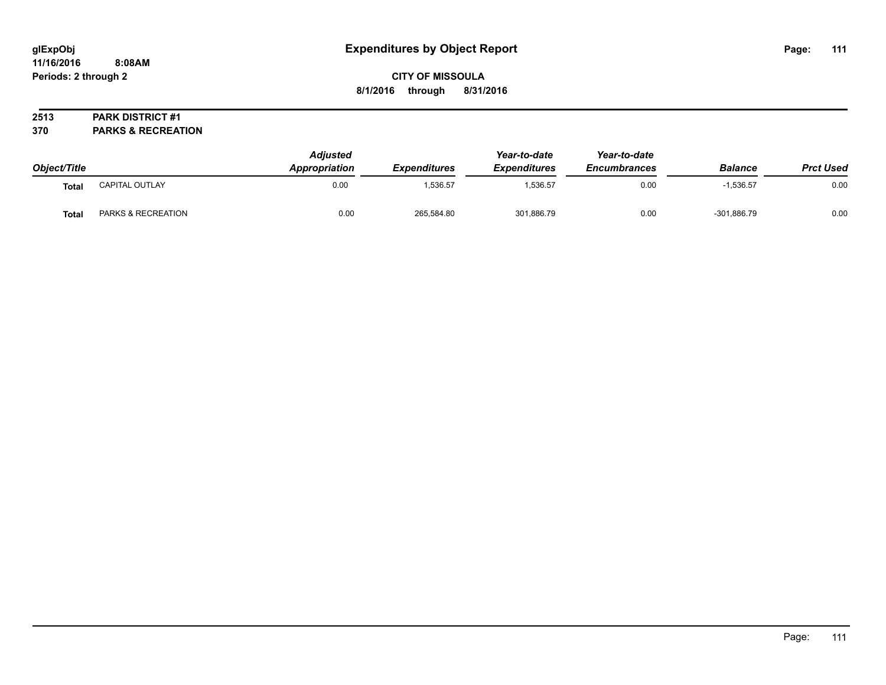## **CITY OF MISSOULA 8/1/2016 through 8/31/2016**

### **2513 PARK DISTRICT #1**

**370 PARKS & RECREATION**

|              |                    | <b>Adjusted</b><br>Appropriation | <i><b>Expenditures</b></i> | Year-to-date<br><b>Expenditures</b> | Year-to-date<br><b>Encumbrances</b> |                |                  |
|--------------|--------------------|----------------------------------|----------------------------|-------------------------------------|-------------------------------------|----------------|------------------|
| Object/Title |                    |                                  |                            |                                     |                                     | <b>Balance</b> | <b>Prct Used</b> |
| <b>Total</b> | CAPITAL OUTLAY     | 0.00                             | 1.536.57                   | 1,536.57                            | 0.00                                | $-1,536.57$    | 0.00             |
| <b>Total</b> | PARKS & RECREATION | 0.00                             | 265,584.80                 | 301,886.79                          | 0.00                                | $-301.886.79$  | 0.00             |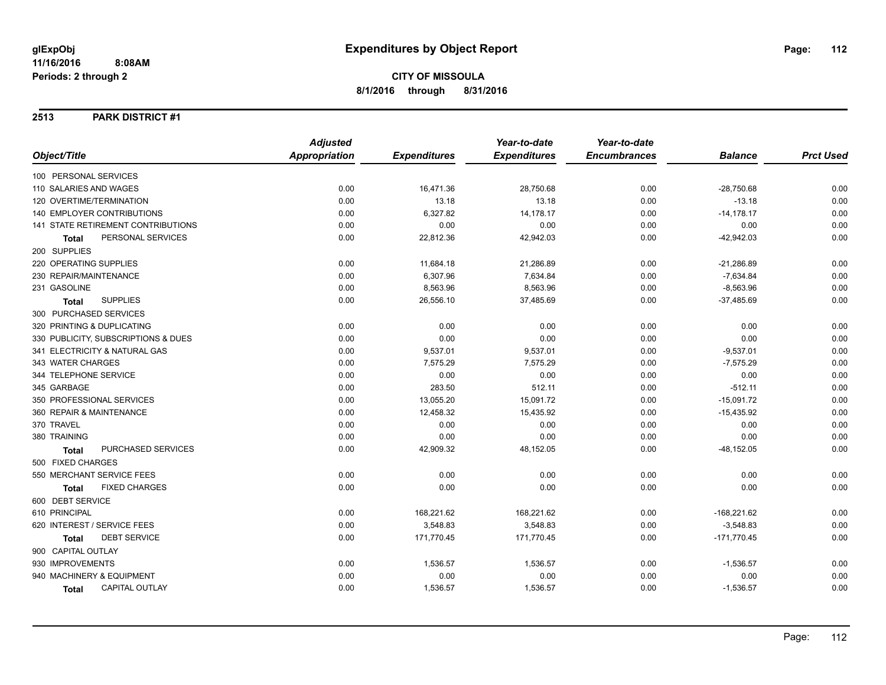### **2513 PARK DISTRICT #1**

|                                      | <b>Adjusted</b>      |                     | Year-to-date        | Year-to-date        |                |                  |
|--------------------------------------|----------------------|---------------------|---------------------|---------------------|----------------|------------------|
| Object/Title                         | <b>Appropriation</b> | <b>Expenditures</b> | <b>Expenditures</b> | <b>Encumbrances</b> | <b>Balance</b> | <b>Prct Used</b> |
| 100 PERSONAL SERVICES                |                      |                     |                     |                     |                |                  |
| 110 SALARIES AND WAGES               | 0.00                 | 16,471.36           | 28,750.68           | 0.00                | $-28,750.68$   | 0.00             |
| 120 OVERTIME/TERMINATION             | 0.00                 | 13.18               | 13.18               | 0.00                | $-13.18$       | 0.00             |
| 140 EMPLOYER CONTRIBUTIONS           | 0.00                 | 6,327.82            | 14,178.17           | 0.00                | $-14, 178.17$  | 0.00             |
| 141 STATE RETIREMENT CONTRIBUTIONS   | 0.00                 | 0.00                | 0.00                | 0.00                | 0.00           | 0.00             |
| PERSONAL SERVICES<br><b>Total</b>    | 0.00                 | 22,812.36           | 42,942.03           | 0.00                | $-42,942.03$   | 0.00             |
| 200 SUPPLIES                         |                      |                     |                     |                     |                |                  |
| 220 OPERATING SUPPLIES               | 0.00                 | 11,684.18           | 21,286.89           | 0.00                | $-21,286.89$   | 0.00             |
| 230 REPAIR/MAINTENANCE               | 0.00                 | 6,307.96            | 7,634.84            | 0.00                | $-7,634.84$    | 0.00             |
| 231 GASOLINE                         | 0.00                 | 8,563.96            | 8,563.96            | 0.00                | $-8,563.96$    | 0.00             |
| <b>SUPPLIES</b><br><b>Total</b>      | 0.00                 | 26,556.10           | 37,485.69           | 0.00                | $-37,485.69$   | 0.00             |
| 300 PURCHASED SERVICES               |                      |                     |                     |                     |                |                  |
| 320 PRINTING & DUPLICATING           | 0.00                 | 0.00                | 0.00                | 0.00                | 0.00           | 0.00             |
| 330 PUBLICITY, SUBSCRIPTIONS & DUES  | 0.00                 | 0.00                | 0.00                | 0.00                | 0.00           | 0.00             |
| 341 ELECTRICITY & NATURAL GAS        | 0.00                 | 9,537.01            | 9,537.01            | 0.00                | $-9,537.01$    | 0.00             |
| 343 WATER CHARGES                    | 0.00                 | 7,575.29            | 7,575.29            | 0.00                | $-7,575.29$    | 0.00             |
| 344 TELEPHONE SERVICE                | 0.00                 | 0.00                | 0.00                | 0.00                | 0.00           | 0.00             |
| 345 GARBAGE                          | 0.00                 | 283.50              | 512.11              | 0.00                | $-512.11$      | 0.00             |
| 350 PROFESSIONAL SERVICES            | 0.00                 | 13,055.20           | 15,091.72           | 0.00                | $-15,091.72$   | 0.00             |
| 360 REPAIR & MAINTENANCE             | 0.00                 | 12,458.32           | 15,435.92           | 0.00                | $-15,435.92$   | 0.00             |
| 370 TRAVEL                           | 0.00                 | 0.00                | 0.00                | 0.00                | 0.00           | 0.00             |
| 380 TRAINING                         | 0.00                 | 0.00                | 0.00                | 0.00                | 0.00           | 0.00             |
| PURCHASED SERVICES<br><b>Total</b>   | 0.00                 | 42,909.32           | 48,152.05           | 0.00                | $-48, 152.05$  | 0.00             |
| 500 FIXED CHARGES                    |                      |                     |                     |                     |                |                  |
| 550 MERCHANT SERVICE FEES            | 0.00                 | 0.00                | 0.00                | 0.00                | 0.00           | 0.00             |
| <b>FIXED CHARGES</b><br><b>Total</b> | 0.00                 | 0.00                | 0.00                | 0.00                | 0.00           | 0.00             |
| 600 DEBT SERVICE                     |                      |                     |                     |                     |                |                  |
| 610 PRINCIPAL                        | 0.00                 | 168,221.62          | 168,221.62          | 0.00                | $-168,221.62$  | 0.00             |
| 620 INTEREST / SERVICE FEES          | 0.00                 | 3,548.83            | 3,548.83            | 0.00                | $-3,548.83$    | 0.00             |
| <b>DEBT SERVICE</b><br>Total         | 0.00                 | 171,770.45          | 171,770.45          | 0.00                | $-171,770.45$  | 0.00             |
| 900 CAPITAL OUTLAY                   |                      |                     |                     |                     |                |                  |
| 930 IMPROVEMENTS                     | 0.00                 | 1,536.57            | 1,536.57            | 0.00                | $-1,536.57$    | 0.00             |
| 940 MACHINERY & EQUIPMENT            | 0.00                 | 0.00                | 0.00                | 0.00                | 0.00           | 0.00             |
| <b>CAPITAL OUTLAY</b><br>Total       | 0.00                 | 1,536.57            | 1,536.57            | 0.00                | $-1,536.57$    | 0.00             |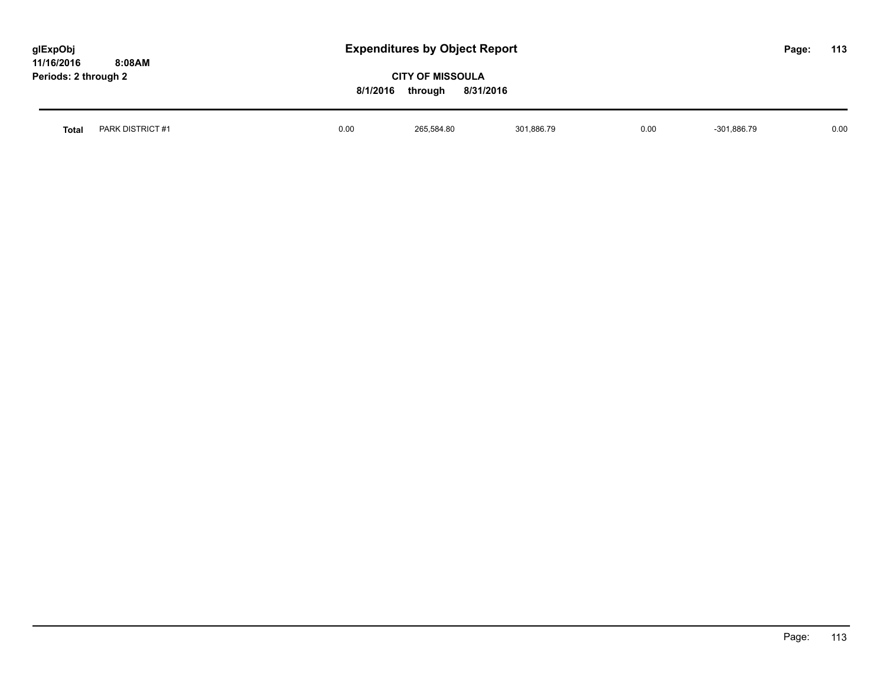| glExpObj<br>11/16/2016 | 8:08AM           |      | <b>Expenditures by Object Report</b>                        |            |      |               |  | 113  |
|------------------------|------------------|------|-------------------------------------------------------------|------------|------|---------------|--|------|
| Periods: 2 through 2   |                  |      | <b>CITY OF MISSOULA</b><br>8/1/2016<br>8/31/2016<br>through |            |      |               |  |      |
| <b>Total</b>           | PARK DISTRICT #1 | 0.00 | 265.584.80                                                  | 301.886.79 | 0.00 | $-301,886.79$ |  | 0.00 |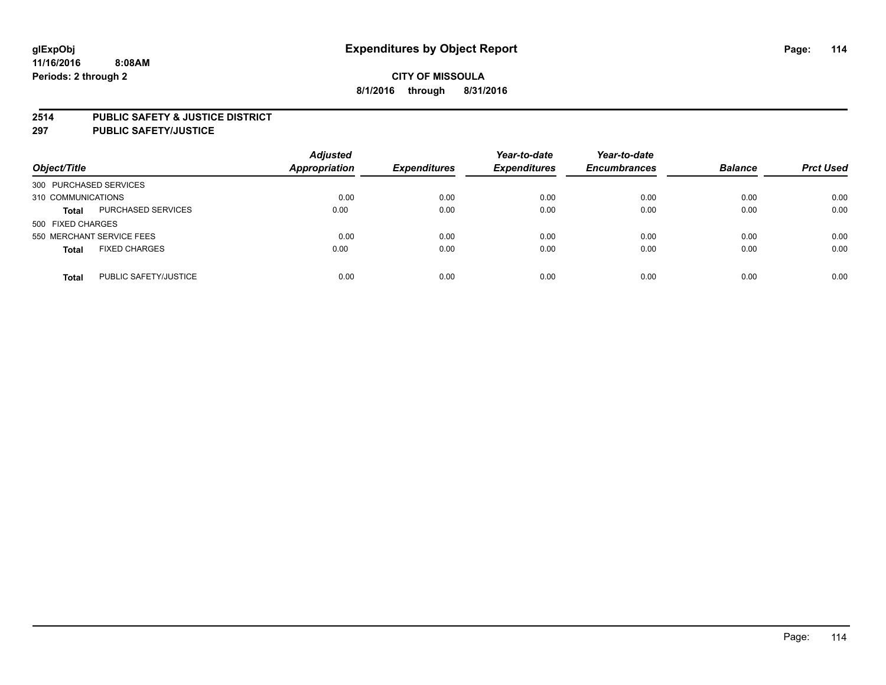### **2514 PUBLIC SAFETY & JUSTICE DISTRICT**

**297 PUBLIC SAFETY/JUSTICE**

| Object/Title                          | <b>Adjusted</b><br><b>Appropriation</b> | <b>Expenditures</b> | Year-to-date<br><b>Expenditures</b> | Year-to-date<br><b>Encumbrances</b> | <b>Balance</b> | <b>Prct Used</b> |
|---------------------------------------|-----------------------------------------|---------------------|-------------------------------------|-------------------------------------|----------------|------------------|
| 300 PURCHASED SERVICES                |                                         |                     |                                     |                                     |                |                  |
| 310 COMMUNICATIONS                    | 0.00                                    | 0.00                | 0.00                                | 0.00                                | 0.00           | 0.00             |
| PURCHASED SERVICES<br><b>Total</b>    | 0.00                                    | 0.00                | 0.00                                | 0.00                                | 0.00           | 0.00             |
| 500 FIXED CHARGES                     |                                         |                     |                                     |                                     |                |                  |
| 550 MERCHANT SERVICE FEES             | 0.00                                    | 0.00                | 0.00                                | 0.00                                | 0.00           | 0.00             |
| <b>FIXED CHARGES</b><br><b>Total</b>  | 0.00                                    | 0.00                | 0.00                                | 0.00                                | 0.00           | 0.00             |
| PUBLIC SAFETY/JUSTICE<br><b>Total</b> | 0.00                                    | 0.00                | 0.00                                | 0.00                                | 0.00           | 0.00             |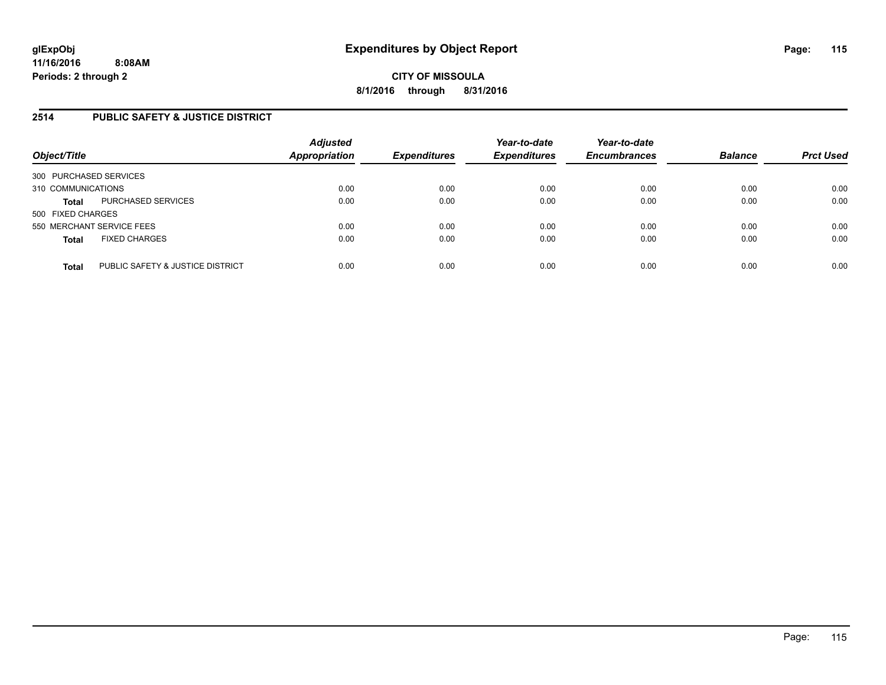## **2514 PUBLIC SAFETY & JUSTICE DISTRICT**

| Object/Title                                     | <b>Adjusted</b><br><b>Appropriation</b> | <b>Expenditures</b> | Year-to-date<br><b>Expenditures</b> | Year-to-date<br><b>Encumbrances</b> | <b>Balance</b> | <b>Prct Used</b> |
|--------------------------------------------------|-----------------------------------------|---------------------|-------------------------------------|-------------------------------------|----------------|------------------|
| 300 PURCHASED SERVICES                           |                                         |                     |                                     |                                     |                |                  |
| 310 COMMUNICATIONS                               | 0.00                                    | 0.00                | 0.00                                | 0.00                                | 0.00           | 0.00             |
| PURCHASED SERVICES<br><b>Total</b>               | 0.00                                    | 0.00                | 0.00                                | 0.00                                | 0.00           | 0.00             |
| 500 FIXED CHARGES                                |                                         |                     |                                     |                                     |                |                  |
| 550 MERCHANT SERVICE FEES                        | 0.00                                    | 0.00                | 0.00                                | 0.00                                | 0.00           | 0.00             |
| <b>FIXED CHARGES</b><br><b>Total</b>             | 0.00                                    | 0.00                | 0.00                                | 0.00                                | 0.00           | 0.00             |
| PUBLIC SAFETY & JUSTICE DISTRICT<br><b>Total</b> | 0.00                                    | 0.00                | 0.00                                | 0.00                                | 0.00           | 0.00             |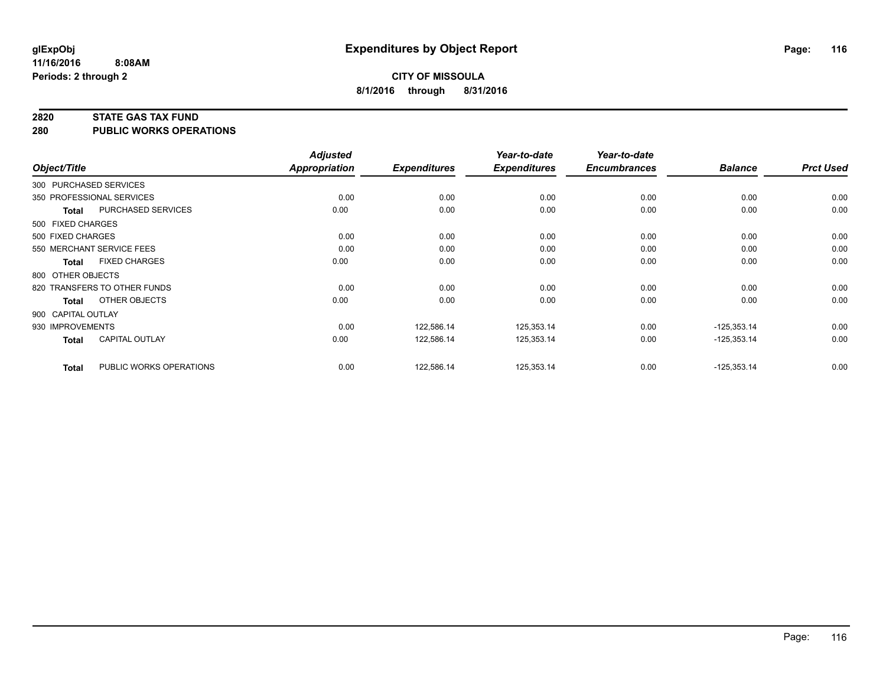#### **2820 STATE GAS TAX FUND**

**280 PUBLIC WORKS OPERATIONS**

|                    |                              | <b>Adjusted</b> |                     | Year-to-date        | Year-to-date        |                |                  |
|--------------------|------------------------------|-----------------|---------------------|---------------------|---------------------|----------------|------------------|
| Object/Title       |                              | Appropriation   | <b>Expenditures</b> | <b>Expenditures</b> | <b>Encumbrances</b> | <b>Balance</b> | <b>Prct Used</b> |
|                    | 300 PURCHASED SERVICES       |                 |                     |                     |                     |                |                  |
|                    | 350 PROFESSIONAL SERVICES    | 0.00            | 0.00                | 0.00                | 0.00                | 0.00           | 0.00             |
| <b>Total</b>       | PURCHASED SERVICES           | 0.00            | 0.00                | 0.00                | 0.00                | 0.00           | 0.00             |
| 500 FIXED CHARGES  |                              |                 |                     |                     |                     |                |                  |
| 500 FIXED CHARGES  |                              | 0.00            | 0.00                | 0.00                | 0.00                | 0.00           | 0.00             |
|                    | 550 MERCHANT SERVICE FEES    | 0.00            | 0.00                | 0.00                | 0.00                | 0.00           | 0.00             |
| <b>Total</b>       | <b>FIXED CHARGES</b>         | 0.00            | 0.00                | 0.00                | 0.00                | 0.00           | 0.00             |
| 800 OTHER OBJECTS  |                              |                 |                     |                     |                     |                |                  |
|                    | 820 TRANSFERS TO OTHER FUNDS | 0.00            | 0.00                | 0.00                | 0.00                | 0.00           | 0.00             |
| <b>Total</b>       | OTHER OBJECTS                | 0.00            | 0.00                | 0.00                | 0.00                | 0.00           | 0.00             |
| 900 CAPITAL OUTLAY |                              |                 |                     |                     |                     |                |                  |
| 930 IMPROVEMENTS   |                              | 0.00            | 122,586.14          | 125,353.14          | 0.00                | $-125,353.14$  | 0.00             |
| <b>Total</b>       | <b>CAPITAL OUTLAY</b>        | 0.00            | 122,586.14          | 125,353.14          | 0.00                | $-125,353.14$  | 0.00             |
| <b>Total</b>       | PUBLIC WORKS OPERATIONS      | 0.00            | 122,586.14          | 125,353.14          | 0.00                | $-125,353.14$  | 0.00             |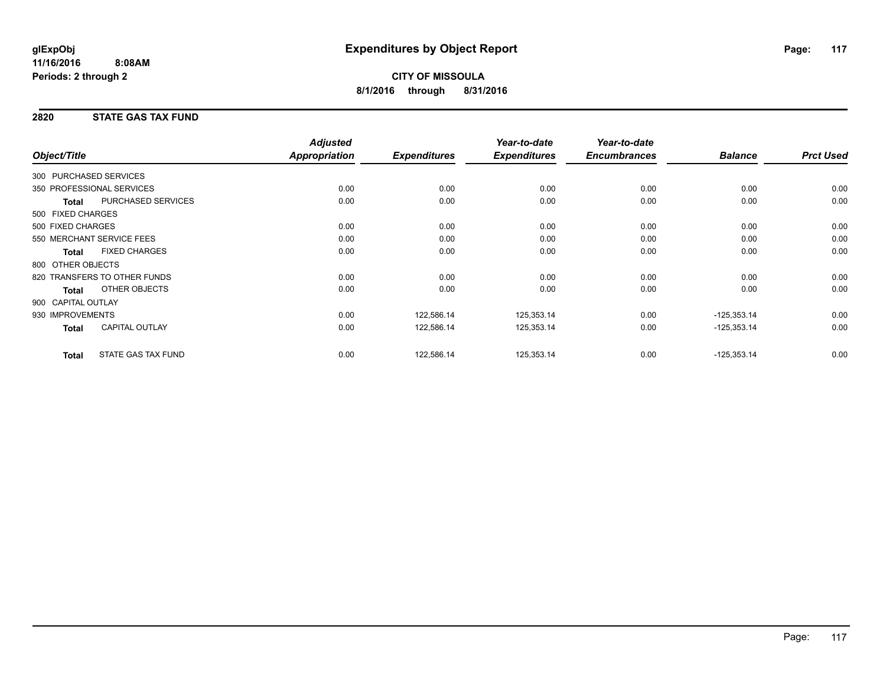## **2820 STATE GAS TAX FUND**

| Object/Title           |                              | <b>Adjusted</b><br>Appropriation | <b>Expenditures</b> | Year-to-date<br><b>Expenditures</b> | Year-to-date<br><b>Encumbrances</b> | <b>Balance</b> | <b>Prct Used</b> |
|------------------------|------------------------------|----------------------------------|---------------------|-------------------------------------|-------------------------------------|----------------|------------------|
|                        |                              |                                  |                     |                                     |                                     |                |                  |
| 300 PURCHASED SERVICES |                              |                                  |                     |                                     |                                     |                |                  |
|                        | 350 PROFESSIONAL SERVICES    | 0.00                             | 0.00                | 0.00                                | 0.00                                | 0.00           | 0.00             |
| <b>Total</b>           | PURCHASED SERVICES           | 0.00                             | 0.00                | 0.00                                | 0.00                                | 0.00           | 0.00             |
| 500 FIXED CHARGES      |                              |                                  |                     |                                     |                                     |                |                  |
| 500 FIXED CHARGES      |                              | 0.00                             | 0.00                | 0.00                                | 0.00                                | 0.00           | 0.00             |
|                        | 550 MERCHANT SERVICE FEES    | 0.00                             | 0.00                | 0.00                                | 0.00                                | 0.00           | 0.00             |
| <b>Total</b>           | <b>FIXED CHARGES</b>         | 0.00                             | 0.00                | 0.00                                | 0.00                                | 0.00           | 0.00             |
| 800 OTHER OBJECTS      |                              |                                  |                     |                                     |                                     |                |                  |
|                        | 820 TRANSFERS TO OTHER FUNDS | 0.00                             | 0.00                | 0.00                                | 0.00                                | 0.00           | 0.00             |
| Total                  | OTHER OBJECTS                | 0.00                             | 0.00                | 0.00                                | 0.00                                | 0.00           | 0.00             |
| 900 CAPITAL OUTLAY     |                              |                                  |                     |                                     |                                     |                |                  |
| 930 IMPROVEMENTS       |                              | 0.00                             | 122,586.14          | 125,353.14                          | 0.00                                | $-125,353.14$  | 0.00             |
| <b>Total</b>           | <b>CAPITAL OUTLAY</b>        | 0.00                             | 122,586.14          | 125,353.14                          | 0.00                                | $-125,353.14$  | 0.00             |
| <b>Total</b>           | <b>STATE GAS TAX FUND</b>    | 0.00                             | 122,586.14          | 125,353.14                          | 0.00                                | $-125,353.14$  | 0.00             |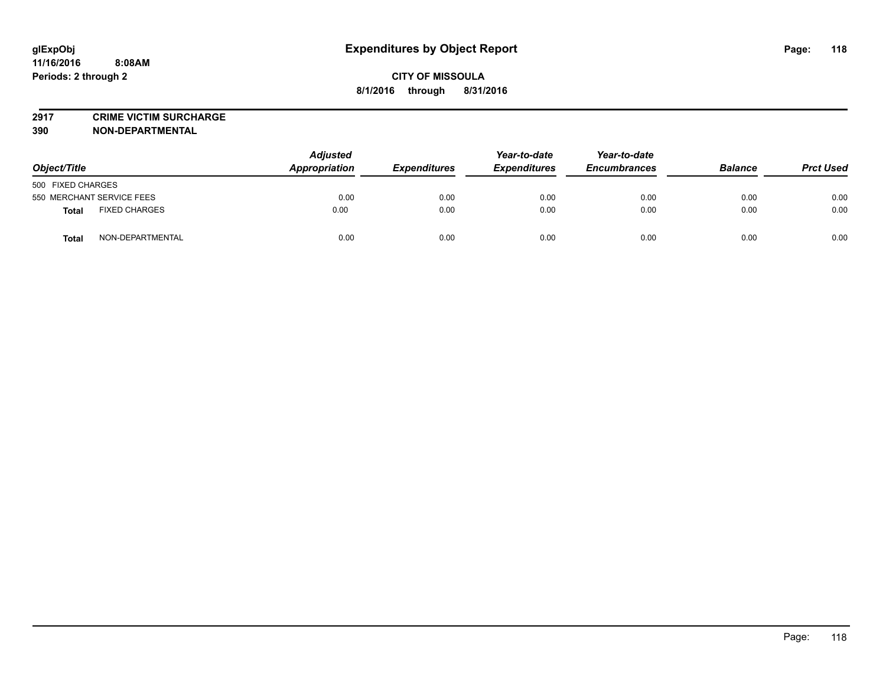**2917 CRIME VICTIM SURCHARGE**

**390 NON-DEPARTMENTAL**

| Object/Title                     | <b>Adjusted</b><br>Appropriation | <b>Expenditures</b> | Year-to-date<br><b>Expenditures</b> | Year-to-date<br><b>Encumbrances</b> | <b>Balance</b> | <b>Prct Used</b> |
|----------------------------------|----------------------------------|---------------------|-------------------------------------|-------------------------------------|----------------|------------------|
| 500 FIXED CHARGES                |                                  |                     |                                     |                                     |                |                  |
| 550 MERCHANT SERVICE FEES        | 0.00                             | 0.00                | 0.00                                | 0.00                                | 0.00           | 0.00             |
| <b>FIXED CHARGES</b><br>Total    | 0.00                             | 0.00                | 0.00                                | 0.00                                | 0.00           | 0.00             |
| NON-DEPARTMENTAL<br><b>Total</b> | 0.00                             | 0.00                | 0.00                                | 0.00                                | 0.00           | 0.00             |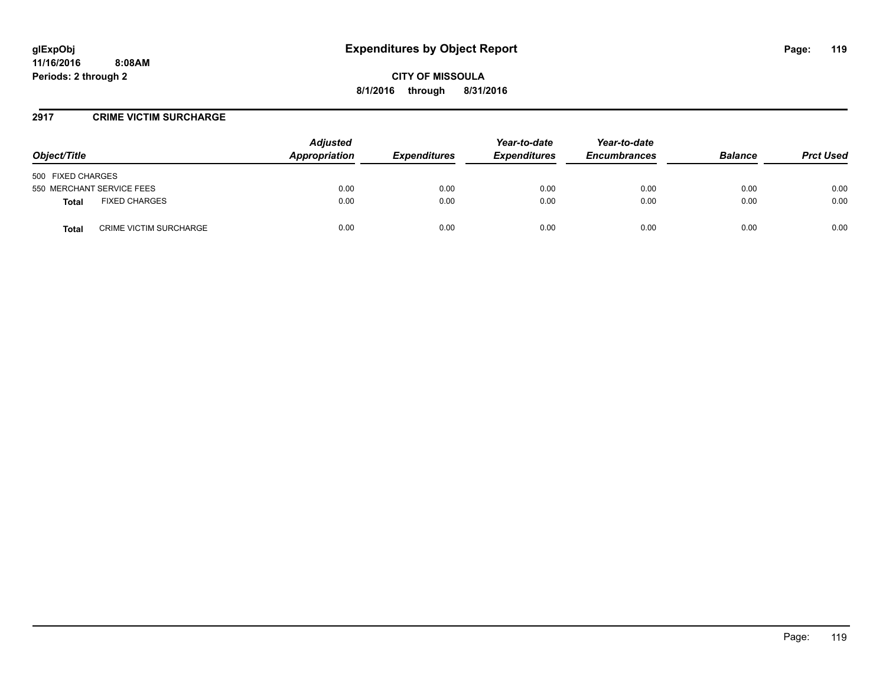**CITY OF MISSOULA 8/1/2016 through 8/31/2016**

### **2917 CRIME VICTIM SURCHARGE**

| Object/Title                           | <b>Adjusted</b><br>Appropriation | <b>Expenditures</b> | Year-to-date<br><b>Expenditures</b> | Year-to-date<br><b>Encumbrances</b> | <b>Balance</b> | <b>Prct Used</b> |
|----------------------------------------|----------------------------------|---------------------|-------------------------------------|-------------------------------------|----------------|------------------|
| 500 FIXED CHARGES                      |                                  |                     |                                     |                                     |                |                  |
| 550 MERCHANT SERVICE FEES              | 0.00                             | 0.00                | 0.00                                | 0.00                                | 0.00           | 0.00             |
| <b>FIXED CHARGES</b><br><b>Total</b>   | 0.00                             | 0.00                | 0.00                                | 0.00                                | 0.00           | 0.00             |
| <b>CRIME VICTIM SURCHARGE</b><br>Total | 0.00                             | 0.00                | 0.00                                | 0.00                                | 0.00           | 0.00             |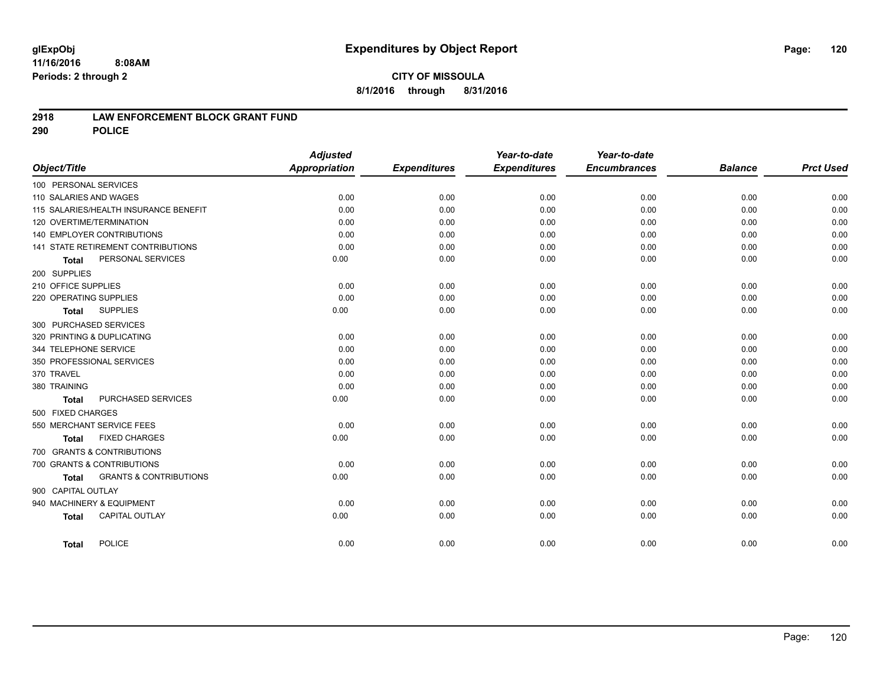### **2918 LAW ENFORCEMENT BLOCK GRANT FUND**

**290 POLICE**

|                                                   | <b>Adjusted</b> |                     | Year-to-date        | Year-to-date        |                |                  |
|---------------------------------------------------|-----------------|---------------------|---------------------|---------------------|----------------|------------------|
| Object/Title                                      | Appropriation   | <b>Expenditures</b> | <b>Expenditures</b> | <b>Encumbrances</b> | <b>Balance</b> | <b>Prct Used</b> |
| 100 PERSONAL SERVICES                             |                 |                     |                     |                     |                |                  |
| 110 SALARIES AND WAGES                            | 0.00            | 0.00                | 0.00                | 0.00                | 0.00           | 0.00             |
| 115 SALARIES/HEALTH INSURANCE BENEFIT             | 0.00            | 0.00                | 0.00                | 0.00                | 0.00           | 0.00             |
| 120 OVERTIME/TERMINATION                          | 0.00            | 0.00                | 0.00                | 0.00                | 0.00           | 0.00             |
| 140 EMPLOYER CONTRIBUTIONS                        | 0.00            | 0.00                | 0.00                | 0.00                | 0.00           | 0.00             |
| <b>141 STATE RETIREMENT CONTRIBUTIONS</b>         | 0.00            | 0.00                | 0.00                | 0.00                | 0.00           | 0.00             |
| PERSONAL SERVICES<br><b>Total</b>                 | 0.00            | 0.00                | 0.00                | 0.00                | 0.00           | 0.00             |
| 200 SUPPLIES                                      |                 |                     |                     |                     |                |                  |
| 210 OFFICE SUPPLIES                               | 0.00            | 0.00                | 0.00                | 0.00                | 0.00           | 0.00             |
| 220 OPERATING SUPPLIES                            | 0.00            | 0.00                | 0.00                | 0.00                | 0.00           | 0.00             |
| <b>SUPPLIES</b><br><b>Total</b>                   | 0.00            | 0.00                | 0.00                | 0.00                | 0.00           | 0.00             |
| 300 PURCHASED SERVICES                            |                 |                     |                     |                     |                |                  |
| 320 PRINTING & DUPLICATING                        | 0.00            | 0.00                | 0.00                | 0.00                | 0.00           | 0.00             |
| 344 TELEPHONE SERVICE                             | 0.00            | 0.00                | 0.00                | 0.00                | 0.00           | 0.00             |
| 350 PROFESSIONAL SERVICES                         | 0.00            | 0.00                | 0.00                | 0.00                | 0.00           | 0.00             |
| 370 TRAVEL                                        | 0.00            | 0.00                | 0.00                | 0.00                | 0.00           | 0.00             |
| 380 TRAINING                                      | 0.00            | 0.00                | 0.00                | 0.00                | 0.00           | 0.00             |
| PURCHASED SERVICES<br><b>Total</b>                | 0.00            | 0.00                | 0.00                | 0.00                | 0.00           | 0.00             |
| 500 FIXED CHARGES                                 |                 |                     |                     |                     |                |                  |
| 550 MERCHANT SERVICE FEES                         | 0.00            | 0.00                | 0.00                | 0.00                | 0.00           | 0.00             |
| <b>FIXED CHARGES</b><br><b>Total</b>              | 0.00            | 0.00                | 0.00                | 0.00                | 0.00           | 0.00             |
| 700 GRANTS & CONTRIBUTIONS                        |                 |                     |                     |                     |                |                  |
| 700 GRANTS & CONTRIBUTIONS                        | 0.00            | 0.00                | 0.00                | 0.00                | 0.00           | 0.00             |
| <b>GRANTS &amp; CONTRIBUTIONS</b><br><b>Total</b> | 0.00            | 0.00                | 0.00                | 0.00                | 0.00           | 0.00             |
| 900 CAPITAL OUTLAY                                |                 |                     |                     |                     |                |                  |
| 940 MACHINERY & EQUIPMENT                         | 0.00            | 0.00                | 0.00                | 0.00                | 0.00           | 0.00             |
| <b>CAPITAL OUTLAY</b><br><b>Total</b>             | 0.00            | 0.00                | 0.00                | 0.00                | 0.00           | 0.00             |
| <b>POLICE</b><br><b>Total</b>                     | 0.00            | 0.00                | 0.00                | 0.00                | 0.00           | 0.00             |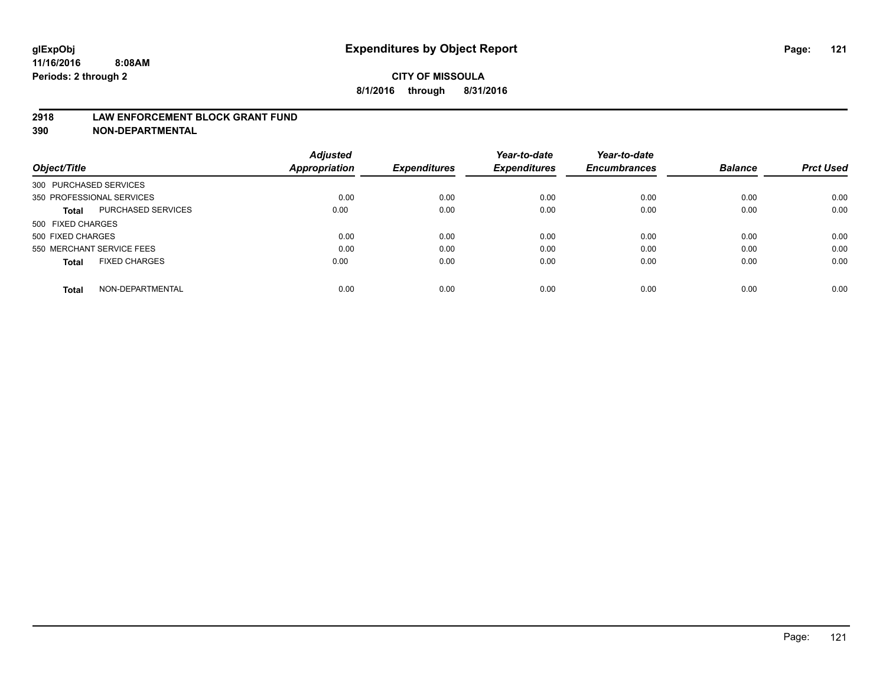#### **2918 LAW ENFORCEMENT BLOCK GRANT FUND**

**390 NON-DEPARTMENTAL**

|                           |                      | <b>Adjusted</b> |                     | Year-to-date        | Year-to-date<br><b>Encumbrances</b> | <b>Balance</b> | <b>Prct Used</b> |
|---------------------------|----------------------|-----------------|---------------------|---------------------|-------------------------------------|----------------|------------------|
| Object/Title              |                      | Appropriation   | <b>Expenditures</b> | <b>Expenditures</b> |                                     |                |                  |
| 300 PURCHASED SERVICES    |                      |                 |                     |                     |                                     |                |                  |
| 350 PROFESSIONAL SERVICES |                      | 0.00            | 0.00                | 0.00                | 0.00                                | 0.00           | 0.00             |
| Total                     | PURCHASED SERVICES   | 0.00            | 0.00                | 0.00                | 0.00                                | 0.00           | 0.00             |
| 500 FIXED CHARGES         |                      |                 |                     |                     |                                     |                |                  |
| 500 FIXED CHARGES         |                      | 0.00            | 0.00                | 0.00                | 0.00                                | 0.00           | 0.00             |
| 550 MERCHANT SERVICE FEES |                      | 0.00            | 0.00                | 0.00                | 0.00                                | 0.00           | 0.00             |
| <b>Total</b>              | <b>FIXED CHARGES</b> | 0.00            | 0.00                | 0.00                | 0.00                                | 0.00           | 0.00             |
| <b>Total</b>              | NON-DEPARTMENTAL     | 0.00            | 0.00                | 0.00                | 0.00                                | 0.00           | 0.00             |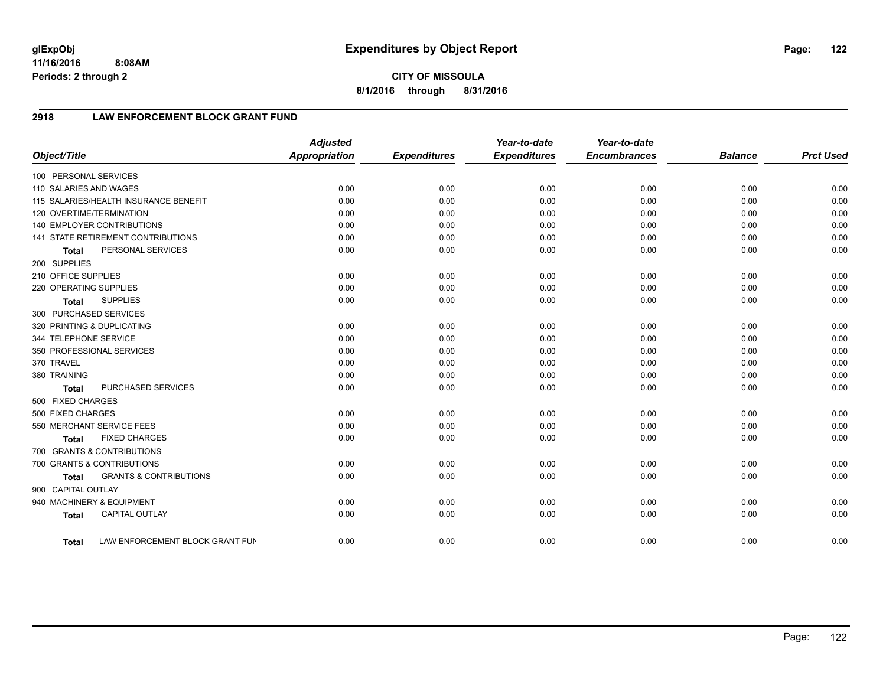**8/1/2016 through 8/31/2016**

## **2918 LAW ENFORCEMENT BLOCK GRANT FUND**

| Object/Title               |                                       | <b>Adjusted</b><br>Appropriation | <b>Expenditures</b> | Year-to-date<br><b>Expenditures</b> | Year-to-date<br><b>Encumbrances</b> | <b>Balance</b> | <b>Prct Used</b> |
|----------------------------|---------------------------------------|----------------------------------|---------------------|-------------------------------------|-------------------------------------|----------------|------------------|
|                            |                                       |                                  |                     |                                     |                                     |                |                  |
| 100 PERSONAL SERVICES      |                                       |                                  |                     |                                     |                                     |                |                  |
| 110 SALARIES AND WAGES     |                                       | 0.00                             | 0.00                | 0.00                                | 0.00                                | 0.00           | 0.00             |
|                            | 115 SALARIES/HEALTH INSURANCE BENEFIT | 0.00                             | 0.00                | 0.00                                | 0.00                                | 0.00           | 0.00             |
| 120 OVERTIME/TERMINATION   |                                       | 0.00                             | 0.00                | 0.00                                | 0.00                                | 0.00           | 0.00             |
|                            | 140 EMPLOYER CONTRIBUTIONS            | 0.00                             | 0.00                | 0.00                                | 0.00                                | 0.00           | 0.00             |
|                            | 141 STATE RETIREMENT CONTRIBUTIONS    | 0.00                             | 0.00                | 0.00                                | 0.00                                | 0.00           | 0.00             |
| <b>Total</b>               | PERSONAL SERVICES                     | 0.00                             | 0.00                | 0.00                                | 0.00                                | 0.00           | 0.00             |
| 200 SUPPLIES               |                                       |                                  |                     |                                     |                                     |                |                  |
| 210 OFFICE SUPPLIES        |                                       | 0.00                             | 0.00                | 0.00                                | 0.00                                | 0.00           | 0.00             |
| 220 OPERATING SUPPLIES     |                                       | 0.00                             | 0.00                | 0.00                                | 0.00                                | 0.00           | 0.00             |
| <b>Total</b>               | <b>SUPPLIES</b>                       | 0.00                             | 0.00                | 0.00                                | 0.00                                | 0.00           | 0.00             |
| 300 PURCHASED SERVICES     |                                       |                                  |                     |                                     |                                     |                |                  |
| 320 PRINTING & DUPLICATING |                                       | 0.00                             | 0.00                | 0.00                                | 0.00                                | 0.00           | 0.00             |
| 344 TELEPHONE SERVICE      |                                       | 0.00                             | 0.00                | 0.00                                | 0.00                                | 0.00           | 0.00             |
|                            | 350 PROFESSIONAL SERVICES             | 0.00                             | 0.00                | 0.00                                | 0.00                                | 0.00           | 0.00             |
| 370 TRAVEL                 |                                       | 0.00                             | 0.00                | 0.00                                | 0.00                                | 0.00           | 0.00             |
| 380 TRAINING               |                                       | 0.00                             | 0.00                | 0.00                                | 0.00                                | 0.00           | 0.00             |
| <b>Total</b>               | PURCHASED SERVICES                    | 0.00                             | 0.00                | 0.00                                | 0.00                                | 0.00           | 0.00             |
| 500 FIXED CHARGES          |                                       |                                  |                     |                                     |                                     |                |                  |
| 500 FIXED CHARGES          |                                       | 0.00                             | 0.00                | 0.00                                | 0.00                                | 0.00           | 0.00             |
|                            | 550 MERCHANT SERVICE FEES             | 0.00                             | 0.00                | 0.00                                | 0.00                                | 0.00           | 0.00             |
| <b>Total</b>               | <b>FIXED CHARGES</b>                  | 0.00                             | 0.00                | 0.00                                | 0.00                                | 0.00           | 0.00             |
|                            | 700 GRANTS & CONTRIBUTIONS            |                                  |                     |                                     |                                     |                |                  |
|                            | 700 GRANTS & CONTRIBUTIONS            | 0.00                             | 0.00                | 0.00                                | 0.00                                | 0.00           | 0.00             |
| <b>Total</b>               | <b>GRANTS &amp; CONTRIBUTIONS</b>     | 0.00                             | 0.00                | 0.00                                | 0.00                                | 0.00           | 0.00             |
| 900 CAPITAL OUTLAY         |                                       |                                  |                     |                                     |                                     |                |                  |
|                            | 940 MACHINERY & EQUIPMENT             | 0.00                             | 0.00                | 0.00                                | 0.00                                | 0.00           | 0.00             |
| <b>Total</b>               | <b>CAPITAL OUTLAY</b>                 | 0.00                             | 0.00                | 0.00                                | 0.00                                | 0.00           | 0.00             |
| <b>Total</b>               | LAW ENFORCEMENT BLOCK GRANT FUN       | 0.00                             | 0.00                | 0.00                                | 0.00                                | 0.00           | 0.00             |

Page: 122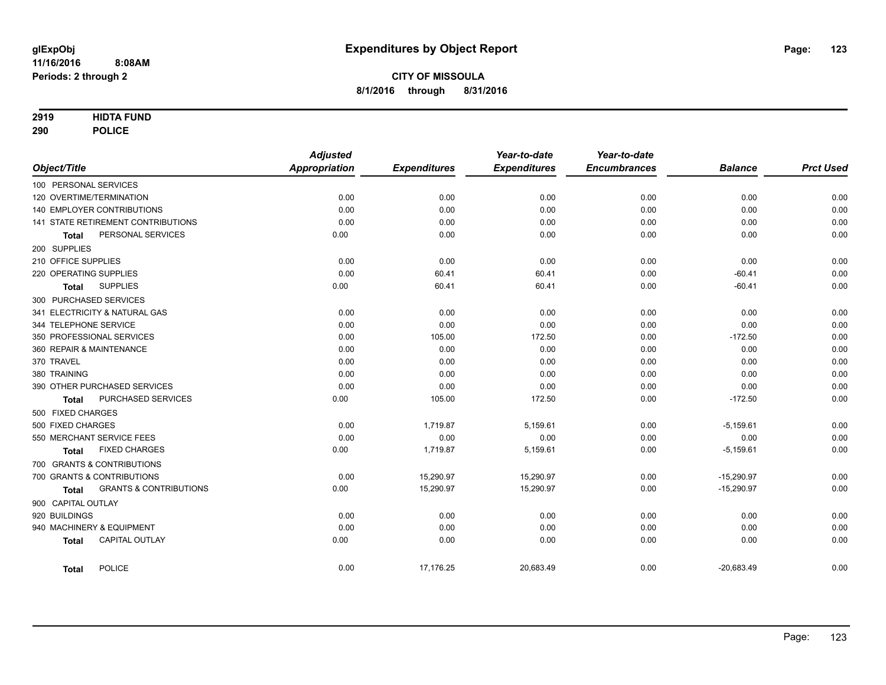### **2919 HIDTA FUND**

**290 POLICE**

|                                            | <b>Adjusted</b>      |                     | Year-to-date        | Year-to-date        |                |                  |
|--------------------------------------------|----------------------|---------------------|---------------------|---------------------|----------------|------------------|
| Object/Title                               | <b>Appropriation</b> | <b>Expenditures</b> | <b>Expenditures</b> | <b>Encumbrances</b> | <b>Balance</b> | <b>Prct Used</b> |
| 100 PERSONAL SERVICES                      |                      |                     |                     |                     |                |                  |
| 120 OVERTIME/TERMINATION                   | 0.00                 | 0.00                | 0.00                | 0.00                | 0.00           | 0.00             |
| 140 EMPLOYER CONTRIBUTIONS                 | 0.00                 | 0.00                | 0.00                | 0.00                | 0.00           | 0.00             |
| 141 STATE RETIREMENT CONTRIBUTIONS         | 0.00                 | 0.00                | 0.00                | 0.00                | 0.00           | 0.00             |
| PERSONAL SERVICES<br><b>Total</b>          | 0.00                 | 0.00                | 0.00                | 0.00                | 0.00           | 0.00             |
| 200 SUPPLIES                               |                      |                     |                     |                     |                |                  |
| 210 OFFICE SUPPLIES                        | 0.00                 | 0.00                | 0.00                | 0.00                | 0.00           | 0.00             |
| 220 OPERATING SUPPLIES                     | 0.00                 | 60.41               | 60.41               | 0.00                | $-60.41$       | 0.00             |
| <b>SUPPLIES</b><br><b>Total</b>            | 0.00                 | 60.41               | 60.41               | 0.00                | $-60.41$       | 0.00             |
| 300 PURCHASED SERVICES                     |                      |                     |                     |                     |                |                  |
| 341 ELECTRICITY & NATURAL GAS              | 0.00                 | 0.00                | 0.00                | 0.00                | 0.00           | 0.00             |
| 344 TELEPHONE SERVICE                      | 0.00                 | 0.00                | 0.00                | 0.00                | 0.00           | 0.00             |
| 350 PROFESSIONAL SERVICES                  | 0.00                 | 105.00              | 172.50              | 0.00                | $-172.50$      | 0.00             |
| 360 REPAIR & MAINTENANCE                   | 0.00                 | 0.00                | 0.00                | 0.00                | 0.00           | 0.00             |
| 370 TRAVEL                                 | 0.00                 | 0.00                | 0.00                | 0.00                | 0.00           | 0.00             |
| 380 TRAINING                               | 0.00                 | 0.00                | 0.00                | 0.00                | 0.00           | 0.00             |
| 390 OTHER PURCHASED SERVICES               | 0.00                 | 0.00                | 0.00                | 0.00                | 0.00           | 0.00             |
| <b>PURCHASED SERVICES</b><br><b>Total</b>  | 0.00                 | 105.00              | 172.50              | 0.00                | $-172.50$      | 0.00             |
| 500 FIXED CHARGES                          |                      |                     |                     |                     |                |                  |
| 500 FIXED CHARGES                          | 0.00                 | 1,719.87            | 5,159.61            | 0.00                | $-5,159.61$    | 0.00             |
| 550 MERCHANT SERVICE FEES                  | 0.00                 | 0.00                | 0.00                | 0.00                | 0.00           | 0.00             |
| <b>FIXED CHARGES</b><br>Total              | 0.00                 | 1,719.87            | 5,159.61            | 0.00                | $-5,159.61$    | 0.00             |
| 700 GRANTS & CONTRIBUTIONS                 |                      |                     |                     |                     |                |                  |
| 700 GRANTS & CONTRIBUTIONS                 | 0.00                 | 15,290.97           | 15,290.97           | 0.00                | $-15,290.97$   | 0.00             |
| <b>GRANTS &amp; CONTRIBUTIONS</b><br>Total | 0.00                 | 15,290.97           | 15,290.97           | 0.00                | $-15,290.97$   | 0.00             |
| 900 CAPITAL OUTLAY                         |                      |                     |                     |                     |                |                  |
| 920 BUILDINGS                              | 0.00                 | 0.00                | 0.00                | 0.00                | 0.00           | 0.00             |
| 940 MACHINERY & EQUIPMENT                  | 0.00                 | 0.00                | 0.00                | 0.00                | 0.00           | 0.00             |
| <b>CAPITAL OUTLAY</b><br><b>Total</b>      | 0.00                 | 0.00                | 0.00                | 0.00                | 0.00           | 0.00             |
| <b>POLICE</b><br><b>Total</b>              | 0.00                 | 17,176.25           | 20,683.49           | 0.00                | $-20,683.49$   | 0.00             |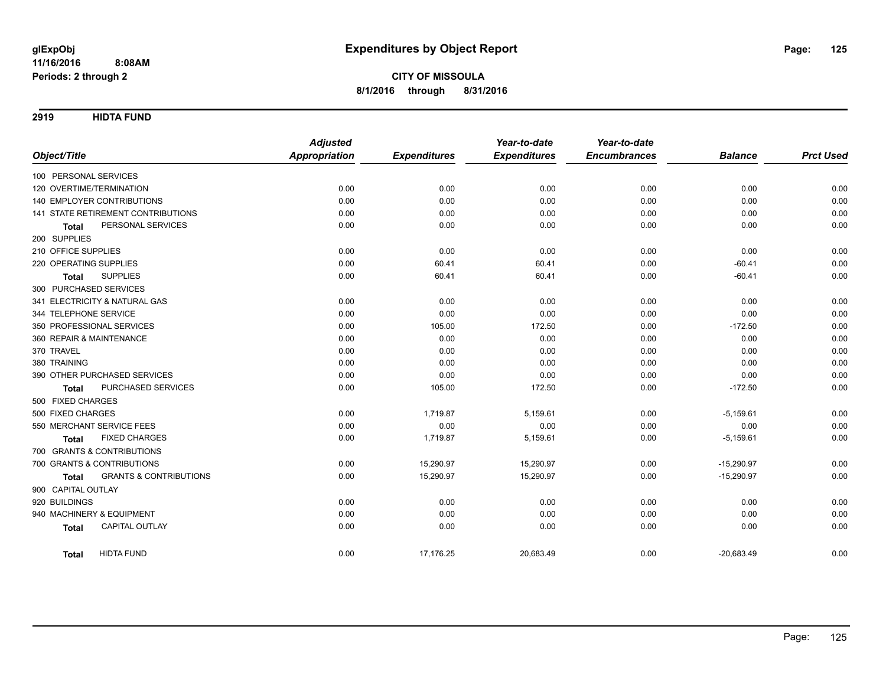**2919 HIDTA FUND**

|                                                   | <b>Adjusted</b>      |                     | Year-to-date        | Year-to-date        |                |                  |
|---------------------------------------------------|----------------------|---------------------|---------------------|---------------------|----------------|------------------|
| Object/Title                                      | <b>Appropriation</b> | <b>Expenditures</b> | <b>Expenditures</b> | <b>Encumbrances</b> | <b>Balance</b> | <b>Prct Used</b> |
| 100 PERSONAL SERVICES                             |                      |                     |                     |                     |                |                  |
| 120 OVERTIME/TERMINATION                          | 0.00                 | 0.00                | 0.00                | 0.00                | 0.00           | 0.00             |
| <b>140 EMPLOYER CONTRIBUTIONS</b>                 | 0.00                 | 0.00                | 0.00                | 0.00                | 0.00           | 0.00             |
| <b>141 STATE RETIREMENT CONTRIBUTIONS</b>         | 0.00                 | 0.00                | 0.00                | 0.00                | 0.00           | 0.00             |
| PERSONAL SERVICES<br><b>Total</b>                 | 0.00                 | 0.00                | 0.00                | 0.00                | 0.00           | 0.00             |
| 200 SUPPLIES                                      |                      |                     |                     |                     |                |                  |
| 210 OFFICE SUPPLIES                               | 0.00                 | 0.00                | 0.00                | 0.00                | 0.00           | 0.00             |
| 220 OPERATING SUPPLIES                            | 0.00                 | 60.41               | 60.41               | 0.00                | $-60.41$       | 0.00             |
| <b>SUPPLIES</b><br><b>Total</b>                   | 0.00                 | 60.41               | 60.41               | 0.00                | $-60.41$       | 0.00             |
| 300 PURCHASED SERVICES                            |                      |                     |                     |                     |                |                  |
| 341 ELECTRICITY & NATURAL GAS                     | 0.00                 | 0.00                | 0.00                | 0.00                | 0.00           | 0.00             |
| 344 TELEPHONE SERVICE                             | 0.00                 | 0.00                | 0.00                | 0.00                | 0.00           | 0.00             |
| 350 PROFESSIONAL SERVICES                         | 0.00                 | 105.00              | 172.50              | 0.00                | $-172.50$      | 0.00             |
| 360 REPAIR & MAINTENANCE                          | 0.00                 | 0.00                | 0.00                | 0.00                | 0.00           | 0.00             |
| 370 TRAVEL                                        | 0.00                 | 0.00                | 0.00                | 0.00                | 0.00           | 0.00             |
| 380 TRAINING                                      | 0.00                 | 0.00                | 0.00                | 0.00                | 0.00           | 0.00             |
| 390 OTHER PURCHASED SERVICES                      | 0.00                 | 0.00                | 0.00                | 0.00                | 0.00           | 0.00             |
| PURCHASED SERVICES<br><b>Total</b>                | 0.00                 | 105.00              | 172.50              | 0.00                | $-172.50$      | 0.00             |
| 500 FIXED CHARGES                                 |                      |                     |                     |                     |                |                  |
| 500 FIXED CHARGES                                 | 0.00                 | 1,719.87            | 5,159.61            | 0.00                | $-5,159.61$    | 0.00             |
| 550 MERCHANT SERVICE FEES                         | 0.00                 | 0.00                | 0.00                | 0.00                | 0.00           | 0.00             |
| <b>FIXED CHARGES</b><br><b>Total</b>              | 0.00                 | 1,719.87            | 5,159.61            | 0.00                | $-5,159.61$    | 0.00             |
| 700 GRANTS & CONTRIBUTIONS                        |                      |                     |                     |                     |                |                  |
| 700 GRANTS & CONTRIBUTIONS                        | 0.00                 | 15,290.97           | 15,290.97           | 0.00                | $-15,290.97$   | 0.00             |
| <b>GRANTS &amp; CONTRIBUTIONS</b><br><b>Total</b> | 0.00                 | 15,290.97           | 15,290.97           | 0.00                | $-15,290.97$   | 0.00             |
| 900 CAPITAL OUTLAY                                |                      |                     |                     |                     |                |                  |
| 920 BUILDINGS                                     | 0.00                 | 0.00                | 0.00                | 0.00                | 0.00           | 0.00             |
| 940 MACHINERY & EQUIPMENT                         | 0.00                 | 0.00                | 0.00                | 0.00                | 0.00           | 0.00             |
| CAPITAL OUTLAY<br><b>Total</b>                    | 0.00                 | 0.00                | 0.00                | 0.00                | 0.00           | 0.00             |
| <b>HIDTA FUND</b><br><b>Total</b>                 | 0.00                 | 17,176.25           | 20,683.49           | 0.00                | $-20,683.49$   | 0.00             |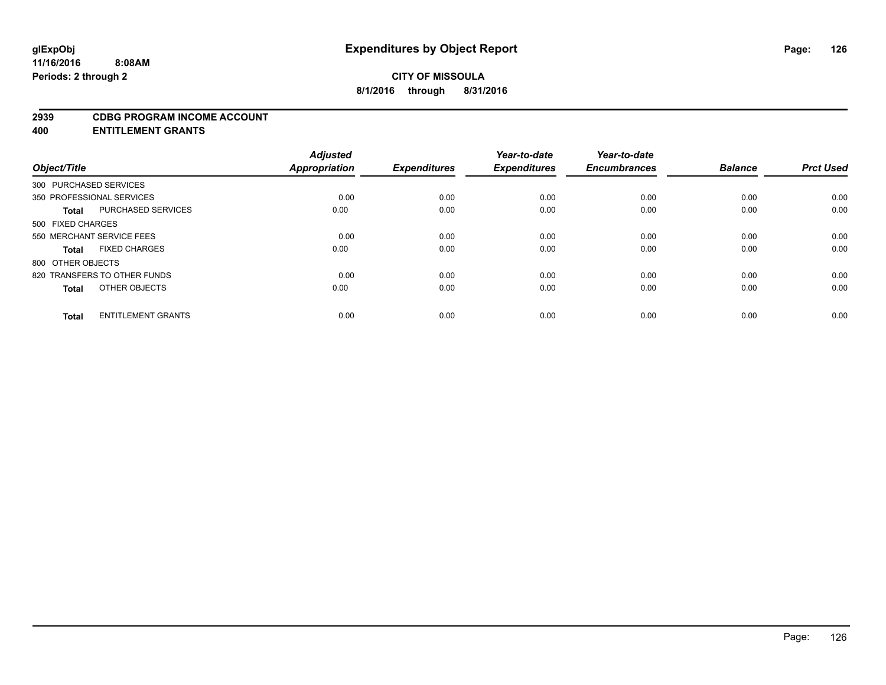#### **2939 CDBG PROGRAM INCOME ACCOUNT**

**400 ENTITLEMENT GRANTS**

| Object/Title                 | <b>Adjusted</b><br>Appropriation | <b>Expenditures</b> | Year-to-date<br><b>Expenditures</b> | Year-to-date<br><b>Encumbrances</b> | <b>Balance</b> | <b>Prct Used</b> |
|------------------------------|----------------------------------|---------------------|-------------------------------------|-------------------------------------|----------------|------------------|
| 300 PURCHASED SERVICES       |                                  |                     |                                     |                                     |                |                  |
| 350 PROFESSIONAL SERVICES    | 0.00                             | 0.00                | 0.00                                | 0.00                                | 0.00           | 0.00             |
| <b>PURCHASED SERVICES</b>    | 0.00                             | 0.00                | 0.00                                | 0.00                                | 0.00           | 0.00             |
| 500 FIXED CHARGES            |                                  |                     |                                     |                                     |                |                  |
| 550 MERCHANT SERVICE FEES    | 0.00                             | 0.00                | 0.00                                | 0.00                                | 0.00           | 0.00             |
| <b>FIXED CHARGES</b>         | 0.00                             | 0.00                | 0.00                                | 0.00                                | 0.00           | 0.00             |
| 800 OTHER OBJECTS            |                                  |                     |                                     |                                     |                |                  |
| 820 TRANSFERS TO OTHER FUNDS | 0.00                             | 0.00                | 0.00                                | 0.00                                | 0.00           | 0.00             |
| OTHER OBJECTS                | 0.00                             | 0.00                | 0.00                                | 0.00                                | 0.00           | 0.00             |
| <b>ENTITLEMENT GRANTS</b>    | 0.00                             | 0.00                | 0.00                                | 0.00                                | 0.00           | 0.00             |
|                              |                                  |                     |                                     |                                     |                |                  |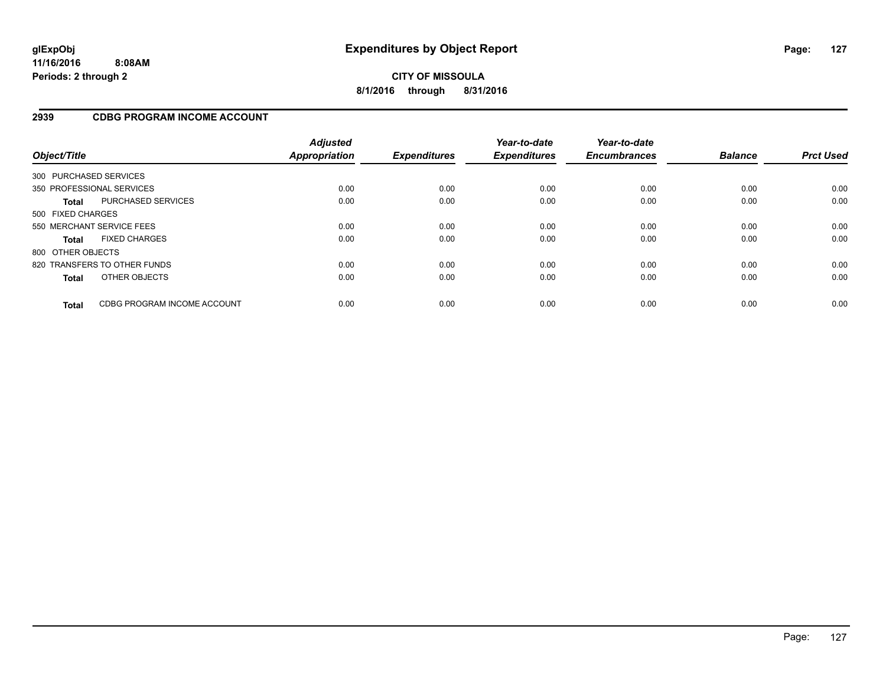### **2939 CDBG PROGRAM INCOME ACCOUNT**

| Object/Title           |                              | <b>Adjusted</b><br><b>Appropriation</b> | <b>Expenditures</b> | Year-to-date<br><b>Expenditures</b> | Year-to-date<br><b>Encumbrances</b> | <b>Balance</b> | <b>Prct Used</b> |
|------------------------|------------------------------|-----------------------------------------|---------------------|-------------------------------------|-------------------------------------|----------------|------------------|
| 300 PURCHASED SERVICES |                              |                                         |                     |                                     |                                     |                |                  |
|                        | 350 PROFESSIONAL SERVICES    | 0.00                                    | 0.00                | 0.00                                | 0.00                                | 0.00           | 0.00             |
| <b>Total</b>           | <b>PURCHASED SERVICES</b>    | 0.00                                    | 0.00                | 0.00                                | 0.00                                | 0.00           | 0.00             |
| 500 FIXED CHARGES      |                              |                                         |                     |                                     |                                     |                |                  |
|                        | 550 MERCHANT SERVICE FEES    | 0.00                                    | 0.00                | 0.00                                | 0.00                                | 0.00           | 0.00             |
| <b>Total</b>           | <b>FIXED CHARGES</b>         | 0.00                                    | 0.00                | 0.00                                | 0.00                                | 0.00           | 0.00             |
| 800 OTHER OBJECTS      |                              |                                         |                     |                                     |                                     |                |                  |
|                        | 820 TRANSFERS TO OTHER FUNDS | 0.00                                    | 0.00                | 0.00                                | 0.00                                | 0.00           | 0.00             |
| <b>Total</b>           | OTHER OBJECTS                | 0.00                                    | 0.00                | 0.00                                | 0.00                                | 0.00           | 0.00             |
| <b>Total</b>           | CDBG PROGRAM INCOME ACCOUNT  | 0.00                                    | 0.00                | 0.00                                | 0.00                                | 0.00           | 0.00             |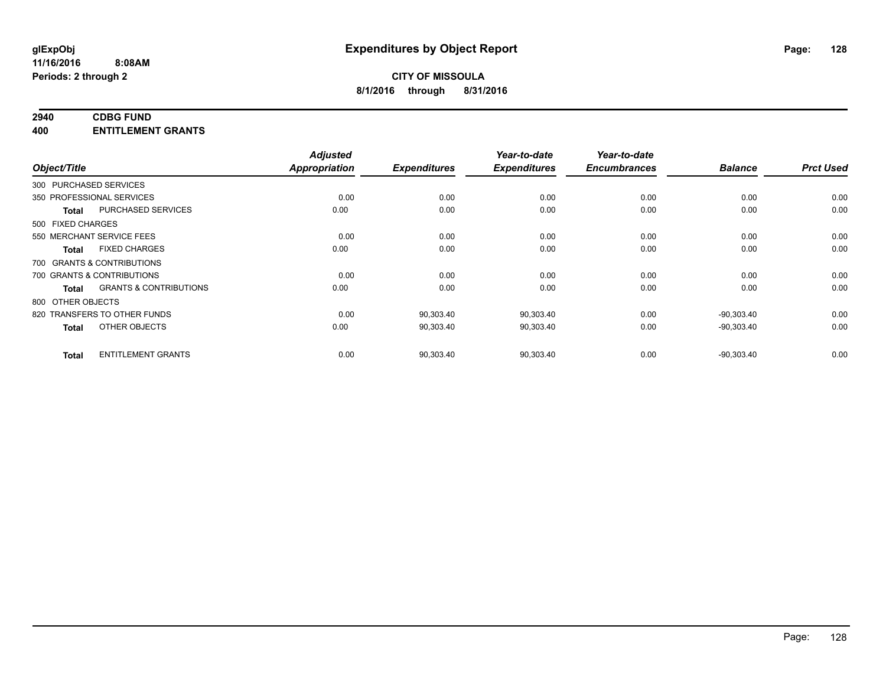# **2940 CDBG FUND**

**400 ENTITLEMENT GRANTS**

| Object/Title           |                                   | <b>Adjusted</b><br><b>Appropriation</b> | <b>Expenditures</b> | Year-to-date<br><b>Expenditures</b> | Year-to-date<br><b>Encumbrances</b> | <b>Balance</b> | <b>Prct Used</b> |
|------------------------|-----------------------------------|-----------------------------------------|---------------------|-------------------------------------|-------------------------------------|----------------|------------------|
| 300 PURCHASED SERVICES |                                   |                                         |                     |                                     |                                     |                |                  |
|                        | 350 PROFESSIONAL SERVICES         | 0.00                                    | 0.00                | 0.00                                | 0.00                                | 0.00           | 0.00             |
| <b>Total</b>           | <b>PURCHASED SERVICES</b>         | 0.00                                    | 0.00                | 0.00                                | 0.00                                | 0.00           | 0.00             |
| 500 FIXED CHARGES      |                                   |                                         |                     |                                     |                                     |                |                  |
|                        | 550 MERCHANT SERVICE FEES         | 0.00                                    | 0.00                | 0.00                                | 0.00                                | 0.00           | 0.00             |
| Total                  | <b>FIXED CHARGES</b>              | 0.00                                    | 0.00                | 0.00                                | 0.00                                | 0.00           | 0.00             |
|                        | 700 GRANTS & CONTRIBUTIONS        |                                         |                     |                                     |                                     |                |                  |
|                        | 700 GRANTS & CONTRIBUTIONS        | 0.00                                    | 0.00                | 0.00                                | 0.00                                | 0.00           | 0.00             |
| <b>Total</b>           | <b>GRANTS &amp; CONTRIBUTIONS</b> | 0.00                                    | 0.00                | 0.00                                | 0.00                                | 0.00           | 0.00             |
| 800 OTHER OBJECTS      |                                   |                                         |                     |                                     |                                     |                |                  |
|                        | 820 TRANSFERS TO OTHER FUNDS      | 0.00                                    | 90,303.40           | 90,303.40                           | 0.00                                | $-90.303.40$   | 0.00             |
| <b>Total</b>           | OTHER OBJECTS                     | 0.00                                    | 90,303.40           | 90,303.40                           | 0.00                                | $-90,303.40$   | 0.00             |
| <b>Total</b>           | <b>ENTITLEMENT GRANTS</b>         | 0.00                                    | 90,303.40           | 90,303.40                           | 0.00                                | $-90,303.40$   | 0.00             |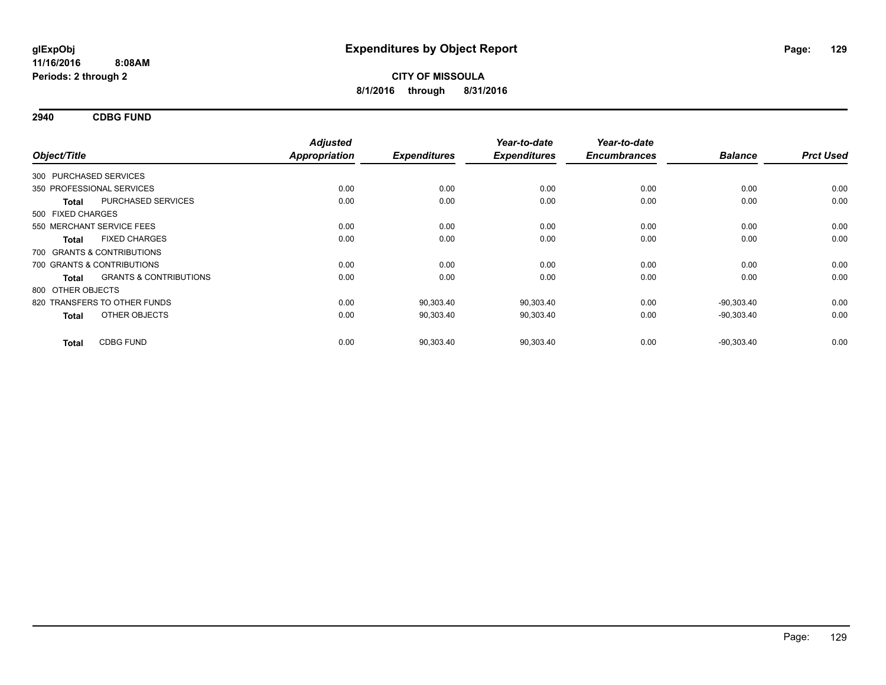**2940 CDBG FUND**

| Object/Title           |                                   | <b>Adjusted</b><br><b>Appropriation</b> | <b>Expenditures</b> | Year-to-date<br><b>Expenditures</b> | Year-to-date<br><b>Encumbrances</b> | <b>Balance</b> | <b>Prct Used</b> |
|------------------------|-----------------------------------|-----------------------------------------|---------------------|-------------------------------------|-------------------------------------|----------------|------------------|
| 300 PURCHASED SERVICES |                                   |                                         |                     |                                     |                                     |                |                  |
|                        | 350 PROFESSIONAL SERVICES         | 0.00                                    | 0.00                | 0.00                                | 0.00                                | 0.00           | 0.00             |
| <b>Total</b>           | PURCHASED SERVICES                | 0.00                                    | 0.00                | 0.00                                | 0.00                                | 0.00           | 0.00             |
| 500 FIXED CHARGES      |                                   |                                         |                     |                                     |                                     |                |                  |
|                        | 550 MERCHANT SERVICE FEES         | 0.00                                    | 0.00                | 0.00                                | 0.00                                | 0.00           | 0.00             |
| <b>Total</b>           | <b>FIXED CHARGES</b>              | 0.00                                    | 0.00                | 0.00                                | 0.00                                | 0.00           | 0.00             |
|                        | 700 GRANTS & CONTRIBUTIONS        |                                         |                     |                                     |                                     |                |                  |
|                        | 700 GRANTS & CONTRIBUTIONS        | 0.00                                    | 0.00                | 0.00                                | 0.00                                | 0.00           | 0.00             |
| Total                  | <b>GRANTS &amp; CONTRIBUTIONS</b> | 0.00                                    | 0.00                | 0.00                                | 0.00                                | 0.00           | 0.00             |
| 800 OTHER OBJECTS      |                                   |                                         |                     |                                     |                                     |                |                  |
|                        | 820 TRANSFERS TO OTHER FUNDS      | 0.00                                    | 90,303.40           | 90,303.40                           | 0.00                                | $-90,303.40$   | 0.00             |
| <b>Total</b>           | OTHER OBJECTS                     | 0.00                                    | 90,303.40           | 90,303.40                           | 0.00                                | $-90,303.40$   | 0.00             |
| <b>Total</b>           | <b>CDBG FUND</b>                  | 0.00                                    | 90,303.40           | 90,303.40                           | 0.00                                | $-90,303.40$   | 0.00             |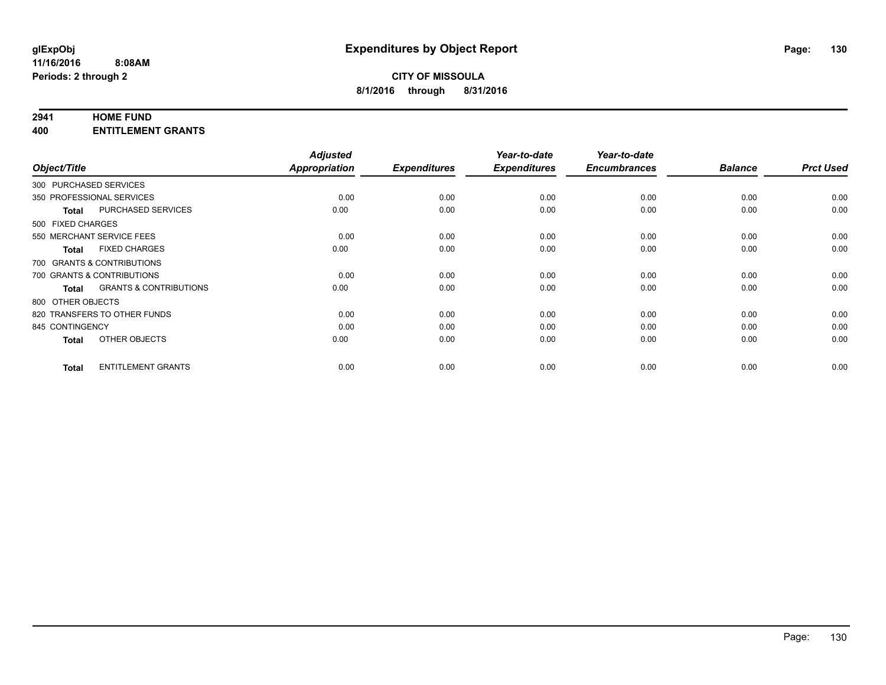#### **2941 HOME FUND**

**400 ENTITLEMENT GRANTS**

| Object/Title              |                                   | <b>Adjusted</b><br>Appropriation | <b>Expenditures</b> | Year-to-date<br><b>Expenditures</b> | Year-to-date<br><b>Encumbrances</b> | <b>Balance</b> | <b>Prct Used</b> |
|---------------------------|-----------------------------------|----------------------------------|---------------------|-------------------------------------|-------------------------------------|----------------|------------------|
| 300 PURCHASED SERVICES    |                                   |                                  |                     |                                     |                                     |                |                  |
| 350 PROFESSIONAL SERVICES |                                   | 0.00                             | 0.00                | 0.00                                | 0.00                                | 0.00           | 0.00             |
| <b>Total</b>              | <b>PURCHASED SERVICES</b>         | 0.00                             | 0.00                | 0.00                                | 0.00                                | 0.00           | 0.00             |
| 500 FIXED CHARGES         |                                   |                                  |                     |                                     |                                     |                |                  |
|                           | 550 MERCHANT SERVICE FEES         | 0.00                             | 0.00                | 0.00                                | 0.00                                | 0.00           | 0.00             |
| <b>Total</b>              | <b>FIXED CHARGES</b>              | 0.00                             | 0.00                | 0.00                                | 0.00                                | 0.00           | 0.00             |
|                           | 700 GRANTS & CONTRIBUTIONS        |                                  |                     |                                     |                                     |                |                  |
|                           | 700 GRANTS & CONTRIBUTIONS        | 0.00                             | 0.00                | 0.00                                | 0.00                                | 0.00           | 0.00             |
| <b>Total</b>              | <b>GRANTS &amp; CONTRIBUTIONS</b> | 0.00                             | 0.00                | 0.00                                | 0.00                                | 0.00           | 0.00             |
| 800 OTHER OBJECTS         |                                   |                                  |                     |                                     |                                     |                |                  |
|                           | 820 TRANSFERS TO OTHER FUNDS      | 0.00                             | 0.00                | 0.00                                | 0.00                                | 0.00           | 0.00             |
| 845 CONTINGENCY           |                                   | 0.00                             | 0.00                | 0.00                                | 0.00                                | 0.00           | 0.00             |
| <b>Total</b>              | OTHER OBJECTS                     | 0.00                             | 0.00                | 0.00                                | 0.00                                | 0.00           | 0.00             |
| <b>Total</b>              | <b>ENTITLEMENT GRANTS</b>         | 0.00                             | 0.00                | 0.00                                | 0.00                                | 0.00           | 0.00             |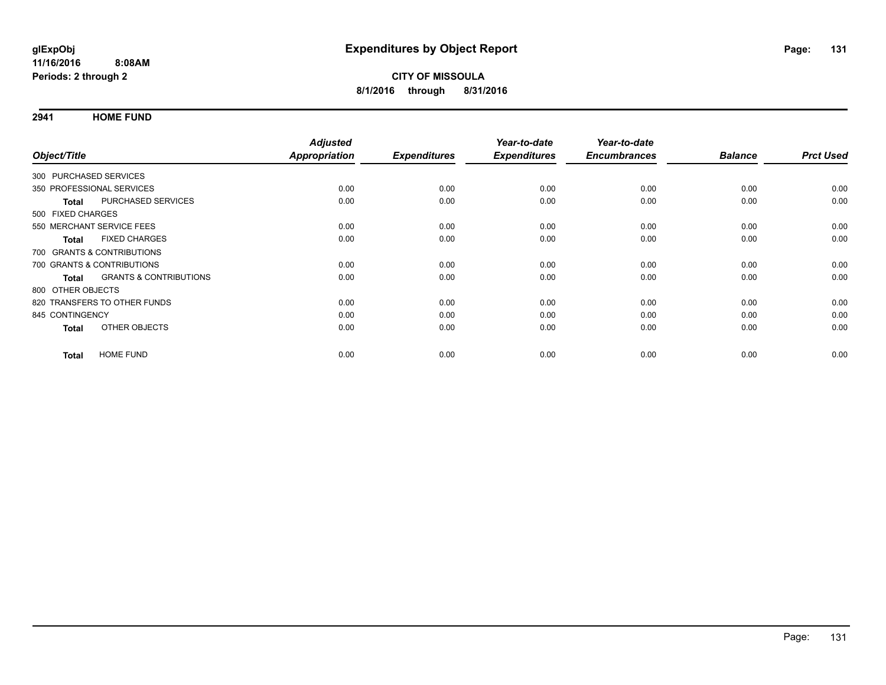**2941 HOME FUND**

| Object/Title                                      | <b>Adjusted</b>                                     |                       | Year-to-date                | Year-to-date<br><b>Encumbrances</b> |      | <b>Prct Used</b>       |
|---------------------------------------------------|-----------------------------------------------------|-----------------------|-----------------------------|-------------------------------------|------|------------------------|
|                                                   |                                                     |                       |                             |                                     |      |                        |
|                                                   |                                                     |                       |                             |                                     |      |                        |
|                                                   |                                                     |                       |                             |                                     |      | 0.00                   |
| PURCHASED SERVICES<br><b>Total</b>                | 0.00                                                | 0.00                  | 0.00                        | 0.00                                | 0.00 | 0.00                   |
| 500 FIXED CHARGES                                 |                                                     |                       |                             |                                     |      |                        |
| 550 MERCHANT SERVICE FEES                         | 0.00                                                | 0.00                  | 0.00                        | 0.00                                | 0.00 | 0.00                   |
| <b>FIXED CHARGES</b><br><b>Total</b>              | 0.00                                                | 0.00                  | 0.00                        | 0.00                                | 0.00 | 0.00                   |
| 700 GRANTS & CONTRIBUTIONS                        |                                                     |                       |                             |                                     |      |                        |
| 700 GRANTS & CONTRIBUTIONS                        | 0.00                                                | 0.00                  | 0.00                        | 0.00                                | 0.00 | 0.00                   |
| <b>GRANTS &amp; CONTRIBUTIONS</b><br><b>Total</b> | 0.00                                                | 0.00                  | 0.00                        | 0.00                                | 0.00 | 0.00                   |
| 800 OTHER OBJECTS                                 |                                                     |                       |                             |                                     |      |                        |
| 820 TRANSFERS TO OTHER FUNDS                      | 0.00                                                | 0.00                  | 0.00                        | 0.00                                | 0.00 | 0.00                   |
| 845 CONTINGENCY                                   | 0.00                                                | 0.00                  | 0.00                        | 0.00                                | 0.00 | 0.00                   |
| OTHER OBJECTS<br><b>Total</b>                     | 0.00                                                | 0.00                  | 0.00                        | 0.00                                | 0.00 | 0.00                   |
| <b>HOME FUND</b><br><b>Total</b>                  | 0.00                                                | 0.00                  | 0.00                        | 0.00                                | 0.00 | 0.00                   |
|                                                   | 300 PURCHASED SERVICES<br>350 PROFESSIONAL SERVICES | Appropriation<br>0.00 | <b>Expenditures</b><br>0.00 | <b>Expenditures</b><br>0.00         | 0.00 | <b>Balance</b><br>0.00 |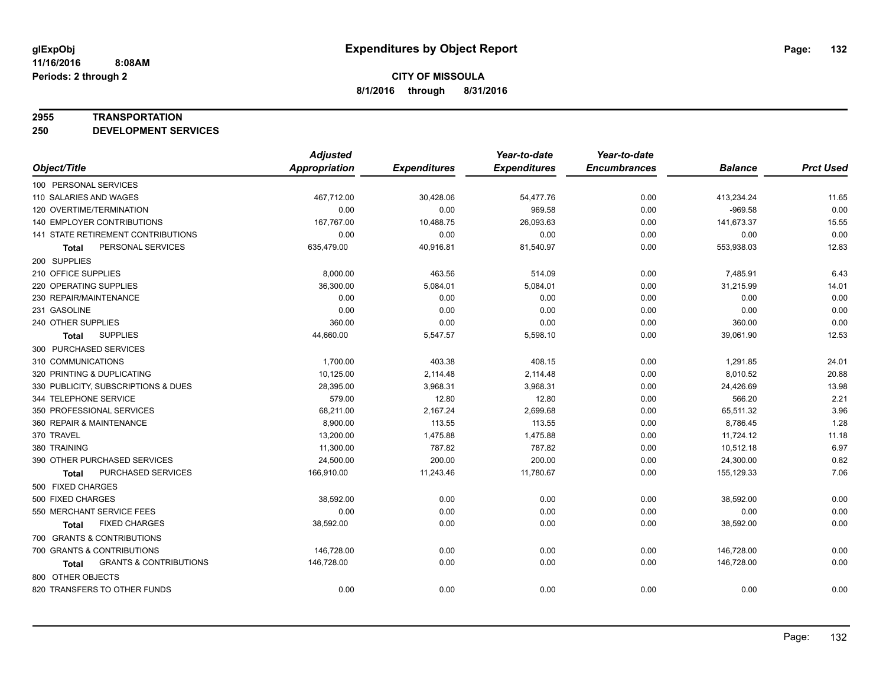#### **2955 TRANSPORTATION**

**250 DEVELOPMENT SERVICES**

|                                            | <b>Adjusted</b>      |                     | Year-to-date        | Year-to-date        |                |                  |
|--------------------------------------------|----------------------|---------------------|---------------------|---------------------|----------------|------------------|
| Object/Title                               | <b>Appropriation</b> | <b>Expenditures</b> | <b>Expenditures</b> | <b>Encumbrances</b> | <b>Balance</b> | <b>Prct Used</b> |
| 100 PERSONAL SERVICES                      |                      |                     |                     |                     |                |                  |
| 110 SALARIES AND WAGES                     | 467,712.00           | 30,428.06           | 54,477.76           | 0.00                | 413,234.24     | 11.65            |
| 120 OVERTIME/TERMINATION                   | 0.00                 | 0.00                | 969.58              | 0.00                | $-969.58$      | 0.00             |
| 140 EMPLOYER CONTRIBUTIONS                 | 167,767.00           | 10,488.75           | 26,093.63           | 0.00                | 141,673.37     | 15.55            |
| 141 STATE RETIREMENT CONTRIBUTIONS         | 0.00                 | 0.00                | 0.00                | 0.00                | 0.00           | 0.00             |
| PERSONAL SERVICES<br>Total                 | 635,479.00           | 40,916.81           | 81,540.97           | 0.00                | 553,938.03     | 12.83            |
| 200 SUPPLIES                               |                      |                     |                     |                     |                |                  |
| 210 OFFICE SUPPLIES                        | 8,000.00             | 463.56              | 514.09              | 0.00                | 7,485.91       | 6.43             |
| 220 OPERATING SUPPLIES                     | 36,300.00            | 5,084.01            | 5,084.01            | 0.00                | 31,215.99      | 14.01            |
| 230 REPAIR/MAINTENANCE                     | 0.00                 | 0.00                | 0.00                | 0.00                | 0.00           | 0.00             |
| 231 GASOLINE                               | 0.00                 | 0.00                | 0.00                | 0.00                | 0.00           | 0.00             |
| 240 OTHER SUPPLIES                         | 360.00               | 0.00                | 0.00                | 0.00                | 360.00         | 0.00             |
| <b>SUPPLIES</b><br><b>Total</b>            | 44,660.00            | 5,547.57            | 5,598.10            | 0.00                | 39,061.90      | 12.53            |
| 300 PURCHASED SERVICES                     |                      |                     |                     |                     |                |                  |
| 310 COMMUNICATIONS                         | 1,700.00             | 403.38              | 408.15              | 0.00                | 1,291.85       | 24.01            |
| 320 PRINTING & DUPLICATING                 | 10,125.00            | 2,114.48            | 2,114.48            | 0.00                | 8,010.52       | 20.88            |
| 330 PUBLICITY, SUBSCRIPTIONS & DUES        | 28,395.00            | 3,968.31            | 3,968.31            | 0.00                | 24,426.69      | 13.98            |
| 344 TELEPHONE SERVICE                      | 579.00               | 12.80               | 12.80               | 0.00                | 566.20         | 2.21             |
| 350 PROFESSIONAL SERVICES                  | 68,211.00            | 2,167.24            | 2,699.68            | 0.00                | 65,511.32      | 3.96             |
| 360 REPAIR & MAINTENANCE                   | 8,900.00             | 113.55              | 113.55              | 0.00                | 8,786.45       | 1.28             |
| 370 TRAVEL                                 | 13,200.00            | 1,475.88            | 1,475.88            | 0.00                | 11,724.12      | 11.18            |
| 380 TRAINING                               | 11,300.00            | 787.82              | 787.82              | 0.00                | 10,512.18      | 6.97             |
| 390 OTHER PURCHASED SERVICES               | 24,500.00            | 200.00              | 200.00              | 0.00                | 24,300.00      | 0.82             |
| PURCHASED SERVICES<br>Total                | 166,910.00           | 11,243.46           | 11,780.67           | 0.00                | 155,129.33     | 7.06             |
| 500 FIXED CHARGES                          |                      |                     |                     |                     |                |                  |
| 500 FIXED CHARGES                          | 38,592.00            | 0.00                | 0.00                | 0.00                | 38,592.00      | 0.00             |
| 550 MERCHANT SERVICE FEES                  | 0.00                 | 0.00                | 0.00                | 0.00                | 0.00           | 0.00             |
| <b>FIXED CHARGES</b><br><b>Total</b>       | 38,592.00            | 0.00                | 0.00                | 0.00                | 38,592.00      | 0.00             |
| 700 GRANTS & CONTRIBUTIONS                 |                      |                     |                     |                     |                |                  |
| 700 GRANTS & CONTRIBUTIONS                 | 146,728.00           | 0.00                | 0.00                | 0.00                | 146,728.00     | 0.00             |
| <b>GRANTS &amp; CONTRIBUTIONS</b><br>Total | 146,728.00           | 0.00                | 0.00                | 0.00                | 146,728.00     | 0.00             |
| 800 OTHER OBJECTS                          |                      |                     |                     |                     |                |                  |
| 820 TRANSFERS TO OTHER FUNDS               | 0.00                 | 0.00                | 0.00                | 0.00                | 0.00           | 0.00             |
|                                            |                      |                     |                     |                     |                |                  |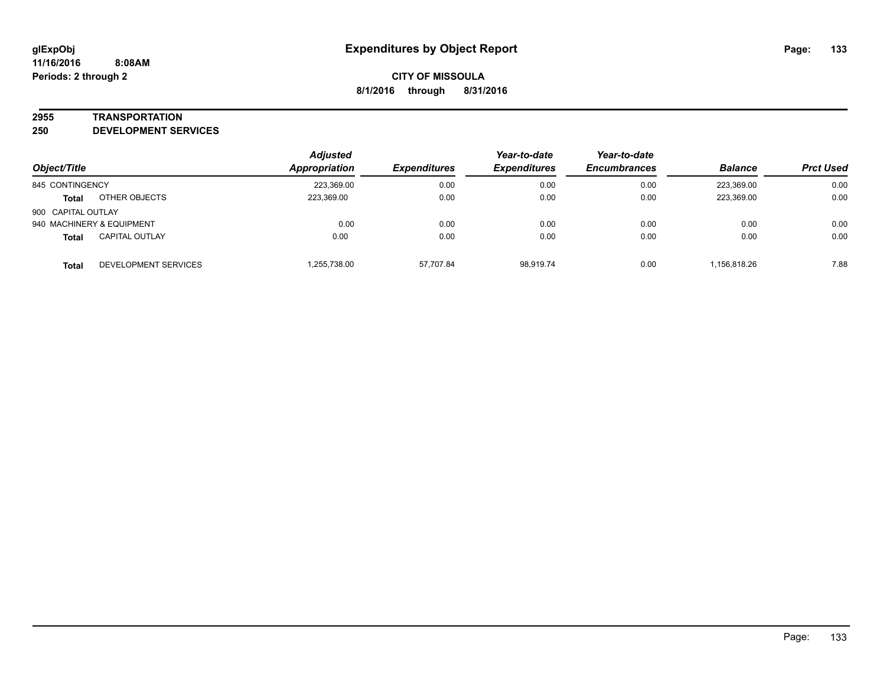#### **2955 TRANSPORTATION**

**250 DEVELOPMENT SERVICES**

| Object/Title       |                           | <b>Adjusted</b><br>Appropriation<br><b>Expenditures</b> | Year-to-date<br><b>Expenditures</b> | Year-to-date<br><b>Encumbrances</b> | <b>Balance</b> | <b>Prct Used</b> |      |
|--------------------|---------------------------|---------------------------------------------------------|-------------------------------------|-------------------------------------|----------------|------------------|------|
|                    |                           |                                                         |                                     |                                     |                |                  |      |
| 845 CONTINGENCY    |                           | 223,369.00                                              | 0.00                                | 0.00                                | 0.00           | 223.369.00       | 0.00 |
| <b>Total</b>       | OTHER OBJECTS             | 223,369.00                                              | 0.00                                | 0.00                                | 0.00           | 223,369.00       | 0.00 |
| 900 CAPITAL OUTLAY |                           |                                                         |                                     |                                     |                |                  |      |
|                    | 940 MACHINERY & EQUIPMENT | 0.00                                                    | 0.00                                | 0.00                                | 0.00           | 0.00             | 0.00 |
| <b>Total</b>       | <b>CAPITAL OUTLAY</b>     | 0.00                                                    | 0.00                                | 0.00                                | 0.00           | 0.00             | 0.00 |
| Total              | DEVELOPMENT SERVICES      | .255,738.00                                             | 57,707.84                           | 98.919.74                           | 0.00           | 1,156,818.26     | 7.88 |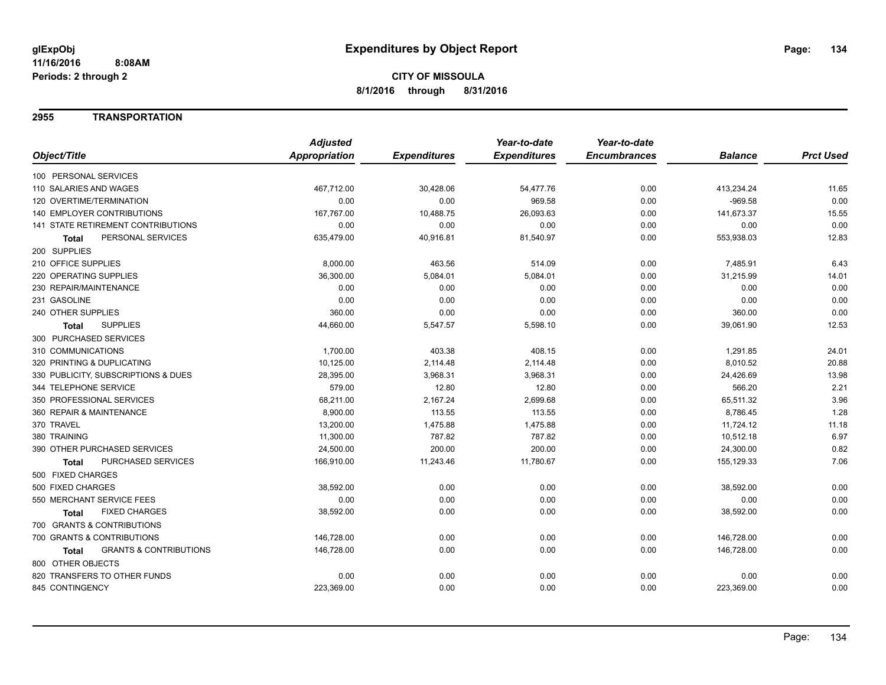### **2955 TRANSPORTATION**

|                                                   | <b>Adjusted</b> |                     | Year-to-date        | Year-to-date        |                |                  |
|---------------------------------------------------|-----------------|---------------------|---------------------|---------------------|----------------|------------------|
| Object/Title                                      | Appropriation   | <b>Expenditures</b> | <b>Expenditures</b> | <b>Encumbrances</b> | <b>Balance</b> | <b>Prct Used</b> |
| 100 PERSONAL SERVICES                             |                 |                     |                     |                     |                |                  |
| 110 SALARIES AND WAGES                            | 467,712.00      | 30,428.06           | 54,477.76           | 0.00                | 413,234.24     | 11.65            |
| 120 OVERTIME/TERMINATION                          | 0.00            | 0.00                | 969.58              | 0.00                | $-969.58$      | 0.00             |
| <b>140 EMPLOYER CONTRIBUTIONS</b>                 | 167,767.00      | 10,488.75           | 26,093.63           | 0.00                | 141,673.37     | 15.55            |
| <b>141 STATE RETIREMENT CONTRIBUTIONS</b>         | 0.00            | 0.00                | 0.00                | 0.00                | 0.00           | 0.00             |
| PERSONAL SERVICES<br>Total                        | 635,479.00      | 40,916.81           | 81,540.97           | 0.00                | 553,938.03     | 12.83            |
| 200 SUPPLIES                                      |                 |                     |                     |                     |                |                  |
| 210 OFFICE SUPPLIES                               | 8,000.00        | 463.56              | 514.09              | 0.00                | 7,485.91       | 6.43             |
| <b>220 OPERATING SUPPLIES</b>                     | 36,300.00       | 5,084.01            | 5,084.01            | 0.00                | 31,215.99      | 14.01            |
| 230 REPAIR/MAINTENANCE                            | 0.00            | 0.00                | 0.00                | 0.00                | 0.00           | 0.00             |
| 231 GASOLINE                                      | 0.00            | 0.00                | 0.00                | 0.00                | 0.00           | 0.00             |
| 240 OTHER SUPPLIES                                | 360.00          | 0.00                | 0.00                | 0.00                | 360.00         | 0.00             |
| <b>SUPPLIES</b><br><b>Total</b>                   | 44,660.00       | 5,547.57            | 5,598.10            | 0.00                | 39,061.90      | 12.53            |
| 300 PURCHASED SERVICES                            |                 |                     |                     |                     |                |                  |
| 310 COMMUNICATIONS                                | 1,700.00        | 403.38              | 408.15              | 0.00                | 1,291.85       | 24.01            |
| 320 PRINTING & DUPLICATING                        | 10,125.00       | 2,114.48            | 2,114.48            | 0.00                | 8,010.52       | 20.88            |
| 330 PUBLICITY, SUBSCRIPTIONS & DUES               | 28,395.00       | 3,968.31            | 3,968.31            | 0.00                | 24,426.69      | 13.98            |
| 344 TELEPHONE SERVICE                             | 579.00          | 12.80               | 12.80               | 0.00                | 566.20         | 2.21             |
| 350 PROFESSIONAL SERVICES                         | 68,211.00       | 2,167.24            | 2,699.68            | 0.00                | 65,511.32      | 3.96             |
| 360 REPAIR & MAINTENANCE                          | 8,900.00        | 113.55              | 113.55              | 0.00                | 8,786.45       | 1.28             |
| 370 TRAVEL                                        | 13,200.00       | 1,475.88            | 1,475.88            | 0.00                | 11,724.12      | 11.18            |
| 380 TRAINING                                      | 11,300.00       | 787.82              | 787.82              | 0.00                | 10,512.18      | 6.97             |
| 390 OTHER PURCHASED SERVICES                      | 24,500.00       | 200.00              | 200.00              | 0.00                | 24,300.00      | 0.82             |
| PURCHASED SERVICES<br><b>Total</b>                | 166,910.00      | 11,243.46           | 11,780.67           | 0.00                | 155,129.33     | 7.06             |
| 500 FIXED CHARGES                                 |                 |                     |                     |                     |                |                  |
| 500 FIXED CHARGES                                 | 38,592.00       | 0.00                | 0.00                | 0.00                | 38,592.00      | 0.00             |
| 550 MERCHANT SERVICE FEES                         | 0.00            | 0.00                | 0.00                | 0.00                | 0.00           | 0.00             |
| <b>FIXED CHARGES</b><br>Total                     | 38,592.00       | 0.00                | 0.00                | 0.00                | 38,592.00      | 0.00             |
| 700 GRANTS & CONTRIBUTIONS                        |                 |                     |                     |                     |                |                  |
| 700 GRANTS & CONTRIBUTIONS                        | 146,728.00      | 0.00                | 0.00                | 0.00                | 146,728.00     | 0.00             |
| <b>GRANTS &amp; CONTRIBUTIONS</b><br><b>Total</b> | 146,728.00      | 0.00                | 0.00                | 0.00                | 146,728.00     | 0.00             |
| 800 OTHER OBJECTS                                 |                 |                     |                     |                     |                |                  |
| 820 TRANSFERS TO OTHER FUNDS                      | 0.00            | 0.00                | 0.00                | 0.00                | 0.00           | 0.00             |
| 845 CONTINGENCY                                   | 223,369.00      | 0.00                | 0.00                | 0.00                | 223,369.00     | 0.00             |
|                                                   |                 |                     |                     |                     |                |                  |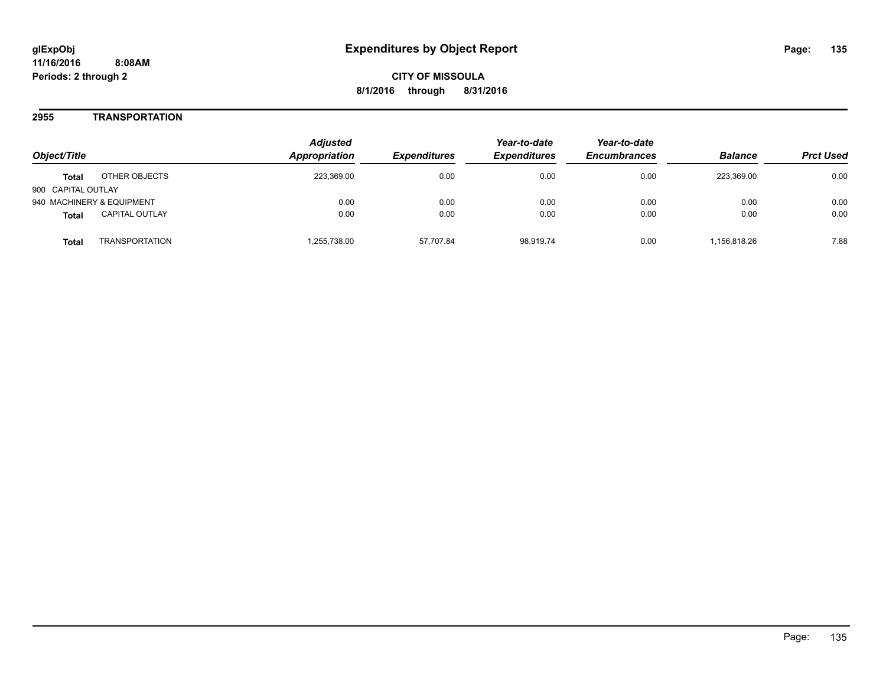**CITY OF MISSOULA 8/1/2016 through 8/31/2016**

### **2955 TRANSPORTATION**

| Object/Title              |                       | <b>Adjusted</b><br>Appropriation | <i><b>Expenditures</b></i> | Year-to-date<br><b>Expenditures</b> | Year-to-date<br><b>Encumbrances</b> | <b>Balance</b> | <b>Prct Used</b> |
|---------------------------|-----------------------|----------------------------------|----------------------------|-------------------------------------|-------------------------------------|----------------|------------------|
| <b>Total</b>              | OTHER OBJECTS         | 223,369.00                       | 0.00                       | 0.00                                | 0.00                                | 223.369.00     | 0.00             |
| 900 CAPITAL OUTLAY        |                       |                                  |                            |                                     |                                     |                |                  |
| 940 MACHINERY & EQUIPMENT |                       | 0.00                             | 0.00                       | 0.00                                | 0.00                                | 0.00           | 0.00             |
| <b>Total</b>              | <b>CAPITAL OUTLAY</b> | 0.00                             | 0.00                       | 0.00                                | 0.00                                | 0.00           | 0.00             |
| Total                     | <b>TRANSPORTATION</b> | .255.738.00                      | 57.707.84                  | 98.919.74                           | 0.00                                | 1,156,818.26   | 7.88             |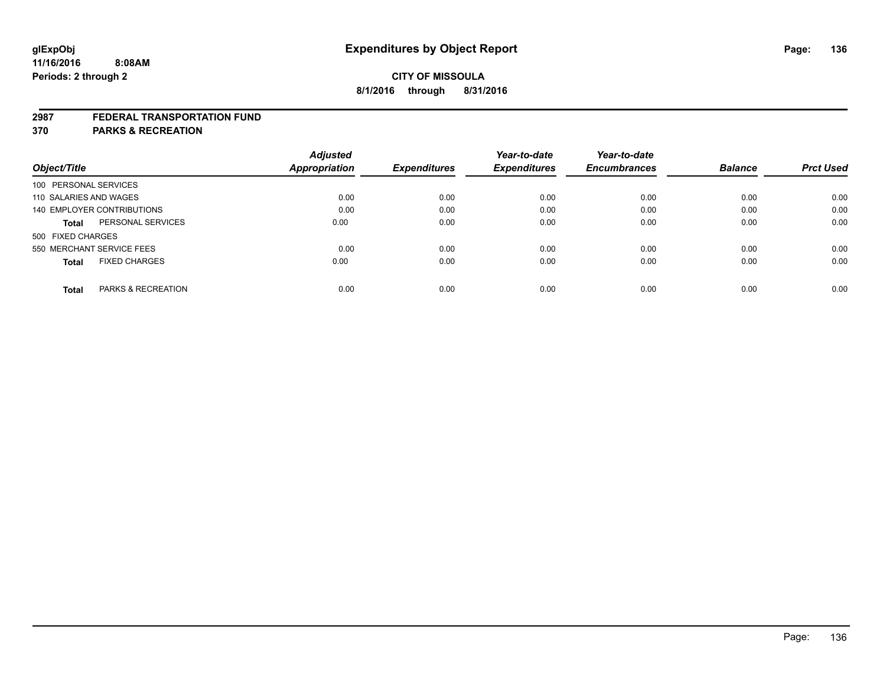#### **2987 FEDERAL TRANSPORTATION FUND**

**370 PARKS & RECREATION**

|                                        | <b>Adjusted</b> |                     | Year-to-date        | Year-to-date        |                |                  |
|----------------------------------------|-----------------|---------------------|---------------------|---------------------|----------------|------------------|
| Object/Title                           | Appropriation   | <b>Expenditures</b> | <b>Expenditures</b> | <b>Encumbrances</b> | <b>Balance</b> | <b>Prct Used</b> |
| 100 PERSONAL SERVICES                  |                 |                     |                     |                     |                |                  |
| 110 SALARIES AND WAGES                 | 0.00            | 0.00                | 0.00                | 0.00                | 0.00           | 0.00             |
| 140 EMPLOYER CONTRIBUTIONS             | 0.00            | 0.00                | 0.00                | 0.00                | 0.00           | 0.00             |
| PERSONAL SERVICES<br><b>Total</b>      | 0.00            | 0.00                | 0.00                | 0.00                | 0.00           | 0.00             |
| 500 FIXED CHARGES                      |                 |                     |                     |                     |                |                  |
| 550 MERCHANT SERVICE FEES              | 0.00            | 0.00                | 0.00                | 0.00                | 0.00           | 0.00             |
| <b>FIXED CHARGES</b><br><b>Total</b>   | 0.00            | 0.00                | 0.00                | 0.00                | 0.00           | 0.00             |
| <b>PARKS &amp; RECREATION</b><br>Total | 0.00            | 0.00                | 0.00                | 0.00                | 0.00           | 0.00             |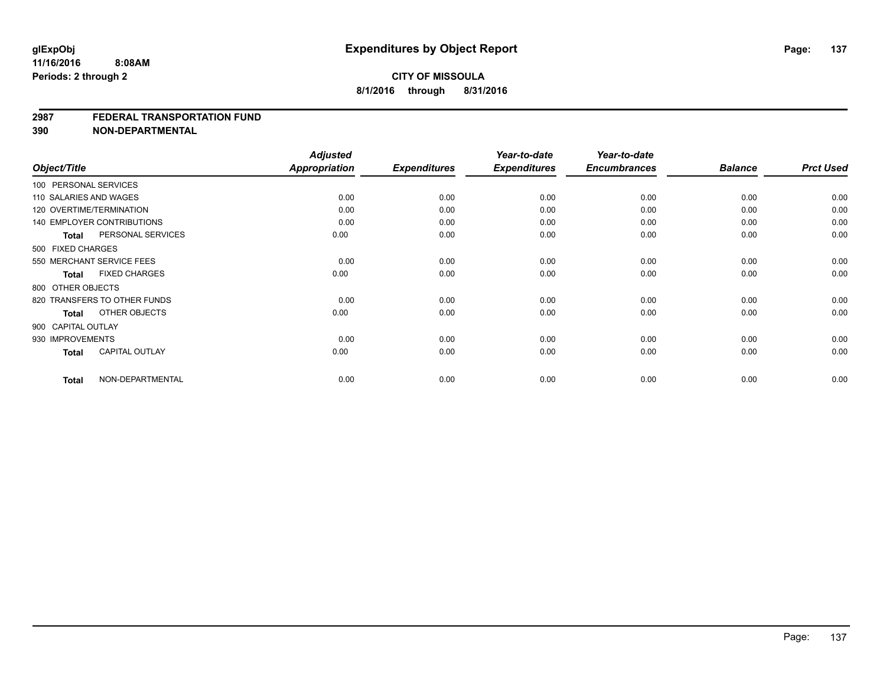#### **2987 FEDERAL TRANSPORTATION FUND**

**390 NON-DEPARTMENTAL**

|              |                                   | <b>Adjusted</b> |                     | Year-to-date        | Year-to-date        |                |                  |
|--------------|-----------------------------------|-----------------|---------------------|---------------------|---------------------|----------------|------------------|
| Object/Title |                                   | Appropriation   | <b>Expenditures</b> | <b>Expenditures</b> | <b>Encumbrances</b> | <b>Balance</b> | <b>Prct Used</b> |
|              | 100 PERSONAL SERVICES             |                 |                     |                     |                     |                |                  |
|              | 110 SALARIES AND WAGES            | 0.00            | 0.00                | 0.00                | 0.00                | 0.00           | 0.00             |
|              | 120 OVERTIME/TERMINATION          | 0.00            | 0.00                | 0.00                | 0.00                | 0.00           | 0.00             |
|              | <b>140 EMPLOYER CONTRIBUTIONS</b> | 0.00            | 0.00                | 0.00                | 0.00                | 0.00           | 0.00             |
|              | PERSONAL SERVICES<br><b>Total</b> | 0.00            | 0.00                | 0.00                | 0.00                | 0.00           | 0.00             |
|              | 500 FIXED CHARGES                 |                 |                     |                     |                     |                |                  |
|              | 550 MERCHANT SERVICE FEES         | 0.00            | 0.00                | 0.00                | 0.00                | 0.00           | 0.00             |
|              | <b>FIXED CHARGES</b><br>Total     | 0.00            | 0.00                | 0.00                | 0.00                | 0.00           | 0.00             |
|              | 800 OTHER OBJECTS                 |                 |                     |                     |                     |                |                  |
|              | 820 TRANSFERS TO OTHER FUNDS      | 0.00            | 0.00                | 0.00                | 0.00                | 0.00           | 0.00             |
|              | OTHER OBJECTS<br>Total            | 0.00            | 0.00                | 0.00                | 0.00                | 0.00           | 0.00             |
|              | 900 CAPITAL OUTLAY                |                 |                     |                     |                     |                |                  |
|              | 930 IMPROVEMENTS                  | 0.00            | 0.00                | 0.00                | 0.00                | 0.00           | 0.00             |
|              | <b>CAPITAL OUTLAY</b><br>Total    | 0.00            | 0.00                | 0.00                | 0.00                | 0.00           | 0.00             |
| <b>Total</b> | NON-DEPARTMENTAL                  | 0.00            | 0.00                | 0.00                | 0.00                | 0.00           | 0.00             |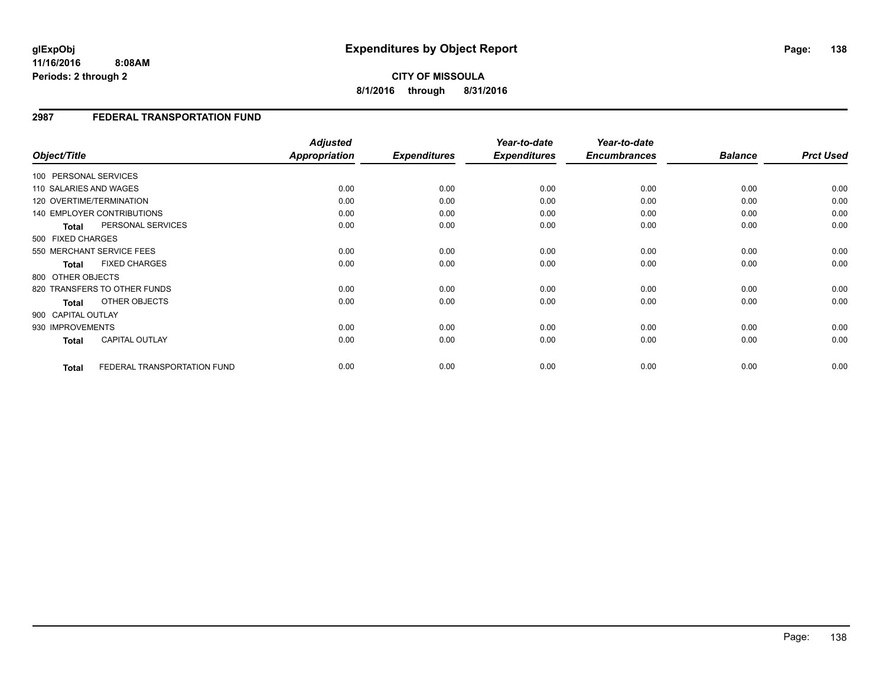**CITY OF MISSOULA 8/1/2016 through 8/31/2016**

### **2987 FEDERAL TRANSPORTATION FUND**

| Object/Title           |                                   | <b>Adjusted</b><br>Appropriation | <b>Expenditures</b> | Year-to-date<br><b>Expenditures</b> | Year-to-date<br><b>Encumbrances</b> | <b>Balance</b> | <b>Prct Used</b> |
|------------------------|-----------------------------------|----------------------------------|---------------------|-------------------------------------|-------------------------------------|----------------|------------------|
| 100 PERSONAL SERVICES  |                                   |                                  |                     |                                     |                                     |                |                  |
| 110 SALARIES AND WAGES |                                   | 0.00                             | 0.00                | 0.00                                | 0.00                                | 0.00           | 0.00             |
|                        | 120 OVERTIME/TERMINATION          | 0.00                             | 0.00                | 0.00                                | 0.00                                | 0.00           | 0.00             |
|                        | <b>140 EMPLOYER CONTRIBUTIONS</b> | 0.00                             | 0.00                | 0.00                                | 0.00                                | 0.00           | 0.00             |
| <b>Total</b>           | PERSONAL SERVICES                 | 0.00                             | 0.00                | 0.00                                | 0.00                                | 0.00           | 0.00             |
| 500 FIXED CHARGES      |                                   |                                  |                     |                                     |                                     |                |                  |
|                        | 550 MERCHANT SERVICE FEES         | 0.00                             | 0.00                | 0.00                                | 0.00                                | 0.00           | 0.00             |
| <b>Total</b>           | <b>FIXED CHARGES</b>              | 0.00                             | 0.00                | 0.00                                | 0.00                                | 0.00           | 0.00             |
| 800 OTHER OBJECTS      |                                   |                                  |                     |                                     |                                     |                |                  |
|                        | 820 TRANSFERS TO OTHER FUNDS      | 0.00                             | 0.00                | 0.00                                | 0.00                                | 0.00           | 0.00             |
| <b>Total</b>           | OTHER OBJECTS                     | 0.00                             | 0.00                | 0.00                                | 0.00                                | 0.00           | 0.00             |
| 900 CAPITAL OUTLAY     |                                   |                                  |                     |                                     |                                     |                |                  |
| 930 IMPROVEMENTS       |                                   | 0.00                             | 0.00                | 0.00                                | 0.00                                | 0.00           | 0.00             |
| <b>Total</b>           | <b>CAPITAL OUTLAY</b>             | 0.00                             | 0.00                | 0.00                                | 0.00                                | 0.00           | 0.00             |
|                        |                                   |                                  |                     |                                     |                                     |                |                  |
| <b>Total</b>           | FEDERAL TRANSPORTATION FUND       | 0.00                             | 0.00                | 0.00                                | 0.00                                | 0.00           | 0.00             |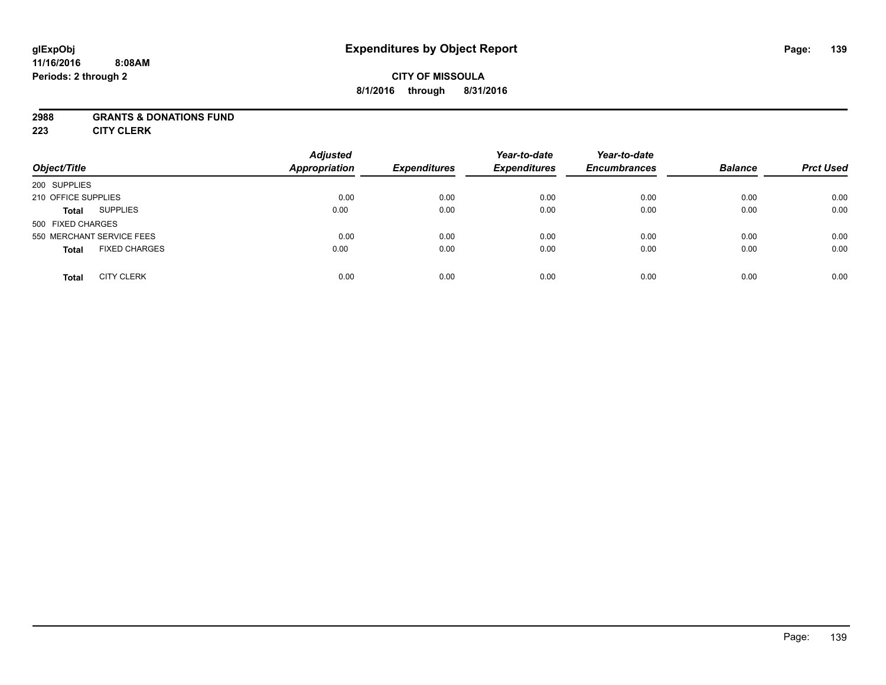## **CITY OF MISSOULA 8/1/2016 through 8/31/2016**

### **2988 GRANTS & DONATIONS FUND**

**223 CITY CLERK**

| Object/Title                         | <b>Adjusted</b><br><b>Appropriation</b> | <b>Expenditures</b> | Year-to-date<br><b>Expenditures</b> | Year-to-date<br><b>Encumbrances</b> | <b>Balance</b> | <b>Prct Used</b> |
|--------------------------------------|-----------------------------------------|---------------------|-------------------------------------|-------------------------------------|----------------|------------------|
| 200 SUPPLIES                         |                                         |                     |                                     |                                     |                |                  |
| 210 OFFICE SUPPLIES                  | 0.00                                    | 0.00                | 0.00                                | 0.00                                | 0.00           | 0.00             |
| <b>SUPPLIES</b><br><b>Total</b>      | 0.00                                    | 0.00                | 0.00                                | 0.00                                | 0.00           | 0.00             |
| 500 FIXED CHARGES                    |                                         |                     |                                     |                                     |                |                  |
| 550 MERCHANT SERVICE FEES            | 0.00                                    | 0.00                | 0.00                                | 0.00                                | 0.00           | 0.00             |
| <b>FIXED CHARGES</b><br><b>Total</b> | 0.00                                    | 0.00                | 0.00                                | 0.00                                | 0.00           | 0.00             |
| <b>CITY CLERK</b><br><b>Total</b>    | 0.00                                    | 0.00                | 0.00                                | 0.00                                | 0.00           | 0.00             |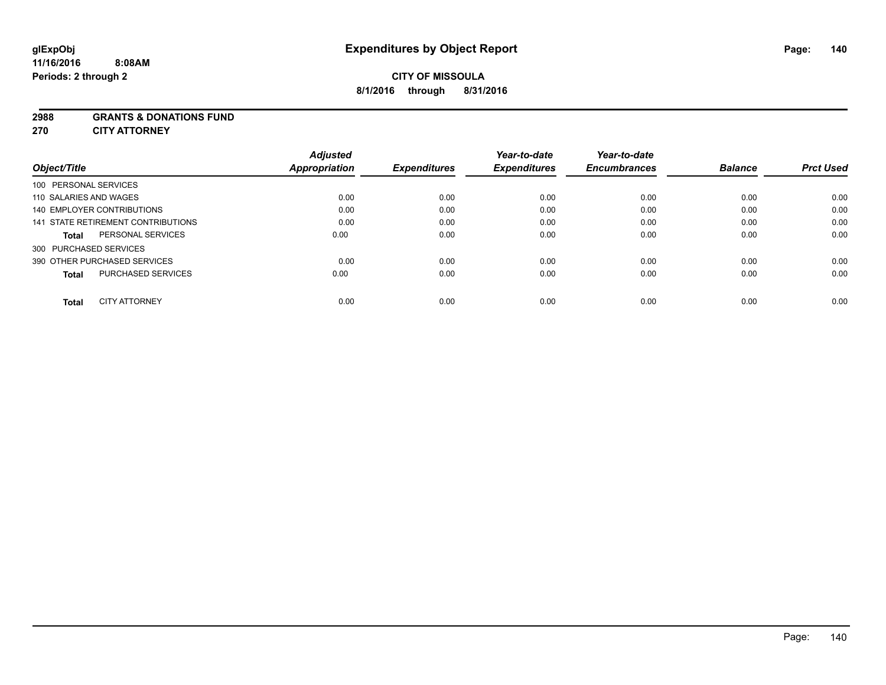#### **2988 GRANTS & DONATIONS FUND**

**270 CITY ATTORNEY**

| Object/Title                              | <b>Adjusted</b><br>Appropriation | <b>Expenditures</b> | Year-to-date<br><b>Expenditures</b> | Year-to-date<br><b>Encumbrances</b> | <b>Balance</b> | <b>Prct Used</b> |
|-------------------------------------------|----------------------------------|---------------------|-------------------------------------|-------------------------------------|----------------|------------------|
| 100 PERSONAL SERVICES                     |                                  |                     |                                     |                                     |                |                  |
| 110 SALARIES AND WAGES                    | 0.00                             | 0.00                | 0.00                                | 0.00                                | 0.00           | 0.00             |
| <b>140 EMPLOYER CONTRIBUTIONS</b>         | 0.00                             | 0.00                | 0.00                                | 0.00                                | 0.00           | 0.00             |
| 141 STATE RETIREMENT CONTRIBUTIONS        | 0.00                             | 0.00                | 0.00                                | 0.00                                | 0.00           | 0.00             |
| PERSONAL SERVICES<br><b>Total</b>         | 0.00                             | 0.00                | 0.00                                | 0.00                                | 0.00           | 0.00             |
| 300 PURCHASED SERVICES                    |                                  |                     |                                     |                                     |                |                  |
| 390 OTHER PURCHASED SERVICES              | 0.00                             | 0.00                | 0.00                                | 0.00                                | 0.00           | 0.00             |
| <b>PURCHASED SERVICES</b><br><b>Total</b> | 0.00                             | 0.00                | 0.00                                | 0.00                                | 0.00           | 0.00             |
| <b>CITY ATTORNEY</b><br>Total             | 0.00                             | 0.00                | 0.00                                | 0.00                                | 0.00           | 0.00             |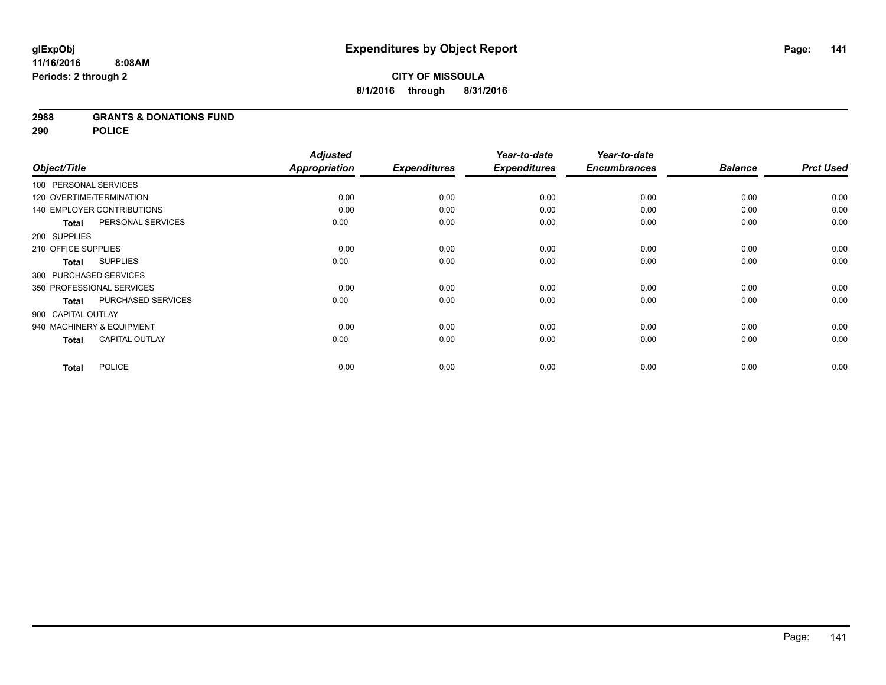### **2988 GRANTS & DONATIONS FUND**

**290 POLICE**

|                                       | <b>Adjusted</b> |                     | Year-to-date        | Year-to-date        |                |                  |
|---------------------------------------|-----------------|---------------------|---------------------|---------------------|----------------|------------------|
| Object/Title                          | Appropriation   | <b>Expenditures</b> | <b>Expenditures</b> | <b>Encumbrances</b> | <b>Balance</b> | <b>Prct Used</b> |
| 100 PERSONAL SERVICES                 |                 |                     |                     |                     |                |                  |
| 120 OVERTIME/TERMINATION              | 0.00            | 0.00                | 0.00                | 0.00                | 0.00           | 0.00             |
| <b>140 EMPLOYER CONTRIBUTIONS</b>     | 0.00            | 0.00                | 0.00                | 0.00                | 0.00           | 0.00             |
| PERSONAL SERVICES<br><b>Total</b>     | 0.00            | 0.00                | 0.00                | 0.00                | 0.00           | 0.00             |
| 200 SUPPLIES                          |                 |                     |                     |                     |                |                  |
| 210 OFFICE SUPPLIES                   | 0.00            | 0.00                | 0.00                | 0.00                | 0.00           | 0.00             |
| <b>SUPPLIES</b><br><b>Total</b>       | 0.00            | 0.00                | 0.00                | 0.00                | 0.00           | 0.00             |
| 300 PURCHASED SERVICES                |                 |                     |                     |                     |                |                  |
| 350 PROFESSIONAL SERVICES             | 0.00            | 0.00                | 0.00                | 0.00                | 0.00           | 0.00             |
| PURCHASED SERVICES<br><b>Total</b>    | 0.00            | 0.00                | 0.00                | 0.00                | 0.00           | 0.00             |
| 900 CAPITAL OUTLAY                    |                 |                     |                     |                     |                |                  |
| 940 MACHINERY & EQUIPMENT             | 0.00            | 0.00                | 0.00                | 0.00                | 0.00           | 0.00             |
| <b>CAPITAL OUTLAY</b><br><b>Total</b> | 0.00            | 0.00                | 0.00                | 0.00                | 0.00           | 0.00             |
| <b>POLICE</b><br><b>Total</b>         | 0.00            | 0.00                | 0.00                | 0.00                | 0.00           | 0.00             |
|                                       |                 |                     |                     |                     |                |                  |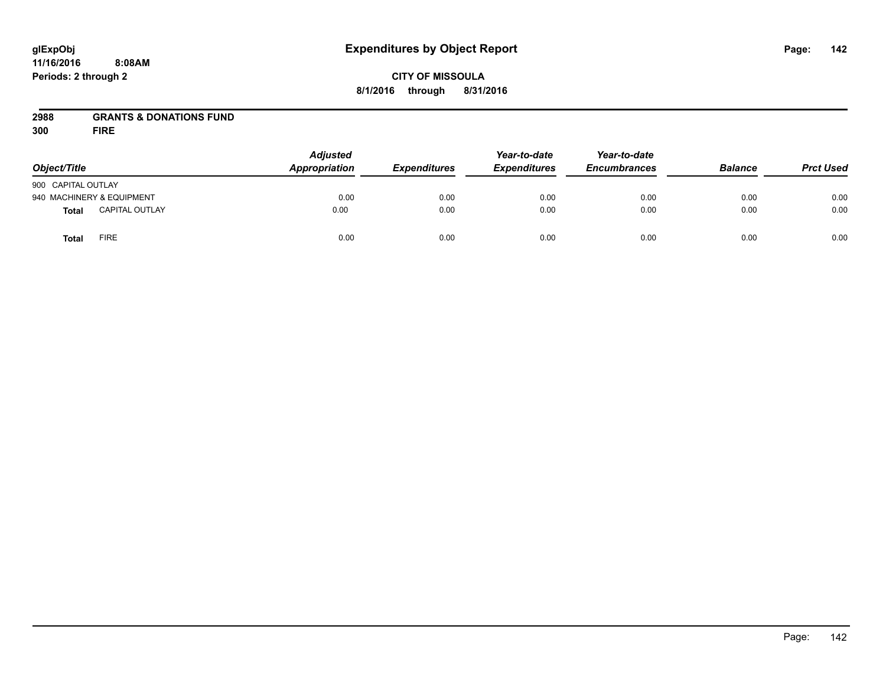## **CITY OF MISSOULA 8/1/2016 through 8/31/2016**

## **2988 GRANTS & DONATIONS FUND**

**300 FIRE**

| Object/Title              |                       | <b>Adjusted</b><br>Appropriation | <b>Expenditures</b> | Year-to-date<br><b>Expenditures</b> | Year-to-date<br><b>Encumbrances</b> | <b>Balance</b> | <b>Prct Used</b> |
|---------------------------|-----------------------|----------------------------------|---------------------|-------------------------------------|-------------------------------------|----------------|------------------|
| 900 CAPITAL OUTLAY        |                       |                                  |                     |                                     |                                     |                |                  |
| 940 MACHINERY & EQUIPMENT |                       | 0.00                             | 0.00                | 0.00                                | 0.00                                | 0.00           | 0.00             |
| <b>Total</b>              | <b>CAPITAL OUTLAY</b> | 0.00                             | 0.00                | 0.00                                | 0.00                                | 0.00           | 0.00             |
| <b>Total</b>              | FIRE                  | 0.00                             | 0.00                | 0.00                                | 0.00                                | 0.00           | 0.00             |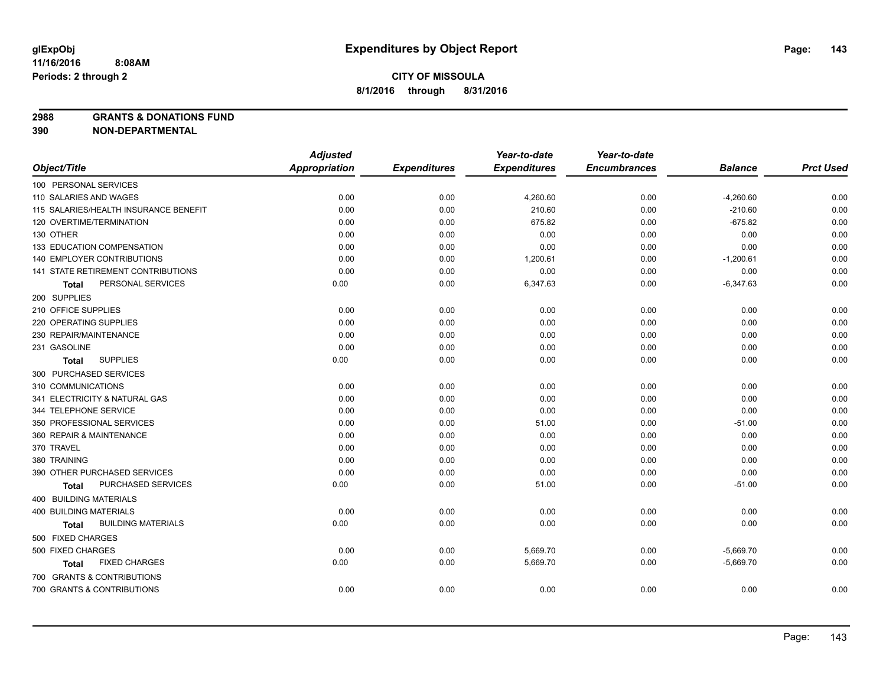**2988 GRANTS & DONATIONS FUND**

**390 NON-DEPARTMENTAL**

|                                           | <b>Adjusted</b>      |                     | Year-to-date        | Year-to-date        |                |                  |
|-------------------------------------------|----------------------|---------------------|---------------------|---------------------|----------------|------------------|
| Object/Title                              | <b>Appropriation</b> | <b>Expenditures</b> | <b>Expenditures</b> | <b>Encumbrances</b> | <b>Balance</b> | <b>Prct Used</b> |
| 100 PERSONAL SERVICES                     |                      |                     |                     |                     |                |                  |
| 110 SALARIES AND WAGES                    | 0.00                 | 0.00                | 4,260.60            | 0.00                | $-4,260.60$    | 0.00             |
| 115 SALARIES/HEALTH INSURANCE BENEFIT     | 0.00                 | 0.00                | 210.60              | 0.00                | $-210.60$      | 0.00             |
| 120 OVERTIME/TERMINATION                  | 0.00                 | 0.00                | 675.82              | 0.00                | $-675.82$      | 0.00             |
| 130 OTHER                                 | 0.00                 | 0.00                | 0.00                | 0.00                | 0.00           | 0.00             |
| 133 EDUCATION COMPENSATION                | 0.00                 | 0.00                | 0.00                | 0.00                | 0.00           | 0.00             |
| 140 EMPLOYER CONTRIBUTIONS                | 0.00                 | 0.00                | 1,200.61            | 0.00                | $-1,200.61$    | 0.00             |
| 141 STATE RETIREMENT CONTRIBUTIONS        | 0.00                 | 0.00                | 0.00                | 0.00                | 0.00           | 0.00             |
| PERSONAL SERVICES<br>Total                | 0.00                 | 0.00                | 6,347.63            | 0.00                | $-6,347.63$    | 0.00             |
| 200 SUPPLIES                              |                      |                     |                     |                     |                |                  |
| 210 OFFICE SUPPLIES                       | 0.00                 | 0.00                | 0.00                | 0.00                | 0.00           | 0.00             |
| 220 OPERATING SUPPLIES                    | 0.00                 | 0.00                | 0.00                | 0.00                | 0.00           | 0.00             |
| 230 REPAIR/MAINTENANCE                    | 0.00                 | 0.00                | 0.00                | 0.00                | 0.00           | 0.00             |
| 231 GASOLINE                              | 0.00                 | 0.00                | 0.00                | 0.00                | 0.00           | 0.00             |
| <b>SUPPLIES</b><br><b>Total</b>           | 0.00                 | 0.00                | 0.00                | 0.00                | 0.00           | 0.00             |
| 300 PURCHASED SERVICES                    |                      |                     |                     |                     |                |                  |
| 310 COMMUNICATIONS                        | 0.00                 | 0.00                | 0.00                | 0.00                | 0.00           | 0.00             |
| 341 ELECTRICITY & NATURAL GAS             | 0.00                 | 0.00                | 0.00                | 0.00                | 0.00           | 0.00             |
| 344 TELEPHONE SERVICE                     | 0.00                 | 0.00                | 0.00                | 0.00                | 0.00           | 0.00             |
| 350 PROFESSIONAL SERVICES                 | 0.00                 | 0.00                | 51.00               | 0.00                | $-51.00$       | 0.00             |
| 360 REPAIR & MAINTENANCE                  | 0.00                 | 0.00                | 0.00                | 0.00                | 0.00           | 0.00             |
| 370 TRAVEL                                | 0.00                 | 0.00                | 0.00                | 0.00                | 0.00           | 0.00             |
| 380 TRAINING                              | 0.00                 | 0.00                | 0.00                | 0.00                | 0.00           | 0.00             |
| 390 OTHER PURCHASED SERVICES              | 0.00                 | 0.00                | 0.00                | 0.00                | 0.00           | 0.00             |
| PURCHASED SERVICES<br>Total               | 0.00                 | 0.00                | 51.00               | 0.00                | $-51.00$       | 0.00             |
| 400 BUILDING MATERIALS                    |                      |                     |                     |                     |                |                  |
| 400 BUILDING MATERIALS                    | 0.00                 | 0.00                | 0.00                | 0.00                | 0.00           | 0.00             |
| <b>BUILDING MATERIALS</b><br><b>Total</b> | 0.00                 | 0.00                | 0.00                | 0.00                | 0.00           | 0.00             |
| 500 FIXED CHARGES                         |                      |                     |                     |                     |                |                  |
| 500 FIXED CHARGES                         | 0.00                 | 0.00                | 5,669.70            | 0.00                | $-5,669.70$    | 0.00             |
| <b>FIXED CHARGES</b><br>Total             | 0.00                 | 0.00                | 5,669.70            | 0.00                | $-5,669.70$    | 0.00             |
| 700 GRANTS & CONTRIBUTIONS                |                      |                     |                     |                     |                |                  |
| 700 GRANTS & CONTRIBUTIONS                | 0.00                 | 0.00                | 0.00                | 0.00                | 0.00           | 0.00             |
|                                           |                      |                     |                     |                     |                |                  |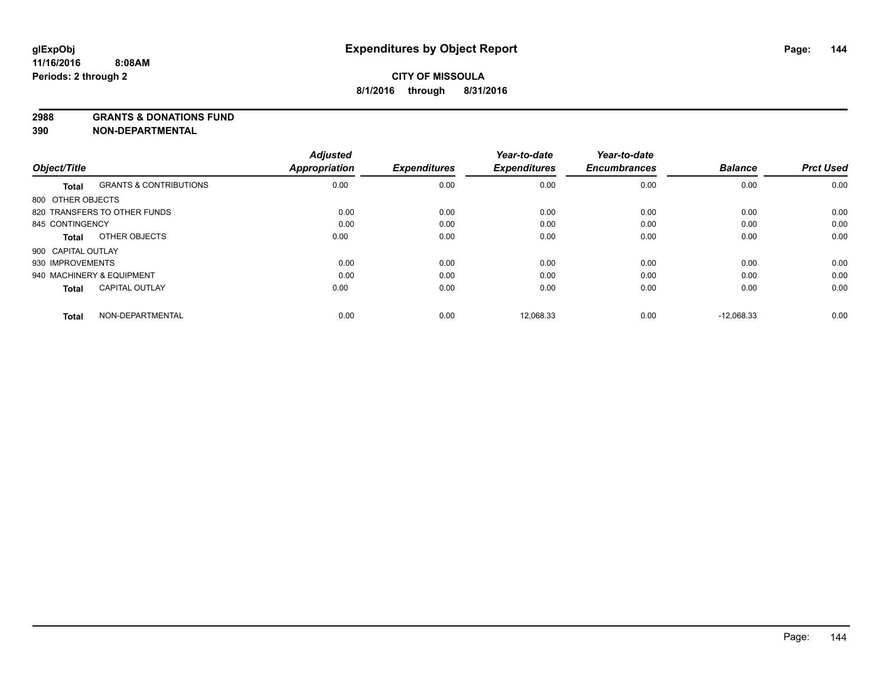#### **2988 GRANTS & DONATIONS FUND**

**390 NON-DEPARTMENTAL**

|                    |                                   | <b>Adjusted</b><br>Appropriation | <b>Expenditures</b> | Year-to-date        | Year-to-date<br><b>Encumbrances</b> | <b>Balance</b> | <b>Prct Used</b> |
|--------------------|-----------------------------------|----------------------------------|---------------------|---------------------|-------------------------------------|----------------|------------------|
| Object/Title       |                                   |                                  |                     | <b>Expenditures</b> |                                     |                |                  |
| <b>Total</b>       | <b>GRANTS &amp; CONTRIBUTIONS</b> | 0.00                             | 0.00                | 0.00                | 0.00                                | 0.00           | 0.00             |
| 800 OTHER OBJECTS  |                                   |                                  |                     |                     |                                     |                |                  |
|                    | 820 TRANSFERS TO OTHER FUNDS      | 0.00                             | 0.00                | 0.00                | 0.00                                | 0.00           | 0.00             |
| 845 CONTINGENCY    |                                   | 0.00                             | 0.00                | 0.00                | 0.00                                | 0.00           | 0.00             |
| Total              | OTHER OBJECTS                     | 0.00                             | 0.00                | 0.00                | 0.00                                | 0.00           | 0.00             |
| 900 CAPITAL OUTLAY |                                   |                                  |                     |                     |                                     |                |                  |
| 930 IMPROVEMENTS   |                                   | 0.00                             | 0.00                | 0.00                | 0.00                                | 0.00           | 0.00             |
|                    | 940 MACHINERY & EQUIPMENT         | 0.00                             | 0.00                | 0.00                | 0.00                                | 0.00           | 0.00             |
| <b>Total</b>       | <b>CAPITAL OUTLAY</b>             | 0.00                             | 0.00                | 0.00                | 0.00                                | 0.00           | 0.00             |
| <b>Total</b>       | NON-DEPARTMENTAL                  | 0.00                             | 0.00                | 12,068.33           | 0.00                                | $-12.068.33$   | 0.00             |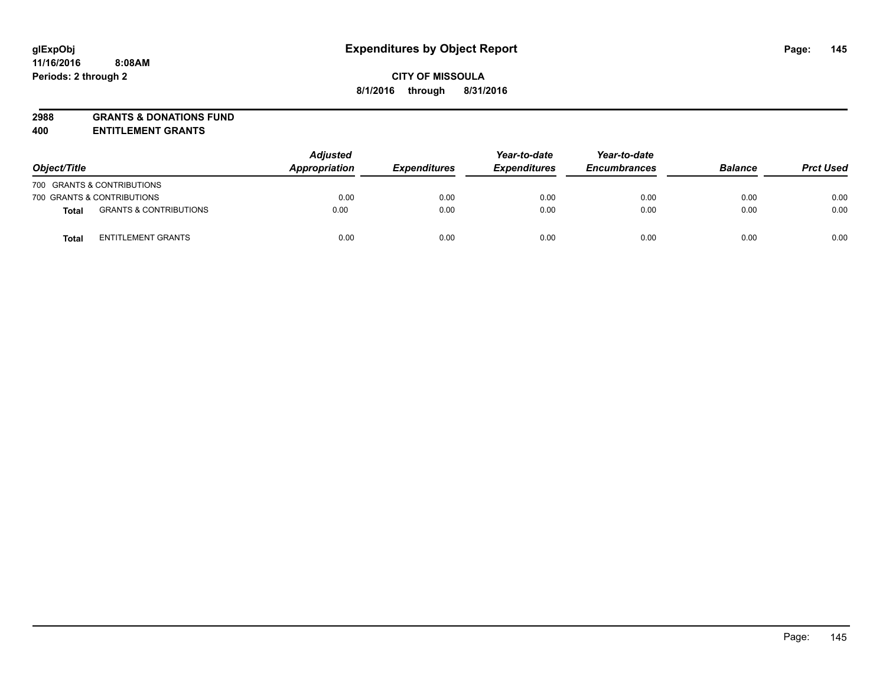# **2988 GRANTS & DONATIONS FUND**

**400 ENTITLEMENT GRANTS**

| Object/Title |                                   | <b>Adjusted</b><br>Appropriation | <b>Expenditures</b> | Year-to-date<br><b>Expenditures</b> | Year-to-date<br><b>Encumbrances</b> | <b>Balance</b> | <b>Prct Used</b> |
|--------------|-----------------------------------|----------------------------------|---------------------|-------------------------------------|-------------------------------------|----------------|------------------|
|              | 700 GRANTS & CONTRIBUTIONS        |                                  |                     |                                     |                                     |                |                  |
|              | 700 GRANTS & CONTRIBUTIONS        | 0.00                             | 0.00                | 0.00                                | 0.00                                | 0.00           | 0.00             |
| Total        | <b>GRANTS &amp; CONTRIBUTIONS</b> | 0.00                             | 0.00                | 0.00                                | 0.00                                | 0.00           | 0.00             |
| <b>Total</b> | <b>ENTITLEMENT GRANTS</b>         | 0.00                             | 0.00                | 0.00                                | 0.00                                | 0.00           | 0.00             |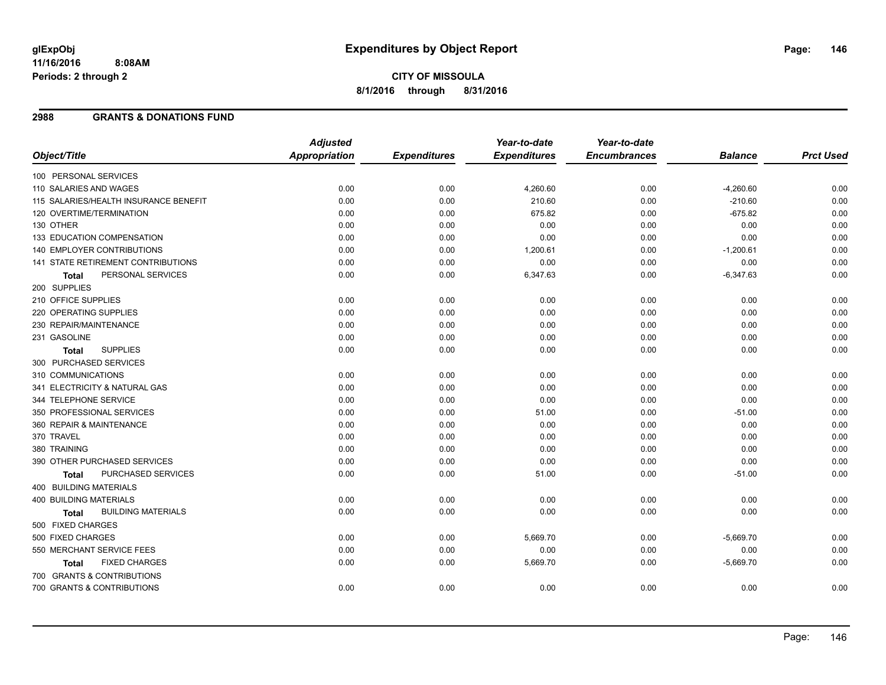#### **2988 GRANTS & DONATIONS FUND**

|                                           | <b>Adjusted</b> |                     | Year-to-date        | Year-to-date        |                |                  |
|-------------------------------------------|-----------------|---------------------|---------------------|---------------------|----------------|------------------|
| Object/Title                              | Appropriation   | <b>Expenditures</b> | <b>Expenditures</b> | <b>Encumbrances</b> | <b>Balance</b> | <b>Prct Used</b> |
| 100 PERSONAL SERVICES                     |                 |                     |                     |                     |                |                  |
| 110 SALARIES AND WAGES                    | 0.00            | 0.00                | 4,260.60            | 0.00                | $-4,260.60$    | 0.00             |
| 115 SALARIES/HEALTH INSURANCE BENEFIT     | 0.00            | 0.00                | 210.60              | 0.00                | $-210.60$      | 0.00             |
| 120 OVERTIME/TERMINATION                  | 0.00            | 0.00                | 675.82              | 0.00                | $-675.82$      | 0.00             |
| 130 OTHER                                 | 0.00            | 0.00                | 0.00                | 0.00                | 0.00           | 0.00             |
| 133 EDUCATION COMPENSATION                | 0.00            | 0.00                | 0.00                | 0.00                | 0.00           | 0.00             |
| 140 EMPLOYER CONTRIBUTIONS                | 0.00            | 0.00                | 1,200.61            | 0.00                | $-1,200.61$    | 0.00             |
| 141 STATE RETIREMENT CONTRIBUTIONS        | 0.00            | 0.00                | 0.00                | 0.00                | 0.00           | 0.00             |
| PERSONAL SERVICES<br><b>Total</b>         | 0.00            | 0.00                | 6,347.63            | 0.00                | $-6,347.63$    | 0.00             |
| 200 SUPPLIES                              |                 |                     |                     |                     |                |                  |
| 210 OFFICE SUPPLIES                       | 0.00            | 0.00                | 0.00                | 0.00                | 0.00           | 0.00             |
| 220 OPERATING SUPPLIES                    | 0.00            | 0.00                | 0.00                | 0.00                | 0.00           | 0.00             |
| 230 REPAIR/MAINTENANCE                    | 0.00            | 0.00                | 0.00                | 0.00                | 0.00           | 0.00             |
| 231 GASOLINE                              | 0.00            | 0.00                | 0.00                | 0.00                | 0.00           | 0.00             |
| <b>SUPPLIES</b><br><b>Total</b>           | 0.00            | 0.00                | 0.00                | 0.00                | 0.00           | 0.00             |
| 300 PURCHASED SERVICES                    |                 |                     |                     |                     |                |                  |
| 310 COMMUNICATIONS                        | 0.00            | 0.00                | 0.00                | 0.00                | 0.00           | 0.00             |
| 341 ELECTRICITY & NATURAL GAS             | 0.00            | 0.00                | 0.00                | 0.00                | 0.00           | 0.00             |
| 344 TELEPHONE SERVICE                     | 0.00            | 0.00                | 0.00                | 0.00                | 0.00           | 0.00             |
| 350 PROFESSIONAL SERVICES                 | 0.00            | 0.00                | 51.00               | 0.00                | $-51.00$       | 0.00             |
| 360 REPAIR & MAINTENANCE                  | 0.00            | 0.00                | 0.00                | 0.00                | 0.00           | 0.00             |
| 370 TRAVEL                                | 0.00            | 0.00                | 0.00                | 0.00                | 0.00           | 0.00             |
| 380 TRAINING                              | 0.00            | 0.00                | 0.00                | 0.00                | 0.00           | 0.00             |
| 390 OTHER PURCHASED SERVICES              | 0.00            | 0.00                | 0.00                | 0.00                | 0.00           | 0.00             |
| PURCHASED SERVICES<br><b>Total</b>        | 0.00            | 0.00                | 51.00               | 0.00                | $-51.00$       | 0.00             |
| 400 BUILDING MATERIALS                    |                 |                     |                     |                     |                |                  |
| <b>400 BUILDING MATERIALS</b>             | 0.00            | 0.00                | 0.00                | 0.00                | 0.00           | 0.00             |
| <b>BUILDING MATERIALS</b><br><b>Total</b> | 0.00            | 0.00                | 0.00                | 0.00                | 0.00           | 0.00             |
| 500 FIXED CHARGES                         |                 |                     |                     |                     |                |                  |
| 500 FIXED CHARGES                         | 0.00            | 0.00                | 5,669.70            | 0.00                | $-5,669.70$    | 0.00             |
| 550 MERCHANT SERVICE FEES                 | 0.00            | 0.00                | 0.00                | 0.00                | 0.00           | 0.00             |
| <b>FIXED CHARGES</b><br><b>Total</b>      | 0.00            | 0.00                | 5,669.70            | 0.00                | $-5,669.70$    | 0.00             |
| 700 GRANTS & CONTRIBUTIONS                |                 |                     |                     |                     |                |                  |
| 700 GRANTS & CONTRIBUTIONS                | 0.00            | 0.00                | 0.00                | 0.00                | 0.00           | 0.00             |
|                                           |                 |                     |                     |                     |                |                  |

Page: 146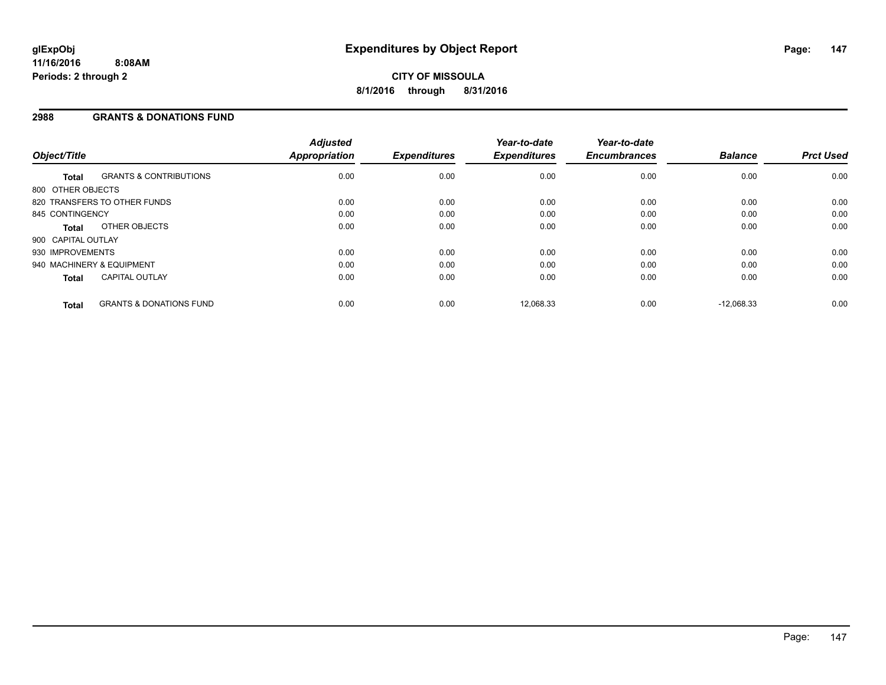#### **2988 GRANTS & DONATIONS FUND**

| Object/Title       |                                    | <b>Adjusted</b><br>Appropriation | <b>Expenditures</b> | Year-to-date<br><b>Expenditures</b> | Year-to-date<br><b>Encumbrances</b> | <b>Balance</b> | <b>Prct Used</b> |
|--------------------|------------------------------------|----------------------------------|---------------------|-------------------------------------|-------------------------------------|----------------|------------------|
| <b>Total</b>       | <b>GRANTS &amp; CONTRIBUTIONS</b>  | 0.00                             | 0.00                | 0.00                                | 0.00                                | 0.00           | 0.00             |
| 800 OTHER OBJECTS  |                                    |                                  |                     |                                     |                                     |                |                  |
|                    | 820 TRANSFERS TO OTHER FUNDS       | 0.00                             | 0.00                | 0.00                                | 0.00                                | 0.00           | 0.00             |
| 845 CONTINGENCY    |                                    | 0.00                             | 0.00                | 0.00                                | 0.00                                | 0.00           | 0.00             |
| Total              | OTHER OBJECTS                      | 0.00                             | 0.00                | 0.00                                | 0.00                                | 0.00           | 0.00             |
| 900 CAPITAL OUTLAY |                                    |                                  |                     |                                     |                                     |                |                  |
| 930 IMPROVEMENTS   |                                    | 0.00                             | 0.00                | 0.00                                | 0.00                                | 0.00           | 0.00             |
|                    | 940 MACHINERY & EQUIPMENT          | 0.00                             | 0.00                | 0.00                                | 0.00                                | 0.00           | 0.00             |
| <b>Total</b>       | <b>CAPITAL OUTLAY</b>              | 0.00                             | 0.00                | 0.00                                | 0.00                                | 0.00           | 0.00             |
| <b>Total</b>       | <b>GRANTS &amp; DONATIONS FUND</b> | 0.00                             | 0.00                | 12.068.33                           | 0.00                                | $-12.068.33$   | 0.00             |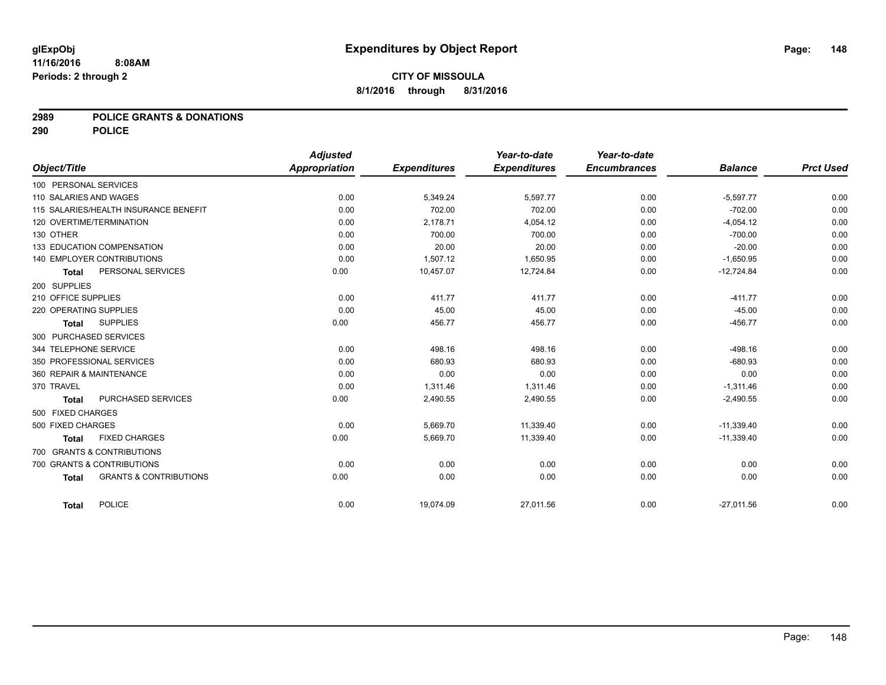### **2989 POLICE GRANTS & DONATIONS**

**290 POLICE**

|              |                                                   | <b>Adjusted</b> |                     | Year-to-date        | Year-to-date        |                |                  |
|--------------|---------------------------------------------------|-----------------|---------------------|---------------------|---------------------|----------------|------------------|
| Object/Title |                                                   | Appropriation   | <b>Expenditures</b> | <b>Expenditures</b> | <b>Encumbrances</b> | <b>Balance</b> | <b>Prct Used</b> |
|              | 100 PERSONAL SERVICES                             |                 |                     |                     |                     |                |                  |
|              | 110 SALARIES AND WAGES                            | 0.00            | 5,349.24            | 5,597.77            | 0.00                | $-5,597.77$    | 0.00             |
|              | 115 SALARIES/HEALTH INSURANCE BENEFIT             | 0.00            | 702.00              | 702.00              | 0.00                | $-702.00$      | 0.00             |
|              | 120 OVERTIME/TERMINATION                          | 0.00            | 2,178.71            | 4,054.12            | 0.00                | $-4,054.12$    | 0.00             |
| 130 OTHER    |                                                   | 0.00            | 700.00              | 700.00              | 0.00                | $-700.00$      | 0.00             |
|              | 133 EDUCATION COMPENSATION                        | 0.00            | 20.00               | 20.00               | 0.00                | $-20.00$       | 0.00             |
|              | <b>140 EMPLOYER CONTRIBUTIONS</b>                 | 0.00            | 1,507.12            | 1,650.95            | 0.00                | $-1,650.95$    | 0.00             |
|              | PERSONAL SERVICES<br><b>Total</b>                 | 0.00            | 10,457.07           | 12,724.84           | 0.00                | $-12,724.84$   | 0.00             |
| 200 SUPPLIES |                                                   |                 |                     |                     |                     |                |                  |
|              | 210 OFFICE SUPPLIES                               | 0.00            | 411.77              | 411.77              | 0.00                | $-411.77$      | 0.00             |
|              | 220 OPERATING SUPPLIES                            | 0.00            | 45.00               | 45.00               | 0.00                | $-45.00$       | 0.00             |
|              | <b>SUPPLIES</b><br><b>Total</b>                   | 0.00            | 456.77              | 456.77              | 0.00                | $-456.77$      | 0.00             |
|              | 300 PURCHASED SERVICES                            |                 |                     |                     |                     |                |                  |
|              | 344 TELEPHONE SERVICE                             | 0.00            | 498.16              | 498.16              | 0.00                | $-498.16$      | 0.00             |
|              | 350 PROFESSIONAL SERVICES                         | 0.00            | 680.93              | 680.93              | 0.00                | $-680.93$      | 0.00             |
|              | 360 REPAIR & MAINTENANCE                          | 0.00            | 0.00                | 0.00                | 0.00                | 0.00           | 0.00             |
| 370 TRAVEL   |                                                   | 0.00            | 1,311.46            | 1,311.46            | 0.00                | $-1,311.46$    | 0.00             |
|              | PURCHASED SERVICES<br><b>Total</b>                | 0.00            | 2,490.55            | 2,490.55            | 0.00                | $-2,490.55$    | 0.00             |
|              | 500 FIXED CHARGES                                 |                 |                     |                     |                     |                |                  |
|              | 500 FIXED CHARGES                                 | 0.00            | 5,669.70            | 11,339.40           | 0.00                | $-11,339.40$   | 0.00             |
|              | <b>FIXED CHARGES</b><br><b>Total</b>              | 0.00            | 5,669.70            | 11,339.40           | 0.00                | $-11,339.40$   | 0.00             |
|              | 700 GRANTS & CONTRIBUTIONS                        |                 |                     |                     |                     |                |                  |
|              | 700 GRANTS & CONTRIBUTIONS                        | 0.00            | 0.00                | 0.00                | 0.00                | 0.00           | 0.00             |
|              | <b>GRANTS &amp; CONTRIBUTIONS</b><br><b>Total</b> | 0.00            | 0.00                | 0.00                | 0.00                | 0.00           | 0.00             |
|              | <b>POLICE</b><br><b>Total</b>                     | 0.00            | 19,074.09           | 27,011.56           | 0.00                | $-27,011.56$   | 0.00             |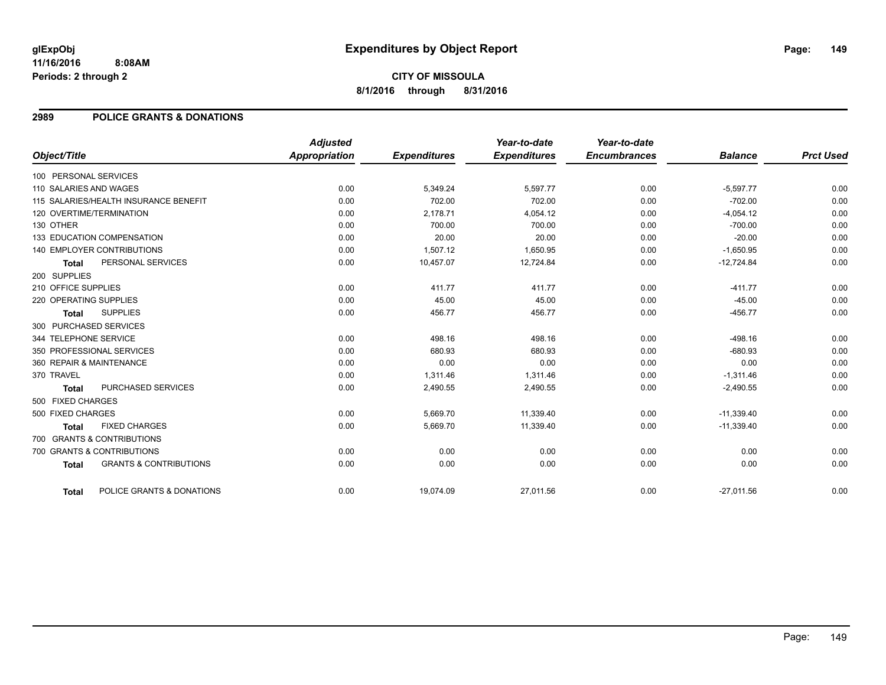### **2989 POLICE GRANTS & DONATIONS**

|                        |                                       | <b>Adjusted</b> |                     | Year-to-date        | Year-to-date        |                |                  |
|------------------------|---------------------------------------|-----------------|---------------------|---------------------|---------------------|----------------|------------------|
| Object/Title           |                                       | Appropriation   | <b>Expenditures</b> | <b>Expenditures</b> | <b>Encumbrances</b> | <b>Balance</b> | <b>Prct Used</b> |
| 100 PERSONAL SERVICES  |                                       |                 |                     |                     |                     |                |                  |
| 110 SALARIES AND WAGES |                                       | 0.00            | 5,349.24            | 5,597.77            | 0.00                | $-5,597.77$    | 0.00             |
|                        | 115 SALARIES/HEALTH INSURANCE BENEFIT | 0.00            | 702.00              | 702.00              | 0.00                | $-702.00$      | 0.00             |
|                        | 120 OVERTIME/TERMINATION              | 0.00            | 2,178.71            | 4,054.12            | 0.00                | $-4,054.12$    | 0.00             |
| 130 OTHER              |                                       | 0.00            | 700.00              | 700.00              | 0.00                | $-700.00$      | 0.00             |
|                        | 133 EDUCATION COMPENSATION            | 0.00            | 20.00               | 20.00               | 0.00                | $-20.00$       | 0.00             |
|                        | 140 EMPLOYER CONTRIBUTIONS            | 0.00            | 1,507.12            | 1,650.95            | 0.00                | $-1,650.95$    | 0.00             |
| <b>Total</b>           | PERSONAL SERVICES                     | 0.00            | 10,457.07           | 12,724.84           | 0.00                | $-12,724.84$   | 0.00             |
| 200 SUPPLIES           |                                       |                 |                     |                     |                     |                |                  |
| 210 OFFICE SUPPLIES    |                                       | 0.00            | 411.77              | 411.77              | 0.00                | $-411.77$      | 0.00             |
| 220 OPERATING SUPPLIES |                                       | 0.00            | 45.00               | 45.00               | 0.00                | $-45.00$       | 0.00             |
| <b>Total</b>           | <b>SUPPLIES</b>                       | 0.00            | 456.77              | 456.77              | 0.00                | $-456.77$      | 0.00             |
|                        | 300 PURCHASED SERVICES                |                 |                     |                     |                     |                |                  |
| 344 TELEPHONE SERVICE  |                                       | 0.00            | 498.16              | 498.16              | 0.00                | $-498.16$      | 0.00             |
|                        | 350 PROFESSIONAL SERVICES             | 0.00            | 680.93              | 680.93              | 0.00                | $-680.93$      | 0.00             |
|                        | 360 REPAIR & MAINTENANCE              | 0.00            | 0.00                | 0.00                | 0.00                | 0.00           | 0.00             |
| 370 TRAVEL             |                                       | 0.00            | 1,311.46            | 1,311.46            | 0.00                | $-1,311.46$    | 0.00             |
| <b>Total</b>           | PURCHASED SERVICES                    | 0.00            | 2,490.55            | 2,490.55            | 0.00                | $-2,490.55$    | 0.00             |
| 500 FIXED CHARGES      |                                       |                 |                     |                     |                     |                |                  |
| 500 FIXED CHARGES      |                                       | 0.00            | 5,669.70            | 11,339.40           | 0.00                | $-11,339.40$   | 0.00             |
| <b>Total</b>           | <b>FIXED CHARGES</b>                  | 0.00            | 5,669.70            | 11,339.40           | 0.00                | $-11,339.40$   | 0.00             |
|                        | 700 GRANTS & CONTRIBUTIONS            |                 |                     |                     |                     |                |                  |
|                        | 700 GRANTS & CONTRIBUTIONS            | 0.00            | 0.00                | 0.00                | 0.00                | 0.00           | 0.00             |
| <b>Total</b>           | <b>GRANTS &amp; CONTRIBUTIONS</b>     | 0.00            | 0.00                | 0.00                | 0.00                | 0.00           | 0.00             |
|                        |                                       |                 |                     |                     |                     |                |                  |
| <b>Total</b>           | POLICE GRANTS & DONATIONS             | 0.00            | 19,074.09           | 27,011.56           | 0.00                | $-27,011.56$   | 0.00             |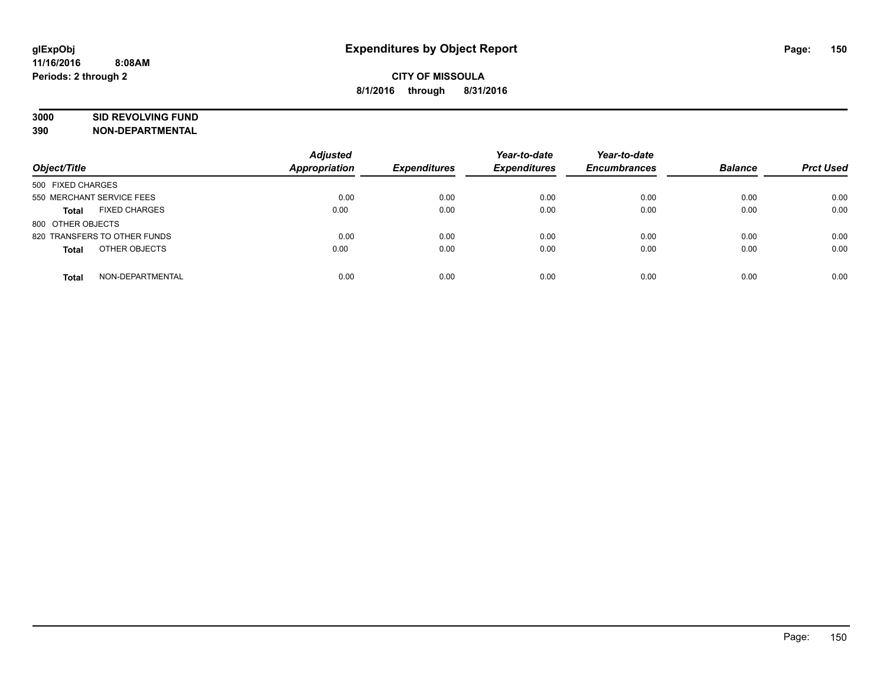# **3000 SID REVOLVING FUND**

| Object/Title                         | <b>Adjusted</b><br><b>Appropriation</b> | <b>Expenditures</b> | Year-to-date<br><b>Expenditures</b> | Year-to-date<br><b>Encumbrances</b> | <b>Balance</b> | <b>Prct Used</b> |
|--------------------------------------|-----------------------------------------|---------------------|-------------------------------------|-------------------------------------|----------------|------------------|
| 500 FIXED CHARGES                    |                                         |                     |                                     |                                     |                |                  |
| 550 MERCHANT SERVICE FEES            | 0.00                                    | 0.00                | 0.00                                | 0.00                                | 0.00           | 0.00             |
| <b>FIXED CHARGES</b><br><b>Total</b> | 0.00                                    | 0.00                | 0.00                                | 0.00                                | 0.00           | 0.00             |
| 800 OTHER OBJECTS                    |                                         |                     |                                     |                                     |                |                  |
| 820 TRANSFERS TO OTHER FUNDS         | 0.00                                    | 0.00                | 0.00                                | 0.00                                | 0.00           | 0.00             |
| OTHER OBJECTS<br><b>Total</b>        | 0.00                                    | 0.00                | 0.00                                | 0.00                                | 0.00           | 0.00             |
| NON-DEPARTMENTAL<br><b>Total</b>     | 0.00                                    | 0.00                | 0.00                                | 0.00                                | 0.00           | 0.00             |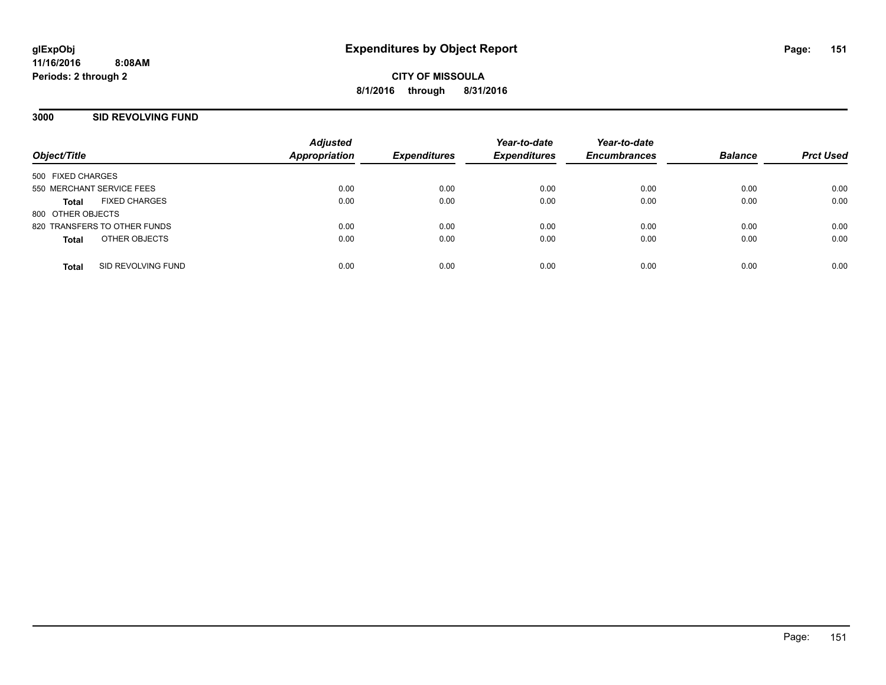**CITY OF MISSOULA 8/1/2016 through 8/31/2016**

### **3000 SID REVOLVING FUND**

| Object/Title                       | <b>Adjusted</b><br>Appropriation | <b>Expenditures</b> | Year-to-date<br><b>Expenditures</b> | Year-to-date<br><b>Encumbrances</b> | <b>Balance</b> | <b>Prct Used</b> |
|------------------------------------|----------------------------------|---------------------|-------------------------------------|-------------------------------------|----------------|------------------|
|                                    |                                  |                     |                                     |                                     |                |                  |
| 500 FIXED CHARGES                  |                                  |                     |                                     |                                     |                |                  |
| 550 MERCHANT SERVICE FEES          | 0.00                             | 0.00                | 0.00                                | 0.00                                | 0.00           | 0.00             |
| <b>FIXED CHARGES</b><br>Total      | 0.00                             | 0.00                | 0.00                                | 0.00                                | 0.00           | 0.00             |
| 800 OTHER OBJECTS                  |                                  |                     |                                     |                                     |                |                  |
| 820 TRANSFERS TO OTHER FUNDS       | 0.00                             | 0.00                | 0.00                                | 0.00                                | 0.00           | 0.00             |
| OTHER OBJECTS<br><b>Total</b>      | 0.00                             | 0.00                | 0.00                                | 0.00                                | 0.00           | 0.00             |
|                                    |                                  |                     |                                     |                                     |                |                  |
| SID REVOLVING FUND<br><b>Total</b> | 0.00                             | 0.00                | 0.00                                | 0.00                                | 0.00           | 0.00             |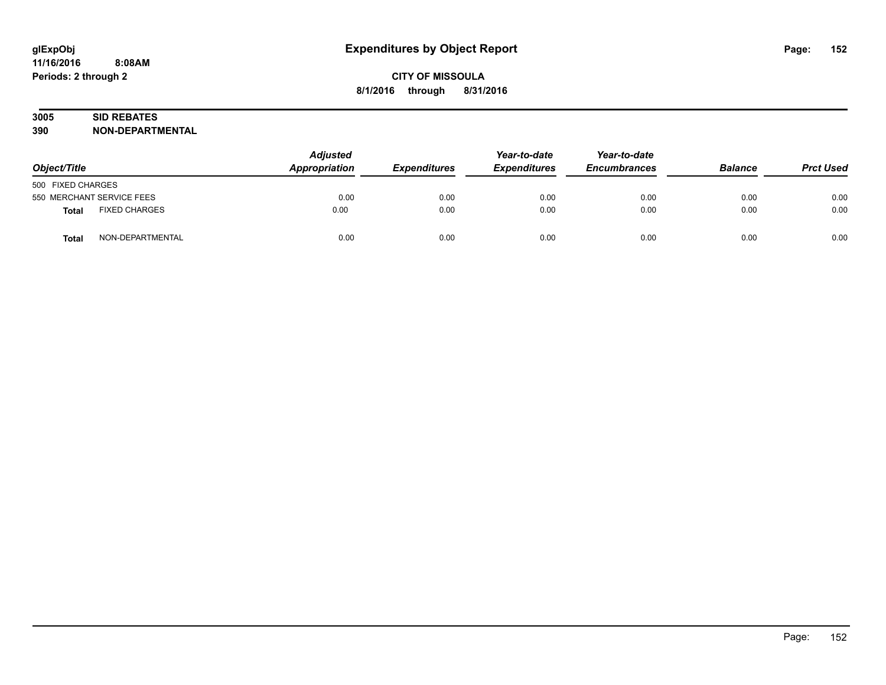# **3005 SID REBATES**

| Object/Title                         | <b>Adjusted</b><br>Appropriation | <b>Expenditures</b> | Year-to-date<br><b>Expenditures</b> | Year-to-date<br><b>Encumbrances</b> | <b>Balance</b> | <b>Prct Used</b> |
|--------------------------------------|----------------------------------|---------------------|-------------------------------------|-------------------------------------|----------------|------------------|
| 500 FIXED CHARGES                    |                                  |                     |                                     |                                     |                |                  |
| 550 MERCHANT SERVICE FEES            | 0.00                             | 0.00                | 0.00                                | 0.00                                | 0.00           | 0.00             |
| <b>FIXED CHARGES</b><br><b>Total</b> | 0.00                             | 0.00                | 0.00                                | 0.00                                | 0.00           | 0.00             |
| NON-DEPARTMENTAL<br>Total            | 0.00                             | 0.00                | 0.00                                | 0.00                                | 0.00           | 0.00             |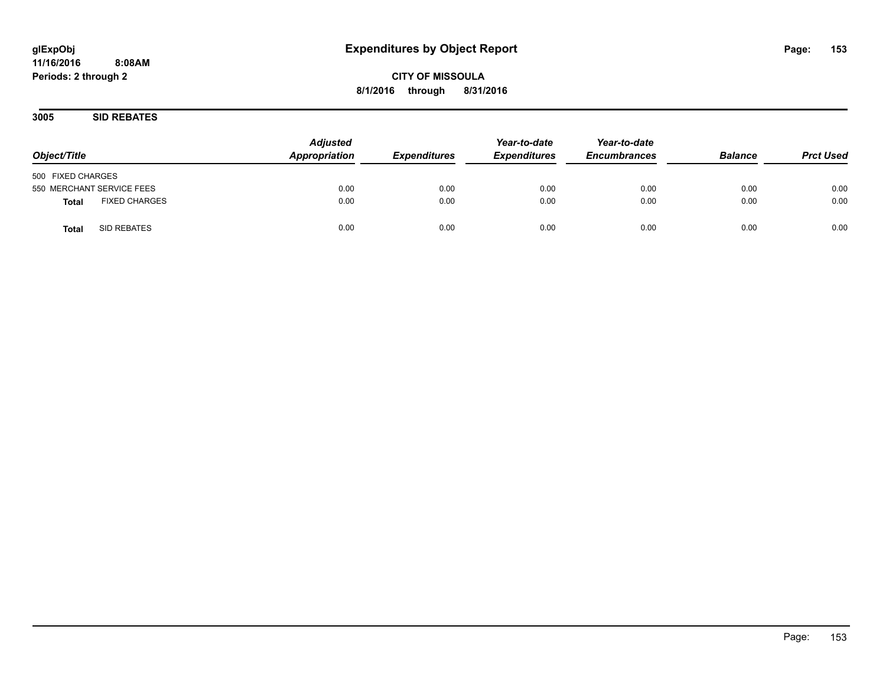**CITY OF MISSOULA 8/1/2016 through 8/31/2016**

**3005 SID REBATES**

| Object/Title                  | <b>Adjusted</b><br>Appropriation | <b>Expenditures</b> | Year-to-date<br><b>Expenditures</b> | Year-to-date<br><b>Encumbrances</b> | <b>Balance</b> | <b>Prct Used</b> |
|-------------------------------|----------------------------------|---------------------|-------------------------------------|-------------------------------------|----------------|------------------|
| 500 FIXED CHARGES             |                                  |                     |                                     |                                     |                |                  |
| 550 MERCHANT SERVICE FEES     | 0.00                             | 0.00                | 0.00                                | 0.00                                | 0.00           | 0.00             |
| <b>FIXED CHARGES</b><br>Total | 0.00                             | 0.00                | 0.00                                | 0.00                                | 0.00           | 0.00             |
| SID REBATES<br><b>Total</b>   | 0.00                             | 0.00                | 0.00                                | 0.00                                | 0.00           | 0.00             |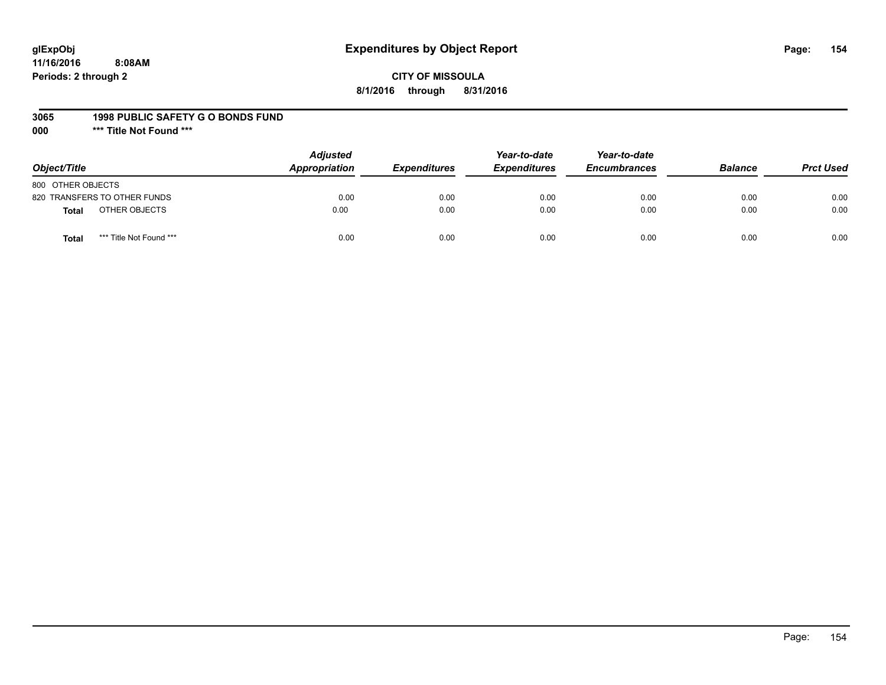# **glExpObj Expenditures by Object Report Page: 154**

**11/16/2016 8:08AM Periods: 2 through 2**

# **CITY OF MISSOULA 8/1/2016 through 8/31/2016**

#### **3065 1998 PUBLIC SAFETY G O BONDS FUND**

**000 \*\*\* Title Not Found \*\*\***

| Object/Title                     | <b>Adjusted</b><br>Appropriation | <b>Expenditures</b> | Year-to-date<br><b>Expenditures</b> | Year-to-date<br><b>Encumbrances</b> | <b>Balance</b> | <b>Prct Used</b> |
|----------------------------------|----------------------------------|---------------------|-------------------------------------|-------------------------------------|----------------|------------------|
| 800 OTHER OBJECTS                |                                  |                     |                                     |                                     |                |                  |
| 820 TRANSFERS TO OTHER FUNDS     | 0.00                             | 0.00                | 0.00                                | 0.00                                | 0.00           | 0.00             |
| OTHER OBJECTS<br><b>Total</b>    | 0.00                             | 0.00                | 0.00                                | 0.00                                | 0.00           | 0.00             |
| *** Title Not Found ***<br>Total | 0.00                             | 0.00                | 0.00                                | 0.00                                | 0.00           | 0.00             |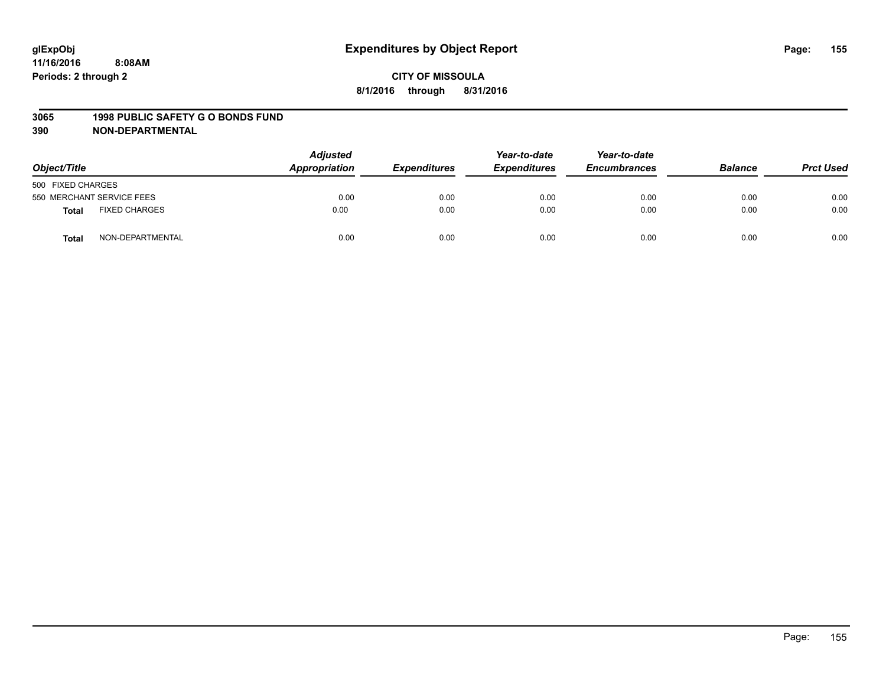#### **3065 1998 PUBLIC SAFETY G O BONDS FUND**

| Object/Title                  | <b>Adjusted</b><br>Appropriation | <b>Expenditures</b> | Year-to-date<br><b>Expenditures</b> | Year-to-date<br><b>Encumbrances</b> | <b>Balance</b> | <b>Prct Used</b> |
|-------------------------------|----------------------------------|---------------------|-------------------------------------|-------------------------------------|----------------|------------------|
| 500 FIXED CHARGES             |                                  |                     |                                     |                                     |                |                  |
| 550 MERCHANT SERVICE FEES     | 0.00                             | 0.00                | 0.00                                | 0.00                                | 0.00           | 0.00             |
| <b>FIXED CHARGES</b><br>Total | 0.00                             | 0.00                | 0.00                                | 0.00                                | 0.00           | 0.00             |
| NON-DEPARTMENTAL<br>Total     | 0.00                             | 0.00                | 0.00                                | 0.00                                | 0.00           | 0.00             |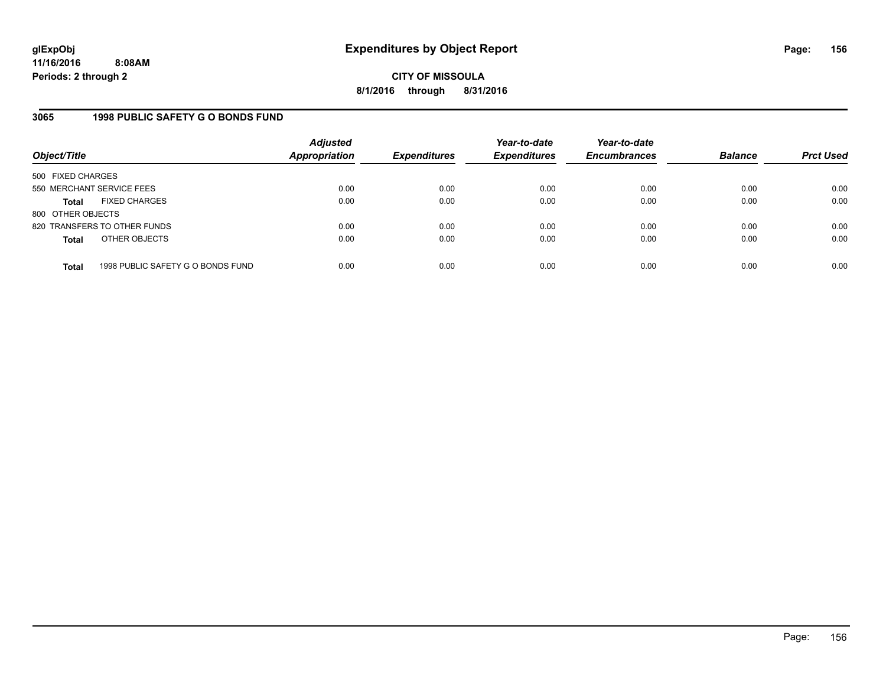# **3065 1998 PUBLIC SAFETY G O BONDS FUND**

| Object/Title              |                                   | <b>Adjusted</b><br><b>Appropriation</b> | <b>Expenditures</b> | Year-to-date<br><b>Expenditures</b> | Year-to-date<br><b>Encumbrances</b> | <b>Balance</b> | <b>Prct Used</b> |
|---------------------------|-----------------------------------|-----------------------------------------|---------------------|-------------------------------------|-------------------------------------|----------------|------------------|
| 500 FIXED CHARGES         |                                   |                                         |                     |                                     |                                     |                |                  |
| 550 MERCHANT SERVICE FEES |                                   | 0.00                                    | 0.00                | 0.00                                | 0.00                                | 0.00           | 0.00             |
| <b>Total</b>              | <b>FIXED CHARGES</b>              | 0.00                                    | 0.00                | 0.00                                | 0.00                                | 0.00           | 0.00             |
| 800 OTHER OBJECTS         |                                   |                                         |                     |                                     |                                     |                |                  |
|                           | 820 TRANSFERS TO OTHER FUNDS      | 0.00                                    | 0.00                | 0.00                                | 0.00                                | 0.00           | 0.00             |
| <b>Total</b>              | OTHER OBJECTS                     | 0.00                                    | 0.00                | 0.00                                | 0.00                                | 0.00           | 0.00             |
| <b>Total</b>              | 1998 PUBLIC SAFETY G O BONDS FUND | 0.00                                    | 0.00                | 0.00                                | 0.00                                | 0.00           | 0.00             |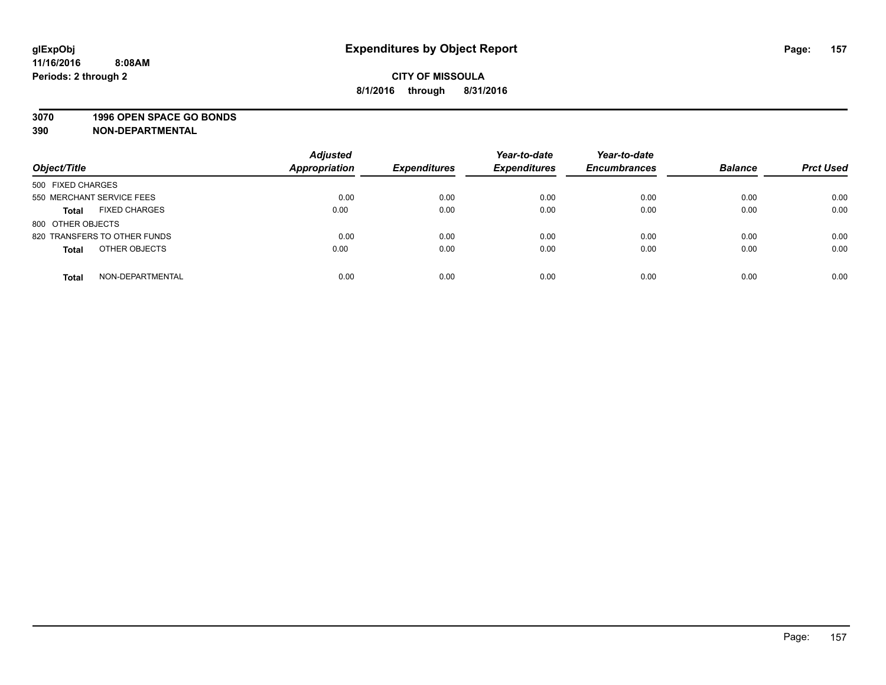### **3070 1996 OPEN SPACE GO BONDS**

| Object/Title                         | <b>Adjusted</b><br><b>Appropriation</b> | <b>Expenditures</b> | Year-to-date<br><b>Expenditures</b> | Year-to-date<br><b>Encumbrances</b> | <b>Balance</b> | <b>Prct Used</b> |
|--------------------------------------|-----------------------------------------|---------------------|-------------------------------------|-------------------------------------|----------------|------------------|
|                                      |                                         |                     |                                     |                                     |                |                  |
| 500 FIXED CHARGES                    |                                         |                     |                                     |                                     |                |                  |
| 550 MERCHANT SERVICE FEES            | 0.00                                    | 0.00                | 0.00                                | 0.00                                | 0.00           | 0.00             |
| <b>FIXED CHARGES</b><br><b>Total</b> | 0.00                                    | 0.00                | 0.00                                | 0.00                                | 0.00           | 0.00             |
| 800 OTHER OBJECTS                    |                                         |                     |                                     |                                     |                |                  |
| 820 TRANSFERS TO OTHER FUNDS         | 0.00                                    | 0.00                | 0.00                                | 0.00                                | 0.00           | 0.00             |
| OTHER OBJECTS<br><b>Total</b>        | 0.00                                    | 0.00                | 0.00                                | 0.00                                | 0.00           | 0.00             |
|                                      |                                         |                     |                                     |                                     |                |                  |
| NON-DEPARTMENTAL<br><b>Total</b>     | 0.00                                    | 0.00                | 0.00                                | 0.00                                | 0.00           | 0.00             |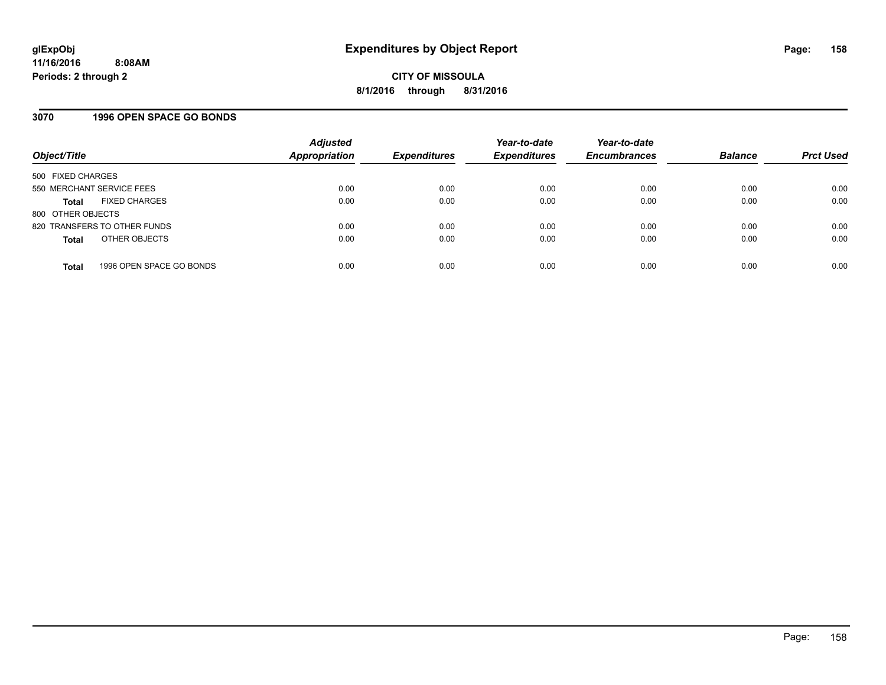### **3070 1996 OPEN SPACE GO BONDS**

| Object/Title              |                              | <b>Adjusted</b><br><b>Appropriation</b> | <b>Expenditures</b> | Year-to-date<br><b>Expenditures</b> | Year-to-date<br><b>Encumbrances</b> | <b>Balance</b> | <b>Prct Used</b> |
|---------------------------|------------------------------|-----------------------------------------|---------------------|-------------------------------------|-------------------------------------|----------------|------------------|
| 500 FIXED CHARGES         |                              |                                         |                     |                                     |                                     |                |                  |
| 550 MERCHANT SERVICE FEES |                              | 0.00                                    | 0.00                | 0.00                                | 0.00                                | 0.00           | 0.00             |
| <b>Total</b>              | <b>FIXED CHARGES</b>         | 0.00                                    | 0.00                | 0.00                                | 0.00                                | 0.00           | 0.00             |
| 800 OTHER OBJECTS         |                              |                                         |                     |                                     |                                     |                |                  |
|                           | 820 TRANSFERS TO OTHER FUNDS | 0.00                                    | 0.00                | 0.00                                | 0.00                                | 0.00           | 0.00             |
| <b>Total</b>              | OTHER OBJECTS                | 0.00                                    | 0.00                | 0.00                                | 0.00                                | 0.00           | 0.00             |
| <b>Total</b>              | 1996 OPEN SPACE GO BONDS     | 0.00                                    | 0.00                | 0.00                                | 0.00                                | 0.00           | 0.00             |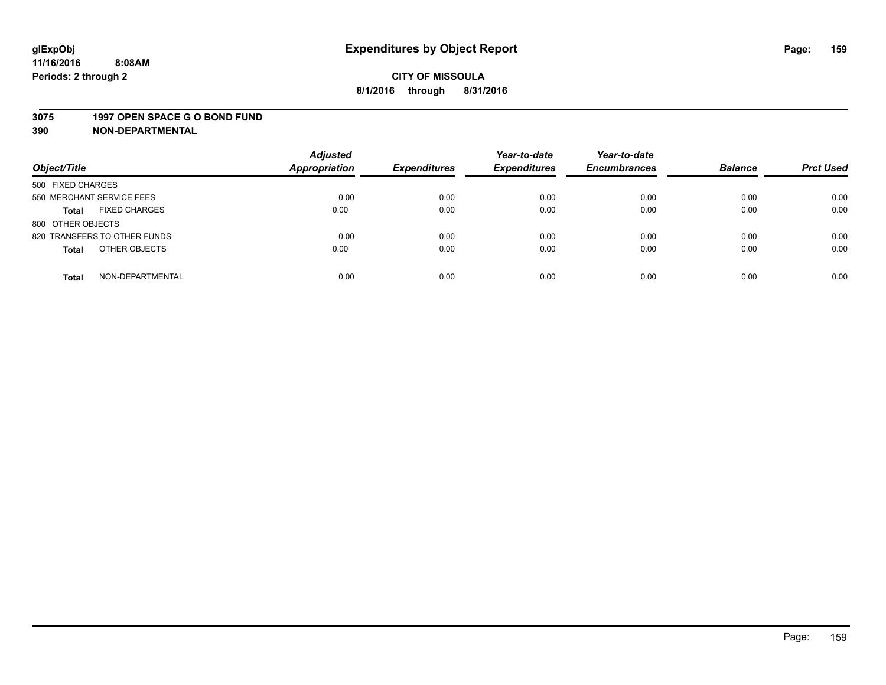#### **3075 1997 OPEN SPACE G O BOND FUND**

| Object/Title                         | <b>Adjusted</b><br>Appropriation | <b>Expenditures</b> | Year-to-date<br><b>Expenditures</b> | Year-to-date<br><b>Encumbrances</b> | <b>Balance</b> | <b>Prct Used</b> |
|--------------------------------------|----------------------------------|---------------------|-------------------------------------|-------------------------------------|----------------|------------------|
| 500 FIXED CHARGES                    |                                  |                     |                                     |                                     |                |                  |
| 550 MERCHANT SERVICE FEES            | 0.00                             | 0.00                | 0.00                                | 0.00                                | 0.00           | 0.00             |
| <b>FIXED CHARGES</b><br><b>Total</b> | 0.00                             | 0.00                | 0.00                                | 0.00                                | 0.00           | 0.00             |
| 800 OTHER OBJECTS                    |                                  |                     |                                     |                                     |                |                  |
| 820 TRANSFERS TO OTHER FUNDS         | 0.00                             | 0.00                | 0.00                                | 0.00                                | 0.00           | 0.00             |
| OTHER OBJECTS<br><b>Total</b>        | 0.00                             | 0.00                | 0.00                                | 0.00                                | 0.00           | 0.00             |
| NON-DEPARTMENTAL<br><b>Total</b>     | 0.00                             | 0.00                | 0.00                                | 0.00                                | 0.00           | 0.00             |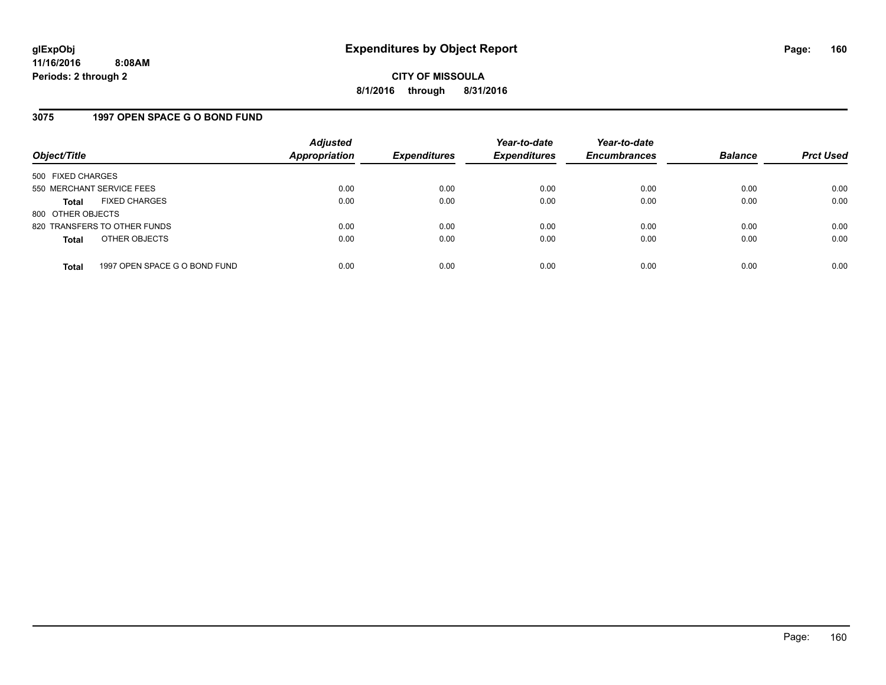### **3075 1997 OPEN SPACE G O BOND FUND**

| Object/Title              |                               | <b>Adjusted</b><br><b>Appropriation</b> | <b>Expenditures</b> | Year-to-date<br><b>Expenditures</b> | Year-to-date<br><b>Encumbrances</b> | <b>Balance</b> | <b>Prct Used</b> |
|---------------------------|-------------------------------|-----------------------------------------|---------------------|-------------------------------------|-------------------------------------|----------------|------------------|
| 500 FIXED CHARGES         |                               |                                         |                     |                                     |                                     |                |                  |
| 550 MERCHANT SERVICE FEES |                               | 0.00                                    | 0.00                | 0.00                                | 0.00                                | 0.00           | 0.00             |
| <b>Total</b>              | <b>FIXED CHARGES</b>          | 0.00                                    | 0.00                | 0.00                                | 0.00                                | 0.00           | 0.00             |
| 800 OTHER OBJECTS         |                               |                                         |                     |                                     |                                     |                |                  |
|                           | 820 TRANSFERS TO OTHER FUNDS  | 0.00                                    | 0.00                | 0.00                                | 0.00                                | 0.00           | 0.00             |
| <b>Total</b>              | OTHER OBJECTS                 | 0.00                                    | 0.00                | 0.00                                | 0.00                                | 0.00           | 0.00             |
| <b>Total</b>              | 1997 OPEN SPACE G O BOND FUND | 0.00                                    | 0.00                | 0.00                                | 0.00                                | 0.00           | 0.00             |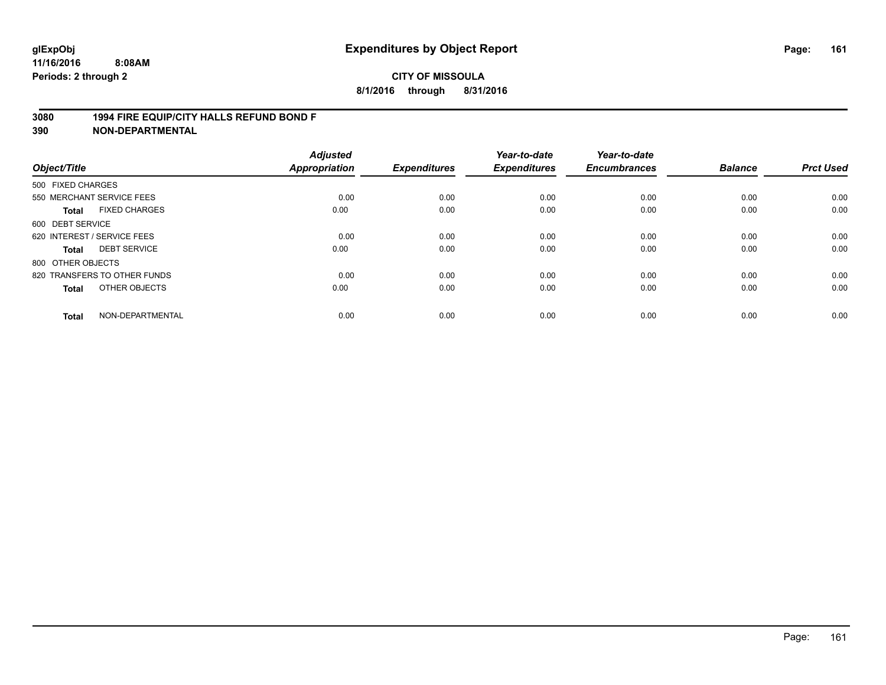### **3080 1994 FIRE EQUIP/CITY HALLS REFUND BOND F**

| Object/Title      |                              | <b>Adjusted</b><br><b>Appropriation</b> | <b>Expenditures</b> | Year-to-date<br><b>Expenditures</b> | Year-to-date<br><b>Encumbrances</b> | <b>Balance</b> | <b>Prct Used</b> |
|-------------------|------------------------------|-----------------------------------------|---------------------|-------------------------------------|-------------------------------------|----------------|------------------|
| 500 FIXED CHARGES |                              |                                         |                     |                                     |                                     |                |                  |
|                   | 550 MERCHANT SERVICE FEES    | 0.00                                    | 0.00                | 0.00                                | 0.00                                | 0.00           | 0.00             |
| <b>Total</b>      | <b>FIXED CHARGES</b>         | 0.00                                    | 0.00                | 0.00                                | 0.00                                | 0.00           | 0.00             |
| 600 DEBT SERVICE  |                              |                                         |                     |                                     |                                     |                |                  |
|                   | 620 INTEREST / SERVICE FEES  | 0.00                                    | 0.00                | 0.00                                | 0.00                                | 0.00           | 0.00             |
| Total             | <b>DEBT SERVICE</b>          | 0.00                                    | 0.00                | 0.00                                | 0.00                                | 0.00           | 0.00             |
| 800 OTHER OBJECTS |                              |                                         |                     |                                     |                                     |                |                  |
|                   | 820 TRANSFERS TO OTHER FUNDS | 0.00                                    | 0.00                | 0.00                                | 0.00                                | 0.00           | 0.00             |
| Total             | OTHER OBJECTS                | 0.00                                    | 0.00                | 0.00                                | 0.00                                | 0.00           | 0.00             |
| <b>Total</b>      | NON-DEPARTMENTAL             | 0.00                                    | 0.00                | 0.00                                | 0.00                                | 0.00           | 0.00             |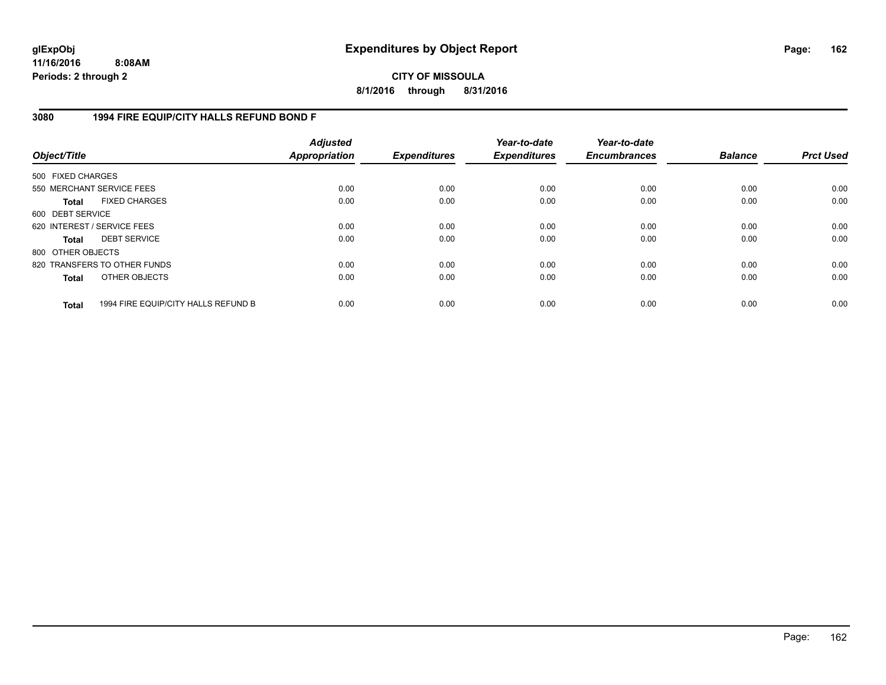# **CITY OF MISSOULA 8/1/2016 through 8/31/2016**

# **3080 1994 FIRE EQUIP/CITY HALLS REFUND BOND F**

| Object/Title                |                                     | <b>Adjusted</b><br>Appropriation | <b>Expenditures</b> | Year-to-date<br><b>Expenditures</b> | Year-to-date<br><b>Encumbrances</b> | <b>Balance</b> | <b>Prct Used</b> |
|-----------------------------|-------------------------------------|----------------------------------|---------------------|-------------------------------------|-------------------------------------|----------------|------------------|
| 500 FIXED CHARGES           |                                     |                                  |                     |                                     |                                     |                |                  |
| 550 MERCHANT SERVICE FEES   |                                     | 0.00                             | 0.00                | 0.00                                | 0.00                                | 0.00           | 0.00             |
| <b>Total</b>                | <b>FIXED CHARGES</b>                | 0.00                             | 0.00                | 0.00                                | 0.00                                | 0.00           | 0.00             |
| 600 DEBT SERVICE            |                                     |                                  |                     |                                     |                                     |                |                  |
| 620 INTEREST / SERVICE FEES |                                     | 0.00                             | 0.00                | 0.00                                | 0.00                                | 0.00           | 0.00             |
| Total                       | <b>DEBT SERVICE</b>                 | 0.00                             | 0.00                | 0.00                                | 0.00                                | 0.00           | 0.00             |
| 800 OTHER OBJECTS           |                                     |                                  |                     |                                     |                                     |                |                  |
|                             | 820 TRANSFERS TO OTHER FUNDS        | 0.00                             | 0.00                | 0.00                                | 0.00                                | 0.00           | 0.00             |
| <b>Total</b>                | OTHER OBJECTS                       | 0.00                             | 0.00                | 0.00                                | 0.00                                | 0.00           | 0.00             |
| <b>Total</b>                | 1994 FIRE EQUIP/CITY HALLS REFUND B | 0.00                             | 0.00                | 0.00                                | 0.00                                | 0.00           | 0.00             |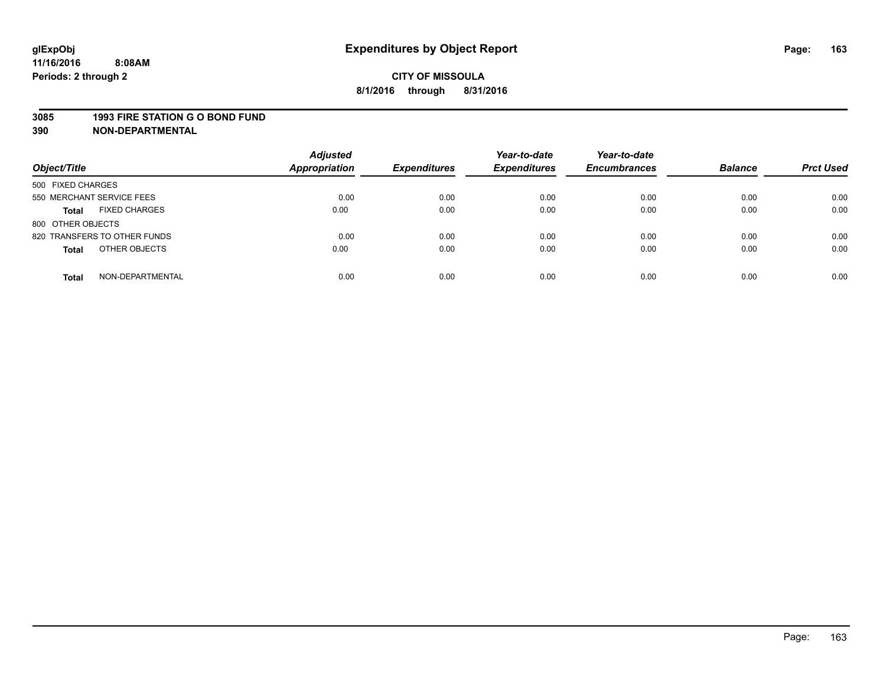#### **3085 1993 FIRE STATION G O BOND FUND**

| Object/Title                         | <b>Adjusted</b><br><b>Appropriation</b> | <b>Expenditures</b> | Year-to-date<br><b>Expenditures</b> | Year-to-date<br><b>Encumbrances</b> | <b>Balance</b> | <b>Prct Used</b> |
|--------------------------------------|-----------------------------------------|---------------------|-------------------------------------|-------------------------------------|----------------|------------------|
| 500 FIXED CHARGES                    |                                         |                     |                                     |                                     |                |                  |
| 550 MERCHANT SERVICE FEES            | 0.00                                    | 0.00                | 0.00                                | 0.00                                | 0.00           | 0.00             |
| <b>FIXED CHARGES</b><br><b>Total</b> | 0.00                                    | 0.00                | 0.00                                | 0.00                                | 0.00           | 0.00             |
| 800 OTHER OBJECTS                    |                                         |                     |                                     |                                     |                |                  |
| 820 TRANSFERS TO OTHER FUNDS         | 0.00                                    | 0.00                | 0.00                                | 0.00                                | 0.00           | 0.00             |
| OTHER OBJECTS<br><b>Total</b>        | 0.00                                    | 0.00                | 0.00                                | 0.00                                | 0.00           | 0.00             |
| NON-DEPARTMENTAL<br><b>Total</b>     | 0.00                                    | 0.00                | 0.00                                | 0.00                                | 0.00           | 0.00             |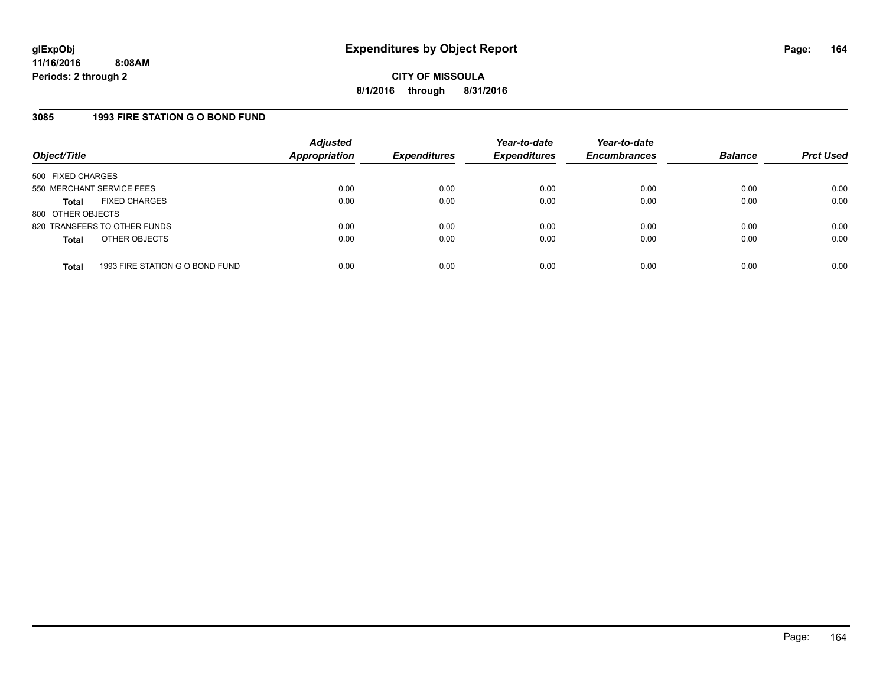# **3085 1993 FIRE STATION G O BOND FUND**

| Object/Title              |                                 | <b>Adjusted</b><br>Appropriation | <b>Expenditures</b> | Year-to-date<br><b>Expenditures</b> | Year-to-date<br><b>Encumbrances</b> | <b>Balance</b> | <b>Prct Used</b> |
|---------------------------|---------------------------------|----------------------------------|---------------------|-------------------------------------|-------------------------------------|----------------|------------------|
| 500 FIXED CHARGES         |                                 |                                  |                     |                                     |                                     |                |                  |
| 550 MERCHANT SERVICE FEES |                                 | 0.00                             | 0.00                | 0.00                                | 0.00                                | 0.00           | 0.00             |
| Total                     | <b>FIXED CHARGES</b>            | 0.00                             | 0.00                | 0.00                                | 0.00                                | 0.00           | 0.00             |
| 800 OTHER OBJECTS         |                                 |                                  |                     |                                     |                                     |                |                  |
|                           | 820 TRANSFERS TO OTHER FUNDS    | 0.00                             | 0.00                | 0.00                                | 0.00                                | 0.00           | 0.00             |
| <b>Total</b>              | OTHER OBJECTS                   | 0.00                             | 0.00                | 0.00                                | 0.00                                | 0.00           | 0.00             |
|                           |                                 |                                  |                     |                                     |                                     |                |                  |
| <b>Total</b>              | 1993 FIRE STATION G O BOND FUND | 0.00                             | 0.00                | 0.00                                | 0.00                                | 0.00           | 0.00             |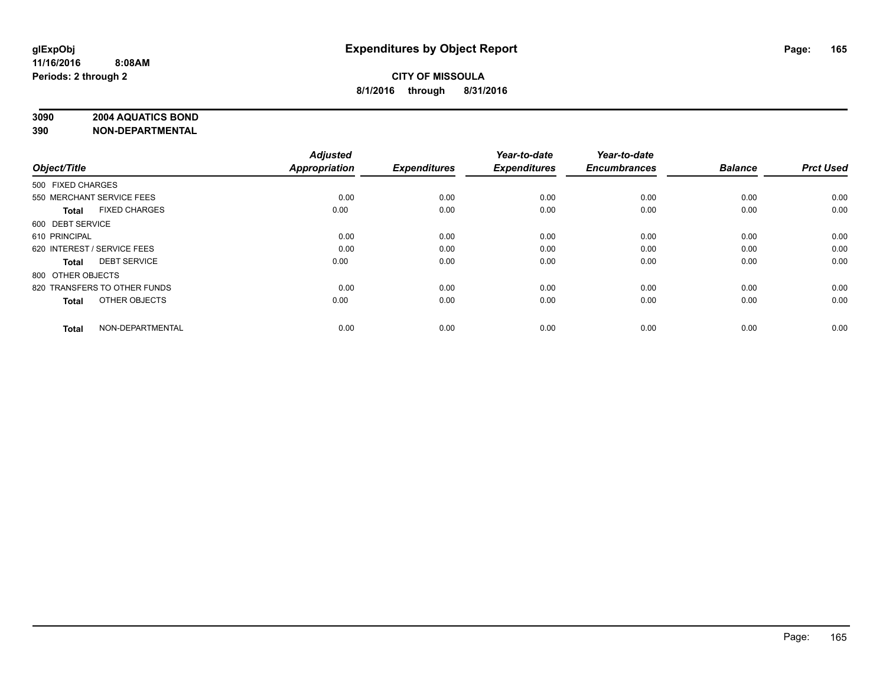### **3090 2004 AQUATICS BOND**

|                   |                              | <b>Adjusted</b>      |                     | Year-to-date        | Year-to-date        |                |                  |
|-------------------|------------------------------|----------------------|---------------------|---------------------|---------------------|----------------|------------------|
| Object/Title      |                              | <b>Appropriation</b> | <b>Expenditures</b> | <b>Expenditures</b> | <b>Encumbrances</b> | <b>Balance</b> | <b>Prct Used</b> |
| 500 FIXED CHARGES |                              |                      |                     |                     |                     |                |                  |
|                   | 550 MERCHANT SERVICE FEES    | 0.00                 | 0.00                | 0.00                | 0.00                | 0.00           | 0.00             |
| Total             | <b>FIXED CHARGES</b>         | 0.00                 | 0.00                | 0.00                | 0.00                | 0.00           | 0.00             |
| 600 DEBT SERVICE  |                              |                      |                     |                     |                     |                |                  |
| 610 PRINCIPAL     |                              | 0.00                 | 0.00                | 0.00                | 0.00                | 0.00           | 0.00             |
|                   | 620 INTEREST / SERVICE FEES  | 0.00                 | 0.00                | 0.00                | 0.00                | 0.00           | 0.00             |
| Total             | <b>DEBT SERVICE</b>          | 0.00                 | 0.00                | 0.00                | 0.00                | 0.00           | 0.00             |
| 800 OTHER OBJECTS |                              |                      |                     |                     |                     |                |                  |
|                   | 820 TRANSFERS TO OTHER FUNDS | 0.00                 | 0.00                | 0.00                | 0.00                | 0.00           | 0.00             |
| <b>Total</b>      | OTHER OBJECTS                | 0.00                 | 0.00                | 0.00                | 0.00                | 0.00           | 0.00             |
| <b>Total</b>      | NON-DEPARTMENTAL             | 0.00                 | 0.00                | 0.00                | 0.00                | 0.00           | 0.00             |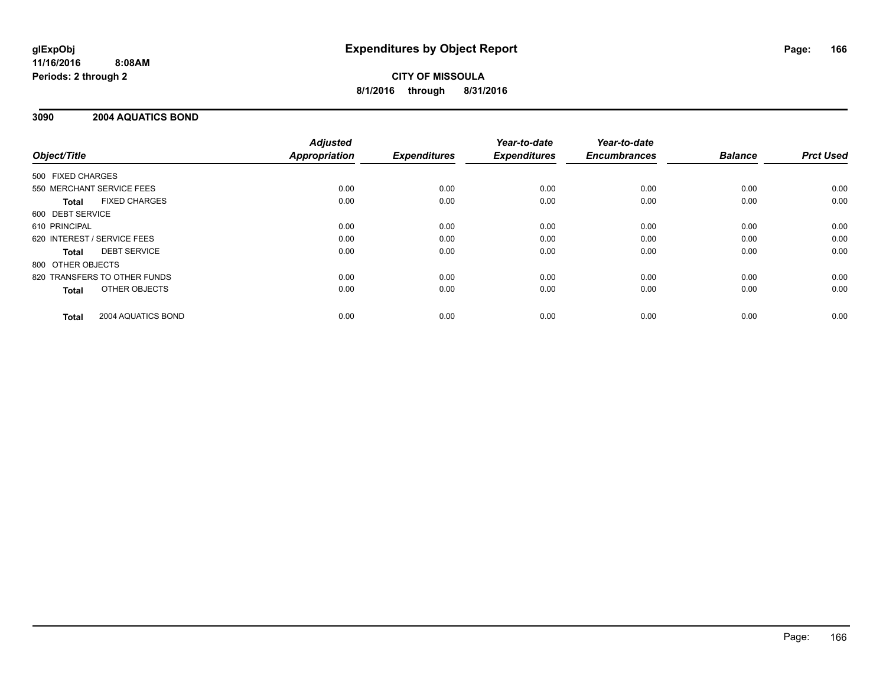# **CITY OF MISSOULA 8/1/2016 through 8/31/2016**

# **3090 2004 AQUATICS BOND**

|                                      | <b>Adjusted</b>      |                     | Year-to-date        | Year-to-date        |                |                  |
|--------------------------------------|----------------------|---------------------|---------------------|---------------------|----------------|------------------|
| Object/Title                         | <b>Appropriation</b> | <b>Expenditures</b> | <b>Expenditures</b> | <b>Encumbrances</b> | <b>Balance</b> | <b>Prct Used</b> |
| 500 FIXED CHARGES                    |                      |                     |                     |                     |                |                  |
| 550 MERCHANT SERVICE FEES            | 0.00                 | 0.00                | 0.00                | 0.00                | 0.00           | 0.00             |
| <b>FIXED CHARGES</b><br>Total        | 0.00                 | 0.00                | 0.00                | 0.00                | 0.00           | 0.00             |
| 600 DEBT SERVICE                     |                      |                     |                     |                     |                |                  |
| 610 PRINCIPAL                        | 0.00                 | 0.00                | 0.00                | 0.00                | 0.00           | 0.00             |
| 620 INTEREST / SERVICE FEES          | 0.00                 | 0.00                | 0.00                | 0.00                | 0.00           | 0.00             |
| <b>DEBT SERVICE</b><br>Total         | 0.00                 | 0.00                | 0.00                | 0.00                | 0.00           | 0.00             |
| 800 OTHER OBJECTS                    |                      |                     |                     |                     |                |                  |
| 820 TRANSFERS TO OTHER FUNDS         | 0.00                 | 0.00                | 0.00                | 0.00                | 0.00           | 0.00             |
| <b>OTHER OBJECTS</b><br><b>Total</b> | 0.00                 | 0.00                | 0.00                | 0.00                | 0.00           | 0.00             |
| 2004 AQUATICS BOND<br><b>Total</b>   | 0.00                 | 0.00                | 0.00                | 0.00                | 0.00           | 0.00             |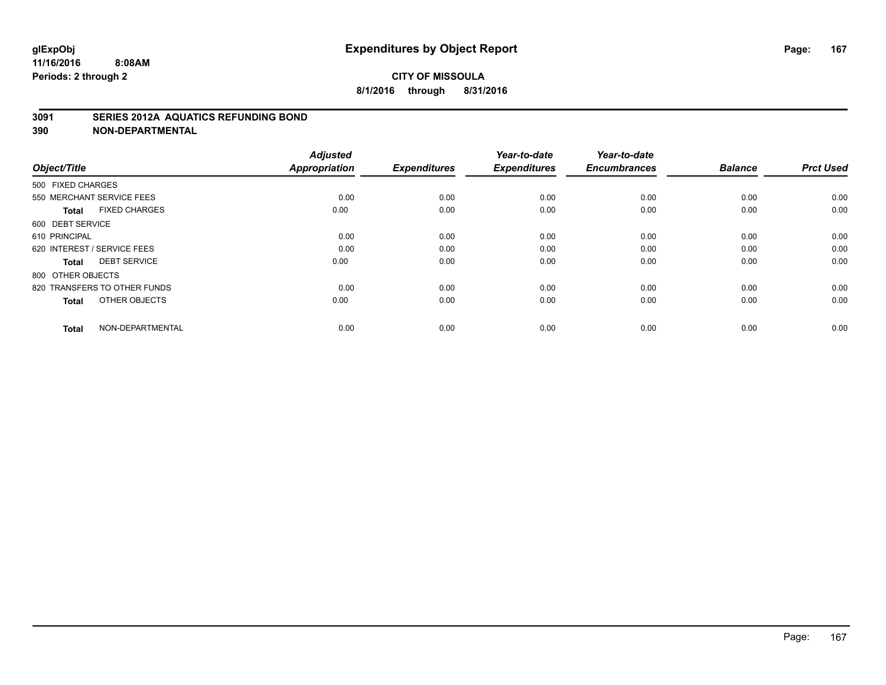### **3091 SERIES 2012A AQUATICS REFUNDING BOND**

| Object/Title                         | <b>Adjusted</b><br><b>Appropriation</b> | <b>Expenditures</b> | Year-to-date<br><b>Expenditures</b> | Year-to-date<br><b>Encumbrances</b> | <b>Balance</b> | <b>Prct Used</b> |
|--------------------------------------|-----------------------------------------|---------------------|-------------------------------------|-------------------------------------|----------------|------------------|
| 500 FIXED CHARGES                    |                                         |                     |                                     |                                     |                |                  |
| 550 MERCHANT SERVICE FEES            | 0.00                                    | 0.00                | 0.00                                | 0.00                                | 0.00           | 0.00             |
| <b>FIXED CHARGES</b><br><b>Total</b> | 0.00                                    | 0.00                | 0.00                                | 0.00                                | 0.00           | 0.00             |
| 600 DEBT SERVICE                     |                                         |                     |                                     |                                     |                |                  |
| 610 PRINCIPAL                        | 0.00                                    | 0.00                | 0.00                                | 0.00                                | 0.00           | 0.00             |
| 620 INTEREST / SERVICE FEES          | 0.00                                    | 0.00                | 0.00                                | 0.00                                | 0.00           | 0.00             |
| <b>DEBT SERVICE</b><br><b>Total</b>  | 0.00                                    | 0.00                | 0.00                                | 0.00                                | 0.00           | 0.00             |
| 800 OTHER OBJECTS                    |                                         |                     |                                     |                                     |                |                  |
| 820 TRANSFERS TO OTHER FUNDS         | 0.00                                    | 0.00                | 0.00                                | 0.00                                | 0.00           | 0.00             |
| OTHER OBJECTS<br><b>Total</b>        | 0.00                                    | 0.00                | 0.00                                | 0.00                                | 0.00           | 0.00             |
|                                      |                                         |                     |                                     |                                     |                |                  |
| NON-DEPARTMENTAL<br><b>Total</b>     | 0.00                                    | 0.00                | 0.00                                | 0.00                                | 0.00           | 0.00             |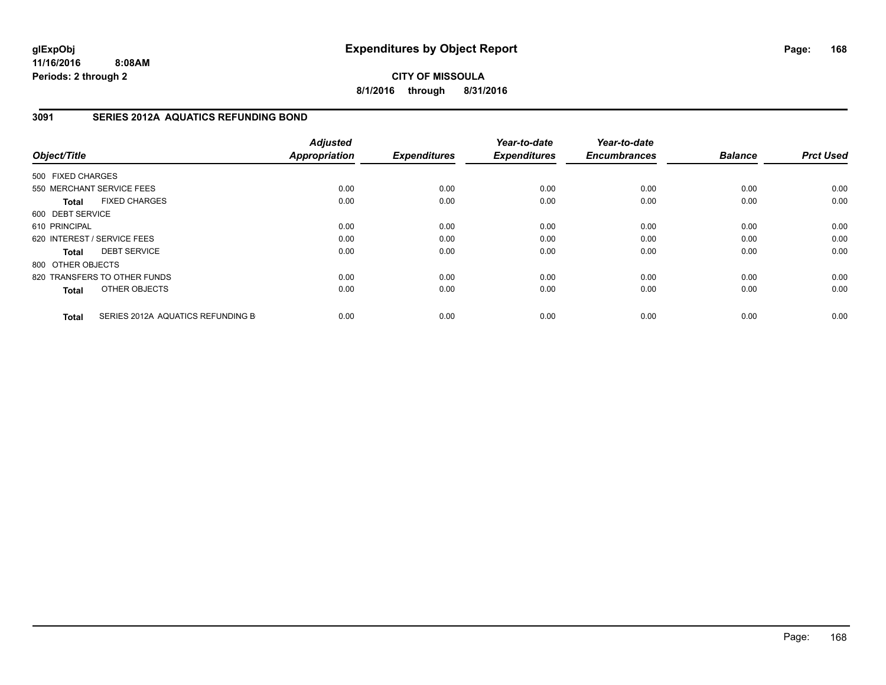**CITY OF MISSOULA 8/1/2016 through 8/31/2016**

# **3091 SERIES 2012A AQUATICS REFUNDING BOND**

| Object/Title      |                                   | <b>Adjusted</b><br><b>Appropriation</b> | <b>Expenditures</b> | Year-to-date<br><b>Expenditures</b> | Year-to-date<br><b>Encumbrances</b> | <b>Balance</b> | <b>Prct Used</b> |
|-------------------|-----------------------------------|-----------------------------------------|---------------------|-------------------------------------|-------------------------------------|----------------|------------------|
| 500 FIXED CHARGES |                                   |                                         |                     |                                     |                                     |                |                  |
|                   | 550 MERCHANT SERVICE FEES         | 0.00                                    | 0.00                | 0.00                                | 0.00                                | 0.00           | 0.00             |
| Total             | <b>FIXED CHARGES</b>              | 0.00                                    | 0.00                | 0.00                                | 0.00                                | 0.00           | 0.00             |
| 600 DEBT SERVICE  |                                   |                                         |                     |                                     |                                     |                |                  |
| 610 PRINCIPAL     |                                   | 0.00                                    | 0.00                | 0.00                                | 0.00                                | 0.00           | 0.00             |
|                   | 620 INTEREST / SERVICE FEES       | 0.00                                    | 0.00                | 0.00                                | 0.00                                | 0.00           | 0.00             |
| Total             | <b>DEBT SERVICE</b>               | 0.00                                    | 0.00                | 0.00                                | 0.00                                | 0.00           | 0.00             |
| 800 OTHER OBJECTS |                                   |                                         |                     |                                     |                                     |                |                  |
|                   | 820 TRANSFERS TO OTHER FUNDS      | 0.00                                    | 0.00                | 0.00                                | 0.00                                | 0.00           | 0.00             |
| <b>Total</b>      | OTHER OBJECTS                     | 0.00                                    | 0.00                | 0.00                                | 0.00                                | 0.00           | 0.00             |
| <b>Total</b>      | SERIES 2012A AQUATICS REFUNDING B | 0.00                                    | 0.00                | 0.00                                | 0.00                                | 0.00           | 0.00             |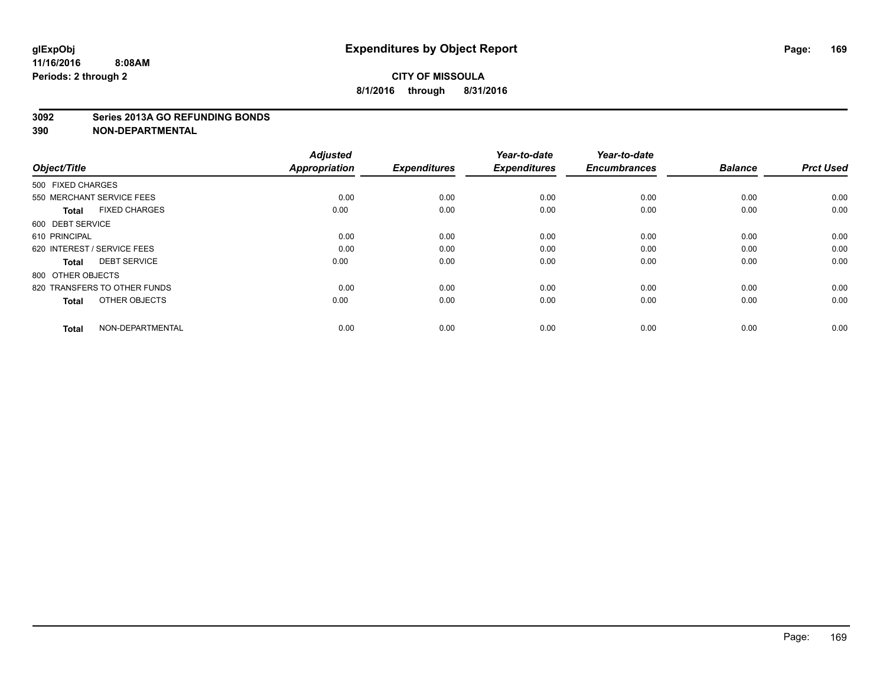#### **3092 Series 2013A GO REFUNDING BONDS**

| Object/Title                         | <b>Adjusted</b><br><b>Appropriation</b> | <b>Expenditures</b> | Year-to-date<br><b>Expenditures</b> | Year-to-date<br><b>Encumbrances</b> | <b>Balance</b> | <b>Prct Used</b> |
|--------------------------------------|-----------------------------------------|---------------------|-------------------------------------|-------------------------------------|----------------|------------------|
| 500 FIXED CHARGES                    |                                         |                     |                                     |                                     |                |                  |
| 550 MERCHANT SERVICE FEES            | 0.00                                    | 0.00                | 0.00                                | 0.00                                | 0.00           | 0.00             |
| <b>FIXED CHARGES</b><br><b>Total</b> | 0.00                                    | 0.00                | 0.00                                | 0.00                                | 0.00           | 0.00             |
| 600 DEBT SERVICE                     |                                         |                     |                                     |                                     |                |                  |
| 610 PRINCIPAL                        | 0.00                                    | 0.00                | 0.00                                | 0.00                                | 0.00           | 0.00             |
| 620 INTEREST / SERVICE FEES          | 0.00                                    | 0.00                | 0.00                                | 0.00                                | 0.00           | 0.00             |
| <b>DEBT SERVICE</b><br><b>Total</b>  | 0.00                                    | 0.00                | 0.00                                | 0.00                                | 0.00           | 0.00             |
| 800 OTHER OBJECTS                    |                                         |                     |                                     |                                     |                |                  |
| 820 TRANSFERS TO OTHER FUNDS         | 0.00                                    | 0.00                | 0.00                                | 0.00                                | 0.00           | 0.00             |
| OTHER OBJECTS<br><b>Total</b>        | 0.00                                    | 0.00                | 0.00                                | 0.00                                | 0.00           | 0.00             |
|                                      |                                         |                     |                                     |                                     |                |                  |
| NON-DEPARTMENTAL<br><b>Total</b>     | 0.00                                    | 0.00                | 0.00                                | 0.00                                | 0.00           | 0.00             |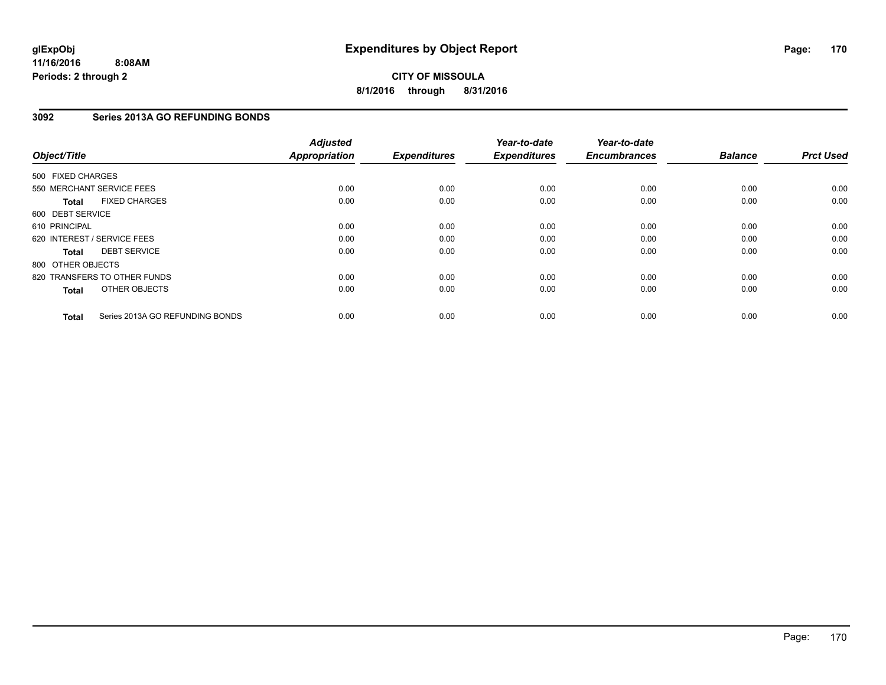# **CITY OF MISSOULA 8/1/2016 through 8/31/2016**

# **3092 Series 2013A GO REFUNDING BONDS**

| Object/Title      |                                 | <b>Adjusted</b><br><b>Appropriation</b> | <b>Expenditures</b> | Year-to-date<br><b>Expenditures</b> | Year-to-date<br><b>Encumbrances</b> | <b>Balance</b> | <b>Prct Used</b> |
|-------------------|---------------------------------|-----------------------------------------|---------------------|-------------------------------------|-------------------------------------|----------------|------------------|
| 500 FIXED CHARGES |                                 |                                         |                     |                                     |                                     |                |                  |
|                   | 550 MERCHANT SERVICE FEES       | 0.00                                    | 0.00                | 0.00                                | 0.00                                | 0.00           | 0.00             |
| <b>Total</b>      | <b>FIXED CHARGES</b>            | 0.00                                    | 0.00                | 0.00                                | 0.00                                | 0.00           | 0.00             |
| 600 DEBT SERVICE  |                                 |                                         |                     |                                     |                                     |                |                  |
| 610 PRINCIPAL     |                                 | 0.00                                    | 0.00                | 0.00                                | 0.00                                | 0.00           | 0.00             |
|                   | 620 INTEREST / SERVICE FEES     | 0.00                                    | 0.00                | 0.00                                | 0.00                                | 0.00           | 0.00             |
| <b>Total</b>      | <b>DEBT SERVICE</b>             | 0.00                                    | 0.00                | 0.00                                | 0.00                                | 0.00           | 0.00             |
| 800 OTHER OBJECTS |                                 |                                         |                     |                                     |                                     |                |                  |
|                   | 820 TRANSFERS TO OTHER FUNDS    | 0.00                                    | 0.00                | 0.00                                | 0.00                                | 0.00           | 0.00             |
| <b>Total</b>      | OTHER OBJECTS                   | 0.00                                    | 0.00                | 0.00                                | 0.00                                | 0.00           | 0.00             |
| <b>Total</b>      | Series 2013A GO REFUNDING BONDS | 0.00                                    | 0.00                | 0.00                                | 0.00                                | 0.00           | 0.00             |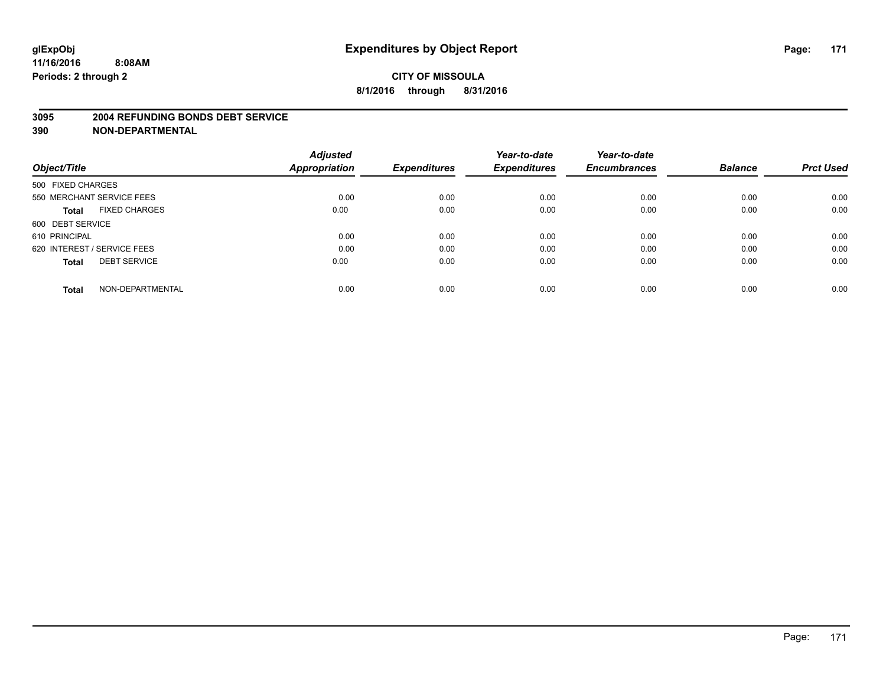#### **3095 2004 REFUNDING BONDS DEBT SERVICE**

|                                     | <b>Adjusted</b>      |                     | Year-to-date        | Year-to-date        |                |                  |
|-------------------------------------|----------------------|---------------------|---------------------|---------------------|----------------|------------------|
| Object/Title                        | <b>Appropriation</b> | <b>Expenditures</b> | <b>Expenditures</b> | <b>Encumbrances</b> | <b>Balance</b> | <b>Prct Used</b> |
| 500 FIXED CHARGES                   |                      |                     |                     |                     |                |                  |
| 550 MERCHANT SERVICE FEES           | 0.00                 | 0.00                | 0.00                | 0.00                | 0.00           | 0.00             |
| <b>FIXED CHARGES</b><br>Total       | 0.00                 | 0.00                | 0.00                | 0.00                | 0.00           | 0.00             |
| 600 DEBT SERVICE                    |                      |                     |                     |                     |                |                  |
| 610 PRINCIPAL                       | 0.00                 | 0.00                | 0.00                | 0.00                | 0.00           | 0.00             |
| 620 INTEREST / SERVICE FEES         | 0.00                 | 0.00                | 0.00                | 0.00                | 0.00           | 0.00             |
| <b>DEBT SERVICE</b><br><b>Total</b> | 0.00                 | 0.00                | 0.00                | 0.00                | 0.00           | 0.00             |
| NON-DEPARTMENTAL<br><b>Total</b>    | 0.00                 | 0.00                | 0.00                | 0.00                | 0.00           | 0.00             |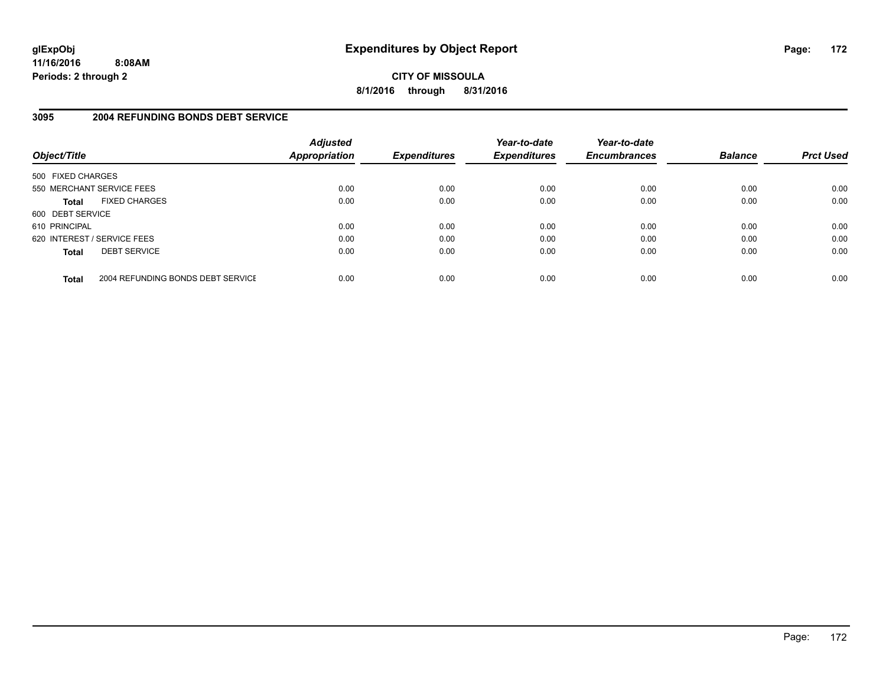**CITY OF MISSOULA 8/1/2016 through 8/31/2016**

# **3095 2004 REFUNDING BONDS DEBT SERVICE**

| Object/Title                |                                   | <b>Adjusted</b><br><b>Appropriation</b> | <b>Expenditures</b> | Year-to-date<br><b>Expenditures</b> | Year-to-date<br><b>Encumbrances</b> | <b>Balance</b> | <b>Prct Used</b> |
|-----------------------------|-----------------------------------|-----------------------------------------|---------------------|-------------------------------------|-------------------------------------|----------------|------------------|
| 500 FIXED CHARGES           |                                   |                                         |                     |                                     |                                     |                |                  |
| 550 MERCHANT SERVICE FEES   |                                   | 0.00                                    | 0.00                | 0.00                                | 0.00                                | 0.00           | 0.00             |
| <b>Total</b>                | <b>FIXED CHARGES</b>              | 0.00                                    | 0.00                | 0.00                                | 0.00                                | 0.00           | 0.00             |
| 600 DEBT SERVICE            |                                   |                                         |                     |                                     |                                     |                |                  |
| 610 PRINCIPAL               |                                   | 0.00                                    | 0.00                | 0.00                                | 0.00                                | 0.00           | 0.00             |
| 620 INTEREST / SERVICE FEES |                                   | 0.00                                    | 0.00                | 0.00                                | 0.00                                | 0.00           | 0.00             |
| <b>Total</b>                | <b>DEBT SERVICE</b>               | 0.00                                    | 0.00                | 0.00                                | 0.00                                | 0.00           | 0.00             |
| <b>Total</b>                | 2004 REFUNDING BONDS DEBT SERVICE | 0.00                                    | 0.00                | 0.00                                | 0.00                                | 0.00           | 0.00             |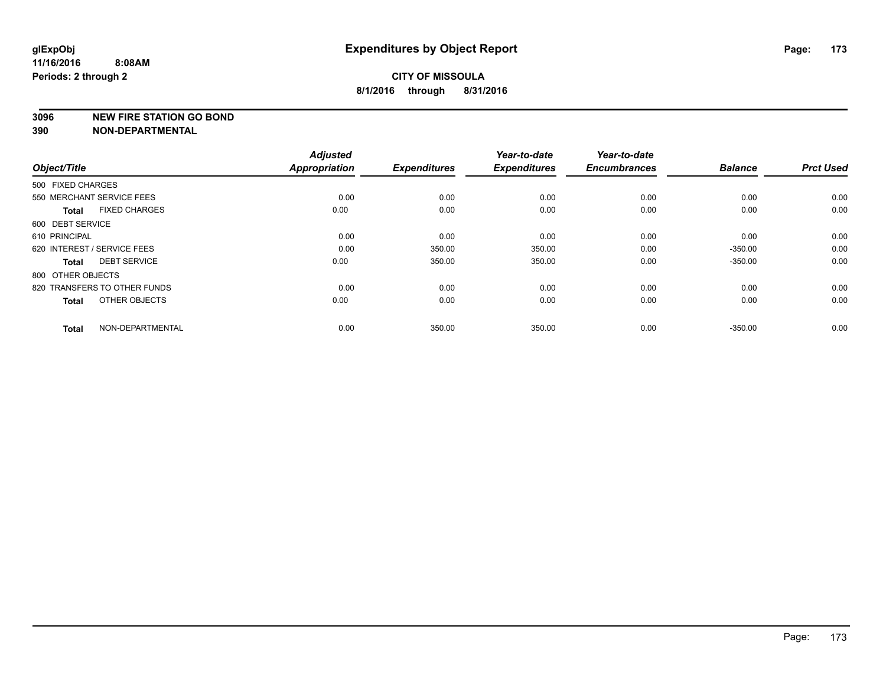#### **3096 NEW FIRE STATION GO BOND**

| Object/Title                         | <b>Adjusted</b><br><b>Appropriation</b> | <b>Expenditures</b> | Year-to-date<br><b>Expenditures</b> | Year-to-date<br><b>Encumbrances</b> | <b>Balance</b> | <b>Prct Used</b> |
|--------------------------------------|-----------------------------------------|---------------------|-------------------------------------|-------------------------------------|----------------|------------------|
|                                      |                                         |                     |                                     |                                     |                |                  |
| 500 FIXED CHARGES                    |                                         |                     |                                     |                                     |                |                  |
| 550 MERCHANT SERVICE FEES            | 0.00                                    | 0.00                | 0.00                                | 0.00                                | 0.00           | 0.00             |
| <b>FIXED CHARGES</b><br><b>Total</b> | 0.00                                    | 0.00                | 0.00                                | 0.00                                | 0.00           | 0.00             |
| 600 DEBT SERVICE                     |                                         |                     |                                     |                                     |                |                  |
| 610 PRINCIPAL                        | 0.00                                    | 0.00                | 0.00                                | 0.00                                | 0.00           | 0.00             |
| 620 INTEREST / SERVICE FEES          | 0.00                                    | 350.00              | 350.00                              | 0.00                                | $-350.00$      | 0.00             |
| <b>DEBT SERVICE</b><br><b>Total</b>  | 0.00                                    | 350.00              | 350.00                              | 0.00                                | $-350.00$      | 0.00             |
| 800 OTHER OBJECTS                    |                                         |                     |                                     |                                     |                |                  |
| 820 TRANSFERS TO OTHER FUNDS         | 0.00                                    | 0.00                | 0.00                                | 0.00                                | 0.00           | 0.00             |
| OTHER OBJECTS<br><b>Total</b>        | 0.00                                    | 0.00                | 0.00                                | 0.00                                | 0.00           | 0.00             |
|                                      |                                         |                     |                                     |                                     |                |                  |
| NON-DEPARTMENTAL<br><b>Total</b>     | 0.00                                    | 350.00              | 350.00                              | 0.00                                | $-350.00$      | 0.00             |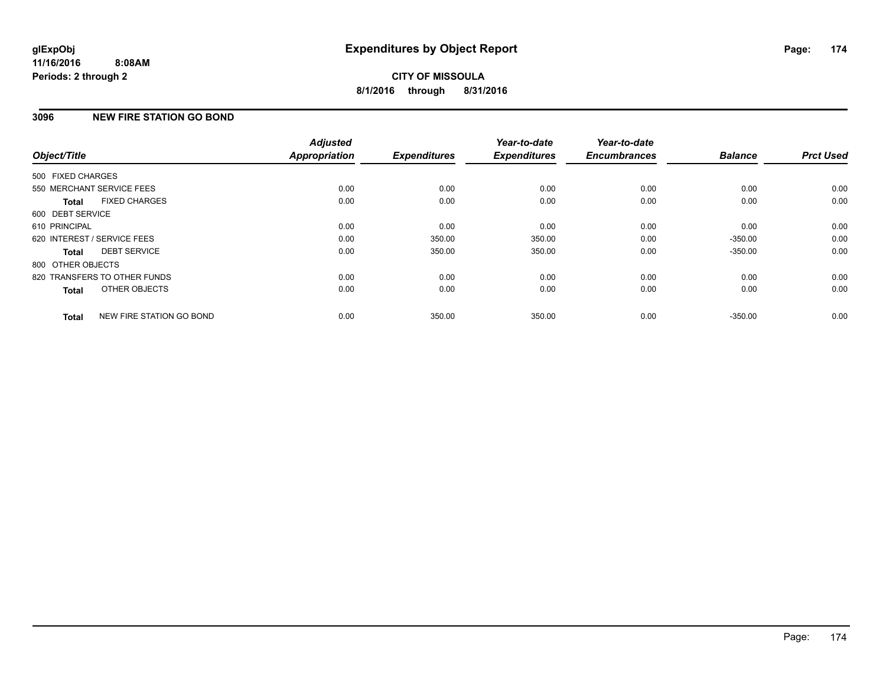# **3096 NEW FIRE STATION GO BOND**

| Object/Title      |                              | <b>Adjusted</b><br><b>Appropriation</b> | <b>Expenditures</b> | Year-to-date<br><b>Expenditures</b> | Year-to-date<br><b>Encumbrances</b> | <b>Balance</b> | <b>Prct Used</b> |
|-------------------|------------------------------|-----------------------------------------|---------------------|-------------------------------------|-------------------------------------|----------------|------------------|
|                   |                              |                                         |                     |                                     |                                     |                |                  |
| 500 FIXED CHARGES |                              |                                         |                     |                                     |                                     |                |                  |
|                   | 550 MERCHANT SERVICE FEES    | 0.00                                    | 0.00                | 0.00                                | 0.00                                | 0.00           | 0.00             |
| <b>Total</b>      | <b>FIXED CHARGES</b>         | 0.00                                    | 0.00                | 0.00                                | 0.00                                | 0.00           | 0.00             |
| 600 DEBT SERVICE  |                              |                                         |                     |                                     |                                     |                |                  |
| 610 PRINCIPAL     |                              | 0.00                                    | 0.00                | 0.00                                | 0.00                                | 0.00           | 0.00             |
|                   | 620 INTEREST / SERVICE FEES  | 0.00                                    | 350.00              | 350.00                              | 0.00                                | $-350.00$      | 0.00             |
| <b>Total</b>      | <b>DEBT SERVICE</b>          | 0.00                                    | 350.00              | 350.00                              | 0.00                                | $-350.00$      | 0.00             |
| 800 OTHER OBJECTS |                              |                                         |                     |                                     |                                     |                |                  |
|                   | 820 TRANSFERS TO OTHER FUNDS | 0.00                                    | 0.00                | 0.00                                | 0.00                                | 0.00           | 0.00             |
| <b>Total</b>      | OTHER OBJECTS                | 0.00                                    | 0.00                | 0.00                                | 0.00                                | 0.00           | 0.00             |
| <b>Total</b>      | NEW FIRE STATION GO BOND     | 0.00                                    | 350.00              | 350.00                              | 0.00                                | $-350.00$      | 0.00             |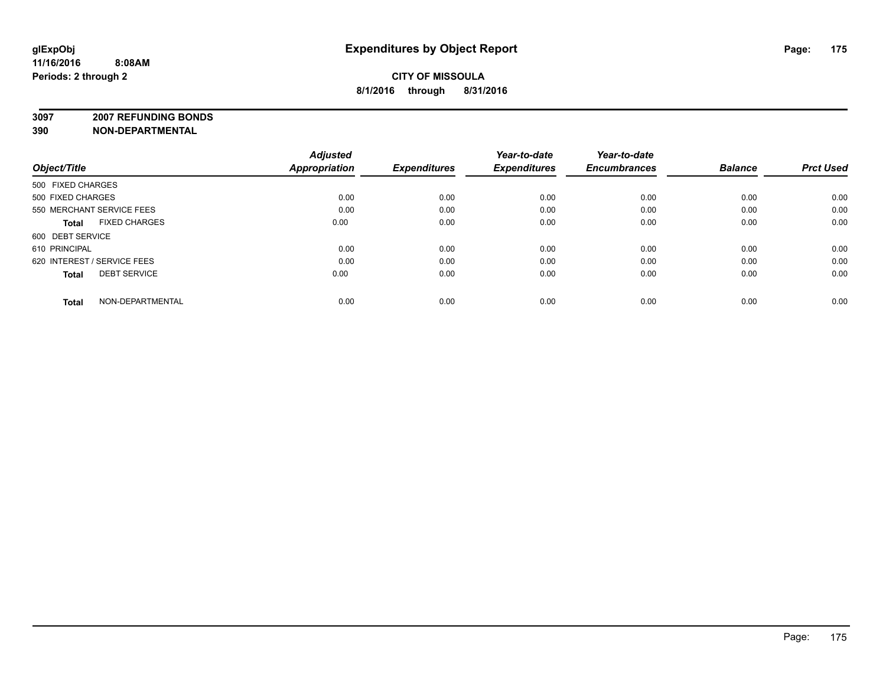**3097 2007 REFUNDING BONDS**

| Object/Title                         | <b>Adjusted</b><br><b>Appropriation</b> | <b>Expenditures</b> | Year-to-date<br><b>Expenditures</b> | Year-to-date<br><b>Encumbrances</b> | <b>Balance</b> | <b>Prct Used</b> |
|--------------------------------------|-----------------------------------------|---------------------|-------------------------------------|-------------------------------------|----------------|------------------|
| 500 FIXED CHARGES                    |                                         |                     |                                     |                                     |                |                  |
| 500 FIXED CHARGES                    | 0.00                                    | 0.00                | 0.00                                | 0.00                                | 0.00           | 0.00             |
| 550 MERCHANT SERVICE FEES            | 0.00                                    | 0.00                | 0.00                                | 0.00                                | 0.00           | 0.00             |
| <b>FIXED CHARGES</b><br><b>Total</b> | 0.00                                    | 0.00                | 0.00                                | 0.00                                | 0.00           | 0.00             |
| 600 DEBT SERVICE                     |                                         |                     |                                     |                                     |                |                  |
| 610 PRINCIPAL                        | 0.00                                    | 0.00                | 0.00                                | 0.00                                | 0.00           | 0.00             |
| 620 INTEREST / SERVICE FEES          | 0.00                                    | 0.00                | 0.00                                | 0.00                                | 0.00           | 0.00             |
| <b>DEBT SERVICE</b><br><b>Total</b>  | 0.00                                    | 0.00                | 0.00                                | 0.00                                | 0.00           | 0.00             |
| NON-DEPARTMENTAL<br><b>Total</b>     | 0.00                                    | 0.00                | 0.00                                | 0.00                                | 0.00           | 0.00             |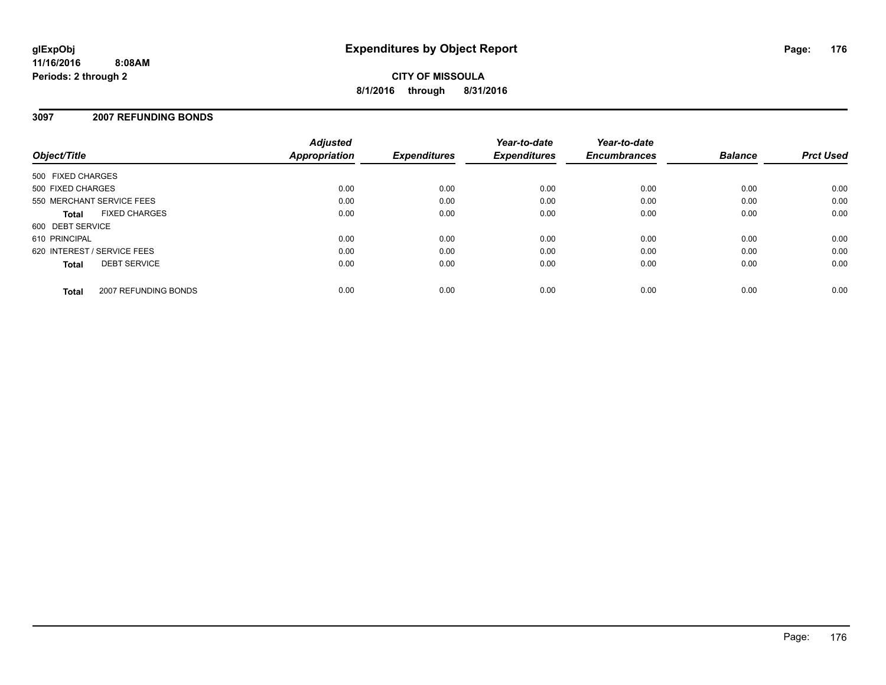**CITY OF MISSOULA 8/1/2016 through 8/31/2016**

#### **3097 2007 REFUNDING BONDS**

| Object/Title                |                      | <b>Adjusted</b><br>Appropriation | <b>Expenditures</b> | Year-to-date<br><b>Expenditures</b> | Year-to-date<br><b>Encumbrances</b> | <b>Balance</b> | <b>Prct Used</b> |
|-----------------------------|----------------------|----------------------------------|---------------------|-------------------------------------|-------------------------------------|----------------|------------------|
| 500 FIXED CHARGES           |                      |                                  |                     |                                     |                                     |                |                  |
| 500 FIXED CHARGES           |                      | 0.00                             | 0.00                | 0.00                                | 0.00                                | 0.00           | 0.00             |
| 550 MERCHANT SERVICE FEES   |                      | 0.00                             | 0.00                | 0.00                                | 0.00                                | 0.00           | 0.00             |
| <b>Total</b>                | <b>FIXED CHARGES</b> | 0.00                             | 0.00                | 0.00                                | 0.00                                | 0.00           | 0.00             |
| 600 DEBT SERVICE            |                      |                                  |                     |                                     |                                     |                |                  |
| 610 PRINCIPAL               |                      | 0.00                             | 0.00                | 0.00                                | 0.00                                | 0.00           | 0.00             |
| 620 INTEREST / SERVICE FEES |                      | 0.00                             | 0.00                | 0.00                                | 0.00                                | 0.00           | 0.00             |
| <b>Total</b>                | <b>DEBT SERVICE</b>  | 0.00                             | 0.00                | 0.00                                | 0.00                                | 0.00           | 0.00             |
| <b>Total</b>                | 2007 REFUNDING BONDS | 0.00                             | 0.00                | 0.00                                | 0.00                                | 0.00           | 0.00             |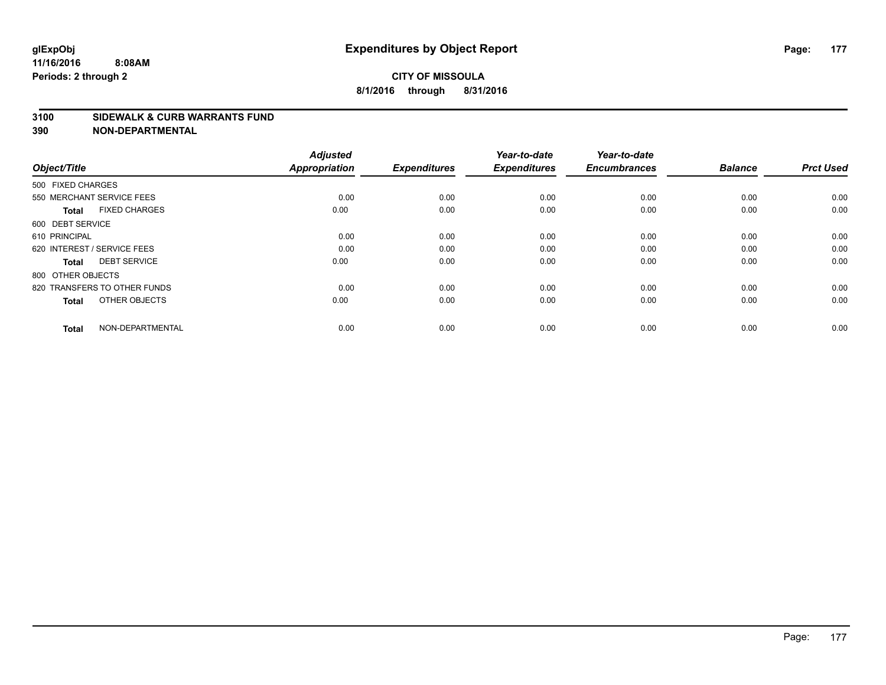#### **3100 SIDEWALK & CURB WARRANTS FUND**

| Object/Title                         | <b>Adjusted</b><br><b>Appropriation</b> | <b>Expenditures</b> | Year-to-date<br><b>Expenditures</b> | Year-to-date<br><b>Encumbrances</b> | <b>Balance</b> | <b>Prct Used</b> |
|--------------------------------------|-----------------------------------------|---------------------|-------------------------------------|-------------------------------------|----------------|------------------|
| 500 FIXED CHARGES                    |                                         |                     |                                     |                                     |                |                  |
| 550 MERCHANT SERVICE FEES            | 0.00                                    | 0.00                | 0.00                                | 0.00                                | 0.00           | 0.00             |
| <b>FIXED CHARGES</b><br><b>Total</b> | 0.00                                    | 0.00                | 0.00                                | 0.00                                | 0.00           | 0.00             |
| 600 DEBT SERVICE                     |                                         |                     |                                     |                                     |                |                  |
| 610 PRINCIPAL                        | 0.00                                    | 0.00                | 0.00                                | 0.00                                | 0.00           | 0.00             |
| 620 INTEREST / SERVICE FEES          | 0.00                                    | 0.00                | 0.00                                | 0.00                                | 0.00           | 0.00             |
| <b>DEBT SERVICE</b><br><b>Total</b>  | 0.00                                    | 0.00                | 0.00                                | 0.00                                | 0.00           | 0.00             |
| 800 OTHER OBJECTS                    |                                         |                     |                                     |                                     |                |                  |
| 820 TRANSFERS TO OTHER FUNDS         | 0.00                                    | 0.00                | 0.00                                | 0.00                                | 0.00           | 0.00             |
| OTHER OBJECTS<br><b>Total</b>        | 0.00                                    | 0.00                | 0.00                                | 0.00                                | 0.00           | 0.00             |
|                                      |                                         |                     |                                     |                                     |                |                  |
| NON-DEPARTMENTAL<br><b>Total</b>     | 0.00                                    | 0.00                | 0.00                                | 0.00                                | 0.00           | 0.00             |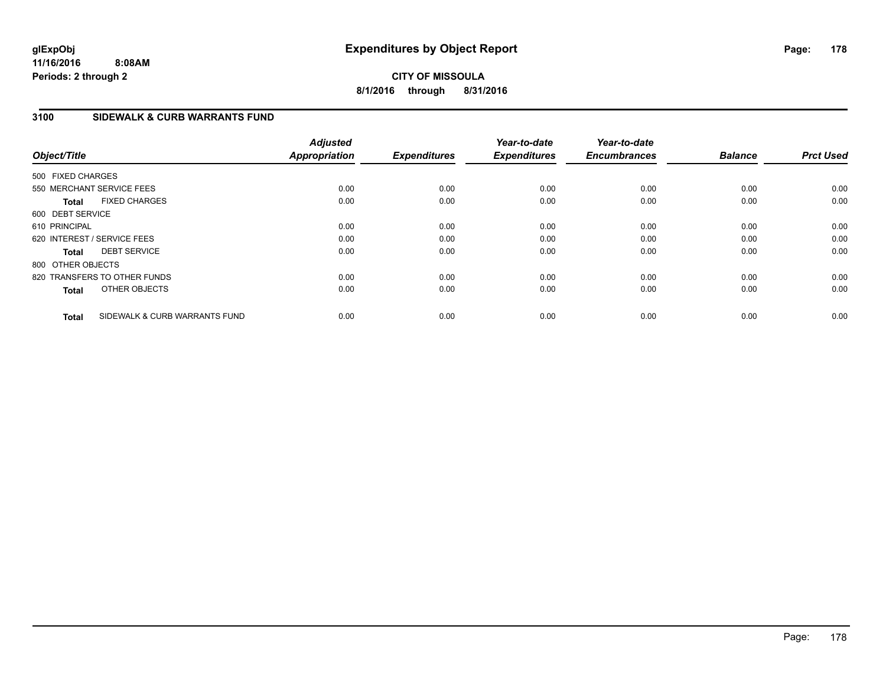**CITY OF MISSOULA 8/1/2016 through 8/31/2016**

# **3100 SIDEWALK & CURB WARRANTS FUND**

| Object/Title                |                               | <b>Adjusted</b><br><b>Appropriation</b> | <b>Expenditures</b> | Year-to-date<br><b>Expenditures</b> | Year-to-date<br><b>Encumbrances</b> | <b>Balance</b> | <b>Prct Used</b> |
|-----------------------------|-------------------------------|-----------------------------------------|---------------------|-------------------------------------|-------------------------------------|----------------|------------------|
| 500 FIXED CHARGES           |                               |                                         |                     |                                     |                                     |                |                  |
| 550 MERCHANT SERVICE FEES   |                               | 0.00                                    | 0.00                | 0.00                                | 0.00                                | 0.00           | 0.00             |
| <b>Total</b>                | <b>FIXED CHARGES</b>          | 0.00                                    | 0.00                | 0.00                                | 0.00                                | 0.00           | 0.00             |
| 600 DEBT SERVICE            |                               |                                         |                     |                                     |                                     |                |                  |
| 610 PRINCIPAL               |                               | 0.00                                    | 0.00                | 0.00                                | 0.00                                | 0.00           | 0.00             |
| 620 INTEREST / SERVICE FEES |                               | 0.00                                    | 0.00                | 0.00                                | 0.00                                | 0.00           | 0.00             |
| <b>Total</b>                | <b>DEBT SERVICE</b>           | 0.00                                    | 0.00                | 0.00                                | 0.00                                | 0.00           | 0.00             |
| 800 OTHER OBJECTS           |                               |                                         |                     |                                     |                                     |                |                  |
|                             | 820 TRANSFERS TO OTHER FUNDS  | 0.00                                    | 0.00                | 0.00                                | 0.00                                | 0.00           | 0.00             |
| <b>Total</b>                | OTHER OBJECTS                 | 0.00                                    | 0.00                | 0.00                                | 0.00                                | 0.00           | 0.00             |
| <b>Total</b>                | SIDEWALK & CURB WARRANTS FUND | 0.00                                    | 0.00                | 0.00                                | 0.00                                | 0.00           | 0.00             |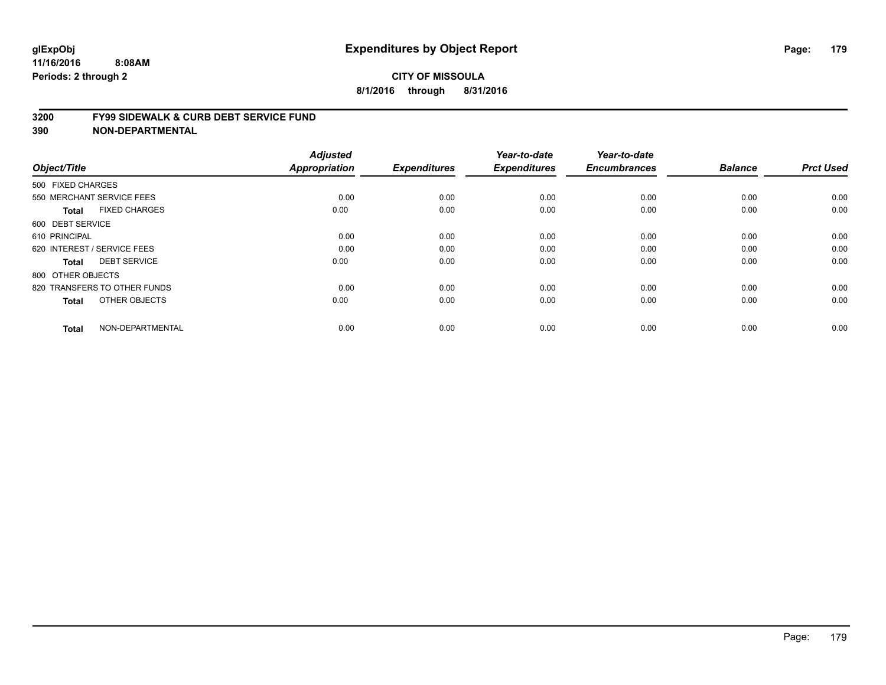#### **3200 FY99 SIDEWALK & CURB DEBT SERVICE FUND**

| Object/Title                         | <b>Adjusted</b><br><b>Appropriation</b> | <b>Expenditures</b> | Year-to-date<br><b>Expenditures</b> | Year-to-date<br><b>Encumbrances</b> | <b>Balance</b> | <b>Prct Used</b> |
|--------------------------------------|-----------------------------------------|---------------------|-------------------------------------|-------------------------------------|----------------|------------------|
| 500 FIXED CHARGES                    |                                         |                     |                                     |                                     |                |                  |
| 550 MERCHANT SERVICE FEES            | 0.00                                    | 0.00                | 0.00                                | 0.00                                | 0.00           | 0.00             |
| <b>FIXED CHARGES</b><br><b>Total</b> | 0.00                                    | 0.00                | 0.00                                | 0.00                                | 0.00           | 0.00             |
| 600 DEBT SERVICE                     |                                         |                     |                                     |                                     |                |                  |
| 610 PRINCIPAL                        | 0.00                                    | 0.00                | 0.00                                | 0.00                                | 0.00           | 0.00             |
| 620 INTEREST / SERVICE FEES          | 0.00                                    | 0.00                | 0.00                                | 0.00                                | 0.00           | 0.00             |
| <b>DEBT SERVICE</b><br><b>Total</b>  | 0.00                                    | 0.00                | 0.00                                | 0.00                                | 0.00           | 0.00             |
| 800 OTHER OBJECTS                    |                                         |                     |                                     |                                     |                |                  |
| 820 TRANSFERS TO OTHER FUNDS         | 0.00                                    | 0.00                | 0.00                                | 0.00                                | 0.00           | 0.00             |
| OTHER OBJECTS<br><b>Total</b>        | 0.00                                    | 0.00                | 0.00                                | 0.00                                | 0.00           | 0.00             |
|                                      |                                         |                     |                                     |                                     |                |                  |
| NON-DEPARTMENTAL<br><b>Total</b>     | 0.00                                    | 0.00                | 0.00                                | 0.00                                | 0.00           | 0.00             |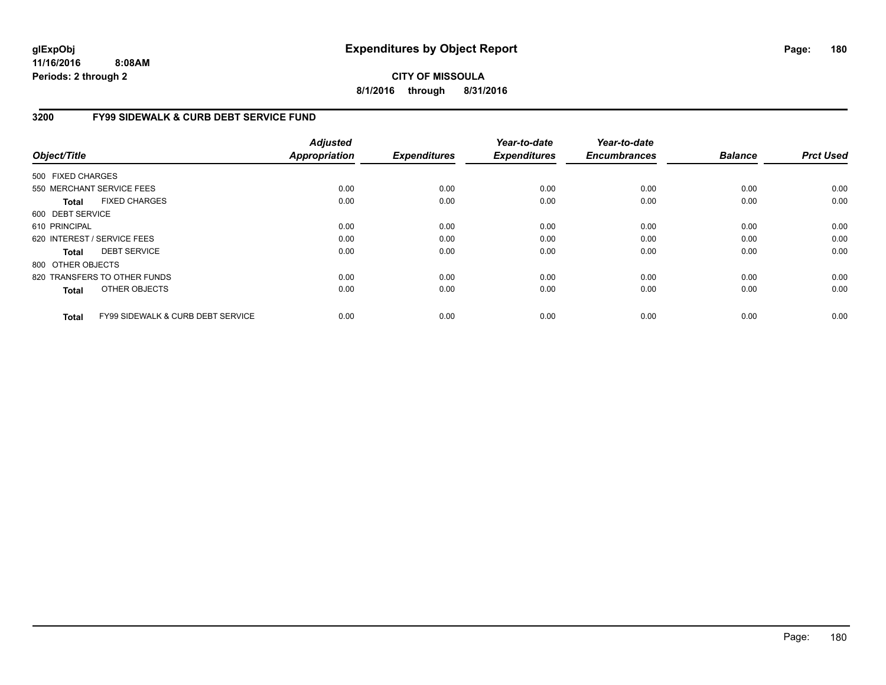# **CITY OF MISSOULA 8/1/2016 through 8/31/2016**

# **3200 FY99 SIDEWALK & CURB DEBT SERVICE FUND**

| Object/Title      |                                              | <b>Adjusted</b><br><b>Appropriation</b> | <b>Expenditures</b> | Year-to-date<br><b>Expenditures</b> | Year-to-date<br><b>Encumbrances</b> | <b>Balance</b> | <b>Prct Used</b> |
|-------------------|----------------------------------------------|-----------------------------------------|---------------------|-------------------------------------|-------------------------------------|----------------|------------------|
| 500 FIXED CHARGES |                                              |                                         |                     |                                     |                                     |                |                  |
|                   | 550 MERCHANT SERVICE FEES                    | 0.00                                    | 0.00                | 0.00                                | 0.00                                | 0.00           | 0.00             |
| Total             | <b>FIXED CHARGES</b>                         | 0.00                                    | 0.00                | 0.00                                | 0.00                                | 0.00           | 0.00             |
| 600 DEBT SERVICE  |                                              |                                         |                     |                                     |                                     |                |                  |
| 610 PRINCIPAL     |                                              | 0.00                                    | 0.00                | 0.00                                | 0.00                                | 0.00           | 0.00             |
|                   | 620 INTEREST / SERVICE FEES                  | 0.00                                    | 0.00                | 0.00                                | 0.00                                | 0.00           | 0.00             |
| Total             | <b>DEBT SERVICE</b>                          | 0.00                                    | 0.00                | 0.00                                | 0.00                                | 0.00           | 0.00             |
| 800 OTHER OBJECTS |                                              |                                         |                     |                                     |                                     |                |                  |
|                   | 820 TRANSFERS TO OTHER FUNDS                 | 0.00                                    | 0.00                | 0.00                                | 0.00                                | 0.00           | 0.00             |
| <b>Total</b>      | OTHER OBJECTS                                | 0.00                                    | 0.00                | 0.00                                | 0.00                                | 0.00           | 0.00             |
| <b>Total</b>      | <b>FY99 SIDEWALK &amp; CURB DEBT SERVICE</b> | 0.00                                    | 0.00                | 0.00                                | 0.00                                | 0.00           | 0.00             |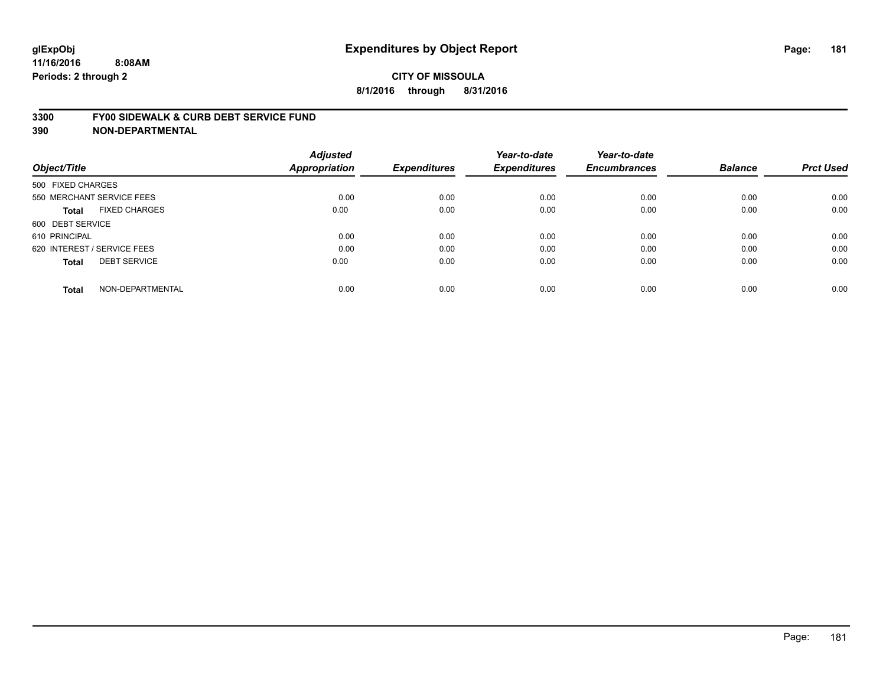#### **3300 FY00 SIDEWALK & CURB DEBT SERVICE FUND**

| Object/Title                         | <b>Adjusted</b><br>Appropriation | <b>Expenditures</b> | Year-to-date<br><b>Expenditures</b> | Year-to-date<br><b>Encumbrances</b> | <b>Balance</b> | <b>Prct Used</b> |
|--------------------------------------|----------------------------------|---------------------|-------------------------------------|-------------------------------------|----------------|------------------|
| 500 FIXED CHARGES                    |                                  |                     |                                     |                                     |                |                  |
| 550 MERCHANT SERVICE FEES            | 0.00                             | 0.00                | 0.00                                | 0.00                                | 0.00           | 0.00             |
| <b>FIXED CHARGES</b><br><b>Total</b> | 0.00                             | 0.00                | 0.00                                | 0.00                                | 0.00           | 0.00             |
| 600 DEBT SERVICE                     |                                  |                     |                                     |                                     |                |                  |
| 610 PRINCIPAL                        | 0.00                             | 0.00                | 0.00                                | 0.00                                | 0.00           | 0.00             |
| 620 INTEREST / SERVICE FEES          | 0.00                             | 0.00                | 0.00                                | 0.00                                | 0.00           | 0.00             |
| <b>DEBT SERVICE</b><br><b>Total</b>  | 0.00                             | 0.00                | 0.00                                | 0.00                                | 0.00           | 0.00             |
| NON-DEPARTMENTAL<br><b>Total</b>     | 0.00                             | 0.00                | 0.00                                | 0.00                                | 0.00           | 0.00             |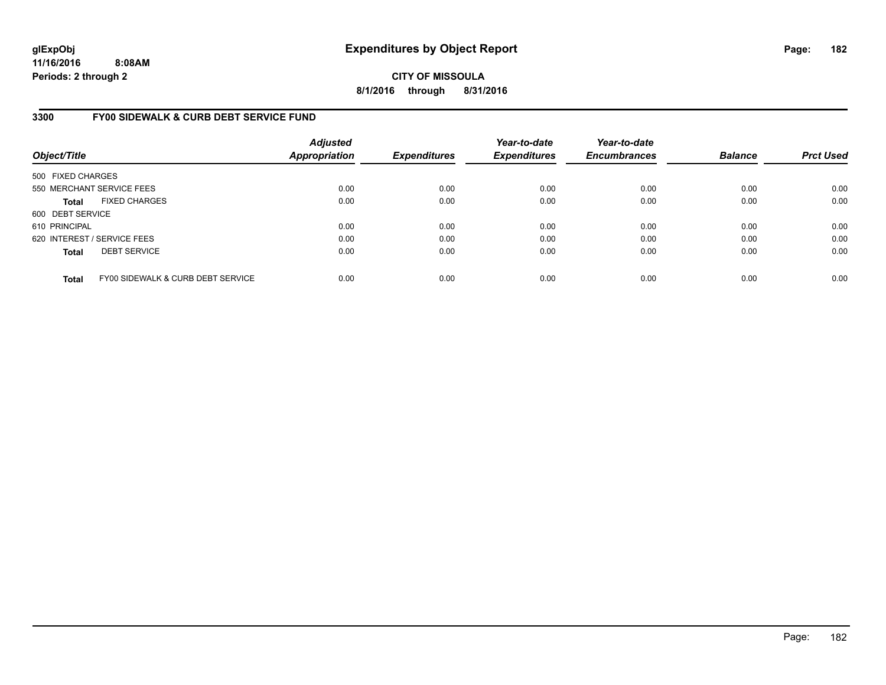**CITY OF MISSOULA 8/1/2016 through 8/31/2016**

### **3300 FY00 SIDEWALK & CURB DEBT SERVICE FUND**

| Object/Title                |                                   | <b>Adjusted</b><br><b>Appropriation</b> | <b>Expenditures</b> | Year-to-date<br><b>Expenditures</b> | Year-to-date<br><b>Encumbrances</b> | <b>Balance</b> | <b>Prct Used</b> |
|-----------------------------|-----------------------------------|-----------------------------------------|---------------------|-------------------------------------|-------------------------------------|----------------|------------------|
| 500 FIXED CHARGES           |                                   |                                         |                     |                                     |                                     |                |                  |
|                             | 550 MERCHANT SERVICE FEES         | 0.00                                    | 0.00                | 0.00                                | 0.00                                | 0.00           | 0.00             |
| <b>Total</b>                | <b>FIXED CHARGES</b>              | 0.00                                    | 0.00                | 0.00                                | 0.00                                | 0.00           | 0.00             |
| 600 DEBT SERVICE            |                                   |                                         |                     |                                     |                                     |                |                  |
| 610 PRINCIPAL               |                                   | 0.00                                    | 0.00                | 0.00                                | 0.00                                | 0.00           | 0.00             |
| 620 INTEREST / SERVICE FEES |                                   | 0.00                                    | 0.00                | 0.00                                | 0.00                                | 0.00           | 0.00             |
| <b>Total</b>                | <b>DEBT SERVICE</b>               | 0.00                                    | 0.00                | 0.00                                | 0.00                                | 0.00           | 0.00             |
| <b>Total</b>                | FY00 SIDEWALK & CURB DEBT SERVICE | 0.00                                    | 0.00                | 0.00                                | 0.00                                | 0.00           | 0.00             |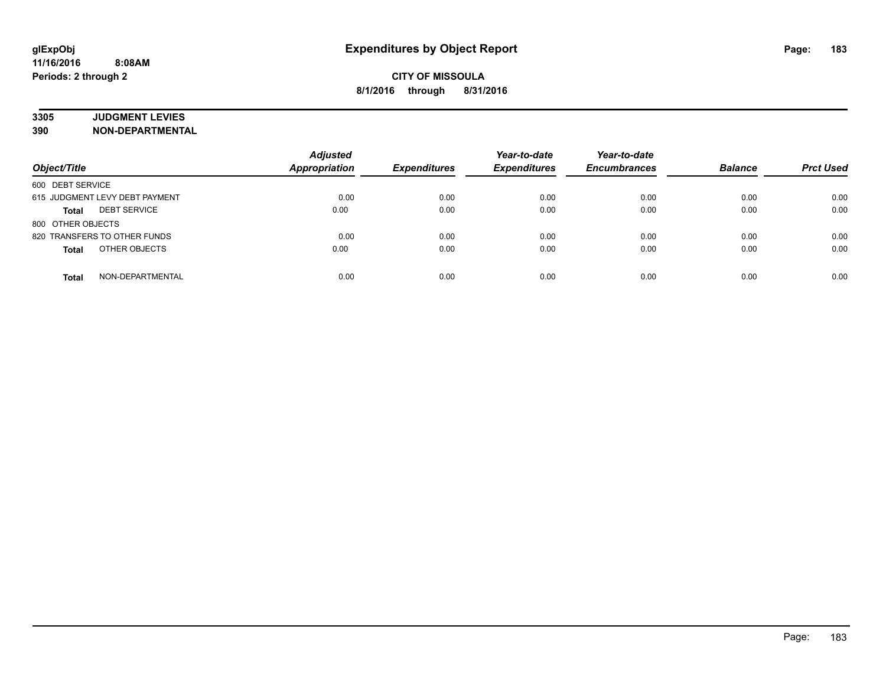# **3305 JUDGMENT LEVIES**

| Object/Title                        | <b>Adjusted</b><br><b>Appropriation</b> | <b>Expenditures</b> | Year-to-date<br><b>Expenditures</b> | Year-to-date<br><b>Encumbrances</b> | <b>Balance</b> | <b>Prct Used</b> |
|-------------------------------------|-----------------------------------------|---------------------|-------------------------------------|-------------------------------------|----------------|------------------|
| 600 DEBT SERVICE                    |                                         |                     |                                     |                                     |                |                  |
| 615 JUDGMENT LEVY DEBT PAYMENT      | 0.00                                    | 0.00                | 0.00                                | 0.00                                | 0.00           | 0.00             |
| <b>DEBT SERVICE</b><br><b>Total</b> | 0.00                                    | 0.00                | 0.00                                | 0.00                                | 0.00           | 0.00             |
| 800 OTHER OBJECTS                   |                                         |                     |                                     |                                     |                |                  |
| 820 TRANSFERS TO OTHER FUNDS        | 0.00                                    | 0.00                | 0.00                                | 0.00                                | 0.00           | 0.00             |
| OTHER OBJECTS<br><b>Total</b>       | 0.00                                    | 0.00                | 0.00                                | 0.00                                | 0.00           | 0.00             |
| NON-DEPARTMENTAL<br>Total           | 0.00                                    | 0.00                | 0.00                                | 0.00                                | 0.00           | 0.00             |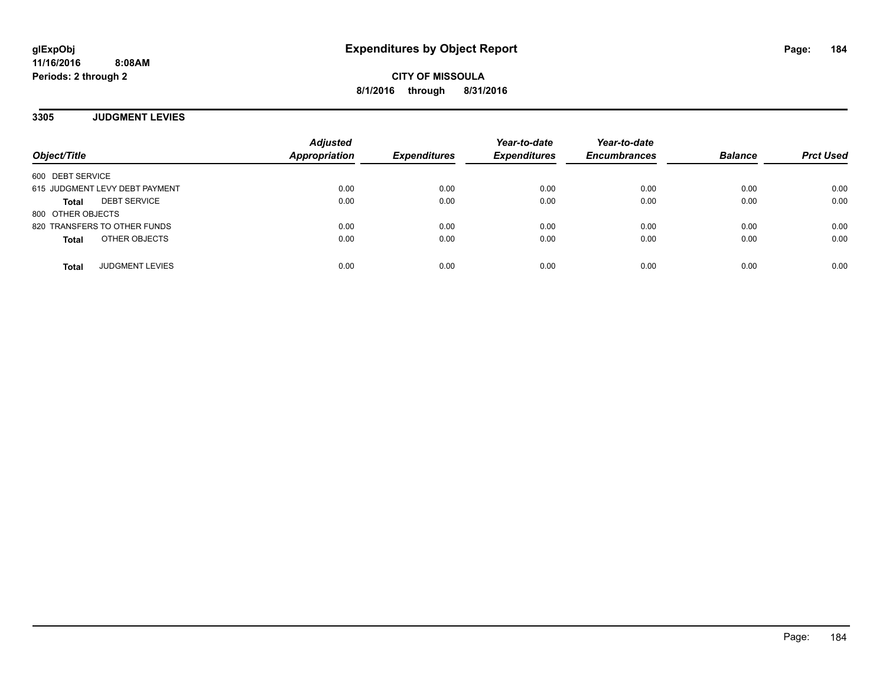**CITY OF MISSOULA 8/1/2016 through 8/31/2016**

**3305 JUDGMENT LEVIES**

| Object/Title                        | <b>Adjusted</b><br><b>Appropriation</b> | <b>Expenditures</b> | Year-to-date<br><b>Expenditures</b> | Year-to-date<br><b>Encumbrances</b> | <b>Balance</b> | <b>Prct Used</b> |
|-------------------------------------|-----------------------------------------|---------------------|-------------------------------------|-------------------------------------|----------------|------------------|
| 600 DEBT SERVICE                    |                                         |                     |                                     |                                     |                |                  |
| 615 JUDGMENT LEVY DEBT PAYMENT      | 0.00                                    | 0.00                | 0.00                                | 0.00                                | 0.00           | 0.00             |
| <b>DEBT SERVICE</b><br><b>Total</b> | 0.00                                    | 0.00                | 0.00                                | 0.00                                | 0.00           | 0.00             |
| 800 OTHER OBJECTS                   |                                         |                     |                                     |                                     |                |                  |
| 820 TRANSFERS TO OTHER FUNDS        | 0.00                                    | 0.00                | 0.00                                | 0.00                                | 0.00           | 0.00             |
| OTHER OBJECTS<br><b>Total</b>       | 0.00                                    | 0.00                | 0.00                                | 0.00                                | 0.00           | 0.00             |
| <b>JUDGMENT LEVIES</b><br>Total     | 0.00                                    | 0.00                | 0.00                                | 0.00                                | 0.00           | 0.00             |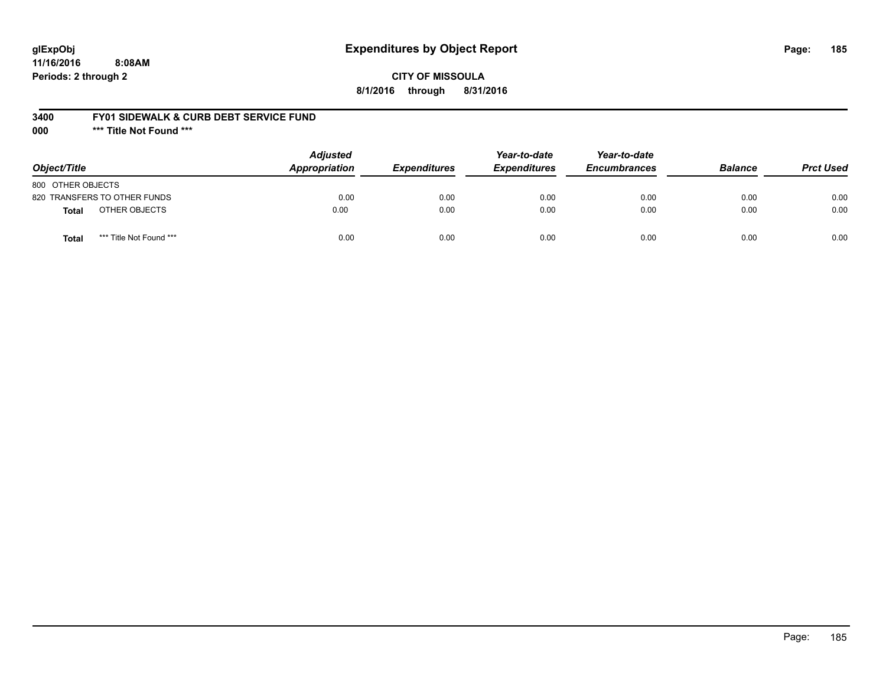# **glExpObj Expenditures by Object Report Page: 185**

**11/16/2016 8:08AM Periods: 2 through 2**

**8/1/2016 through 8/31/2016**

### **3400 FY01 SIDEWALK & CURB DEBT SERVICE FUND**

**000 \*\*\* Title Not Found \*\*\***

| Object/Title                            | <b>Adjusted</b><br><b>Appropriation</b> | <b>Expenditures</b> | Year-to-date<br><b>Expenditures</b> | Year-to-date<br><b>Encumbrances</b> | <b>Balance</b> | <b>Prct Used</b> |
|-----------------------------------------|-----------------------------------------|---------------------|-------------------------------------|-------------------------------------|----------------|------------------|
| 800 OTHER OBJECTS                       |                                         |                     |                                     |                                     |                |                  |
| 820 TRANSFERS TO OTHER FUNDS            | 0.00                                    | 0.00                | 0.00                                | 0.00                                | 0.00           | 0.00             |
| OTHER OBJECTS<br>Total                  | 0.00                                    | 0.00                | 0.00                                | 0.00                                | 0.00           | 0.00             |
| *** Title Not Found ***<br><b>Total</b> | 0.00                                    | 0.00                | 0.00                                | 0.00                                | 0.00           | 0.00             |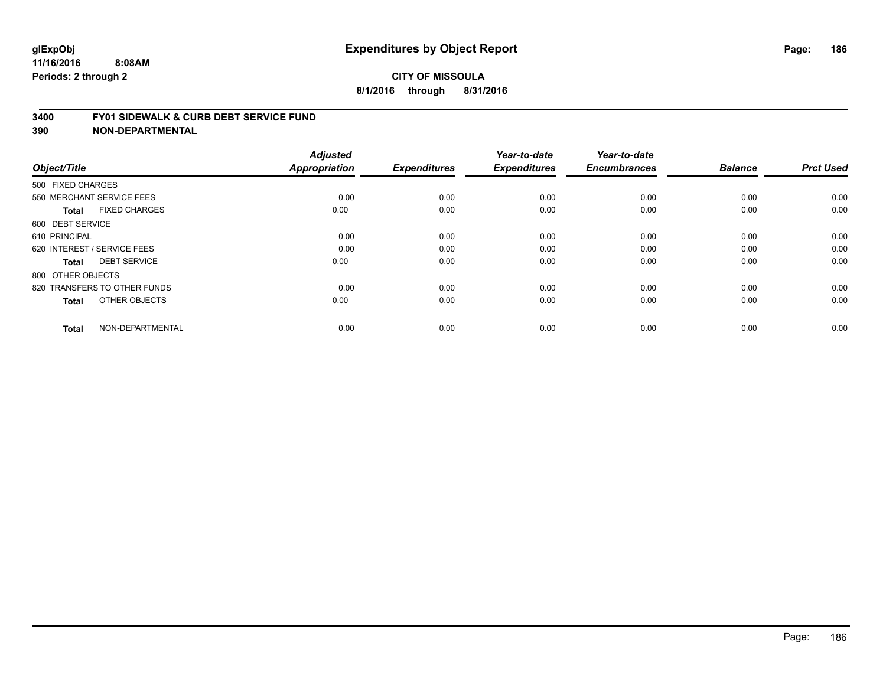#### **3400 FY01 SIDEWALK & CURB DEBT SERVICE FUND**

| Object/Title                         | <b>Adjusted</b><br><b>Appropriation</b> | <b>Expenditures</b> | Year-to-date<br><b>Expenditures</b> | Year-to-date<br><b>Encumbrances</b> | <b>Balance</b> | <b>Prct Used</b> |
|--------------------------------------|-----------------------------------------|---------------------|-------------------------------------|-------------------------------------|----------------|------------------|
| 500 FIXED CHARGES                    |                                         |                     |                                     |                                     |                |                  |
| 550 MERCHANT SERVICE FEES            | 0.00                                    | 0.00                | 0.00                                | 0.00                                | 0.00           | 0.00             |
| <b>FIXED CHARGES</b><br><b>Total</b> | 0.00                                    | 0.00                | 0.00                                | 0.00                                | 0.00           | 0.00             |
| 600 DEBT SERVICE                     |                                         |                     |                                     |                                     |                |                  |
| 610 PRINCIPAL                        | 0.00                                    | 0.00                | 0.00                                | 0.00                                | 0.00           | 0.00             |
| 620 INTEREST / SERVICE FEES          | 0.00                                    | 0.00                | 0.00                                | 0.00                                | 0.00           | 0.00             |
| <b>DEBT SERVICE</b><br><b>Total</b>  | 0.00                                    | 0.00                | 0.00                                | 0.00                                | 0.00           | 0.00             |
| 800 OTHER OBJECTS                    |                                         |                     |                                     |                                     |                |                  |
| 820 TRANSFERS TO OTHER FUNDS         | 0.00                                    | 0.00                | 0.00                                | 0.00                                | 0.00           | 0.00             |
| OTHER OBJECTS<br><b>Total</b>        | 0.00                                    | 0.00                | 0.00                                | 0.00                                | 0.00           | 0.00             |
| NON-DEPARTMENTAL<br><b>Total</b>     | 0.00                                    | 0.00                | 0.00                                | 0.00                                | 0.00           | 0.00             |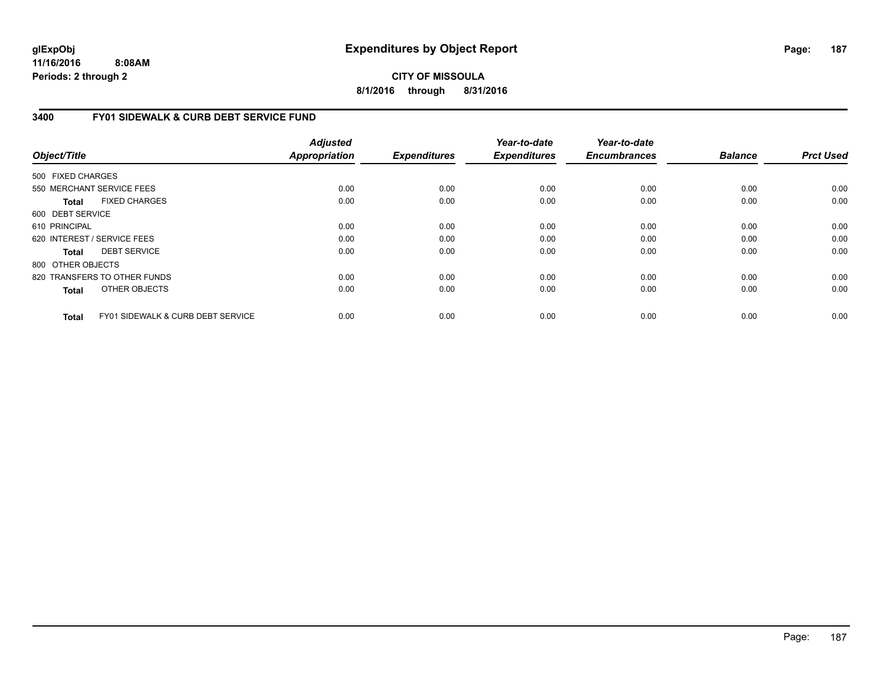**CITY OF MISSOULA 8/1/2016 through 8/31/2016**

### **3400 FY01 SIDEWALK & CURB DEBT SERVICE FUND**

| Object/Title      |                                              | <b>Adjusted</b><br><b>Appropriation</b> | <b>Expenditures</b> | Year-to-date<br><b>Expenditures</b> | Year-to-date<br><b>Encumbrances</b> | <b>Balance</b> | <b>Prct Used</b> |
|-------------------|----------------------------------------------|-----------------------------------------|---------------------|-------------------------------------|-------------------------------------|----------------|------------------|
| 500 FIXED CHARGES |                                              |                                         |                     |                                     |                                     |                |                  |
|                   | 550 MERCHANT SERVICE FEES                    | 0.00                                    | 0.00                | 0.00                                | 0.00                                | 0.00           | 0.00             |
|                   |                                              |                                         |                     |                                     |                                     |                |                  |
| <b>Total</b>      | <b>FIXED CHARGES</b>                         | 0.00                                    | 0.00                | 0.00                                | 0.00                                | 0.00           | 0.00             |
| 600 DEBT SERVICE  |                                              |                                         |                     |                                     |                                     |                |                  |
| 610 PRINCIPAL     |                                              | 0.00                                    | 0.00                | 0.00                                | 0.00                                | 0.00           | 0.00             |
|                   | 620 INTEREST / SERVICE FEES                  | 0.00                                    | 0.00                | 0.00                                | 0.00                                | 0.00           | 0.00             |
| <b>Total</b>      | <b>DEBT SERVICE</b>                          | 0.00                                    | 0.00                | 0.00                                | 0.00                                | 0.00           | 0.00             |
| 800 OTHER OBJECTS |                                              |                                         |                     |                                     |                                     |                |                  |
|                   | 820 TRANSFERS TO OTHER FUNDS                 | 0.00                                    | 0.00                | 0.00                                | 0.00                                | 0.00           | 0.00             |
| <b>Total</b>      | OTHER OBJECTS                                | 0.00                                    | 0.00                | 0.00                                | 0.00                                | 0.00           | 0.00             |
| <b>Total</b>      | <b>FY01 SIDEWALK &amp; CURB DEBT SERVICE</b> | 0.00                                    | 0.00                | 0.00                                | 0.00                                | 0.00           | 0.00             |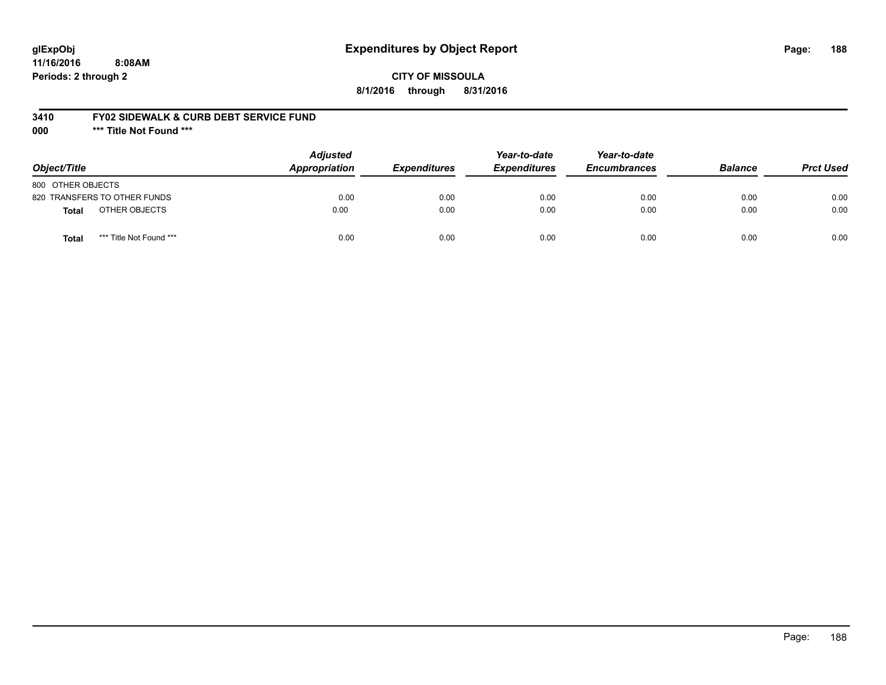# **glExpObj Expenditures by Object Report Page: 188**

**11/16/2016 8:08AM Periods: 2 through 2**

### **CITY OF MISSOULA 8/1/2016 through 8/31/2016**

### **3410 FY02 SIDEWALK & CURB DEBT SERVICE FUND**

**000 \*\*\* Title Not Found \*\*\***

| Object/Title                            | <b>Adjusted</b><br><b>Appropriation</b> | <b>Expenditures</b> | Year-to-date<br><b>Expenditures</b> | Year-to-date<br><b>Encumbrances</b> | <b>Balance</b> | <b>Prct Used</b> |
|-----------------------------------------|-----------------------------------------|---------------------|-------------------------------------|-------------------------------------|----------------|------------------|
| 800 OTHER OBJECTS                       |                                         |                     |                                     |                                     |                |                  |
| 820 TRANSFERS TO OTHER FUNDS            | 0.00                                    | 0.00                | 0.00                                | 0.00                                | 0.00           | 0.00             |
| OTHER OBJECTS<br><b>Total</b>           | 0.00                                    | 0.00                | 0.00                                | 0.00                                | 0.00           | 0.00             |
| *** Title Not Found ***<br><b>Total</b> | 0.00                                    | 0.00                | 0.00                                | 0.00                                | 0.00           | 0.00             |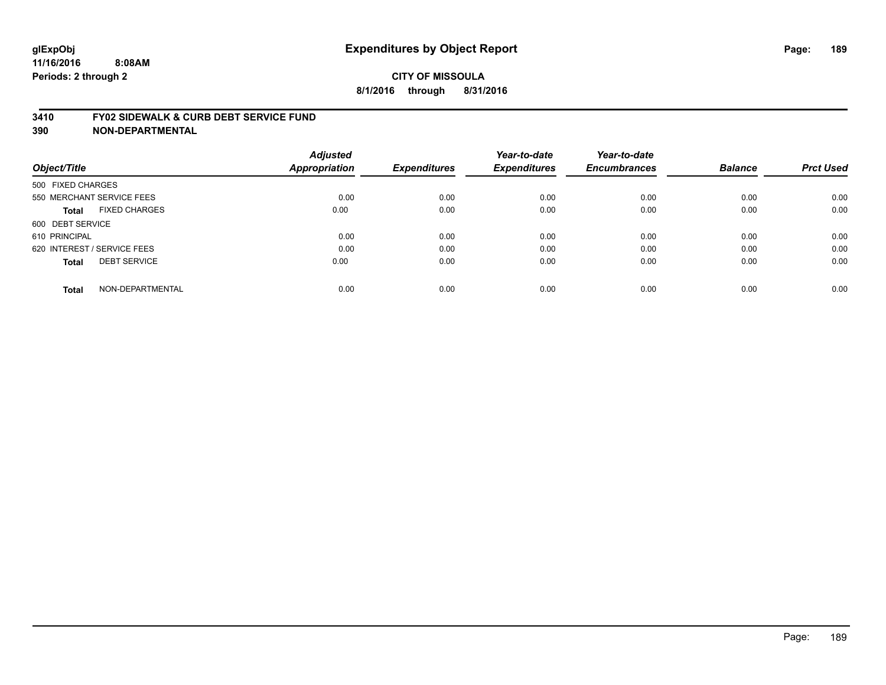#### **3410 FY02 SIDEWALK & CURB DEBT SERVICE FUND**

| Object/Title                         | <b>Adjusted</b><br>Appropriation | <b>Expenditures</b> | Year-to-date<br><b>Expenditures</b> | Year-to-date<br><b>Encumbrances</b> | <b>Balance</b> | <b>Prct Used</b> |
|--------------------------------------|----------------------------------|---------------------|-------------------------------------|-------------------------------------|----------------|------------------|
| 500 FIXED CHARGES                    |                                  |                     |                                     |                                     |                |                  |
| 550 MERCHANT SERVICE FEES            | 0.00                             | 0.00                | 0.00                                | 0.00                                | 0.00           | 0.00             |
| <b>FIXED CHARGES</b><br><b>Total</b> | 0.00                             | 0.00                | 0.00                                | 0.00                                | 0.00           | 0.00             |
| 600 DEBT SERVICE                     |                                  |                     |                                     |                                     |                |                  |
| 610 PRINCIPAL                        | 0.00                             | 0.00                | 0.00                                | 0.00                                | 0.00           | 0.00             |
| 620 INTEREST / SERVICE FEES          | 0.00                             | 0.00                | 0.00                                | 0.00                                | 0.00           | 0.00             |
| <b>DEBT SERVICE</b><br><b>Total</b>  | 0.00                             | 0.00                | 0.00                                | 0.00                                | 0.00           | 0.00             |
| NON-DEPARTMENTAL<br><b>Total</b>     | 0.00                             | 0.00                | 0.00                                | 0.00                                | 0.00           | 0.00             |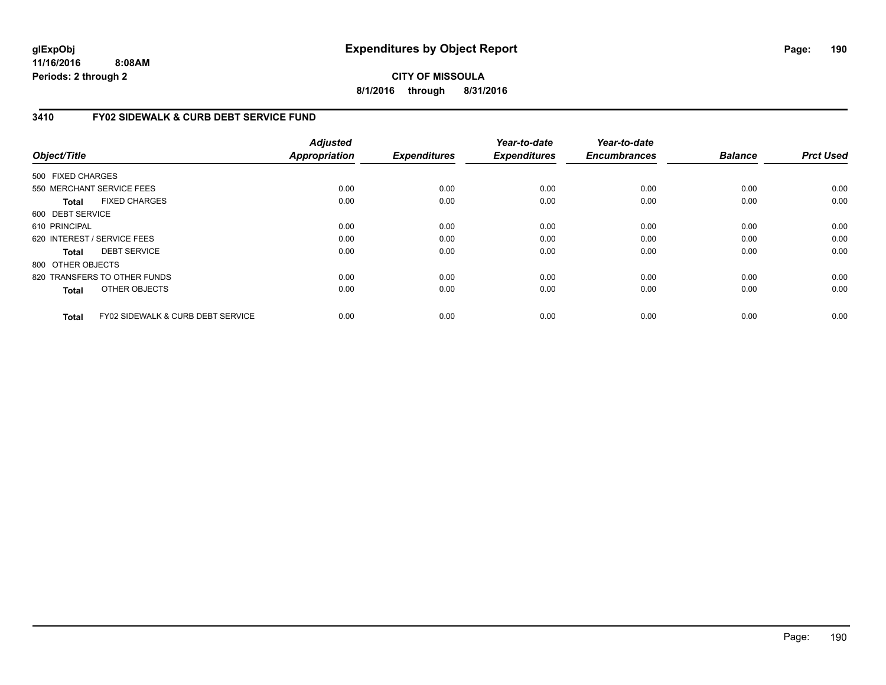**CITY OF MISSOULA 8/1/2016 through 8/31/2016**

# **3410 FY02 SIDEWALK & CURB DEBT SERVICE FUND**

| Object/Title      |                                              | <b>Adjusted</b><br><b>Appropriation</b> | <b>Expenditures</b> | Year-to-date<br><b>Expenditures</b> | Year-to-date<br><b>Encumbrances</b> | <b>Balance</b> | <b>Prct Used</b> |
|-------------------|----------------------------------------------|-----------------------------------------|---------------------|-------------------------------------|-------------------------------------|----------------|------------------|
| 500 FIXED CHARGES |                                              |                                         |                     |                                     |                                     |                |                  |
|                   | 550 MERCHANT SERVICE FEES                    | 0.00                                    | 0.00                | 0.00                                | 0.00                                | 0.00           | 0.00             |
| <b>Total</b>      | <b>FIXED CHARGES</b>                         | 0.00                                    | 0.00                | 0.00                                | 0.00                                | 0.00           | 0.00             |
| 600 DEBT SERVICE  |                                              |                                         |                     |                                     |                                     |                |                  |
| 610 PRINCIPAL     |                                              | 0.00                                    | 0.00                | 0.00                                | 0.00                                | 0.00           | 0.00             |
|                   | 620 INTEREST / SERVICE FEES                  | 0.00                                    | 0.00                | 0.00                                | 0.00                                | 0.00           | 0.00             |
| <b>Total</b>      | <b>DEBT SERVICE</b>                          | 0.00                                    | 0.00                | 0.00                                | 0.00                                | 0.00           | 0.00             |
| 800 OTHER OBJECTS |                                              |                                         |                     |                                     |                                     |                |                  |
|                   | 820 TRANSFERS TO OTHER FUNDS                 | 0.00                                    | 0.00                | 0.00                                | 0.00                                | 0.00           | 0.00             |
| <b>Total</b>      | OTHER OBJECTS                                | 0.00                                    | 0.00                | 0.00                                | 0.00                                | 0.00           | 0.00             |
| <b>Total</b>      | <b>FY02 SIDEWALK &amp; CURB DEBT SERVICE</b> | 0.00                                    | 0.00                | 0.00                                | 0.00                                | 0.00           | 0.00             |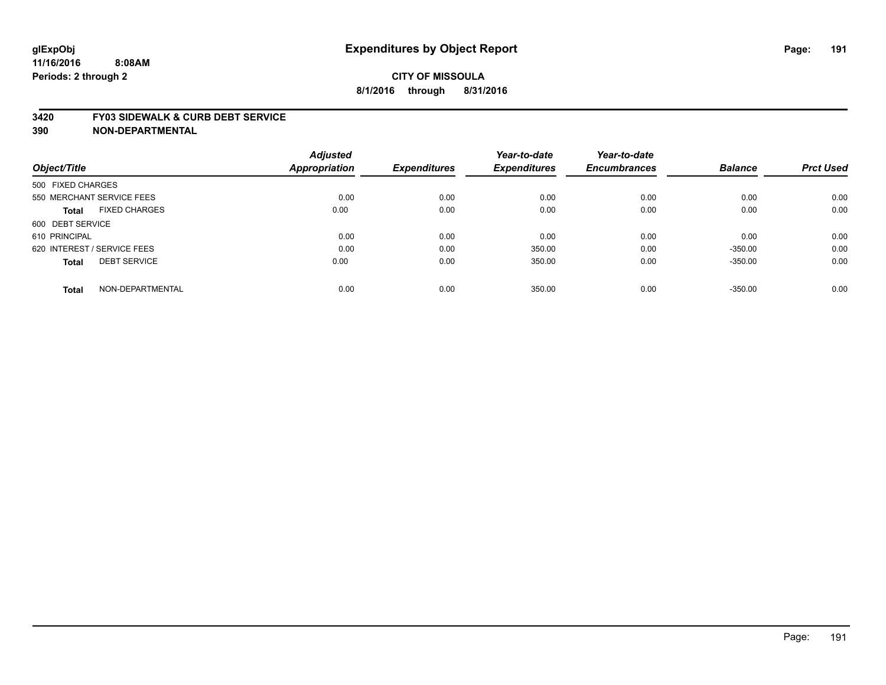#### **3420 FY03 SIDEWALK & CURB DEBT SERVICE**

|                                      | <b>Adjusted</b>      |                     | Year-to-date        | Year-to-date        |                |                  |
|--------------------------------------|----------------------|---------------------|---------------------|---------------------|----------------|------------------|
| Object/Title                         | <b>Appropriation</b> | <b>Expenditures</b> | <b>Expenditures</b> | <b>Encumbrances</b> | <b>Balance</b> | <b>Prct Used</b> |
| 500 FIXED CHARGES                    |                      |                     |                     |                     |                |                  |
| 550 MERCHANT SERVICE FEES            | 0.00                 | 0.00                | 0.00                | 0.00                | 0.00           | 0.00             |
| <b>FIXED CHARGES</b><br><b>Total</b> | 0.00                 | 0.00                | 0.00                | 0.00                | 0.00           | 0.00             |
| 600 DEBT SERVICE                     |                      |                     |                     |                     |                |                  |
| 610 PRINCIPAL                        | 0.00                 | 0.00                | 0.00                | 0.00                | 0.00           | 0.00             |
| 620 INTEREST / SERVICE FEES          | 0.00                 | 0.00                | 350.00              | 0.00                | $-350.00$      | 0.00             |
| <b>DEBT SERVICE</b><br><b>Total</b>  | 0.00                 | 0.00                | 350.00              | 0.00                | $-350.00$      | 0.00             |
| NON-DEPARTMENTAL<br><b>Total</b>     | 0.00                 | 0.00                | 350.00              | 0.00                | $-350.00$      | 0.00             |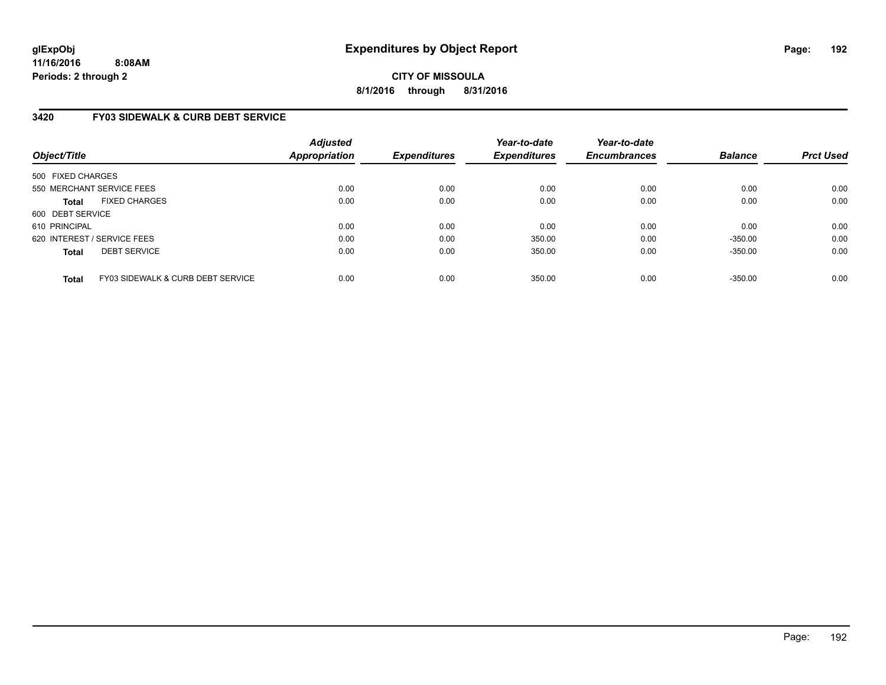**CITY OF MISSOULA 8/1/2016 through 8/31/2016**

# **3420 FY03 SIDEWALK & CURB DEBT SERVICE**

| Object/Title                |                                   | <b>Adjusted</b><br><b>Appropriation</b> | <b>Expenditures</b> | Year-to-date<br><b>Expenditures</b> | Year-to-date<br><b>Encumbrances</b> | <b>Balance</b> | <b>Prct Used</b> |
|-----------------------------|-----------------------------------|-----------------------------------------|---------------------|-------------------------------------|-------------------------------------|----------------|------------------|
| 500 FIXED CHARGES           |                                   |                                         |                     |                                     |                                     |                |                  |
| 550 MERCHANT SERVICE FEES   |                                   | 0.00                                    | 0.00                | 0.00                                | 0.00                                | 0.00           | 0.00             |
| <b>Total</b>                | <b>FIXED CHARGES</b>              | 0.00                                    | 0.00                | 0.00                                | 0.00                                | 0.00           | 0.00             |
| 600 DEBT SERVICE            |                                   |                                         |                     |                                     |                                     |                |                  |
| 610 PRINCIPAL               |                                   | 0.00                                    | 0.00                | 0.00                                | 0.00                                | 0.00           | 0.00             |
| 620 INTEREST / SERVICE FEES |                                   | 0.00                                    | 0.00                | 350.00                              | 0.00                                | $-350.00$      | 0.00             |
| <b>Total</b>                | <b>DEBT SERVICE</b>               | 0.00                                    | 0.00                | 350.00                              | 0.00                                | $-350.00$      | 0.00             |
| <b>Total</b>                | FY03 SIDEWALK & CURB DEBT SERVICE | 0.00                                    | 0.00                | 350.00                              | 0.00                                | $-350.00$      | 0.00             |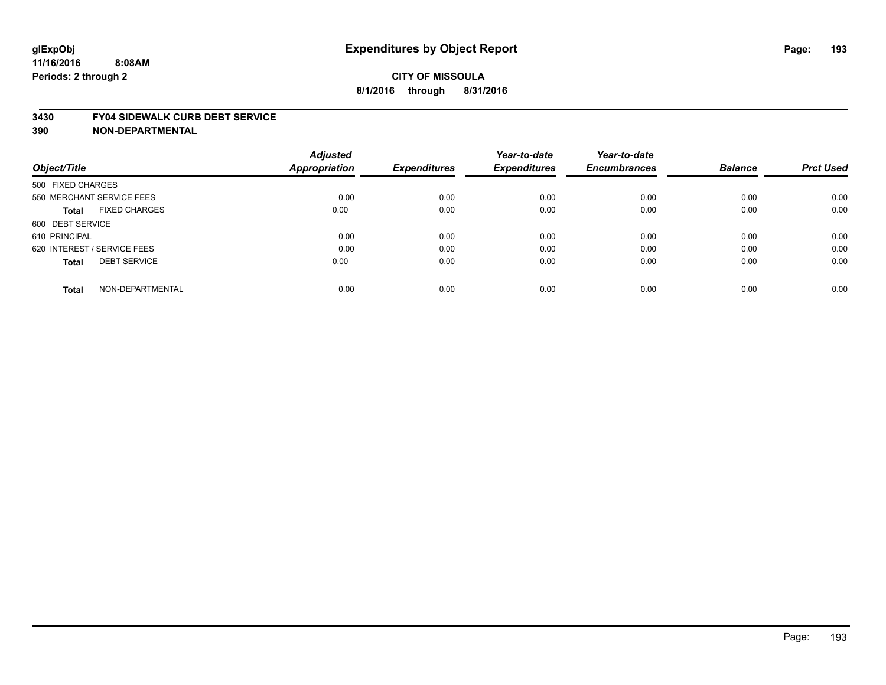#### **3430 FY04 SIDEWALK CURB DEBT SERVICE**

|                                      | <b>Adjusted</b>      |                     | Year-to-date        | Year-to-date        |                |                  |
|--------------------------------------|----------------------|---------------------|---------------------|---------------------|----------------|------------------|
| Object/Title                         | <b>Appropriation</b> | <b>Expenditures</b> | <b>Expenditures</b> | <b>Encumbrances</b> | <b>Balance</b> | <b>Prct Used</b> |
| 500 FIXED CHARGES                    |                      |                     |                     |                     |                |                  |
| 550 MERCHANT SERVICE FEES            | 0.00                 | 0.00                | 0.00                | 0.00                | 0.00           | 0.00             |
| <b>FIXED CHARGES</b><br><b>Total</b> | 0.00                 | 0.00                | 0.00                | 0.00                | 0.00           | 0.00             |
| 600 DEBT SERVICE                     |                      |                     |                     |                     |                |                  |
| 610 PRINCIPAL                        | 0.00                 | 0.00                | 0.00                | 0.00                | 0.00           | 0.00             |
| 620 INTEREST / SERVICE FEES          | 0.00                 | 0.00                | 0.00                | 0.00                | 0.00           | 0.00             |
| <b>DEBT SERVICE</b><br><b>Total</b>  | 0.00                 | 0.00                | 0.00                | 0.00                | 0.00           | 0.00             |
| NON-DEPARTMENTAL<br><b>Total</b>     | 0.00                 | 0.00                | 0.00                | 0.00                | 0.00           | 0.00             |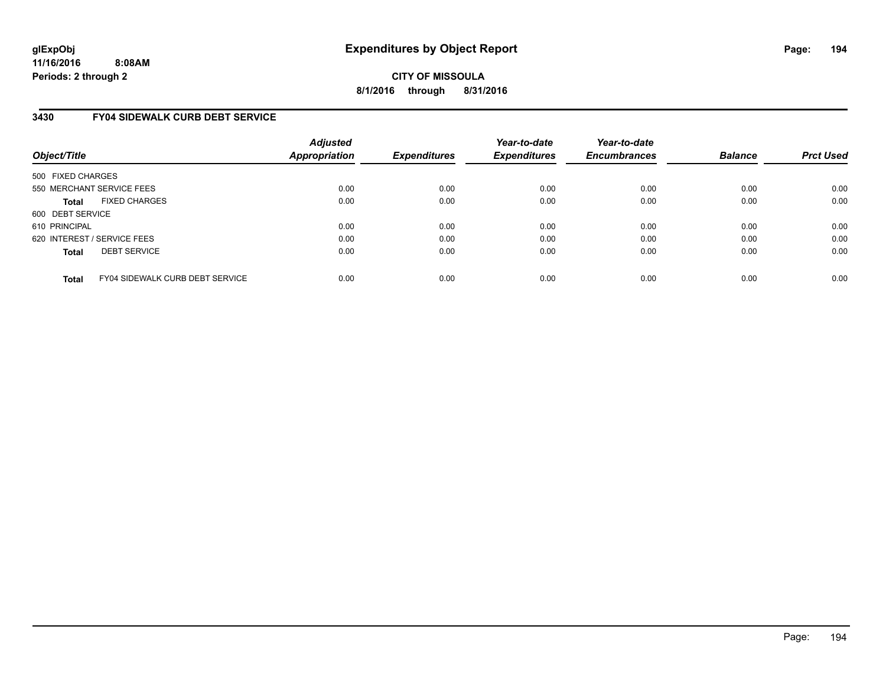**CITY OF MISSOULA 8/1/2016 through 8/31/2016**

# **3430 FY04 SIDEWALK CURB DEBT SERVICE**

| Object/Title      |                                        | <b>Adjusted</b><br>Appropriation | <b>Expenditures</b> | Year-to-date<br><b>Expenditures</b> | Year-to-date<br><b>Encumbrances</b> | <b>Balance</b> | <b>Prct Used</b> |
|-------------------|----------------------------------------|----------------------------------|---------------------|-------------------------------------|-------------------------------------|----------------|------------------|
| 500 FIXED CHARGES |                                        |                                  |                     |                                     |                                     |                |                  |
|                   | 550 MERCHANT SERVICE FEES              | 0.00                             | 0.00                | 0.00                                | 0.00                                | 0.00           | 0.00             |
| <b>Total</b>      | <b>FIXED CHARGES</b>                   | 0.00                             | 0.00                | 0.00                                | 0.00                                | 0.00           | 0.00             |
| 600 DEBT SERVICE  |                                        |                                  |                     |                                     |                                     |                |                  |
| 610 PRINCIPAL     |                                        | 0.00                             | 0.00                | 0.00                                | 0.00                                | 0.00           | 0.00             |
|                   | 620 INTEREST / SERVICE FEES            | 0.00                             | 0.00                | 0.00                                | 0.00                                | 0.00           | 0.00             |
| <b>Total</b>      | <b>DEBT SERVICE</b>                    | 0.00                             | 0.00                | 0.00                                | 0.00                                | 0.00           | 0.00             |
| <b>Total</b>      | <b>FY04 SIDEWALK CURB DEBT SERVICE</b> | 0.00                             | 0.00                | 0.00                                | 0.00                                | 0.00           | 0.00             |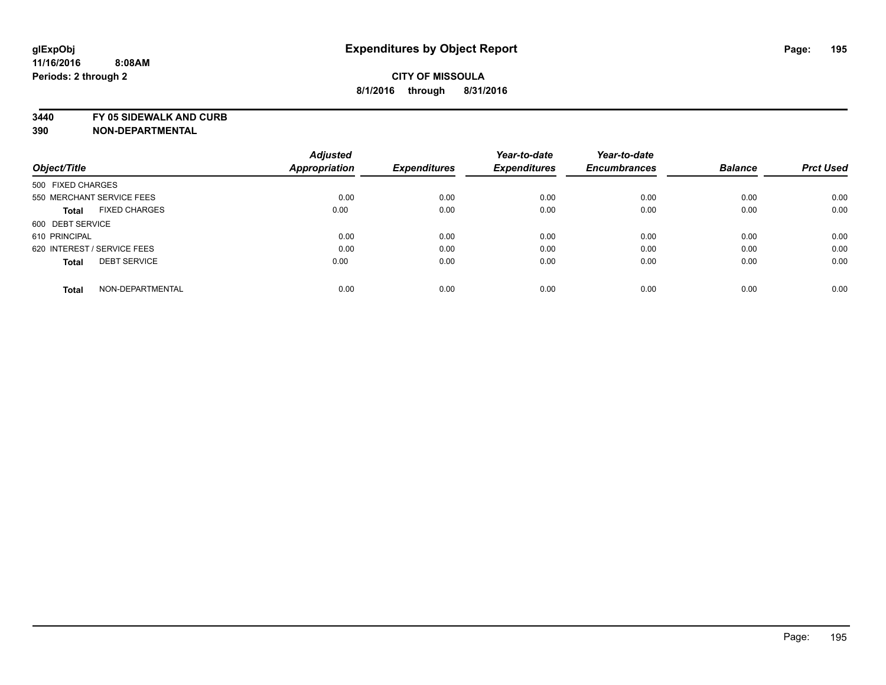**3440 FY 05 SIDEWALK AND CURB**

|                                      | <b>Adjusted</b>      |                     | Year-to-date        | Year-to-date        |                |                  |
|--------------------------------------|----------------------|---------------------|---------------------|---------------------|----------------|------------------|
| Object/Title                         | <b>Appropriation</b> | <b>Expenditures</b> | <b>Expenditures</b> | <b>Encumbrances</b> | <b>Balance</b> | <b>Prct Used</b> |
| 500 FIXED CHARGES                    |                      |                     |                     |                     |                |                  |
| 550 MERCHANT SERVICE FEES            | 0.00                 | 0.00                | 0.00                | 0.00                | 0.00           | 0.00             |
| <b>FIXED CHARGES</b><br><b>Total</b> | 0.00                 | 0.00                | 0.00                | 0.00                | 0.00           | 0.00             |
| 600 DEBT SERVICE                     |                      |                     |                     |                     |                |                  |
| 610 PRINCIPAL                        | 0.00                 | 0.00                | 0.00                | 0.00                | 0.00           | 0.00             |
| 620 INTEREST / SERVICE FEES          | 0.00                 | 0.00                | 0.00                | 0.00                | 0.00           | 0.00             |
| <b>DEBT SERVICE</b><br><b>Total</b>  | 0.00                 | 0.00                | 0.00                | 0.00                | 0.00           | 0.00             |
| NON-DEPARTMENTAL<br><b>Total</b>     | 0.00                 | 0.00                | 0.00                | 0.00                | 0.00           | 0.00             |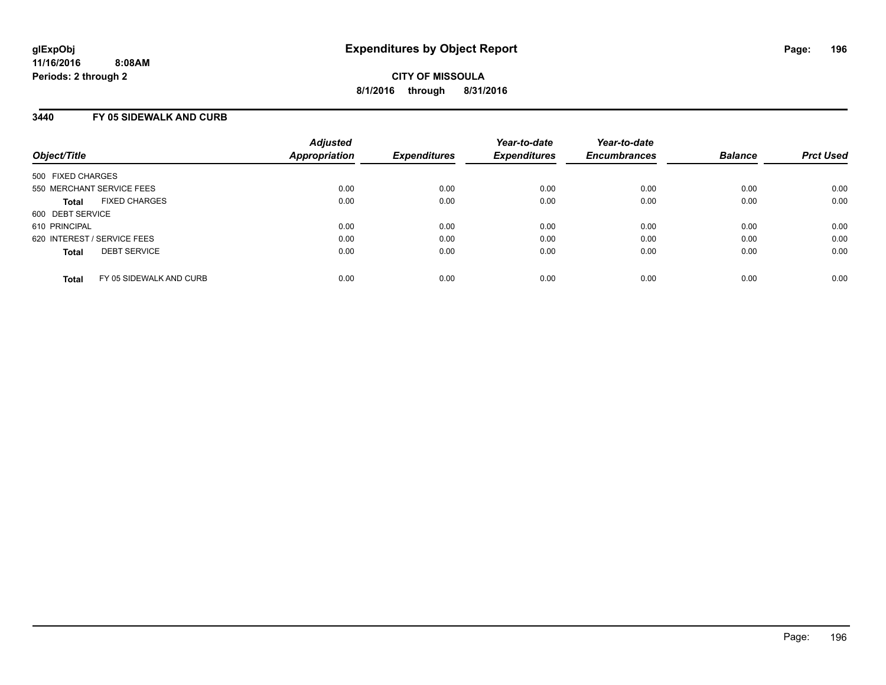### **3440 FY 05 SIDEWALK AND CURB**

| Object/Title                            | <b>Adjusted</b><br><b>Appropriation</b> | <b>Expenditures</b> | Year-to-date<br><b>Expenditures</b> | Year-to-date<br><b>Encumbrances</b> | <b>Balance</b> | <b>Prct Used</b> |
|-----------------------------------------|-----------------------------------------|---------------------|-------------------------------------|-------------------------------------|----------------|------------------|
| 500 FIXED CHARGES                       |                                         |                     |                                     |                                     |                |                  |
| 550 MERCHANT SERVICE FEES               | 0.00                                    | 0.00                | 0.00                                | 0.00                                | 0.00           | 0.00             |
| <b>FIXED CHARGES</b><br><b>Total</b>    | 0.00                                    | 0.00                | 0.00                                | 0.00                                | 0.00           | 0.00             |
| 600 DEBT SERVICE                        |                                         |                     |                                     |                                     |                |                  |
| 610 PRINCIPAL                           | 0.00                                    | 0.00                | 0.00                                | 0.00                                | 0.00           | 0.00             |
| 620 INTEREST / SERVICE FEES             | 0.00                                    | 0.00                | 0.00                                | 0.00                                | 0.00           | 0.00             |
| <b>DEBT SERVICE</b><br><b>Total</b>     | 0.00                                    | 0.00                | 0.00                                | 0.00                                | 0.00           | 0.00             |
| FY 05 SIDEWALK AND CURB<br><b>Total</b> | 0.00                                    | 0.00                | 0.00                                | 0.00                                | 0.00           | 0.00             |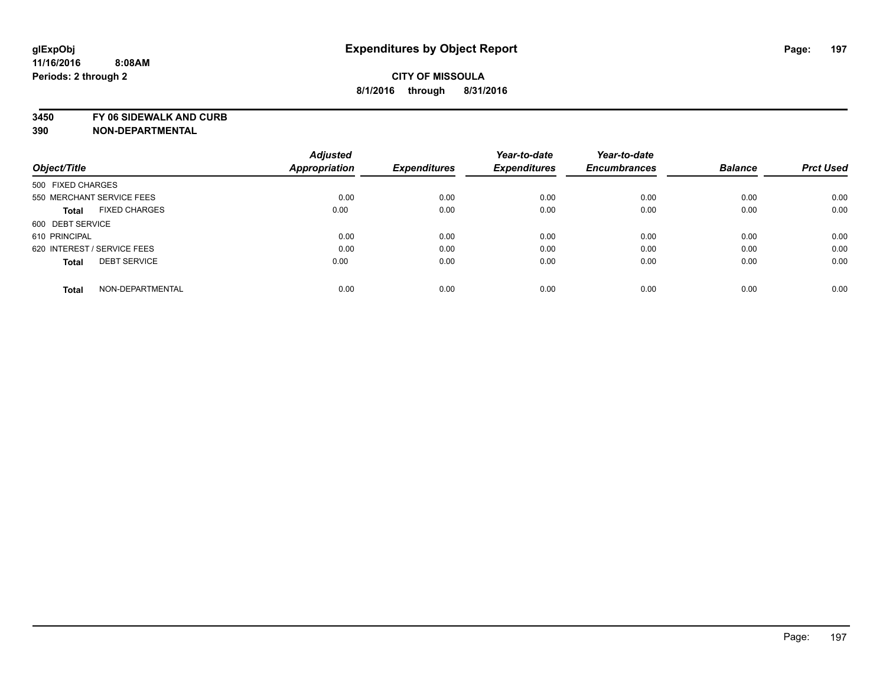**3450 FY 06 SIDEWALK AND CURB**

|                                      | <b>Adjusted</b>      |                     | Year-to-date        | Year-to-date        |                |                  |
|--------------------------------------|----------------------|---------------------|---------------------|---------------------|----------------|------------------|
| Object/Title                         | <b>Appropriation</b> | <b>Expenditures</b> | <b>Expenditures</b> | <b>Encumbrances</b> | <b>Balance</b> | <b>Prct Used</b> |
| 500 FIXED CHARGES                    |                      |                     |                     |                     |                |                  |
| 550 MERCHANT SERVICE FEES            | 0.00                 | 0.00                | 0.00                | 0.00                | 0.00           | 0.00             |
| <b>FIXED CHARGES</b><br><b>Total</b> | 0.00                 | 0.00                | 0.00                | 0.00                | 0.00           | 0.00             |
| 600 DEBT SERVICE                     |                      |                     |                     |                     |                |                  |
| 610 PRINCIPAL                        | 0.00                 | 0.00                | 0.00                | 0.00                | 0.00           | 0.00             |
| 620 INTEREST / SERVICE FEES          | 0.00                 | 0.00                | 0.00                | 0.00                | 0.00           | 0.00             |
| <b>DEBT SERVICE</b><br><b>Total</b>  | 0.00                 | 0.00                | 0.00                | 0.00                | 0.00           | 0.00             |
| NON-DEPARTMENTAL<br><b>Total</b>     | 0.00                 | 0.00                | 0.00                | 0.00                | 0.00           | 0.00             |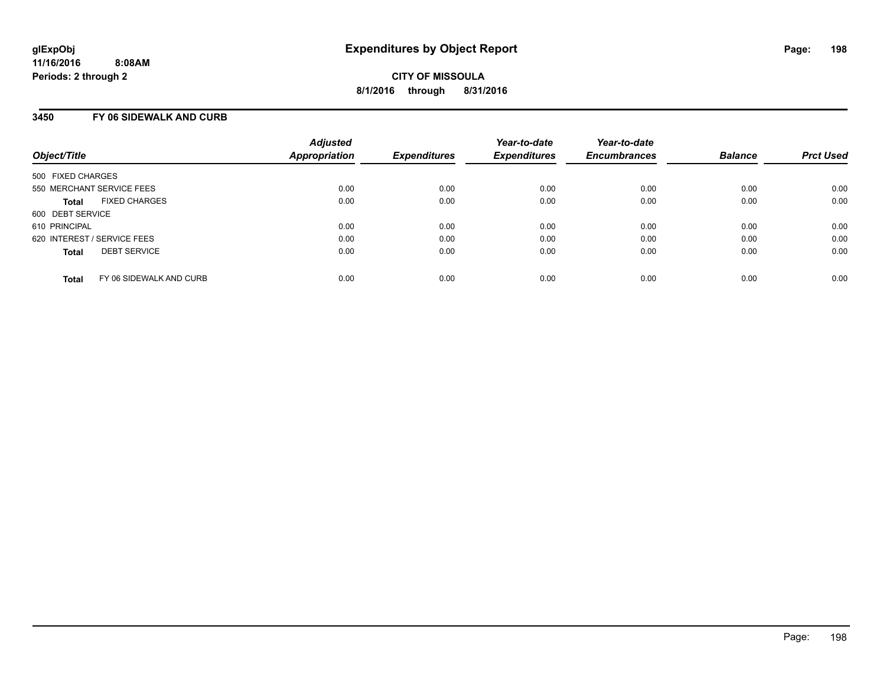# **3450 FY 06 SIDEWALK AND CURB**

| Object/Title                            | <b>Adjusted</b><br>Appropriation | <b>Expenditures</b> | Year-to-date<br><b>Expenditures</b> | Year-to-date<br><b>Encumbrances</b> | <b>Balance</b> | <b>Prct Used</b> |
|-----------------------------------------|----------------------------------|---------------------|-------------------------------------|-------------------------------------|----------------|------------------|
| 500 FIXED CHARGES                       |                                  |                     |                                     |                                     |                |                  |
| 550 MERCHANT SERVICE FEES               | 0.00                             | 0.00                | 0.00                                | 0.00                                | 0.00           | 0.00             |
| <b>FIXED CHARGES</b><br><b>Total</b>    | 0.00                             | 0.00                | 0.00                                | 0.00                                | 0.00           | 0.00             |
| 600 DEBT SERVICE                        |                                  |                     |                                     |                                     |                |                  |
| 610 PRINCIPAL                           | 0.00                             | 0.00                | 0.00                                | 0.00                                | 0.00           | 0.00             |
| 620 INTEREST / SERVICE FEES             | 0.00                             | 0.00                | 0.00                                | 0.00                                | 0.00           | 0.00             |
| <b>DEBT SERVICE</b><br><b>Total</b>     | 0.00                             | 0.00                | 0.00                                | 0.00                                | 0.00           | 0.00             |
| FY 06 SIDEWALK AND CURB<br><b>Total</b> | 0.00                             | 0.00                | 0.00                                | 0.00                                | 0.00           | 0.00             |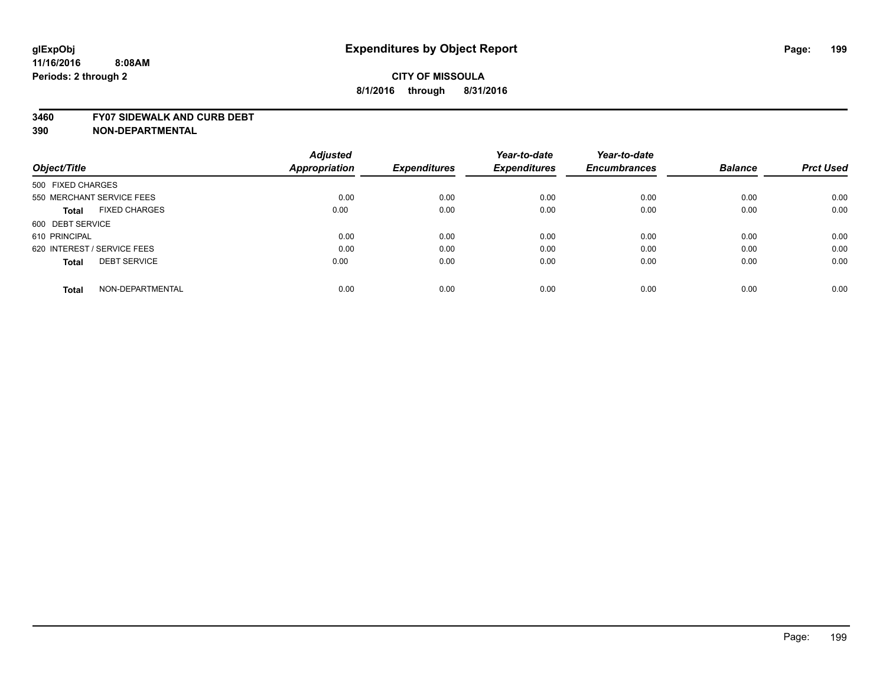#### **3460 FY07 SIDEWALK AND CURB DEBT**

**390 NON-DEPARTMENTAL**

**11/16/2016**

**Periods: 2 through 2**

|                                      | <b>Adjusted</b> | <b>Expenditures</b> | Year-to-date<br><b>Expenditures</b> | Year-to-date        | <b>Balance</b> | <b>Prct Used</b> |
|--------------------------------------|-----------------|---------------------|-------------------------------------|---------------------|----------------|------------------|
| Object/Title                         | Appropriation   |                     |                                     | <b>Encumbrances</b> |                |                  |
| 500 FIXED CHARGES                    |                 |                     |                                     |                     |                |                  |
| 550 MERCHANT SERVICE FEES            | 0.00            | 0.00                | 0.00                                | 0.00                | 0.00           | 0.00             |
| <b>FIXED CHARGES</b><br><b>Total</b> | 0.00            | 0.00                | 0.00                                | 0.00                | 0.00           | 0.00             |
| 600 DEBT SERVICE                     |                 |                     |                                     |                     |                |                  |
| 610 PRINCIPAL                        | 0.00            | 0.00                | 0.00                                | 0.00                | 0.00           | 0.00             |
| 620 INTEREST / SERVICE FEES          | 0.00            | 0.00                | 0.00                                | 0.00                | 0.00           | 0.00             |
| <b>DEBT SERVICE</b><br><b>Total</b>  | 0.00            | 0.00                | 0.00                                | 0.00                | 0.00           | 0.00             |
| NON-DEPARTMENTAL<br><b>Total</b>     | 0.00            | 0.00                | 0.00                                | 0.00                | 0.00           | 0.00             |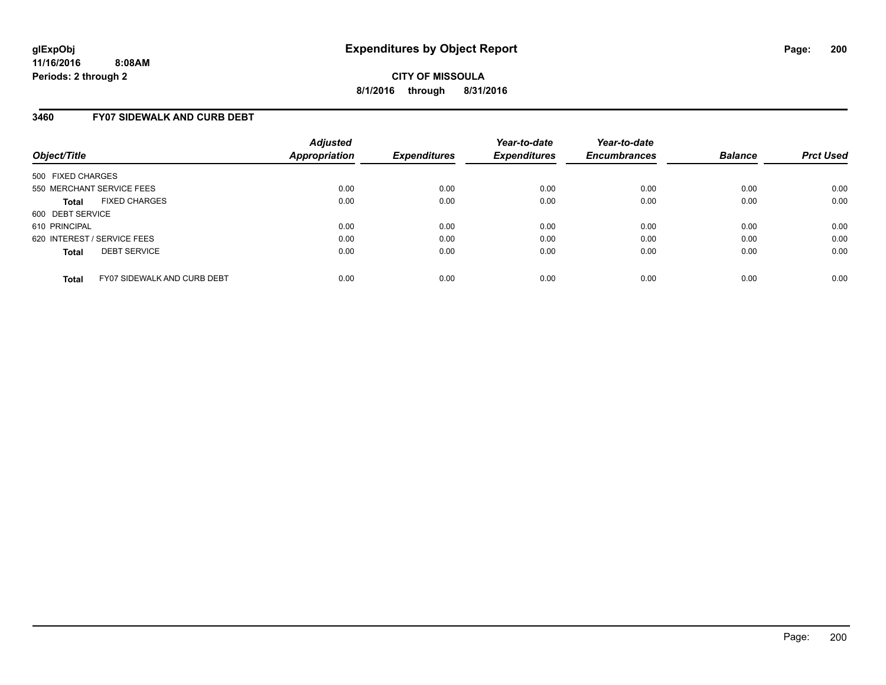### **3460 FY07 SIDEWALK AND CURB DEBT**

| Object/Title                                       | <b>Adjusted</b><br><b>Appropriation</b> | <b>Expenditures</b> | Year-to-date<br><b>Expenditures</b> | Year-to-date<br><b>Encumbrances</b> | <b>Balance</b> | <b>Prct Used</b> |
|----------------------------------------------------|-----------------------------------------|---------------------|-------------------------------------|-------------------------------------|----------------|------------------|
| 500 FIXED CHARGES                                  |                                         |                     |                                     |                                     |                |                  |
| 550 MERCHANT SERVICE FEES                          | 0.00                                    | 0.00                | 0.00                                | 0.00                                | 0.00           | 0.00             |
| <b>FIXED CHARGES</b><br><b>Total</b>               | 0.00                                    | 0.00                | 0.00                                | 0.00                                | 0.00           | 0.00             |
| 600 DEBT SERVICE                                   |                                         |                     |                                     |                                     |                |                  |
| 610 PRINCIPAL                                      | 0.00                                    | 0.00                | 0.00                                | 0.00                                | 0.00           | 0.00             |
| 620 INTEREST / SERVICE FEES                        | 0.00                                    | 0.00                | 0.00                                | 0.00                                | 0.00           | 0.00             |
| <b>DEBT SERVICE</b><br><b>Total</b>                | 0.00                                    | 0.00                | 0.00                                | 0.00                                | 0.00           | 0.00             |
| <b>FY07 SIDEWALK AND CURB DEBT</b><br><b>Total</b> | 0.00                                    | 0.00                | 0.00                                | 0.00                                | 0.00           | 0.00             |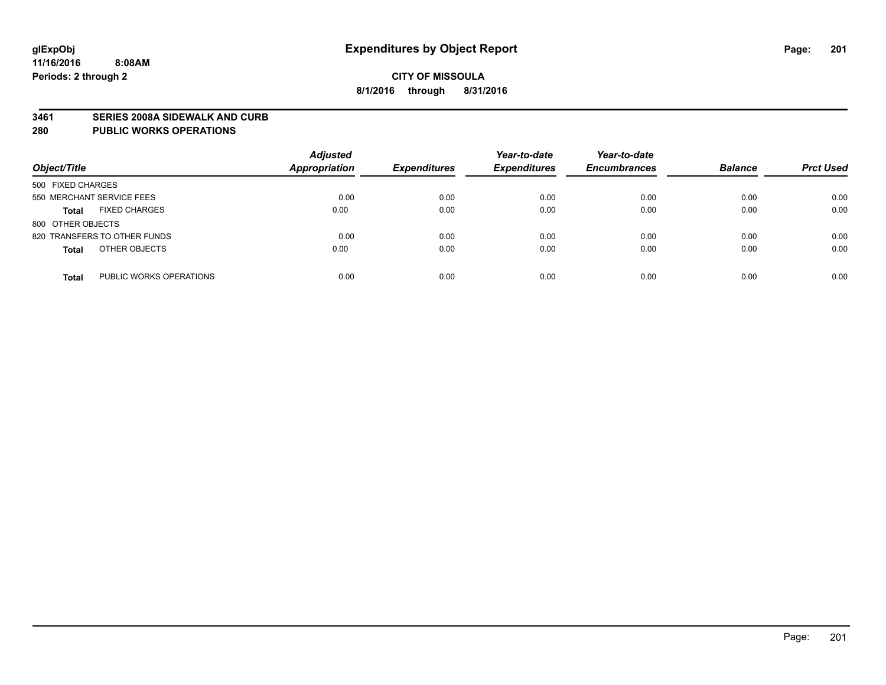#### **3461 SERIES 2008A SIDEWALK AND CURB**

#### **280 PUBLIC WORKS OPERATIONS**

| Object/Title                            | <b>Adjusted</b><br><b>Appropriation</b> | <b>Expenditures</b> | Year-to-date<br><b>Expenditures</b> | Year-to-date<br><b>Encumbrances</b> | <b>Balance</b> | <b>Prct Used</b> |
|-----------------------------------------|-----------------------------------------|---------------------|-------------------------------------|-------------------------------------|----------------|------------------|
| 500 FIXED CHARGES                       |                                         |                     |                                     |                                     |                |                  |
| 550 MERCHANT SERVICE FEES               | 0.00                                    | 0.00                | 0.00                                | 0.00                                | 0.00           | 0.00             |
| <b>FIXED CHARGES</b><br><b>Total</b>    | 0.00                                    | 0.00                | 0.00                                | 0.00                                | 0.00           | 0.00             |
| 800 OTHER OBJECTS                       |                                         |                     |                                     |                                     |                |                  |
| 820 TRANSFERS TO OTHER FUNDS            | 0.00                                    | 0.00                | 0.00                                | 0.00                                | 0.00           | 0.00             |
| OTHER OBJECTS<br><b>Total</b>           | 0.00                                    | 0.00                | 0.00                                | 0.00                                | 0.00           | 0.00             |
| PUBLIC WORKS OPERATIONS<br><b>Total</b> | 0.00                                    | 0.00                | 0.00                                | 0.00                                | 0.00           | 0.00             |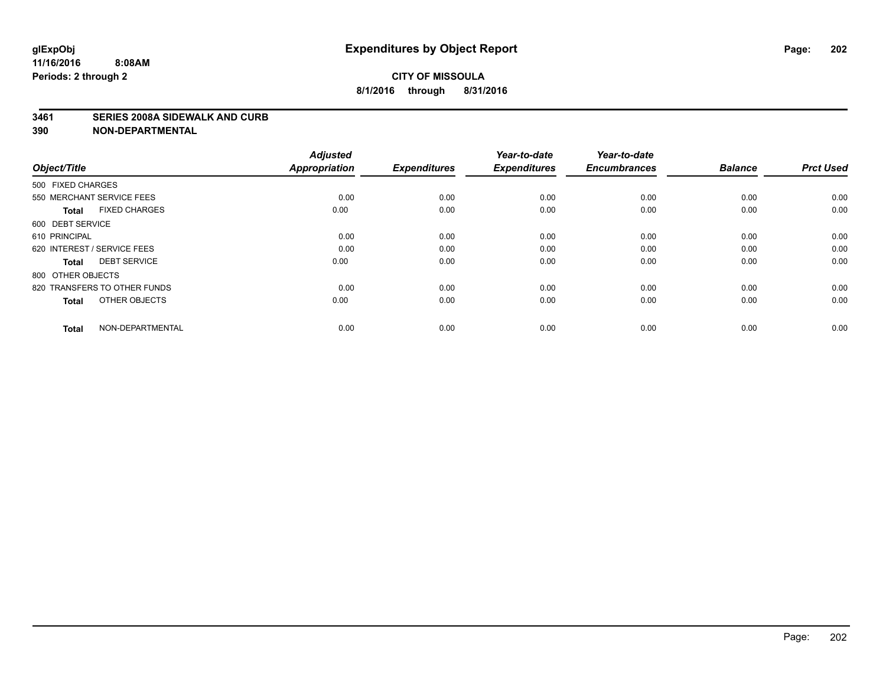#### **3461 SERIES 2008A SIDEWALK AND CURB**

| Object/Title                         | <b>Adjusted</b><br><b>Appropriation</b> | <b>Expenditures</b> | Year-to-date<br><b>Expenditures</b> | Year-to-date<br><b>Encumbrances</b> | <b>Balance</b> | <b>Prct Used</b> |
|--------------------------------------|-----------------------------------------|---------------------|-------------------------------------|-------------------------------------|----------------|------------------|
| 500 FIXED CHARGES                    |                                         |                     |                                     |                                     |                |                  |
| 550 MERCHANT SERVICE FEES            | 0.00                                    | 0.00                | 0.00                                | 0.00                                | 0.00           | 0.00             |
| <b>FIXED CHARGES</b><br><b>Total</b> | 0.00                                    | 0.00                | 0.00                                | 0.00                                | 0.00           | 0.00             |
| 600 DEBT SERVICE                     |                                         |                     |                                     |                                     |                |                  |
| 610 PRINCIPAL                        | 0.00                                    | 0.00                | 0.00                                | 0.00                                | 0.00           | 0.00             |
| 620 INTEREST / SERVICE FEES          | 0.00                                    | 0.00                | 0.00                                | 0.00                                | 0.00           | 0.00             |
| <b>DEBT SERVICE</b><br><b>Total</b>  | 0.00                                    | 0.00                | 0.00                                | 0.00                                | 0.00           | 0.00             |
| 800 OTHER OBJECTS                    |                                         |                     |                                     |                                     |                |                  |
| 820 TRANSFERS TO OTHER FUNDS         | 0.00                                    | 0.00                | 0.00                                | 0.00                                | 0.00           | 0.00             |
| OTHER OBJECTS<br><b>Total</b>        | 0.00                                    | 0.00                | 0.00                                | 0.00                                | 0.00           | 0.00             |
|                                      |                                         |                     |                                     |                                     |                |                  |
| NON-DEPARTMENTAL<br><b>Total</b>     | 0.00                                    | 0.00                | 0.00                                | 0.00                                | 0.00           | 0.00             |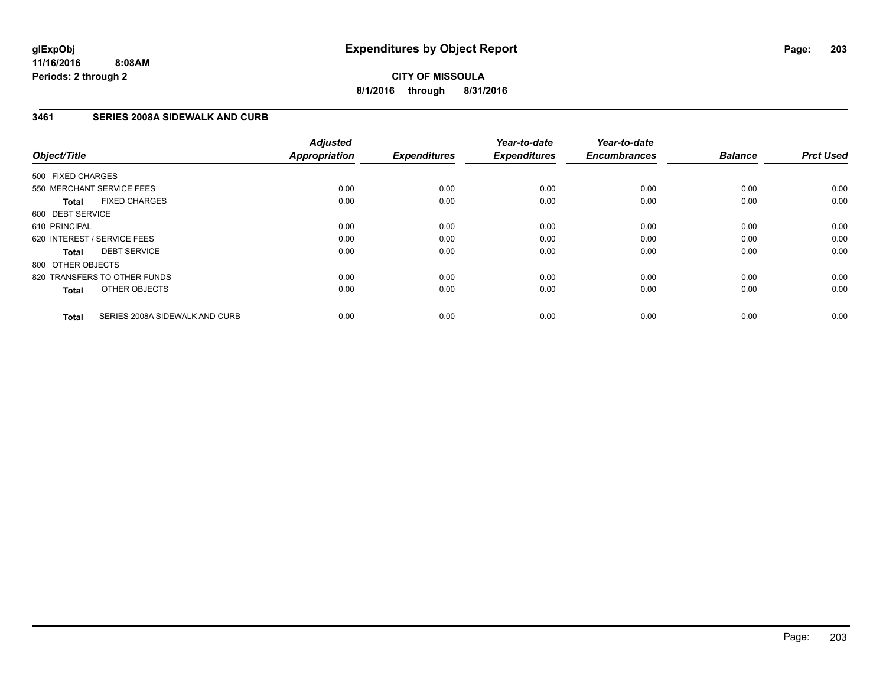**CITY OF MISSOULA 8/1/2016 through 8/31/2016**

### **3461 SERIES 2008A SIDEWALK AND CURB**

| Object/Title      |                                | <b>Adjusted</b><br>Appropriation | <b>Expenditures</b> | Year-to-date<br><b>Expenditures</b> | Year-to-date<br><b>Encumbrances</b> | <b>Balance</b> | <b>Prct Used</b> |
|-------------------|--------------------------------|----------------------------------|---------------------|-------------------------------------|-------------------------------------|----------------|------------------|
| 500 FIXED CHARGES |                                |                                  |                     |                                     |                                     |                |                  |
|                   | 550 MERCHANT SERVICE FEES      | 0.00                             | 0.00                | 0.00                                | 0.00                                | 0.00           | 0.00             |
| <b>Total</b>      | <b>FIXED CHARGES</b>           | 0.00                             | 0.00                | 0.00                                | 0.00                                | 0.00           | 0.00             |
| 600 DEBT SERVICE  |                                |                                  |                     |                                     |                                     |                |                  |
| 610 PRINCIPAL     |                                | 0.00                             | 0.00                | 0.00                                | 0.00                                | 0.00           | 0.00             |
|                   | 620 INTEREST / SERVICE FEES    | 0.00                             | 0.00                | 0.00                                | 0.00                                | 0.00           | 0.00             |
| Total             | <b>DEBT SERVICE</b>            | 0.00                             | 0.00                | 0.00                                | 0.00                                | 0.00           | 0.00             |
| 800 OTHER OBJECTS |                                |                                  |                     |                                     |                                     |                |                  |
|                   | 820 TRANSFERS TO OTHER FUNDS   | 0.00                             | 0.00                | 0.00                                | 0.00                                | 0.00           | 0.00             |
| <b>Total</b>      | OTHER OBJECTS                  | 0.00                             | 0.00                | 0.00                                | 0.00                                | 0.00           | 0.00             |
| <b>Total</b>      | SERIES 2008A SIDEWALK AND CURB | 0.00                             | 0.00                | 0.00                                | 0.00                                | 0.00           | 0.00             |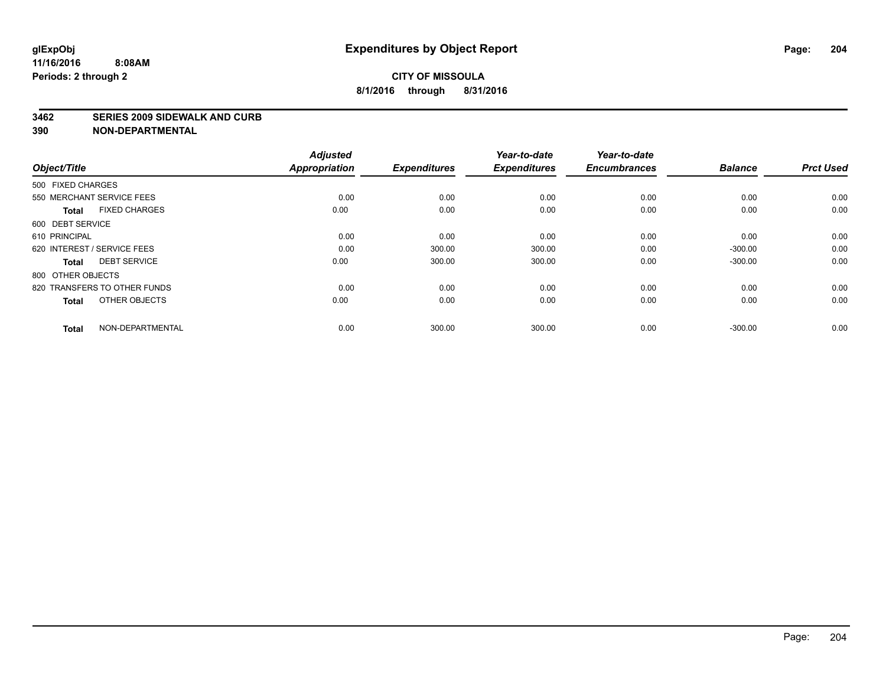#### **3462 SERIES 2009 SIDEWALK AND CURB**

| Object/Title                 |                      | <b>Adjusted</b><br>Appropriation | <b>Expenditures</b> | Year-to-date<br><b>Expenditures</b> | Year-to-date<br><b>Encumbrances</b> | <b>Balance</b> | <b>Prct Used</b> |
|------------------------------|----------------------|----------------------------------|---------------------|-------------------------------------|-------------------------------------|----------------|------------------|
| 500 FIXED CHARGES            |                      |                                  |                     |                                     |                                     |                |                  |
| 550 MERCHANT SERVICE FEES    |                      | 0.00                             | 0.00                | 0.00                                | 0.00                                | 0.00           | 0.00             |
| <b>Total</b>                 | <b>FIXED CHARGES</b> | 0.00                             | 0.00                | 0.00                                | 0.00                                | 0.00           | 0.00             |
| 600 DEBT SERVICE             |                      |                                  |                     |                                     |                                     |                |                  |
| 610 PRINCIPAL                |                      | 0.00                             | 0.00                | 0.00                                | 0.00                                | 0.00           | 0.00             |
| 620 INTEREST / SERVICE FEES  |                      | 0.00                             | 300.00              | 300.00                              | 0.00                                | $-300.00$      | 0.00             |
| <b>Total</b>                 | <b>DEBT SERVICE</b>  | 0.00                             | 300.00              | 300.00                              | 0.00                                | $-300.00$      | 0.00             |
| 800 OTHER OBJECTS            |                      |                                  |                     |                                     |                                     |                |                  |
| 820 TRANSFERS TO OTHER FUNDS |                      | 0.00                             | 0.00                | 0.00                                | 0.00                                | 0.00           | 0.00             |
| <b>Total</b>                 | OTHER OBJECTS        | 0.00                             | 0.00                | 0.00                                | 0.00                                | 0.00           | 0.00             |
| <b>Total</b>                 | NON-DEPARTMENTAL     | 0.00                             | 300.00              | 300.00                              | 0.00                                | $-300.00$      | 0.00             |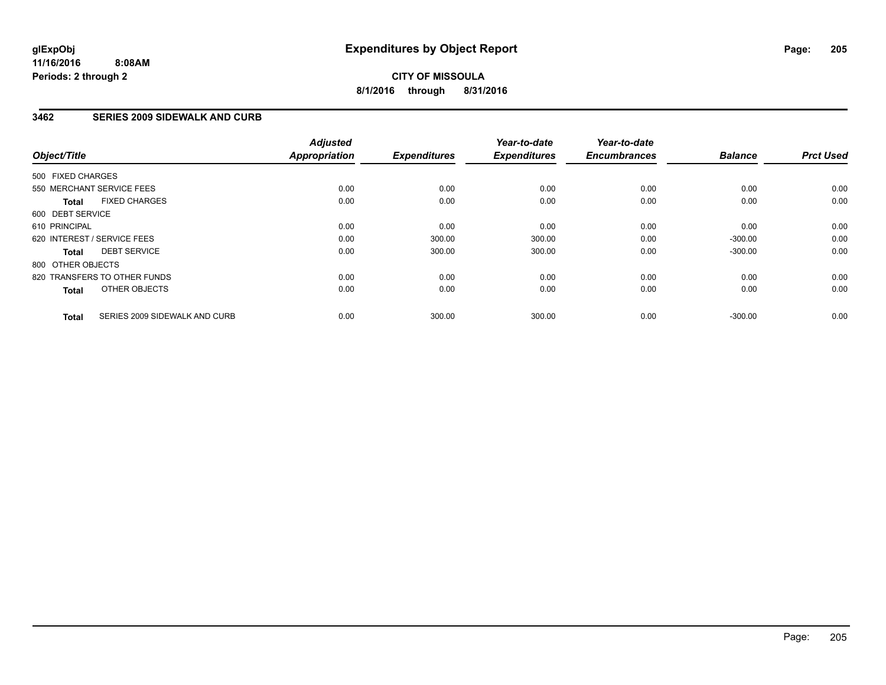**CITY OF MISSOULA 8/1/2016 through 8/31/2016**

### **3462 SERIES 2009 SIDEWALK AND CURB**

| Object/Title      |                               | <b>Adjusted</b><br>Appropriation | <b>Expenditures</b> | Year-to-date<br><b>Expenditures</b> | Year-to-date<br><b>Encumbrances</b> | <b>Balance</b> | <b>Prct Used</b> |
|-------------------|-------------------------------|----------------------------------|---------------------|-------------------------------------|-------------------------------------|----------------|------------------|
| 500 FIXED CHARGES |                               |                                  |                     |                                     |                                     |                |                  |
|                   | 550 MERCHANT SERVICE FEES     | 0.00                             | 0.00                | 0.00                                | 0.00                                | 0.00           | 0.00             |
| <b>Total</b>      | <b>FIXED CHARGES</b>          | 0.00                             | 0.00                | 0.00                                | 0.00                                | 0.00           | 0.00             |
| 600 DEBT SERVICE  |                               |                                  |                     |                                     |                                     |                |                  |
| 610 PRINCIPAL     |                               | 0.00                             | 0.00                | 0.00                                | 0.00                                | 0.00           | 0.00             |
|                   | 620 INTEREST / SERVICE FEES   | 0.00                             | 300.00              | 300.00                              | 0.00                                | $-300.00$      | 0.00             |
| Total             | <b>DEBT SERVICE</b>           | 0.00                             | 300.00              | 300.00                              | 0.00                                | $-300.00$      | 0.00             |
| 800 OTHER OBJECTS |                               |                                  |                     |                                     |                                     |                |                  |
|                   | 820 TRANSFERS TO OTHER FUNDS  | 0.00                             | 0.00                | 0.00                                | 0.00                                | 0.00           | 0.00             |
| <b>Total</b>      | OTHER OBJECTS                 | 0.00                             | 0.00                | 0.00                                | 0.00                                | 0.00           | 0.00             |
| <b>Total</b>      | SERIES 2009 SIDEWALK AND CURB | 0.00                             | 300.00              | 300.00                              | 0.00                                | $-300.00$      | 0.00             |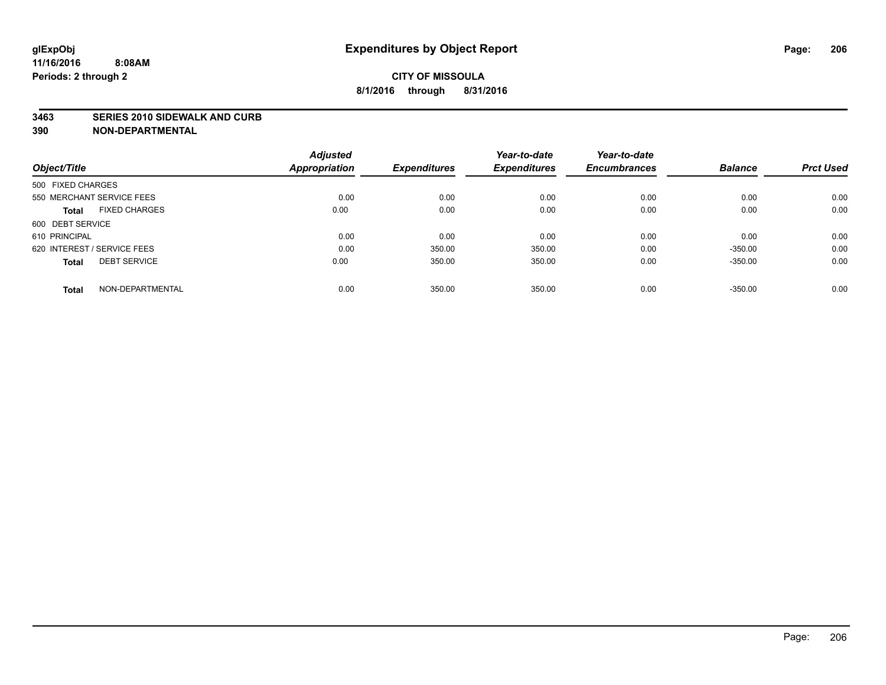#### **3463 SERIES 2010 SIDEWALK AND CURB**

| Object/Title                         | <b>Adjusted</b><br><b>Appropriation</b> | <b>Expenditures</b> | Year-to-date<br><b>Expenditures</b> | Year-to-date<br><b>Encumbrances</b> | <b>Balance</b> | <b>Prct Used</b> |
|--------------------------------------|-----------------------------------------|---------------------|-------------------------------------|-------------------------------------|----------------|------------------|
|                                      |                                         |                     |                                     |                                     |                |                  |
| 500 FIXED CHARGES                    |                                         |                     |                                     |                                     |                |                  |
| 550 MERCHANT SERVICE FEES            | 0.00                                    | 0.00                | 0.00                                | 0.00                                | 0.00           | 0.00             |
| <b>FIXED CHARGES</b><br><b>Total</b> | 0.00                                    | 0.00                | 0.00                                | 0.00                                | 0.00           | 0.00             |
| 600 DEBT SERVICE                     |                                         |                     |                                     |                                     |                |                  |
| 610 PRINCIPAL                        | 0.00                                    | 0.00                | 0.00                                | 0.00                                | 0.00           | 0.00             |
| 620 INTEREST / SERVICE FEES          | 0.00                                    | 350.00              | 350.00                              | 0.00                                | $-350.00$      | 0.00             |
| <b>DEBT SERVICE</b><br><b>Total</b>  | 0.00                                    | 350.00              | 350.00                              | 0.00                                | $-350.00$      | 0.00             |
| NON-DEPARTMENTAL<br><b>Total</b>     | 0.00                                    | 350.00              | 350.00                              | 0.00                                | $-350.00$      | 0.00             |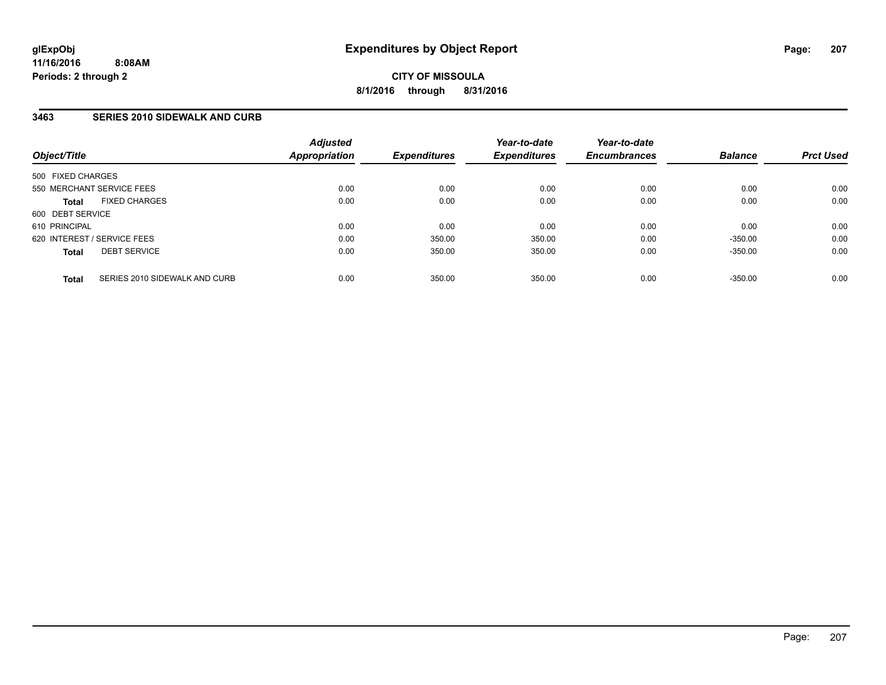# **3463 SERIES 2010 SIDEWALK AND CURB**

| Object/Title                                  | <b>Adjusted</b><br><b>Appropriation</b> | <b>Expenditures</b> | Year-to-date<br><b>Expenditures</b> | Year-to-date<br><b>Encumbrances</b> | <b>Balance</b> | <b>Prct Used</b> |
|-----------------------------------------------|-----------------------------------------|---------------------|-------------------------------------|-------------------------------------|----------------|------------------|
| 500 FIXED CHARGES                             |                                         |                     |                                     |                                     |                |                  |
| 550 MERCHANT SERVICE FEES                     | 0.00                                    | 0.00                | 0.00                                | 0.00                                | 0.00           | 0.00             |
| <b>FIXED CHARGES</b><br><b>Total</b>          | 0.00                                    | 0.00                | 0.00                                | 0.00                                | 0.00           | 0.00             |
| 600 DEBT SERVICE                              |                                         |                     |                                     |                                     |                |                  |
| 610 PRINCIPAL                                 | 0.00                                    | 0.00                | 0.00                                | 0.00                                | 0.00           | 0.00             |
| 620 INTEREST / SERVICE FEES                   | 0.00                                    | 350.00              | 350.00                              | 0.00                                | $-350.00$      | 0.00             |
| <b>DEBT SERVICE</b><br><b>Total</b>           | 0.00                                    | 350.00              | 350.00                              | 0.00                                | $-350.00$      | 0.00             |
| SERIES 2010 SIDEWALK AND CURB<br><b>Total</b> | 0.00                                    | 350.00              | 350.00                              | 0.00                                | $-350.00$      | 0.00             |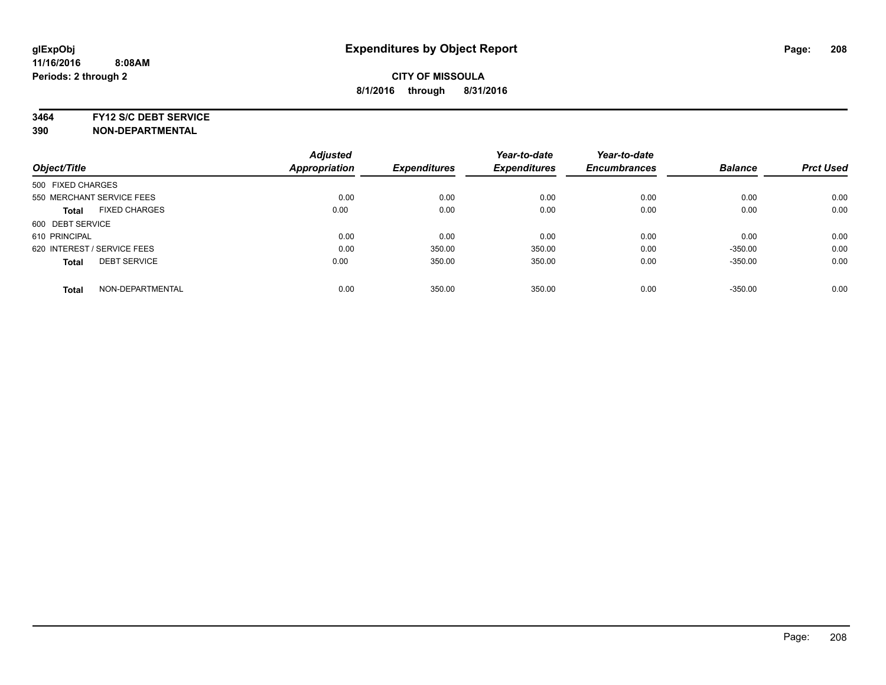**3464 FY12 S/C DEBT SERVICE**

|                                      | <b>Adjusted</b> |                     | Year-to-date        | Year-to-date        |                |                  |
|--------------------------------------|-----------------|---------------------|---------------------|---------------------|----------------|------------------|
| Object/Title                         | Appropriation   | <b>Expenditures</b> | <b>Expenditures</b> | <b>Encumbrances</b> | <b>Balance</b> | <b>Prct Used</b> |
| 500 FIXED CHARGES                    |                 |                     |                     |                     |                |                  |
| 550 MERCHANT SERVICE FEES            | 0.00            | 0.00                | 0.00                | 0.00                | 0.00           | 0.00             |
| <b>FIXED CHARGES</b><br><b>Total</b> | 0.00            | 0.00                | 0.00                | 0.00                | 0.00           | 0.00             |
| 600 DEBT SERVICE                     |                 |                     |                     |                     |                |                  |
| 610 PRINCIPAL                        | 0.00            | 0.00                | 0.00                | 0.00                | 0.00           | 0.00             |
| 620 INTEREST / SERVICE FEES          | 0.00            | 350.00              | 350.00              | 0.00                | $-350.00$      | 0.00             |
| <b>DEBT SERVICE</b><br><b>Total</b>  | 0.00            | 350.00              | 350.00              | 0.00                | $-350.00$      | 0.00             |
| NON-DEPARTMENTAL<br><b>Total</b>     | 0.00            | 350.00              | 350.00              | 0.00                | $-350.00$      | 0.00             |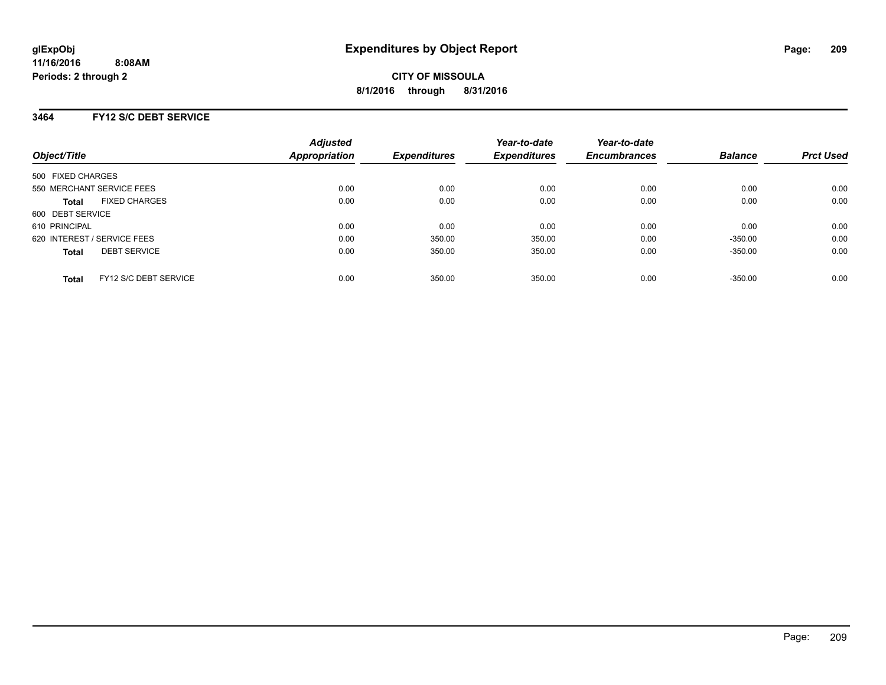# **3464 FY12 S/C DEBT SERVICE**

| Object/Title                |                       | <b>Adjusted</b><br>Appropriation | <b>Expenditures</b> | Year-to-date<br><b>Expenditures</b> | Year-to-date<br><b>Encumbrances</b> | <b>Balance</b> | <b>Prct Used</b> |
|-----------------------------|-----------------------|----------------------------------|---------------------|-------------------------------------|-------------------------------------|----------------|------------------|
| 500 FIXED CHARGES           |                       |                                  |                     |                                     |                                     |                |                  |
| 550 MERCHANT SERVICE FEES   |                       | 0.00                             | 0.00                | 0.00                                | 0.00                                | 0.00           | 0.00             |
| <b>Total</b>                | <b>FIXED CHARGES</b>  | 0.00                             | 0.00                | 0.00                                | 0.00                                | 0.00           | 0.00             |
| 600 DEBT SERVICE            |                       |                                  |                     |                                     |                                     |                |                  |
| 610 PRINCIPAL               |                       | 0.00                             | 0.00                | 0.00                                | 0.00                                | 0.00           | 0.00             |
| 620 INTEREST / SERVICE FEES |                       | 0.00                             | 350.00              | 350.00                              | 0.00                                | $-350.00$      | 0.00             |
| <b>Total</b>                | <b>DEBT SERVICE</b>   | 0.00                             | 350.00              | 350.00                              | 0.00                                | $-350.00$      | 0.00             |
| <b>Total</b>                | FY12 S/C DEBT SERVICE | 0.00                             | 350.00              | 350.00                              | 0.00                                | $-350.00$      | 0.00             |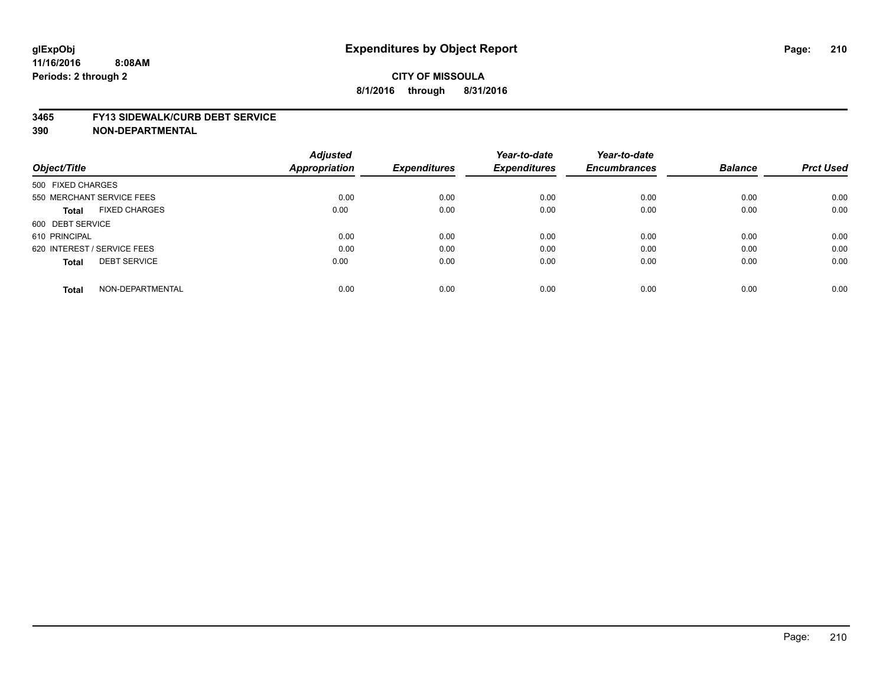#### **3465 FY13 SIDEWALK/CURB DEBT SERVICE**

|                                      | <b>Adjusted</b>      |                     | Year-to-date        | Year-to-date        |                |                  |
|--------------------------------------|----------------------|---------------------|---------------------|---------------------|----------------|------------------|
| Object/Title                         | <b>Appropriation</b> | <b>Expenditures</b> | <b>Expenditures</b> | <b>Encumbrances</b> | <b>Balance</b> | <b>Prct Used</b> |
| 500 FIXED CHARGES                    |                      |                     |                     |                     |                |                  |
| 550 MERCHANT SERVICE FEES            | 0.00                 | 0.00                | 0.00                | 0.00                | 0.00           | 0.00             |
| <b>FIXED CHARGES</b><br><b>Total</b> | 0.00                 | 0.00                | 0.00                | 0.00                | 0.00           | 0.00             |
| 600 DEBT SERVICE                     |                      |                     |                     |                     |                |                  |
| 610 PRINCIPAL                        | 0.00                 | 0.00                | 0.00                | 0.00                | 0.00           | 0.00             |
| 620 INTEREST / SERVICE FEES          | 0.00                 | 0.00                | 0.00                | 0.00                | 0.00           | 0.00             |
| <b>DEBT SERVICE</b><br><b>Total</b>  | 0.00                 | 0.00                | 0.00                | 0.00                | 0.00           | 0.00             |
| NON-DEPARTMENTAL<br><b>Total</b>     | 0.00                 | 0.00                | 0.00                | 0.00                | 0.00           | 0.00             |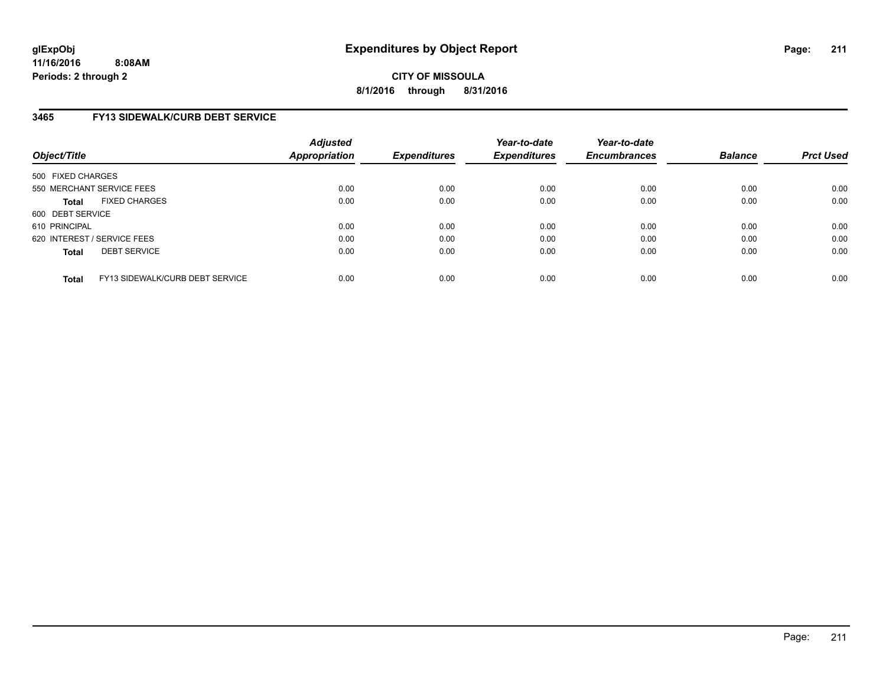**CITY OF MISSOULA 8/1/2016 through 8/31/2016**

# **3465 FY13 SIDEWALK/CURB DEBT SERVICE**

| Object/Title      |                                 | <b>Adjusted</b><br>Appropriation | <b>Expenditures</b> | Year-to-date<br><b>Expenditures</b> | Year-to-date<br><b>Encumbrances</b> | <b>Balance</b> | <b>Prct Used</b> |
|-------------------|---------------------------------|----------------------------------|---------------------|-------------------------------------|-------------------------------------|----------------|------------------|
| 500 FIXED CHARGES |                                 |                                  |                     |                                     |                                     |                |                  |
|                   | 550 MERCHANT SERVICE FEES       | 0.00                             | 0.00                | 0.00                                | 0.00                                | 0.00           | 0.00             |
| <b>Total</b>      | <b>FIXED CHARGES</b>            | 0.00                             | 0.00                | 0.00                                | 0.00                                | 0.00           | 0.00             |
| 600 DEBT SERVICE  |                                 |                                  |                     |                                     |                                     |                |                  |
| 610 PRINCIPAL     |                                 | 0.00                             | 0.00                | 0.00                                | 0.00                                | 0.00           | 0.00             |
|                   | 620 INTEREST / SERVICE FEES     | 0.00                             | 0.00                | 0.00                                | 0.00                                | 0.00           | 0.00             |
| <b>Total</b>      | <b>DEBT SERVICE</b>             | 0.00                             | 0.00                | 0.00                                | 0.00                                | 0.00           | 0.00             |
| <b>Total</b>      | FY13 SIDEWALK/CURB DEBT SERVICE | 0.00                             | 0.00                | 0.00                                | 0.00                                | 0.00           | 0.00             |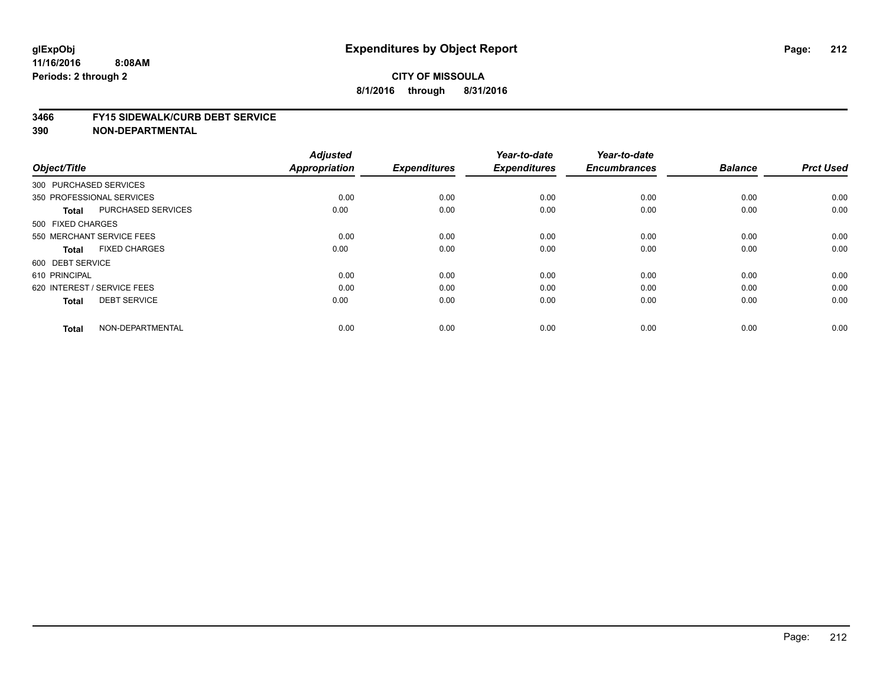#### **3466 FY15 SIDEWALK/CURB DEBT SERVICE**

| Object/Title                |                           | <b>Adjusted</b><br><b>Appropriation</b> | <b>Expenditures</b> | Year-to-date<br><b>Expenditures</b> | Year-to-date<br><b>Encumbrances</b> | <b>Balance</b> | <b>Prct Used</b> |
|-----------------------------|---------------------------|-----------------------------------------|---------------------|-------------------------------------|-------------------------------------|----------------|------------------|
|                             |                           |                                         |                     |                                     |                                     |                |                  |
| 300 PURCHASED SERVICES      |                           |                                         |                     |                                     |                                     |                |                  |
| 350 PROFESSIONAL SERVICES   |                           | 0.00                                    | 0.00                | 0.00                                | 0.00                                | 0.00           | 0.00             |
| <b>Total</b>                | <b>PURCHASED SERVICES</b> | 0.00                                    | 0.00                | 0.00                                | 0.00                                | 0.00           | 0.00             |
| 500 FIXED CHARGES           |                           |                                         |                     |                                     |                                     |                |                  |
| 550 MERCHANT SERVICE FEES   |                           | 0.00                                    | 0.00                | 0.00                                | 0.00                                | 0.00           | 0.00             |
| <b>Total</b>                | <b>FIXED CHARGES</b>      | 0.00                                    | 0.00                | 0.00                                | 0.00                                | 0.00           | 0.00             |
| 600 DEBT SERVICE            |                           |                                         |                     |                                     |                                     |                |                  |
| 610 PRINCIPAL               |                           | 0.00                                    | 0.00                | 0.00                                | 0.00                                | 0.00           | 0.00             |
| 620 INTEREST / SERVICE FEES |                           | 0.00                                    | 0.00                | 0.00                                | 0.00                                | 0.00           | 0.00             |
| <b>Total</b>                | <b>DEBT SERVICE</b>       | 0.00                                    | 0.00                | 0.00                                | 0.00                                | 0.00           | 0.00             |
| <b>Total</b>                | NON-DEPARTMENTAL          | 0.00                                    | 0.00                | 0.00                                | 0.00                                | 0.00           | 0.00             |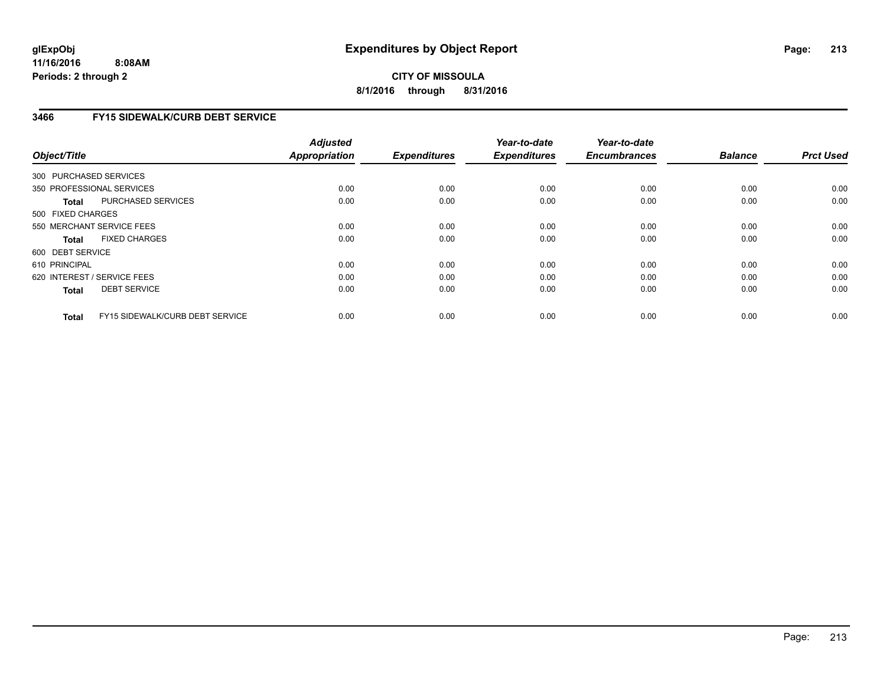**CITY OF MISSOULA 8/1/2016 through 8/31/2016**

# **3466 FY15 SIDEWALK/CURB DEBT SERVICE**

| Object/Title      |                                        | <b>Adjusted</b><br><b>Appropriation</b> | <b>Expenditures</b> | Year-to-date<br><b>Expenditures</b> | Year-to-date<br><b>Encumbrances</b> | <b>Balance</b> | <b>Prct Used</b> |
|-------------------|----------------------------------------|-----------------------------------------|---------------------|-------------------------------------|-------------------------------------|----------------|------------------|
|                   | 300 PURCHASED SERVICES                 |                                         |                     |                                     |                                     |                |                  |
|                   |                                        |                                         |                     |                                     |                                     |                |                  |
|                   | 350 PROFESSIONAL SERVICES              | 0.00                                    | 0.00                | 0.00                                | 0.00                                | 0.00           | 0.00             |
| <b>Total</b>      | PURCHASED SERVICES                     | 0.00                                    | 0.00                | 0.00                                | 0.00                                | 0.00           | 0.00             |
| 500 FIXED CHARGES |                                        |                                         |                     |                                     |                                     |                |                  |
|                   | 550 MERCHANT SERVICE FEES              | 0.00                                    | 0.00                | 0.00                                | 0.00                                | 0.00           | 0.00             |
| <b>Total</b>      | <b>FIXED CHARGES</b>                   | 0.00                                    | 0.00                | 0.00                                | 0.00                                | 0.00           | 0.00             |
| 600 DEBT SERVICE  |                                        |                                         |                     |                                     |                                     |                |                  |
| 610 PRINCIPAL     |                                        | 0.00                                    | 0.00                | 0.00                                | 0.00                                | 0.00           | 0.00             |
|                   | 620 INTEREST / SERVICE FEES            | 0.00                                    | 0.00                | 0.00                                | 0.00                                | 0.00           | 0.00             |
| <b>Total</b>      | <b>DEBT SERVICE</b>                    | 0.00                                    | 0.00                | 0.00                                | 0.00                                | 0.00           | 0.00             |
| <b>Total</b>      | <b>FY15 SIDEWALK/CURB DEBT SERVICE</b> | 0.00                                    | 0.00                | 0.00                                | 0.00                                | 0.00           | 0.00             |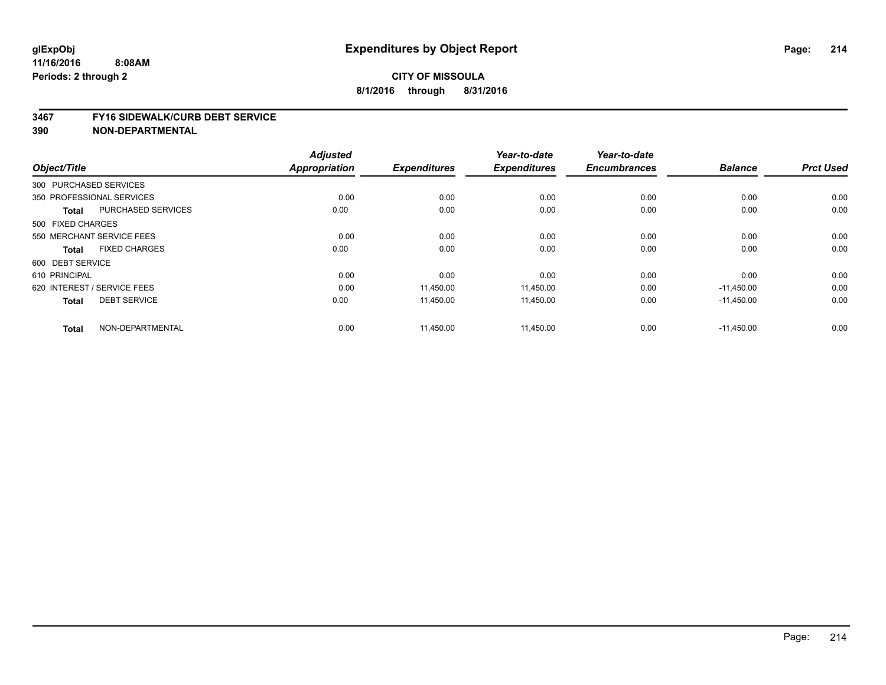#### **3467 FY16 SIDEWALK/CURB DEBT SERVICE**

|                             |                           | <b>Adjusted</b>      |                     | Year-to-date        | Year-to-date        |                |                  |
|-----------------------------|---------------------------|----------------------|---------------------|---------------------|---------------------|----------------|------------------|
| Object/Title                |                           | <b>Appropriation</b> | <b>Expenditures</b> | <b>Expenditures</b> | <b>Encumbrances</b> | <b>Balance</b> | <b>Prct Used</b> |
| 300 PURCHASED SERVICES      |                           |                      |                     |                     |                     |                |                  |
| 350 PROFESSIONAL SERVICES   |                           | 0.00                 | 0.00                | 0.00                | 0.00                | 0.00           | 0.00             |
| <b>Total</b>                | <b>PURCHASED SERVICES</b> | 0.00                 | 0.00                | 0.00                | 0.00                | 0.00           | 0.00             |
| 500 FIXED CHARGES           |                           |                      |                     |                     |                     |                |                  |
| 550 MERCHANT SERVICE FEES   |                           | 0.00                 | 0.00                | 0.00                | 0.00                | 0.00           | 0.00             |
| <b>Total</b>                | <b>FIXED CHARGES</b>      | 0.00                 | 0.00                | 0.00                | 0.00                | 0.00           | 0.00             |
| 600 DEBT SERVICE            |                           |                      |                     |                     |                     |                |                  |
| 610 PRINCIPAL               |                           | 0.00                 | 0.00                | 0.00                | 0.00                | 0.00           | 0.00             |
| 620 INTEREST / SERVICE FEES |                           | 0.00                 | 11,450.00           | 11,450.00           | 0.00                | $-11,450.00$   | 0.00             |
| <b>Total</b>                | <b>DEBT SERVICE</b>       | 0.00                 | 11,450.00           | 11,450.00           | 0.00                | $-11,450.00$   | 0.00             |
| <b>Total</b>                | NON-DEPARTMENTAL          | 0.00                 | 11,450.00           | 11,450.00           | 0.00                | $-11.450.00$   | 0.00             |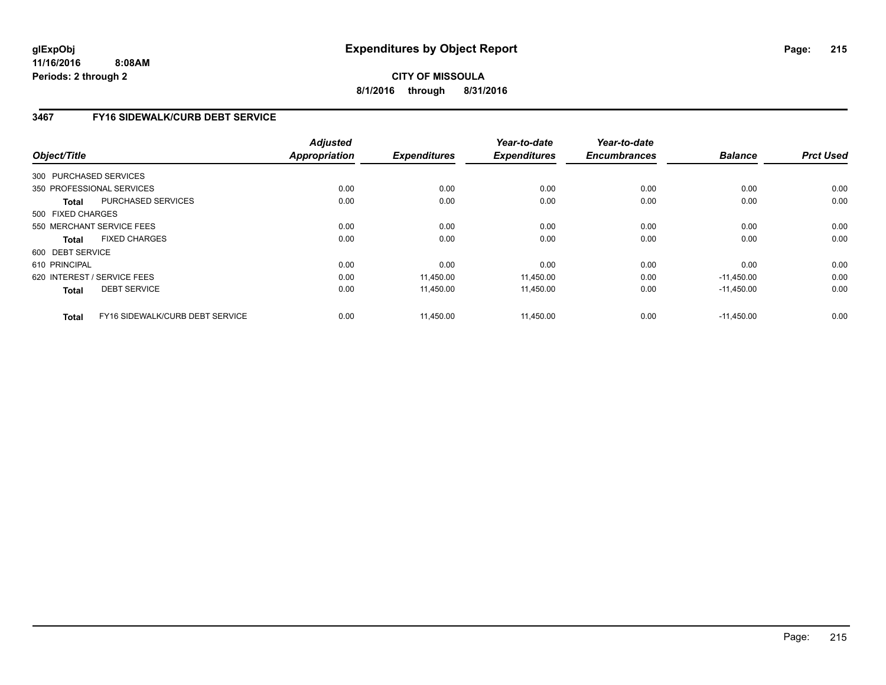**CITY OF MISSOULA 8/1/2016 through 8/31/2016**

# **3467 FY16 SIDEWALK/CURB DEBT SERVICE**

| Object/Title      |                                 | <b>Adjusted</b><br>Appropriation | <b>Expenditures</b> | Year-to-date<br><b>Expenditures</b> | Year-to-date<br><b>Encumbrances</b> | <b>Balance</b> | <b>Prct Used</b> |
|-------------------|---------------------------------|----------------------------------|---------------------|-------------------------------------|-------------------------------------|----------------|------------------|
|                   | 300 PURCHASED SERVICES          |                                  |                     |                                     |                                     |                |                  |
|                   | 350 PROFESSIONAL SERVICES       | 0.00                             | 0.00                | 0.00                                | 0.00                                | 0.00           | 0.00             |
| <b>Total</b>      | <b>PURCHASED SERVICES</b>       | 0.00                             | 0.00                | 0.00                                | 0.00                                | 0.00           | 0.00             |
| 500 FIXED CHARGES |                                 |                                  |                     |                                     |                                     |                |                  |
|                   | 550 MERCHANT SERVICE FEES       | 0.00                             | 0.00                | 0.00                                | 0.00                                | 0.00           | 0.00             |
| Total             | <b>FIXED CHARGES</b>            | 0.00                             | 0.00                | 0.00                                | 0.00                                | 0.00           | 0.00             |
| 600 DEBT SERVICE  |                                 |                                  |                     |                                     |                                     |                |                  |
| 610 PRINCIPAL     |                                 | 0.00                             | 0.00                | 0.00                                | 0.00                                | 0.00           | 0.00             |
|                   | 620 INTEREST / SERVICE FEES     | 0.00                             | 11.450.00           | 11,450.00                           | 0.00                                | $-11.450.00$   | 0.00             |
| <b>Total</b>      | <b>DEBT SERVICE</b>             | 0.00                             | 11,450.00           | 11,450.00                           | 0.00                                | $-11,450.00$   | 0.00             |
| Total             | FY16 SIDEWALK/CURB DEBT SERVICE | 0.00                             | 11,450.00           | 11,450.00                           | 0.00                                | $-11.450.00$   | 0.00             |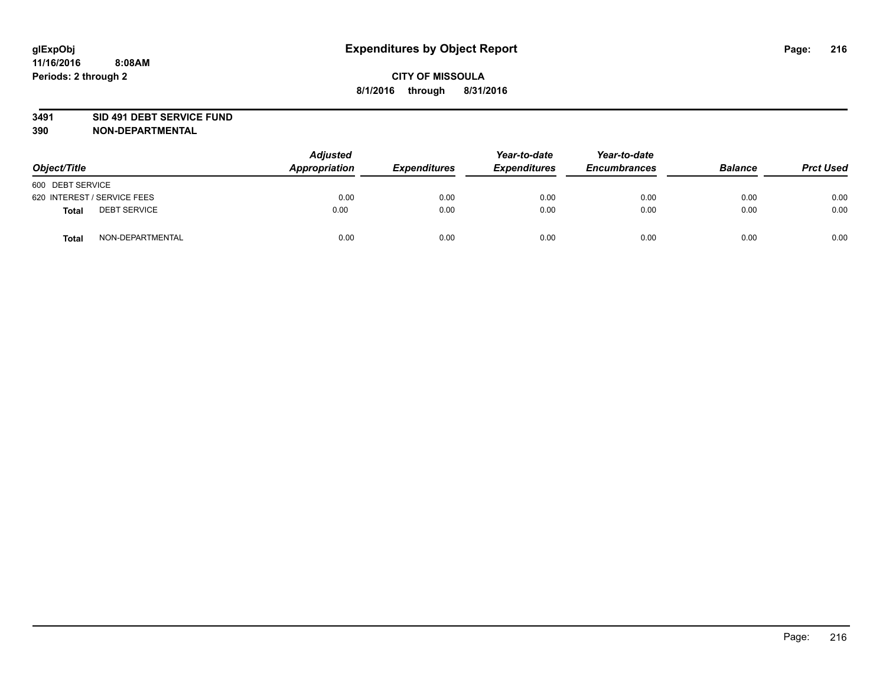### **3491 SID 491 DEBT SERVICE FUND**

| Object/Title                        | <b>Adjusted</b><br>Appropriation | <b>Expenditures</b> | Year-to-date<br><b>Expenditures</b> | Year-to-date<br><b>Encumbrances</b> | <b>Balance</b> | <b>Prct Used</b> |
|-------------------------------------|----------------------------------|---------------------|-------------------------------------|-------------------------------------|----------------|------------------|
| 600 DEBT SERVICE                    |                                  |                     |                                     |                                     |                |                  |
| 620 INTEREST / SERVICE FEES         | 0.00                             | 0.00                | 0.00                                | 0.00                                | 0.00           | 0.00             |
| <b>DEBT SERVICE</b><br><b>Total</b> | 0.00                             | 0.00                | 0.00                                | 0.00                                | 0.00           | 0.00             |
| NON-DEPARTMENTAL<br><b>Total</b>    | 0.00                             | 0.00                | 0.00                                | 0.00                                | 0.00           | 0.00             |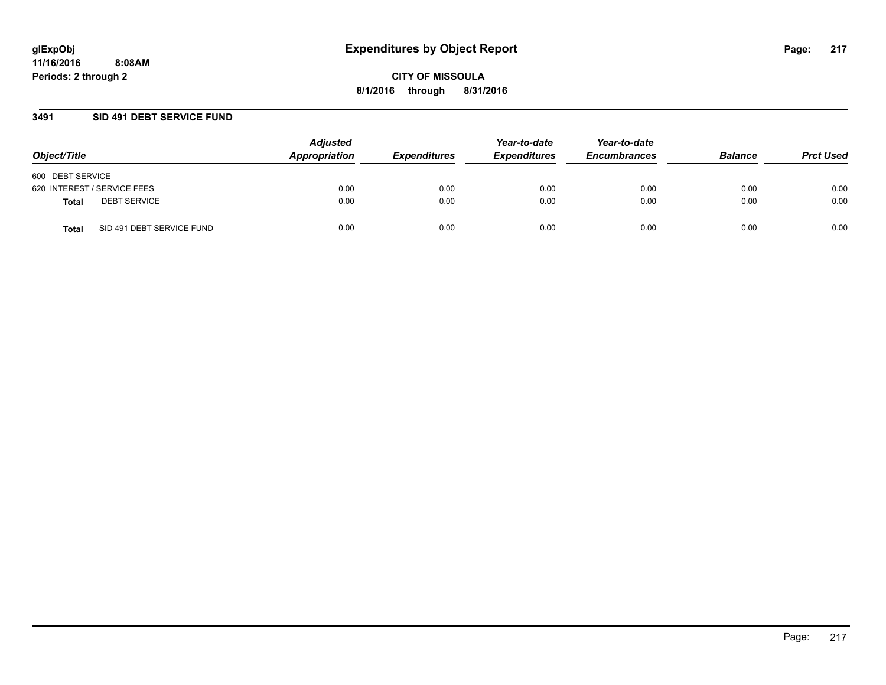### **3491 SID 491 DEBT SERVICE FUND**

| Object/Title                       | <b>Adjusted</b><br>Appropriation | <b>Expenditures</b> | Year-to-date<br><b>Expenditures</b> | Year-to-date<br><b>Encumbrances</b> | <b>Balance</b> | <b>Prct Used</b> |
|------------------------------------|----------------------------------|---------------------|-------------------------------------|-------------------------------------|----------------|------------------|
| 600 DEBT SERVICE                   |                                  |                     |                                     |                                     |                |                  |
| 620 INTEREST / SERVICE FEES        | 0.00                             | 0.00                | 0.00                                | 0.00                                | 0.00           | 0.00             |
| <b>DEBT SERVICE</b><br>Total       | 0.00                             | 0.00                | 0.00                                | 0.00                                | 0.00           | 0.00             |
| SID 491 DEBT SERVICE FUND<br>Total | 0.00                             | 0.00                | 0.00                                | 0.00                                | 0.00           | 0.00             |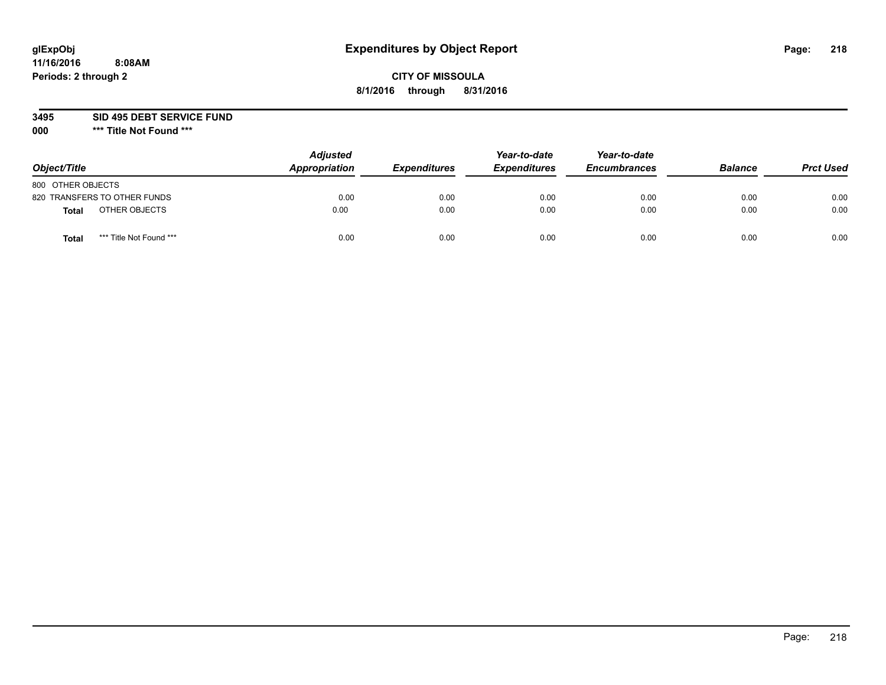## **CITY OF MISSOULA 8/1/2016 through 8/31/2016**

**3495 SID 495 DEBT SERVICE FUND**

| Object/Title      |                              | <b>Adjusted</b><br>Appropriation | <b>Expenditures</b> | Year-to-date<br><b>Expenditures</b> | Year-to-date<br><b>Encumbrances</b> | <b>Balance</b> | <b>Prct Used</b> |
|-------------------|------------------------------|----------------------------------|---------------------|-------------------------------------|-------------------------------------|----------------|------------------|
| 800 OTHER OBJECTS |                              |                                  |                     |                                     |                                     |                |                  |
|                   | 820 TRANSFERS TO OTHER FUNDS | 0.00                             | 0.00                | 0.00                                | 0.00                                | 0.00           | 0.00             |
| Total             | OTHER OBJECTS                | 0.00                             | 0.00                | 0.00                                | 0.00                                | 0.00           | 0.00             |
| Tota              | *** Title Not Found ***      | 0.00                             | 0.00                | 0.00                                | 0.00                                | 0.00           | 0.00             |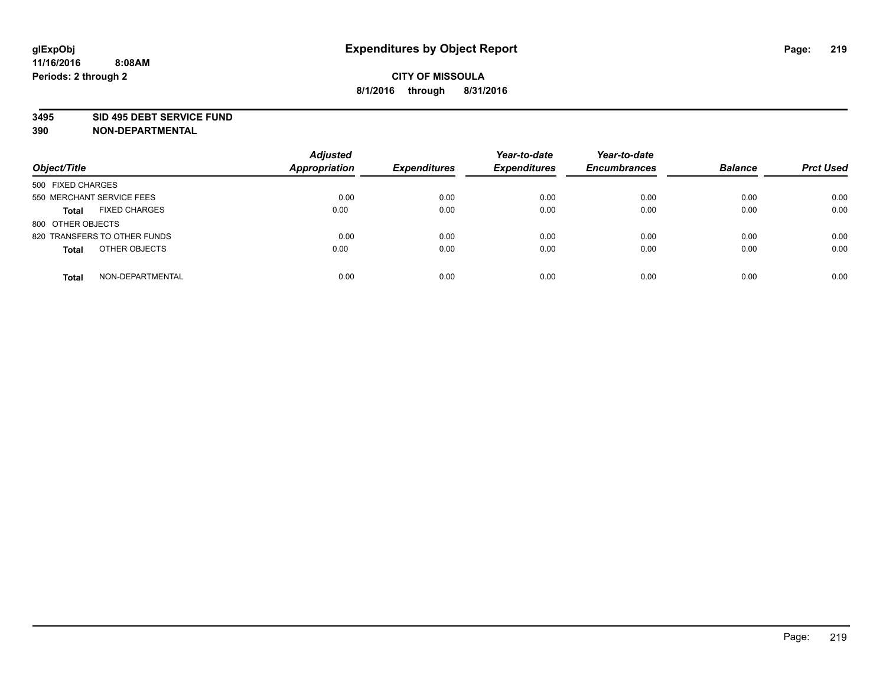#### **3495 SID 495 DEBT SERVICE FUND**

| Object/Title                         | <b>Adjusted</b><br><b>Appropriation</b> | <b>Expenditures</b> | Year-to-date<br><b>Expenditures</b> | Year-to-date<br><b>Encumbrances</b> | <b>Balance</b> | <b>Prct Used</b> |
|--------------------------------------|-----------------------------------------|---------------------|-------------------------------------|-------------------------------------|----------------|------------------|
| 500 FIXED CHARGES                    |                                         |                     |                                     |                                     |                |                  |
| 550 MERCHANT SERVICE FEES            | 0.00                                    | 0.00                | 0.00                                | 0.00                                | 0.00           | 0.00             |
| <b>FIXED CHARGES</b><br><b>Total</b> | 0.00                                    | 0.00                | 0.00                                | 0.00                                | 0.00           | 0.00             |
| 800 OTHER OBJECTS                    |                                         |                     |                                     |                                     |                |                  |
| 820 TRANSFERS TO OTHER FUNDS         | 0.00                                    | 0.00                | 0.00                                | 0.00                                | 0.00           | 0.00             |
| OTHER OBJECTS<br><b>Total</b>        | 0.00                                    | 0.00                | 0.00                                | 0.00                                | 0.00           | 0.00             |
| NON-DEPARTMENTAL<br><b>Total</b>     | 0.00                                    | 0.00                | 0.00                                | 0.00                                | 0.00           | 0.00             |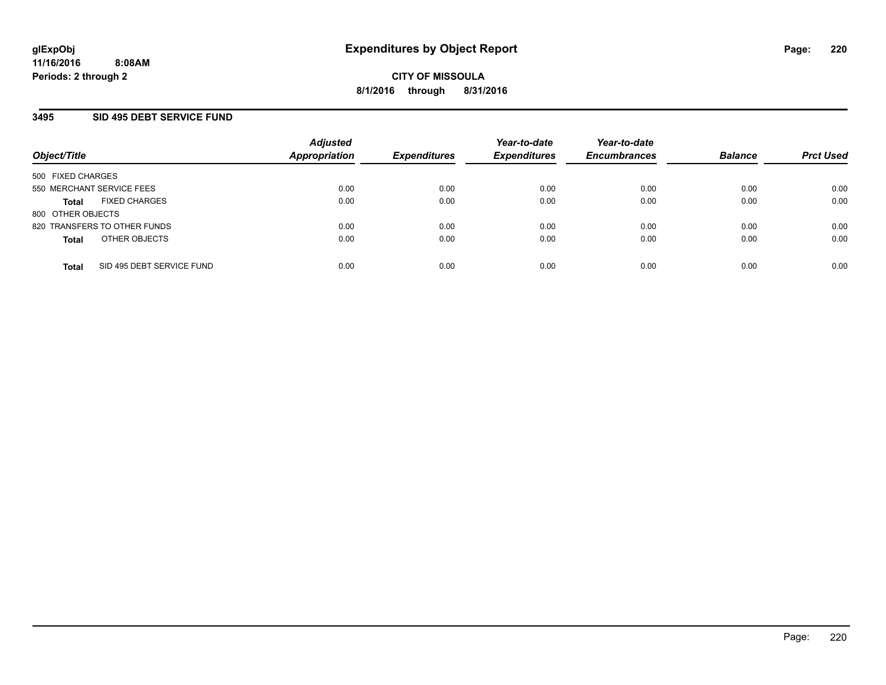### **3495 SID 495 DEBT SERVICE FUND**

| Object/Title              |                              | <b>Adjusted</b><br><b>Appropriation</b> | <b>Expenditures</b> | Year-to-date<br><b>Expenditures</b> | Year-to-date<br><b>Encumbrances</b> | <b>Balance</b> | <b>Prct Used</b> |
|---------------------------|------------------------------|-----------------------------------------|---------------------|-------------------------------------|-------------------------------------|----------------|------------------|
| 500 FIXED CHARGES         |                              |                                         |                     |                                     |                                     |                |                  |
| 550 MERCHANT SERVICE FEES |                              | 0.00                                    | 0.00                | 0.00                                | 0.00                                | 0.00           | 0.00             |
| <b>Total</b>              | <b>FIXED CHARGES</b>         | 0.00                                    | 0.00                | 0.00                                | 0.00                                | 0.00           | 0.00             |
| 800 OTHER OBJECTS         |                              |                                         |                     |                                     |                                     |                |                  |
|                           | 820 TRANSFERS TO OTHER FUNDS | 0.00                                    | 0.00                | 0.00                                | 0.00                                | 0.00           | 0.00             |
| <b>Total</b>              | OTHER OBJECTS                | 0.00                                    | 0.00                | 0.00                                | 0.00                                | 0.00           | 0.00             |
| <b>Total</b>              | SID 495 DEBT SERVICE FUND    | 0.00                                    | 0.00                | 0.00                                | 0.00                                | 0.00           | 0.00             |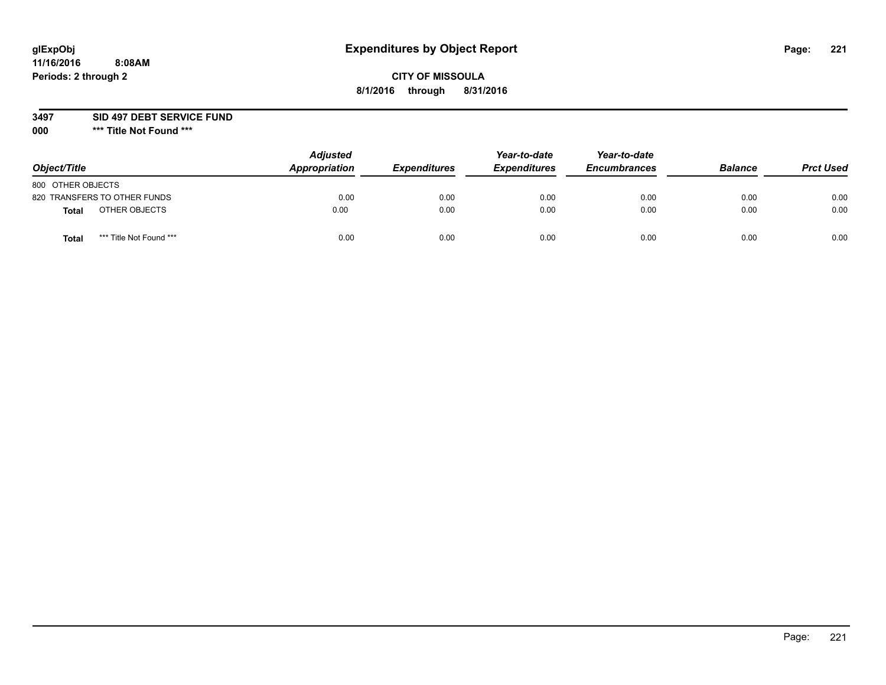## **CITY OF MISSOULA 8/1/2016 through 8/31/2016**

### **3497 SID 497 DEBT SERVICE FUND**

| Object/Title                            | <b>Adjusted</b><br>Appropriation | <b>Expenditures</b> | Year-to-date<br><b>Expenditures</b> | Year-to-date<br><b>Encumbrances</b> | <b>Balance</b> | <b>Prct Used</b> |
|-----------------------------------------|----------------------------------|---------------------|-------------------------------------|-------------------------------------|----------------|------------------|
| 800 OTHER OBJECTS                       |                                  |                     |                                     |                                     |                |                  |
| 820 TRANSFERS TO OTHER FUNDS            | 0.00                             | 0.00                | 0.00                                | 0.00                                | 0.00           | 0.00             |
| OTHER OBJECTS<br><b>Total</b>           | 0.00                             | 0.00                | 0.00                                | 0.00                                | 0.00           | 0.00             |
| *** Title Not Found ***<br><b>Total</b> | 0.00                             | 0.00                | 0.00                                | 0.00                                | 0.00           | 0.00             |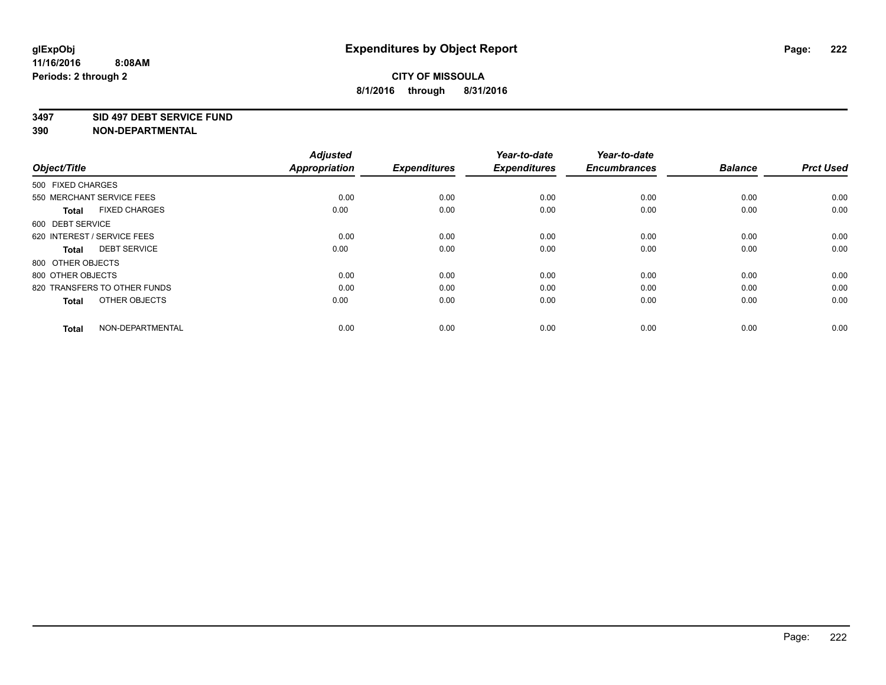#### **3497 SID 497 DEBT SERVICE FUND**

| Object/Title                         | <b>Adjusted</b><br><b>Appropriation</b> | <b>Expenditures</b> | Year-to-date<br><b>Expenditures</b> | Year-to-date<br><b>Encumbrances</b> | <b>Balance</b> | <b>Prct Used</b> |
|--------------------------------------|-----------------------------------------|---------------------|-------------------------------------|-------------------------------------|----------------|------------------|
| 500 FIXED CHARGES                    |                                         |                     |                                     |                                     |                |                  |
| 550 MERCHANT SERVICE FEES            | 0.00                                    | 0.00                | 0.00                                | 0.00                                | 0.00           | 0.00             |
| <b>FIXED CHARGES</b><br><b>Total</b> | 0.00                                    | 0.00                | 0.00                                | 0.00                                | 0.00           | 0.00             |
| 600 DEBT SERVICE                     |                                         |                     |                                     |                                     |                |                  |
| 620 INTEREST / SERVICE FEES          | 0.00                                    | 0.00                | 0.00                                | 0.00                                | 0.00           | 0.00             |
| <b>DEBT SERVICE</b><br><b>Total</b>  | 0.00                                    | 0.00                | 0.00                                | 0.00                                | 0.00           | 0.00             |
| 800 OTHER OBJECTS                    |                                         |                     |                                     |                                     |                |                  |
| 800 OTHER OBJECTS                    | 0.00                                    | 0.00                | 0.00                                | 0.00                                | 0.00           | 0.00             |
| 820 TRANSFERS TO OTHER FUNDS         | 0.00                                    | 0.00                | 0.00                                | 0.00                                | 0.00           | 0.00             |
| OTHER OBJECTS<br><b>Total</b>        | 0.00                                    | 0.00                | 0.00                                | 0.00                                | 0.00           | 0.00             |
|                                      |                                         |                     |                                     |                                     |                |                  |
| NON-DEPARTMENTAL<br><b>Total</b>     | 0.00                                    | 0.00                | 0.00                                | 0.00                                | 0.00           | 0.00             |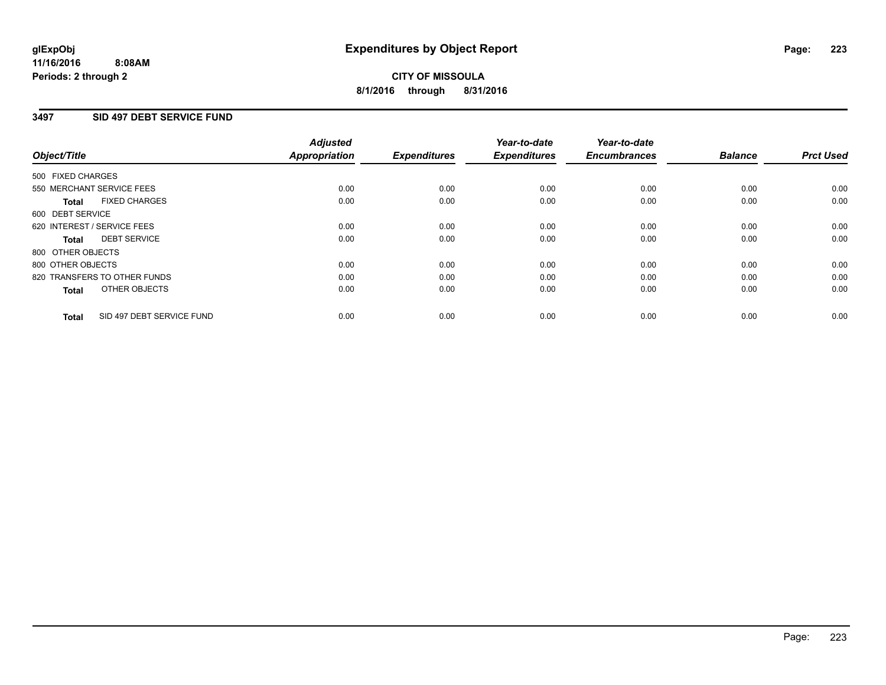### **3497 SID 497 DEBT SERVICE FUND**

| Object/Title      |                              | <b>Adjusted</b><br>Appropriation | <b>Expenditures</b> | Year-to-date<br><b>Expenditures</b> | Year-to-date<br><b>Encumbrances</b> | <b>Balance</b> | <b>Prct Used</b> |
|-------------------|------------------------------|----------------------------------|---------------------|-------------------------------------|-------------------------------------|----------------|------------------|
| 500 FIXED CHARGES |                              |                                  |                     |                                     |                                     |                |                  |
|                   | 550 MERCHANT SERVICE FEES    | 0.00                             | 0.00                | 0.00                                | 0.00                                | 0.00           | 0.00             |
| <b>Total</b>      | <b>FIXED CHARGES</b>         | 0.00                             | 0.00                | 0.00                                | 0.00                                | 0.00           | 0.00             |
| 600 DEBT SERVICE  |                              |                                  |                     |                                     |                                     |                |                  |
|                   | 620 INTEREST / SERVICE FEES  | 0.00                             | 0.00                | 0.00                                | 0.00                                | 0.00           | 0.00             |
| Total             | <b>DEBT SERVICE</b>          | 0.00                             | 0.00                | 0.00                                | 0.00                                | 0.00           | 0.00             |
| 800 OTHER OBJECTS |                              |                                  |                     |                                     |                                     |                |                  |
| 800 OTHER OBJECTS |                              | 0.00                             | 0.00                | 0.00                                | 0.00                                | 0.00           | 0.00             |
|                   | 820 TRANSFERS TO OTHER FUNDS | 0.00                             | 0.00                | 0.00                                | 0.00                                | 0.00           | 0.00             |
| <b>Total</b>      | OTHER OBJECTS                | 0.00                             | 0.00                | 0.00                                | 0.00                                | 0.00           | 0.00             |
| <b>Total</b>      | SID 497 DEBT SERVICE FUND    | 0.00                             | 0.00                | 0.00                                | 0.00                                | 0.00           | 0.00             |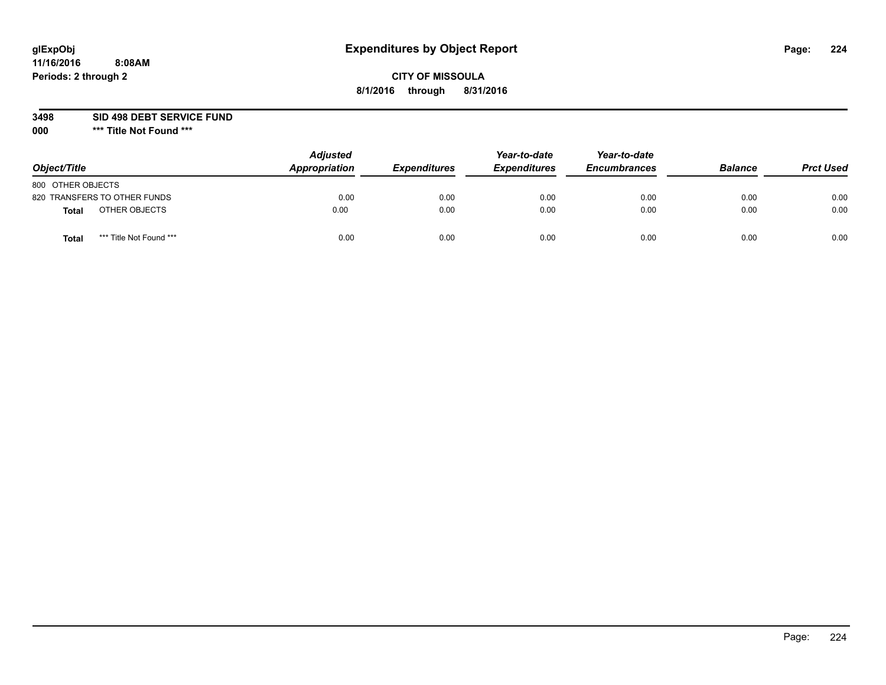## **CITY OF MISSOULA 8/1/2016 through 8/31/2016**

**3498 SID 498 DEBT SERVICE FUND**

| Object/Title                            | <b>Adjusted</b><br>Appropriation | <b>Expenditures</b> | Year-to-date<br><b>Expenditures</b> | Year-to-date<br><b>Encumbrances</b> | <b>Balance</b> | <b>Prct Used</b> |
|-----------------------------------------|----------------------------------|---------------------|-------------------------------------|-------------------------------------|----------------|------------------|
| 800 OTHER OBJECTS                       |                                  |                     |                                     |                                     |                |                  |
| 820 TRANSFERS TO OTHER FUNDS            | 0.00                             | 0.00                | 0.00                                | 0.00                                | 0.00           | 0.00             |
| OTHER OBJECTS<br><b>Total</b>           | 0.00                             | 0.00                | 0.00                                | 0.00                                | 0.00           | 0.00             |
| *** Title Not Found ***<br><b>Total</b> | 0.00                             | 0.00                | 0.00                                | 0.00                                | 0.00           | 0.00             |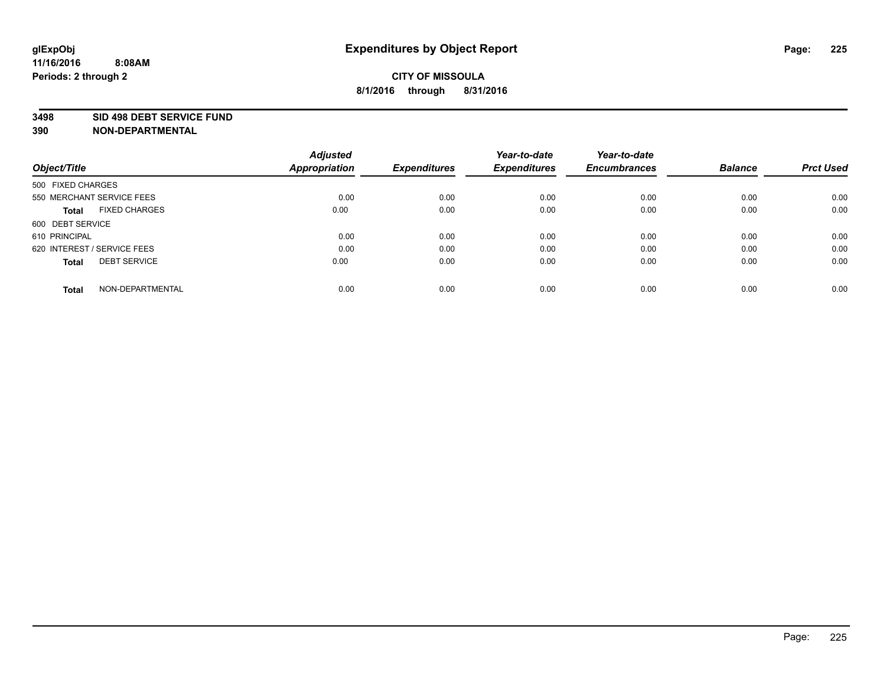#### **3498 SID 498 DEBT SERVICE FUND**

| Object/Title                         | <b>Adjusted</b><br><b>Appropriation</b> | <b>Expenditures</b> | Year-to-date<br><b>Expenditures</b> | Year-to-date<br><b>Encumbrances</b> | <b>Balance</b> | <b>Prct Used</b> |
|--------------------------------------|-----------------------------------------|---------------------|-------------------------------------|-------------------------------------|----------------|------------------|
|                                      |                                         |                     |                                     |                                     |                |                  |
| 500 FIXED CHARGES                    |                                         |                     |                                     |                                     |                |                  |
| 550 MERCHANT SERVICE FEES            | 0.00                                    | 0.00                | 0.00                                | 0.00                                | 0.00           | 0.00             |
| <b>FIXED CHARGES</b><br><b>Total</b> | 0.00                                    | 0.00                | 0.00                                | 0.00                                | 0.00           | 0.00             |
| 600 DEBT SERVICE                     |                                         |                     |                                     |                                     |                |                  |
| 610 PRINCIPAL                        | 0.00                                    | 0.00                | 0.00                                | 0.00                                | 0.00           | 0.00             |
| 620 INTEREST / SERVICE FEES          | 0.00                                    | 0.00                | 0.00                                | 0.00                                | 0.00           | 0.00             |
| <b>DEBT SERVICE</b><br><b>Total</b>  | 0.00                                    | 0.00                | 0.00                                | 0.00                                | 0.00           | 0.00             |
|                                      |                                         |                     |                                     |                                     |                |                  |
| NON-DEPARTMENTAL<br><b>Total</b>     | 0.00                                    | 0.00                | 0.00                                | 0.00                                | 0.00           | 0.00             |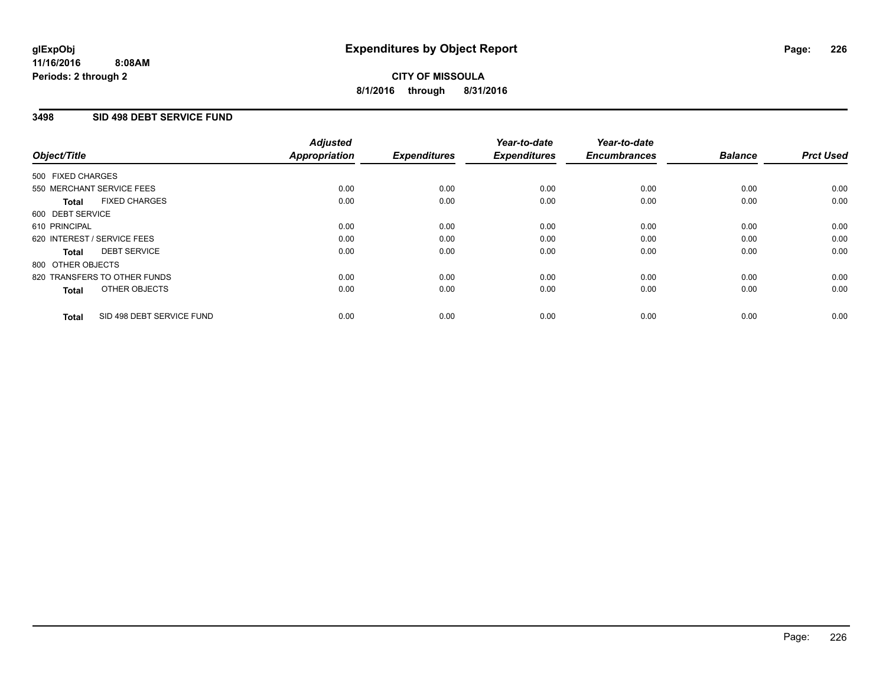### **3498 SID 498 DEBT SERVICE FUND**

| Object/Title      |                              | <b>Adjusted</b><br>Appropriation | <b>Expenditures</b> | Year-to-date<br><b>Expenditures</b> | Year-to-date<br><b>Encumbrances</b> | <b>Balance</b> | <b>Prct Used</b> |
|-------------------|------------------------------|----------------------------------|---------------------|-------------------------------------|-------------------------------------|----------------|------------------|
| 500 FIXED CHARGES |                              |                                  |                     |                                     |                                     |                |                  |
|                   | 550 MERCHANT SERVICE FEES    | 0.00                             | 0.00                | 0.00                                | 0.00                                | 0.00           | 0.00             |
| <b>Total</b>      | <b>FIXED CHARGES</b>         | 0.00                             | 0.00                | 0.00                                | 0.00                                | 0.00           | 0.00             |
| 600 DEBT SERVICE  |                              |                                  |                     |                                     |                                     |                |                  |
| 610 PRINCIPAL     |                              | 0.00                             | 0.00                | 0.00                                | 0.00                                | 0.00           | 0.00             |
|                   | 620 INTEREST / SERVICE FEES  | 0.00                             | 0.00                | 0.00                                | 0.00                                | 0.00           | 0.00             |
| Total             | <b>DEBT SERVICE</b>          | 0.00                             | 0.00                | 0.00                                | 0.00                                | 0.00           | 0.00             |
| 800 OTHER OBJECTS |                              |                                  |                     |                                     |                                     |                |                  |
|                   | 820 TRANSFERS TO OTHER FUNDS | 0.00                             | 0.00                | 0.00                                | 0.00                                | 0.00           | 0.00             |
| <b>Total</b>      | OTHER OBJECTS                | 0.00                             | 0.00                | 0.00                                | 0.00                                | 0.00           | 0.00             |
| <b>Total</b>      | SID 498 DEBT SERVICE FUND    | 0.00                             | 0.00                | 0.00                                | 0.00                                | 0.00           | 0.00             |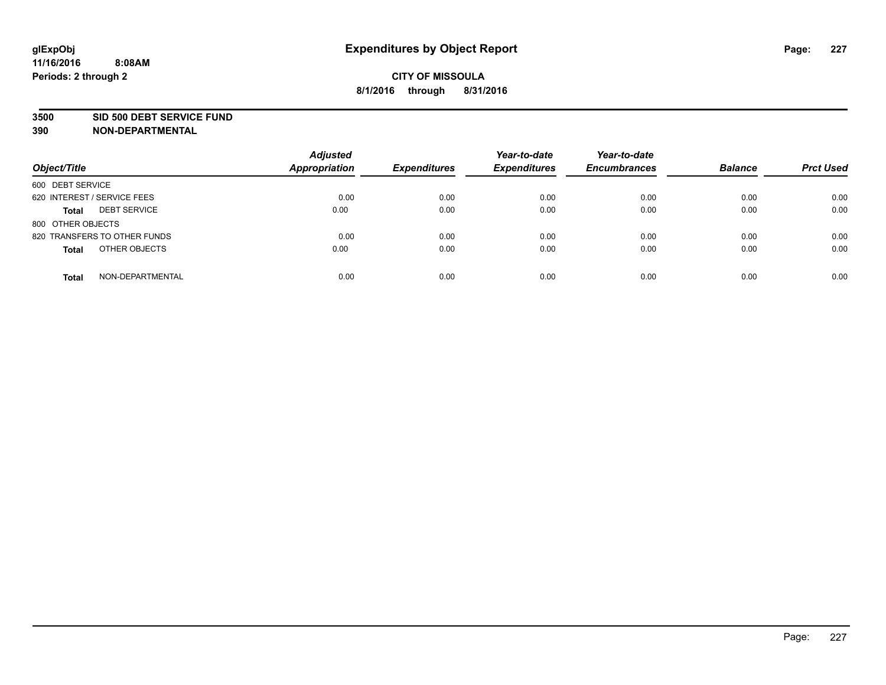#### **3500 SID 500 DEBT SERVICE FUND**

| Object/Title                        | <b>Adjusted</b><br><b>Appropriation</b> | <b>Expenditures</b> | Year-to-date<br><b>Expenditures</b> | Year-to-date<br><b>Encumbrances</b> | <b>Balance</b> | <b>Prct Used</b> |
|-------------------------------------|-----------------------------------------|---------------------|-------------------------------------|-------------------------------------|----------------|------------------|
| 600 DEBT SERVICE                    |                                         |                     |                                     |                                     |                |                  |
| 620 INTEREST / SERVICE FEES         | 0.00                                    | 0.00                | 0.00                                | 0.00                                | 0.00           | 0.00             |
| <b>DEBT SERVICE</b><br><b>Total</b> | 0.00                                    | 0.00                | 0.00                                | 0.00                                | 0.00           | 0.00             |
| 800 OTHER OBJECTS                   |                                         |                     |                                     |                                     |                |                  |
| 820 TRANSFERS TO OTHER FUNDS        | 0.00                                    | 0.00                | 0.00                                | 0.00                                | 0.00           | 0.00             |
| OTHER OBJECTS<br><b>Total</b>       | 0.00                                    | 0.00                | 0.00                                | 0.00                                | 0.00           | 0.00             |
| NON-DEPARTMENTAL<br><b>Total</b>    | 0.00                                    | 0.00                | 0.00                                | 0.00                                | 0.00           | 0.00             |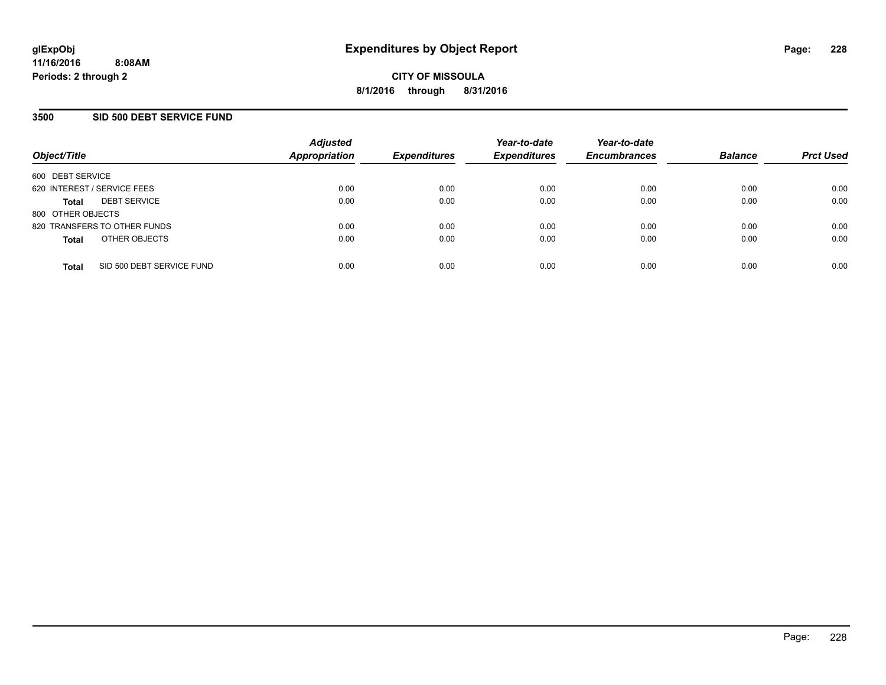### **3500 SID 500 DEBT SERVICE FUND**

| Object/Title                |                              | <b>Adjusted</b><br><b>Appropriation</b> | <b>Expenditures</b> | Year-to-date<br><b>Expenditures</b> | Year-to-date<br><b>Encumbrances</b> | <b>Balance</b> | <b>Prct Used</b> |
|-----------------------------|------------------------------|-----------------------------------------|---------------------|-------------------------------------|-------------------------------------|----------------|------------------|
| 600 DEBT SERVICE            |                              |                                         |                     |                                     |                                     |                |                  |
| 620 INTEREST / SERVICE FEES |                              | 0.00                                    | 0.00                | 0.00                                | 0.00                                | 0.00           | 0.00             |
| <b>Total</b>                | <b>DEBT SERVICE</b>          | 0.00                                    | 0.00                | 0.00                                | 0.00                                | 0.00           | 0.00             |
| 800 OTHER OBJECTS           |                              |                                         |                     |                                     |                                     |                |                  |
|                             | 820 TRANSFERS TO OTHER FUNDS | 0.00                                    | 0.00                | 0.00                                | 0.00                                | 0.00           | 0.00             |
| <b>Total</b>                | OTHER OBJECTS                | 0.00                                    | 0.00                | 0.00                                | 0.00                                | 0.00           | 0.00             |
| <b>Total</b>                | SID 500 DEBT SERVICE FUND    | 0.00                                    | 0.00                | 0.00                                | 0.00                                | 0.00           | 0.00             |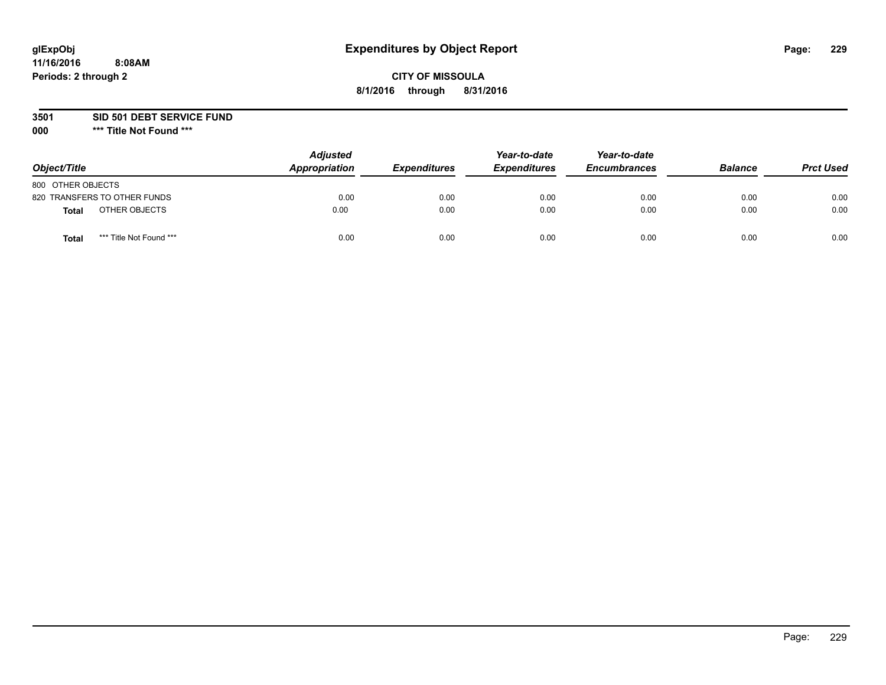## **CITY OF MISSOULA 8/1/2016 through 8/31/2016**

**3501 SID 501 DEBT SERVICE FUND**

| Object/Title      |                              | <b>Adjusted</b><br>Appropriation | <b>Expenditures</b> | Year-to-date<br><b>Expenditures</b> | Year-to-date<br><b>Encumbrances</b> | <b>Balance</b> | <b>Prct Used</b> |
|-------------------|------------------------------|----------------------------------|---------------------|-------------------------------------|-------------------------------------|----------------|------------------|
| 800 OTHER OBJECTS |                              |                                  |                     |                                     |                                     |                |                  |
|                   | 820 TRANSFERS TO OTHER FUNDS | 0.00                             | 0.00                | 0.00                                | 0.00                                | 0.00           | 0.00             |
| Total             | OTHER OBJECTS                | 0.00                             | 0.00                | 0.00                                | 0.00                                | 0.00           | 0.00             |
| Tota              | *** Title Not Found ***      | 0.00                             | 0.00                | 0.00                                | 0.00                                | 0.00           | 0.00             |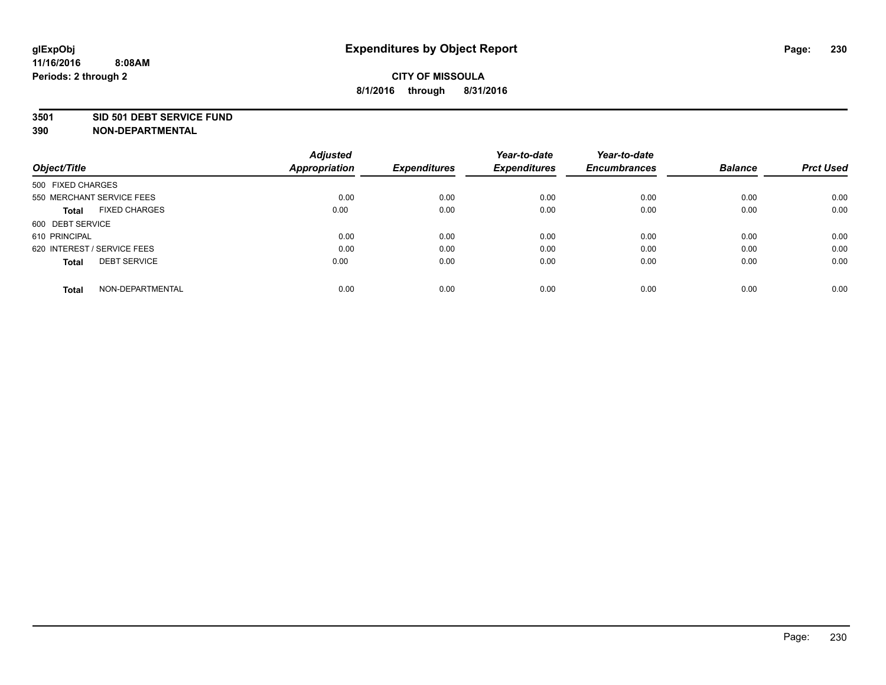#### **3501 SID 501 DEBT SERVICE FUND**

| Object/Title                         | <b>Adjusted</b><br><b>Appropriation</b> | <b>Expenditures</b> | Year-to-date<br><b>Expenditures</b> | Year-to-date<br><b>Encumbrances</b> | <b>Balance</b> | <b>Prct Used</b> |
|--------------------------------------|-----------------------------------------|---------------------|-------------------------------------|-------------------------------------|----------------|------------------|
| 500 FIXED CHARGES                    |                                         |                     |                                     |                                     |                |                  |
| 550 MERCHANT SERVICE FEES            | 0.00                                    | 0.00                | 0.00                                | 0.00                                | 0.00           | 0.00             |
| <b>FIXED CHARGES</b><br><b>Total</b> | 0.00                                    | 0.00                | 0.00                                | 0.00                                | 0.00           | 0.00             |
| 600 DEBT SERVICE                     |                                         |                     |                                     |                                     |                |                  |
| 610 PRINCIPAL                        | 0.00                                    | 0.00                | 0.00                                | 0.00                                | 0.00           | 0.00             |
| 620 INTEREST / SERVICE FEES          | 0.00                                    | 0.00                | 0.00                                | 0.00                                | 0.00           | 0.00             |
| <b>DEBT SERVICE</b><br><b>Total</b>  | 0.00                                    | 0.00                | 0.00                                | 0.00                                | 0.00           | 0.00             |
| NON-DEPARTMENTAL<br><b>Total</b>     | 0.00                                    | 0.00                | 0.00                                | 0.00                                | 0.00           | 0.00             |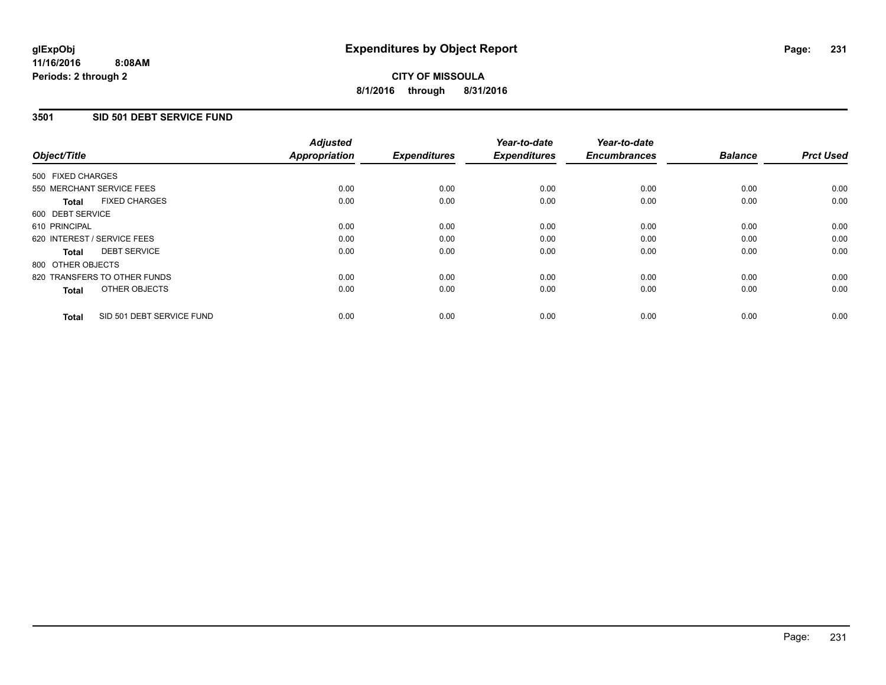### **3501 SID 501 DEBT SERVICE FUND**

| Object/Title                              | <b>Adjusted</b><br><b>Appropriation</b> | <b>Expenditures</b> | Year-to-date<br><b>Expenditures</b> | Year-to-date<br><b>Encumbrances</b> | <b>Balance</b> | <b>Prct Used</b> |
|-------------------------------------------|-----------------------------------------|---------------------|-------------------------------------|-------------------------------------|----------------|------------------|
| 500 FIXED CHARGES                         |                                         |                     |                                     |                                     |                |                  |
| 550 MERCHANT SERVICE FEES                 | 0.00                                    | 0.00                | 0.00                                | 0.00                                | 0.00           | 0.00             |
| <b>FIXED CHARGES</b><br><b>Total</b>      | 0.00                                    | 0.00                | 0.00                                | 0.00                                | 0.00           | 0.00             |
| 600 DEBT SERVICE                          |                                         |                     |                                     |                                     |                |                  |
| 610 PRINCIPAL                             | 0.00                                    | 0.00                | 0.00                                | 0.00                                | 0.00           | 0.00             |
| 620 INTEREST / SERVICE FEES               | 0.00                                    | 0.00                | 0.00                                | 0.00                                | 0.00           | 0.00             |
| <b>DEBT SERVICE</b><br><b>Total</b>       | 0.00                                    | 0.00                | 0.00                                | 0.00                                | 0.00           | 0.00             |
| 800 OTHER OBJECTS                         |                                         |                     |                                     |                                     |                |                  |
| 820 TRANSFERS TO OTHER FUNDS              | 0.00                                    | 0.00                | 0.00                                | 0.00                                | 0.00           | 0.00             |
| OTHER OBJECTS<br><b>Total</b>             | 0.00                                    | 0.00                | 0.00                                | 0.00                                | 0.00           | 0.00             |
| SID 501 DEBT SERVICE FUND<br><b>Total</b> | 0.00                                    | 0.00                | 0.00                                | 0.00                                | 0.00           | 0.00             |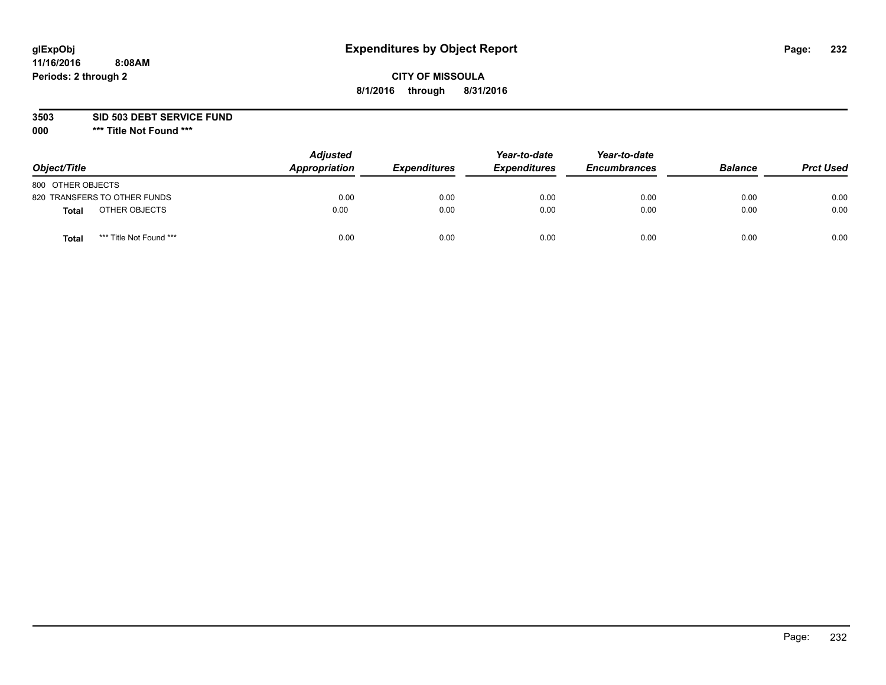## **CITY OF MISSOULA 8/1/2016 through 8/31/2016**

**3503 SID 503 DEBT SERVICE FUND**

| Object/Title                            | <b>Adjusted</b><br>Appropriation | <b>Expenditures</b> | Year-to-date<br><b>Expenditures</b> | Year-to-date<br><b>Encumbrances</b> | <b>Balance</b> | <b>Prct Used</b> |
|-----------------------------------------|----------------------------------|---------------------|-------------------------------------|-------------------------------------|----------------|------------------|
| 800 OTHER OBJECTS                       |                                  |                     |                                     |                                     |                |                  |
| 820 TRANSFERS TO OTHER FUNDS            | 0.00                             | 0.00                | 0.00                                | 0.00                                | 0.00           | 0.00             |
| OTHER OBJECTS<br><b>Total</b>           | 0.00                             | 0.00                | 0.00                                | 0.00                                | 0.00           | 0.00             |
| *** Title Not Found ***<br><b>Total</b> | 0.00                             | 0.00                | 0.00                                | 0.00                                | 0.00           | 0.00             |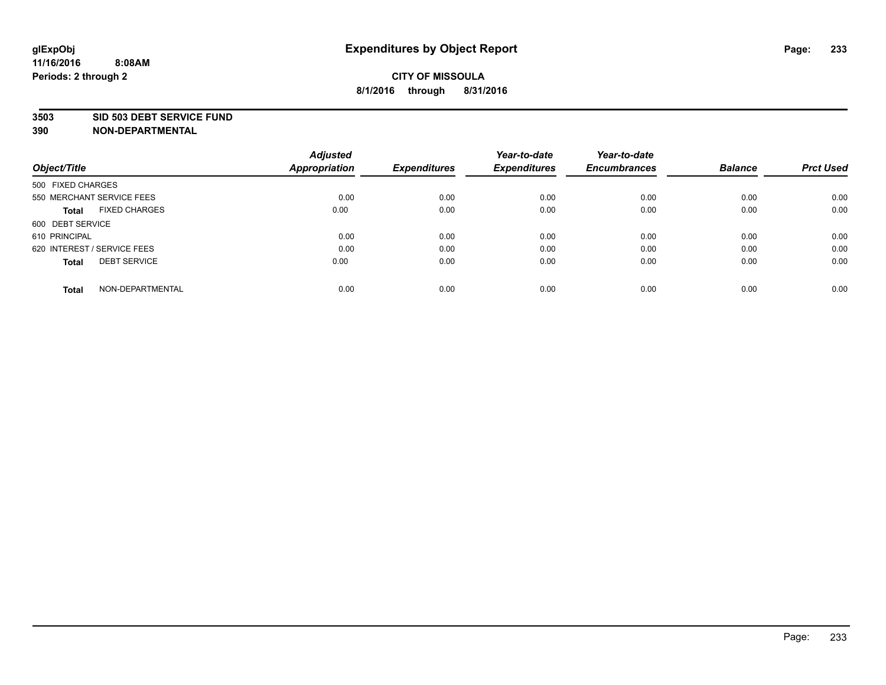#### **3503 SID 503 DEBT SERVICE FUND**

| Object/Title                         | <b>Adjusted</b><br><b>Appropriation</b> | <b>Expenditures</b> | Year-to-date<br><b>Expenditures</b> | Year-to-date<br><b>Encumbrances</b> | <b>Balance</b> | <b>Prct Used</b> |
|--------------------------------------|-----------------------------------------|---------------------|-------------------------------------|-------------------------------------|----------------|------------------|
|                                      |                                         |                     |                                     |                                     |                |                  |
| 500 FIXED CHARGES                    |                                         |                     |                                     |                                     |                |                  |
| 550 MERCHANT SERVICE FEES            | 0.00                                    | 0.00                | 0.00                                | 0.00                                | 0.00           | 0.00             |
| <b>FIXED CHARGES</b><br><b>Total</b> | 0.00                                    | 0.00                | 0.00                                | 0.00                                | 0.00           | 0.00             |
| 600 DEBT SERVICE                     |                                         |                     |                                     |                                     |                |                  |
| 610 PRINCIPAL                        | 0.00                                    | 0.00                | 0.00                                | 0.00                                | 0.00           | 0.00             |
| 620 INTEREST / SERVICE FEES          | 0.00                                    | 0.00                | 0.00                                | 0.00                                | 0.00           | 0.00             |
| <b>DEBT SERVICE</b><br><b>Total</b>  | 0.00                                    | 0.00                | 0.00                                | 0.00                                | 0.00           | 0.00             |
|                                      |                                         |                     |                                     |                                     |                |                  |
| NON-DEPARTMENTAL<br><b>Total</b>     | 0.00                                    | 0.00                | 0.00                                | 0.00                                | 0.00           | 0.00             |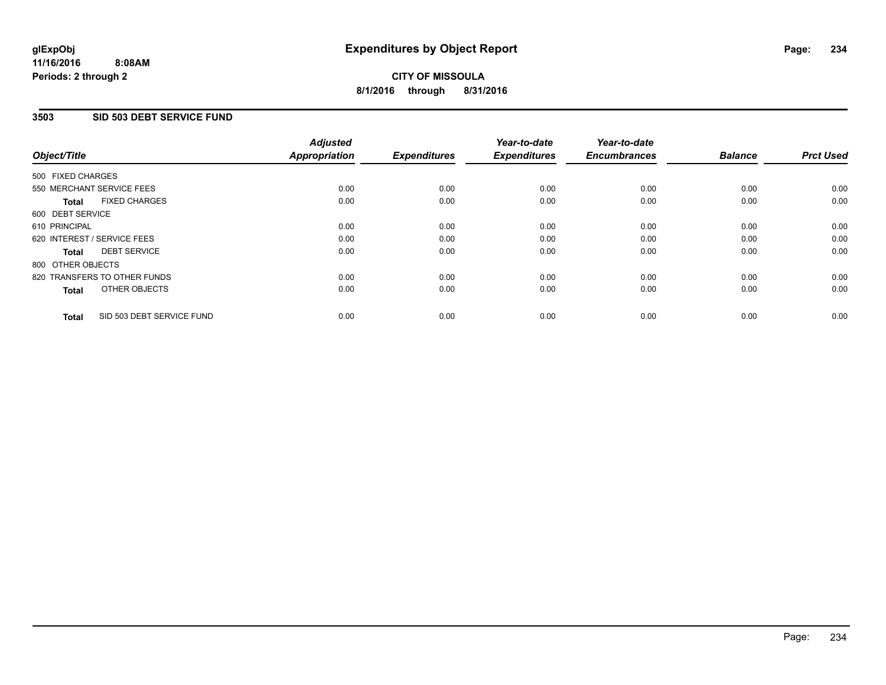### **3503 SID 503 DEBT SERVICE FUND**

| Object/Title      |                              | <b>Adjusted</b><br>Appropriation | <b>Expenditures</b> | Year-to-date<br><b>Expenditures</b> | Year-to-date<br><b>Encumbrances</b> | <b>Balance</b> | <b>Prct Used</b> |
|-------------------|------------------------------|----------------------------------|---------------------|-------------------------------------|-------------------------------------|----------------|------------------|
| 500 FIXED CHARGES |                              |                                  |                     |                                     |                                     |                |                  |
|                   | 550 MERCHANT SERVICE FEES    | 0.00                             | 0.00                | 0.00                                | 0.00                                | 0.00           | 0.00             |
| <b>Total</b>      | <b>FIXED CHARGES</b>         | 0.00                             | 0.00                | 0.00                                | 0.00                                | 0.00           | 0.00             |
| 600 DEBT SERVICE  |                              |                                  |                     |                                     |                                     |                |                  |
| 610 PRINCIPAL     |                              | 0.00                             | 0.00                | 0.00                                | 0.00                                | 0.00           | 0.00             |
|                   | 620 INTEREST / SERVICE FEES  | 0.00                             | 0.00                | 0.00                                | 0.00                                | 0.00           | 0.00             |
| Total             | <b>DEBT SERVICE</b>          | 0.00                             | 0.00                | 0.00                                | 0.00                                | 0.00           | 0.00             |
| 800 OTHER OBJECTS |                              |                                  |                     |                                     |                                     |                |                  |
|                   | 820 TRANSFERS TO OTHER FUNDS | 0.00                             | 0.00                | 0.00                                | 0.00                                | 0.00           | 0.00             |
| <b>Total</b>      | OTHER OBJECTS                | 0.00                             | 0.00                | 0.00                                | 0.00                                | 0.00           | 0.00             |
| <b>Total</b>      | SID 503 DEBT SERVICE FUND    | 0.00                             | 0.00                | 0.00                                | 0.00                                | 0.00           | 0.00             |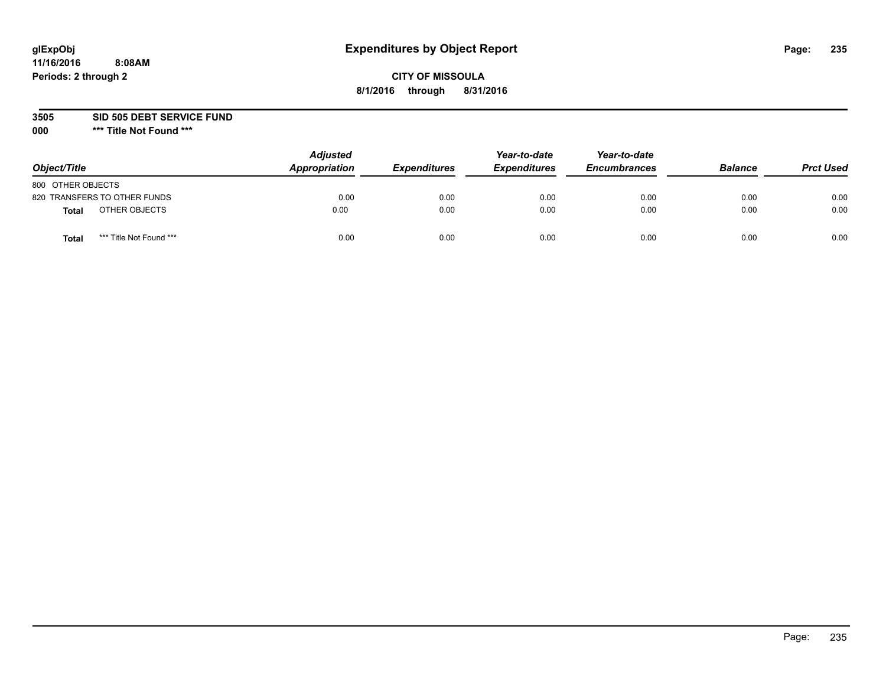## **CITY OF MISSOULA 8/1/2016 through 8/31/2016**

**3505 SID 505 DEBT SERVICE FUND**

| Object/Title                            | <b>Adjusted</b><br>Appropriation | <b>Expenditures</b> | Year-to-date<br><b>Expenditures</b> | Year-to-date<br><b>Encumbrances</b> | <b>Balance</b> | <b>Prct Used</b> |
|-----------------------------------------|----------------------------------|---------------------|-------------------------------------|-------------------------------------|----------------|------------------|
| 800 OTHER OBJECTS                       |                                  |                     |                                     |                                     |                |                  |
| 820 TRANSFERS TO OTHER FUNDS            | 0.00                             | 0.00                | 0.00                                | 0.00                                | 0.00           | 0.00             |
| OTHER OBJECTS<br><b>Total</b>           | 0.00                             | 0.00                | 0.00                                | 0.00                                | 0.00           | 0.00             |
| *** Title Not Found ***<br><b>Total</b> | 0.00                             | 0.00                | 0.00                                | 0.00                                | 0.00           | 0.00             |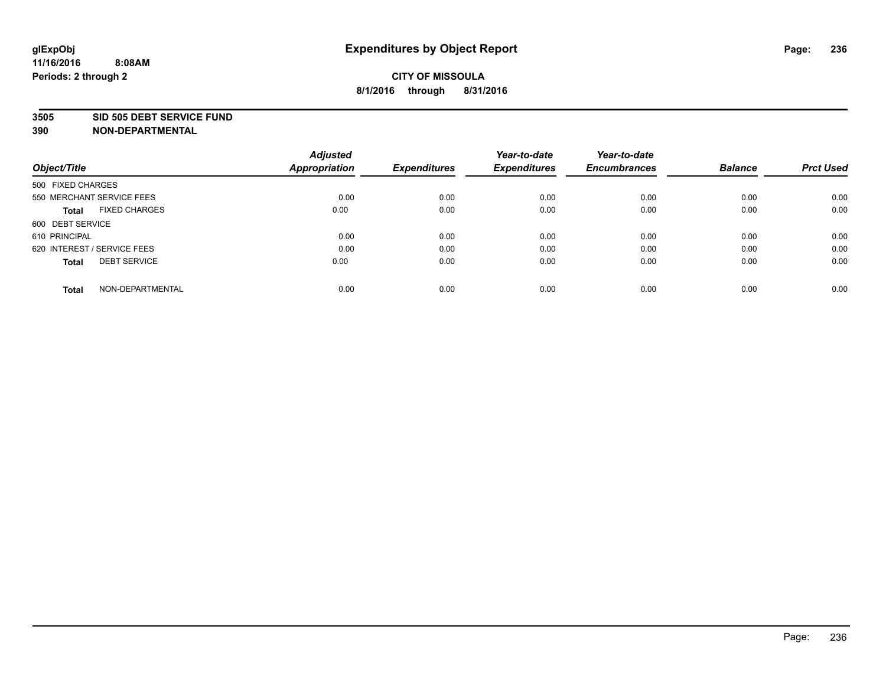#### **3505 SID 505 DEBT SERVICE FUND**

| Object/Title                         | <b>Adjusted</b><br><b>Appropriation</b> | <b>Expenditures</b> | Year-to-date<br><b>Expenditures</b> | Year-to-date<br><b>Encumbrances</b> | <b>Balance</b> | <b>Prct Used</b> |
|--------------------------------------|-----------------------------------------|---------------------|-------------------------------------|-------------------------------------|----------------|------------------|
|                                      |                                         |                     |                                     |                                     |                |                  |
| 500 FIXED CHARGES                    |                                         |                     |                                     |                                     |                |                  |
| 550 MERCHANT SERVICE FEES            | 0.00                                    | 0.00                | 0.00                                | 0.00                                | 0.00           | 0.00             |
| <b>FIXED CHARGES</b><br><b>Total</b> | 0.00                                    | 0.00                | 0.00                                | 0.00                                | 0.00           | 0.00             |
| 600 DEBT SERVICE                     |                                         |                     |                                     |                                     |                |                  |
| 610 PRINCIPAL                        | 0.00                                    | 0.00                | 0.00                                | 0.00                                | 0.00           | 0.00             |
| 620 INTEREST / SERVICE FEES          | 0.00                                    | 0.00                | 0.00                                | 0.00                                | 0.00           | 0.00             |
| <b>DEBT SERVICE</b><br><b>Total</b>  | 0.00                                    | 0.00                | 0.00                                | 0.00                                | 0.00           | 0.00             |
|                                      |                                         |                     |                                     |                                     |                |                  |
| NON-DEPARTMENTAL<br><b>Total</b>     | 0.00                                    | 0.00                | 0.00                                | 0.00                                | 0.00           | 0.00             |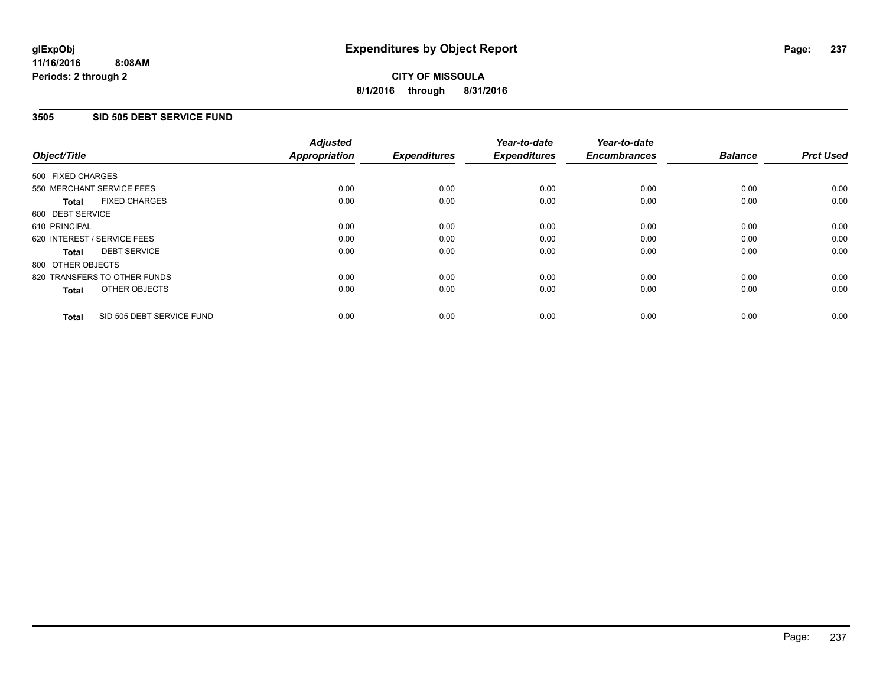### **3505 SID 505 DEBT SERVICE FUND**

| Object/Title                              | <b>Adjusted</b><br><b>Appropriation</b> | <b>Expenditures</b> | Year-to-date<br><b>Expenditures</b> | Year-to-date<br><b>Encumbrances</b> | <b>Balance</b> | <b>Prct Used</b> |
|-------------------------------------------|-----------------------------------------|---------------------|-------------------------------------|-------------------------------------|----------------|------------------|
|                                           |                                         |                     |                                     |                                     |                |                  |
| 500 FIXED CHARGES                         |                                         |                     |                                     |                                     |                |                  |
| 550 MERCHANT SERVICE FEES                 | 0.00                                    | 0.00                | 0.00                                | 0.00                                | 0.00           | 0.00             |
| <b>FIXED CHARGES</b><br><b>Total</b>      | 0.00                                    | 0.00                | 0.00                                | 0.00                                | 0.00           | 0.00             |
| 600 DEBT SERVICE                          |                                         |                     |                                     |                                     |                |                  |
| 610 PRINCIPAL                             | 0.00                                    | 0.00                | 0.00                                | 0.00                                | 0.00           | 0.00             |
| 620 INTEREST / SERVICE FEES               | 0.00                                    | 0.00                | 0.00                                | 0.00                                | 0.00           | 0.00             |
| <b>DEBT SERVICE</b><br><b>Total</b>       | 0.00                                    | 0.00                | 0.00                                | 0.00                                | 0.00           | 0.00             |
| 800 OTHER OBJECTS                         |                                         |                     |                                     |                                     |                |                  |
| 820 TRANSFERS TO OTHER FUNDS              | 0.00                                    | 0.00                | 0.00                                | 0.00                                | 0.00           | 0.00             |
| <b>OTHER OBJECTS</b><br><b>Total</b>      | 0.00                                    | 0.00                | 0.00                                | 0.00                                | 0.00           | 0.00             |
| SID 505 DEBT SERVICE FUND<br><b>Total</b> | 0.00                                    | 0.00                | 0.00                                | 0.00                                | 0.00           | 0.00             |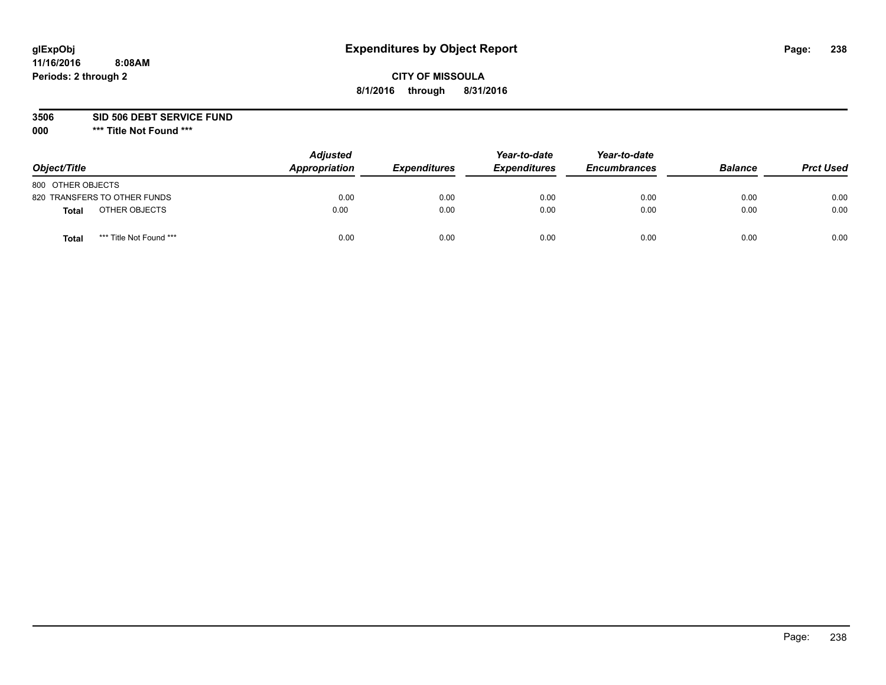## **CITY OF MISSOULA 8/1/2016 through 8/31/2016**

**3506 SID 506 DEBT SERVICE FUND**

| Object/Title                            | <b>Adjusted</b><br>Appropriation | <b>Expenditures</b> | Year-to-date<br><b>Expenditures</b> | Year-to-date<br><b>Encumbrances</b> | <b>Balance</b> | <b>Prct Used</b> |
|-----------------------------------------|----------------------------------|---------------------|-------------------------------------|-------------------------------------|----------------|------------------|
| 800 OTHER OBJECTS                       |                                  |                     |                                     |                                     |                |                  |
| 820 TRANSFERS TO OTHER FUNDS            | 0.00                             | 0.00                | 0.00                                | 0.00                                | 0.00           | 0.00             |
| OTHER OBJECTS<br><b>Total</b>           | 0.00                             | 0.00                | 0.00                                | 0.00                                | 0.00           | 0.00             |
| *** Title Not Found ***<br><b>Total</b> | 0.00                             | 0.00                | 0.00                                | 0.00                                | 0.00           | 0.00             |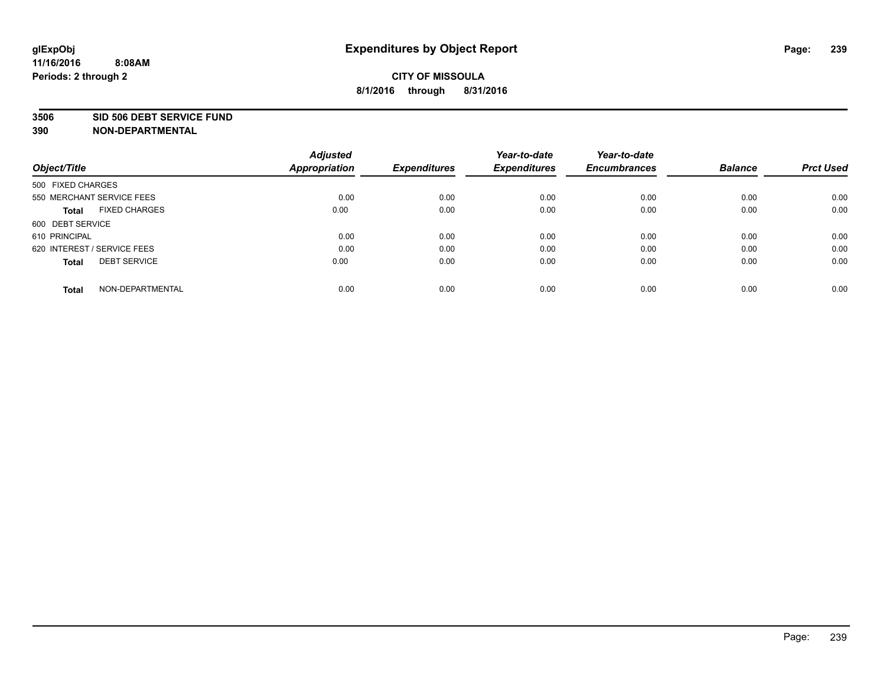#### **3506 SID 506 DEBT SERVICE FUND**

| Object/Title                         | <b>Adjusted</b><br><b>Appropriation</b> | <b>Expenditures</b> | Year-to-date<br><b>Expenditures</b> | Year-to-date<br><b>Encumbrances</b> | <b>Balance</b> | <b>Prct Used</b> |
|--------------------------------------|-----------------------------------------|---------------------|-------------------------------------|-------------------------------------|----------------|------------------|
|                                      |                                         |                     |                                     |                                     |                |                  |
| 500 FIXED CHARGES                    |                                         |                     |                                     |                                     |                |                  |
| 550 MERCHANT SERVICE FEES            | 0.00                                    | 0.00                | 0.00                                | 0.00                                | 0.00           | 0.00             |
| <b>FIXED CHARGES</b><br><b>Total</b> | 0.00                                    | 0.00                | 0.00                                | 0.00                                | 0.00           | 0.00             |
| 600 DEBT SERVICE                     |                                         |                     |                                     |                                     |                |                  |
| 610 PRINCIPAL                        | 0.00                                    | 0.00                | 0.00                                | 0.00                                | 0.00           | 0.00             |
| 620 INTEREST / SERVICE FEES          | 0.00                                    | 0.00                | 0.00                                | 0.00                                | 0.00           | 0.00             |
| <b>DEBT SERVICE</b><br><b>Total</b>  | 0.00                                    | 0.00                | 0.00                                | 0.00                                | 0.00           | 0.00             |
|                                      |                                         |                     |                                     |                                     |                |                  |
| NON-DEPARTMENTAL<br><b>Total</b>     | 0.00                                    | 0.00                | 0.00                                | 0.00                                | 0.00           | 0.00             |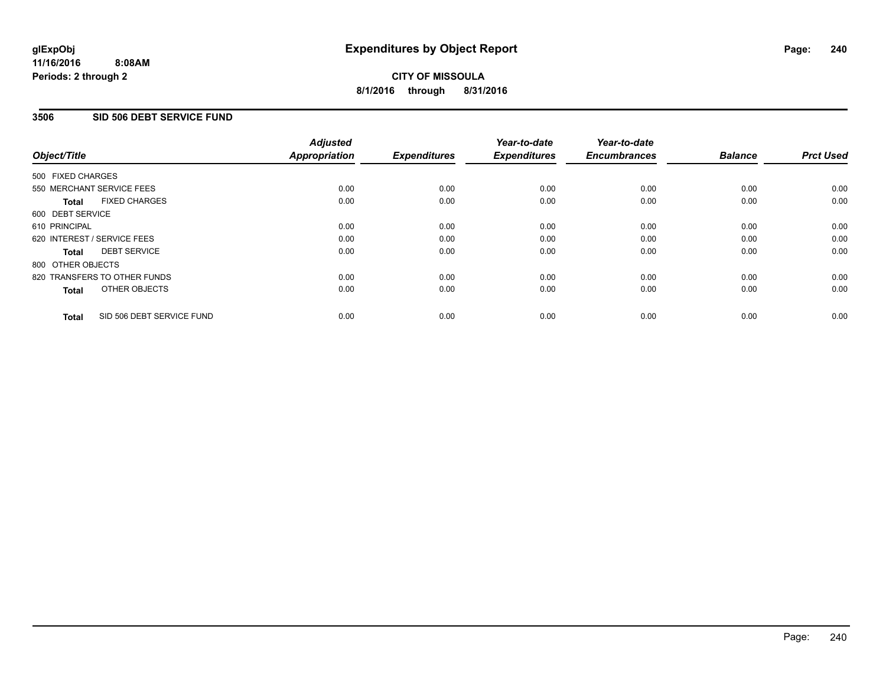### **3506 SID 506 DEBT SERVICE FUND**

| Object/Title                              | <b>Adjusted</b><br><b>Appropriation</b> | <b>Expenditures</b> | Year-to-date<br><b>Expenditures</b> | Year-to-date<br><b>Encumbrances</b> | <b>Balance</b> | <b>Prct Used</b> |
|-------------------------------------------|-----------------------------------------|---------------------|-------------------------------------|-------------------------------------|----------------|------------------|
|                                           |                                         |                     |                                     |                                     |                |                  |
| 500 FIXED CHARGES                         |                                         |                     |                                     |                                     |                |                  |
| 550 MERCHANT SERVICE FEES                 | 0.00                                    | 0.00                | 0.00                                | 0.00                                | 0.00           | 0.00             |
| <b>FIXED CHARGES</b><br>Total             | 0.00                                    | 0.00                | 0.00                                | 0.00                                | 0.00           | 0.00             |
| 600 DEBT SERVICE                          |                                         |                     |                                     |                                     |                |                  |
| 610 PRINCIPAL                             | 0.00                                    | 0.00                | 0.00                                | 0.00                                | 0.00           | 0.00             |
| 620 INTEREST / SERVICE FEES               | 0.00                                    | 0.00                | 0.00                                | 0.00                                | 0.00           | 0.00             |
| <b>DEBT SERVICE</b><br><b>Total</b>       | 0.00                                    | 0.00                | 0.00                                | 0.00                                | 0.00           | 0.00             |
| 800 OTHER OBJECTS                         |                                         |                     |                                     |                                     |                |                  |
| 820 TRANSFERS TO OTHER FUNDS              | 0.00                                    | 0.00                | 0.00                                | 0.00                                | 0.00           | 0.00             |
| OTHER OBJECTS<br><b>Total</b>             | 0.00                                    | 0.00                | 0.00                                | 0.00                                | 0.00           | 0.00             |
|                                           |                                         |                     |                                     |                                     |                |                  |
| SID 506 DEBT SERVICE FUND<br><b>Total</b> | 0.00                                    | 0.00                | 0.00                                | 0.00                                | 0.00           | 0.00             |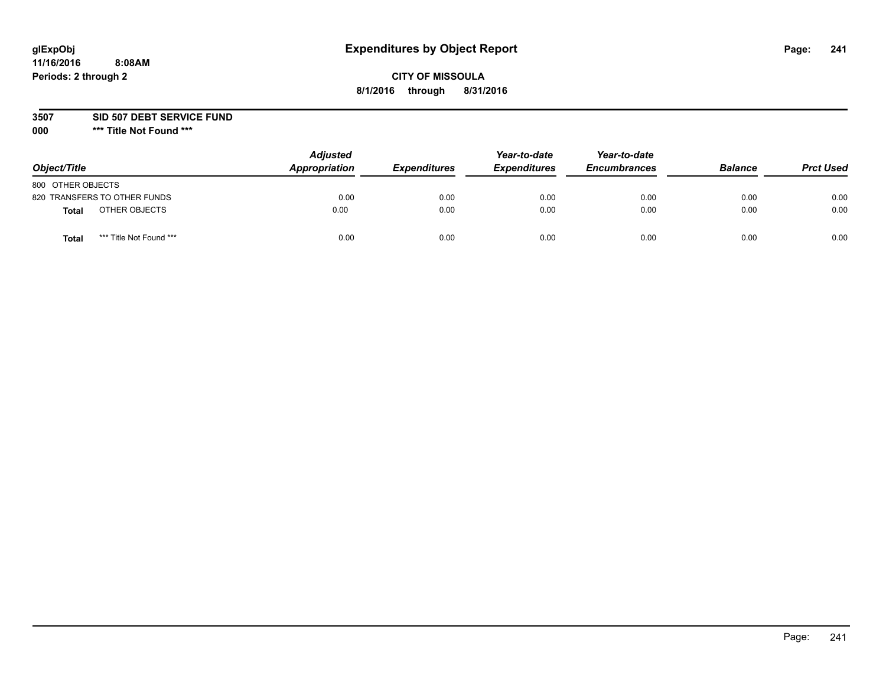## **CITY OF MISSOULA 8/1/2016 through 8/31/2016**

**3507 SID 507 DEBT SERVICE FUND**

| Object/Title                            | <b>Adjusted</b><br>Appropriation | <b>Expenditures</b> | Year-to-date<br><b>Expenditures</b> | Year-to-date<br><b>Encumbrances</b> | <b>Balance</b> | <b>Prct Used</b> |
|-----------------------------------------|----------------------------------|---------------------|-------------------------------------|-------------------------------------|----------------|------------------|
| 800 OTHER OBJECTS                       |                                  |                     |                                     |                                     |                |                  |
| 820 TRANSFERS TO OTHER FUNDS            | 0.00                             | 0.00                | 0.00                                | 0.00                                | 0.00           | 0.00             |
| OTHER OBJECTS<br>Total                  | 0.00                             | 0.00                | 0.00                                | 0.00                                | 0.00           | 0.00             |
| *** Title Not Found ***<br><b>Total</b> | 0.00                             | 0.00                | 0.00                                | 0.00                                | 0.00           | 0.00             |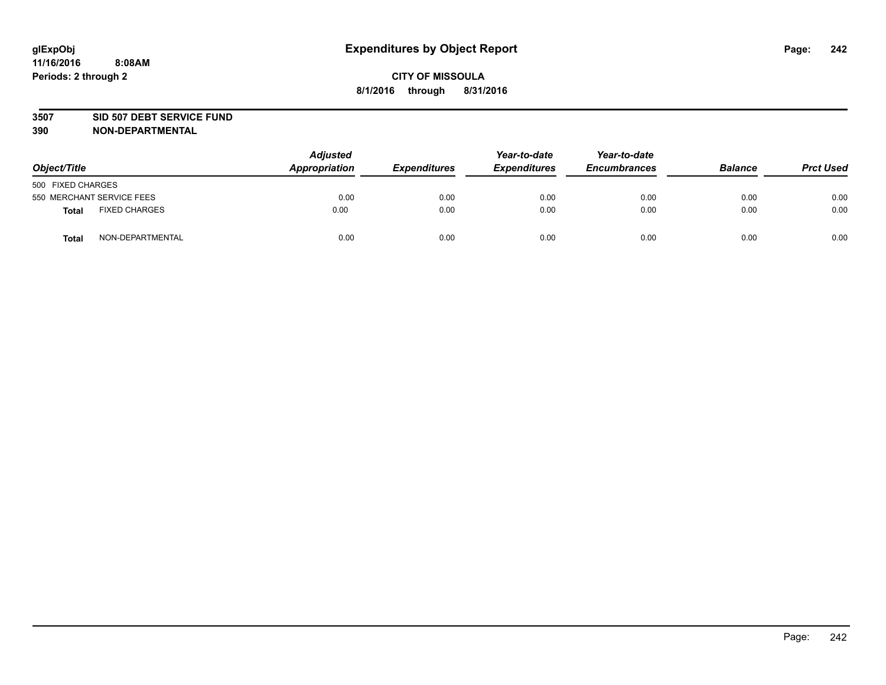#### **3507 SID 507 DEBT SERVICE FUND**

| Object/Title      |                           | <b>Adjusted</b><br>Appropriation | <b>Expenditures</b> | Year-to-date<br><b>Expenditures</b> | Year-to-date<br><b>Encumbrances</b> | <b>Balance</b> | <b>Prct Used</b> |
|-------------------|---------------------------|----------------------------------|---------------------|-------------------------------------|-------------------------------------|----------------|------------------|
| 500 FIXED CHARGES |                           |                                  |                     |                                     |                                     |                |                  |
|                   | 550 MERCHANT SERVICE FEES | 0.00                             | 0.00                | 0.00                                | 0.00                                | 0.00           | 0.00             |
| <b>Total</b>      | <b>FIXED CHARGES</b>      | 0.00                             | 0.00                | 0.00                                | 0.00                                | 0.00           | 0.00             |
| <b>Total</b>      | NON-DEPARTMENTAL          | 0.00                             | 0.00                | 0.00                                | 0.00                                | 0.00           | 0.00             |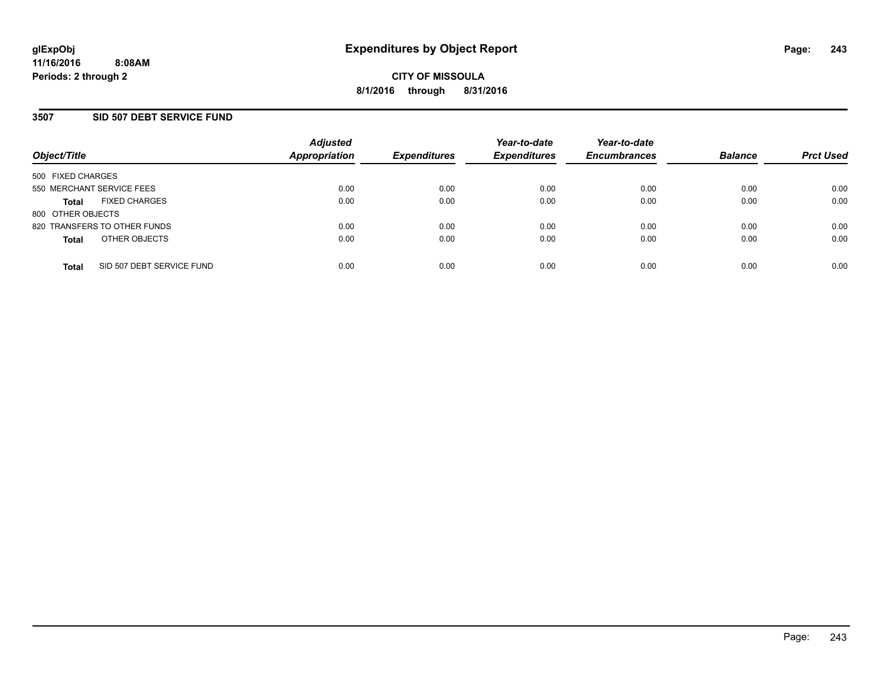### **3507 SID 507 DEBT SERVICE FUND**

| Object/Title              |                              | <b>Adjusted</b><br><b>Appropriation</b> | <b>Expenditures</b> | Year-to-date<br><b>Expenditures</b> | Year-to-date<br><b>Encumbrances</b> | <b>Balance</b> | <b>Prct Used</b> |
|---------------------------|------------------------------|-----------------------------------------|---------------------|-------------------------------------|-------------------------------------|----------------|------------------|
| 500 FIXED CHARGES         |                              |                                         |                     |                                     |                                     |                |                  |
| 550 MERCHANT SERVICE FEES |                              | 0.00                                    | 0.00                | 0.00                                | 0.00                                | 0.00           | 0.00             |
| <b>Total</b>              | <b>FIXED CHARGES</b>         | 0.00                                    | 0.00                | 0.00                                | 0.00                                | 0.00           | 0.00             |
| 800 OTHER OBJECTS         |                              |                                         |                     |                                     |                                     |                |                  |
|                           | 820 TRANSFERS TO OTHER FUNDS | 0.00                                    | 0.00                | 0.00                                | 0.00                                | 0.00           | 0.00             |
| <b>Total</b>              | OTHER OBJECTS                | 0.00                                    | 0.00                | 0.00                                | 0.00                                | 0.00           | 0.00             |
| <b>Total</b>              | SID 507 DEBT SERVICE FUND    | 0.00                                    | 0.00                | 0.00                                | 0.00                                | 0.00           | 0.00             |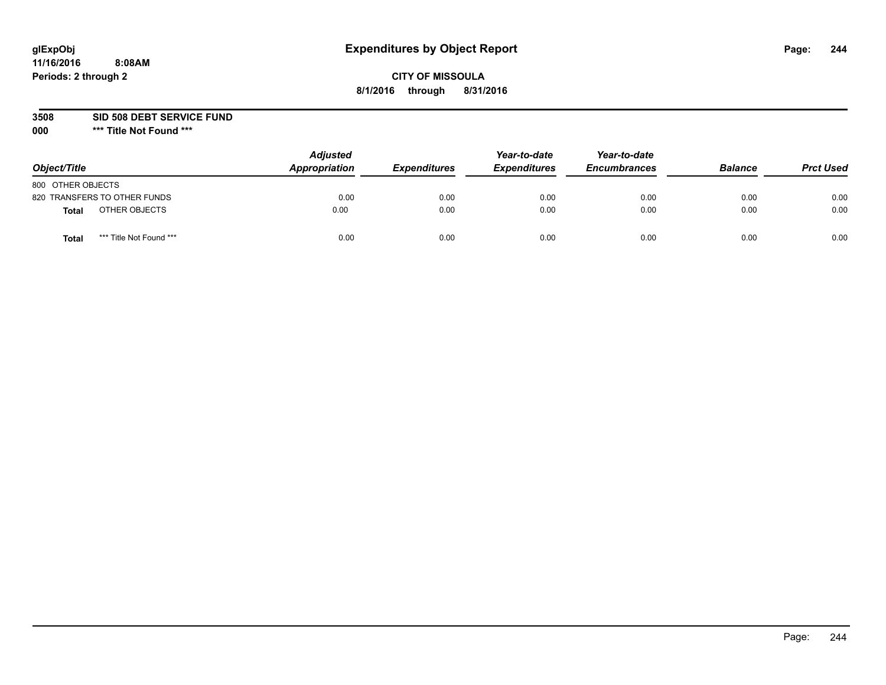## **CITY OF MISSOULA 8/1/2016 through 8/31/2016**

**3508 SID 508 DEBT SERVICE FUND**

| Object/Title                            | <b>Adjusted</b><br>Appropriation | <b>Expenditures</b> | Year-to-date<br><b>Expenditures</b> | Year-to-date<br><b>Encumbrances</b> | <b>Balance</b> | <b>Prct Used</b> |
|-----------------------------------------|----------------------------------|---------------------|-------------------------------------|-------------------------------------|----------------|------------------|
| 800 OTHER OBJECTS                       |                                  |                     |                                     |                                     |                |                  |
| 820 TRANSFERS TO OTHER FUNDS            | 0.00                             | 0.00                | 0.00                                | 0.00                                | 0.00           | 0.00             |
| OTHER OBJECTS<br>Total                  | 0.00                             | 0.00                | 0.00                                | 0.00                                | 0.00           | 0.00             |
| *** Title Not Found ***<br><b>Total</b> | 0.00                             | 0.00                | 0.00                                | 0.00                                | 0.00           | 0.00             |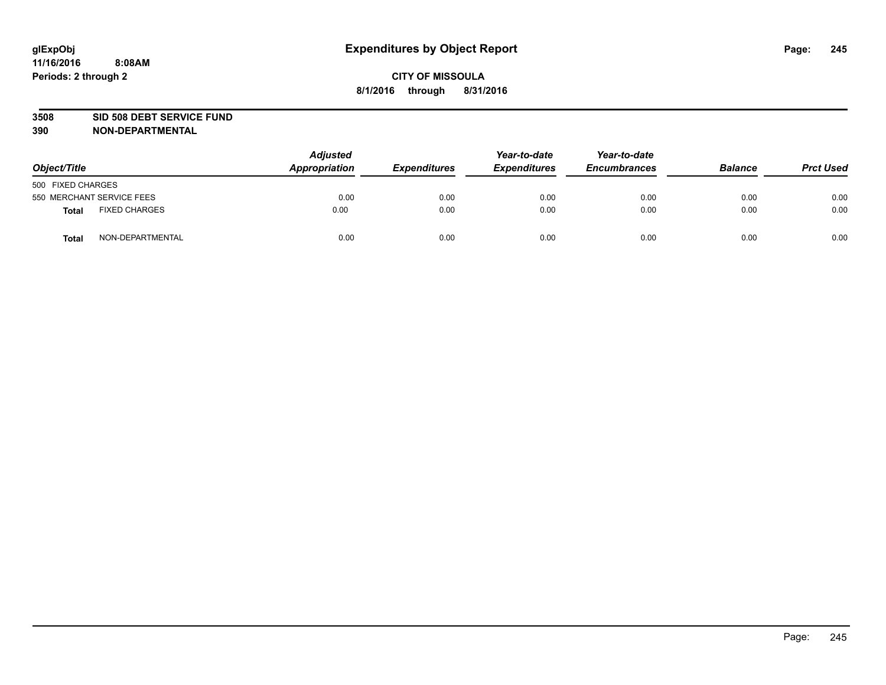#### **3508 SID 508 DEBT SERVICE FUND**

| Object/Title      |                           | <b>Adjusted</b><br>Appropriation | <b>Expenditures</b> | Year-to-date<br><b>Expenditures</b> | Year-to-date<br><b>Encumbrances</b> | <b>Balance</b> | <b>Prct Used</b> |
|-------------------|---------------------------|----------------------------------|---------------------|-------------------------------------|-------------------------------------|----------------|------------------|
| 500 FIXED CHARGES |                           |                                  |                     |                                     |                                     |                |                  |
|                   | 550 MERCHANT SERVICE FEES | 0.00                             | 0.00                | 0.00                                | 0.00                                | 0.00           | 0.00             |
| <b>Total</b>      | <b>FIXED CHARGES</b>      | 0.00                             | 0.00                | 0.00                                | 0.00                                | 0.00           | 0.00             |
| <b>Total</b>      | NON-DEPARTMENTAL          | 0.00                             | 0.00                | 0.00                                | 0.00                                | 0.00           | 0.00             |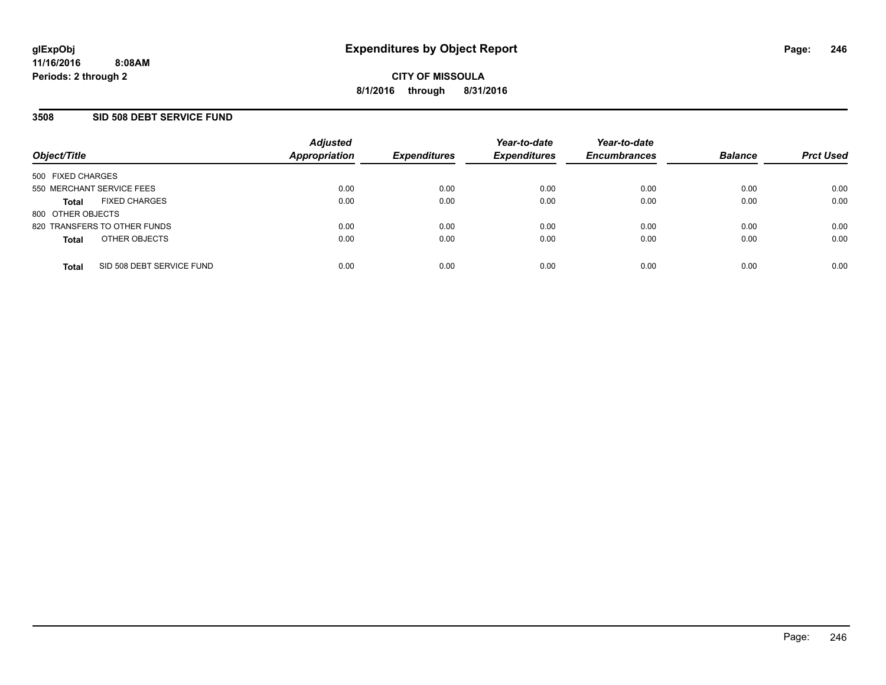### **3508 SID 508 DEBT SERVICE FUND**

| Object/Title                              | <b>Adjusted</b><br><b>Appropriation</b> | <b>Expenditures</b> | Year-to-date<br><b>Expenditures</b> | Year-to-date<br><b>Encumbrances</b> | <b>Balance</b> | <b>Prct Used</b> |
|-------------------------------------------|-----------------------------------------|---------------------|-------------------------------------|-------------------------------------|----------------|------------------|
| 500 FIXED CHARGES                         |                                         |                     |                                     |                                     |                |                  |
| 550 MERCHANT SERVICE FEES                 | 0.00                                    | 0.00                | 0.00                                | 0.00                                | 0.00           | 0.00             |
| <b>FIXED CHARGES</b><br><b>Total</b>      | 0.00                                    | 0.00                | 0.00                                | 0.00                                | 0.00           | 0.00             |
| 800 OTHER OBJECTS                         |                                         |                     |                                     |                                     |                |                  |
| 820 TRANSFERS TO OTHER FUNDS              | 0.00                                    | 0.00                | 0.00                                | 0.00                                | 0.00           | 0.00             |
| OTHER OBJECTS<br><b>Total</b>             | 0.00                                    | 0.00                | 0.00                                | 0.00                                | 0.00           | 0.00             |
| SID 508 DEBT SERVICE FUND<br><b>Total</b> | 0.00                                    | 0.00                | 0.00                                | 0.00                                | 0.00           | 0.00             |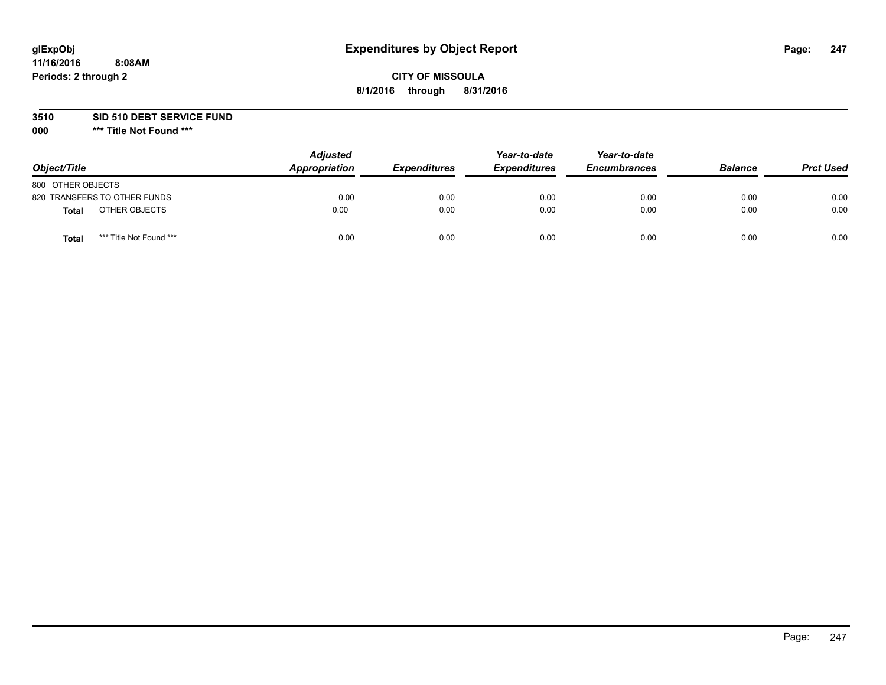## **CITY OF MISSOULA 8/1/2016 through 8/31/2016**

### **3510 SID 510 DEBT SERVICE FUND**

| Object/Title                            | <b>Adjusted</b><br>Appropriation | <b>Expenditures</b> | Year-to-date<br><b>Expenditures</b> | Year-to-date<br><b>Encumbrances</b> | <b>Balance</b> | <b>Prct Used</b> |
|-----------------------------------------|----------------------------------|---------------------|-------------------------------------|-------------------------------------|----------------|------------------|
| 800 OTHER OBJECTS                       |                                  |                     |                                     |                                     |                |                  |
| 820 TRANSFERS TO OTHER FUNDS            | 0.00                             | 0.00                | 0.00                                | 0.00                                | 0.00           | 0.00             |
| OTHER OBJECTS<br>Total                  | 0.00                             | 0.00                | 0.00                                | 0.00                                | 0.00           | 0.00             |
| *** Title Not Found ***<br><b>Total</b> | 0.00                             | 0.00                | 0.00                                | 0.00                                | 0.00           | 0.00             |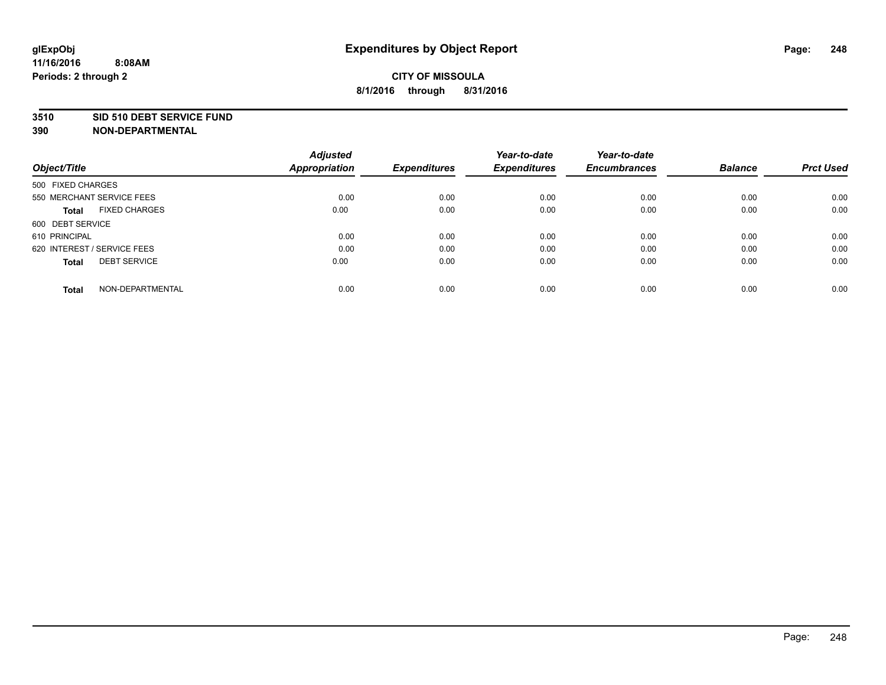#### **3510 SID 510 DEBT SERVICE FUND**

| Object/Title                         | <b>Adjusted</b><br><b>Appropriation</b> | <b>Expenditures</b> | Year-to-date<br><b>Expenditures</b> | Year-to-date<br><b>Encumbrances</b> | <b>Balance</b> | <b>Prct Used</b> |
|--------------------------------------|-----------------------------------------|---------------------|-------------------------------------|-------------------------------------|----------------|------------------|
|                                      |                                         |                     |                                     |                                     |                |                  |
| 500 FIXED CHARGES                    |                                         |                     |                                     |                                     |                |                  |
| 550 MERCHANT SERVICE FEES            | 0.00                                    | 0.00                | 0.00                                | 0.00                                | 0.00           | 0.00             |
| <b>FIXED CHARGES</b><br><b>Total</b> | 0.00                                    | 0.00                | 0.00                                | 0.00                                | 0.00           | 0.00             |
| 600 DEBT SERVICE                     |                                         |                     |                                     |                                     |                |                  |
| 610 PRINCIPAL                        | 0.00                                    | 0.00                | 0.00                                | 0.00                                | 0.00           | 0.00             |
| 620 INTEREST / SERVICE FEES          | 0.00                                    | 0.00                | 0.00                                | 0.00                                | 0.00           | 0.00             |
| <b>DEBT SERVICE</b><br><b>Total</b>  | 0.00                                    | 0.00                | 0.00                                | 0.00                                | 0.00           | 0.00             |
|                                      |                                         |                     |                                     |                                     |                |                  |
| NON-DEPARTMENTAL<br><b>Total</b>     | 0.00                                    | 0.00                | 0.00                                | 0.00                                | 0.00           | 0.00             |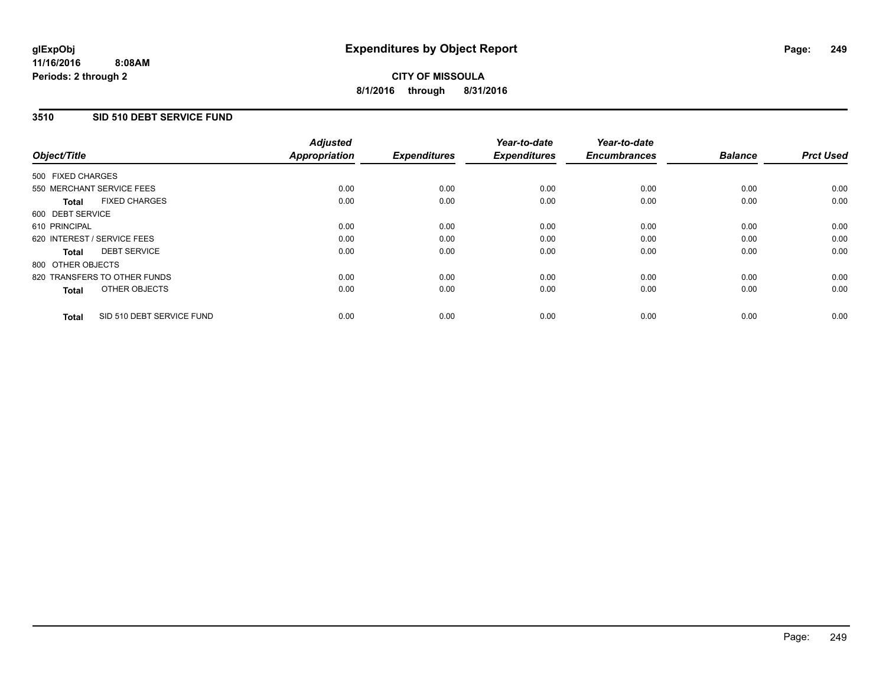### **3510 SID 510 DEBT SERVICE FUND**

| Object/Title                              | <b>Adjusted</b><br><b>Appropriation</b> | <b>Expenditures</b> | Year-to-date<br><b>Expenditures</b> | Year-to-date<br><b>Encumbrances</b> | <b>Balance</b> | <b>Prct Used</b> |
|-------------------------------------------|-----------------------------------------|---------------------|-------------------------------------|-------------------------------------|----------------|------------------|
|                                           |                                         |                     |                                     |                                     |                |                  |
| 500 FIXED CHARGES                         |                                         |                     |                                     |                                     |                |                  |
| 550 MERCHANT SERVICE FEES                 | 0.00                                    | 0.00                | 0.00                                | 0.00                                | 0.00           | 0.00             |
| <b>FIXED CHARGES</b><br>Total             | 0.00                                    | 0.00                | 0.00                                | 0.00                                | 0.00           | 0.00             |
| 600 DEBT SERVICE                          |                                         |                     |                                     |                                     |                |                  |
| 610 PRINCIPAL                             | 0.00                                    | 0.00                | 0.00                                | 0.00                                | 0.00           | 0.00             |
| 620 INTEREST / SERVICE FEES               | 0.00                                    | 0.00                | 0.00                                | 0.00                                | 0.00           | 0.00             |
| <b>DEBT SERVICE</b><br><b>Total</b>       | 0.00                                    | 0.00                | 0.00                                | 0.00                                | 0.00           | 0.00             |
| 800 OTHER OBJECTS                         |                                         |                     |                                     |                                     |                |                  |
| 820 TRANSFERS TO OTHER FUNDS              | 0.00                                    | 0.00                | 0.00                                | 0.00                                | 0.00           | 0.00             |
| OTHER OBJECTS<br><b>Total</b>             | 0.00                                    | 0.00                | 0.00                                | 0.00                                | 0.00           | 0.00             |
|                                           |                                         |                     |                                     |                                     |                |                  |
| SID 510 DEBT SERVICE FUND<br><b>Total</b> | 0.00                                    | 0.00                | 0.00                                | 0.00                                | 0.00           | 0.00             |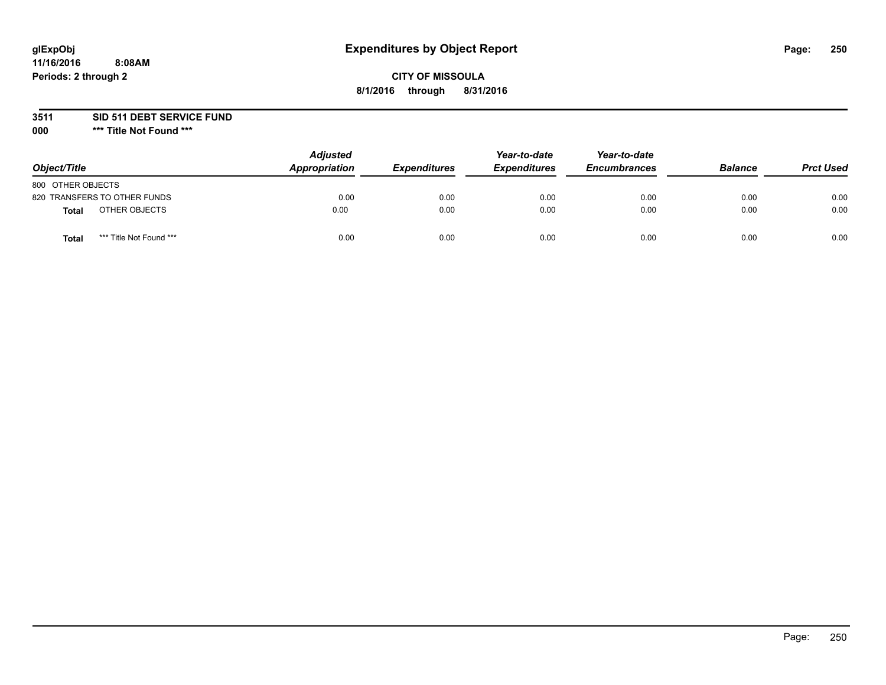## **CITY OF MISSOULA 8/1/2016 through 8/31/2016**

**3511 SID 511 DEBT SERVICE FUND**

| Object/Title                     | <b>Adjusted</b><br>Appropriation | <b>Expenditures</b> | Year-to-date<br><b>Expenditures</b> | Year-to-date<br><b>Encumbrances</b> | <b>Balance</b> | <b>Prct Used</b> |
|----------------------------------|----------------------------------|---------------------|-------------------------------------|-------------------------------------|----------------|------------------|
| 800 OTHER OBJECTS                |                                  |                     |                                     |                                     |                |                  |
| 820 TRANSFERS TO OTHER FUNDS     | 0.00                             | 0.00                | 0.00                                | 0.00                                | 0.00           | 0.00             |
| OTHER OBJECTS<br><b>Total</b>    | 0.00                             | 0.00                | 0.00                                | 0.00                                | 0.00           | 0.00             |
| *** Title Not Found ***<br>Total | 0.00                             | 0.00                | 0.00                                | 0.00                                | 0.00           | 0.00             |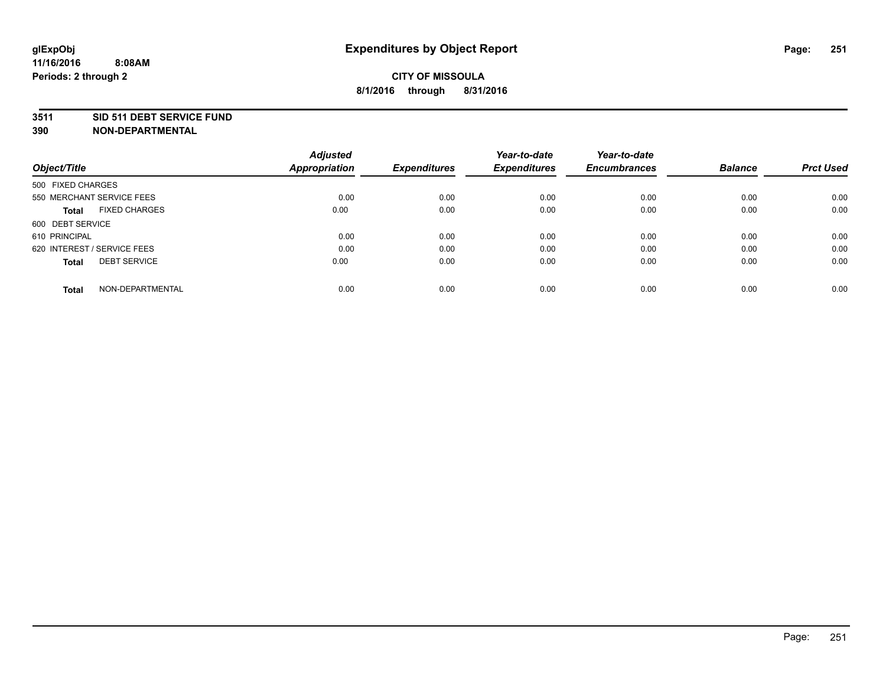#### **3511 SID 511 DEBT SERVICE FUND**

| Object/Title                         | <b>Adjusted</b><br><b>Appropriation</b> | <b>Expenditures</b> | Year-to-date<br><b>Expenditures</b> | Year-to-date<br><b>Encumbrances</b> | <b>Balance</b> | <b>Prct Used</b> |
|--------------------------------------|-----------------------------------------|---------------------|-------------------------------------|-------------------------------------|----------------|------------------|
|                                      |                                         |                     |                                     |                                     |                |                  |
| 500 FIXED CHARGES                    |                                         |                     |                                     |                                     |                |                  |
| 550 MERCHANT SERVICE FEES            | 0.00                                    | 0.00                | 0.00                                | 0.00                                | 0.00           | 0.00             |
| <b>FIXED CHARGES</b><br><b>Total</b> | 0.00                                    | 0.00                | 0.00                                | 0.00                                | 0.00           | 0.00             |
| 600 DEBT SERVICE                     |                                         |                     |                                     |                                     |                |                  |
| 610 PRINCIPAL                        | 0.00                                    | 0.00                | 0.00                                | 0.00                                | 0.00           | 0.00             |
| 620 INTEREST / SERVICE FEES          | 0.00                                    | 0.00                | 0.00                                | 0.00                                | 0.00           | 0.00             |
| <b>DEBT SERVICE</b><br><b>Total</b>  | 0.00                                    | 0.00                | 0.00                                | 0.00                                | 0.00           | 0.00             |
|                                      |                                         |                     |                                     |                                     |                |                  |
| NON-DEPARTMENTAL<br><b>Total</b>     | 0.00                                    | 0.00                | 0.00                                | 0.00                                | 0.00           | 0.00             |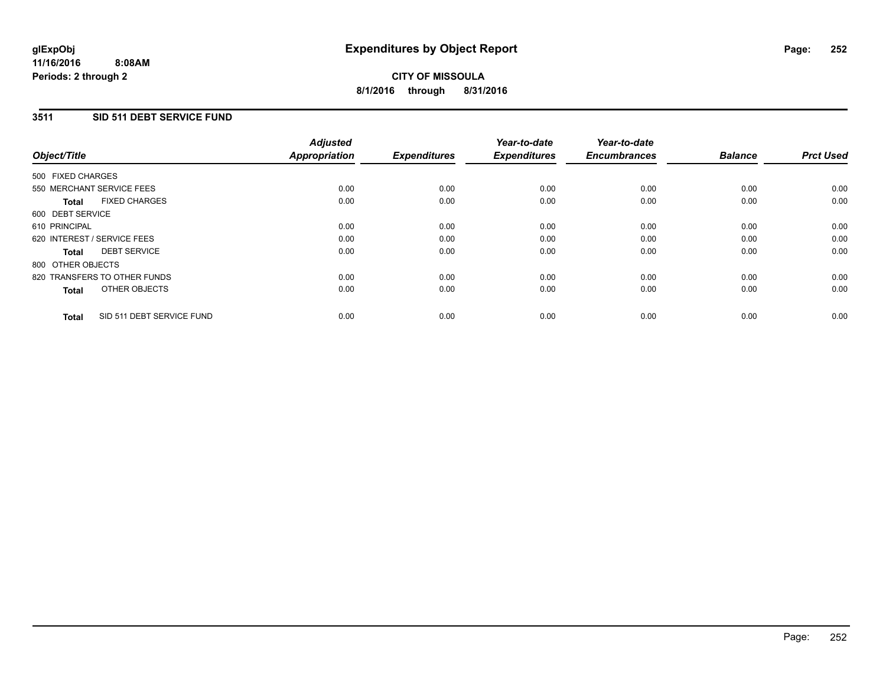### **3511 SID 511 DEBT SERVICE FUND**

| Object/Title                              | <b>Adjusted</b><br><b>Appropriation</b> | <b>Expenditures</b> | Year-to-date<br><b>Expenditures</b> | Year-to-date<br><b>Encumbrances</b> | <b>Balance</b> | <b>Prct Used</b> |
|-------------------------------------------|-----------------------------------------|---------------------|-------------------------------------|-------------------------------------|----------------|------------------|
|                                           |                                         |                     |                                     |                                     |                |                  |
| 500 FIXED CHARGES                         |                                         |                     |                                     |                                     |                |                  |
| 550 MERCHANT SERVICE FEES                 | 0.00                                    | 0.00                | 0.00                                | 0.00                                | 0.00           | 0.00             |
| <b>FIXED CHARGES</b><br>Total             | 0.00                                    | 0.00                | 0.00                                | 0.00                                | 0.00           | 0.00             |
| 600 DEBT SERVICE                          |                                         |                     |                                     |                                     |                |                  |
| 610 PRINCIPAL                             | 0.00                                    | 0.00                | 0.00                                | 0.00                                | 0.00           | 0.00             |
| 620 INTEREST / SERVICE FEES               | 0.00                                    | 0.00                | 0.00                                | 0.00                                | 0.00           | 0.00             |
| <b>DEBT SERVICE</b><br><b>Total</b>       | 0.00                                    | 0.00                | 0.00                                | 0.00                                | 0.00           | 0.00             |
| 800 OTHER OBJECTS                         |                                         |                     |                                     |                                     |                |                  |
| 820 TRANSFERS TO OTHER FUNDS              | 0.00                                    | 0.00                | 0.00                                | 0.00                                | 0.00           | 0.00             |
| OTHER OBJECTS<br><b>Total</b>             | 0.00                                    | 0.00                | 0.00                                | 0.00                                | 0.00           | 0.00             |
|                                           |                                         |                     |                                     |                                     |                |                  |
| SID 511 DEBT SERVICE FUND<br><b>Total</b> | 0.00                                    | 0.00                | 0.00                                | 0.00                                | 0.00           | 0.00             |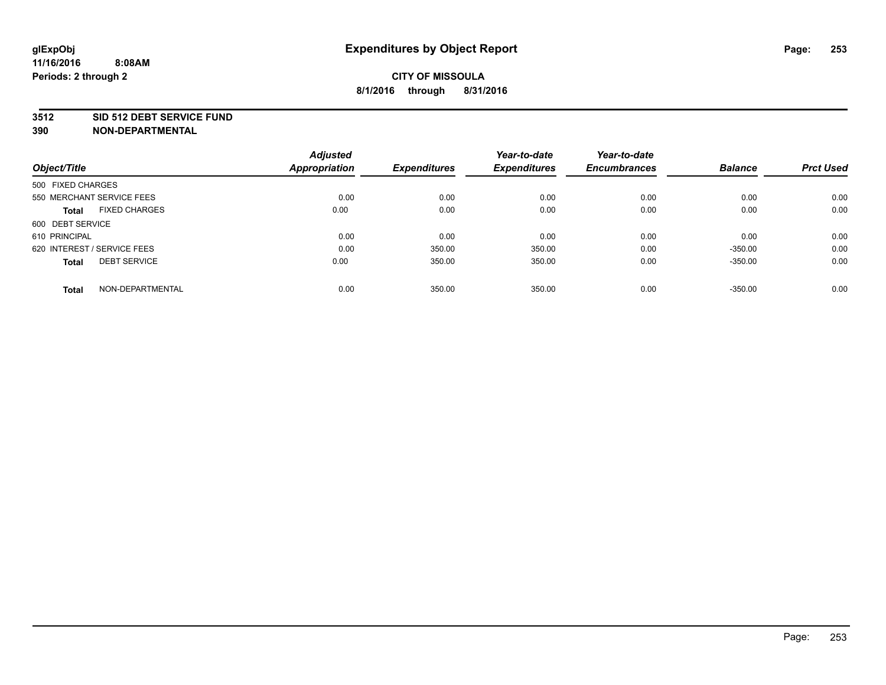### **3512 SID 512 DEBT SERVICE FUND**

| Object/Title                        | <b>Adjusted</b><br><b>Appropriation</b> | <b>Expenditures</b> | Year-to-date<br><b>Expenditures</b> | Year-to-date<br><b>Encumbrances</b> | <b>Balance</b> | <b>Prct Used</b> |
|-------------------------------------|-----------------------------------------|---------------------|-------------------------------------|-------------------------------------|----------------|------------------|
|                                     |                                         |                     |                                     |                                     |                |                  |
| 500 FIXED CHARGES                   |                                         |                     |                                     |                                     |                |                  |
| 550 MERCHANT SERVICE FEES           | 0.00                                    | 0.00                | 0.00                                | 0.00                                | 0.00           | 0.00             |
| <b>FIXED CHARGES</b><br>Total       | 0.00                                    | 0.00                | 0.00                                | 0.00                                | 0.00           | 0.00             |
| 600 DEBT SERVICE                    |                                         |                     |                                     |                                     |                |                  |
| 610 PRINCIPAL                       | 0.00                                    | 0.00                | 0.00                                | 0.00                                | 0.00           | 0.00             |
| 620 INTEREST / SERVICE FEES         | 0.00                                    | 350.00              | 350.00                              | 0.00                                | $-350.00$      | 0.00             |
| <b>DEBT SERVICE</b><br><b>Total</b> | 0.00                                    | 350.00              | 350.00                              | 0.00                                | $-350.00$      | 0.00             |
| NON-DEPARTMENTAL<br><b>Total</b>    | 0.00                                    | 350.00              | 350.00                              | 0.00                                | $-350.00$      | 0.00             |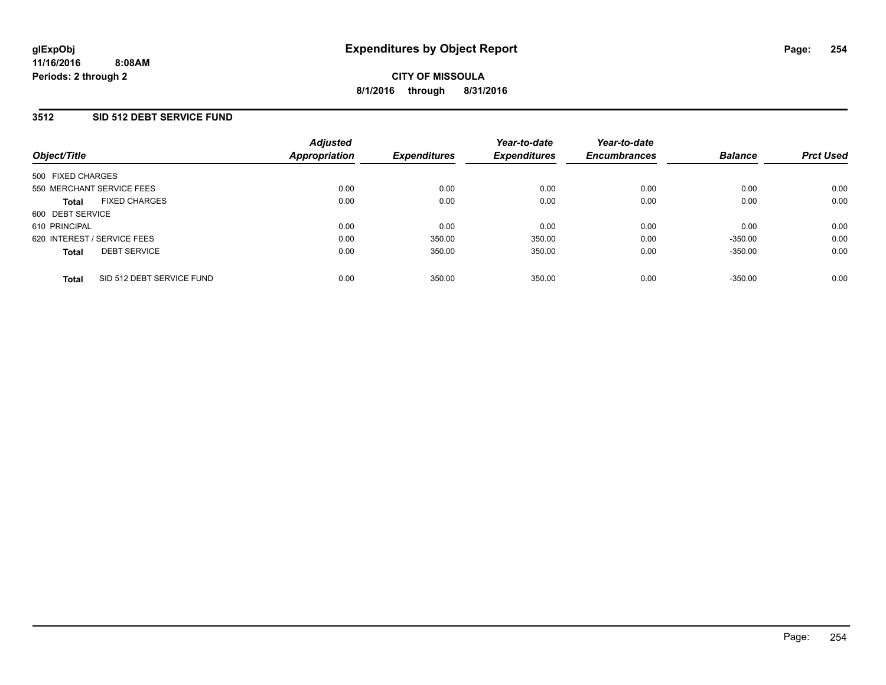## **3512 SID 512 DEBT SERVICE FUND**

| Object/Title                              | <b>Adjusted</b><br>Appropriation | <b>Expenditures</b> | Year-to-date<br><b>Expenditures</b> | Year-to-date<br><b>Encumbrances</b> | <b>Balance</b> | <b>Prct Used</b> |
|-------------------------------------------|----------------------------------|---------------------|-------------------------------------|-------------------------------------|----------------|------------------|
| 500 FIXED CHARGES                         |                                  |                     |                                     |                                     |                |                  |
| 550 MERCHANT SERVICE FEES                 | 0.00                             | 0.00                | 0.00                                | 0.00                                | 0.00           | 0.00             |
| <b>FIXED CHARGES</b><br><b>Total</b>      | 0.00                             | 0.00                | 0.00                                | 0.00                                | 0.00           | 0.00             |
| 600 DEBT SERVICE                          |                                  |                     |                                     |                                     |                |                  |
| 610 PRINCIPAL                             | 0.00                             | 0.00                | 0.00                                | 0.00                                | 0.00           | 0.00             |
| 620 INTEREST / SERVICE FEES               | 0.00                             | 350.00              | 350.00                              | 0.00                                | $-350.00$      | 0.00             |
| <b>DEBT SERVICE</b><br><b>Total</b>       | 0.00                             | 350.00              | 350.00                              | 0.00                                | $-350.00$      | 0.00             |
| SID 512 DEBT SERVICE FUND<br><b>Total</b> | 0.00                             | 350.00              | 350.00                              | 0.00                                | $-350.00$      | 0.00             |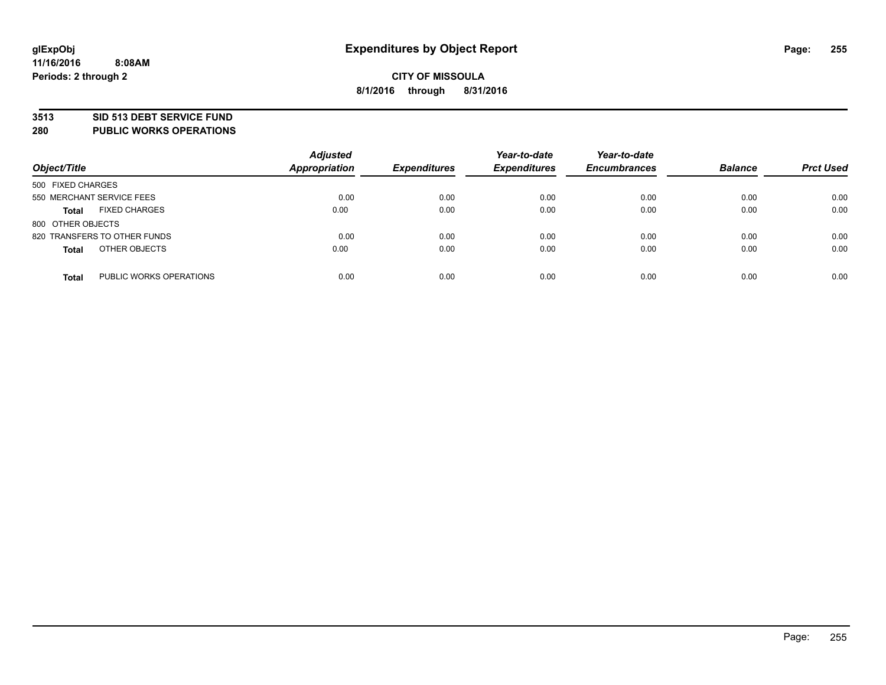### **3513 SID 513 DEBT SERVICE FUND**

**280 PUBLIC WORKS OPERATIONS**

| Object/Title                 |                         | <b>Adjusted</b><br><b>Appropriation</b> | <b>Expenditures</b> | Year-to-date<br><b>Expenditures</b> | Year-to-date<br><b>Encumbrances</b> | <b>Balance</b> | <b>Prct Used</b> |
|------------------------------|-------------------------|-----------------------------------------|---------------------|-------------------------------------|-------------------------------------|----------------|------------------|
| 500 FIXED CHARGES            |                         |                                         |                     |                                     |                                     |                |                  |
| 550 MERCHANT SERVICE FEES    |                         | 0.00                                    | 0.00                | 0.00                                | 0.00                                | 0.00           | 0.00             |
| <b>Total</b>                 | <b>FIXED CHARGES</b>    | 0.00                                    | 0.00                | 0.00                                | 0.00                                | 0.00           | 0.00             |
| 800 OTHER OBJECTS            |                         |                                         |                     |                                     |                                     |                |                  |
| 820 TRANSFERS TO OTHER FUNDS |                         | 0.00                                    | 0.00                | 0.00                                | 0.00                                | 0.00           | 0.00             |
| <b>Total</b>                 | OTHER OBJECTS           | 0.00                                    | 0.00                | 0.00                                | 0.00                                | 0.00           | 0.00             |
| <b>Total</b>                 | PUBLIC WORKS OPERATIONS | 0.00                                    | 0.00                | 0.00                                | 0.00                                | 0.00           | 0.00             |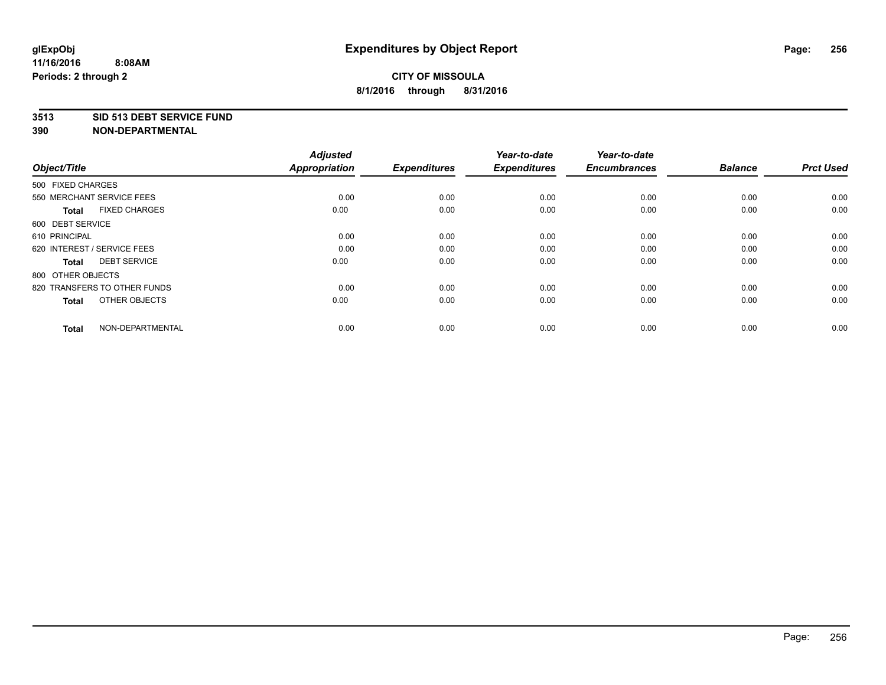### **3513 SID 513 DEBT SERVICE FUND**

| Object/Title                         | <b>Adjusted</b><br><b>Appropriation</b> | <b>Expenditures</b> | Year-to-date<br><b>Expenditures</b> | Year-to-date<br><b>Encumbrances</b> | <b>Balance</b> | <b>Prct Used</b> |
|--------------------------------------|-----------------------------------------|---------------------|-------------------------------------|-------------------------------------|----------------|------------------|
| 500 FIXED CHARGES                    |                                         |                     |                                     |                                     |                |                  |
| 550 MERCHANT SERVICE FEES            | 0.00                                    | 0.00                | 0.00                                | 0.00                                | 0.00           | 0.00             |
| <b>FIXED CHARGES</b><br><b>Total</b> | 0.00                                    | 0.00                | 0.00                                | 0.00                                | 0.00           | 0.00             |
| 600 DEBT SERVICE                     |                                         |                     |                                     |                                     |                |                  |
| 610 PRINCIPAL                        | 0.00                                    | 0.00                | 0.00                                | 0.00                                | 0.00           | 0.00             |
| 620 INTEREST / SERVICE FEES          | 0.00                                    | 0.00                | 0.00                                | 0.00                                | 0.00           | 0.00             |
| <b>DEBT SERVICE</b><br><b>Total</b>  | 0.00                                    | 0.00                | 0.00                                | 0.00                                | 0.00           | 0.00             |
| 800 OTHER OBJECTS                    |                                         |                     |                                     |                                     |                |                  |
| 820 TRANSFERS TO OTHER FUNDS         | 0.00                                    | 0.00                | 0.00                                | 0.00                                | 0.00           | 0.00             |
| OTHER OBJECTS<br><b>Total</b>        | 0.00                                    | 0.00                | 0.00                                | 0.00                                | 0.00           | 0.00             |
|                                      |                                         |                     |                                     |                                     |                |                  |
| NON-DEPARTMENTAL<br><b>Total</b>     | 0.00                                    | 0.00                | 0.00                                | 0.00                                | 0.00           | 0.00             |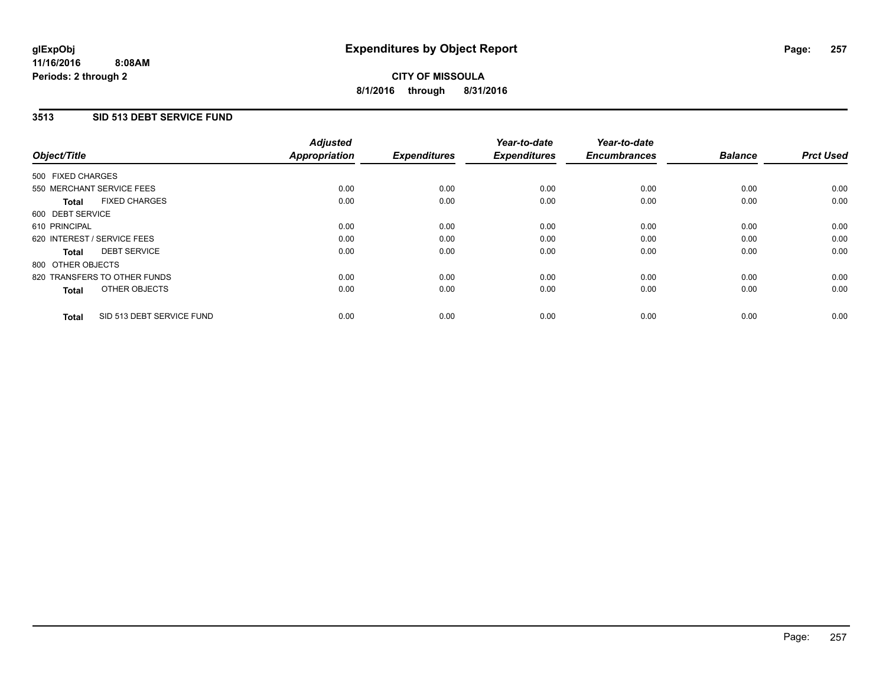### **11/16/2016 8:08AM Periods: 2 through 2**

# **CITY OF MISSOULA 8/1/2016 through 8/31/2016**

## **3513 SID 513 DEBT SERVICE FUND**

| Object/Title                              | <b>Adjusted</b><br><b>Appropriation</b> | <b>Expenditures</b> | Year-to-date<br><b>Expenditures</b> | Year-to-date<br><b>Encumbrances</b> | <b>Balance</b> | <b>Prct Used</b> |
|-------------------------------------------|-----------------------------------------|---------------------|-------------------------------------|-------------------------------------|----------------|------------------|
|                                           |                                         |                     |                                     |                                     |                |                  |
| 500 FIXED CHARGES                         |                                         |                     |                                     |                                     |                |                  |
| 550 MERCHANT SERVICE FEES                 | 0.00                                    | 0.00                | 0.00                                | 0.00                                | 0.00           | 0.00             |
| <b>FIXED CHARGES</b><br>Total             | 0.00                                    | 0.00                | 0.00                                | 0.00                                | 0.00           | 0.00             |
| 600 DEBT SERVICE                          |                                         |                     |                                     |                                     |                |                  |
| 610 PRINCIPAL                             | 0.00                                    | 0.00                | 0.00                                | 0.00                                | 0.00           | 0.00             |
| 620 INTEREST / SERVICE FEES               | 0.00                                    | 0.00                | 0.00                                | 0.00                                | 0.00           | 0.00             |
| <b>DEBT SERVICE</b><br><b>Total</b>       | 0.00                                    | 0.00                | 0.00                                | 0.00                                | 0.00           | 0.00             |
| 800 OTHER OBJECTS                         |                                         |                     |                                     |                                     |                |                  |
| 820 TRANSFERS TO OTHER FUNDS              | 0.00                                    | 0.00                | 0.00                                | 0.00                                | 0.00           | 0.00             |
| OTHER OBJECTS<br><b>Total</b>             | 0.00                                    | 0.00                | 0.00                                | 0.00                                | 0.00           | 0.00             |
|                                           |                                         |                     |                                     |                                     |                |                  |
| SID 513 DEBT SERVICE FUND<br><b>Total</b> | 0.00                                    | 0.00                | 0.00                                | 0.00                                | 0.00           | 0.00             |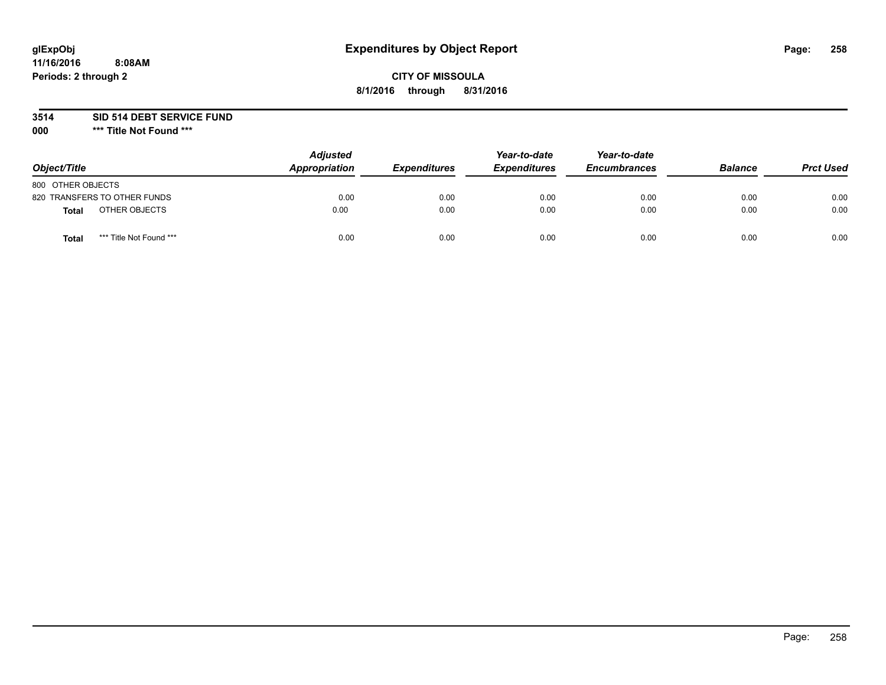# **glExpObj Expenditures by Object Report Page: 258**

# **CITY OF MISSOULA 8/1/2016 through 8/31/2016**

**3514 SID 514 DEBT SERVICE FUND**

**000 \*\*\* Title Not Found \*\*\***

| Object/Title                     | <b>Adjusted</b><br>Appropriation | <b>Expenditures</b> | Year-to-date<br><b>Expenditures</b> | Year-to-date<br><b>Encumbrances</b> | <b>Balance</b> | <b>Prct Used</b> |
|----------------------------------|----------------------------------|---------------------|-------------------------------------|-------------------------------------|----------------|------------------|
| 800 OTHER OBJECTS                |                                  |                     |                                     |                                     |                |                  |
| 820 TRANSFERS TO OTHER FUNDS     | 0.00                             | 0.00                | 0.00                                | 0.00                                | 0.00           | 0.00             |
| OTHER OBJECTS<br><b>Total</b>    | 0.00                             | 0.00                | 0.00                                | 0.00                                | 0.00           | 0.00             |
| *** Title Not Found ***<br>Total | 0.00                             | 0.00                | 0.00                                | 0.00                                | 0.00           | 0.00             |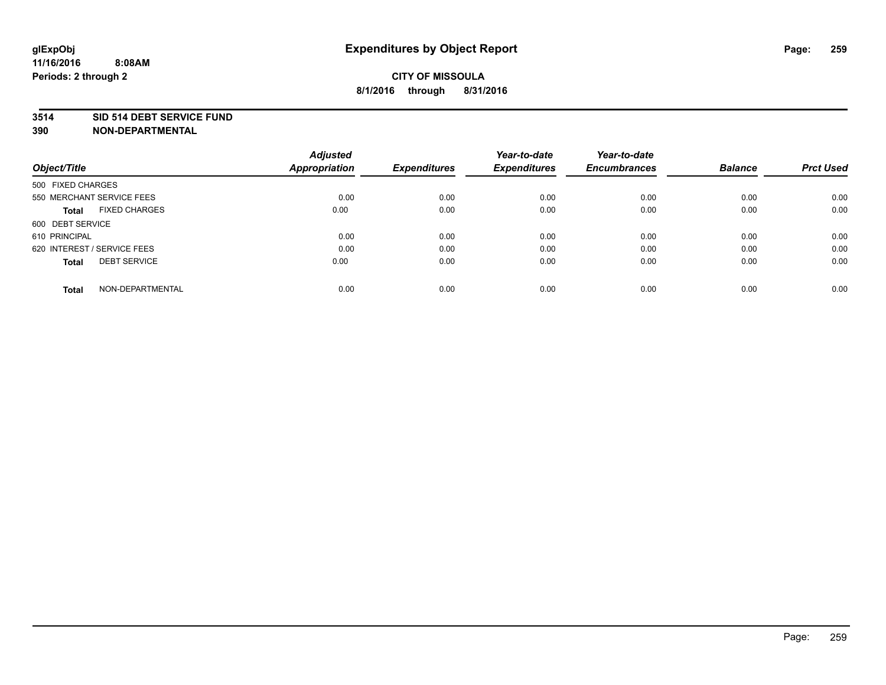### **3514 SID 514 DEBT SERVICE FUND**

| Object/Title                        | <b>Adjusted</b><br><b>Appropriation</b> | <b>Expenditures</b> | Year-to-date<br><b>Expenditures</b> | Year-to-date<br><b>Encumbrances</b> | <b>Balance</b> | <b>Prct Used</b> |
|-------------------------------------|-----------------------------------------|---------------------|-------------------------------------|-------------------------------------|----------------|------------------|
|                                     |                                         |                     |                                     |                                     |                |                  |
| 500 FIXED CHARGES                   |                                         |                     |                                     |                                     |                |                  |
| 550 MERCHANT SERVICE FEES           | 0.00                                    | 0.00                | 0.00                                | 0.00                                | 0.00           | 0.00             |
| <b>FIXED CHARGES</b><br>Total       | 0.00                                    | 0.00                | 0.00                                | 0.00                                | 0.00           | 0.00             |
| 600 DEBT SERVICE                    |                                         |                     |                                     |                                     |                |                  |
| 610 PRINCIPAL                       | 0.00                                    | 0.00                | 0.00                                | 0.00                                | 0.00           | 0.00             |
| 620 INTEREST / SERVICE FEES         | 0.00                                    | 0.00                | 0.00                                | 0.00                                | 0.00           | 0.00             |
| <b>DEBT SERVICE</b><br><b>Total</b> | 0.00                                    | 0.00                | 0.00                                | 0.00                                | 0.00           | 0.00             |
| NON-DEPARTMENTAL<br><b>Total</b>    | 0.00                                    | 0.00                | 0.00                                | 0.00                                | 0.00           | 0.00             |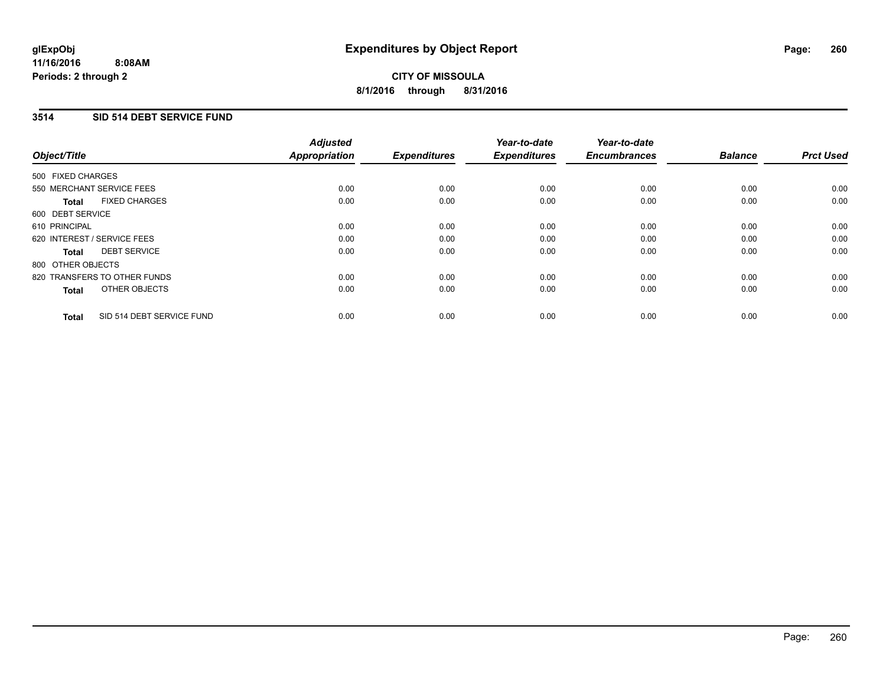# **3514 SID 514 DEBT SERVICE FUND**

| Object/Title                              | <b>Adjusted</b><br><b>Appropriation</b> | <b>Expenditures</b> | Year-to-date<br><b>Expenditures</b> | Year-to-date<br><b>Encumbrances</b> | <b>Balance</b> | <b>Prct Used</b> |
|-------------------------------------------|-----------------------------------------|---------------------|-------------------------------------|-------------------------------------|----------------|------------------|
| 500 FIXED CHARGES                         |                                         |                     |                                     |                                     |                |                  |
| 550 MERCHANT SERVICE FEES                 | 0.00                                    | 0.00                | 0.00                                | 0.00                                | 0.00           | 0.00             |
| <b>FIXED CHARGES</b><br>Total             | 0.00                                    | 0.00                | 0.00                                | 0.00                                | 0.00           | 0.00             |
| 600 DEBT SERVICE                          |                                         |                     |                                     |                                     |                |                  |
| 610 PRINCIPAL                             | 0.00                                    | 0.00                | 0.00                                | 0.00                                | 0.00           | 0.00             |
| 620 INTEREST / SERVICE FEES               | 0.00                                    | 0.00                | 0.00                                | 0.00                                | 0.00           | 0.00             |
| <b>DEBT SERVICE</b><br>Total              | 0.00                                    | 0.00                | 0.00                                | 0.00                                | 0.00           | 0.00             |
| 800 OTHER OBJECTS                         |                                         |                     |                                     |                                     |                |                  |
| 820 TRANSFERS TO OTHER FUNDS              | 0.00                                    | 0.00                | 0.00                                | 0.00                                | 0.00           | 0.00             |
| OTHER OBJECTS<br><b>Total</b>             | 0.00                                    | 0.00                | 0.00                                | 0.00                                | 0.00           | 0.00             |
| SID 514 DEBT SERVICE FUND<br><b>Total</b> | 0.00                                    | 0.00                | 0.00                                | 0.00                                | 0.00           | 0.00             |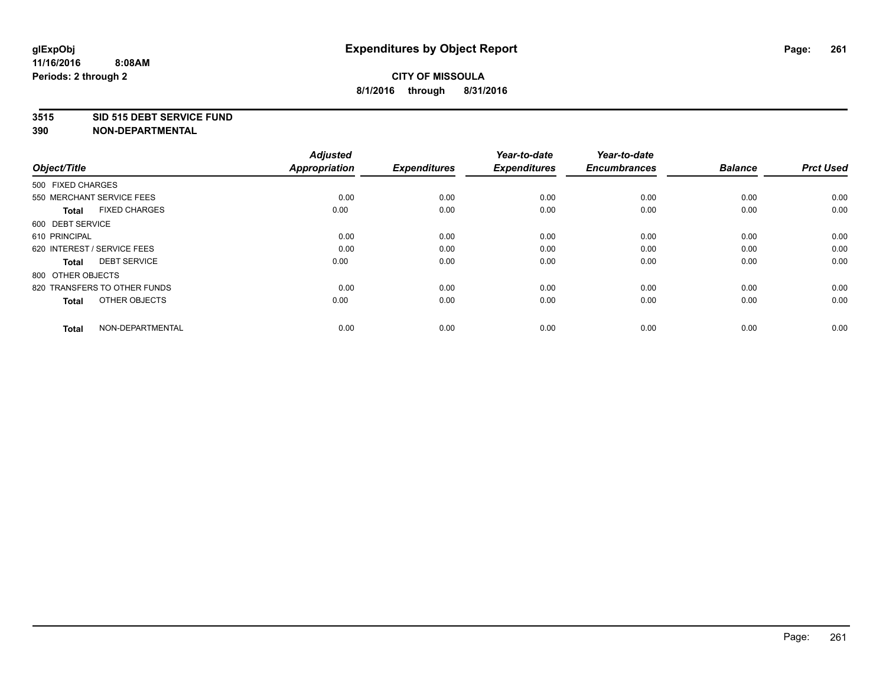### **3515 SID 515 DEBT SERVICE FUND**

| Object/Title                         | <b>Adjusted</b><br><b>Appropriation</b> | <b>Expenditures</b> | Year-to-date<br><b>Expenditures</b> | Year-to-date<br><b>Encumbrances</b> | <b>Balance</b> | <b>Prct Used</b> |
|--------------------------------------|-----------------------------------------|---------------------|-------------------------------------|-------------------------------------|----------------|------------------|
| 500 FIXED CHARGES                    |                                         |                     |                                     |                                     |                |                  |
| 550 MERCHANT SERVICE FEES            | 0.00                                    | 0.00                | 0.00                                | 0.00                                | 0.00           | 0.00             |
| <b>FIXED CHARGES</b><br><b>Total</b> | 0.00                                    | 0.00                | 0.00                                | 0.00                                | 0.00           | 0.00             |
| 600 DEBT SERVICE                     |                                         |                     |                                     |                                     |                |                  |
| 610 PRINCIPAL                        | 0.00                                    | 0.00                | 0.00                                | 0.00                                | 0.00           | 0.00             |
| 620 INTEREST / SERVICE FEES          | 0.00                                    | 0.00                | 0.00                                | 0.00                                | 0.00           | 0.00             |
| <b>DEBT SERVICE</b><br><b>Total</b>  | 0.00                                    | 0.00                | 0.00                                | 0.00                                | 0.00           | 0.00             |
| 800 OTHER OBJECTS                    |                                         |                     |                                     |                                     |                |                  |
| 820 TRANSFERS TO OTHER FUNDS         | 0.00                                    | 0.00                | 0.00                                | 0.00                                | 0.00           | 0.00             |
| OTHER OBJECTS<br><b>Total</b>        | 0.00                                    | 0.00                | 0.00                                | 0.00                                | 0.00           | 0.00             |
|                                      |                                         |                     |                                     |                                     |                |                  |
| NON-DEPARTMENTAL<br><b>Total</b>     | 0.00                                    | 0.00                | 0.00                                | 0.00                                | 0.00           | 0.00             |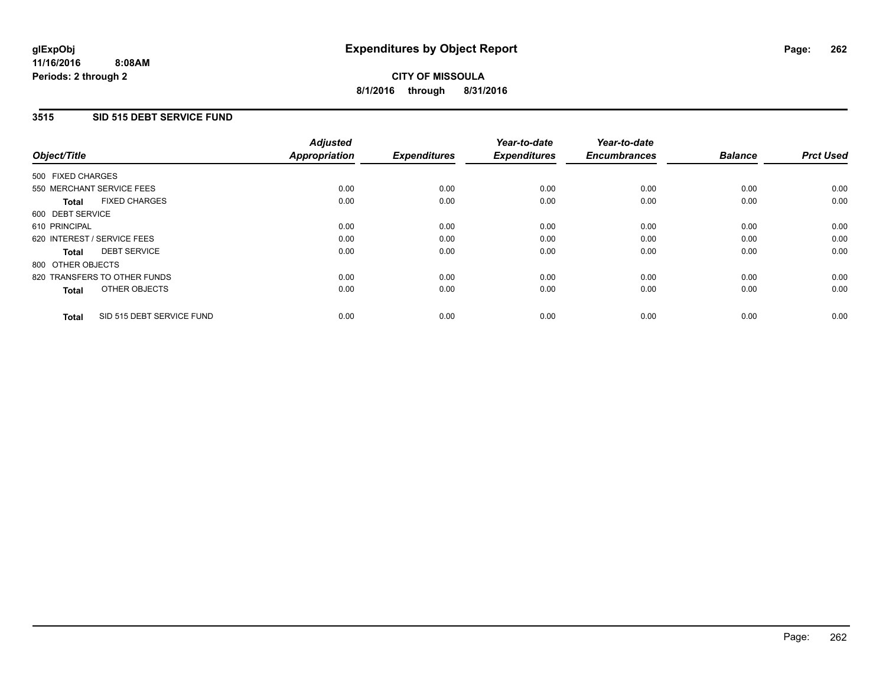## **3515 SID 515 DEBT SERVICE FUND**

| Object/Title      |                              | <b>Adjusted</b><br>Appropriation | <b>Expenditures</b> | Year-to-date<br><b>Expenditures</b> | Year-to-date<br><b>Encumbrances</b> | <b>Balance</b> | <b>Prct Used</b> |
|-------------------|------------------------------|----------------------------------|---------------------|-------------------------------------|-------------------------------------|----------------|------------------|
| 500 FIXED CHARGES |                              |                                  |                     |                                     |                                     |                |                  |
|                   | 550 MERCHANT SERVICE FEES    | 0.00                             | 0.00                | 0.00                                | 0.00                                | 0.00           | 0.00             |
| <b>Total</b>      | <b>FIXED CHARGES</b>         | 0.00                             | 0.00                | 0.00                                | 0.00                                | 0.00           | 0.00             |
| 600 DEBT SERVICE  |                              |                                  |                     |                                     |                                     |                |                  |
| 610 PRINCIPAL     |                              | 0.00                             | 0.00                | 0.00                                | 0.00                                | 0.00           | 0.00             |
|                   | 620 INTEREST / SERVICE FEES  | 0.00                             | 0.00                | 0.00                                | 0.00                                | 0.00           | 0.00             |
| Total             | <b>DEBT SERVICE</b>          | 0.00                             | 0.00                | 0.00                                | 0.00                                | 0.00           | 0.00             |
| 800 OTHER OBJECTS |                              |                                  |                     |                                     |                                     |                |                  |
|                   | 820 TRANSFERS TO OTHER FUNDS | 0.00                             | 0.00                | 0.00                                | 0.00                                | 0.00           | 0.00             |
| <b>Total</b>      | OTHER OBJECTS                | 0.00                             | 0.00                | 0.00                                | 0.00                                | 0.00           | 0.00             |
| <b>Total</b>      | SID 515 DEBT SERVICE FUND    | 0.00                             | 0.00                | 0.00                                | 0.00                                | 0.00           | 0.00             |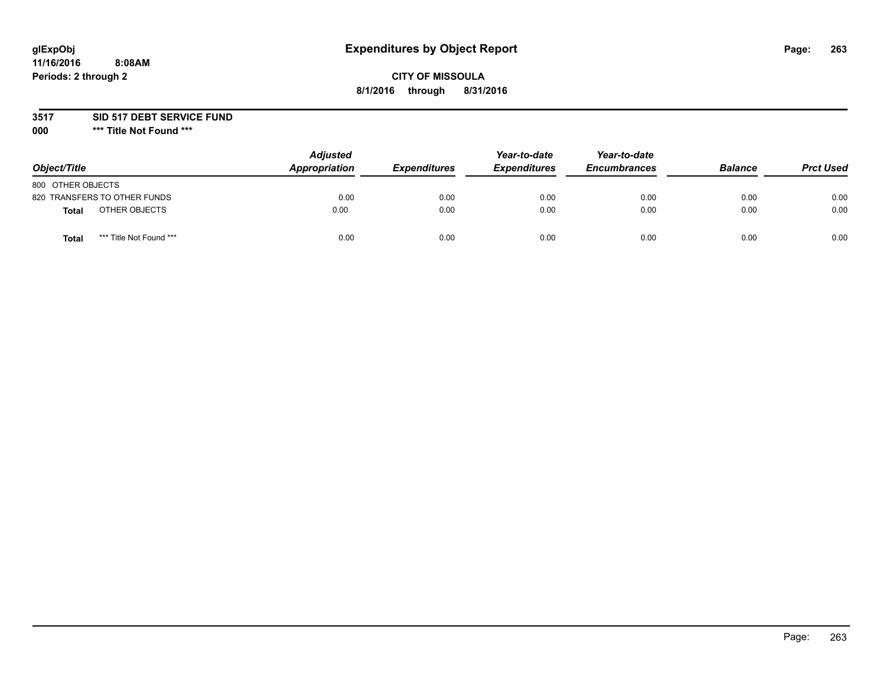# **glExpObj Expenditures by Object Report Page: 263**

# **CITY OF MISSOULA 8/1/2016 through 8/31/2016**

### **3517 SID 517 DEBT SERVICE FUND**

**000 \*\*\* Title Not Found \*\*\***

| Object/Title                     | <b>Adjusted</b><br>Appropriation | <b>Expenditures</b> | Year-to-date<br><b>Expenditures</b> | Year-to-date<br><b>Encumbrances</b> | <b>Balance</b> | <b>Prct Used</b> |
|----------------------------------|----------------------------------|---------------------|-------------------------------------|-------------------------------------|----------------|------------------|
| 800 OTHER OBJECTS                |                                  |                     |                                     |                                     |                |                  |
| 820 TRANSFERS TO OTHER FUNDS     | 0.00                             | 0.00                | 0.00                                | 0.00                                | 0.00           | 0.00             |
| OTHER OBJECTS<br><b>Total</b>    | 0.00                             | 0.00                | 0.00                                | 0.00                                | 0.00           | 0.00             |
| *** Title Not Found ***<br>Total | 0.00                             | 0.00                | 0.00                                | 0.00                                | 0.00           | 0.00             |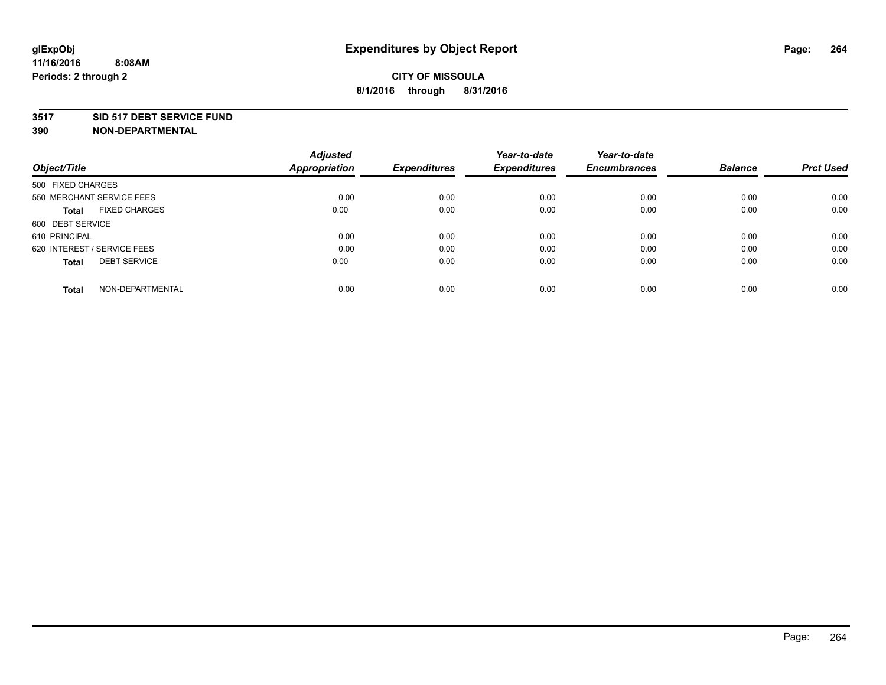### **3517 SID 517 DEBT SERVICE FUND**

| Object/Title                         | <b>Adjusted</b><br><b>Appropriation</b> | <b>Expenditures</b> | Year-to-date<br><b>Expenditures</b> | Year-to-date<br><b>Encumbrances</b> | <b>Balance</b> | <b>Prct Used</b> |
|--------------------------------------|-----------------------------------------|---------------------|-------------------------------------|-------------------------------------|----------------|------------------|
|                                      |                                         |                     |                                     |                                     |                |                  |
| 500 FIXED CHARGES                    |                                         |                     |                                     |                                     |                |                  |
| 550 MERCHANT SERVICE FEES            | 0.00                                    | 0.00                | 0.00                                | 0.00                                | 0.00           | 0.00             |
| <b>FIXED CHARGES</b><br><b>Total</b> | 0.00                                    | 0.00                | 0.00                                | 0.00                                | 0.00           | 0.00             |
| 600 DEBT SERVICE                     |                                         |                     |                                     |                                     |                |                  |
| 610 PRINCIPAL                        | 0.00                                    | 0.00                | 0.00                                | 0.00                                | 0.00           | 0.00             |
| 620 INTEREST / SERVICE FEES          | 0.00                                    | 0.00                | 0.00                                | 0.00                                | 0.00           | 0.00             |
| <b>DEBT SERVICE</b><br><b>Total</b>  | 0.00                                    | 0.00                | 0.00                                | 0.00                                | 0.00           | 0.00             |
| NON-DEPARTMENTAL<br><b>Total</b>     | 0.00                                    | 0.00                | 0.00                                | 0.00                                | 0.00           | 0.00             |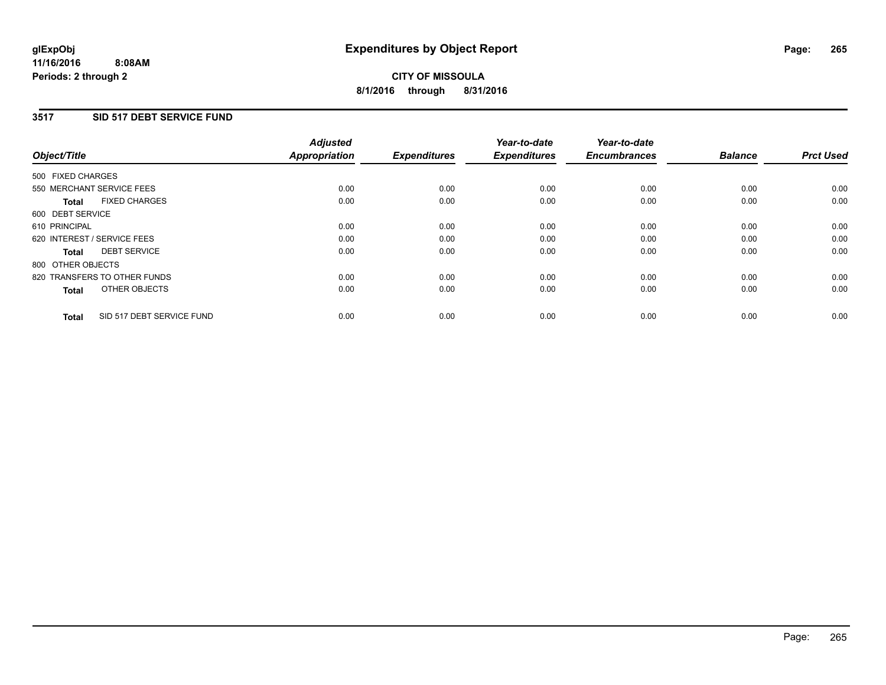## **3517 SID 517 DEBT SERVICE FUND**

| Object/Title                              | <b>Adjusted</b><br><b>Appropriation</b> | <b>Expenditures</b> | Year-to-date<br><b>Expenditures</b> | Year-to-date<br><b>Encumbrances</b> | <b>Balance</b> | <b>Prct Used</b> |
|-------------------------------------------|-----------------------------------------|---------------------|-------------------------------------|-------------------------------------|----------------|------------------|
|                                           |                                         |                     |                                     |                                     |                |                  |
| 500 FIXED CHARGES                         |                                         |                     |                                     |                                     |                |                  |
| 550 MERCHANT SERVICE FEES                 | 0.00                                    | 0.00                | 0.00                                | 0.00                                | 0.00           | 0.00             |
| <b>FIXED CHARGES</b><br>Total             | 0.00                                    | 0.00                | 0.00                                | 0.00                                | 0.00           | 0.00             |
| 600 DEBT SERVICE                          |                                         |                     |                                     |                                     |                |                  |
| 610 PRINCIPAL                             | 0.00                                    | 0.00                | 0.00                                | 0.00                                | 0.00           | 0.00             |
| 620 INTEREST / SERVICE FEES               | 0.00                                    | 0.00                | 0.00                                | 0.00                                | 0.00           | 0.00             |
| <b>DEBT SERVICE</b><br><b>Total</b>       | 0.00                                    | 0.00                | 0.00                                | 0.00                                | 0.00           | 0.00             |
| 800 OTHER OBJECTS                         |                                         |                     |                                     |                                     |                |                  |
| 820 TRANSFERS TO OTHER FUNDS              | 0.00                                    | 0.00                | 0.00                                | 0.00                                | 0.00           | 0.00             |
| OTHER OBJECTS<br><b>Total</b>             | 0.00                                    | 0.00                | 0.00                                | 0.00                                | 0.00           | 0.00             |
|                                           |                                         |                     |                                     |                                     |                |                  |
| SID 517 DEBT SERVICE FUND<br><b>Total</b> | 0.00                                    | 0.00                | 0.00                                | 0.00                                | 0.00           | 0.00             |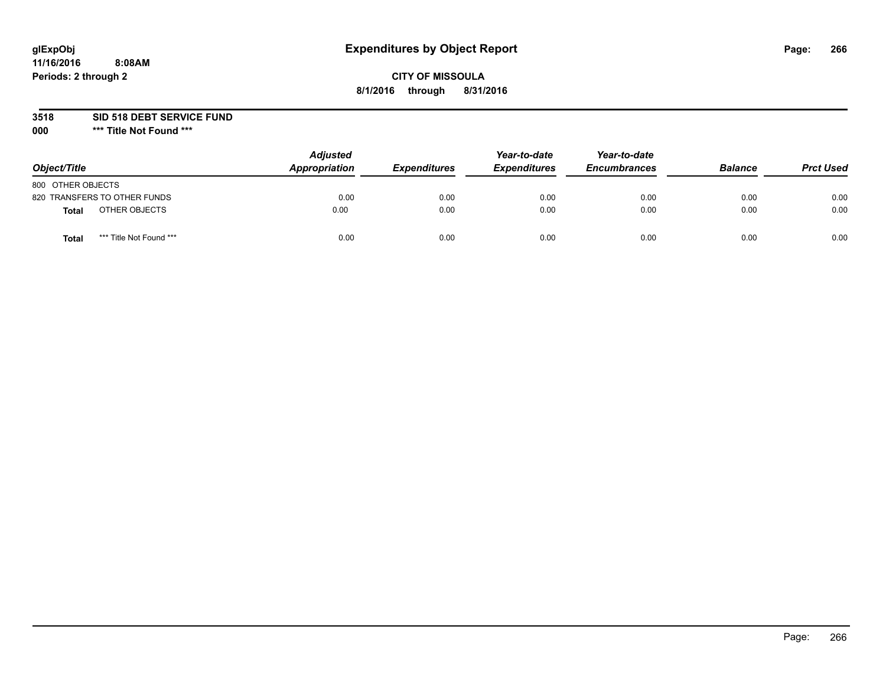# **glExpObj Expenditures by Object Report Page: 266**

# **CITY OF MISSOULA 8/1/2016 through 8/31/2016**

**3518 SID 518 DEBT SERVICE FUND**

**000 \*\*\* Title Not Found \*\*\***

| Object/Title                            | <b>Adjusted</b><br>Appropriation | <b>Expenditures</b> | Year-to-date<br><b>Expenditures</b> | Year-to-date<br><b>Encumbrances</b> | <b>Balance</b> | <b>Prct Used</b> |
|-----------------------------------------|----------------------------------|---------------------|-------------------------------------|-------------------------------------|----------------|------------------|
| 800 OTHER OBJECTS                       |                                  |                     |                                     |                                     |                |                  |
| 820 TRANSFERS TO OTHER FUNDS            | 0.00                             | 0.00                | 0.00                                | 0.00                                | 0.00           | 0.00             |
| OTHER OBJECTS<br><b>Total</b>           | 0.00                             | 0.00                | 0.00                                | 0.00                                | 0.00           | 0.00             |
| *** Title Not Found ***<br><b>Total</b> | 0.00                             | 0.00                | 0.00                                | 0.00                                | 0.00           | 0.00             |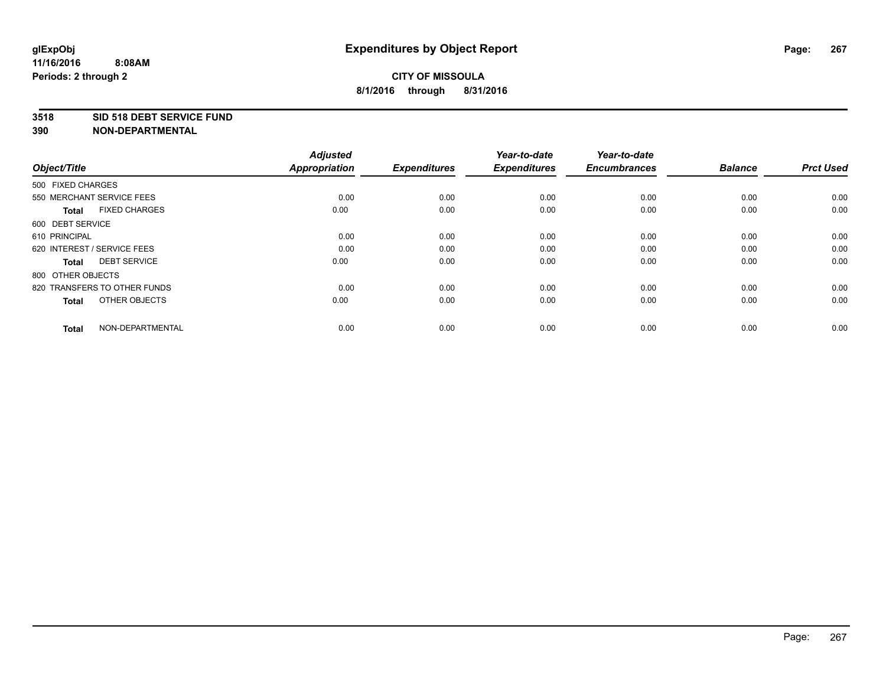### **3518 SID 518 DEBT SERVICE FUND**

| Object/Title                         | <b>Adjusted</b><br><b>Appropriation</b> | <b>Expenditures</b> | Year-to-date<br><b>Expenditures</b> | Year-to-date<br><b>Encumbrances</b> | <b>Balance</b> | <b>Prct Used</b> |
|--------------------------------------|-----------------------------------------|---------------------|-------------------------------------|-------------------------------------|----------------|------------------|
| 500 FIXED CHARGES                    |                                         |                     |                                     |                                     |                |                  |
| 550 MERCHANT SERVICE FEES            | 0.00                                    | 0.00                | 0.00                                | 0.00                                | 0.00           | 0.00             |
| <b>FIXED CHARGES</b><br><b>Total</b> | 0.00                                    | 0.00                | 0.00                                | 0.00                                | 0.00           | 0.00             |
| 600 DEBT SERVICE                     |                                         |                     |                                     |                                     |                |                  |
| 610 PRINCIPAL                        | 0.00                                    | 0.00                | 0.00                                | 0.00                                | 0.00           | 0.00             |
| 620 INTEREST / SERVICE FEES          | 0.00                                    | 0.00                | 0.00                                | 0.00                                | 0.00           | 0.00             |
| <b>DEBT SERVICE</b><br><b>Total</b>  | 0.00                                    | 0.00                | 0.00                                | 0.00                                | 0.00           | 0.00             |
| 800 OTHER OBJECTS                    |                                         |                     |                                     |                                     |                |                  |
| 820 TRANSFERS TO OTHER FUNDS         | 0.00                                    | 0.00                | 0.00                                | 0.00                                | 0.00           | 0.00             |
| OTHER OBJECTS<br><b>Total</b>        | 0.00                                    | 0.00                | 0.00                                | 0.00                                | 0.00           | 0.00             |
|                                      |                                         |                     |                                     |                                     |                |                  |
| NON-DEPARTMENTAL<br><b>Total</b>     | 0.00                                    | 0.00                | 0.00                                | 0.00                                | 0.00           | 0.00             |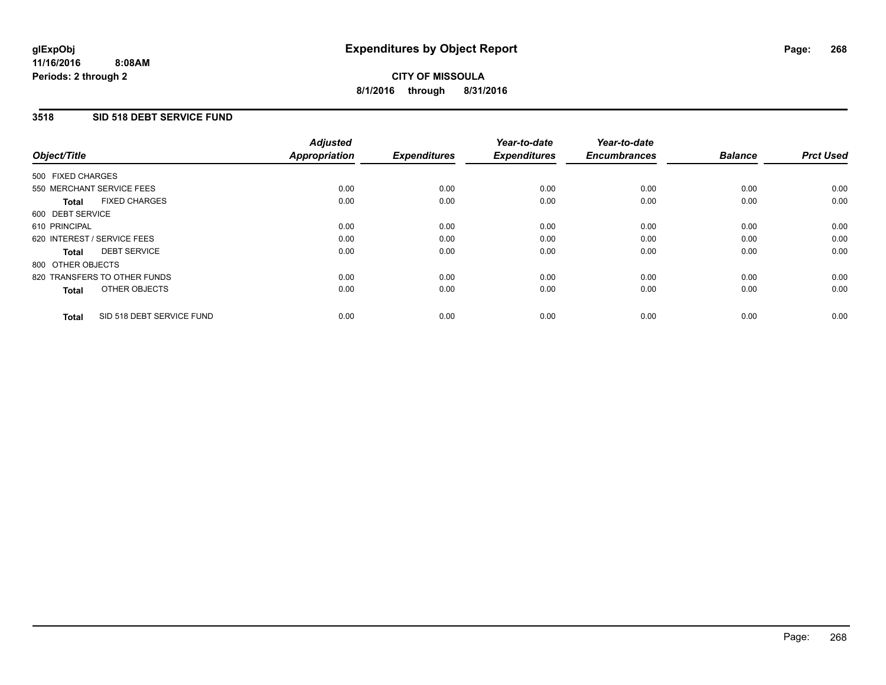# **3518 SID 518 DEBT SERVICE FUND**

| Object/Title                              | <b>Adjusted</b><br><b>Appropriation</b> | <b>Expenditures</b> | Year-to-date<br><b>Expenditures</b> | Year-to-date<br><b>Encumbrances</b> | <b>Balance</b> | <b>Prct Used</b> |
|-------------------------------------------|-----------------------------------------|---------------------|-------------------------------------|-------------------------------------|----------------|------------------|
|                                           |                                         |                     |                                     |                                     |                |                  |
| 500 FIXED CHARGES                         |                                         |                     |                                     |                                     |                |                  |
| 550 MERCHANT SERVICE FEES                 | 0.00                                    | 0.00                | 0.00                                | 0.00                                | 0.00           | 0.00             |
| <b>FIXED CHARGES</b><br>Total             | 0.00                                    | 0.00                | 0.00                                | 0.00                                | 0.00           | 0.00             |
| 600 DEBT SERVICE                          |                                         |                     |                                     |                                     |                |                  |
| 610 PRINCIPAL                             | 0.00                                    | 0.00                | 0.00                                | 0.00                                | 0.00           | 0.00             |
| 620 INTEREST / SERVICE FEES               | 0.00                                    | 0.00                | 0.00                                | 0.00                                | 0.00           | 0.00             |
| <b>DEBT SERVICE</b><br>Total              | 0.00                                    | 0.00                | 0.00                                | 0.00                                | 0.00           | 0.00             |
| 800 OTHER OBJECTS                         |                                         |                     |                                     |                                     |                |                  |
| 820 TRANSFERS TO OTHER FUNDS              | 0.00                                    | 0.00                | 0.00                                | 0.00                                | 0.00           | 0.00             |
| OTHER OBJECTS<br><b>Total</b>             | 0.00                                    | 0.00                | 0.00                                | 0.00                                | 0.00           | 0.00             |
|                                           |                                         |                     |                                     |                                     |                |                  |
| SID 518 DEBT SERVICE FUND<br><b>Total</b> | 0.00                                    | 0.00                | 0.00                                | 0.00                                | 0.00           | 0.00             |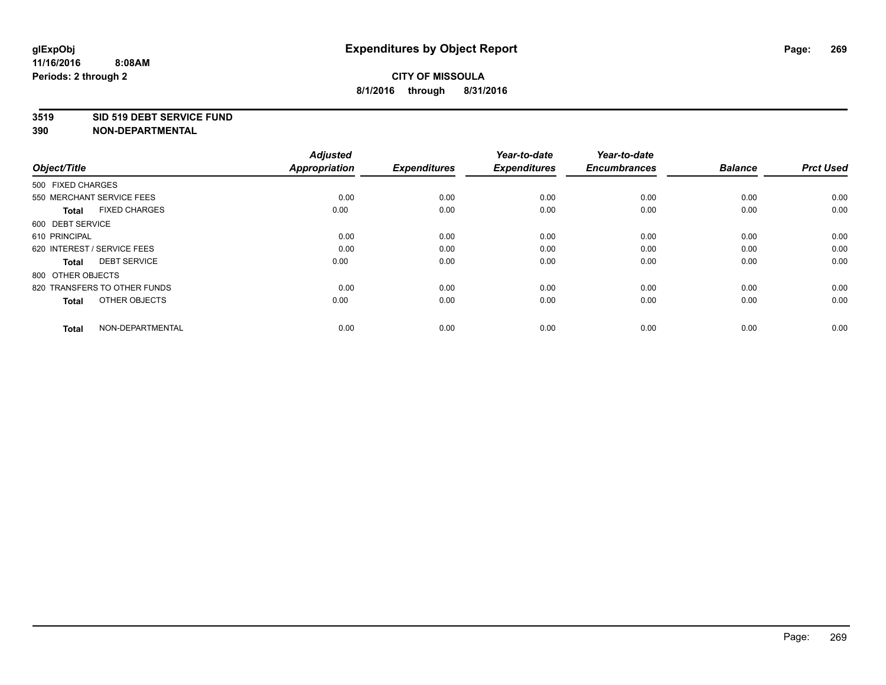#### **3519 SID 519 DEBT SERVICE FUND**

| Object/Title                         | <b>Adjusted</b><br><b>Appropriation</b> | <b>Expenditures</b> | Year-to-date<br><b>Expenditures</b> | Year-to-date<br><b>Encumbrances</b> | <b>Balance</b> | <b>Prct Used</b> |
|--------------------------------------|-----------------------------------------|---------------------|-------------------------------------|-------------------------------------|----------------|------------------|
| 500 FIXED CHARGES                    |                                         |                     |                                     |                                     |                |                  |
| 550 MERCHANT SERVICE FEES            | 0.00                                    | 0.00                | 0.00                                | 0.00                                | 0.00           | 0.00             |
| <b>FIXED CHARGES</b><br><b>Total</b> | 0.00                                    | 0.00                | 0.00                                | 0.00                                | 0.00           | 0.00             |
| 600 DEBT SERVICE                     |                                         |                     |                                     |                                     |                |                  |
| 610 PRINCIPAL                        | 0.00                                    | 0.00                | 0.00                                | 0.00                                | 0.00           | 0.00             |
| 620 INTEREST / SERVICE FEES          | 0.00                                    | 0.00                | 0.00                                | 0.00                                | 0.00           | 0.00             |
| <b>DEBT SERVICE</b><br><b>Total</b>  | 0.00                                    | 0.00                | 0.00                                | 0.00                                | 0.00           | 0.00             |
| 800 OTHER OBJECTS                    |                                         |                     |                                     |                                     |                |                  |
| 820 TRANSFERS TO OTHER FUNDS         | 0.00                                    | 0.00                | 0.00                                | 0.00                                | 0.00           | 0.00             |
| OTHER OBJECTS<br><b>Total</b>        | 0.00                                    | 0.00                | 0.00                                | 0.00                                | 0.00           | 0.00             |
|                                      |                                         |                     |                                     |                                     |                |                  |
| NON-DEPARTMENTAL<br><b>Total</b>     | 0.00                                    | 0.00                | 0.00                                | 0.00                                | 0.00           | 0.00             |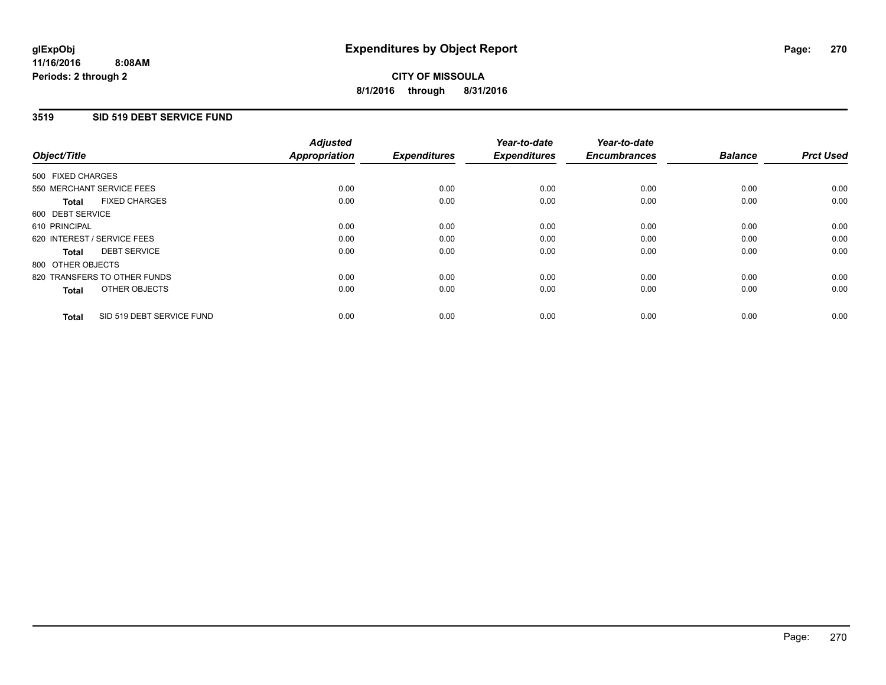# **3519 SID 519 DEBT SERVICE FUND**

| Object/Title                              | <b>Adjusted</b><br><b>Appropriation</b> | <b>Expenditures</b> | Year-to-date<br><b>Expenditures</b> | Year-to-date<br><b>Encumbrances</b> | <b>Balance</b> | <b>Prct Used</b> |
|-------------------------------------------|-----------------------------------------|---------------------|-------------------------------------|-------------------------------------|----------------|------------------|
|                                           |                                         |                     |                                     |                                     |                |                  |
| 500 FIXED CHARGES                         |                                         |                     |                                     |                                     |                |                  |
| 550 MERCHANT SERVICE FEES                 | 0.00                                    | 0.00                | 0.00                                | 0.00                                | 0.00           | 0.00             |
| <b>FIXED CHARGES</b><br>Total             | 0.00                                    | 0.00                | 0.00                                | 0.00                                | 0.00           | 0.00             |
| 600 DEBT SERVICE                          |                                         |                     |                                     |                                     |                |                  |
| 610 PRINCIPAL                             | 0.00                                    | 0.00                | 0.00                                | 0.00                                | 0.00           | 0.00             |
| 620 INTEREST / SERVICE FEES               | 0.00                                    | 0.00                | 0.00                                | 0.00                                | 0.00           | 0.00             |
| <b>DEBT SERVICE</b><br><b>Total</b>       | 0.00                                    | 0.00                | 0.00                                | 0.00                                | 0.00           | 0.00             |
| 800 OTHER OBJECTS                         |                                         |                     |                                     |                                     |                |                  |
| 820 TRANSFERS TO OTHER FUNDS              | 0.00                                    | 0.00                | 0.00                                | 0.00                                | 0.00           | 0.00             |
| OTHER OBJECTS<br><b>Total</b>             | 0.00                                    | 0.00                | 0.00                                | 0.00                                | 0.00           | 0.00             |
|                                           |                                         |                     |                                     |                                     |                |                  |
| SID 519 DEBT SERVICE FUND<br><b>Total</b> | 0.00                                    | 0.00                | 0.00                                | 0.00                                | 0.00           | 0.00             |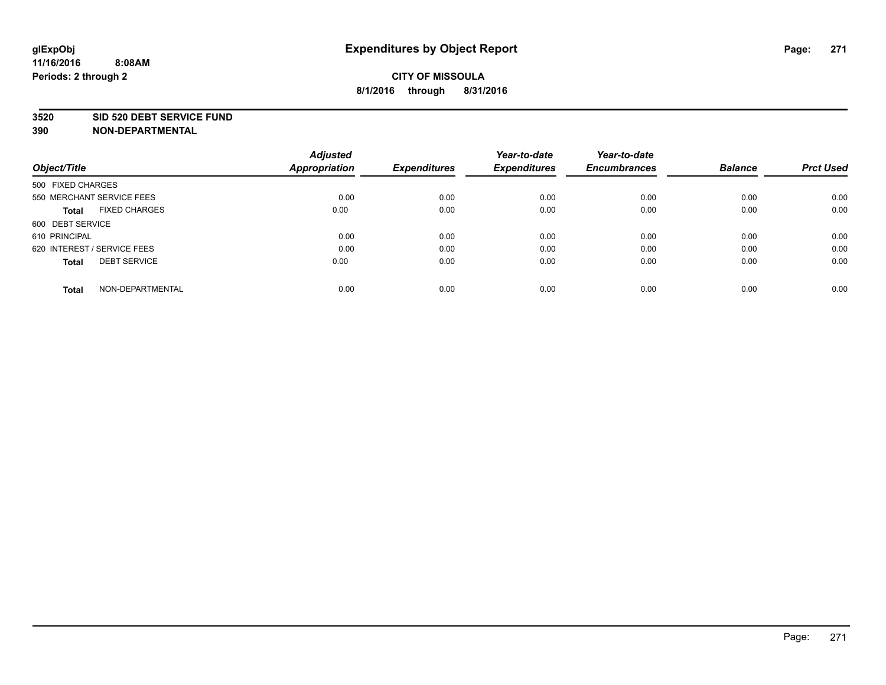#### **3520 SID 520 DEBT SERVICE FUND**

| Object/Title                         | <b>Adjusted</b><br><b>Appropriation</b> | <b>Expenditures</b> | Year-to-date<br><b>Expenditures</b> | Year-to-date<br><b>Encumbrances</b> | <b>Balance</b> | <b>Prct Used</b> |
|--------------------------------------|-----------------------------------------|---------------------|-------------------------------------|-------------------------------------|----------------|------------------|
| 500 FIXED CHARGES                    |                                         |                     |                                     |                                     |                |                  |
| 550 MERCHANT SERVICE FEES            | 0.00                                    | 0.00                | 0.00                                | 0.00                                | 0.00           | 0.00             |
| <b>FIXED CHARGES</b><br><b>Total</b> | 0.00                                    | 0.00                | 0.00                                | 0.00                                | 0.00           | 0.00             |
| 600 DEBT SERVICE                     |                                         |                     |                                     |                                     |                |                  |
| 610 PRINCIPAL                        | 0.00                                    | 0.00                | 0.00                                | 0.00                                | 0.00           | 0.00             |
| 620 INTEREST / SERVICE FEES          | 0.00                                    | 0.00                | 0.00                                | 0.00                                | 0.00           | 0.00             |
| <b>DEBT SERVICE</b><br><b>Total</b>  | 0.00                                    | 0.00                | 0.00                                | 0.00                                | 0.00           | 0.00             |
| NON-DEPARTMENTAL<br><b>Total</b>     | 0.00                                    | 0.00                | 0.00                                | 0.00                                | 0.00           | 0.00             |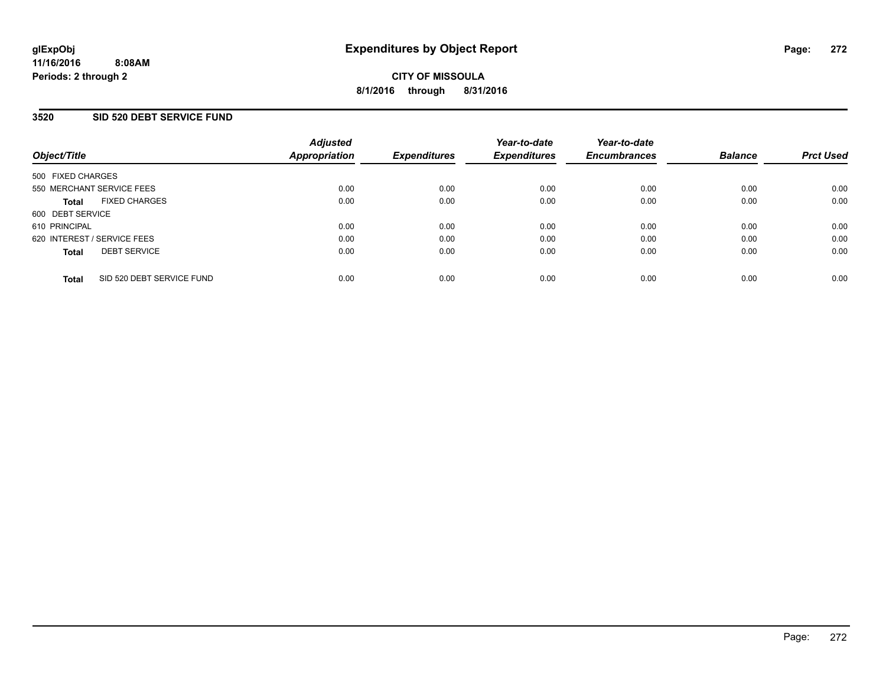## **3520 SID 520 DEBT SERVICE FUND**

| Object/Title                              | <b>Adjusted</b><br><b>Appropriation</b> | <b>Expenditures</b> | Year-to-date<br><b>Expenditures</b> | Year-to-date<br><b>Encumbrances</b> | <b>Balance</b> | <b>Prct Used</b> |
|-------------------------------------------|-----------------------------------------|---------------------|-------------------------------------|-------------------------------------|----------------|------------------|
| 500 FIXED CHARGES                         |                                         |                     |                                     |                                     |                |                  |
| 550 MERCHANT SERVICE FEES                 | 0.00                                    | 0.00                | 0.00                                | 0.00                                | 0.00           | 0.00             |
| <b>FIXED CHARGES</b><br><b>Total</b>      | 0.00                                    | 0.00                | 0.00                                | 0.00                                | 0.00           | 0.00             |
| 600 DEBT SERVICE                          |                                         |                     |                                     |                                     |                |                  |
| 610 PRINCIPAL                             | 0.00                                    | 0.00                | 0.00                                | 0.00                                | 0.00           | 0.00             |
| 620 INTEREST / SERVICE FEES               | 0.00                                    | 0.00                | 0.00                                | 0.00                                | 0.00           | 0.00             |
| <b>DEBT SERVICE</b><br><b>Total</b>       | 0.00                                    | 0.00                | 0.00                                | 0.00                                | 0.00           | 0.00             |
| SID 520 DEBT SERVICE FUND<br><b>Total</b> | 0.00                                    | 0.00                | 0.00                                | 0.00                                | 0.00           | 0.00             |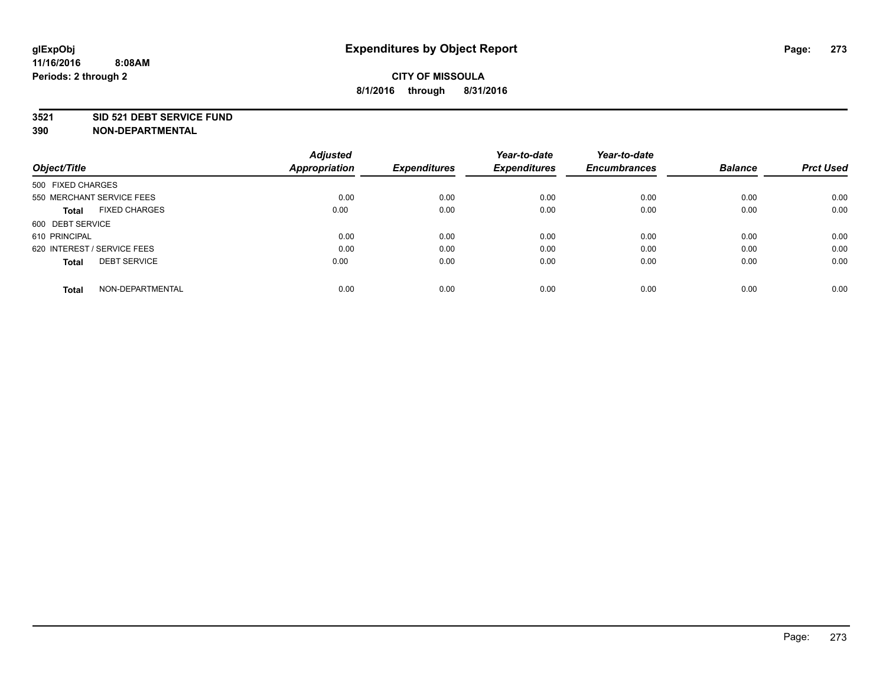### **3521 SID 521 DEBT SERVICE FUND**

| Object/Title                         | <b>Adjusted</b><br><b>Appropriation</b> | <b>Expenditures</b> | Year-to-date<br><b>Expenditures</b> | Year-to-date<br><b>Encumbrances</b> | <b>Balance</b> | <b>Prct Used</b> |
|--------------------------------------|-----------------------------------------|---------------------|-------------------------------------|-------------------------------------|----------------|------------------|
|                                      |                                         |                     |                                     |                                     |                |                  |
| 500 FIXED CHARGES                    |                                         |                     |                                     |                                     |                |                  |
| 550 MERCHANT SERVICE FEES            | 0.00                                    | 0.00                | 0.00                                | 0.00                                | 0.00           | 0.00             |
| <b>FIXED CHARGES</b><br><b>Total</b> | 0.00                                    | 0.00                | 0.00                                | 0.00                                | 0.00           | 0.00             |
| 600 DEBT SERVICE                     |                                         |                     |                                     |                                     |                |                  |
| 610 PRINCIPAL                        | 0.00                                    | 0.00                | 0.00                                | 0.00                                | 0.00           | 0.00             |
| 620 INTEREST / SERVICE FEES          | 0.00                                    | 0.00                | 0.00                                | 0.00                                | 0.00           | 0.00             |
| <b>DEBT SERVICE</b><br><b>Total</b>  | 0.00                                    | 0.00                | 0.00                                | 0.00                                | 0.00           | 0.00             |
| NON-DEPARTMENTAL<br><b>Total</b>     | 0.00                                    | 0.00                | 0.00                                | 0.00                                | 0.00           | 0.00             |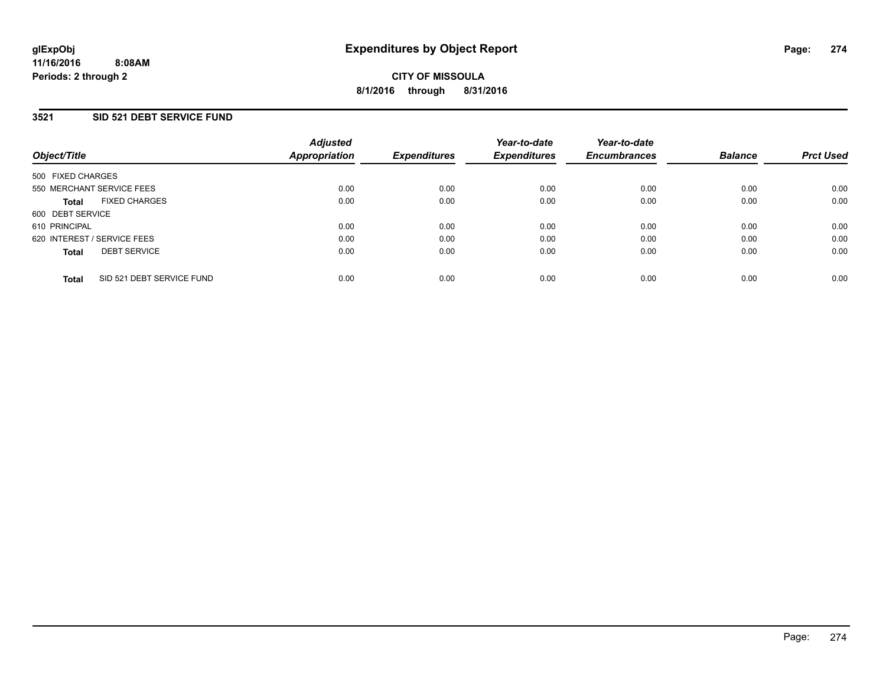# **3521 SID 521 DEBT SERVICE FUND**

| Object/Title                              | <b>Adjusted</b><br><b>Appropriation</b> | <b>Expenditures</b> | Year-to-date<br><b>Expenditures</b> | Year-to-date<br><b>Encumbrances</b> | <b>Balance</b> | <b>Prct Used</b> |
|-------------------------------------------|-----------------------------------------|---------------------|-------------------------------------|-------------------------------------|----------------|------------------|
| 500 FIXED CHARGES                         |                                         |                     |                                     |                                     |                |                  |
| 550 MERCHANT SERVICE FEES                 | 0.00                                    | 0.00                | 0.00                                | 0.00                                | 0.00           | 0.00             |
| <b>FIXED CHARGES</b><br><b>Total</b>      | 0.00                                    | 0.00                | 0.00                                | 0.00                                | 0.00           | 0.00             |
| 600 DEBT SERVICE                          |                                         |                     |                                     |                                     |                |                  |
| 610 PRINCIPAL                             | 0.00                                    | 0.00                | 0.00                                | 0.00                                | 0.00           | 0.00             |
| 620 INTEREST / SERVICE FEES               | 0.00                                    | 0.00                | 0.00                                | 0.00                                | 0.00           | 0.00             |
| <b>DEBT SERVICE</b><br><b>Total</b>       | 0.00                                    | 0.00                | 0.00                                | 0.00                                | 0.00           | 0.00             |
| SID 521 DEBT SERVICE FUND<br><b>Total</b> | 0.00                                    | 0.00                | 0.00                                | 0.00                                | 0.00           | 0.00             |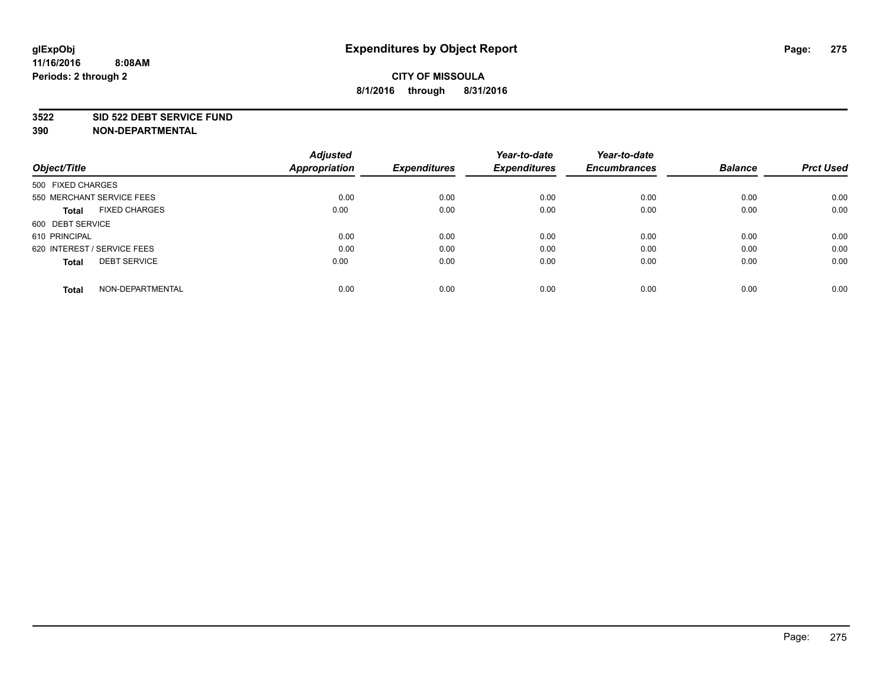#### **3522 SID 522 DEBT SERVICE FUND**

| Object/Title                         | <b>Adjusted</b><br><b>Appropriation</b> | <b>Expenditures</b> | Year-to-date<br><b>Expenditures</b> | Year-to-date<br><b>Encumbrances</b> | <b>Balance</b> | <b>Prct Used</b> |
|--------------------------------------|-----------------------------------------|---------------------|-------------------------------------|-------------------------------------|----------------|------------------|
|                                      |                                         |                     |                                     |                                     |                |                  |
| 500 FIXED CHARGES                    |                                         |                     |                                     |                                     |                |                  |
| 550 MERCHANT SERVICE FEES            | 0.00                                    | 0.00                | 0.00                                | 0.00                                | 0.00           | 0.00             |
| <b>FIXED CHARGES</b><br><b>Total</b> | 0.00                                    | 0.00                | 0.00                                | 0.00                                | 0.00           | 0.00             |
| 600 DEBT SERVICE                     |                                         |                     |                                     |                                     |                |                  |
| 610 PRINCIPAL                        | 0.00                                    | 0.00                | 0.00                                | 0.00                                | 0.00           | 0.00             |
| 620 INTEREST / SERVICE FEES          | 0.00                                    | 0.00                | 0.00                                | 0.00                                | 0.00           | 0.00             |
| <b>DEBT SERVICE</b><br><b>Total</b>  | 0.00                                    | 0.00                | 0.00                                | 0.00                                | 0.00           | 0.00             |
|                                      |                                         |                     |                                     |                                     |                |                  |
| NON-DEPARTMENTAL<br><b>Total</b>     | 0.00                                    | 0.00                | 0.00                                | 0.00                                | 0.00           | 0.00             |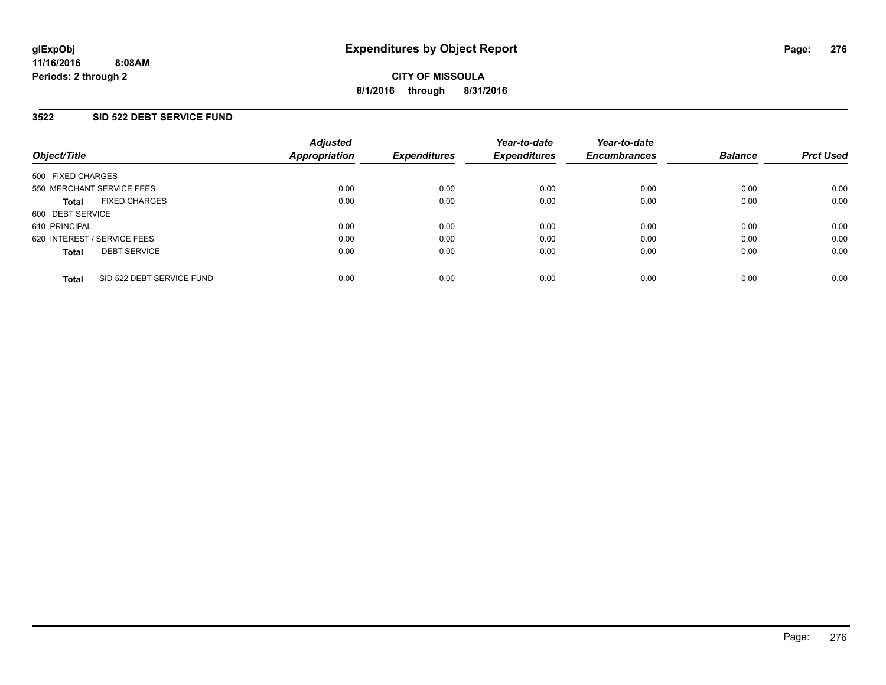### **3522 SID 522 DEBT SERVICE FUND**

| Object/Title                              | <b>Adjusted</b><br><b>Appropriation</b> | <b>Expenditures</b> | Year-to-date<br><b>Expenditures</b> | Year-to-date<br><b>Encumbrances</b> | <b>Balance</b> | <b>Prct Used</b> |
|-------------------------------------------|-----------------------------------------|---------------------|-------------------------------------|-------------------------------------|----------------|------------------|
| 500 FIXED CHARGES                         |                                         |                     |                                     |                                     |                |                  |
| 550 MERCHANT SERVICE FEES                 | 0.00                                    | 0.00                | 0.00                                | 0.00                                | 0.00           | 0.00             |
| <b>FIXED CHARGES</b><br><b>Total</b>      | 0.00                                    | 0.00                | 0.00                                | 0.00                                | 0.00           | 0.00             |
| 600 DEBT SERVICE                          |                                         |                     |                                     |                                     |                |                  |
| 610 PRINCIPAL                             | 0.00                                    | 0.00                | 0.00                                | 0.00                                | 0.00           | 0.00             |
| 620 INTEREST / SERVICE FEES               | 0.00                                    | 0.00                | 0.00                                | 0.00                                | 0.00           | 0.00             |
| <b>DEBT SERVICE</b><br><b>Total</b>       | 0.00                                    | 0.00                | 0.00                                | 0.00                                | 0.00           | 0.00             |
| SID 522 DEBT SERVICE FUND<br><b>Total</b> | 0.00                                    | 0.00                | 0.00                                | 0.00                                | 0.00           | 0.00             |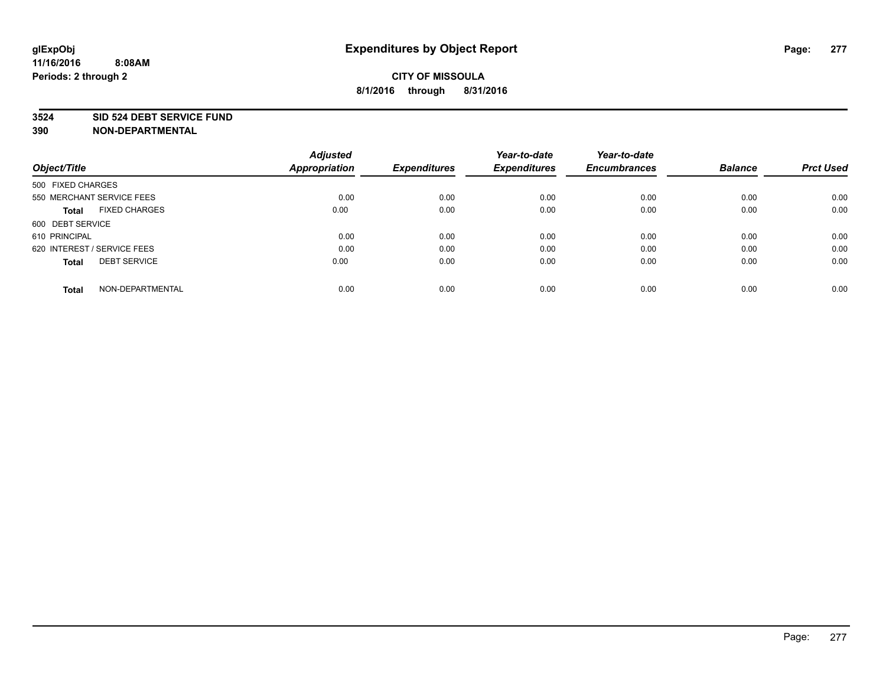### **3524 SID 524 DEBT SERVICE FUND**

| Object/Title                         | <b>Adjusted</b><br><b>Appropriation</b> | <b>Expenditures</b> | Year-to-date<br><b>Expenditures</b> | Year-to-date<br><b>Encumbrances</b> | <b>Balance</b> | <b>Prct Used</b> |
|--------------------------------------|-----------------------------------------|---------------------|-------------------------------------|-------------------------------------|----------------|------------------|
|                                      |                                         |                     |                                     |                                     |                |                  |
| 500 FIXED CHARGES                    |                                         |                     |                                     |                                     |                |                  |
| 550 MERCHANT SERVICE FEES            | 0.00                                    | 0.00                | 0.00                                | 0.00                                | 0.00           | 0.00             |
| <b>FIXED CHARGES</b><br><b>Total</b> | 0.00                                    | 0.00                | 0.00                                | 0.00                                | 0.00           | 0.00             |
| 600 DEBT SERVICE                     |                                         |                     |                                     |                                     |                |                  |
| 610 PRINCIPAL                        | 0.00                                    | 0.00                | 0.00                                | 0.00                                | 0.00           | 0.00             |
| 620 INTEREST / SERVICE FEES          | 0.00                                    | 0.00                | 0.00                                | 0.00                                | 0.00           | 0.00             |
| <b>DEBT SERVICE</b><br><b>Total</b>  | 0.00                                    | 0.00                | 0.00                                | 0.00                                | 0.00           | 0.00             |
|                                      |                                         |                     |                                     |                                     |                |                  |
| NON-DEPARTMENTAL<br><b>Total</b>     | 0.00                                    | 0.00                | 0.00                                | 0.00                                | 0.00           | 0.00             |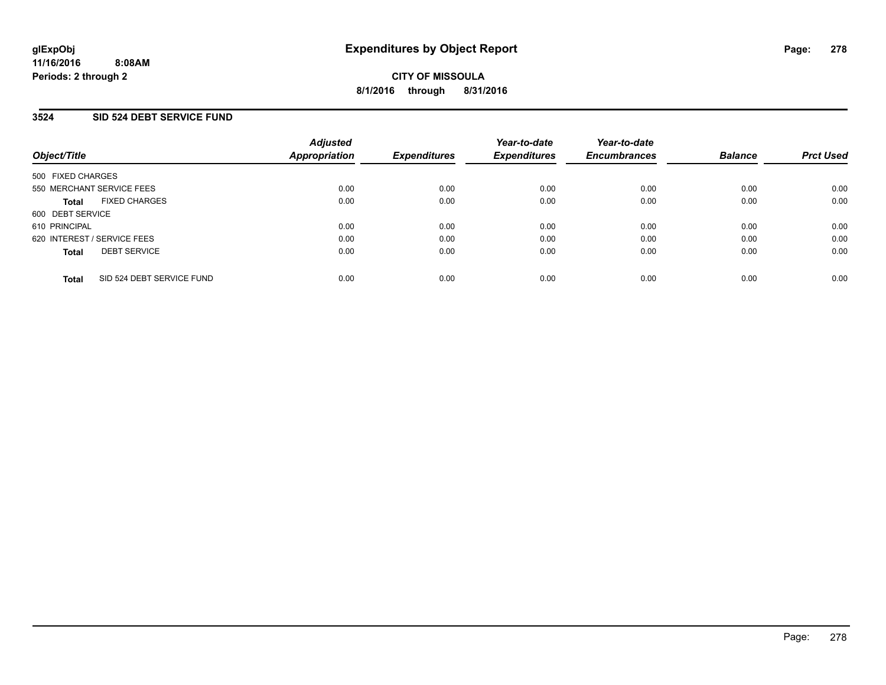### **3524 SID 524 DEBT SERVICE FUND**

| Object/Title                              | <b>Adjusted</b><br><b>Appropriation</b> | <b>Expenditures</b> | Year-to-date<br><b>Expenditures</b> | Year-to-date<br><b>Encumbrances</b> | <b>Balance</b> | <b>Prct Used</b> |
|-------------------------------------------|-----------------------------------------|---------------------|-------------------------------------|-------------------------------------|----------------|------------------|
| 500 FIXED CHARGES                         |                                         |                     |                                     |                                     |                |                  |
| 550 MERCHANT SERVICE FEES                 | 0.00                                    | 0.00                | 0.00                                | 0.00                                | 0.00           | 0.00             |
| <b>FIXED CHARGES</b><br><b>Total</b>      | 0.00                                    | 0.00                | 0.00                                | 0.00                                | 0.00           | 0.00             |
| 600 DEBT SERVICE                          |                                         |                     |                                     |                                     |                |                  |
| 610 PRINCIPAL                             | 0.00                                    | 0.00                | 0.00                                | 0.00                                | 0.00           | 0.00             |
| 620 INTEREST / SERVICE FEES               | 0.00                                    | 0.00                | 0.00                                | 0.00                                | 0.00           | 0.00             |
| <b>DEBT SERVICE</b><br><b>Total</b>       | 0.00                                    | 0.00                | 0.00                                | 0.00                                | 0.00           | 0.00             |
| SID 524 DEBT SERVICE FUND<br><b>Total</b> | 0.00                                    | 0.00                | 0.00                                | 0.00                                | 0.00           | 0.00             |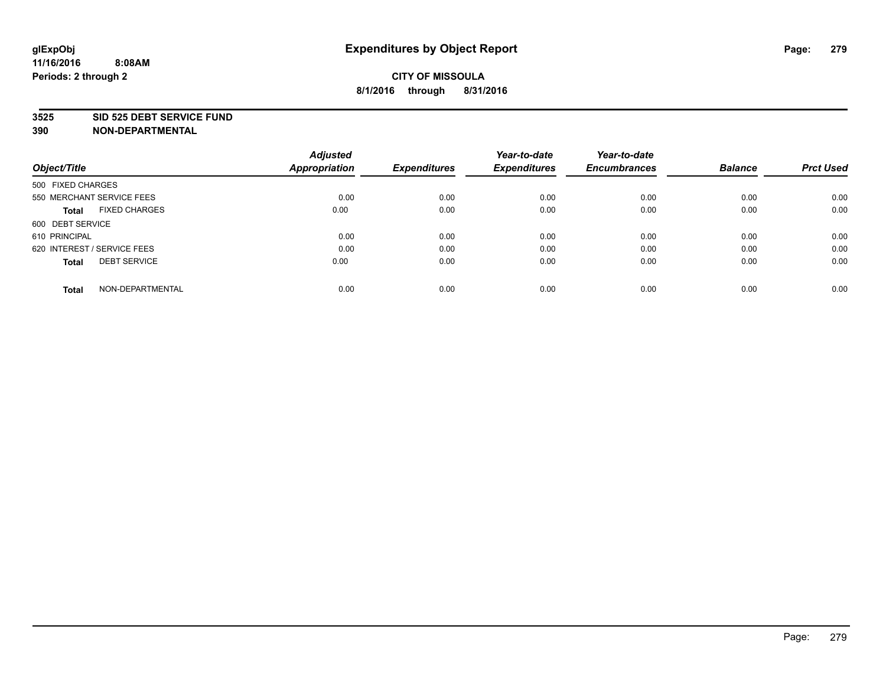#### **3525 SID 525 DEBT SERVICE FUND**

| Object/Title                         | <b>Adjusted</b><br><b>Appropriation</b> | <b>Expenditures</b> | Year-to-date<br><b>Expenditures</b> | Year-to-date<br><b>Encumbrances</b> | <b>Balance</b> | <b>Prct Used</b> |
|--------------------------------------|-----------------------------------------|---------------------|-------------------------------------|-------------------------------------|----------------|------------------|
| 500 FIXED CHARGES                    |                                         |                     |                                     |                                     |                |                  |
| 550 MERCHANT SERVICE FEES            | 0.00                                    | 0.00                | 0.00                                | 0.00                                | 0.00           | 0.00             |
| <b>FIXED CHARGES</b><br><b>Total</b> | 0.00                                    | 0.00                | 0.00                                | 0.00                                | 0.00           | 0.00             |
| 600 DEBT SERVICE                     |                                         |                     |                                     |                                     |                |                  |
| 610 PRINCIPAL                        | 0.00                                    | 0.00                | 0.00                                | 0.00                                | 0.00           | 0.00             |
| 620 INTEREST / SERVICE FEES          | 0.00                                    | 0.00                | 0.00                                | 0.00                                | 0.00           | 0.00             |
| <b>DEBT SERVICE</b><br><b>Total</b>  | 0.00                                    | 0.00                | 0.00                                | 0.00                                | 0.00           | 0.00             |
| NON-DEPARTMENTAL<br><b>Total</b>     | 0.00                                    | 0.00                | 0.00                                | 0.00                                | 0.00           | 0.00             |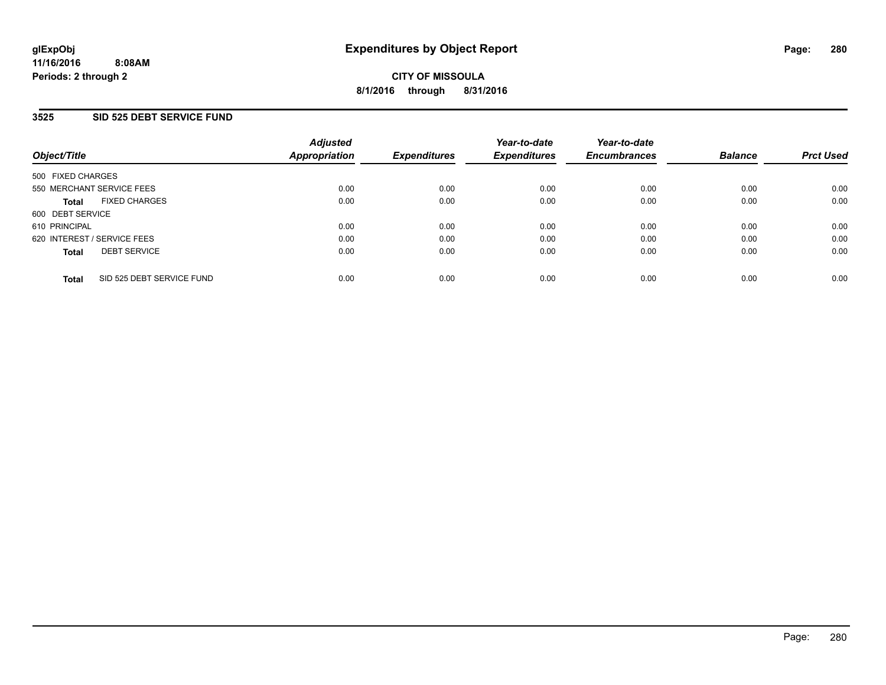## **3525 SID 525 DEBT SERVICE FUND**

| Object/Title                              | <b>Adjusted</b><br>Appropriation | <b>Expenditures</b> | Year-to-date<br><b>Expenditures</b> | Year-to-date<br><b>Encumbrances</b> | <b>Balance</b> | <b>Prct Used</b> |
|-------------------------------------------|----------------------------------|---------------------|-------------------------------------|-------------------------------------|----------------|------------------|
| 500 FIXED CHARGES                         |                                  |                     |                                     |                                     |                |                  |
| 550 MERCHANT SERVICE FEES                 | 0.00                             | 0.00                | 0.00                                | 0.00                                | 0.00           | 0.00             |
| <b>FIXED CHARGES</b><br><b>Total</b>      | 0.00                             | 0.00                | 0.00                                | 0.00                                | 0.00           | 0.00             |
| 600 DEBT SERVICE                          |                                  |                     |                                     |                                     |                |                  |
| 610 PRINCIPAL                             | 0.00                             | 0.00                | 0.00                                | 0.00                                | 0.00           | 0.00             |
| 620 INTEREST / SERVICE FEES               | 0.00                             | 0.00                | 0.00                                | 0.00                                | 0.00           | 0.00             |
| <b>DEBT SERVICE</b><br><b>Total</b>       | 0.00                             | 0.00                | 0.00                                | 0.00                                | 0.00           | 0.00             |
| SID 525 DEBT SERVICE FUND<br><b>Total</b> | 0.00                             | 0.00                | 0.00                                | 0.00                                | 0.00           | 0.00             |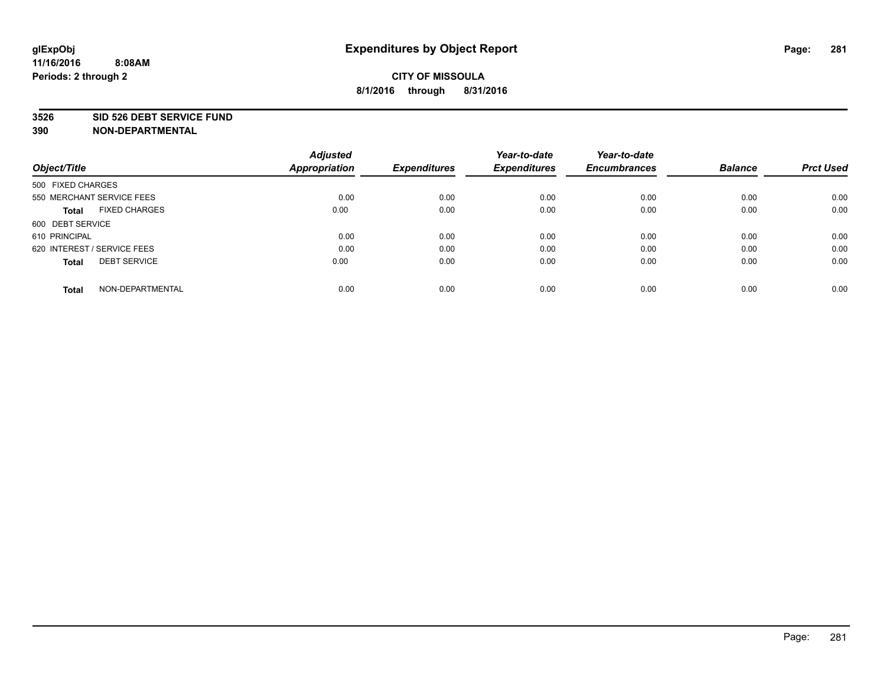#### **3526 SID 526 DEBT SERVICE FUND**

| Object/Title                         | <b>Adjusted</b><br><b>Appropriation</b> | <b>Expenditures</b> | Year-to-date<br><b>Expenditures</b> | Year-to-date<br><b>Encumbrances</b> | <b>Balance</b> | <b>Prct Used</b> |
|--------------------------------------|-----------------------------------------|---------------------|-------------------------------------|-------------------------------------|----------------|------------------|
| 500 FIXED CHARGES                    |                                         |                     |                                     |                                     |                |                  |
| 550 MERCHANT SERVICE FEES            | 0.00                                    | 0.00                | 0.00                                | 0.00                                | 0.00           | 0.00             |
| <b>FIXED CHARGES</b><br><b>Total</b> | 0.00                                    | 0.00                | 0.00                                | 0.00                                | 0.00           | 0.00             |
| 600 DEBT SERVICE                     |                                         |                     |                                     |                                     |                |                  |
| 610 PRINCIPAL                        | 0.00                                    | 0.00                | 0.00                                | 0.00                                | 0.00           | 0.00             |
| 620 INTEREST / SERVICE FEES          | 0.00                                    | 0.00                | 0.00                                | 0.00                                | 0.00           | 0.00             |
| <b>DEBT SERVICE</b><br><b>Total</b>  | 0.00                                    | 0.00                | 0.00                                | 0.00                                | 0.00           | 0.00             |
| NON-DEPARTMENTAL<br><b>Total</b>     | 0.00                                    | 0.00                | 0.00                                | 0.00                                | 0.00           | 0.00             |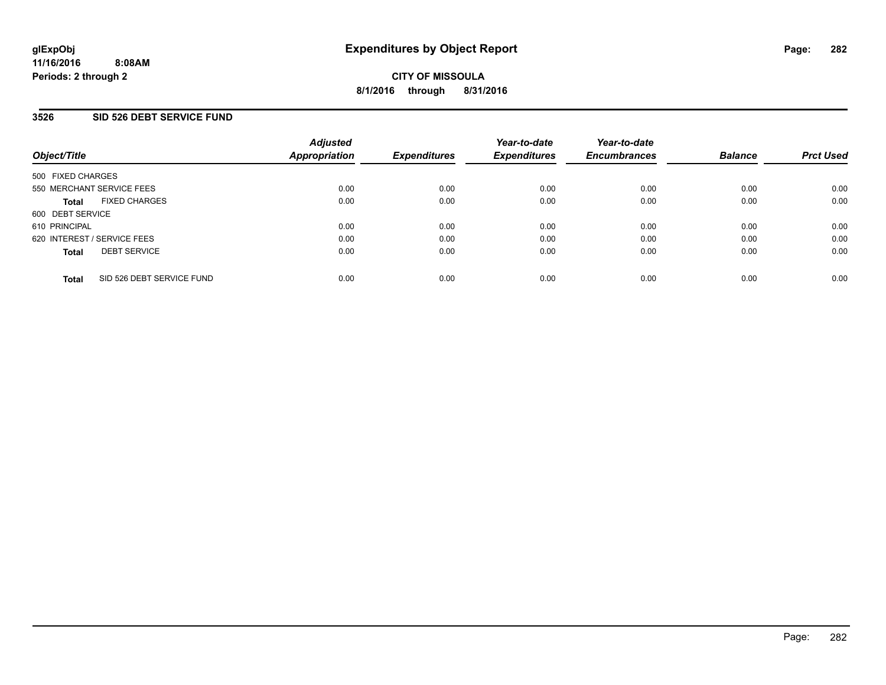### **3526 SID 526 DEBT SERVICE FUND**

| Object/Title                              | <b>Adjusted</b><br>Appropriation | <b>Expenditures</b> | Year-to-date<br><b>Expenditures</b> | Year-to-date<br><b>Encumbrances</b> | <b>Balance</b> | <b>Prct Used</b> |
|-------------------------------------------|----------------------------------|---------------------|-------------------------------------|-------------------------------------|----------------|------------------|
| 500 FIXED CHARGES                         |                                  |                     |                                     |                                     |                |                  |
| 550 MERCHANT SERVICE FEES                 | 0.00                             | 0.00                | 0.00                                | 0.00                                | 0.00           | 0.00             |
| <b>FIXED CHARGES</b><br><b>Total</b>      | 0.00                             | 0.00                | 0.00                                | 0.00                                | 0.00           | 0.00             |
| 600 DEBT SERVICE                          |                                  |                     |                                     |                                     |                |                  |
| 610 PRINCIPAL                             | 0.00                             | 0.00                | 0.00                                | 0.00                                | 0.00           | 0.00             |
| 620 INTEREST / SERVICE FEES               | 0.00                             | 0.00                | 0.00                                | 0.00                                | 0.00           | 0.00             |
| <b>DEBT SERVICE</b><br><b>Total</b>       | 0.00                             | 0.00                | 0.00                                | 0.00                                | 0.00           | 0.00             |
| SID 526 DEBT SERVICE FUND<br><b>Total</b> | 0.00                             | 0.00                | 0.00                                | 0.00                                | 0.00           | 0.00             |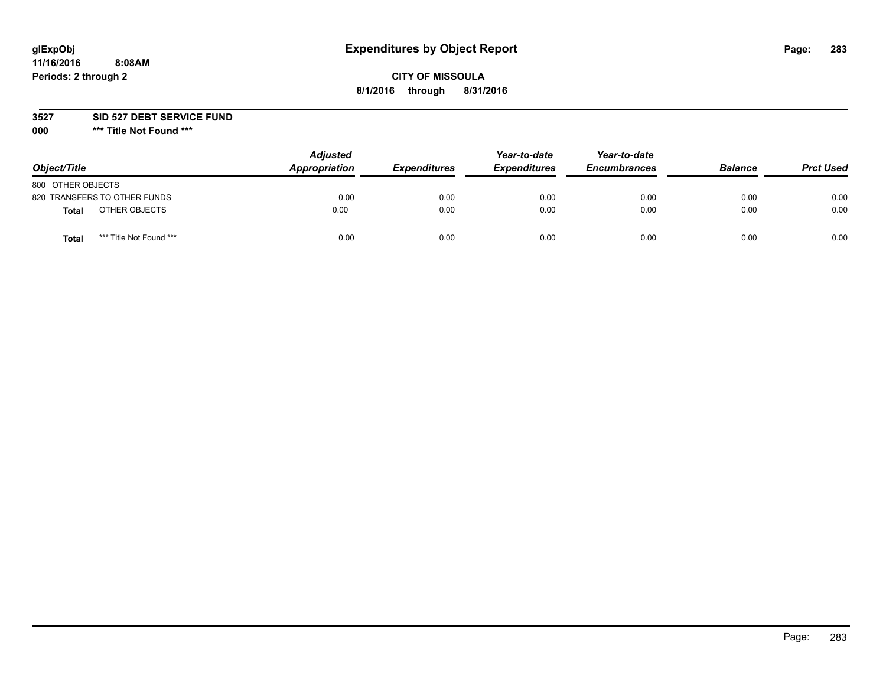# **glExpObj Expenditures by Object Report Page: 283**

# **CITY OF MISSOULA 8/1/2016 through 8/31/2016**

**3527 SID 527 DEBT SERVICE FUND**

**000 \*\*\* Title Not Found \*\*\***

| Object/Title                            | <b>Adjusted</b><br>Appropriation | <b>Expenditures</b> | Year-to-date<br><b>Expenditures</b> | Year-to-date<br><b>Encumbrances</b> | <b>Balance</b> | <b>Prct Used</b> |
|-----------------------------------------|----------------------------------|---------------------|-------------------------------------|-------------------------------------|----------------|------------------|
| 800 OTHER OBJECTS                       |                                  |                     |                                     |                                     |                |                  |
| 820 TRANSFERS TO OTHER FUNDS            | 0.00                             | 0.00                | 0.00                                | 0.00                                | 0.00           | 0.00             |
| OTHER OBJECTS<br><b>Total</b>           | 0.00                             | 0.00                | 0.00                                | 0.00                                | 0.00           | 0.00             |
| *** Title Not Found ***<br><b>Total</b> | 0.00                             | 0.00                | 0.00                                | 0.00                                | 0.00           | 0.00             |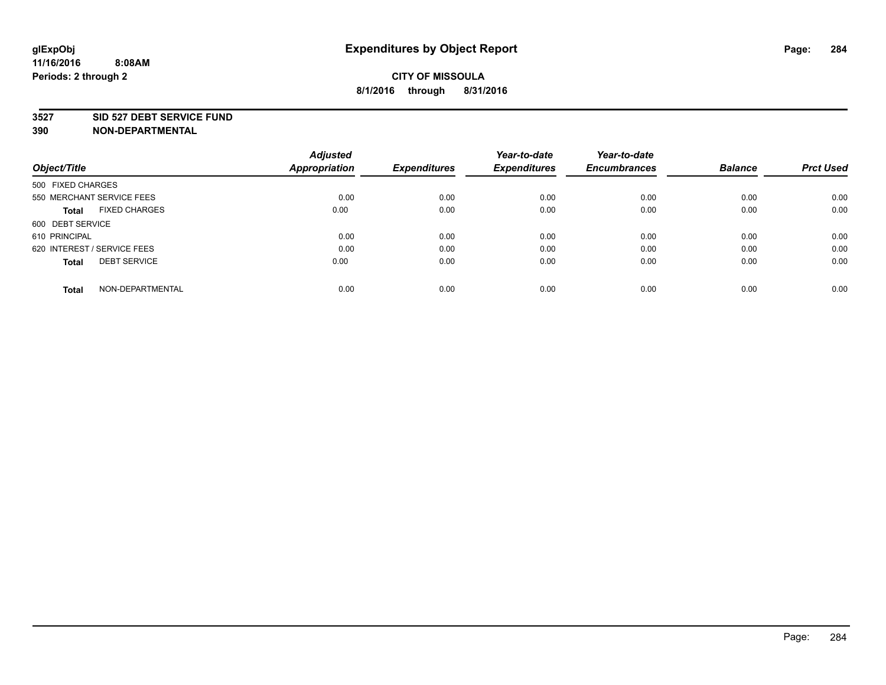### **3527 SID 527 DEBT SERVICE FUND**

|                                      | <b>Adjusted</b>      |                     | Year-to-date        | Year-to-date        |                |                  |
|--------------------------------------|----------------------|---------------------|---------------------|---------------------|----------------|------------------|
| Object/Title                         | <b>Appropriation</b> | <b>Expenditures</b> | <b>Expenditures</b> | <b>Encumbrances</b> | <b>Balance</b> | <b>Prct Used</b> |
| 500 FIXED CHARGES                    |                      |                     |                     |                     |                |                  |
| 550 MERCHANT SERVICE FEES            | 0.00                 | 0.00                | 0.00                | 0.00                | 0.00           | 0.00             |
| <b>FIXED CHARGES</b><br><b>Total</b> | 0.00                 | 0.00                | 0.00                | 0.00                | 0.00           | 0.00             |
| 600 DEBT SERVICE                     |                      |                     |                     |                     |                |                  |
| 610 PRINCIPAL                        | 0.00                 | 0.00                | 0.00                | 0.00                | 0.00           | 0.00             |
| 620 INTEREST / SERVICE FEES          | 0.00                 | 0.00                | 0.00                | 0.00                | 0.00           | 0.00             |
| <b>DEBT SERVICE</b><br><b>Total</b>  | 0.00                 | 0.00                | 0.00                | 0.00                | 0.00           | 0.00             |
| NON-DEPARTMENTAL<br><b>Total</b>     | 0.00                 | 0.00                | 0.00                | 0.00                | 0.00           | 0.00             |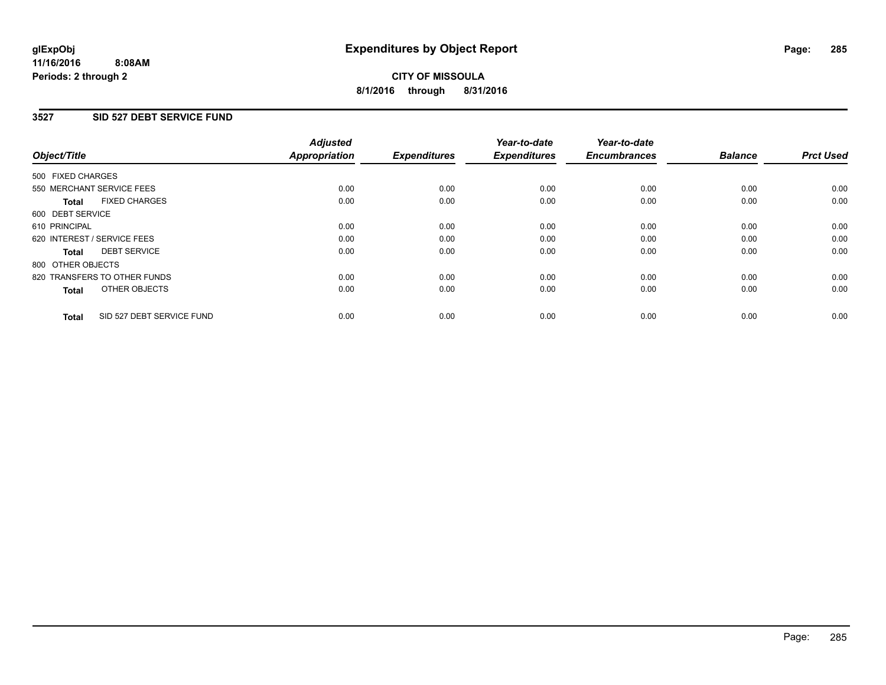# **3527 SID 527 DEBT SERVICE FUND**

| Object/Title      |                              | <b>Adjusted</b><br>Appropriation | <b>Expenditures</b> | Year-to-date<br><b>Expenditures</b> | Year-to-date<br><b>Encumbrances</b> | <b>Balance</b> | <b>Prct Used</b> |
|-------------------|------------------------------|----------------------------------|---------------------|-------------------------------------|-------------------------------------|----------------|------------------|
| 500 FIXED CHARGES |                              |                                  |                     |                                     |                                     |                |                  |
|                   | 550 MERCHANT SERVICE FEES    | 0.00                             | 0.00                | 0.00                                | 0.00                                | 0.00           | 0.00             |
| <b>Total</b>      | <b>FIXED CHARGES</b>         | 0.00                             | 0.00                | 0.00                                | 0.00                                | 0.00           | 0.00             |
| 600 DEBT SERVICE  |                              |                                  |                     |                                     |                                     |                |                  |
| 610 PRINCIPAL     |                              | 0.00                             | 0.00                | 0.00                                | 0.00                                | 0.00           | 0.00             |
|                   | 620 INTEREST / SERVICE FEES  | 0.00                             | 0.00                | 0.00                                | 0.00                                | 0.00           | 0.00             |
| Total             | <b>DEBT SERVICE</b>          | 0.00                             | 0.00                | 0.00                                | 0.00                                | 0.00           | 0.00             |
| 800 OTHER OBJECTS |                              |                                  |                     |                                     |                                     |                |                  |
|                   | 820 TRANSFERS TO OTHER FUNDS | 0.00                             | 0.00                | 0.00                                | 0.00                                | 0.00           | 0.00             |
| <b>Total</b>      | OTHER OBJECTS                | 0.00                             | 0.00                | 0.00                                | 0.00                                | 0.00           | 0.00             |
| <b>Total</b>      | SID 527 DEBT SERVICE FUND    | 0.00                             | 0.00                | 0.00                                | 0.00                                | 0.00           | 0.00             |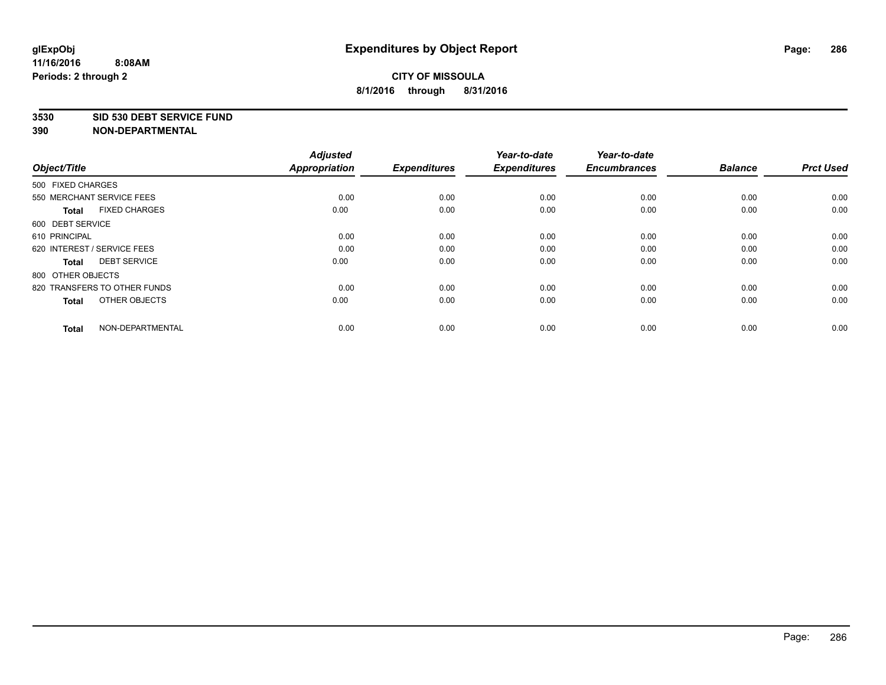### **3530 SID 530 DEBT SERVICE FUND**

| Object/Title                         | <b>Adjusted</b><br>Appropriation | <b>Expenditures</b> | Year-to-date<br><b>Expenditures</b> | Year-to-date<br><b>Encumbrances</b> | <b>Balance</b> | <b>Prct Used</b> |
|--------------------------------------|----------------------------------|---------------------|-------------------------------------|-------------------------------------|----------------|------------------|
| 500 FIXED CHARGES                    |                                  |                     |                                     |                                     |                |                  |
| 550 MERCHANT SERVICE FEES            | 0.00                             | 0.00                | 0.00                                | 0.00                                | 0.00           | 0.00             |
| <b>FIXED CHARGES</b><br><b>Total</b> | 0.00                             | 0.00                | 0.00                                | 0.00                                | 0.00           | 0.00             |
| 600 DEBT SERVICE                     |                                  |                     |                                     |                                     |                |                  |
| 610 PRINCIPAL                        | 0.00                             | 0.00                | 0.00                                | 0.00                                | 0.00           | 0.00             |
| 620 INTEREST / SERVICE FEES          | 0.00                             | 0.00                | 0.00                                | 0.00                                | 0.00           | 0.00             |
| <b>DEBT SERVICE</b><br><b>Total</b>  | 0.00                             | 0.00                | 0.00                                | 0.00                                | 0.00           | 0.00             |
| 800 OTHER OBJECTS                    |                                  |                     |                                     |                                     |                |                  |
| 820 TRANSFERS TO OTHER FUNDS         | 0.00                             | 0.00                | 0.00                                | 0.00                                | 0.00           | 0.00             |
| OTHER OBJECTS<br><b>Total</b>        | 0.00                             | 0.00                | 0.00                                | 0.00                                | 0.00           | 0.00             |
| NON-DEPARTMENTAL<br><b>Total</b>     | 0.00                             | 0.00                | 0.00                                | 0.00                                | 0.00           | 0.00             |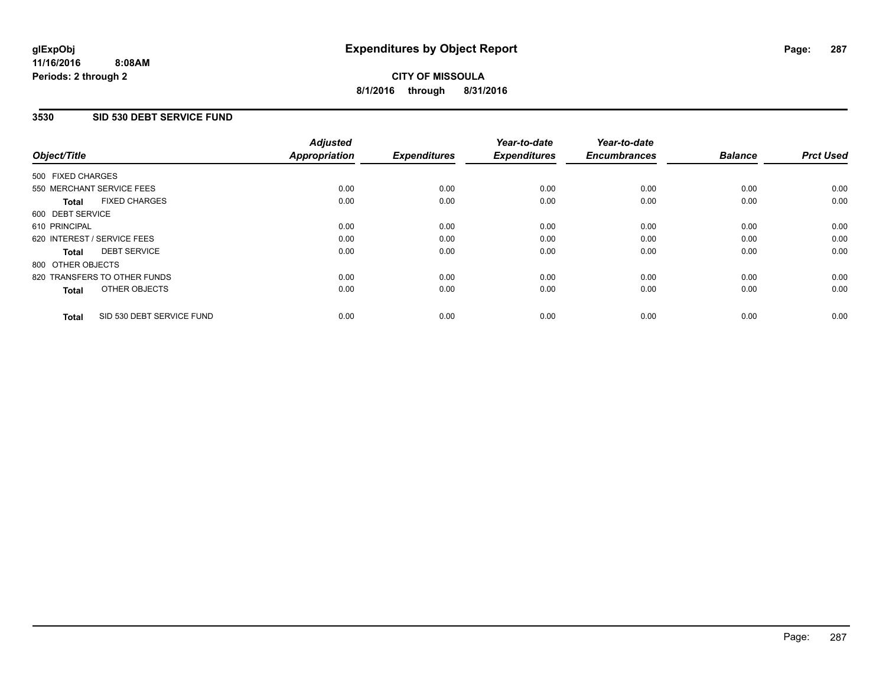# **3530 SID 530 DEBT SERVICE FUND**

| Object/Title                              | <b>Adjusted</b><br>Appropriation | <b>Expenditures</b> | Year-to-date<br><b>Expenditures</b> | Year-to-date<br><b>Encumbrances</b> | <b>Balance</b> | <b>Prct Used</b> |
|-------------------------------------------|----------------------------------|---------------------|-------------------------------------|-------------------------------------|----------------|------------------|
| 500 FIXED CHARGES                         |                                  |                     |                                     |                                     |                |                  |
| 550 MERCHANT SERVICE FEES                 | 0.00                             | 0.00                | 0.00                                | 0.00                                | 0.00           | 0.00             |
| <b>FIXED CHARGES</b><br><b>Total</b>      | 0.00                             | 0.00                | 0.00                                | 0.00                                | 0.00           | 0.00             |
| 600 DEBT SERVICE                          |                                  |                     |                                     |                                     |                |                  |
| 610 PRINCIPAL                             | 0.00                             | 0.00                | 0.00                                | 0.00                                | 0.00           | 0.00             |
| 620 INTEREST / SERVICE FEES               | 0.00                             | 0.00                | 0.00                                | 0.00                                | 0.00           | 0.00             |
| <b>DEBT SERVICE</b><br>Total              | 0.00                             | 0.00                | 0.00                                | 0.00                                | 0.00           | 0.00             |
| 800 OTHER OBJECTS                         |                                  |                     |                                     |                                     |                |                  |
| 820 TRANSFERS TO OTHER FUNDS              | 0.00                             | 0.00                | 0.00                                | 0.00                                | 0.00           | 0.00             |
| OTHER OBJECTS<br><b>Total</b>             | 0.00                             | 0.00                | 0.00                                | 0.00                                | 0.00           | 0.00             |
| SID 530 DEBT SERVICE FUND<br><b>Total</b> | 0.00                             | 0.00                | 0.00                                | 0.00                                | 0.00           | 0.00             |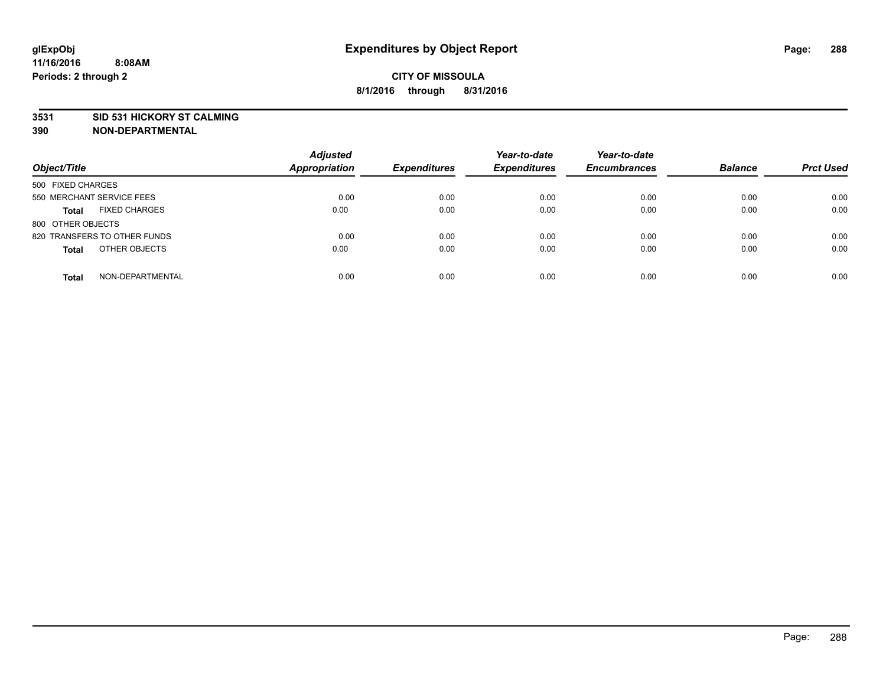### **3531 SID 531 HICKORY ST CALMING**

| Object/Title                         | <b>Adjusted</b><br><b>Appropriation</b> | <b>Expenditures</b> | Year-to-date<br><b>Expenditures</b> | Year-to-date<br><b>Encumbrances</b> | <b>Balance</b> | <b>Prct Used</b> |
|--------------------------------------|-----------------------------------------|---------------------|-------------------------------------|-------------------------------------|----------------|------------------|
| 500 FIXED CHARGES                    |                                         |                     |                                     |                                     |                |                  |
| 550 MERCHANT SERVICE FEES            | 0.00                                    | 0.00                | 0.00                                | 0.00                                | 0.00           | 0.00             |
| <b>FIXED CHARGES</b><br><b>Total</b> | 0.00                                    | 0.00                | 0.00                                | 0.00                                | 0.00           | 0.00             |
| 800 OTHER OBJECTS                    |                                         |                     |                                     |                                     |                |                  |
| 820 TRANSFERS TO OTHER FUNDS         | 0.00                                    | 0.00                | 0.00                                | 0.00                                | 0.00           | 0.00             |
| OTHER OBJECTS<br><b>Total</b>        | 0.00                                    | 0.00                | 0.00                                | 0.00                                | 0.00           | 0.00             |
| NON-DEPARTMENTAL<br><b>Total</b>     | 0.00                                    | 0.00                | 0.00                                | 0.00                                | 0.00           | 0.00             |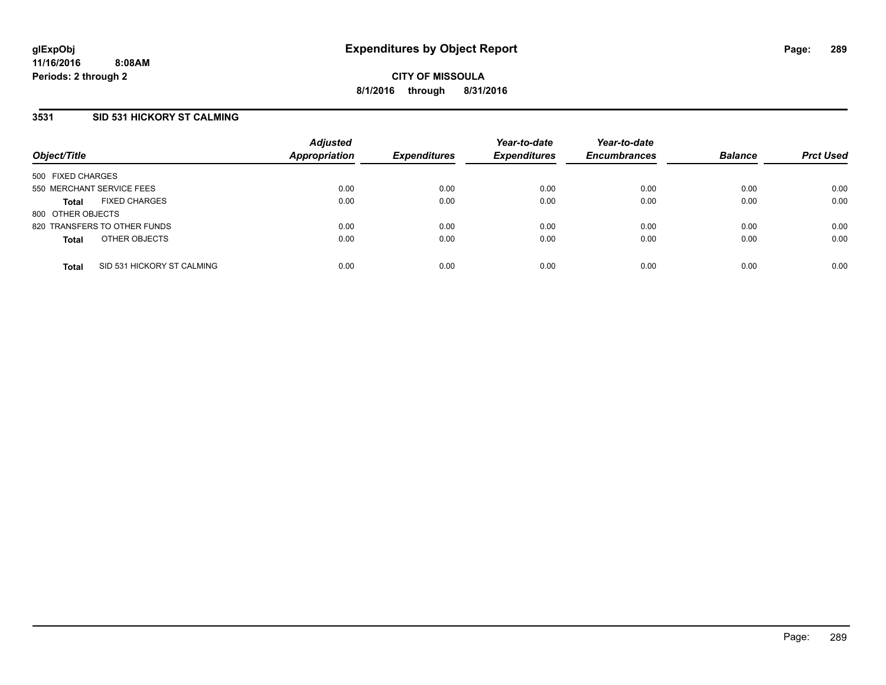# **3531 SID 531 HICKORY ST CALMING**

| Object/Title              |                              | <b>Adjusted</b><br><b>Appropriation</b> | <b>Expenditures</b> | Year-to-date<br><b>Expenditures</b> | Year-to-date<br><b>Encumbrances</b> | <b>Balance</b> | <b>Prct Used</b> |
|---------------------------|------------------------------|-----------------------------------------|---------------------|-------------------------------------|-------------------------------------|----------------|------------------|
| 500 FIXED CHARGES         |                              |                                         |                     |                                     |                                     |                |                  |
| 550 MERCHANT SERVICE FEES |                              | 0.00                                    | 0.00                | 0.00                                | 0.00                                | 0.00           | 0.00             |
| <b>Total</b>              | <b>FIXED CHARGES</b>         | 0.00                                    | 0.00                | 0.00                                | 0.00                                | 0.00           | 0.00             |
| 800 OTHER OBJECTS         |                              |                                         |                     |                                     |                                     |                |                  |
|                           | 820 TRANSFERS TO OTHER FUNDS | 0.00                                    | 0.00                | 0.00                                | 0.00                                | 0.00           | 0.00             |
| <b>Total</b>              | OTHER OBJECTS                | 0.00                                    | 0.00                | 0.00                                | 0.00                                | 0.00           | 0.00             |
| <b>Total</b>              | SID 531 HICKORY ST CALMING   | 0.00                                    | 0.00                | 0.00                                | 0.00                                | 0.00           | 0.00             |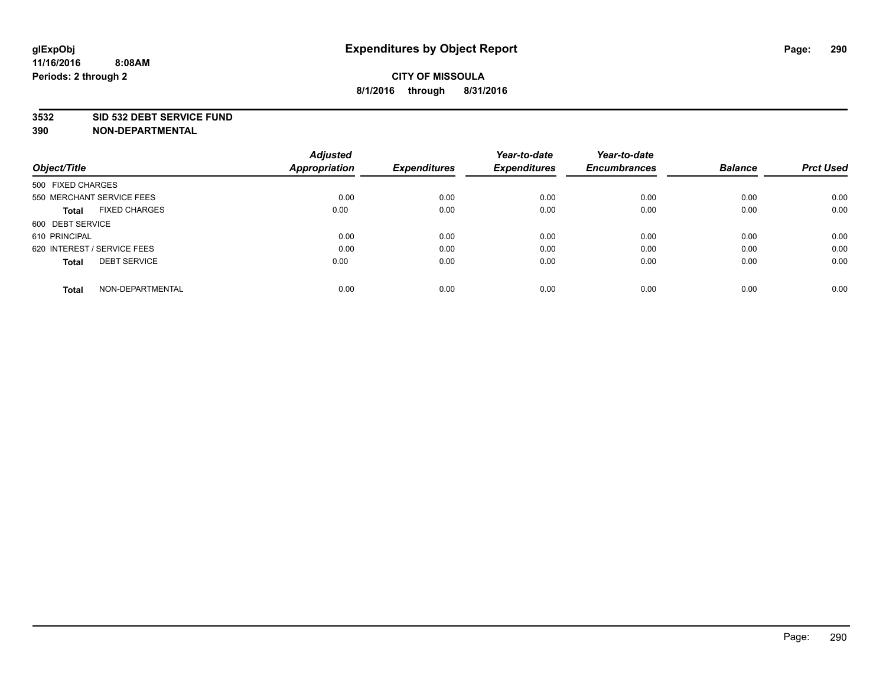### **3532 SID 532 DEBT SERVICE FUND**

| Object/Title                         | <b>Adjusted</b><br><b>Appropriation</b> | <b>Expenditures</b> | Year-to-date<br><b>Expenditures</b> | Year-to-date<br><b>Encumbrances</b> | <b>Balance</b> | <b>Prct Used</b> |
|--------------------------------------|-----------------------------------------|---------------------|-------------------------------------|-------------------------------------|----------------|------------------|
|                                      |                                         |                     |                                     |                                     |                |                  |
| 500 FIXED CHARGES                    |                                         |                     |                                     |                                     |                |                  |
| 550 MERCHANT SERVICE FEES            | 0.00                                    | 0.00                | 0.00                                | 0.00                                | 0.00           | 0.00             |
| <b>FIXED CHARGES</b><br><b>Total</b> | 0.00                                    | 0.00                | 0.00                                | 0.00                                | 0.00           | 0.00             |
| 600 DEBT SERVICE                     |                                         |                     |                                     |                                     |                |                  |
| 610 PRINCIPAL                        | 0.00                                    | 0.00                | 0.00                                | 0.00                                | 0.00           | 0.00             |
| 620 INTEREST / SERVICE FEES          | 0.00                                    | 0.00                | 0.00                                | 0.00                                | 0.00           | 0.00             |
| <b>DEBT SERVICE</b><br>Total         | 0.00                                    | 0.00                | 0.00                                | 0.00                                | 0.00           | 0.00             |
|                                      |                                         |                     |                                     |                                     |                |                  |
| NON-DEPARTMENTAL<br><b>Total</b>     | 0.00                                    | 0.00                | 0.00                                | 0.00                                | 0.00           | 0.00             |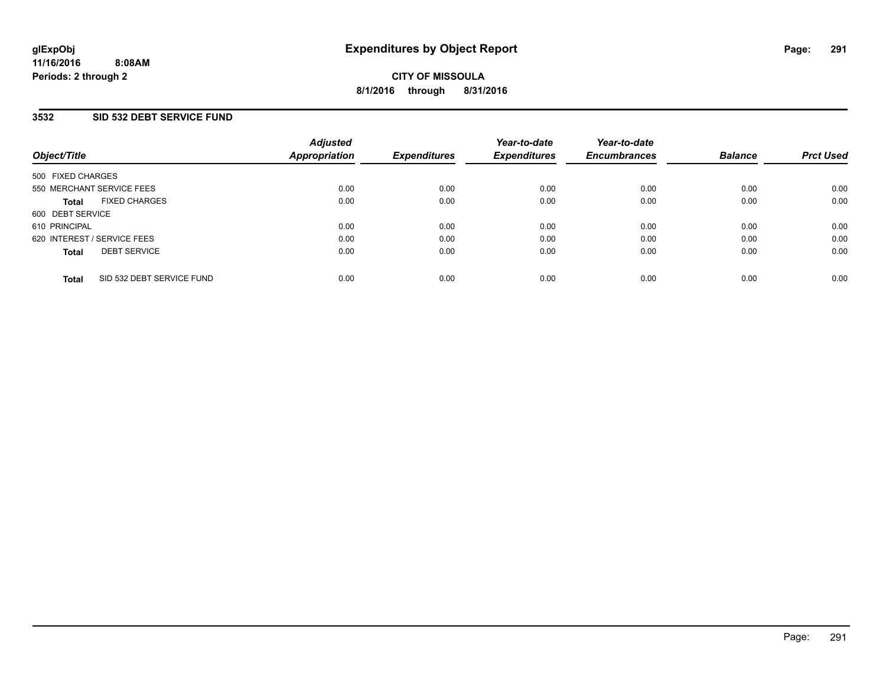## **3532 SID 532 DEBT SERVICE FUND**

| Object/Title                              | <b>Adjusted</b><br>Appropriation | <b>Expenditures</b> | Year-to-date<br><b>Expenditures</b> | Year-to-date<br><b>Encumbrances</b> | <b>Balance</b> | <b>Prct Used</b> |
|-------------------------------------------|----------------------------------|---------------------|-------------------------------------|-------------------------------------|----------------|------------------|
| 500 FIXED CHARGES                         |                                  |                     |                                     |                                     |                |                  |
| 550 MERCHANT SERVICE FEES                 | 0.00                             | 0.00                | 0.00                                | 0.00                                | 0.00           | 0.00             |
| <b>FIXED CHARGES</b><br><b>Total</b>      | 0.00                             | 0.00                | 0.00                                | 0.00                                | 0.00           | 0.00             |
| 600 DEBT SERVICE                          |                                  |                     |                                     |                                     |                |                  |
| 610 PRINCIPAL                             | 0.00                             | 0.00                | 0.00                                | 0.00                                | 0.00           | 0.00             |
| 620 INTEREST / SERVICE FEES               | 0.00                             | 0.00                | 0.00                                | 0.00                                | 0.00           | 0.00             |
| <b>DEBT SERVICE</b><br><b>Total</b>       | 0.00                             | 0.00                | 0.00                                | 0.00                                | 0.00           | 0.00             |
| SID 532 DEBT SERVICE FUND<br><b>Total</b> | 0.00                             | 0.00                | 0.00                                | 0.00                                | 0.00           | 0.00             |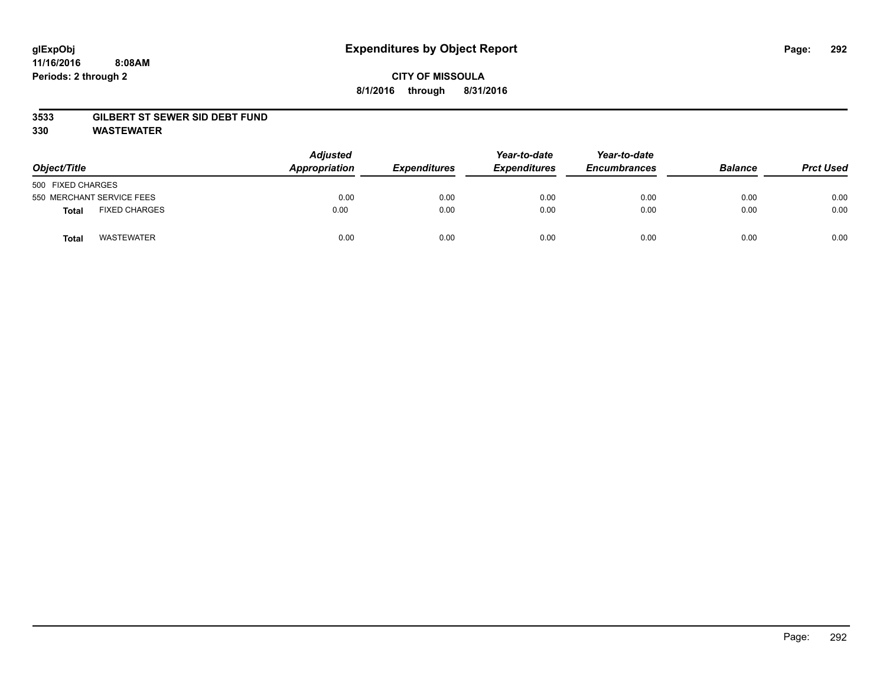### **11/16/2016 8:08AM Periods: 2 through 2**

# **CITY OF MISSOULA 8/1/2016 through 8/31/2016**

### **3533 GILBERT ST SEWER SID DEBT FUND**

**330 WASTEWATER**

| Object/Title                  | <b>Adjusted</b><br>Appropriation | <b>Expenditures</b> | Year-to-date<br><b>Expenditures</b> | Year-to-date<br><b>Encumbrances</b> | <b>Balance</b> | <b>Prct Used</b> |
|-------------------------------|----------------------------------|---------------------|-------------------------------------|-------------------------------------|----------------|------------------|
| 500 FIXED CHARGES             |                                  |                     |                                     |                                     |                |                  |
| 550 MERCHANT SERVICE FEES     | 0.00                             | 0.00                | 0.00                                | 0.00                                | 0.00           | 0.00             |
| <b>FIXED CHARGES</b><br>Total | 0.00                             | 0.00                | 0.00                                | 0.00                                | 0.00           | 0.00             |
| <b>WASTEWATER</b><br>Tota     | 0.00                             | 0.00                | 0.00                                | 0.00                                | 0.00           | 0.00             |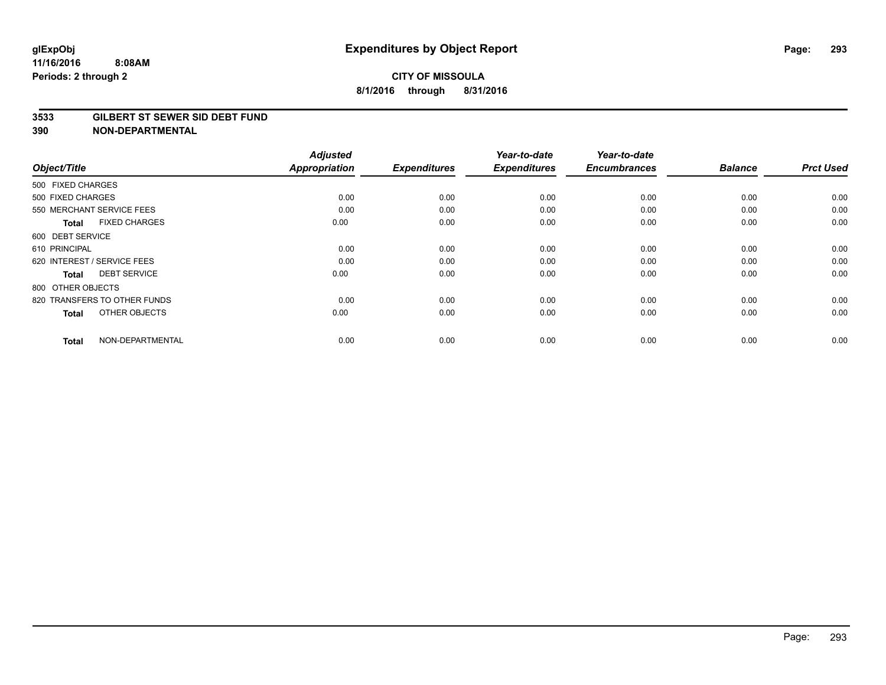#### **3533 GILBERT ST SEWER SID DEBT FUND**

| Object/Title                        | <b>Adjusted</b><br><b>Appropriation</b> | <b>Expenditures</b> | Year-to-date<br><b>Expenditures</b> | Year-to-date<br><b>Encumbrances</b> | <b>Balance</b> | <b>Prct Used</b> |
|-------------------------------------|-----------------------------------------|---------------------|-------------------------------------|-------------------------------------|----------------|------------------|
| 500 FIXED CHARGES                   |                                         |                     |                                     |                                     |                |                  |
| 500 FIXED CHARGES                   | 0.00                                    | 0.00                | 0.00                                | 0.00                                | 0.00           | 0.00             |
| 550 MERCHANT SERVICE FEES           | 0.00                                    | 0.00                | 0.00                                | 0.00                                | 0.00           | 0.00             |
| <b>FIXED CHARGES</b><br>Total       | 0.00                                    | 0.00                | 0.00                                | 0.00                                | 0.00           | 0.00             |
| 600 DEBT SERVICE                    |                                         |                     |                                     |                                     |                |                  |
| 610 PRINCIPAL                       | 0.00                                    | 0.00                | 0.00                                | 0.00                                | 0.00           | 0.00             |
| 620 INTEREST / SERVICE FEES         | 0.00                                    | 0.00                | 0.00                                | 0.00                                | 0.00           | 0.00             |
| <b>DEBT SERVICE</b><br><b>Total</b> | 0.00                                    | 0.00                | 0.00                                | 0.00                                | 0.00           | 0.00             |
| 800 OTHER OBJECTS                   |                                         |                     |                                     |                                     |                |                  |
| 820 TRANSFERS TO OTHER FUNDS        | 0.00                                    | 0.00                | 0.00                                | 0.00                                | 0.00           | 0.00             |
| OTHER OBJECTS<br><b>Total</b>       | 0.00                                    | 0.00                | 0.00                                | 0.00                                | 0.00           | 0.00             |
| NON-DEPARTMENTAL<br><b>Total</b>    | 0.00                                    | 0.00                | 0.00                                | 0.00                                | 0.00           | 0.00             |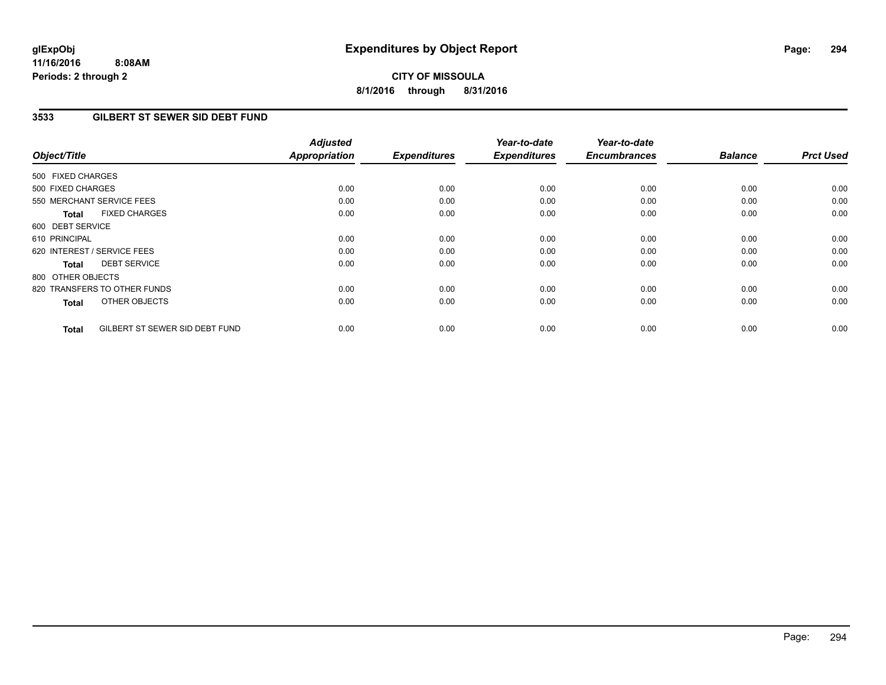**11/16/2016 8:08AM Periods: 2 through 2**

**CITY OF MISSOULA 8/1/2016 through 8/31/2016**

## **3533 GILBERT ST SEWER SID DEBT FUND**

| Object/Title                                   | <b>Adjusted</b><br><b>Appropriation</b> | <b>Expenditures</b> | Year-to-date<br><b>Expenditures</b> | Year-to-date<br><b>Encumbrances</b> | <b>Balance</b> | <b>Prct Used</b> |
|------------------------------------------------|-----------------------------------------|---------------------|-------------------------------------|-------------------------------------|----------------|------------------|
|                                                |                                         |                     |                                     |                                     |                |                  |
| 500 FIXED CHARGES                              |                                         |                     |                                     |                                     |                |                  |
| 500 FIXED CHARGES                              | 0.00                                    | 0.00                | 0.00                                | 0.00                                | 0.00           | 0.00             |
| 550 MERCHANT SERVICE FEES                      | 0.00                                    | 0.00                | 0.00                                | 0.00                                | 0.00           | 0.00             |
| <b>FIXED CHARGES</b><br><b>Total</b>           | 0.00                                    | 0.00                | 0.00                                | 0.00                                | 0.00           | 0.00             |
| 600 DEBT SERVICE                               |                                         |                     |                                     |                                     |                |                  |
| 610 PRINCIPAL                                  | 0.00                                    | 0.00                | 0.00                                | 0.00                                | 0.00           | 0.00             |
| 620 INTEREST / SERVICE FEES                    | 0.00                                    | 0.00                | 0.00                                | 0.00                                | 0.00           | 0.00             |
| <b>DEBT SERVICE</b><br>Total                   | 0.00                                    | 0.00                | 0.00                                | 0.00                                | 0.00           | 0.00             |
| 800 OTHER OBJECTS                              |                                         |                     |                                     |                                     |                |                  |
| 820 TRANSFERS TO OTHER FUNDS                   | 0.00                                    | 0.00                | 0.00                                | 0.00                                | 0.00           | 0.00             |
| OTHER OBJECTS<br>Total                         | 0.00                                    | 0.00                | 0.00                                | 0.00                                | 0.00           | 0.00             |
| GILBERT ST SEWER SID DEBT FUND<br><b>Total</b> | 0.00                                    | 0.00                | 0.00                                | 0.00                                | 0.00           | 0.00             |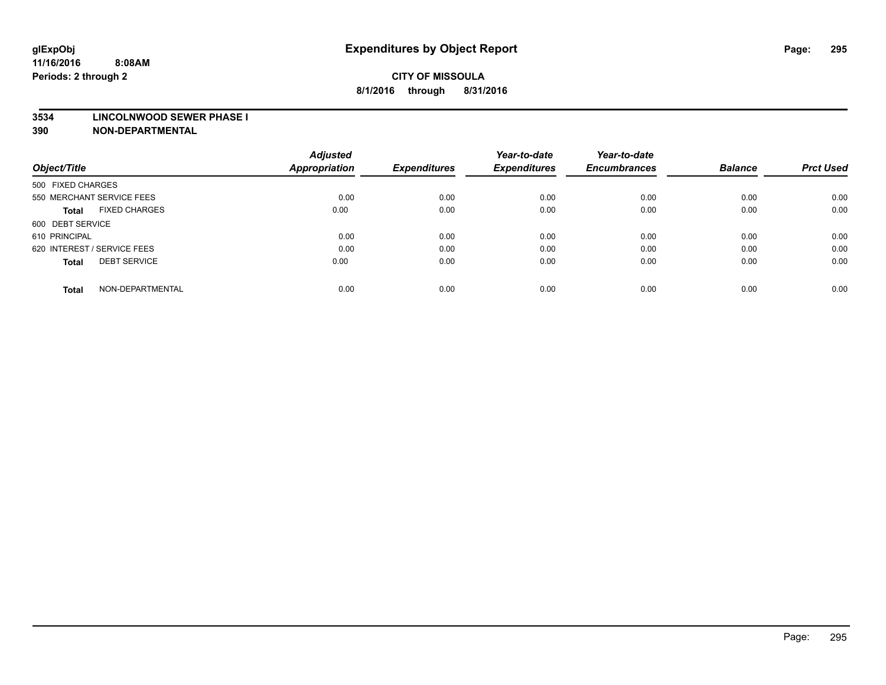#### **3534 LINCOLNWOOD SEWER PHASE I**

| Object/Title                         | <b>Adjusted</b><br><b>Appropriation</b> | <b>Expenditures</b> | Year-to-date<br><b>Expenditures</b> | Year-to-date<br><b>Encumbrances</b> | <b>Balance</b> | <b>Prct Used</b> |
|--------------------------------------|-----------------------------------------|---------------------|-------------------------------------|-------------------------------------|----------------|------------------|
|                                      |                                         |                     |                                     |                                     |                |                  |
| 500 FIXED CHARGES                    |                                         |                     |                                     |                                     |                |                  |
| 550 MERCHANT SERVICE FEES            | 0.00                                    | 0.00                | 0.00                                | 0.00                                | 0.00           | 0.00             |
| <b>FIXED CHARGES</b><br><b>Total</b> | 0.00                                    | 0.00                | 0.00                                | 0.00                                | 0.00           | 0.00             |
| 600 DEBT SERVICE                     |                                         |                     |                                     |                                     |                |                  |
| 610 PRINCIPAL                        | 0.00                                    | 0.00                | 0.00                                | 0.00                                | 0.00           | 0.00             |
| 620 INTEREST / SERVICE FEES          | 0.00                                    | 0.00                | 0.00                                | 0.00                                | 0.00           | 0.00             |
| <b>DEBT SERVICE</b><br>Total         | 0.00                                    | 0.00                | 0.00                                | 0.00                                | 0.00           | 0.00             |
|                                      |                                         |                     |                                     |                                     |                |                  |
| NON-DEPARTMENTAL<br><b>Total</b>     | 0.00                                    | 0.00                | 0.00                                | 0.00                                | 0.00           | 0.00             |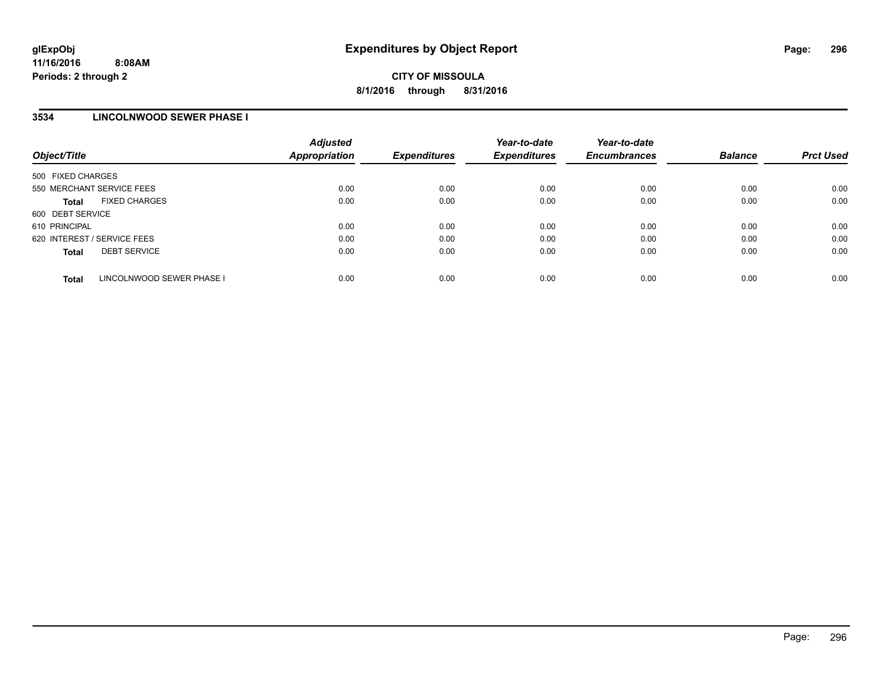### **3534 LINCOLNWOOD SEWER PHASE I**

| Object/Title                |                           | <b>Adjusted</b><br><b>Appropriation</b> | <b>Expenditures</b> | Year-to-date<br><b>Expenditures</b> | Year-to-date<br><b>Encumbrances</b> | <b>Balance</b> | <b>Prct Used</b> |
|-----------------------------|---------------------------|-----------------------------------------|---------------------|-------------------------------------|-------------------------------------|----------------|------------------|
| 500 FIXED CHARGES           |                           |                                         |                     |                                     |                                     |                |                  |
| 550 MERCHANT SERVICE FEES   |                           | 0.00                                    | 0.00                | 0.00                                | 0.00                                | 0.00           | 0.00             |
| <b>Total</b>                | <b>FIXED CHARGES</b>      | 0.00                                    | 0.00                | 0.00                                | 0.00                                | 0.00           | 0.00             |
| 600 DEBT SERVICE            |                           |                                         |                     |                                     |                                     |                |                  |
| 610 PRINCIPAL               |                           | 0.00                                    | 0.00                | 0.00                                | 0.00                                | 0.00           | 0.00             |
| 620 INTEREST / SERVICE FEES |                           | 0.00                                    | 0.00                | 0.00                                | 0.00                                | 0.00           | 0.00             |
| <b>Total</b>                | <b>DEBT SERVICE</b>       | 0.00                                    | 0.00                | 0.00                                | 0.00                                | 0.00           | 0.00             |
| <b>Total</b>                | LINCOLNWOOD SEWER PHASE I | 0.00                                    | 0.00                | 0.00                                | 0.00                                | 0.00           | 0.00             |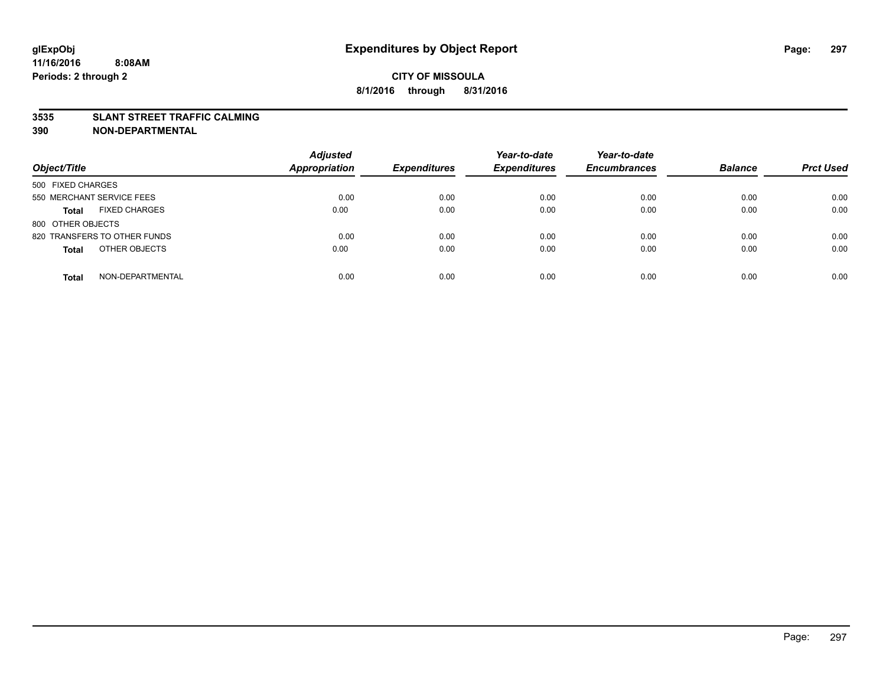### **3535 SLANT STREET TRAFFIC CALMING**

| Object/Title                         | <b>Adjusted</b><br><b>Appropriation</b> | <b>Expenditures</b> | Year-to-date<br><b>Expenditures</b> | Year-to-date<br><b>Encumbrances</b> | <b>Balance</b> | <b>Prct Used</b> |
|--------------------------------------|-----------------------------------------|---------------------|-------------------------------------|-------------------------------------|----------------|------------------|
|                                      |                                         |                     |                                     |                                     |                |                  |
| 500 FIXED CHARGES                    |                                         |                     |                                     |                                     |                |                  |
| 550 MERCHANT SERVICE FEES            | 0.00                                    | 0.00                | 0.00                                | 0.00                                | 0.00           | 0.00             |
| <b>FIXED CHARGES</b><br><b>Total</b> | 0.00                                    | 0.00                | 0.00                                | 0.00                                | 0.00           | 0.00             |
| 800 OTHER OBJECTS                    |                                         |                     |                                     |                                     |                |                  |
| 820 TRANSFERS TO OTHER FUNDS         | 0.00                                    | 0.00                | 0.00                                | 0.00                                | 0.00           | 0.00             |
| OTHER OBJECTS<br><b>Total</b>        | 0.00                                    | 0.00                | 0.00                                | 0.00                                | 0.00           | 0.00             |
|                                      |                                         |                     |                                     |                                     |                |                  |
| NON-DEPARTMENTAL<br><b>Total</b>     | 0.00                                    | 0.00                | 0.00                                | 0.00                                | 0.00           | 0.00             |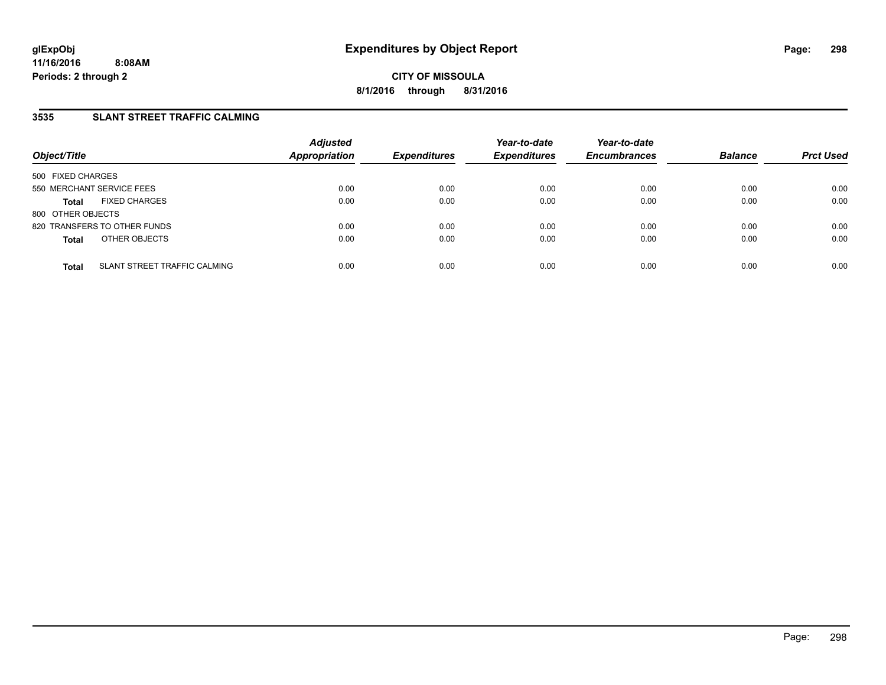## **3535 SLANT STREET TRAFFIC CALMING**

| Object/Title              |                              | <b>Adjusted</b><br><b>Appropriation</b> | <b>Expenditures</b> | Year-to-date<br><b>Expenditures</b> | Year-to-date<br><b>Encumbrances</b> | <b>Balance</b> | <b>Prct Used</b> |
|---------------------------|------------------------------|-----------------------------------------|---------------------|-------------------------------------|-------------------------------------|----------------|------------------|
| 500 FIXED CHARGES         |                              |                                         |                     |                                     |                                     |                |                  |
| 550 MERCHANT SERVICE FEES |                              | 0.00                                    | 0.00                | 0.00                                | 0.00                                | 0.00           | 0.00             |
| <b>Total</b>              | <b>FIXED CHARGES</b>         | 0.00                                    | 0.00                | 0.00                                | 0.00                                | 0.00           | 0.00             |
| 800 OTHER OBJECTS         |                              |                                         |                     |                                     |                                     |                |                  |
|                           | 820 TRANSFERS TO OTHER FUNDS | 0.00                                    | 0.00                | 0.00                                | 0.00                                | 0.00           | 0.00             |
| <b>Total</b>              | OTHER OBJECTS                | 0.00                                    | 0.00                | 0.00                                | 0.00                                | 0.00           | 0.00             |
| <b>Total</b>              | SLANT STREET TRAFFIC CALMING | 0.00                                    | 0.00                | 0.00                                | 0.00                                | 0.00           | 0.00             |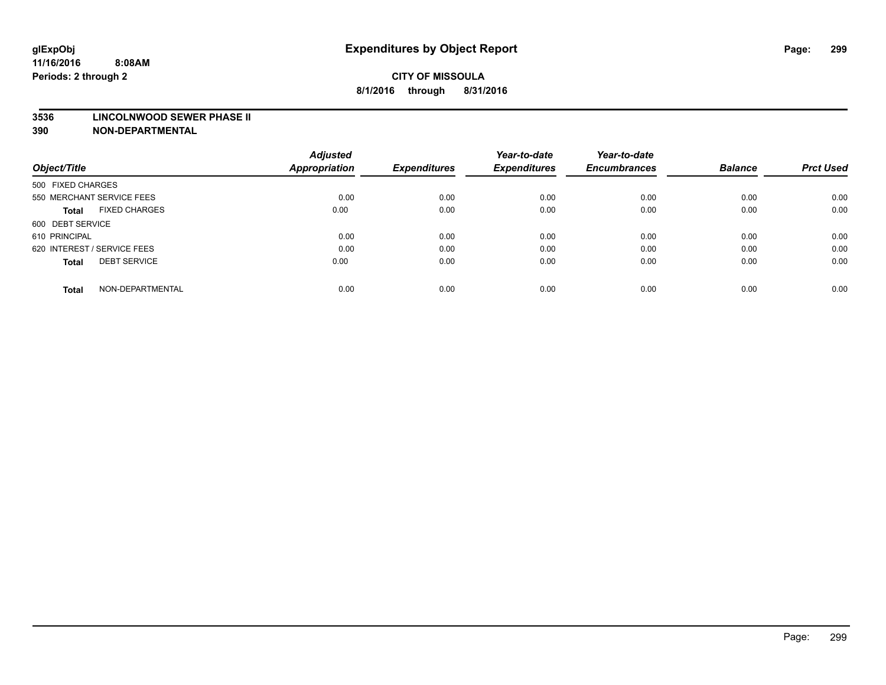#### **3536 LINCOLNWOOD SEWER PHASE II**

| Object/Title                         | <b>Adjusted</b><br><b>Appropriation</b> | <b>Expenditures</b> | Year-to-date<br><b>Expenditures</b> | Year-to-date<br><b>Encumbrances</b> | <b>Balance</b> | <b>Prct Used</b> |
|--------------------------------------|-----------------------------------------|---------------------|-------------------------------------|-------------------------------------|----------------|------------------|
|                                      |                                         |                     |                                     |                                     |                |                  |
| 500 FIXED CHARGES                    |                                         |                     |                                     |                                     |                |                  |
| 550 MERCHANT SERVICE FEES            | 0.00                                    | 0.00                | 0.00                                | 0.00                                | 0.00           | 0.00             |
| <b>FIXED CHARGES</b><br><b>Total</b> | 0.00                                    | 0.00                | 0.00                                | 0.00                                | 0.00           | 0.00             |
| 600 DEBT SERVICE                     |                                         |                     |                                     |                                     |                |                  |
| 610 PRINCIPAL                        | 0.00                                    | 0.00                | 0.00                                | 0.00                                | 0.00           | 0.00             |
| 620 INTEREST / SERVICE FEES          | 0.00                                    | 0.00                | 0.00                                | 0.00                                | 0.00           | 0.00             |
| <b>DEBT SERVICE</b><br>Total         | 0.00                                    | 0.00                | 0.00                                | 0.00                                | 0.00           | 0.00             |
|                                      |                                         |                     |                                     |                                     |                |                  |
| NON-DEPARTMENTAL<br><b>Total</b>     | 0.00                                    | 0.00                | 0.00                                | 0.00                                | 0.00           | 0.00             |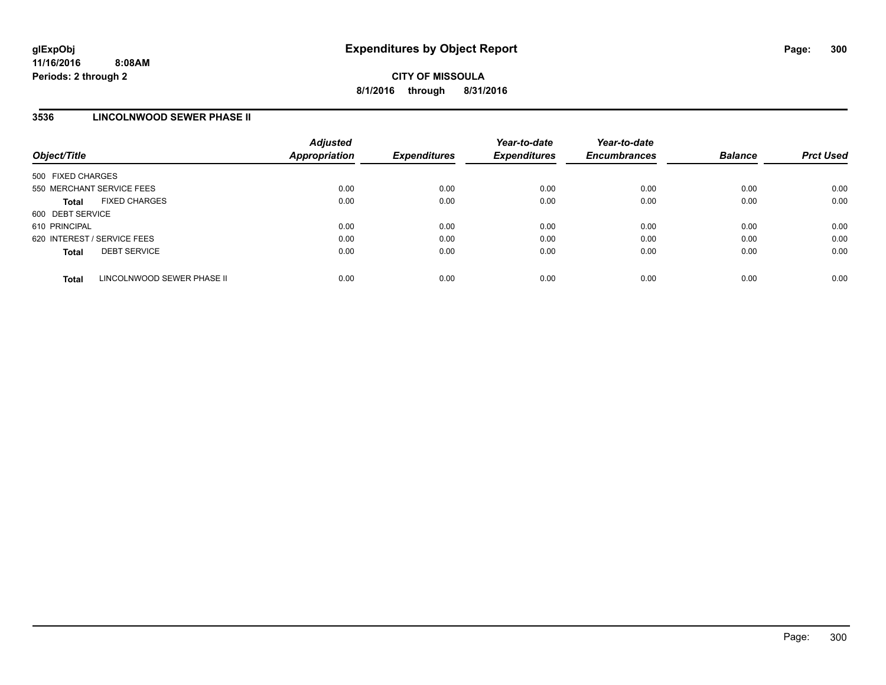### **3536 LINCOLNWOOD SEWER PHASE II**

| Object/Title                               | <b>Adjusted</b><br><b>Appropriation</b> | <b>Expenditures</b> | Year-to-date<br><b>Expenditures</b> | Year-to-date<br><b>Encumbrances</b> | <b>Balance</b> | <b>Prct Used</b> |
|--------------------------------------------|-----------------------------------------|---------------------|-------------------------------------|-------------------------------------|----------------|------------------|
| 500 FIXED CHARGES                          |                                         |                     |                                     |                                     |                |                  |
| 550 MERCHANT SERVICE FEES                  | 0.00                                    | 0.00                | 0.00                                | 0.00                                | 0.00           | 0.00             |
| <b>FIXED CHARGES</b><br><b>Total</b>       | 0.00                                    | 0.00                | 0.00                                | 0.00                                | 0.00           | 0.00             |
| 600 DEBT SERVICE                           |                                         |                     |                                     |                                     |                |                  |
| 610 PRINCIPAL                              | 0.00                                    | 0.00                | 0.00                                | 0.00                                | 0.00           | 0.00             |
| 620 INTEREST / SERVICE FEES                | 0.00                                    | 0.00                | 0.00                                | 0.00                                | 0.00           | 0.00             |
| <b>DEBT SERVICE</b><br><b>Total</b>        | 0.00                                    | 0.00                | 0.00                                | 0.00                                | 0.00           | 0.00             |
| LINCOLNWOOD SEWER PHASE II<br><b>Total</b> | 0.00                                    | 0.00                | 0.00                                | 0.00                                | 0.00           | 0.00             |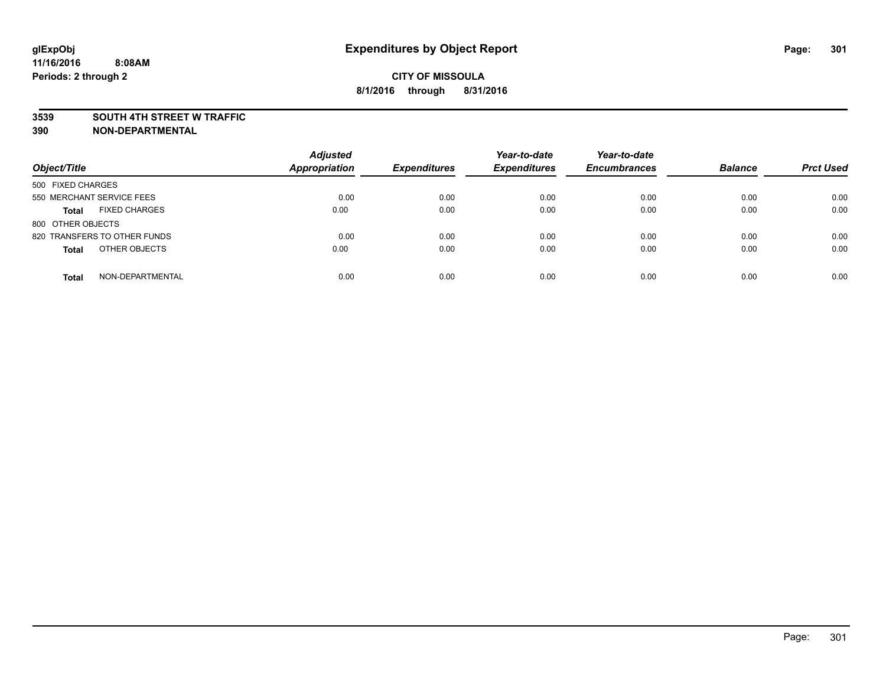### **3539 SOUTH 4TH STREET W TRAFFIC**

| Object/Title                         | <b>Adjusted</b><br><b>Appropriation</b> | <b>Expenditures</b> | Year-to-date<br><b>Expenditures</b> | Year-to-date<br><b>Encumbrances</b> | <b>Balance</b> | <b>Prct Used</b> |
|--------------------------------------|-----------------------------------------|---------------------|-------------------------------------|-------------------------------------|----------------|------------------|
| 500 FIXED CHARGES                    |                                         |                     |                                     |                                     |                |                  |
| 550 MERCHANT SERVICE FEES            | 0.00                                    | 0.00                | 0.00                                | 0.00                                | 0.00           | 0.00             |
| <b>FIXED CHARGES</b><br><b>Total</b> | 0.00                                    | 0.00                | 0.00                                | 0.00                                | 0.00           | 0.00             |
| 800 OTHER OBJECTS                    |                                         |                     |                                     |                                     |                |                  |
| 820 TRANSFERS TO OTHER FUNDS         | 0.00                                    | 0.00                | 0.00                                | 0.00                                | 0.00           | 0.00             |
| OTHER OBJECTS<br><b>Total</b>        | 0.00                                    | 0.00                | 0.00                                | 0.00                                | 0.00           | 0.00             |
| NON-DEPARTMENTAL<br><b>Total</b>     | 0.00                                    | 0.00                | 0.00                                | 0.00                                | 0.00           | 0.00             |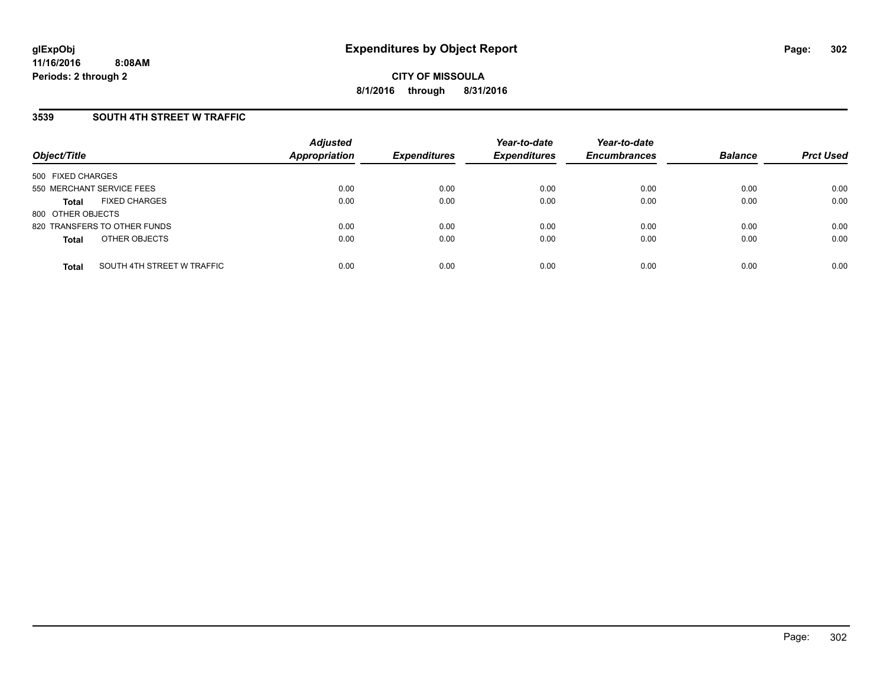### **3539 SOUTH 4TH STREET W TRAFFIC**

| Object/Title              |                              | <b>Adjusted</b><br>Appropriation | <b>Expenditures</b> | Year-to-date<br><b>Expenditures</b> | Year-to-date<br><b>Encumbrances</b> | <b>Balance</b> | <b>Prct Used</b> |
|---------------------------|------------------------------|----------------------------------|---------------------|-------------------------------------|-------------------------------------|----------------|------------------|
| 500 FIXED CHARGES         |                              |                                  |                     |                                     |                                     |                |                  |
| 550 MERCHANT SERVICE FEES |                              | 0.00                             | 0.00                | 0.00                                | 0.00                                | 0.00           | 0.00             |
| Total                     | <b>FIXED CHARGES</b>         | 0.00                             | 0.00                | 0.00                                | 0.00                                | 0.00           | 0.00             |
| 800 OTHER OBJECTS         |                              |                                  |                     |                                     |                                     |                |                  |
|                           | 820 TRANSFERS TO OTHER FUNDS | 0.00                             | 0.00                | 0.00                                | 0.00                                | 0.00           | 0.00             |
| <b>Total</b>              | OTHER OBJECTS                | 0.00                             | 0.00                | 0.00                                | 0.00                                | 0.00           | 0.00             |
| <b>Total</b>              | SOUTH 4TH STREET W TRAFFIC   | 0.00                             | 0.00                | 0.00                                | 0.00                                | 0.00           | 0.00             |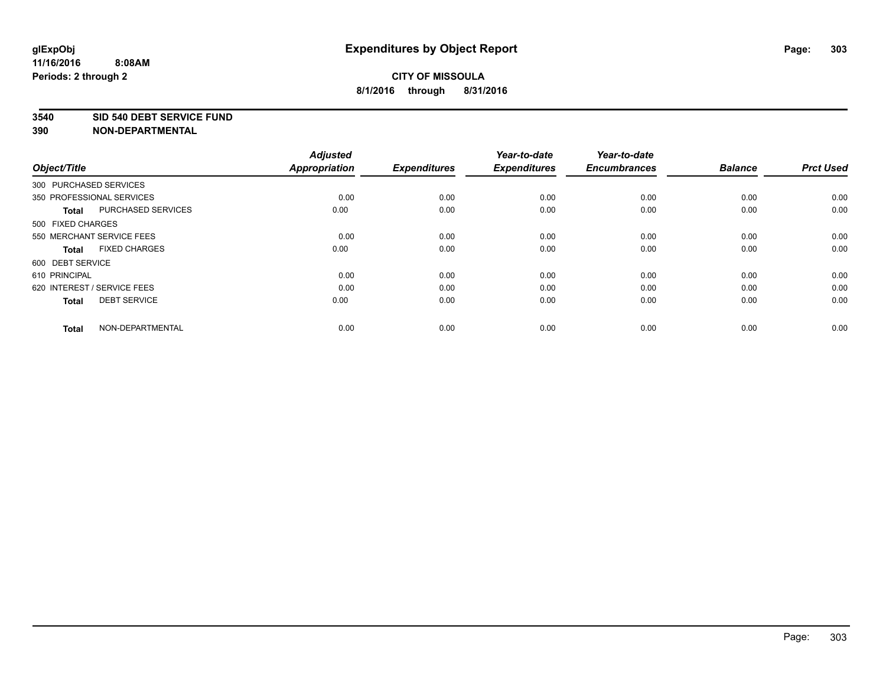### **3540 SID 540 DEBT SERVICE FUND**

| Object/Title           |                             | <b>Adjusted</b><br><b>Appropriation</b> | <b>Expenditures</b> | Year-to-date<br><b>Expenditures</b> | Year-to-date<br><b>Encumbrances</b> | <b>Balance</b> | <b>Prct Used</b> |
|------------------------|-----------------------------|-----------------------------------------|---------------------|-------------------------------------|-------------------------------------|----------------|------------------|
| 300 PURCHASED SERVICES |                             |                                         |                     |                                     |                                     |                |                  |
|                        | 350 PROFESSIONAL SERVICES   | 0.00                                    | 0.00                | 0.00                                | 0.00                                | 0.00           | 0.00             |
| <b>Total</b>           | PURCHASED SERVICES          | 0.00                                    | 0.00                | 0.00                                | 0.00                                | 0.00           | 0.00             |
| 500 FIXED CHARGES      |                             |                                         |                     |                                     |                                     |                |                  |
|                        | 550 MERCHANT SERVICE FEES   | 0.00                                    | 0.00                | 0.00                                | 0.00                                | 0.00           | 0.00             |
| <b>Total</b>           | <b>FIXED CHARGES</b>        | 0.00                                    | 0.00                | 0.00                                | 0.00                                | 0.00           | 0.00             |
| 600 DEBT SERVICE       |                             |                                         |                     |                                     |                                     |                |                  |
| 610 PRINCIPAL          |                             | 0.00                                    | 0.00                | 0.00                                | 0.00                                | 0.00           | 0.00             |
|                        | 620 INTEREST / SERVICE FEES | 0.00                                    | 0.00                | 0.00                                | 0.00                                | 0.00           | 0.00             |
| <b>Total</b>           | <b>DEBT SERVICE</b>         | 0.00                                    | 0.00                | 0.00                                | 0.00                                | 0.00           | 0.00             |
|                        |                             |                                         |                     |                                     |                                     |                |                  |
| <b>Total</b>           | NON-DEPARTMENTAL            | 0.00                                    | 0.00                | 0.00                                | 0.00                                | 0.00           | 0.00             |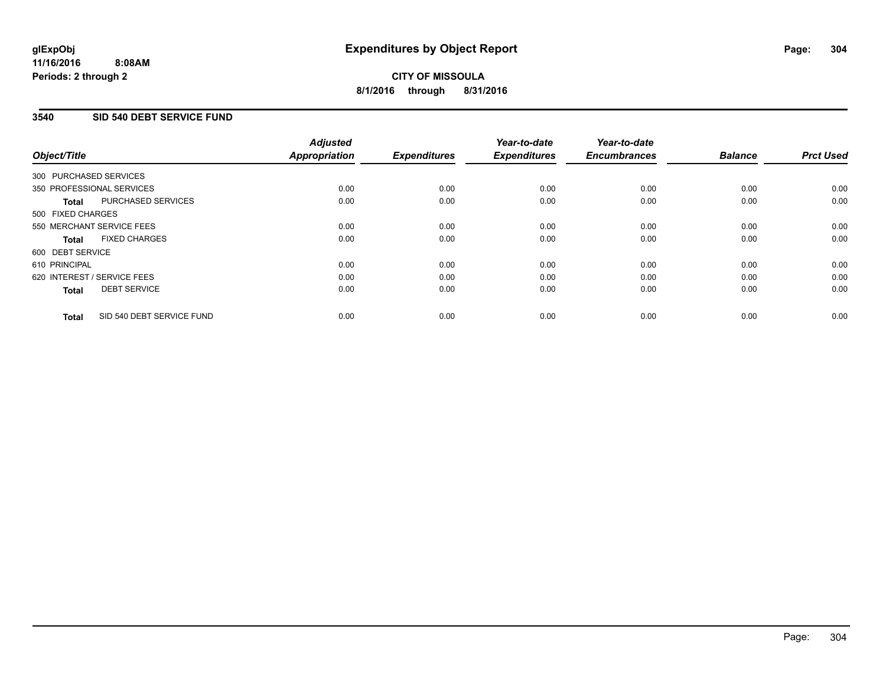## **3540 SID 540 DEBT SERVICE FUND**

| Object/Title                              | <b>Adjusted</b><br><b>Appropriation</b> | <b>Expenditures</b> | Year-to-date<br><b>Expenditures</b> | Year-to-date<br><b>Encumbrances</b> | <b>Balance</b> | <b>Prct Used</b> |
|-------------------------------------------|-----------------------------------------|---------------------|-------------------------------------|-------------------------------------|----------------|------------------|
|                                           |                                         |                     |                                     |                                     |                |                  |
| 300 PURCHASED SERVICES                    |                                         |                     |                                     |                                     |                |                  |
| 350 PROFESSIONAL SERVICES                 | 0.00                                    | 0.00                | 0.00                                | 0.00                                | 0.00           | 0.00             |
| PURCHASED SERVICES<br><b>Total</b>        | 0.00                                    | 0.00                | 0.00                                | 0.00                                | 0.00           | 0.00             |
| 500 FIXED CHARGES                         |                                         |                     |                                     |                                     |                |                  |
| 550 MERCHANT SERVICE FEES                 | 0.00                                    | 0.00                | 0.00                                | 0.00                                | 0.00           | 0.00             |
| <b>FIXED CHARGES</b><br><b>Total</b>      | 0.00                                    | 0.00                | 0.00                                | 0.00                                | 0.00           | 0.00             |
| 600 DEBT SERVICE                          |                                         |                     |                                     |                                     |                |                  |
| 610 PRINCIPAL                             | 0.00                                    | 0.00                | 0.00                                | 0.00                                | 0.00           | 0.00             |
| 620 INTEREST / SERVICE FEES               | 0.00                                    | 0.00                | 0.00                                | 0.00                                | 0.00           | 0.00             |
| <b>DEBT SERVICE</b><br><b>Total</b>       | 0.00                                    | 0.00                | 0.00                                | 0.00                                | 0.00           | 0.00             |
|                                           |                                         |                     |                                     |                                     |                |                  |
| SID 540 DEBT SERVICE FUND<br><b>Total</b> | 0.00                                    | 0.00                | 0.00                                | 0.00                                | 0.00           | 0.00             |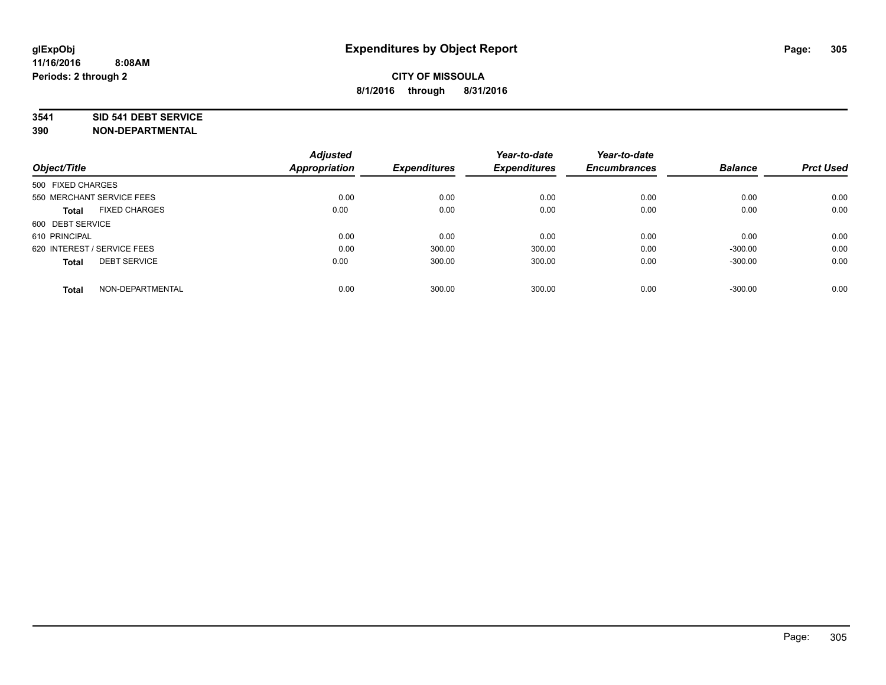### **3541 SID 541 DEBT SERVICE**

|                                     | <b>Adjusted</b> |                     | Year-to-date        | Year-to-date        |                |                  |
|-------------------------------------|-----------------|---------------------|---------------------|---------------------|----------------|------------------|
| Object/Title                        | Appropriation   | <b>Expenditures</b> | <b>Expenditures</b> | <b>Encumbrances</b> | <b>Balance</b> | <b>Prct Used</b> |
| 500 FIXED CHARGES                   |                 |                     |                     |                     |                |                  |
| 550 MERCHANT SERVICE FEES           | 0.00            | 0.00                | 0.00                | 0.00                | 0.00           | 0.00             |
| <b>FIXED CHARGES</b><br>Total       | 0.00            | 0.00                | 0.00                | 0.00                | 0.00           | 0.00             |
| 600 DEBT SERVICE                    |                 |                     |                     |                     |                |                  |
| 610 PRINCIPAL                       | 0.00            | 0.00                | 0.00                | 0.00                | 0.00           | 0.00             |
| 620 INTEREST / SERVICE FEES         | 0.00            | 300.00              | 300.00              | 0.00                | $-300.00$      | 0.00             |
| <b>DEBT SERVICE</b><br><b>Total</b> | 0.00            | 300.00              | 300.00              | 0.00                | $-300.00$      | 0.00             |
| NON-DEPARTMENTAL<br><b>Total</b>    | 0.00            | 300.00              | 300.00              | 0.00                | $-300.00$      | 0.00             |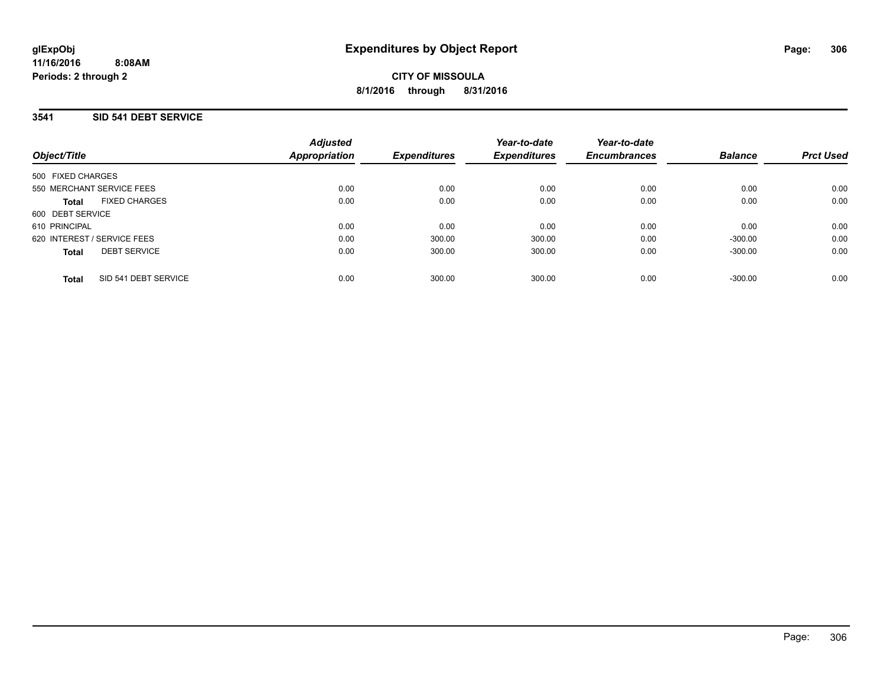## **3541 SID 541 DEBT SERVICE**

| Object/Title                         | <b>Adjusted</b><br>Appropriation | <b>Expenditures</b> | Year-to-date<br><b>Expenditures</b> | Year-to-date<br><b>Encumbrances</b> | <b>Balance</b> | <b>Prct Used</b> |
|--------------------------------------|----------------------------------|---------------------|-------------------------------------|-------------------------------------|----------------|------------------|
| 500 FIXED CHARGES                    |                                  |                     |                                     |                                     |                |                  |
| 550 MERCHANT SERVICE FEES            | 0.00                             | 0.00                | 0.00                                | 0.00                                | 0.00           | 0.00             |
| <b>FIXED CHARGES</b><br><b>Total</b> | 0.00                             | 0.00                | 0.00                                | 0.00                                | 0.00           | 0.00             |
| 600 DEBT SERVICE                     |                                  |                     |                                     |                                     |                |                  |
| 610 PRINCIPAL                        | 0.00                             | 0.00                | 0.00                                | 0.00                                | 0.00           | 0.00             |
| 620 INTEREST / SERVICE FEES          | 0.00                             | 300.00              | 300.00                              | 0.00                                | $-300.00$      | 0.00             |
| <b>DEBT SERVICE</b><br><b>Total</b>  | 0.00                             | 300.00              | 300.00                              | 0.00                                | $-300.00$      | 0.00             |
| SID 541 DEBT SERVICE<br><b>Total</b> | 0.00                             | 300.00              | 300.00                              | 0.00                                | $-300.00$      | 0.00             |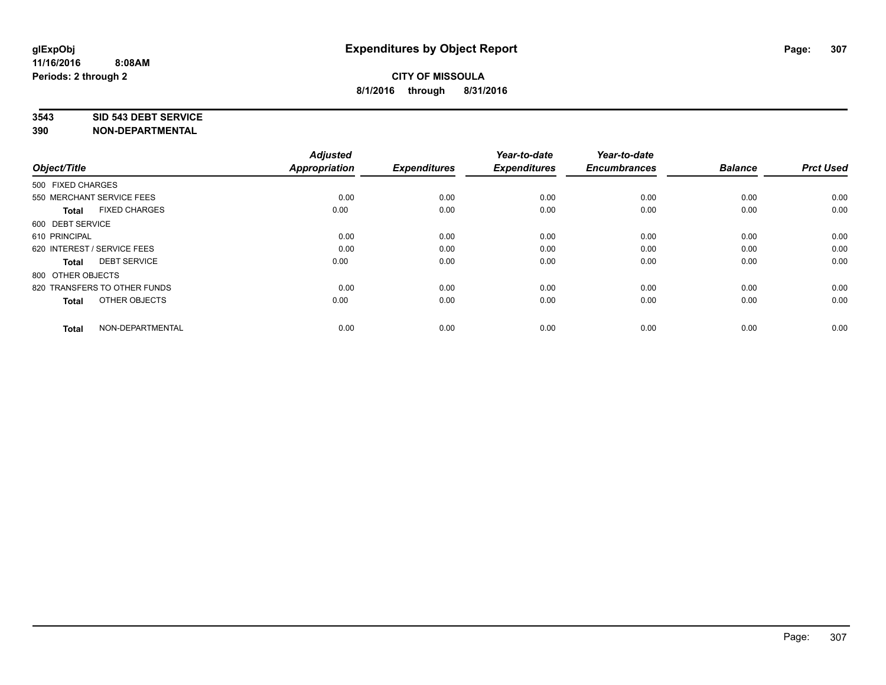#### **3543 SID 543 DEBT SERVICE**

| Object/Title                |                              | <b>Adjusted</b><br><b>Appropriation</b> | <b>Expenditures</b> | Year-to-date<br><b>Expenditures</b> | Year-to-date<br><b>Encumbrances</b> | <b>Balance</b> | <b>Prct Used</b> |
|-----------------------------|------------------------------|-----------------------------------------|---------------------|-------------------------------------|-------------------------------------|----------------|------------------|
| 500 FIXED CHARGES           |                              |                                         |                     |                                     |                                     |                |                  |
| 550 MERCHANT SERVICE FEES   |                              | 0.00                                    | 0.00                | 0.00                                | 0.00                                | 0.00           | 0.00             |
| <b>Total</b>                | <b>FIXED CHARGES</b>         | 0.00                                    | 0.00                | 0.00                                | 0.00                                | 0.00           | 0.00             |
| 600 DEBT SERVICE            |                              |                                         |                     |                                     |                                     |                |                  |
| 610 PRINCIPAL               |                              | 0.00                                    | 0.00                | 0.00                                | 0.00                                | 0.00           | 0.00             |
| 620 INTEREST / SERVICE FEES |                              | 0.00                                    | 0.00                | 0.00                                | 0.00                                | 0.00           | 0.00             |
| <b>Total</b>                | <b>DEBT SERVICE</b>          | 0.00                                    | 0.00                | 0.00                                | 0.00                                | 0.00           | 0.00             |
| 800 OTHER OBJECTS           |                              |                                         |                     |                                     |                                     |                |                  |
|                             | 820 TRANSFERS TO OTHER FUNDS | 0.00                                    | 0.00                | 0.00                                | 0.00                                | 0.00           | 0.00             |
| <b>Total</b>                | OTHER OBJECTS                | 0.00                                    | 0.00                | 0.00                                | 0.00                                | 0.00           | 0.00             |
|                             |                              |                                         |                     |                                     |                                     |                |                  |
| <b>Total</b>                | NON-DEPARTMENTAL             | 0.00                                    | 0.00                | 0.00                                | 0.00                                | 0.00           | 0.00             |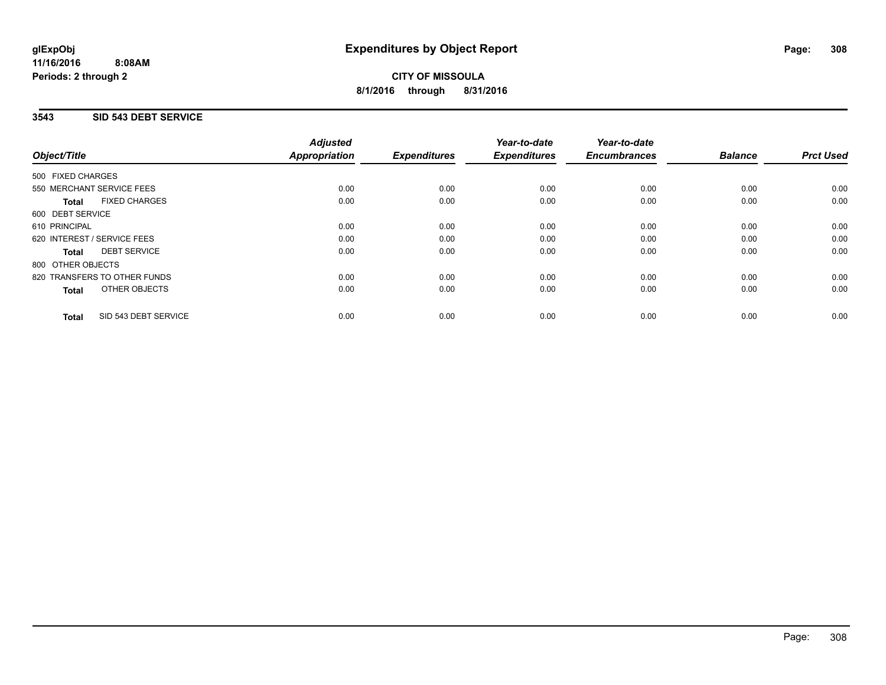## **3543 SID 543 DEBT SERVICE**

|                                      | <b>Adjusted</b>      |                     | Year-to-date        | Year-to-date<br><b>Encumbrances</b> | <b>Balance</b> | <b>Prct Used</b> |
|--------------------------------------|----------------------|---------------------|---------------------|-------------------------------------|----------------|------------------|
| Object/Title                         | <b>Appropriation</b> | <b>Expenditures</b> | <b>Expenditures</b> |                                     |                |                  |
| 500 FIXED CHARGES                    |                      |                     |                     |                                     |                |                  |
| 550 MERCHANT SERVICE FEES            | 0.00                 | 0.00                | 0.00                | 0.00                                | 0.00           | 0.00             |
| <b>FIXED CHARGES</b><br>Total        | 0.00                 | 0.00                | 0.00                | 0.00                                | 0.00           | 0.00             |
| 600 DEBT SERVICE                     |                      |                     |                     |                                     |                |                  |
| 610 PRINCIPAL                        | 0.00                 | 0.00                | 0.00                | 0.00                                | 0.00           | 0.00             |
| 620 INTEREST / SERVICE FEES          | 0.00                 | 0.00                | 0.00                | 0.00                                | 0.00           | 0.00             |
| <b>DEBT SERVICE</b><br>Total         | 0.00                 | 0.00                | 0.00                | 0.00                                | 0.00           | 0.00             |
| 800 OTHER OBJECTS                    |                      |                     |                     |                                     |                |                  |
| 820 TRANSFERS TO OTHER FUNDS         | 0.00                 | 0.00                | 0.00                | 0.00                                | 0.00           | 0.00             |
| OTHER OBJECTS<br><b>Total</b>        | 0.00                 | 0.00                | 0.00                | 0.00                                | 0.00           | 0.00             |
| SID 543 DEBT SERVICE<br><b>Total</b> | 0.00                 | 0.00                | 0.00                | 0.00                                | 0.00           | 0.00             |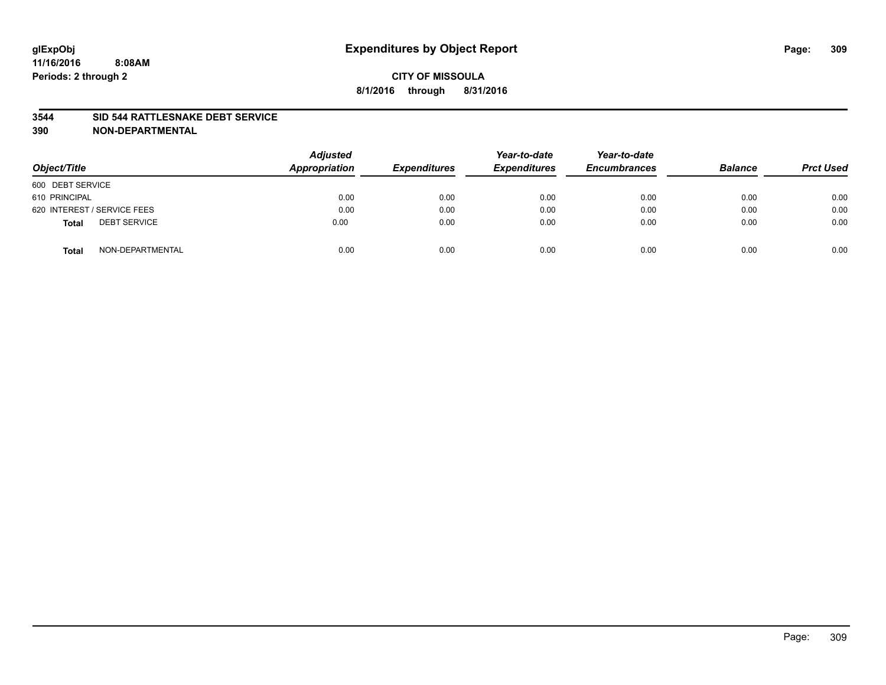### **3544 SID 544 RATTLESNAKE DEBT SERVICE**

| Object/Title                        | <b>Adjusted</b><br>Appropriation | <b>Expenditures</b> | Year-to-date<br><b>Expenditures</b> | Year-to-date<br><b>Encumbrances</b> | <b>Balance</b> | <b>Prct Used</b> |
|-------------------------------------|----------------------------------|---------------------|-------------------------------------|-------------------------------------|----------------|------------------|
| 600 DEBT SERVICE                    |                                  |                     |                                     |                                     |                |                  |
| 610 PRINCIPAL                       | 0.00                             | 0.00                | 0.00                                | 0.00                                | 0.00           | 0.00             |
| 620 INTEREST / SERVICE FEES         | 0.00                             | 0.00                | 0.00                                | 0.00                                | 0.00           | 0.00             |
| <b>DEBT SERVICE</b><br><b>Total</b> | 0.00                             | 0.00                | 0.00                                | 0.00                                | 0.00           | 0.00             |
| NON-DEPARTMENTAL<br><b>Total</b>    | 0.00                             | 0.00                | 0.00                                | 0.00                                | 0.00           | 0.00             |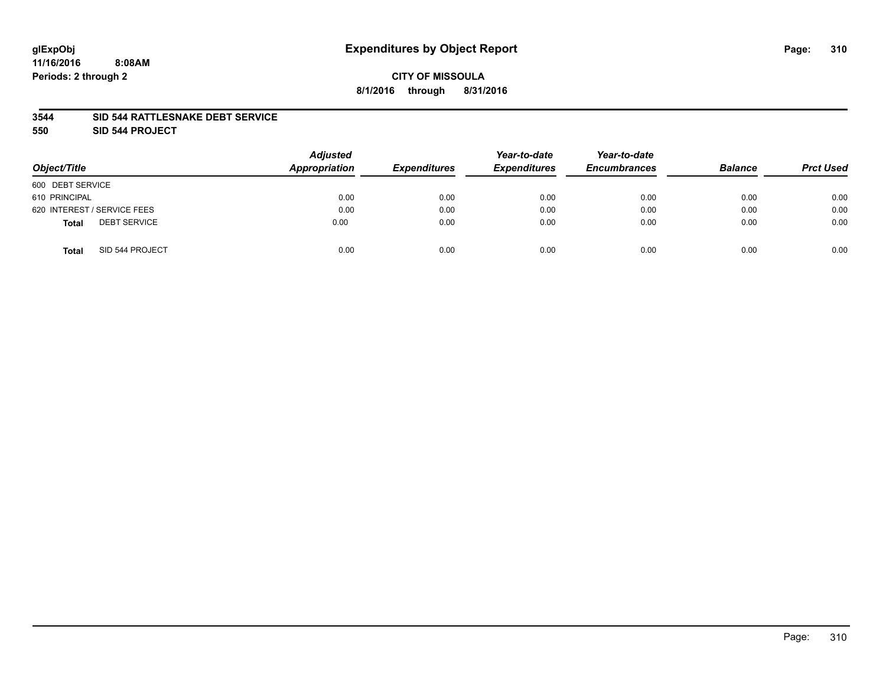### **3544 SID 544 RATTLESNAKE DEBT SERVICE**

**550 SID 544 PROJECT**

| Object/Title                        | <b>Adjusted</b><br>Appropriation | <b>Expenditures</b> | Year-to-date<br><b>Expenditures</b> | Year-to-date<br><b>Encumbrances</b> | <b>Balance</b> | <b>Prct Used</b> |
|-------------------------------------|----------------------------------|---------------------|-------------------------------------|-------------------------------------|----------------|------------------|
| 600 DEBT SERVICE                    |                                  |                     |                                     |                                     |                |                  |
| 610 PRINCIPAL                       | 0.00                             | 0.00                | 0.00                                | 0.00                                | 0.00           | 0.00             |
| 620 INTEREST / SERVICE FEES         | 0.00                             | 0.00                | 0.00                                | 0.00                                | 0.00           | 0.00             |
| <b>DEBT SERVICE</b><br><b>Total</b> | 0.00                             | 0.00                | 0.00                                | 0.00                                | 0.00           | 0.00             |
| SID 544 PROJECT<br><b>Total</b>     | 0.00                             | 0.00                | 0.00                                | 0.00                                | 0.00           | 0.00             |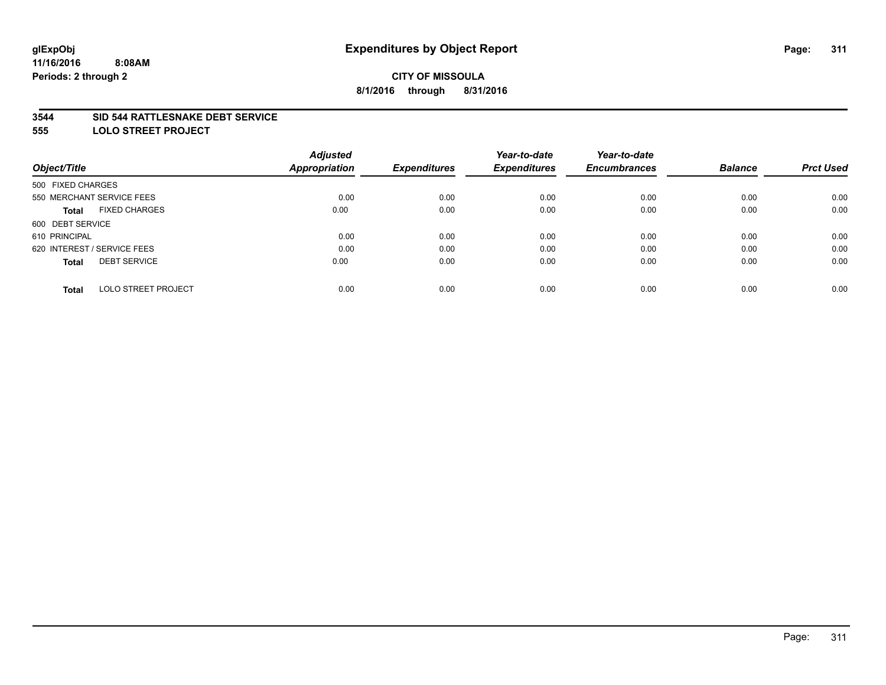### **3544 SID 544 RATTLESNAKE DEBT SERVICE**

**555 LOLO STREET PROJECT**

|                                            | <b>Adjusted</b> |                     | Year-to-date        | Year-to-date        |                |                  |
|--------------------------------------------|-----------------|---------------------|---------------------|---------------------|----------------|------------------|
| Object/Title                               | Appropriation   | <b>Expenditures</b> | <b>Expenditures</b> | <b>Encumbrances</b> | <b>Balance</b> | <b>Prct Used</b> |
| 500 FIXED CHARGES                          |                 |                     |                     |                     |                |                  |
| 550 MERCHANT SERVICE FEES                  | 0.00            | 0.00                | 0.00                | 0.00                | 0.00           | 0.00             |
| <b>FIXED CHARGES</b><br><b>Total</b>       | 0.00            | 0.00                | 0.00                | 0.00                | 0.00           | 0.00             |
| 600 DEBT SERVICE                           |                 |                     |                     |                     |                |                  |
| 610 PRINCIPAL                              | 0.00            | 0.00                | 0.00                | 0.00                | 0.00           | 0.00             |
| 620 INTEREST / SERVICE FEES                | 0.00            | 0.00                | 0.00                | 0.00                | 0.00           | 0.00             |
| <b>DEBT SERVICE</b><br><b>Total</b>        | 0.00            | 0.00                | 0.00                | 0.00                | 0.00           | 0.00             |
| <b>LOLO STREET PROJECT</b><br><b>Total</b> | 0.00            | 0.00                | 0.00                | 0.00                | 0.00           | 0.00             |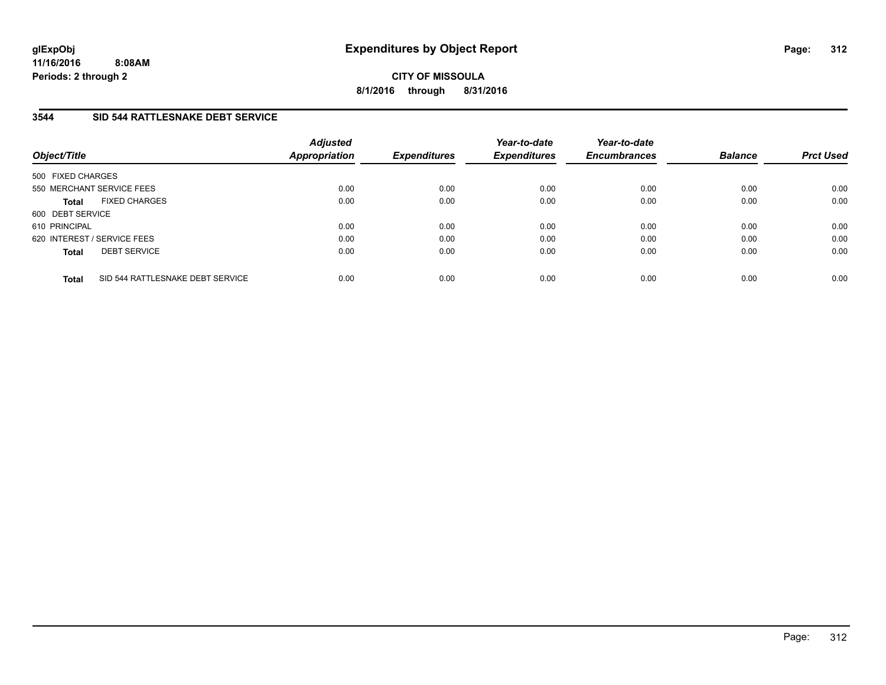**11/16/2016 8:08AM Periods: 2 through 2**

**CITY OF MISSOULA 8/1/2016 through 8/31/2016**

## **3544 SID 544 RATTLESNAKE DEBT SERVICE**

| Object/Title                                     | <b>Adjusted</b><br><b>Appropriation</b> | <b>Expenditures</b> | Year-to-date<br><b>Expenditures</b> | Year-to-date<br><b>Encumbrances</b> | <b>Balance</b> | <b>Prct Used</b> |
|--------------------------------------------------|-----------------------------------------|---------------------|-------------------------------------|-------------------------------------|----------------|------------------|
| 500 FIXED CHARGES                                |                                         |                     |                                     |                                     |                |                  |
| 550 MERCHANT SERVICE FEES                        | 0.00                                    | 0.00                | 0.00                                | 0.00                                | 0.00           | 0.00             |
| <b>FIXED CHARGES</b><br><b>Total</b>             | 0.00                                    | 0.00                | 0.00                                | 0.00                                | 0.00           | 0.00             |
| 600 DEBT SERVICE                                 |                                         |                     |                                     |                                     |                |                  |
| 610 PRINCIPAL                                    | 0.00                                    | 0.00                | 0.00                                | 0.00                                | 0.00           | 0.00             |
| 620 INTEREST / SERVICE FEES                      | 0.00                                    | 0.00                | 0.00                                | 0.00                                | 0.00           | 0.00             |
| <b>DEBT SERVICE</b><br><b>Total</b>              | 0.00                                    | 0.00                | 0.00                                | 0.00                                | 0.00           | 0.00             |
| SID 544 RATTLESNAKE DEBT SERVICE<br><b>Total</b> | 0.00                                    | 0.00                | 0.00                                | 0.00                                | 0.00           | 0.00             |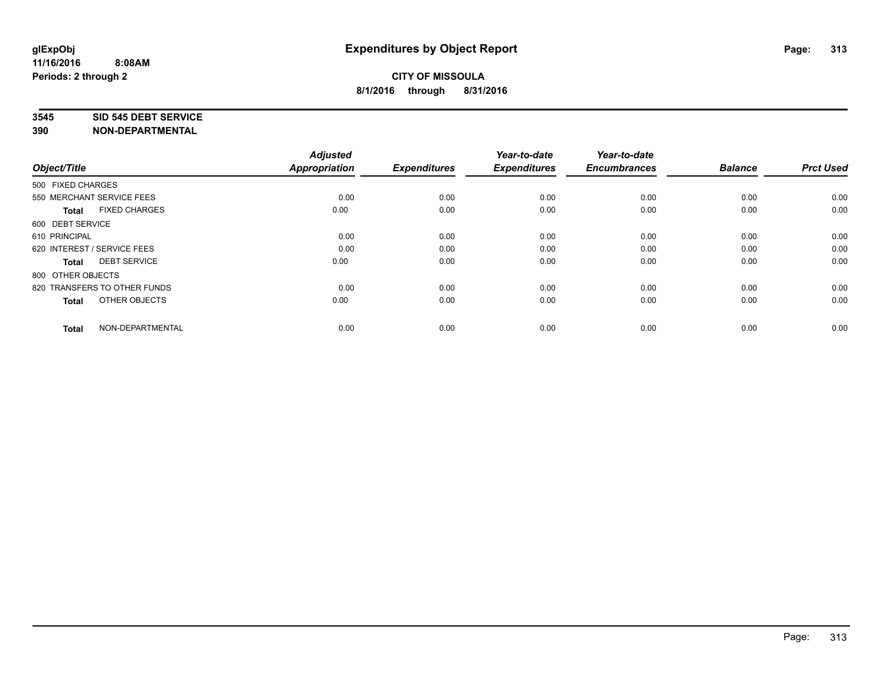#### **3545 SID 545 DEBT SERVICE**

| Object/Title                         | <b>Adjusted</b><br><b>Appropriation</b> | <b>Expenditures</b> | Year-to-date<br><b>Expenditures</b> | Year-to-date<br><b>Encumbrances</b> | <b>Balance</b> | <b>Prct Used</b> |
|--------------------------------------|-----------------------------------------|---------------------|-------------------------------------|-------------------------------------|----------------|------------------|
| 500 FIXED CHARGES                    |                                         |                     |                                     |                                     |                |                  |
| 550 MERCHANT SERVICE FEES            | 0.00                                    | 0.00                | 0.00                                | 0.00                                | 0.00           | 0.00             |
| <b>FIXED CHARGES</b><br><b>Total</b> | 0.00                                    | 0.00                | 0.00                                | 0.00                                | 0.00           | 0.00             |
| 600 DEBT SERVICE                     |                                         |                     |                                     |                                     |                |                  |
| 610 PRINCIPAL                        | 0.00                                    | 0.00                | 0.00                                | 0.00                                | 0.00           | 0.00             |
| 620 INTEREST / SERVICE FEES          | 0.00                                    | 0.00                | 0.00                                | 0.00                                | 0.00           | 0.00             |
| <b>DEBT SERVICE</b><br><b>Total</b>  | 0.00                                    | 0.00                | 0.00                                | 0.00                                | 0.00           | 0.00             |
| 800 OTHER OBJECTS                    |                                         |                     |                                     |                                     |                |                  |
| 820 TRANSFERS TO OTHER FUNDS         | 0.00                                    | 0.00                | 0.00                                | 0.00                                | 0.00           | 0.00             |
| OTHER OBJECTS<br><b>Total</b>        | 0.00                                    | 0.00                | 0.00                                | 0.00                                | 0.00           | 0.00             |
|                                      |                                         |                     |                                     |                                     |                |                  |
| NON-DEPARTMENTAL<br><b>Total</b>     | 0.00                                    | 0.00                | 0.00                                | 0.00                                | 0.00           | 0.00             |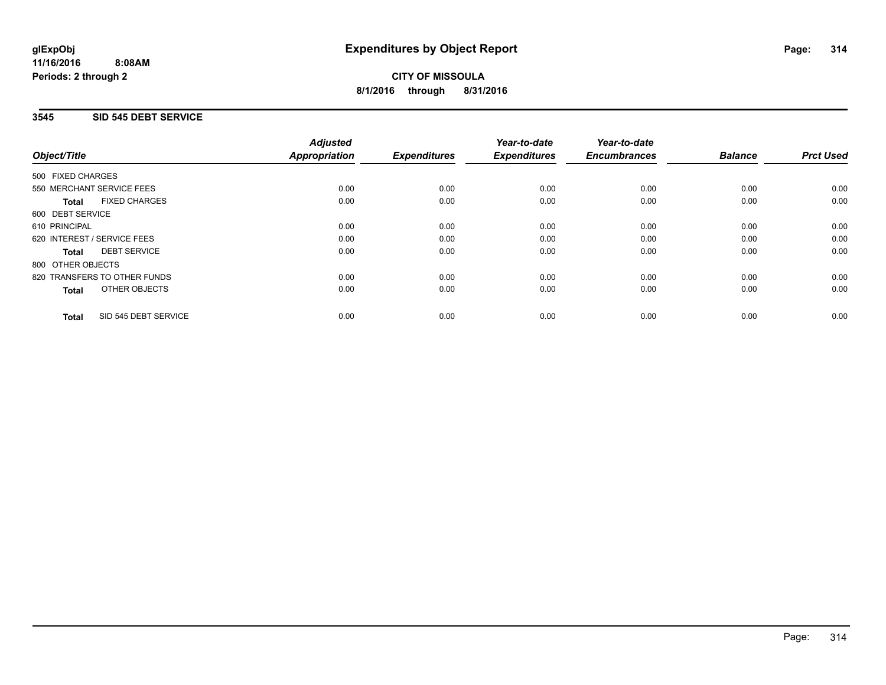## **3545 SID 545 DEBT SERVICE**

|                                      | <b>Adjusted</b>      |                     | Year-to-date        | Year-to-date<br><b>Encumbrances</b> | <b>Balance</b> | <b>Prct Used</b> |
|--------------------------------------|----------------------|---------------------|---------------------|-------------------------------------|----------------|------------------|
| Object/Title                         | <b>Appropriation</b> | <b>Expenditures</b> | <b>Expenditures</b> |                                     |                |                  |
| 500 FIXED CHARGES                    |                      |                     |                     |                                     |                |                  |
| 550 MERCHANT SERVICE FEES            | 0.00                 | 0.00                | 0.00                | 0.00                                | 0.00           | 0.00             |
| <b>FIXED CHARGES</b><br>Total        | 0.00                 | 0.00                | 0.00                | 0.00                                | 0.00           | 0.00             |
| 600 DEBT SERVICE                     |                      |                     |                     |                                     |                |                  |
| 610 PRINCIPAL                        | 0.00                 | 0.00                | 0.00                | 0.00                                | 0.00           | 0.00             |
| 620 INTEREST / SERVICE FEES          | 0.00                 | 0.00                | 0.00                | 0.00                                | 0.00           | 0.00             |
| <b>DEBT SERVICE</b><br><b>Total</b>  | 0.00                 | 0.00                | 0.00                | 0.00                                | 0.00           | 0.00             |
| 800 OTHER OBJECTS                    |                      |                     |                     |                                     |                |                  |
| 820 TRANSFERS TO OTHER FUNDS         | 0.00                 | 0.00                | 0.00                | 0.00                                | 0.00           | 0.00             |
| OTHER OBJECTS<br><b>Total</b>        | 0.00                 | 0.00                | 0.00                | 0.00                                | 0.00           | 0.00             |
| SID 545 DEBT SERVICE<br><b>Total</b> | 0.00                 | 0.00                | 0.00                | 0.00                                | 0.00           | 0.00             |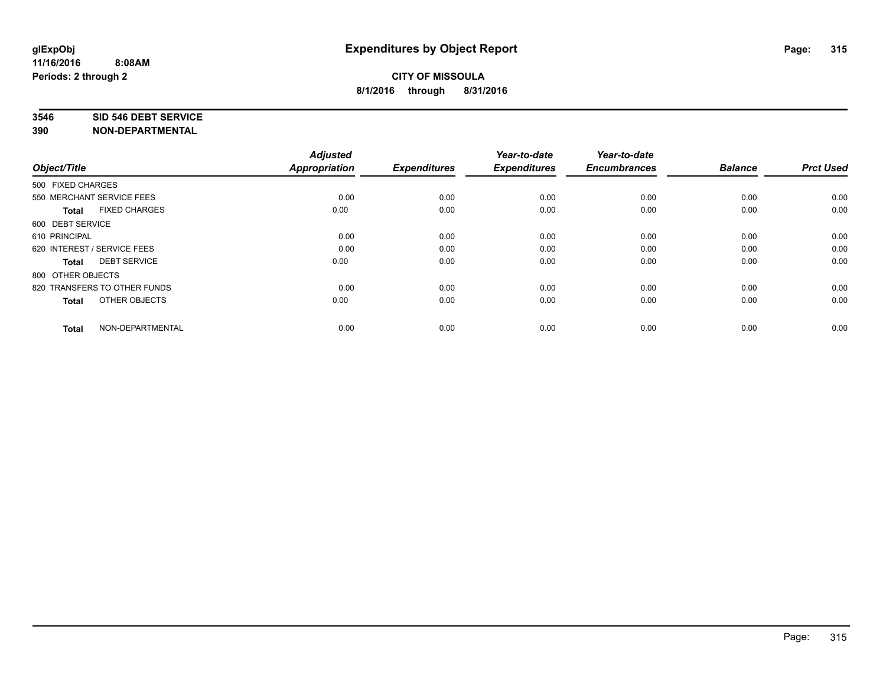#### **3546 SID 546 DEBT SERVICE**

| Object/Title                         | <b>Adjusted</b><br><b>Appropriation</b> | <b>Expenditures</b> | Year-to-date<br><b>Expenditures</b> | Year-to-date<br><b>Encumbrances</b> | <b>Balance</b> | <b>Prct Used</b> |
|--------------------------------------|-----------------------------------------|---------------------|-------------------------------------|-------------------------------------|----------------|------------------|
| 500 FIXED CHARGES                    |                                         |                     |                                     |                                     |                |                  |
| 550 MERCHANT SERVICE FEES            | 0.00                                    | 0.00                | 0.00                                | 0.00                                | 0.00           | 0.00             |
| <b>FIXED CHARGES</b><br><b>Total</b> | 0.00                                    | 0.00                | 0.00                                | 0.00                                | 0.00           | 0.00             |
| 600 DEBT SERVICE                     |                                         |                     |                                     |                                     |                |                  |
| 610 PRINCIPAL                        | 0.00                                    | 0.00                | 0.00                                | 0.00                                | 0.00           | 0.00             |
| 620 INTEREST / SERVICE FEES          | 0.00                                    | 0.00                | 0.00                                | 0.00                                | 0.00           | 0.00             |
| <b>DEBT SERVICE</b><br><b>Total</b>  | 0.00                                    | 0.00                | 0.00                                | 0.00                                | 0.00           | 0.00             |
| 800 OTHER OBJECTS                    |                                         |                     |                                     |                                     |                |                  |
| 820 TRANSFERS TO OTHER FUNDS         | 0.00                                    | 0.00                | 0.00                                | 0.00                                | 0.00           | 0.00             |
| OTHER OBJECTS<br><b>Total</b>        | 0.00                                    | 0.00                | 0.00                                | 0.00                                | 0.00           | 0.00             |
|                                      |                                         |                     |                                     |                                     |                |                  |
| NON-DEPARTMENTAL<br><b>Total</b>     | 0.00                                    | 0.00                | 0.00                                | 0.00                                | 0.00           | 0.00             |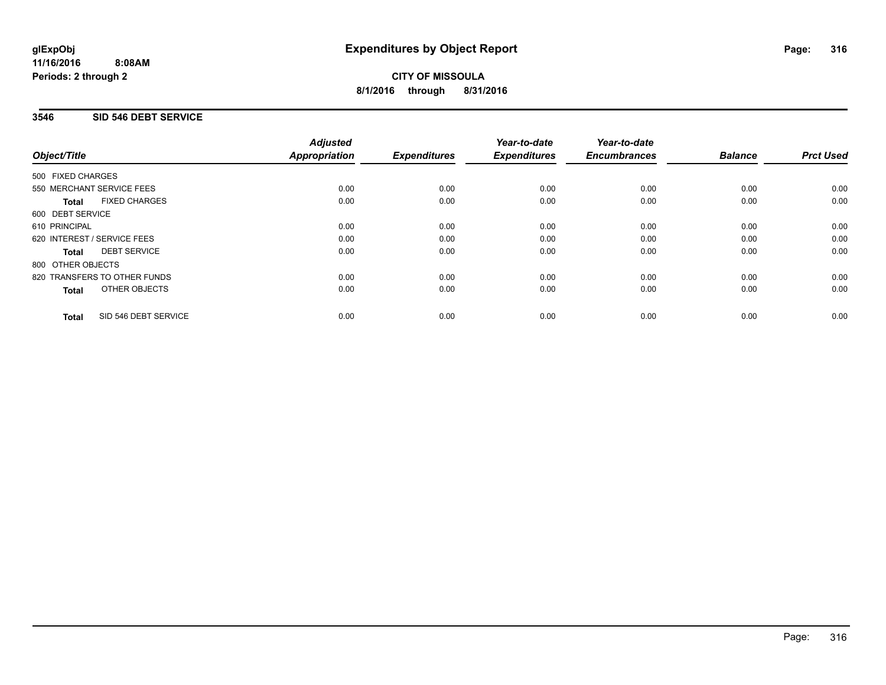# **3546 SID 546 DEBT SERVICE**

|                                      | <b>Adjusted</b>      |                     | Year-to-date        | Year-to-date<br><b>Encumbrances</b> | <b>Balance</b> | <b>Prct Used</b> |
|--------------------------------------|----------------------|---------------------|---------------------|-------------------------------------|----------------|------------------|
| Object/Title                         | <b>Appropriation</b> | <b>Expenditures</b> | <b>Expenditures</b> |                                     |                |                  |
| 500 FIXED CHARGES                    |                      |                     |                     |                                     |                |                  |
| 550 MERCHANT SERVICE FEES            | 0.00                 | 0.00                | 0.00                | 0.00                                | 0.00           | 0.00             |
| <b>FIXED CHARGES</b><br><b>Total</b> | 0.00                 | 0.00                | 0.00                | 0.00                                | 0.00           | 0.00             |
| 600 DEBT SERVICE                     |                      |                     |                     |                                     |                |                  |
| 610 PRINCIPAL                        | 0.00                 | 0.00                | 0.00                | 0.00                                | 0.00           | 0.00             |
| 620 INTEREST / SERVICE FEES          | 0.00                 | 0.00                | 0.00                | 0.00                                | 0.00           | 0.00             |
| <b>DEBT SERVICE</b><br><b>Total</b>  | 0.00                 | 0.00                | 0.00                | 0.00                                | 0.00           | 0.00             |
| 800 OTHER OBJECTS                    |                      |                     |                     |                                     |                |                  |
| 820 TRANSFERS TO OTHER FUNDS         | 0.00                 | 0.00                | 0.00                | 0.00                                | 0.00           | 0.00             |
| OTHER OBJECTS<br><b>Total</b>        | 0.00                 | 0.00                | 0.00                | 0.00                                | 0.00           | 0.00             |
| SID 546 DEBT SERVICE<br><b>Total</b> | 0.00                 | 0.00                | 0.00                | 0.00                                | 0.00           | 0.00             |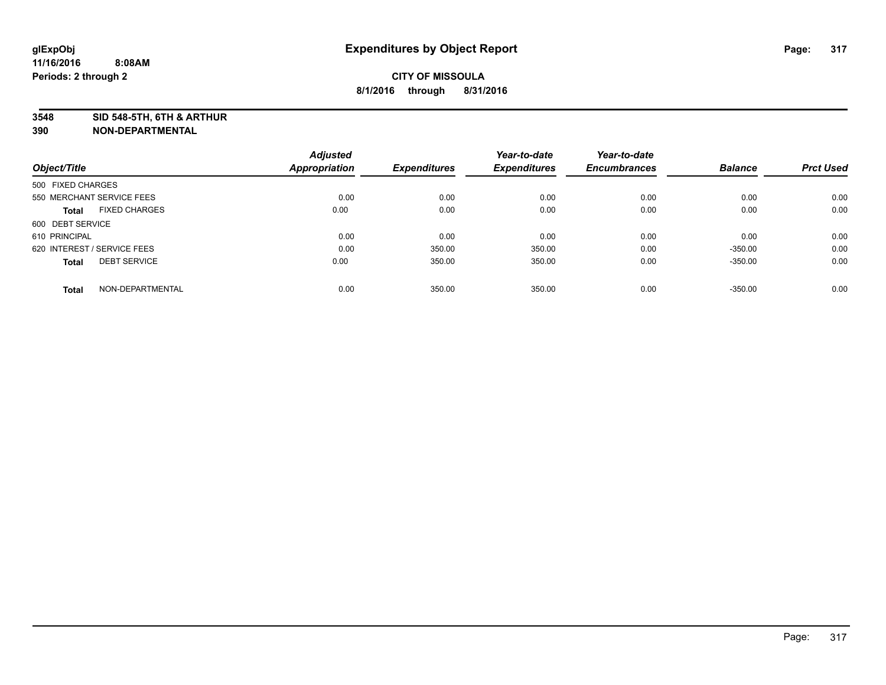**3548 SID 548-5TH, 6TH & ARTHUR**

|                                      | <b>Adjusted</b>      |                     | Year-to-date        | Year-to-date        |                |                  |
|--------------------------------------|----------------------|---------------------|---------------------|---------------------|----------------|------------------|
| Object/Title                         | <b>Appropriation</b> | <b>Expenditures</b> | <b>Expenditures</b> | <b>Encumbrances</b> | <b>Balance</b> | <b>Prct Used</b> |
| 500 FIXED CHARGES                    |                      |                     |                     |                     |                |                  |
| 550 MERCHANT SERVICE FEES            | 0.00                 | 0.00                | 0.00                | 0.00                | 0.00           | 0.00             |
| <b>FIXED CHARGES</b><br><b>Total</b> | 0.00                 | 0.00                | 0.00                | 0.00                | 0.00           | 0.00             |
| 600 DEBT SERVICE                     |                      |                     |                     |                     |                |                  |
| 610 PRINCIPAL                        | 0.00                 | 0.00                | 0.00                | 0.00                | 0.00           | 0.00             |
| 620 INTEREST / SERVICE FEES          | 0.00                 | 350.00              | 350.00              | 0.00                | $-350.00$      | 0.00             |
| <b>DEBT SERVICE</b><br><b>Total</b>  | 0.00                 | 350.00              | 350.00              | 0.00                | $-350.00$      | 0.00             |
| NON-DEPARTMENTAL<br><b>Total</b>     | 0.00                 | 350.00              | 350.00              | 0.00                | $-350.00$      | 0.00             |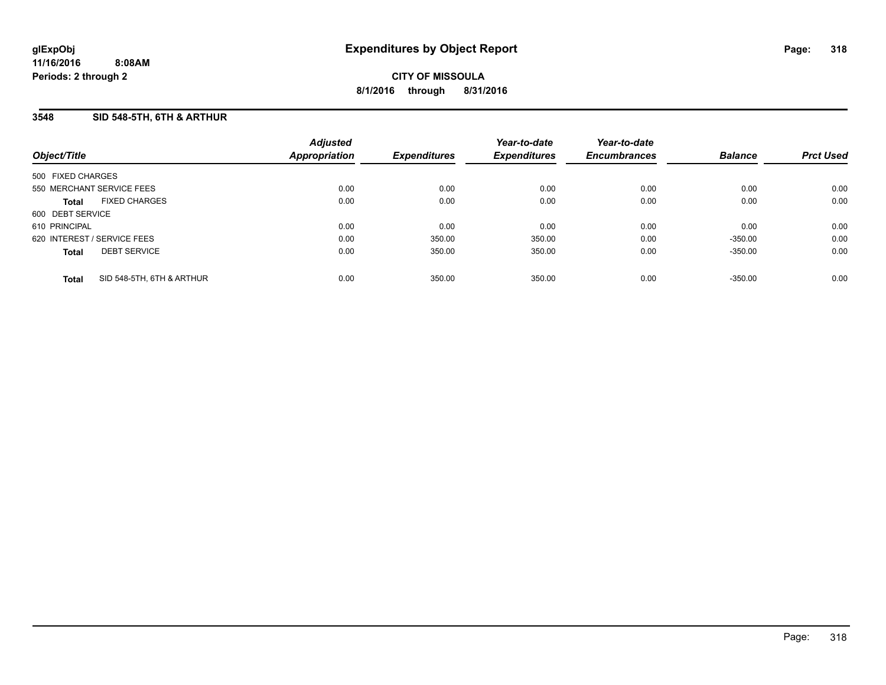### **3548 SID 548-5TH, 6TH & ARTHUR**

| Object/Title      |                             | <b>Adjusted</b><br>Appropriation | <b>Expenditures</b> | Year-to-date<br><b>Expenditures</b> | Year-to-date<br><b>Encumbrances</b> | <b>Balance</b> | <b>Prct Used</b> |
|-------------------|-----------------------------|----------------------------------|---------------------|-------------------------------------|-------------------------------------|----------------|------------------|
| 500 FIXED CHARGES |                             |                                  |                     |                                     |                                     |                |                  |
|                   | 550 MERCHANT SERVICE FEES   | 0.00                             | 0.00                | 0.00                                | 0.00                                | 0.00           | 0.00             |
| <b>Total</b>      | <b>FIXED CHARGES</b>        | 0.00                             | 0.00                | 0.00                                | 0.00                                | 0.00           | 0.00             |
| 600 DEBT SERVICE  |                             |                                  |                     |                                     |                                     |                |                  |
| 610 PRINCIPAL     |                             | 0.00                             | 0.00                | 0.00                                | 0.00                                | 0.00           | 0.00             |
|                   | 620 INTEREST / SERVICE FEES | 0.00                             | 350.00              | 350.00                              | 0.00                                | $-350.00$      | 0.00             |
| <b>Total</b>      | <b>DEBT SERVICE</b>         | 0.00                             | 350.00              | 350.00                              | 0.00                                | $-350.00$      | 0.00             |
| <b>Total</b>      | SID 548-5TH, 6TH & ARTHUR   | 0.00                             | 350.00              | 350.00                              | 0.00                                | $-350.00$      | 0.00             |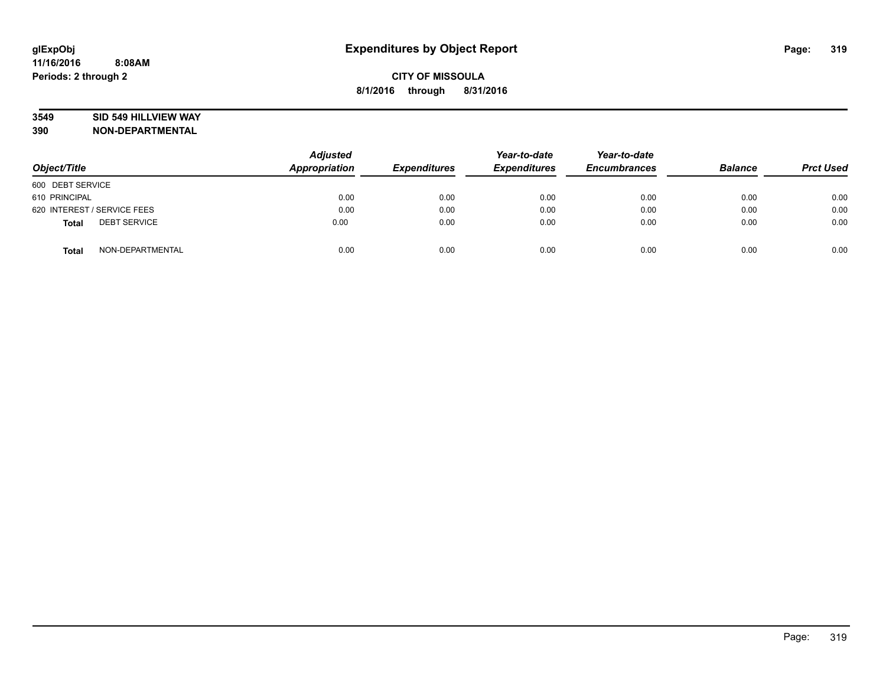## **3549 SID 549 HILLVIEW WAY**

| Object/Title                        | <b>Adjusted</b><br>Appropriation | <b>Expenditures</b> | Year-to-date<br><b>Expenditures</b> | Year-to-date<br><b>Encumbrances</b> | <b>Balance</b> | <b>Prct Used</b> |
|-------------------------------------|----------------------------------|---------------------|-------------------------------------|-------------------------------------|----------------|------------------|
| 600 DEBT SERVICE                    |                                  |                     |                                     |                                     |                |                  |
| 610 PRINCIPAL                       | 0.00                             | 0.00                | 0.00                                | 0.00                                | 0.00           | 0.00             |
| 620 INTEREST / SERVICE FEES         | 0.00                             | 0.00                | 0.00                                | 0.00                                | 0.00           | 0.00             |
| <b>DEBT SERVICE</b><br><b>Total</b> | 0.00                             | 0.00                | 0.00                                | 0.00                                | 0.00           | 0.00             |
| NON-DEPARTMENTAL<br><b>Total</b>    | 0.00                             | 0.00                | 0.00                                | 0.00                                | 0.00           | 0.00             |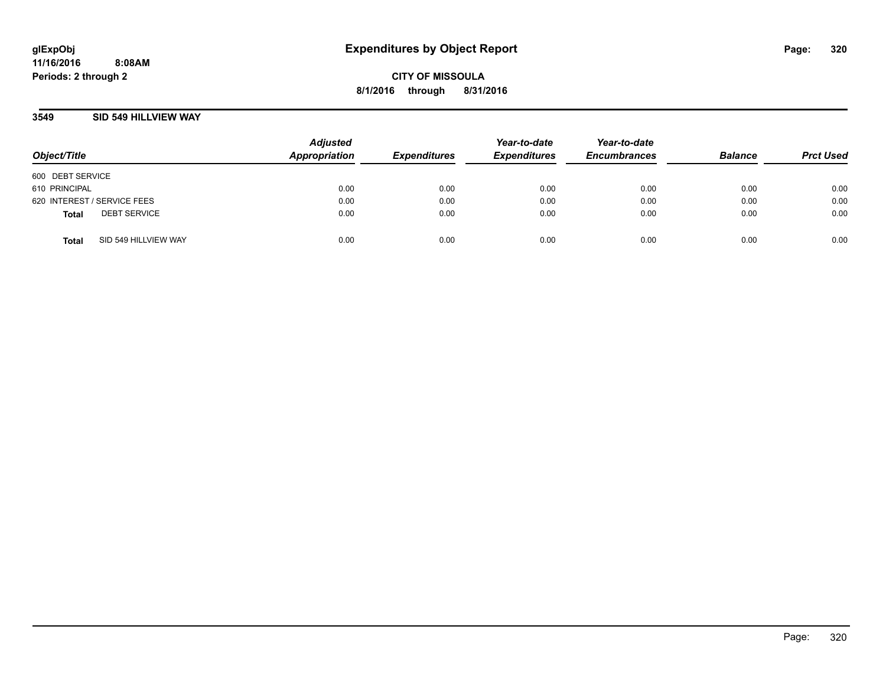### **3549 SID 549 HILLVIEW WAY**

| Object/Title                |                      | <b>Adjusted</b><br>Appropriation | <b>Expenditures</b> | Year-to-date<br><b>Expenditures</b> | Year-to-date<br><b>Encumbrances</b> | <b>Balance</b> | <b>Prct Used</b> |
|-----------------------------|----------------------|----------------------------------|---------------------|-------------------------------------|-------------------------------------|----------------|------------------|
| 600 DEBT SERVICE            |                      |                                  |                     |                                     |                                     |                |                  |
| 610 PRINCIPAL               |                      | 0.00                             | 0.00                | 0.00                                | 0.00                                | 0.00           | 0.00             |
| 620 INTEREST / SERVICE FEES |                      | 0.00                             | 0.00                | 0.00                                | 0.00                                | 0.00           | 0.00             |
| <b>Total</b>                | <b>DEBT SERVICE</b>  | 0.00                             | 0.00                | 0.00                                | 0.00                                | 0.00           | 0.00             |
| <b>Total</b>                | SID 549 HILLVIEW WAY | 0.00                             | 0.00                | 0.00                                | 0.00                                | 0.00           | 0.00             |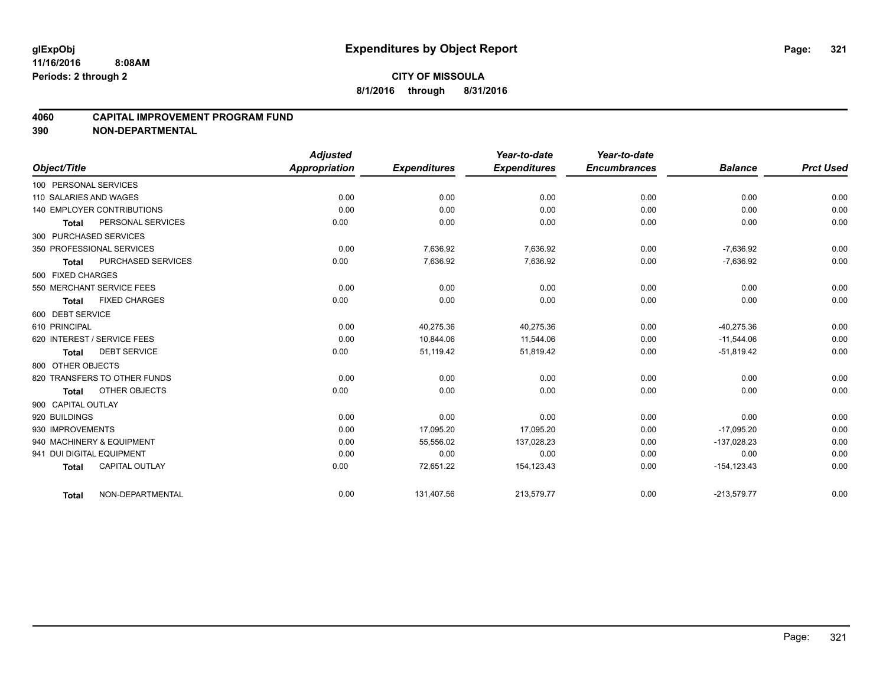### **4060 CAPITAL IMPROVEMENT PROGRAM FUND**

|                                   |                              | <b>Adjusted</b> |                     | Year-to-date        | Year-to-date        |                |                  |
|-----------------------------------|------------------------------|-----------------|---------------------|---------------------|---------------------|----------------|------------------|
| Object/Title                      |                              | Appropriation   | <b>Expenditures</b> | <b>Expenditures</b> | <b>Encumbrances</b> | <b>Balance</b> | <b>Prct Used</b> |
| 100 PERSONAL SERVICES             |                              |                 |                     |                     |                     |                |                  |
| 110 SALARIES AND WAGES            |                              | 0.00            | 0.00                | 0.00                | 0.00                | 0.00           | 0.00             |
| <b>140 EMPLOYER CONTRIBUTIONS</b> |                              | 0.00            | 0.00                | 0.00                | 0.00                | 0.00           | 0.00             |
| <b>Total</b>                      | PERSONAL SERVICES            | 0.00            | 0.00                | 0.00                | 0.00                | 0.00           | 0.00             |
| 300 PURCHASED SERVICES            |                              |                 |                     |                     |                     |                |                  |
| 350 PROFESSIONAL SERVICES         |                              | 0.00            | 7,636.92            | 7,636.92            | 0.00                | $-7,636.92$    | 0.00             |
| <b>Total</b>                      | PURCHASED SERVICES           | 0.00            | 7,636.92            | 7,636.92            | 0.00                | $-7,636.92$    | 0.00             |
| 500 FIXED CHARGES                 |                              |                 |                     |                     |                     |                |                  |
| 550 MERCHANT SERVICE FEES         |                              | 0.00            | 0.00                | 0.00                | 0.00                | 0.00           | 0.00             |
| <b>Total</b>                      | <b>FIXED CHARGES</b>         | 0.00            | 0.00                | 0.00                | 0.00                | 0.00           | 0.00             |
| 600 DEBT SERVICE                  |                              |                 |                     |                     |                     |                |                  |
| 610 PRINCIPAL                     |                              | 0.00            | 40,275.36           | 40,275.36           | 0.00                | $-40,275.36$   | 0.00             |
| 620 INTEREST / SERVICE FEES       |                              | 0.00            | 10,844.06           | 11,544.06           | 0.00                | $-11,544.06$   | 0.00             |
| <b>Total</b>                      | <b>DEBT SERVICE</b>          | 0.00            | 51,119.42           | 51,819.42           | 0.00                | $-51,819.42$   | 0.00             |
| 800 OTHER OBJECTS                 |                              |                 |                     |                     |                     |                |                  |
|                                   | 820 TRANSFERS TO OTHER FUNDS | 0.00            | 0.00                | 0.00                | 0.00                | 0.00           | 0.00             |
| <b>Total</b>                      | OTHER OBJECTS                | 0.00            | 0.00                | 0.00                | 0.00                | 0.00           | 0.00             |
| 900 CAPITAL OUTLAY                |                              |                 |                     |                     |                     |                |                  |
| 920 BUILDINGS                     |                              | 0.00            | 0.00                | 0.00                | 0.00                | 0.00           | 0.00             |
| 930 IMPROVEMENTS                  |                              | 0.00            | 17,095.20           | 17,095.20           | 0.00                | $-17,095.20$   | 0.00             |
| 940 MACHINERY & EQUIPMENT         |                              | 0.00            | 55,556.02           | 137,028.23          | 0.00                | -137,028.23    | 0.00             |
| 941 DUI DIGITAL EQUIPMENT         |                              | 0.00            | 0.00                | 0.00                | 0.00                | 0.00           | 0.00             |
| <b>Total</b>                      | <b>CAPITAL OUTLAY</b>        | 0.00            | 72,651.22           | 154, 123.43         | 0.00                | $-154, 123.43$ | 0.00             |
| <b>Total</b>                      | NON-DEPARTMENTAL             | 0.00            | 131,407.56          | 213,579.77          | 0.00                | $-213,579.77$  | 0.00             |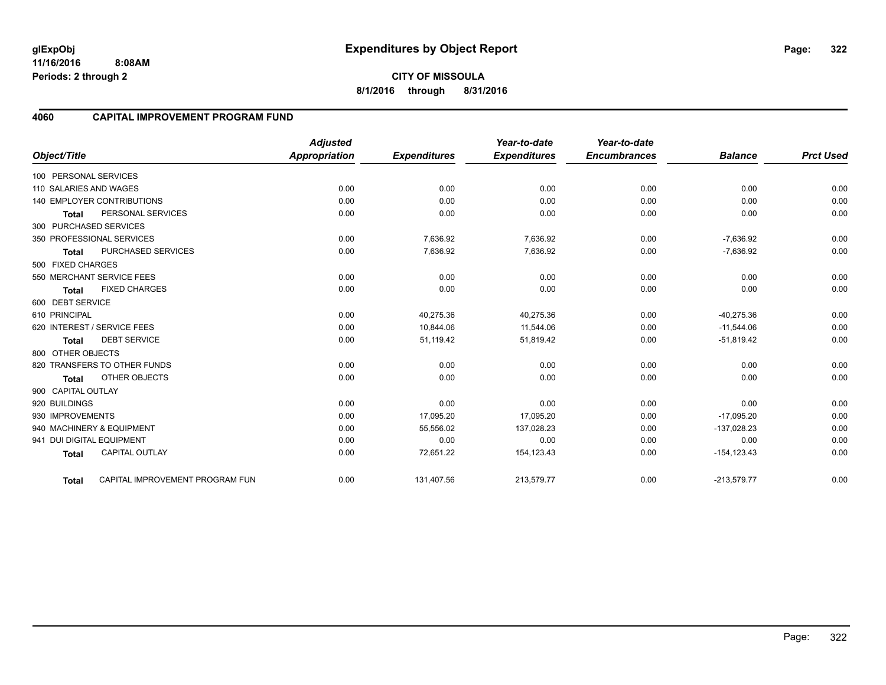**11/16/2016 8:08AM Periods: 2 through 2**

# **4060 CAPITAL IMPROVEMENT PROGRAM FUND**

|                                                 | <b>Adjusted</b>      |                     | Year-to-date        | Year-to-date<br><b>Encumbrances</b> | <b>Balance</b> | <b>Prct Used</b> |
|-------------------------------------------------|----------------------|---------------------|---------------------|-------------------------------------|----------------|------------------|
| Object/Title                                    | <b>Appropriation</b> | <b>Expenditures</b> | <b>Expenditures</b> |                                     |                |                  |
| 100 PERSONAL SERVICES                           |                      |                     |                     |                                     |                |                  |
| 110 SALARIES AND WAGES                          | 0.00                 | 0.00                | 0.00                | 0.00                                | 0.00           | 0.00             |
| <b>140 EMPLOYER CONTRIBUTIONS</b>               | 0.00                 | 0.00                | 0.00                | 0.00                                | 0.00           | 0.00             |
| PERSONAL SERVICES<br><b>Total</b>               | 0.00                 | 0.00                | 0.00                | 0.00                                | 0.00           | 0.00             |
| 300 PURCHASED SERVICES                          |                      |                     |                     |                                     |                |                  |
| 350 PROFESSIONAL SERVICES                       | 0.00                 | 7,636.92            | 7,636.92            | 0.00                                | $-7,636.92$    | 0.00             |
| PURCHASED SERVICES<br><b>Total</b>              | 0.00                 | 7,636.92            | 7,636.92            | 0.00                                | $-7,636.92$    | 0.00             |
| 500 FIXED CHARGES                               |                      |                     |                     |                                     |                |                  |
| 550 MERCHANT SERVICE FEES                       | 0.00                 | 0.00                | 0.00                | 0.00                                | 0.00           | 0.00             |
| <b>FIXED CHARGES</b><br><b>Total</b>            | 0.00                 | 0.00                | 0.00                | 0.00                                | 0.00           | 0.00             |
| 600 DEBT SERVICE                                |                      |                     |                     |                                     |                |                  |
| 610 PRINCIPAL                                   | 0.00                 | 40,275.36           | 40,275.36           | 0.00                                | $-40,275.36$   | 0.00             |
| 620 INTEREST / SERVICE FEES                     | 0.00                 | 10,844.06           | 11,544.06           | 0.00                                | $-11,544.06$   | 0.00             |
| <b>DEBT SERVICE</b><br><b>Total</b>             | 0.00                 | 51,119.42           | 51,819.42           | 0.00                                | $-51,819.42$   | 0.00             |
| 800 OTHER OBJECTS                               |                      |                     |                     |                                     |                |                  |
| 820 TRANSFERS TO OTHER FUNDS                    | 0.00                 | 0.00                | 0.00                | 0.00                                | 0.00           | 0.00             |
| OTHER OBJECTS<br>Total                          | 0.00                 | 0.00                | 0.00                | 0.00                                | 0.00           | 0.00             |
| 900 CAPITAL OUTLAY                              |                      |                     |                     |                                     |                |                  |
| 920 BUILDINGS                                   | 0.00                 | 0.00                | 0.00                | 0.00                                | 0.00           | 0.00             |
| 930 IMPROVEMENTS                                | 0.00                 | 17,095.20           | 17,095.20           | 0.00                                | $-17,095.20$   | 0.00             |
| 940 MACHINERY & EQUIPMENT                       | 0.00                 | 55,556.02           | 137,028.23          | 0.00                                | $-137,028.23$  | 0.00             |
| 941 DUI DIGITAL EQUIPMENT                       | 0.00                 | 0.00                | 0.00                | 0.00                                | 0.00           | 0.00             |
| <b>CAPITAL OUTLAY</b><br><b>Total</b>           | 0.00                 | 72,651.22           | 154, 123.43         | 0.00                                | $-154, 123.43$ | 0.00             |
| CAPITAL IMPROVEMENT PROGRAM FUN<br><b>Total</b> | 0.00                 | 131,407.56          | 213,579.77          | 0.00                                | $-213,579.77$  | 0.00             |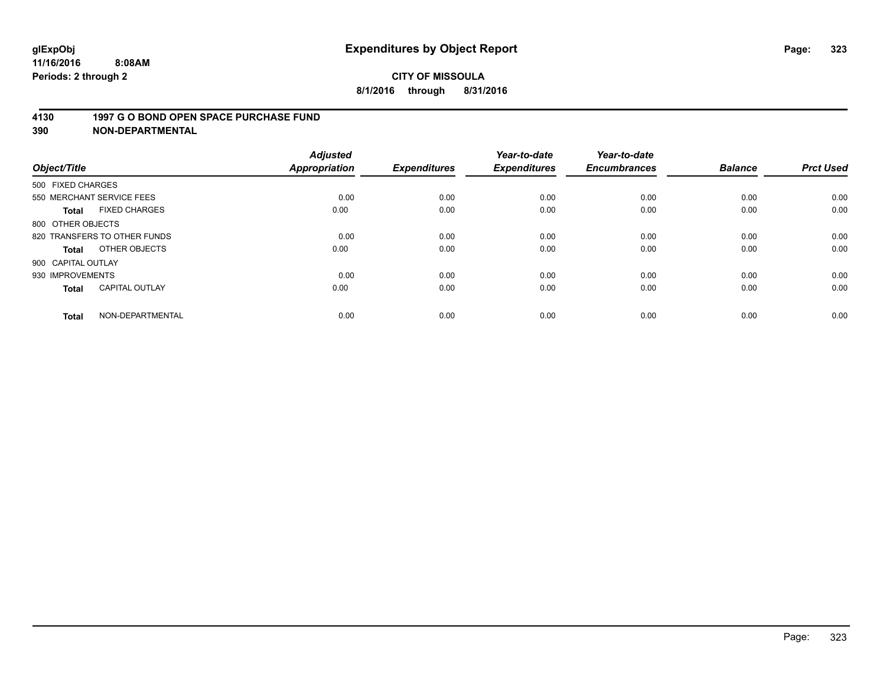### **4130 1997 G O BOND OPEN SPACE PURCHASE FUND**

| Object/Title                 |                       | <b>Adjusted</b><br><b>Appropriation</b> | <b>Expenditures</b> | Year-to-date<br><b>Expenditures</b> | Year-to-date<br><b>Encumbrances</b> | <b>Balance</b> | <b>Prct Used</b> |
|------------------------------|-----------------------|-----------------------------------------|---------------------|-------------------------------------|-------------------------------------|----------------|------------------|
| 500 FIXED CHARGES            |                       |                                         |                     |                                     |                                     |                |                  |
| 550 MERCHANT SERVICE FEES    |                       | 0.00                                    | 0.00                | 0.00                                | 0.00                                | 0.00           | 0.00             |
| <b>Total</b>                 | <b>FIXED CHARGES</b>  | 0.00                                    | 0.00                | 0.00                                | 0.00                                | 0.00           | 0.00             |
| 800 OTHER OBJECTS            |                       |                                         |                     |                                     |                                     |                |                  |
| 820 TRANSFERS TO OTHER FUNDS |                       | 0.00                                    | 0.00                | 0.00                                | 0.00                                | 0.00           | 0.00             |
| Total                        | OTHER OBJECTS         | 0.00                                    | 0.00                | 0.00                                | 0.00                                | 0.00           | 0.00             |
| 900 CAPITAL OUTLAY           |                       |                                         |                     |                                     |                                     |                |                  |
| 930 IMPROVEMENTS             |                       | 0.00                                    | 0.00                | 0.00                                | 0.00                                | 0.00           | 0.00             |
| Total                        | <b>CAPITAL OUTLAY</b> | 0.00                                    | 0.00                | 0.00                                | 0.00                                | 0.00           | 0.00             |
| <b>Total</b>                 | NON-DEPARTMENTAL      | 0.00                                    | 0.00                | 0.00                                | 0.00                                | 0.00           | 0.00             |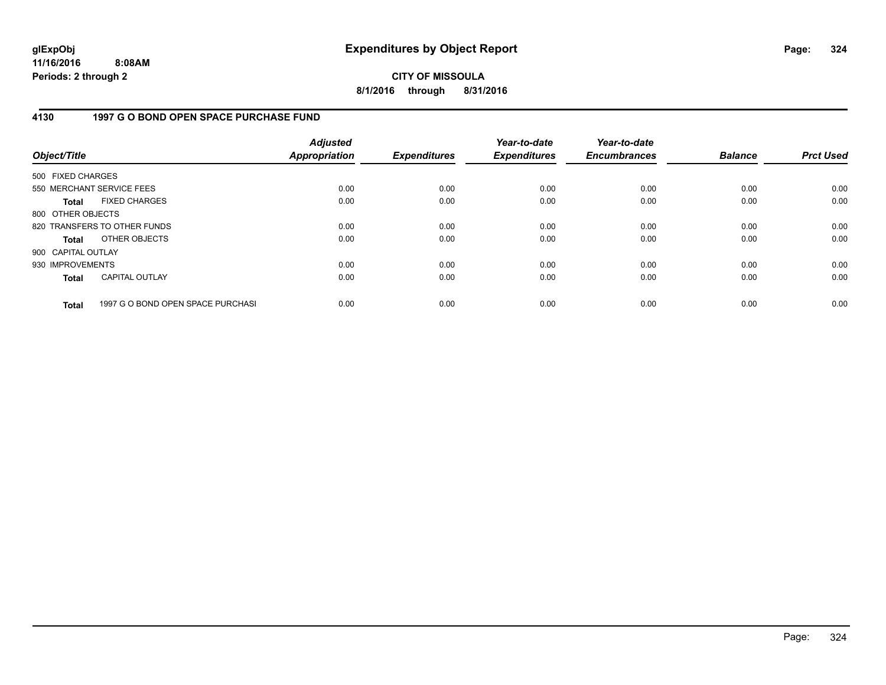**11/16/2016 8:08AM Periods: 2 through 2**

**CITY OF MISSOULA 8/1/2016 through 8/31/2016**

## **4130 1997 G O BOND OPEN SPACE PURCHASE FUND**

| Object/Title       |                                   | <b>Adjusted</b><br><b>Appropriation</b> | <b>Expenditures</b> | Year-to-date<br><b>Expenditures</b> | Year-to-date<br><b>Encumbrances</b> | <b>Balance</b> | <b>Prct Used</b> |
|--------------------|-----------------------------------|-----------------------------------------|---------------------|-------------------------------------|-------------------------------------|----------------|------------------|
| 500 FIXED CHARGES  |                                   |                                         |                     |                                     |                                     |                |                  |
|                    | 550 MERCHANT SERVICE FEES         | 0.00                                    | 0.00                | 0.00                                | 0.00                                | 0.00           | 0.00             |
| <b>Total</b>       | <b>FIXED CHARGES</b>              | 0.00                                    | 0.00                | 0.00                                | 0.00                                | 0.00           | 0.00             |
| 800 OTHER OBJECTS  |                                   |                                         |                     |                                     |                                     |                |                  |
|                    | 820 TRANSFERS TO OTHER FUNDS      | 0.00                                    | 0.00                | 0.00                                | 0.00                                | 0.00           | 0.00             |
| <b>Total</b>       | OTHER OBJECTS                     | 0.00                                    | 0.00                | 0.00                                | 0.00                                | 0.00           | 0.00             |
| 900 CAPITAL OUTLAY |                                   |                                         |                     |                                     |                                     |                |                  |
| 930 IMPROVEMENTS   |                                   | 0.00                                    | 0.00                | 0.00                                | 0.00                                | 0.00           | 0.00             |
| <b>Total</b>       | <b>CAPITAL OUTLAY</b>             | 0.00                                    | 0.00                | 0.00                                | 0.00                                | 0.00           | 0.00             |
| <b>Total</b>       | 1997 G O BOND OPEN SPACE PURCHASI | 0.00                                    | 0.00                | 0.00                                | 0.00                                | 0.00           | 0.00             |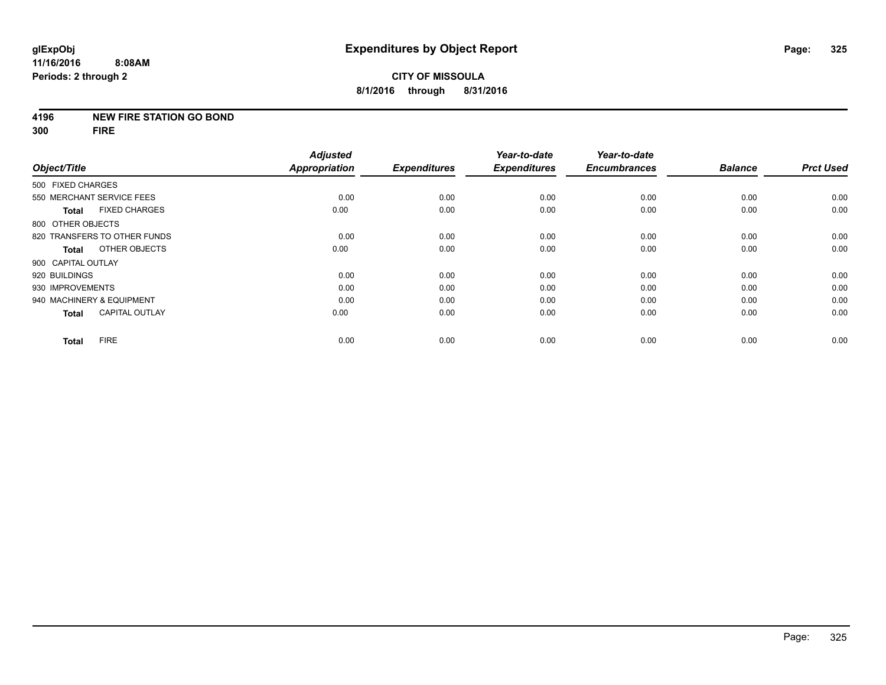#### **4196 NEW FIRE STATION GO BOND**

**300 FIRE**

|                           |                              | <b>Adjusted</b>      |                     | Year-to-date        | Year-to-date        |                |                  |
|---------------------------|------------------------------|----------------------|---------------------|---------------------|---------------------|----------------|------------------|
| Object/Title              |                              | <b>Appropriation</b> | <b>Expenditures</b> | <b>Expenditures</b> | <b>Encumbrances</b> | <b>Balance</b> | <b>Prct Used</b> |
| 500 FIXED CHARGES         |                              |                      |                     |                     |                     |                |                  |
|                           | 550 MERCHANT SERVICE FEES    | 0.00                 | 0.00                | 0.00                | 0.00                | 0.00           | 0.00             |
| <b>Total</b>              | <b>FIXED CHARGES</b>         | 0.00                 | 0.00                | 0.00                | 0.00                | 0.00           | 0.00             |
| 800 OTHER OBJECTS         |                              |                      |                     |                     |                     |                |                  |
|                           | 820 TRANSFERS TO OTHER FUNDS | 0.00                 | 0.00                | 0.00                | 0.00                | 0.00           | 0.00             |
| Total                     | OTHER OBJECTS                | 0.00                 | 0.00                | 0.00                | 0.00                | 0.00           | 0.00             |
| 900 CAPITAL OUTLAY        |                              |                      |                     |                     |                     |                |                  |
| 920 BUILDINGS             |                              | 0.00                 | 0.00                | 0.00                | 0.00                | 0.00           | 0.00             |
| 930 IMPROVEMENTS          |                              | 0.00                 | 0.00                | 0.00                | 0.00                | 0.00           | 0.00             |
| 940 MACHINERY & EQUIPMENT |                              | 0.00                 | 0.00                | 0.00                | 0.00                | 0.00           | 0.00             |
| <b>Total</b>              | <b>CAPITAL OUTLAY</b>        | 0.00                 | 0.00                | 0.00                | 0.00                | 0.00           | 0.00             |
| <b>Total</b>              | <b>FIRE</b>                  | 0.00                 | 0.00                | 0.00                | 0.00                | 0.00           | 0.00             |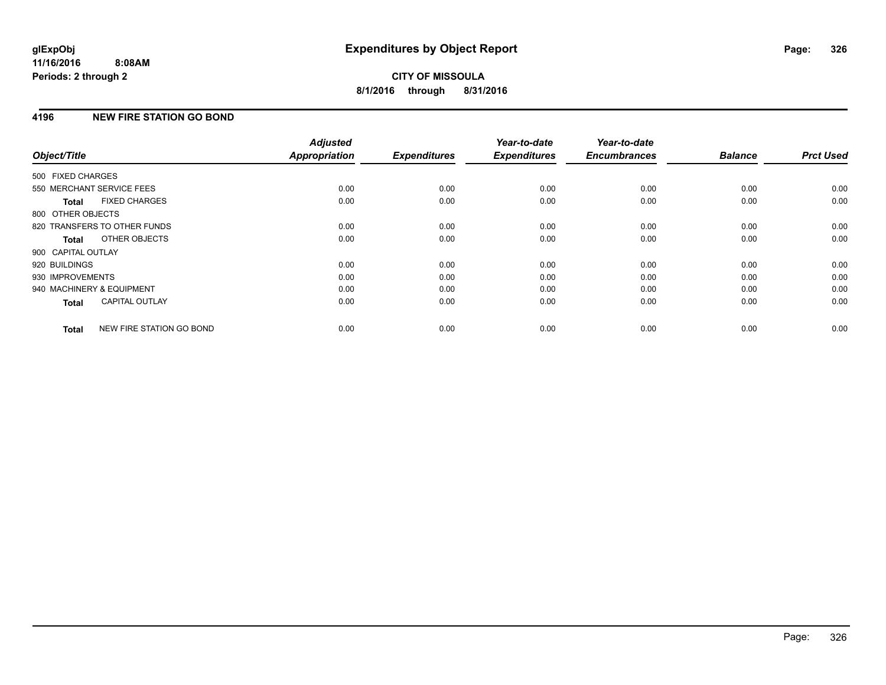# **4196 NEW FIRE STATION GO BOND**

| Object/Title              |                              | <b>Adjusted</b><br><b>Appropriation</b> | <b>Expenditures</b> | Year-to-date<br><b>Expenditures</b> | Year-to-date<br><b>Encumbrances</b> | <b>Balance</b> | <b>Prct Used</b> |
|---------------------------|------------------------------|-----------------------------------------|---------------------|-------------------------------------|-------------------------------------|----------------|------------------|
| 500 FIXED CHARGES         |                              |                                         |                     |                                     |                                     |                |                  |
|                           |                              |                                         |                     |                                     |                                     |                |                  |
|                           | 550 MERCHANT SERVICE FEES    | 0.00                                    | 0.00                | 0.00                                | 0.00                                | 0.00           | 0.00             |
| <b>Total</b>              | <b>FIXED CHARGES</b>         | 0.00                                    | 0.00                | 0.00                                | 0.00                                | 0.00           | 0.00             |
| 800 OTHER OBJECTS         |                              |                                         |                     |                                     |                                     |                |                  |
|                           | 820 TRANSFERS TO OTHER FUNDS | 0.00                                    | 0.00                | 0.00                                | 0.00                                | 0.00           | 0.00             |
| Total                     | OTHER OBJECTS                | 0.00                                    | 0.00                | 0.00                                | 0.00                                | 0.00           | 0.00             |
| 900 CAPITAL OUTLAY        |                              |                                         |                     |                                     |                                     |                |                  |
| 920 BUILDINGS             |                              | 0.00                                    | 0.00                | 0.00                                | 0.00                                | 0.00           | 0.00             |
| 930 IMPROVEMENTS          |                              | 0.00                                    | 0.00                | 0.00                                | 0.00                                | 0.00           | 0.00             |
| 940 MACHINERY & EQUIPMENT |                              | 0.00                                    | 0.00                | 0.00                                | 0.00                                | 0.00           | 0.00             |
| Total                     | <b>CAPITAL OUTLAY</b>        | 0.00                                    | 0.00                | 0.00                                | 0.00                                | 0.00           | 0.00             |
| <b>Total</b>              | NEW FIRE STATION GO BOND     | 0.00                                    | 0.00                | 0.00                                | 0.00                                | 0.00           | 0.00             |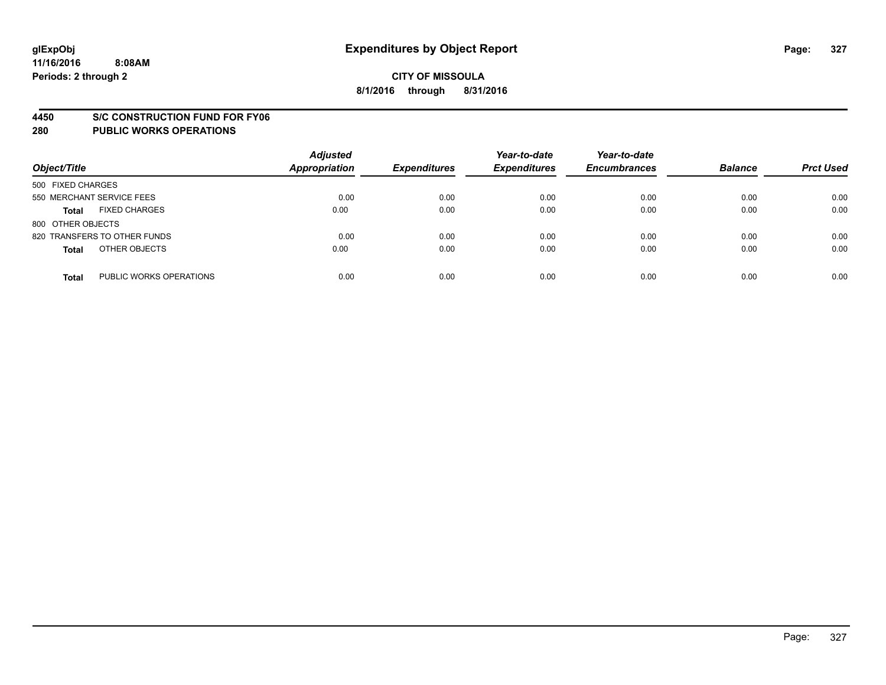#### **4450 S/C CONSTRUCTION FUND FOR FY06**

| Object/Title                            | <b>Adjusted</b><br><b>Appropriation</b> | <b>Expenditures</b> | Year-to-date<br><b>Expenditures</b> | Year-to-date<br><b>Encumbrances</b> | <b>Balance</b> | <b>Prct Used</b> |
|-----------------------------------------|-----------------------------------------|---------------------|-------------------------------------|-------------------------------------|----------------|------------------|
| 500 FIXED CHARGES                       |                                         |                     |                                     |                                     |                |                  |
| 550 MERCHANT SERVICE FEES               | 0.00                                    | 0.00                | 0.00                                | 0.00                                | 0.00           | 0.00             |
| <b>FIXED CHARGES</b><br><b>Total</b>    | 0.00                                    | 0.00                | 0.00                                | 0.00                                | 0.00           | 0.00             |
| 800 OTHER OBJECTS                       |                                         |                     |                                     |                                     |                |                  |
| 820 TRANSFERS TO OTHER FUNDS            | 0.00                                    | 0.00                | 0.00                                | 0.00                                | 0.00           | 0.00             |
| OTHER OBJECTS<br><b>Total</b>           | 0.00                                    | 0.00                | 0.00                                | 0.00                                | 0.00           | 0.00             |
| PUBLIC WORKS OPERATIONS<br><b>Total</b> | 0.00                                    | 0.00                | 0.00                                | 0.00                                | 0.00           | 0.00             |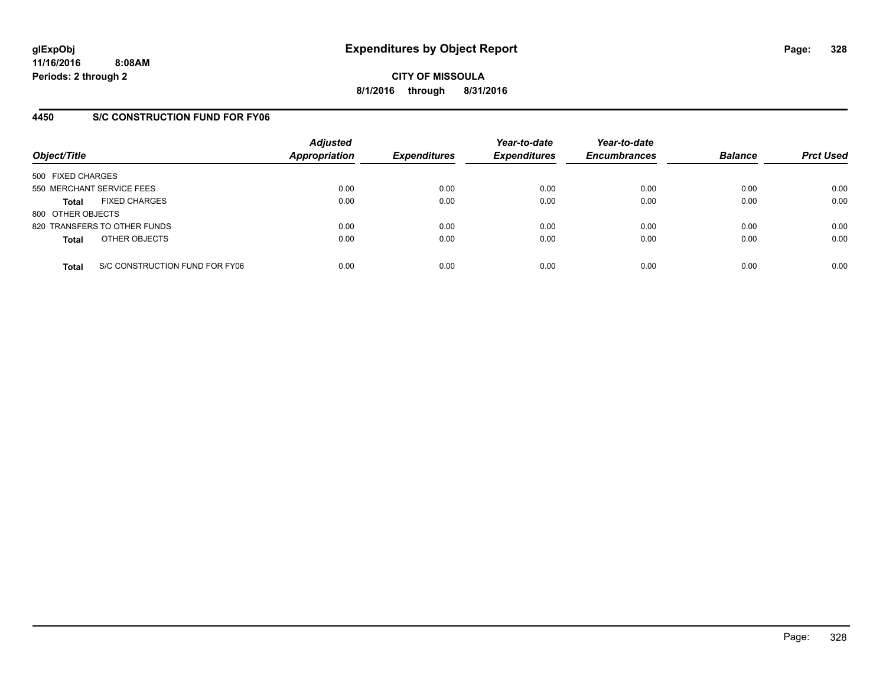**CITY OF MISSOULA 8/1/2016 through 8/31/2016**

## **4450 S/C CONSTRUCTION FUND FOR FY06**

| Object/Title                                   | <b>Adjusted</b><br>Appropriation | <b>Expenditures</b> | Year-to-date<br><b>Expenditures</b> | Year-to-date<br><b>Encumbrances</b> | <b>Balance</b> | <b>Prct Used</b> |
|------------------------------------------------|----------------------------------|---------------------|-------------------------------------|-------------------------------------|----------------|------------------|
| 500 FIXED CHARGES                              |                                  |                     |                                     |                                     |                |                  |
| 550 MERCHANT SERVICE FEES                      | 0.00                             | 0.00                | 0.00                                | 0.00                                | 0.00           | 0.00             |
| <b>FIXED CHARGES</b><br><b>Total</b>           | 0.00                             | 0.00                | 0.00                                | 0.00                                | 0.00           | 0.00             |
| 800 OTHER OBJECTS                              |                                  |                     |                                     |                                     |                |                  |
| 820 TRANSFERS TO OTHER FUNDS                   | 0.00                             | 0.00                | 0.00                                | 0.00                                | 0.00           | 0.00             |
| OTHER OBJECTS<br><b>Total</b>                  | 0.00                             | 0.00                | 0.00                                | 0.00                                | 0.00           | 0.00             |
| S/C CONSTRUCTION FUND FOR FY06<br><b>Total</b> | 0.00                             | 0.00                | 0.00                                | 0.00                                | 0.00           | 0.00             |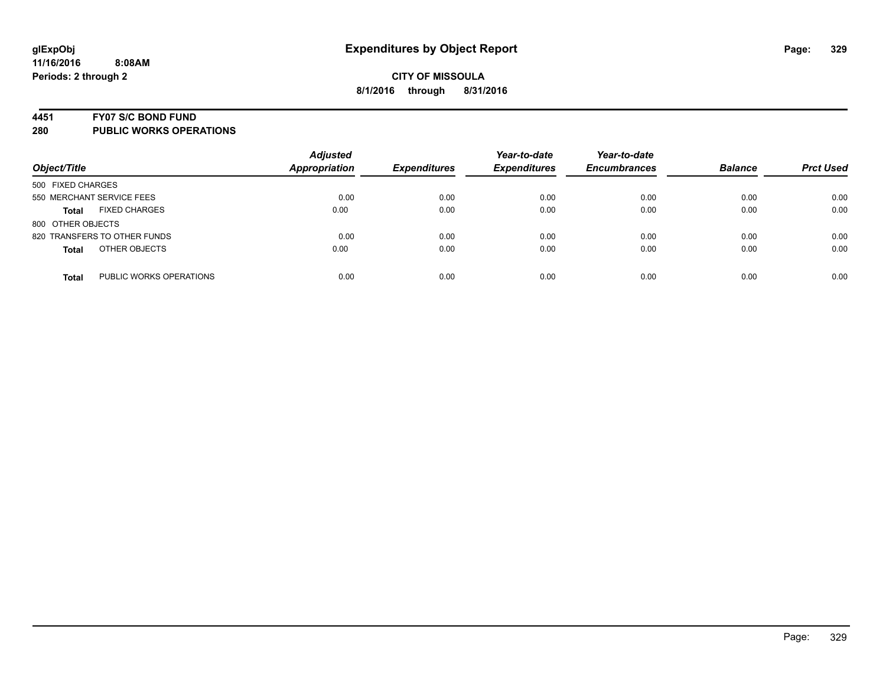#### **4451 FY07 S/C BOND FUND**

| Object/Title                            | <b>Adjusted</b><br><b>Appropriation</b> | <b>Expenditures</b> | Year-to-date<br><b>Expenditures</b> | Year-to-date<br><b>Encumbrances</b> | <b>Balance</b> | <b>Prct Used</b> |
|-----------------------------------------|-----------------------------------------|---------------------|-------------------------------------|-------------------------------------|----------------|------------------|
| 500 FIXED CHARGES                       |                                         |                     |                                     |                                     |                |                  |
| 550 MERCHANT SERVICE FEES               | 0.00                                    | 0.00                | 0.00                                | 0.00                                | 0.00           | 0.00             |
| <b>FIXED CHARGES</b><br><b>Total</b>    | 0.00                                    | 0.00                | 0.00                                | 0.00                                | 0.00           | 0.00             |
| 800 OTHER OBJECTS                       |                                         |                     |                                     |                                     |                |                  |
| 820 TRANSFERS TO OTHER FUNDS            | 0.00                                    | 0.00                | 0.00                                | 0.00                                | 0.00           | 0.00             |
| OTHER OBJECTS<br><b>Total</b>           | 0.00                                    | 0.00                | 0.00                                | 0.00                                | 0.00           | 0.00             |
| PUBLIC WORKS OPERATIONS<br><b>Total</b> | 0.00                                    | 0.00                | 0.00                                | 0.00                                | 0.00           | 0.00             |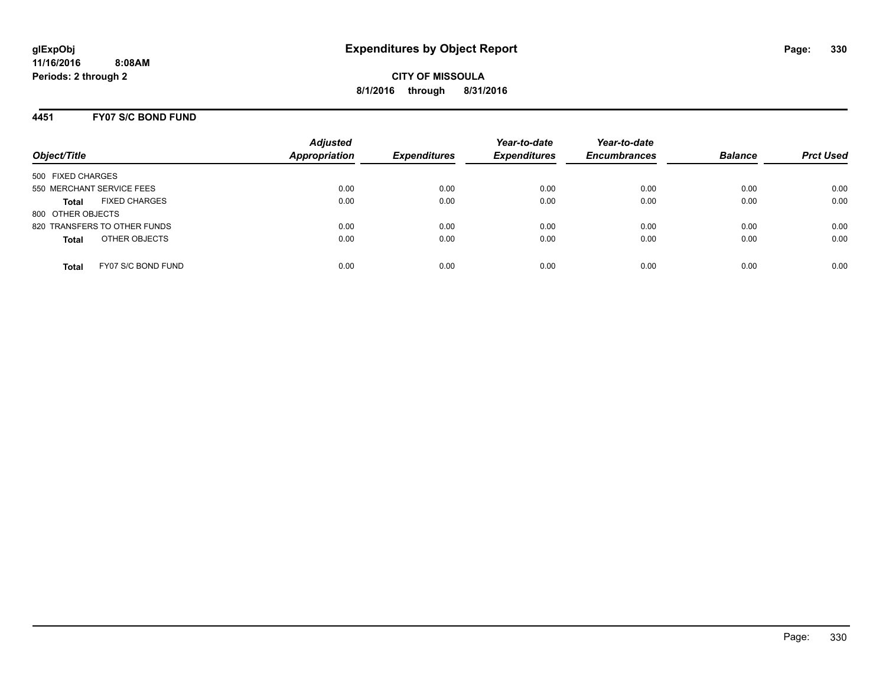# **4451 FY07 S/C BOND FUND**

| Object/Title                         | <b>Adjusted</b><br><b>Appropriation</b> | <b>Expenditures</b> | Year-to-date<br><b>Expenditures</b> | Year-to-date<br><b>Encumbrances</b> | <b>Balance</b> | <b>Prct Used</b> |
|--------------------------------------|-----------------------------------------|---------------------|-------------------------------------|-------------------------------------|----------------|------------------|
| 500 FIXED CHARGES                    |                                         |                     |                                     |                                     |                |                  |
| 550 MERCHANT SERVICE FEES            | 0.00                                    | 0.00                | 0.00                                | 0.00                                | 0.00           | 0.00             |
| <b>FIXED CHARGES</b><br><b>Total</b> | 0.00                                    | 0.00                | 0.00                                | 0.00                                | 0.00           | 0.00             |
| 800 OTHER OBJECTS                    |                                         |                     |                                     |                                     |                |                  |
| 820 TRANSFERS TO OTHER FUNDS         | 0.00                                    | 0.00                | 0.00                                | 0.00                                | 0.00           | 0.00             |
| OTHER OBJECTS<br><b>Total</b>        | 0.00                                    | 0.00                | 0.00                                | 0.00                                | 0.00           | 0.00             |
| FY07 S/C BOND FUND<br>Total          | 0.00                                    | 0.00                | 0.00                                | 0.00                                | 0.00           | 0.00             |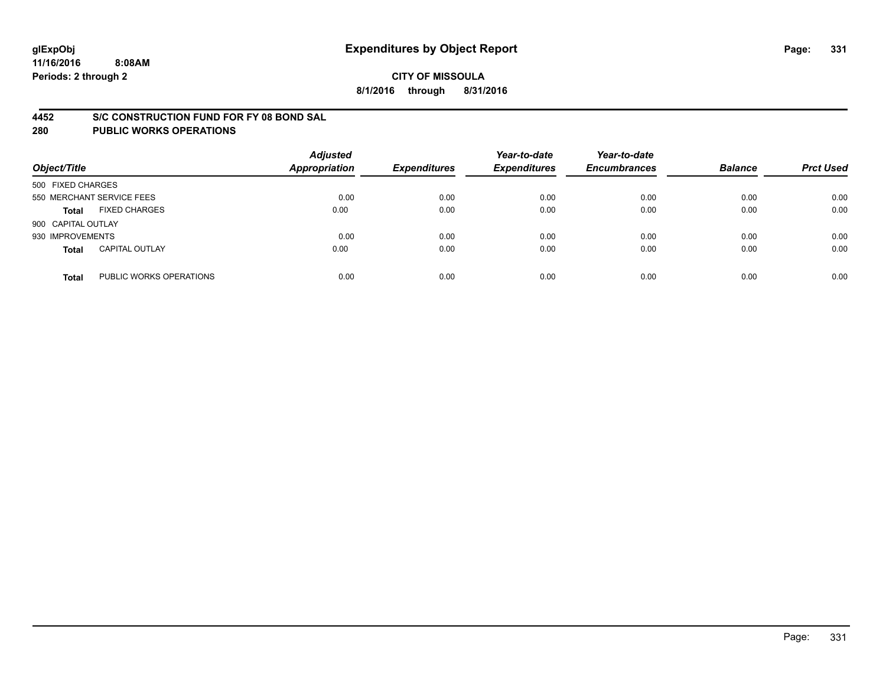#### **4452 S/C CONSTRUCTION FUND FOR FY 08 BOND SAL**

| Object/Title       |                           | <b>Adjusted</b><br><b>Appropriation</b> | <b>Expenditures</b> | Year-to-date<br><b>Expenditures</b> | Year-to-date<br><b>Encumbrances</b> | <b>Balance</b> | <b>Prct Used</b> |
|--------------------|---------------------------|-----------------------------------------|---------------------|-------------------------------------|-------------------------------------|----------------|------------------|
| 500 FIXED CHARGES  |                           |                                         |                     |                                     |                                     |                |                  |
|                    | 550 MERCHANT SERVICE FEES | 0.00                                    | 0.00                | 0.00                                | 0.00                                | 0.00           | 0.00             |
| <b>Total</b>       | <b>FIXED CHARGES</b>      | 0.00                                    | 0.00                | 0.00                                | 0.00                                | 0.00           | 0.00             |
| 900 CAPITAL OUTLAY |                           |                                         |                     |                                     |                                     |                |                  |
| 930 IMPROVEMENTS   |                           | 0.00                                    | 0.00                | 0.00                                | 0.00                                | 0.00           | 0.00             |
| <b>Total</b>       | <b>CAPITAL OUTLAY</b>     | 0.00                                    | 0.00                | 0.00                                | 0.00                                | 0.00           | 0.00             |
| <b>Total</b>       | PUBLIC WORKS OPERATIONS   | 0.00                                    | 0.00                | 0.00                                | 0.00                                | 0.00           | 0.00             |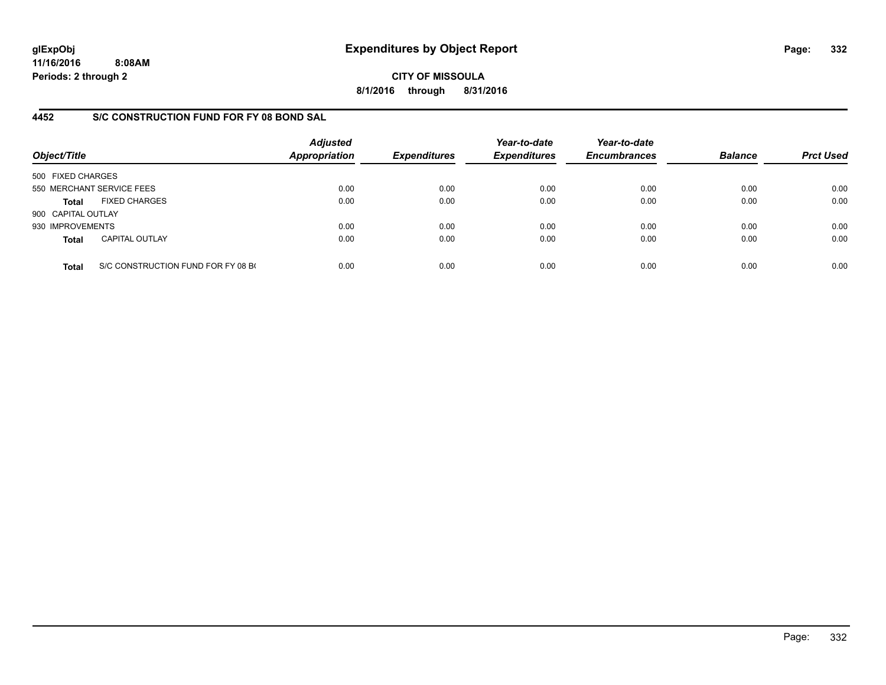**CITY OF MISSOULA 8/1/2016 through 8/31/2016**

## **4452 S/C CONSTRUCTION FUND FOR FY 08 BOND SAL**

| Object/Title       |                                    | <b>Adjusted</b><br><b>Appropriation</b> | <b>Expenditures</b> | Year-to-date<br><b>Expenditures</b> | Year-to-date<br><b>Encumbrances</b> | <b>Balance</b> | <b>Prct Used</b> |
|--------------------|------------------------------------|-----------------------------------------|---------------------|-------------------------------------|-------------------------------------|----------------|------------------|
| 500 FIXED CHARGES  |                                    |                                         |                     |                                     |                                     |                |                  |
|                    | 550 MERCHANT SERVICE FEES          | 0.00                                    | 0.00                | 0.00                                | 0.00                                | 0.00           | 0.00             |
| <b>Total</b>       | <b>FIXED CHARGES</b>               | 0.00                                    | 0.00                | 0.00                                | 0.00                                | 0.00           | 0.00             |
| 900 CAPITAL OUTLAY |                                    |                                         |                     |                                     |                                     |                |                  |
| 930 IMPROVEMENTS   |                                    | 0.00                                    | 0.00                | 0.00                                | 0.00                                | 0.00           | 0.00             |
| <b>Total</b>       | <b>CAPITAL OUTLAY</b>              | 0.00                                    | 0.00                | 0.00                                | 0.00                                | 0.00           | 0.00             |
| <b>Total</b>       | S/C CONSTRUCTION FUND FOR FY 08 BO | 0.00                                    | 0.00                | 0.00                                | 0.00                                | 0.00           | 0.00             |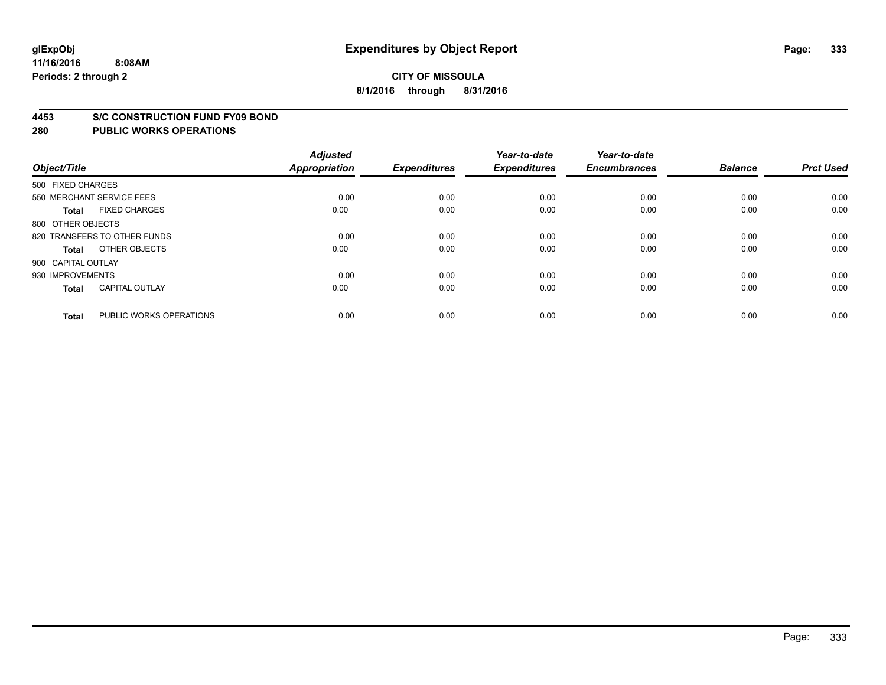#### **4453 S/C CONSTRUCTION FUND FY09 BOND**

| Object/Title       |                              | <b>Adjusted</b><br><b>Appropriation</b> | <b>Expenditures</b> | Year-to-date<br><b>Expenditures</b> | Year-to-date<br><b>Encumbrances</b> | <b>Balance</b> | <b>Prct Used</b> |
|--------------------|------------------------------|-----------------------------------------|---------------------|-------------------------------------|-------------------------------------|----------------|------------------|
| 500 FIXED CHARGES  |                              |                                         |                     |                                     |                                     |                |                  |
|                    | 550 MERCHANT SERVICE FEES    | 0.00                                    | 0.00                | 0.00                                | 0.00                                | 0.00           | 0.00             |
| <b>Total</b>       | <b>FIXED CHARGES</b>         | 0.00                                    | 0.00                | 0.00                                | 0.00                                | 0.00           | 0.00             |
| 800 OTHER OBJECTS  |                              |                                         |                     |                                     |                                     |                |                  |
|                    | 820 TRANSFERS TO OTHER FUNDS | 0.00                                    | 0.00                | 0.00                                | 0.00                                | 0.00           | 0.00             |
| <b>Total</b>       | OTHER OBJECTS                | 0.00                                    | 0.00                | 0.00                                | 0.00                                | 0.00           | 0.00             |
| 900 CAPITAL OUTLAY |                              |                                         |                     |                                     |                                     |                |                  |
| 930 IMPROVEMENTS   |                              | 0.00                                    | 0.00                | 0.00                                | 0.00                                | 0.00           | 0.00             |
| <b>Total</b>       | <b>CAPITAL OUTLAY</b>        | 0.00                                    | 0.00                | 0.00                                | 0.00                                | 0.00           | 0.00             |
| <b>Total</b>       | PUBLIC WORKS OPERATIONS      | 0.00                                    | 0.00                | 0.00                                | 0.00                                | 0.00           | 0.00             |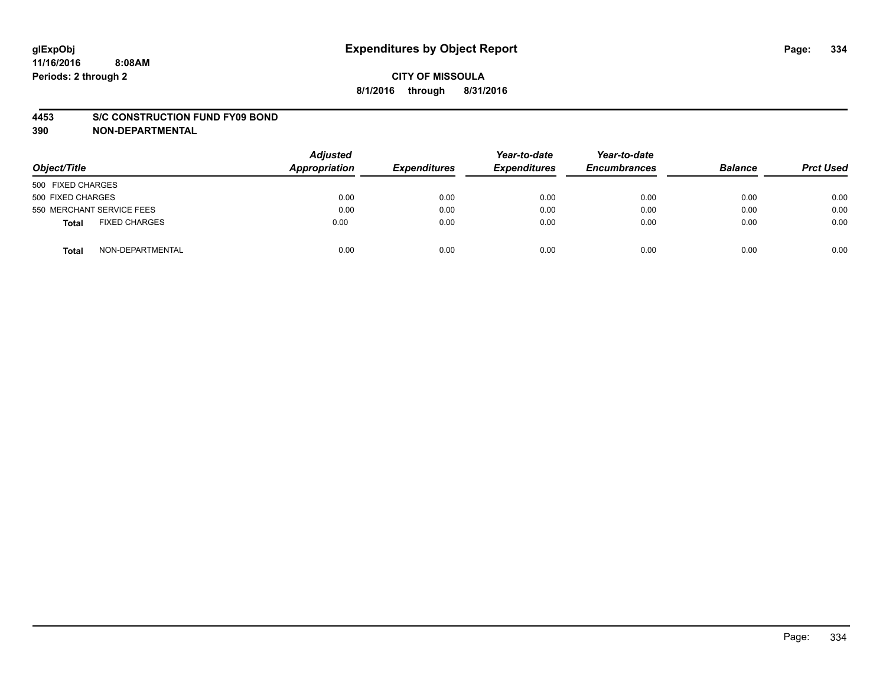#### **4453 S/C CONSTRUCTION FUND FY09 BOND**

**390 NON-DEPARTMENTAL**

| Object/Title                         | <b>Adjusted</b><br><b>Appropriation</b> | <b>Expenditures</b> | Year-to-date<br><b>Expenditures</b> | Year-to-date<br><b>Encumbrances</b> | <b>Balance</b> | <b>Prct Used</b> |
|--------------------------------------|-----------------------------------------|---------------------|-------------------------------------|-------------------------------------|----------------|------------------|
| 500 FIXED CHARGES                    |                                         |                     |                                     |                                     |                |                  |
| 500 FIXED CHARGES                    | 0.00                                    | 0.00                | 0.00                                | 0.00                                | 0.00           | 0.00             |
| 550 MERCHANT SERVICE FEES            | 0.00                                    | 0.00                | 0.00                                | 0.00                                | 0.00           | 0.00             |
| <b>FIXED CHARGES</b><br><b>Total</b> | 0.00                                    | 0.00                | 0.00                                | 0.00                                | 0.00           | 0.00             |
| NON-DEPARTMENTAL<br>Total            | 0.00                                    | 0.00                | 0.00                                | 0.00                                | 0.00           | 0.00             |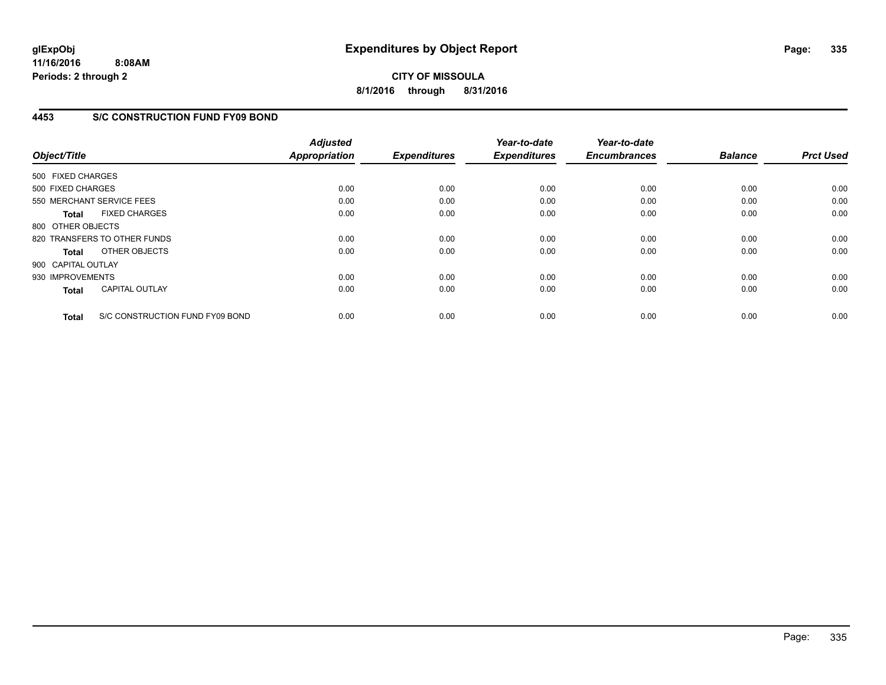# **CITY OF MISSOULA 8/1/2016 through 8/31/2016**

## **4453 S/C CONSTRUCTION FUND FY09 BOND**

| Object/Title       |                                 | <b>Adjusted</b><br>Appropriation | <b>Expenditures</b> | Year-to-date<br><b>Expenditures</b> | Year-to-date<br><b>Encumbrances</b> | <b>Balance</b> | <b>Prct Used</b> |
|--------------------|---------------------------------|----------------------------------|---------------------|-------------------------------------|-------------------------------------|----------------|------------------|
| 500 FIXED CHARGES  |                                 |                                  |                     |                                     |                                     |                |                  |
| 500 FIXED CHARGES  |                                 | 0.00                             | 0.00                | 0.00                                | 0.00                                | 0.00           | 0.00             |
|                    | 550 MERCHANT SERVICE FEES       | 0.00                             | 0.00                | 0.00                                | 0.00                                | 0.00           | 0.00             |
| <b>Total</b>       | <b>FIXED CHARGES</b>            | 0.00                             | 0.00                | 0.00                                | 0.00                                | 0.00           | 0.00             |
| 800 OTHER OBJECTS  |                                 |                                  |                     |                                     |                                     |                |                  |
|                    | 820 TRANSFERS TO OTHER FUNDS    | 0.00                             | 0.00                | 0.00                                | 0.00                                | 0.00           | 0.00             |
| Total              | OTHER OBJECTS                   | 0.00                             | 0.00                | 0.00                                | 0.00                                | 0.00           | 0.00             |
| 900 CAPITAL OUTLAY |                                 |                                  |                     |                                     |                                     |                |                  |
| 930 IMPROVEMENTS   |                                 | 0.00                             | 0.00                | 0.00                                | 0.00                                | 0.00           | 0.00             |
| <b>Total</b>       | <b>CAPITAL OUTLAY</b>           | 0.00                             | 0.00                | 0.00                                | 0.00                                | 0.00           | 0.00             |
| <b>Total</b>       | S/C CONSTRUCTION FUND FY09 BOND | 0.00                             | 0.00                | 0.00                                | 0.00                                | 0.00           | 0.00             |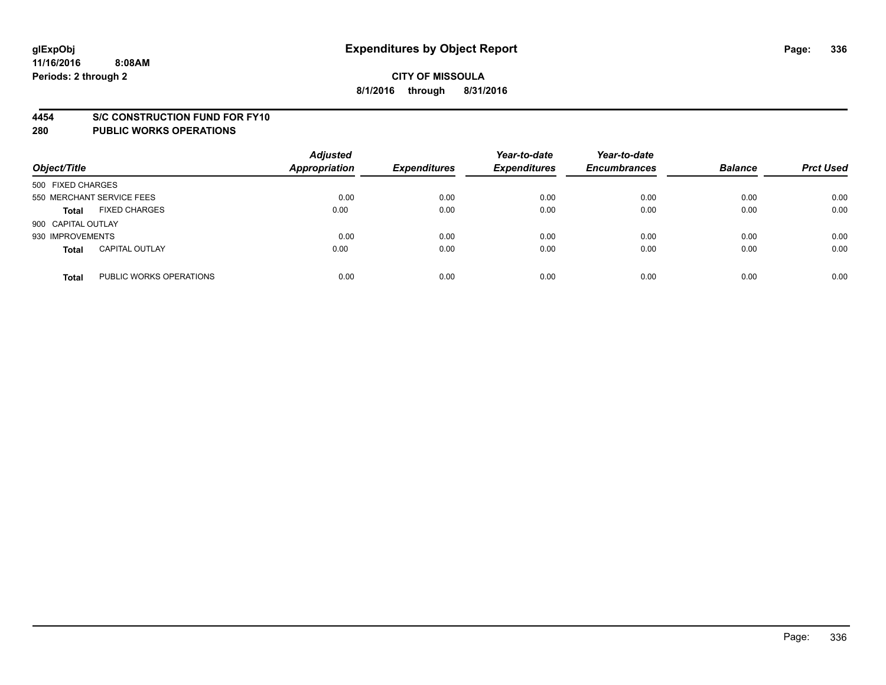#### **4454 S/C CONSTRUCTION FUND FOR FY10**

| Object/Title       |                           | <b>Adjusted</b><br>Appropriation | <b>Expenditures</b> | Year-to-date<br><b>Expenditures</b> | Year-to-date<br><b>Encumbrances</b> | <b>Balance</b> | <b>Prct Used</b> |
|--------------------|---------------------------|----------------------------------|---------------------|-------------------------------------|-------------------------------------|----------------|------------------|
| 500 FIXED CHARGES  |                           |                                  |                     |                                     |                                     |                |                  |
|                    | 550 MERCHANT SERVICE FEES | 0.00                             | 0.00                | 0.00                                | 0.00                                | 0.00           | 0.00             |
| <b>Total</b>       | <b>FIXED CHARGES</b>      | 0.00                             | 0.00                | 0.00                                | 0.00                                | 0.00           | 0.00             |
| 900 CAPITAL OUTLAY |                           |                                  |                     |                                     |                                     |                |                  |
| 930 IMPROVEMENTS   |                           | 0.00                             | 0.00                | 0.00                                | 0.00                                | 0.00           | 0.00             |
| <b>Total</b>       | <b>CAPITAL OUTLAY</b>     | 0.00                             | 0.00                | 0.00                                | 0.00                                | 0.00           | 0.00             |
| <b>Total</b>       | PUBLIC WORKS OPERATIONS   | 0.00                             | 0.00                | 0.00                                | 0.00                                | 0.00           | 0.00             |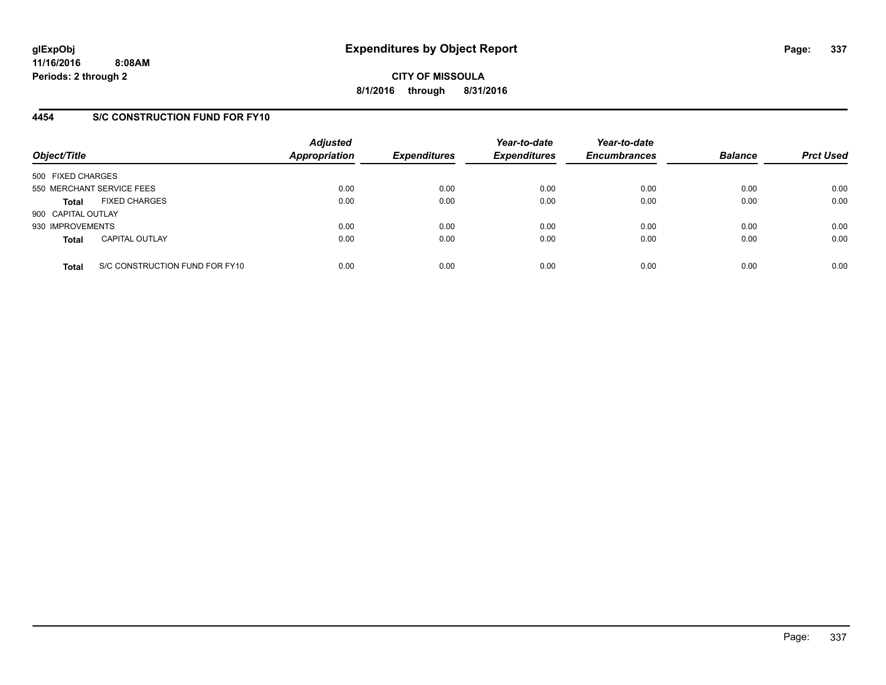**CITY OF MISSOULA 8/1/2016 through 8/31/2016**

### **4454 S/C CONSTRUCTION FUND FOR FY10**

| Object/Title       |                                | <b>Adjusted</b><br>Appropriation | <b>Expenditures</b> | Year-to-date<br><b>Expenditures</b> | Year-to-date<br><b>Encumbrances</b> | <b>Balance</b> | <b>Prct Used</b> |
|--------------------|--------------------------------|----------------------------------|---------------------|-------------------------------------|-------------------------------------|----------------|------------------|
| 500 FIXED CHARGES  |                                |                                  |                     |                                     |                                     |                |                  |
|                    | 550 MERCHANT SERVICE FEES      | 0.00                             | 0.00                | 0.00                                | 0.00                                | 0.00           | 0.00             |
| <b>Total</b>       | <b>FIXED CHARGES</b>           | 0.00                             | 0.00                | 0.00                                | 0.00                                | 0.00           | 0.00             |
| 900 CAPITAL OUTLAY |                                |                                  |                     |                                     |                                     |                |                  |
| 930 IMPROVEMENTS   |                                | 0.00                             | 0.00                | 0.00                                | 0.00                                | 0.00           | 0.00             |
| <b>Total</b>       | <b>CAPITAL OUTLAY</b>          | 0.00                             | 0.00                | 0.00                                | 0.00                                | 0.00           | 0.00             |
| <b>Total</b>       | S/C CONSTRUCTION FUND FOR FY10 | 0.00                             | 0.00                | 0.00                                | 0.00                                | 0.00           | 0.00             |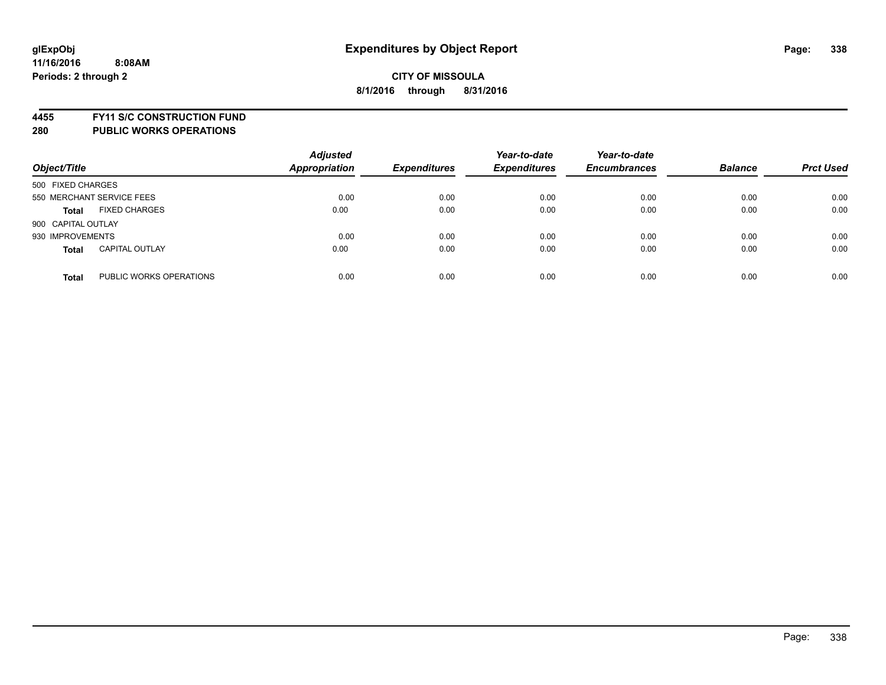**4455 FY11 S/C CONSTRUCTION FUND**

| Object/Title       |                           | <b>Adjusted</b><br><b>Appropriation</b> | <b>Expenditures</b> | Year-to-date<br><b>Expenditures</b> | Year-to-date<br><b>Encumbrances</b> | <b>Balance</b> | <b>Prct Used</b> |
|--------------------|---------------------------|-----------------------------------------|---------------------|-------------------------------------|-------------------------------------|----------------|------------------|
| 500 FIXED CHARGES  |                           |                                         |                     |                                     |                                     |                |                  |
|                    | 550 MERCHANT SERVICE FEES | 0.00                                    | 0.00                | 0.00                                | 0.00                                | 0.00           | 0.00             |
| <b>Total</b>       | <b>FIXED CHARGES</b>      | 0.00                                    | 0.00                | 0.00                                | 0.00                                | 0.00           | 0.00             |
| 900 CAPITAL OUTLAY |                           |                                         |                     |                                     |                                     |                |                  |
| 930 IMPROVEMENTS   |                           | 0.00                                    | 0.00                | 0.00                                | 0.00                                | 0.00           | 0.00             |
| <b>Total</b>       | <b>CAPITAL OUTLAY</b>     | 0.00                                    | 0.00                | 0.00                                | 0.00                                | 0.00           | 0.00             |
| <b>Total</b>       | PUBLIC WORKS OPERATIONS   | 0.00                                    | 0.00                | 0.00                                | 0.00                                | 0.00           | 0.00             |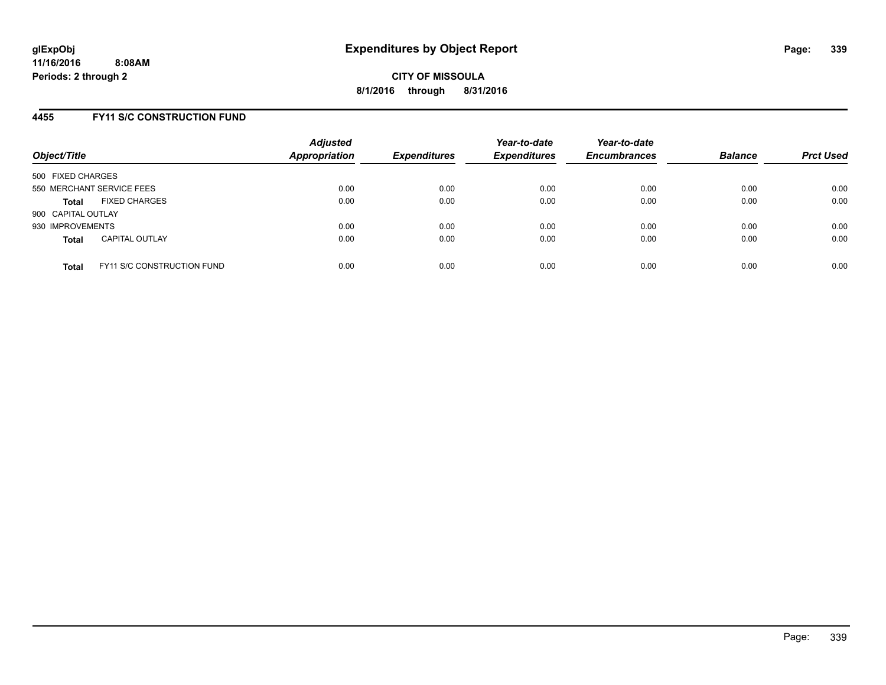### **4455 FY11 S/C CONSTRUCTION FUND**

| Object/Title              |                                   | <b>Adjusted</b><br>Appropriation | <b>Expenditures</b> | Year-to-date<br><b>Expenditures</b> | Year-to-date<br><b>Encumbrances</b> | <b>Balance</b> | <b>Prct Used</b> |
|---------------------------|-----------------------------------|----------------------------------|---------------------|-------------------------------------|-------------------------------------|----------------|------------------|
| 500 FIXED CHARGES         |                                   |                                  |                     |                                     |                                     |                |                  |
| 550 MERCHANT SERVICE FEES |                                   | 0.00                             | 0.00                | 0.00                                | 0.00                                | 0.00           | 0.00             |
| <b>Total</b>              | <b>FIXED CHARGES</b>              | 0.00                             | 0.00                | 0.00                                | 0.00                                | 0.00           | 0.00             |
| 900 CAPITAL OUTLAY        |                                   |                                  |                     |                                     |                                     |                |                  |
| 930 IMPROVEMENTS          |                                   | 0.00                             | 0.00                | 0.00                                | 0.00                                | 0.00           | 0.00             |
| <b>Total</b>              | <b>CAPITAL OUTLAY</b>             | 0.00                             | 0.00                | 0.00                                | 0.00                                | 0.00           | 0.00             |
| <b>Total</b>              | <b>FY11 S/C CONSTRUCTION FUND</b> | 0.00                             | 0.00                | 0.00                                | 0.00                                | 0.00           | 0.00             |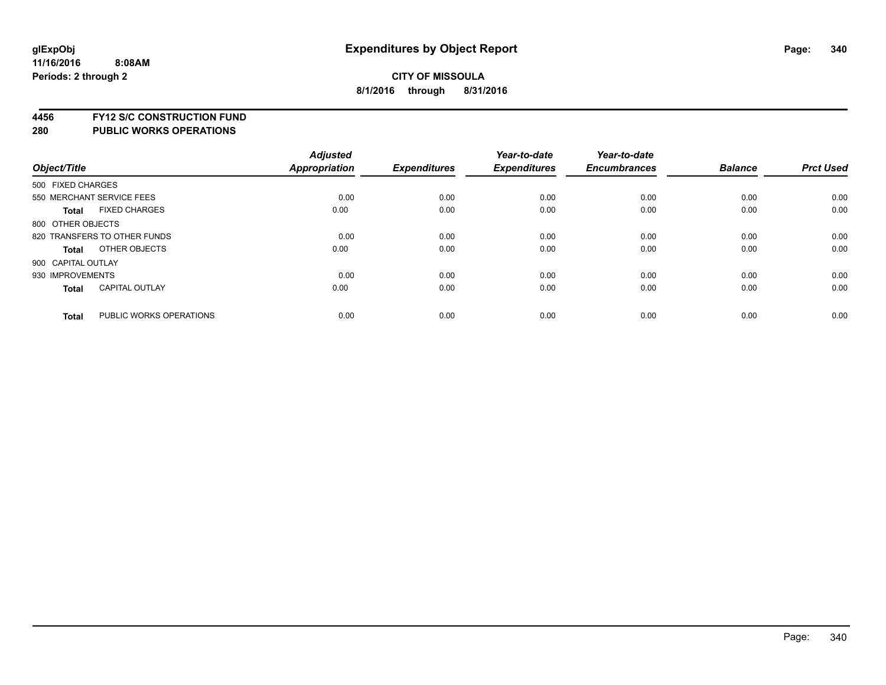**4456 FY12 S/C CONSTRUCTION FUND**

|                    |                              | <b>Adjusted</b> |                     | Year-to-date        | Year-to-date        |                |                  |
|--------------------|------------------------------|-----------------|---------------------|---------------------|---------------------|----------------|------------------|
| Object/Title       |                              | Appropriation   | <b>Expenditures</b> | <b>Expenditures</b> | <b>Encumbrances</b> | <b>Balance</b> | <b>Prct Used</b> |
| 500 FIXED CHARGES  |                              |                 |                     |                     |                     |                |                  |
|                    | 550 MERCHANT SERVICE FEES    | 0.00            | 0.00                | 0.00                | 0.00                | 0.00           | 0.00             |
| <b>Total</b>       | <b>FIXED CHARGES</b>         | 0.00            | 0.00                | 0.00                | 0.00                | 0.00           | 0.00             |
| 800 OTHER OBJECTS  |                              |                 |                     |                     |                     |                |                  |
|                    | 820 TRANSFERS TO OTHER FUNDS | 0.00            | 0.00                | 0.00                | 0.00                | 0.00           | 0.00             |
| Total              | OTHER OBJECTS                | 0.00            | 0.00                | 0.00                | 0.00                | 0.00           | 0.00             |
| 900 CAPITAL OUTLAY |                              |                 |                     |                     |                     |                |                  |
| 930 IMPROVEMENTS   |                              | 0.00            | 0.00                | 0.00                | 0.00                | 0.00           | 0.00             |
| Total              | <b>CAPITAL OUTLAY</b>        | 0.00            | 0.00                | 0.00                | 0.00                | 0.00           | 0.00             |
| <b>Total</b>       | PUBLIC WORKS OPERATIONS      | 0.00            | 0.00                | 0.00                | 0.00                | 0.00           | 0.00             |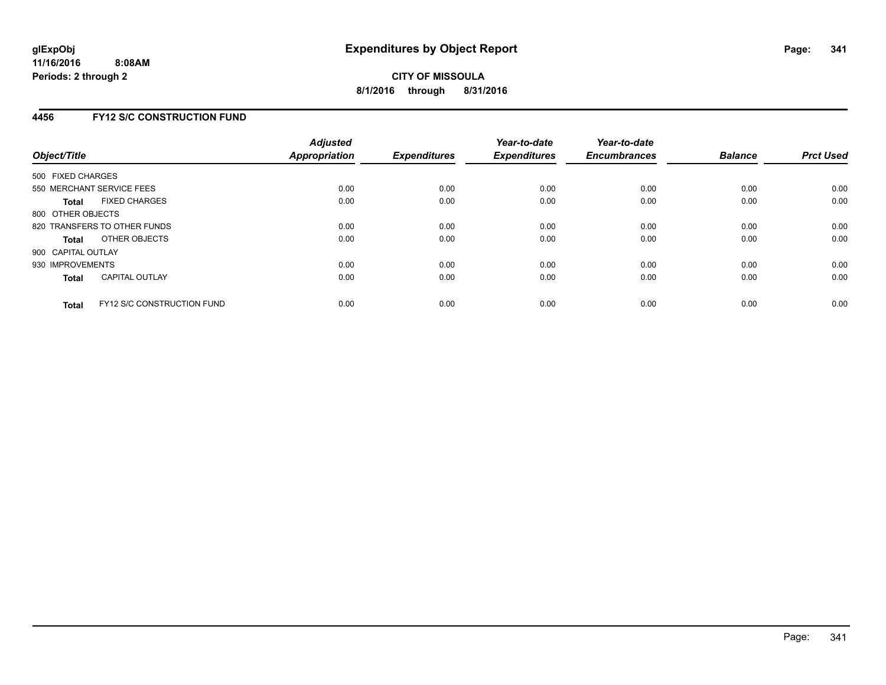### **4456 FY12 S/C CONSTRUCTION FUND**

| Object/Title       |                                   | <b>Adjusted</b><br><b>Appropriation</b> | <b>Expenditures</b> | Year-to-date<br><b>Expenditures</b> | Year-to-date<br><b>Encumbrances</b> | <b>Balance</b> | <b>Prct Used</b> |
|--------------------|-----------------------------------|-----------------------------------------|---------------------|-------------------------------------|-------------------------------------|----------------|------------------|
| 500 FIXED CHARGES  |                                   |                                         |                     |                                     |                                     |                |                  |
|                    | 550 MERCHANT SERVICE FEES         | 0.00                                    | 0.00                | 0.00                                | 0.00                                | 0.00           | 0.00             |
| <b>Total</b>       | <b>FIXED CHARGES</b>              | 0.00                                    | 0.00                | 0.00                                | 0.00                                | 0.00           | 0.00             |
| 800 OTHER OBJECTS  |                                   |                                         |                     |                                     |                                     |                |                  |
|                    | 820 TRANSFERS TO OTHER FUNDS      | 0.00                                    | 0.00                | 0.00                                | 0.00                                | 0.00           | 0.00             |
| <b>Total</b>       | OTHER OBJECTS                     | 0.00                                    | 0.00                | 0.00                                | 0.00                                | 0.00           | 0.00             |
| 900 CAPITAL OUTLAY |                                   |                                         |                     |                                     |                                     |                |                  |
| 930 IMPROVEMENTS   |                                   | 0.00                                    | 0.00                | 0.00                                | 0.00                                | 0.00           | 0.00             |
| Total              | <b>CAPITAL OUTLAY</b>             | 0.00                                    | 0.00                | 0.00                                | 0.00                                | 0.00           | 0.00             |
| <b>Total</b>       | <b>FY12 S/C CONSTRUCTION FUND</b> | 0.00                                    | 0.00                | 0.00                                | 0.00                                | 0.00           | 0.00             |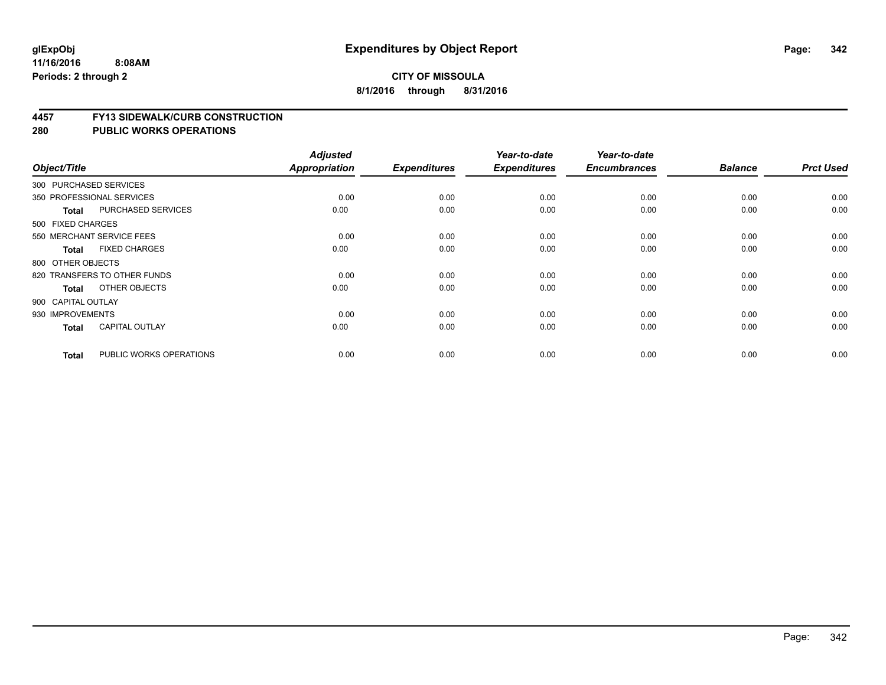#### **4457 FY13 SIDEWALK/CURB CONSTRUCTION**

|                    |                              | <b>Adjusted</b> |                     | Year-to-date        | Year-to-date        |                |                  |
|--------------------|------------------------------|-----------------|---------------------|---------------------|---------------------|----------------|------------------|
| Object/Title       |                              | Appropriation   | <b>Expenditures</b> | <b>Expenditures</b> | <b>Encumbrances</b> | <b>Balance</b> | <b>Prct Used</b> |
|                    | 300 PURCHASED SERVICES       |                 |                     |                     |                     |                |                  |
|                    | 350 PROFESSIONAL SERVICES    | 0.00            | 0.00                | 0.00                | 0.00                | 0.00           | 0.00             |
| <b>Total</b>       | <b>PURCHASED SERVICES</b>    | 0.00            | 0.00                | 0.00                | 0.00                | 0.00           | 0.00             |
| 500 FIXED CHARGES  |                              |                 |                     |                     |                     |                |                  |
|                    | 550 MERCHANT SERVICE FEES    | 0.00            | 0.00                | 0.00                | 0.00                | 0.00           | 0.00             |
| <b>Total</b>       | <b>FIXED CHARGES</b>         | 0.00            | 0.00                | 0.00                | 0.00                | 0.00           | 0.00             |
| 800 OTHER OBJECTS  |                              |                 |                     |                     |                     |                |                  |
|                    | 820 TRANSFERS TO OTHER FUNDS | 0.00            | 0.00                | 0.00                | 0.00                | 0.00           | 0.00             |
| <b>Total</b>       | OTHER OBJECTS                | 0.00            | 0.00                | 0.00                | 0.00                | 0.00           | 0.00             |
| 900 CAPITAL OUTLAY |                              |                 |                     |                     |                     |                |                  |
| 930 IMPROVEMENTS   |                              | 0.00            | 0.00                | 0.00                | 0.00                | 0.00           | 0.00             |
| <b>Total</b>       | <b>CAPITAL OUTLAY</b>        | 0.00            | 0.00                | 0.00                | 0.00                | 0.00           | 0.00             |
| <b>Total</b>       | PUBLIC WORKS OPERATIONS      | 0.00            | 0.00                | 0.00                | 0.00                | 0.00           | 0.00             |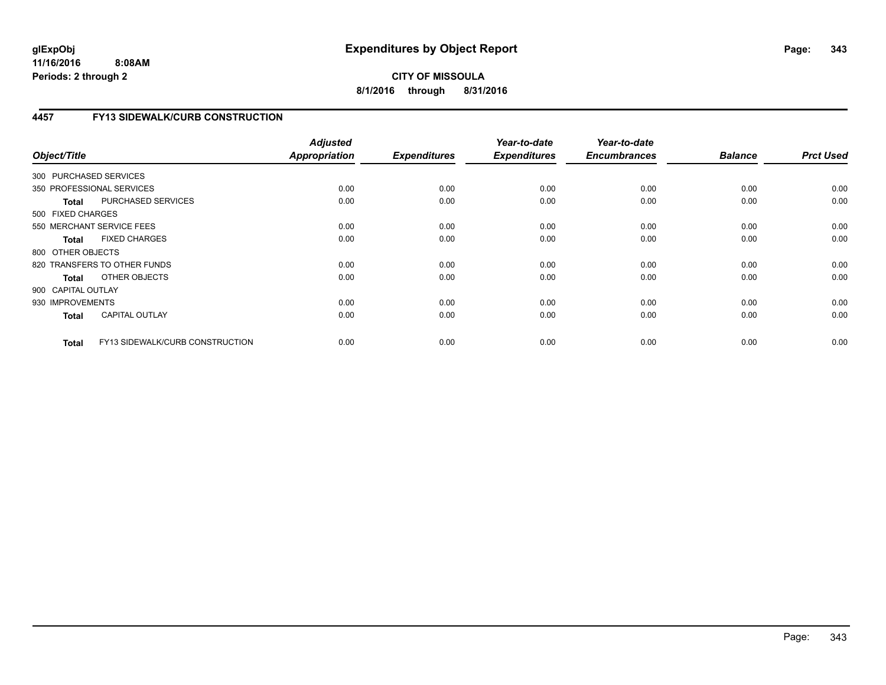**CITY OF MISSOULA 8/1/2016 through 8/31/2016**

# **4457 FY13 SIDEWALK/CURB CONSTRUCTION**

| Object/Title           |                                 | <b>Adjusted</b><br>Appropriation | <b>Expenditures</b> | Year-to-date<br><b>Expenditures</b> | Year-to-date<br><b>Encumbrances</b> | <b>Balance</b> | <b>Prct Used</b> |
|------------------------|---------------------------------|----------------------------------|---------------------|-------------------------------------|-------------------------------------|----------------|------------------|
| 300 PURCHASED SERVICES |                                 |                                  |                     |                                     |                                     |                |                  |
|                        | 350 PROFESSIONAL SERVICES       | 0.00                             | 0.00                | 0.00                                | 0.00                                | 0.00           | 0.00             |
| <b>Total</b>           | PURCHASED SERVICES              | 0.00                             | 0.00                | 0.00                                | 0.00                                | 0.00           | 0.00             |
| 500 FIXED CHARGES      |                                 |                                  |                     |                                     |                                     |                |                  |
|                        | 550 MERCHANT SERVICE FEES       | 0.00                             | 0.00                | 0.00                                | 0.00                                | 0.00           | 0.00             |
| <b>Total</b>           | <b>FIXED CHARGES</b>            | 0.00                             | 0.00                | 0.00                                | 0.00                                | 0.00           | 0.00             |
| 800 OTHER OBJECTS      |                                 |                                  |                     |                                     |                                     |                |                  |
|                        | 820 TRANSFERS TO OTHER FUNDS    | 0.00                             | 0.00                | 0.00                                | 0.00                                | 0.00           | 0.00             |
| Total                  | OTHER OBJECTS                   | 0.00                             | 0.00                | 0.00                                | 0.00                                | 0.00           | 0.00             |
| 900 CAPITAL OUTLAY     |                                 |                                  |                     |                                     |                                     |                |                  |
| 930 IMPROVEMENTS       |                                 | 0.00                             | 0.00                | 0.00                                | 0.00                                | 0.00           | 0.00             |
| <b>Total</b>           | <b>CAPITAL OUTLAY</b>           | 0.00                             | 0.00                | 0.00                                | 0.00                                | 0.00           | 0.00             |
| <b>Total</b>           | FY13 SIDEWALK/CURB CONSTRUCTION | 0.00                             | 0.00                | 0.00                                | 0.00                                | 0.00           | 0.00             |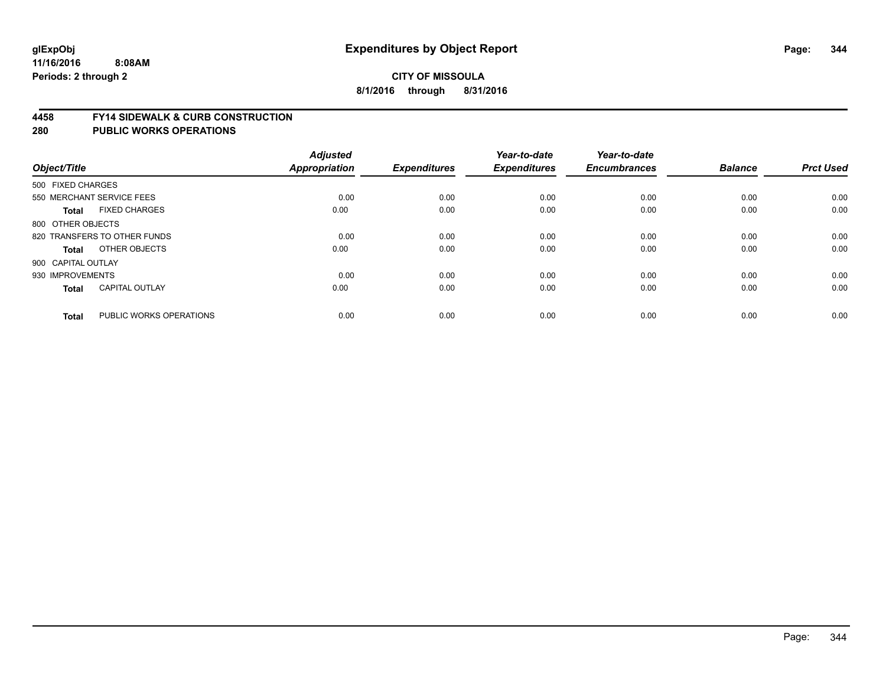#### **4458 FY14 SIDEWALK & CURB CONSTRUCTION**

| Object/Title       |                              | <b>Adjusted</b><br><b>Appropriation</b> | <b>Expenditures</b> | Year-to-date<br><b>Expenditures</b> | Year-to-date<br><b>Encumbrances</b> | <b>Balance</b> | <b>Prct Used</b> |
|--------------------|------------------------------|-----------------------------------------|---------------------|-------------------------------------|-------------------------------------|----------------|------------------|
| 500 FIXED CHARGES  |                              |                                         |                     |                                     |                                     |                |                  |
|                    | 550 MERCHANT SERVICE FEES    | 0.00                                    | 0.00                | 0.00                                | 0.00                                | 0.00           | 0.00             |
| <b>Total</b>       | <b>FIXED CHARGES</b>         | 0.00                                    | 0.00                | 0.00                                | 0.00                                | 0.00           | 0.00             |
| 800 OTHER OBJECTS  |                              |                                         |                     |                                     |                                     |                |                  |
|                    | 820 TRANSFERS TO OTHER FUNDS | 0.00                                    | 0.00                | 0.00                                | 0.00                                | 0.00           | 0.00             |
| Total              | OTHER OBJECTS                | 0.00                                    | 0.00                | 0.00                                | 0.00                                | 0.00           | 0.00             |
| 900 CAPITAL OUTLAY |                              |                                         |                     |                                     |                                     |                |                  |
| 930 IMPROVEMENTS   |                              | 0.00                                    | 0.00                | 0.00                                | 0.00                                | 0.00           | 0.00             |
| <b>Total</b>       | <b>CAPITAL OUTLAY</b>        | 0.00                                    | 0.00                | 0.00                                | 0.00                                | 0.00           | 0.00             |
| <b>Total</b>       | PUBLIC WORKS OPERATIONS      | 0.00                                    | 0.00                | 0.00                                | 0.00                                | 0.00           | 0.00             |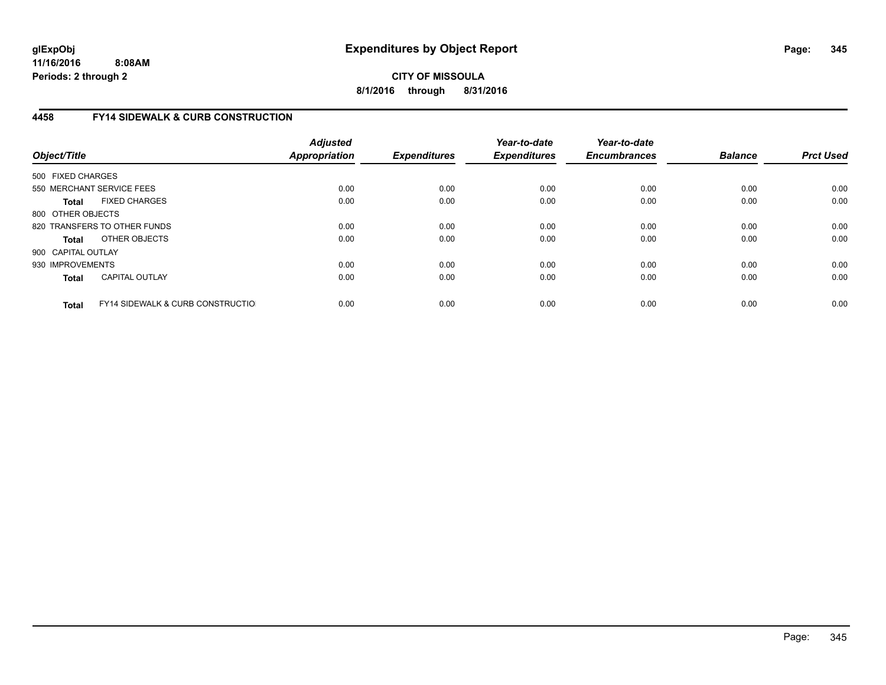**CITY OF MISSOULA 8/1/2016 through 8/31/2016**

# **4458 FY14 SIDEWALK & CURB CONSTRUCTION**

| Object/Title       |                                              | <b>Adjusted</b><br>Appropriation | <b>Expenditures</b> | Year-to-date<br><b>Expenditures</b> | Year-to-date<br><b>Encumbrances</b> | <b>Balance</b> | <b>Prct Used</b> |
|--------------------|----------------------------------------------|----------------------------------|---------------------|-------------------------------------|-------------------------------------|----------------|------------------|
| 500 FIXED CHARGES  |                                              |                                  |                     |                                     |                                     |                |                  |
|                    | 550 MERCHANT SERVICE FEES                    | 0.00                             | 0.00                | 0.00                                | 0.00                                | 0.00           | 0.00             |
| <b>Total</b>       | <b>FIXED CHARGES</b>                         | 0.00                             | 0.00                | 0.00                                | 0.00                                | 0.00           | 0.00             |
| 800 OTHER OBJECTS  |                                              |                                  |                     |                                     |                                     |                |                  |
|                    | 820 TRANSFERS TO OTHER FUNDS                 | 0.00                             | 0.00                | 0.00                                | 0.00                                | 0.00           | 0.00             |
| <b>Total</b>       | OTHER OBJECTS                                | 0.00                             | 0.00                | 0.00                                | 0.00                                | 0.00           | 0.00             |
| 900 CAPITAL OUTLAY |                                              |                                  |                     |                                     |                                     |                |                  |
| 930 IMPROVEMENTS   |                                              | 0.00                             | 0.00                | 0.00                                | 0.00                                | 0.00           | 0.00             |
| <b>Total</b>       | <b>CAPITAL OUTLAY</b>                        | 0.00                             | 0.00                | 0.00                                | 0.00                                | 0.00           | 0.00             |
| <b>Total</b>       | <b>FY14 SIDEWALK &amp; CURB CONSTRUCTIOL</b> | 0.00                             | 0.00                | 0.00                                | 0.00                                | 0.00           | 0.00             |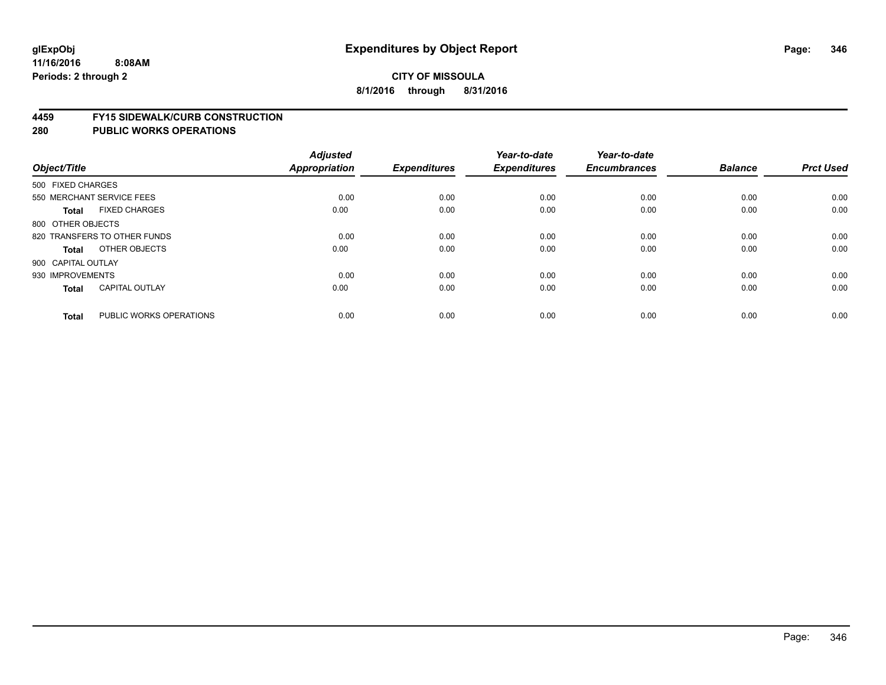#### **4459 FY15 SIDEWALK/CURB CONSTRUCTION**

| Object/Title       |                              | <b>Adjusted</b><br><b>Appropriation</b> | <b>Expenditures</b> | Year-to-date<br><b>Expenditures</b> | Year-to-date<br><b>Encumbrances</b> | <b>Balance</b> | <b>Prct Used</b> |
|--------------------|------------------------------|-----------------------------------------|---------------------|-------------------------------------|-------------------------------------|----------------|------------------|
| 500 FIXED CHARGES  |                              |                                         |                     |                                     |                                     |                |                  |
|                    | 550 MERCHANT SERVICE FEES    | 0.00                                    | 0.00                | 0.00                                | 0.00                                | 0.00           | 0.00             |
| <b>Total</b>       | <b>FIXED CHARGES</b>         | 0.00                                    | 0.00                | 0.00                                | 0.00                                | 0.00           | 0.00             |
| 800 OTHER OBJECTS  |                              |                                         |                     |                                     |                                     |                |                  |
|                    | 820 TRANSFERS TO OTHER FUNDS | 0.00                                    | 0.00                | 0.00                                | 0.00                                | 0.00           | 0.00             |
| Total              | OTHER OBJECTS                | 0.00                                    | 0.00                | 0.00                                | 0.00                                | 0.00           | 0.00             |
| 900 CAPITAL OUTLAY |                              |                                         |                     |                                     |                                     |                |                  |
| 930 IMPROVEMENTS   |                              | 0.00                                    | 0.00                | 0.00                                | 0.00                                | 0.00           | 0.00             |
| <b>Total</b>       | <b>CAPITAL OUTLAY</b>        | 0.00                                    | 0.00                | 0.00                                | 0.00                                | 0.00           | 0.00             |
| <b>Total</b>       | PUBLIC WORKS OPERATIONS      | 0.00                                    | 0.00                | 0.00                                | 0.00                                | 0.00           | 0.00             |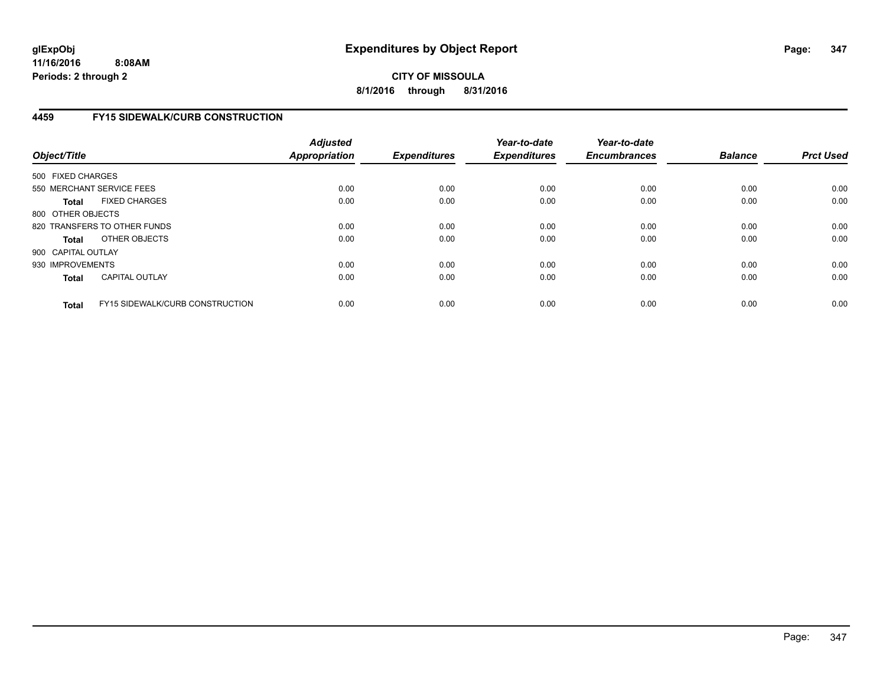# **CITY OF MISSOULA 8/1/2016 through 8/31/2016**

# **4459 FY15 SIDEWALK/CURB CONSTRUCTION**

| Object/Title       |                                        | <b>Adjusted</b><br>Appropriation | <b>Expenditures</b> | Year-to-date<br><b>Expenditures</b> | Year-to-date<br><b>Encumbrances</b> | <b>Balance</b> | <b>Prct Used</b> |
|--------------------|----------------------------------------|----------------------------------|---------------------|-------------------------------------|-------------------------------------|----------------|------------------|
| 500 FIXED CHARGES  |                                        |                                  |                     |                                     |                                     |                |                  |
|                    | 550 MERCHANT SERVICE FEES              | 0.00                             | 0.00                | 0.00                                | 0.00                                | 0.00           | 0.00             |
| <b>Total</b>       | <b>FIXED CHARGES</b>                   | 0.00                             | 0.00                | 0.00                                | 0.00                                | 0.00           | 0.00             |
| 800 OTHER OBJECTS  |                                        |                                  |                     |                                     |                                     |                |                  |
|                    | 820 TRANSFERS TO OTHER FUNDS           | 0.00                             | 0.00                | 0.00                                | 0.00                                | 0.00           | 0.00             |
| <b>Total</b>       | OTHER OBJECTS                          | 0.00                             | 0.00                | 0.00                                | 0.00                                | 0.00           | 0.00             |
| 900 CAPITAL OUTLAY |                                        |                                  |                     |                                     |                                     |                |                  |
| 930 IMPROVEMENTS   |                                        | 0.00                             | 0.00                | 0.00                                | 0.00                                | 0.00           | 0.00             |
| Total              | <b>CAPITAL OUTLAY</b>                  | 0.00                             | 0.00                | 0.00                                | 0.00                                | 0.00           | 0.00             |
| <b>Total</b>       | <b>FY15 SIDEWALK/CURB CONSTRUCTION</b> | 0.00                             | 0.00                | 0.00                                | 0.00                                | 0.00           | 0.00             |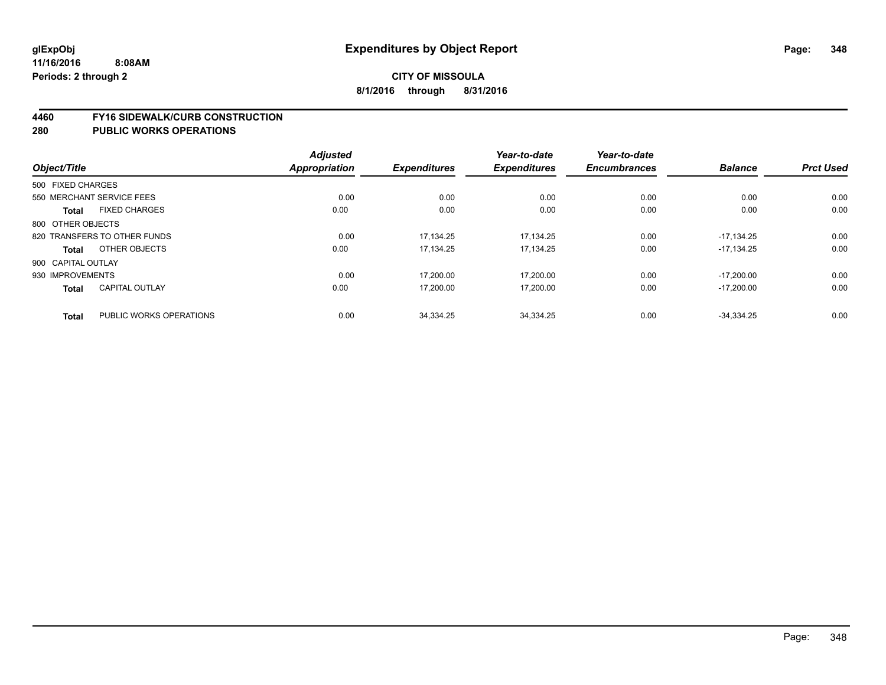#### **4460 FY16 SIDEWALK/CURB CONSTRUCTION**

|                    |                              | <b>Adjusted</b>      |                     | Year-to-date        | Year-to-date        |                |                  |
|--------------------|------------------------------|----------------------|---------------------|---------------------|---------------------|----------------|------------------|
| Object/Title       |                              | <b>Appropriation</b> | <b>Expenditures</b> | <b>Expenditures</b> | <b>Encumbrances</b> | <b>Balance</b> | <b>Prct Used</b> |
| 500 FIXED CHARGES  |                              |                      |                     |                     |                     |                |                  |
|                    | 550 MERCHANT SERVICE FEES    | 0.00                 | 0.00                | 0.00                | 0.00                | 0.00           | 0.00             |
| <b>Total</b>       | <b>FIXED CHARGES</b>         | 0.00                 | 0.00                | 0.00                | 0.00                | 0.00           | 0.00             |
| 800 OTHER OBJECTS  |                              |                      |                     |                     |                     |                |                  |
|                    | 820 TRANSFERS TO OTHER FUNDS | 0.00                 | 17.134.25           | 17.134.25           | 0.00                | $-17.134.25$   | 0.00             |
| <b>Total</b>       | OTHER OBJECTS                | 0.00                 | 17,134.25           | 17,134.25           | 0.00                | $-17.134.25$   | 0.00             |
| 900 CAPITAL OUTLAY |                              |                      |                     |                     |                     |                |                  |
| 930 IMPROVEMENTS   |                              | 0.00                 | 17.200.00           | 17.200.00           | 0.00                | $-17.200.00$   | 0.00             |
| <b>Total</b>       | <b>CAPITAL OUTLAY</b>        | 0.00                 | 17,200.00           | 17,200.00           | 0.00                | $-17,200.00$   | 0.00             |
| <b>Total</b>       | PUBLIC WORKS OPERATIONS      | 0.00                 | 34,334.25           | 34,334.25           | 0.00                | $-34.334.25$   | 0.00             |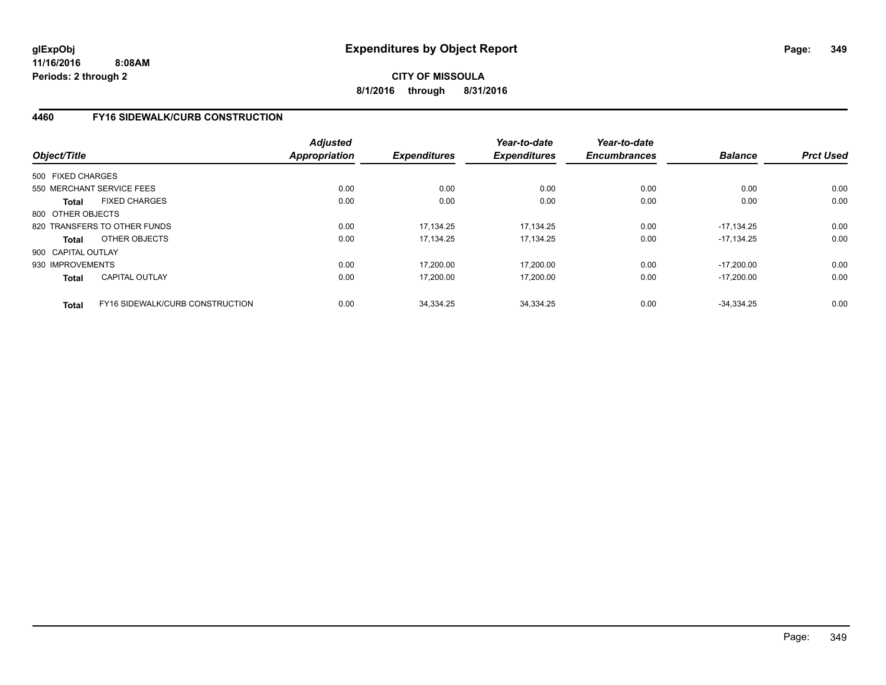**CITY OF MISSOULA 8/1/2016 through 8/31/2016**

# **4460 FY16 SIDEWALK/CURB CONSTRUCTION**

| Object/Title       |                                 | <b>Adjusted</b><br><b>Appropriation</b> | <b>Expenditures</b> | Year-to-date<br><b>Expenditures</b> | Year-to-date<br><b>Encumbrances</b> | <b>Balance</b> | <b>Prct Used</b> |
|--------------------|---------------------------------|-----------------------------------------|---------------------|-------------------------------------|-------------------------------------|----------------|------------------|
| 500 FIXED CHARGES  |                                 |                                         |                     |                                     |                                     |                |                  |
|                    | 550 MERCHANT SERVICE FEES       | 0.00                                    | 0.00                | 0.00                                | 0.00                                | 0.00           | 0.00             |
| <b>Total</b>       | <b>FIXED CHARGES</b>            | 0.00                                    | 0.00                | 0.00                                | 0.00                                | 0.00           | 0.00             |
| 800 OTHER OBJECTS  |                                 |                                         |                     |                                     |                                     |                |                  |
|                    | 820 TRANSFERS TO OTHER FUNDS    | 0.00                                    | 17,134.25           | 17,134.25                           | 0.00                                | $-17.134.25$   | 0.00             |
| <b>Total</b>       | OTHER OBJECTS                   | 0.00                                    | 17.134.25           | 17.134.25                           | 0.00                                | $-17.134.25$   | 0.00             |
| 900 CAPITAL OUTLAY |                                 |                                         |                     |                                     |                                     |                |                  |
| 930 IMPROVEMENTS   |                                 | 0.00                                    | 17.200.00           | 17,200.00                           | 0.00                                | $-17.200.00$   | 0.00             |
| <b>Total</b>       | CAPITAL OUTLAY                  | 0.00                                    | 17,200.00           | 17,200.00                           | 0.00                                | $-17.200.00$   | 0.00             |
| <b>Total</b>       | FY16 SIDEWALK/CURB CONSTRUCTION | 0.00                                    | 34.334.25           | 34.334.25                           | 0.00                                | $-34.334.25$   | 0.00             |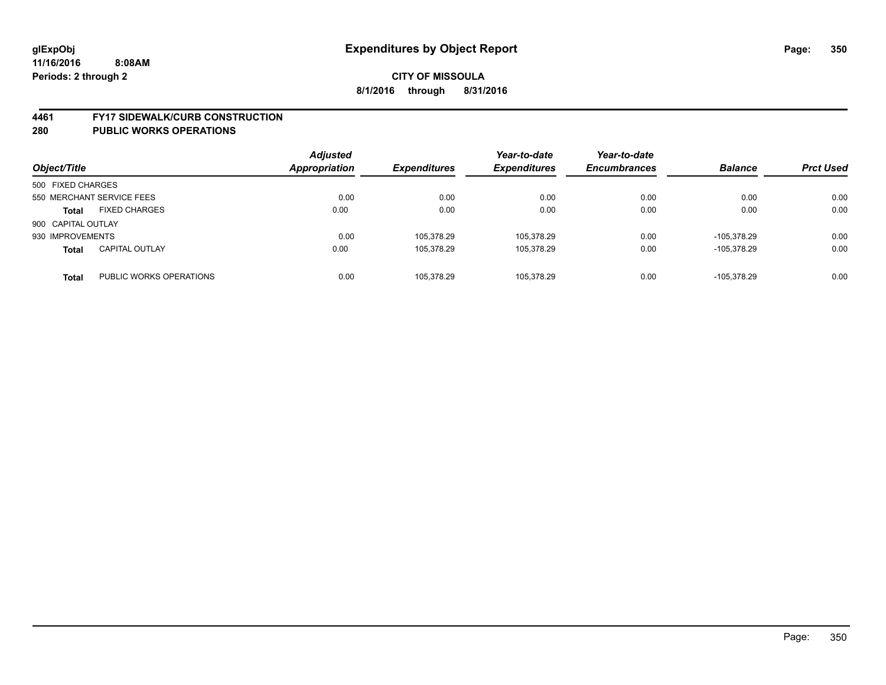#### **4461 FY17 SIDEWALK/CURB CONSTRUCTION**

| Object/Title              |                         | <b>Adjusted</b><br>Appropriation | <b>Expenditures</b> | Year-to-date<br><b>Expenditures</b> | Year-to-date<br><b>Encumbrances</b> | <b>Balance</b> | <b>Prct Used</b> |
|---------------------------|-------------------------|----------------------------------|---------------------|-------------------------------------|-------------------------------------|----------------|------------------|
| 500 FIXED CHARGES         |                         |                                  |                     |                                     |                                     |                |                  |
| 550 MERCHANT SERVICE FEES |                         | 0.00                             | 0.00                | 0.00                                | 0.00                                | 0.00           | 0.00             |
| <b>Total</b>              | <b>FIXED CHARGES</b>    | 0.00                             | 0.00                | 0.00                                | 0.00                                | 0.00           | 0.00             |
| 900 CAPITAL OUTLAY        |                         |                                  |                     |                                     |                                     |                |                  |
| 930 IMPROVEMENTS          |                         | 0.00                             | 105.378.29          | 105,378.29                          | 0.00                                | -105.378.29    | 0.00             |
| <b>Total</b>              | <b>CAPITAL OUTLAY</b>   | 0.00                             | 105.378.29          | 105,378.29                          | 0.00                                | -105.378.29    | 0.00             |
| <b>Total</b>              | PUBLIC WORKS OPERATIONS | 0.00                             | 105.378.29          | 105.378.29                          | 0.00                                | $-105.378.29$  | 0.00             |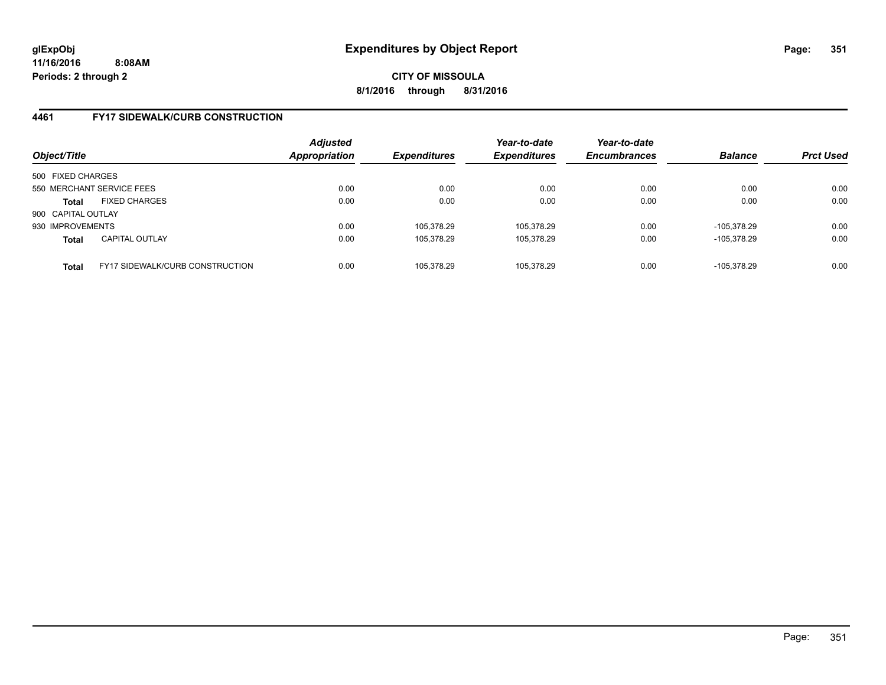**CITY OF MISSOULA 8/1/2016 through 8/31/2016**

## **4461 FY17 SIDEWALK/CURB CONSTRUCTION**

| Object/Title                                           | <b>Adjusted</b><br>Appropriation | <b>Expenditures</b> | Year-to-date<br><b>Expenditures</b> | Year-to-date<br><b>Encumbrances</b> | <b>Balance</b> | <b>Prct Used</b> |
|--------------------------------------------------------|----------------------------------|---------------------|-------------------------------------|-------------------------------------|----------------|------------------|
| 500 FIXED CHARGES                                      |                                  |                     |                                     |                                     |                |                  |
| 550 MERCHANT SERVICE FEES                              | 0.00                             | 0.00                | 0.00                                | 0.00                                | 0.00           | 0.00             |
| <b>FIXED CHARGES</b><br><b>Total</b>                   | 0.00                             | 0.00                | 0.00                                | 0.00                                | 0.00           | 0.00             |
| 900 CAPITAL OUTLAY                                     |                                  |                     |                                     |                                     |                |                  |
| 930 IMPROVEMENTS                                       | 0.00                             | 105.378.29          | 105,378.29                          | 0.00                                | -105.378.29    | 0.00             |
| <b>CAPITAL OUTLAY</b><br>Total                         | 0.00                             | 105,378.29          | 105,378.29                          | 0.00                                | -105.378.29    | 0.00             |
| <b>FY17 SIDEWALK/CURB CONSTRUCTION</b><br><b>Total</b> | 0.00                             | 105.378.29          | 105.378.29                          | 0.00                                | -105.378.29    | 0.00             |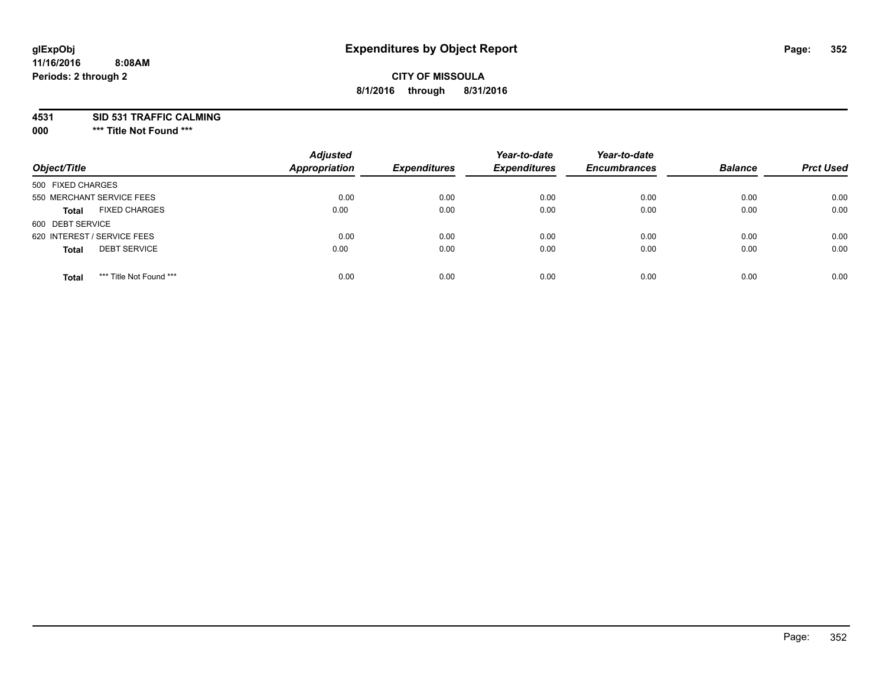# **CITY OF MISSOULA 8/1/2016 through 8/31/2016**

**4531 SID 531 TRAFFIC CALMING**

**000 \*\*\* Title Not Found \*\*\***

| Object/Title                            | <b>Adjusted</b><br><b>Appropriation</b> | <b>Expenditures</b> | Year-to-date<br><b>Expenditures</b> | Year-to-date<br><b>Encumbrances</b> | <b>Balance</b> | <b>Prct Used</b> |
|-----------------------------------------|-----------------------------------------|---------------------|-------------------------------------|-------------------------------------|----------------|------------------|
| 500 FIXED CHARGES                       |                                         |                     |                                     |                                     |                |                  |
| 550 MERCHANT SERVICE FEES               | 0.00                                    | 0.00                | 0.00                                | 0.00                                | 0.00           | 0.00             |
| <b>FIXED CHARGES</b><br><b>Total</b>    | 0.00                                    | 0.00                | 0.00                                | 0.00                                | 0.00           | 0.00             |
| 600 DEBT SERVICE                        |                                         |                     |                                     |                                     |                |                  |
| 620 INTEREST / SERVICE FEES             | 0.00                                    | 0.00                | 0.00                                | 0.00                                | 0.00           | 0.00             |
| <b>DEBT SERVICE</b><br><b>Total</b>     | 0.00                                    | 0.00                | 0.00                                | 0.00                                | 0.00           | 0.00             |
| *** Title Not Found ***<br><b>Total</b> | 0.00                                    | 0.00                | 0.00                                | 0.00                                | 0.00           | 0.00             |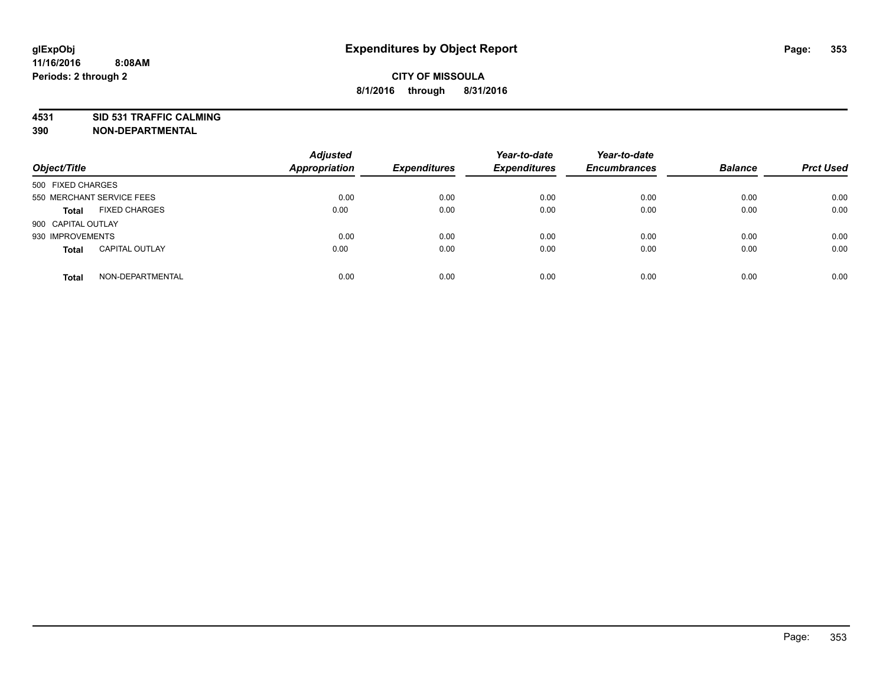**4531 SID 531 TRAFFIC CALMING**

**390 NON-DEPARTMENTAL**

| Object/Title       |                           | <b>Adjusted</b><br>Appropriation | <b>Expenditures</b> | Year-to-date<br><b>Expenditures</b> | Year-to-date<br><b>Encumbrances</b> | <b>Balance</b> | <b>Prct Used</b> |
|--------------------|---------------------------|----------------------------------|---------------------|-------------------------------------|-------------------------------------|----------------|------------------|
| 500 FIXED CHARGES  |                           |                                  |                     |                                     |                                     |                |                  |
|                    | 550 MERCHANT SERVICE FEES | 0.00                             | 0.00                | 0.00                                | 0.00                                | 0.00           | 0.00             |
| <b>Total</b>       | <b>FIXED CHARGES</b>      | 0.00                             | 0.00                | 0.00                                | 0.00                                | 0.00           | 0.00             |
| 900 CAPITAL OUTLAY |                           |                                  |                     |                                     |                                     |                |                  |
| 930 IMPROVEMENTS   |                           | 0.00                             | 0.00                | 0.00                                | 0.00                                | 0.00           | 0.00             |
| <b>Total</b>       | <b>CAPITAL OUTLAY</b>     | 0.00                             | 0.00                | 0.00                                | 0.00                                | 0.00           | 0.00             |
| <b>Total</b>       | NON-DEPARTMENTAL          | 0.00                             | 0.00                | 0.00                                | 0.00                                | 0.00           | 0.00             |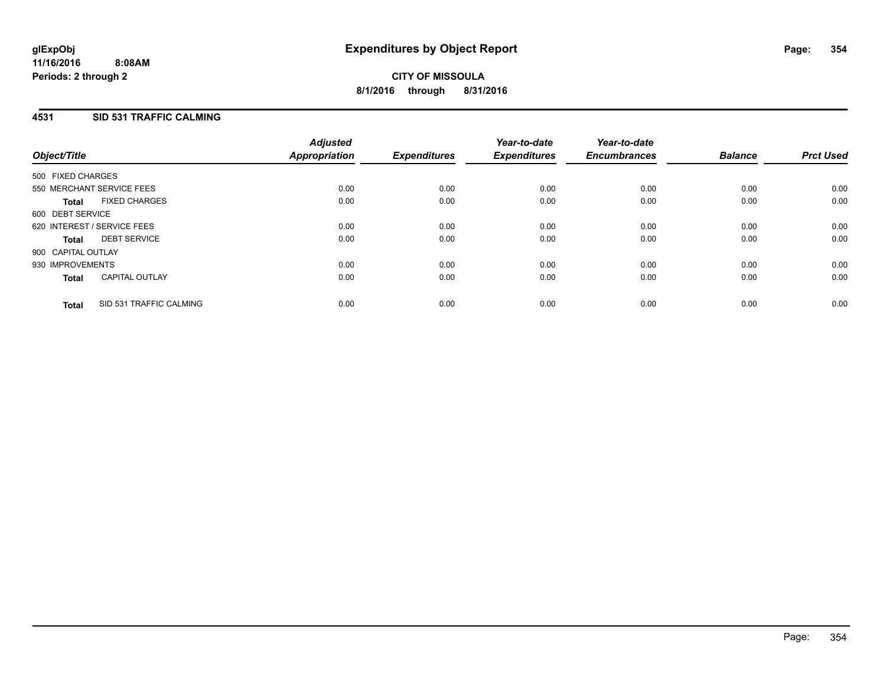# **4531 SID 531 TRAFFIC CALMING**

| Object/Title       |                             | <b>Adjusted</b><br>Appropriation | <b>Expenditures</b> | Year-to-date<br><b>Expenditures</b> | Year-to-date<br><b>Encumbrances</b> | <b>Balance</b> | <b>Prct Used</b> |
|--------------------|-----------------------------|----------------------------------|---------------------|-------------------------------------|-------------------------------------|----------------|------------------|
| 500 FIXED CHARGES  |                             |                                  |                     |                                     |                                     |                |                  |
|                    | 550 MERCHANT SERVICE FEES   | 0.00                             | 0.00                | 0.00                                | 0.00                                | 0.00           | 0.00             |
| <b>Total</b>       | <b>FIXED CHARGES</b>        | 0.00                             | 0.00                | 0.00                                | 0.00                                | 0.00           | 0.00             |
| 600 DEBT SERVICE   |                             |                                  |                     |                                     |                                     |                |                  |
|                    | 620 INTEREST / SERVICE FEES | 0.00                             | 0.00                | 0.00                                | 0.00                                | 0.00           | 0.00             |
| <b>Total</b>       | <b>DEBT SERVICE</b>         | 0.00                             | 0.00                | 0.00                                | 0.00                                | 0.00           | 0.00             |
| 900 CAPITAL OUTLAY |                             |                                  |                     |                                     |                                     |                |                  |
| 930 IMPROVEMENTS   |                             | 0.00                             | 0.00                | 0.00                                | 0.00                                | 0.00           | 0.00             |
| <b>Total</b>       | <b>CAPITAL OUTLAY</b>       | 0.00                             | 0.00                | 0.00                                | 0.00                                | 0.00           | 0.00             |
| <b>Total</b>       | SID 531 TRAFFIC CALMING     | 0.00                             | 0.00                | 0.00                                | 0.00                                | 0.00           | 0.00             |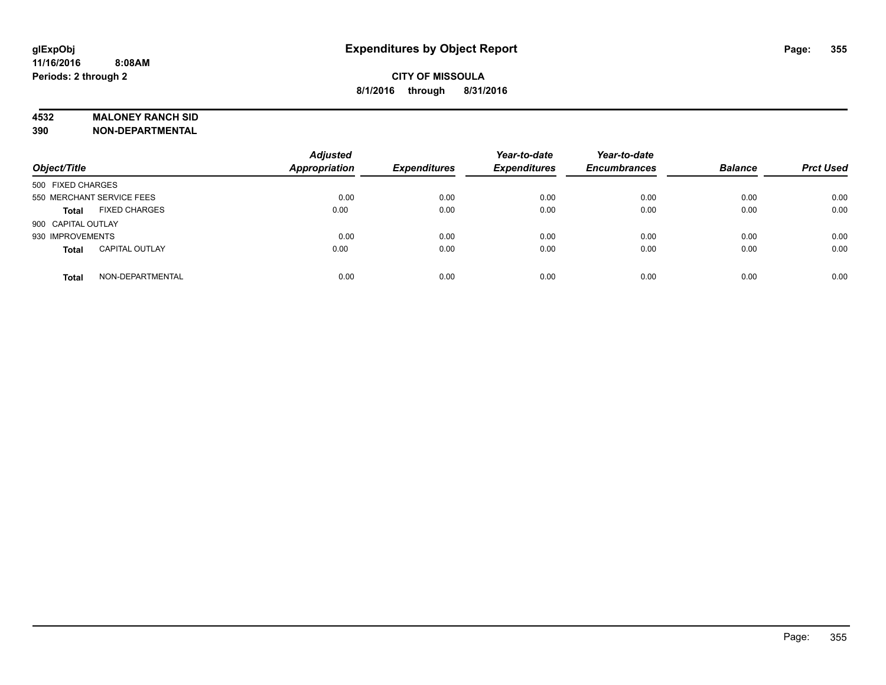### **4532 MALONEY RANCH SID**

**390 NON-DEPARTMENTAL**

| Object/Title              |                       | <b>Adjusted</b><br><b>Appropriation</b> | <b>Expenditures</b> | Year-to-date<br><b>Expenditures</b> | Year-to-date<br><b>Encumbrances</b> | <b>Balance</b> | <b>Prct Used</b> |
|---------------------------|-----------------------|-----------------------------------------|---------------------|-------------------------------------|-------------------------------------|----------------|------------------|
| 500 FIXED CHARGES         |                       |                                         |                     |                                     |                                     |                |                  |
| 550 MERCHANT SERVICE FEES |                       | 0.00                                    | 0.00                | 0.00                                | 0.00                                | 0.00           | 0.00             |
| <b>Total</b>              | <b>FIXED CHARGES</b>  | 0.00                                    | 0.00                | 0.00                                | 0.00                                | 0.00           | 0.00             |
| 900 CAPITAL OUTLAY        |                       |                                         |                     |                                     |                                     |                |                  |
| 930 IMPROVEMENTS          |                       | 0.00                                    | 0.00                | 0.00                                | 0.00                                | 0.00           | 0.00             |
| <b>Total</b>              | <b>CAPITAL OUTLAY</b> | 0.00                                    | 0.00                | 0.00                                | 0.00                                | 0.00           | 0.00             |
| <b>Total</b>              | NON-DEPARTMENTAL      | 0.00                                    | 0.00                | 0.00                                | 0.00                                | 0.00           | 0.00             |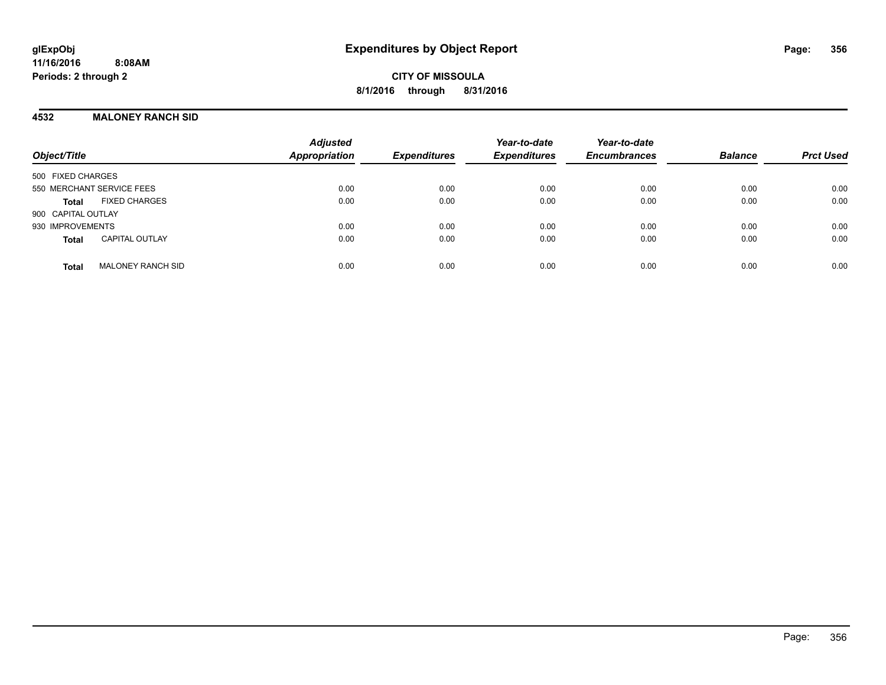**CITY OF MISSOULA 8/1/2016 through 8/31/2016**

#### **4532 MALONEY RANCH SID**

| Object/Title                             | <b>Adjusted</b><br>Appropriation | <b>Expenditures</b> | Year-to-date<br><b>Expenditures</b> | Year-to-date<br><b>Encumbrances</b> | <b>Balance</b> | <b>Prct Used</b> |
|------------------------------------------|----------------------------------|---------------------|-------------------------------------|-------------------------------------|----------------|------------------|
| 500 FIXED CHARGES                        |                                  |                     |                                     |                                     |                |                  |
| 550 MERCHANT SERVICE FEES                | 0.00                             | 0.00                | 0.00                                | 0.00                                | 0.00           | 0.00             |
| <b>FIXED CHARGES</b><br>Total            | 0.00                             | 0.00                | 0.00                                | 0.00                                | 0.00           | 0.00             |
| 900 CAPITAL OUTLAY                       |                                  |                     |                                     |                                     |                |                  |
| 930 IMPROVEMENTS                         | 0.00                             | 0.00                | 0.00                                | 0.00                                | 0.00           | 0.00             |
| <b>CAPITAL OUTLAY</b><br><b>Total</b>    | 0.00                             | 0.00                | 0.00                                | 0.00                                | 0.00           | 0.00             |
| <b>MALONEY RANCH SID</b><br><b>Total</b> | 0.00                             | 0.00                | 0.00                                | 0.00                                | 0.00           | 0.00             |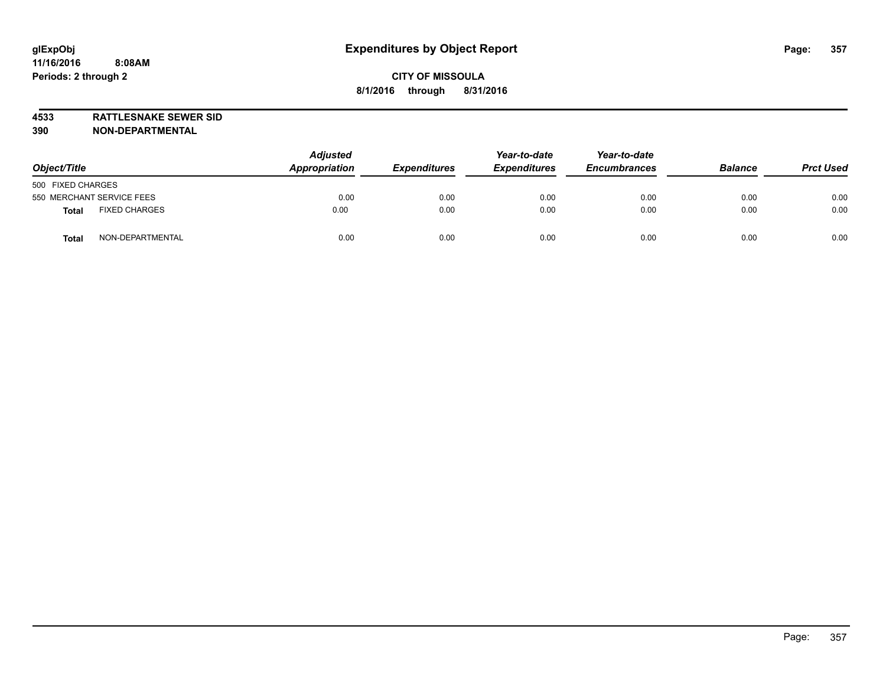**4533 RATTLESNAKE SEWER SID 390 NON-DEPARTMENTAL**

| Object/Title                     | <b>Adjusted</b><br>Appropriation | <b>Expenditures</b> | Year-to-date<br><b>Expenditures</b> | Year-to-date<br><b>Encumbrances</b> | <b>Balance</b> | <b>Prct Used</b> |
|----------------------------------|----------------------------------|---------------------|-------------------------------------|-------------------------------------|----------------|------------------|
| 500 FIXED CHARGES                |                                  |                     |                                     |                                     |                |                  |
| 550 MERCHANT SERVICE FEES        | 0.00                             | 0.00                | 0.00                                | 0.00                                | 0.00           | 0.00             |
| <b>FIXED CHARGES</b><br>Total    | 0.00                             | 0.00                | 0.00                                | 0.00                                | 0.00           | 0.00             |
| NON-DEPARTMENTAL<br><b>Total</b> | 0.00                             | 0.00                | 0.00                                | 0.00                                | 0.00           | 0.00             |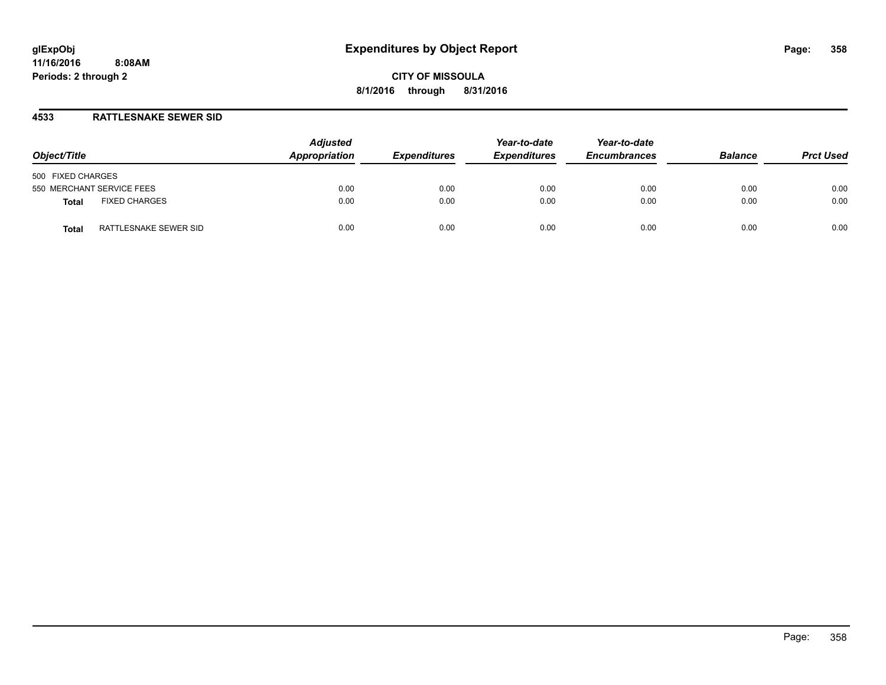**CITY OF MISSOULA 8/1/2016 through 8/31/2016**

### **4533 RATTLESNAKE SEWER SID**

| Object/Title                          | <b>Adjusted</b><br>Appropriation | <b>Expenditures</b> | Year-to-date<br><b>Expenditures</b> | Year-to-date<br><b>Encumbrances</b> | <b>Balance</b> | <b>Prct Used</b> |
|---------------------------------------|----------------------------------|---------------------|-------------------------------------|-------------------------------------|----------------|------------------|
| 500 FIXED CHARGES                     |                                  |                     |                                     |                                     |                |                  |
| 550 MERCHANT SERVICE FEES             | 0.00                             | 0.00                | 0.00                                | 0.00                                | 0.00           | 0.00             |
| <b>FIXED CHARGES</b><br><b>Total</b>  | 0.00                             | 0.00                | 0.00                                | 0.00                                | 0.00           | 0.00             |
| RATTLESNAKE SEWER SID<br><b>Total</b> | 0.00                             | 0.00                | 0.00                                | 0.00                                | 0.00           | 0.00             |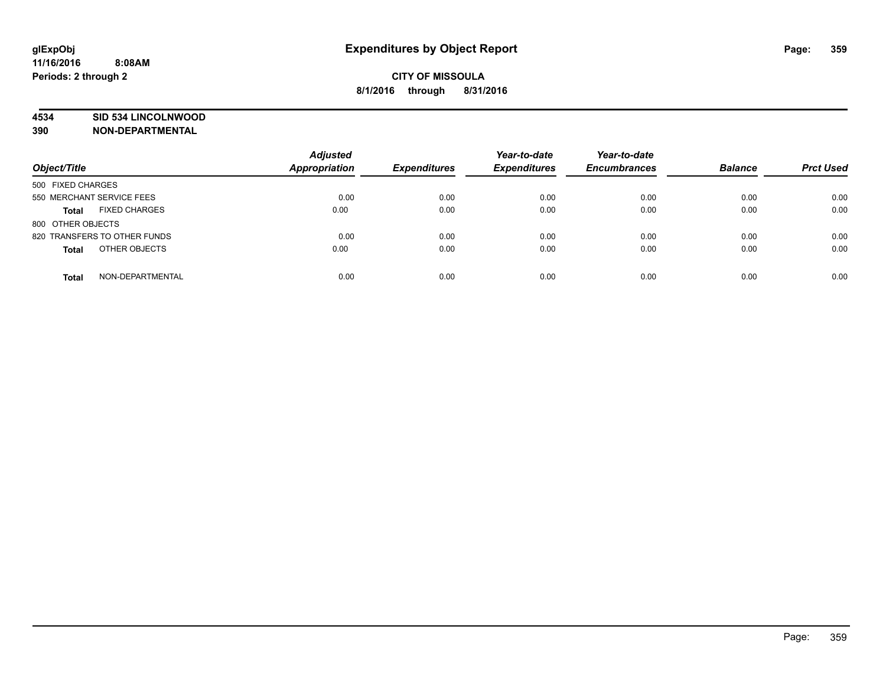### **4534 SID 534 LINCOLNWOOD**

**390 NON-DEPARTMENTAL**

| Object/Title                         | <b>Adjusted</b><br>Appropriation | <b>Expenditures</b> | Year-to-date<br><b>Expenditures</b> | Year-to-date<br><b>Encumbrances</b> | <b>Balance</b> | <b>Prct Used</b> |
|--------------------------------------|----------------------------------|---------------------|-------------------------------------|-------------------------------------|----------------|------------------|
| 500 FIXED CHARGES                    |                                  |                     |                                     |                                     |                |                  |
| 550 MERCHANT SERVICE FEES            | 0.00                             | 0.00                | 0.00                                | 0.00                                | 0.00           | 0.00             |
| <b>FIXED CHARGES</b><br><b>Total</b> | 0.00                             | 0.00                | 0.00                                | 0.00                                | 0.00           | 0.00             |
| 800 OTHER OBJECTS                    |                                  |                     |                                     |                                     |                |                  |
| 820 TRANSFERS TO OTHER FUNDS         | 0.00                             | 0.00                | 0.00                                | 0.00                                | 0.00           | 0.00             |
| OTHER OBJECTS<br><b>Total</b>        | 0.00                             | 0.00                | 0.00                                | 0.00                                | 0.00           | 0.00             |
| NON-DEPARTMENTAL<br><b>Total</b>     | 0.00                             | 0.00                | 0.00                                | 0.00                                | 0.00           | 0.00             |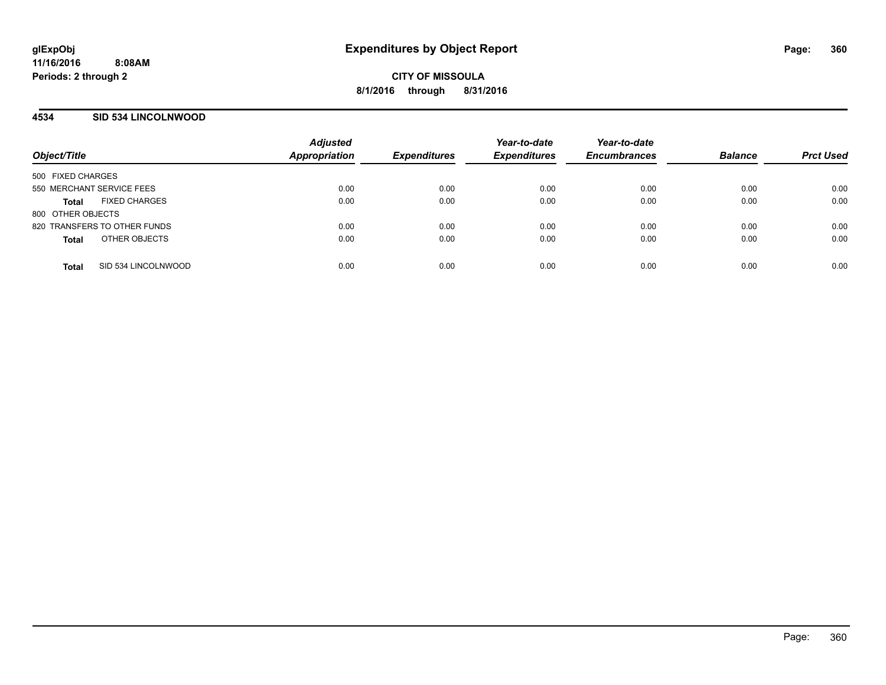**CITY OF MISSOULA 8/1/2016 through 8/31/2016**

### **4534 SID 534 LINCOLNWOOD**

| Object/Title                 |                      | <b>Adjusted</b><br><b>Appropriation</b> | <b>Expenditures</b> | Year-to-date<br><b>Expenditures</b> | Year-to-date<br><b>Encumbrances</b> | <b>Balance</b> | <b>Prct Used</b> |
|------------------------------|----------------------|-----------------------------------------|---------------------|-------------------------------------|-------------------------------------|----------------|------------------|
| 500 FIXED CHARGES            |                      |                                         |                     |                                     |                                     |                |                  |
| 550 MERCHANT SERVICE FEES    |                      | 0.00                                    | 0.00                | 0.00                                | 0.00                                | 0.00           | 0.00             |
| <b>Total</b>                 | <b>FIXED CHARGES</b> | 0.00                                    | 0.00                | 0.00                                | 0.00                                | 0.00           | 0.00             |
| 800 OTHER OBJECTS            |                      |                                         |                     |                                     |                                     |                |                  |
| 820 TRANSFERS TO OTHER FUNDS |                      | 0.00                                    | 0.00                | 0.00                                | 0.00                                | 0.00           | 0.00             |
| <b>Total</b>                 | OTHER OBJECTS        | 0.00                                    | 0.00                | 0.00                                | 0.00                                | 0.00           | 0.00             |
|                              |                      |                                         |                     |                                     |                                     |                |                  |
| <b>Total</b>                 | SID 534 LINCOLNWOOD  | 0.00                                    | 0.00                | 0.00                                | 0.00                                | 0.00           | 0.00             |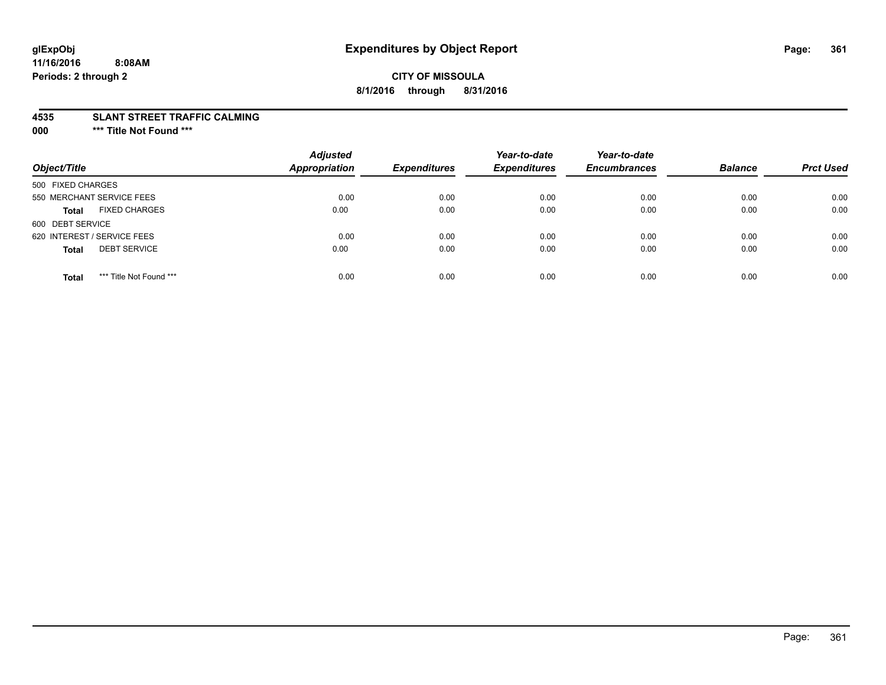# **CITY OF MISSOULA 8/1/2016 through 8/31/2016**

#### **4535 SLANT STREET TRAFFIC CALMING**

**000 \*\*\* Title Not Found \*\*\***

| Object/Title                            | <b>Adjusted</b><br>Appropriation | <b>Expenditures</b> | Year-to-date<br><b>Expenditures</b> | Year-to-date<br><b>Encumbrances</b> | <b>Balance</b> | <b>Prct Used</b> |
|-----------------------------------------|----------------------------------|---------------------|-------------------------------------|-------------------------------------|----------------|------------------|
| 500 FIXED CHARGES                       |                                  |                     |                                     |                                     |                |                  |
| 550 MERCHANT SERVICE FEES               | 0.00                             | 0.00                | 0.00                                | 0.00                                | 0.00           | 0.00             |
| <b>FIXED CHARGES</b><br><b>Total</b>    | 0.00                             | 0.00                | 0.00                                | 0.00                                | 0.00           | 0.00             |
| 600 DEBT SERVICE                        |                                  |                     |                                     |                                     |                |                  |
| 620 INTEREST / SERVICE FEES             | 0.00                             | 0.00                | 0.00                                | 0.00                                | 0.00           | 0.00             |
| <b>DEBT SERVICE</b><br><b>Total</b>     | 0.00                             | 0.00                | 0.00                                | 0.00                                | 0.00           | 0.00             |
| *** Title Not Found ***<br><b>Total</b> | 0.00                             | 0.00                | 0.00                                | 0.00                                | 0.00           | 0.00             |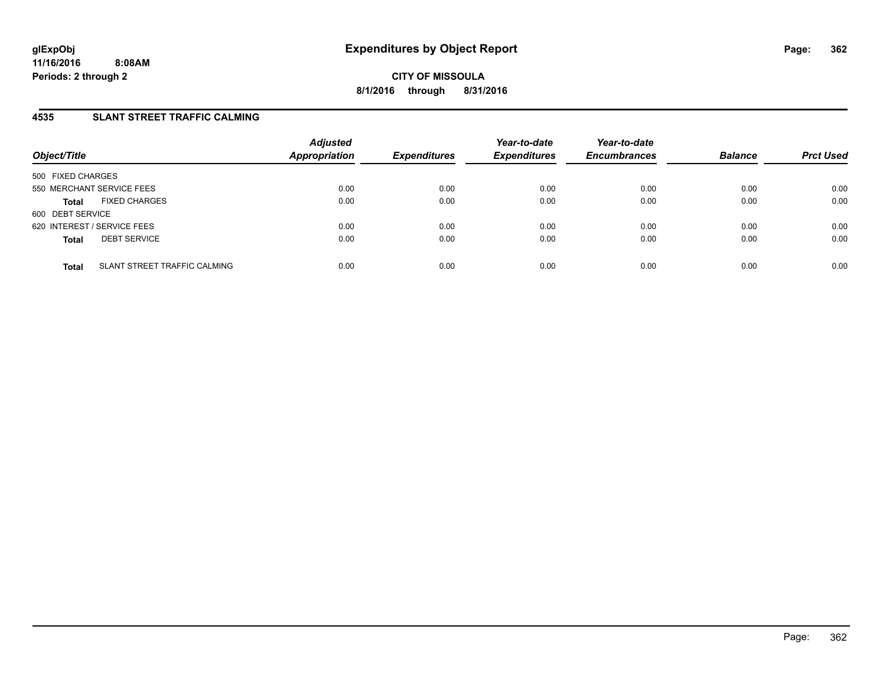**CITY OF MISSOULA 8/1/2016 through 8/31/2016**

# **4535 SLANT STREET TRAFFIC CALMING**

| Object/Title                                 | <b>Adjusted</b><br><b>Appropriation</b> | <b>Expenditures</b> | Year-to-date<br><b>Expenditures</b> | Year-to-date<br><b>Encumbrances</b> | <b>Balance</b> | <b>Prct Used</b> |
|----------------------------------------------|-----------------------------------------|---------------------|-------------------------------------|-------------------------------------|----------------|------------------|
| 500 FIXED CHARGES                            |                                         |                     |                                     |                                     |                |                  |
| 550 MERCHANT SERVICE FEES                    | 0.00                                    | 0.00                | 0.00                                | 0.00                                | 0.00           | 0.00             |
| <b>FIXED CHARGES</b><br><b>Total</b>         | 0.00                                    | 0.00                | 0.00                                | 0.00                                | 0.00           | 0.00             |
| 600 DEBT SERVICE                             |                                         |                     |                                     |                                     |                |                  |
| 620 INTEREST / SERVICE FEES                  | 0.00                                    | 0.00                | 0.00                                | 0.00                                | 0.00           | 0.00             |
| <b>DEBT SERVICE</b><br><b>Total</b>          | 0.00                                    | 0.00                | 0.00                                | 0.00                                | 0.00           | 0.00             |
| SLANT STREET TRAFFIC CALMING<br><b>Total</b> | 0.00                                    | 0.00                | 0.00                                | 0.00                                | 0.00           | 0.00             |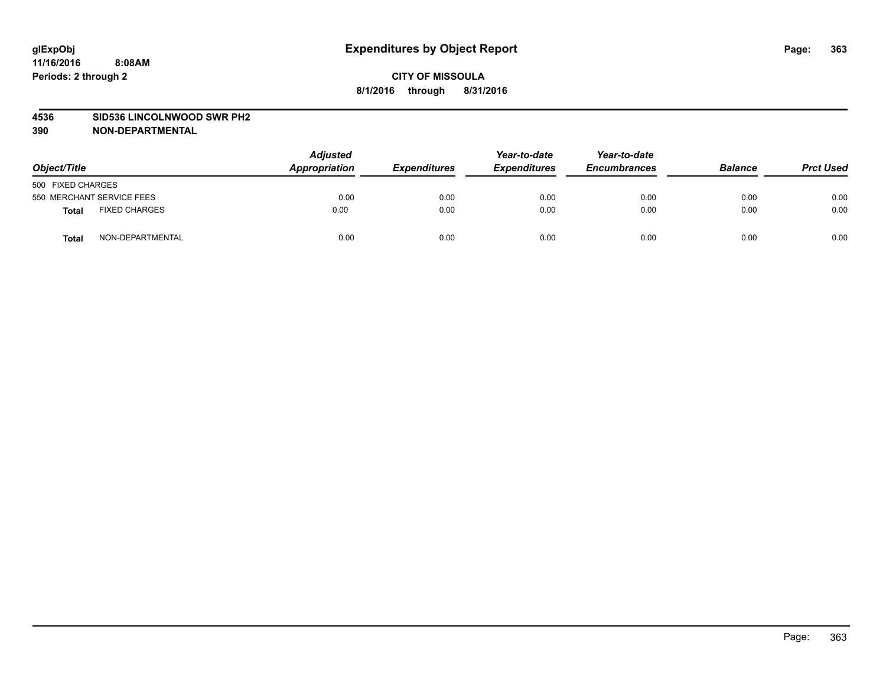#### **4536 SID536 LINCOLNWOOD SWR PH2**

| Object/Title                         | <b>Adjusted</b><br>Appropriation | <b>Expenditures</b> | Year-to-date<br><b>Expenditures</b> | Year-to-date<br><b>Encumbrances</b> | <b>Balance</b> | <b>Prct Used</b> |
|--------------------------------------|----------------------------------|---------------------|-------------------------------------|-------------------------------------|----------------|------------------|
| 500 FIXED CHARGES                    |                                  |                     |                                     |                                     |                |                  |
| 550 MERCHANT SERVICE FEES            | 0.00                             | 0.00                | 0.00                                | 0.00                                | 0.00           | 0.00             |
| <b>FIXED CHARGES</b><br><b>Total</b> | 0.00                             | 0.00                | 0.00                                | 0.00                                | 0.00           | 0.00             |
| NON-DEPARTMENTAL<br>Total            | 0.00                             | 0.00                | 0.00                                | 0.00                                | 0.00           | 0.00             |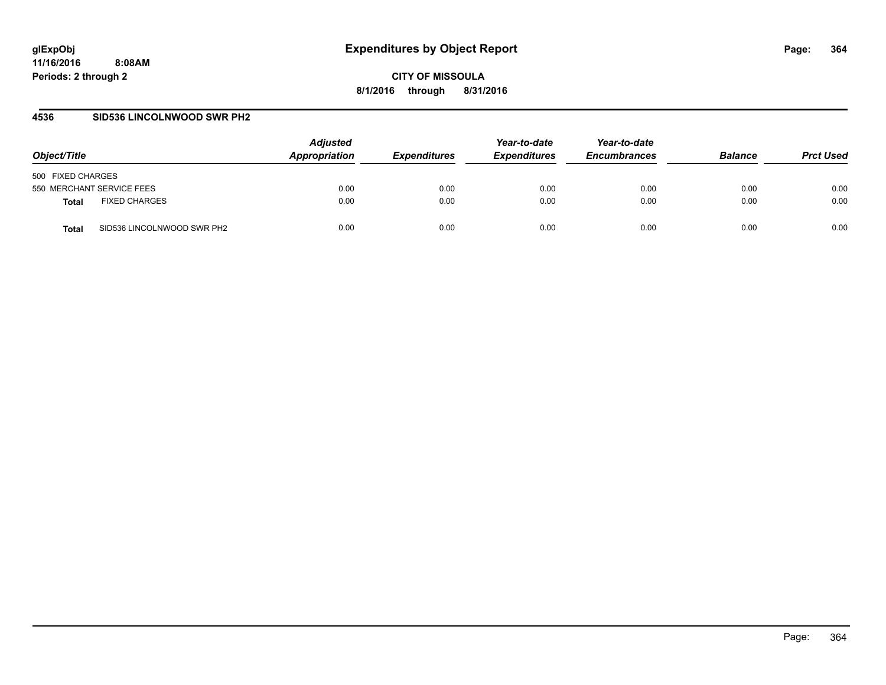**CITY OF MISSOULA 8/1/2016 through 8/31/2016**

### **4536 SID536 LINCOLNWOOD SWR PH2**

| Object/Title                         | <b>Adjusted</b><br>Appropriation | <i><b>Expenditures</b></i> | Year-to-date<br><b>Expenditures</b> | Year-to-date<br><b>Encumbrances</b> | <b>Balance</b> | <b>Prct Used</b> |
|--------------------------------------|----------------------------------|----------------------------|-------------------------------------|-------------------------------------|----------------|------------------|
| 500 FIXED CHARGES                    |                                  |                            |                                     |                                     |                |                  |
| 550 MERCHANT SERVICE FEES            | 0.00                             | 0.00                       | 0.00                                | 0.00                                | 0.00           | 0.00             |
| <b>FIXED CHARGES</b><br><b>Total</b> | 0.00                             | 0.00                       | 0.00                                | 0.00                                | 0.00           | 0.00             |
| SID536 LINCOLNWOOD SWR PH2<br>Total  | 0.00                             | 0.00                       | 0.00                                | 0.00                                | 0.00           | 0.00             |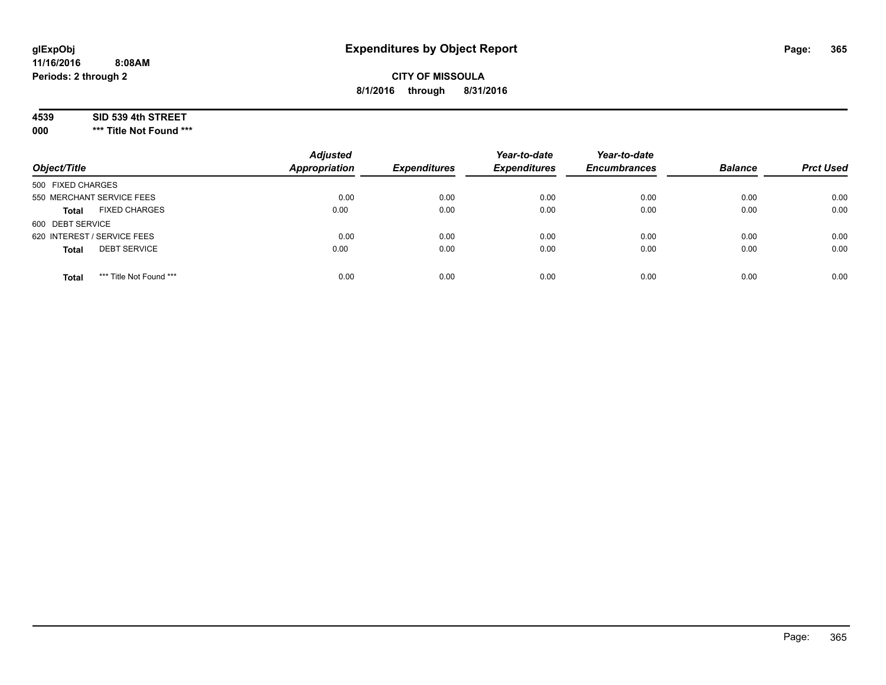# **CITY OF MISSOULA 8/1/2016 through 8/31/2016**

#### **4539 SID 539 4th STREET**

**000 \*\*\* Title Not Found \*\*\***

| Object/Title                            | <b>Adjusted</b><br><b>Appropriation</b> | <b>Expenditures</b> | Year-to-date<br><b>Expenditures</b> | Year-to-date<br><b>Encumbrances</b> | <b>Balance</b> | <b>Prct Used</b> |
|-----------------------------------------|-----------------------------------------|---------------------|-------------------------------------|-------------------------------------|----------------|------------------|
| 500 FIXED CHARGES                       |                                         |                     |                                     |                                     |                |                  |
| 550 MERCHANT SERVICE FEES               | 0.00                                    | 0.00                | 0.00                                | 0.00                                | 0.00           | 0.00             |
| <b>FIXED CHARGES</b><br><b>Total</b>    | 0.00                                    | 0.00                | 0.00                                | 0.00                                | 0.00           | 0.00             |
| 600 DEBT SERVICE                        |                                         |                     |                                     |                                     |                |                  |
| 620 INTEREST / SERVICE FEES             | 0.00                                    | 0.00                | 0.00                                | 0.00                                | 0.00           | 0.00             |
| <b>DEBT SERVICE</b><br><b>Total</b>     | 0.00                                    | 0.00                | 0.00                                | 0.00                                | 0.00           | 0.00             |
| *** Title Not Found ***<br><b>Total</b> | 0.00                                    | 0.00                | 0.00                                | 0.00                                | 0.00           | 0.00             |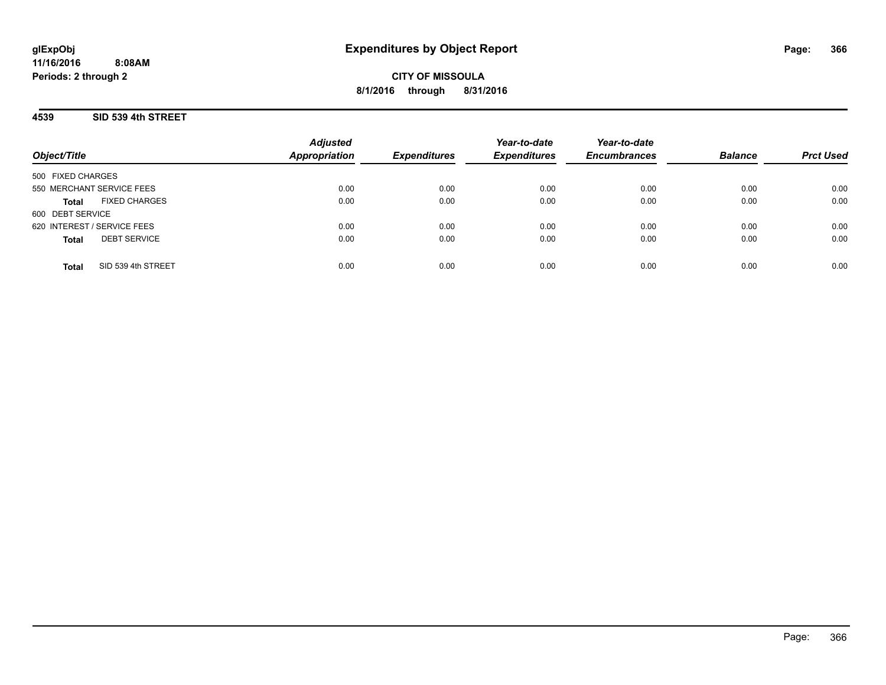**CITY OF MISSOULA 8/1/2016 through 8/31/2016**

### **4539 SID 539 4th STREET**

| Object/Title                         | <b>Adjusted</b><br><b>Appropriation</b> | <b>Expenditures</b> | Year-to-date<br><b>Expenditures</b> | Year-to-date<br><b>Encumbrances</b> | <b>Balance</b> | <b>Prct Used</b> |
|--------------------------------------|-----------------------------------------|---------------------|-------------------------------------|-------------------------------------|----------------|------------------|
| 500 FIXED CHARGES                    |                                         |                     |                                     |                                     |                |                  |
| 550 MERCHANT SERVICE FEES            | 0.00                                    | 0.00                | 0.00                                | 0.00                                | 0.00           | 0.00             |
| <b>FIXED CHARGES</b><br><b>Total</b> | 0.00                                    | 0.00                | 0.00                                | 0.00                                | 0.00           | 0.00             |
| 600 DEBT SERVICE                     |                                         |                     |                                     |                                     |                |                  |
| 620 INTEREST / SERVICE FEES          | 0.00                                    | 0.00                | 0.00                                | 0.00                                | 0.00           | 0.00             |
| <b>DEBT SERVICE</b><br><b>Total</b>  | 0.00                                    | 0.00                | 0.00                                | 0.00                                | 0.00           | 0.00             |
|                                      |                                         |                     |                                     |                                     |                |                  |
| SID 539 4th STREET<br><b>Total</b>   | 0.00                                    | 0.00                | 0.00                                | 0.00                                | 0.00           | 0.00             |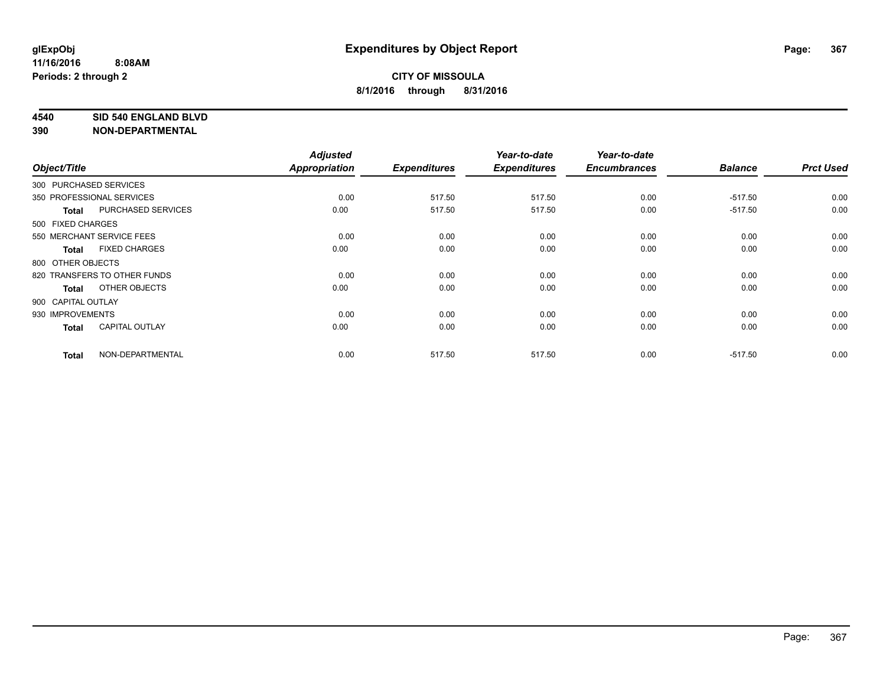#### **4540 SID 540 ENGLAND BLVD**

| Object/Title           |                              | <b>Adjusted</b><br><b>Appropriation</b> | <b>Expenditures</b> | Year-to-date<br><b>Expenditures</b> | Year-to-date<br><b>Encumbrances</b> | <b>Balance</b> | <b>Prct Used</b> |
|------------------------|------------------------------|-----------------------------------------|---------------------|-------------------------------------|-------------------------------------|----------------|------------------|
| 300 PURCHASED SERVICES |                              |                                         |                     |                                     |                                     |                |                  |
|                        | 350 PROFESSIONAL SERVICES    | 0.00                                    | 517.50              | 517.50                              | 0.00                                | $-517.50$      | 0.00             |
| <b>Total</b>           | PURCHASED SERVICES           | 0.00                                    | 517.50              | 517.50                              | 0.00                                | $-517.50$      | 0.00             |
| 500 FIXED CHARGES      |                              |                                         |                     |                                     |                                     |                |                  |
|                        | 550 MERCHANT SERVICE FEES    | 0.00                                    | 0.00                | 0.00                                | 0.00                                | 0.00           | 0.00             |
| Total                  | <b>FIXED CHARGES</b>         | 0.00                                    | 0.00                | 0.00                                | 0.00                                | 0.00           | 0.00             |
| 800 OTHER OBJECTS      |                              |                                         |                     |                                     |                                     |                |                  |
|                        | 820 TRANSFERS TO OTHER FUNDS | 0.00                                    | 0.00                | 0.00                                | 0.00                                | 0.00           | 0.00             |
| <b>Total</b>           | OTHER OBJECTS                | 0.00                                    | 0.00                | 0.00                                | 0.00                                | 0.00           | 0.00             |
| 900 CAPITAL OUTLAY     |                              |                                         |                     |                                     |                                     |                |                  |
| 930 IMPROVEMENTS       |                              | 0.00                                    | 0.00                | 0.00                                | 0.00                                | 0.00           | 0.00             |
| <b>Total</b>           | <b>CAPITAL OUTLAY</b>        | 0.00                                    | 0.00                | 0.00                                | 0.00                                | 0.00           | 0.00             |
| <b>Total</b>           | NON-DEPARTMENTAL             | 0.00                                    | 517.50              | 517.50                              | 0.00                                | $-517.50$      | 0.00             |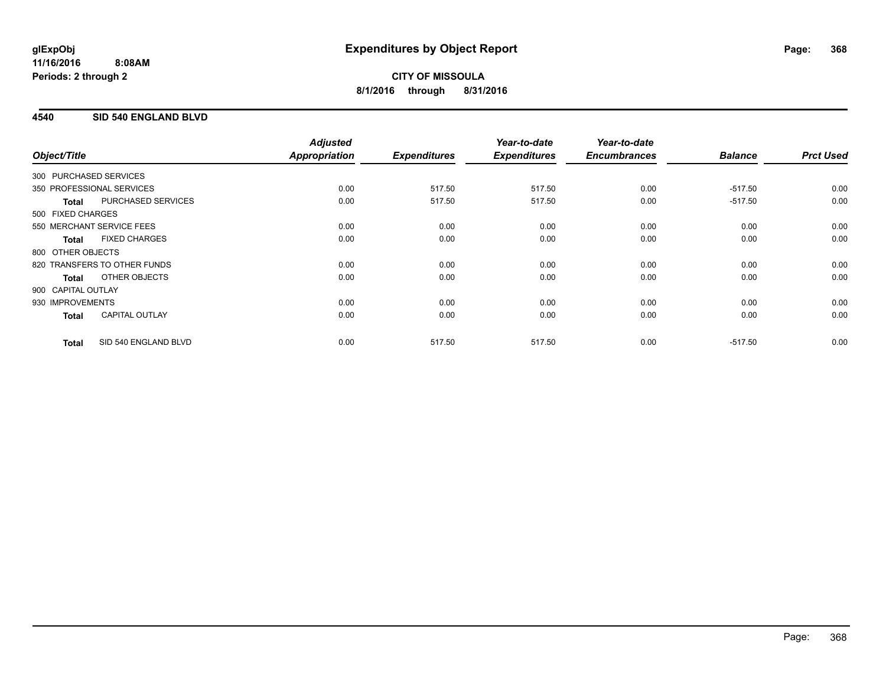# **4540 SID 540 ENGLAND BLVD**

|                        |                              | <b>Adjusted</b>      |                     | Year-to-date        | Year-to-date        |                |                  |
|------------------------|------------------------------|----------------------|---------------------|---------------------|---------------------|----------------|------------------|
| Object/Title           |                              | <b>Appropriation</b> | <b>Expenditures</b> | <b>Expenditures</b> | <b>Encumbrances</b> | <b>Balance</b> | <b>Prct Used</b> |
| 300 PURCHASED SERVICES |                              |                      |                     |                     |                     |                |                  |
|                        | 350 PROFESSIONAL SERVICES    | 0.00                 | 517.50              | 517.50              | 0.00                | $-517.50$      | 0.00             |
| <b>Total</b>           | <b>PURCHASED SERVICES</b>    | 0.00                 | 517.50              | 517.50              | 0.00                | $-517.50$      | 0.00             |
| 500 FIXED CHARGES      |                              |                      |                     |                     |                     |                |                  |
|                        | 550 MERCHANT SERVICE FEES    | 0.00                 | 0.00                | 0.00                | 0.00                | 0.00           | 0.00             |
| <b>Total</b>           | <b>FIXED CHARGES</b>         | 0.00                 | 0.00                | 0.00                | 0.00                | 0.00           | 0.00             |
| 800 OTHER OBJECTS      |                              |                      |                     |                     |                     |                |                  |
|                        | 820 TRANSFERS TO OTHER FUNDS | 0.00                 | 0.00                | 0.00                | 0.00                | 0.00           | 0.00             |
| Total                  | OTHER OBJECTS                | 0.00                 | 0.00                | 0.00                | 0.00                | 0.00           | 0.00             |
| 900 CAPITAL OUTLAY     |                              |                      |                     |                     |                     |                |                  |
| 930 IMPROVEMENTS       |                              | 0.00                 | 0.00                | 0.00                | 0.00                | 0.00           | 0.00             |
| <b>Total</b>           | <b>CAPITAL OUTLAY</b>        | 0.00                 | 0.00                | 0.00                | 0.00                | 0.00           | 0.00             |
| <b>Total</b>           | SID 540 ENGLAND BLVD         | 0.00                 | 517.50              | 517.50              | 0.00                | $-517.50$      | 0.00             |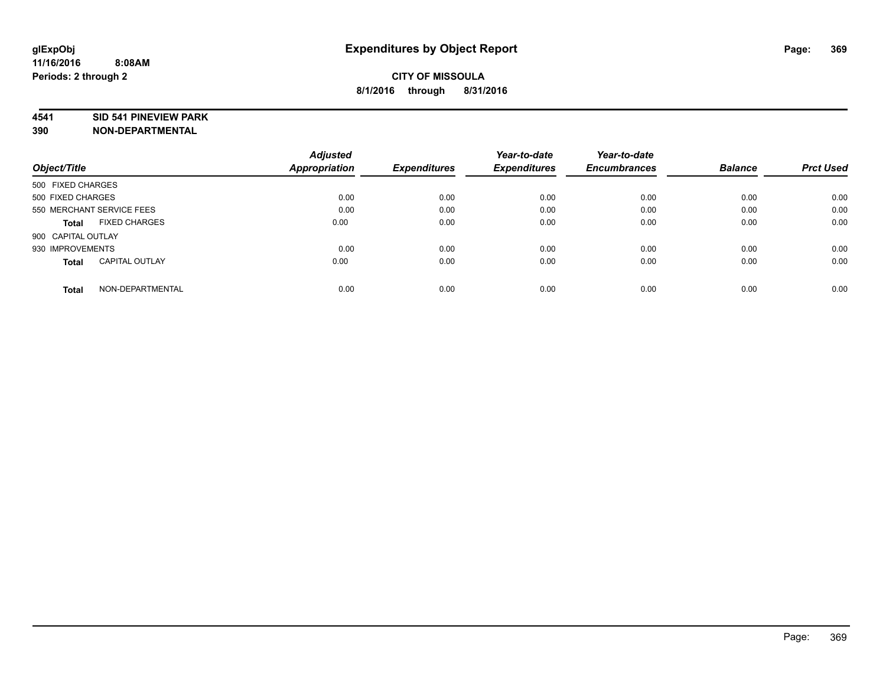#### **4541 SID 541 PINEVIEW PARK**

| Object/Title                          | <b>Adjusted</b><br><b>Appropriation</b> | <b>Expenditures</b> | Year-to-date<br><b>Expenditures</b> | Year-to-date<br><b>Encumbrances</b> | <b>Balance</b> | <b>Prct Used</b> |
|---------------------------------------|-----------------------------------------|---------------------|-------------------------------------|-------------------------------------|----------------|------------------|
| 500 FIXED CHARGES                     |                                         |                     |                                     |                                     |                |                  |
| 500 FIXED CHARGES                     | 0.00                                    | 0.00                | 0.00                                | 0.00                                | 0.00           | 0.00             |
| 550 MERCHANT SERVICE FEES             | 0.00                                    | 0.00                | 0.00                                | 0.00                                | 0.00           | 0.00             |
| <b>FIXED CHARGES</b><br>Total         | 0.00                                    | 0.00                | 0.00                                | 0.00                                | 0.00           | 0.00             |
| 900 CAPITAL OUTLAY                    |                                         |                     |                                     |                                     |                |                  |
| 930 IMPROVEMENTS                      | 0.00                                    | 0.00                | 0.00                                | 0.00                                | 0.00           | 0.00             |
| <b>CAPITAL OUTLAY</b><br><b>Total</b> | 0.00                                    | 0.00                | 0.00                                | 0.00                                | 0.00           | 0.00             |
| NON-DEPARTMENTAL<br><b>Total</b>      | 0.00                                    | 0.00                | 0.00                                | 0.00                                | 0.00           | 0.00             |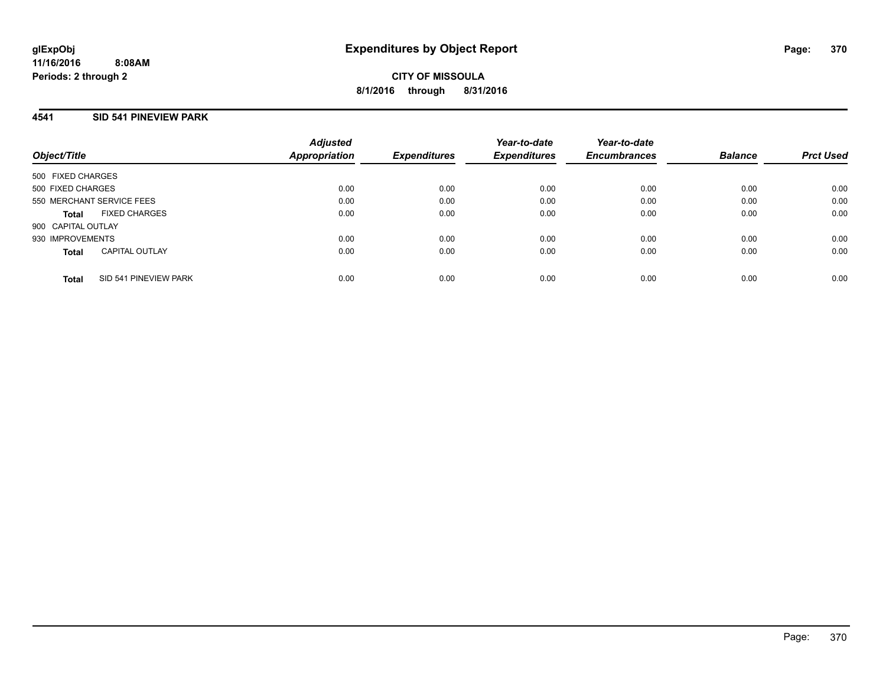**CITY OF MISSOULA 8/1/2016 through 8/31/2016**

### **4541 SID 541 PINEVIEW PARK**

|                           |                       | <b>Adjusted</b>     |                     | Year-to-date        | Year-to-date   |                  |      |
|---------------------------|-----------------------|---------------------|---------------------|---------------------|----------------|------------------|------|
| Object/Title              | Appropriation         | <b>Expenditures</b> | <b>Expenditures</b> | <b>Encumbrances</b> | <b>Balance</b> | <b>Prct Used</b> |      |
| 500 FIXED CHARGES         |                       |                     |                     |                     |                |                  |      |
| 500 FIXED CHARGES         |                       | 0.00                | 0.00                | 0.00                | 0.00           | 0.00             | 0.00 |
| 550 MERCHANT SERVICE FEES |                       | 0.00                | 0.00                | 0.00                | 0.00           | 0.00             | 0.00 |
| Total                     | <b>FIXED CHARGES</b>  | 0.00                | 0.00                | 0.00                | 0.00           | 0.00             | 0.00 |
| 900 CAPITAL OUTLAY        |                       |                     |                     |                     |                |                  |      |
| 930 IMPROVEMENTS          |                       | 0.00                | 0.00                | 0.00                | 0.00           | 0.00             | 0.00 |
| <b>Total</b>              | <b>CAPITAL OUTLAY</b> | 0.00                | 0.00                | 0.00                | 0.00           | 0.00             | 0.00 |
| <b>Total</b>              | SID 541 PINEVIEW PARK | 0.00                | 0.00                | 0.00                | 0.00           | 0.00             | 0.00 |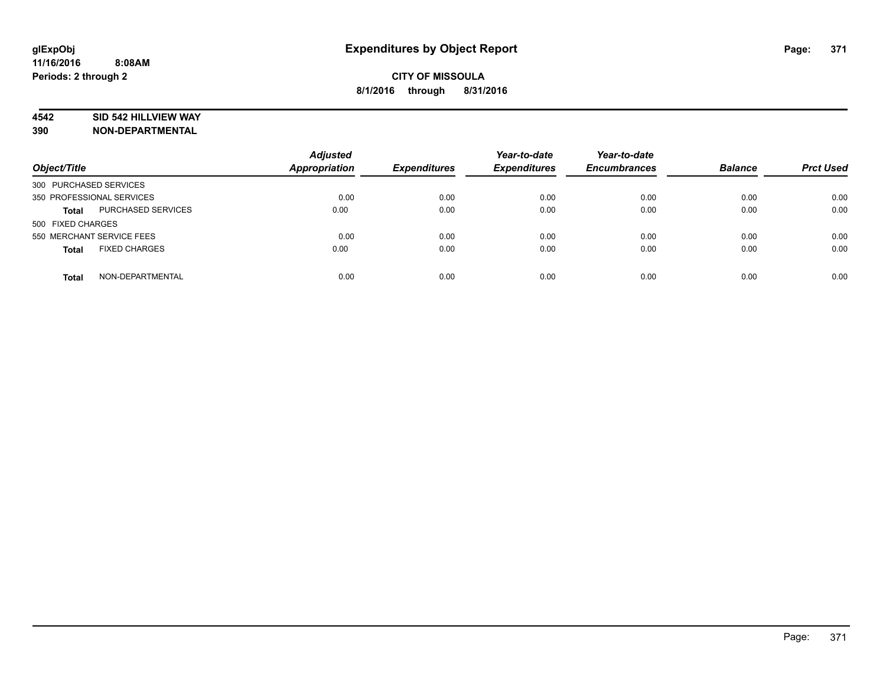# **4542 SID 542 HILLVIEW WAY**

| Object/Title                         | <b>Adjusted</b><br><b>Appropriation</b> | <b>Expenditures</b> | Year-to-date<br><b>Expenditures</b> | Year-to-date<br><b>Encumbrances</b> | <b>Balance</b> | <b>Prct Used</b> |
|--------------------------------------|-----------------------------------------|---------------------|-------------------------------------|-------------------------------------|----------------|------------------|
| 300 PURCHASED SERVICES               |                                         |                     |                                     |                                     |                |                  |
| 350 PROFESSIONAL SERVICES            | 0.00                                    | 0.00                | 0.00                                | 0.00                                | 0.00           | 0.00             |
| PURCHASED SERVICES<br><b>Total</b>   | 0.00                                    | 0.00                | 0.00                                | 0.00                                | 0.00           | 0.00             |
| 500 FIXED CHARGES                    |                                         |                     |                                     |                                     |                |                  |
| 550 MERCHANT SERVICE FEES            | 0.00                                    | 0.00                | 0.00                                | 0.00                                | 0.00           | 0.00             |
| <b>FIXED CHARGES</b><br><b>Total</b> | 0.00                                    | 0.00                | 0.00                                | 0.00                                | 0.00           | 0.00             |
|                                      |                                         |                     |                                     |                                     |                |                  |
| NON-DEPARTMENTAL<br><b>Total</b>     | 0.00                                    | 0.00                | 0.00                                | 0.00                                | 0.00           | 0.00             |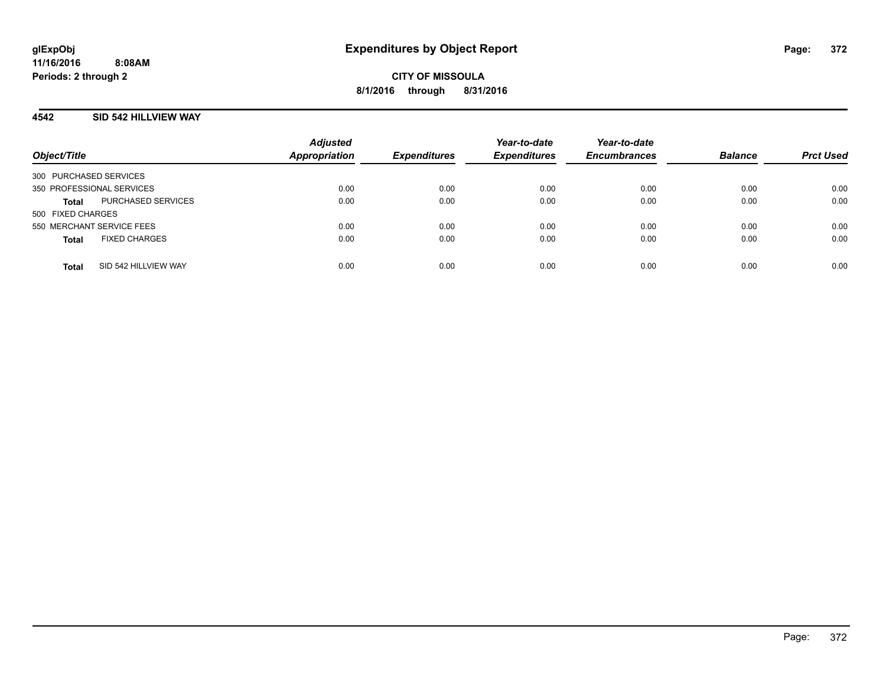# **4542 SID 542 HILLVIEW WAY**

| Object/Title                         | <b>Adjusted</b><br><b>Appropriation</b> | <b>Expenditures</b> | Year-to-date<br><b>Expenditures</b> | Year-to-date<br><b>Encumbrances</b> | <b>Balance</b> | <b>Prct Used</b> |
|--------------------------------------|-----------------------------------------|---------------------|-------------------------------------|-------------------------------------|----------------|------------------|
| 300 PURCHASED SERVICES               |                                         |                     |                                     |                                     |                |                  |
| 350 PROFESSIONAL SERVICES            | 0.00                                    | 0.00                | 0.00                                | 0.00                                | 0.00           | 0.00             |
| PURCHASED SERVICES<br>Total          | 0.00                                    | 0.00                | 0.00                                | 0.00                                | 0.00           | 0.00             |
| 500 FIXED CHARGES                    |                                         |                     |                                     |                                     |                |                  |
| 550 MERCHANT SERVICE FEES            | 0.00                                    | 0.00                | 0.00                                | 0.00                                | 0.00           | 0.00             |
| <b>FIXED CHARGES</b><br><b>Total</b> | 0.00                                    | 0.00                | 0.00                                | 0.00                                | 0.00           | 0.00             |
|                                      |                                         |                     |                                     |                                     |                |                  |
| SID 542 HILLVIEW WAY<br><b>Total</b> | 0.00                                    | 0.00                | 0.00                                | 0.00                                | 0.00           | 0.00             |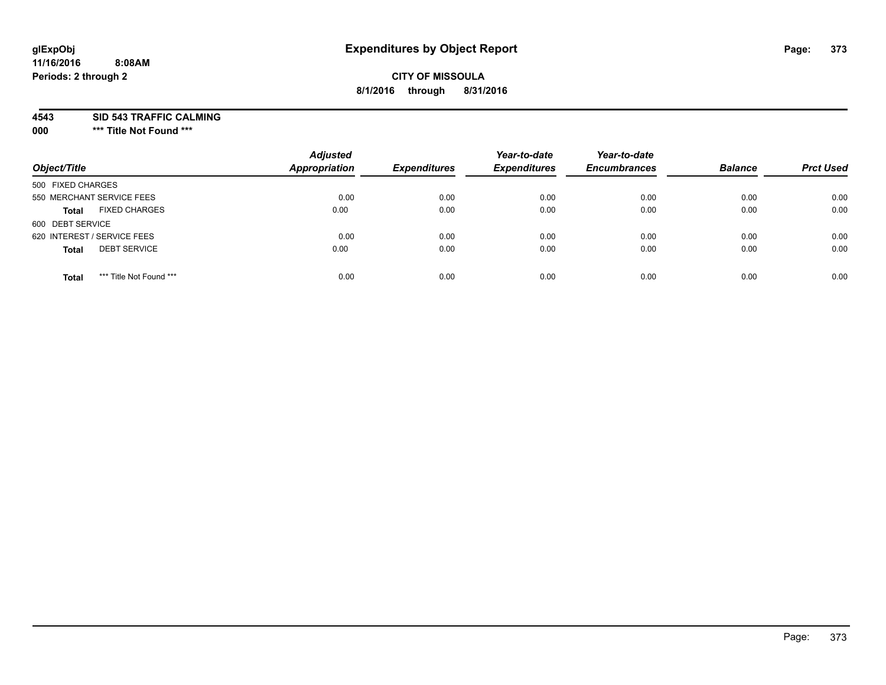# **CITY OF MISSOULA 8/1/2016 through 8/31/2016**

**4543 SID 543 TRAFFIC CALMING**

**000 \*\*\* Title Not Found \*\*\***

| Object/Title                            | <b>Adjusted</b><br><b>Appropriation</b> | <b>Expenditures</b> | Year-to-date<br><b>Expenditures</b> | Year-to-date<br><b>Encumbrances</b> | <b>Balance</b> | <b>Prct Used</b> |
|-----------------------------------------|-----------------------------------------|---------------------|-------------------------------------|-------------------------------------|----------------|------------------|
| 500 FIXED CHARGES                       |                                         |                     |                                     |                                     |                |                  |
| 550 MERCHANT SERVICE FEES               | 0.00                                    | 0.00                | 0.00                                | 0.00                                | 0.00           | 0.00             |
| <b>FIXED CHARGES</b><br><b>Total</b>    | 0.00                                    | 0.00                | 0.00                                | 0.00                                | 0.00           | 0.00             |
| 600 DEBT SERVICE                        |                                         |                     |                                     |                                     |                |                  |
| 620 INTEREST / SERVICE FEES             | 0.00                                    | 0.00                | 0.00                                | 0.00                                | 0.00           | 0.00             |
| <b>DEBT SERVICE</b><br><b>Total</b>     | 0.00                                    | 0.00                | 0.00                                | 0.00                                | 0.00           | 0.00             |
| *** Title Not Found ***<br><b>Total</b> | 0.00                                    | 0.00                | 0.00                                | 0.00                                | 0.00           | 0.00             |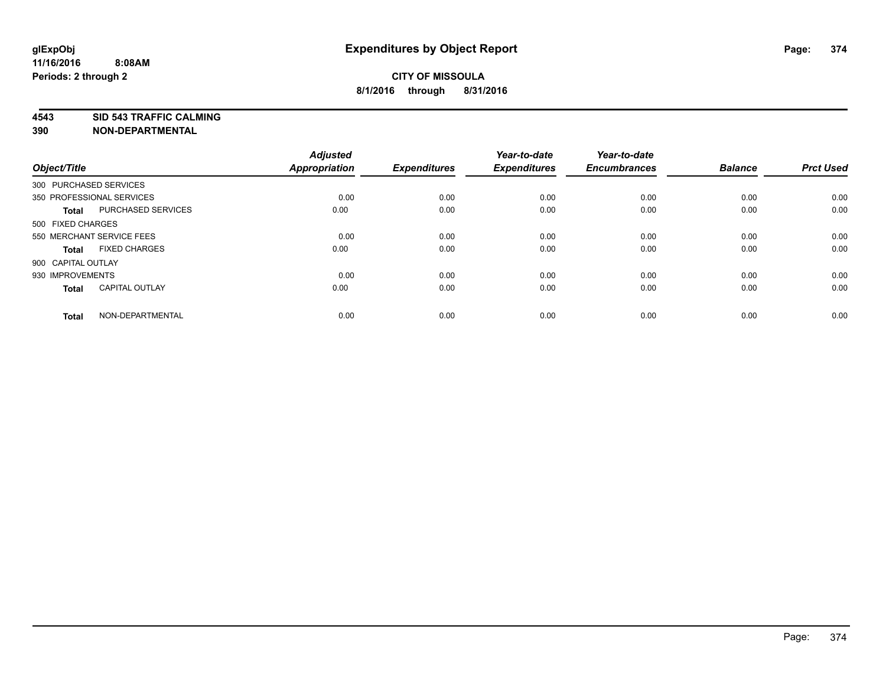**4543 SID 543 TRAFFIC CALMING**

| Object/Title           |                           | <b>Adjusted</b><br>Appropriation | <b>Expenditures</b> | Year-to-date<br><b>Expenditures</b> | Year-to-date<br><b>Encumbrances</b> | <b>Balance</b> | <b>Prct Used</b> |
|------------------------|---------------------------|----------------------------------|---------------------|-------------------------------------|-------------------------------------|----------------|------------------|
| 300 PURCHASED SERVICES |                           |                                  |                     |                                     |                                     |                |                  |
|                        | 350 PROFESSIONAL SERVICES | 0.00                             | 0.00                | 0.00                                | 0.00                                | 0.00           | 0.00             |
| <b>Total</b>           | PURCHASED SERVICES        | 0.00                             | 0.00                | 0.00                                | 0.00                                | 0.00           | 0.00             |
| 500 FIXED CHARGES      |                           |                                  |                     |                                     |                                     |                |                  |
|                        | 550 MERCHANT SERVICE FEES | 0.00                             | 0.00                | 0.00                                | 0.00                                | 0.00           | 0.00             |
| <b>Total</b>           | <b>FIXED CHARGES</b>      | 0.00                             | 0.00                | 0.00                                | 0.00                                | 0.00           | 0.00             |
| 900 CAPITAL OUTLAY     |                           |                                  |                     |                                     |                                     |                |                  |
| 930 IMPROVEMENTS       |                           | 0.00                             | 0.00                | 0.00                                | 0.00                                | 0.00           | 0.00             |
| <b>Total</b>           | <b>CAPITAL OUTLAY</b>     | 0.00                             | 0.00                | 0.00                                | 0.00                                | 0.00           | 0.00             |
| <b>Total</b>           | NON-DEPARTMENTAL          | 0.00                             | 0.00                | 0.00                                | 0.00                                | 0.00           | 0.00             |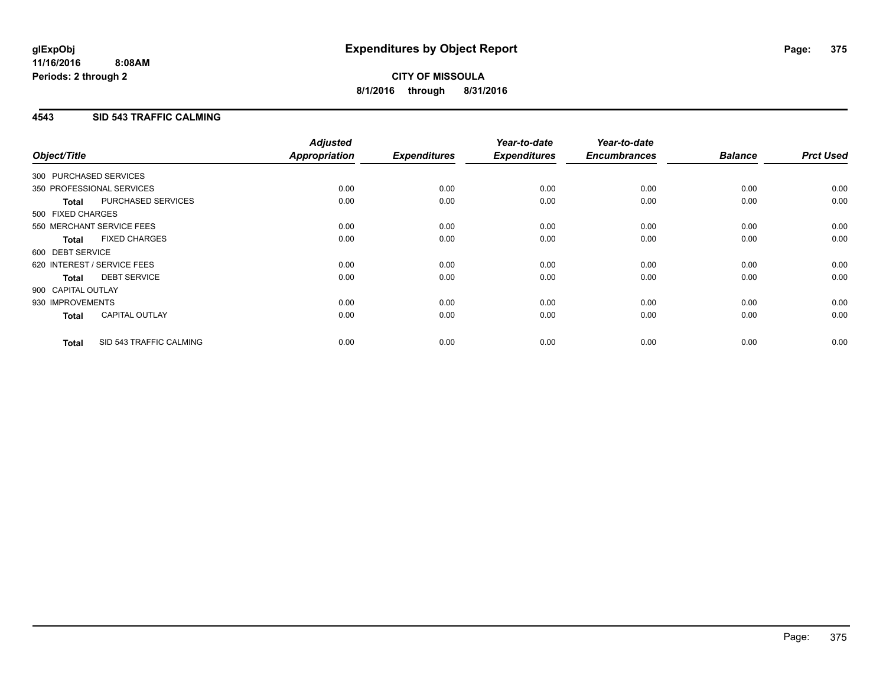# **4543 SID 543 TRAFFIC CALMING**

| Object/Title           |                             | <b>Adjusted</b><br>Appropriation | <b>Expenditures</b> | Year-to-date<br><b>Expenditures</b> | Year-to-date<br><b>Encumbrances</b> | <b>Balance</b> | <b>Prct Used</b> |
|------------------------|-----------------------------|----------------------------------|---------------------|-------------------------------------|-------------------------------------|----------------|------------------|
| 300 PURCHASED SERVICES |                             |                                  |                     |                                     |                                     |                |                  |
|                        | 350 PROFESSIONAL SERVICES   | 0.00                             | 0.00                | 0.00                                | 0.00                                | 0.00           | 0.00             |
| <b>Total</b>           | PURCHASED SERVICES          | 0.00                             | 0.00                | 0.00                                | 0.00                                | 0.00           | 0.00             |
| 500 FIXED CHARGES      |                             |                                  |                     |                                     |                                     |                |                  |
|                        | 550 MERCHANT SERVICE FEES   | 0.00                             | 0.00                | 0.00                                | 0.00                                | 0.00           | 0.00             |
| <b>Total</b>           | <b>FIXED CHARGES</b>        | 0.00                             | 0.00                | 0.00                                | 0.00                                | 0.00           | 0.00             |
| 600 DEBT SERVICE       |                             |                                  |                     |                                     |                                     |                |                  |
|                        | 620 INTEREST / SERVICE FEES | 0.00                             | 0.00                | 0.00                                | 0.00                                | 0.00           | 0.00             |
| Total                  | <b>DEBT SERVICE</b>         | 0.00                             | 0.00                | 0.00                                | 0.00                                | 0.00           | 0.00             |
| 900 CAPITAL OUTLAY     |                             |                                  |                     |                                     |                                     |                |                  |
| 930 IMPROVEMENTS       |                             | 0.00                             | 0.00                | 0.00                                | 0.00                                | 0.00           | 0.00             |
| <b>Total</b>           | <b>CAPITAL OUTLAY</b>       | 0.00                             | 0.00                | 0.00                                | 0.00                                | 0.00           | 0.00             |
| <b>Total</b>           | SID 543 TRAFFIC CALMING     | 0.00                             | 0.00                | 0.00                                | 0.00                                | 0.00           | 0.00             |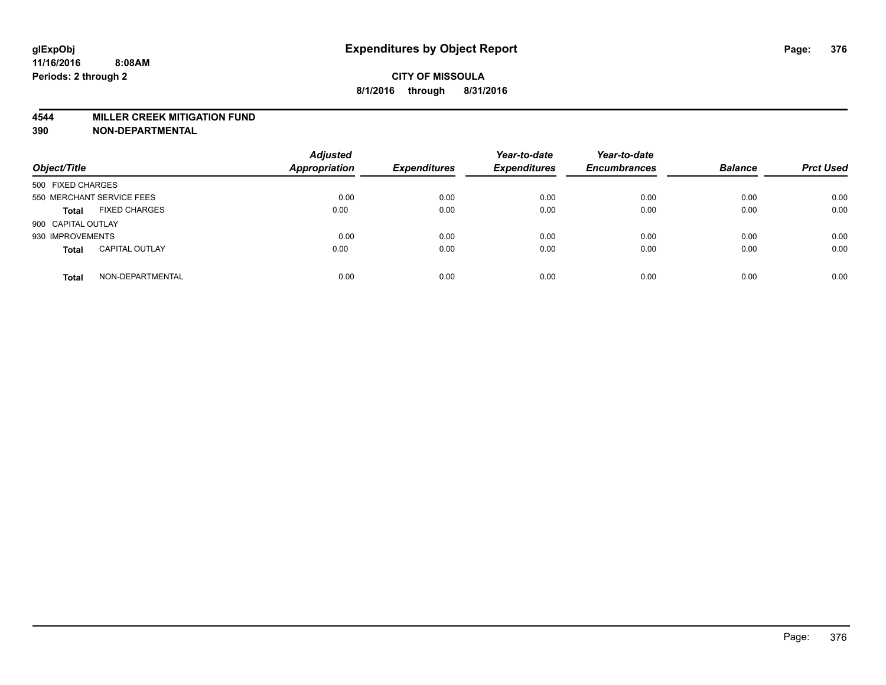#### **4544 MILLER CREEK MITIGATION FUND**

| Object/Title                          | <b>Adjusted</b><br>Appropriation | <b>Expenditures</b> | Year-to-date<br><b>Expenditures</b> | Year-to-date<br><b>Encumbrances</b> | <b>Balance</b> | <b>Prct Used</b> |
|---------------------------------------|----------------------------------|---------------------|-------------------------------------|-------------------------------------|----------------|------------------|
| 500 FIXED CHARGES                     |                                  |                     |                                     |                                     |                |                  |
| 550 MERCHANT SERVICE FEES             | 0.00                             | 0.00                | 0.00                                | 0.00                                | 0.00           | 0.00             |
| <b>FIXED CHARGES</b><br><b>Total</b>  | 0.00                             | 0.00                | 0.00                                | 0.00                                | 0.00           | 0.00             |
| 900 CAPITAL OUTLAY                    |                                  |                     |                                     |                                     |                |                  |
| 930 IMPROVEMENTS                      | 0.00                             | 0.00                | 0.00                                | 0.00                                | 0.00           | 0.00             |
| <b>CAPITAL OUTLAY</b><br><b>Total</b> | 0.00                             | 0.00                | 0.00                                | 0.00                                | 0.00           | 0.00             |
| NON-DEPARTMENTAL<br><b>Total</b>      | 0.00                             | 0.00                | 0.00                                | 0.00                                | 0.00           | 0.00             |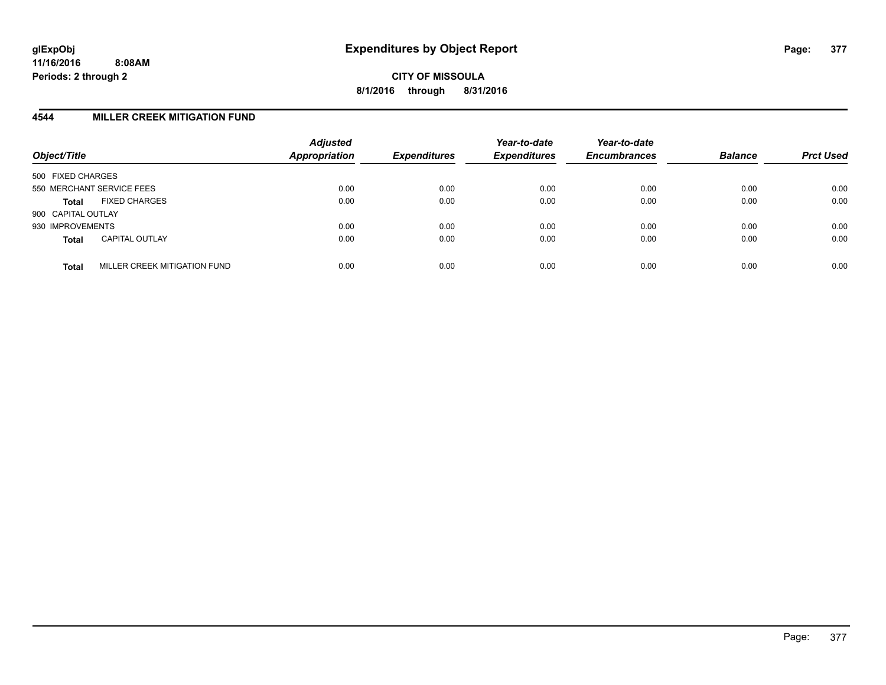# **4544 MILLER CREEK MITIGATION FUND**

| Object/Title       |                              | <b>Adjusted</b><br><b>Appropriation</b> | <b>Expenditures</b> | Year-to-date<br><b>Expenditures</b> | Year-to-date<br><b>Encumbrances</b> | <b>Balance</b> | <b>Prct Used</b> |
|--------------------|------------------------------|-----------------------------------------|---------------------|-------------------------------------|-------------------------------------|----------------|------------------|
| 500 FIXED CHARGES  |                              |                                         |                     |                                     |                                     |                |                  |
|                    | 550 MERCHANT SERVICE FEES    | 0.00                                    | 0.00                | 0.00                                | 0.00                                | 0.00           | 0.00             |
| <b>Total</b>       | <b>FIXED CHARGES</b>         | 0.00                                    | 0.00                | 0.00                                | 0.00                                | 0.00           | 0.00             |
| 900 CAPITAL OUTLAY |                              |                                         |                     |                                     |                                     |                |                  |
| 930 IMPROVEMENTS   |                              | 0.00                                    | 0.00                | 0.00                                | 0.00                                | 0.00           | 0.00             |
| <b>Total</b>       | <b>CAPITAL OUTLAY</b>        | 0.00                                    | 0.00                | 0.00                                | 0.00                                | 0.00           | 0.00             |
| <b>Total</b>       | MILLER CREEK MITIGATION FUND | 0.00                                    | 0.00                | 0.00                                | 0.00                                | 0.00           | 0.00             |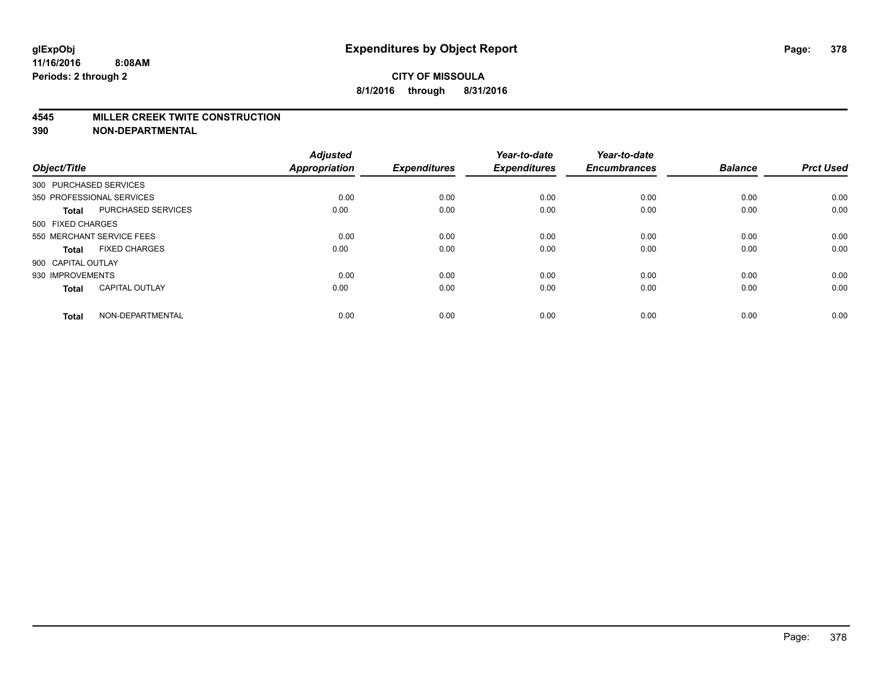#### **4545 MILLER CREEK TWITE CONSTRUCTION**

| Object/Title       |                           | <b>Adjusted</b><br>Appropriation | <b>Expenditures</b> | Year-to-date<br><b>Expenditures</b> | Year-to-date<br><b>Encumbrances</b> | <b>Balance</b> | <b>Prct Used</b> |
|--------------------|---------------------------|----------------------------------|---------------------|-------------------------------------|-------------------------------------|----------------|------------------|
|                    | 300 PURCHASED SERVICES    |                                  |                     |                                     |                                     |                |                  |
|                    | 350 PROFESSIONAL SERVICES | 0.00                             | 0.00                | 0.00                                | 0.00                                | 0.00           | 0.00             |
| <b>Total</b>       | PURCHASED SERVICES        | 0.00                             | 0.00                | 0.00                                | 0.00                                | 0.00           | 0.00             |
| 500 FIXED CHARGES  |                           |                                  |                     |                                     |                                     |                |                  |
|                    | 550 MERCHANT SERVICE FEES | 0.00                             | 0.00                | 0.00                                | 0.00                                | 0.00           | 0.00             |
| <b>Total</b>       | <b>FIXED CHARGES</b>      | 0.00                             | 0.00                | 0.00                                | 0.00                                | 0.00           | 0.00             |
| 900 CAPITAL OUTLAY |                           |                                  |                     |                                     |                                     |                |                  |
| 930 IMPROVEMENTS   |                           | 0.00                             | 0.00                | 0.00                                | 0.00                                | 0.00           | 0.00             |
| <b>Total</b>       | <b>CAPITAL OUTLAY</b>     | 0.00                             | 0.00                | 0.00                                | 0.00                                | 0.00           | 0.00             |
| <b>Total</b>       | NON-DEPARTMENTAL          | 0.00                             | 0.00                | 0.00                                | 0.00                                | 0.00           | 0.00             |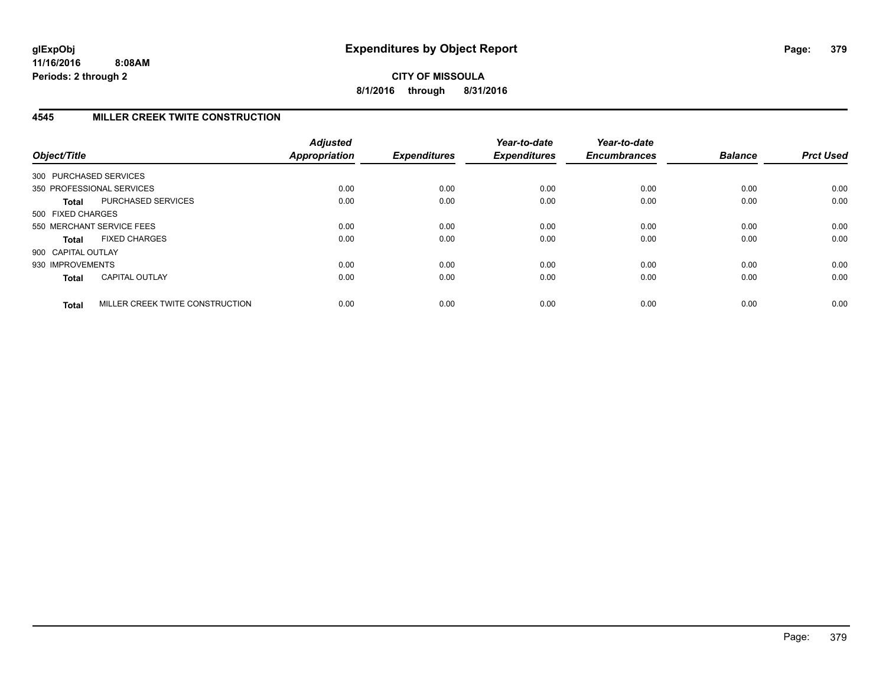**CITY OF MISSOULA 8/1/2016 through 8/31/2016**

# **4545 MILLER CREEK TWITE CONSTRUCTION**

| Object/Title       |                                 | <b>Adjusted</b><br><b>Appropriation</b> | <b>Expenditures</b> | Year-to-date<br><b>Expenditures</b> | Year-to-date<br><b>Encumbrances</b> | <b>Balance</b> | <b>Prct Used</b> |
|--------------------|---------------------------------|-----------------------------------------|---------------------|-------------------------------------|-------------------------------------|----------------|------------------|
|                    | 300 PURCHASED SERVICES          |                                         |                     |                                     |                                     |                |                  |
|                    | 350 PROFESSIONAL SERVICES       | 0.00                                    | 0.00                | 0.00                                | 0.00                                | 0.00           | 0.00             |
| <b>Total</b>       | PURCHASED SERVICES              | 0.00                                    | 0.00                | 0.00                                | 0.00                                | 0.00           | 0.00             |
| 500 FIXED CHARGES  |                                 |                                         |                     |                                     |                                     |                |                  |
|                    | 550 MERCHANT SERVICE FEES       | 0.00                                    | 0.00                | 0.00                                | 0.00                                | 0.00           | 0.00             |
| <b>Total</b>       | <b>FIXED CHARGES</b>            | 0.00                                    | 0.00                | 0.00                                | 0.00                                | 0.00           | 0.00             |
| 900 CAPITAL OUTLAY |                                 |                                         |                     |                                     |                                     |                |                  |
| 930 IMPROVEMENTS   |                                 | 0.00                                    | 0.00                | 0.00                                | 0.00                                | 0.00           | 0.00             |
| <b>Total</b>       | <b>CAPITAL OUTLAY</b>           | 0.00                                    | 0.00                | 0.00                                | 0.00                                | 0.00           | 0.00             |
| <b>Total</b>       | MILLER CREEK TWITE CONSTRUCTION | 0.00                                    | 0.00                | 0.00                                | 0.00                                | 0.00           | 0.00             |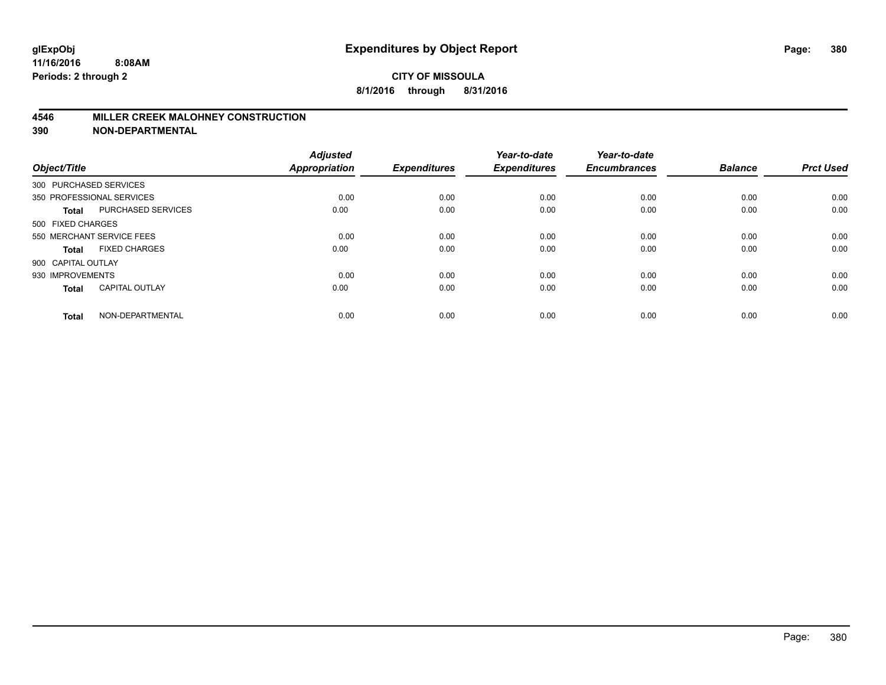#### **4546 MILLER CREEK MALOHNEY CONSTRUCTION**

| Object/Title           |                           | <b>Adjusted</b><br><b>Appropriation</b> | <b>Expenditures</b> | Year-to-date<br><b>Expenditures</b> | Year-to-date<br><b>Encumbrances</b> | <b>Balance</b> | <b>Prct Used</b> |
|------------------------|---------------------------|-----------------------------------------|---------------------|-------------------------------------|-------------------------------------|----------------|------------------|
| 300 PURCHASED SERVICES |                           |                                         |                     |                                     |                                     |                |                  |
|                        | 350 PROFESSIONAL SERVICES | 0.00                                    | 0.00                | 0.00                                | 0.00                                | 0.00           | 0.00             |
| <b>Total</b>           | <b>PURCHASED SERVICES</b> | 0.00                                    | 0.00                | 0.00                                | 0.00                                | 0.00           | 0.00             |
| 500 FIXED CHARGES      |                           |                                         |                     |                                     |                                     |                |                  |
|                        | 550 MERCHANT SERVICE FEES | 0.00                                    | 0.00                | 0.00                                | 0.00                                | 0.00           | 0.00             |
| Total                  | <b>FIXED CHARGES</b>      | 0.00                                    | 0.00                | 0.00                                | 0.00                                | 0.00           | 0.00             |
| 900 CAPITAL OUTLAY     |                           |                                         |                     |                                     |                                     |                |                  |
| 930 IMPROVEMENTS       |                           | 0.00                                    | 0.00                | 0.00                                | 0.00                                | 0.00           | 0.00             |
| Total                  | <b>CAPITAL OUTLAY</b>     | 0.00                                    | 0.00                | 0.00                                | 0.00                                | 0.00           | 0.00             |
| <b>Total</b>           | NON-DEPARTMENTAL          | 0.00                                    | 0.00                | 0.00                                | 0.00                                | 0.00           | 0.00             |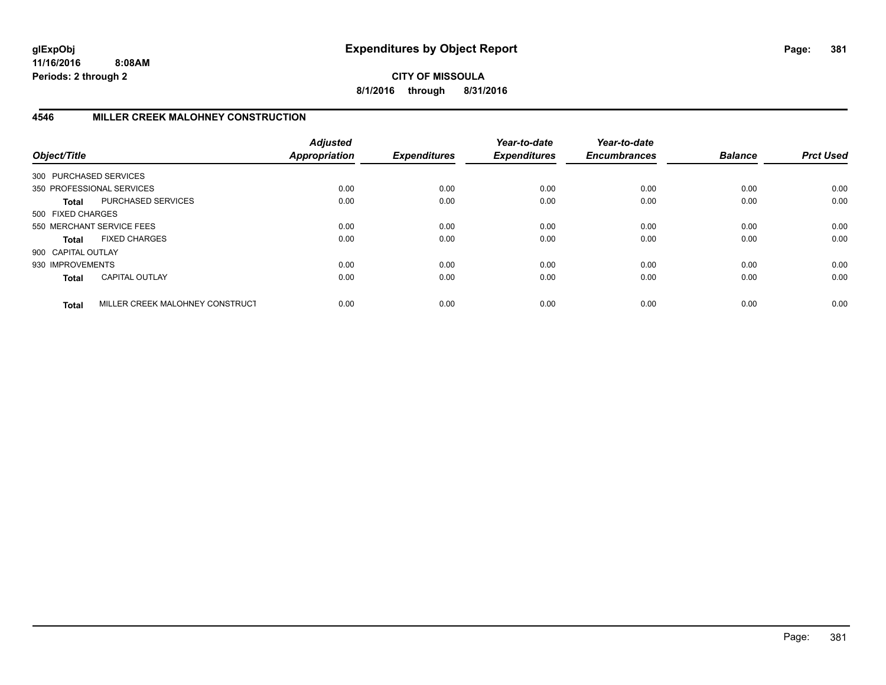# **CITY OF MISSOULA 8/1/2016 through 8/31/2016**

# **4546 MILLER CREEK MALOHNEY CONSTRUCTION**

| Object/Title           |                                 | <b>Adjusted</b><br><b>Appropriation</b> | <b>Expenditures</b> | Year-to-date<br><b>Expenditures</b> | Year-to-date<br><b>Encumbrances</b> | <b>Balance</b> | <b>Prct Used</b> |
|------------------------|---------------------------------|-----------------------------------------|---------------------|-------------------------------------|-------------------------------------|----------------|------------------|
| 300 PURCHASED SERVICES |                                 |                                         |                     |                                     |                                     |                |                  |
|                        | 350 PROFESSIONAL SERVICES       | 0.00                                    | 0.00                | 0.00                                | 0.00                                | 0.00           | 0.00             |
| Total                  | PURCHASED SERVICES              | 0.00                                    | 0.00                | 0.00                                | 0.00                                | 0.00           | 0.00             |
| 500 FIXED CHARGES      |                                 |                                         |                     |                                     |                                     |                |                  |
|                        | 550 MERCHANT SERVICE FEES       | 0.00                                    | 0.00                | 0.00                                | 0.00                                | 0.00           | 0.00             |
| Total                  | <b>FIXED CHARGES</b>            | 0.00                                    | 0.00                | 0.00                                | 0.00                                | 0.00           | 0.00             |
| 900 CAPITAL OUTLAY     |                                 |                                         |                     |                                     |                                     |                |                  |
| 930 IMPROVEMENTS       |                                 | 0.00                                    | 0.00                | 0.00                                | 0.00                                | 0.00           | 0.00             |
| <b>Total</b>           | <b>CAPITAL OUTLAY</b>           | 0.00                                    | 0.00                | 0.00                                | 0.00                                | 0.00           | 0.00             |
| <b>Total</b>           | MILLER CREEK MALOHNEY CONSTRUCT | 0.00                                    | 0.00                | 0.00                                | 0.00                                | 0.00           | 0.00             |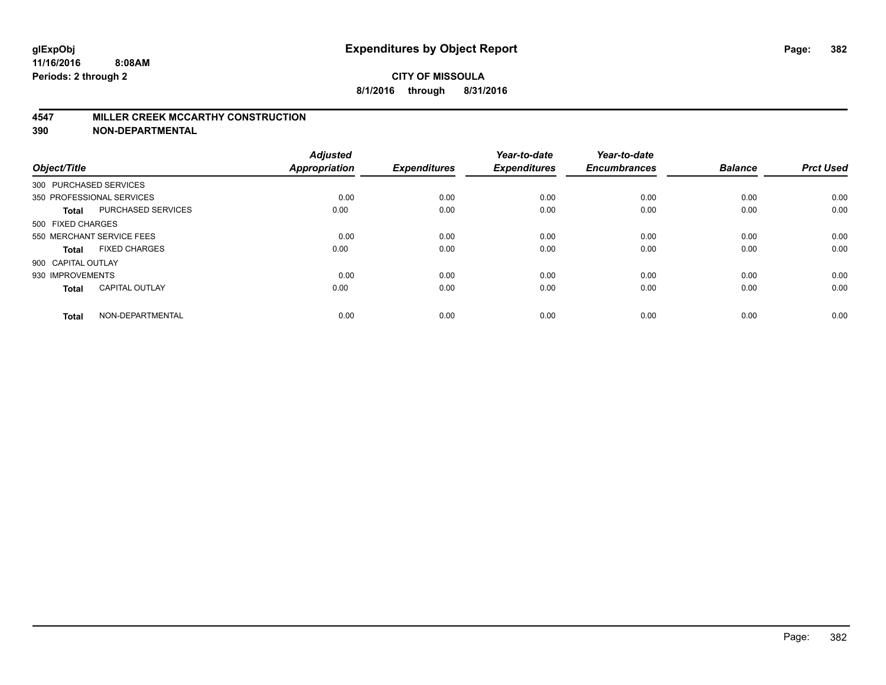#### **4547 MILLER CREEK MCCARTHY CONSTRUCTION**

| Object/Title       |                           | <b>Adjusted</b><br><b>Appropriation</b> | <b>Expenditures</b> | Year-to-date<br><b>Expenditures</b> | Year-to-date<br><b>Encumbrances</b> | <b>Balance</b> | <b>Prct Used</b> |
|--------------------|---------------------------|-----------------------------------------|---------------------|-------------------------------------|-------------------------------------|----------------|------------------|
|                    | 300 PURCHASED SERVICES    |                                         |                     |                                     |                                     |                |                  |
|                    | 350 PROFESSIONAL SERVICES | 0.00                                    | 0.00                | 0.00                                | 0.00                                | 0.00           | 0.00             |
| <b>Total</b>       | <b>PURCHASED SERVICES</b> | 0.00                                    | 0.00                | 0.00                                | 0.00                                | 0.00           | 0.00             |
| 500 FIXED CHARGES  |                           |                                         |                     |                                     |                                     |                |                  |
|                    | 550 MERCHANT SERVICE FEES | 0.00                                    | 0.00                | 0.00                                | 0.00                                | 0.00           | 0.00             |
| Total              | <b>FIXED CHARGES</b>      | 0.00                                    | 0.00                | 0.00                                | 0.00                                | 0.00           | 0.00             |
| 900 CAPITAL OUTLAY |                           |                                         |                     |                                     |                                     |                |                  |
| 930 IMPROVEMENTS   |                           | 0.00                                    | 0.00                | 0.00                                | 0.00                                | 0.00           | 0.00             |
| Total              | <b>CAPITAL OUTLAY</b>     | 0.00                                    | 0.00                | 0.00                                | 0.00                                | 0.00           | 0.00             |
| <b>Total</b>       | NON-DEPARTMENTAL          | 0.00                                    | 0.00                | 0.00                                | 0.00                                | 0.00           | 0.00             |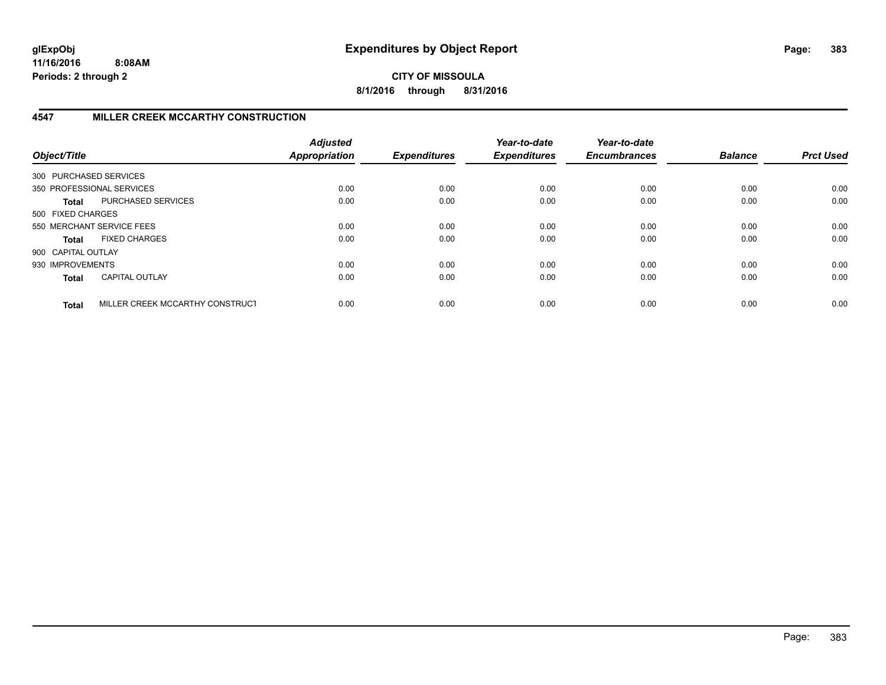**CITY OF MISSOULA 8/1/2016 through 8/31/2016**

# **4547 MILLER CREEK MCCARTHY CONSTRUCTION**

| Object/Title           |                                 | <b>Adjusted</b><br><b>Appropriation</b> | <b>Expenditures</b> | Year-to-date<br><b>Expenditures</b> | Year-to-date<br><b>Encumbrances</b> | <b>Balance</b> | <b>Prct Used</b> |
|------------------------|---------------------------------|-----------------------------------------|---------------------|-------------------------------------|-------------------------------------|----------------|------------------|
| 300 PURCHASED SERVICES |                                 |                                         |                     |                                     |                                     |                |                  |
|                        | 350 PROFESSIONAL SERVICES       | 0.00                                    | 0.00                | 0.00                                | 0.00                                | 0.00           | 0.00             |
| Total                  | PURCHASED SERVICES              | 0.00                                    | 0.00                | 0.00                                | 0.00                                | 0.00           | 0.00             |
| 500 FIXED CHARGES      |                                 |                                         |                     |                                     |                                     |                |                  |
|                        | 550 MERCHANT SERVICE FEES       | 0.00                                    | 0.00                | 0.00                                | 0.00                                | 0.00           | 0.00             |
| Total                  | <b>FIXED CHARGES</b>            | 0.00                                    | 0.00                | 0.00                                | 0.00                                | 0.00           | 0.00             |
| 900 CAPITAL OUTLAY     |                                 |                                         |                     |                                     |                                     |                |                  |
| 930 IMPROVEMENTS       |                                 | 0.00                                    | 0.00                | 0.00                                | 0.00                                | 0.00           | 0.00             |
| <b>Total</b>           | <b>CAPITAL OUTLAY</b>           | 0.00                                    | 0.00                | 0.00                                | 0.00                                | 0.00           | 0.00             |
| <b>Total</b>           | MILLER CREEK MCCARTHY CONSTRUCT | 0.00                                    | 0.00                | 0.00                                | 0.00                                | 0.00           | 0.00             |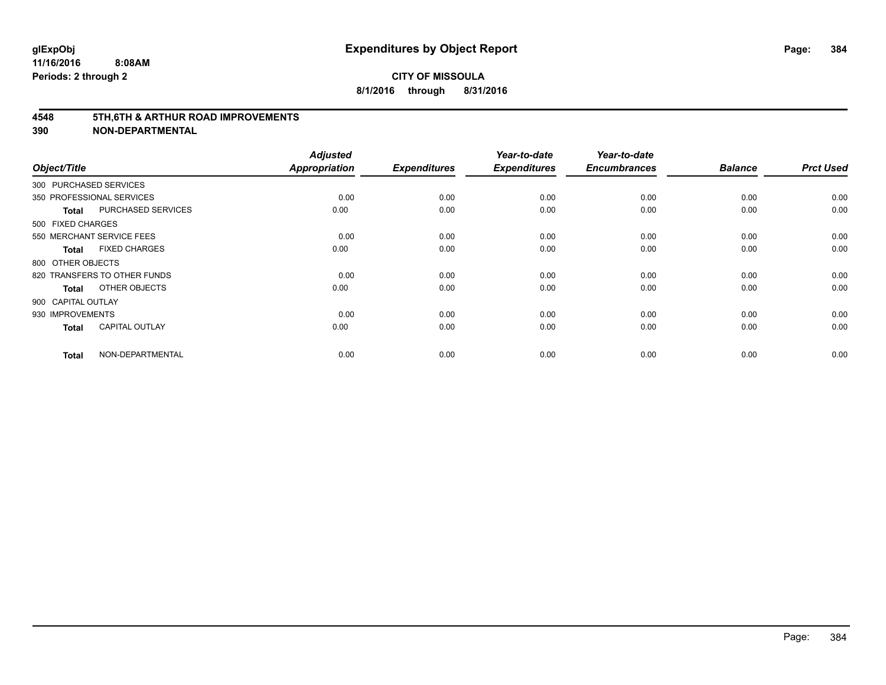#### **4548 5TH,6TH & ARTHUR ROAD IMPROVEMENTS**

| Object/Title           |                              | <b>Adjusted</b><br><b>Appropriation</b> | <b>Expenditures</b> | Year-to-date<br><b>Expenditures</b> | Year-to-date<br><b>Encumbrances</b> | <b>Balance</b> | <b>Prct Used</b> |
|------------------------|------------------------------|-----------------------------------------|---------------------|-------------------------------------|-------------------------------------|----------------|------------------|
| 300 PURCHASED SERVICES |                              |                                         |                     |                                     |                                     |                |                  |
|                        | 350 PROFESSIONAL SERVICES    | 0.00                                    | 0.00                | 0.00                                | 0.00                                | 0.00           | 0.00             |
| <b>Total</b>           | <b>PURCHASED SERVICES</b>    | 0.00                                    | 0.00                | 0.00                                | 0.00                                | 0.00           | 0.00             |
| 500 FIXED CHARGES      |                              |                                         |                     |                                     |                                     |                |                  |
|                        | 550 MERCHANT SERVICE FEES    | 0.00                                    | 0.00                | 0.00                                | 0.00                                | 0.00           | 0.00             |
| <b>Total</b>           | <b>FIXED CHARGES</b>         | 0.00                                    | 0.00                | 0.00                                | 0.00                                | 0.00           | 0.00             |
| 800 OTHER OBJECTS      |                              |                                         |                     |                                     |                                     |                |                  |
|                        | 820 TRANSFERS TO OTHER FUNDS | 0.00                                    | 0.00                | 0.00                                | 0.00                                | 0.00           | 0.00             |
| <b>Total</b>           | OTHER OBJECTS                | 0.00                                    | 0.00                | 0.00                                | 0.00                                | 0.00           | 0.00             |
| 900 CAPITAL OUTLAY     |                              |                                         |                     |                                     |                                     |                |                  |
| 930 IMPROVEMENTS       |                              | 0.00                                    | 0.00                | 0.00                                | 0.00                                | 0.00           | 0.00             |
| <b>Total</b>           | <b>CAPITAL OUTLAY</b>        | 0.00                                    | 0.00                | 0.00                                | 0.00                                | 0.00           | 0.00             |
| <b>Total</b>           | NON-DEPARTMENTAL             | 0.00                                    | 0.00                | 0.00                                | 0.00                                | 0.00           | 0.00             |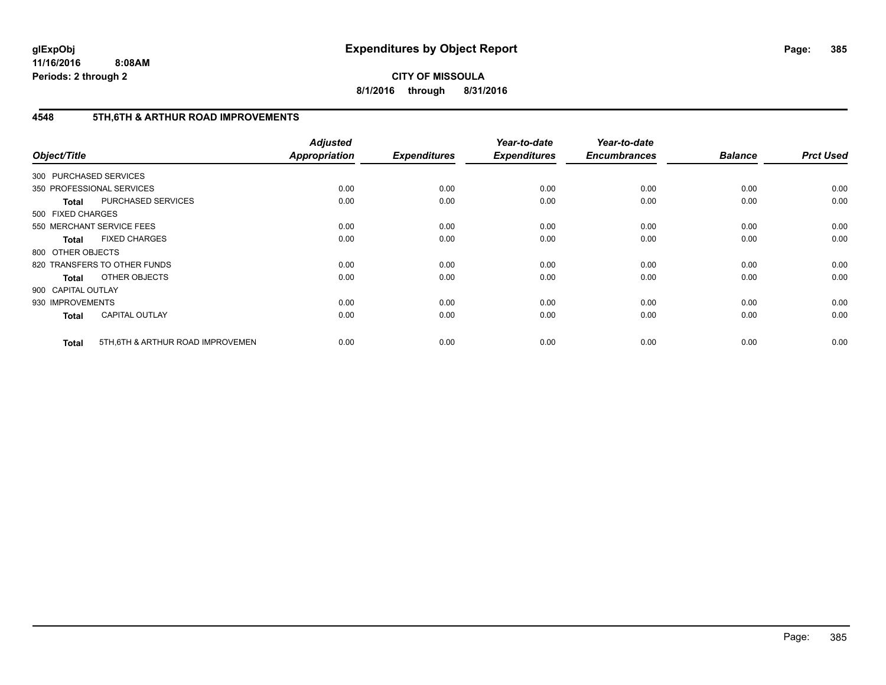**CITY OF MISSOULA 8/1/2016 through 8/31/2016**

# **4548 5TH,6TH & ARTHUR ROAD IMPROVEMENTS**

| Object/Title           |                                   | <b>Adjusted</b><br>Appropriation | <b>Expenditures</b> | Year-to-date<br><b>Expenditures</b> | Year-to-date<br><b>Encumbrances</b> | <b>Balance</b> | <b>Prct Used</b> |
|------------------------|-----------------------------------|----------------------------------|---------------------|-------------------------------------|-------------------------------------|----------------|------------------|
| 300 PURCHASED SERVICES |                                   |                                  |                     |                                     |                                     |                |                  |
|                        | 350 PROFESSIONAL SERVICES         | 0.00                             | 0.00                | 0.00                                | 0.00                                | 0.00           | 0.00             |
| <b>Total</b>           | PURCHASED SERVICES                | 0.00                             | 0.00                | 0.00                                | 0.00                                | 0.00           | 0.00             |
| 500 FIXED CHARGES      |                                   |                                  |                     |                                     |                                     |                |                  |
|                        | 550 MERCHANT SERVICE FEES         | 0.00                             | 0.00                | 0.00                                | 0.00                                | 0.00           | 0.00             |
| <b>Total</b>           | <b>FIXED CHARGES</b>              | 0.00                             | 0.00                | 0.00                                | 0.00                                | 0.00           | 0.00             |
| 800 OTHER OBJECTS      |                                   |                                  |                     |                                     |                                     |                |                  |
|                        | 820 TRANSFERS TO OTHER FUNDS      | 0.00                             | 0.00                | 0.00                                | 0.00                                | 0.00           | 0.00             |
| <b>Total</b>           | OTHER OBJECTS                     | 0.00                             | 0.00                | 0.00                                | 0.00                                | 0.00           | 0.00             |
| 900 CAPITAL OUTLAY     |                                   |                                  |                     |                                     |                                     |                |                  |
| 930 IMPROVEMENTS       |                                   | 0.00                             | 0.00                | 0.00                                | 0.00                                | 0.00           | 0.00             |
| <b>Total</b>           | <b>CAPITAL OUTLAY</b>             | 0.00                             | 0.00                | 0.00                                | 0.00                                | 0.00           | 0.00             |
| <b>Total</b>           | 5TH, 6TH & ARTHUR ROAD IMPROVEMEN | 0.00                             | 0.00                | 0.00                                | 0.00                                | 0.00           | 0.00             |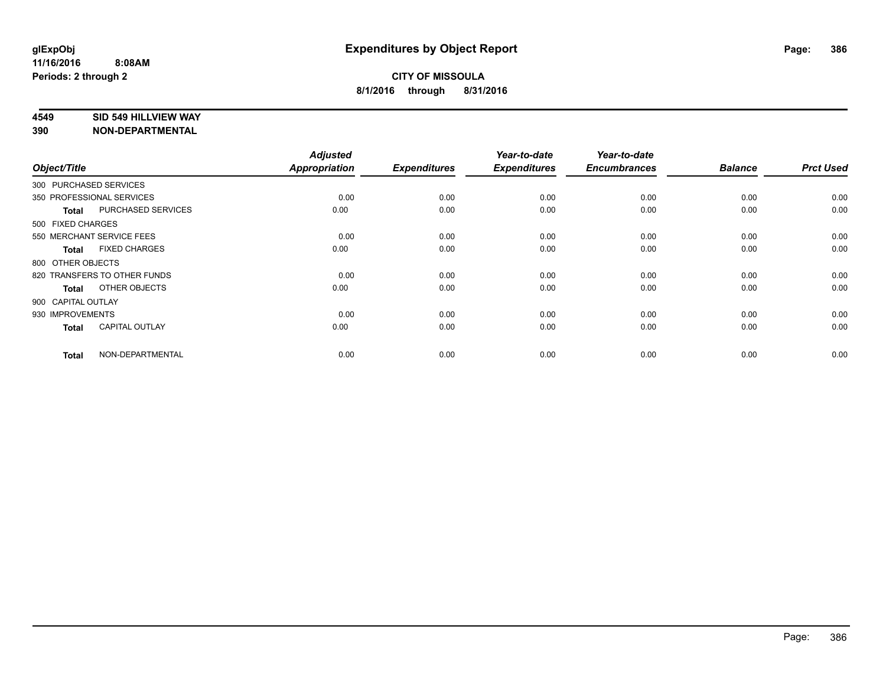#### **4549 SID 549 HILLVIEW WAY**

|                        |                              | <b>Adjusted</b> |                     | Year-to-date        | Year-to-date        |                |                  |
|------------------------|------------------------------|-----------------|---------------------|---------------------|---------------------|----------------|------------------|
| Object/Title           |                              | Appropriation   | <b>Expenditures</b> | <b>Expenditures</b> | <b>Encumbrances</b> | <b>Balance</b> | <b>Prct Used</b> |
| 300 PURCHASED SERVICES |                              |                 |                     |                     |                     |                |                  |
|                        | 350 PROFESSIONAL SERVICES    | 0.00            | 0.00                | 0.00                | 0.00                | 0.00           | 0.00             |
| <b>Total</b>           | <b>PURCHASED SERVICES</b>    | 0.00            | 0.00                | 0.00                | 0.00                | 0.00           | 0.00             |
| 500 FIXED CHARGES      |                              |                 |                     |                     |                     |                |                  |
|                        | 550 MERCHANT SERVICE FEES    | 0.00            | 0.00                | 0.00                | 0.00                | 0.00           | 0.00             |
| <b>Total</b>           | <b>FIXED CHARGES</b>         | 0.00            | 0.00                | 0.00                | 0.00                | 0.00           | 0.00             |
| 800 OTHER OBJECTS      |                              |                 |                     |                     |                     |                |                  |
|                        | 820 TRANSFERS TO OTHER FUNDS | 0.00            | 0.00                | 0.00                | 0.00                | 0.00           | 0.00             |
| <b>Total</b>           | OTHER OBJECTS                | 0.00            | 0.00                | 0.00                | 0.00                | 0.00           | 0.00             |
| 900 CAPITAL OUTLAY     |                              |                 |                     |                     |                     |                |                  |
| 930 IMPROVEMENTS       |                              | 0.00            | 0.00                | 0.00                | 0.00                | 0.00           | 0.00             |
| <b>Total</b>           | <b>CAPITAL OUTLAY</b>        | 0.00            | 0.00                | 0.00                | 0.00                | 0.00           | 0.00             |
| <b>Total</b>           | NON-DEPARTMENTAL             | 0.00            | 0.00                | 0.00                | 0.00                | 0.00           | 0.00             |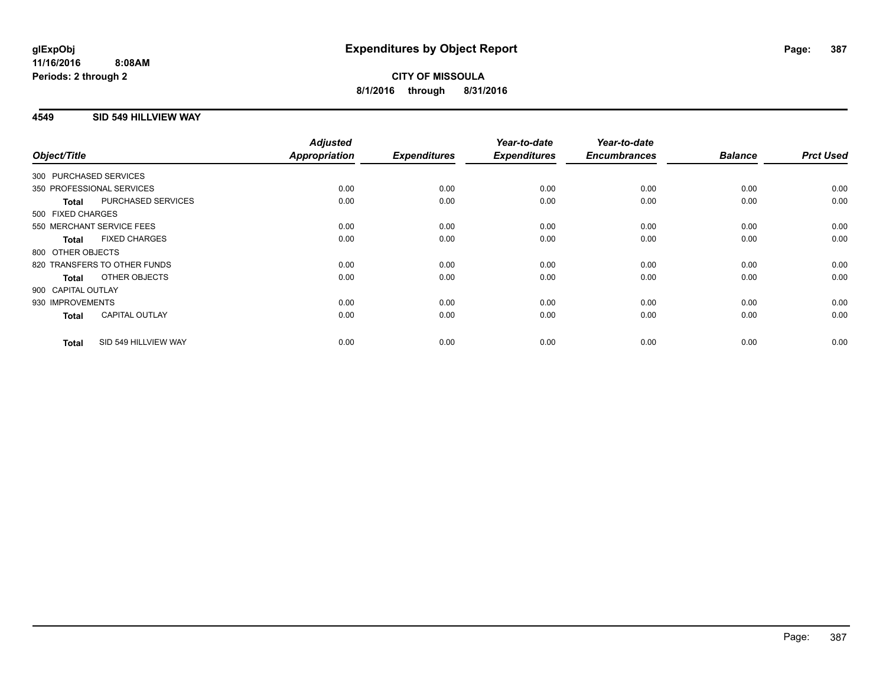# **4549 SID 549 HILLVIEW WAY**

| Object/Title     |                              | <b>Adjusted</b><br><b>Appropriation</b> | <b>Expenditures</b> | Year-to-date<br><b>Expenditures</b> | Year-to-date<br><b>Encumbrances</b> | <b>Balance</b> | <b>Prct Used</b> |
|------------------|------------------------------|-----------------------------------------|---------------------|-------------------------------------|-------------------------------------|----------------|------------------|
|                  | 300 PURCHASED SERVICES       |                                         |                     |                                     |                                     |                |                  |
|                  |                              |                                         |                     |                                     |                                     |                |                  |
|                  | 350 PROFESSIONAL SERVICES    | 0.00                                    | 0.00                | 0.00                                | 0.00                                | 0.00           | 0.00             |
| <b>Total</b>     | PURCHASED SERVICES           | 0.00                                    | 0.00                | 0.00                                | 0.00                                | 0.00           | 0.00             |
|                  | 500 FIXED CHARGES            |                                         |                     |                                     |                                     |                |                  |
|                  | 550 MERCHANT SERVICE FEES    | 0.00                                    | 0.00                | 0.00                                | 0.00                                | 0.00           | 0.00             |
| <b>Total</b>     | <b>FIXED CHARGES</b>         | 0.00                                    | 0.00                | 0.00                                | 0.00                                | 0.00           | 0.00             |
|                  | 800 OTHER OBJECTS            |                                         |                     |                                     |                                     |                |                  |
|                  | 820 TRANSFERS TO OTHER FUNDS | 0.00                                    | 0.00                | 0.00                                | 0.00                                | 0.00           | 0.00             |
| <b>Total</b>     | OTHER OBJECTS                | 0.00                                    | 0.00                | 0.00                                | 0.00                                | 0.00           | 0.00             |
|                  | 900 CAPITAL OUTLAY           |                                         |                     |                                     |                                     |                |                  |
| 930 IMPROVEMENTS |                              | 0.00                                    | 0.00                | 0.00                                | 0.00                                | 0.00           | 0.00             |
| <b>Total</b>     | <b>CAPITAL OUTLAY</b>        | 0.00                                    | 0.00                | 0.00                                | 0.00                                | 0.00           | 0.00             |
| <b>Total</b>     | SID 549 HILLVIEW WAY         | 0.00                                    | 0.00                | 0.00                                | 0.00                                | 0.00           | 0.00             |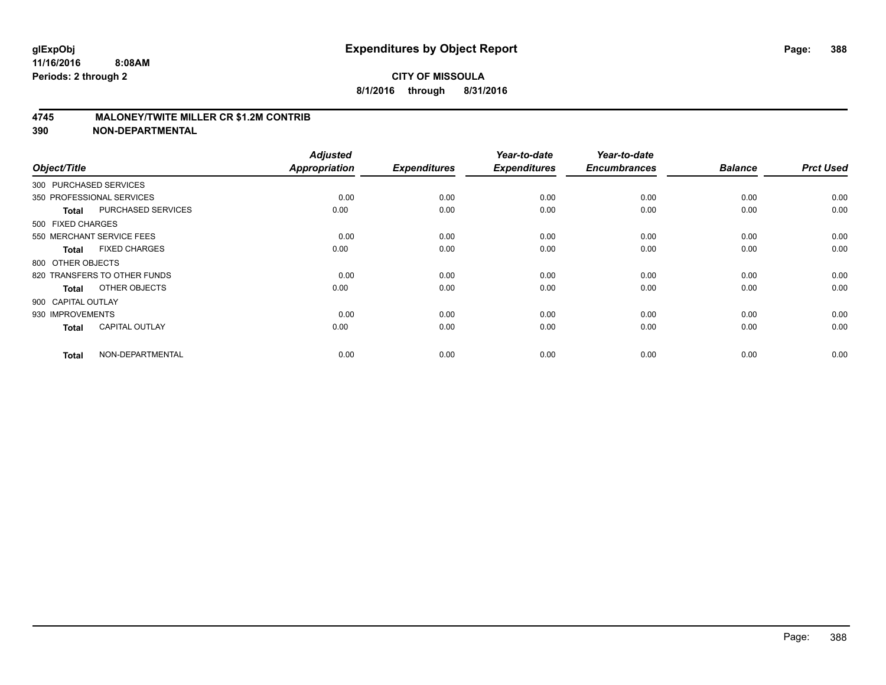### **4745 MALONEY/TWITE MILLER CR \$1.2M CONTRIB**

| Object/Title           |                              | <b>Adjusted</b><br><b>Appropriation</b> | <b>Expenditures</b> | Year-to-date<br><b>Expenditures</b> | Year-to-date<br><b>Encumbrances</b> | <b>Balance</b> | <b>Prct Used</b> |
|------------------------|------------------------------|-----------------------------------------|---------------------|-------------------------------------|-------------------------------------|----------------|------------------|
| 300 PURCHASED SERVICES |                              |                                         |                     |                                     |                                     |                |                  |
|                        | 350 PROFESSIONAL SERVICES    | 0.00                                    | 0.00                | 0.00                                | 0.00                                | 0.00           | 0.00             |
| <b>Total</b>           | PURCHASED SERVICES           | 0.00                                    | 0.00                | 0.00                                | 0.00                                | 0.00           | 0.00             |
| 500 FIXED CHARGES      |                              |                                         |                     |                                     |                                     |                |                  |
|                        | 550 MERCHANT SERVICE FEES    | 0.00                                    | 0.00                | 0.00                                | 0.00                                | 0.00           | 0.00             |
| <b>Total</b>           | <b>FIXED CHARGES</b>         | 0.00                                    | 0.00                | 0.00                                | 0.00                                | 0.00           | 0.00             |
| 800 OTHER OBJECTS      |                              |                                         |                     |                                     |                                     |                |                  |
|                        | 820 TRANSFERS TO OTHER FUNDS | 0.00                                    | 0.00                | 0.00                                | 0.00                                | 0.00           | 0.00             |
| <b>Total</b>           | OTHER OBJECTS                | 0.00                                    | 0.00                | 0.00                                | 0.00                                | 0.00           | 0.00             |
| 900 CAPITAL OUTLAY     |                              |                                         |                     |                                     |                                     |                |                  |
| 930 IMPROVEMENTS       |                              | 0.00                                    | 0.00                | 0.00                                | 0.00                                | 0.00           | 0.00             |
| <b>Total</b>           | <b>CAPITAL OUTLAY</b>        | 0.00                                    | 0.00                | 0.00                                | 0.00                                | 0.00           | 0.00             |
| <b>Total</b>           | NON-DEPARTMENTAL             | 0.00                                    | 0.00                | 0.00                                | 0.00                                | 0.00           | 0.00             |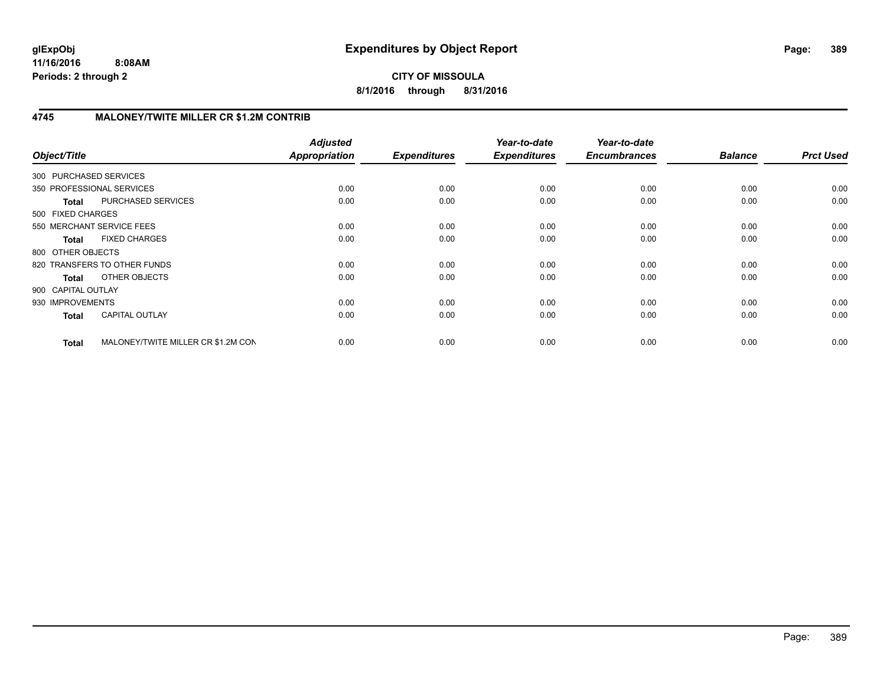**CITY OF MISSOULA 8/1/2016 through 8/31/2016**

# **4745 MALONEY/TWITE MILLER CR \$1.2M CONTRIB**

| Object/Title                 |                                    | <b>Adjusted</b><br><b>Appropriation</b> | <b>Expenditures</b> | Year-to-date<br><b>Expenditures</b> | Year-to-date<br><b>Encumbrances</b> | <b>Balance</b> | <b>Prct Used</b> |
|------------------------------|------------------------------------|-----------------------------------------|---------------------|-------------------------------------|-------------------------------------|----------------|------------------|
| 300 PURCHASED SERVICES       |                                    |                                         |                     |                                     |                                     |                |                  |
| 350 PROFESSIONAL SERVICES    |                                    | 0.00                                    | 0.00                | 0.00                                | 0.00                                | 0.00           | 0.00             |
| <b>Total</b>                 | PURCHASED SERVICES                 | 0.00                                    | 0.00                | 0.00                                | 0.00                                | 0.00           | 0.00             |
| 500 FIXED CHARGES            |                                    |                                         |                     |                                     |                                     |                |                  |
| 550 MERCHANT SERVICE FEES    |                                    | 0.00                                    | 0.00                | 0.00                                | 0.00                                | 0.00           | 0.00             |
| <b>Total</b>                 | <b>FIXED CHARGES</b>               | 0.00                                    | 0.00                | 0.00                                | 0.00                                | 0.00           | 0.00             |
| 800 OTHER OBJECTS            |                                    |                                         |                     |                                     |                                     |                |                  |
| 820 TRANSFERS TO OTHER FUNDS |                                    | 0.00                                    | 0.00                | 0.00                                | 0.00                                | 0.00           | 0.00             |
| Total                        | OTHER OBJECTS                      | 0.00                                    | 0.00                | 0.00                                | 0.00                                | 0.00           | 0.00             |
| 900 CAPITAL OUTLAY           |                                    |                                         |                     |                                     |                                     |                |                  |
| 930 IMPROVEMENTS             |                                    | 0.00                                    | 0.00                | 0.00                                | 0.00                                | 0.00           | 0.00             |
| <b>Total</b>                 | <b>CAPITAL OUTLAY</b>              | 0.00                                    | 0.00                | 0.00                                | 0.00                                | 0.00           | 0.00             |
| <b>Total</b>                 | MALONEY/TWITE MILLER CR \$1.2M CON | 0.00                                    | 0.00                | 0.00                                | 0.00                                | 0.00           | 0.00             |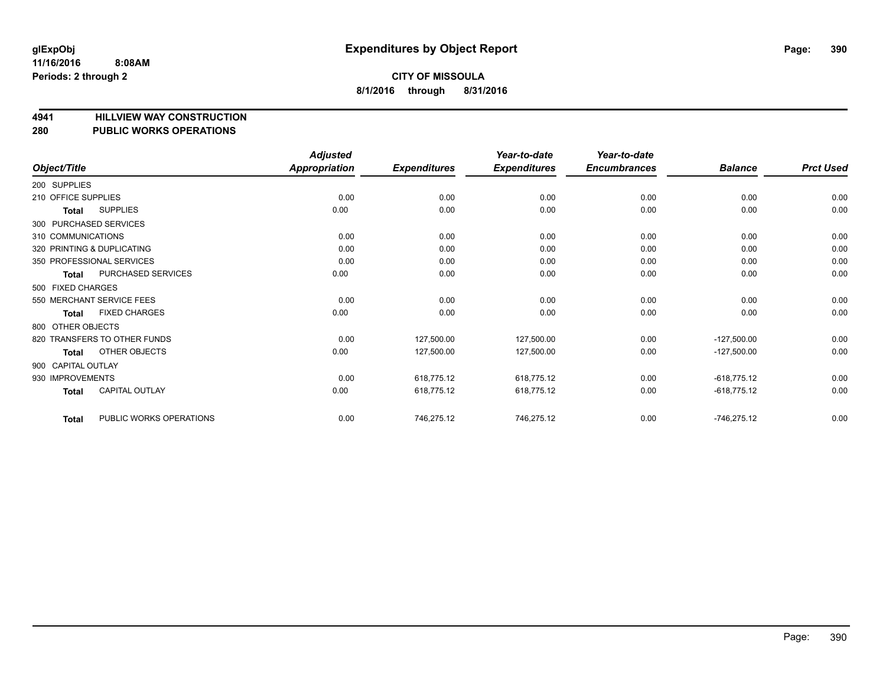**4941 HILLVIEW WAY CONSTRUCTION**

# **280 PUBLIC WORKS OPERATIONS**

|                                         | <b>Adjusted</b>      |                     | Year-to-date        | Year-to-date        |                |                  |
|-----------------------------------------|----------------------|---------------------|---------------------|---------------------|----------------|------------------|
| Object/Title                            | <b>Appropriation</b> | <b>Expenditures</b> | <b>Expenditures</b> | <b>Encumbrances</b> | <b>Balance</b> | <b>Prct Used</b> |
| 200 SUPPLIES                            |                      |                     |                     |                     |                |                  |
| 210 OFFICE SUPPLIES                     | 0.00                 | 0.00                | 0.00                | 0.00                | 0.00           | 0.00             |
| <b>SUPPLIES</b><br>Total                | 0.00                 | 0.00                | 0.00                | 0.00                | 0.00           | 0.00             |
| 300 PURCHASED SERVICES                  |                      |                     |                     |                     |                |                  |
| 310 COMMUNICATIONS                      | 0.00                 | 0.00                | 0.00                | 0.00                | 0.00           | 0.00             |
| 320 PRINTING & DUPLICATING              | 0.00                 | 0.00                | 0.00                | 0.00                | 0.00           | 0.00             |
| 350 PROFESSIONAL SERVICES               | 0.00                 | 0.00                | 0.00                | 0.00                | 0.00           | 0.00             |
| PURCHASED SERVICES<br>Total             | 0.00                 | 0.00                | 0.00                | 0.00                | 0.00           | 0.00             |
| 500 FIXED CHARGES                       |                      |                     |                     |                     |                |                  |
| 550 MERCHANT SERVICE FEES               | 0.00                 | 0.00                | 0.00                | 0.00                | 0.00           | 0.00             |
| <b>FIXED CHARGES</b><br>Total           | 0.00                 | 0.00                | 0.00                | 0.00                | 0.00           | 0.00             |
| 800 OTHER OBJECTS                       |                      |                     |                     |                     |                |                  |
| 820 TRANSFERS TO OTHER FUNDS            | 0.00                 | 127,500.00          | 127,500.00          | 0.00                | $-127,500.00$  | 0.00             |
| OTHER OBJECTS<br>Total                  | 0.00                 | 127,500.00          | 127,500.00          | 0.00                | $-127,500.00$  | 0.00             |
| 900 CAPITAL OUTLAY                      |                      |                     |                     |                     |                |                  |
| 930 IMPROVEMENTS                        | 0.00                 | 618,775.12          | 618,775.12          | 0.00                | $-618,775.12$  | 0.00             |
| <b>CAPITAL OUTLAY</b><br><b>Total</b>   | 0.00                 | 618,775.12          | 618,775.12          | 0.00                | $-618,775.12$  | 0.00             |
| PUBLIC WORKS OPERATIONS<br><b>Total</b> | 0.00                 | 746,275.12          | 746,275.12          | 0.00                | $-746,275.12$  | 0.00             |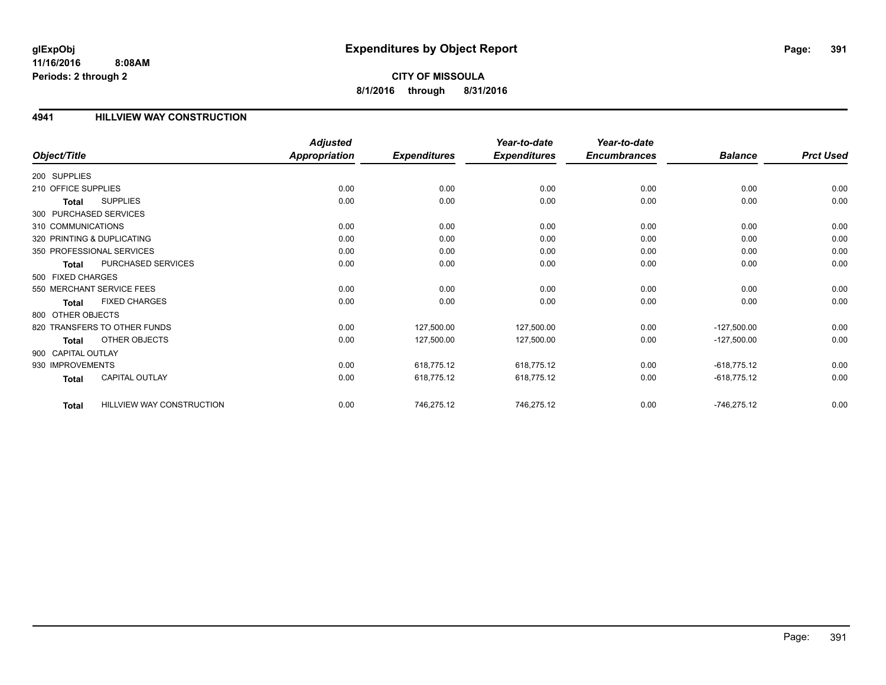**8/1/2016 through 8/31/2016**

# **4941 HILLVIEW WAY CONSTRUCTION**

| Object/Title           |                              | <b>Adjusted</b><br><b>Appropriation</b> | <b>Expenditures</b> | Year-to-date<br><b>Expenditures</b> | Year-to-date<br><b>Encumbrances</b> | <b>Balance</b> | <b>Prct Used</b> |
|------------------------|------------------------------|-----------------------------------------|---------------------|-------------------------------------|-------------------------------------|----------------|------------------|
|                        |                              |                                         |                     |                                     |                                     |                |                  |
| 200 SUPPLIES           |                              |                                         |                     |                                     |                                     |                |                  |
| 210 OFFICE SUPPLIES    |                              | 0.00                                    | 0.00                | 0.00                                | 0.00                                | 0.00           | 0.00             |
| Total                  | <b>SUPPLIES</b>              | 0.00                                    | 0.00                | 0.00                                | 0.00                                | 0.00           | 0.00             |
| 300 PURCHASED SERVICES |                              |                                         |                     |                                     |                                     |                |                  |
| 310 COMMUNICATIONS     |                              | 0.00                                    | 0.00                | 0.00                                | 0.00                                | 0.00           | 0.00             |
|                        | 320 PRINTING & DUPLICATING   | 0.00                                    | 0.00                | 0.00                                | 0.00                                | 0.00           | 0.00             |
|                        | 350 PROFESSIONAL SERVICES    | 0.00                                    | 0.00                | 0.00                                | 0.00                                | 0.00           | 0.00             |
| Total                  | PURCHASED SERVICES           | 0.00                                    | 0.00                | 0.00                                | 0.00                                | 0.00           | 0.00             |
| 500 FIXED CHARGES      |                              |                                         |                     |                                     |                                     |                |                  |
|                        | 550 MERCHANT SERVICE FEES    | 0.00                                    | 0.00                | 0.00                                | 0.00                                | 0.00           | 0.00             |
| Total                  | <b>FIXED CHARGES</b>         | 0.00                                    | 0.00                | 0.00                                | 0.00                                | 0.00           | 0.00             |
| 800 OTHER OBJECTS      |                              |                                         |                     |                                     |                                     |                |                  |
|                        | 820 TRANSFERS TO OTHER FUNDS | 0.00                                    | 127,500.00          | 127,500.00                          | 0.00                                | $-127,500.00$  | 0.00             |
| <b>Total</b>           | OTHER OBJECTS                | 0.00                                    | 127,500.00          | 127,500.00                          | 0.00                                | $-127,500.00$  | 0.00             |
| 900 CAPITAL OUTLAY     |                              |                                         |                     |                                     |                                     |                |                  |
| 930 IMPROVEMENTS       |                              | 0.00                                    | 618,775.12          | 618,775.12                          | 0.00                                | $-618,775.12$  | 0.00             |
| <b>Total</b>           | <b>CAPITAL OUTLAY</b>        | 0.00                                    | 618,775.12          | 618,775.12                          | 0.00                                | $-618,775.12$  | 0.00             |
| <b>Total</b>           | HILLVIEW WAY CONSTRUCTION    | 0.00                                    | 746,275.12          | 746,275.12                          | 0.00                                | $-746,275.12$  | 0.00             |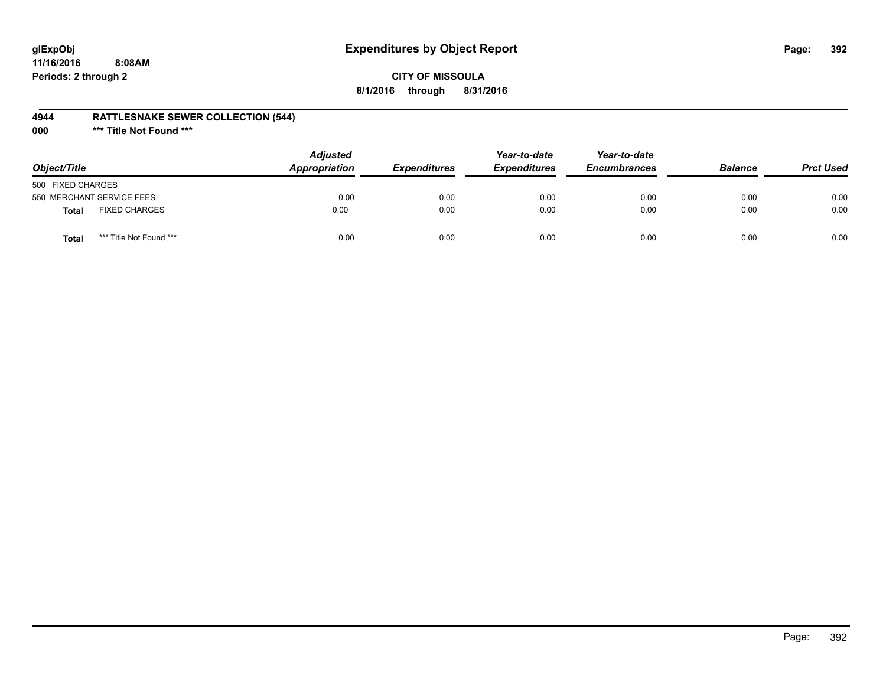# **glExpObj Expenditures by Object Report Page: 392**

**11/16/2016 8:08AM Periods: 2 through 2**

# **CITY OF MISSOULA 8/1/2016 through 8/31/2016**

### **4944 RATTLESNAKE SEWER COLLECTION (544)**

**000 \*\*\* Title Not Found \*\*\***

| Object/Title                            | <b>Adjusted</b><br>Appropriation | <b>Expenditures</b> | Year-to-date<br><b>Expenditures</b> | Year-to-date<br><b>Encumbrances</b> | <b>Balance</b> | <b>Prct Used</b> |
|-----------------------------------------|----------------------------------|---------------------|-------------------------------------|-------------------------------------|----------------|------------------|
| 500 FIXED CHARGES                       |                                  |                     |                                     |                                     |                |                  |
| 550 MERCHANT SERVICE FEES               | 0.00                             | 0.00                | 0.00                                | 0.00                                | 0.00           | 0.00             |
| <b>FIXED CHARGES</b><br>Total           | 0.00                             | 0.00                | 0.00                                | 0.00                                | 0.00           | 0.00             |
| *** Title Not Found ***<br><b>Total</b> | 0.00                             | 0.00                | 0.00                                | 0.00                                | 0.00           | 0.00             |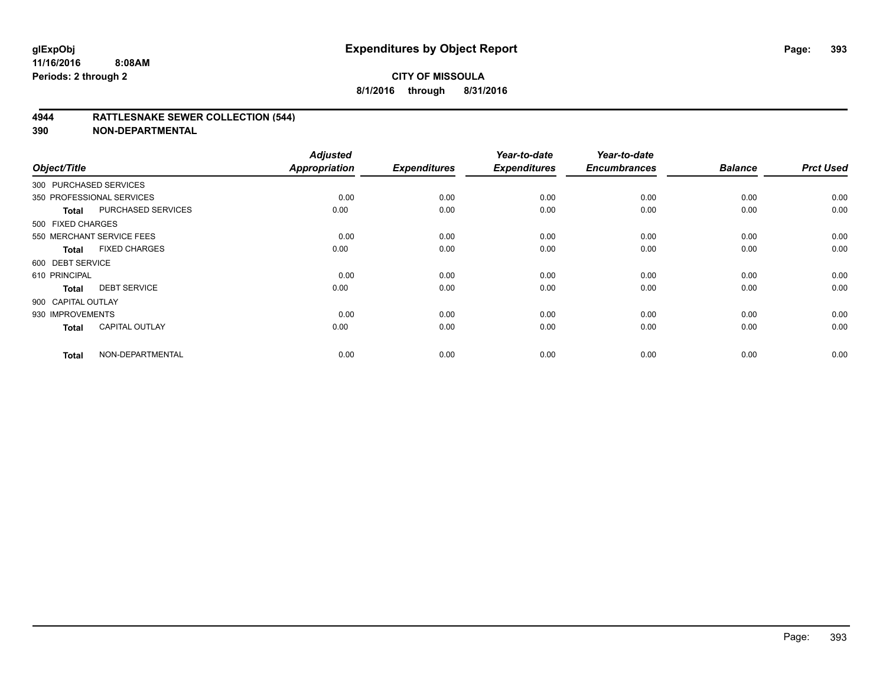### **4944 RATTLESNAKE SEWER COLLECTION (544)**

| Object/Title           |                           | <b>Adjusted</b><br><b>Appropriation</b> | <b>Expenditures</b> | Year-to-date<br><b>Expenditures</b> | Year-to-date<br><b>Encumbrances</b> | <b>Balance</b> | <b>Prct Used</b> |
|------------------------|---------------------------|-----------------------------------------|---------------------|-------------------------------------|-------------------------------------|----------------|------------------|
| 300 PURCHASED SERVICES |                           |                                         |                     |                                     |                                     |                |                  |
|                        | 350 PROFESSIONAL SERVICES | 0.00                                    | 0.00                | 0.00                                | 0.00                                | 0.00           | 0.00             |
| Total                  | PURCHASED SERVICES        | 0.00                                    | 0.00                | 0.00                                | 0.00                                | 0.00           | 0.00             |
| 500 FIXED CHARGES      |                           |                                         |                     |                                     |                                     |                |                  |
|                        | 550 MERCHANT SERVICE FEES | 0.00                                    | 0.00                | 0.00                                | 0.00                                | 0.00           | 0.00             |
| Total                  | <b>FIXED CHARGES</b>      | 0.00                                    | 0.00                | 0.00                                | 0.00                                | 0.00           | 0.00             |
| 600 DEBT SERVICE       |                           |                                         |                     |                                     |                                     |                |                  |
| 610 PRINCIPAL          |                           | 0.00                                    | 0.00                | 0.00                                | 0.00                                | 0.00           | 0.00             |
| <b>Total</b>           | <b>DEBT SERVICE</b>       | 0.00                                    | 0.00                | 0.00                                | 0.00                                | 0.00           | 0.00             |
| 900 CAPITAL OUTLAY     |                           |                                         |                     |                                     |                                     |                |                  |
| 930 IMPROVEMENTS       |                           | 0.00                                    | 0.00                | 0.00                                | 0.00                                | 0.00           | 0.00             |
| <b>Total</b>           | <b>CAPITAL OUTLAY</b>     | 0.00                                    | 0.00                | 0.00                                | 0.00                                | 0.00           | 0.00             |
| <b>Total</b>           | NON-DEPARTMENTAL          | 0.00                                    | 0.00                | 0.00                                | 0.00                                | 0.00           | 0.00             |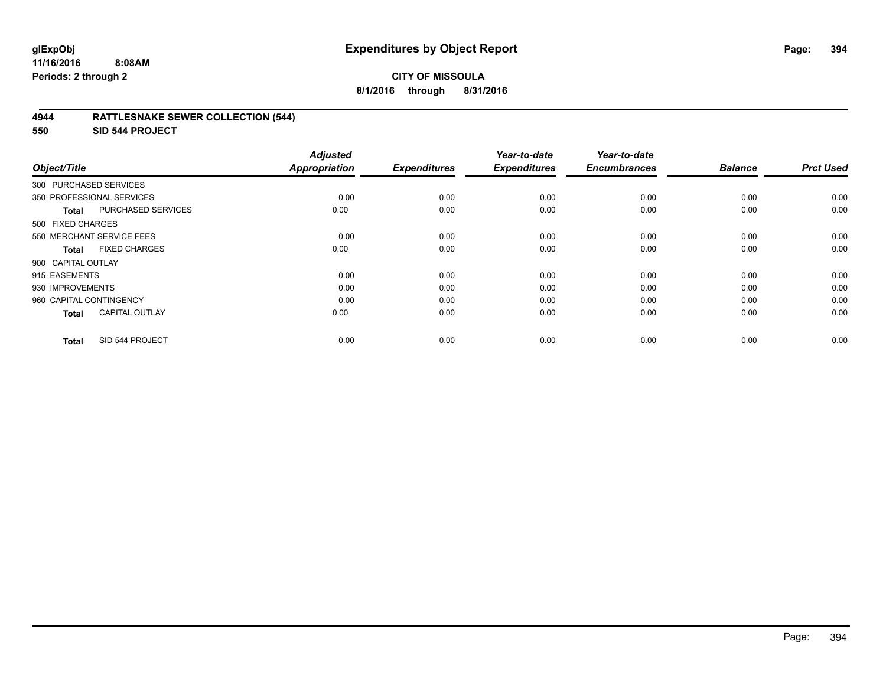### **4944 RATTLESNAKE SEWER COLLECTION (544)**

**550 SID 544 PROJECT**

| Object/Title              |                           | <b>Adjusted</b><br><b>Appropriation</b> | <b>Expenditures</b> | Year-to-date<br><b>Expenditures</b> | Year-to-date<br><b>Encumbrances</b> | <b>Balance</b> | <b>Prct Used</b> |
|---------------------------|---------------------------|-----------------------------------------|---------------------|-------------------------------------|-------------------------------------|----------------|------------------|
| 300 PURCHASED SERVICES    |                           |                                         |                     |                                     |                                     |                |                  |
| 350 PROFESSIONAL SERVICES |                           | 0.00                                    | 0.00                | 0.00                                | 0.00                                | 0.00           | 0.00             |
| <b>Total</b>              | PURCHASED SERVICES        | 0.00                                    | 0.00                | 0.00                                | 0.00                                | 0.00           | 0.00             |
| 500 FIXED CHARGES         |                           |                                         |                     |                                     |                                     |                |                  |
|                           | 550 MERCHANT SERVICE FEES | 0.00                                    | 0.00                | 0.00                                | 0.00                                | 0.00           | 0.00             |
| <b>Total</b>              | <b>FIXED CHARGES</b>      | 0.00                                    | 0.00                | 0.00                                | 0.00                                | 0.00           | 0.00             |
| 900 CAPITAL OUTLAY        |                           |                                         |                     |                                     |                                     |                |                  |
| 915 EASEMENTS             |                           | 0.00                                    | 0.00                | 0.00                                | 0.00                                | 0.00           | 0.00             |
| 930 IMPROVEMENTS          |                           | 0.00                                    | 0.00                | 0.00                                | 0.00                                | 0.00           | 0.00             |
| 960 CAPITAL CONTINGENCY   |                           | 0.00                                    | 0.00                | 0.00                                | 0.00                                | 0.00           | 0.00             |
| <b>Total</b>              | <b>CAPITAL OUTLAY</b>     | 0.00                                    | 0.00                | 0.00                                | 0.00                                | 0.00           | 0.00             |
| <b>Total</b>              | SID 544 PROJECT           | 0.00                                    | 0.00                | 0.00                                | 0.00                                | 0.00           | 0.00             |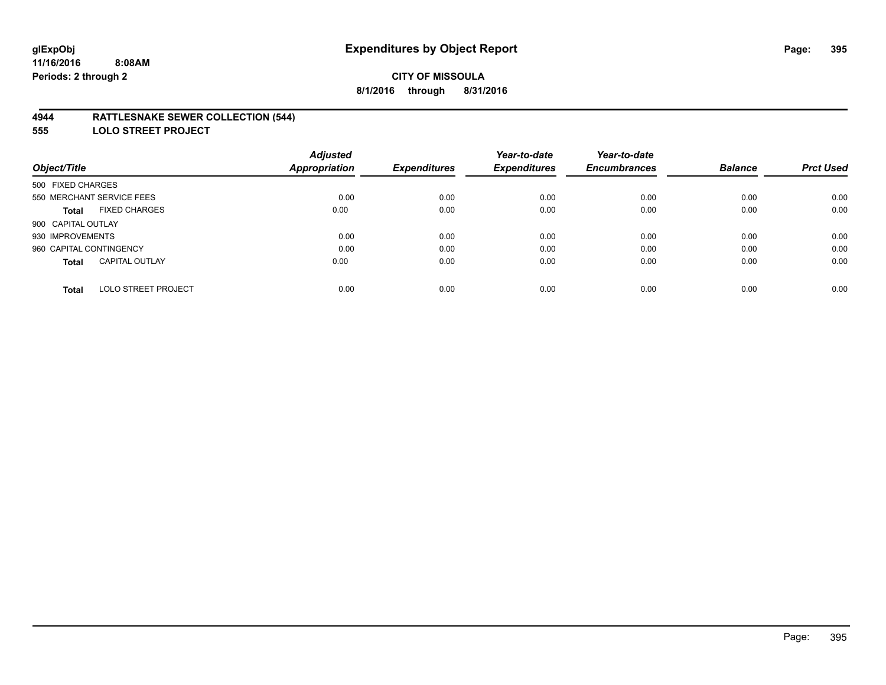### **4944 RATTLESNAKE SEWER COLLECTION (544)**

**555 LOLO STREET PROJECT**

|                                            | <b>Adjusted</b>      |                     | Year-to-date        | Year-to-date        |                |                  |
|--------------------------------------------|----------------------|---------------------|---------------------|---------------------|----------------|------------------|
| Object/Title                               | <b>Appropriation</b> | <b>Expenditures</b> | <b>Expenditures</b> | <b>Encumbrances</b> | <b>Balance</b> | <b>Prct Used</b> |
| 500 FIXED CHARGES                          |                      |                     |                     |                     |                |                  |
| 550 MERCHANT SERVICE FEES                  | 0.00                 | 0.00                | 0.00                | 0.00                | 0.00           | 0.00             |
| <b>FIXED CHARGES</b><br><b>Total</b>       | 0.00                 | 0.00                | 0.00                | 0.00                | 0.00           | 0.00             |
| 900 CAPITAL OUTLAY                         |                      |                     |                     |                     |                |                  |
| 930 IMPROVEMENTS                           | 0.00                 | 0.00                | 0.00                | 0.00                | 0.00           | 0.00             |
| 960 CAPITAL CONTINGENCY                    | 0.00                 | 0.00                | 0.00                | 0.00                | 0.00           | 0.00             |
| <b>CAPITAL OUTLAY</b><br><b>Total</b>      | 0.00                 | 0.00                | 0.00                | 0.00                | 0.00           | 0.00             |
| <b>LOLO STREET PROJECT</b><br><b>Total</b> | 0.00                 | 0.00                | 0.00                | 0.00                | 0.00           | 0.00             |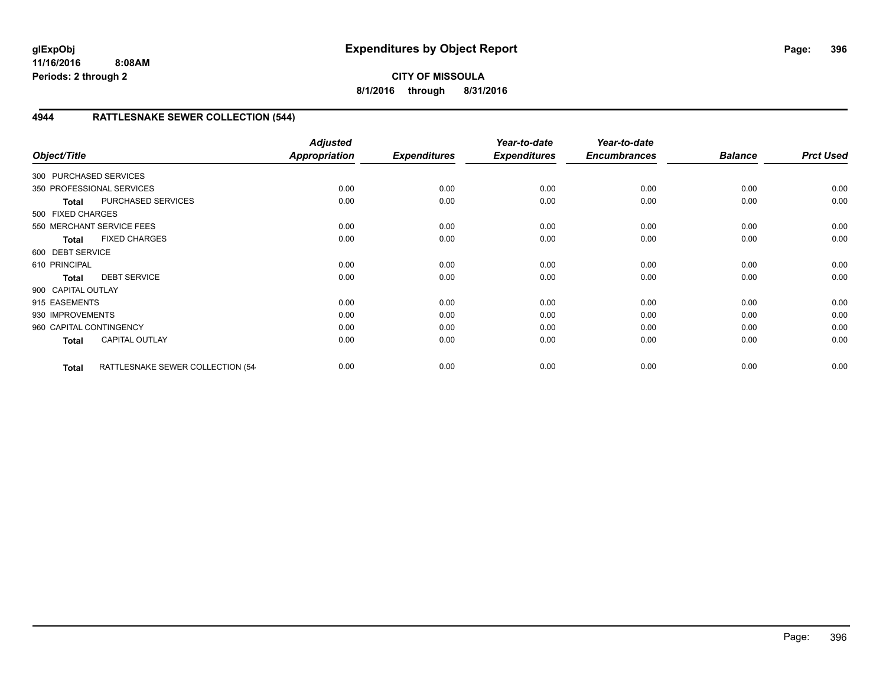# **CITY OF MISSOULA 8/1/2016 through 8/31/2016**

# **4944 RATTLESNAKE SEWER COLLECTION (544)**

| Object/Title            |                                   | <b>Adjusted</b><br>Appropriation | <b>Expenditures</b> | Year-to-date<br><b>Expenditures</b> | Year-to-date<br><b>Encumbrances</b> | <b>Balance</b> | <b>Prct Used</b> |
|-------------------------|-----------------------------------|----------------------------------|---------------------|-------------------------------------|-------------------------------------|----------------|------------------|
| 300 PURCHASED SERVICES  |                                   |                                  |                     |                                     |                                     |                |                  |
|                         | 350 PROFESSIONAL SERVICES         | 0.00                             | 0.00                | 0.00                                | 0.00                                | 0.00           | 0.00             |
| Total                   | PURCHASED SERVICES                | 0.00                             | 0.00                | 0.00                                | 0.00                                | 0.00           | 0.00             |
| 500 FIXED CHARGES       |                                   |                                  |                     |                                     |                                     |                |                  |
|                         | 550 MERCHANT SERVICE FEES         | 0.00                             | 0.00                | 0.00                                | 0.00                                | 0.00           | 0.00             |
| <b>Total</b>            | <b>FIXED CHARGES</b>              | 0.00                             | 0.00                | 0.00                                | 0.00                                | 0.00           | 0.00             |
| 600 DEBT SERVICE        |                                   |                                  |                     |                                     |                                     |                |                  |
| 610 PRINCIPAL           |                                   | 0.00                             | 0.00                | 0.00                                | 0.00                                | 0.00           | 0.00             |
| <b>Total</b>            | <b>DEBT SERVICE</b>               | 0.00                             | 0.00                | 0.00                                | 0.00                                | 0.00           | 0.00             |
| 900 CAPITAL OUTLAY      |                                   |                                  |                     |                                     |                                     |                |                  |
| 915 EASEMENTS           |                                   | 0.00                             | 0.00                | 0.00                                | 0.00                                | 0.00           | 0.00             |
| 930 IMPROVEMENTS        |                                   | 0.00                             | 0.00                | 0.00                                | 0.00                                | 0.00           | 0.00             |
| 960 CAPITAL CONTINGENCY |                                   | 0.00                             | 0.00                | 0.00                                | 0.00                                | 0.00           | 0.00             |
| <b>Total</b>            | <b>CAPITAL OUTLAY</b>             | 0.00                             | 0.00                | 0.00                                | 0.00                                | 0.00           | 0.00             |
| <b>Total</b>            | RATTLESNAKE SEWER COLLECTION (54- | 0.00                             | 0.00                | 0.00                                | 0.00                                | 0.00           | 0.00             |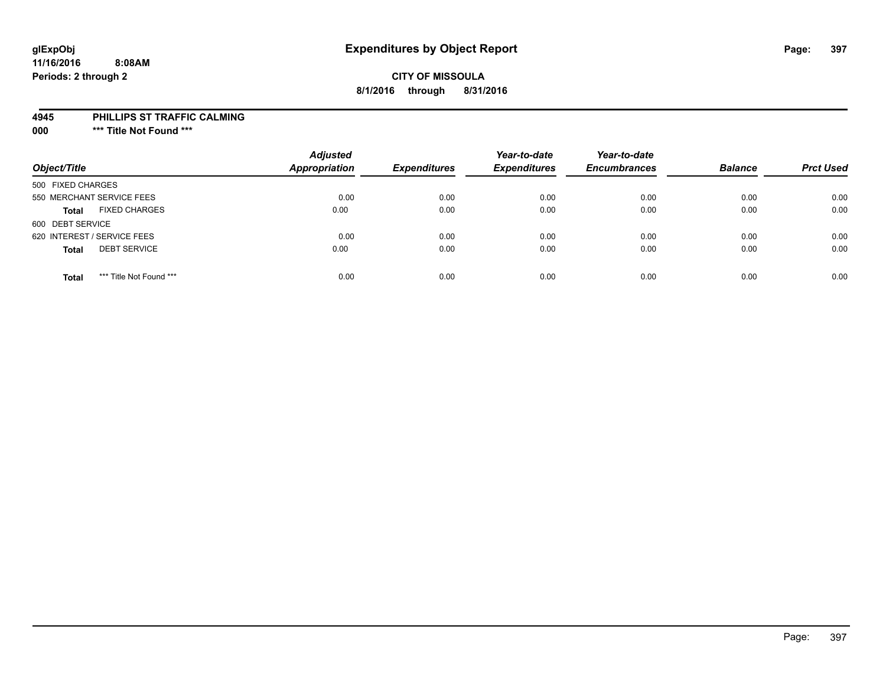### **CITY OF MISSOULA 8/1/2016 through 8/31/2016**

#### **4945 PHILLIPS ST TRAFFIC CALMING**

**000 \*\*\* Title Not Found \*\*\***

| Object/Title                            | <b>Adjusted</b><br><b>Appropriation</b> | <b>Expenditures</b> | Year-to-date<br><b>Expenditures</b> | Year-to-date<br><b>Encumbrances</b> | <b>Balance</b> | <b>Prct Used</b> |
|-----------------------------------------|-----------------------------------------|---------------------|-------------------------------------|-------------------------------------|----------------|------------------|
| 500 FIXED CHARGES                       |                                         |                     |                                     |                                     |                |                  |
| 550 MERCHANT SERVICE FEES               | 0.00                                    | 0.00                | 0.00                                | 0.00                                | 0.00           | 0.00             |
| <b>FIXED CHARGES</b><br><b>Total</b>    | 0.00                                    | 0.00                | 0.00                                | 0.00                                | 0.00           | 0.00             |
| 600 DEBT SERVICE                        |                                         |                     |                                     |                                     |                |                  |
| 620 INTEREST / SERVICE FEES             | 0.00                                    | 0.00                | 0.00                                | 0.00                                | 0.00           | 0.00             |
| <b>DEBT SERVICE</b><br><b>Total</b>     | 0.00                                    | 0.00                | 0.00                                | 0.00                                | 0.00           | 0.00             |
| *** Title Not Found ***<br><b>Total</b> | 0.00                                    | 0.00                | 0.00                                | 0.00                                | 0.00           | 0.00             |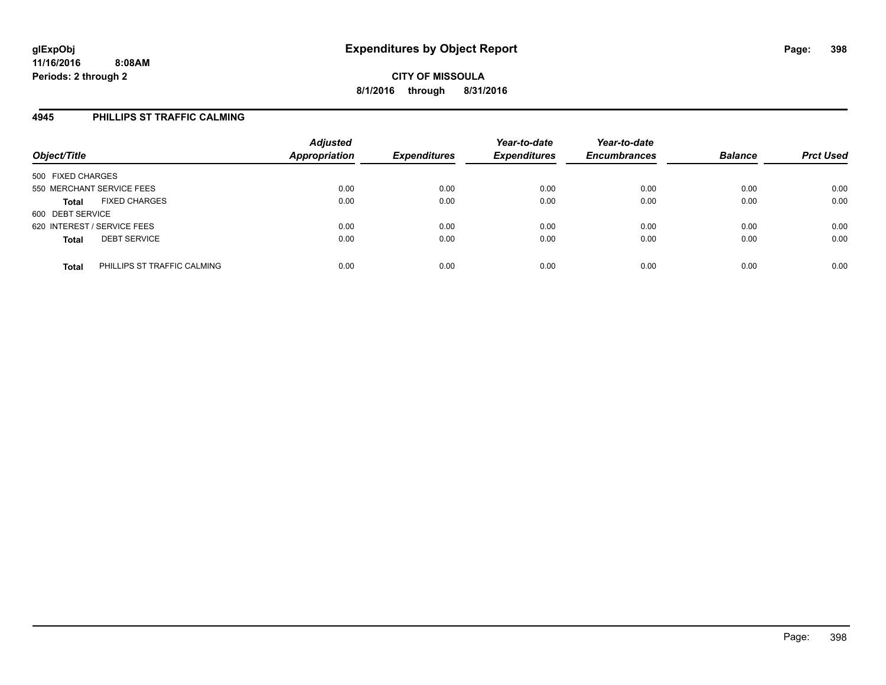### **4945 PHILLIPS ST TRAFFIC CALMING**

| Object/Title                                | <b>Adjusted</b><br>Appropriation | <b>Expenditures</b> | Year-to-date<br><b>Expenditures</b> | Year-to-date<br><b>Encumbrances</b> | <b>Balance</b> | <b>Prct Used</b> |
|---------------------------------------------|----------------------------------|---------------------|-------------------------------------|-------------------------------------|----------------|------------------|
| 500 FIXED CHARGES                           |                                  |                     |                                     |                                     |                |                  |
| 550 MERCHANT SERVICE FEES                   | 0.00                             | 0.00                | 0.00                                | 0.00                                | 0.00           | 0.00             |
| <b>FIXED CHARGES</b><br><b>Total</b>        | 0.00                             | 0.00                | 0.00                                | 0.00                                | 0.00           | 0.00             |
| 600 DEBT SERVICE                            |                                  |                     |                                     |                                     |                |                  |
| 620 INTEREST / SERVICE FEES                 | 0.00                             | 0.00                | 0.00                                | 0.00                                | 0.00           | 0.00             |
| <b>DEBT SERVICE</b><br><b>Total</b>         | 0.00                             | 0.00                | 0.00                                | 0.00                                | 0.00           | 0.00             |
| PHILLIPS ST TRAFFIC CALMING<br><b>Total</b> | 0.00                             | 0.00                | 0.00                                | 0.00                                | 0.00           | 0.00             |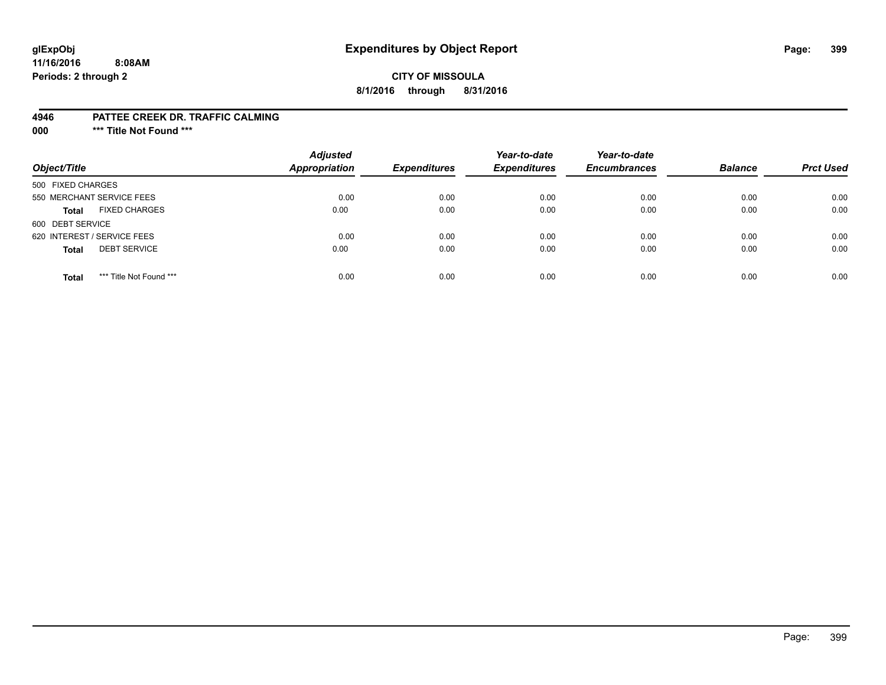### **glExpObj Expenditures by Object Report Page: 399**

### **CITY OF MISSOULA 8/1/2016 through 8/31/2016**

#### **4946 PATTEE CREEK DR. TRAFFIC CALMING**

**000 \*\*\* Title Not Found \*\*\***

| Object/Title                            | <b>Adjusted</b><br>Appropriation | <b>Expenditures</b> | Year-to-date<br><b>Expenditures</b> | Year-to-date<br><b>Encumbrances</b> | <b>Balance</b> | <b>Prct Used</b> |
|-----------------------------------------|----------------------------------|---------------------|-------------------------------------|-------------------------------------|----------------|------------------|
| 500 FIXED CHARGES                       |                                  |                     |                                     |                                     |                |                  |
| 550 MERCHANT SERVICE FEES               | 0.00                             | 0.00                | 0.00                                | 0.00                                | 0.00           | 0.00             |
| <b>FIXED CHARGES</b><br><b>Total</b>    | 0.00                             | 0.00                | 0.00                                | 0.00                                | 0.00           | 0.00             |
| 600 DEBT SERVICE                        |                                  |                     |                                     |                                     |                |                  |
| 620 INTEREST / SERVICE FEES             | 0.00                             | 0.00                | 0.00                                | 0.00                                | 0.00           | 0.00             |
| <b>DEBT SERVICE</b><br><b>Total</b>     | 0.00                             | 0.00                | 0.00                                | 0.00                                | 0.00           | 0.00             |
| *** Title Not Found ***<br><b>Total</b> | 0.00                             | 0.00                | 0.00                                | 0.00                                | 0.00           | 0.00             |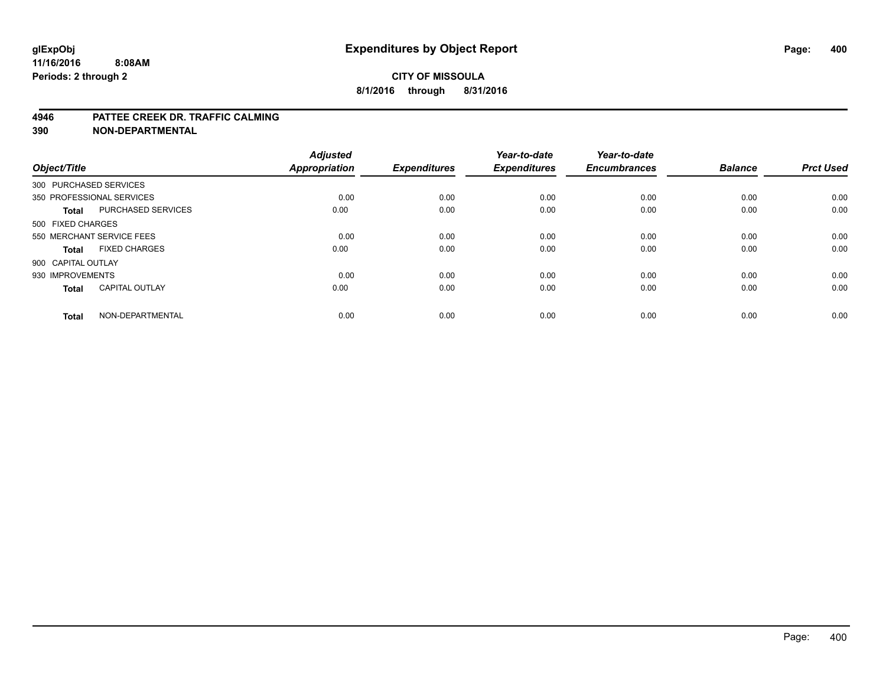#### **4946 PATTEE CREEK DR. TRAFFIC CALMING**

**390 NON-DEPARTMENTAL**

| Object/Title           |                           | <b>Adjusted</b><br><b>Appropriation</b> | <b>Expenditures</b> | Year-to-date<br><b>Expenditures</b> | Year-to-date<br><b>Encumbrances</b> | <b>Balance</b> | <b>Prct Used</b> |
|------------------------|---------------------------|-----------------------------------------|---------------------|-------------------------------------|-------------------------------------|----------------|------------------|
| 300 PURCHASED SERVICES |                           |                                         |                     |                                     |                                     |                |                  |
|                        | 350 PROFESSIONAL SERVICES | 0.00                                    | 0.00                | 0.00                                | 0.00                                | 0.00           | 0.00             |
| <b>Total</b>           | <b>PURCHASED SERVICES</b> | 0.00                                    | 0.00                | 0.00                                | 0.00                                | 0.00           | 0.00             |
| 500 FIXED CHARGES      |                           |                                         |                     |                                     |                                     |                |                  |
|                        | 550 MERCHANT SERVICE FEES | 0.00                                    | 0.00                | 0.00                                | 0.00                                | 0.00           | 0.00             |
| Total                  | <b>FIXED CHARGES</b>      | 0.00                                    | 0.00                | 0.00                                | 0.00                                | 0.00           | 0.00             |
| 900 CAPITAL OUTLAY     |                           |                                         |                     |                                     |                                     |                |                  |
| 930 IMPROVEMENTS       |                           | 0.00                                    | 0.00                | 0.00                                | 0.00                                | 0.00           | 0.00             |
| Total                  | <b>CAPITAL OUTLAY</b>     | 0.00                                    | 0.00                | 0.00                                | 0.00                                | 0.00           | 0.00             |
| <b>Total</b>           | NON-DEPARTMENTAL          | 0.00                                    | 0.00                | 0.00                                | 0.00                                | 0.00           | 0.00             |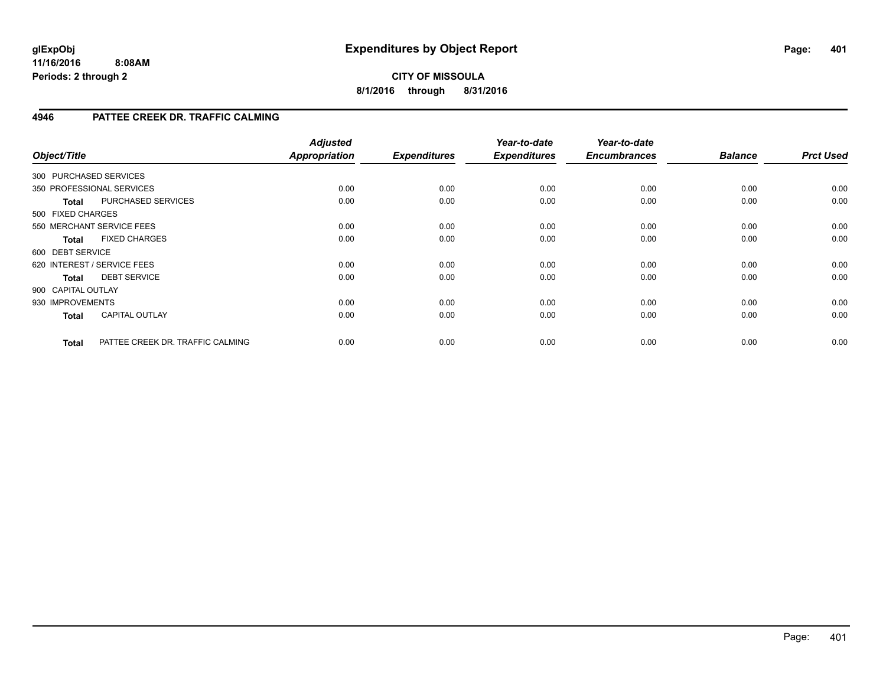### **CITY OF MISSOULA 8/1/2016 through 8/31/2016**

### **4946 PATTEE CREEK DR. TRAFFIC CALMING**

| Object/Title           |                                  | <b>Adjusted</b><br>Appropriation | <b>Expenditures</b> | Year-to-date<br><b>Expenditures</b> | Year-to-date<br><b>Encumbrances</b> | <b>Balance</b> | <b>Prct Used</b> |
|------------------------|----------------------------------|----------------------------------|---------------------|-------------------------------------|-------------------------------------|----------------|------------------|
| 300 PURCHASED SERVICES |                                  |                                  |                     |                                     |                                     |                |                  |
|                        | 350 PROFESSIONAL SERVICES        | 0.00                             | 0.00                | 0.00                                | 0.00                                | 0.00           | 0.00             |
| <b>Total</b>           | PURCHASED SERVICES               | 0.00                             | 0.00                | 0.00                                | 0.00                                | 0.00           | 0.00             |
| 500 FIXED CHARGES      |                                  |                                  |                     |                                     |                                     |                |                  |
|                        | 550 MERCHANT SERVICE FEES        | 0.00                             | 0.00                | 0.00                                | 0.00                                | 0.00           | 0.00             |
| <b>Total</b>           | <b>FIXED CHARGES</b>             | 0.00                             | 0.00                | 0.00                                | 0.00                                | 0.00           | 0.00             |
| 600 DEBT SERVICE       |                                  |                                  |                     |                                     |                                     |                |                  |
|                        | 620 INTEREST / SERVICE FEES      | 0.00                             | 0.00                | 0.00                                | 0.00                                | 0.00           | 0.00             |
| <b>Total</b>           | <b>DEBT SERVICE</b>              | 0.00                             | 0.00                | 0.00                                | 0.00                                | 0.00           | 0.00             |
| 900 CAPITAL OUTLAY     |                                  |                                  |                     |                                     |                                     |                |                  |
| 930 IMPROVEMENTS       |                                  | 0.00                             | 0.00                | 0.00                                | 0.00                                | 0.00           | 0.00             |
| <b>Total</b>           | <b>CAPITAL OUTLAY</b>            | 0.00                             | 0.00                | 0.00                                | 0.00                                | 0.00           | 0.00             |
| <b>Total</b>           | PATTEE CREEK DR. TRAFFIC CALMING | 0.00                             | 0.00                | 0.00                                | 0.00                                | 0.00           | 0.00             |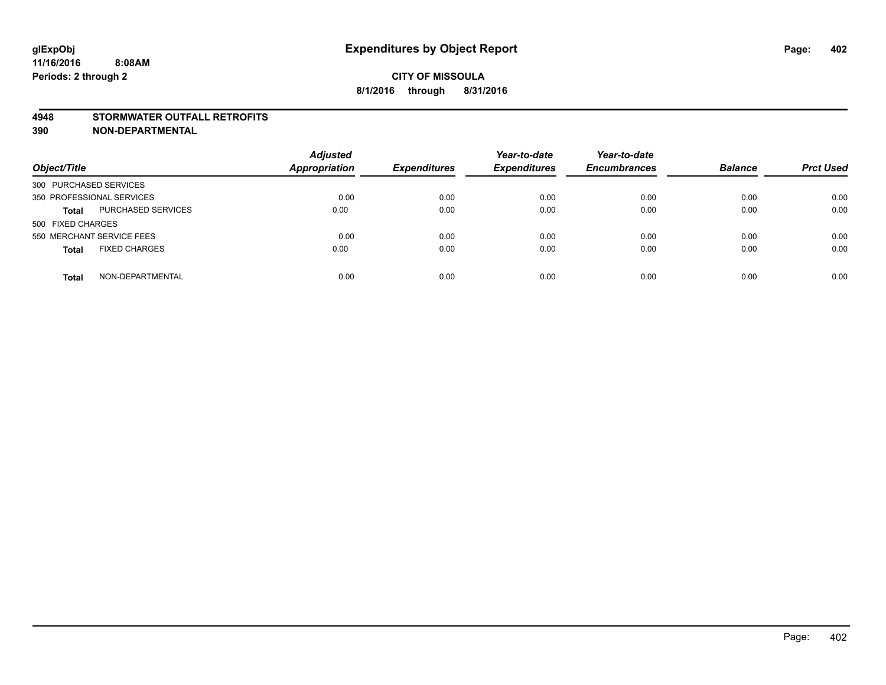#### **4948 STORMWATER OUTFALL RETROFITS**

**390 NON-DEPARTMENTAL**

| Object/Title                              | <b>Adjusted</b><br><b>Appropriation</b> | <b>Expenditures</b> | Year-to-date<br><b>Expenditures</b> | Year-to-date<br><b>Encumbrances</b> | <b>Balance</b> | <b>Prct Used</b> |
|-------------------------------------------|-----------------------------------------|---------------------|-------------------------------------|-------------------------------------|----------------|------------------|
| 300 PURCHASED SERVICES                    |                                         |                     |                                     |                                     |                |                  |
| 350 PROFESSIONAL SERVICES                 | 0.00                                    | 0.00                | 0.00                                | 0.00                                | 0.00           | 0.00             |
| <b>PURCHASED SERVICES</b><br><b>Total</b> | 0.00                                    | 0.00                | 0.00                                | 0.00                                | 0.00           | 0.00             |
| 500 FIXED CHARGES                         |                                         |                     |                                     |                                     |                |                  |
| 550 MERCHANT SERVICE FEES                 | 0.00                                    | 0.00                | 0.00                                | 0.00                                | 0.00           | 0.00             |
| <b>FIXED CHARGES</b><br><b>Total</b>      | 0.00                                    | 0.00                | 0.00                                | 0.00                                | 0.00           | 0.00             |
| NON-DEPARTMENTAL<br>Total                 | 0.00                                    | 0.00                | 0.00                                | 0.00                                | 0.00           | 0.00             |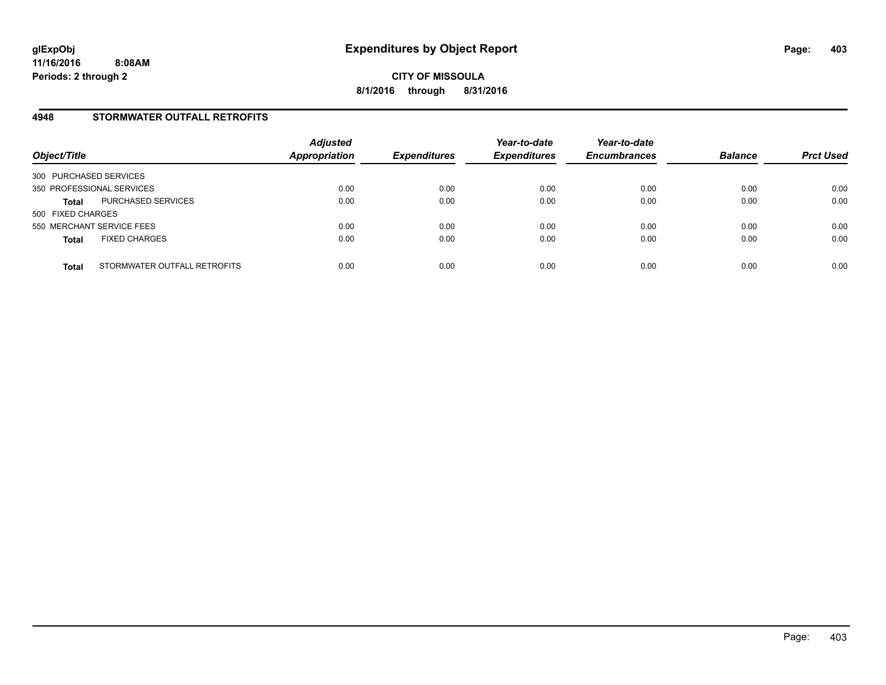### **4948 STORMWATER OUTFALL RETROFITS**

| Object/Title              |                              | <b>Adjusted</b><br><b>Appropriation</b> | <b>Expenditures</b> | Year-to-date<br><b>Expenditures</b> | Year-to-date<br><b>Encumbrances</b> | <b>Balance</b> | <b>Prct Used</b> |
|---------------------------|------------------------------|-----------------------------------------|---------------------|-------------------------------------|-------------------------------------|----------------|------------------|
| 300 PURCHASED SERVICES    |                              |                                         |                     |                                     |                                     |                |                  |
| 350 PROFESSIONAL SERVICES |                              | 0.00                                    | 0.00                | 0.00                                | 0.00                                | 0.00           | 0.00             |
| <b>Total</b>              | PURCHASED SERVICES           | 0.00                                    | 0.00                | 0.00                                | 0.00                                | 0.00           | 0.00             |
| 500 FIXED CHARGES         |                              |                                         |                     |                                     |                                     |                |                  |
| 550 MERCHANT SERVICE FEES |                              | 0.00                                    | 0.00                | 0.00                                | 0.00                                | 0.00           | 0.00             |
| <b>Total</b>              | <b>FIXED CHARGES</b>         | 0.00                                    | 0.00                | 0.00                                | 0.00                                | 0.00           | 0.00             |
| <b>Total</b>              | STORMWATER OUTFALL RETROFITS | 0.00                                    | 0.00                | 0.00                                | 0.00                                | 0.00           | 0.00             |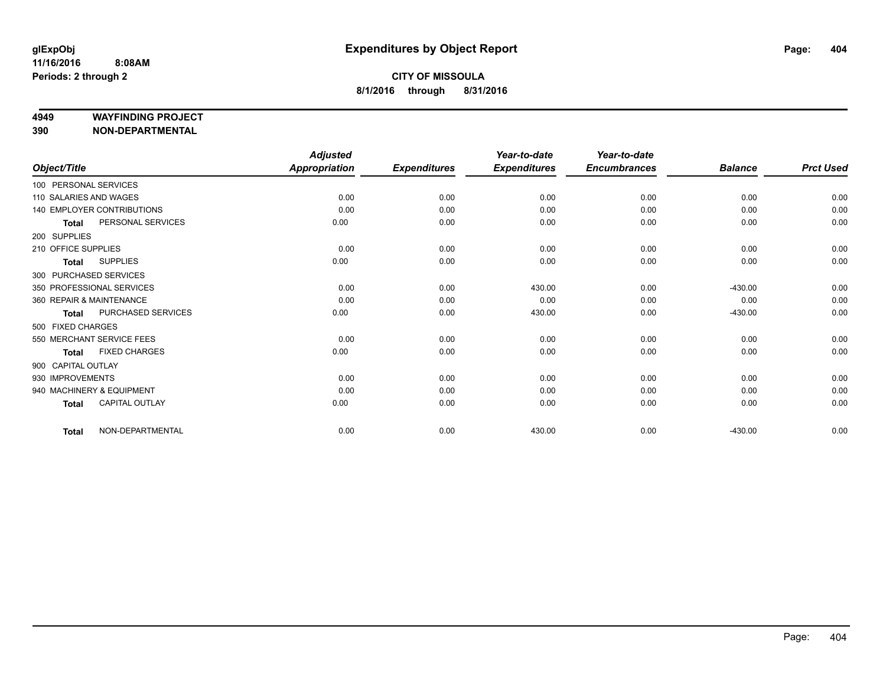#### **4949 WAYFINDING PROJECT**

**390 NON-DEPARTMENTAL**

|                        |                                   | <b>Adjusted</b>      |                     | Year-to-date        | Year-to-date        |                |                  |
|------------------------|-----------------------------------|----------------------|---------------------|---------------------|---------------------|----------------|------------------|
| Object/Title           |                                   | <b>Appropriation</b> | <b>Expenditures</b> | <b>Expenditures</b> | <b>Encumbrances</b> | <b>Balance</b> | <b>Prct Used</b> |
| 100 PERSONAL SERVICES  |                                   |                      |                     |                     |                     |                |                  |
| 110 SALARIES AND WAGES |                                   | 0.00                 | 0.00                | 0.00                | 0.00                | 0.00           | 0.00             |
|                        | <b>140 EMPLOYER CONTRIBUTIONS</b> | 0.00                 | 0.00                | 0.00                | 0.00                | 0.00           | 0.00             |
| <b>Total</b>           | PERSONAL SERVICES                 | 0.00                 | 0.00                | 0.00                | 0.00                | 0.00           | 0.00             |
| 200 SUPPLIES           |                                   |                      |                     |                     |                     |                |                  |
| 210 OFFICE SUPPLIES    |                                   | 0.00                 | 0.00                | 0.00                | 0.00                | 0.00           | 0.00             |
| <b>Total</b>           | <b>SUPPLIES</b>                   | 0.00                 | 0.00                | 0.00                | 0.00                | 0.00           | 0.00             |
|                        | 300 PURCHASED SERVICES            |                      |                     |                     |                     |                |                  |
|                        | 350 PROFESSIONAL SERVICES         | 0.00                 | 0.00                | 430.00              | 0.00                | $-430.00$      | 0.00             |
|                        | 360 REPAIR & MAINTENANCE          | 0.00                 | 0.00                | 0.00                | 0.00                | 0.00           | 0.00             |
| <b>Total</b>           | PURCHASED SERVICES                | 0.00                 | 0.00                | 430.00              | 0.00                | $-430.00$      | 0.00             |
| 500 FIXED CHARGES      |                                   |                      |                     |                     |                     |                |                  |
|                        | 550 MERCHANT SERVICE FEES         | 0.00                 | 0.00                | 0.00                | 0.00                | 0.00           | 0.00             |
| <b>Total</b>           | <b>FIXED CHARGES</b>              | 0.00                 | 0.00                | 0.00                | 0.00                | 0.00           | 0.00             |
| 900 CAPITAL OUTLAY     |                                   |                      |                     |                     |                     |                |                  |
| 930 IMPROVEMENTS       |                                   | 0.00                 | 0.00                | 0.00                | 0.00                | 0.00           | 0.00             |
|                        | 940 MACHINERY & EQUIPMENT         | 0.00                 | 0.00                | 0.00                | 0.00                | 0.00           | 0.00             |
| <b>Total</b>           | <b>CAPITAL OUTLAY</b>             | 0.00                 | 0.00                | 0.00                | 0.00                | 0.00           | 0.00             |
| <b>Total</b>           | NON-DEPARTMENTAL                  | 0.00                 | 0.00                | 430.00              | 0.00                | $-430.00$      | 0.00             |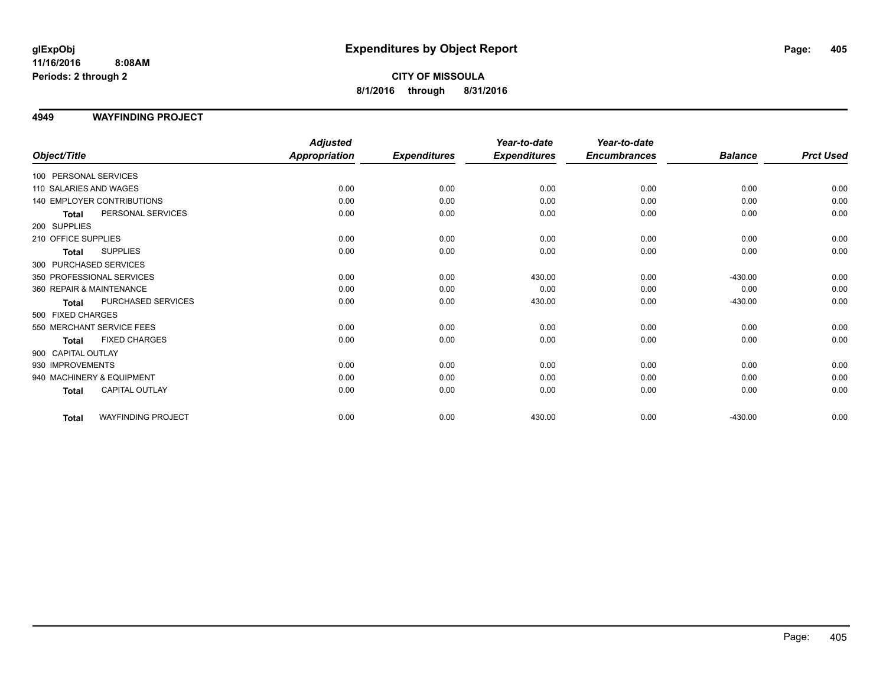**CITY OF MISSOULA 8/1/2016 through 8/31/2016**

### **4949 WAYFINDING PROJECT**

|                                           | <b>Adjusted</b>      |                     | Year-to-date        | Year-to-date        |                |                  |
|-------------------------------------------|----------------------|---------------------|---------------------|---------------------|----------------|------------------|
| Object/Title                              | <b>Appropriation</b> | <b>Expenditures</b> | <b>Expenditures</b> | <b>Encumbrances</b> | <b>Balance</b> | <b>Prct Used</b> |
| 100 PERSONAL SERVICES                     |                      |                     |                     |                     |                |                  |
| 110 SALARIES AND WAGES                    | 0.00                 | 0.00                | 0.00                | 0.00                | 0.00           | 0.00             |
| 140 EMPLOYER CONTRIBUTIONS                | 0.00                 | 0.00                | 0.00                | 0.00                | 0.00           | 0.00             |
| PERSONAL SERVICES<br><b>Total</b>         | 0.00                 | 0.00                | 0.00                | 0.00                | 0.00           | 0.00             |
| 200 SUPPLIES                              |                      |                     |                     |                     |                |                  |
| 210 OFFICE SUPPLIES                       | 0.00                 | 0.00                | 0.00                | 0.00                | 0.00           | 0.00             |
| <b>SUPPLIES</b><br><b>Total</b>           | 0.00                 | 0.00                | 0.00                | 0.00                | 0.00           | 0.00             |
| 300 PURCHASED SERVICES                    |                      |                     |                     |                     |                |                  |
| 350 PROFESSIONAL SERVICES                 | 0.00                 | 0.00                | 430.00              | 0.00                | $-430.00$      | 0.00             |
| 360 REPAIR & MAINTENANCE                  | 0.00                 | 0.00                | 0.00                | 0.00                | 0.00           | 0.00             |
| PURCHASED SERVICES<br><b>Total</b>        | 0.00                 | 0.00                | 430.00              | 0.00                | $-430.00$      | 0.00             |
| 500 FIXED CHARGES                         |                      |                     |                     |                     |                |                  |
| 550 MERCHANT SERVICE FEES                 | 0.00                 | 0.00                | 0.00                | 0.00                | 0.00           | 0.00             |
| <b>FIXED CHARGES</b><br><b>Total</b>      | 0.00                 | 0.00                | 0.00                | 0.00                | 0.00           | 0.00             |
| 900 CAPITAL OUTLAY                        |                      |                     |                     |                     |                |                  |
| 930 IMPROVEMENTS                          | 0.00                 | 0.00                | 0.00                | 0.00                | 0.00           | 0.00             |
| 940 MACHINERY & EQUIPMENT                 | 0.00                 | 0.00                | 0.00                | 0.00                | 0.00           | 0.00             |
| <b>CAPITAL OUTLAY</b><br>Total            | 0.00                 | 0.00                | 0.00                | 0.00                | 0.00           | 0.00             |
| <b>WAYFINDING PROJECT</b><br><b>Total</b> | 0.00                 | 0.00                | 430.00              | 0.00                | $-430.00$      | 0.00             |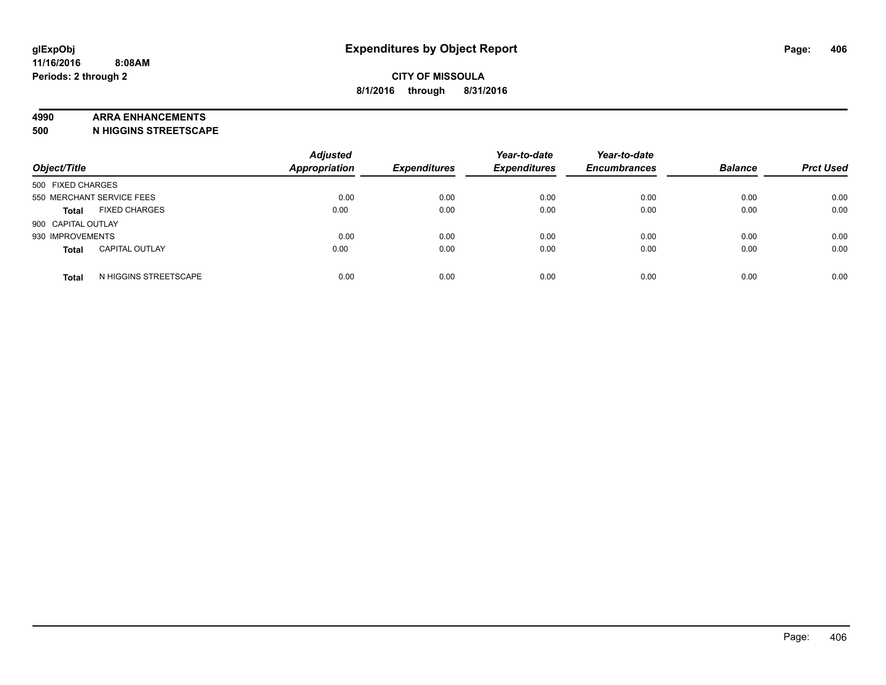#### **4990 ARRA ENHANCEMENTS**

**500 N HIGGINS STREETSCAPE**

| Object/Title              |                       | <b>Adjusted</b><br><b>Appropriation</b> | <b>Expenditures</b> | Year-to-date<br><b>Expenditures</b> | Year-to-date<br><b>Encumbrances</b> | <b>Balance</b> | <b>Prct Used</b> |
|---------------------------|-----------------------|-----------------------------------------|---------------------|-------------------------------------|-------------------------------------|----------------|------------------|
| 500 FIXED CHARGES         |                       |                                         |                     |                                     |                                     |                |                  |
| 550 MERCHANT SERVICE FEES |                       | 0.00                                    | 0.00                | 0.00                                | 0.00                                | 0.00           | 0.00             |
| <b>Total</b>              | <b>FIXED CHARGES</b>  | 0.00                                    | 0.00                | 0.00                                | 0.00                                | 0.00           | 0.00             |
| 900 CAPITAL OUTLAY        |                       |                                         |                     |                                     |                                     |                |                  |
| 930 IMPROVEMENTS          |                       | 0.00                                    | 0.00                | 0.00                                | 0.00                                | 0.00           | 0.00             |
| <b>Total</b>              | <b>CAPITAL OUTLAY</b> | 0.00                                    | 0.00                | 0.00                                | 0.00                                | 0.00           | 0.00             |
| <b>Total</b>              | N HIGGINS STREETSCAPE | 0.00                                    | 0.00                | 0.00                                | 0.00                                | 0.00           | 0.00             |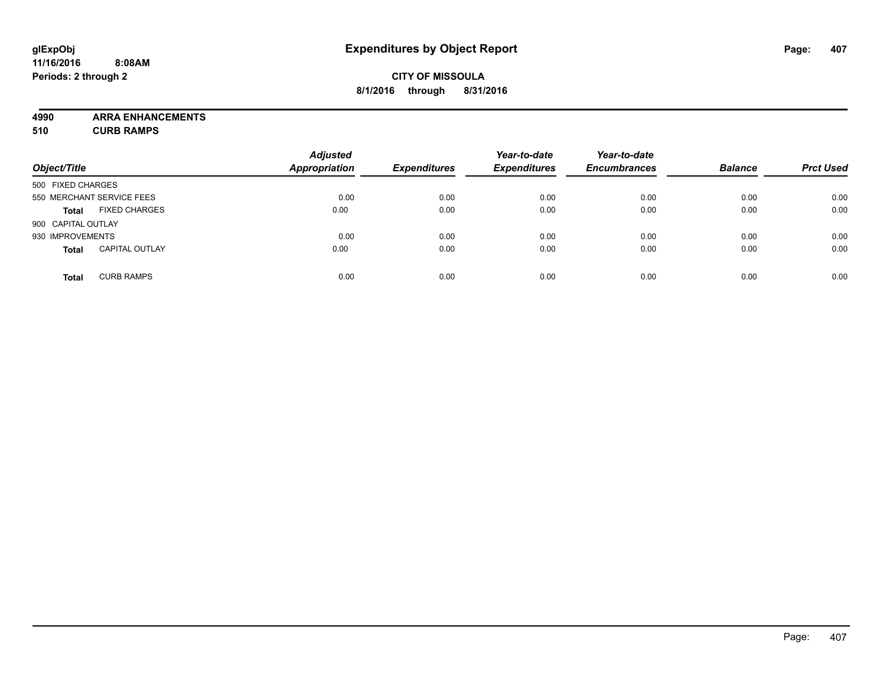### **CITY OF MISSOULA 8/1/2016 through 8/31/2016**

**4990 ARRA ENHANCEMENTS 510 CURB RAMPS**

| Object/Title       |                           | <b>Adjusted</b><br><b>Appropriation</b> | <b>Expenditures</b> | Year-to-date<br><b>Expenditures</b> | Year-to-date<br><b>Encumbrances</b> | <b>Balance</b> | <b>Prct Used</b> |
|--------------------|---------------------------|-----------------------------------------|---------------------|-------------------------------------|-------------------------------------|----------------|------------------|
| 500 FIXED CHARGES  |                           |                                         |                     |                                     |                                     |                |                  |
|                    | 550 MERCHANT SERVICE FEES | 0.00                                    | 0.00                | 0.00                                | 0.00                                | 0.00           | 0.00             |
| <b>Total</b>       | <b>FIXED CHARGES</b>      | 0.00                                    | 0.00                | 0.00                                | 0.00                                | 0.00           | 0.00             |
| 900 CAPITAL OUTLAY |                           |                                         |                     |                                     |                                     |                |                  |
| 930 IMPROVEMENTS   |                           | 0.00                                    | 0.00                | 0.00                                | 0.00                                | 0.00           | 0.00             |
| <b>Total</b>       | <b>CAPITAL OUTLAY</b>     | 0.00                                    | 0.00                | 0.00                                | 0.00                                | 0.00           | 0.00             |
| <b>Total</b>       | <b>CURB RAMPS</b>         | 0.00                                    | 0.00                | 0.00                                | 0.00                                | 0.00           | 0.00             |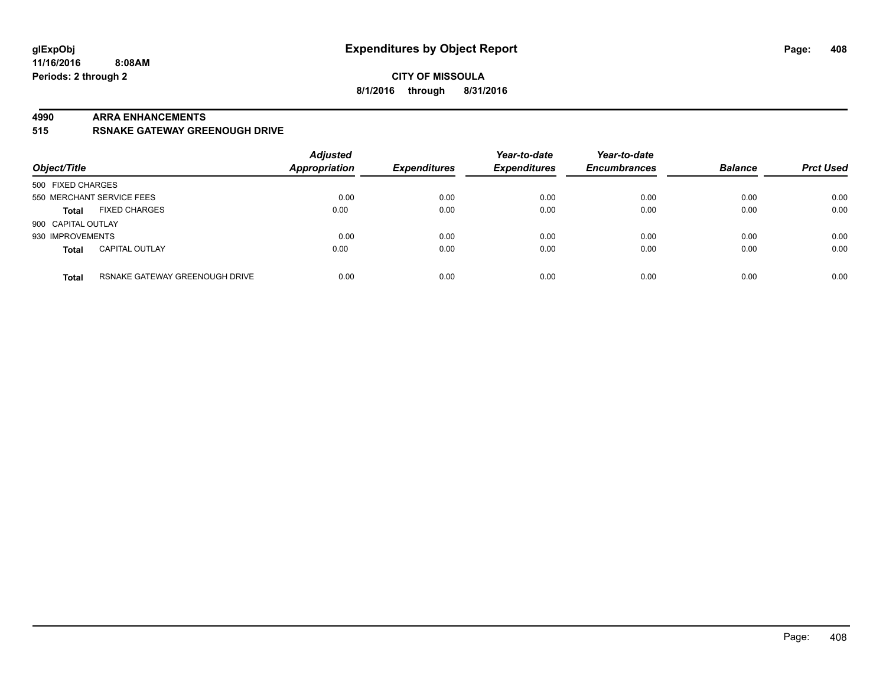#### **4990 ARRA ENHANCEMENTS**

**515 RSNAKE GATEWAY GREENOUGH DRIVE**

| Object/Title       |                                | <b>Adjusted</b><br><b>Appropriation</b> | <b>Expenditures</b> | Year-to-date<br><b>Expenditures</b> | Year-to-date<br><b>Encumbrances</b> | <b>Balance</b> | <b>Prct Used</b> |
|--------------------|--------------------------------|-----------------------------------------|---------------------|-------------------------------------|-------------------------------------|----------------|------------------|
| 500 FIXED CHARGES  |                                |                                         |                     |                                     |                                     |                |                  |
|                    | 550 MERCHANT SERVICE FEES      | 0.00                                    | 0.00                | 0.00                                | 0.00                                | 0.00           | 0.00             |
| <b>Total</b>       | <b>FIXED CHARGES</b>           | 0.00                                    | 0.00                | 0.00                                | 0.00                                | 0.00           | 0.00             |
| 900 CAPITAL OUTLAY |                                |                                         |                     |                                     |                                     |                |                  |
| 930 IMPROVEMENTS   |                                | 0.00                                    | 0.00                | 0.00                                | 0.00                                | 0.00           | 0.00             |
| <b>Total</b>       | <b>CAPITAL OUTLAY</b>          | 0.00                                    | 0.00                | 0.00                                | 0.00                                | 0.00           | 0.00             |
| <b>Total</b>       | RSNAKE GATEWAY GREENOUGH DRIVE | 0.00                                    | 0.00                | 0.00                                | 0.00                                | 0.00           | 0.00             |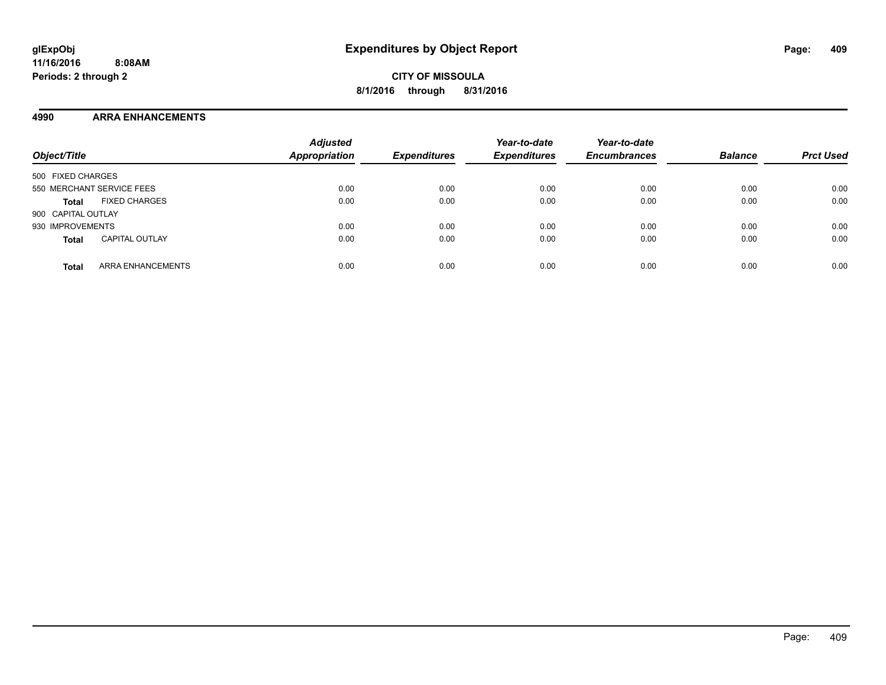### **4990 ARRA ENHANCEMENTS**

| Object/Title                             | <b>Adjusted</b><br><b>Appropriation</b> | <b>Expenditures</b> | Year-to-date<br><b>Expenditures</b> | Year-to-date<br><b>Encumbrances</b> | <b>Balance</b> | <b>Prct Used</b> |
|------------------------------------------|-----------------------------------------|---------------------|-------------------------------------|-------------------------------------|----------------|------------------|
| 500 FIXED CHARGES                        |                                         |                     |                                     |                                     |                |                  |
| 550 MERCHANT SERVICE FEES                | 0.00                                    | 0.00                | 0.00                                | 0.00                                | 0.00           | 0.00             |
| <b>FIXED CHARGES</b><br><b>Total</b>     | 0.00                                    | 0.00                | 0.00                                | 0.00                                | 0.00           | 0.00             |
| 900 CAPITAL OUTLAY                       |                                         |                     |                                     |                                     |                |                  |
| 930 IMPROVEMENTS                         | 0.00                                    | 0.00                | 0.00                                | 0.00                                | 0.00           | 0.00             |
| <b>CAPITAL OUTLAY</b><br><b>Total</b>    | 0.00                                    | 0.00                | 0.00                                | 0.00                                | 0.00           | 0.00             |
| <b>ARRA ENHANCEMENTS</b><br><b>Total</b> | 0.00                                    | 0.00                | 0.00                                | 0.00                                | 0.00           | 0.00             |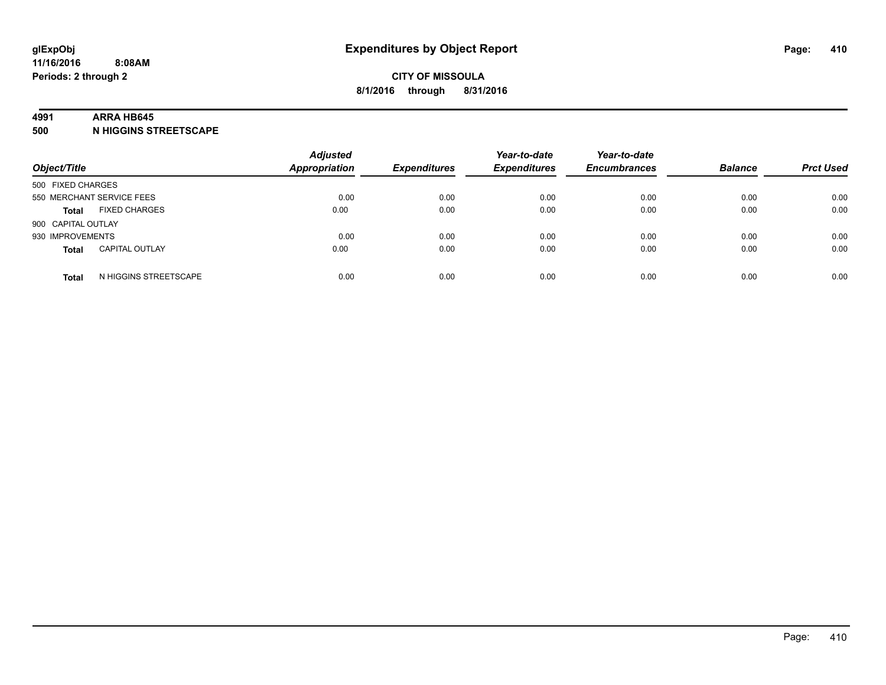#### **4991 ARRA HB645**

**500 N HIGGINS STREETSCAPE**

| Object/Title       |                           | <b>Adjusted</b><br><b>Appropriation</b> | <b>Expenditures</b> | Year-to-date<br><b>Expenditures</b> | Year-to-date<br><b>Encumbrances</b> | <b>Balance</b> | <b>Prct Used</b> |
|--------------------|---------------------------|-----------------------------------------|---------------------|-------------------------------------|-------------------------------------|----------------|------------------|
| 500 FIXED CHARGES  |                           |                                         |                     |                                     |                                     |                |                  |
|                    | 550 MERCHANT SERVICE FEES | 0.00                                    | 0.00                | 0.00                                | 0.00                                | 0.00           | 0.00             |
| <b>Total</b>       | <b>FIXED CHARGES</b>      | 0.00                                    | 0.00                | 0.00                                | 0.00                                | 0.00           | 0.00             |
| 900 CAPITAL OUTLAY |                           |                                         |                     |                                     |                                     |                |                  |
| 930 IMPROVEMENTS   |                           | 0.00                                    | 0.00                | 0.00                                | 0.00                                | 0.00           | 0.00             |
| <b>Total</b>       | <b>CAPITAL OUTLAY</b>     | 0.00                                    | 0.00                | 0.00                                | 0.00                                | 0.00           | 0.00             |
| <b>Total</b>       | N HIGGINS STREETSCAPE     | 0.00                                    | 0.00                | 0.00                                | 0.00                                | 0.00           | 0.00             |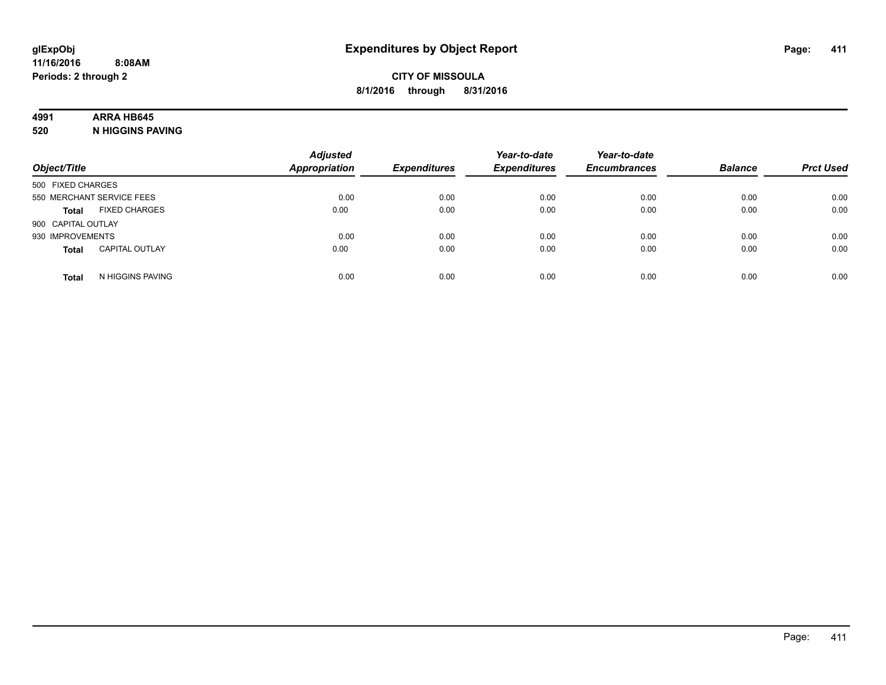### **4991 ARRA HB645**

**520 N HIGGINS PAVING**

| Object/Title       |                           | <b>Adjusted</b><br><b>Appropriation</b> | <b>Expenditures</b> | Year-to-date<br><b>Expenditures</b> | Year-to-date<br><b>Encumbrances</b> | <b>Balance</b> | <b>Prct Used</b> |
|--------------------|---------------------------|-----------------------------------------|---------------------|-------------------------------------|-------------------------------------|----------------|------------------|
| 500 FIXED CHARGES  |                           |                                         |                     |                                     |                                     |                |                  |
|                    | 550 MERCHANT SERVICE FEES | 0.00                                    | 0.00                | 0.00                                | 0.00                                | 0.00           | 0.00             |
| <b>Total</b>       | <b>FIXED CHARGES</b>      | 0.00                                    | 0.00                | 0.00                                | 0.00                                | 0.00           | 0.00             |
| 900 CAPITAL OUTLAY |                           |                                         |                     |                                     |                                     |                |                  |
| 930 IMPROVEMENTS   |                           | 0.00                                    | 0.00                | 0.00                                | 0.00                                | 0.00           | 0.00             |
| <b>Total</b>       | <b>CAPITAL OUTLAY</b>     | 0.00                                    | 0.00                | 0.00                                | 0.00                                | 0.00           | 0.00             |
| <b>Total</b>       | N HIGGINS PAVING          | 0.00                                    | 0.00                | 0.00                                | 0.00                                | 0.00           | 0.00             |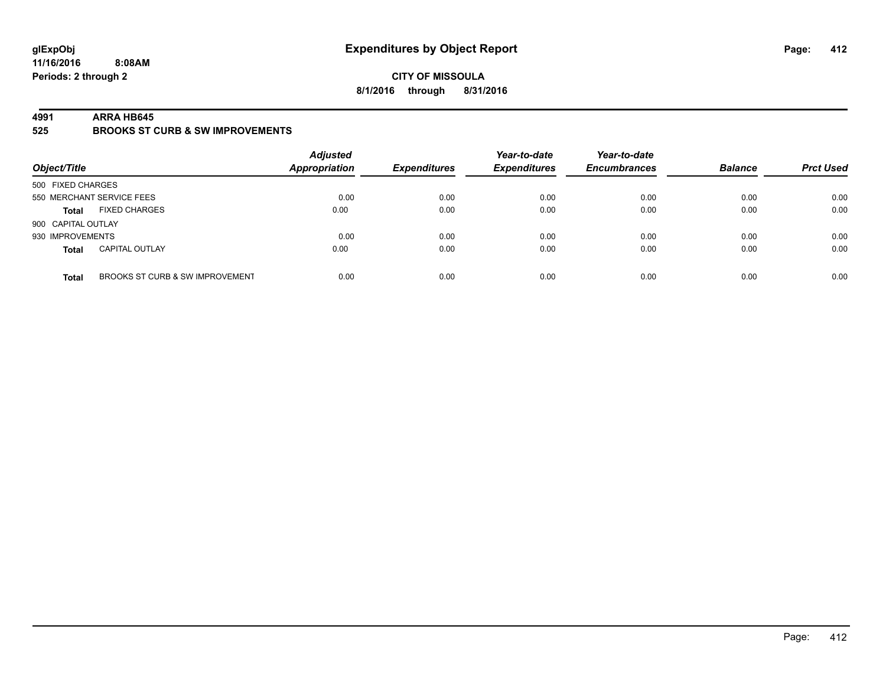### **CITY OF MISSOULA 8/1/2016 through 8/31/2016**

#### **4991 ARRA HB645**

**525 BROOKS ST CURB & SW IMPROVEMENTS**

| Object/Title       |                                 | <b>Adjusted</b><br><b>Appropriation</b> | <b>Expenditures</b> | Year-to-date<br><b>Expenditures</b> | Year-to-date<br><b>Encumbrances</b> | <b>Balance</b> | <b>Prct Used</b> |
|--------------------|---------------------------------|-----------------------------------------|---------------------|-------------------------------------|-------------------------------------|----------------|------------------|
| 500 FIXED CHARGES  |                                 |                                         |                     |                                     |                                     |                |                  |
|                    | 550 MERCHANT SERVICE FEES       | 0.00                                    | 0.00                | 0.00                                | 0.00                                | 0.00           | 0.00             |
| <b>Total</b>       | <b>FIXED CHARGES</b>            | 0.00                                    | 0.00                | 0.00                                | 0.00                                | 0.00           | 0.00             |
| 900 CAPITAL OUTLAY |                                 |                                         |                     |                                     |                                     |                |                  |
| 930 IMPROVEMENTS   |                                 | 0.00                                    | 0.00                | 0.00                                | 0.00                                | 0.00           | 0.00             |
| <b>Total</b>       | <b>CAPITAL OUTLAY</b>           | 0.00                                    | 0.00                | 0.00                                | 0.00                                | 0.00           | 0.00             |
| <b>Total</b>       | BROOKS ST CURB & SW IMPROVEMENT | 0.00                                    | 0.00                | 0.00                                | 0.00                                | 0.00           | 0.00             |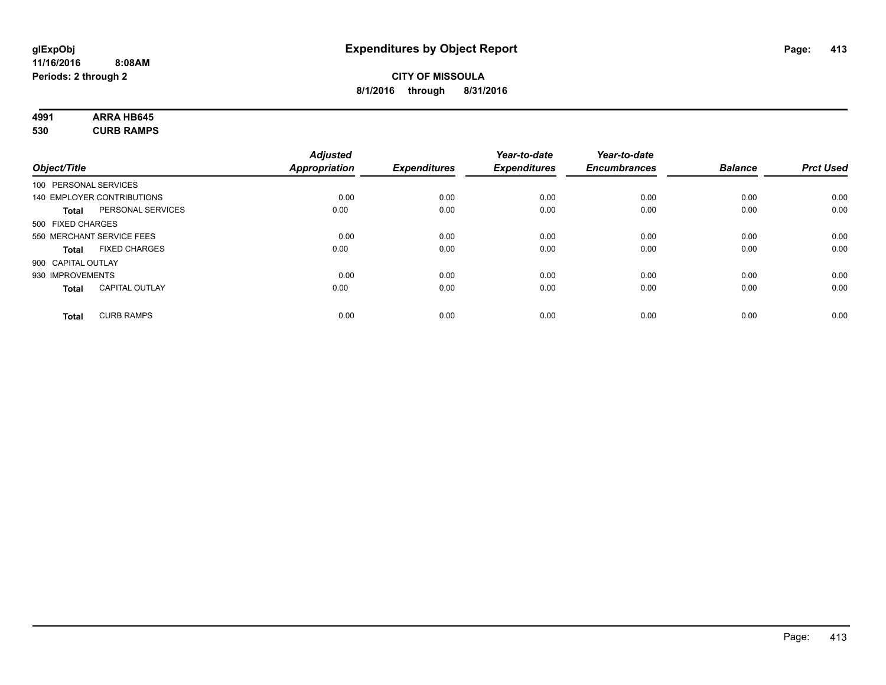# **4991 ARRA HB645**

**530 CURB RAMPS**

|                    |                            | <b>Adjusted</b>      |                     | Year-to-date        | Year-to-date        |                |                  |
|--------------------|----------------------------|----------------------|---------------------|---------------------|---------------------|----------------|------------------|
| Object/Title       |                            | <b>Appropriation</b> | <b>Expenditures</b> | <b>Expenditures</b> | <b>Encumbrances</b> | <b>Balance</b> | <b>Prct Used</b> |
|                    | 100 PERSONAL SERVICES      |                      |                     |                     |                     |                |                  |
|                    | 140 EMPLOYER CONTRIBUTIONS | 0.00                 | 0.00                | 0.00                | 0.00                | 0.00           | 0.00             |
| <b>Total</b>       | PERSONAL SERVICES          | 0.00                 | 0.00                | 0.00                | 0.00                | 0.00           | 0.00             |
| 500 FIXED CHARGES  |                            |                      |                     |                     |                     |                |                  |
|                    | 550 MERCHANT SERVICE FEES  | 0.00                 | 0.00                | 0.00                | 0.00                | 0.00           | 0.00             |
| <b>Total</b>       | <b>FIXED CHARGES</b>       | 0.00                 | 0.00                | 0.00                | 0.00                | 0.00           | 0.00             |
| 900 CAPITAL OUTLAY |                            |                      |                     |                     |                     |                |                  |
| 930 IMPROVEMENTS   |                            | 0.00                 | 0.00                | 0.00                | 0.00                | 0.00           | 0.00             |
| Total              | <b>CAPITAL OUTLAY</b>      | 0.00                 | 0.00                | 0.00                | 0.00                | 0.00           | 0.00             |
| <b>Total</b>       | <b>CURB RAMPS</b>          | 0.00                 | 0.00                | 0.00                | 0.00                | 0.00           | 0.00             |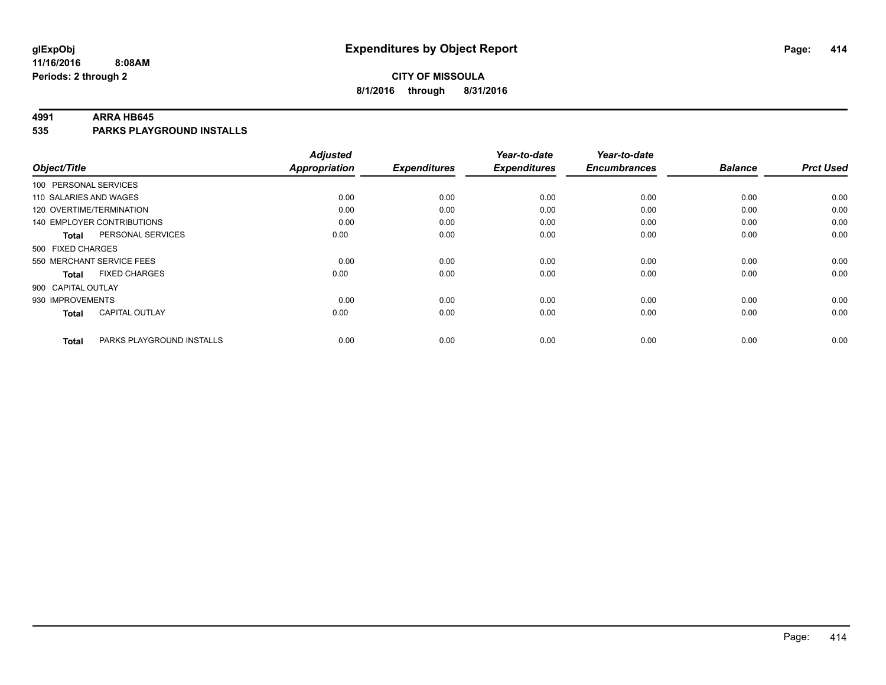### **CITY OF MISSOULA 8/1/2016 through 8/31/2016**

#### **4991 ARRA HB645**

**535 PARKS PLAYGROUND INSTALLS**

|                          |                                   | <b>Adjusted</b>      |                     | Year-to-date        | Year-to-date        |                |                  |
|--------------------------|-----------------------------------|----------------------|---------------------|---------------------|---------------------|----------------|------------------|
| Object/Title             |                                   | <b>Appropriation</b> | <b>Expenditures</b> | <b>Expenditures</b> | <b>Encumbrances</b> | <b>Balance</b> | <b>Prct Used</b> |
| 100 PERSONAL SERVICES    |                                   |                      |                     |                     |                     |                |                  |
| 110 SALARIES AND WAGES   |                                   | 0.00                 | 0.00                | 0.00                | 0.00                | 0.00           | 0.00             |
| 120 OVERTIME/TERMINATION |                                   | 0.00                 | 0.00                | 0.00                | 0.00                | 0.00           | 0.00             |
|                          | <b>140 EMPLOYER CONTRIBUTIONS</b> | 0.00                 | 0.00                | 0.00                | 0.00                | 0.00           | 0.00             |
| <b>Total</b>             | PERSONAL SERVICES                 | 0.00                 | 0.00                | 0.00                | 0.00                | 0.00           | 0.00             |
| 500 FIXED CHARGES        |                                   |                      |                     |                     |                     |                |                  |
|                          | 550 MERCHANT SERVICE FEES         | 0.00                 | 0.00                | 0.00                | 0.00                | 0.00           | 0.00             |
| <b>Total</b>             | <b>FIXED CHARGES</b>              | 0.00                 | 0.00                | 0.00                | 0.00                | 0.00           | 0.00             |
| 900 CAPITAL OUTLAY       |                                   |                      |                     |                     |                     |                |                  |
| 930 IMPROVEMENTS         |                                   | 0.00                 | 0.00                | 0.00                | 0.00                | 0.00           | 0.00             |
| <b>Total</b>             | <b>CAPITAL OUTLAY</b>             | 0.00                 | 0.00                | 0.00                | 0.00                | 0.00           | 0.00             |
| <b>Total</b>             | PARKS PLAYGROUND INSTALLS         | 0.00                 | 0.00                | 0.00                | 0.00                | 0.00           | 0.00             |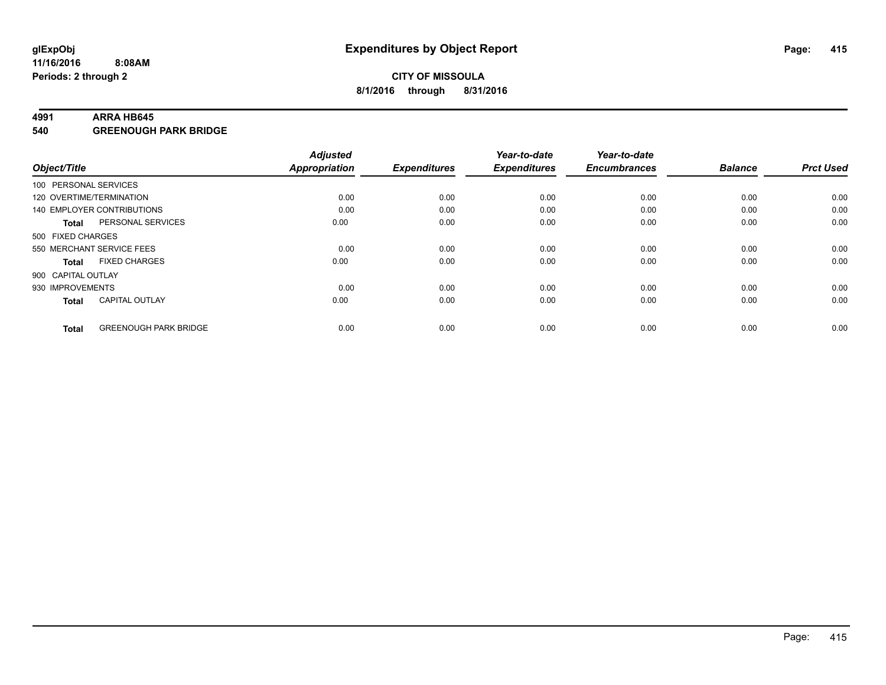#### **4991 ARRA HB645**

**540 GREENOUGH PARK BRIDGE**

|                          |                                   | <b>Adjusted</b> |                     | Year-to-date        | Year-to-date        |                |                  |
|--------------------------|-----------------------------------|-----------------|---------------------|---------------------|---------------------|----------------|------------------|
| Object/Title             |                                   | Appropriation   | <b>Expenditures</b> | <b>Expenditures</b> | <b>Encumbrances</b> | <b>Balance</b> | <b>Prct Used</b> |
| 100 PERSONAL SERVICES    |                                   |                 |                     |                     |                     |                |                  |
| 120 OVERTIME/TERMINATION |                                   | 0.00            | 0.00                | 0.00                | 0.00                | 0.00           | 0.00             |
|                          | <b>140 EMPLOYER CONTRIBUTIONS</b> | 0.00            | 0.00                | 0.00                | 0.00                | 0.00           | 0.00             |
| <b>Total</b>             | PERSONAL SERVICES                 | 0.00            | 0.00                | 0.00                | 0.00                | 0.00           | 0.00             |
| 500 FIXED CHARGES        |                                   |                 |                     |                     |                     |                |                  |
|                          | 550 MERCHANT SERVICE FEES         | 0.00            | 0.00                | 0.00                | 0.00                | 0.00           | 0.00             |
| <b>Total</b>             | <b>FIXED CHARGES</b>              | 0.00            | 0.00                | 0.00                | 0.00                | 0.00           | 0.00             |
| 900 CAPITAL OUTLAY       |                                   |                 |                     |                     |                     |                |                  |
| 930 IMPROVEMENTS         |                                   | 0.00            | 0.00                | 0.00                | 0.00                | 0.00           | 0.00             |
| <b>Total</b>             | <b>CAPITAL OUTLAY</b>             | 0.00            | 0.00                | 0.00                | 0.00                | 0.00           | 0.00             |
|                          |                                   |                 |                     |                     |                     |                |                  |
| <b>Total</b>             | <b>GREENOUGH PARK BRIDGE</b>      | 0.00            | 0.00                | 0.00                | 0.00                | 0.00           | 0.00             |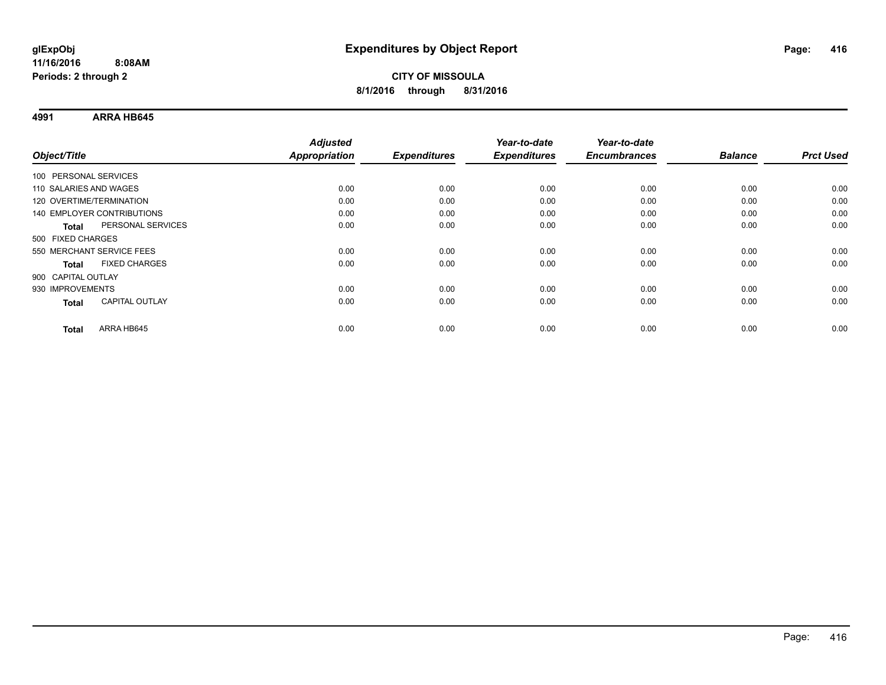**4991 ARRA HB645**

| Object/Title                      | <b>Adjusted</b><br><b>Appropriation</b> | <b>Expenditures</b> | Year-to-date<br><b>Expenditures</b> | Year-to-date<br><b>Encumbrances</b> | <b>Balance</b> | <b>Prct Used</b> |
|-----------------------------------|-----------------------------------------|---------------------|-------------------------------------|-------------------------------------|----------------|------------------|
|                                   |                                         |                     |                                     |                                     |                |                  |
| 100 PERSONAL SERVICES             |                                         |                     |                                     |                                     |                |                  |
| 110 SALARIES AND WAGES            | 0.00                                    | 0.00                | 0.00                                | 0.00                                | 0.00           | 0.00             |
| 120 OVERTIME/TERMINATION          | 0.00                                    | 0.00                | 0.00                                | 0.00                                | 0.00           | 0.00             |
| 140 EMPLOYER CONTRIBUTIONS        | 0.00                                    | 0.00                | 0.00                                | 0.00                                | 0.00           | 0.00             |
| PERSONAL SERVICES<br><b>Total</b> | 0.00                                    | 0.00                | 0.00                                | 0.00                                | 0.00           | 0.00             |
| 500 FIXED CHARGES                 |                                         |                     |                                     |                                     |                |                  |
| 550 MERCHANT SERVICE FEES         | 0.00                                    | 0.00                | 0.00                                | 0.00                                | 0.00           | 0.00             |
| <b>FIXED CHARGES</b><br>Total     | 0.00                                    | 0.00                | 0.00                                | 0.00                                | 0.00           | 0.00             |
| 900 CAPITAL OUTLAY                |                                         |                     |                                     |                                     |                |                  |
| 930 IMPROVEMENTS                  | 0.00                                    | 0.00                | 0.00                                | 0.00                                | 0.00           | 0.00             |
| <b>CAPITAL OUTLAY</b><br>Total    | 0.00                                    | 0.00                | 0.00                                | 0.00                                | 0.00           | 0.00             |
|                                   |                                         |                     |                                     |                                     |                |                  |
| ARRA HB645<br><b>Total</b>        | 0.00                                    | 0.00                | 0.00                                | 0.00                                | 0.00           | 0.00             |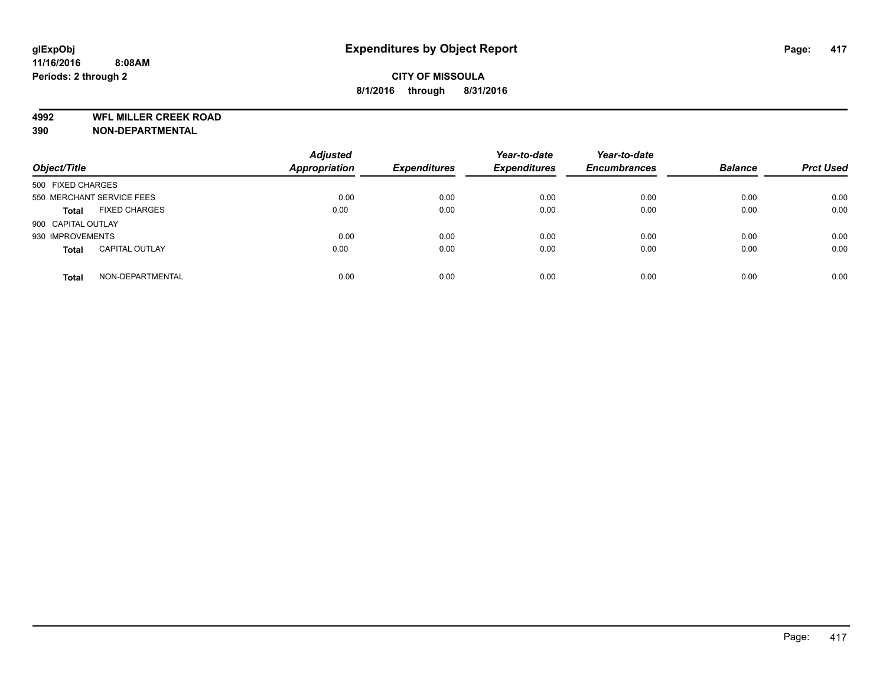**4992 WFL MILLER CREEK ROAD**

**390 NON-DEPARTMENTAL**

| Object/Title              |                       | <b>Adjusted</b><br><b>Appropriation</b> | <b>Expenditures</b> | Year-to-date<br><b>Expenditures</b> | Year-to-date<br><b>Encumbrances</b> | <b>Balance</b> | <b>Prct Used</b> |
|---------------------------|-----------------------|-----------------------------------------|---------------------|-------------------------------------|-------------------------------------|----------------|------------------|
| 500 FIXED CHARGES         |                       |                                         |                     |                                     |                                     |                |                  |
| 550 MERCHANT SERVICE FEES |                       | 0.00                                    | 0.00                | 0.00                                | 0.00                                | 0.00           | 0.00             |
| <b>Total</b>              | <b>FIXED CHARGES</b>  | 0.00                                    | 0.00                | 0.00                                | 0.00                                | 0.00           | 0.00             |
| 900 CAPITAL OUTLAY        |                       |                                         |                     |                                     |                                     |                |                  |
| 930 IMPROVEMENTS          |                       | 0.00                                    | 0.00                | 0.00                                | 0.00                                | 0.00           | 0.00             |
| <b>Total</b>              | <b>CAPITAL OUTLAY</b> | 0.00                                    | 0.00                | 0.00                                | 0.00                                | 0.00           | 0.00             |
| <b>Total</b>              | NON-DEPARTMENTAL      | 0.00                                    | 0.00                | 0.00                                | 0.00                                | 0.00           | 0.00             |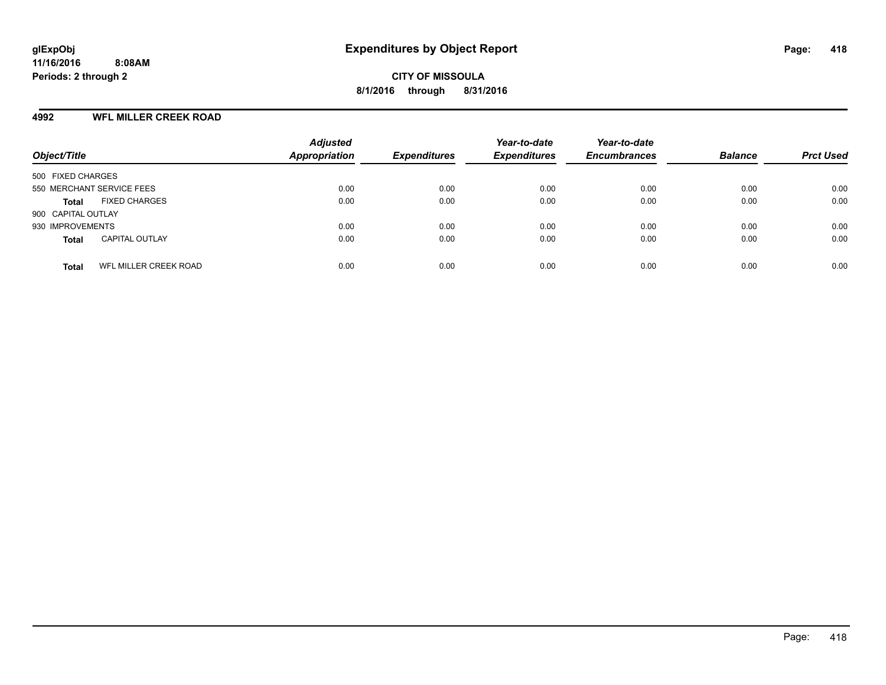### **4992 WFL MILLER CREEK ROAD**

| Object/Title                          | <b>Adjusted</b><br><b>Appropriation</b> | <b>Expenditures</b> | Year-to-date<br><b>Expenditures</b> | Year-to-date<br><b>Encumbrances</b> | <b>Balance</b> | <b>Prct Used</b> |
|---------------------------------------|-----------------------------------------|---------------------|-------------------------------------|-------------------------------------|----------------|------------------|
| 500 FIXED CHARGES                     |                                         |                     |                                     |                                     |                |                  |
| 550 MERCHANT SERVICE FEES             | 0.00                                    | 0.00                | 0.00                                | 0.00                                | 0.00           | 0.00             |
| <b>FIXED CHARGES</b><br><b>Total</b>  | 0.00                                    | 0.00                | 0.00                                | 0.00                                | 0.00           | 0.00             |
| 900 CAPITAL OUTLAY                    |                                         |                     |                                     |                                     |                |                  |
| 930 IMPROVEMENTS                      | 0.00                                    | 0.00                | 0.00                                | 0.00                                | 0.00           | 0.00             |
| <b>CAPITAL OUTLAY</b><br><b>Total</b> | 0.00                                    | 0.00                | 0.00                                | 0.00                                | 0.00           | 0.00             |
| WFL MILLER CREEK ROAD<br><b>Total</b> | 0.00                                    | 0.00                | 0.00                                | 0.00                                | 0.00           | 0.00             |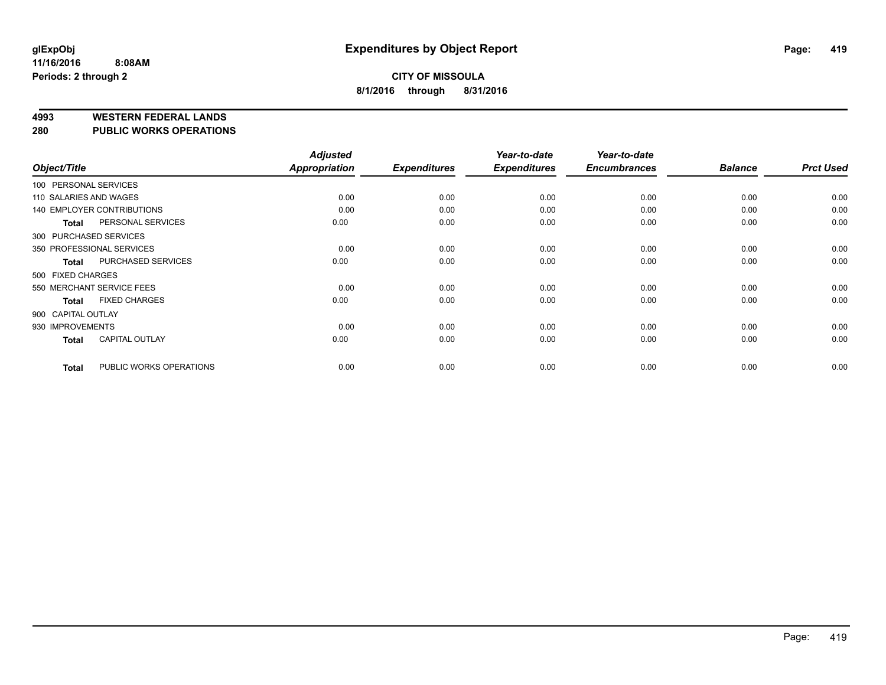#### **4993 WESTERN FEDERAL LANDS**

**280 PUBLIC WORKS OPERATIONS**

|                    |                                   | <b>Adjusted</b> |                     | Year-to-date        | Year-to-date        |                |                  |
|--------------------|-----------------------------------|-----------------|---------------------|---------------------|---------------------|----------------|------------------|
| Object/Title       |                                   | Appropriation   | <b>Expenditures</b> | <b>Expenditures</b> | <b>Encumbrances</b> | <b>Balance</b> | <b>Prct Used</b> |
|                    | 100 PERSONAL SERVICES             |                 |                     |                     |                     |                |                  |
|                    | 110 SALARIES AND WAGES            | 0.00            | 0.00                | 0.00                | 0.00                | 0.00           | 0.00             |
|                    | <b>140 EMPLOYER CONTRIBUTIONS</b> | 0.00            | 0.00                | 0.00                | 0.00                | 0.00           | 0.00             |
| <b>Total</b>       | PERSONAL SERVICES                 | 0.00            | 0.00                | 0.00                | 0.00                | 0.00           | 0.00             |
|                    | 300 PURCHASED SERVICES            |                 |                     |                     |                     |                |                  |
|                    | 350 PROFESSIONAL SERVICES         | 0.00            | 0.00                | 0.00                | 0.00                | 0.00           | 0.00             |
| <b>Total</b>       | <b>PURCHASED SERVICES</b>         | 0.00            | 0.00                | 0.00                | 0.00                | 0.00           | 0.00             |
| 500 FIXED CHARGES  |                                   |                 |                     |                     |                     |                |                  |
|                    | 550 MERCHANT SERVICE FEES         | 0.00            | 0.00                | 0.00                | 0.00                | 0.00           | 0.00             |
| <b>Total</b>       | <b>FIXED CHARGES</b>              | 0.00            | 0.00                | 0.00                | 0.00                | 0.00           | 0.00             |
| 900 CAPITAL OUTLAY |                                   |                 |                     |                     |                     |                |                  |
| 930 IMPROVEMENTS   |                                   | 0.00            | 0.00                | 0.00                | 0.00                | 0.00           | 0.00             |
| <b>Total</b>       | <b>CAPITAL OUTLAY</b>             | 0.00            | 0.00                | 0.00                | 0.00                | 0.00           | 0.00             |
| <b>Total</b>       | PUBLIC WORKS OPERATIONS           | 0.00            | 0.00                | 0.00                | 0.00                | 0.00           | 0.00             |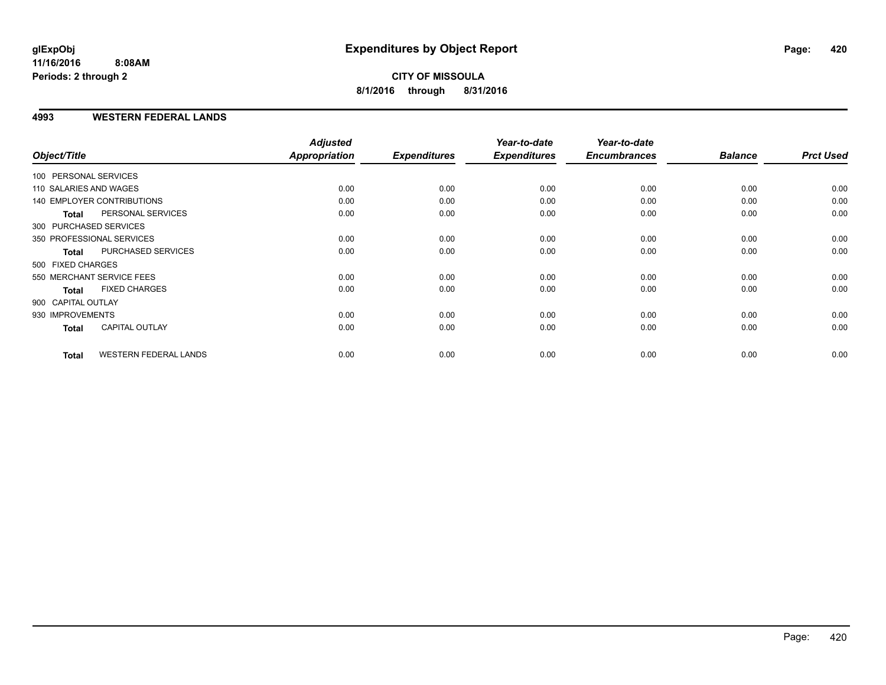### **4993 WESTERN FEDERAL LANDS**

| Object/Title           |                                   | <b>Adjusted</b><br><b>Appropriation</b> | <b>Expenditures</b> | Year-to-date<br><b>Expenditures</b> | Year-to-date<br><b>Encumbrances</b> | <b>Balance</b> | <b>Prct Used</b> |
|------------------------|-----------------------------------|-----------------------------------------|---------------------|-------------------------------------|-------------------------------------|----------------|------------------|
| 100 PERSONAL SERVICES  |                                   |                                         |                     |                                     |                                     |                |                  |
| 110 SALARIES AND WAGES |                                   | 0.00                                    | 0.00                | 0.00                                | 0.00                                | 0.00           | 0.00             |
|                        | <b>140 EMPLOYER CONTRIBUTIONS</b> | 0.00                                    | 0.00                | 0.00                                | 0.00                                | 0.00           | 0.00             |
| <b>Total</b>           | PERSONAL SERVICES                 | 0.00                                    | 0.00                | 0.00                                | 0.00                                | 0.00           | 0.00             |
| 300 PURCHASED SERVICES |                                   |                                         |                     |                                     |                                     |                |                  |
|                        | 350 PROFESSIONAL SERVICES         | 0.00                                    | 0.00                | 0.00                                | 0.00                                | 0.00           | 0.00             |
| <b>Total</b>           | PURCHASED SERVICES                | 0.00                                    | 0.00                | 0.00                                | 0.00                                | 0.00           | 0.00             |
| 500 FIXED CHARGES      |                                   |                                         |                     |                                     |                                     |                |                  |
|                        | 550 MERCHANT SERVICE FEES         | 0.00                                    | 0.00                | 0.00                                | 0.00                                | 0.00           | 0.00             |
| <b>Total</b>           | <b>FIXED CHARGES</b>              | 0.00                                    | 0.00                | 0.00                                | 0.00                                | 0.00           | 0.00             |
| 900 CAPITAL OUTLAY     |                                   |                                         |                     |                                     |                                     |                |                  |
| 930 IMPROVEMENTS       |                                   | 0.00                                    | 0.00                | 0.00                                | 0.00                                | 0.00           | 0.00             |
| Total                  | <b>CAPITAL OUTLAY</b>             | 0.00                                    | 0.00                | 0.00                                | 0.00                                | 0.00           | 0.00             |
| <b>Total</b>           | <b>WESTERN FEDERAL LANDS</b>      | 0.00                                    | 0.00                | 0.00                                | 0.00                                | 0.00           | 0.00             |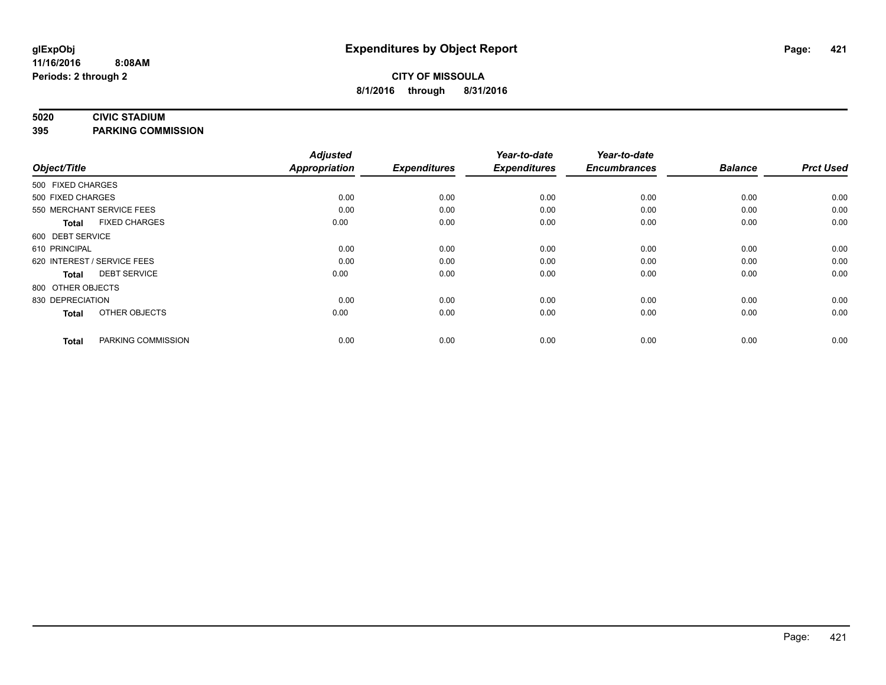#### **5020 CIVIC STADIUM**

**395 PARKING COMMISSION**

| Object/Title                |                      | <b>Adjusted</b><br><b>Appropriation</b> | <b>Expenditures</b> | Year-to-date<br><b>Expenditures</b> | Year-to-date<br><b>Encumbrances</b> | <b>Balance</b> | <b>Prct Used</b> |
|-----------------------------|----------------------|-----------------------------------------|---------------------|-------------------------------------|-------------------------------------|----------------|------------------|
| 500 FIXED CHARGES           |                      |                                         |                     |                                     |                                     |                |                  |
| 500 FIXED CHARGES           |                      | 0.00                                    | 0.00                | 0.00                                | 0.00                                | 0.00           | 0.00             |
| 550 MERCHANT SERVICE FEES   |                      | 0.00                                    | 0.00                | 0.00                                | 0.00                                | 0.00           | 0.00             |
| <b>Total</b>                | <b>FIXED CHARGES</b> | 0.00                                    | 0.00                | 0.00                                | 0.00                                | 0.00           | 0.00             |
| 600 DEBT SERVICE            |                      |                                         |                     |                                     |                                     |                |                  |
| 610 PRINCIPAL               |                      | 0.00                                    | 0.00                | 0.00                                | 0.00                                | 0.00           | 0.00             |
| 620 INTEREST / SERVICE FEES |                      | 0.00                                    | 0.00                | 0.00                                | 0.00                                | 0.00           | 0.00             |
| <b>Total</b>                | <b>DEBT SERVICE</b>  | 0.00                                    | 0.00                | 0.00                                | 0.00                                | 0.00           | 0.00             |
| 800 OTHER OBJECTS           |                      |                                         |                     |                                     |                                     |                |                  |
| 830 DEPRECIATION            |                      | 0.00                                    | 0.00                | 0.00                                | 0.00                                | 0.00           | 0.00             |
| <b>Total</b>                | OTHER OBJECTS        | 0.00                                    | 0.00                | 0.00                                | 0.00                                | 0.00           | 0.00             |
| <b>Total</b>                | PARKING COMMISSION   | 0.00                                    | 0.00                | 0.00                                | 0.00                                | 0.00           | 0.00             |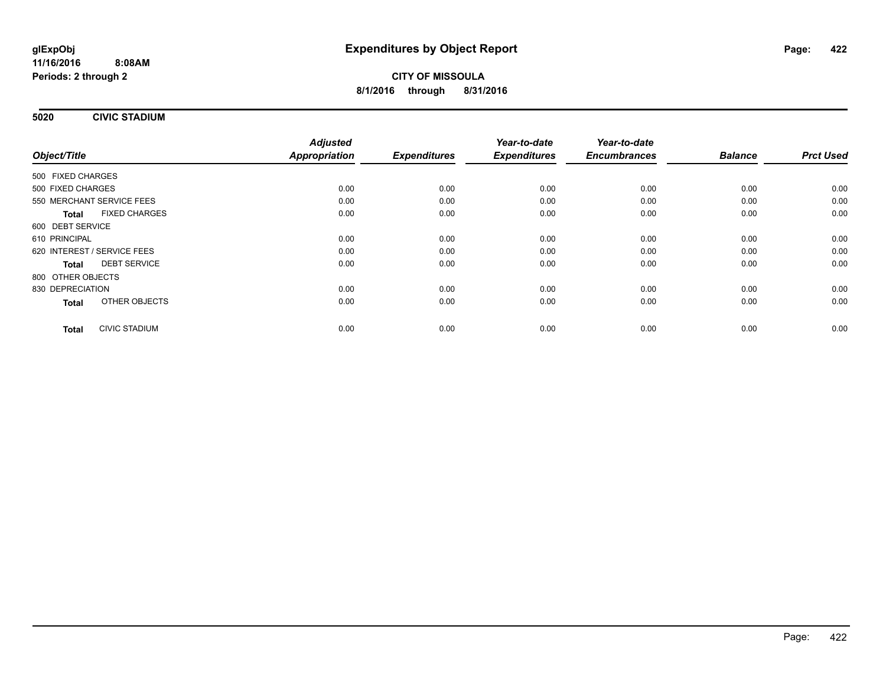**5020 CIVIC STADIUM**

|                                      | <b>Adjusted</b>      |                     | Year-to-date        | Year-to-date        | <b>Balance</b> | <b>Prct Used</b> |
|--------------------------------------|----------------------|---------------------|---------------------|---------------------|----------------|------------------|
| Object/Title                         | <b>Appropriation</b> | <b>Expenditures</b> | <b>Expenditures</b> | <b>Encumbrances</b> |                |                  |
| 500 FIXED CHARGES                    |                      |                     |                     |                     |                |                  |
| 500 FIXED CHARGES                    | 0.00                 | 0.00                | 0.00                | 0.00                | 0.00           | 0.00             |
| 550 MERCHANT SERVICE FEES            | 0.00                 | 0.00                | 0.00                | 0.00                | 0.00           | 0.00             |
| <b>FIXED CHARGES</b><br><b>Total</b> | 0.00                 | 0.00                | 0.00                | 0.00                | 0.00           | 0.00             |
| 600 DEBT SERVICE                     |                      |                     |                     |                     |                |                  |
| 610 PRINCIPAL                        | 0.00                 | 0.00                | 0.00                | 0.00                | 0.00           | 0.00             |
| 620 INTEREST / SERVICE FEES          | 0.00                 | 0.00                | 0.00                | 0.00                | 0.00           | 0.00             |
| <b>DEBT SERVICE</b><br><b>Total</b>  | 0.00                 | 0.00                | 0.00                | 0.00                | 0.00           | 0.00             |
| 800 OTHER OBJECTS                    |                      |                     |                     |                     |                |                  |
| 830 DEPRECIATION                     | 0.00                 | 0.00                | 0.00                | 0.00                | 0.00           | 0.00             |
| OTHER OBJECTS<br><b>Total</b>        | 0.00                 | 0.00                | 0.00                | 0.00                | 0.00           | 0.00             |
| <b>CIVIC STADIUM</b><br><b>Total</b> | 0.00                 | 0.00                | 0.00                | 0.00                | 0.00           | 0.00             |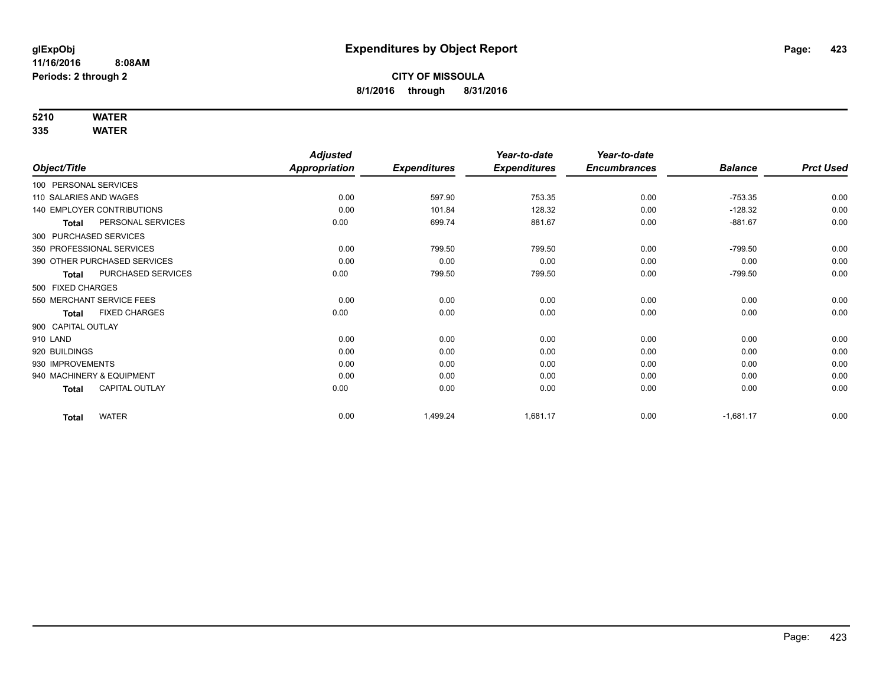## **5210 WATER**

|                                       | <b>Adjusted</b> |                     | Year-to-date        | Year-to-date        |                |                  |
|---------------------------------------|-----------------|---------------------|---------------------|---------------------|----------------|------------------|
| Object/Title                          | Appropriation   | <b>Expenditures</b> | <b>Expenditures</b> | <b>Encumbrances</b> | <b>Balance</b> | <b>Prct Used</b> |
| 100 PERSONAL SERVICES                 |                 |                     |                     |                     |                |                  |
| 110 SALARIES AND WAGES                | 0.00            | 597.90              | 753.35              | 0.00                | $-753.35$      | 0.00             |
| <b>140 EMPLOYER CONTRIBUTIONS</b>     | 0.00            | 101.84              | 128.32              | 0.00                | $-128.32$      | 0.00             |
| PERSONAL SERVICES<br><b>Total</b>     | 0.00            | 699.74              | 881.67              | 0.00                | $-881.67$      | 0.00             |
| 300 PURCHASED SERVICES                |                 |                     |                     |                     |                |                  |
| 350 PROFESSIONAL SERVICES             | 0.00            | 799.50              | 799.50              | 0.00                | $-799.50$      | 0.00             |
| 390 OTHER PURCHASED SERVICES          | 0.00            | 0.00                | 0.00                | 0.00                | 0.00           | 0.00             |
| PURCHASED SERVICES<br><b>Total</b>    | 0.00            | 799.50              | 799.50              | 0.00                | $-799.50$      | 0.00             |
| 500 FIXED CHARGES                     |                 |                     |                     |                     |                |                  |
| 550 MERCHANT SERVICE FEES             | 0.00            | 0.00                | 0.00                | 0.00                | 0.00           | 0.00             |
| <b>FIXED CHARGES</b><br><b>Total</b>  | 0.00            | 0.00                | 0.00                | 0.00                | 0.00           | 0.00             |
| 900 CAPITAL OUTLAY                    |                 |                     |                     |                     |                |                  |
| 910 LAND                              | 0.00            | 0.00                | 0.00                | 0.00                | 0.00           | 0.00             |
| 920 BUILDINGS                         | 0.00            | 0.00                | 0.00                | 0.00                | 0.00           | 0.00             |
| 930 IMPROVEMENTS                      | 0.00            | 0.00                | 0.00                | 0.00                | 0.00           | 0.00             |
| 940 MACHINERY & EQUIPMENT             | 0.00            | 0.00                | 0.00                | 0.00                | 0.00           | 0.00             |
| <b>CAPITAL OUTLAY</b><br><b>Total</b> | 0.00            | 0.00                | 0.00                | 0.00                | 0.00           | 0.00             |
| <b>WATER</b><br><b>Total</b>          | 0.00            | 1,499.24            | 1,681.17            | 0.00                | $-1,681.17$    | 0.00             |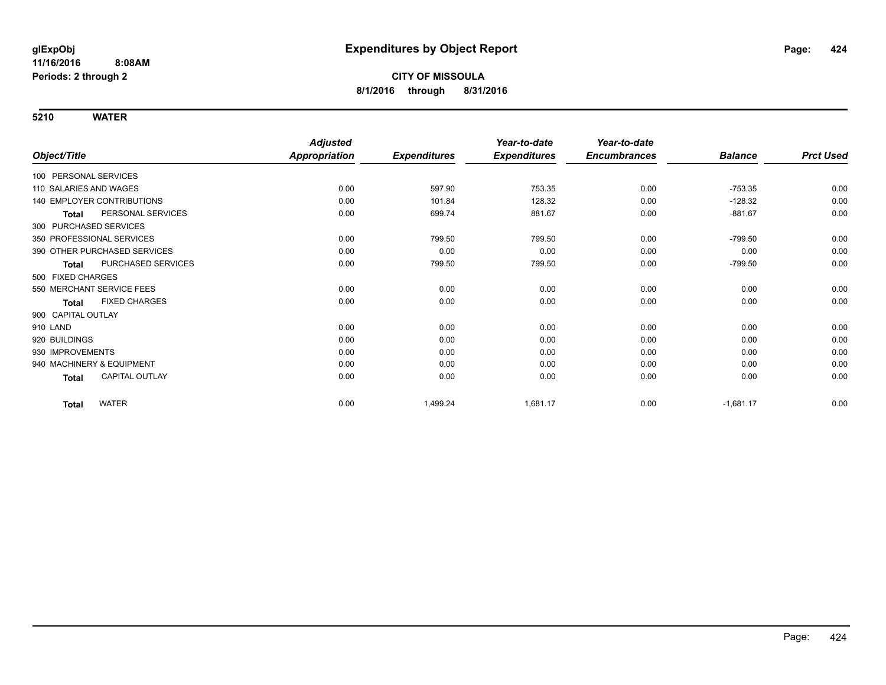|                                       | <b>Adjusted</b>      |                     | Year-to-date        | Year-to-date        |                |                  |
|---------------------------------------|----------------------|---------------------|---------------------|---------------------|----------------|------------------|
| Object/Title                          | <b>Appropriation</b> | <b>Expenditures</b> | <b>Expenditures</b> | <b>Encumbrances</b> | <b>Balance</b> | <b>Prct Used</b> |
| 100 PERSONAL SERVICES                 |                      |                     |                     |                     |                |                  |
| 110 SALARIES AND WAGES                | 0.00                 | 597.90              | 753.35              | 0.00                | $-753.35$      | 0.00             |
| <b>140 EMPLOYER CONTRIBUTIONS</b>     | 0.00                 | 101.84              | 128.32              | 0.00                | $-128.32$      | 0.00             |
| PERSONAL SERVICES<br><b>Total</b>     | 0.00                 | 699.74              | 881.67              | 0.00                | $-881.67$      | 0.00             |
| 300 PURCHASED SERVICES                |                      |                     |                     |                     |                |                  |
| 350 PROFESSIONAL SERVICES             | 0.00                 | 799.50              | 799.50              | 0.00                | $-799.50$      | 0.00             |
| 390 OTHER PURCHASED SERVICES          | 0.00                 | 0.00                | 0.00                | 0.00                | 0.00           | 0.00             |
| PURCHASED SERVICES<br><b>Total</b>    | 0.00                 | 799.50              | 799.50              | 0.00                | $-799.50$      | 0.00             |
| 500 FIXED CHARGES                     |                      |                     |                     |                     |                |                  |
| 550 MERCHANT SERVICE FEES             | 0.00                 | 0.00                | 0.00                | 0.00                | 0.00           | 0.00             |
| <b>FIXED CHARGES</b><br>Total         | 0.00                 | 0.00                | 0.00                | 0.00                | 0.00           | 0.00             |
| 900 CAPITAL OUTLAY                    |                      |                     |                     |                     |                |                  |
| 910 LAND                              | 0.00                 | 0.00                | 0.00                | 0.00                | 0.00           | 0.00             |
| 920 BUILDINGS                         | 0.00                 | 0.00                | 0.00                | 0.00                | 0.00           | 0.00             |
| 930 IMPROVEMENTS                      | 0.00                 | 0.00                | 0.00                | 0.00                | 0.00           | 0.00             |
| 940 MACHINERY & EQUIPMENT             | 0.00                 | 0.00                | 0.00                | 0.00                | 0.00           | 0.00             |
| <b>CAPITAL OUTLAY</b><br><b>Total</b> | 0.00                 | 0.00                | 0.00                | 0.00                | 0.00           | 0.00             |
| <b>WATER</b><br><b>Total</b>          | 0.00                 | 1,499.24            | 1,681.17            | 0.00                | $-1,681.17$    | 0.00             |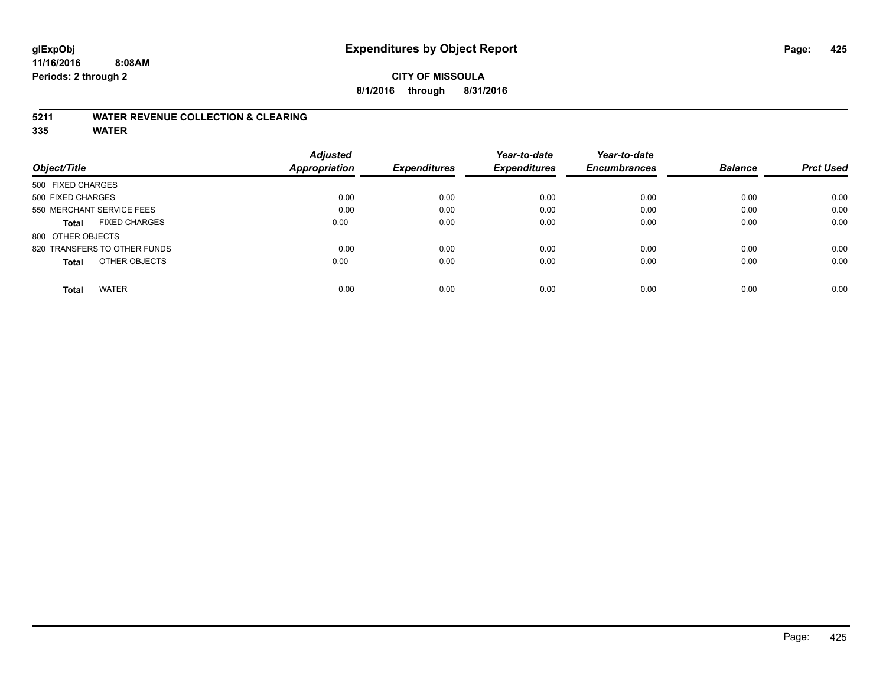### **CITY OF MISSOULA 8/1/2016 through 8/31/2016**

### **5211 WATER REVENUE COLLECTION & CLEARING**

|                                      | <b>Adjusted</b> |                     | Year-to-date        | Year-to-date        |                |                  |
|--------------------------------------|-----------------|---------------------|---------------------|---------------------|----------------|------------------|
| Object/Title                         | Appropriation   | <b>Expenditures</b> | <b>Expenditures</b> | <b>Encumbrances</b> | <b>Balance</b> | <b>Prct Used</b> |
| 500 FIXED CHARGES                    |                 |                     |                     |                     |                |                  |
| 500 FIXED CHARGES                    | 0.00            | 0.00                | 0.00                | 0.00                | 0.00           | 0.00             |
| 550 MERCHANT SERVICE FEES            | 0.00            | 0.00                | 0.00                | 0.00                | 0.00           | 0.00             |
| <b>FIXED CHARGES</b><br><b>Total</b> | 0.00            | 0.00                | 0.00                | 0.00                | 0.00           | 0.00             |
| 800 OTHER OBJECTS                    |                 |                     |                     |                     |                |                  |
| 820 TRANSFERS TO OTHER FUNDS         | 0.00            | 0.00                | 0.00                | 0.00                | 0.00           | 0.00             |
| OTHER OBJECTS<br><b>Total</b>        | 0.00            | 0.00                | 0.00                | 0.00                | 0.00           | 0.00             |
| <b>WATER</b><br><b>Total</b>         | 0.00            | 0.00                | 0.00                | 0.00                | 0.00           | 0.00             |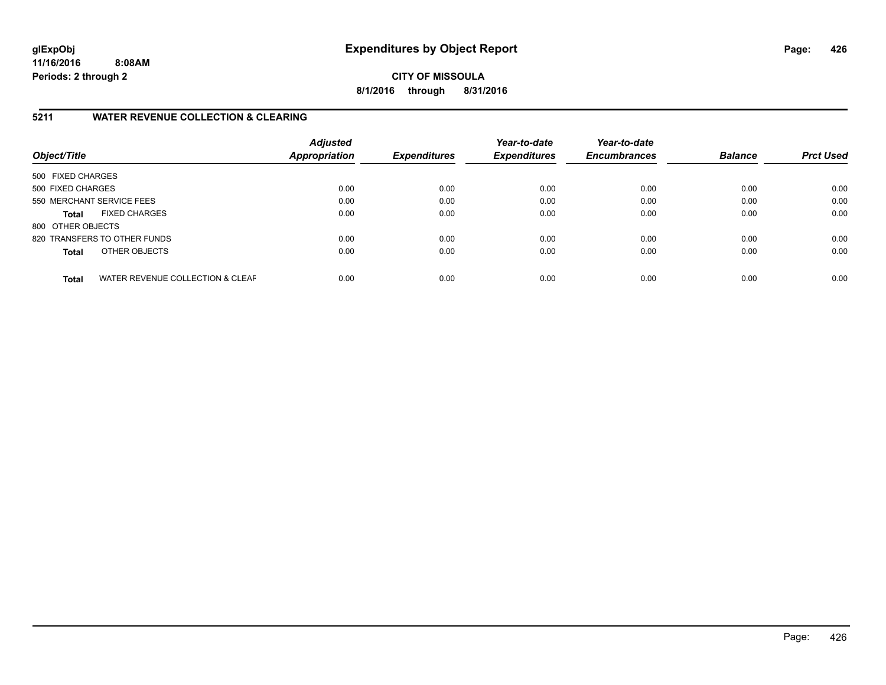**CITY OF MISSOULA 8/1/2016 through 8/31/2016**

### **5211 WATER REVENUE COLLECTION & CLEARING**

| Object/Title      |                                  | <b>Adjusted</b><br>Appropriation | <b>Expenditures</b> | Year-to-date<br><b>Expenditures</b> | Year-to-date<br><b>Encumbrances</b> | <b>Balance</b> | <b>Prct Used</b> |
|-------------------|----------------------------------|----------------------------------|---------------------|-------------------------------------|-------------------------------------|----------------|------------------|
| 500 FIXED CHARGES |                                  |                                  |                     |                                     |                                     |                |                  |
| 500 FIXED CHARGES |                                  | 0.00                             | 0.00                | 0.00                                | 0.00                                | 0.00           | 0.00             |
|                   | 550 MERCHANT SERVICE FEES        | 0.00                             | 0.00                | 0.00                                | 0.00                                | 0.00           | 0.00             |
| <b>Total</b>      | <b>FIXED CHARGES</b>             | 0.00                             | 0.00                | 0.00                                | 0.00                                | 0.00           | 0.00             |
| 800 OTHER OBJECTS |                                  |                                  |                     |                                     |                                     |                |                  |
|                   | 820 TRANSFERS TO OTHER FUNDS     | 0.00                             | 0.00                | 0.00                                | 0.00                                | 0.00           | 0.00             |
| <b>Total</b>      | OTHER OBJECTS                    | 0.00                             | 0.00                | 0.00                                | 0.00                                | 0.00           | 0.00             |
| <b>Total</b>      | WATER REVENUE COLLECTION & CLEAF | 0.00                             | 0.00                | 0.00                                | 0.00                                | 0.00           | 0.00             |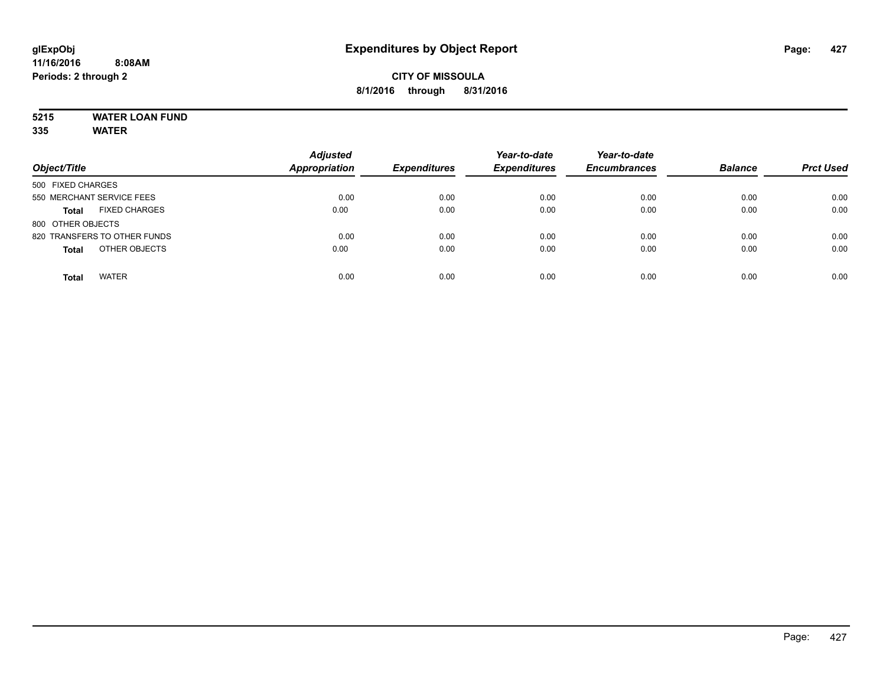## **5215 WATER LOAN FUND**

| Object/Title                         | <b>Adjusted</b><br><b>Appropriation</b> | <b>Expenditures</b> | Year-to-date<br><b>Expenditures</b> | Year-to-date<br><b>Encumbrances</b> | <b>Balance</b> | <b>Prct Used</b> |
|--------------------------------------|-----------------------------------------|---------------------|-------------------------------------|-------------------------------------|----------------|------------------|
| 500 FIXED CHARGES                    |                                         |                     |                                     |                                     |                |                  |
| 550 MERCHANT SERVICE FEES            | 0.00                                    | 0.00                | 0.00                                | 0.00                                | 0.00           | 0.00             |
| <b>FIXED CHARGES</b><br><b>Total</b> | 0.00                                    | 0.00                | 0.00                                | 0.00                                | 0.00           | 0.00             |
| 800 OTHER OBJECTS                    |                                         |                     |                                     |                                     |                |                  |
| 820 TRANSFERS TO OTHER FUNDS         | 0.00                                    | 0.00                | 0.00                                | 0.00                                | 0.00           | 0.00             |
| OTHER OBJECTS<br><b>Total</b>        | 0.00                                    | 0.00                | 0.00                                | 0.00                                | 0.00           | 0.00             |
| <b>WATER</b><br><b>Total</b>         | 0.00                                    | 0.00                | 0.00                                | 0.00                                | 0.00           | 0.00             |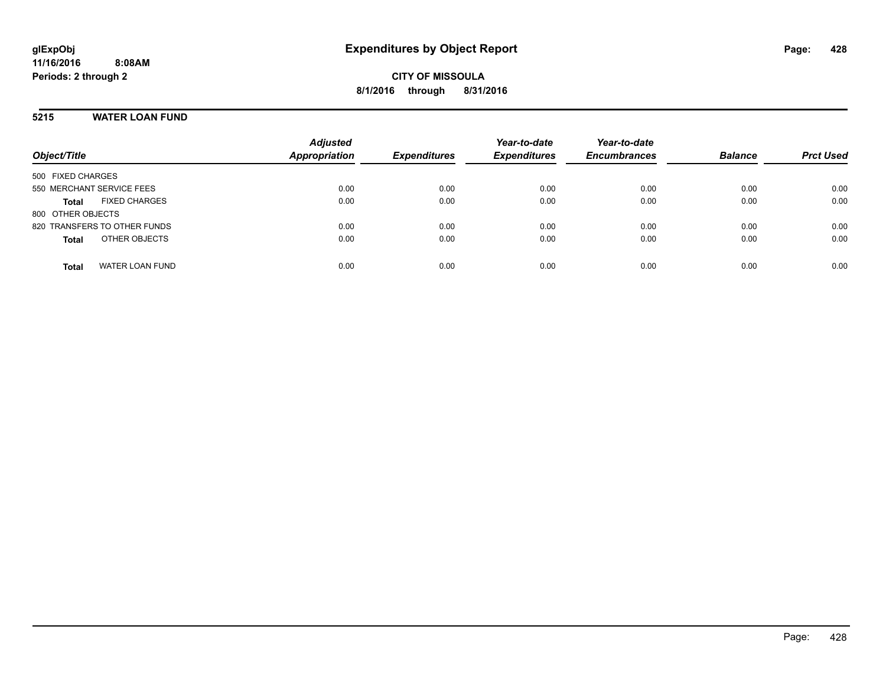### **5215 WATER LOAN FUND**

| Object/Title                           | <b>Adjusted</b><br><b>Appropriation</b> | <b>Expenditures</b> | Year-to-date<br><b>Expenditures</b> | Year-to-date<br><b>Encumbrances</b> | <b>Balance</b> | <b>Prct Used</b> |
|----------------------------------------|-----------------------------------------|---------------------|-------------------------------------|-------------------------------------|----------------|------------------|
| 500 FIXED CHARGES                      |                                         |                     |                                     |                                     |                |                  |
| 550 MERCHANT SERVICE FEES              | 0.00                                    | 0.00                | 0.00                                | 0.00                                | 0.00           | 0.00             |
| <b>FIXED CHARGES</b><br><b>Total</b>   | 0.00                                    | 0.00                | 0.00                                | 0.00                                | 0.00           | 0.00             |
| 800 OTHER OBJECTS                      |                                         |                     |                                     |                                     |                |                  |
| 820 TRANSFERS TO OTHER FUNDS           | 0.00                                    | 0.00                | 0.00                                | 0.00                                | 0.00           | 0.00             |
| OTHER OBJECTS<br><b>Total</b>          | 0.00                                    | 0.00                | 0.00                                | 0.00                                | 0.00           | 0.00             |
| <b>WATER LOAN FUND</b><br><b>Total</b> | 0.00                                    | 0.00                | 0.00                                | 0.00                                | 0.00           | 0.00             |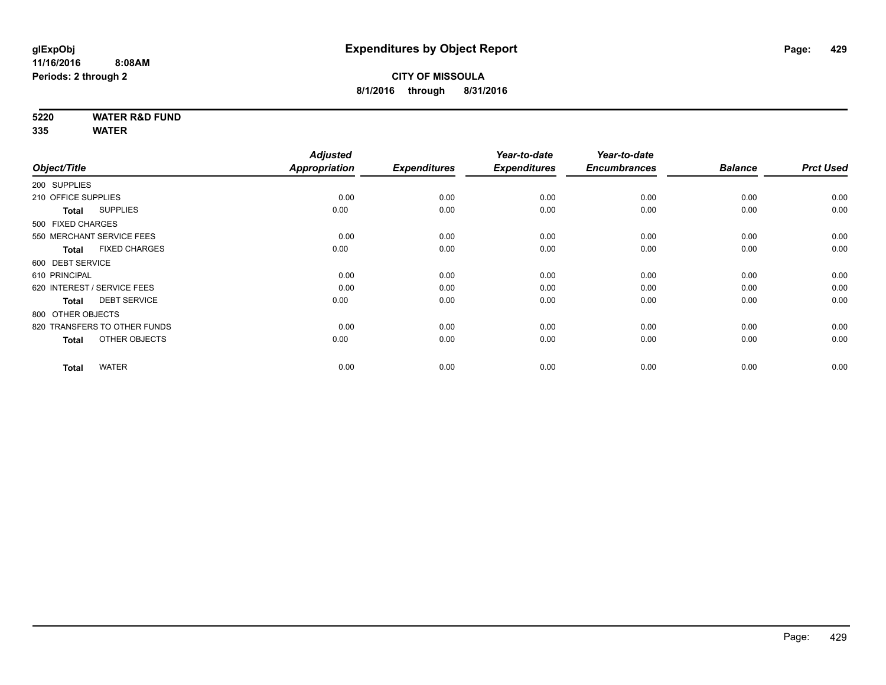**5220 WATER R&D FUND**

|                                      | <b>Adjusted</b>                                                                                                                                                                                                                                                |                       | Year-to-date                | Year-to-date                |                             |                        |
|--------------------------------------|----------------------------------------------------------------------------------------------------------------------------------------------------------------------------------------------------------------------------------------------------------------|-----------------------|-----------------------------|-----------------------------|-----------------------------|------------------------|
|                                      |                                                                                                                                                                                                                                                                |                       |                             |                             |                             | <b>Prct Used</b>       |
|                                      |                                                                                                                                                                                                                                                                |                       |                             |                             |                             |                        |
|                                      | 0.00                                                                                                                                                                                                                                                           | 0.00                  | 0.00                        | 0.00                        | 0.00                        | 0.00                   |
| <b>SUPPLIES</b><br><b>Total</b>      | 0.00                                                                                                                                                                                                                                                           | 0.00                  | 0.00                        | 0.00                        | 0.00                        | 0.00                   |
|                                      |                                                                                                                                                                                                                                                                |                       |                             |                             |                             |                        |
|                                      | 0.00                                                                                                                                                                                                                                                           | 0.00                  | 0.00                        | 0.00                        | 0.00                        | 0.00                   |
| <b>FIXED CHARGES</b><br><b>Total</b> | 0.00                                                                                                                                                                                                                                                           | 0.00                  | 0.00                        | 0.00                        | 0.00                        | 0.00                   |
|                                      |                                                                                                                                                                                                                                                                |                       |                             |                             |                             |                        |
|                                      | 0.00                                                                                                                                                                                                                                                           | 0.00                  | 0.00                        | 0.00                        | 0.00                        | 0.00                   |
|                                      | 0.00                                                                                                                                                                                                                                                           | 0.00                  | 0.00                        | 0.00                        | 0.00                        | 0.00                   |
| <b>DEBT SERVICE</b><br><b>Total</b>  | 0.00                                                                                                                                                                                                                                                           | 0.00                  | 0.00                        | 0.00                        | 0.00                        | 0.00                   |
|                                      |                                                                                                                                                                                                                                                                |                       |                             |                             |                             |                        |
|                                      | 0.00                                                                                                                                                                                                                                                           | 0.00                  | 0.00                        | 0.00                        | 0.00                        | 0.00                   |
| OTHER OBJECTS<br><b>Total</b>        | 0.00                                                                                                                                                                                                                                                           | 0.00                  | 0.00                        | 0.00                        | 0.00                        | 0.00                   |
|                                      |                                                                                                                                                                                                                                                                |                       |                             |                             |                             | 0.00                   |
|                                      | Object/Title<br>200 SUPPLIES<br>210 OFFICE SUPPLIES<br>500 FIXED CHARGES<br>550 MERCHANT SERVICE FEES<br>600 DEBT SERVICE<br>610 PRINCIPAL<br>620 INTEREST / SERVICE FEES<br>800 OTHER OBJECTS<br>820 TRANSFERS TO OTHER FUNDS<br><b>WATER</b><br><b>Total</b> | Appropriation<br>0.00 | <b>Expenditures</b><br>0.00 | <b>Expenditures</b><br>0.00 | <b>Encumbrances</b><br>0.00 | <b>Balance</b><br>0.00 |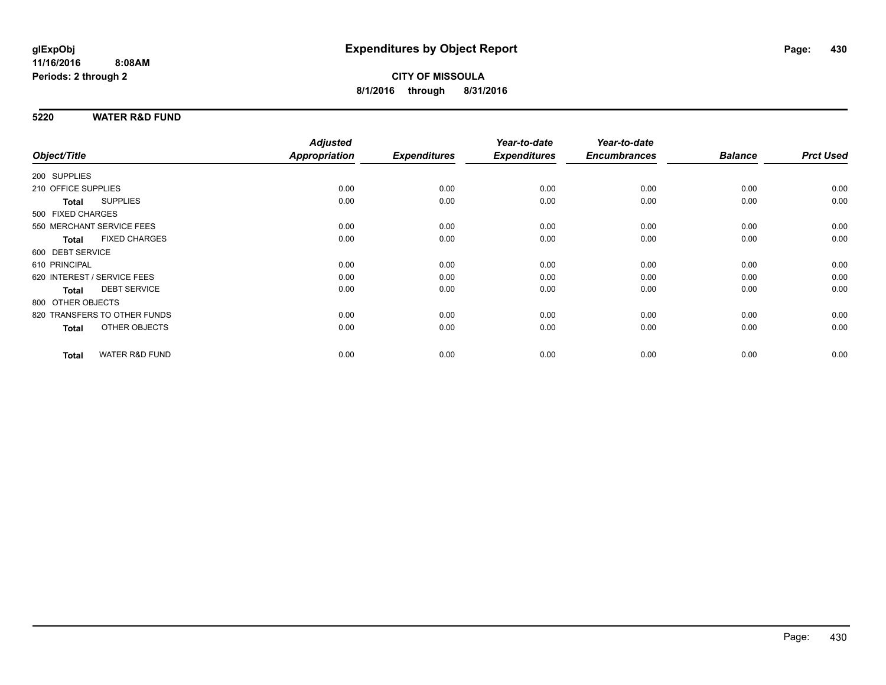### **5220 WATER R&D FUND**

|                     |                              | <b>Adjusted</b> |                     | Year-to-date        | Year-to-date        |                |                  |
|---------------------|------------------------------|-----------------|---------------------|---------------------|---------------------|----------------|------------------|
| Object/Title        |                              | Appropriation   | <b>Expenditures</b> | <b>Expenditures</b> | <b>Encumbrances</b> | <b>Balance</b> | <b>Prct Used</b> |
| 200 SUPPLIES        |                              |                 |                     |                     |                     |                |                  |
| 210 OFFICE SUPPLIES |                              | 0.00            | 0.00                | 0.00                | 0.00                | 0.00           | 0.00             |
| <b>Total</b>        | <b>SUPPLIES</b>              | 0.00            | 0.00                | 0.00                | 0.00                | 0.00           | 0.00             |
| 500 FIXED CHARGES   |                              |                 |                     |                     |                     |                |                  |
|                     | 550 MERCHANT SERVICE FEES    | 0.00            | 0.00                | 0.00                | 0.00                | 0.00           | 0.00             |
| <b>Total</b>        | <b>FIXED CHARGES</b>         | 0.00            | 0.00                | 0.00                | 0.00                | 0.00           | 0.00             |
| 600 DEBT SERVICE    |                              |                 |                     |                     |                     |                |                  |
| 610 PRINCIPAL       |                              | 0.00            | 0.00                | 0.00                | 0.00                | 0.00           | 0.00             |
|                     | 620 INTEREST / SERVICE FEES  | 0.00            | 0.00                | 0.00                | 0.00                | 0.00           | 0.00             |
| <b>Total</b>        | <b>DEBT SERVICE</b>          | 0.00            | 0.00                | 0.00                | 0.00                | 0.00           | 0.00             |
| 800 OTHER OBJECTS   |                              |                 |                     |                     |                     |                |                  |
|                     | 820 TRANSFERS TO OTHER FUNDS | 0.00            | 0.00                | 0.00                | 0.00                | 0.00           | 0.00             |
| <b>Total</b>        | OTHER OBJECTS                | 0.00            | 0.00                | 0.00                | 0.00                | 0.00           | 0.00             |
| <b>Total</b>        | <b>WATER R&amp;D FUND</b>    | 0.00            | 0.00                | 0.00                | 0.00                | 0.00           | 0.00             |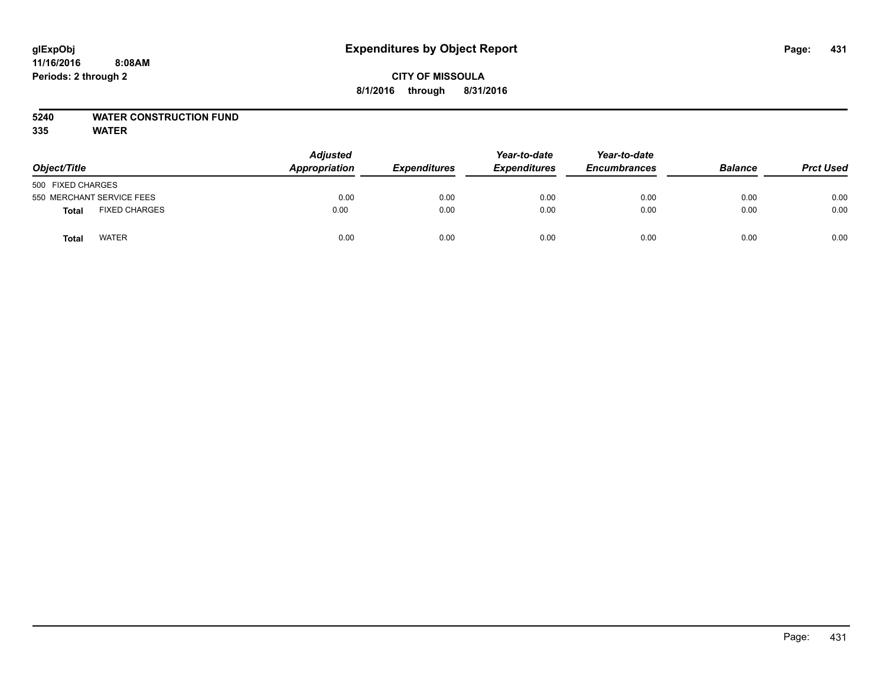### **CITY OF MISSOULA 8/1/2016 through 8/31/2016**

### **5240 WATER CONSTRUCTION FUND**

| Object/Title                         | <b>Adjusted</b><br>Appropriation | <b>Expenditures</b> | Year-to-date<br><b>Expenditures</b> | Year-to-date<br><b>Encumbrances</b> | <b>Balance</b> | <b>Prct Used</b> |
|--------------------------------------|----------------------------------|---------------------|-------------------------------------|-------------------------------------|----------------|------------------|
| 500 FIXED CHARGES                    |                                  |                     |                                     |                                     |                |                  |
| 550 MERCHANT SERVICE FEES            | 0.00                             | 0.00                | 0.00                                | 0.00                                | 0.00           | 0.00             |
| <b>FIXED CHARGES</b><br><b>Total</b> | 0.00                             | 0.00                | 0.00                                | 0.00                                | 0.00           | 0.00             |
| <b>WATER</b><br>Total                | 0.00                             | 0.00                | 0.00                                | 0.00                                | 0.00           | 0.00             |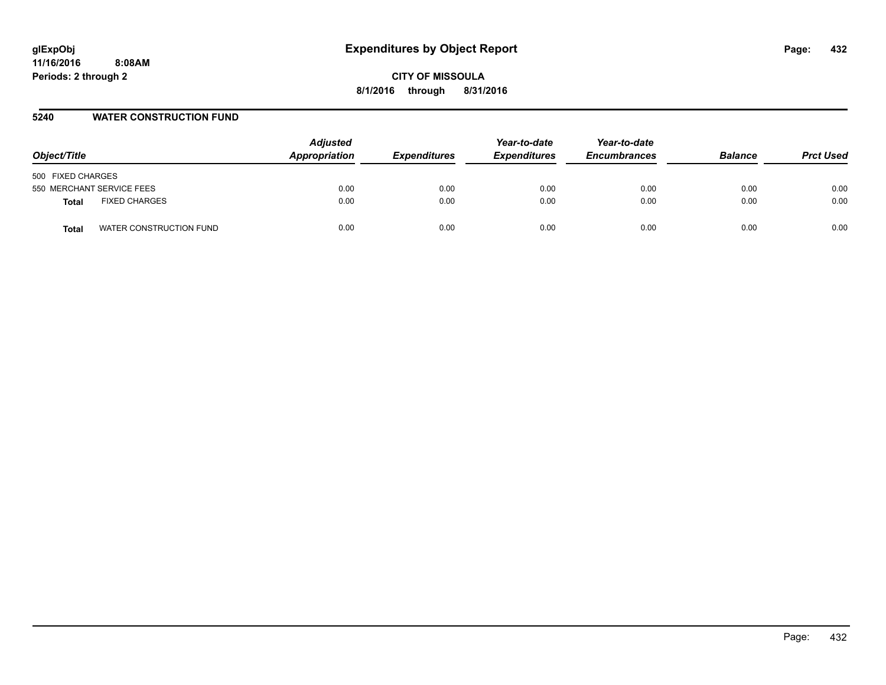### **5240 WATER CONSTRUCTION FUND**

| Object/Title                         | <b>Adjusted</b><br>Appropriation | <b>Expenditures</b> | Year-to-date<br><b>Expenditures</b> | Year-to-date<br><b>Encumbrances</b> | <b>Balance</b> | <b>Prct Used</b> |
|--------------------------------------|----------------------------------|---------------------|-------------------------------------|-------------------------------------|----------------|------------------|
| 500 FIXED CHARGES                    |                                  |                     |                                     |                                     |                |                  |
| 550 MERCHANT SERVICE FEES            | 0.00                             | 0.00                | 0.00                                | 0.00                                | 0.00           | 0.00             |
| <b>FIXED CHARGES</b><br><b>Total</b> | 0.00                             | 0.00                | 0.00                                | 0.00                                | 0.00           | 0.00             |
| WATER CONSTRUCTION FUND<br>Total     | 0.00                             | 0.00                | 0.00                                | 0.00                                | 0.00           | 0.00             |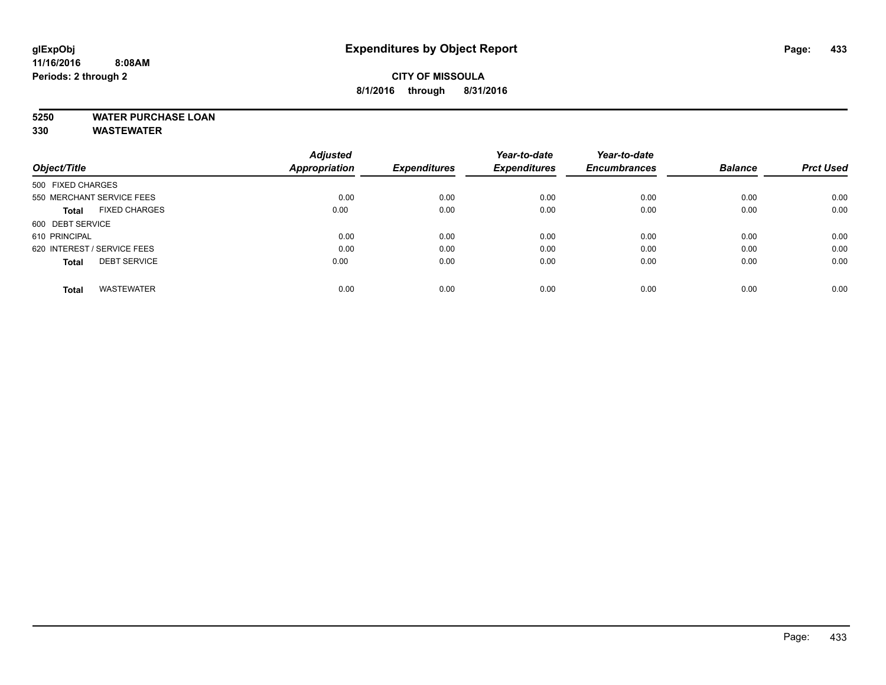# **CITY OF MISSOULA 8/1/2016 through 8/31/2016**

# **5250 WATER PURCHASE LOAN**

|                                      | <b>Adjusted</b>      |                     | Year-to-date        | Year-to-date        |                |                  |
|--------------------------------------|----------------------|---------------------|---------------------|---------------------|----------------|------------------|
| Object/Title                         | <b>Appropriation</b> | <b>Expenditures</b> | <b>Expenditures</b> | <b>Encumbrances</b> | <b>Balance</b> | <b>Prct Used</b> |
| 500 FIXED CHARGES                    |                      |                     |                     |                     |                |                  |
| 550 MERCHANT SERVICE FEES            | 0.00                 | 0.00                | 0.00                | 0.00                | 0.00           | 0.00             |
| <b>FIXED CHARGES</b><br><b>Total</b> | 0.00                 | 0.00                | 0.00                | 0.00                | 0.00           | 0.00             |
| 600 DEBT SERVICE                     |                      |                     |                     |                     |                |                  |
| 610 PRINCIPAL                        | 0.00                 | 0.00                | 0.00                | 0.00                | 0.00           | 0.00             |
| 620 INTEREST / SERVICE FEES          | 0.00                 | 0.00                | 0.00                | 0.00                | 0.00           | 0.00             |
| <b>DEBT SERVICE</b><br><b>Total</b>  | 0.00                 | 0.00                | 0.00                | 0.00                | 0.00           | 0.00             |
|                                      |                      |                     |                     |                     |                |                  |
| <b>WASTEWATER</b><br>Total           | 0.00                 | 0.00                | 0.00                | 0.00                | 0.00           | 0.00             |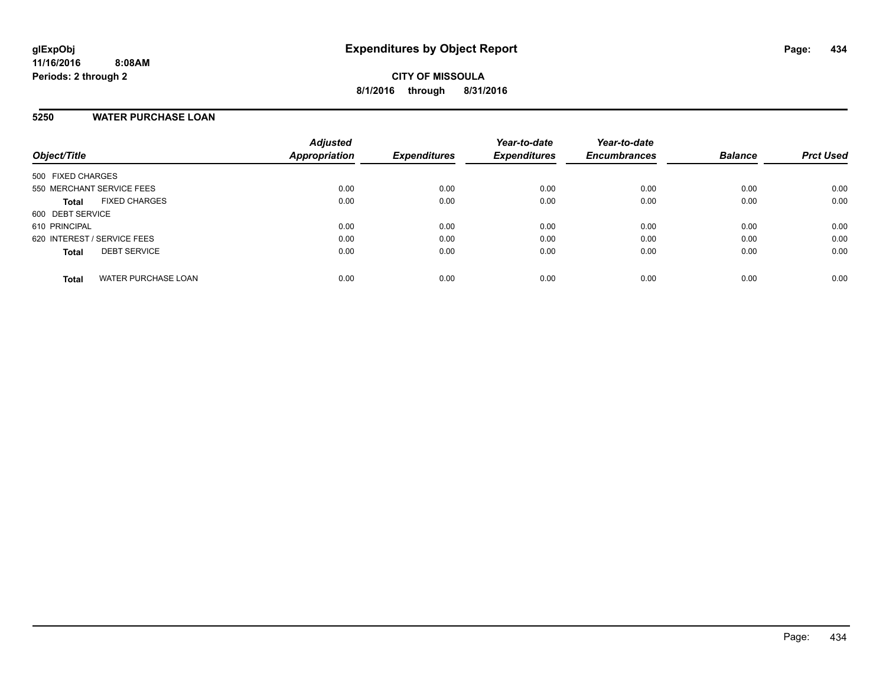# **5250 WATER PURCHASE LOAN**

| Object/Title                |                      | <b>Adjusted</b><br><b>Appropriation</b> | <b>Expenditures</b> | Year-to-date<br><b>Expenditures</b> | Year-to-date<br><b>Encumbrances</b> | <b>Balance</b> | <b>Prct Used</b> |
|-----------------------------|----------------------|-----------------------------------------|---------------------|-------------------------------------|-------------------------------------|----------------|------------------|
| 500 FIXED CHARGES           |                      |                                         |                     |                                     |                                     |                |                  |
| 550 MERCHANT SERVICE FEES   |                      | 0.00                                    | 0.00                | 0.00                                | 0.00                                | 0.00           | 0.00             |
| <b>Total</b>                | <b>FIXED CHARGES</b> | 0.00                                    | 0.00                | 0.00                                | 0.00                                | 0.00           | 0.00             |
| 600 DEBT SERVICE            |                      |                                         |                     |                                     |                                     |                |                  |
| 610 PRINCIPAL               |                      | 0.00                                    | 0.00                | 0.00                                | 0.00                                | 0.00           | 0.00             |
| 620 INTEREST / SERVICE FEES |                      | 0.00                                    | 0.00                | 0.00                                | 0.00                                | 0.00           | 0.00             |
| <b>Total</b>                | <b>DEBT SERVICE</b>  | 0.00                                    | 0.00                | 0.00                                | 0.00                                | 0.00           | 0.00             |
| <b>Total</b>                | WATER PURCHASE LOAN  | 0.00                                    | 0.00                | 0.00                                | 0.00                                | 0.00           | 0.00             |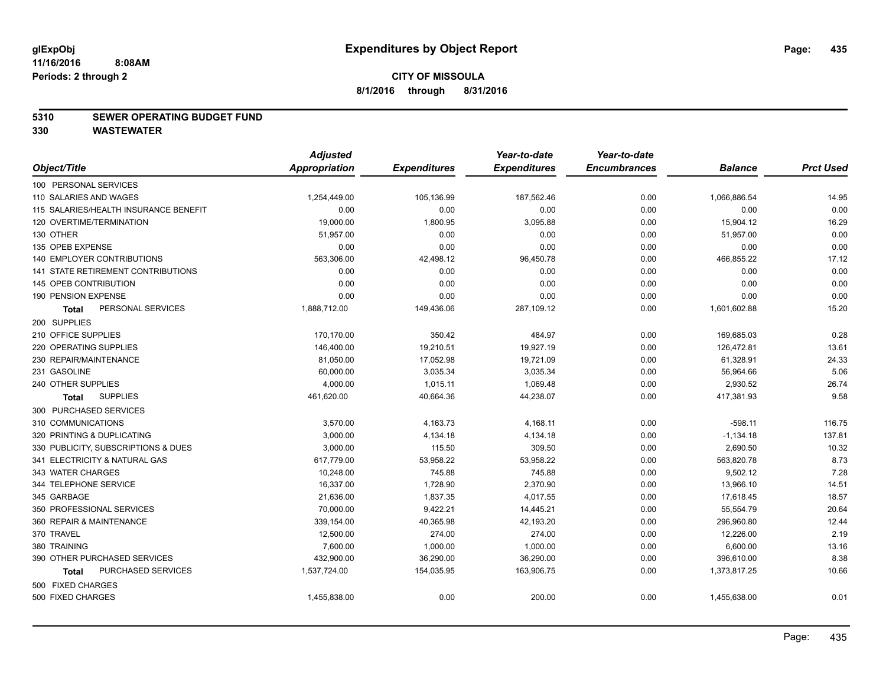#### **5310 SEWER OPERATING BUDGET FUND**

|                                       | <b>Adjusted</b>      |                     | Year-to-date        | Year-to-date        |                |                  |
|---------------------------------------|----------------------|---------------------|---------------------|---------------------|----------------|------------------|
| Object/Title                          | <b>Appropriation</b> | <b>Expenditures</b> | <b>Expenditures</b> | <b>Encumbrances</b> | <b>Balance</b> | <b>Prct Used</b> |
| 100 PERSONAL SERVICES                 |                      |                     |                     |                     |                |                  |
| 110 SALARIES AND WAGES                | 1,254,449.00         | 105,136.99          | 187,562.46          | 0.00                | 1,066,886.54   | 14.95            |
| 115 SALARIES/HEALTH INSURANCE BENEFIT | 0.00                 | 0.00                | 0.00                | 0.00                | 0.00           | 0.00             |
| 120 OVERTIME/TERMINATION              | 19,000.00            | 1,800.95            | 3,095.88            | 0.00                | 15,904.12      | 16.29            |
| 130 OTHER                             | 51,957.00            | 0.00                | 0.00                | 0.00                | 51,957.00      | 0.00             |
| 135 OPEB EXPENSE                      | 0.00                 | 0.00                | 0.00                | 0.00                | 0.00           | 0.00             |
| 140 EMPLOYER CONTRIBUTIONS            | 563,306.00           | 42,498.12           | 96,450.78           | 0.00                | 466,855.22     | 17.12            |
| 141 STATE RETIREMENT CONTRIBUTIONS    | 0.00                 | 0.00                | 0.00                | 0.00                | 0.00           | 0.00             |
| 145 OPEB CONTRIBUTION                 | 0.00                 | 0.00                | 0.00                | 0.00                | 0.00           | 0.00             |
| 190 PENSION EXPENSE                   | 0.00                 | 0.00                | 0.00                | 0.00                | 0.00           | 0.00             |
| PERSONAL SERVICES<br><b>Total</b>     | 1,888,712.00         | 149,436.06          | 287,109.12          | 0.00                | 1,601,602.88   | 15.20            |
| 200 SUPPLIES                          |                      |                     |                     |                     |                |                  |
| 210 OFFICE SUPPLIES                   | 170,170.00           | 350.42              | 484.97              | 0.00                | 169,685.03     | 0.28             |
| 220 OPERATING SUPPLIES                | 146,400.00           | 19,210.51           | 19,927.19           | 0.00                | 126,472.81     | 13.61            |
| 230 REPAIR/MAINTENANCE                | 81,050.00            | 17,052.98           | 19,721.09           | 0.00                | 61,328.91      | 24.33            |
| 231 GASOLINE                          | 60,000.00            | 3,035.34            | 3,035.34            | 0.00                | 56,964.66      | 5.06             |
| 240 OTHER SUPPLIES                    | 4,000.00             | 1,015.11            | 1,069.48            | 0.00                | 2,930.52       | 26.74            |
| <b>SUPPLIES</b><br>Total              | 461,620.00           | 40,664.36           | 44,238.07           | 0.00                | 417,381.93     | 9.58             |
| 300 PURCHASED SERVICES                |                      |                     |                     |                     |                |                  |
| 310 COMMUNICATIONS                    | 3,570.00             | 4,163.73            | 4,168.11            | 0.00                | $-598.11$      | 116.75           |
| 320 PRINTING & DUPLICATING            | 3,000.00             | 4,134.18            | 4,134.18            | 0.00                | $-1,134.18$    | 137.81           |
| 330 PUBLICITY, SUBSCRIPTIONS & DUES   | 3,000.00             | 115.50              | 309.50              | 0.00                | 2,690.50       | 10.32            |
| 341 ELECTRICITY & NATURAL GAS         | 617,779.00           | 53,958.22           | 53,958.22           | 0.00                | 563,820.78     | 8.73             |
| 343 WATER CHARGES                     | 10,248.00            | 745.88              | 745.88              | 0.00                | 9,502.12       | 7.28             |
| 344 TELEPHONE SERVICE                 | 16,337.00            | 1,728.90            | 2,370.90            | 0.00                | 13,966.10      | 14.51            |
| 345 GARBAGE                           | 21,636.00            | 1,837.35            | 4,017.55            | 0.00                | 17,618.45      | 18.57            |
| 350 PROFESSIONAL SERVICES             | 70,000.00            | 9,422.21            | 14,445.21           | 0.00                | 55,554.79      | 20.64            |
| 360 REPAIR & MAINTENANCE              | 339,154.00           | 40,365.98           | 42,193.20           | 0.00                | 296,960.80     | 12.44            |
| 370 TRAVEL                            | 12,500.00            | 274.00              | 274.00              | 0.00                | 12,226.00      | 2.19             |
| 380 TRAINING                          | 7,600.00             | 1,000.00            | 1,000.00            | 0.00                | 6,600.00       | 13.16            |
| 390 OTHER PURCHASED SERVICES          | 432,900.00           | 36,290.00           | 36,290.00           | 0.00                | 396,610.00     | 8.38             |
| PURCHASED SERVICES<br><b>Total</b>    | 1,537,724.00         | 154,035.95          | 163,906.75          | 0.00                | 1,373,817.25   | 10.66            |
| 500 FIXED CHARGES                     |                      |                     |                     |                     |                |                  |
| 500 FIXED CHARGES                     | 1,455,838.00         | 0.00                | 200.00              | 0.00                | 1,455,638.00   | 0.01             |
|                                       |                      |                     |                     |                     |                |                  |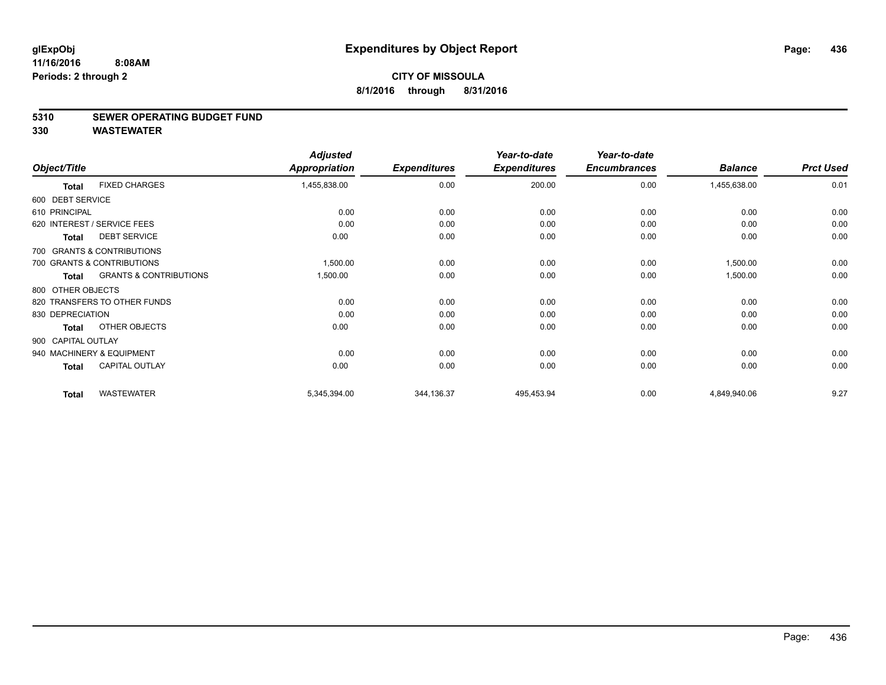#### **5310 SEWER OPERATING BUDGET FUND**

|                    |                                   | <b>Adjusted</b> |                     | Year-to-date        | Year-to-date        |                |                  |
|--------------------|-----------------------------------|-----------------|---------------------|---------------------|---------------------|----------------|------------------|
| Object/Title       |                                   | Appropriation   | <b>Expenditures</b> | <b>Expenditures</b> | <b>Encumbrances</b> | <b>Balance</b> | <b>Prct Used</b> |
| <b>Total</b>       | <b>FIXED CHARGES</b>              | 1,455,838.00    | 0.00                | 200.00              | 0.00                | 1,455,638.00   | 0.01             |
| 600 DEBT SERVICE   |                                   |                 |                     |                     |                     |                |                  |
| 610 PRINCIPAL      |                                   | 0.00            | 0.00                | 0.00                | 0.00                | 0.00           | 0.00             |
|                    | 620 INTEREST / SERVICE FEES       | 0.00            | 0.00                | 0.00                | 0.00                | 0.00           | 0.00             |
| <b>Total</b>       | <b>DEBT SERVICE</b>               | 0.00            | 0.00                | 0.00                | 0.00                | 0.00           | 0.00             |
|                    | 700 GRANTS & CONTRIBUTIONS        |                 |                     |                     |                     |                |                  |
|                    | 700 GRANTS & CONTRIBUTIONS        | 1,500.00        | 0.00                | 0.00                | 0.00                | 1,500.00       | 0.00             |
| <b>Total</b>       | <b>GRANTS &amp; CONTRIBUTIONS</b> | 1,500.00        | 0.00                | 0.00                | 0.00                | 1,500.00       | 0.00             |
| 800 OTHER OBJECTS  |                                   |                 |                     |                     |                     |                |                  |
|                    | 820 TRANSFERS TO OTHER FUNDS      | 0.00            | 0.00                | 0.00                | 0.00                | 0.00           | 0.00             |
| 830 DEPRECIATION   |                                   | 0.00            | 0.00                | 0.00                | 0.00                | 0.00           | 0.00             |
| <b>Total</b>       | OTHER OBJECTS                     | 0.00            | 0.00                | 0.00                | 0.00                | 0.00           | 0.00             |
| 900 CAPITAL OUTLAY |                                   |                 |                     |                     |                     |                |                  |
|                    | 940 MACHINERY & EQUIPMENT         | 0.00            | 0.00                | 0.00                | 0.00                | 0.00           | 0.00             |
| <b>Total</b>       | <b>CAPITAL OUTLAY</b>             | 0.00            | 0.00                | 0.00                | 0.00                | 0.00           | 0.00             |
| <b>Total</b>       | <b>WASTEWATER</b>                 | 5,345,394.00    | 344,136.37          | 495,453.94          | 0.00                | 4,849,940.06   | 9.27             |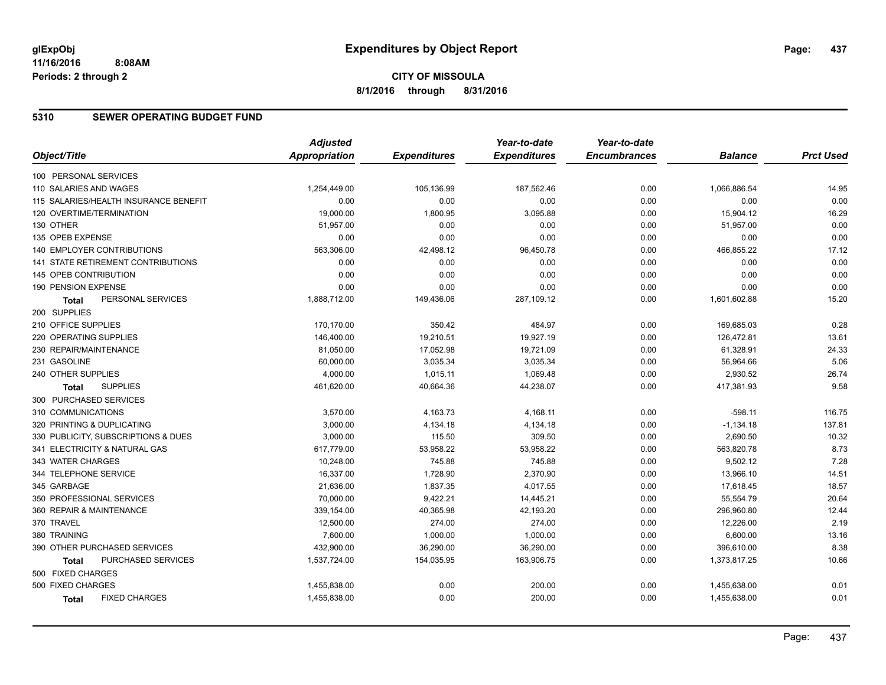# **5310 SEWER OPERATING BUDGET FUND**

|                               |                                       | <b>Adjusted</b>      |                     | Year-to-date        | Year-to-date        |                |                  |
|-------------------------------|---------------------------------------|----------------------|---------------------|---------------------|---------------------|----------------|------------------|
| Object/Title                  |                                       | <b>Appropriation</b> | <b>Expenditures</b> | <b>Expenditures</b> | <b>Encumbrances</b> | <b>Balance</b> | <b>Prct Used</b> |
| 100 PERSONAL SERVICES         |                                       |                      |                     |                     |                     |                |                  |
| 110 SALARIES AND WAGES        |                                       | 1,254,449.00         | 105,136.99          | 187,562.46          | 0.00                | 1,066,886.54   | 14.95            |
|                               | 115 SALARIES/HEALTH INSURANCE BENEFIT | 0.00                 | 0.00                | 0.00                | 0.00                | 0.00           | 0.00             |
| 120 OVERTIME/TERMINATION      |                                       | 19,000.00            | 1,800.95            | 3,095.88            | 0.00                | 15,904.12      | 16.29            |
| 130 OTHER                     |                                       | 51,957.00            | 0.00                | 0.00                | 0.00                | 51,957.00      | 0.00             |
| 135 OPEB EXPENSE              |                                       | 0.00                 | 0.00                | 0.00                | 0.00                | 0.00           | 0.00             |
| 140 EMPLOYER CONTRIBUTIONS    |                                       | 563,306.00           | 42,498.12           | 96,450.78           | 0.00                | 466,855.22     | 17.12            |
|                               | 141 STATE RETIREMENT CONTRIBUTIONS    | 0.00                 | 0.00                | 0.00                | 0.00                | 0.00           | 0.00             |
| 145 OPEB CONTRIBUTION         |                                       | 0.00                 | 0.00                | 0.00                | 0.00                | 0.00           | 0.00             |
| 190 PENSION EXPENSE           |                                       | 0.00                 | 0.00                | 0.00                | 0.00                | 0.00           | 0.00             |
| Total                         | PERSONAL SERVICES                     | 1,888,712.00         | 149,436.06          | 287,109.12          | 0.00                | 1,601,602.88   | 15.20            |
| 200 SUPPLIES                  |                                       |                      |                     |                     |                     |                |                  |
| 210 OFFICE SUPPLIES           |                                       | 170,170.00           | 350.42              | 484.97              | 0.00                | 169,685.03     | 0.28             |
| 220 OPERATING SUPPLIES        |                                       | 146,400.00           | 19,210.51           | 19,927.19           | 0.00                | 126,472.81     | 13.61            |
| 230 REPAIR/MAINTENANCE        |                                       | 81,050.00            | 17,052.98           | 19,721.09           | 0.00                | 61,328.91      | 24.33            |
| 231 GASOLINE                  |                                       | 60,000.00            | 3,035.34            | 3,035.34            | 0.00                | 56,964.66      | 5.06             |
| 240 OTHER SUPPLIES            |                                       | 4,000.00             | 1,015.11            | 1,069.48            | 0.00                | 2,930.52       | 26.74            |
| Total                         | <b>SUPPLIES</b>                       | 461,620.00           | 40,664.36           | 44,238.07           | 0.00                | 417,381.93     | 9.58             |
| 300 PURCHASED SERVICES        |                                       |                      |                     |                     |                     |                |                  |
| 310 COMMUNICATIONS            |                                       | 3,570.00             | 4,163.73            | 4,168.11            | 0.00                | $-598.11$      | 116.75           |
| 320 PRINTING & DUPLICATING    |                                       | 3,000.00             | 4,134.18            | 4,134.18            | 0.00                | $-1,134.18$    | 137.81           |
|                               | 330 PUBLICITY, SUBSCRIPTIONS & DUES   | 3,000.00             | 115.50              | 309.50              | 0.00                | 2,690.50       | 10.32            |
| 341 ELECTRICITY & NATURAL GAS |                                       | 617,779.00           | 53,958.22           | 53,958.22           | 0.00                | 563,820.78     | 8.73             |
| 343 WATER CHARGES             |                                       | 10,248.00            | 745.88              | 745.88              | 0.00                | 9,502.12       | 7.28             |
| 344 TELEPHONE SERVICE         |                                       | 16,337.00            | 1,728.90            | 2,370.90            | 0.00                | 13,966.10      | 14.51            |
| 345 GARBAGE                   |                                       | 21,636.00            | 1,837.35            | 4,017.55            | 0.00                | 17,618.45      | 18.57            |
| 350 PROFESSIONAL SERVICES     |                                       | 70,000.00            | 9,422.21            | 14,445.21           | 0.00                | 55,554.79      | 20.64            |
| 360 REPAIR & MAINTENANCE      |                                       | 339,154.00           | 40,365.98           | 42,193.20           | 0.00                | 296,960.80     | 12.44            |
| 370 TRAVEL                    |                                       | 12,500.00            | 274.00              | 274.00              | 0.00                | 12,226.00      | 2.19             |
| 380 TRAINING                  |                                       | 7,600.00             | 1,000.00            | 1,000.00            | 0.00                | 6,600.00       | 13.16            |
| 390 OTHER PURCHASED SERVICES  |                                       | 432,900.00           | 36,290.00           | 36,290.00           | 0.00                | 396,610.00     | 8.38             |
| Total                         | PURCHASED SERVICES                    | 1,537,724.00         | 154,035.95          | 163,906.75          | 0.00                | 1,373,817.25   | 10.66            |
| 500 FIXED CHARGES             |                                       |                      |                     |                     |                     |                |                  |
| 500 FIXED CHARGES             |                                       | 1,455,838.00         | 0.00                | 200.00              | 0.00                | 1,455,638.00   | 0.01             |
| <b>Total</b>                  | <b>FIXED CHARGES</b>                  | 1,455,838.00         | 0.00                | 200.00              | 0.00                | 1,455,638.00   | 0.01             |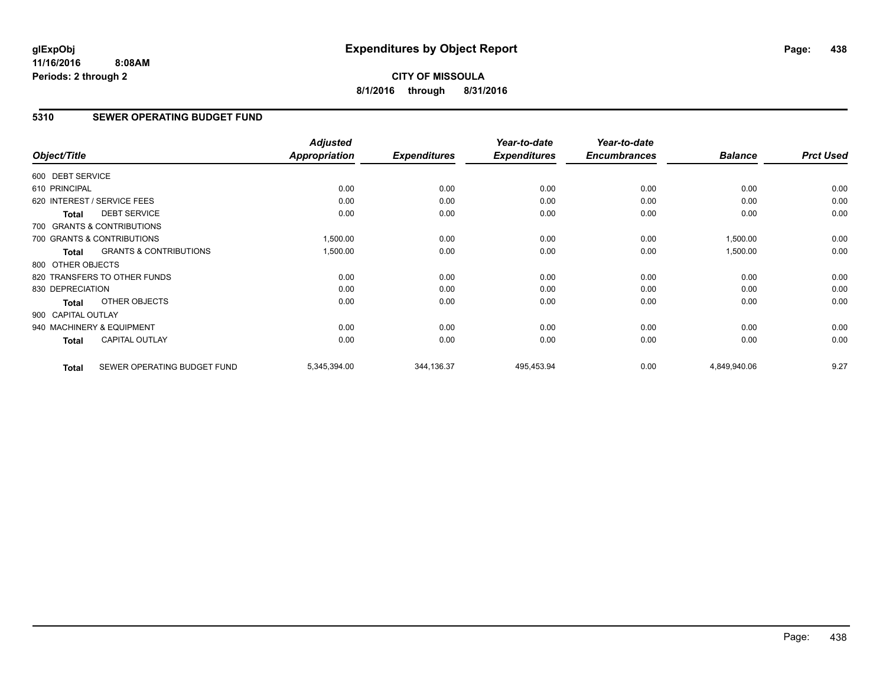# **CITY OF MISSOULA 8/1/2016 through 8/31/2016**

# **5310 SEWER OPERATING BUDGET FUND**

| Object/Title       |                                   | <b>Adjusted</b><br><b>Appropriation</b> | <b>Expenditures</b> | Year-to-date<br><b>Expenditures</b> | Year-to-date<br><b>Encumbrances</b> | <b>Balance</b> | <b>Prct Used</b> |
|--------------------|-----------------------------------|-----------------------------------------|---------------------|-------------------------------------|-------------------------------------|----------------|------------------|
|                    |                                   |                                         |                     |                                     |                                     |                |                  |
| 600 DEBT SERVICE   |                                   |                                         |                     |                                     |                                     |                |                  |
| 610 PRINCIPAL      |                                   | 0.00                                    | 0.00                | 0.00                                | 0.00                                | 0.00           | 0.00             |
|                    | 620 INTEREST / SERVICE FEES       | 0.00                                    | 0.00                | 0.00                                | 0.00                                | 0.00           | 0.00             |
| Total              | <b>DEBT SERVICE</b>               | 0.00                                    | 0.00                | 0.00                                | 0.00                                | 0.00           | 0.00             |
|                    | 700 GRANTS & CONTRIBUTIONS        |                                         |                     |                                     |                                     |                |                  |
|                    | 700 GRANTS & CONTRIBUTIONS        | 1,500.00                                | 0.00                | 0.00                                | 0.00                                | 1,500.00       | 0.00             |
| Total              | <b>GRANTS &amp; CONTRIBUTIONS</b> | 1,500.00                                | 0.00                | 0.00                                | 0.00                                | 1,500.00       | 0.00             |
| 800 OTHER OBJECTS  |                                   |                                         |                     |                                     |                                     |                |                  |
|                    | 820 TRANSFERS TO OTHER FUNDS      | 0.00                                    | 0.00                | 0.00                                | 0.00                                | 0.00           | 0.00             |
| 830 DEPRECIATION   |                                   | 0.00                                    | 0.00                | 0.00                                | 0.00                                | 0.00           | 0.00             |
| <b>Total</b>       | OTHER OBJECTS                     | 0.00                                    | 0.00                | 0.00                                | 0.00                                | 0.00           | 0.00             |
| 900 CAPITAL OUTLAY |                                   |                                         |                     |                                     |                                     |                |                  |
|                    | 940 MACHINERY & EQUIPMENT         | 0.00                                    | 0.00                | 0.00                                | 0.00                                | 0.00           | 0.00             |
| <b>Total</b>       | <b>CAPITAL OUTLAY</b>             | 0.00                                    | 0.00                | 0.00                                | 0.00                                | 0.00           | 0.00             |
| <b>Total</b>       | SEWER OPERATING BUDGET FUND       | 5,345,394.00                            | 344,136.37          | 495,453.94                          | 0.00                                | 4,849,940.06   | 9.27             |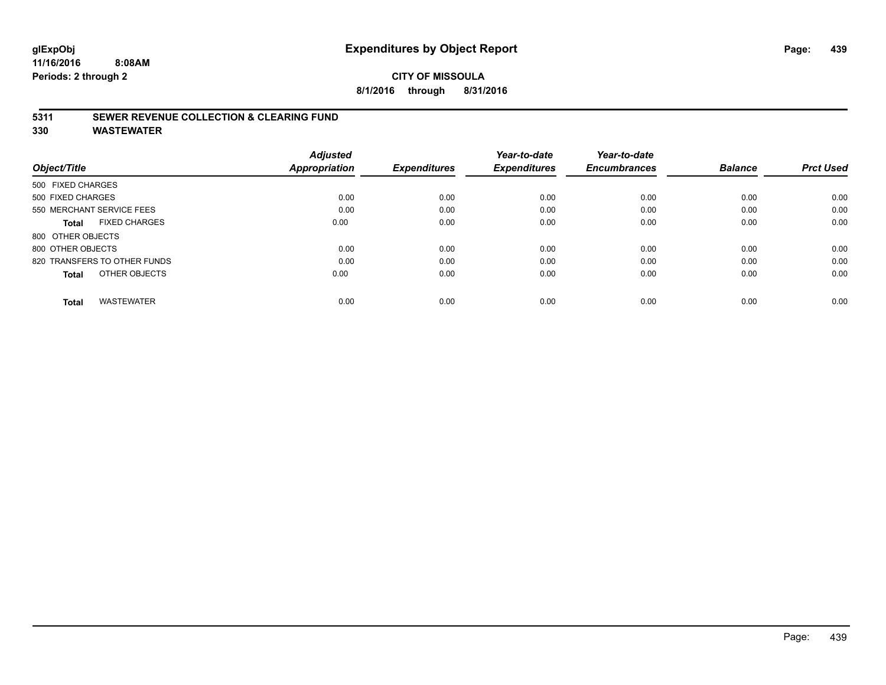# **CITY OF MISSOULA 8/1/2016 through 8/31/2016**

# **5311 SEWER REVENUE COLLECTION & CLEARING FUND**

| Object/Title                         | <b>Adjusted</b><br><b>Appropriation</b> | <b>Expenditures</b> | Year-to-date<br><b>Expenditures</b> | Year-to-date<br><b>Encumbrances</b> | <b>Balance</b> | <b>Prct Used</b> |
|--------------------------------------|-----------------------------------------|---------------------|-------------------------------------|-------------------------------------|----------------|------------------|
| 500 FIXED CHARGES                    |                                         |                     |                                     |                                     |                |                  |
| 500 FIXED CHARGES                    | 0.00                                    | 0.00                | 0.00                                | 0.00                                | 0.00           | 0.00             |
| 550 MERCHANT SERVICE FEES            | 0.00                                    | 0.00                | 0.00                                | 0.00                                | 0.00           | 0.00             |
| <b>FIXED CHARGES</b><br><b>Total</b> | 0.00                                    | 0.00                | 0.00                                | 0.00                                | 0.00           | 0.00             |
| 800 OTHER OBJECTS                    |                                         |                     |                                     |                                     |                |                  |
| 800 OTHER OBJECTS                    | 0.00                                    | 0.00                | 0.00                                | 0.00                                | 0.00           | 0.00             |
| 820 TRANSFERS TO OTHER FUNDS         | 0.00                                    | 0.00                | 0.00                                | 0.00                                | 0.00           | 0.00             |
| OTHER OBJECTS<br><b>Total</b>        | 0.00                                    | 0.00                | 0.00                                | 0.00                                | 0.00           | 0.00             |
| <b>WASTEWATER</b><br><b>Total</b>    | 0.00                                    | 0.00                | 0.00                                | 0.00                                | 0.00           | 0.00             |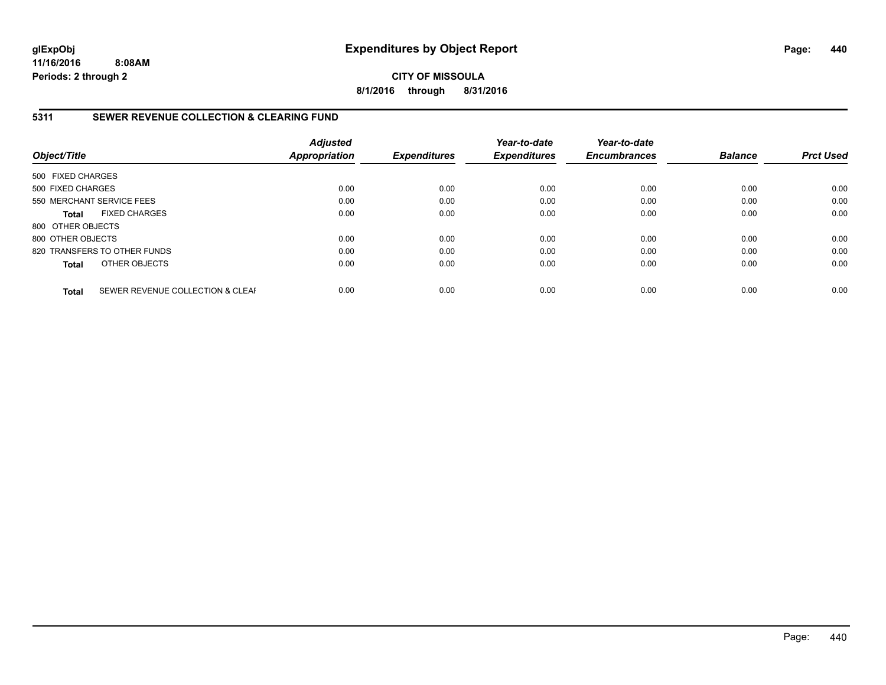**CITY OF MISSOULA 8/1/2016 through 8/31/2016**

# **5311 SEWER REVENUE COLLECTION & CLEARING FUND**

| Object/Title              |                                  | <b>Adjusted</b><br><b>Appropriation</b> | <b>Expenditures</b> | Year-to-date<br><b>Expenditures</b> | Year-to-date<br><b>Encumbrances</b> | <b>Balance</b> | <b>Prct Used</b> |
|---------------------------|----------------------------------|-----------------------------------------|---------------------|-------------------------------------|-------------------------------------|----------------|------------------|
| 500 FIXED CHARGES         |                                  |                                         |                     |                                     |                                     |                |                  |
| 500 FIXED CHARGES         |                                  | 0.00                                    | 0.00                | 0.00                                | 0.00                                | 0.00           | 0.00             |
| 550 MERCHANT SERVICE FEES |                                  | 0.00                                    | 0.00                | 0.00                                | 0.00                                | 0.00           | 0.00             |
| Total                     | <b>FIXED CHARGES</b>             | 0.00                                    | 0.00                | 0.00                                | 0.00                                | 0.00           | 0.00             |
| 800 OTHER OBJECTS         |                                  |                                         |                     |                                     |                                     |                |                  |
| 800 OTHER OBJECTS         |                                  | 0.00                                    | 0.00                | 0.00                                | 0.00                                | 0.00           | 0.00             |
|                           | 820 TRANSFERS TO OTHER FUNDS     | 0.00                                    | 0.00                | 0.00                                | 0.00                                | 0.00           | 0.00             |
| <b>Total</b>              | OTHER OBJECTS                    | 0.00                                    | 0.00                | 0.00                                | 0.00                                | 0.00           | 0.00             |
| <b>Total</b>              | SEWER REVENUE COLLECTION & CLEAF | 0.00                                    | 0.00                | 0.00                                | 0.00                                | 0.00           | 0.00             |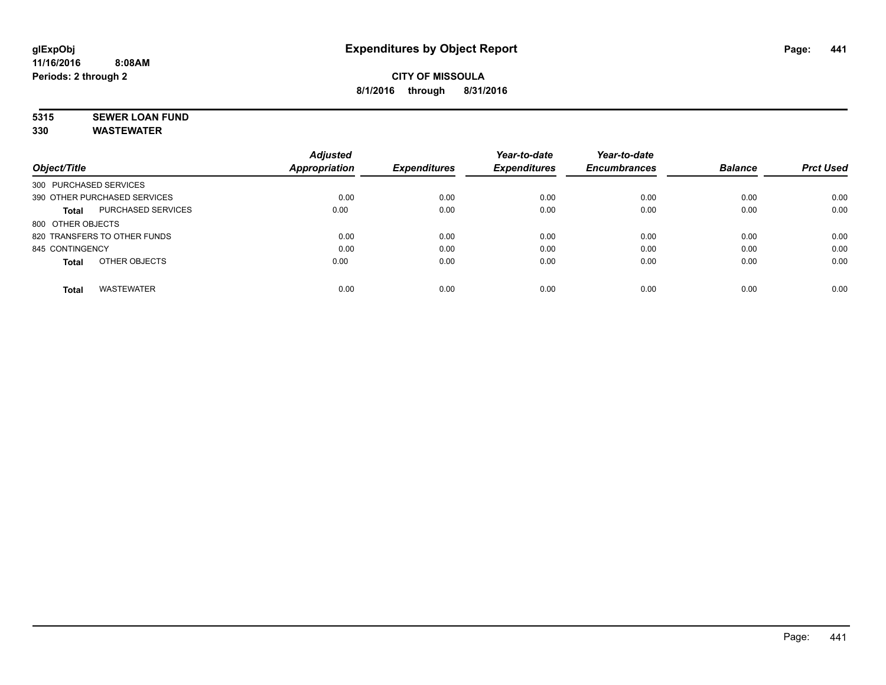# **5315 SEWER LOAN FUND**

|                                           | <b>Adjusted</b>      |                     | Year-to-date        | Year-to-date        |                |                  |
|-------------------------------------------|----------------------|---------------------|---------------------|---------------------|----------------|------------------|
| Object/Title                              | <b>Appropriation</b> | <b>Expenditures</b> | <b>Expenditures</b> | <b>Encumbrances</b> | <b>Balance</b> | <b>Prct Used</b> |
| 300 PURCHASED SERVICES                    |                      |                     |                     |                     |                |                  |
| 390 OTHER PURCHASED SERVICES              | 0.00                 | 0.00                | 0.00                | 0.00                | 0.00           | 0.00             |
| <b>PURCHASED SERVICES</b><br><b>Total</b> | 0.00                 | 0.00                | 0.00                | 0.00                | 0.00           | 0.00             |
| 800 OTHER OBJECTS                         |                      |                     |                     |                     |                |                  |
| 820 TRANSFERS TO OTHER FUNDS              | 0.00                 | 0.00                | 0.00                | 0.00                | 0.00           | 0.00             |
| 845 CONTINGENCY                           | 0.00                 | 0.00                | 0.00                | 0.00                | 0.00           | 0.00             |
| OTHER OBJECTS<br><b>Total</b>             | 0.00                 | 0.00                | 0.00                | 0.00                | 0.00           | 0.00             |
| <b>WASTEWATER</b><br><b>Total</b>         | 0.00                 | 0.00                | 0.00                | 0.00                | 0.00           | 0.00             |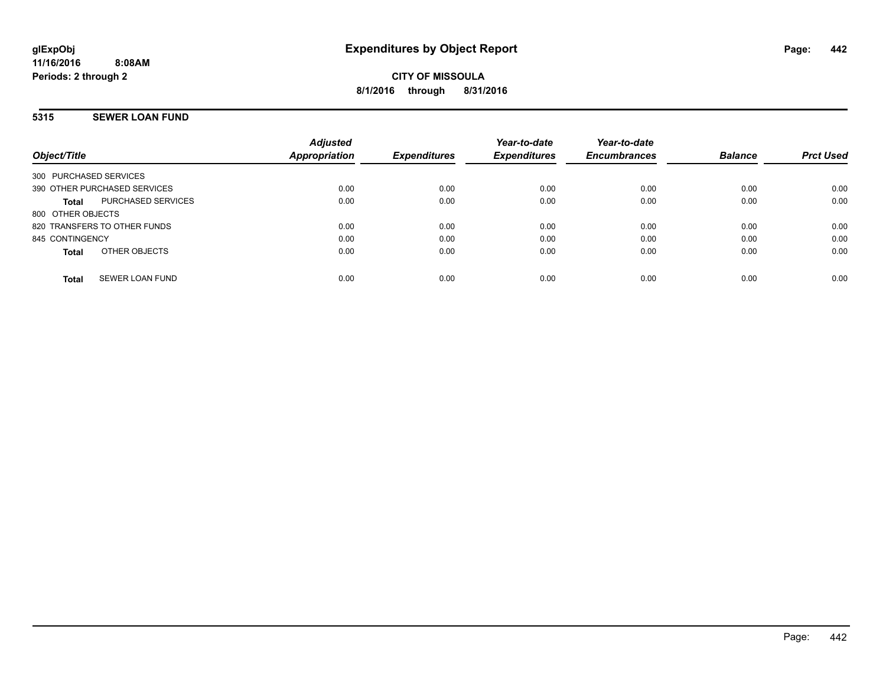# **5315 SEWER LOAN FUND**

| Object/Title                       | <b>Adjusted</b><br><b>Appropriation</b> | <b>Expenditures</b> | Year-to-date<br><b>Expenditures</b> | Year-to-date<br><b>Encumbrances</b> | <b>Balance</b> | <b>Prct Used</b> |
|------------------------------------|-----------------------------------------|---------------------|-------------------------------------|-------------------------------------|----------------|------------------|
| 300 PURCHASED SERVICES             |                                         |                     |                                     |                                     |                |                  |
| 390 OTHER PURCHASED SERVICES       | 0.00                                    | 0.00                | 0.00                                | 0.00                                | 0.00           | 0.00             |
| <b>PURCHASED SERVICES</b><br>Total | 0.00                                    | 0.00                | 0.00                                | 0.00                                | 0.00           | 0.00             |
| 800 OTHER OBJECTS                  |                                         |                     |                                     |                                     |                |                  |
| 820 TRANSFERS TO OTHER FUNDS       | 0.00                                    | 0.00                | 0.00                                | 0.00                                | 0.00           | 0.00             |
| 845 CONTINGENCY                    | 0.00                                    | 0.00                | 0.00                                | 0.00                                | 0.00           | 0.00             |
| OTHER OBJECTS<br>Total             | 0.00                                    | 0.00                | 0.00                                | 0.00                                | 0.00           | 0.00             |
| <b>SEWER LOAN FUND</b><br>Total    | 0.00                                    | 0.00                | 0.00                                | 0.00                                | 0.00           | 0.00             |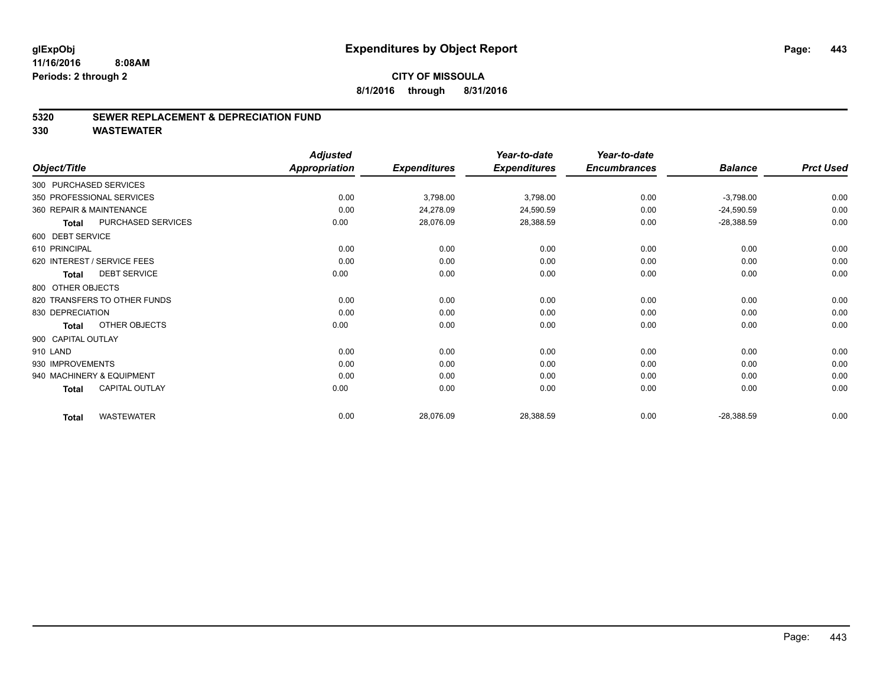### **5320 SEWER REPLACEMENT & DEPRECIATION FUND**

| Object/Title       |                              | <b>Adjusted</b><br>Appropriation | <b>Expenditures</b> | Year-to-date<br><b>Expenditures</b> | Year-to-date<br><b>Encumbrances</b> | <b>Balance</b> | <b>Prct Used</b> |
|--------------------|------------------------------|----------------------------------|---------------------|-------------------------------------|-------------------------------------|----------------|------------------|
|                    |                              |                                  |                     |                                     |                                     |                |                  |
|                    | 300 PURCHASED SERVICES       |                                  |                     |                                     |                                     |                |                  |
|                    | 350 PROFESSIONAL SERVICES    | 0.00                             | 3,798.00            | 3,798.00                            | 0.00                                | $-3,798.00$    | 0.00             |
|                    | 360 REPAIR & MAINTENANCE     | 0.00                             | 24,278.09           | 24,590.59                           | 0.00                                | $-24,590.59$   | 0.00             |
| <b>Total</b>       | PURCHASED SERVICES           | 0.00                             | 28,076.09           | 28,388.59                           | 0.00                                | $-28,388.59$   | 0.00             |
| 600 DEBT SERVICE   |                              |                                  |                     |                                     |                                     |                |                  |
| 610 PRINCIPAL      |                              | 0.00                             | 0.00                | 0.00                                | 0.00                                | 0.00           | 0.00             |
|                    | 620 INTEREST / SERVICE FEES  | 0.00                             | 0.00                | 0.00                                | 0.00                                | 0.00           | 0.00             |
| Total              | <b>DEBT SERVICE</b>          | 0.00                             | 0.00                | 0.00                                | 0.00                                | 0.00           | 0.00             |
| 800 OTHER OBJECTS  |                              |                                  |                     |                                     |                                     |                |                  |
|                    | 820 TRANSFERS TO OTHER FUNDS | 0.00                             | 0.00                | 0.00                                | 0.00                                | 0.00           | 0.00             |
| 830 DEPRECIATION   |                              | 0.00                             | 0.00                | 0.00                                | 0.00                                | 0.00           | 0.00             |
| <b>Total</b>       | OTHER OBJECTS                | 0.00                             | 0.00                | 0.00                                | 0.00                                | 0.00           | 0.00             |
| 900 CAPITAL OUTLAY |                              |                                  |                     |                                     |                                     |                |                  |
| 910 LAND           |                              | 0.00                             | 0.00                | 0.00                                | 0.00                                | 0.00           | 0.00             |
| 930 IMPROVEMENTS   |                              | 0.00                             | 0.00                | 0.00                                | 0.00                                | 0.00           | 0.00             |
|                    | 940 MACHINERY & EQUIPMENT    | 0.00                             | 0.00                | 0.00                                | 0.00                                | 0.00           | 0.00             |
| Total              | <b>CAPITAL OUTLAY</b>        | 0.00                             | 0.00                | 0.00                                | 0.00                                | 0.00           | 0.00             |
| <b>Total</b>       | <b>WASTEWATER</b>            | 0.00                             | 28,076.09           | 28,388.59                           | 0.00                                | $-28,388.59$   | 0.00             |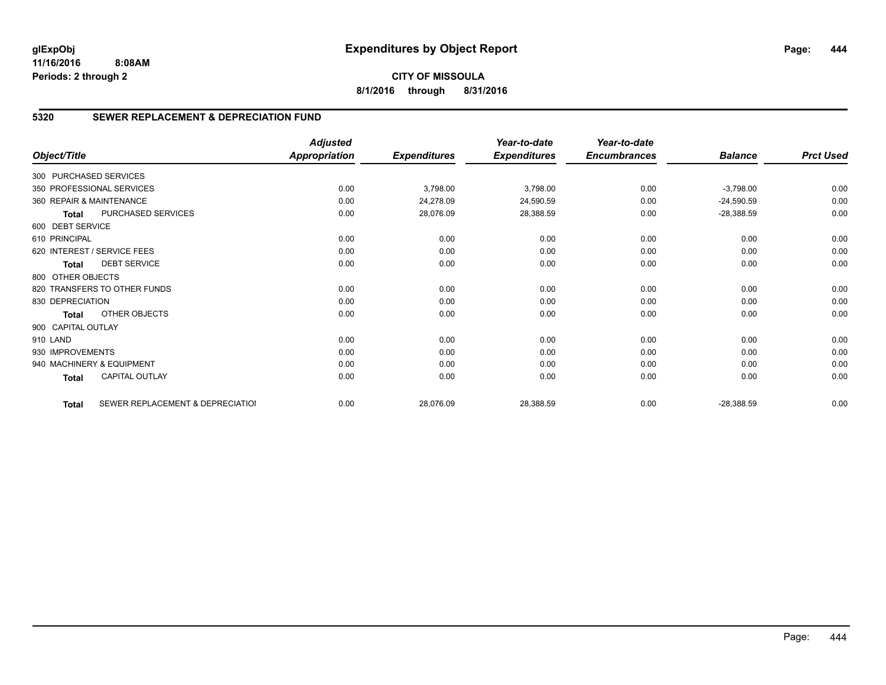**CITY OF MISSOULA 8/1/2016 through 8/31/2016**

# **5320 SEWER REPLACEMENT & DEPRECIATION FUND**

|                          |                                  | <b>Adjusted</b>      |                     | Year-to-date        | Year-to-date        |                |                  |
|--------------------------|----------------------------------|----------------------|---------------------|---------------------|---------------------|----------------|------------------|
| Object/Title             |                                  | <b>Appropriation</b> | <b>Expenditures</b> | <b>Expenditures</b> | <b>Encumbrances</b> | <b>Balance</b> | <b>Prct Used</b> |
| 300 PURCHASED SERVICES   |                                  |                      |                     |                     |                     |                |                  |
|                          | 350 PROFESSIONAL SERVICES        | 0.00                 | 3,798.00            | 3,798.00            | 0.00                | $-3,798.00$    | 0.00             |
| 360 REPAIR & MAINTENANCE |                                  | 0.00                 | 24,278.09           | 24,590.59           | 0.00                | $-24,590.59$   | 0.00             |
| <b>Total</b>             | PURCHASED SERVICES               | 0.00                 | 28,076.09           | 28,388.59           | 0.00                | $-28,388.59$   | 0.00             |
| 600 DEBT SERVICE         |                                  |                      |                     |                     |                     |                |                  |
| 610 PRINCIPAL            |                                  | 0.00                 | 0.00                | 0.00                | 0.00                | 0.00           | 0.00             |
|                          | 620 INTEREST / SERVICE FEES      | 0.00                 | 0.00                | 0.00                | 0.00                | 0.00           | 0.00             |
| <b>Total</b>             | <b>DEBT SERVICE</b>              | 0.00                 | 0.00                | 0.00                | 0.00                | 0.00           | 0.00             |
| 800 OTHER OBJECTS        |                                  |                      |                     |                     |                     |                |                  |
|                          | 820 TRANSFERS TO OTHER FUNDS     | 0.00                 | 0.00                | 0.00                | 0.00                | 0.00           | 0.00             |
| 830 DEPRECIATION         |                                  | 0.00                 | 0.00                | 0.00                | 0.00                | 0.00           | 0.00             |
| Total                    | OTHER OBJECTS                    | 0.00                 | 0.00                | 0.00                | 0.00                | 0.00           | 0.00             |
| 900 CAPITAL OUTLAY       |                                  |                      |                     |                     |                     |                |                  |
| 910 LAND                 |                                  | 0.00                 | 0.00                | 0.00                | 0.00                | 0.00           | 0.00             |
| 930 IMPROVEMENTS         |                                  | 0.00                 | 0.00                | 0.00                | 0.00                | 0.00           | 0.00             |
|                          | 940 MACHINERY & EQUIPMENT        | 0.00                 | 0.00                | 0.00                | 0.00                | 0.00           | 0.00             |
| Total                    | <b>CAPITAL OUTLAY</b>            | 0.00                 | 0.00                | 0.00                | 0.00                | 0.00           | 0.00             |
| <b>Total</b>             | SEWER REPLACEMENT & DEPRECIATIOI | 0.00                 | 28,076.09           | 28,388.59           | 0.00                | $-28,388.59$   | 0.00             |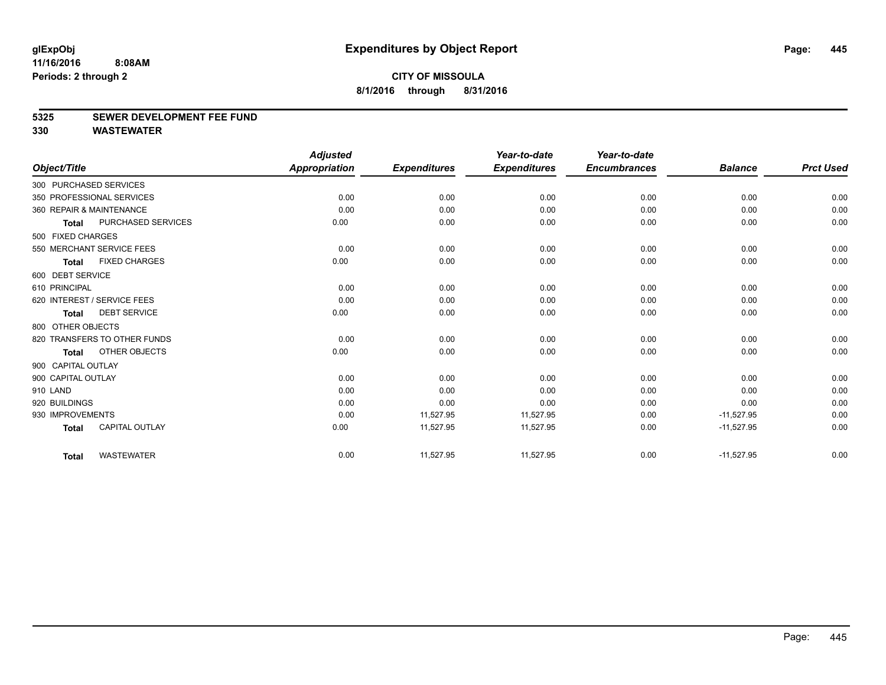#### **5325 SEWER DEVELOPMENT FEE FUND**

|                    |                              | <b>Adjusted</b>      |                     | Year-to-date        | Year-to-date        |                |                  |
|--------------------|------------------------------|----------------------|---------------------|---------------------|---------------------|----------------|------------------|
| Object/Title       |                              | <b>Appropriation</b> | <b>Expenditures</b> | <b>Expenditures</b> | <b>Encumbrances</b> | <b>Balance</b> | <b>Prct Used</b> |
|                    | 300 PURCHASED SERVICES       |                      |                     |                     |                     |                |                  |
|                    | 350 PROFESSIONAL SERVICES    | 0.00                 | 0.00                | 0.00                | 0.00                | 0.00           | 0.00             |
|                    | 360 REPAIR & MAINTENANCE     | 0.00                 | 0.00                | 0.00                | 0.00                | 0.00           | 0.00             |
| Total              | PURCHASED SERVICES           | 0.00                 | 0.00                | 0.00                | 0.00                | 0.00           | 0.00             |
| 500 FIXED CHARGES  |                              |                      |                     |                     |                     |                |                  |
|                    | 550 MERCHANT SERVICE FEES    | 0.00                 | 0.00                | 0.00                | 0.00                | 0.00           | 0.00             |
| <b>Total</b>       | <b>FIXED CHARGES</b>         | 0.00                 | 0.00                | 0.00                | 0.00                | 0.00           | 0.00             |
| 600 DEBT SERVICE   |                              |                      |                     |                     |                     |                |                  |
| 610 PRINCIPAL      |                              | 0.00                 | 0.00                | 0.00                | 0.00                | 0.00           | 0.00             |
|                    | 620 INTEREST / SERVICE FEES  | 0.00                 | 0.00                | 0.00                | 0.00                | 0.00           | 0.00             |
| <b>Total</b>       | <b>DEBT SERVICE</b>          | 0.00                 | 0.00                | 0.00                | 0.00                | 0.00           | 0.00             |
| 800 OTHER OBJECTS  |                              |                      |                     |                     |                     |                |                  |
|                    | 820 TRANSFERS TO OTHER FUNDS | 0.00                 | 0.00                | 0.00                | 0.00                | 0.00           | 0.00             |
| Total              | OTHER OBJECTS                | 0.00                 | 0.00                | 0.00                | 0.00                | 0.00           | 0.00             |
| 900 CAPITAL OUTLAY |                              |                      |                     |                     |                     |                |                  |
| 900 CAPITAL OUTLAY |                              | 0.00                 | 0.00                | 0.00                | 0.00                | 0.00           | 0.00             |
| 910 LAND           |                              | 0.00                 | 0.00                | 0.00                | 0.00                | 0.00           | 0.00             |
| 920 BUILDINGS      |                              | 0.00                 | 0.00                | 0.00                | 0.00                | 0.00           | 0.00             |
| 930 IMPROVEMENTS   |                              | 0.00                 | 11,527.95           | 11,527.95           | 0.00                | $-11,527.95$   | 0.00             |
| <b>Total</b>       | <b>CAPITAL OUTLAY</b>        | 0.00                 | 11,527.95           | 11,527.95           | 0.00                | $-11,527.95$   | 0.00             |
| <b>Total</b>       | <b>WASTEWATER</b>            | 0.00                 | 11,527.95           | 11,527.95           | 0.00                | $-11,527.95$   | 0.00             |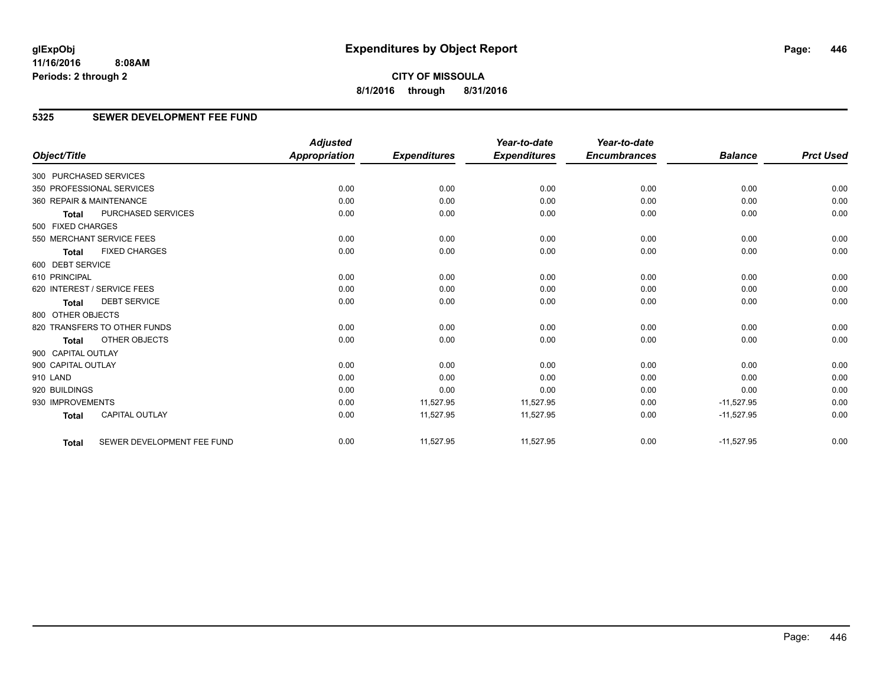**CITY OF MISSOULA 8/1/2016 through 8/31/2016**

# **5325 SEWER DEVELOPMENT FEE FUND**

|                        |                              | <b>Adjusted</b>      |                     | Year-to-date        | Year-to-date        |                |                  |
|------------------------|------------------------------|----------------------|---------------------|---------------------|---------------------|----------------|------------------|
| Object/Title           |                              | <b>Appropriation</b> | <b>Expenditures</b> | <b>Expenditures</b> | <b>Encumbrances</b> | <b>Balance</b> | <b>Prct Used</b> |
| 300 PURCHASED SERVICES |                              |                      |                     |                     |                     |                |                  |
|                        | 350 PROFESSIONAL SERVICES    | 0.00                 | 0.00                | 0.00                | 0.00                | 0.00           | 0.00             |
|                        | 360 REPAIR & MAINTENANCE     | 0.00                 | 0.00                | 0.00                | 0.00                | 0.00           | 0.00             |
| <b>Total</b>           | PURCHASED SERVICES           | 0.00                 | 0.00                | 0.00                | 0.00                | 0.00           | 0.00             |
| 500 FIXED CHARGES      |                              |                      |                     |                     |                     |                |                  |
|                        | 550 MERCHANT SERVICE FEES    | 0.00                 | 0.00                | 0.00                | 0.00                | 0.00           | 0.00             |
| <b>Total</b>           | <b>FIXED CHARGES</b>         | 0.00                 | 0.00                | 0.00                | 0.00                | 0.00           | 0.00             |
| 600 DEBT SERVICE       |                              |                      |                     |                     |                     |                |                  |
| 610 PRINCIPAL          |                              | 0.00                 | 0.00                | 0.00                | 0.00                | 0.00           | 0.00             |
|                        | 620 INTEREST / SERVICE FEES  | 0.00                 | 0.00                | 0.00                | 0.00                | 0.00           | 0.00             |
| <b>Total</b>           | <b>DEBT SERVICE</b>          | 0.00                 | 0.00                | 0.00                | 0.00                | 0.00           | 0.00             |
| 800 OTHER OBJECTS      |                              |                      |                     |                     |                     |                |                  |
|                        | 820 TRANSFERS TO OTHER FUNDS | 0.00                 | 0.00                | 0.00                | 0.00                | 0.00           | 0.00             |
| <b>Total</b>           | OTHER OBJECTS                | 0.00                 | 0.00                | 0.00                | 0.00                | 0.00           | 0.00             |
| 900 CAPITAL OUTLAY     |                              |                      |                     |                     |                     |                |                  |
| 900 CAPITAL OUTLAY     |                              | 0.00                 | 0.00                | 0.00                | 0.00                | 0.00           | 0.00             |
| 910 LAND               |                              | 0.00                 | 0.00                | 0.00                | 0.00                | 0.00           | 0.00             |
| 920 BUILDINGS          |                              | 0.00                 | 0.00                | 0.00                | 0.00                | 0.00           | 0.00             |
| 930 IMPROVEMENTS       |                              | 0.00                 | 11,527.95           | 11,527.95           | 0.00                | $-11,527.95$   | 0.00             |
| <b>Total</b>           | CAPITAL OUTLAY               | 0.00                 | 11,527.95           | 11,527.95           | 0.00                | $-11,527.95$   | 0.00             |
| <b>Total</b>           | SEWER DEVELOPMENT FEE FUND   | 0.00                 | 11,527.95           | 11,527.95           | 0.00                | $-11,527.95$   | 0.00             |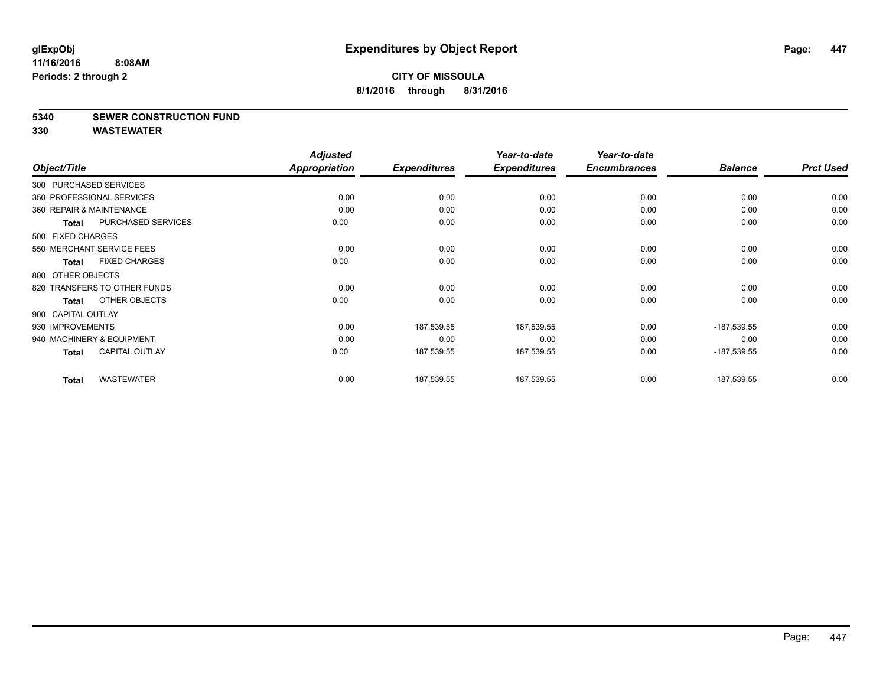### **5340 SEWER CONSTRUCTION FUND**

|                        |                              | <b>Adjusted</b>      |                     | Year-to-date        | Year-to-date        |                |                  |
|------------------------|------------------------------|----------------------|---------------------|---------------------|---------------------|----------------|------------------|
| Object/Title           |                              | <b>Appropriation</b> | <b>Expenditures</b> | <b>Expenditures</b> | <b>Encumbrances</b> | <b>Balance</b> | <b>Prct Used</b> |
| 300 PURCHASED SERVICES |                              |                      |                     |                     |                     |                |                  |
|                        | 350 PROFESSIONAL SERVICES    | 0.00                 | 0.00                | 0.00                | 0.00                | 0.00           | 0.00             |
|                        | 360 REPAIR & MAINTENANCE     | 0.00                 | 0.00                | 0.00                | 0.00                | 0.00           | 0.00             |
| <b>Total</b>           | <b>PURCHASED SERVICES</b>    | 0.00                 | 0.00                | 0.00                | 0.00                | 0.00           | 0.00             |
| 500 FIXED CHARGES      |                              |                      |                     |                     |                     |                |                  |
|                        | 550 MERCHANT SERVICE FEES    | 0.00                 | 0.00                | 0.00                | 0.00                | 0.00           | 0.00             |
| <b>Total</b>           | <b>FIXED CHARGES</b>         | 0.00                 | 0.00                | 0.00                | 0.00                | 0.00           | 0.00             |
| 800 OTHER OBJECTS      |                              |                      |                     |                     |                     |                |                  |
|                        | 820 TRANSFERS TO OTHER FUNDS | 0.00                 | 0.00                | 0.00                | 0.00                | 0.00           | 0.00             |
| Total                  | OTHER OBJECTS                | 0.00                 | 0.00                | 0.00                | 0.00                | 0.00           | 0.00             |
| 900 CAPITAL OUTLAY     |                              |                      |                     |                     |                     |                |                  |
| 930 IMPROVEMENTS       |                              | 0.00                 | 187,539.55          | 187,539.55          | 0.00                | $-187,539.55$  | 0.00             |
|                        | 940 MACHINERY & EQUIPMENT    | 0.00                 | 0.00                | 0.00                | 0.00                | 0.00           | 0.00             |
| <b>Total</b>           | <b>CAPITAL OUTLAY</b>        | 0.00                 | 187,539.55          | 187,539.55          | 0.00                | $-187,539.55$  | 0.00             |
|                        |                              |                      |                     |                     |                     |                |                  |
| <b>Total</b>           | <b>WASTEWATER</b>            | 0.00                 | 187,539.55          | 187,539.55          | 0.00                | $-187,539.55$  | 0.00             |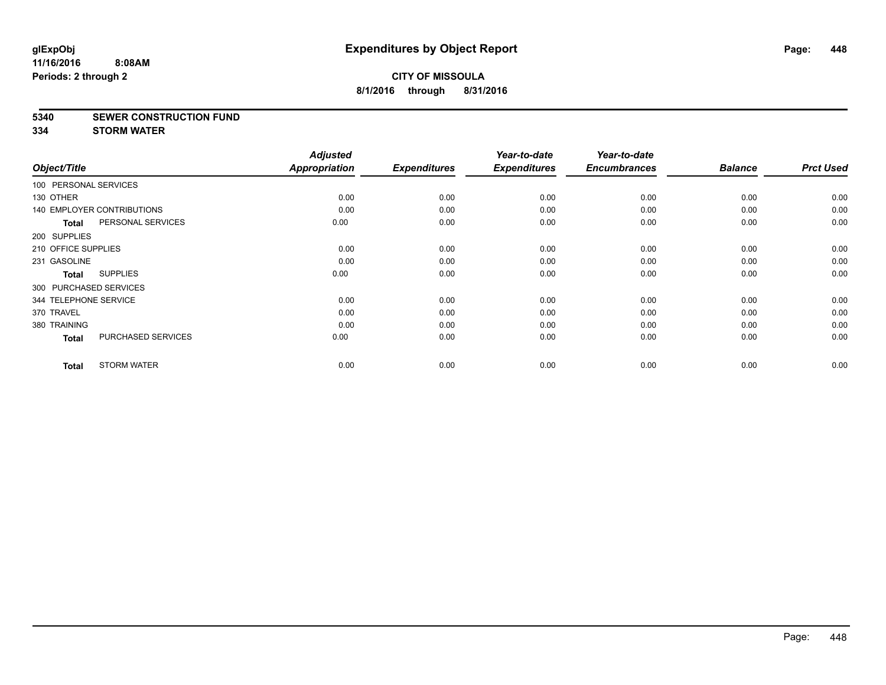#### **5340 SEWER CONSTRUCTION FUND**

**334 STORM WATER**

| Object/Title           |                                   | <b>Adjusted</b><br><b>Appropriation</b> | <b>Expenditures</b> | Year-to-date<br><b>Expenditures</b> | Year-to-date<br><b>Encumbrances</b> | <b>Balance</b> | <b>Prct Used</b> |
|------------------------|-----------------------------------|-----------------------------------------|---------------------|-------------------------------------|-------------------------------------|----------------|------------------|
| 100 PERSONAL SERVICES  |                                   |                                         |                     |                                     |                                     |                |                  |
| 130 OTHER              |                                   | 0.00                                    | 0.00                | 0.00                                | 0.00                                | 0.00           | 0.00             |
|                        | <b>140 EMPLOYER CONTRIBUTIONS</b> | 0.00                                    | 0.00                | 0.00                                | 0.00                                | 0.00           | 0.00             |
| <b>Total</b>           | PERSONAL SERVICES                 | 0.00                                    | 0.00                | 0.00                                | 0.00                                | 0.00           | 0.00             |
| 200 SUPPLIES           |                                   |                                         |                     |                                     |                                     |                |                  |
| 210 OFFICE SUPPLIES    |                                   | 0.00                                    | 0.00                | 0.00                                | 0.00                                | 0.00           | 0.00             |
| 231 GASOLINE           |                                   | 0.00                                    | 0.00                | 0.00                                | 0.00                                | 0.00           | 0.00             |
| <b>Total</b>           | <b>SUPPLIES</b>                   | 0.00                                    | 0.00                | 0.00                                | 0.00                                | 0.00           | 0.00             |
| 300 PURCHASED SERVICES |                                   |                                         |                     |                                     |                                     |                |                  |
| 344 TELEPHONE SERVICE  |                                   | 0.00                                    | 0.00                | 0.00                                | 0.00                                | 0.00           | 0.00             |
| 370 TRAVEL             |                                   | 0.00                                    | 0.00                | 0.00                                | 0.00                                | 0.00           | 0.00             |
| 380 TRAINING           |                                   | 0.00                                    | 0.00                | 0.00                                | 0.00                                | 0.00           | 0.00             |
| <b>Total</b>           | PURCHASED SERVICES                | 0.00                                    | 0.00                | 0.00                                | 0.00                                | 0.00           | 0.00             |
| <b>Total</b>           | <b>STORM WATER</b>                | 0.00                                    | 0.00                | 0.00                                | 0.00                                | 0.00           | 0.00             |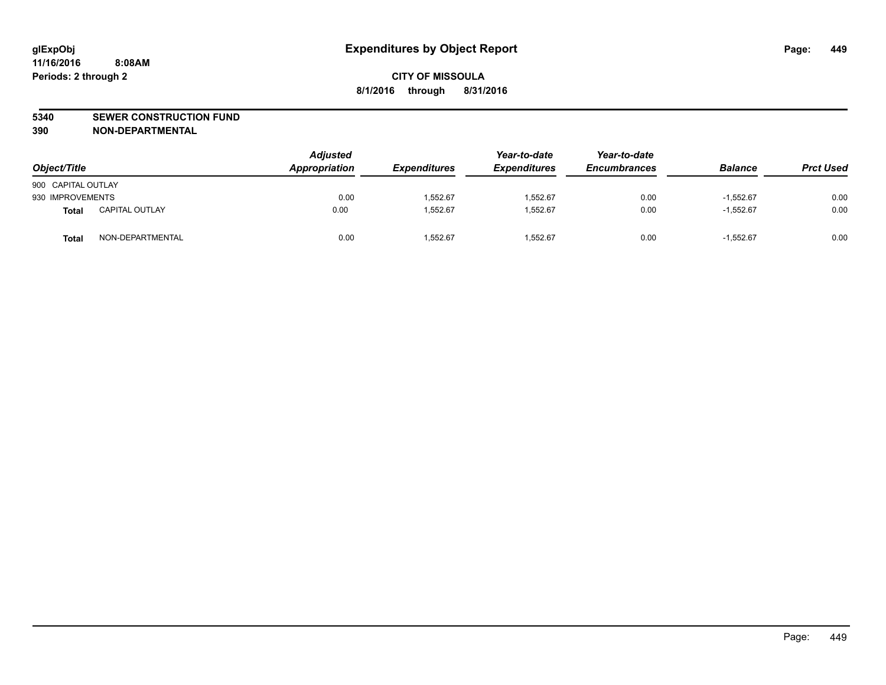#### **5340 SEWER CONSTRUCTION FUND**

**390 NON-DEPARTMENTAL**

| Object/Title       |                       | <b>Adjusted</b><br>Appropriation | <b>Expenditures</b> | Year-to-date<br><b>Expenditures</b> | Year-to-date<br><b>Encumbrances</b> | <b>Balance</b> | <b>Prct Used</b> |
|--------------------|-----------------------|----------------------------------|---------------------|-------------------------------------|-------------------------------------|----------------|------------------|
| 900 CAPITAL OUTLAY |                       |                                  |                     |                                     |                                     |                |                  |
| 930 IMPROVEMENTS   |                       | 0.00                             | 1,552.67            | 1,552.67                            | 0.00                                | $-1.552.67$    | 0.00             |
| Total              | <b>CAPITAL OUTLAY</b> | 0.00                             | 1,552.67            | 1.552.67                            | 0.00                                | $-1.552.67$    | 0.00             |
| Total              | NON-DEPARTMENTAL      | 0.00                             | 1,552.67            | 1,552.67                            | 0.00                                | $-1.552.67$    | 0.00             |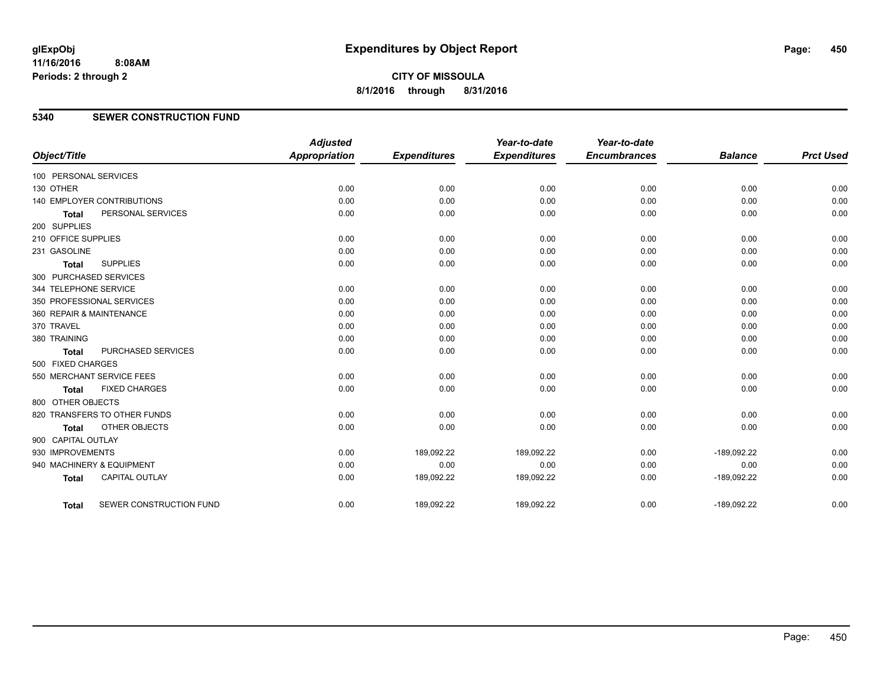**CITY OF MISSOULA 8/1/2016 through 8/31/2016**

### **5340 SEWER CONSTRUCTION FUND**

| Object/Title           |                              | <b>Adjusted</b><br>Appropriation | <b>Expenditures</b> | Year-to-date<br><b>Expenditures</b> | Year-to-date<br><b>Encumbrances</b> | <b>Balance</b> | <b>Prct Used</b> |
|------------------------|------------------------------|----------------------------------|---------------------|-------------------------------------|-------------------------------------|----------------|------------------|
| 100 PERSONAL SERVICES  |                              |                                  |                     |                                     |                                     |                |                  |
| 130 OTHER              |                              | 0.00                             | 0.00                | 0.00                                | 0.00                                | 0.00           | 0.00             |
|                        | 140 EMPLOYER CONTRIBUTIONS   | 0.00                             | 0.00                | 0.00                                | 0.00                                | 0.00           | 0.00             |
| <b>Total</b>           | PERSONAL SERVICES            | 0.00                             | 0.00                | 0.00                                | 0.00                                | 0.00           | 0.00             |
| 200 SUPPLIES           |                              |                                  |                     |                                     |                                     |                |                  |
| 210 OFFICE SUPPLIES    |                              | 0.00                             | 0.00                | 0.00                                | 0.00                                | 0.00           | 0.00             |
| 231 GASOLINE           |                              | 0.00                             | 0.00                | 0.00                                | 0.00                                | 0.00           | 0.00             |
| <b>Total</b>           | <b>SUPPLIES</b>              | 0.00                             | 0.00                | 0.00                                | 0.00                                | 0.00           | 0.00             |
| 300 PURCHASED SERVICES |                              |                                  |                     |                                     |                                     |                |                  |
| 344 TELEPHONE SERVICE  |                              | 0.00                             | 0.00                | 0.00                                | 0.00                                | 0.00           | 0.00             |
|                        | 350 PROFESSIONAL SERVICES    | 0.00                             | 0.00                | 0.00                                | 0.00                                | 0.00           | 0.00             |
|                        | 360 REPAIR & MAINTENANCE     | 0.00                             | 0.00                | 0.00                                | 0.00                                | 0.00           | 0.00             |
| 370 TRAVEL             |                              | 0.00                             | 0.00                | 0.00                                | 0.00                                | 0.00           | 0.00             |
| 380 TRAINING           |                              | 0.00                             | 0.00                | 0.00                                | 0.00                                | 0.00           | 0.00             |
| <b>Total</b>           | PURCHASED SERVICES           | 0.00                             | 0.00                | 0.00                                | 0.00                                | 0.00           | 0.00             |
| 500 FIXED CHARGES      |                              |                                  |                     |                                     |                                     |                |                  |
|                        | 550 MERCHANT SERVICE FEES    | 0.00                             | 0.00                | 0.00                                | 0.00                                | 0.00           | 0.00             |
| <b>Total</b>           | <b>FIXED CHARGES</b>         | 0.00                             | 0.00                | 0.00                                | 0.00                                | 0.00           | 0.00             |
| 800 OTHER OBJECTS      |                              |                                  |                     |                                     |                                     |                |                  |
|                        | 820 TRANSFERS TO OTHER FUNDS | 0.00                             | 0.00                | 0.00                                | 0.00                                | 0.00           | 0.00             |
| <b>Total</b>           | OTHER OBJECTS                | 0.00                             | 0.00                | 0.00                                | 0.00                                | 0.00           | 0.00             |
| 900 CAPITAL OUTLAY     |                              |                                  |                     |                                     |                                     |                |                  |
| 930 IMPROVEMENTS       |                              | 0.00                             | 189,092.22          | 189,092.22                          | 0.00                                | $-189,092.22$  | 0.00             |
|                        | 940 MACHINERY & EQUIPMENT    | 0.00                             | 0.00                | 0.00                                | 0.00                                | 0.00           | 0.00             |
| <b>Total</b>           | <b>CAPITAL OUTLAY</b>        | 0.00                             | 189,092.22          | 189,092.22                          | 0.00                                | $-189,092.22$  | 0.00             |
| <b>Total</b>           | SEWER CONSTRUCTION FUND      | 0.00                             | 189,092.22          | 189,092.22                          | 0.00                                | $-189,092.22$  | 0.00             |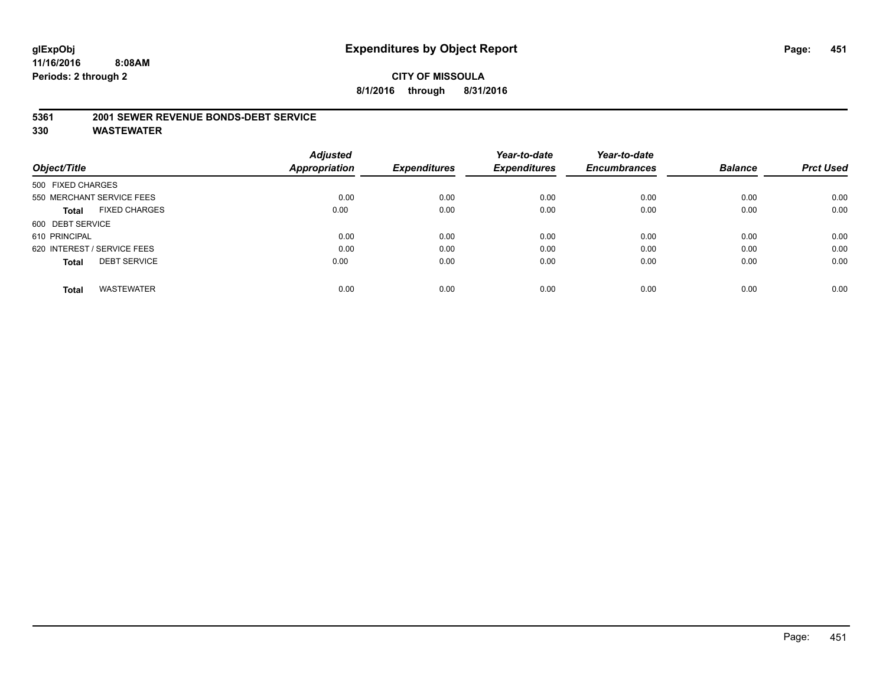#### **5361 2001 SEWER REVENUE BONDS-DEBT SERVICE**

|                                      | <b>Adjusted</b> |                     | Year-to-date        | Year-to-date        |                |                  |
|--------------------------------------|-----------------|---------------------|---------------------|---------------------|----------------|------------------|
| Object/Title                         | Appropriation   | <b>Expenditures</b> | <b>Expenditures</b> | <b>Encumbrances</b> | <b>Balance</b> | <b>Prct Used</b> |
| 500 FIXED CHARGES                    |                 |                     |                     |                     |                |                  |
| 550 MERCHANT SERVICE FEES            | 0.00            | 0.00                | 0.00                | 0.00                | 0.00           | 0.00             |
| <b>FIXED CHARGES</b><br><b>Total</b> | 0.00            | 0.00                | 0.00                | 0.00                | 0.00           | 0.00             |
| 600 DEBT SERVICE                     |                 |                     |                     |                     |                |                  |
| 610 PRINCIPAL                        | 0.00            | 0.00                | 0.00                | 0.00                | 0.00           | 0.00             |
| 620 INTEREST / SERVICE FEES          | 0.00            | 0.00                | 0.00                | 0.00                | 0.00           | 0.00             |
| <b>DEBT SERVICE</b><br><b>Total</b>  | 0.00            | 0.00                | 0.00                | 0.00                | 0.00           | 0.00             |
| <b>WASTEWATER</b><br><b>Total</b>    | 0.00            | 0.00                | 0.00                | 0.00                | 0.00           | 0.00             |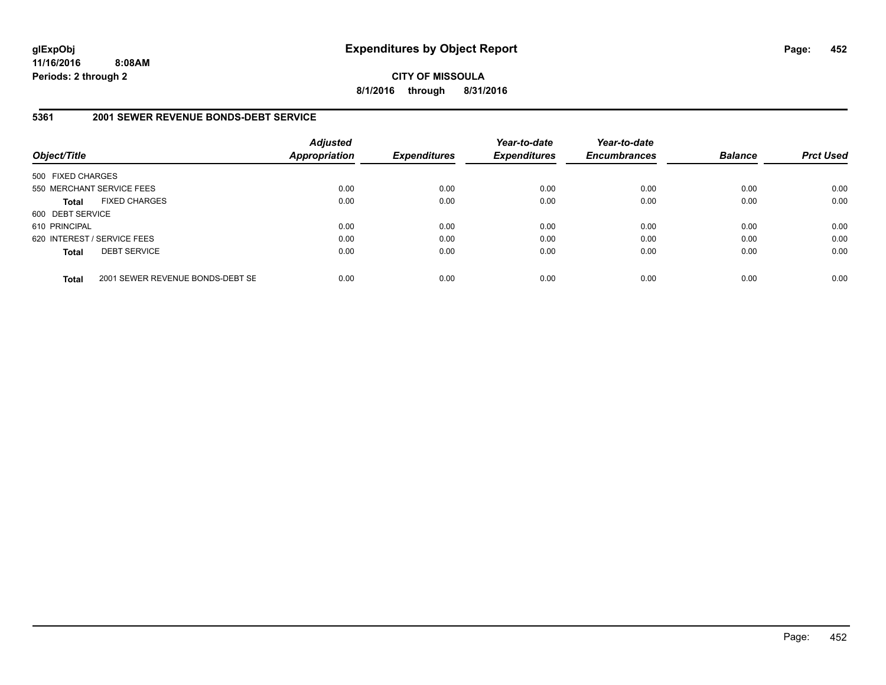**CITY OF MISSOULA 8/1/2016 through 8/31/2016**

### **5361 2001 SEWER REVENUE BONDS-DEBT SERVICE**

| Object/Title                |                                  | <b>Adjusted</b><br><b>Appropriation</b> | <b>Expenditures</b> | Year-to-date<br><b>Expenditures</b> | Year-to-date<br><b>Encumbrances</b> | <b>Balance</b> | <b>Prct Used</b> |
|-----------------------------|----------------------------------|-----------------------------------------|---------------------|-------------------------------------|-------------------------------------|----------------|------------------|
| 500 FIXED CHARGES           |                                  |                                         |                     |                                     |                                     |                |                  |
|                             | 550 MERCHANT SERVICE FEES        | 0.00                                    | 0.00                | 0.00                                | 0.00                                | 0.00           | 0.00             |
| <b>Total</b>                | <b>FIXED CHARGES</b>             | 0.00                                    | 0.00                | 0.00                                | 0.00                                | 0.00           | 0.00             |
| 600 DEBT SERVICE            |                                  |                                         |                     |                                     |                                     |                |                  |
| 610 PRINCIPAL               |                                  | 0.00                                    | 0.00                | 0.00                                | 0.00                                | 0.00           | 0.00             |
| 620 INTEREST / SERVICE FEES |                                  | 0.00                                    | 0.00                | 0.00                                | 0.00                                | 0.00           | 0.00             |
| <b>Total</b>                | <b>DEBT SERVICE</b>              | 0.00                                    | 0.00                | 0.00                                | 0.00                                | 0.00           | 0.00             |
| <b>Total</b>                | 2001 SEWER REVENUE BONDS-DEBT SE | 0.00                                    | 0.00                | 0.00                                | 0.00                                | 0.00           | 0.00             |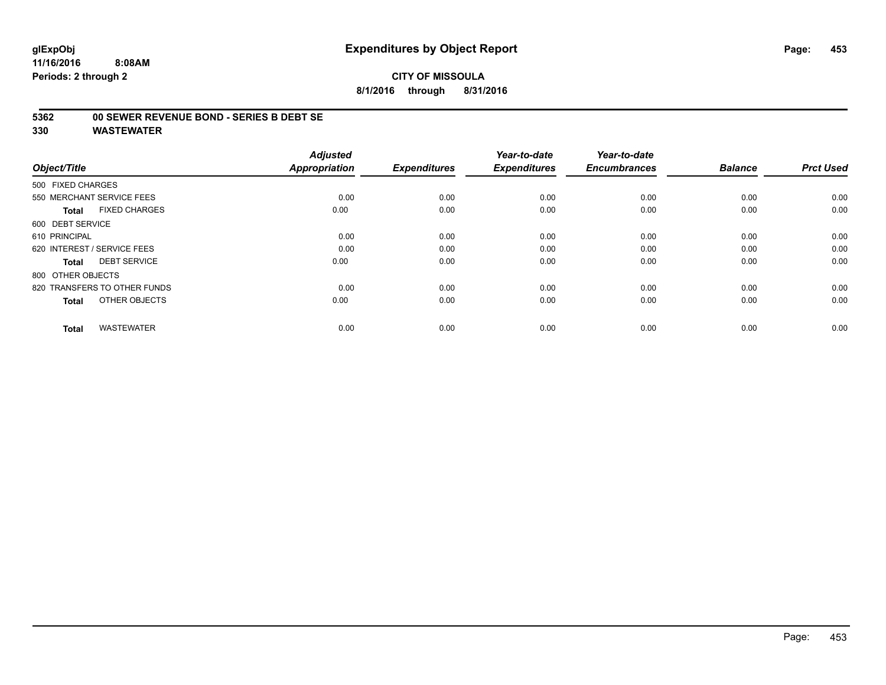# **CITY OF MISSOULA 8/1/2016 through 8/31/2016**

#### **5362 00 SEWER REVENUE BOND - SERIES B DEBT SE**

| Object/Title                         | <b>Adjusted</b><br>Appropriation | <b>Expenditures</b> | Year-to-date<br><b>Expenditures</b> | Year-to-date<br><b>Encumbrances</b> | <b>Balance</b> | <b>Prct Used</b> |
|--------------------------------------|----------------------------------|---------------------|-------------------------------------|-------------------------------------|----------------|------------------|
|                                      |                                  |                     |                                     |                                     |                |                  |
| 500 FIXED CHARGES                    |                                  |                     |                                     |                                     |                |                  |
| 550 MERCHANT SERVICE FEES            | 0.00                             | 0.00                | 0.00                                | 0.00                                | 0.00           | 0.00             |
| <b>FIXED CHARGES</b><br><b>Total</b> | 0.00                             | 0.00                | 0.00                                | 0.00                                | 0.00           | 0.00             |
| 600 DEBT SERVICE                     |                                  |                     |                                     |                                     |                |                  |
| 610 PRINCIPAL                        | 0.00                             | 0.00                | 0.00                                | 0.00                                | 0.00           | 0.00             |
| 620 INTEREST / SERVICE FEES          | 0.00                             | 0.00                | 0.00                                | 0.00                                | 0.00           | 0.00             |
| <b>DEBT SERVICE</b><br><b>Total</b>  | 0.00                             | 0.00                | 0.00                                | 0.00                                | 0.00           | 0.00             |
| 800 OTHER OBJECTS                    |                                  |                     |                                     |                                     |                |                  |
| 820 TRANSFERS TO OTHER FUNDS         | 0.00                             | 0.00                | 0.00                                | 0.00                                | 0.00           | 0.00             |
| OTHER OBJECTS<br><b>Total</b>        | 0.00                             | 0.00                | 0.00                                | 0.00                                | 0.00           | 0.00             |
|                                      |                                  |                     |                                     |                                     |                |                  |
| <b>WASTEWATER</b><br><b>Total</b>    | 0.00                             | 0.00                | 0.00                                | 0.00                                | 0.00           | 0.00             |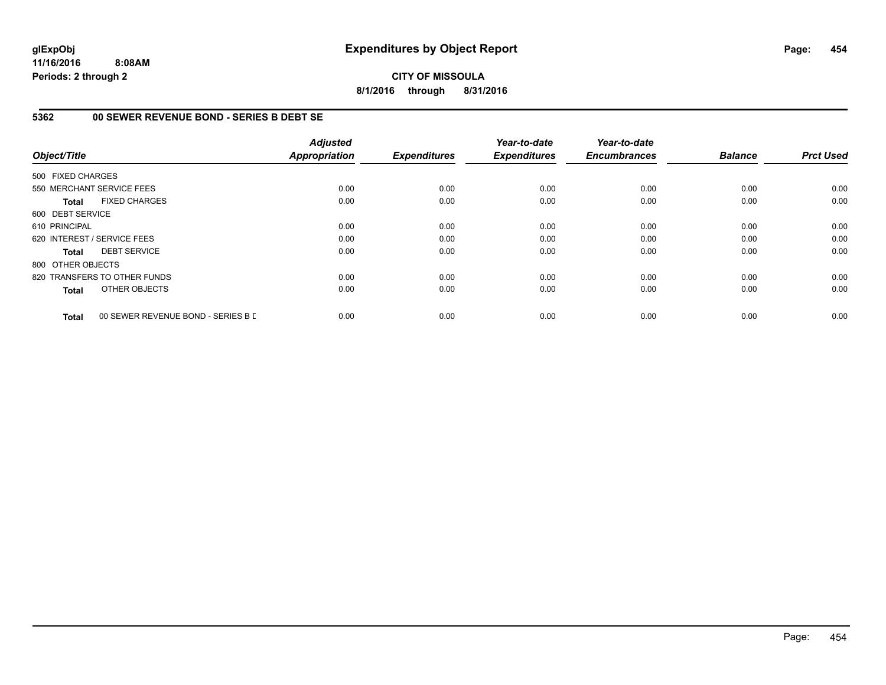# **CITY OF MISSOULA 8/1/2016 through 8/31/2016**

# **5362 00 SEWER REVENUE BOND - SERIES B DEBT SE**

| Object/Title      |                                    | <b>Adjusted</b><br><b>Appropriation</b> | <b>Expenditures</b> | Year-to-date<br><b>Expenditures</b> | Year-to-date<br><b>Encumbrances</b> | <b>Balance</b> | <b>Prct Used</b> |
|-------------------|------------------------------------|-----------------------------------------|---------------------|-------------------------------------|-------------------------------------|----------------|------------------|
|                   |                                    |                                         |                     |                                     |                                     |                |                  |
| 500 FIXED CHARGES |                                    |                                         |                     |                                     |                                     |                |                  |
|                   | 550 MERCHANT SERVICE FEES          | 0.00                                    | 0.00                | 0.00                                | 0.00                                | 0.00           | 0.00             |
| Total             | <b>FIXED CHARGES</b>               | 0.00                                    | 0.00                | 0.00                                | 0.00                                | 0.00           | 0.00             |
| 600 DEBT SERVICE  |                                    |                                         |                     |                                     |                                     |                |                  |
| 610 PRINCIPAL     |                                    | 0.00                                    | 0.00                | 0.00                                | 0.00                                | 0.00           | 0.00             |
|                   | 620 INTEREST / SERVICE FEES        | 0.00                                    | 0.00                | 0.00                                | 0.00                                | 0.00           | 0.00             |
| Total             | <b>DEBT SERVICE</b>                | 0.00                                    | 0.00                | 0.00                                | 0.00                                | 0.00           | 0.00             |
| 800 OTHER OBJECTS |                                    |                                         |                     |                                     |                                     |                |                  |
|                   | 820 TRANSFERS TO OTHER FUNDS       | 0.00                                    | 0.00                | 0.00                                | 0.00                                | 0.00           | 0.00             |
| <b>Total</b>      | OTHER OBJECTS                      | 0.00                                    | 0.00                | 0.00                                | 0.00                                | 0.00           | 0.00             |
| <b>Total</b>      | 00 SEWER REVENUE BOND - SERIES B D | 0.00                                    | 0.00                | 0.00                                | 0.00                                | 0.00           | 0.00             |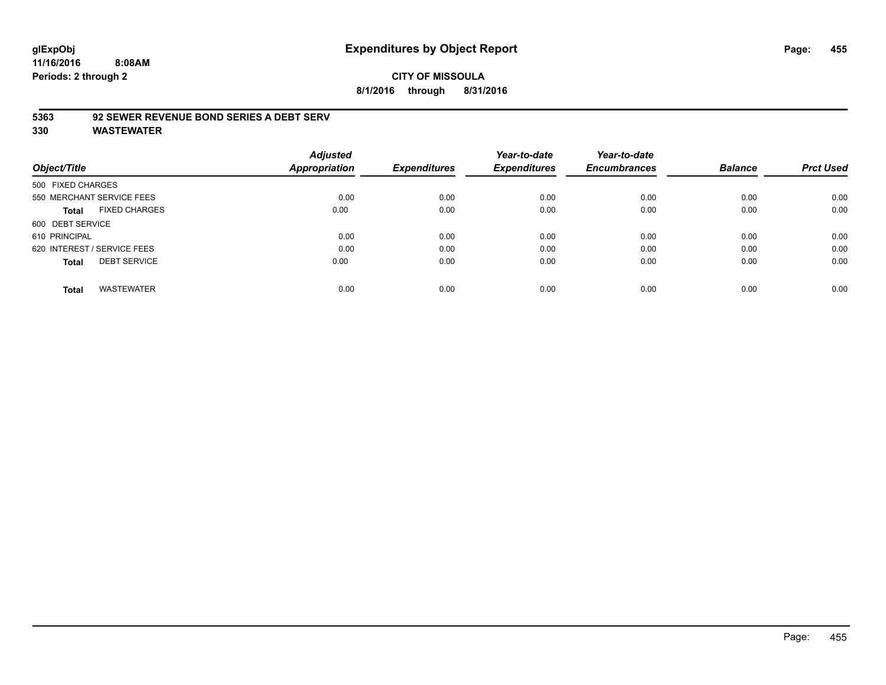# **CITY OF MISSOULA 8/1/2016 through 8/31/2016**

# **5363 92 SEWER REVENUE BOND SERIES A DEBT SERV**

|                                      | <b>Adjusted</b> |                     | Year-to-date        | Year-to-date        |                |                  |
|--------------------------------------|-----------------|---------------------|---------------------|---------------------|----------------|------------------|
| Object/Title                         | Appropriation   | <b>Expenditures</b> | <b>Expenditures</b> | <b>Encumbrances</b> | <b>Balance</b> | <b>Prct Used</b> |
| 500 FIXED CHARGES                    |                 |                     |                     |                     |                |                  |
| 550 MERCHANT SERVICE FEES            | 0.00            | 0.00                | 0.00                | 0.00                | 0.00           | 0.00             |
| <b>FIXED CHARGES</b><br><b>Total</b> | 0.00            | 0.00                | 0.00                | 0.00                | 0.00           | 0.00             |
| 600 DEBT SERVICE                     |                 |                     |                     |                     |                |                  |
| 610 PRINCIPAL                        | 0.00            | 0.00                | 0.00                | 0.00                | 0.00           | 0.00             |
| 620 INTEREST / SERVICE FEES          | 0.00            | 0.00                | 0.00                | 0.00                | 0.00           | 0.00             |
| <b>DEBT SERVICE</b><br><b>Total</b>  | 0.00            | 0.00                | 0.00                | 0.00                | 0.00           | 0.00             |
| <b>WASTEWATER</b><br><b>Total</b>    | 0.00            | 0.00                | 0.00                | 0.00                | 0.00           | 0.00             |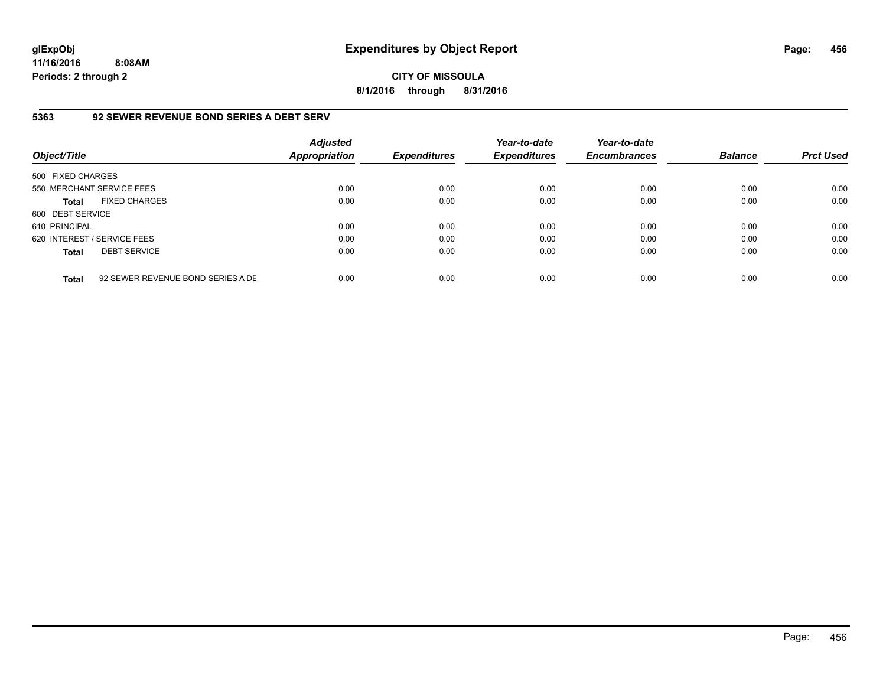**CITY OF MISSOULA 8/1/2016 through 8/31/2016**

# **5363 92 SEWER REVENUE BOND SERIES A DEBT SERV**

| Object/Title                |                                   | <b>Adjusted</b><br><b>Appropriation</b> | <b>Expenditures</b> | Year-to-date<br><b>Expenditures</b> | Year-to-date<br><b>Encumbrances</b> | <b>Balance</b> | <b>Prct Used</b> |
|-----------------------------|-----------------------------------|-----------------------------------------|---------------------|-------------------------------------|-------------------------------------|----------------|------------------|
| 500 FIXED CHARGES           |                                   |                                         |                     |                                     |                                     |                |                  |
| 550 MERCHANT SERVICE FEES   |                                   | 0.00                                    | 0.00                | 0.00                                | 0.00                                | 0.00           | 0.00             |
| <b>Total</b>                | <b>FIXED CHARGES</b>              | 0.00                                    | 0.00                | 0.00                                | 0.00                                | 0.00           | 0.00             |
| 600 DEBT SERVICE            |                                   |                                         |                     |                                     |                                     |                |                  |
| 610 PRINCIPAL               |                                   | 0.00                                    | 0.00                | 0.00                                | 0.00                                | 0.00           | 0.00             |
| 620 INTEREST / SERVICE FEES |                                   | 0.00                                    | 0.00                | 0.00                                | 0.00                                | 0.00           | 0.00             |
| <b>Total</b>                | <b>DEBT SERVICE</b>               | 0.00                                    | 0.00                | 0.00                                | 0.00                                | 0.00           | 0.00             |
| <b>Total</b>                | 92 SEWER REVENUE BOND SERIES A DE | 0.00                                    | 0.00                | 0.00                                | 0.00                                | 0.00           | 0.00             |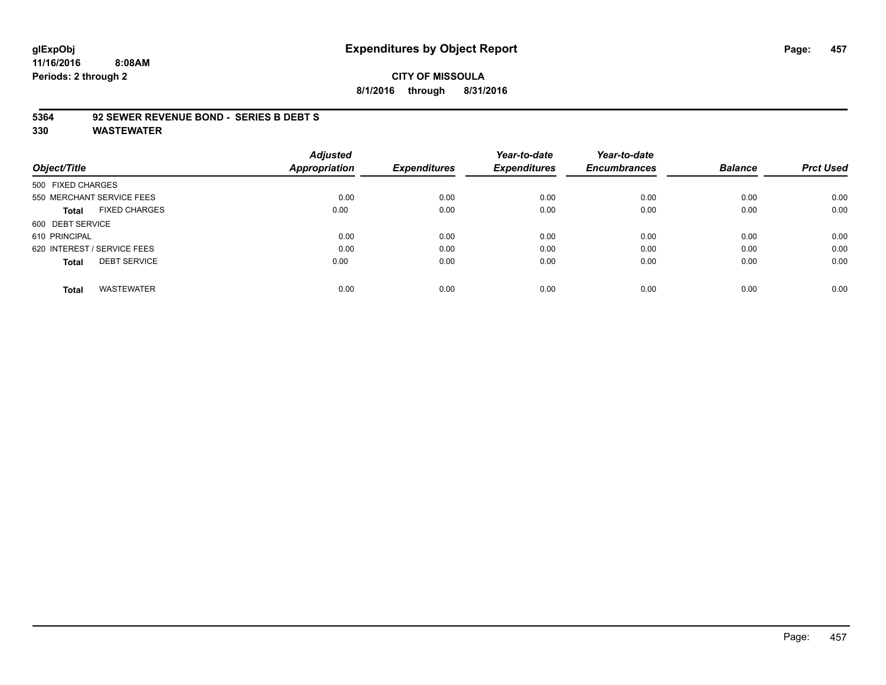# **glExpObj Expenditures by Object Report Page: 457**

**11/16/2016 8:08AM Periods: 2 through 2**

**8/1/2016 through 8/31/2016**

#### **5364 92 SEWER REVENUE BOND - SERIES B DEBT S**

|                                     |                      | <b>Adjusted</b> |                     | Year-to-date        | Year-to-date        |                |                  |
|-------------------------------------|----------------------|-----------------|---------------------|---------------------|---------------------|----------------|------------------|
| Object/Title                        |                      | Appropriation   | <b>Expenditures</b> | <b>Expenditures</b> | <b>Encumbrances</b> | <b>Balance</b> | <b>Prct Used</b> |
| 500 FIXED CHARGES                   |                      |                 |                     |                     |                     |                |                  |
| 550 MERCHANT SERVICE FEES           |                      | 0.00            | 0.00                | 0.00                | 0.00                | 0.00           | 0.00             |
| Total                               | <b>FIXED CHARGES</b> | 0.00            | 0.00                | 0.00                | 0.00                | 0.00           | 0.00             |
| 600 DEBT SERVICE                    |                      |                 |                     |                     |                     |                |                  |
| 610 PRINCIPAL                       |                      | 0.00            | 0.00                | 0.00                | 0.00                | 0.00           | 0.00             |
| 620 INTEREST / SERVICE FEES         |                      | 0.00            | 0.00                | 0.00                | 0.00                | 0.00           | 0.00             |
| <b>DEBT SERVICE</b><br><b>Total</b> |                      | 0.00            | 0.00                | 0.00                | 0.00                | 0.00           | 0.00             |
| <b>WASTEWATER</b><br><b>Total</b>   |                      | 0.00            | 0.00                | 0.00                | 0.00                | 0.00           | 0.00             |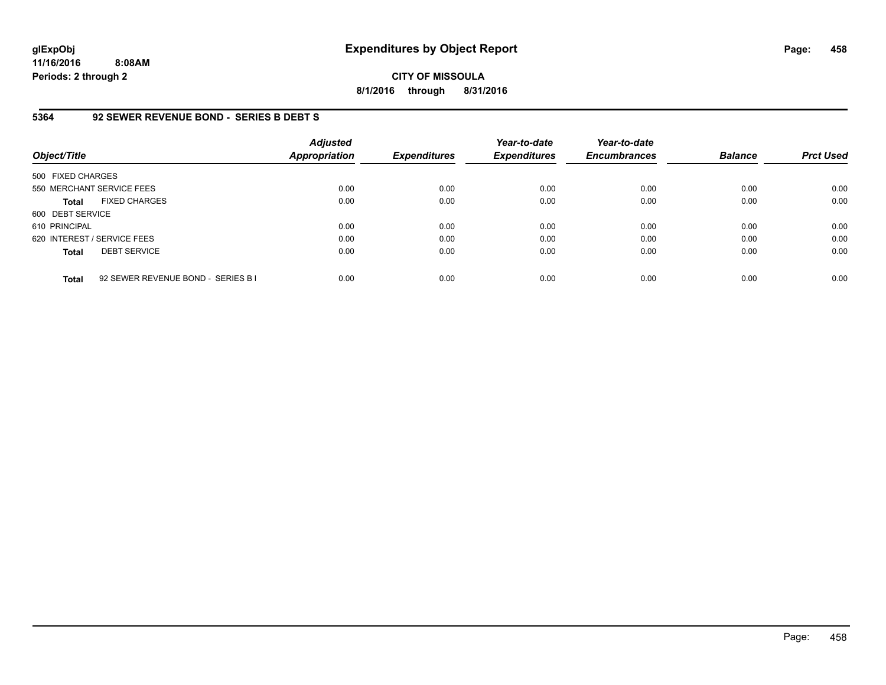**CITY OF MISSOULA 8/1/2016 through 8/31/2016**

### **5364 92 SEWER REVENUE BOND - SERIES B DEBT S**

| Object/Title                |                                    | <b>Adjusted</b><br><b>Appropriation</b> | <b>Expenditures</b> | Year-to-date<br><b>Expenditures</b> | Year-to-date<br><b>Encumbrances</b> | <b>Balance</b> | <b>Prct Used</b> |
|-----------------------------|------------------------------------|-----------------------------------------|---------------------|-------------------------------------|-------------------------------------|----------------|------------------|
| 500 FIXED CHARGES           |                                    |                                         |                     |                                     |                                     |                |                  |
|                             | 550 MERCHANT SERVICE FEES          | 0.00                                    | 0.00                | 0.00                                | 0.00                                | 0.00           | 0.00             |
| <b>Total</b>                | <b>FIXED CHARGES</b>               | 0.00                                    | 0.00                | 0.00                                | 0.00                                | 0.00           | 0.00             |
| 600 DEBT SERVICE            |                                    |                                         |                     |                                     |                                     |                |                  |
| 610 PRINCIPAL               |                                    | 0.00                                    | 0.00                | 0.00                                | 0.00                                | 0.00           | 0.00             |
| 620 INTEREST / SERVICE FEES |                                    | 0.00                                    | 0.00                | 0.00                                | 0.00                                | 0.00           | 0.00             |
| <b>Total</b>                | <b>DEBT SERVICE</b>                | 0.00                                    | 0.00                | 0.00                                | 0.00                                | 0.00           | 0.00             |
| <b>Total</b>                | 92 SEWER REVENUE BOND - SERIES B I | 0.00                                    | 0.00                | 0.00                                | 0.00                                | 0.00           | 0.00             |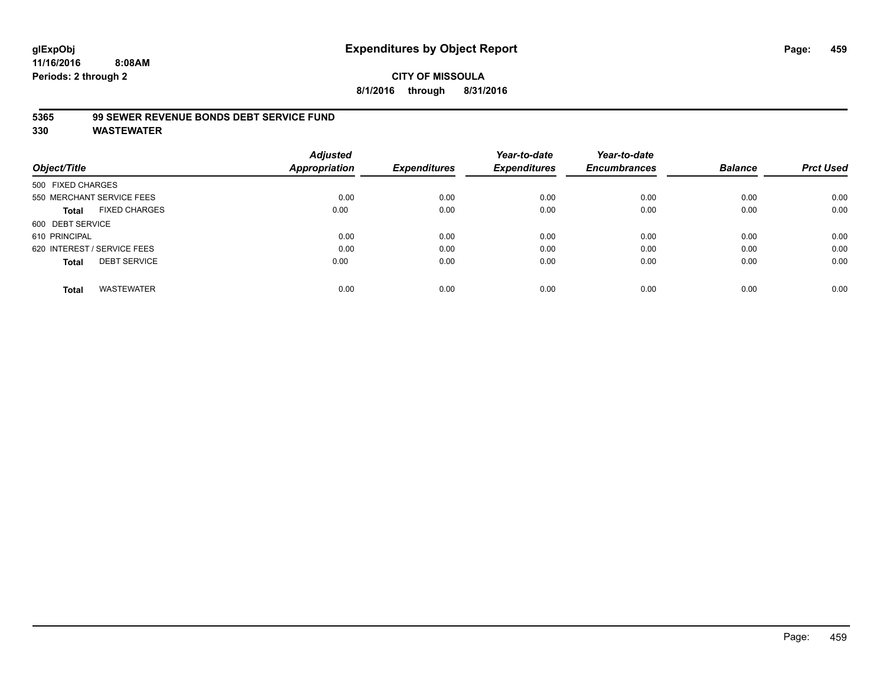# **CITY OF MISSOULA 8/1/2016 through 8/31/2016**

# **5365 99 SEWER REVENUE BONDS DEBT SERVICE FUND**

| Object/Title                         | <b>Adjusted</b><br><b>Appropriation</b> | <b>Expenditures</b> | Year-to-date<br><b>Expenditures</b> | Year-to-date<br><b>Encumbrances</b> | <b>Balance</b> | <b>Prct Used</b> |
|--------------------------------------|-----------------------------------------|---------------------|-------------------------------------|-------------------------------------|----------------|------------------|
| 500 FIXED CHARGES                    |                                         |                     |                                     |                                     |                |                  |
| 550 MERCHANT SERVICE FEES            | 0.00                                    | 0.00                | 0.00                                | 0.00                                | 0.00           | 0.00             |
| <b>FIXED CHARGES</b><br><b>Total</b> | 0.00                                    | 0.00                | 0.00                                | 0.00                                | 0.00           | 0.00             |
| 600 DEBT SERVICE                     |                                         |                     |                                     |                                     |                |                  |
| 610 PRINCIPAL                        | 0.00                                    | 0.00                | 0.00                                | 0.00                                | 0.00           | 0.00             |
| 620 INTEREST / SERVICE FEES          | 0.00                                    | 0.00                | 0.00                                | 0.00                                | 0.00           | 0.00             |
| <b>DEBT SERVICE</b><br><b>Total</b>  | 0.00                                    | 0.00                | 0.00                                | 0.00                                | 0.00           | 0.00             |
| <b>WASTEWATER</b><br><b>Total</b>    | 0.00                                    | 0.00                | 0.00                                | 0.00                                | 0.00           | 0.00             |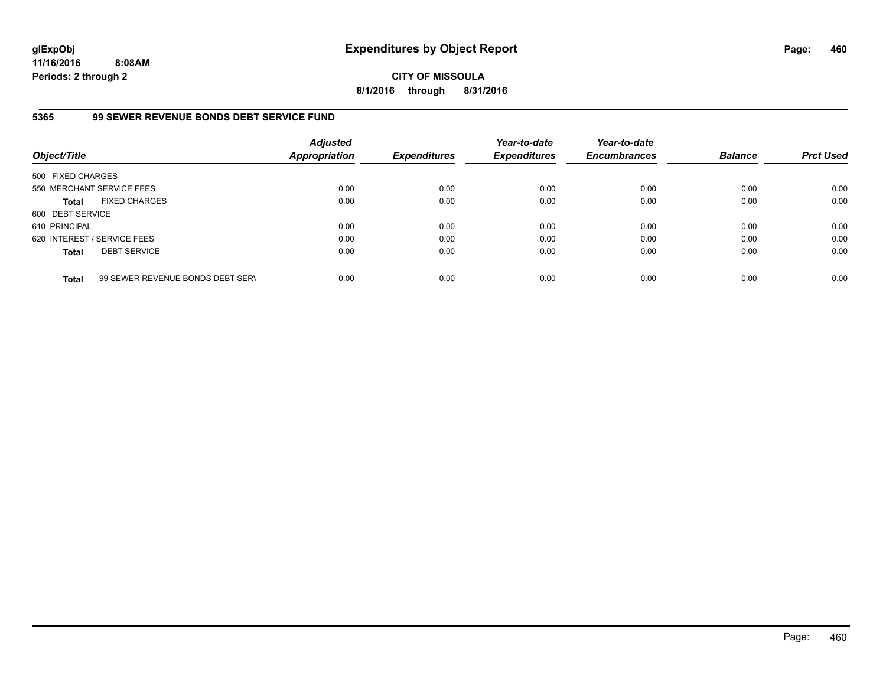**CITY OF MISSOULA 8/1/2016 through 8/31/2016**

# **5365 99 SEWER REVENUE BONDS DEBT SERVICE FUND**

| Object/Title                |                                  | <b>Adjusted</b><br><b>Appropriation</b> | <b>Expenditures</b> | Year-to-date<br><b>Expenditures</b> | Year-to-date<br><b>Encumbrances</b> | <b>Balance</b> | <b>Prct Used</b> |
|-----------------------------|----------------------------------|-----------------------------------------|---------------------|-------------------------------------|-------------------------------------|----------------|------------------|
| 500 FIXED CHARGES           |                                  |                                         |                     |                                     |                                     |                |                  |
|                             | 550 MERCHANT SERVICE FEES        | 0.00                                    | 0.00                | 0.00                                | 0.00                                | 0.00           | 0.00             |
| <b>Total</b>                | <b>FIXED CHARGES</b>             | 0.00                                    | 0.00                | 0.00                                | 0.00                                | 0.00           | 0.00             |
| 600 DEBT SERVICE            |                                  |                                         |                     |                                     |                                     |                |                  |
| 610 PRINCIPAL               |                                  | 0.00                                    | 0.00                | 0.00                                | 0.00                                | 0.00           | 0.00             |
| 620 INTEREST / SERVICE FEES |                                  | 0.00                                    | 0.00                | 0.00                                | 0.00                                | 0.00           | 0.00             |
| <b>Total</b>                | <b>DEBT SERVICE</b>              | 0.00                                    | 0.00                | 0.00                                | 0.00                                | 0.00           | 0.00             |
| <b>Total</b>                | 99 SEWER REVENUE BONDS DEBT SERV | 0.00                                    | 0.00                | 0.00                                | 0.00                                | 0.00           | 0.00             |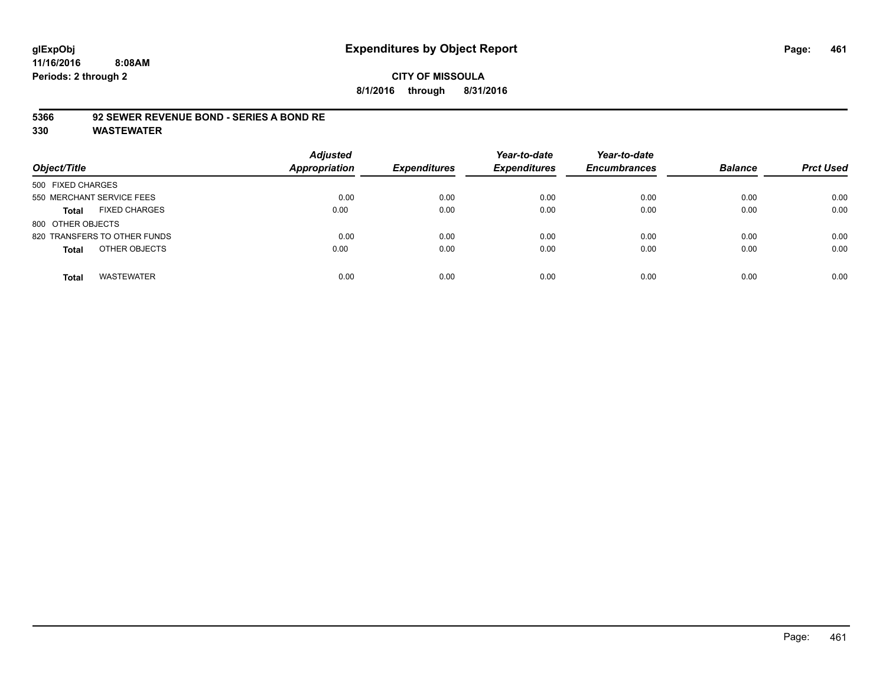# **5366 92 SEWER REVENUE BOND - SERIES A BOND RE**

| Object/Title                         | <b>Adjusted</b><br><b>Appropriation</b> | <b>Expenditures</b> | Year-to-date<br><b>Expenditures</b> | Year-to-date<br><b>Encumbrances</b> | <b>Balance</b> | <b>Prct Used</b> |
|--------------------------------------|-----------------------------------------|---------------------|-------------------------------------|-------------------------------------|----------------|------------------|
| 500 FIXED CHARGES                    |                                         |                     |                                     |                                     |                |                  |
| 550 MERCHANT SERVICE FEES            | 0.00                                    | 0.00                | 0.00                                | 0.00                                | 0.00           | 0.00             |
| <b>FIXED CHARGES</b><br><b>Total</b> | 0.00                                    | 0.00                | 0.00                                | 0.00                                | 0.00           | 0.00             |
| 800 OTHER OBJECTS                    |                                         |                     |                                     |                                     |                |                  |
| 820 TRANSFERS TO OTHER FUNDS         | 0.00                                    | 0.00                | 0.00                                | 0.00                                | 0.00           | 0.00             |
| OTHER OBJECTS<br><b>Total</b>        | 0.00                                    | 0.00                | 0.00                                | 0.00                                | 0.00           | 0.00             |
| <b>WASTEWATER</b><br>Total           | 0.00                                    | 0.00                | 0.00                                | 0.00                                | 0.00           | 0.00             |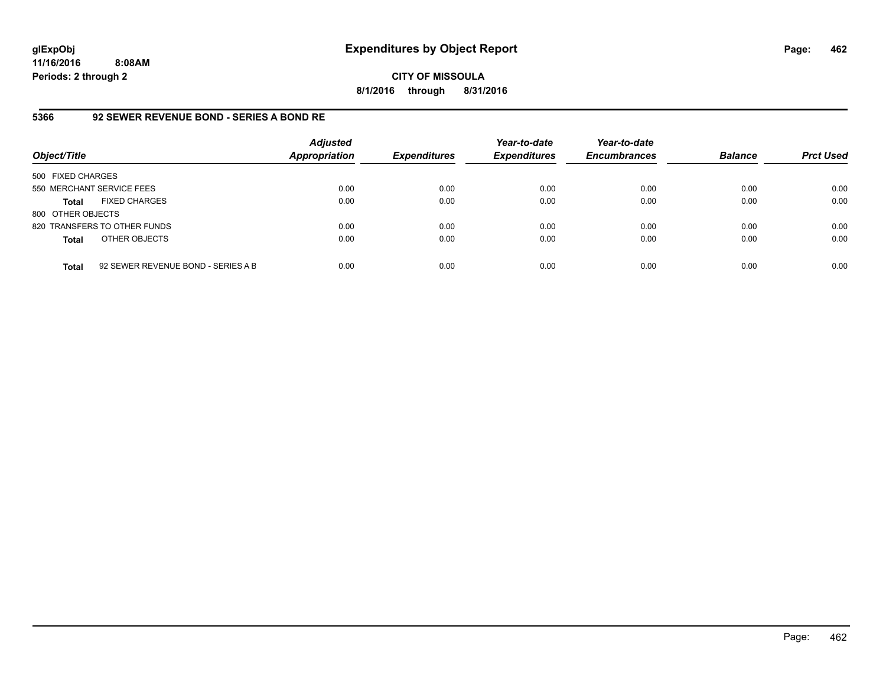**CITY OF MISSOULA 8/1/2016 through 8/31/2016**

# **5366 92 SEWER REVENUE BOND - SERIES A BOND RE**

| Object/Title              |                                    | <b>Adjusted</b><br>Appropriation | <b>Expenditures</b> | Year-to-date<br><b>Expenditures</b> | Year-to-date<br><b>Encumbrances</b> | <b>Balance</b> | <b>Prct Used</b> |
|---------------------------|------------------------------------|----------------------------------|---------------------|-------------------------------------|-------------------------------------|----------------|------------------|
| 500 FIXED CHARGES         |                                    |                                  |                     |                                     |                                     |                |                  |
| 550 MERCHANT SERVICE FEES |                                    | 0.00                             | 0.00                | 0.00                                | 0.00                                | 0.00           | 0.00             |
| Total                     | <b>FIXED CHARGES</b>               | 0.00                             | 0.00                | 0.00                                | 0.00                                | 0.00           | 0.00             |
| 800 OTHER OBJECTS         |                                    |                                  |                     |                                     |                                     |                |                  |
|                           | 820 TRANSFERS TO OTHER FUNDS       | 0.00                             | 0.00                | 0.00                                | 0.00                                | 0.00           | 0.00             |
| <b>Total</b>              | OTHER OBJECTS                      | 0.00                             | 0.00                | 0.00                                | 0.00                                | 0.00           | 0.00             |
| <b>Total</b>              | 92 SEWER REVENUE BOND - SERIES A B | 0.00                             | 0.00                | 0.00                                | 0.00                                | 0.00           | 0.00             |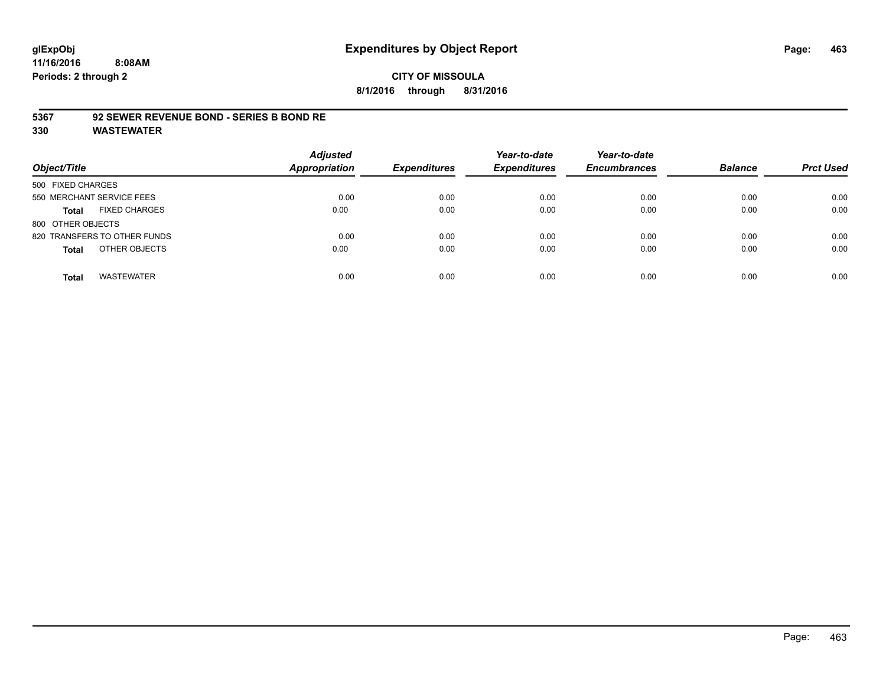**8/1/2016 through 8/31/2016**

### **5367 92 SEWER REVENUE BOND - SERIES B BOND RE**

| Object/Title                         | <b>Adjusted</b><br><b>Appropriation</b> | <b>Expenditures</b> | Year-to-date<br><b>Expenditures</b> | Year-to-date<br><b>Encumbrances</b> | <b>Balance</b> | <b>Prct Used</b> |
|--------------------------------------|-----------------------------------------|---------------------|-------------------------------------|-------------------------------------|----------------|------------------|
| 500 FIXED CHARGES                    |                                         |                     |                                     |                                     |                |                  |
| 550 MERCHANT SERVICE FEES            | 0.00                                    | 0.00                | 0.00                                | 0.00                                | 0.00           | 0.00             |
| <b>FIXED CHARGES</b><br><b>Total</b> | 0.00                                    | 0.00                | 0.00                                | 0.00                                | 0.00           | 0.00             |
| 800 OTHER OBJECTS                    |                                         |                     |                                     |                                     |                |                  |
| 820 TRANSFERS TO OTHER FUNDS         | 0.00                                    | 0.00                | 0.00                                | 0.00                                | 0.00           | 0.00             |
| OTHER OBJECTS<br><b>Total</b>        | 0.00                                    | 0.00                | 0.00                                | 0.00                                | 0.00           | 0.00             |
| <b>WASTEWATER</b><br><b>Total</b>    | 0.00                                    | 0.00                | 0.00                                | 0.00                                | 0.00           | 0.00             |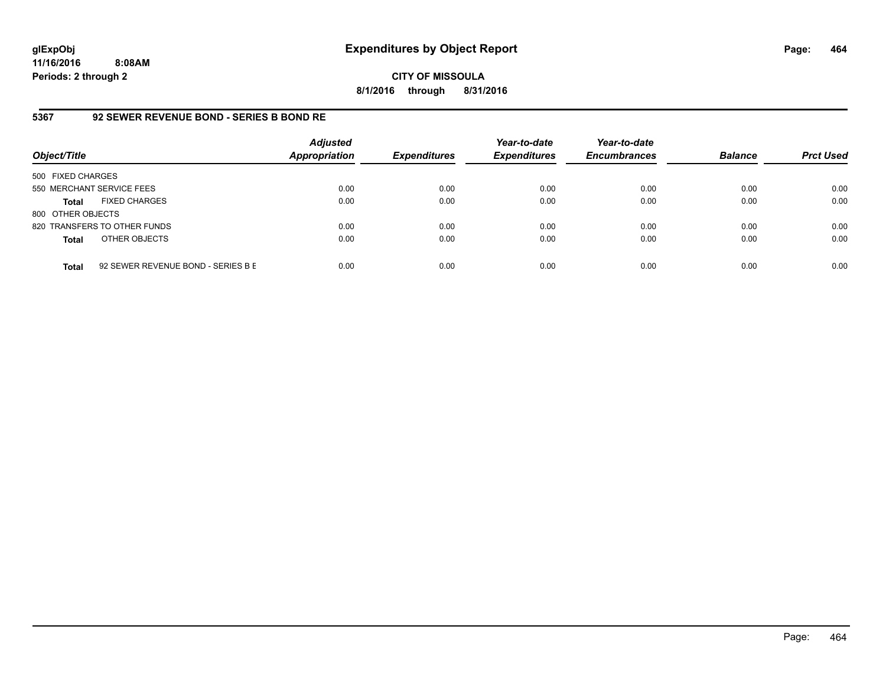**CITY OF MISSOULA 8/1/2016 through 8/31/2016**

# **5367 92 SEWER REVENUE BOND - SERIES B BOND RE**

| Object/Title              |                                    | <b>Adjusted</b><br><b>Appropriation</b> | <b>Expenditures</b> | Year-to-date<br><b>Expenditures</b> | Year-to-date<br><b>Encumbrances</b> | <b>Balance</b> | <b>Prct Used</b> |
|---------------------------|------------------------------------|-----------------------------------------|---------------------|-------------------------------------|-------------------------------------|----------------|------------------|
| 500 FIXED CHARGES         |                                    |                                         |                     |                                     |                                     |                |                  |
| 550 MERCHANT SERVICE FEES |                                    | 0.00                                    | 0.00                | 0.00                                | 0.00                                | 0.00           | 0.00             |
| <b>Total</b>              | <b>FIXED CHARGES</b>               | 0.00                                    | 0.00                | 0.00                                | 0.00                                | 0.00           | 0.00             |
| 800 OTHER OBJECTS         |                                    |                                         |                     |                                     |                                     |                |                  |
|                           | 820 TRANSFERS TO OTHER FUNDS       | 0.00                                    | 0.00                | 0.00                                | 0.00                                | 0.00           | 0.00             |
| <b>Total</b>              | OTHER OBJECTS                      | 0.00                                    | 0.00                | 0.00                                | 0.00                                | 0.00           | 0.00             |
| <b>Total</b>              | 92 SEWER REVENUE BOND - SERIES B E | 0.00                                    | 0.00                | 0.00                                | 0.00                                | 0.00           | 0.00             |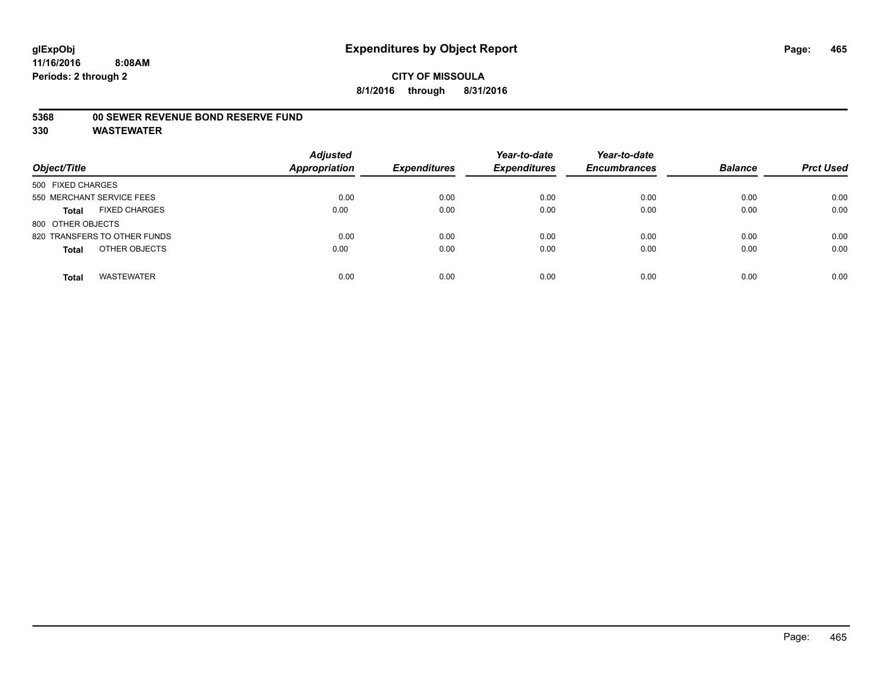#### **5368 00 SEWER REVENUE BOND RESERVE FUND**

| Object/Title                         | <b>Adjusted</b><br><b>Appropriation</b> | <b>Expenditures</b> | Year-to-date<br><b>Expenditures</b> | Year-to-date<br><b>Encumbrances</b> | <b>Balance</b> | <b>Prct Used</b> |
|--------------------------------------|-----------------------------------------|---------------------|-------------------------------------|-------------------------------------|----------------|------------------|
| 500 FIXED CHARGES                    |                                         |                     |                                     |                                     |                |                  |
| 550 MERCHANT SERVICE FEES            | 0.00                                    | 0.00                | 0.00                                | 0.00                                | 0.00           | 0.00             |
| <b>FIXED CHARGES</b><br><b>Total</b> | 0.00                                    | 0.00                | 0.00                                | 0.00                                | 0.00           | 0.00             |
| 800 OTHER OBJECTS                    |                                         |                     |                                     |                                     |                |                  |
| 820 TRANSFERS TO OTHER FUNDS         | 0.00                                    | 0.00                | 0.00                                | 0.00                                | 0.00           | 0.00             |
| OTHER OBJECTS<br><b>Total</b>        | 0.00                                    | 0.00                | 0.00                                | 0.00                                | 0.00           | 0.00             |
| <b>WASTEWATER</b><br><b>Total</b>    | 0.00                                    | 0.00                | 0.00                                | 0.00                                | 0.00           | 0.00             |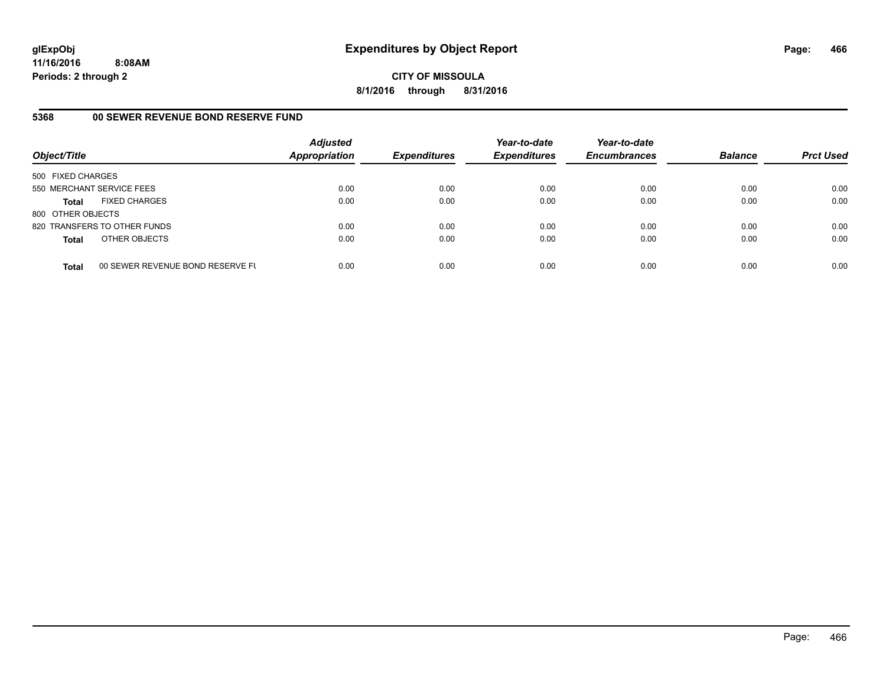**CITY OF MISSOULA 8/1/2016 through 8/31/2016**

# **5368 00 SEWER REVENUE BOND RESERVE FUND**

| Object/Title              |                                  | <b>Adjusted</b><br>Appropriation | <b>Expenditures</b> | Year-to-date<br><b>Expenditures</b> | Year-to-date<br><b>Encumbrances</b> | <b>Balance</b> | <b>Prct Used</b> |
|---------------------------|----------------------------------|----------------------------------|---------------------|-------------------------------------|-------------------------------------|----------------|------------------|
| 500 FIXED CHARGES         |                                  |                                  |                     |                                     |                                     |                |                  |
| 550 MERCHANT SERVICE FEES |                                  | 0.00                             | 0.00                | 0.00                                | 0.00                                | 0.00           | 0.00             |
| <b>Total</b>              | <b>FIXED CHARGES</b>             | 0.00                             | 0.00                | 0.00                                | 0.00                                | 0.00           | 0.00             |
| 800 OTHER OBJECTS         |                                  |                                  |                     |                                     |                                     |                |                  |
|                           | 820 TRANSFERS TO OTHER FUNDS     | 0.00                             | 0.00                | 0.00                                | 0.00                                | 0.00           | 0.00             |
| <b>Total</b>              | OTHER OBJECTS                    | 0.00                             | 0.00                | 0.00                                | 0.00                                | 0.00           | 0.00             |
| <b>Total</b>              | 00 SEWER REVENUE BOND RESERVE FL | 0.00                             | 0.00                | 0.00                                | 0.00                                | 0.00           | 0.00             |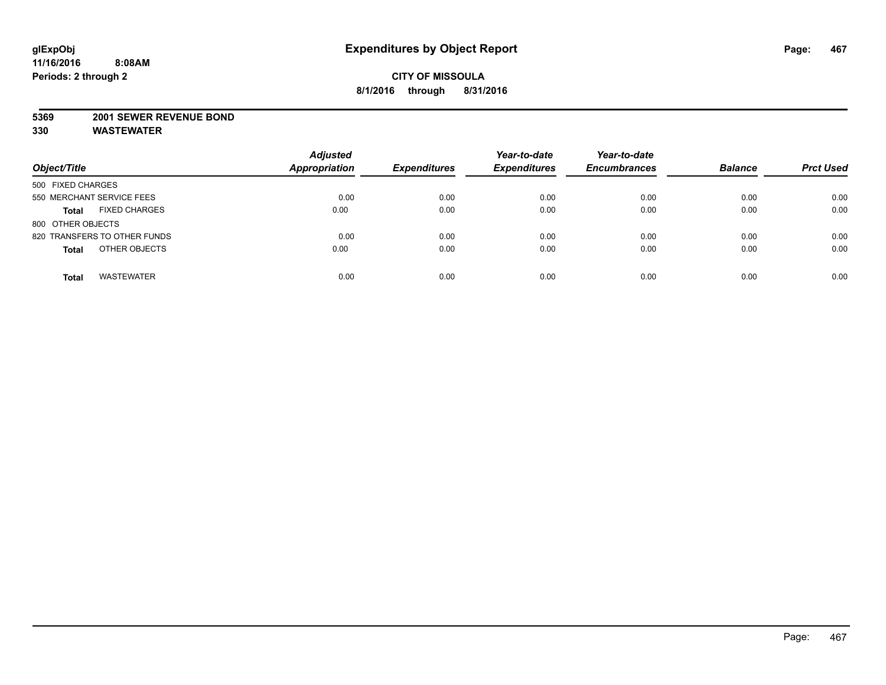#### **5369 2001 SEWER REVENUE BOND**

| Object/Title                         | <b>Adjusted</b><br><b>Appropriation</b> | <b>Expenditures</b> | Year-to-date<br><b>Expenditures</b> | Year-to-date<br><b>Encumbrances</b> | <b>Balance</b> | <b>Prct Used</b> |
|--------------------------------------|-----------------------------------------|---------------------|-------------------------------------|-------------------------------------|----------------|------------------|
| 500 FIXED CHARGES                    |                                         |                     |                                     |                                     |                |                  |
| 550 MERCHANT SERVICE FEES            | 0.00                                    | 0.00                | 0.00                                | 0.00                                | 0.00           | 0.00             |
| <b>FIXED CHARGES</b><br><b>Total</b> | 0.00                                    | 0.00                | 0.00                                | 0.00                                | 0.00           | 0.00             |
| 800 OTHER OBJECTS                    |                                         |                     |                                     |                                     |                |                  |
| 820 TRANSFERS TO OTHER FUNDS         | 0.00                                    | 0.00                | 0.00                                | 0.00                                | 0.00           | 0.00             |
| OTHER OBJECTS<br><b>Total</b>        | 0.00                                    | 0.00                | 0.00                                | 0.00                                | 0.00           | 0.00             |
| <b>WASTEWATER</b><br><b>Total</b>    | 0.00                                    | 0.00                | 0.00                                | 0.00                                | 0.00           | 0.00             |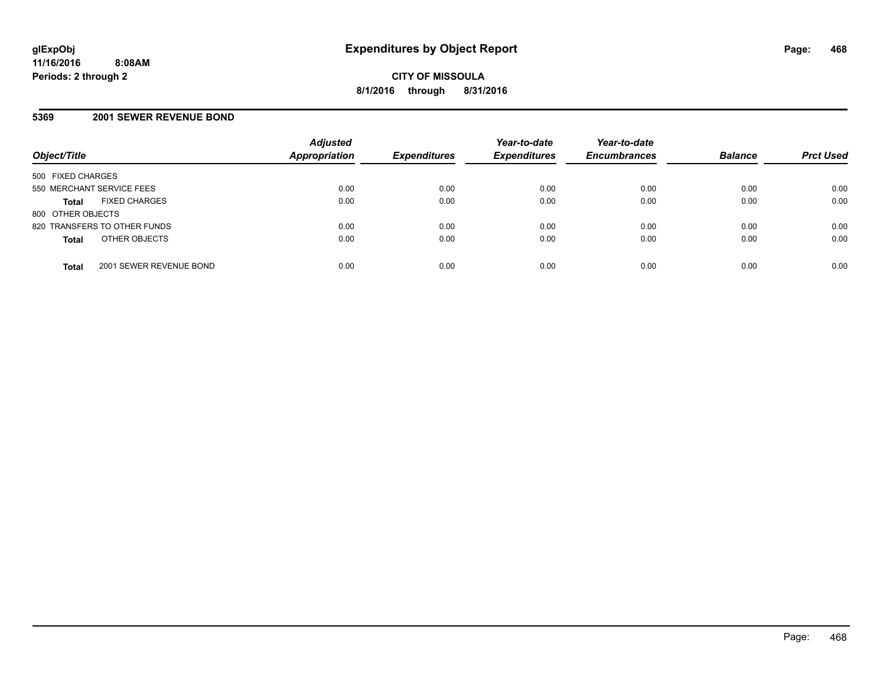### **5369 2001 SEWER REVENUE BOND**

| Object/Title                            | <b>Adjusted</b><br><b>Appropriation</b> | <b>Expenditures</b> | Year-to-date<br><b>Expenditures</b> | Year-to-date<br><b>Encumbrances</b> | <b>Balance</b> | <b>Prct Used</b> |
|-----------------------------------------|-----------------------------------------|---------------------|-------------------------------------|-------------------------------------|----------------|------------------|
| 500 FIXED CHARGES                       |                                         |                     |                                     |                                     |                |                  |
| 550 MERCHANT SERVICE FEES               | 0.00                                    | 0.00                | 0.00                                | 0.00                                | 0.00           | 0.00             |
| <b>FIXED CHARGES</b><br><b>Total</b>    | 0.00                                    | 0.00                | 0.00                                | 0.00                                | 0.00           | 0.00             |
| 800 OTHER OBJECTS                       |                                         |                     |                                     |                                     |                |                  |
| 820 TRANSFERS TO OTHER FUNDS            | 0.00                                    | 0.00                | 0.00                                | 0.00                                | 0.00           | 0.00             |
| OTHER OBJECTS<br><b>Total</b>           | 0.00                                    | 0.00                | 0.00                                | 0.00                                | 0.00           | 0.00             |
| 2001 SEWER REVENUE BOND<br><b>Total</b> | 0.00                                    | 0.00                | 0.00                                | 0.00                                | 0.00           | 0.00             |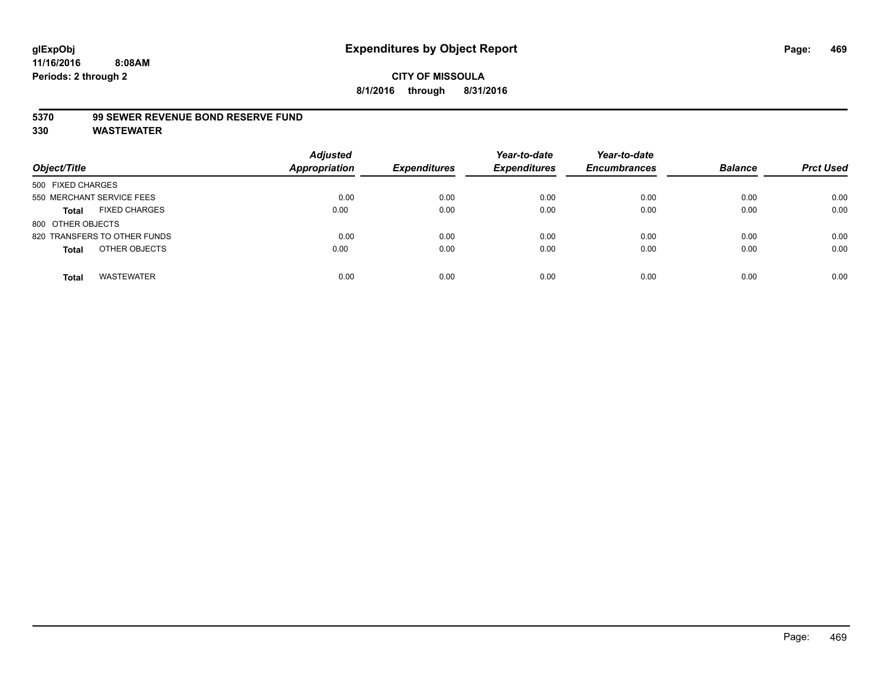#### **5370 99 SEWER REVENUE BOND RESERVE FUND**

| Object/Title                         | <b>Adjusted</b><br>Appropriation | <b>Expenditures</b> | Year-to-date<br><b>Expenditures</b> | Year-to-date<br><b>Encumbrances</b> | <b>Balance</b> | <b>Prct Used</b> |
|--------------------------------------|----------------------------------|---------------------|-------------------------------------|-------------------------------------|----------------|------------------|
| 500 FIXED CHARGES                    |                                  |                     |                                     |                                     |                |                  |
| 550 MERCHANT SERVICE FEES            | 0.00                             | 0.00                | 0.00                                | 0.00                                | 0.00           | 0.00             |
| <b>FIXED CHARGES</b><br><b>Total</b> | 0.00                             | 0.00                | 0.00                                | 0.00                                | 0.00           | 0.00             |
| 800 OTHER OBJECTS                    |                                  |                     |                                     |                                     |                |                  |
| 820 TRANSFERS TO OTHER FUNDS         | 0.00                             | 0.00                | 0.00                                | 0.00                                | 0.00           | 0.00             |
| OTHER OBJECTS<br><b>Total</b>        | 0.00                             | 0.00                | 0.00                                | 0.00                                | 0.00           | 0.00             |
| <b>WASTEWATER</b><br><b>Total</b>    | 0.00                             | 0.00                | 0.00                                | 0.00                                | 0.00           | 0.00             |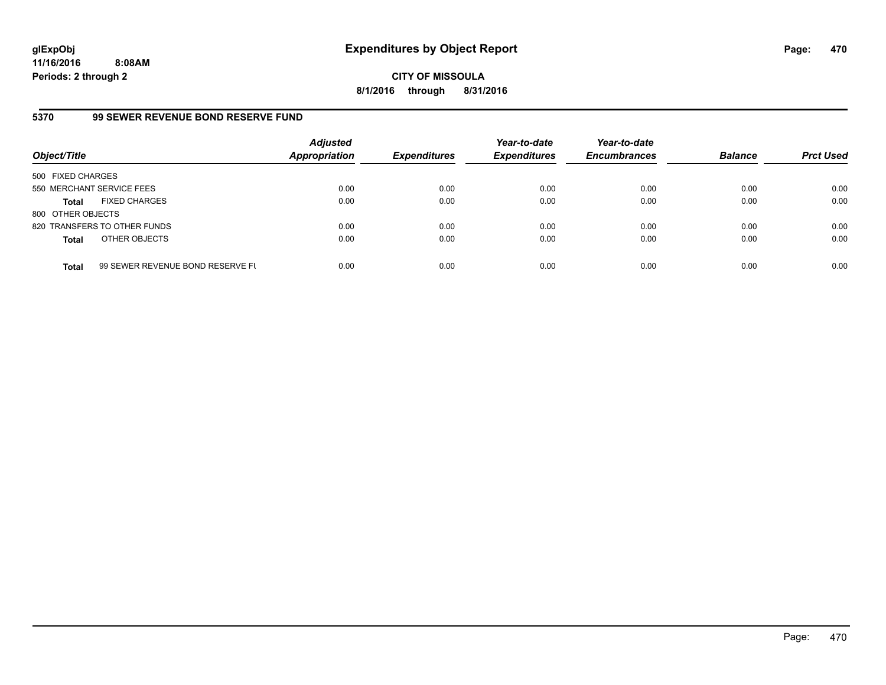**CITY OF MISSOULA 8/1/2016 through 8/31/2016**

## **5370 99 SEWER REVENUE BOND RESERVE FUND**

| Object/Title              |                                  | <b>Adjusted</b><br>Appropriation | <b>Expenditures</b> | Year-to-date<br><b>Expenditures</b> | Year-to-date<br><b>Encumbrances</b> | <b>Balance</b> | <b>Prct Used</b> |
|---------------------------|----------------------------------|----------------------------------|---------------------|-------------------------------------|-------------------------------------|----------------|------------------|
| 500 FIXED CHARGES         |                                  |                                  |                     |                                     |                                     |                |                  |
| 550 MERCHANT SERVICE FEES |                                  | 0.00                             | 0.00                | 0.00                                | 0.00                                | 0.00           | 0.00             |
| Total                     | <b>FIXED CHARGES</b>             | 0.00                             | 0.00                | 0.00                                | 0.00                                | 0.00           | 0.00             |
| 800 OTHER OBJECTS         |                                  |                                  |                     |                                     |                                     |                |                  |
|                           | 820 TRANSFERS TO OTHER FUNDS     | 0.00                             | 0.00                | 0.00                                | 0.00                                | 0.00           | 0.00             |
| <b>Total</b>              | OTHER OBJECTS                    | 0.00                             | 0.00                | 0.00                                | 0.00                                | 0.00           | 0.00             |
| <b>Total</b>              | 99 SEWER REVENUE BOND RESERVE FL | 0.00                             | 0.00                | 0.00                                | 0.00                                | 0.00           | 0.00             |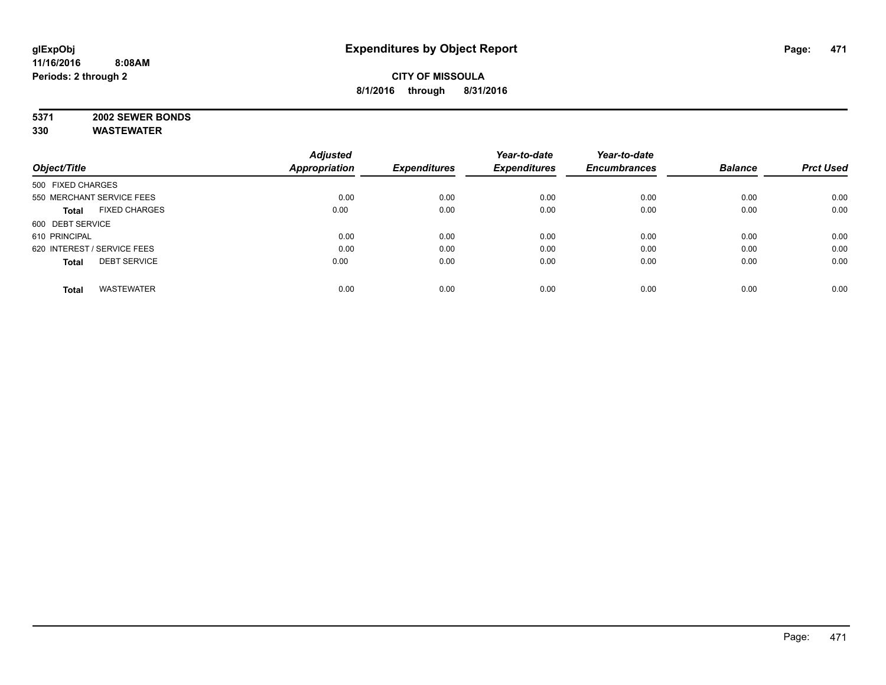# **5371 2002 SEWER BONDS**

|                                      | <b>Adjusted</b>      |                     | Year-to-date        | Year-to-date        |                |                  |
|--------------------------------------|----------------------|---------------------|---------------------|---------------------|----------------|------------------|
| Object/Title                         | <b>Appropriation</b> | <b>Expenditures</b> | <b>Expenditures</b> | <b>Encumbrances</b> | <b>Balance</b> | <b>Prct Used</b> |
| 500 FIXED CHARGES                    |                      |                     |                     |                     |                |                  |
| 550 MERCHANT SERVICE FEES            | 0.00                 | 0.00                | 0.00                | 0.00                | 0.00           | 0.00             |
| <b>FIXED CHARGES</b><br><b>Total</b> | 0.00                 | 0.00                | 0.00                | 0.00                | 0.00           | 0.00             |
| 600 DEBT SERVICE                     |                      |                     |                     |                     |                |                  |
| 610 PRINCIPAL                        | 0.00                 | 0.00                | 0.00                | 0.00                | 0.00           | 0.00             |
| 620 INTEREST / SERVICE FEES          | 0.00                 | 0.00                | 0.00                | 0.00                | 0.00           | 0.00             |
| <b>DEBT SERVICE</b><br><b>Total</b>  | 0.00                 | 0.00                | 0.00                | 0.00                | 0.00           | 0.00             |
| <b>WASTEWATER</b><br><b>Total</b>    | 0.00                 | 0.00                | 0.00                | 0.00                | 0.00           | 0.00             |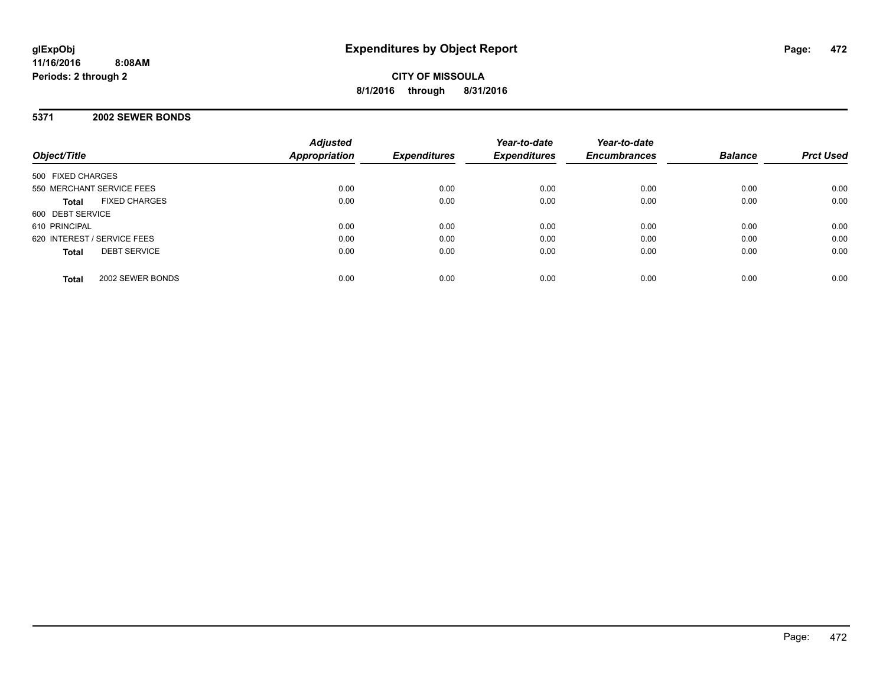**CITY OF MISSOULA 8/1/2016 through 8/31/2016**

## **5371 2002 SEWER BONDS**

| Object/Title                         | <b>Adjusted</b><br><b>Appropriation</b> | <b>Expenditures</b> | Year-to-date<br><b>Expenditures</b> | Year-to-date<br><b>Encumbrances</b> | <b>Balance</b> | <b>Prct Used</b> |
|--------------------------------------|-----------------------------------------|---------------------|-------------------------------------|-------------------------------------|----------------|------------------|
| 500 FIXED CHARGES                    |                                         |                     |                                     |                                     |                |                  |
| 550 MERCHANT SERVICE FEES            | 0.00                                    | 0.00                | 0.00                                | 0.00                                | 0.00           | 0.00             |
| <b>FIXED CHARGES</b><br><b>Total</b> | 0.00                                    | 0.00                | 0.00                                | 0.00                                | 0.00           | 0.00             |
| 600 DEBT SERVICE                     |                                         |                     |                                     |                                     |                |                  |
| 610 PRINCIPAL                        | 0.00                                    | 0.00                | 0.00                                | 0.00                                | 0.00           | 0.00             |
| 620 INTEREST / SERVICE FEES          | 0.00                                    | 0.00                | 0.00                                | 0.00                                | 0.00           | 0.00             |
| <b>DEBT SERVICE</b><br><b>Total</b>  | 0.00                                    | 0.00                | 0.00                                | 0.00                                | 0.00           | 0.00             |
| 2002 SEWER BONDS<br><b>Total</b>     | 0.00                                    | 0.00                | 0.00                                | 0.00                                | 0.00           | 0.00             |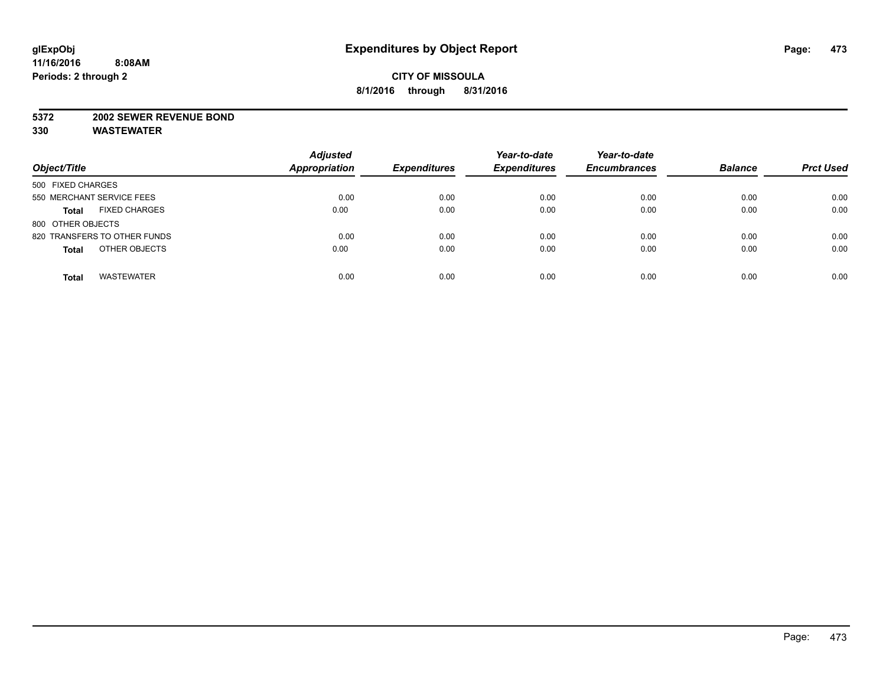### **5372 2002 SEWER REVENUE BOND**

| Object/Title                         | <b>Adjusted</b><br><b>Appropriation</b> | <b>Expenditures</b> | Year-to-date<br><b>Expenditures</b> | Year-to-date<br><b>Encumbrances</b> | <b>Balance</b> | <b>Prct Used</b> |
|--------------------------------------|-----------------------------------------|---------------------|-------------------------------------|-------------------------------------|----------------|------------------|
| 500 FIXED CHARGES                    |                                         |                     |                                     |                                     |                |                  |
| 550 MERCHANT SERVICE FEES            | 0.00                                    | 0.00                | 0.00                                | 0.00                                | 0.00           | 0.00             |
| <b>FIXED CHARGES</b><br><b>Total</b> | 0.00                                    | 0.00                | 0.00                                | 0.00                                | 0.00           | 0.00             |
| 800 OTHER OBJECTS                    |                                         |                     |                                     |                                     |                |                  |
| 820 TRANSFERS TO OTHER FUNDS         | 0.00                                    | 0.00                | 0.00                                | 0.00                                | 0.00           | 0.00             |
| OTHER OBJECTS<br><b>Total</b>        | 0.00                                    | 0.00                | 0.00                                | 0.00                                | 0.00           | 0.00             |
| <b>WASTEWATER</b><br><b>Total</b>    | 0.00                                    | 0.00                | 0.00                                | 0.00                                | 0.00           | 0.00             |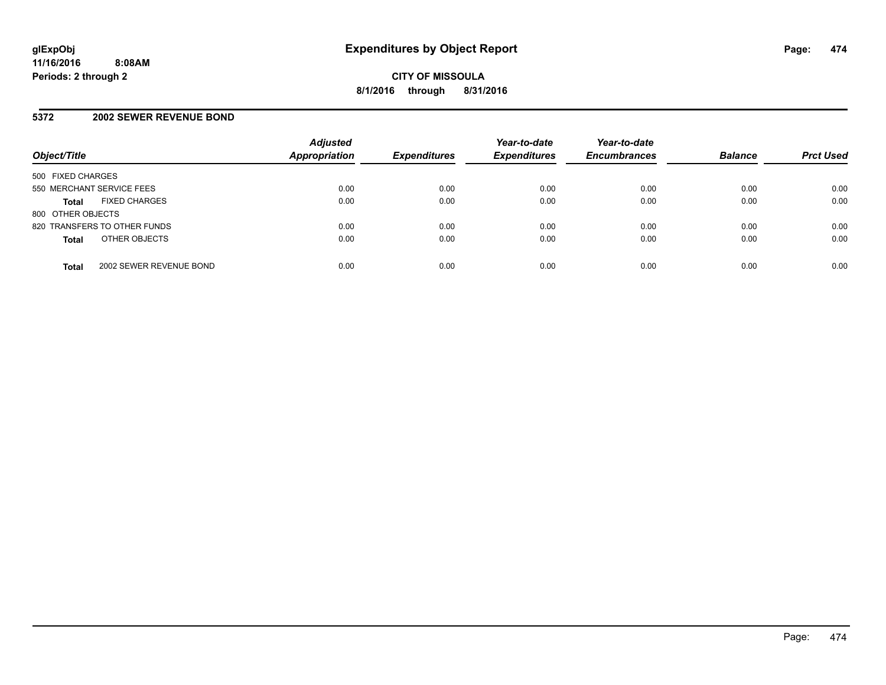## **5372 2002 SEWER REVENUE BOND**

| Object/Title              |                              | <b>Adjusted</b><br><b>Appropriation</b> | <b>Expenditures</b> | Year-to-date<br><b>Expenditures</b> | Year-to-date<br><b>Encumbrances</b> | <b>Balance</b> | <b>Prct Used</b> |
|---------------------------|------------------------------|-----------------------------------------|---------------------|-------------------------------------|-------------------------------------|----------------|------------------|
| 500 FIXED CHARGES         |                              |                                         |                     |                                     |                                     |                |                  |
| 550 MERCHANT SERVICE FEES |                              | 0.00                                    | 0.00                | 0.00                                | 0.00                                | 0.00           | 0.00             |
| <b>Total</b>              | <b>FIXED CHARGES</b>         | 0.00                                    | 0.00                | 0.00                                | 0.00                                | 0.00           | 0.00             |
| 800 OTHER OBJECTS         |                              |                                         |                     |                                     |                                     |                |                  |
|                           | 820 TRANSFERS TO OTHER FUNDS | 0.00                                    | 0.00                | 0.00                                | 0.00                                | 0.00           | 0.00             |
| <b>Total</b>              | OTHER OBJECTS                | 0.00                                    | 0.00                | 0.00                                | 0.00                                | 0.00           | 0.00             |
| <b>Total</b>              | 2002 SEWER REVENUE BOND      | 0.00                                    | 0.00                | 0.00                                | 0.00                                | 0.00           | 0.00             |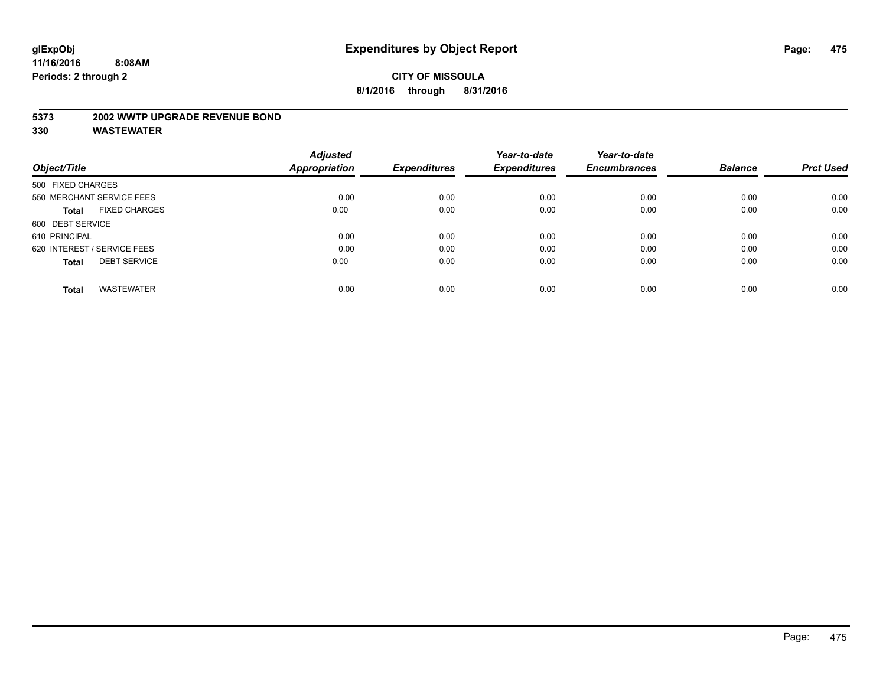## **5373 2002 WWTP UPGRADE REVENUE BOND**

|                                      | <b>Adjusted</b>      |                     | Year-to-date        | Year-to-date        |                |                  |
|--------------------------------------|----------------------|---------------------|---------------------|---------------------|----------------|------------------|
| Object/Title                         | <b>Appropriation</b> | <b>Expenditures</b> | <b>Expenditures</b> | <b>Encumbrances</b> | <b>Balance</b> | <b>Prct Used</b> |
| 500 FIXED CHARGES                    |                      |                     |                     |                     |                |                  |
| 550 MERCHANT SERVICE FEES            | 0.00                 | 0.00                | 0.00                | 0.00                | 0.00           | 0.00             |
| <b>FIXED CHARGES</b><br><b>Total</b> | 0.00                 | 0.00                | 0.00                | 0.00                | 0.00           | 0.00             |
| 600 DEBT SERVICE                     |                      |                     |                     |                     |                |                  |
| 610 PRINCIPAL                        | 0.00                 | 0.00                | 0.00                | 0.00                | 0.00           | 0.00             |
| 620 INTEREST / SERVICE FEES          | 0.00                 | 0.00                | 0.00                | 0.00                | 0.00           | 0.00             |
| <b>DEBT SERVICE</b><br><b>Total</b>  | 0.00                 | 0.00                | 0.00                | 0.00                | 0.00           | 0.00             |
| <b>WASTEWATER</b><br><b>Total</b>    | 0.00                 | 0.00                | 0.00                | 0.00                | 0.00           | 0.00             |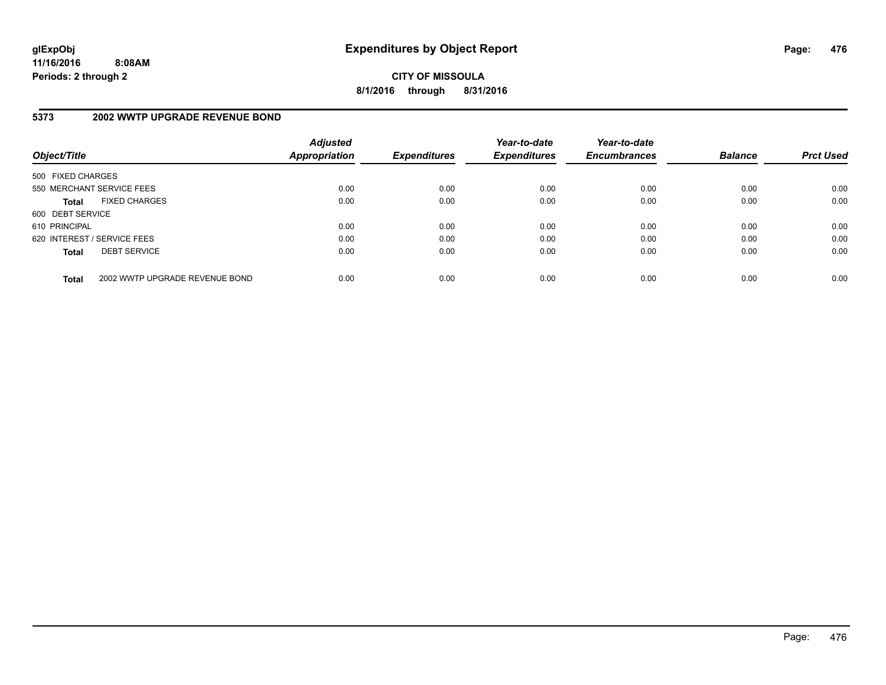**CITY OF MISSOULA 8/1/2016 through 8/31/2016**

## **5373 2002 WWTP UPGRADE REVENUE BOND**

| Object/Title                |                                | <b>Adjusted</b><br><b>Appropriation</b> | <b>Expenditures</b> | Year-to-date<br><b>Expenditures</b> | Year-to-date<br><b>Encumbrances</b> | <b>Balance</b> | <b>Prct Used</b> |
|-----------------------------|--------------------------------|-----------------------------------------|---------------------|-------------------------------------|-------------------------------------|----------------|------------------|
| 500 FIXED CHARGES           |                                |                                         |                     |                                     |                                     |                |                  |
| 550 MERCHANT SERVICE FEES   |                                | 0.00                                    | 0.00                | 0.00                                | 0.00                                | 0.00           | 0.00             |
| <b>Total</b>                | <b>FIXED CHARGES</b>           | 0.00                                    | 0.00                | 0.00                                | 0.00                                | 0.00           | 0.00             |
| 600 DEBT SERVICE            |                                |                                         |                     |                                     |                                     |                |                  |
| 610 PRINCIPAL               |                                | 0.00                                    | 0.00                | 0.00                                | 0.00                                | 0.00           | 0.00             |
| 620 INTEREST / SERVICE FEES |                                | 0.00                                    | 0.00                | 0.00                                | 0.00                                | 0.00           | 0.00             |
| <b>Total</b>                | <b>DEBT SERVICE</b>            | 0.00                                    | 0.00                | 0.00                                | 0.00                                | 0.00           | 0.00             |
| <b>Total</b>                | 2002 WWTP UPGRADE REVENUE BOND | 0.00                                    | 0.00                | 0.00                                | 0.00                                | 0.00           | 0.00             |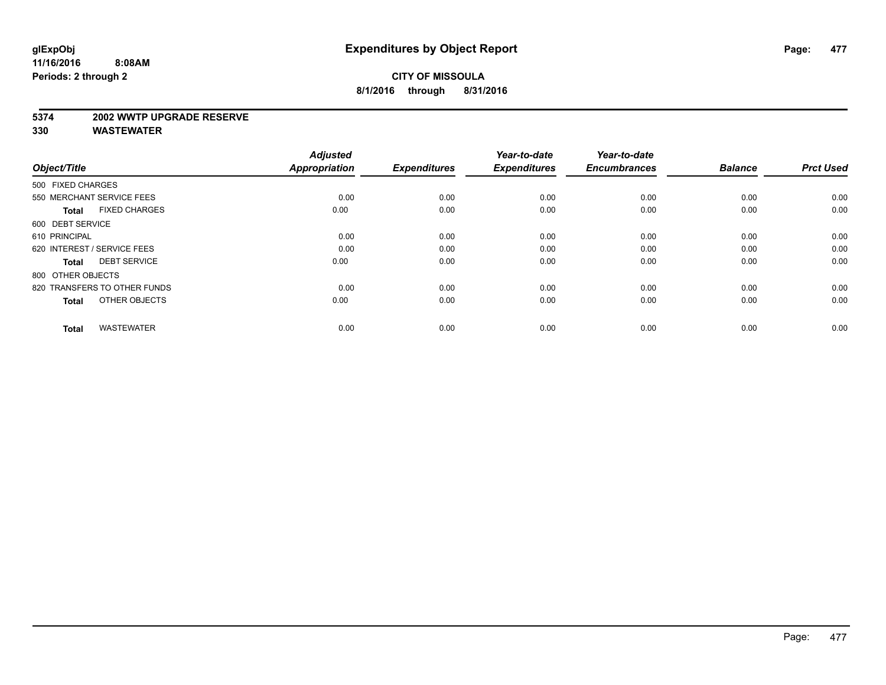#### **5374 2002 WWTP UPGRADE RESERVE**

| Object/Title                         | <b>Adjusted</b><br><b>Appropriation</b> | <b>Expenditures</b> | Year-to-date<br><b>Expenditures</b> | Year-to-date<br><b>Encumbrances</b> | <b>Balance</b> | <b>Prct Used</b> |
|--------------------------------------|-----------------------------------------|---------------------|-------------------------------------|-------------------------------------|----------------|------------------|
| 500 FIXED CHARGES                    |                                         |                     |                                     |                                     |                |                  |
| 550 MERCHANT SERVICE FEES            | 0.00                                    | 0.00                | 0.00                                | 0.00                                | 0.00           | 0.00             |
| <b>FIXED CHARGES</b><br><b>Total</b> | 0.00                                    | 0.00                | 0.00                                | 0.00                                | 0.00           | 0.00             |
| 600 DEBT SERVICE                     |                                         |                     |                                     |                                     |                |                  |
| 610 PRINCIPAL                        | 0.00                                    | 0.00                | 0.00                                | 0.00                                | 0.00           | 0.00             |
| 620 INTEREST / SERVICE FEES          | 0.00                                    | 0.00                | 0.00                                | 0.00                                | 0.00           | 0.00             |
| <b>DEBT SERVICE</b><br><b>Total</b>  | 0.00                                    | 0.00                | 0.00                                | 0.00                                | 0.00           | 0.00             |
| 800 OTHER OBJECTS                    |                                         |                     |                                     |                                     |                |                  |
| 820 TRANSFERS TO OTHER FUNDS         | 0.00                                    | 0.00                | 0.00                                | 0.00                                | 0.00           | 0.00             |
| OTHER OBJECTS<br><b>Total</b>        | 0.00                                    | 0.00                | 0.00                                | 0.00                                | 0.00           | 0.00             |
|                                      |                                         |                     |                                     |                                     |                |                  |
| <b>WASTEWATER</b><br><b>Total</b>    | 0.00                                    | 0.00                | 0.00                                | 0.00                                | 0.00           | 0.00             |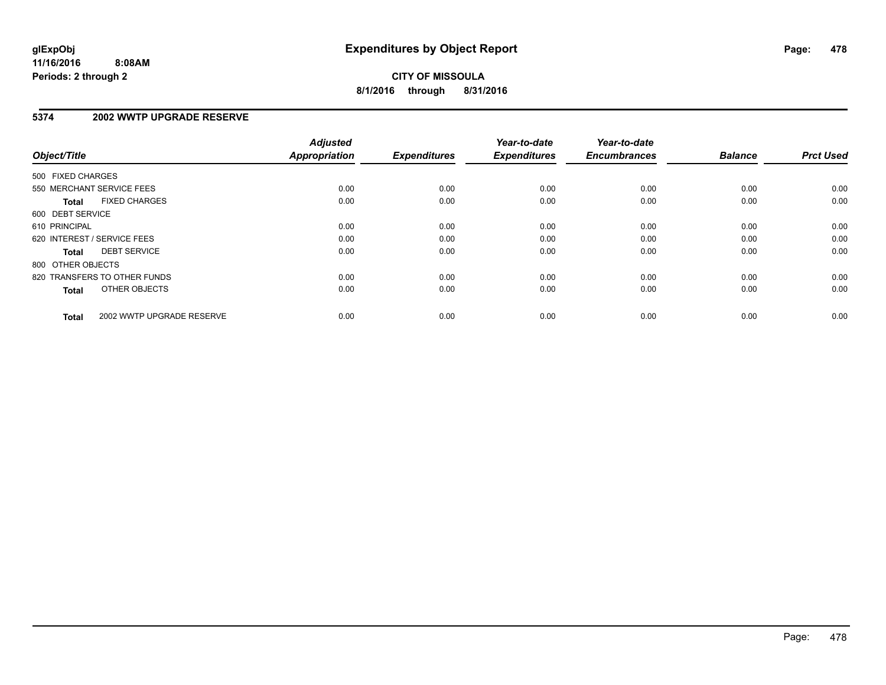## **5374 2002 WWTP UPGRADE RESERVE**

| Object/Title                              | <b>Adjusted</b><br><b>Appropriation</b> | <b>Expenditures</b> | Year-to-date<br><b>Expenditures</b> | Year-to-date<br><b>Encumbrances</b> | <b>Balance</b> | <b>Prct Used</b> |
|-------------------------------------------|-----------------------------------------|---------------------|-------------------------------------|-------------------------------------|----------------|------------------|
|                                           |                                         |                     |                                     |                                     |                |                  |
| 500 FIXED CHARGES                         |                                         |                     |                                     |                                     |                |                  |
| 550 MERCHANT SERVICE FEES                 | 0.00                                    | 0.00                | 0.00                                | 0.00                                | 0.00           | 0.00             |
| <b>FIXED CHARGES</b><br><b>Total</b>      | 0.00                                    | 0.00                | 0.00                                | 0.00                                | 0.00           | 0.00             |
| 600 DEBT SERVICE                          |                                         |                     |                                     |                                     |                |                  |
| 610 PRINCIPAL                             | 0.00                                    | 0.00                | 0.00                                | 0.00                                | 0.00           | 0.00             |
| 620 INTEREST / SERVICE FEES               | 0.00                                    | 0.00                | 0.00                                | 0.00                                | 0.00           | 0.00             |
| <b>DEBT SERVICE</b><br><b>Total</b>       | 0.00                                    | 0.00                | 0.00                                | 0.00                                | 0.00           | 0.00             |
| 800 OTHER OBJECTS                         |                                         |                     |                                     |                                     |                |                  |
| 820 TRANSFERS TO OTHER FUNDS              | 0.00                                    | 0.00                | 0.00                                | 0.00                                | 0.00           | 0.00             |
| OTHER OBJECTS<br><b>Total</b>             | 0.00                                    | 0.00                | 0.00                                | 0.00                                | 0.00           | 0.00             |
|                                           |                                         |                     |                                     |                                     |                |                  |
| 2002 WWTP UPGRADE RESERVE<br><b>Total</b> | 0.00                                    | 0.00                | 0.00                                | 0.00                                | 0.00           | 0.00             |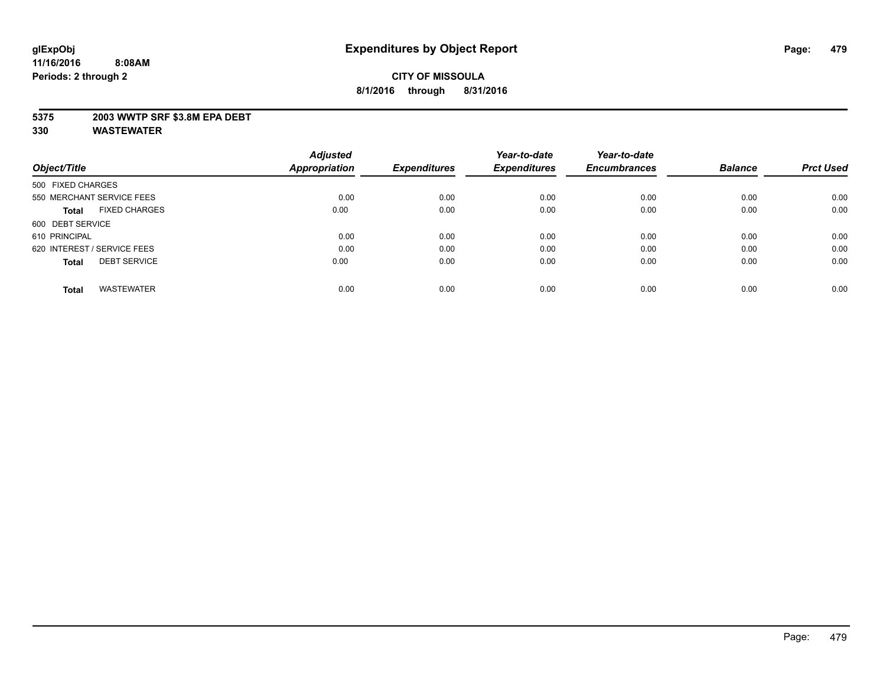## **5375 2003 WWTP SRF \$3.8M EPA DEBT**

|                                      | <b>Adjusted</b> |                     | Year-to-date        | Year-to-date        |                |                  |
|--------------------------------------|-----------------|---------------------|---------------------|---------------------|----------------|------------------|
| Object/Title                         | Appropriation   | <b>Expenditures</b> | <b>Expenditures</b> | <b>Encumbrances</b> | <b>Balance</b> | <b>Prct Used</b> |
| 500 FIXED CHARGES                    |                 |                     |                     |                     |                |                  |
| 550 MERCHANT SERVICE FEES            | 0.00            | 0.00                | 0.00                | 0.00                | 0.00           | 0.00             |
| <b>FIXED CHARGES</b><br><b>Total</b> | 0.00            | 0.00                | 0.00                | 0.00                | 0.00           | 0.00             |
| 600 DEBT SERVICE                     |                 |                     |                     |                     |                |                  |
| 610 PRINCIPAL                        | 0.00            | 0.00                | 0.00                | 0.00                | 0.00           | 0.00             |
| 620 INTEREST / SERVICE FEES          | 0.00            | 0.00                | 0.00                | 0.00                | 0.00           | 0.00             |
| <b>DEBT SERVICE</b><br><b>Total</b>  | 0.00            | 0.00                | 0.00                | 0.00                | 0.00           | 0.00             |
| <b>WASTEWATER</b><br><b>Total</b>    | 0.00            | 0.00                | 0.00                | 0.00                | 0.00           | 0.00             |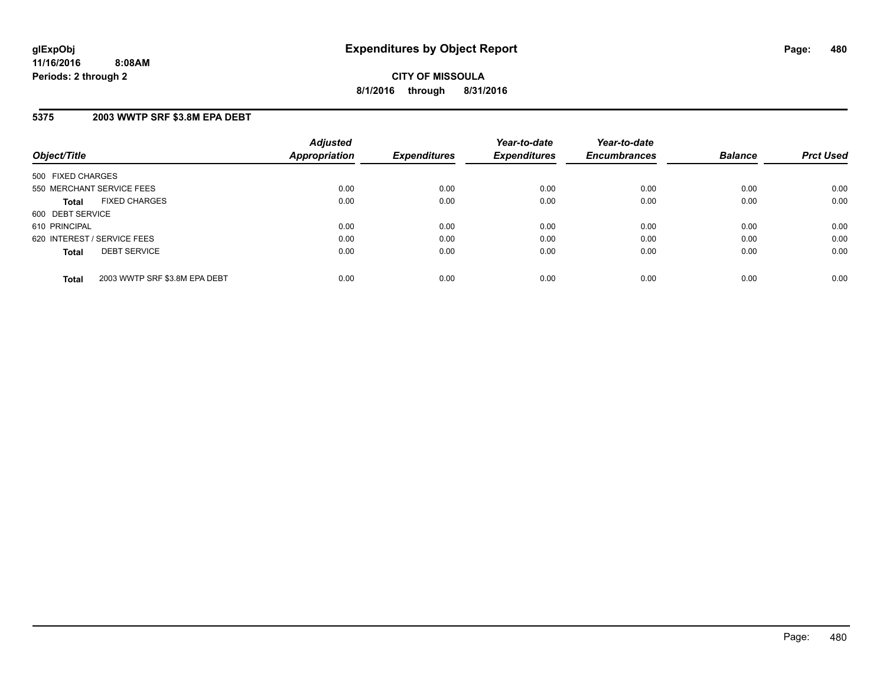## **5375 2003 WWTP SRF \$3.8M EPA DEBT**

| Object/Title                                  | <b>Adjusted</b><br><b>Appropriation</b> | <b>Expenditures</b> | Year-to-date<br><b>Expenditures</b> | Year-to-date<br><b>Encumbrances</b> | <b>Balance</b> | <b>Prct Used</b> |
|-----------------------------------------------|-----------------------------------------|---------------------|-------------------------------------|-------------------------------------|----------------|------------------|
| 500 FIXED CHARGES                             |                                         |                     |                                     |                                     |                |                  |
| 550 MERCHANT SERVICE FEES                     | 0.00                                    | 0.00                | 0.00                                | 0.00                                | 0.00           | 0.00             |
| <b>FIXED CHARGES</b><br><b>Total</b>          | 0.00                                    | 0.00                | 0.00                                | 0.00                                | 0.00           | 0.00             |
| 600 DEBT SERVICE                              |                                         |                     |                                     |                                     |                |                  |
| 610 PRINCIPAL                                 | 0.00                                    | 0.00                | 0.00                                | 0.00                                | 0.00           | 0.00             |
| 620 INTEREST / SERVICE FEES                   | 0.00                                    | 0.00                | 0.00                                | 0.00                                | 0.00           | 0.00             |
| <b>DEBT SERVICE</b><br><b>Total</b>           | 0.00                                    | 0.00                | 0.00                                | 0.00                                | 0.00           | 0.00             |
| 2003 WWTP SRF \$3.8M EPA DEBT<br><b>Total</b> | 0.00                                    | 0.00                | 0.00                                | 0.00                                | 0.00           | 0.00             |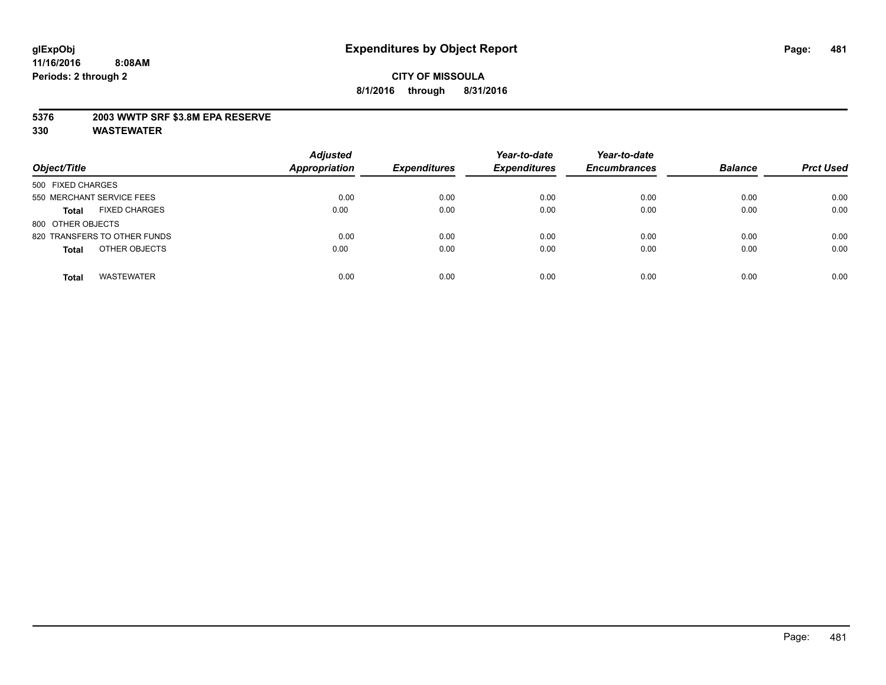## **5376 2003 WWTP SRF \$3.8M EPA RESERVE**

| Object/Title                         | <b>Adjusted</b><br><b>Appropriation</b> | <b>Expenditures</b> | Year-to-date<br><b>Expenditures</b> | Year-to-date<br><b>Encumbrances</b> | <b>Balance</b> | <b>Prct Used</b> |
|--------------------------------------|-----------------------------------------|---------------------|-------------------------------------|-------------------------------------|----------------|------------------|
| 500 FIXED CHARGES                    |                                         |                     |                                     |                                     |                |                  |
| 550 MERCHANT SERVICE FEES            | 0.00                                    | 0.00                | 0.00                                | 0.00                                | 0.00           | 0.00             |
| <b>FIXED CHARGES</b><br><b>Total</b> | 0.00                                    | 0.00                | 0.00                                | 0.00                                | 0.00           | 0.00             |
| 800 OTHER OBJECTS                    |                                         |                     |                                     |                                     |                |                  |
| 820 TRANSFERS TO OTHER FUNDS         | 0.00                                    | 0.00                | 0.00                                | 0.00                                | 0.00           | 0.00             |
| OTHER OBJECTS<br><b>Total</b>        | 0.00                                    | 0.00                | 0.00                                | 0.00                                | 0.00           | 0.00             |
| <b>WASTEWATER</b><br><b>Total</b>    | 0.00                                    | 0.00                | 0.00                                | 0.00                                | 0.00           | 0.00             |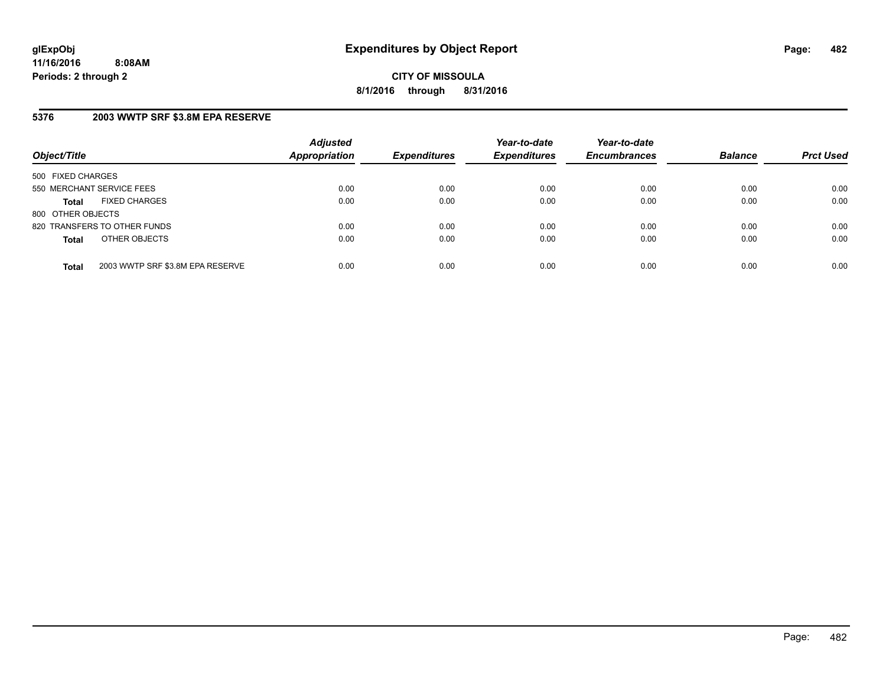**CITY OF MISSOULA 8/1/2016 through 8/31/2016**

## **5376 2003 WWTP SRF \$3.8M EPA RESERVE**

| Object/Title              |                                  | <b>Adjusted</b><br><b>Appropriation</b> | <b>Expenditures</b> | Year-to-date<br><b>Expenditures</b> | Year-to-date<br><b>Encumbrances</b> | <b>Balance</b> | <b>Prct Used</b> |
|---------------------------|----------------------------------|-----------------------------------------|---------------------|-------------------------------------|-------------------------------------|----------------|------------------|
| 500 FIXED CHARGES         |                                  |                                         |                     |                                     |                                     |                |                  |
| 550 MERCHANT SERVICE FEES |                                  | 0.00                                    | 0.00                | 0.00                                | 0.00                                | 0.00           | 0.00             |
| <b>Total</b>              | <b>FIXED CHARGES</b>             | 0.00                                    | 0.00                | 0.00                                | 0.00                                | 0.00           | 0.00             |
| 800 OTHER OBJECTS         |                                  |                                         |                     |                                     |                                     |                |                  |
|                           | 820 TRANSFERS TO OTHER FUNDS     | 0.00                                    | 0.00                | 0.00                                | 0.00                                | 0.00           | 0.00             |
| <b>Total</b>              | OTHER OBJECTS                    | 0.00                                    | 0.00                | 0.00                                | 0.00                                | 0.00           | 0.00             |
| <b>Total</b>              | 2003 WWTP SRF \$3.8M EPA RESERVE | 0.00                                    | 0.00                | 0.00                                | 0.00                                | 0.00           | 0.00             |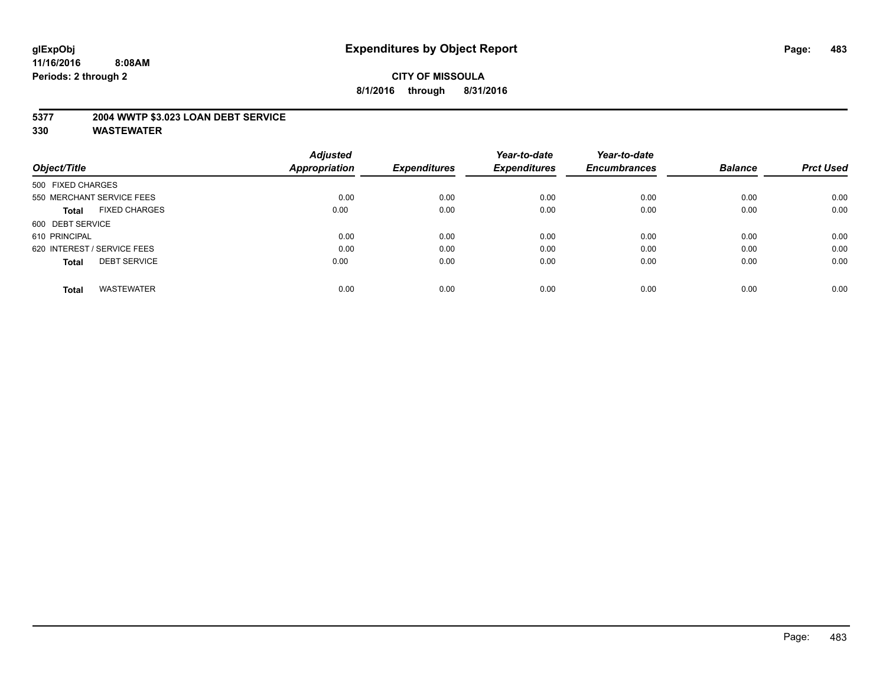## **5377 2004 WWTP \$3.023 LOAN DEBT SERVICE**

|                                      | <b>Adjusted</b> |                     | Year-to-date        | Year-to-date        |                |                  |
|--------------------------------------|-----------------|---------------------|---------------------|---------------------|----------------|------------------|
| Object/Title                         | Appropriation   | <b>Expenditures</b> | <b>Expenditures</b> | <b>Encumbrances</b> | <b>Balance</b> | <b>Prct Used</b> |
| 500 FIXED CHARGES                    |                 |                     |                     |                     |                |                  |
| 550 MERCHANT SERVICE FEES            | 0.00            | 0.00                | 0.00                | 0.00                | 0.00           | 0.00             |
| <b>FIXED CHARGES</b><br><b>Total</b> | 0.00            | 0.00                | 0.00                | 0.00                | 0.00           | 0.00             |
| 600 DEBT SERVICE                     |                 |                     |                     |                     |                |                  |
| 610 PRINCIPAL                        | 0.00            | 0.00                | 0.00                | 0.00                | 0.00           | 0.00             |
| 620 INTEREST / SERVICE FEES          | 0.00            | 0.00                | 0.00                | 0.00                | 0.00           | 0.00             |
| <b>DEBT SERVICE</b><br><b>Total</b>  | 0.00            | 0.00                | 0.00                | 0.00                | 0.00           | 0.00             |
| <b>WASTEWATER</b><br><b>Total</b>    | 0.00            | 0.00                | 0.00                | 0.00                | 0.00           | 0.00             |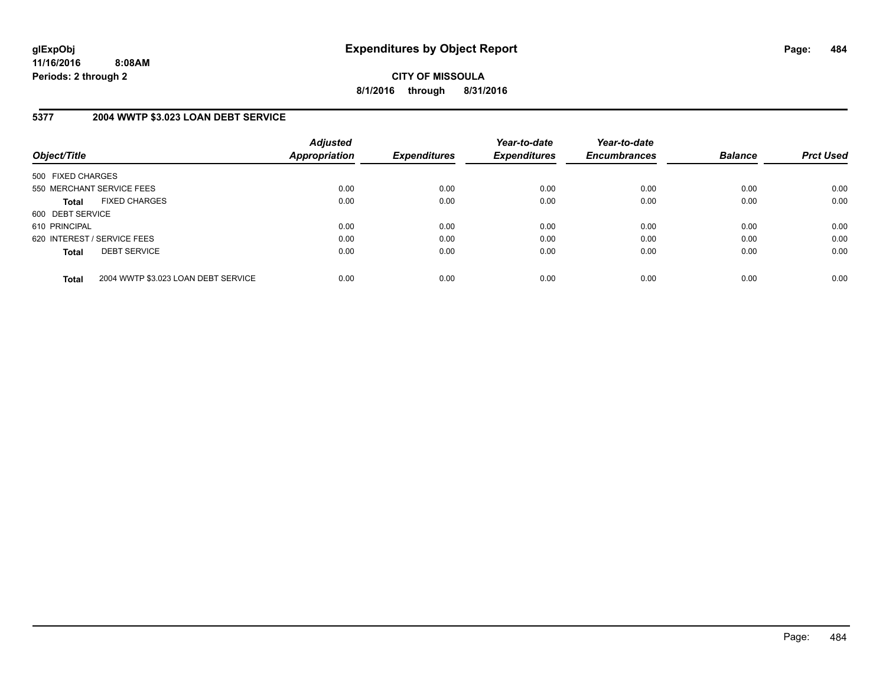**CITY OF MISSOULA 8/1/2016 through 8/31/2016**

## **5377 2004 WWTP \$3.023 LOAN DEBT SERVICE**

| Object/Title      |                                     | <b>Adjusted</b><br>Appropriation | <b>Expenditures</b> | Year-to-date<br><b>Expenditures</b> | Year-to-date<br><b>Encumbrances</b> | <b>Balance</b> | <b>Prct Used</b> |
|-------------------|-------------------------------------|----------------------------------|---------------------|-------------------------------------|-------------------------------------|----------------|------------------|
| 500 FIXED CHARGES |                                     |                                  |                     |                                     |                                     |                |                  |
|                   | 550 MERCHANT SERVICE FEES           | 0.00                             | 0.00                | 0.00                                | 0.00                                | 0.00           | 0.00             |
| <b>Total</b>      | <b>FIXED CHARGES</b>                | 0.00                             | 0.00                | 0.00                                | 0.00                                | 0.00           | 0.00             |
| 600 DEBT SERVICE  |                                     |                                  |                     |                                     |                                     |                |                  |
| 610 PRINCIPAL     |                                     | 0.00                             | 0.00                | 0.00                                | 0.00                                | 0.00           | 0.00             |
|                   | 620 INTEREST / SERVICE FEES         | 0.00                             | 0.00                | 0.00                                | 0.00                                | 0.00           | 0.00             |
| <b>Total</b>      | <b>DEBT SERVICE</b>                 | 0.00                             | 0.00                | 0.00                                | 0.00                                | 0.00           | 0.00             |
| <b>Total</b>      | 2004 WWTP \$3.023 LOAN DEBT SERVICE | 0.00                             | 0.00                | 0.00                                | 0.00                                | 0.00           | 0.00             |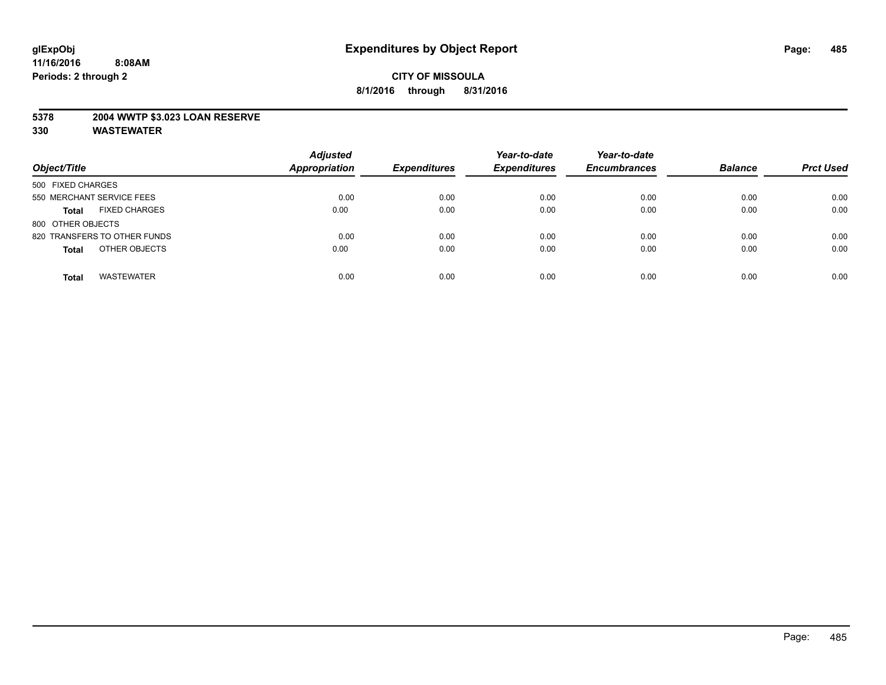## **5378 2004 WWTP \$3.023 LOAN RESERVE**

| Object/Title                         | <b>Adjusted</b><br><b>Appropriation</b> | <b>Expenditures</b> | Year-to-date<br><b>Expenditures</b> | Year-to-date<br><b>Encumbrances</b> | <b>Balance</b> | <b>Prct Used</b> |
|--------------------------------------|-----------------------------------------|---------------------|-------------------------------------|-------------------------------------|----------------|------------------|
| 500 FIXED CHARGES                    |                                         |                     |                                     |                                     |                |                  |
| 550 MERCHANT SERVICE FEES            | 0.00                                    | 0.00                | 0.00                                | 0.00                                | 0.00           | 0.00             |
| <b>FIXED CHARGES</b><br><b>Total</b> | 0.00                                    | 0.00                | 0.00                                | 0.00                                | 0.00           | 0.00             |
| 800 OTHER OBJECTS                    |                                         |                     |                                     |                                     |                |                  |
| 820 TRANSFERS TO OTHER FUNDS         | 0.00                                    | 0.00                | 0.00                                | 0.00                                | 0.00           | 0.00             |
| OTHER OBJECTS<br><b>Total</b>        | 0.00                                    | 0.00                | 0.00                                | 0.00                                | 0.00           | 0.00             |
| <b>WASTEWATER</b><br><b>Total</b>    | 0.00                                    | 0.00                | 0.00                                | 0.00                                | 0.00           | 0.00             |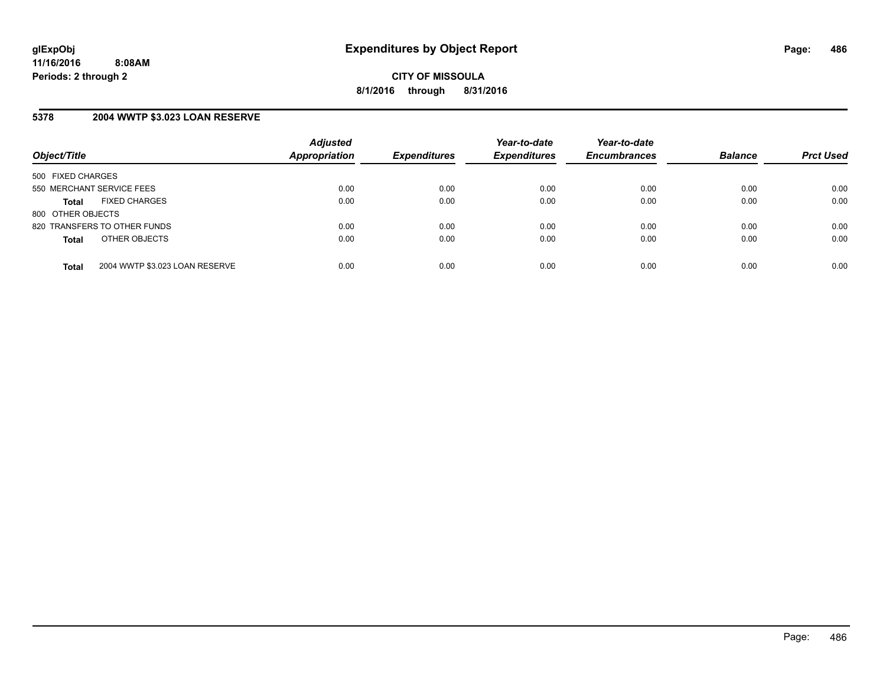## **5378 2004 WWTP \$3.023 LOAN RESERVE**

| Object/Title              |                                | <b>Adjusted</b><br>Appropriation | <b>Expenditures</b> | Year-to-date<br><b>Expenditures</b> | Year-to-date<br><b>Encumbrances</b> | <b>Balance</b> | <b>Prct Used</b> |
|---------------------------|--------------------------------|----------------------------------|---------------------|-------------------------------------|-------------------------------------|----------------|------------------|
| 500 FIXED CHARGES         |                                |                                  |                     |                                     |                                     |                |                  |
| 550 MERCHANT SERVICE FEES |                                | 0.00                             | 0.00                | 0.00                                | 0.00                                | 0.00           | 0.00             |
| <b>Total</b>              | <b>FIXED CHARGES</b>           | 0.00                             | 0.00                | 0.00                                | 0.00                                | 0.00           | 0.00             |
| 800 OTHER OBJECTS         |                                |                                  |                     |                                     |                                     |                |                  |
|                           | 820 TRANSFERS TO OTHER FUNDS   | 0.00                             | 0.00                | 0.00                                | 0.00                                | 0.00           | 0.00             |
| <b>Total</b>              | OTHER OBJECTS                  | 0.00                             | 0.00                | 0.00                                | 0.00                                | 0.00           | 0.00             |
| <b>Total</b>              | 2004 WWTP \$3.023 LOAN RESERVE | 0.00                             | 0.00                | 0.00                                | 0.00                                | 0.00           | 0.00             |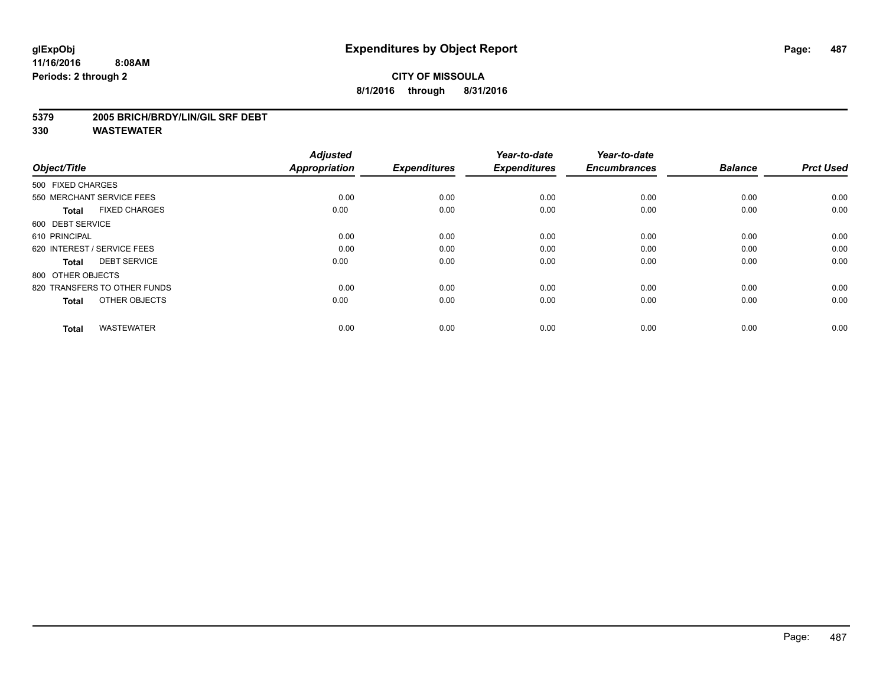## **CITY OF MISSOULA 8/1/2016 through 8/31/2016**

#### **5379 2005 BRICH/BRDY/LIN/GIL SRF DEBT**

| Object/Title                         | <b>Adjusted</b><br><b>Appropriation</b> | <b>Expenditures</b> | Year-to-date<br><b>Expenditures</b> | Year-to-date<br><b>Encumbrances</b> | <b>Balance</b> | <b>Prct Used</b> |
|--------------------------------------|-----------------------------------------|---------------------|-------------------------------------|-------------------------------------|----------------|------------------|
| 500 FIXED CHARGES                    |                                         |                     |                                     |                                     |                |                  |
| 550 MERCHANT SERVICE FEES            | 0.00                                    | 0.00                | 0.00                                | 0.00                                | 0.00           | 0.00             |
| <b>FIXED CHARGES</b><br><b>Total</b> | 0.00                                    | 0.00                | 0.00                                | 0.00                                | 0.00           | 0.00             |
| 600 DEBT SERVICE                     |                                         |                     |                                     |                                     |                |                  |
| 610 PRINCIPAL                        | 0.00                                    | 0.00                | 0.00                                | 0.00                                | 0.00           | 0.00             |
| 620 INTEREST / SERVICE FEES          | 0.00                                    | 0.00                | 0.00                                | 0.00                                | 0.00           | 0.00             |
| <b>DEBT SERVICE</b><br><b>Total</b>  | 0.00                                    | 0.00                | 0.00                                | 0.00                                | 0.00           | 0.00             |
| 800 OTHER OBJECTS                    |                                         |                     |                                     |                                     |                |                  |
| 820 TRANSFERS TO OTHER FUNDS         | 0.00                                    | 0.00                | 0.00                                | 0.00                                | 0.00           | 0.00             |
| OTHER OBJECTS<br><b>Total</b>        | 0.00                                    | 0.00                | 0.00                                | 0.00                                | 0.00           | 0.00             |
|                                      |                                         |                     |                                     |                                     |                |                  |
| <b>WASTEWATER</b><br><b>Total</b>    | 0.00                                    | 0.00                | 0.00                                | 0.00                                | 0.00           | 0.00             |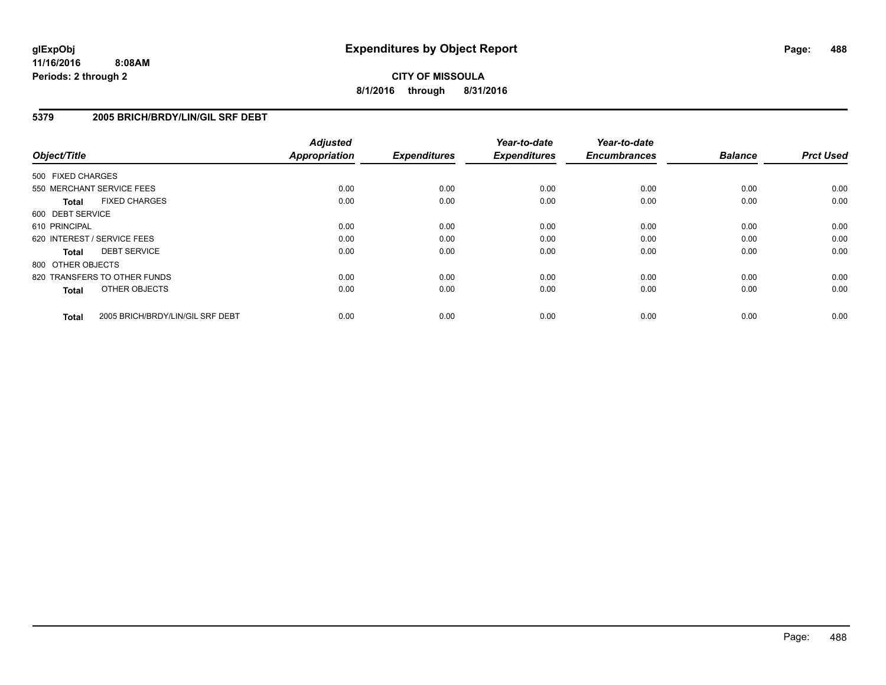## **CITY OF MISSOULA 8/1/2016 through 8/31/2016**

## **5379 2005 BRICH/BRDY/LIN/GIL SRF DEBT**

| Object/Title      |                                  | <b>Adjusted</b><br><b>Appropriation</b> | <b>Expenditures</b> | Year-to-date<br><b>Expenditures</b> | Year-to-date<br><b>Encumbrances</b> | <b>Balance</b> | <b>Prct Used</b> |
|-------------------|----------------------------------|-----------------------------------------|---------------------|-------------------------------------|-------------------------------------|----------------|------------------|
| 500 FIXED CHARGES |                                  |                                         |                     |                                     |                                     |                |                  |
|                   | 550 MERCHANT SERVICE FEES        | 0.00                                    | 0.00                | 0.00                                | 0.00                                | 0.00           | 0.00             |
| <b>Total</b>      | <b>FIXED CHARGES</b>             | 0.00                                    | 0.00                | 0.00                                | 0.00                                | 0.00           | 0.00             |
| 600 DEBT SERVICE  |                                  |                                         |                     |                                     |                                     |                |                  |
| 610 PRINCIPAL     |                                  | 0.00                                    | 0.00                | 0.00                                | 0.00                                | 0.00           | 0.00             |
|                   | 620 INTEREST / SERVICE FEES      | 0.00                                    | 0.00                | 0.00                                | 0.00                                | 0.00           | 0.00             |
| <b>Total</b>      | <b>DEBT SERVICE</b>              | 0.00                                    | 0.00                | 0.00                                | 0.00                                | 0.00           | 0.00             |
| 800 OTHER OBJECTS |                                  |                                         |                     |                                     |                                     |                |                  |
|                   | 820 TRANSFERS TO OTHER FUNDS     | 0.00                                    | 0.00                | 0.00                                | 0.00                                | 0.00           | 0.00             |
| <b>Total</b>      | OTHER OBJECTS                    | 0.00                                    | 0.00                | 0.00                                | 0.00                                | 0.00           | 0.00             |
| <b>Total</b>      | 2005 BRICH/BRDY/LIN/GIL SRF DEBT | 0.00                                    | 0.00                | 0.00                                | 0.00                                | 0.00           | 0.00             |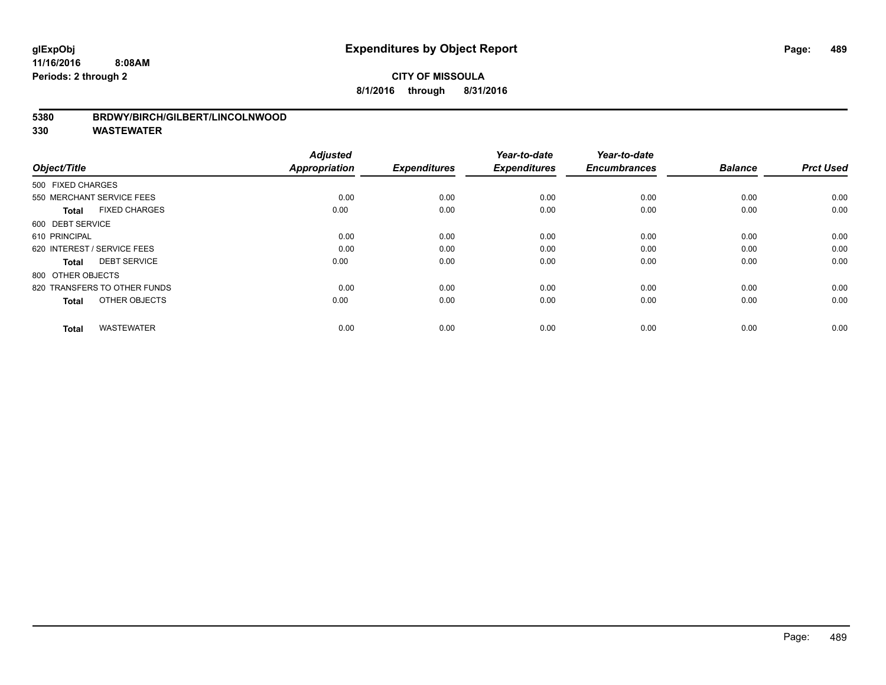## **CITY OF MISSOULA 8/1/2016 through 8/31/2016**

#### **5380 BRDWY/BIRCH/GILBERT/LINCOLNWOOD**

| Object/Title                         | <b>Adjusted</b><br><b>Appropriation</b> | <b>Expenditures</b> | Year-to-date<br><b>Expenditures</b> | Year-to-date<br><b>Encumbrances</b> | <b>Balance</b> | <b>Prct Used</b> |
|--------------------------------------|-----------------------------------------|---------------------|-------------------------------------|-------------------------------------|----------------|------------------|
| 500 FIXED CHARGES                    |                                         |                     |                                     |                                     |                |                  |
| 550 MERCHANT SERVICE FEES            | 0.00                                    | 0.00                | 0.00                                | 0.00                                | 0.00           | 0.00             |
| <b>FIXED CHARGES</b><br><b>Total</b> | 0.00                                    | 0.00                | 0.00                                | 0.00                                | 0.00           | 0.00             |
| 600 DEBT SERVICE                     |                                         |                     |                                     |                                     |                |                  |
| 610 PRINCIPAL                        | 0.00                                    | 0.00                | 0.00                                | 0.00                                | 0.00           | 0.00             |
| 620 INTEREST / SERVICE FEES          | 0.00                                    | 0.00                | 0.00                                | 0.00                                | 0.00           | 0.00             |
| <b>DEBT SERVICE</b><br><b>Total</b>  | 0.00                                    | 0.00                | 0.00                                | 0.00                                | 0.00           | 0.00             |
| 800 OTHER OBJECTS                    |                                         |                     |                                     |                                     |                |                  |
| 820 TRANSFERS TO OTHER FUNDS         | 0.00                                    | 0.00                | 0.00                                | 0.00                                | 0.00           | 0.00             |
| OTHER OBJECTS<br><b>Total</b>        | 0.00                                    | 0.00                | 0.00                                | 0.00                                | 0.00           | 0.00             |
|                                      |                                         |                     |                                     |                                     |                |                  |
| <b>WASTEWATER</b><br><b>Total</b>    | 0.00                                    | 0.00                | 0.00                                | 0.00                                | 0.00           | 0.00             |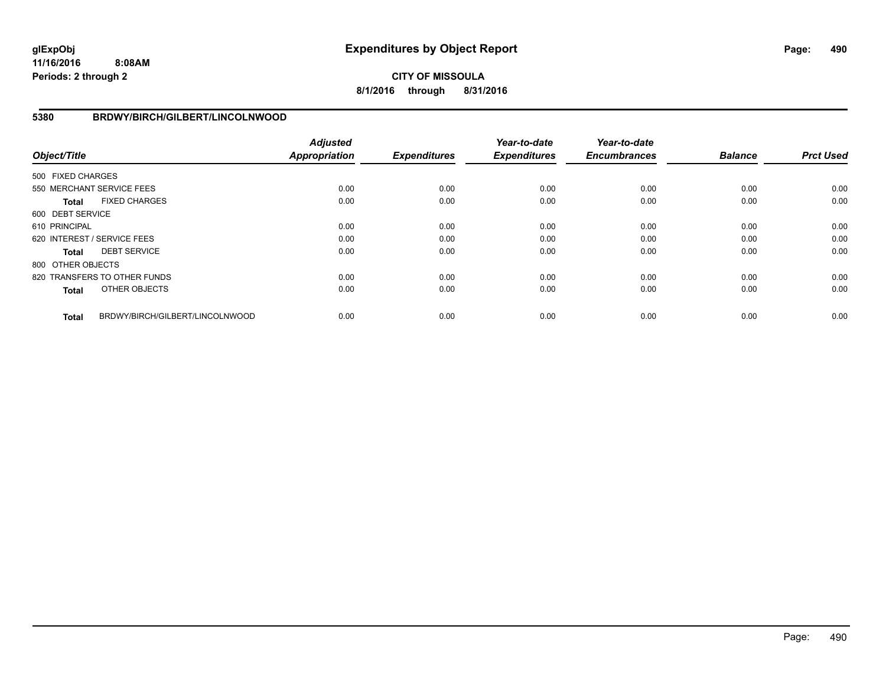**CITY OF MISSOULA 8/1/2016 through 8/31/2016**

## **5380 BRDWY/BIRCH/GILBERT/LINCOLNWOOD**

| Object/Title      |                                 | <b>Adjusted</b><br><b>Appropriation</b> | <b>Expenditures</b> | Year-to-date<br><b>Expenditures</b> | Year-to-date<br><b>Encumbrances</b> | <b>Balance</b> | <b>Prct Used</b> |
|-------------------|---------------------------------|-----------------------------------------|---------------------|-------------------------------------|-------------------------------------|----------------|------------------|
| 500 FIXED CHARGES |                                 |                                         |                     |                                     |                                     |                |                  |
|                   | 550 MERCHANT SERVICE FEES       | 0.00                                    | 0.00                | 0.00                                | 0.00                                | 0.00           | 0.00             |
| <b>Total</b>      | <b>FIXED CHARGES</b>            | 0.00                                    | 0.00                | 0.00                                | 0.00                                | 0.00           | 0.00             |
| 600 DEBT SERVICE  |                                 |                                         |                     |                                     |                                     |                |                  |
| 610 PRINCIPAL     |                                 | 0.00                                    | 0.00                | 0.00                                | 0.00                                | 0.00           | 0.00             |
|                   | 620 INTEREST / SERVICE FEES     | 0.00                                    | 0.00                | 0.00                                | 0.00                                | 0.00           | 0.00             |
| <b>Total</b>      | <b>DEBT SERVICE</b>             | 0.00                                    | 0.00                | 0.00                                | 0.00                                | 0.00           | 0.00             |
| 800 OTHER OBJECTS |                                 |                                         |                     |                                     |                                     |                |                  |
|                   | 820 TRANSFERS TO OTHER FUNDS    | 0.00                                    | 0.00                | 0.00                                | 0.00                                | 0.00           | 0.00             |
| <b>Total</b>      | OTHER OBJECTS                   | 0.00                                    | 0.00                | 0.00                                | 0.00                                | 0.00           | 0.00             |
| <b>Total</b>      | BRDWY/BIRCH/GILBERT/LINCOLNWOOD | 0.00                                    | 0.00                | 0.00                                | 0.00                                | 0.00           | 0.00             |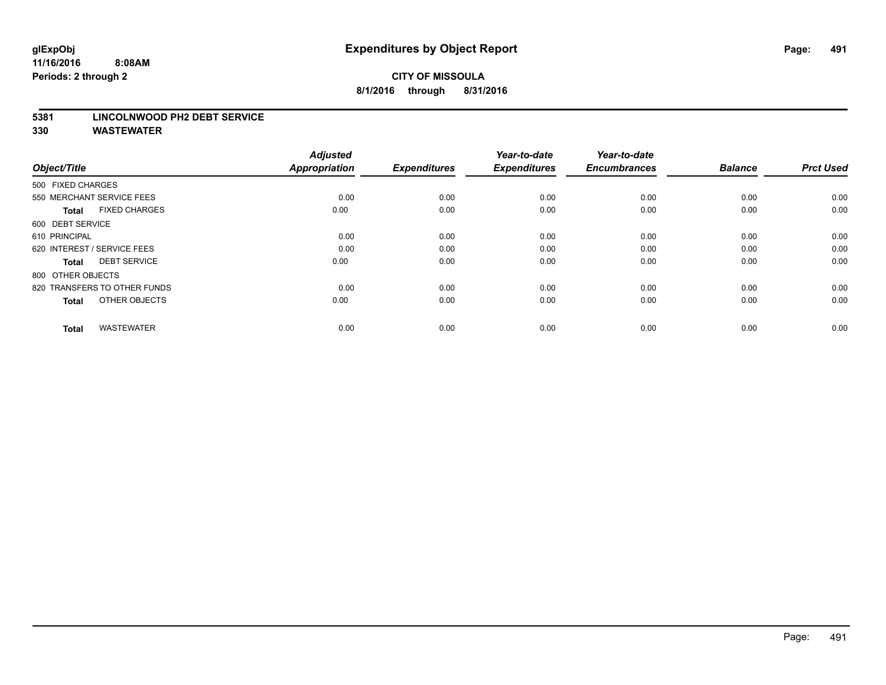## **CITY OF MISSOULA 8/1/2016 through 8/31/2016**

#### **5381 LINCOLNWOOD PH2 DEBT SERVICE**

| Object/Title                         | <b>Adjusted</b><br><b>Appropriation</b> | <b>Expenditures</b> | Year-to-date<br><b>Expenditures</b> | Year-to-date<br><b>Encumbrances</b> | <b>Balance</b> | <b>Prct Used</b> |
|--------------------------------------|-----------------------------------------|---------------------|-------------------------------------|-------------------------------------|----------------|------------------|
| 500 FIXED CHARGES                    |                                         |                     |                                     |                                     |                |                  |
| 550 MERCHANT SERVICE FEES            | 0.00                                    | 0.00                | 0.00                                | 0.00                                | 0.00           | 0.00             |
| <b>FIXED CHARGES</b><br><b>Total</b> | 0.00                                    | 0.00                | 0.00                                | 0.00                                | 0.00           | 0.00             |
| 600 DEBT SERVICE                     |                                         |                     |                                     |                                     |                |                  |
| 610 PRINCIPAL                        | 0.00                                    | 0.00                | 0.00                                | 0.00                                | 0.00           | 0.00             |
| 620 INTEREST / SERVICE FEES          | 0.00                                    | 0.00                | 0.00                                | 0.00                                | 0.00           | 0.00             |
| <b>DEBT SERVICE</b><br><b>Total</b>  | 0.00                                    | 0.00                | 0.00                                | 0.00                                | 0.00           | 0.00             |
| 800 OTHER OBJECTS                    |                                         |                     |                                     |                                     |                |                  |
| 820 TRANSFERS TO OTHER FUNDS         | 0.00                                    | 0.00                | 0.00                                | 0.00                                | 0.00           | 0.00             |
| OTHER OBJECTS<br><b>Total</b>        | 0.00                                    | 0.00                | 0.00                                | 0.00                                | 0.00           | 0.00             |
|                                      |                                         |                     |                                     |                                     |                |                  |
| <b>WASTEWATER</b><br><b>Total</b>    | 0.00                                    | 0.00                | 0.00                                | 0.00                                | 0.00           | 0.00             |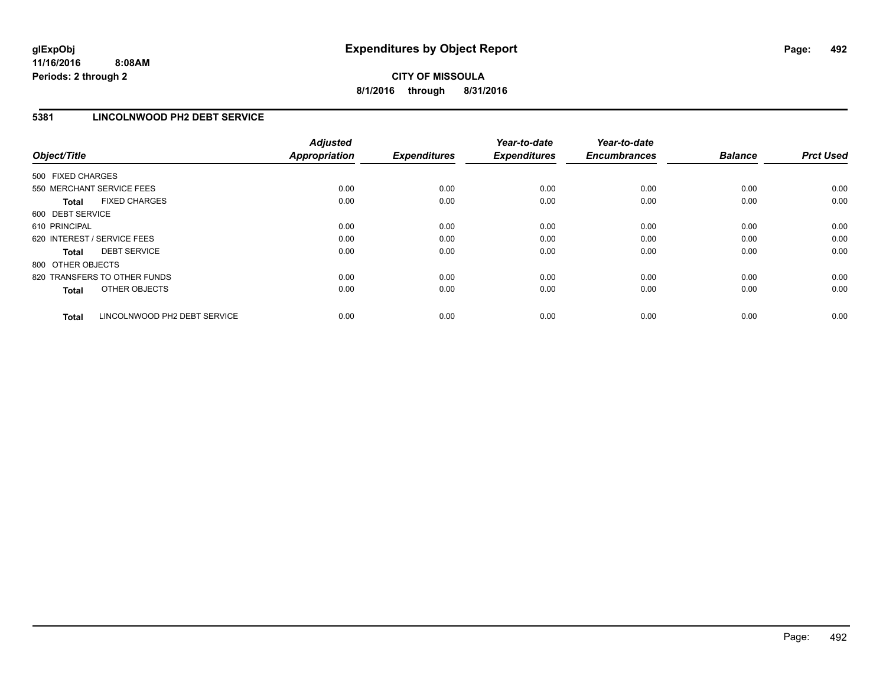## **5381 LINCOLNWOOD PH2 DEBT SERVICE**

| Object/Title      |                              | <b>Adjusted</b><br><b>Appropriation</b> | <b>Expenditures</b> | Year-to-date<br><b>Expenditures</b> | Year-to-date<br><b>Encumbrances</b> | <b>Balance</b> | <b>Prct Used</b> |
|-------------------|------------------------------|-----------------------------------------|---------------------|-------------------------------------|-------------------------------------|----------------|------------------|
| 500 FIXED CHARGES |                              |                                         |                     |                                     |                                     |                |                  |
|                   | 550 MERCHANT SERVICE FEES    | 0.00                                    | 0.00                | 0.00                                | 0.00                                | 0.00           | 0.00             |
| <b>Total</b>      | <b>FIXED CHARGES</b>         | 0.00                                    | 0.00                | 0.00                                | 0.00                                | 0.00           | 0.00             |
| 600 DEBT SERVICE  |                              |                                         |                     |                                     |                                     |                |                  |
| 610 PRINCIPAL     |                              | 0.00                                    | 0.00                | 0.00                                | 0.00                                | 0.00           | 0.00             |
|                   | 620 INTEREST / SERVICE FEES  | 0.00                                    | 0.00                | 0.00                                | 0.00                                | 0.00           | 0.00             |
| <b>Total</b>      | <b>DEBT SERVICE</b>          | 0.00                                    | 0.00                | 0.00                                | 0.00                                | 0.00           | 0.00             |
| 800 OTHER OBJECTS |                              |                                         |                     |                                     |                                     |                |                  |
|                   | 820 TRANSFERS TO OTHER FUNDS | 0.00                                    | 0.00                | 0.00                                | 0.00                                | 0.00           | 0.00             |
| <b>Total</b>      | OTHER OBJECTS                | 0.00                                    | 0.00                | 0.00                                | 0.00                                | 0.00           | 0.00             |
| <b>Total</b>      | LINCOLNWOOD PH2 DEBT SERVICE | 0.00                                    | 0.00                | 0.00                                | 0.00                                | 0.00           | 0.00             |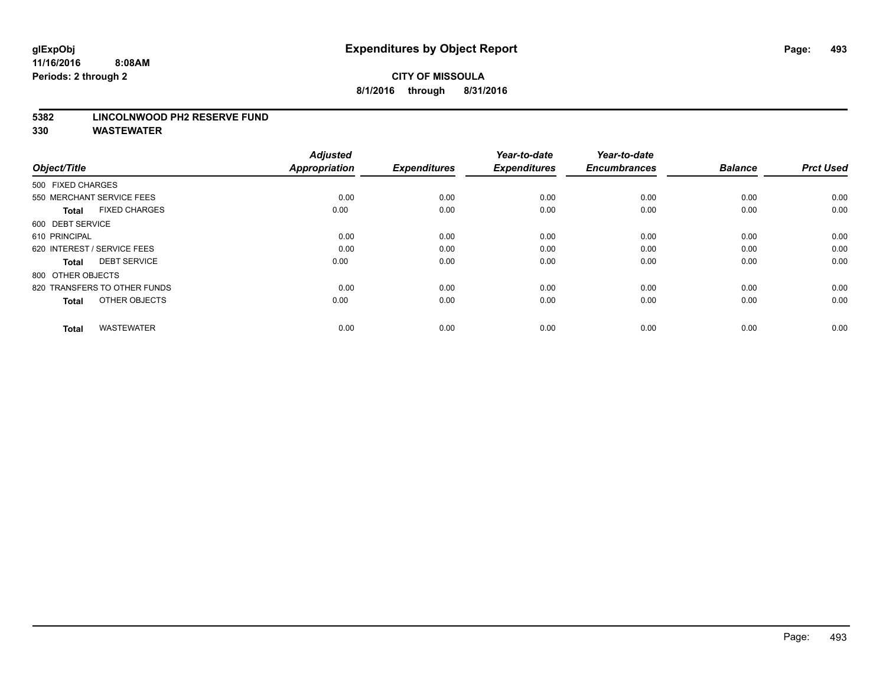#### **5382 LINCOLNWOOD PH2 RESERVE FUND**

| Object/Title                         | <b>Adjusted</b><br><b>Appropriation</b> | <b>Expenditures</b> | Year-to-date<br><b>Expenditures</b> | Year-to-date<br><b>Encumbrances</b> | <b>Balance</b> | <b>Prct Used</b> |
|--------------------------------------|-----------------------------------------|---------------------|-------------------------------------|-------------------------------------|----------------|------------------|
| 500 FIXED CHARGES                    |                                         |                     |                                     |                                     |                |                  |
| 550 MERCHANT SERVICE FEES            | 0.00                                    | 0.00                | 0.00                                | 0.00                                | 0.00           | 0.00             |
| <b>FIXED CHARGES</b><br><b>Total</b> | 0.00                                    | 0.00                | 0.00                                | 0.00                                | 0.00           | 0.00             |
| 600 DEBT SERVICE                     |                                         |                     |                                     |                                     |                |                  |
| 610 PRINCIPAL                        | 0.00                                    | 0.00                | 0.00                                | 0.00                                | 0.00           | 0.00             |
| 620 INTEREST / SERVICE FEES          | 0.00                                    | 0.00                | 0.00                                | 0.00                                | 0.00           | 0.00             |
| <b>DEBT SERVICE</b><br><b>Total</b>  | 0.00                                    | 0.00                | 0.00                                | 0.00                                | 0.00           | 0.00             |
| 800 OTHER OBJECTS                    |                                         |                     |                                     |                                     |                |                  |
| 820 TRANSFERS TO OTHER FUNDS         | 0.00                                    | 0.00                | 0.00                                | 0.00                                | 0.00           | 0.00             |
| OTHER OBJECTS<br><b>Total</b>        | 0.00                                    | 0.00                | 0.00                                | 0.00                                | 0.00           | 0.00             |
|                                      |                                         |                     |                                     |                                     |                |                  |
| <b>WASTEWATER</b><br><b>Total</b>    | 0.00                                    | 0.00                | 0.00                                | 0.00                                | 0.00           | 0.00             |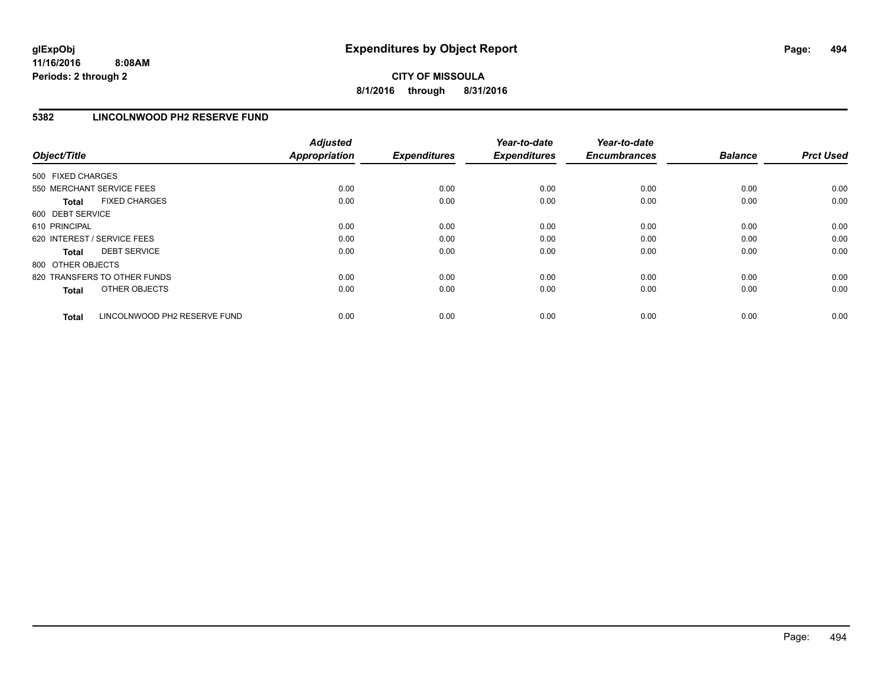## **CITY OF MISSOULA 8/1/2016 through 8/31/2016**

## **5382 LINCOLNWOOD PH2 RESERVE FUND**

| Object/Title      |                              | <b>Adjusted</b><br>Appropriation | <b>Expenditures</b> | Year-to-date<br><b>Expenditures</b> | Year-to-date<br><b>Encumbrances</b> | <b>Balance</b> | <b>Prct Used</b> |
|-------------------|------------------------------|----------------------------------|---------------------|-------------------------------------|-------------------------------------|----------------|------------------|
| 500 FIXED CHARGES |                              |                                  |                     |                                     |                                     |                |                  |
|                   | 550 MERCHANT SERVICE FEES    | 0.00                             | 0.00                | 0.00                                | 0.00                                | 0.00           | 0.00             |
| <b>Total</b>      | <b>FIXED CHARGES</b>         | 0.00                             | 0.00                | 0.00                                | 0.00                                | 0.00           | 0.00             |
| 600 DEBT SERVICE  |                              |                                  |                     |                                     |                                     |                |                  |
| 610 PRINCIPAL     |                              | 0.00                             | 0.00                | 0.00                                | 0.00                                | 0.00           | 0.00             |
|                   | 620 INTEREST / SERVICE FEES  | 0.00                             | 0.00                | 0.00                                | 0.00                                | 0.00           | 0.00             |
| <b>Total</b>      | <b>DEBT SERVICE</b>          | 0.00                             | 0.00                | 0.00                                | 0.00                                | 0.00           | 0.00             |
| 800 OTHER OBJECTS |                              |                                  |                     |                                     |                                     |                |                  |
|                   | 820 TRANSFERS TO OTHER FUNDS | 0.00                             | 0.00                | 0.00                                | 0.00                                | 0.00           | 0.00             |
| <b>Total</b>      | OTHER OBJECTS                | 0.00                             | 0.00                | 0.00                                | 0.00                                | 0.00           | 0.00             |
| <b>Total</b>      | LINCOLNWOOD PH2 RESERVE FUND | 0.00                             | 0.00                | 0.00                                | 0.00                                | 0.00           | 0.00             |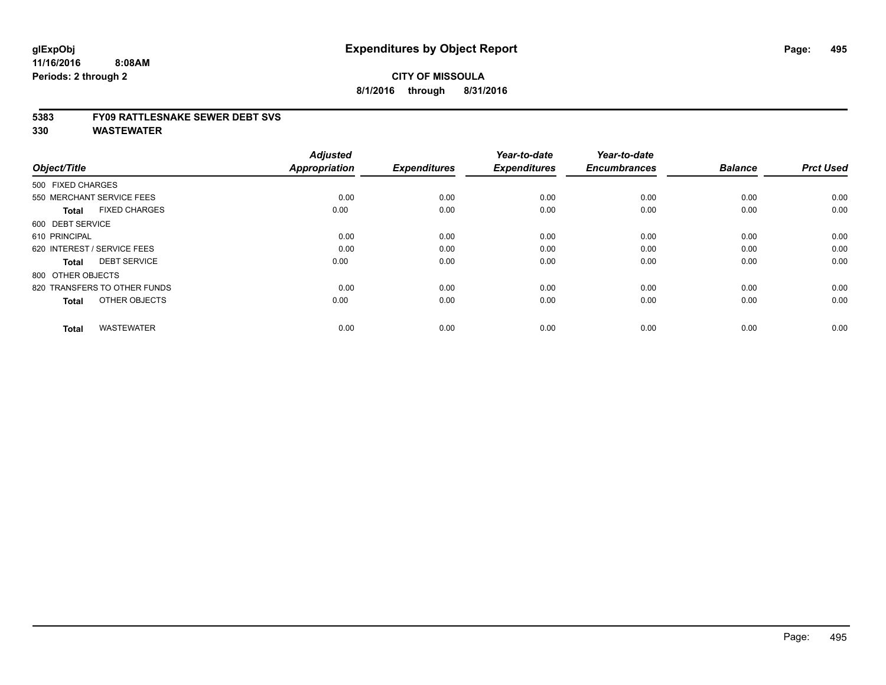#### **5383 FY09 RATTLESNAKE SEWER DEBT SVS**

| Object/Title                         | <b>Adjusted</b><br><b>Appropriation</b> | <b>Expenditures</b> | Year-to-date<br><b>Expenditures</b> | Year-to-date<br><b>Encumbrances</b> | <b>Balance</b> | <b>Prct Used</b> |
|--------------------------------------|-----------------------------------------|---------------------|-------------------------------------|-------------------------------------|----------------|------------------|
| 500 FIXED CHARGES                    |                                         |                     |                                     |                                     |                |                  |
| 550 MERCHANT SERVICE FEES            | 0.00                                    | 0.00                | 0.00                                | 0.00                                | 0.00           | 0.00             |
| <b>FIXED CHARGES</b><br><b>Total</b> | 0.00                                    | 0.00                | 0.00                                | 0.00                                | 0.00           | 0.00             |
| 600 DEBT SERVICE                     |                                         |                     |                                     |                                     |                |                  |
| 610 PRINCIPAL                        | 0.00                                    | 0.00                | 0.00                                | 0.00                                | 0.00           | 0.00             |
| 620 INTEREST / SERVICE FEES          | 0.00                                    | 0.00                | 0.00                                | 0.00                                | 0.00           | 0.00             |
| <b>DEBT SERVICE</b><br><b>Total</b>  | 0.00                                    | 0.00                | 0.00                                | 0.00                                | 0.00           | 0.00             |
| 800 OTHER OBJECTS                    |                                         |                     |                                     |                                     |                |                  |
| 820 TRANSFERS TO OTHER FUNDS         | 0.00                                    | 0.00                | 0.00                                | 0.00                                | 0.00           | 0.00             |
| OTHER OBJECTS<br><b>Total</b>        | 0.00                                    | 0.00                | 0.00                                | 0.00                                | 0.00           | 0.00             |
|                                      |                                         |                     |                                     |                                     |                |                  |
| <b>WASTEWATER</b><br><b>Total</b>    | 0.00                                    | 0.00                | 0.00                                | 0.00                                | 0.00           | 0.00             |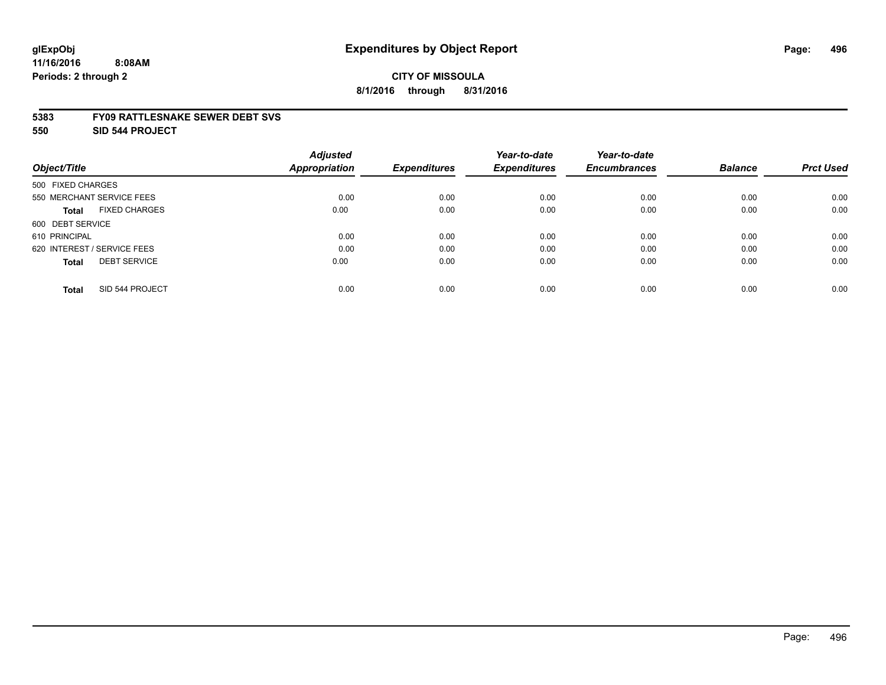## **CITY OF MISSOULA 8/1/2016 through 8/31/2016**

#### **5383 FY09 RATTLESNAKE SEWER DEBT SVS**

**550 SID 544 PROJECT**

|                                      | <b>Adjusted</b>      |                     | Year-to-date        | Year-to-date        |                |                  |
|--------------------------------------|----------------------|---------------------|---------------------|---------------------|----------------|------------------|
| Object/Title                         | <b>Appropriation</b> | <b>Expenditures</b> | <b>Expenditures</b> | <b>Encumbrances</b> | <b>Balance</b> | <b>Prct Used</b> |
| 500 FIXED CHARGES                    |                      |                     |                     |                     |                |                  |
| 550 MERCHANT SERVICE FEES            | 0.00                 | 0.00                | 0.00                | 0.00                | 0.00           | 0.00             |
| <b>FIXED CHARGES</b><br><b>Total</b> | 0.00                 | 0.00                | 0.00                | 0.00                | 0.00           | 0.00             |
| 600 DEBT SERVICE                     |                      |                     |                     |                     |                |                  |
| 610 PRINCIPAL                        | 0.00                 | 0.00                | 0.00                | 0.00                | 0.00           | 0.00             |
| 620 INTEREST / SERVICE FEES          | 0.00                 | 0.00                | 0.00                | 0.00                | 0.00           | 0.00             |
| <b>DEBT SERVICE</b><br><b>Total</b>  | 0.00                 | 0.00                | 0.00                | 0.00                | 0.00           | 0.00             |
| SID 544 PROJECT<br><b>Total</b>      | 0.00                 | 0.00                | 0.00                | 0.00                | 0.00           | 0.00             |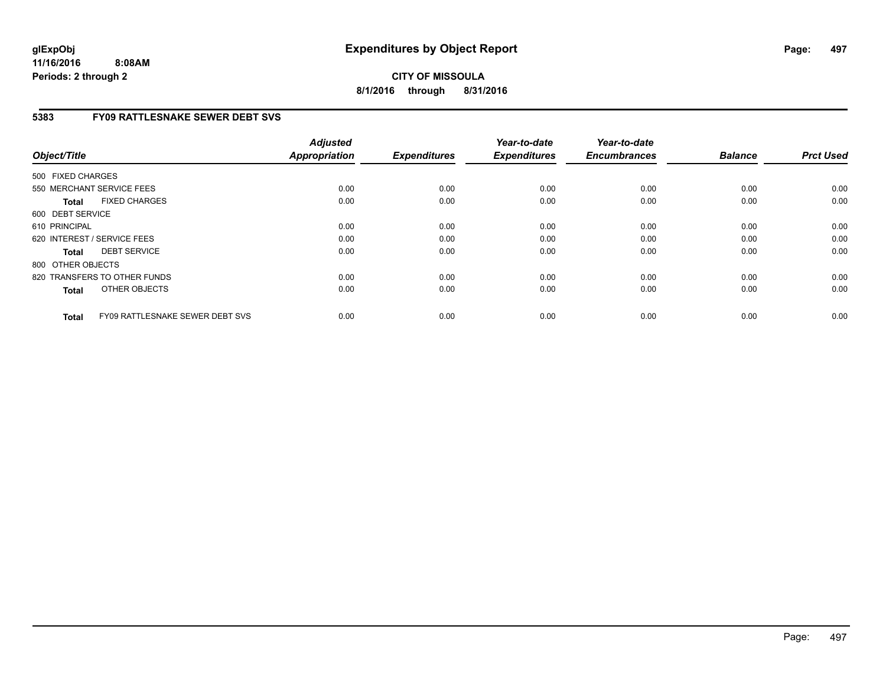**CITY OF MISSOULA 8/1/2016 through 8/31/2016**

## **5383 FY09 RATTLESNAKE SEWER DEBT SVS**

| Object/Title      |                                 | <b>Adjusted</b><br><b>Appropriation</b> | <b>Expenditures</b> | Year-to-date<br><b>Expenditures</b> | Year-to-date<br><b>Encumbrances</b> | <b>Balance</b> | <b>Prct Used</b> |
|-------------------|---------------------------------|-----------------------------------------|---------------------|-------------------------------------|-------------------------------------|----------------|------------------|
| 500 FIXED CHARGES |                                 |                                         |                     |                                     |                                     |                |                  |
|                   | 550 MERCHANT SERVICE FEES       | 0.00                                    | 0.00                | 0.00                                | 0.00                                | 0.00           | 0.00             |
| <b>Total</b>      | <b>FIXED CHARGES</b>            | 0.00                                    | 0.00                | 0.00                                | 0.00                                | 0.00           | 0.00             |
| 600 DEBT SERVICE  |                                 |                                         |                     |                                     |                                     |                |                  |
| 610 PRINCIPAL     |                                 | 0.00                                    | 0.00                | 0.00                                | 0.00                                | 0.00           | 0.00             |
|                   | 620 INTEREST / SERVICE FEES     | 0.00                                    | 0.00                | 0.00                                | 0.00                                | 0.00           | 0.00             |
| <b>Total</b>      | <b>DEBT SERVICE</b>             | 0.00                                    | 0.00                | 0.00                                | 0.00                                | 0.00           | 0.00             |
| 800 OTHER OBJECTS |                                 |                                         |                     |                                     |                                     |                |                  |
|                   | 820 TRANSFERS TO OTHER FUNDS    | 0.00                                    | 0.00                | 0.00                                | 0.00                                | 0.00           | 0.00             |
| <b>Total</b>      | OTHER OBJECTS                   | 0.00                                    | 0.00                | 0.00                                | 0.00                                | 0.00           | 0.00             |
| <b>Total</b>      | FY09 RATTLESNAKE SEWER DEBT SVS | 0.00                                    | 0.00                | 0.00                                | 0.00                                | 0.00           | 0.00             |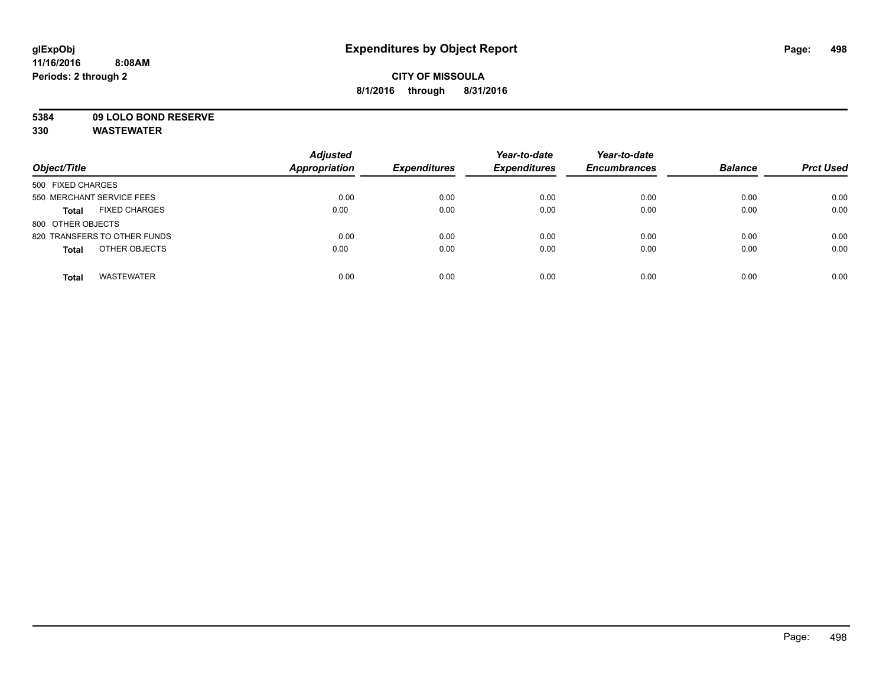## **CITY OF MISSOULA 8/1/2016 through 8/31/2016**

# **5384 09 LOLO BOND RESERVE**

|                                      | <b>Adjusted</b>      |                     | Year-to-date        | Year-to-date        |                |                  |
|--------------------------------------|----------------------|---------------------|---------------------|---------------------|----------------|------------------|
| Object/Title                         | <b>Appropriation</b> | <b>Expenditures</b> | <b>Expenditures</b> | <b>Encumbrances</b> | <b>Balance</b> | <b>Prct Used</b> |
| 500 FIXED CHARGES                    |                      |                     |                     |                     |                |                  |
| 550 MERCHANT SERVICE FEES            | 0.00                 | 0.00                | 0.00                | 0.00                | 0.00           | 0.00             |
| <b>FIXED CHARGES</b><br><b>Total</b> | 0.00                 | 0.00                | 0.00                | 0.00                | 0.00           | 0.00             |
| 800 OTHER OBJECTS                    |                      |                     |                     |                     |                |                  |
| 820 TRANSFERS TO OTHER FUNDS         | 0.00                 | 0.00                | 0.00                | 0.00                | 0.00           | 0.00             |
| OTHER OBJECTS<br><b>Total</b>        | 0.00                 | 0.00                | 0.00                | 0.00                | 0.00           | 0.00             |
| <b>WASTEWATER</b><br><b>Total</b>    | 0.00                 | 0.00                | 0.00                | 0.00                | 0.00           | 0.00             |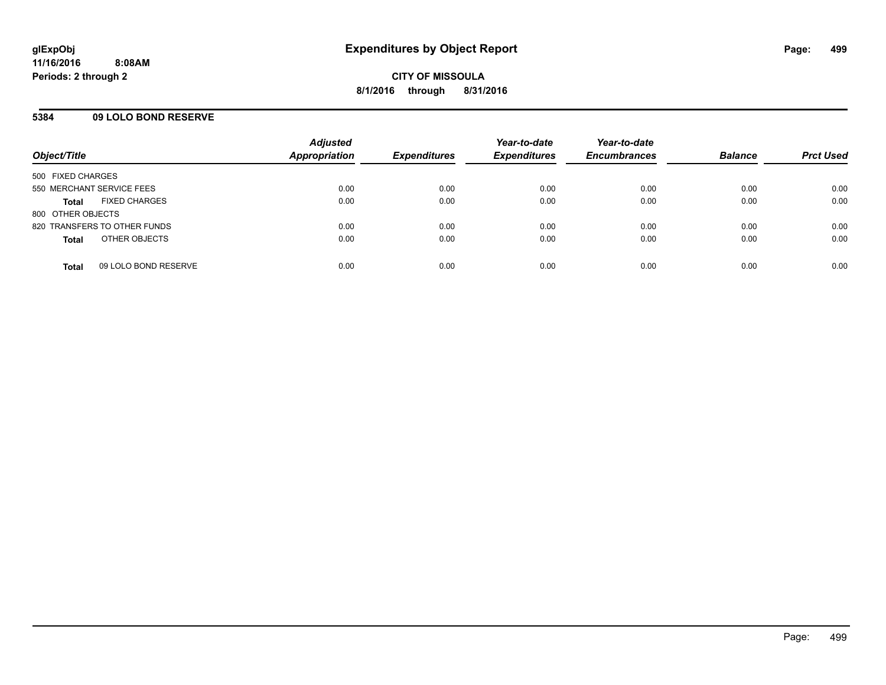## **5384 09 LOLO BOND RESERVE**

| Object/Title              |                              | <b>Adjusted</b><br><b>Appropriation</b> | <b>Expenditures</b> | Year-to-date<br><b>Expenditures</b> | Year-to-date<br><b>Encumbrances</b> | <b>Balance</b> | <b>Prct Used</b> |
|---------------------------|------------------------------|-----------------------------------------|---------------------|-------------------------------------|-------------------------------------|----------------|------------------|
|                           |                              |                                         |                     |                                     |                                     |                |                  |
| 500 FIXED CHARGES         |                              |                                         |                     |                                     |                                     |                |                  |
| 550 MERCHANT SERVICE FEES |                              | 0.00                                    | 0.00                | 0.00                                | 0.00                                | 0.00           | 0.00             |
| <b>Total</b>              | <b>FIXED CHARGES</b>         | 0.00                                    | 0.00                | 0.00                                | 0.00                                | 0.00           | 0.00             |
| 800 OTHER OBJECTS         |                              |                                         |                     |                                     |                                     |                |                  |
|                           | 820 TRANSFERS TO OTHER FUNDS | 0.00                                    | 0.00                | 0.00                                | 0.00                                | 0.00           | 0.00             |
| <b>Total</b>              | OTHER OBJECTS                | 0.00                                    | 0.00                | 0.00                                | 0.00                                | 0.00           | 0.00             |
|                           |                              |                                         |                     |                                     |                                     |                |                  |
| <b>Total</b>              | 09 LOLO BOND RESERVE         | 0.00                                    | 0.00                | 0.00                                | 0.00                                | 0.00           | 0.00             |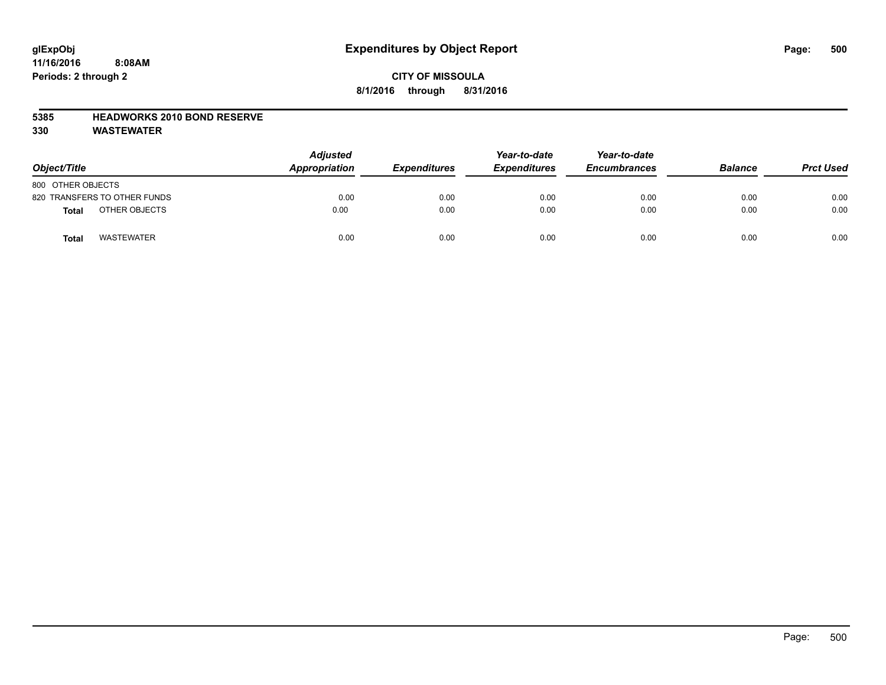## **CITY OF MISSOULA 8/1/2016 through 8/31/2016**

## **5385 HEADWORKS 2010 BOND RESERVE**

| Object/Title                 | <b>Adjusted</b><br>Appropriation | <b>Expenditures</b> | Year-to-date<br><b>Expenditures</b> | Year-to-date<br><b>Encumbrances</b> | <b>Balance</b> | <b>Prct Used</b> |
|------------------------------|----------------------------------|---------------------|-------------------------------------|-------------------------------------|----------------|------------------|
| 800 OTHER OBJECTS            |                                  |                     |                                     |                                     |                |                  |
| 820 TRANSFERS TO OTHER FUNDS | 0.00                             | 0.00                | 0.00                                | 0.00                                | 0.00           | 0.00             |
| OTHER OBJECTS<br>Total       | 0.00                             | 0.00                | 0.00                                | 0.00                                | 0.00           | 0.00             |
| <b>WASTEWATER</b><br>Total   | 0.00                             | 0.00                | 0.00                                | 0.00                                | 0.00           | 0.00             |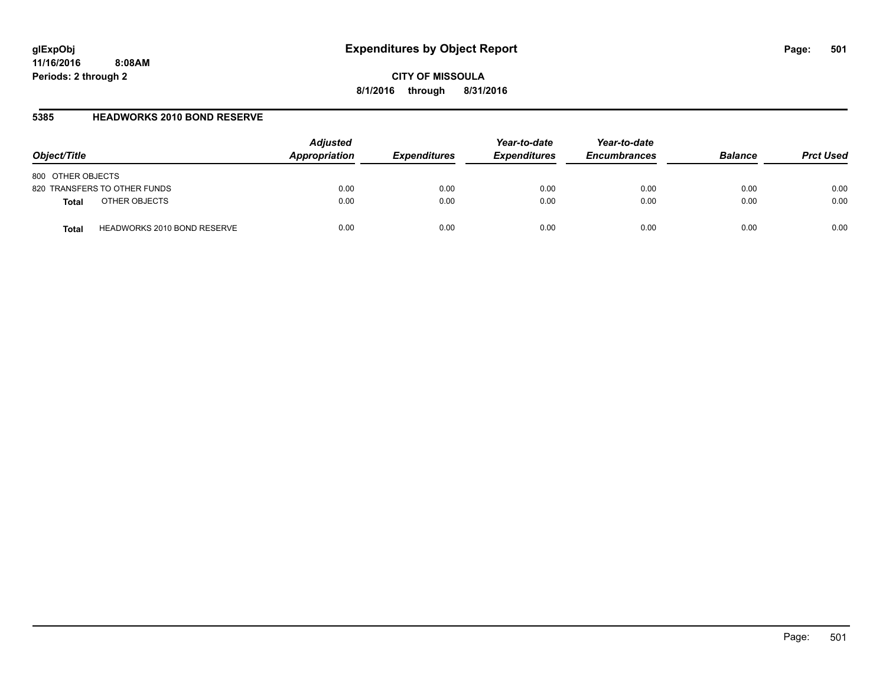**CITY OF MISSOULA 8/1/2016 through 8/31/2016**

## **5385 HEADWORKS 2010 BOND RESERVE**

| Object/Title                                | <b>Adjusted</b><br>Appropriation | <b>Expenditures</b> | Year-to-date<br><b>Expenditures</b> | Year-to-date<br><b>Encumbrances</b> | <b>Balance</b> | <b>Prct Used</b> |
|---------------------------------------------|----------------------------------|---------------------|-------------------------------------|-------------------------------------|----------------|------------------|
| 800 OTHER OBJECTS                           |                                  |                     |                                     |                                     |                |                  |
| 820 TRANSFERS TO OTHER FUNDS                | 0.00                             | 0.00                | 0.00                                | 0.00                                | 0.00           | 0.00             |
| OTHER OBJECTS<br><b>Total</b>               | 0.00                             | 0.00                | 0.00                                | 0.00                                | 0.00           | 0.00             |
| <b>HEADWORKS 2010 BOND RESERVE</b><br>Total | 0.00                             | 0.00                | 0.00                                | 0.00                                | 0.00           | 0.00             |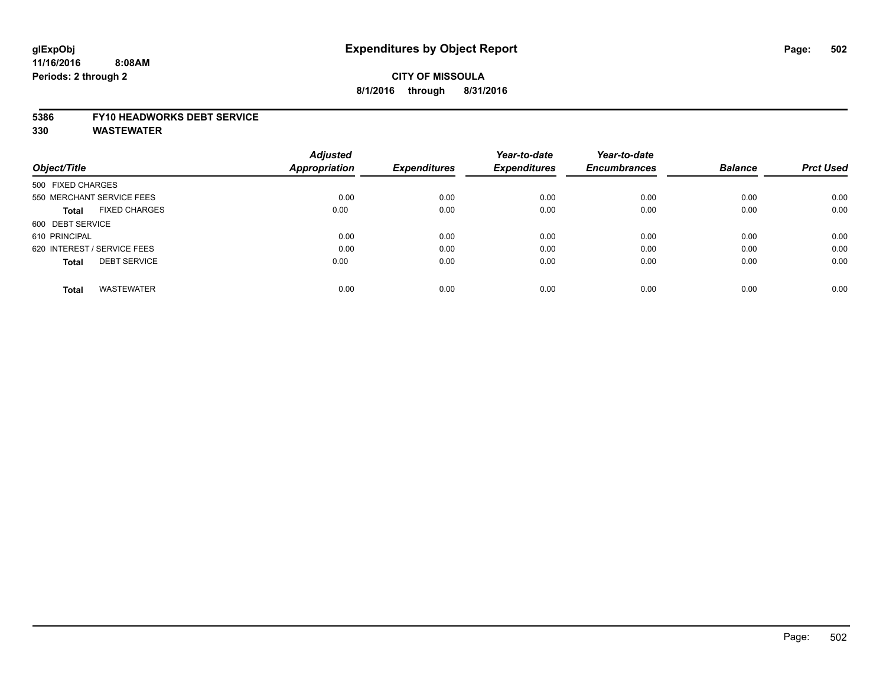## **CITY OF MISSOULA 8/1/2016 through 8/31/2016**

#### **5386 FY10 HEADWORKS DEBT SERVICE**

|                                      | <b>Adjusted</b>      |                     | Year-to-date        | Year-to-date        |                |                  |
|--------------------------------------|----------------------|---------------------|---------------------|---------------------|----------------|------------------|
| Object/Title                         | <b>Appropriation</b> | <b>Expenditures</b> | <b>Expenditures</b> | <b>Encumbrances</b> | <b>Balance</b> | <b>Prct Used</b> |
| 500 FIXED CHARGES                    |                      |                     |                     |                     |                |                  |
| 550 MERCHANT SERVICE FEES            | 0.00                 | 0.00                | 0.00                | 0.00                | 0.00           | 0.00             |
| <b>FIXED CHARGES</b><br><b>Total</b> | 0.00                 | 0.00                | 0.00                | 0.00                | 0.00           | 0.00             |
| 600 DEBT SERVICE                     |                      |                     |                     |                     |                |                  |
| 610 PRINCIPAL                        | 0.00                 | 0.00                | 0.00                | 0.00                | 0.00           | 0.00             |
| 620 INTEREST / SERVICE FEES          | 0.00                 | 0.00                | 0.00                | 0.00                | 0.00           | 0.00             |
| <b>DEBT SERVICE</b><br><b>Total</b>  | 0.00                 | 0.00                | 0.00                | 0.00                | 0.00           | 0.00             |
| <b>WASTEWATER</b><br><b>Total</b>    | 0.00                 | 0.00                | 0.00                | 0.00                | 0.00           | 0.00             |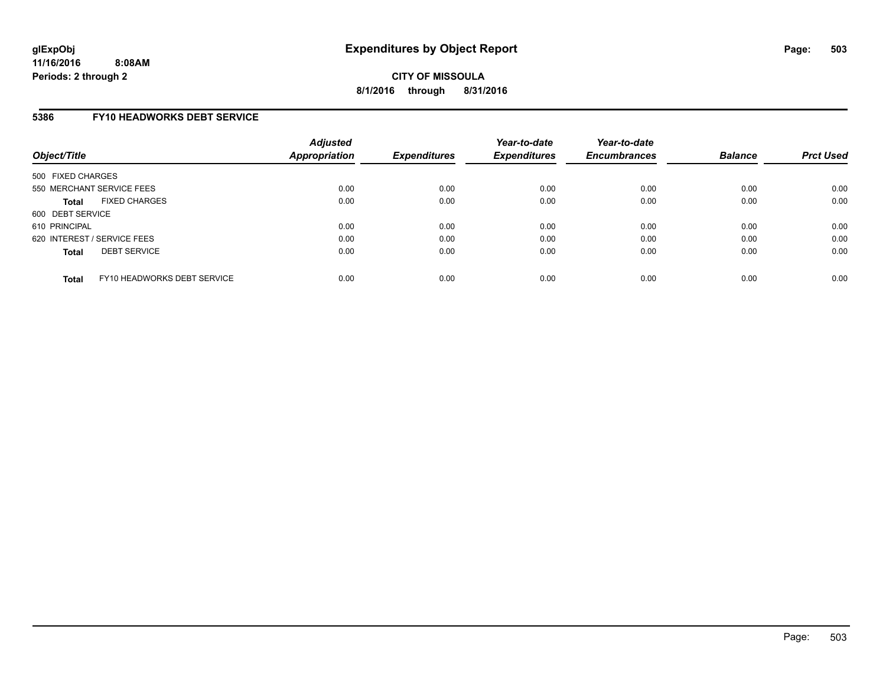## **5386 FY10 HEADWORKS DEBT SERVICE**

| Object/Title                                | <b>Adjusted</b><br>Appropriation | <b>Expenditures</b> | Year-to-date<br><b>Expenditures</b> | Year-to-date<br><b>Encumbrances</b> | <b>Balance</b> | <b>Prct Used</b> |
|---------------------------------------------|----------------------------------|---------------------|-------------------------------------|-------------------------------------|----------------|------------------|
| 500 FIXED CHARGES                           |                                  |                     |                                     |                                     |                |                  |
| 550 MERCHANT SERVICE FEES                   | 0.00                             | 0.00                | 0.00                                | 0.00                                | 0.00           | 0.00             |
| <b>FIXED CHARGES</b><br><b>Total</b>        | 0.00                             | 0.00                | 0.00                                | 0.00                                | 0.00           | 0.00             |
| 600 DEBT SERVICE                            |                                  |                     |                                     |                                     |                |                  |
| 610 PRINCIPAL                               | 0.00                             | 0.00                | 0.00                                | 0.00                                | 0.00           | 0.00             |
| 620 INTEREST / SERVICE FEES                 | 0.00                             | 0.00                | 0.00                                | 0.00                                | 0.00           | 0.00             |
| <b>DEBT SERVICE</b><br><b>Total</b>         | 0.00                             | 0.00                | 0.00                                | 0.00                                | 0.00           | 0.00             |
| FY10 HEADWORKS DEBT SERVICE<br><b>Total</b> | 0.00                             | 0.00                | 0.00                                | 0.00                                | 0.00           | 0.00             |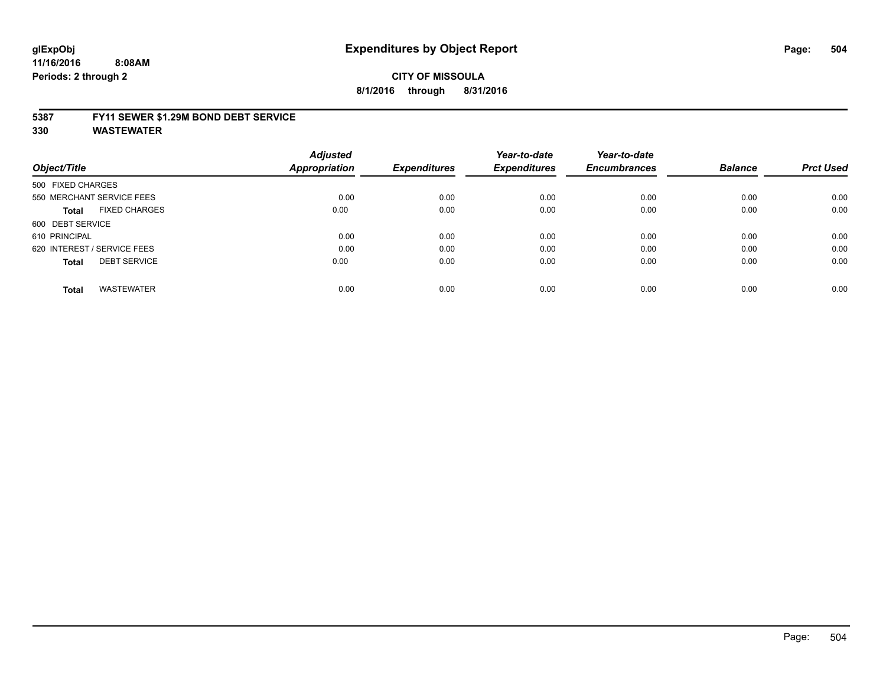## **glExpObj Expenditures by Object Report Page: 504**

**11/16/2016 8:08AM Periods: 2 through 2**

## **CITY OF MISSOULA 8/1/2016 through 8/31/2016**

#### **5387 FY11 SEWER \$1.29M BOND DEBT SERVICE**

| Object/Title                         | <b>Adjusted</b><br>Appropriation | <b>Expenditures</b> | Year-to-date<br><b>Expenditures</b> | Year-to-date<br><b>Encumbrances</b> | <b>Balance</b> | <b>Prct Used</b> |
|--------------------------------------|----------------------------------|---------------------|-------------------------------------|-------------------------------------|----------------|------------------|
| 500 FIXED CHARGES                    |                                  |                     |                                     |                                     |                |                  |
| 550 MERCHANT SERVICE FEES            | 0.00                             | 0.00                | 0.00                                | 0.00                                | 0.00           | 0.00             |
| <b>FIXED CHARGES</b><br><b>Total</b> | 0.00                             | 0.00                | 0.00                                | 0.00                                | 0.00           | 0.00             |
| 600 DEBT SERVICE                     |                                  |                     |                                     |                                     |                |                  |
| 610 PRINCIPAL                        | 0.00                             | 0.00                | 0.00                                | 0.00                                | 0.00           | 0.00             |
| 620 INTEREST / SERVICE FEES          | 0.00                             | 0.00                | 0.00                                | 0.00                                | 0.00           | 0.00             |
| <b>DEBT SERVICE</b><br><b>Total</b>  | 0.00                             | 0.00                | 0.00                                | 0.00                                | 0.00           | 0.00             |
| <b>WASTEWATER</b><br><b>Total</b>    | 0.00                             | 0.00                | 0.00                                | 0.00                                | 0.00           | 0.00             |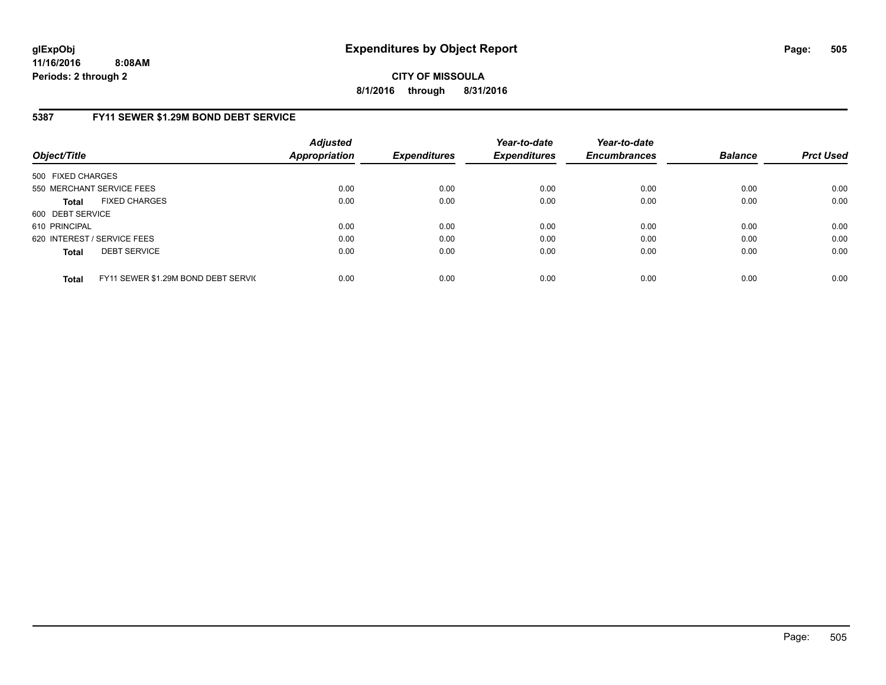**CITY OF MISSOULA 8/1/2016 through 8/31/2016**

## **5387 FY11 SEWER \$1.29M BOND DEBT SERVICE**

| Object/Title      |                                     | <b>Adjusted</b><br><b>Appropriation</b> | <b>Expenditures</b> | Year-to-date<br><b>Expenditures</b> | Year-to-date<br><b>Encumbrances</b> | <b>Balance</b> | <b>Prct Used</b> |
|-------------------|-------------------------------------|-----------------------------------------|---------------------|-------------------------------------|-------------------------------------|----------------|------------------|
| 500 FIXED CHARGES |                                     |                                         |                     |                                     |                                     |                |                  |
|                   | 550 MERCHANT SERVICE FEES           | 0.00                                    | 0.00                | 0.00                                | 0.00                                | 0.00           | 0.00             |
| <b>Total</b>      | <b>FIXED CHARGES</b>                | 0.00                                    | 0.00                | 0.00                                | 0.00                                | 0.00           | 0.00             |
| 600 DEBT SERVICE  |                                     |                                         |                     |                                     |                                     |                |                  |
| 610 PRINCIPAL     |                                     | 0.00                                    | 0.00                | 0.00                                | 0.00                                | 0.00           | 0.00             |
|                   | 620 INTEREST / SERVICE FEES         | 0.00                                    | 0.00                | 0.00                                | 0.00                                | 0.00           | 0.00             |
| <b>Total</b>      | <b>DEBT SERVICE</b>                 | 0.00                                    | 0.00                | 0.00                                | 0.00                                | 0.00           | 0.00             |
| <b>Total</b>      | FY11 SEWER \$1.29M BOND DEBT SERVIC | 0.00                                    | 0.00                | 0.00                                | 0.00                                | 0.00           | 0.00             |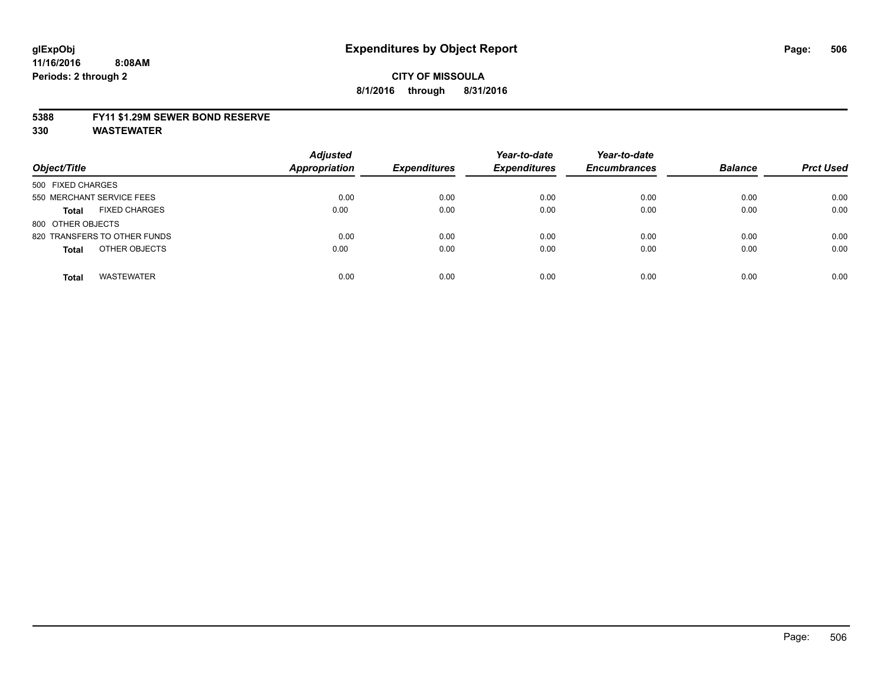### **5388 FY11 \$1.29M SEWER BOND RESERVE**

**330 WASTEWATER**

| Object/Title                         | <b>Adjusted</b><br>Appropriation | <b>Expenditures</b> | Year-to-date<br><b>Expenditures</b> | Year-to-date<br><b>Encumbrances</b> | <b>Balance</b> | <b>Prct Used</b> |
|--------------------------------------|----------------------------------|---------------------|-------------------------------------|-------------------------------------|----------------|------------------|
| 500 FIXED CHARGES                    |                                  |                     |                                     |                                     |                |                  |
| 550 MERCHANT SERVICE FEES            | 0.00                             | 0.00                | 0.00                                | 0.00                                | 0.00           | 0.00             |
| <b>FIXED CHARGES</b><br><b>Total</b> | 0.00                             | 0.00                | 0.00                                | 0.00                                | 0.00           | 0.00             |
| 800 OTHER OBJECTS                    |                                  |                     |                                     |                                     |                |                  |
| 820 TRANSFERS TO OTHER FUNDS         | 0.00                             | 0.00                | 0.00                                | 0.00                                | 0.00           | 0.00             |
| OTHER OBJECTS<br><b>Total</b>        | 0.00                             | 0.00                | 0.00                                | 0.00                                | 0.00           | 0.00             |
| <b>WASTEWATER</b><br><b>Total</b>    | 0.00                             | 0.00                | 0.00                                | 0.00                                | 0.00           | 0.00             |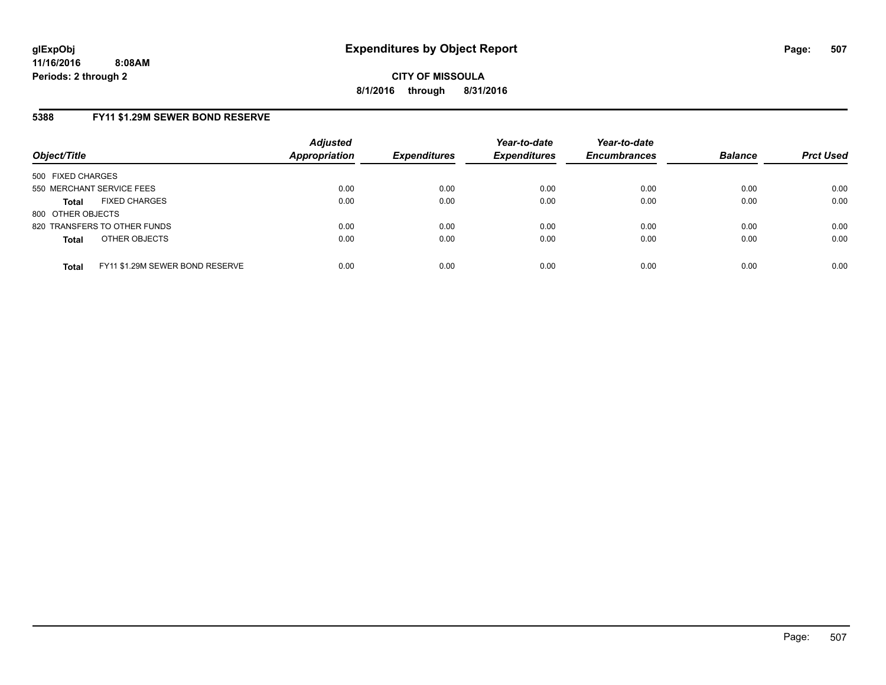# **5388 FY11 \$1.29M SEWER BOND RESERVE**

| Object/Title                         |                                 | <b>Adjusted</b><br><b>Appropriation</b> | <b>Expenditures</b> | Year-to-date<br><b>Expenditures</b> | Year-to-date<br><b>Encumbrances</b> | <b>Balance</b> | <b>Prct Used</b> |
|--------------------------------------|---------------------------------|-----------------------------------------|---------------------|-------------------------------------|-------------------------------------|----------------|------------------|
| 500 FIXED CHARGES                    |                                 |                                         |                     |                                     |                                     |                |                  |
| 550 MERCHANT SERVICE FEES            |                                 | 0.00                                    | 0.00                | 0.00                                | 0.00                                | 0.00           | 0.00             |
| <b>FIXED CHARGES</b><br><b>Total</b> |                                 | 0.00                                    | 0.00                | 0.00                                | 0.00                                | 0.00           | 0.00             |
| 800 OTHER OBJECTS                    |                                 |                                         |                     |                                     |                                     |                |                  |
| 820 TRANSFERS TO OTHER FUNDS         |                                 | 0.00                                    | 0.00                | 0.00                                | 0.00                                | 0.00           | 0.00             |
| OTHER OBJECTS<br><b>Total</b>        |                                 | 0.00                                    | 0.00                | 0.00                                | 0.00                                | 0.00           | 0.00             |
| <b>Total</b>                         | FY11 \$1.29M SEWER BOND RESERVE | 0.00                                    | 0.00                | 0.00                                | 0.00                                | 0.00           | 0.00             |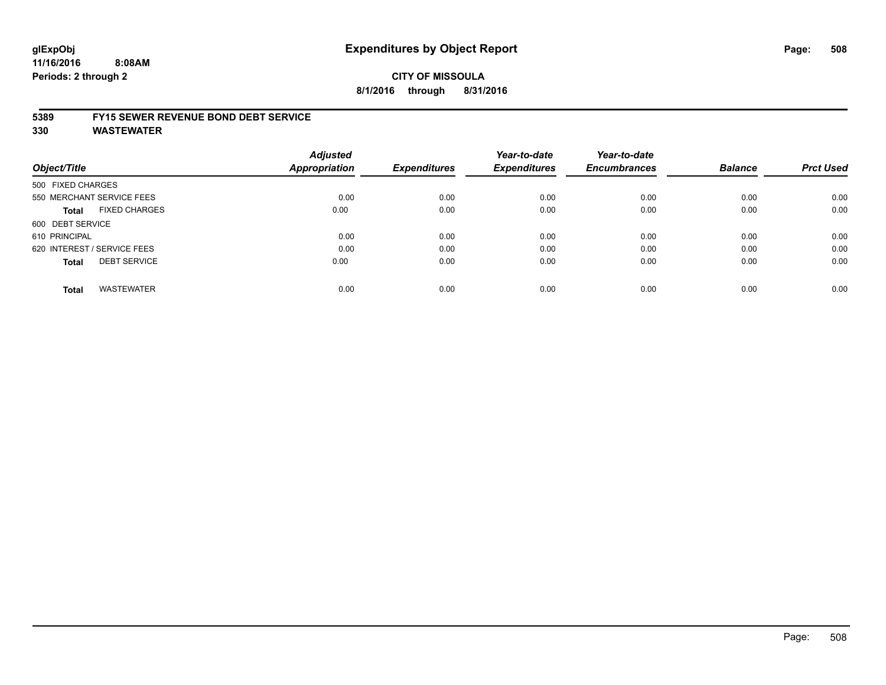### **5389 FY15 SEWER REVENUE BOND DEBT SERVICE**

**330 WASTEWATER**

| Object/Title                |                           | <b>Adjusted</b><br>Appropriation | <b>Expenditures</b> | Year-to-date<br><b>Expenditures</b> | Year-to-date<br><b>Encumbrances</b> | <b>Balance</b> | <b>Prct Used</b> |
|-----------------------------|---------------------------|----------------------------------|---------------------|-------------------------------------|-------------------------------------|----------------|------------------|
| 500 FIXED CHARGES           |                           |                                  |                     |                                     |                                     |                |                  |
|                             | 550 MERCHANT SERVICE FEES | 0.00                             | 0.00                | 0.00                                | 0.00                                | 0.00           | 0.00             |
| Total                       | <b>FIXED CHARGES</b>      | 0.00                             | 0.00                | 0.00                                | 0.00                                | 0.00           | 0.00             |
| 600 DEBT SERVICE            |                           |                                  |                     |                                     |                                     |                |                  |
| 610 PRINCIPAL               |                           | 0.00                             | 0.00                | 0.00                                | 0.00                                | 0.00           | 0.00             |
| 620 INTEREST / SERVICE FEES |                           | 0.00                             | 0.00                | 0.00                                | 0.00                                | 0.00           | 0.00             |
| <b>Total</b>                | <b>DEBT SERVICE</b>       | 0.00                             | 0.00                | 0.00                                | 0.00                                | 0.00           | 0.00             |
| <b>Total</b>                | <b>WASTEWATER</b>         | 0.00                             | 0.00                | 0.00                                | 0.00                                | 0.00           | 0.00             |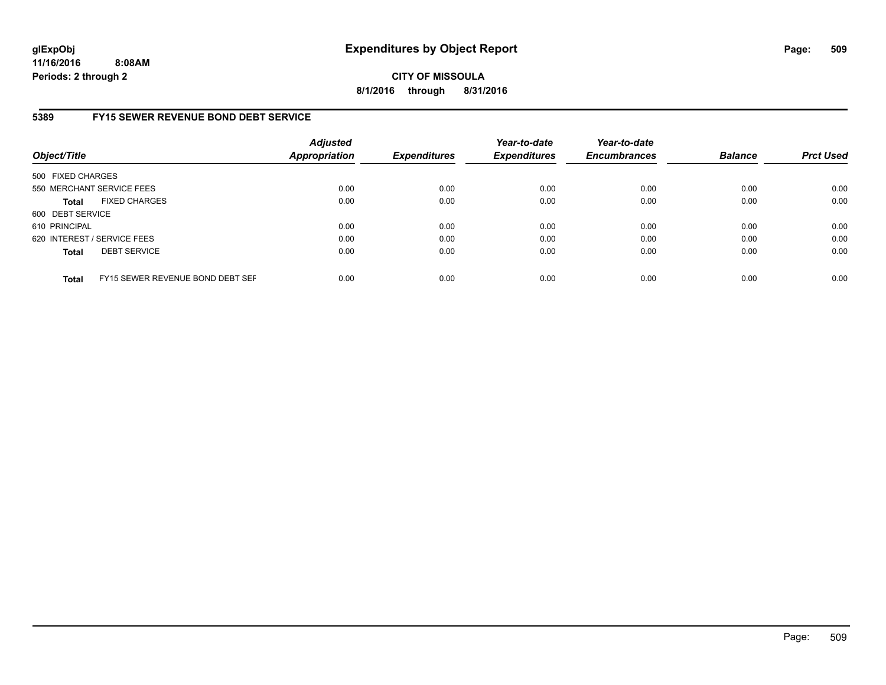**CITY OF MISSOULA 8/1/2016 through 8/31/2016**

## **5389 FY15 SEWER REVENUE BOND DEBT SERVICE**

| Object/Title      |                                  | <b>Adjusted</b><br><b>Appropriation</b> | <b>Expenditures</b> | Year-to-date<br><b>Expenditures</b> | Year-to-date<br><b>Encumbrances</b> | <b>Balance</b> | <b>Prct Used</b> |
|-------------------|----------------------------------|-----------------------------------------|---------------------|-------------------------------------|-------------------------------------|----------------|------------------|
| 500 FIXED CHARGES |                                  |                                         |                     |                                     |                                     |                |                  |
|                   | 550 MERCHANT SERVICE FEES        | 0.00                                    | 0.00                | 0.00                                | 0.00                                | 0.00           | 0.00             |
| <b>Total</b>      | <b>FIXED CHARGES</b>             | 0.00                                    | 0.00                | 0.00                                | 0.00                                | 0.00           | 0.00             |
| 600 DEBT SERVICE  |                                  |                                         |                     |                                     |                                     |                |                  |
| 610 PRINCIPAL     |                                  | 0.00                                    | 0.00                | 0.00                                | 0.00                                | 0.00           | 0.00             |
|                   | 620 INTEREST / SERVICE FEES      | 0.00                                    | 0.00                | 0.00                                | 0.00                                | 0.00           | 0.00             |
| <b>Total</b>      | <b>DEBT SERVICE</b>              | 0.00                                    | 0.00                | 0.00                                | 0.00                                | 0.00           | 0.00             |
| <b>Total</b>      | FY15 SEWER REVENUE BOND DEBT SEF | 0.00                                    | 0.00                | 0.00                                | 0.00                                | 0.00           | 0.00             |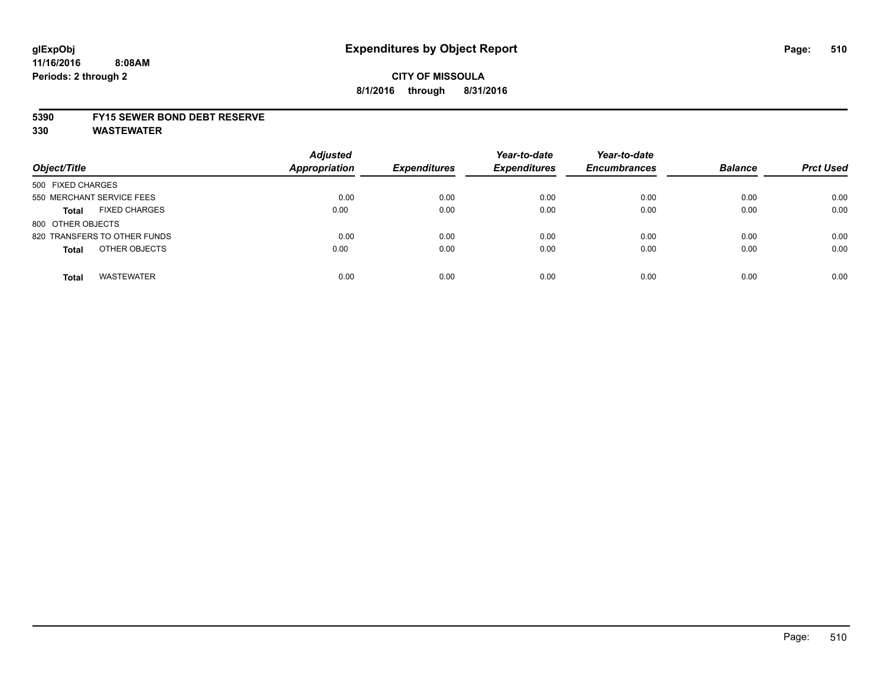# **CITY OF MISSOULA 8/1/2016 through 8/31/2016**

### **5390 FY15 SEWER BOND DEBT RESERVE**

**330 WASTEWATER**

| Object/Title                         | <b>Adjusted</b><br><b>Appropriation</b> | <b>Expenditures</b> | Year-to-date<br><b>Expenditures</b> | Year-to-date<br><b>Encumbrances</b> | <b>Balance</b> | <b>Prct Used</b> |
|--------------------------------------|-----------------------------------------|---------------------|-------------------------------------|-------------------------------------|----------------|------------------|
| 500 FIXED CHARGES                    |                                         |                     |                                     |                                     |                |                  |
| 550 MERCHANT SERVICE FEES            | 0.00                                    | 0.00                | 0.00                                | 0.00                                | 0.00           | 0.00             |
| <b>FIXED CHARGES</b><br><b>Total</b> | 0.00                                    | 0.00                | 0.00                                | 0.00                                | 0.00           | 0.00             |
| 800 OTHER OBJECTS                    |                                         |                     |                                     |                                     |                |                  |
| 820 TRANSFERS TO OTHER FUNDS         | 0.00                                    | 0.00                | 0.00                                | 0.00                                | 0.00           | 0.00             |
| OTHER OBJECTS<br><b>Total</b>        | 0.00                                    | 0.00                | 0.00                                | 0.00                                | 0.00           | 0.00             |
| <b>WASTEWATER</b><br><b>Total</b>    | 0.00                                    | 0.00                | 0.00                                | 0.00                                | 0.00           | 0.00             |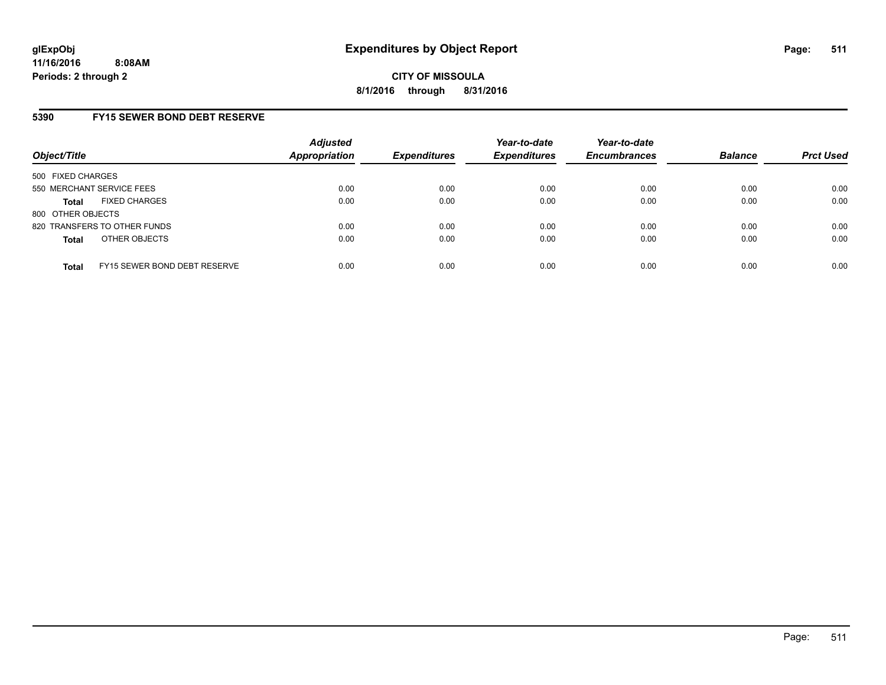## **5390 FY15 SEWER BOND DEBT RESERVE**

| Object/Title              |                              | <b>Adjusted</b><br>Appropriation | <b>Expenditures</b> | Year-to-date<br><b>Expenditures</b> | Year-to-date<br><b>Encumbrances</b> | <b>Balance</b> | <b>Prct Used</b> |
|---------------------------|------------------------------|----------------------------------|---------------------|-------------------------------------|-------------------------------------|----------------|------------------|
| 500 FIXED CHARGES         |                              |                                  |                     |                                     |                                     |                |                  |
| 550 MERCHANT SERVICE FEES |                              | 0.00                             | 0.00                | 0.00                                | 0.00                                | 0.00           | 0.00             |
| <b>Total</b>              | <b>FIXED CHARGES</b>         | 0.00                             | 0.00                | 0.00                                | 0.00                                | 0.00           | 0.00             |
| 800 OTHER OBJECTS         |                              |                                  |                     |                                     |                                     |                |                  |
|                           | 820 TRANSFERS TO OTHER FUNDS | 0.00                             | 0.00                | 0.00                                | 0.00                                | 0.00           | 0.00             |
| <b>Total</b>              | OTHER OBJECTS                | 0.00                             | 0.00                | 0.00                                | 0.00                                | 0.00           | 0.00             |
| <b>Total</b>              | FY15 SEWER BOND DEBT RESERVE | 0.00                             | 0.00                | 0.00                                | 0.00                                | 0.00           | 0.00             |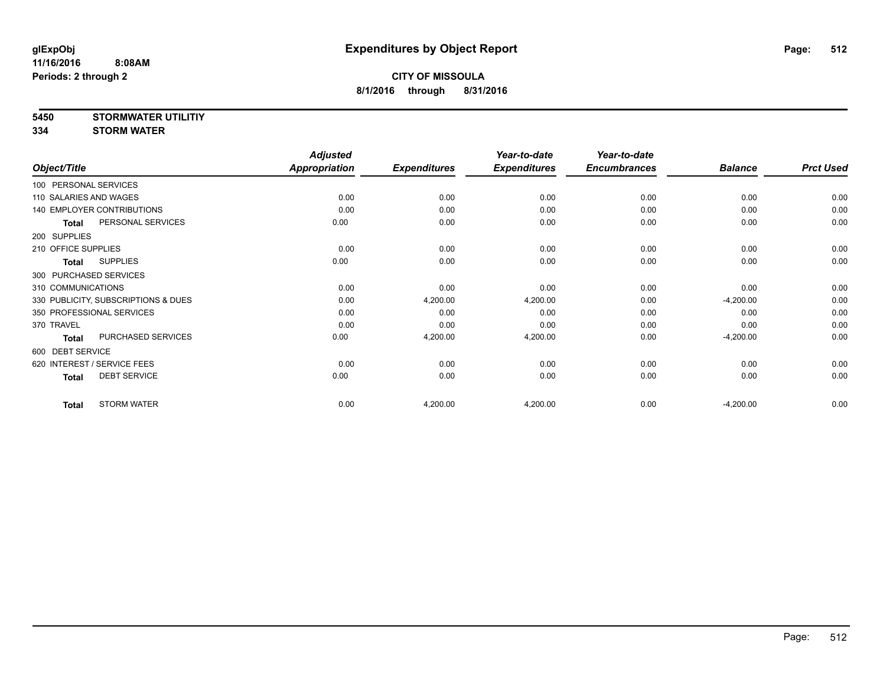**5450 STORMWATER UTILITIY**

**334 STORM WATER**

|                        |                                     | <b>Adjusted</b>      |                     | Year-to-date        | Year-to-date        |                |                  |
|------------------------|-------------------------------------|----------------------|---------------------|---------------------|---------------------|----------------|------------------|
| Object/Title           |                                     | <b>Appropriation</b> | <b>Expenditures</b> | <b>Expenditures</b> | <b>Encumbrances</b> | <b>Balance</b> | <b>Prct Used</b> |
| 100 PERSONAL SERVICES  |                                     |                      |                     |                     |                     |                |                  |
| 110 SALARIES AND WAGES |                                     | 0.00                 | 0.00                | 0.00                | 0.00                | 0.00           | 0.00             |
|                        | <b>140 EMPLOYER CONTRIBUTIONS</b>   | 0.00                 | 0.00                | 0.00                | 0.00                | 0.00           | 0.00             |
| <b>Total</b>           | PERSONAL SERVICES                   | 0.00                 | 0.00                | 0.00                | 0.00                | 0.00           | 0.00             |
| 200 SUPPLIES           |                                     |                      |                     |                     |                     |                |                  |
| 210 OFFICE SUPPLIES    |                                     | 0.00                 | 0.00                | 0.00                | 0.00                | 0.00           | 0.00             |
| <b>Total</b>           | <b>SUPPLIES</b>                     | 0.00                 | 0.00                | 0.00                | 0.00                | 0.00           | 0.00             |
| 300 PURCHASED SERVICES |                                     |                      |                     |                     |                     |                |                  |
| 310 COMMUNICATIONS     |                                     | 0.00                 | 0.00                | 0.00                | 0.00                | 0.00           | 0.00             |
|                        | 330 PUBLICITY, SUBSCRIPTIONS & DUES | 0.00                 | 4,200.00            | 4,200.00            | 0.00                | $-4,200.00$    | 0.00             |
|                        | 350 PROFESSIONAL SERVICES           | 0.00                 | 0.00                | 0.00                | 0.00                | 0.00           | 0.00             |
| 370 TRAVEL             |                                     | 0.00                 | 0.00                | 0.00                | 0.00                | 0.00           | 0.00             |
| <b>Total</b>           | PURCHASED SERVICES                  | 0.00                 | 4,200.00            | 4,200.00            | 0.00                | $-4,200.00$    | 0.00             |
| 600 DEBT SERVICE       |                                     |                      |                     |                     |                     |                |                  |
|                        | 620 INTEREST / SERVICE FEES         | 0.00                 | 0.00                | 0.00                | 0.00                | 0.00           | 0.00             |
| <b>Total</b>           | <b>DEBT SERVICE</b>                 | 0.00                 | 0.00                | 0.00                | 0.00                | 0.00           | 0.00             |
| <b>Total</b>           | <b>STORM WATER</b>                  | 0.00                 | 4,200.00            | 4,200.00            | 0.00                | $-4,200.00$    | 0.00             |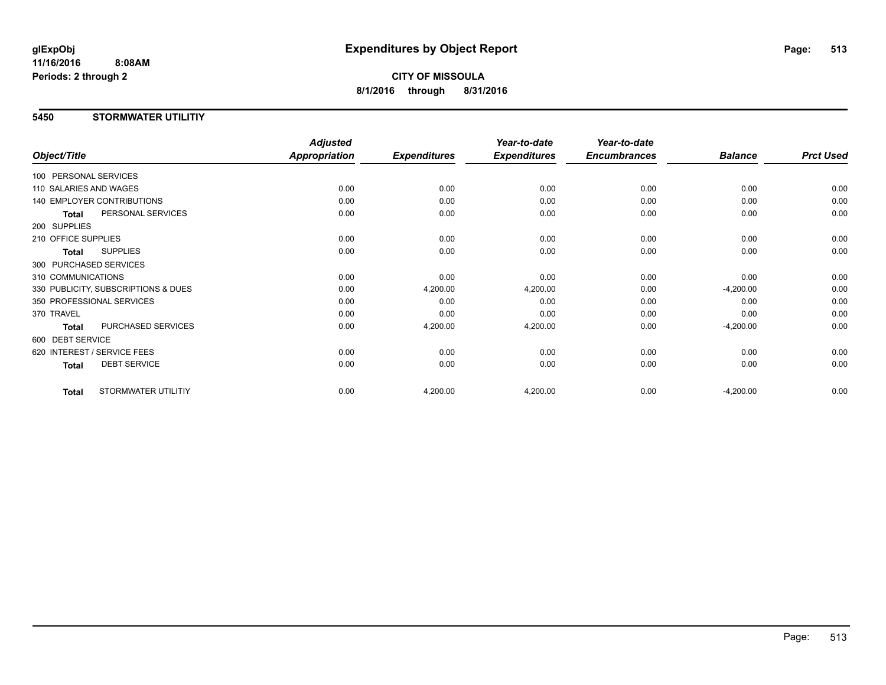**CITY OF MISSOULA 8/1/2016 through 8/31/2016**

### **5450 STORMWATER UTILITIY**

|                                   |                                     | <b>Adjusted</b>      |                     | Year-to-date        | Year-to-date        |                |                  |
|-----------------------------------|-------------------------------------|----------------------|---------------------|---------------------|---------------------|----------------|------------------|
| Object/Title                      |                                     | <b>Appropriation</b> | <b>Expenditures</b> | <b>Expenditures</b> | <b>Encumbrances</b> | <b>Balance</b> | <b>Prct Used</b> |
| 100 PERSONAL SERVICES             |                                     |                      |                     |                     |                     |                |                  |
| 110 SALARIES AND WAGES            |                                     | 0.00                 | 0.00                | 0.00                | 0.00                | 0.00           | 0.00             |
| <b>140 EMPLOYER CONTRIBUTIONS</b> |                                     | 0.00                 | 0.00                | 0.00                | 0.00                | 0.00           | 0.00             |
| <b>Total</b>                      | PERSONAL SERVICES                   | 0.00                 | 0.00                | 0.00                | 0.00                | 0.00           | 0.00             |
| 200 SUPPLIES                      |                                     |                      |                     |                     |                     |                |                  |
| 210 OFFICE SUPPLIES               |                                     | 0.00                 | 0.00                | 0.00                | 0.00                | 0.00           | 0.00             |
| <b>Total</b>                      | <b>SUPPLIES</b>                     | 0.00                 | 0.00                | 0.00                | 0.00                | 0.00           | 0.00             |
| 300 PURCHASED SERVICES            |                                     |                      |                     |                     |                     |                |                  |
| 310 COMMUNICATIONS                |                                     | 0.00                 | 0.00                | 0.00                | 0.00                | 0.00           | 0.00             |
|                                   | 330 PUBLICITY, SUBSCRIPTIONS & DUES | 0.00                 | 4,200.00            | 4,200.00            | 0.00                | $-4,200.00$    | 0.00             |
| 350 PROFESSIONAL SERVICES         |                                     | 0.00                 | 0.00                | 0.00                | 0.00                | 0.00           | 0.00             |
| 370 TRAVEL                        |                                     | 0.00                 | 0.00                | 0.00                | 0.00                | 0.00           | 0.00             |
| <b>Total</b>                      | PURCHASED SERVICES                  | 0.00                 | 4,200.00            | 4,200.00            | 0.00                | $-4,200.00$    | 0.00             |
| 600 DEBT SERVICE                  |                                     |                      |                     |                     |                     |                |                  |
| 620 INTEREST / SERVICE FEES       |                                     | 0.00                 | 0.00                | 0.00                | 0.00                | 0.00           | 0.00             |
| <b>Total</b>                      | <b>DEBT SERVICE</b>                 | 0.00                 | 0.00                | 0.00                | 0.00                | 0.00           | 0.00             |
| <b>Total</b>                      | STORMWATER UTILITIY                 | 0.00                 | 4,200.00            | 4,200.00            | 0.00                | $-4,200.00$    | 0.00             |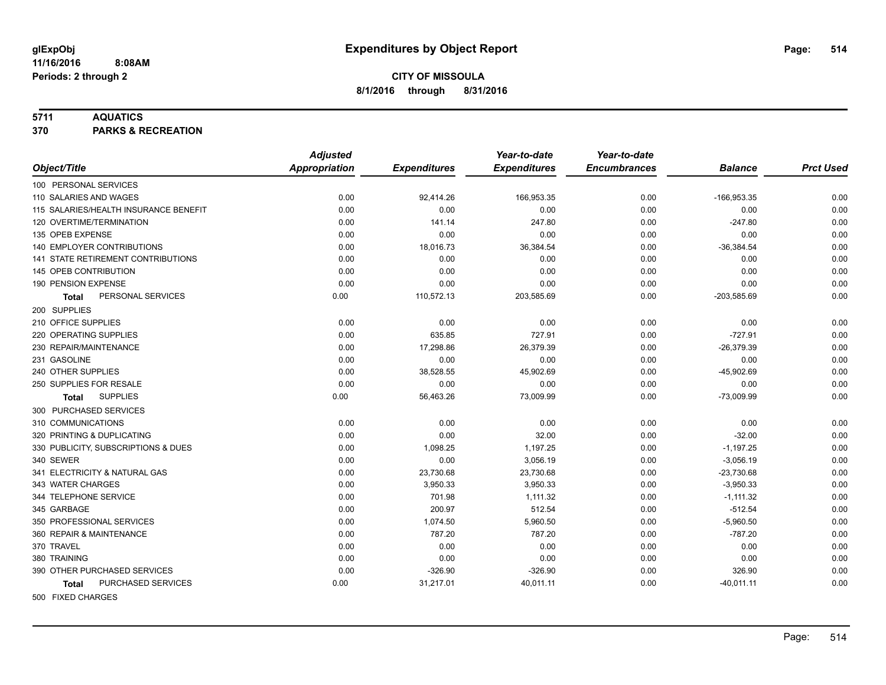### **5711 AQUATICS**

**370 PARKS & RECREATION**

|                                       | <b>Adjusted</b> |                     | Year-to-date        | Year-to-date        |                |                  |
|---------------------------------------|-----------------|---------------------|---------------------|---------------------|----------------|------------------|
| Object/Title                          | Appropriation   | <b>Expenditures</b> | <b>Expenditures</b> | <b>Encumbrances</b> | <b>Balance</b> | <b>Prct Used</b> |
| 100 PERSONAL SERVICES                 |                 |                     |                     |                     |                |                  |
| 110 SALARIES AND WAGES                | 0.00            | 92,414.26           | 166,953.35          | 0.00                | -166,953.35    | 0.00             |
| 115 SALARIES/HEALTH INSURANCE BENEFIT | 0.00            | 0.00                | 0.00                | 0.00                | 0.00           | 0.00             |
| 120 OVERTIME/TERMINATION              | 0.00            | 141.14              | 247.80              | 0.00                | $-247.80$      | 0.00             |
| 135 OPEB EXPENSE                      | 0.00            | 0.00                | 0.00                | 0.00                | 0.00           | 0.00             |
| 140 EMPLOYER CONTRIBUTIONS            | 0.00            | 18,016.73           | 36,384.54           | 0.00                | $-36,384.54$   | 0.00             |
| 141 STATE RETIREMENT CONTRIBUTIONS    | 0.00            | 0.00                | 0.00                | 0.00                | 0.00           | 0.00             |
| 145 OPEB CONTRIBUTION                 | 0.00            | 0.00                | 0.00                | 0.00                | 0.00           | 0.00             |
| 190 PENSION EXPENSE                   | 0.00            | 0.00                | 0.00                | 0.00                | 0.00           | 0.00             |
| PERSONAL SERVICES<br>Total            | 0.00            | 110,572.13          | 203,585.69          | 0.00                | $-203,585.69$  | 0.00             |
| 200 SUPPLIES                          |                 |                     |                     |                     |                |                  |
| 210 OFFICE SUPPLIES                   | 0.00            | 0.00                | 0.00                | 0.00                | 0.00           | 0.00             |
| 220 OPERATING SUPPLIES                | 0.00            | 635.85              | 727.91              | 0.00                | $-727.91$      | 0.00             |
| 230 REPAIR/MAINTENANCE                | 0.00            | 17,298.86           | 26,379.39           | 0.00                | $-26,379.39$   | 0.00             |
| 231 GASOLINE                          | 0.00            | 0.00                | 0.00                | 0.00                | 0.00           | 0.00             |
| 240 OTHER SUPPLIES                    | 0.00            | 38,528.55           | 45,902.69           | 0.00                | $-45,902.69$   | 0.00             |
| 250 SUPPLIES FOR RESALE               | 0.00            | 0.00                | 0.00                | 0.00                | 0.00           | 0.00             |
| <b>SUPPLIES</b><br>Total              | 0.00            | 56,463.26           | 73,009.99           | 0.00                | $-73,009.99$   | 0.00             |
| 300 PURCHASED SERVICES                |                 |                     |                     |                     |                |                  |
| 310 COMMUNICATIONS                    | 0.00            | 0.00                | 0.00                | 0.00                | 0.00           | 0.00             |
| 320 PRINTING & DUPLICATING            | 0.00            | 0.00                | 32.00               | 0.00                | $-32.00$       | 0.00             |
| 330 PUBLICITY, SUBSCRIPTIONS & DUES   | 0.00            | 1,098.25            | 1,197.25            | 0.00                | $-1,197.25$    | 0.00             |
| 340 SEWER                             | 0.00            | 0.00                | 3,056.19            | 0.00                | $-3,056.19$    | 0.00             |
| 341 ELECTRICITY & NATURAL GAS         | 0.00            | 23,730.68           | 23,730.68           | 0.00                | $-23,730.68$   | 0.00             |
| 343 WATER CHARGES                     | 0.00            | 3,950.33            | 3,950.33            | 0.00                | $-3,950.33$    | 0.00             |
| 344 TELEPHONE SERVICE                 | 0.00            | 701.98              | 1,111.32            | 0.00                | $-1, 111.32$   | 0.00             |
| 345 GARBAGE                           | 0.00            | 200.97              | 512.54              | 0.00                | $-512.54$      | 0.00             |
| 350 PROFESSIONAL SERVICES             | 0.00            | 1,074.50            | 5,960.50            | 0.00                | $-5,960.50$    | 0.00             |
| 360 REPAIR & MAINTENANCE              | 0.00            | 787.20              | 787.20              | 0.00                | $-787.20$      | 0.00             |
| 370 TRAVEL                            | 0.00            | 0.00                | 0.00                | 0.00                | 0.00           | 0.00             |
| 380 TRAINING                          | 0.00            | 0.00                | 0.00                | 0.00                | 0.00           | 0.00             |
| 390 OTHER PURCHASED SERVICES          | 0.00            | $-326.90$           | $-326.90$           | 0.00                | 326.90         | 0.00             |
| PURCHASED SERVICES<br>Total           | 0.00            | 31,217.01           | 40,011.11           | 0.00                | $-40,011.11$   | 0.00             |
| 500 FIXED CHARGES                     |                 |                     |                     |                     |                |                  |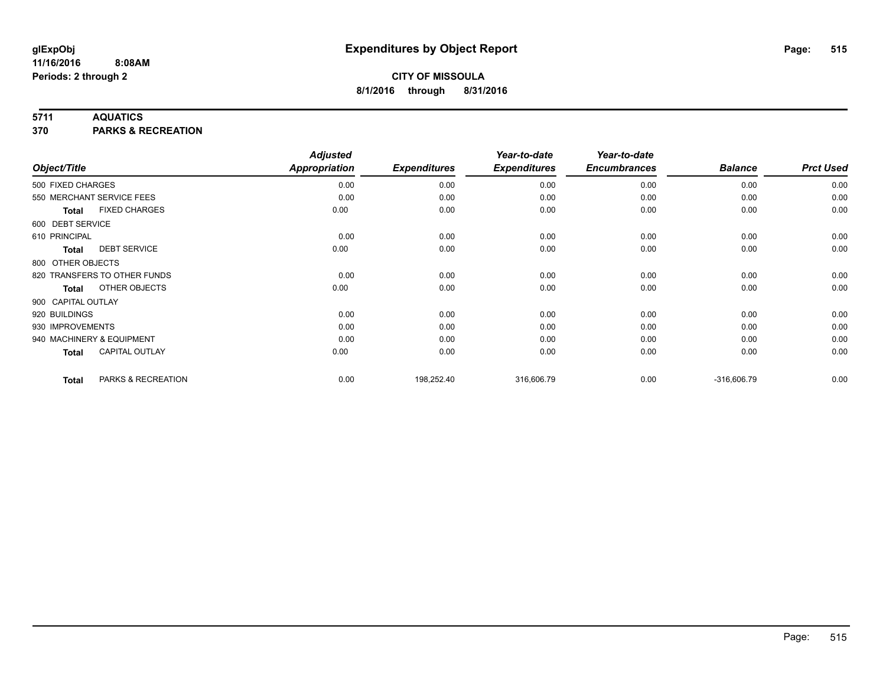### **5711 AQUATICS**

**370 PARKS & RECREATION**

|                    |                              | <b>Adjusted</b>      |                     | Year-to-date        | Year-to-date        |                |                  |
|--------------------|------------------------------|----------------------|---------------------|---------------------|---------------------|----------------|------------------|
| Object/Title       |                              | <b>Appropriation</b> | <b>Expenditures</b> | <b>Expenditures</b> | <b>Encumbrances</b> | <b>Balance</b> | <b>Prct Used</b> |
| 500 FIXED CHARGES  |                              | 0.00                 | 0.00                | 0.00                | 0.00                | 0.00           | 0.00             |
|                    | 550 MERCHANT SERVICE FEES    | 0.00                 | 0.00                | 0.00                | 0.00                | 0.00           | 0.00             |
| Total              | <b>FIXED CHARGES</b>         | 0.00                 | 0.00                | 0.00                | 0.00                | 0.00           | 0.00             |
| 600 DEBT SERVICE   |                              |                      |                     |                     |                     |                |                  |
| 610 PRINCIPAL      |                              | 0.00                 | 0.00                | 0.00                | 0.00                | 0.00           | 0.00             |
| Total              | <b>DEBT SERVICE</b>          | 0.00                 | 0.00                | 0.00                | 0.00                | 0.00           | 0.00             |
| 800 OTHER OBJECTS  |                              |                      |                     |                     |                     |                |                  |
|                    | 820 TRANSFERS TO OTHER FUNDS | 0.00                 | 0.00                | 0.00                | 0.00                | 0.00           | 0.00             |
| <b>Total</b>       | OTHER OBJECTS                | 0.00                 | 0.00                | 0.00                | 0.00                | 0.00           | 0.00             |
| 900 CAPITAL OUTLAY |                              |                      |                     |                     |                     |                |                  |
| 920 BUILDINGS      |                              | 0.00                 | 0.00                | 0.00                | 0.00                | 0.00           | 0.00             |
| 930 IMPROVEMENTS   |                              | 0.00                 | 0.00                | 0.00                | 0.00                | 0.00           | 0.00             |
|                    | 940 MACHINERY & EQUIPMENT    | 0.00                 | 0.00                | 0.00                | 0.00                | 0.00           | 0.00             |
| Total              | <b>CAPITAL OUTLAY</b>        | 0.00                 | 0.00                | 0.00                | 0.00                | 0.00           | 0.00             |
| <b>Total</b>       | PARKS & RECREATION           | 0.00                 | 198,252.40          | 316,606.79          | 0.00                | $-316,606.79$  | 0.00             |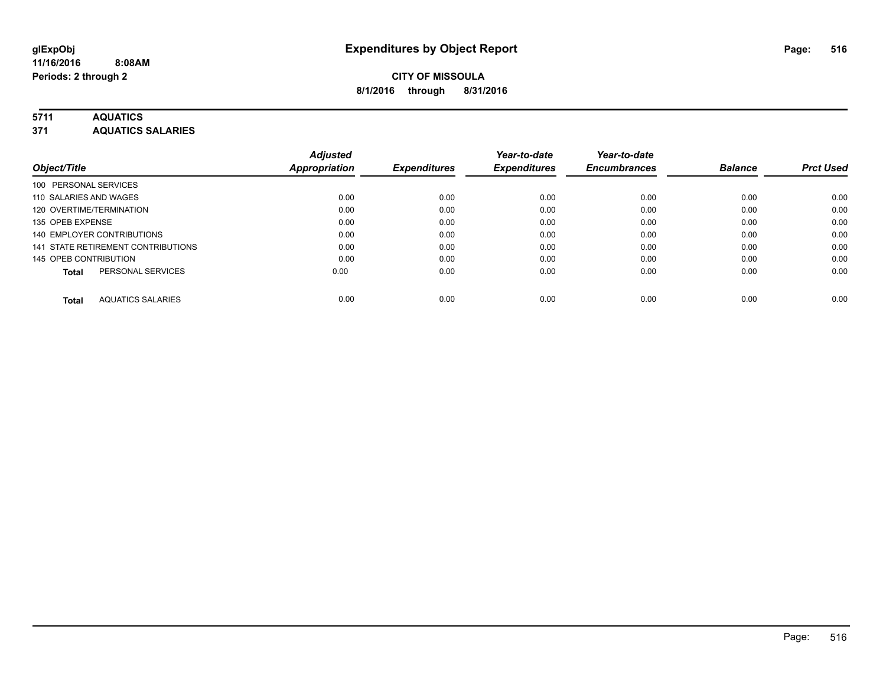### **5711 AQUATICS**

**371 AQUATICS SALARIES**

| Object/Title                             | <b>Adjusted</b><br>Appropriation | <b>Expenditures</b> | Year-to-date<br><b>Expenditures</b> | Year-to-date<br><b>Encumbrances</b> | <b>Balance</b> | <b>Prct Used</b> |
|------------------------------------------|----------------------------------|---------------------|-------------------------------------|-------------------------------------|----------------|------------------|
|                                          |                                  |                     |                                     |                                     |                |                  |
| 100 PERSONAL SERVICES                    |                                  |                     |                                     |                                     |                |                  |
| 110 SALARIES AND WAGES                   | 0.00                             | 0.00                | 0.00                                | 0.00                                | 0.00           | 0.00             |
| 120 OVERTIME/TERMINATION                 | 0.00                             | 0.00                | 0.00                                | 0.00                                | 0.00           | 0.00             |
| 135 OPEB EXPENSE                         | 0.00                             | 0.00                | 0.00                                | 0.00                                | 0.00           | 0.00             |
| 140 EMPLOYER CONTRIBUTIONS               | 0.00                             | 0.00                | 0.00                                | 0.00                                | 0.00           | 0.00             |
| 141 STATE RETIREMENT CONTRIBUTIONS       | 0.00                             | 0.00                | 0.00                                | 0.00                                | 0.00           | 0.00             |
| 145 OPEB CONTRIBUTION                    | 0.00                             | 0.00                | 0.00                                | 0.00                                | 0.00           | 0.00             |
| PERSONAL SERVICES<br><b>Total</b>        | 0.00                             | 0.00                | 0.00                                | 0.00                                | 0.00           | 0.00             |
| <b>AQUATICS SALARIES</b><br><b>Total</b> | 0.00                             | 0.00                | 0.00                                | 0.00                                | 0.00           | 0.00             |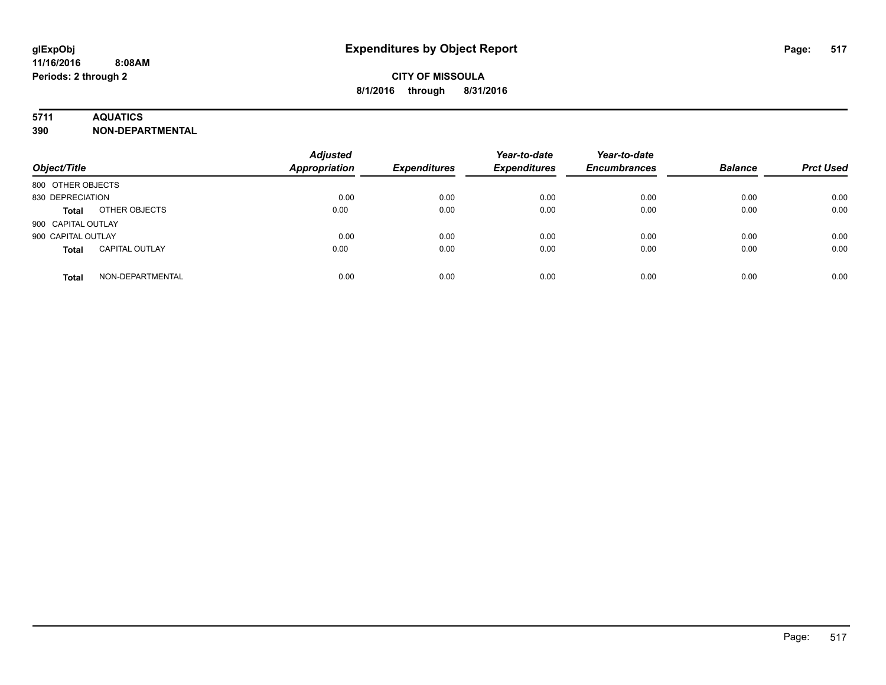### **5711 AQUATICS**

**390 NON-DEPARTMENTAL**

| Object/Title                          | <b>Adjusted</b><br><b>Appropriation</b> | <b>Expenditures</b> | Year-to-date<br><b>Expenditures</b> | Year-to-date<br><b>Encumbrances</b> | <b>Balance</b> | <b>Prct Used</b> |
|---------------------------------------|-----------------------------------------|---------------------|-------------------------------------|-------------------------------------|----------------|------------------|
| 800 OTHER OBJECTS                     |                                         |                     |                                     |                                     |                |                  |
| 830 DEPRECIATION                      | 0.00                                    | 0.00                | 0.00                                | 0.00                                | 0.00           | 0.00             |
| OTHER OBJECTS<br><b>Total</b>         | 0.00                                    | 0.00                | 0.00                                | 0.00                                | 0.00           | 0.00             |
| 900 CAPITAL OUTLAY                    |                                         |                     |                                     |                                     |                |                  |
| 900 CAPITAL OUTLAY                    | 0.00                                    | 0.00                | 0.00                                | 0.00                                | 0.00           | 0.00             |
| <b>CAPITAL OUTLAY</b><br><b>Total</b> | 0.00                                    | 0.00                | 0.00                                | 0.00                                | 0.00           | 0.00             |
| NON-DEPARTMENTAL<br><b>Total</b>      | 0.00                                    | 0.00                | 0.00                                | 0.00                                | 0.00           | 0.00             |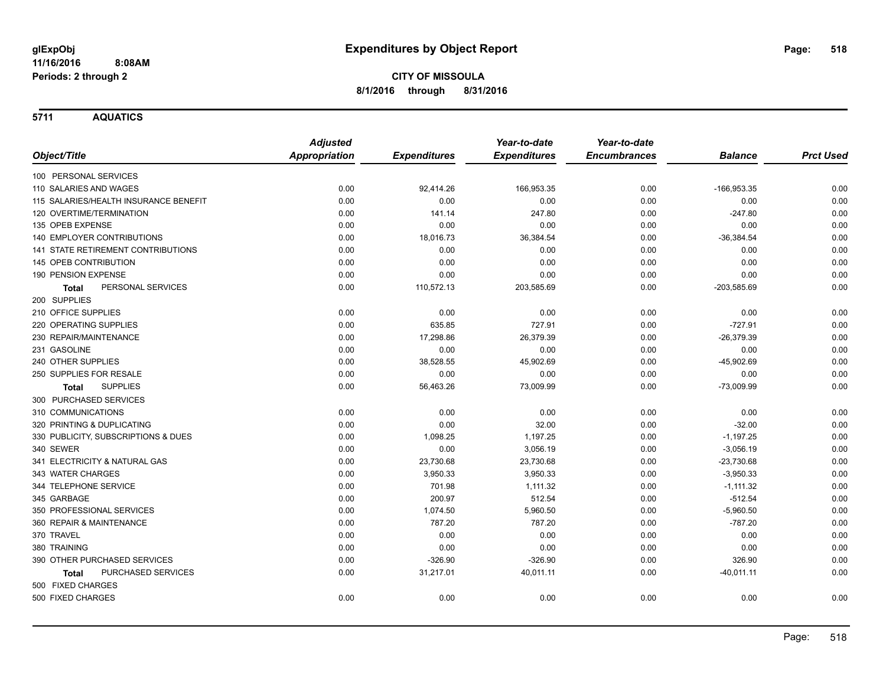**5711 AQUATICS**

|                                           | <b>Adjusted</b>      |                     | Year-to-date        | Year-to-date        |                |                  |
|-------------------------------------------|----------------------|---------------------|---------------------|---------------------|----------------|------------------|
| Object/Title                              | <b>Appropriation</b> | <b>Expenditures</b> | <b>Expenditures</b> | <b>Encumbrances</b> | <b>Balance</b> | <b>Prct Used</b> |
| 100 PERSONAL SERVICES                     |                      |                     |                     |                     |                |                  |
| 110 SALARIES AND WAGES                    | 0.00                 | 92,414.26           | 166,953.35          | 0.00                | $-166,953.35$  | 0.00             |
| 115 SALARIES/HEALTH INSURANCE BENEFIT     | 0.00                 | 0.00                | 0.00                | 0.00                | 0.00           | 0.00             |
| 120 OVERTIME/TERMINATION                  | 0.00                 | 141.14              | 247.80              | 0.00                | $-247.80$      | 0.00             |
| 135 OPEB EXPENSE                          | 0.00                 | 0.00                | 0.00                | 0.00                | 0.00           | 0.00             |
| 140 EMPLOYER CONTRIBUTIONS                | 0.00                 | 18,016.73           | 36,384.54           | 0.00                | $-36,384.54$   | 0.00             |
| 141 STATE RETIREMENT CONTRIBUTIONS        | 0.00                 | 0.00                | 0.00                | 0.00                | 0.00           | 0.00             |
| <b>145 OPEB CONTRIBUTION</b>              | 0.00                 | 0.00                | 0.00                | 0.00                | 0.00           | 0.00             |
| 190 PENSION EXPENSE                       | 0.00                 | 0.00                | 0.00                | 0.00                | 0.00           | 0.00             |
| PERSONAL SERVICES<br>Total                | 0.00                 | 110,572.13          | 203,585.69          | 0.00                | $-203,585.69$  | 0.00             |
| 200 SUPPLIES                              |                      |                     |                     |                     |                |                  |
| 210 OFFICE SUPPLIES                       | 0.00                 | 0.00                | 0.00                | 0.00                | 0.00           | 0.00             |
| 220 OPERATING SUPPLIES                    | 0.00                 | 635.85              | 727.91              | 0.00                | $-727.91$      | 0.00             |
| 230 REPAIR/MAINTENANCE                    | 0.00                 | 17,298.86           | 26,379.39           | 0.00                | $-26,379.39$   | 0.00             |
| 231 GASOLINE                              | 0.00                 | 0.00                | 0.00                | 0.00                | 0.00           | 0.00             |
| 240 OTHER SUPPLIES                        | 0.00                 | 38,528.55           | 45,902.69           | 0.00                | $-45,902.69$   | 0.00             |
| 250 SUPPLIES FOR RESALE                   | 0.00                 | 0.00                | 0.00                | 0.00                | 0.00           | 0.00             |
| <b>SUPPLIES</b><br>Total                  | 0.00                 | 56,463.26           | 73,009.99           | 0.00                | $-73,009.99$   | 0.00             |
| 300 PURCHASED SERVICES                    |                      |                     |                     |                     |                |                  |
| 310 COMMUNICATIONS                        | 0.00                 | 0.00                | 0.00                | 0.00                | 0.00           | 0.00             |
| 320 PRINTING & DUPLICATING                | 0.00                 | 0.00                | 32.00               | 0.00                | $-32.00$       | 0.00             |
| 330 PUBLICITY, SUBSCRIPTIONS & DUES       | 0.00                 | 1,098.25            | 1,197.25            | 0.00                | $-1,197.25$    | 0.00             |
| 340 SEWER                                 | 0.00                 | 0.00                | 3,056.19            | 0.00                | $-3,056.19$    | 0.00             |
| 341 ELECTRICITY & NATURAL GAS             | 0.00                 | 23,730.68           | 23,730.68           | 0.00                | $-23,730.68$   | 0.00             |
| 343 WATER CHARGES                         | 0.00                 | 3,950.33            | 3,950.33            | 0.00                | $-3,950.33$    | 0.00             |
| 344 TELEPHONE SERVICE                     | 0.00                 | 701.98              | 1,111.32            | 0.00                | $-1,111.32$    | 0.00             |
| 345 GARBAGE                               | 0.00                 | 200.97              | 512.54              | 0.00                | $-512.54$      | 0.00             |
| 350 PROFESSIONAL SERVICES                 | 0.00                 | 1,074.50            | 5,960.50            | 0.00                | $-5,960.50$    | 0.00             |
| 360 REPAIR & MAINTENANCE                  | 0.00                 | 787.20              | 787.20              | 0.00                | $-787.20$      | 0.00             |
| 370 TRAVEL                                | 0.00                 | 0.00                | 0.00                | 0.00                | 0.00           | 0.00             |
| 380 TRAINING                              | 0.00                 | 0.00                | 0.00                | 0.00                | 0.00           | 0.00             |
| 390 OTHER PURCHASED SERVICES              | 0.00                 | $-326.90$           | $-326.90$           | 0.00                | 326.90         | 0.00             |
| <b>PURCHASED SERVICES</b><br><b>Total</b> | 0.00                 | 31,217.01           | 40,011.11           | 0.00                | $-40,011.11$   | 0.00             |
| 500 FIXED CHARGES                         |                      |                     |                     |                     |                |                  |
| 500 FIXED CHARGES                         | 0.00                 | 0.00                | 0.00                | 0.00                | 0.00           | 0.00             |
|                                           |                      |                     |                     |                     |                |                  |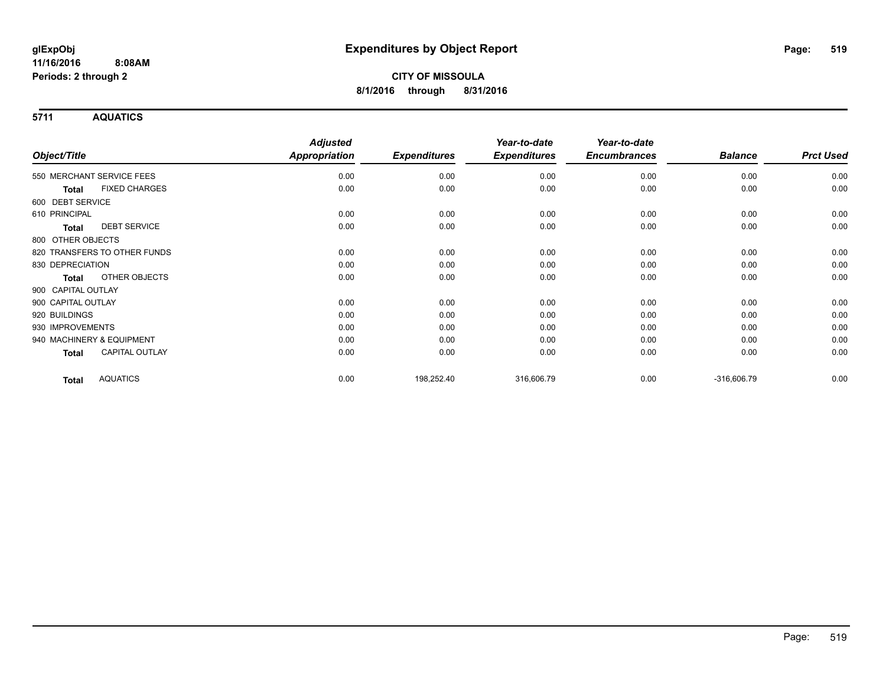**5711 AQUATICS**

|                                       | <b>Adjusted</b>      |                     | Year-to-date        | Year-to-date        |                |                  |
|---------------------------------------|----------------------|---------------------|---------------------|---------------------|----------------|------------------|
| Object/Title                          | <b>Appropriation</b> | <b>Expenditures</b> | <b>Expenditures</b> | <b>Encumbrances</b> | <b>Balance</b> | <b>Prct Used</b> |
| 550 MERCHANT SERVICE FEES             | 0.00                 | 0.00                | 0.00                | 0.00                | 0.00           | 0.00             |
| <b>FIXED CHARGES</b><br><b>Total</b>  | 0.00                 | 0.00                | 0.00                | 0.00                | 0.00           | 0.00             |
| 600 DEBT SERVICE                      |                      |                     |                     |                     |                |                  |
| 610 PRINCIPAL                         | 0.00                 | 0.00                | 0.00                | 0.00                | 0.00           | 0.00             |
| <b>DEBT SERVICE</b><br>Total          | 0.00                 | 0.00                | 0.00                | 0.00                | 0.00           | 0.00             |
| 800 OTHER OBJECTS                     |                      |                     |                     |                     |                |                  |
| 820 TRANSFERS TO OTHER FUNDS          | 0.00                 | 0.00                | 0.00                | 0.00                | 0.00           | 0.00             |
| 830 DEPRECIATION                      | 0.00                 | 0.00                | 0.00                | 0.00                | 0.00           | 0.00             |
| <b>OTHER OBJECTS</b><br><b>Total</b>  | 0.00                 | 0.00                | 0.00                | 0.00                | 0.00           | 0.00             |
| 900 CAPITAL OUTLAY                    |                      |                     |                     |                     |                |                  |
| 900 CAPITAL OUTLAY                    | 0.00                 | 0.00                | 0.00                | 0.00                | 0.00           | 0.00             |
| 920 BUILDINGS                         | 0.00                 | 0.00                | 0.00                | 0.00                | 0.00           | 0.00             |
| 930 IMPROVEMENTS                      | 0.00                 | 0.00                | 0.00                | 0.00                | 0.00           | 0.00             |
| 940 MACHINERY & EQUIPMENT             | 0.00                 | 0.00                | 0.00                | 0.00                | 0.00           | 0.00             |
| <b>CAPITAL OUTLAY</b><br><b>Total</b> | 0.00                 | 0.00                | 0.00                | 0.00                | 0.00           | 0.00             |
| <b>AQUATICS</b><br><b>Total</b>       | 0.00                 | 198,252.40          | 316,606.79          | 0.00                | $-316,606.79$  | 0.00             |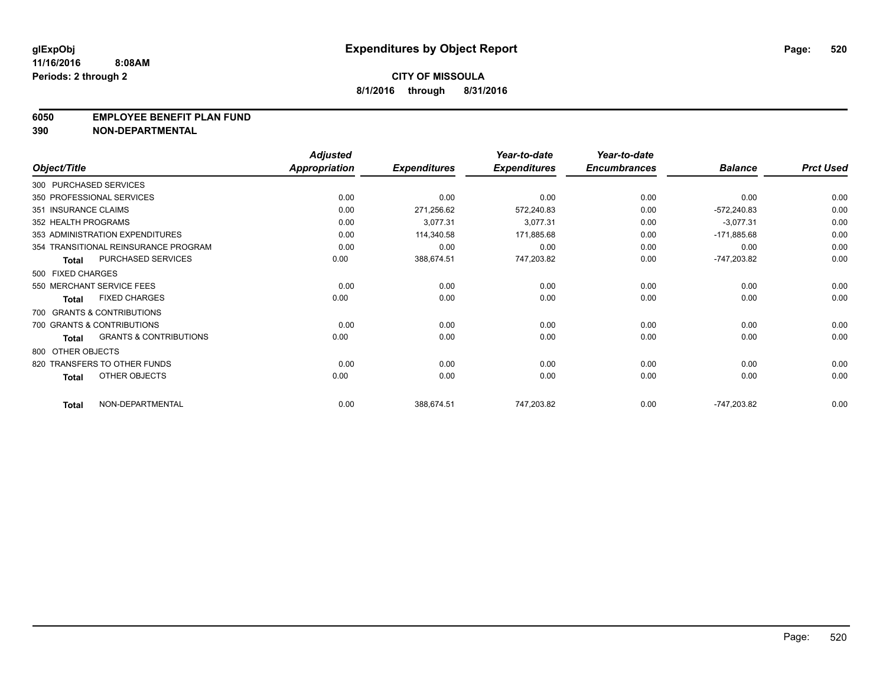### **6050 EMPLOYEE BENEFIT PLAN FUND**

**390 NON-DEPARTMENTAL**

|                      |                                      | <b>Adjusted</b> |                     | Year-to-date        | Year-to-date        |                |                  |
|----------------------|--------------------------------------|-----------------|---------------------|---------------------|---------------------|----------------|------------------|
| Object/Title         |                                      | Appropriation   | <b>Expenditures</b> | <b>Expenditures</b> | <b>Encumbrances</b> | <b>Balance</b> | <b>Prct Used</b> |
|                      | 300 PURCHASED SERVICES               |                 |                     |                     |                     |                |                  |
|                      | 350 PROFESSIONAL SERVICES            | 0.00            | 0.00                | 0.00                | 0.00                | 0.00           | 0.00             |
| 351 INSURANCE CLAIMS |                                      | 0.00            | 271,256.62          | 572,240.83          | 0.00                | $-572,240.83$  | 0.00             |
| 352 HEALTH PROGRAMS  |                                      | 0.00            | 3,077.31            | 3,077.31            | 0.00                | $-3,077.31$    | 0.00             |
|                      | 353 ADMINISTRATION EXPENDITURES      | 0.00            | 114,340.58          | 171,885.68          | 0.00                | $-171,885.68$  | 0.00             |
|                      | 354 TRANSITIONAL REINSURANCE PROGRAM | 0.00            | 0.00                | 0.00                | 0.00                | 0.00           | 0.00             |
| <b>Total</b>         | <b>PURCHASED SERVICES</b>            | 0.00            | 388,674.51          | 747,203.82          | 0.00                | -747,203.82    | 0.00             |
| 500 FIXED CHARGES    |                                      |                 |                     |                     |                     |                |                  |
|                      | 550 MERCHANT SERVICE FEES            | 0.00            | 0.00                | 0.00                | 0.00                | 0.00           | 0.00             |
| <b>Total</b>         | <b>FIXED CHARGES</b>                 | 0.00            | 0.00                | 0.00                | 0.00                | 0.00           | 0.00             |
|                      | 700 GRANTS & CONTRIBUTIONS           |                 |                     |                     |                     |                |                  |
|                      | 700 GRANTS & CONTRIBUTIONS           | 0.00            | 0.00                | 0.00                | 0.00                | 0.00           | 0.00             |
| <b>Total</b>         | <b>GRANTS &amp; CONTRIBUTIONS</b>    | 0.00            | 0.00                | 0.00                | 0.00                | 0.00           | 0.00             |
| 800 OTHER OBJECTS    |                                      |                 |                     |                     |                     |                |                  |
|                      | 820 TRANSFERS TO OTHER FUNDS         | 0.00            | 0.00                | 0.00                | 0.00                | 0.00           | 0.00             |
| <b>Total</b>         | OTHER OBJECTS                        | 0.00            | 0.00                | 0.00                | 0.00                | 0.00           | 0.00             |
| <b>Total</b>         | NON-DEPARTMENTAL                     | 0.00            | 388,674.51          | 747,203.82          | 0.00                | -747,203.82    | 0.00             |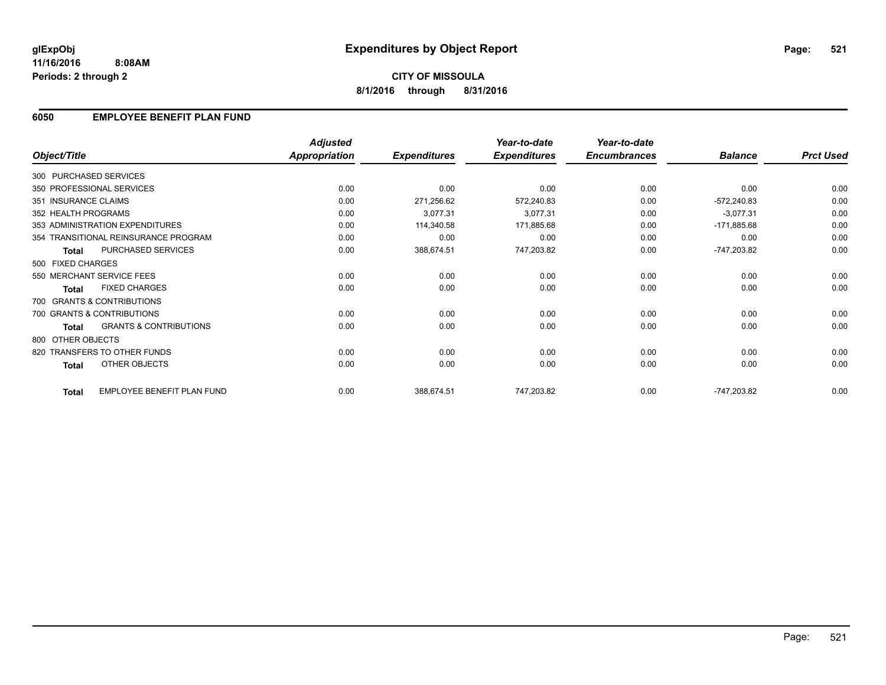### **6050 EMPLOYEE BENEFIT PLAN FUND**

|                        |                                      | <b>Adjusted</b>      |                     | Year-to-date        | Year-to-date<br><b>Encumbrances</b> |                | <b>Prct Used</b> |
|------------------------|--------------------------------------|----------------------|---------------------|---------------------|-------------------------------------|----------------|------------------|
| Object/Title           |                                      | <b>Appropriation</b> | <b>Expenditures</b> | <b>Expenditures</b> |                                     | <b>Balance</b> |                  |
| 300 PURCHASED SERVICES |                                      |                      |                     |                     |                                     |                |                  |
|                        | 350 PROFESSIONAL SERVICES            | 0.00                 | 0.00                | 0.00                | 0.00                                | 0.00           | 0.00             |
| 351 INSURANCE CLAIMS   |                                      | 0.00                 | 271,256.62          | 572,240.83          | 0.00                                | $-572,240.83$  | 0.00             |
| 352 HEALTH PROGRAMS    |                                      | 0.00                 | 3,077.31            | 3,077.31            | 0.00                                | $-3,077.31$    | 0.00             |
|                        | 353 ADMINISTRATION EXPENDITURES      | 0.00                 | 114,340.58          | 171,885.68          | 0.00                                | $-171,885.68$  | 0.00             |
|                        | 354 TRANSITIONAL REINSURANCE PROGRAM | 0.00                 | 0.00                | 0.00                | 0.00                                | 0.00           | 0.00             |
| <b>Total</b>           | PURCHASED SERVICES                   | 0.00                 | 388,674.51          | 747,203.82          | 0.00                                | -747,203.82    | 0.00             |
| 500 FIXED CHARGES      |                                      |                      |                     |                     |                                     |                |                  |
|                        | 550 MERCHANT SERVICE FEES            | 0.00                 | 0.00                | 0.00                | 0.00                                | 0.00           | 0.00             |
| <b>Total</b>           | <b>FIXED CHARGES</b>                 | 0.00                 | 0.00                | 0.00                | 0.00                                | 0.00           | 0.00             |
|                        | 700 GRANTS & CONTRIBUTIONS           |                      |                     |                     |                                     |                |                  |
|                        | 700 GRANTS & CONTRIBUTIONS           | 0.00                 | 0.00                | 0.00                | 0.00                                | 0.00           | 0.00             |
| <b>Total</b>           | <b>GRANTS &amp; CONTRIBUTIONS</b>    | 0.00                 | 0.00                | 0.00                | 0.00                                | 0.00           | 0.00             |
| 800 OTHER OBJECTS      |                                      |                      |                     |                     |                                     |                |                  |
|                        | 820 TRANSFERS TO OTHER FUNDS         | 0.00                 | 0.00                | 0.00                | 0.00                                | 0.00           | 0.00             |
| Total                  | <b>OTHER OBJECTS</b>                 | 0.00                 | 0.00                | 0.00                | 0.00                                | 0.00           | 0.00             |
| <b>Total</b>           | EMPLOYEE BENEFIT PLAN FUND           | 0.00                 | 388,674.51          | 747,203.82          | 0.00                                | -747,203.82    | 0.00             |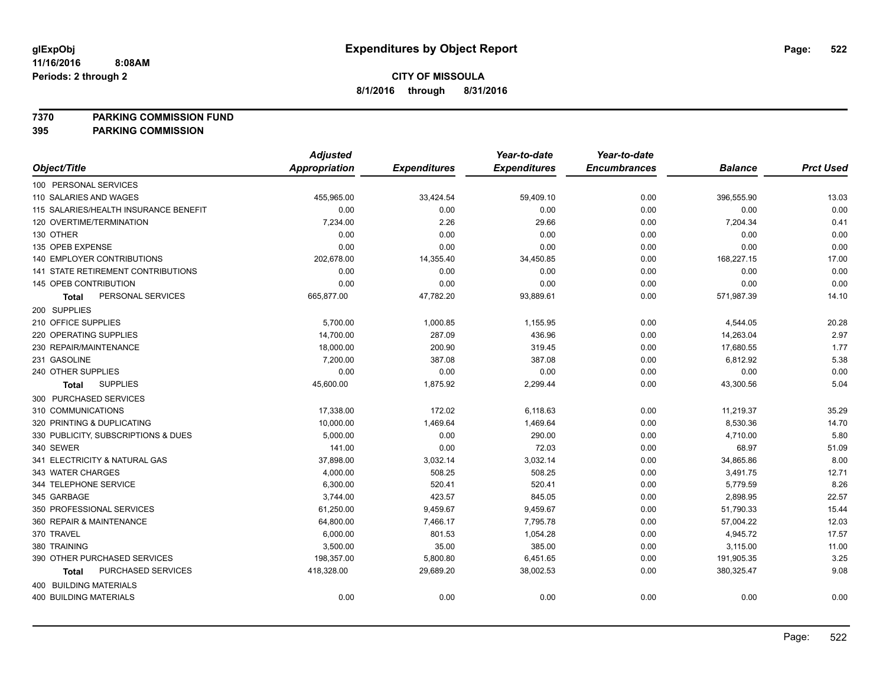**7370 PARKING COMMISSION FUND**

|                                       | <b>Adjusted</b>      |                     | Year-to-date        | Year-to-date        |                |                  |
|---------------------------------------|----------------------|---------------------|---------------------|---------------------|----------------|------------------|
| Object/Title                          | <b>Appropriation</b> | <b>Expenditures</b> | <b>Expenditures</b> | <b>Encumbrances</b> | <b>Balance</b> | <b>Prct Used</b> |
| 100 PERSONAL SERVICES                 |                      |                     |                     |                     |                |                  |
| 110 SALARIES AND WAGES                | 455,965.00           | 33,424.54           | 59,409.10           | 0.00                | 396,555.90     | 13.03            |
| 115 SALARIES/HEALTH INSURANCE BENEFIT | 0.00                 | 0.00                | 0.00                | 0.00                | 0.00           | 0.00             |
| 120 OVERTIME/TERMINATION              | 7,234.00             | 2.26                | 29.66               | 0.00                | 7,204.34       | 0.41             |
| 130 OTHER                             | 0.00                 | 0.00                | 0.00                | 0.00                | 0.00           | 0.00             |
| 135 OPEB EXPENSE                      | 0.00                 | 0.00                | 0.00                | 0.00                | 0.00           | 0.00             |
| 140 EMPLOYER CONTRIBUTIONS            | 202,678.00           | 14,355.40           | 34,450.85           | 0.00                | 168,227.15     | 17.00            |
| 141 STATE RETIREMENT CONTRIBUTIONS    | 0.00                 | 0.00                | 0.00                | 0.00                | 0.00           | 0.00             |
| 145 OPEB CONTRIBUTION                 | 0.00                 | 0.00                | 0.00                | 0.00                | 0.00           | 0.00             |
| PERSONAL SERVICES<br><b>Total</b>     | 665,877.00           | 47,782.20           | 93,889.61           | 0.00                | 571,987.39     | 14.10            |
| 200 SUPPLIES                          |                      |                     |                     |                     |                |                  |
| 210 OFFICE SUPPLIES                   | 5,700.00             | 1,000.85            | 1,155.95            | 0.00                | 4,544.05       | 20.28            |
| 220 OPERATING SUPPLIES                | 14,700.00            | 287.09              | 436.96              | 0.00                | 14,263.04      | 2.97             |
| 230 REPAIR/MAINTENANCE                | 18,000.00            | 200.90              | 319.45              | 0.00                | 17,680.55      | 1.77             |
| 231 GASOLINE                          | 7,200.00             | 387.08              | 387.08              | 0.00                | 6,812.92       | 5.38             |
| 240 OTHER SUPPLIES                    | 0.00                 | 0.00                | 0.00                | 0.00                | 0.00           | 0.00             |
| <b>SUPPLIES</b><br>Total              | 45,600.00            | 1,875.92            | 2,299.44            | 0.00                | 43,300.56      | 5.04             |
| 300 PURCHASED SERVICES                |                      |                     |                     |                     |                |                  |
| 310 COMMUNICATIONS                    | 17,338.00            | 172.02              | 6,118.63            | 0.00                | 11,219.37      | 35.29            |
| 320 PRINTING & DUPLICATING            | 10,000.00            | 1,469.64            | 1,469.64            | 0.00                | 8,530.36       | 14.70            |
| 330 PUBLICITY, SUBSCRIPTIONS & DUES   | 5,000.00             | 0.00                | 290.00              | 0.00                | 4,710.00       | 5.80             |
| 340 SEWER                             | 141.00               | 0.00                | 72.03               | 0.00                | 68.97          | 51.09            |
| 341 ELECTRICITY & NATURAL GAS         | 37,898.00            | 3,032.14            | 3,032.14            | 0.00                | 34,865.86      | 8.00             |
| 343 WATER CHARGES                     | 4,000.00             | 508.25              | 508.25              | 0.00                | 3,491.75       | 12.71            |
| 344 TELEPHONE SERVICE                 | 6,300.00             | 520.41              | 520.41              | 0.00                | 5,779.59       | 8.26             |
| 345 GARBAGE                           | 3,744.00             | 423.57              | 845.05              | 0.00                | 2,898.95       | 22.57            |
| 350 PROFESSIONAL SERVICES             | 61,250.00            | 9,459.67            | 9,459.67            | 0.00                | 51,790.33      | 15.44            |
| 360 REPAIR & MAINTENANCE              | 64,800.00            | 7,466.17            | 7,795.78            | 0.00                | 57,004.22      | 12.03            |
| 370 TRAVEL                            | 6,000.00             | 801.53              | 1,054.28            | 0.00                | 4,945.72       | 17.57            |
| 380 TRAINING                          | 3,500.00             | 35.00               | 385.00              | 0.00                | 3,115.00       | 11.00            |
| 390 OTHER PURCHASED SERVICES          | 198,357.00           | 5,800.80            | 6,451.65            | 0.00                | 191,905.35     | 3.25             |
| PURCHASED SERVICES<br><b>Total</b>    | 418,328.00           | 29,689.20           | 38,002.53           | 0.00                | 380,325.47     | 9.08             |
| 400 BUILDING MATERIALS                |                      |                     |                     |                     |                |                  |
| <b>400 BUILDING MATERIALS</b>         | 0.00                 | 0.00                | 0.00                | 0.00                | 0.00           | 0.00             |
|                                       |                      |                     |                     |                     |                |                  |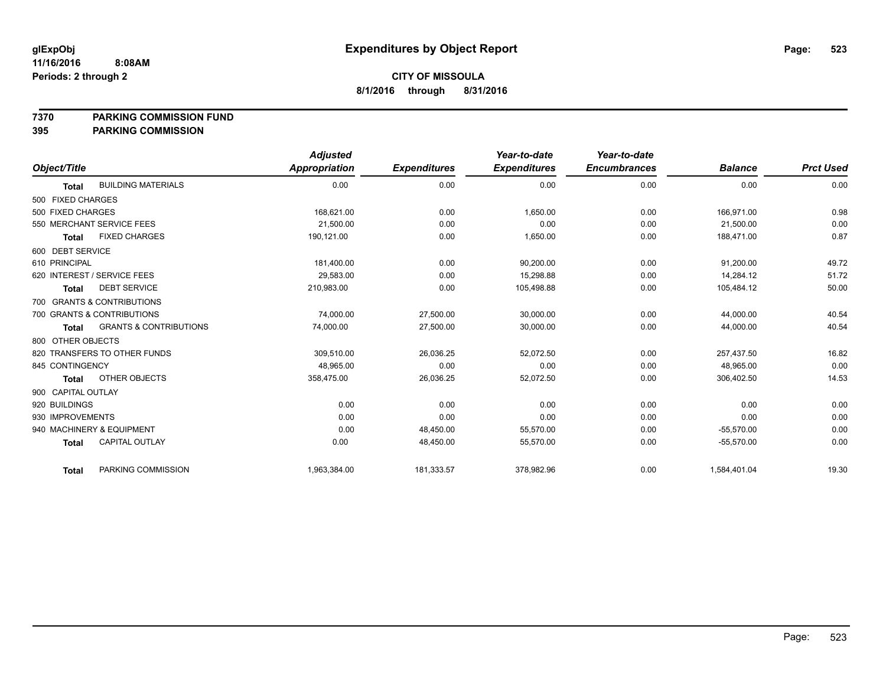### **7370 PARKING COMMISSION FUND**

|                                                   | <b>Adjusted</b> |                     | Year-to-date        | Year-to-date        |                |                  |
|---------------------------------------------------|-----------------|---------------------|---------------------|---------------------|----------------|------------------|
| Object/Title                                      | Appropriation   | <b>Expenditures</b> | <b>Expenditures</b> | <b>Encumbrances</b> | <b>Balance</b> | <b>Prct Used</b> |
| <b>BUILDING MATERIALS</b><br><b>Total</b>         | 0.00            | 0.00                | 0.00                | 0.00                | 0.00           | 0.00             |
| 500 FIXED CHARGES                                 |                 |                     |                     |                     |                |                  |
| 500 FIXED CHARGES                                 | 168.621.00      | 0.00                | 1,650.00            | 0.00                | 166.971.00     | 0.98             |
| 550 MERCHANT SERVICE FEES                         | 21.500.00       | 0.00                | 0.00                | 0.00                | 21.500.00      | 0.00             |
| <b>FIXED CHARGES</b><br><b>Total</b>              | 190,121.00      | 0.00                | 1,650.00            | 0.00                | 188,471.00     | 0.87             |
| 600 DEBT SERVICE                                  |                 |                     |                     |                     |                |                  |
| 610 PRINCIPAL                                     | 181,400.00      | 0.00                | 90.200.00           | 0.00                | 91,200.00      | 49.72            |
| 620 INTEREST / SERVICE FEES                       | 29,583.00       | 0.00                | 15,298.88           | 0.00                | 14,284.12      | 51.72            |
| <b>DEBT SERVICE</b><br><b>Total</b>               | 210,983.00      | 0.00                | 105,498.88          | 0.00                | 105,484.12     | 50.00            |
| 700 GRANTS & CONTRIBUTIONS                        |                 |                     |                     |                     |                |                  |
| 700 GRANTS & CONTRIBUTIONS                        | 74,000.00       | 27,500.00           | 30,000.00           | 0.00                | 44,000.00      | 40.54            |
| <b>GRANTS &amp; CONTRIBUTIONS</b><br><b>Total</b> | 74,000.00       | 27,500.00           | 30,000.00           | 0.00                | 44,000.00      | 40.54            |
| 800 OTHER OBJECTS                                 |                 |                     |                     |                     |                |                  |
| 820 TRANSFERS TO OTHER FUNDS                      | 309.510.00      | 26,036.25           | 52.072.50           | 0.00                | 257,437.50     | 16.82            |
| 845 CONTINGENCY                                   | 48.965.00       | 0.00                | 0.00                | 0.00                | 48.965.00      | 0.00             |
| OTHER OBJECTS<br><b>Total</b>                     | 358,475.00      | 26,036.25           | 52,072.50           | 0.00                | 306,402.50     | 14.53            |
| 900 CAPITAL OUTLAY                                |                 |                     |                     |                     |                |                  |
| 920 BUILDINGS                                     | 0.00            | 0.00                | 0.00                | 0.00                | 0.00           | 0.00             |
| 930 IMPROVEMENTS                                  | 0.00            | 0.00                | 0.00                | 0.00                | 0.00           | 0.00             |
| 940 MACHINERY & EQUIPMENT                         | 0.00            | 48,450.00           | 55,570.00           | 0.00                | $-55,570.00$   | 0.00             |
| <b>CAPITAL OUTLAY</b><br><b>Total</b>             | 0.00            | 48,450.00           | 55,570.00           | 0.00                | $-55,570.00$   | 0.00             |
| PARKING COMMISSION<br><b>Total</b>                | 1,963,384.00    | 181,333.57          | 378,982.96          | 0.00                | 1,584,401.04   | 19.30            |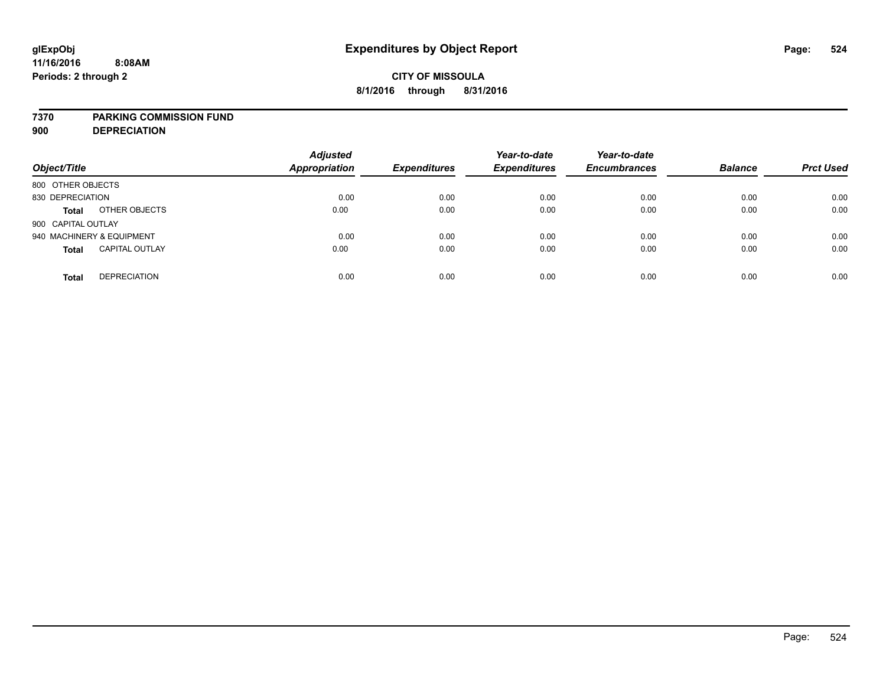### **7370 PARKING COMMISSION FUND**

**900 DEPRECIATION**

| Object/Title                          | <b>Adjusted</b><br><b>Appropriation</b> | <b>Expenditures</b> | Year-to-date<br><b>Expenditures</b> | Year-to-date<br><b>Encumbrances</b> | <b>Balance</b> | <b>Prct Used</b> |
|---------------------------------------|-----------------------------------------|---------------------|-------------------------------------|-------------------------------------|----------------|------------------|
| 800 OTHER OBJECTS                     |                                         |                     |                                     |                                     |                |                  |
| 830 DEPRECIATION                      | 0.00                                    | 0.00                | 0.00                                | 0.00                                | 0.00           | 0.00             |
| OTHER OBJECTS<br><b>Total</b>         | 0.00                                    | 0.00                | 0.00                                | 0.00                                | 0.00           | 0.00             |
| 900 CAPITAL OUTLAY                    |                                         |                     |                                     |                                     |                |                  |
| 940 MACHINERY & EQUIPMENT             | 0.00                                    | 0.00                | 0.00                                | 0.00                                | 0.00           | 0.00             |
| <b>CAPITAL OUTLAY</b><br><b>Total</b> | 0.00                                    | 0.00                | 0.00                                | 0.00                                | 0.00           | 0.00             |
| <b>DEPRECIATION</b><br><b>Total</b>   | 0.00                                    | 0.00                | 0.00                                | 0.00                                | 0.00           | 0.00             |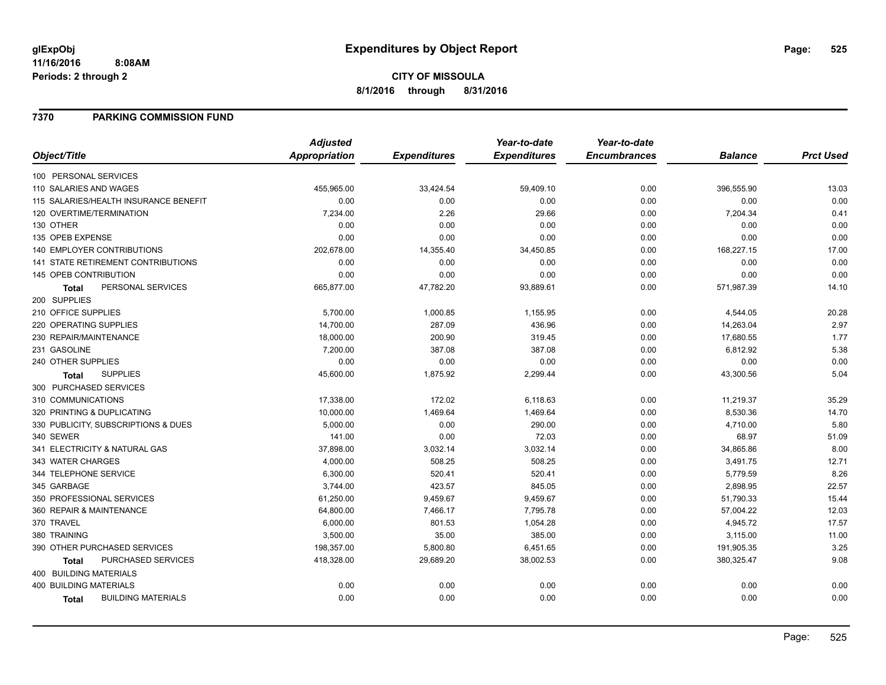# **CITY OF MISSOULA 8/1/2016 through 8/31/2016**

### **7370 PARKING COMMISSION FUND**

|                                           | <b>Adjusted</b>      |                     | Year-to-date        | Year-to-date        |                |                  |
|-------------------------------------------|----------------------|---------------------|---------------------|---------------------|----------------|------------------|
| Object/Title                              | <b>Appropriation</b> | <b>Expenditures</b> | <b>Expenditures</b> | <b>Encumbrances</b> | <b>Balance</b> | <b>Prct Used</b> |
| 100 PERSONAL SERVICES                     |                      |                     |                     |                     |                |                  |
| 110 SALARIES AND WAGES                    | 455,965.00           | 33,424.54           | 59,409.10           | 0.00                | 396,555.90     | 13.03            |
| 115 SALARIES/HEALTH INSURANCE BENEFIT     | 0.00                 | 0.00                | 0.00                | 0.00                | 0.00           | 0.00             |
| 120 OVERTIME/TERMINATION                  | 7,234.00             | 2.26                | 29.66               | 0.00                | 7,204.34       | 0.41             |
| 130 OTHER                                 | 0.00                 | 0.00                | 0.00                | 0.00                | 0.00           | 0.00             |
| 135 OPEB EXPENSE                          | 0.00                 | 0.00                | 0.00                | 0.00                | 0.00           | 0.00             |
| 140 EMPLOYER CONTRIBUTIONS                | 202,678.00           | 14,355.40           | 34,450.85           | 0.00                | 168,227.15     | 17.00            |
| <b>141 STATE RETIREMENT CONTRIBUTIONS</b> | 0.00                 | 0.00                | 0.00                | 0.00                | 0.00           | 0.00             |
| 145 OPEB CONTRIBUTION                     | 0.00                 | 0.00                | 0.00                | 0.00                | 0.00           | 0.00             |
| PERSONAL SERVICES<br><b>Total</b>         | 665,877.00           | 47,782.20           | 93,889.61           | 0.00                | 571,987.39     | 14.10            |
| 200 SUPPLIES                              |                      |                     |                     |                     |                |                  |
| 210 OFFICE SUPPLIES                       | 5,700.00             | 1,000.85            | 1,155.95            | 0.00                | 4,544.05       | 20.28            |
| 220 OPERATING SUPPLIES                    | 14,700.00            | 287.09              | 436.96              | 0.00                | 14,263.04      | 2.97             |
| 230 REPAIR/MAINTENANCE                    | 18,000.00            | 200.90              | 319.45              | 0.00                | 17,680.55      | 1.77             |
| 231 GASOLINE                              | 7,200.00             | 387.08              | 387.08              | 0.00                | 6,812.92       | 5.38             |
| 240 OTHER SUPPLIES                        | 0.00                 | 0.00                | 0.00                | 0.00                | 0.00           | 0.00             |
| <b>SUPPLIES</b><br>Total                  | 45,600.00            | 1,875.92            | 2,299.44            | 0.00                | 43,300.56      | 5.04             |
| 300 PURCHASED SERVICES                    |                      |                     |                     |                     |                |                  |
| 310 COMMUNICATIONS                        | 17,338.00            | 172.02              | 6,118.63            | 0.00                | 11,219.37      | 35.29            |
| 320 PRINTING & DUPLICATING                | 10,000.00            | 1,469.64            | 1,469.64            | 0.00                | 8,530.36       | 14.70            |
| 330 PUBLICITY, SUBSCRIPTIONS & DUES       | 5,000.00             | 0.00                | 290.00              | 0.00                | 4,710.00       | 5.80             |
| 340 SEWER                                 | 141.00               | 0.00                | 72.03               | 0.00                | 68.97          | 51.09            |
| 341 ELECTRICITY & NATURAL GAS             | 37,898.00            | 3,032.14            | 3,032.14            | 0.00                | 34,865.86      | 8.00             |
| 343 WATER CHARGES                         | 4,000.00             | 508.25              | 508.25              | 0.00                | 3,491.75       | 12.71            |
| 344 TELEPHONE SERVICE                     | 6,300.00             | 520.41              | 520.41              | 0.00                | 5,779.59       | 8.26             |
| 345 GARBAGE                               | 3,744.00             | 423.57              | 845.05              | 0.00                | 2,898.95       | 22.57            |
| 350 PROFESSIONAL SERVICES                 | 61,250.00            | 9,459.67            | 9,459.67            | 0.00                | 51,790.33      | 15.44            |
| 360 REPAIR & MAINTENANCE                  | 64,800.00            | 7,466.17            | 7,795.78            | 0.00                | 57,004.22      | 12.03            |
| 370 TRAVEL                                | 6,000.00             | 801.53              | 1,054.28            | 0.00                | 4,945.72       | 17.57            |
| 380 TRAINING                              | 3,500.00             | 35.00               | 385.00              | 0.00                | 3,115.00       | 11.00            |
| 390 OTHER PURCHASED SERVICES              | 198,357.00           | 5,800.80            | 6,451.65            | 0.00                | 191,905.35     | 3.25             |
| PURCHASED SERVICES<br>Total               | 418,328.00           | 29,689.20           | 38,002.53           | 0.00                | 380,325.47     | 9.08             |
| 400 BUILDING MATERIALS                    |                      |                     |                     |                     |                |                  |
| <b>400 BUILDING MATERIALS</b>             | 0.00                 | 0.00                | 0.00                | 0.00                | 0.00           | 0.00             |
| <b>BUILDING MATERIALS</b><br><b>Total</b> | 0.00                 | 0.00                | 0.00                | 0.00                | 0.00           | 0.00             |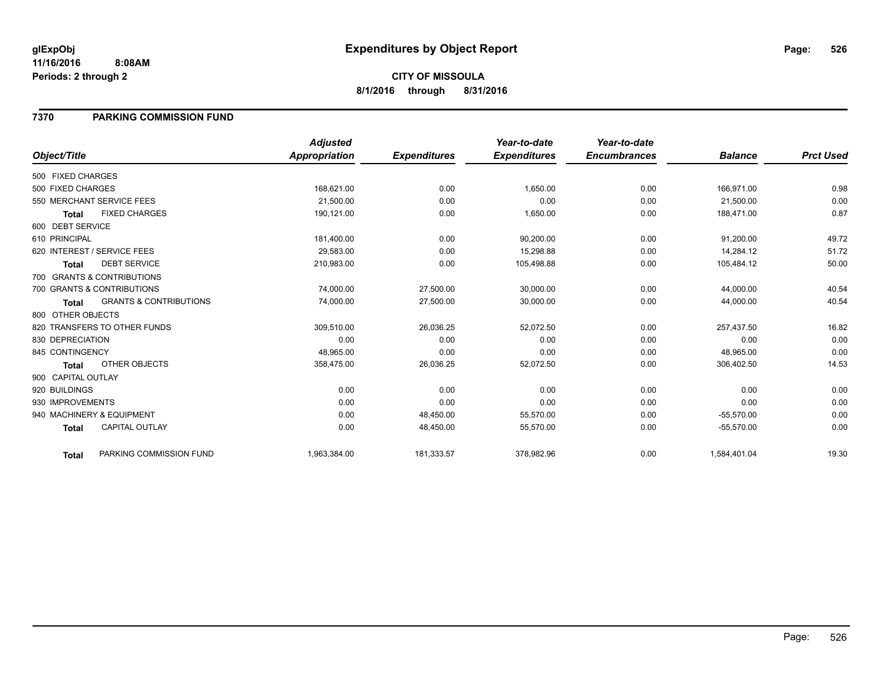### **7370 PARKING COMMISSION FUND**

|                    |                                   | <b>Adjusted</b>      |                     | Year-to-date        | Year-to-date        |                |                  |
|--------------------|-----------------------------------|----------------------|---------------------|---------------------|---------------------|----------------|------------------|
| Object/Title       |                                   | <b>Appropriation</b> | <b>Expenditures</b> | <b>Expenditures</b> | <b>Encumbrances</b> | <b>Balance</b> | <b>Prct Used</b> |
| 500 FIXED CHARGES  |                                   |                      |                     |                     |                     |                |                  |
| 500 FIXED CHARGES  |                                   | 168,621.00           | 0.00                | 1,650.00            | 0.00                | 166,971.00     | 0.98             |
|                    | 550 MERCHANT SERVICE FEES         | 21,500.00            | 0.00                | 0.00                | 0.00                | 21,500.00      | 0.00             |
| <b>Total</b>       | <b>FIXED CHARGES</b>              | 190,121.00           | 0.00                | 1,650.00            | 0.00                | 188,471.00     | 0.87             |
| 600 DEBT SERVICE   |                                   |                      |                     |                     |                     |                |                  |
| 610 PRINCIPAL      |                                   | 181,400.00           | 0.00                | 90,200.00           | 0.00                | 91,200.00      | 49.72            |
|                    | 620 INTEREST / SERVICE FEES       | 29.583.00            | 0.00                | 15,298.88           | 0.00                | 14.284.12      | 51.72            |
| <b>Total</b>       | <b>DEBT SERVICE</b>               | 210,983.00           | 0.00                | 105,498.88          | 0.00                | 105,484.12     | 50.00            |
|                    | 700 GRANTS & CONTRIBUTIONS        |                      |                     |                     |                     |                |                  |
|                    | 700 GRANTS & CONTRIBUTIONS        | 74,000.00            | 27,500.00           | 30,000.00           | 0.00                | 44,000.00      | 40.54            |
| <b>Total</b>       | <b>GRANTS &amp; CONTRIBUTIONS</b> | 74,000.00            | 27,500.00           | 30,000.00           | 0.00                | 44,000.00      | 40.54            |
| 800 OTHER OBJECTS  |                                   |                      |                     |                     |                     |                |                  |
|                    | 820 TRANSFERS TO OTHER FUNDS      | 309,510.00           | 26,036.25           | 52,072.50           | 0.00                | 257,437.50     | 16.82            |
| 830 DEPRECIATION   |                                   | 0.00                 | 0.00                | 0.00                | 0.00                | 0.00           | 0.00             |
| 845 CONTINGENCY    |                                   | 48,965.00            | 0.00                | 0.00                | 0.00                | 48,965.00      | 0.00             |
| <b>Total</b>       | <b>OTHER OBJECTS</b>              | 358,475.00           | 26,036.25           | 52,072.50           | 0.00                | 306,402.50     | 14.53            |
| 900 CAPITAL OUTLAY |                                   |                      |                     |                     |                     |                |                  |
| 920 BUILDINGS      |                                   | 0.00                 | 0.00                | 0.00                | 0.00                | 0.00           | 0.00             |
| 930 IMPROVEMENTS   |                                   | 0.00                 | 0.00                | 0.00                | 0.00                | 0.00           | 0.00             |
|                    | 940 MACHINERY & EQUIPMENT         | 0.00                 | 48,450.00           | 55,570.00           | 0.00                | $-55,570.00$   | 0.00             |
| <b>Total</b>       | <b>CAPITAL OUTLAY</b>             | 0.00                 | 48,450.00           | 55,570.00           | 0.00                | $-55,570.00$   | 0.00             |
| <b>Total</b>       | PARKING COMMISSION FUND           | 1,963,384.00         | 181,333.57          | 378,982.96          | 0.00                | 1,584,401.04   | 19.30            |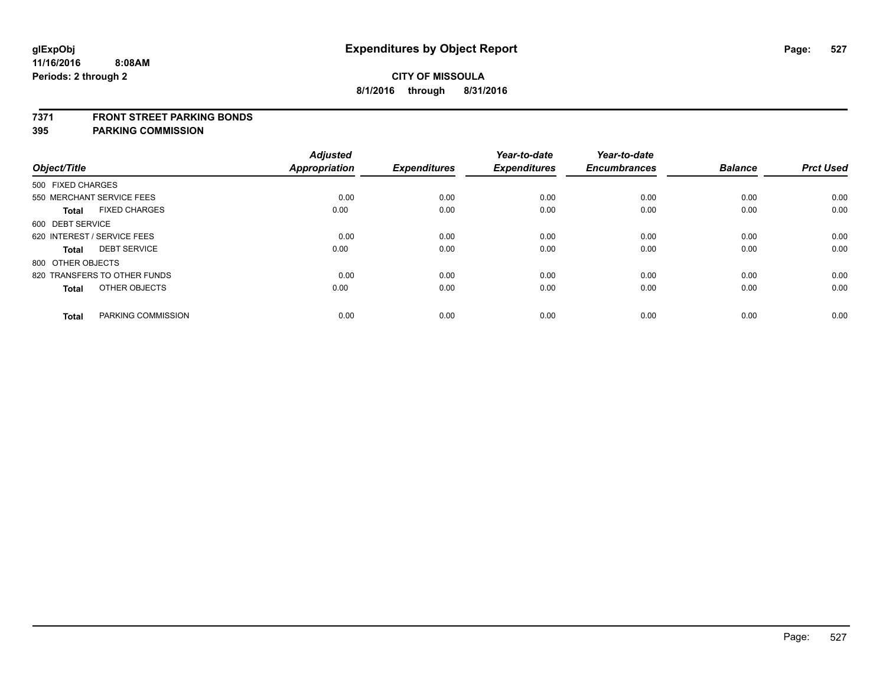### **7371 FRONT STREET PARKING BONDS**

| Object/Title                         | <b>Adjusted</b><br><b>Appropriation</b> | <b>Expenditures</b> | Year-to-date<br><b>Expenditures</b> | Year-to-date<br><b>Encumbrances</b> | <b>Balance</b> | <b>Prct Used</b> |
|--------------------------------------|-----------------------------------------|---------------------|-------------------------------------|-------------------------------------|----------------|------------------|
|                                      |                                         |                     |                                     |                                     |                |                  |
| 500 FIXED CHARGES                    |                                         |                     |                                     |                                     |                |                  |
| 550 MERCHANT SERVICE FEES            | 0.00                                    | 0.00                | 0.00                                | 0.00                                | 0.00           | 0.00             |
| <b>FIXED CHARGES</b><br><b>Total</b> | 0.00                                    | 0.00                | 0.00                                | 0.00                                | 0.00           | 0.00             |
| 600 DEBT SERVICE                     |                                         |                     |                                     |                                     |                |                  |
| 620 INTEREST / SERVICE FEES          | 0.00                                    | 0.00                | 0.00                                | 0.00                                | 0.00           | 0.00             |
| <b>DEBT SERVICE</b><br><b>Total</b>  | 0.00                                    | 0.00                | 0.00                                | 0.00                                | 0.00           | 0.00             |
| 800 OTHER OBJECTS                    |                                         |                     |                                     |                                     |                |                  |
| 820 TRANSFERS TO OTHER FUNDS         | 0.00                                    | 0.00                | 0.00                                | 0.00                                | 0.00           | 0.00             |
| OTHER OBJECTS<br><b>Total</b>        | 0.00                                    | 0.00                | 0.00                                | 0.00                                | 0.00           | 0.00             |
|                                      |                                         |                     |                                     |                                     |                |                  |
| PARKING COMMISSION<br><b>Total</b>   | 0.00                                    | 0.00                | 0.00                                | 0.00                                | 0.00           | 0.00             |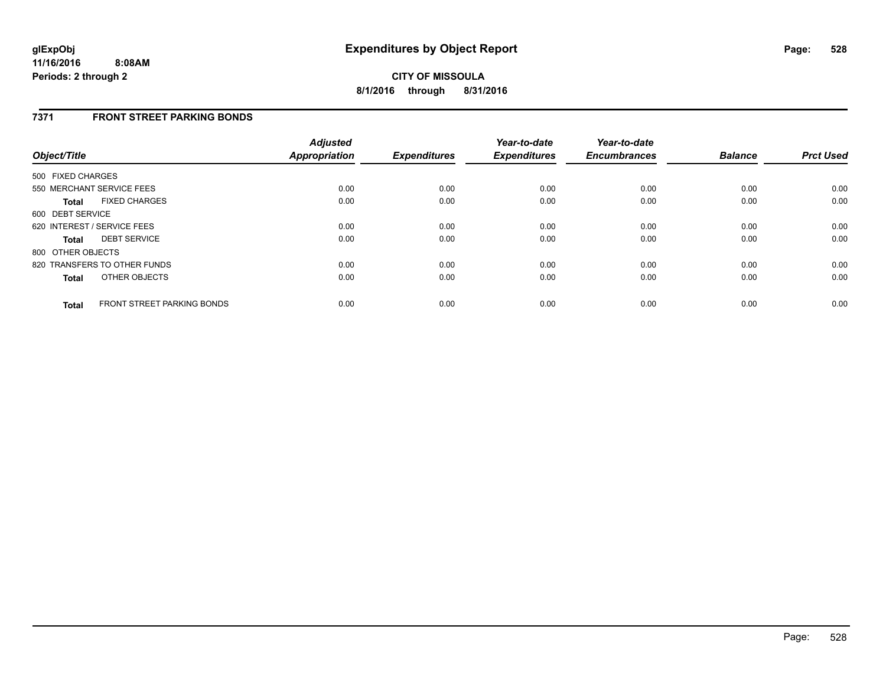## **7371 FRONT STREET PARKING BONDS**

| Object/Title      |                                   | <b>Adjusted</b><br><b>Appropriation</b> | <b>Expenditures</b> | Year-to-date<br><b>Expenditures</b> | Year-to-date<br><b>Encumbrances</b> | <b>Balance</b> | <b>Prct Used</b> |
|-------------------|-----------------------------------|-----------------------------------------|---------------------|-------------------------------------|-------------------------------------|----------------|------------------|
| 500 FIXED CHARGES |                                   |                                         |                     |                                     |                                     |                |                  |
|                   | 550 MERCHANT SERVICE FEES         | 0.00                                    | 0.00                | 0.00                                | 0.00                                | 0.00           | 0.00             |
| <b>Total</b>      | <b>FIXED CHARGES</b>              | 0.00                                    | 0.00                | 0.00                                | 0.00                                | 0.00           | 0.00             |
| 600 DEBT SERVICE  |                                   |                                         |                     |                                     |                                     |                |                  |
|                   | 620 INTEREST / SERVICE FEES       | 0.00                                    | 0.00                | 0.00                                | 0.00                                | 0.00           | 0.00             |
| <b>Total</b>      | <b>DEBT SERVICE</b>               | 0.00                                    | 0.00                | 0.00                                | 0.00                                | 0.00           | 0.00             |
| 800 OTHER OBJECTS |                                   |                                         |                     |                                     |                                     |                |                  |
|                   | 820 TRANSFERS TO OTHER FUNDS      | 0.00                                    | 0.00                | 0.00                                | 0.00                                | 0.00           | 0.00             |
| <b>Total</b>      | OTHER OBJECTS                     | 0.00                                    | 0.00                | 0.00                                | 0.00                                | 0.00           | 0.00             |
| <b>Total</b>      | <b>FRONT STREET PARKING BONDS</b> | 0.00                                    | 0.00                | 0.00                                | 0.00                                | 0.00           | 0.00             |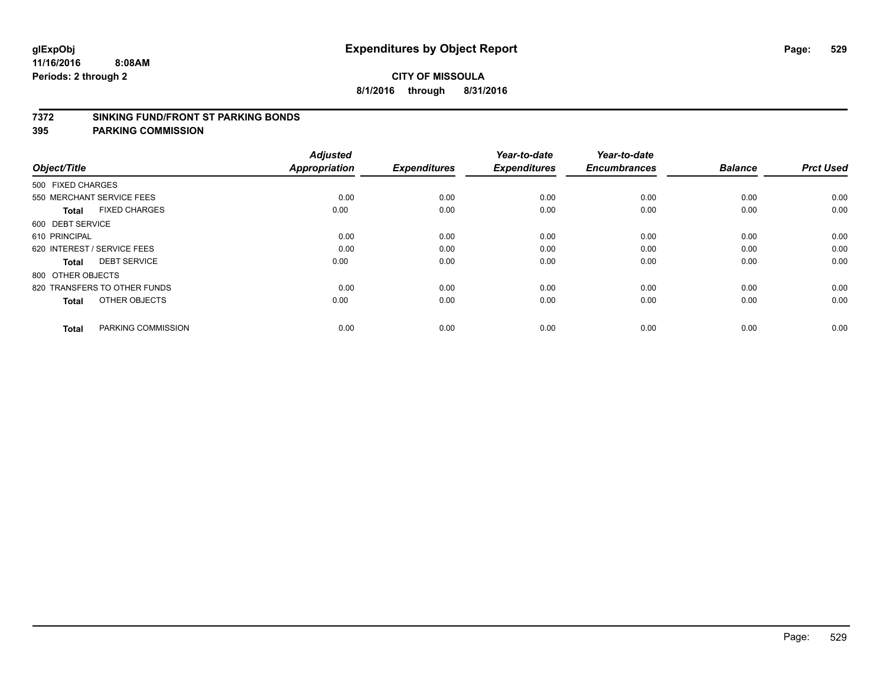### **7372 SINKING FUND/FRONT ST PARKING BONDS**

| Object/Title                 |                      | <b>Adjusted</b><br>Appropriation | <b>Expenditures</b> | Year-to-date<br><b>Expenditures</b> | Year-to-date<br><b>Encumbrances</b> | <b>Balance</b> | <b>Prct Used</b> |
|------------------------------|----------------------|----------------------------------|---------------------|-------------------------------------|-------------------------------------|----------------|------------------|
| 500 FIXED CHARGES            |                      |                                  |                     |                                     |                                     |                |                  |
| 550 MERCHANT SERVICE FEES    |                      | 0.00                             | 0.00                | 0.00                                | 0.00                                | 0.00           | 0.00             |
| <b>Total</b>                 | <b>FIXED CHARGES</b> | 0.00                             | 0.00                | 0.00                                | 0.00                                | 0.00           | 0.00             |
| 600 DEBT SERVICE             |                      |                                  |                     |                                     |                                     |                |                  |
| 610 PRINCIPAL                |                      | 0.00                             | 0.00                | 0.00                                | 0.00                                | 0.00           | 0.00             |
| 620 INTEREST / SERVICE FEES  |                      | 0.00                             | 0.00                | 0.00                                | 0.00                                | 0.00           | 0.00             |
| <b>Total</b>                 | <b>DEBT SERVICE</b>  | 0.00                             | 0.00                | 0.00                                | 0.00                                | 0.00           | 0.00             |
| 800 OTHER OBJECTS            |                      |                                  |                     |                                     |                                     |                |                  |
| 820 TRANSFERS TO OTHER FUNDS |                      | 0.00                             | 0.00                | 0.00                                | 0.00                                | 0.00           | 0.00             |
| <b>Total</b>                 | OTHER OBJECTS        | 0.00                             | 0.00                | 0.00                                | 0.00                                | 0.00           | 0.00             |
|                              |                      |                                  |                     |                                     |                                     |                |                  |
| <b>Total</b>                 | PARKING COMMISSION   | 0.00                             | 0.00                | 0.00                                | 0.00                                | 0.00           | 0.00             |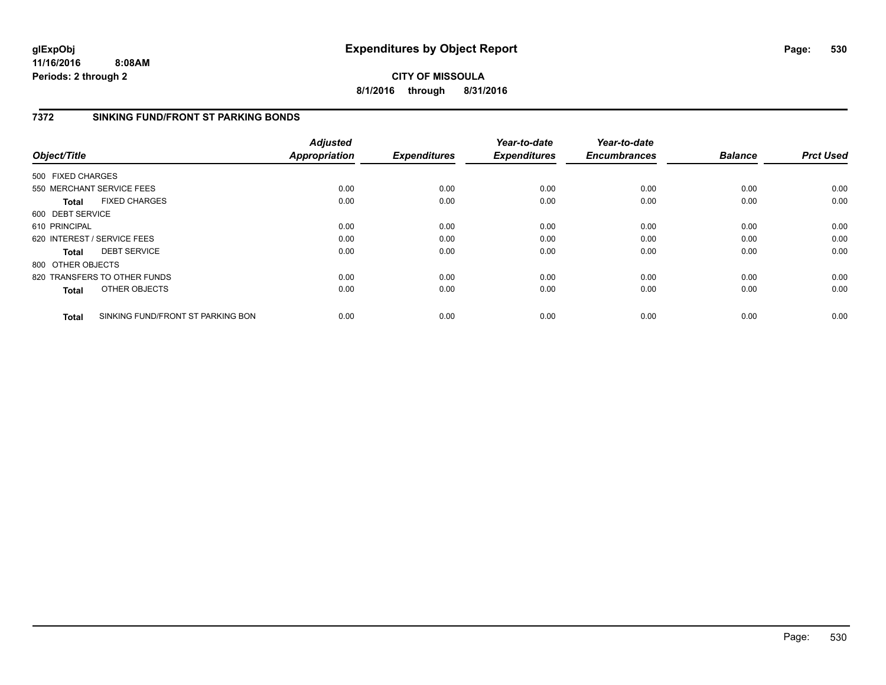## **CITY OF MISSOULA 8/1/2016 through 8/31/2016**

# **7372 SINKING FUND/FRONT ST PARKING BONDS**

| Object/Title      |                                   | <b>Adjusted</b><br><b>Appropriation</b> | <b>Expenditures</b> | Year-to-date<br><b>Expenditures</b> | Year-to-date<br><b>Encumbrances</b> | <b>Balance</b> | <b>Prct Used</b> |
|-------------------|-----------------------------------|-----------------------------------------|---------------------|-------------------------------------|-------------------------------------|----------------|------------------|
| 500 FIXED CHARGES |                                   |                                         |                     |                                     |                                     |                |                  |
|                   | 550 MERCHANT SERVICE FEES         | 0.00                                    | 0.00                | 0.00                                | 0.00                                | 0.00           | 0.00             |
| <b>Total</b>      | <b>FIXED CHARGES</b>              | 0.00                                    | 0.00                | 0.00                                | 0.00                                | 0.00           | 0.00             |
| 600 DEBT SERVICE  |                                   |                                         |                     |                                     |                                     |                |                  |
| 610 PRINCIPAL     |                                   | 0.00                                    | 0.00                | 0.00                                | 0.00                                | 0.00           | 0.00             |
|                   | 620 INTEREST / SERVICE FEES       | 0.00                                    | 0.00                | 0.00                                | 0.00                                | 0.00           | 0.00             |
| <b>Total</b>      | <b>DEBT SERVICE</b>               | 0.00                                    | 0.00                | 0.00                                | 0.00                                | 0.00           | 0.00             |
| 800 OTHER OBJECTS |                                   |                                         |                     |                                     |                                     |                |                  |
|                   | 820 TRANSFERS TO OTHER FUNDS      | 0.00                                    | 0.00                | 0.00                                | 0.00                                | 0.00           | 0.00             |
| <b>Total</b>      | OTHER OBJECTS                     | 0.00                                    | 0.00                | 0.00                                | 0.00                                | 0.00           | 0.00             |
| <b>Total</b>      | SINKING FUND/FRONT ST PARKING BON | 0.00                                    | 0.00                | 0.00                                | 0.00                                | 0.00           | 0.00             |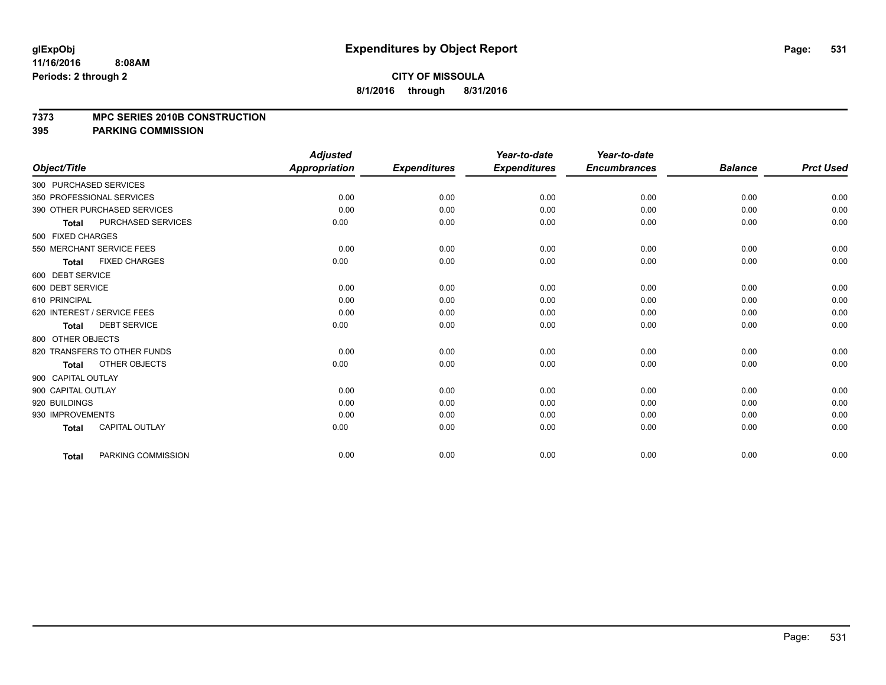### **7373 MPC SERIES 2010B CONSTRUCTION**

|                                           | <b>Adjusted</b>      |                     | Year-to-date        | Year-to-date        |                |                  |
|-------------------------------------------|----------------------|---------------------|---------------------|---------------------|----------------|------------------|
| Object/Title                              | <b>Appropriation</b> | <b>Expenditures</b> | <b>Expenditures</b> | <b>Encumbrances</b> | <b>Balance</b> | <b>Prct Used</b> |
| 300 PURCHASED SERVICES                    |                      |                     |                     |                     |                |                  |
| 350 PROFESSIONAL SERVICES                 | 0.00                 | 0.00                | 0.00                | 0.00                | 0.00           | 0.00             |
| 390 OTHER PURCHASED SERVICES              | 0.00                 | 0.00                | 0.00                | 0.00                | 0.00           | 0.00             |
| <b>PURCHASED SERVICES</b><br><b>Total</b> | 0.00                 | 0.00                | 0.00                | 0.00                | 0.00           | 0.00             |
| 500 FIXED CHARGES                         |                      |                     |                     |                     |                |                  |
| 550 MERCHANT SERVICE FEES                 | 0.00                 | 0.00                | 0.00                | 0.00                | 0.00           | 0.00             |
| <b>FIXED CHARGES</b><br><b>Total</b>      | 0.00                 | 0.00                | 0.00                | 0.00                | 0.00           | 0.00             |
| 600 DEBT SERVICE                          |                      |                     |                     |                     |                |                  |
| 600 DEBT SERVICE                          | 0.00                 | 0.00                | 0.00                | 0.00                | 0.00           | 0.00             |
| 610 PRINCIPAL                             | 0.00                 | 0.00                | 0.00                | 0.00                | 0.00           | 0.00             |
| 620 INTEREST / SERVICE FEES               | 0.00                 | 0.00                | 0.00                | 0.00                | 0.00           | 0.00             |
| <b>DEBT SERVICE</b><br><b>Total</b>       | 0.00                 | 0.00                | 0.00                | 0.00                | 0.00           | 0.00             |
| 800 OTHER OBJECTS                         |                      |                     |                     |                     |                |                  |
| 820 TRANSFERS TO OTHER FUNDS              | 0.00                 | 0.00                | 0.00                | 0.00                | 0.00           | 0.00             |
| OTHER OBJECTS<br><b>Total</b>             | 0.00                 | 0.00                | 0.00                | 0.00                | 0.00           | 0.00             |
| 900 CAPITAL OUTLAY                        |                      |                     |                     |                     |                |                  |
| 900 CAPITAL OUTLAY                        | 0.00                 | 0.00                | 0.00                | 0.00                | 0.00           | 0.00             |
| 920 BUILDINGS                             | 0.00                 | 0.00                | 0.00                | 0.00                | 0.00           | 0.00             |
| 930 IMPROVEMENTS                          | 0.00                 | 0.00                | 0.00                | 0.00                | 0.00           | 0.00             |
| <b>CAPITAL OUTLAY</b><br><b>Total</b>     | 0.00                 | 0.00                | 0.00                | 0.00                | 0.00           | 0.00             |
| PARKING COMMISSION<br><b>Total</b>        | 0.00                 | 0.00                | 0.00                | 0.00                | 0.00           | 0.00             |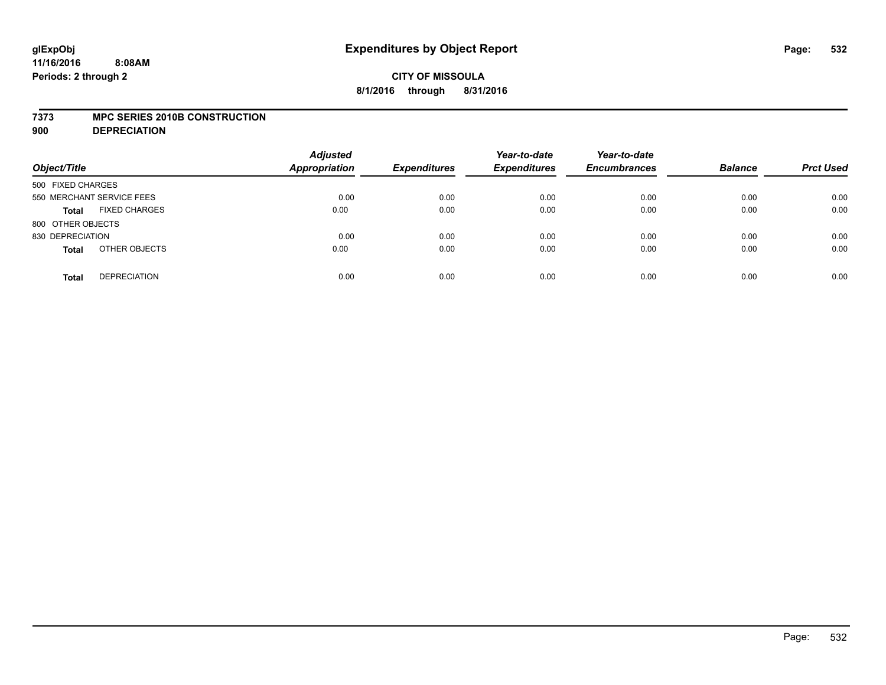### **7373 MPC SERIES 2010B CONSTRUCTION**

**900 DEPRECIATION**

| Object/Title                         | <b>Adjusted</b><br>Appropriation | <b>Expenditures</b> | Year-to-date<br><b>Expenditures</b> | Year-to-date<br><b>Encumbrances</b> | <b>Balance</b> | <b>Prct Used</b> |
|--------------------------------------|----------------------------------|---------------------|-------------------------------------|-------------------------------------|----------------|------------------|
| 500 FIXED CHARGES                    |                                  |                     |                                     |                                     |                |                  |
| 550 MERCHANT SERVICE FEES            | 0.00                             | 0.00                | 0.00                                | 0.00                                | 0.00           | 0.00             |
| <b>FIXED CHARGES</b><br><b>Total</b> | 0.00                             | 0.00                | 0.00                                | 0.00                                | 0.00           | 0.00             |
| 800 OTHER OBJECTS                    |                                  |                     |                                     |                                     |                |                  |
| 830 DEPRECIATION                     | 0.00                             | 0.00                | 0.00                                | 0.00                                | 0.00           | 0.00             |
| OTHER OBJECTS<br><b>Total</b>        | 0.00                             | 0.00                | 0.00                                | 0.00                                | 0.00           | 0.00             |
| <b>DEPRECIATION</b><br><b>Total</b>  | 0.00                             | 0.00                | 0.00                                | 0.00                                | 0.00           | 0.00             |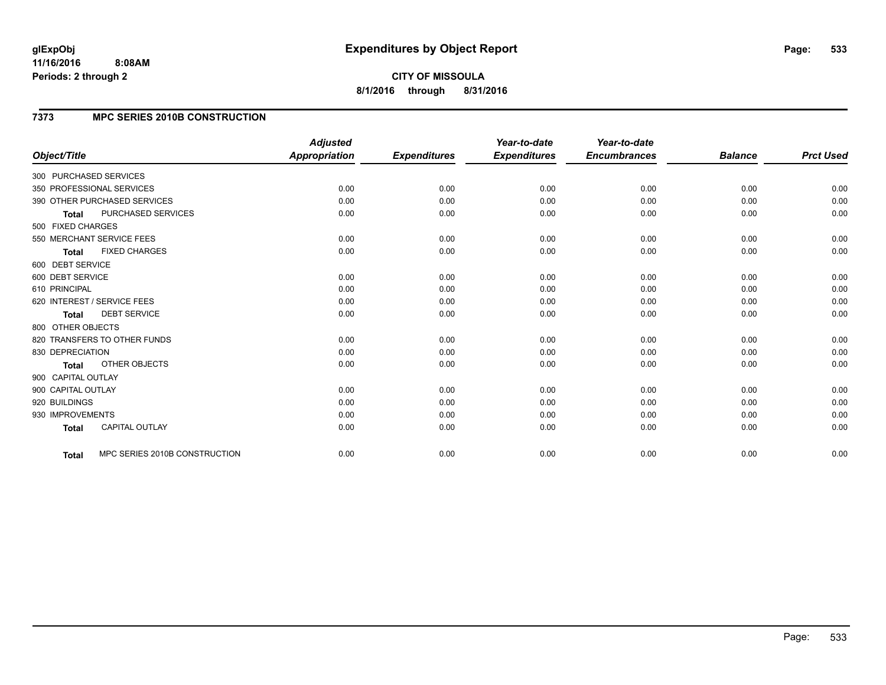## **7373 MPC SERIES 2010B CONSTRUCTION**

| Object/Title                              | <b>Adjusted</b><br><b>Appropriation</b> | <b>Expenditures</b> | Year-to-date<br><b>Expenditures</b> | Year-to-date<br><b>Encumbrances</b> | <b>Balance</b> | <b>Prct Used</b> |
|-------------------------------------------|-----------------------------------------|---------------------|-------------------------------------|-------------------------------------|----------------|------------------|
| 300 PURCHASED SERVICES                    |                                         |                     |                                     |                                     |                |                  |
| 350 PROFESSIONAL SERVICES                 | 0.00                                    | 0.00                | 0.00                                | 0.00                                | 0.00           | 0.00             |
| 390 OTHER PURCHASED SERVICES              | 0.00                                    | 0.00                | 0.00                                | 0.00                                | 0.00           | 0.00             |
| <b>PURCHASED SERVICES</b><br><b>Total</b> | 0.00                                    | 0.00                | 0.00                                | 0.00                                | 0.00           | 0.00             |
| 500 FIXED CHARGES                         |                                         |                     |                                     |                                     |                |                  |
| 550 MERCHANT SERVICE FEES                 | 0.00                                    | 0.00                | 0.00                                | 0.00                                | 0.00           | 0.00             |
| <b>FIXED CHARGES</b><br><b>Total</b>      | 0.00                                    | 0.00                | 0.00                                | 0.00                                | 0.00           | 0.00             |
| 600 DEBT SERVICE                          |                                         |                     |                                     |                                     |                |                  |
| 600 DEBT SERVICE                          | 0.00                                    | 0.00                | 0.00                                | 0.00                                | 0.00           | 0.00             |
| 610 PRINCIPAL                             | 0.00                                    | 0.00                | 0.00                                | 0.00                                | 0.00           | 0.00             |
| 620 INTEREST / SERVICE FEES               | 0.00                                    | 0.00                | 0.00                                | 0.00                                | 0.00           | 0.00             |
| <b>DEBT SERVICE</b><br><b>Total</b>       | 0.00                                    | 0.00                | 0.00                                | 0.00                                | 0.00           | 0.00             |
| 800 OTHER OBJECTS                         |                                         |                     |                                     |                                     |                |                  |
| 820 TRANSFERS TO OTHER FUNDS              | 0.00                                    | 0.00                | 0.00                                | 0.00                                | 0.00           | 0.00             |
| 830 DEPRECIATION                          | 0.00                                    | 0.00                | 0.00                                | 0.00                                | 0.00           | 0.00             |
| OTHER OBJECTS<br><b>Total</b>             | 0.00                                    | 0.00                | 0.00                                | 0.00                                | 0.00           | 0.00             |
| 900 CAPITAL OUTLAY                        |                                         |                     |                                     |                                     |                |                  |
| 900 CAPITAL OUTLAY                        | 0.00                                    | 0.00                | 0.00                                | 0.00                                | 0.00           | 0.00             |
| 920 BUILDINGS                             | 0.00                                    | 0.00                | 0.00                                | 0.00                                | 0.00           | 0.00             |
| 930 IMPROVEMENTS                          | 0.00                                    | 0.00                | 0.00                                | 0.00                                | 0.00           | 0.00             |
| <b>CAPITAL OUTLAY</b><br><b>Total</b>     | 0.00                                    | 0.00                | 0.00                                | 0.00                                | 0.00           | 0.00             |
| MPC SERIES 2010B CONSTRUCTION<br>Total    | 0.00                                    | 0.00                | 0.00                                | 0.00                                | 0.00           | 0.00             |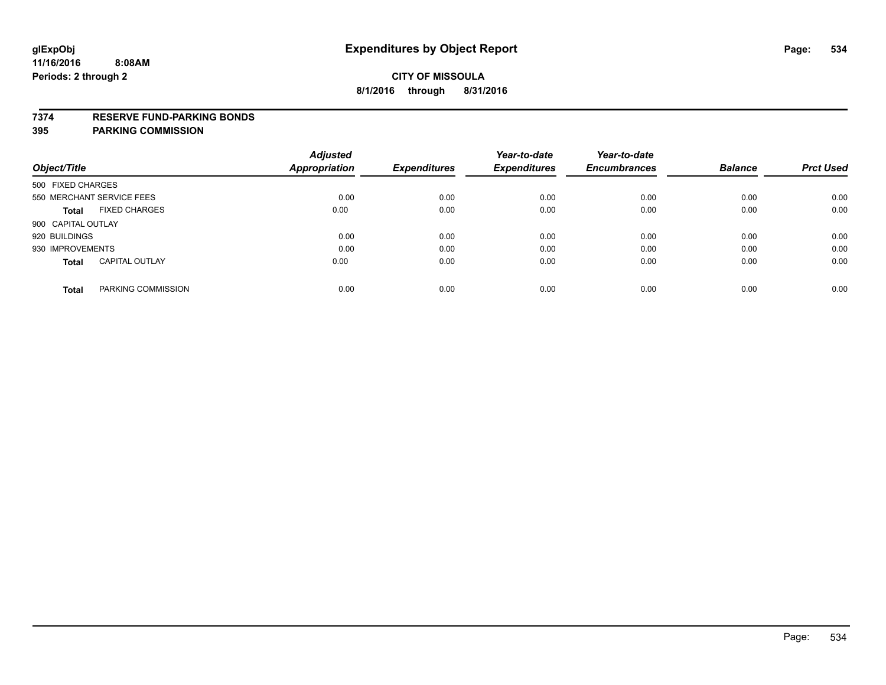### **7374 RESERVE FUND-PARKING BONDS**

|                                       | <b>Adjusted</b> |                     | Year-to-date        | Year-to-date        |                |                  |
|---------------------------------------|-----------------|---------------------|---------------------|---------------------|----------------|------------------|
| Object/Title                          | Appropriation   | <b>Expenditures</b> | <b>Expenditures</b> | <b>Encumbrances</b> | <b>Balance</b> | <b>Prct Used</b> |
| 500 FIXED CHARGES                     |                 |                     |                     |                     |                |                  |
| 550 MERCHANT SERVICE FEES             | 0.00            | 0.00                | 0.00                | 0.00                | 0.00           | 0.00             |
| <b>FIXED CHARGES</b><br><b>Total</b>  | 0.00            | 0.00                | 0.00                | 0.00                | 0.00           | 0.00             |
| 900 CAPITAL OUTLAY                    |                 |                     |                     |                     |                |                  |
| 920 BUILDINGS                         | 0.00            | 0.00                | 0.00                | 0.00                | 0.00           | 0.00             |
| 930 IMPROVEMENTS                      | 0.00            | 0.00                | 0.00                | 0.00                | 0.00           | 0.00             |
| <b>CAPITAL OUTLAY</b><br><b>Total</b> | 0.00            | 0.00                | 0.00                | 0.00                | 0.00           | 0.00             |
| PARKING COMMISSION<br><b>Total</b>    | 0.00            | 0.00                | 0.00                | 0.00                | 0.00           | 0.00             |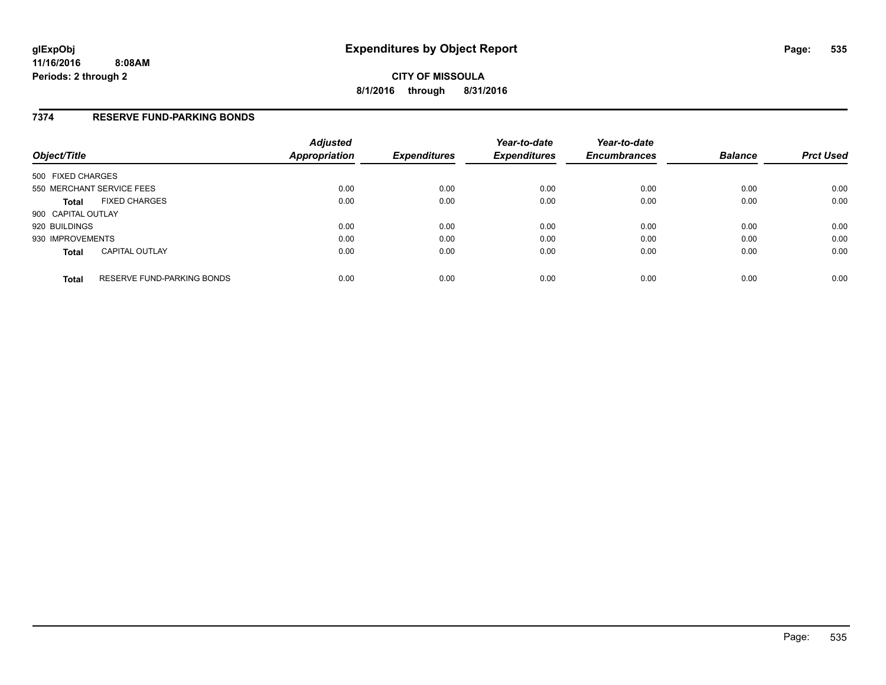## **7374 RESERVE FUND-PARKING BONDS**

| Object/Title              |                            | <b>Adjusted</b><br><b>Appropriation</b> | <b>Expenditures</b> | Year-to-date<br><b>Expenditures</b> | Year-to-date<br><b>Encumbrances</b> | <b>Balance</b> | <b>Prct Used</b> |
|---------------------------|----------------------------|-----------------------------------------|---------------------|-------------------------------------|-------------------------------------|----------------|------------------|
| 500 FIXED CHARGES         |                            |                                         |                     |                                     |                                     |                |                  |
| 550 MERCHANT SERVICE FEES |                            | 0.00                                    | 0.00                | 0.00                                | 0.00                                | 0.00           | 0.00             |
| <b>Total</b>              | <b>FIXED CHARGES</b>       | 0.00                                    | 0.00                | 0.00                                | 0.00                                | 0.00           | 0.00             |
| 900 CAPITAL OUTLAY        |                            |                                         |                     |                                     |                                     |                |                  |
| 920 BUILDINGS             |                            | 0.00                                    | 0.00                | 0.00                                | 0.00                                | 0.00           | 0.00             |
| 930 IMPROVEMENTS          |                            | 0.00                                    | 0.00                | 0.00                                | 0.00                                | 0.00           | 0.00             |
| <b>Total</b>              | <b>CAPITAL OUTLAY</b>      | 0.00                                    | 0.00                | 0.00                                | 0.00                                | 0.00           | 0.00             |
| <b>Total</b>              | RESERVE FUND-PARKING BONDS | 0.00                                    | 0.00                | 0.00                                | 0.00                                | 0.00           | 0.00             |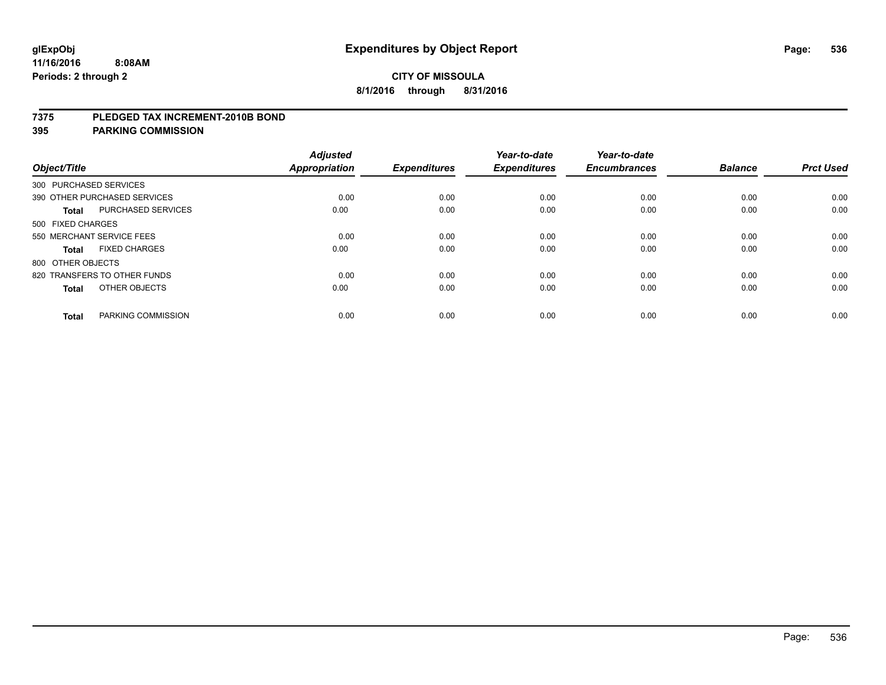### **7375 PLEDGED TAX INCREMENT-2010B BOND**

| Object/Title      |                              | <b>Adjusted</b><br><b>Appropriation</b> | <b>Expenditures</b> | Year-to-date<br><b>Expenditures</b> | Year-to-date<br><b>Encumbrances</b> | <b>Balance</b> | <b>Prct Used</b> |
|-------------------|------------------------------|-----------------------------------------|---------------------|-------------------------------------|-------------------------------------|----------------|------------------|
|                   | 300 PURCHASED SERVICES       |                                         |                     |                                     |                                     |                |                  |
|                   | 390 OTHER PURCHASED SERVICES | 0.00                                    | 0.00                | 0.00                                | 0.00                                | 0.00           | 0.00             |
| <b>Total</b>      | <b>PURCHASED SERVICES</b>    | 0.00                                    | 0.00                | 0.00                                | 0.00                                | 0.00           | 0.00             |
| 500 FIXED CHARGES |                              |                                         |                     |                                     |                                     |                |                  |
|                   | 550 MERCHANT SERVICE FEES    | 0.00                                    | 0.00                | 0.00                                | 0.00                                | 0.00           | 0.00             |
| <b>Total</b>      | <b>FIXED CHARGES</b>         | 0.00                                    | 0.00                | 0.00                                | 0.00                                | 0.00           | 0.00             |
| 800 OTHER OBJECTS |                              |                                         |                     |                                     |                                     |                |                  |
|                   | 820 TRANSFERS TO OTHER FUNDS | 0.00                                    | 0.00                | 0.00                                | 0.00                                | 0.00           | 0.00             |
| <b>Total</b>      | OTHER OBJECTS                | 0.00                                    | 0.00                | 0.00                                | 0.00                                | 0.00           | 0.00             |
| <b>Total</b>      | PARKING COMMISSION           | 0.00                                    | 0.00                | 0.00                                | 0.00                                | 0.00           | 0.00             |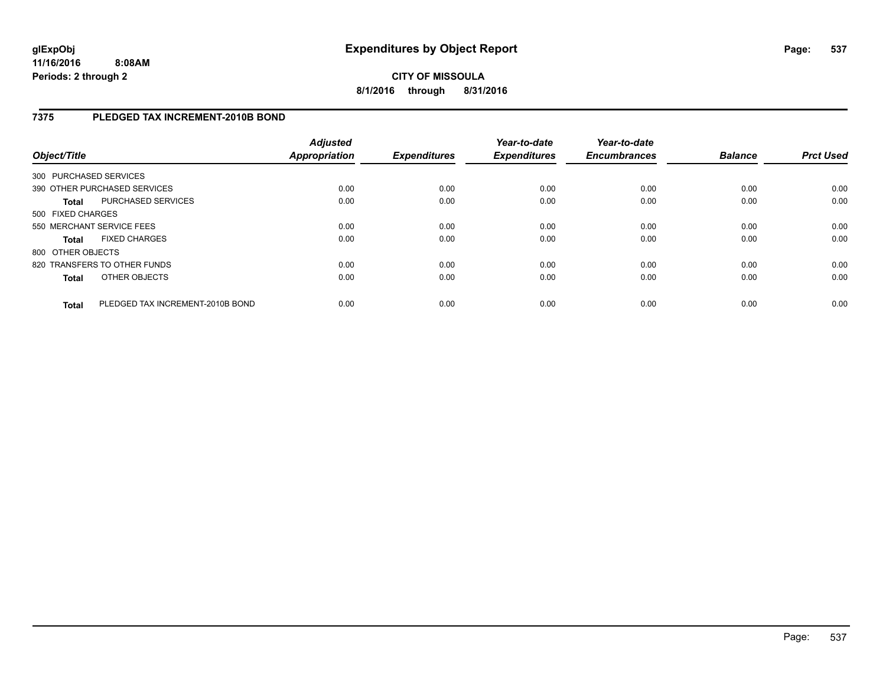**CITY OF MISSOULA 8/1/2016 through 8/31/2016**

## **7375 PLEDGED TAX INCREMENT-2010B BOND**

| Object/Title           |                                  | <b>Adjusted</b><br><b>Appropriation</b> | <b>Expenditures</b> | Year-to-date<br><b>Expenditures</b> | Year-to-date<br><b>Encumbrances</b> | <b>Balance</b> | <b>Prct Used</b> |
|------------------------|----------------------------------|-----------------------------------------|---------------------|-------------------------------------|-------------------------------------|----------------|------------------|
| 300 PURCHASED SERVICES |                                  |                                         |                     |                                     |                                     |                |                  |
|                        | 390 OTHER PURCHASED SERVICES     | 0.00                                    | 0.00                | 0.00                                | 0.00                                | 0.00           | 0.00             |
| <b>Total</b>           | <b>PURCHASED SERVICES</b>        | 0.00                                    | 0.00                | 0.00                                | 0.00                                | 0.00           | 0.00             |
| 500 FIXED CHARGES      |                                  |                                         |                     |                                     |                                     |                |                  |
|                        | 550 MERCHANT SERVICE FEES        | 0.00                                    | 0.00                | 0.00                                | 0.00                                | 0.00           | 0.00             |
| <b>Total</b>           | <b>FIXED CHARGES</b>             | 0.00                                    | 0.00                | 0.00                                | 0.00                                | 0.00           | 0.00             |
| 800 OTHER OBJECTS      |                                  |                                         |                     |                                     |                                     |                |                  |
|                        | 820 TRANSFERS TO OTHER FUNDS     | 0.00                                    | 0.00                | 0.00                                | 0.00                                | 0.00           | 0.00             |
| <b>Total</b>           | OTHER OBJECTS                    | 0.00                                    | 0.00                | 0.00                                | 0.00                                | 0.00           | 0.00             |
| Total                  | PLEDGED TAX INCREMENT-2010B BOND | 0.00                                    | 0.00                | 0.00                                | 0.00                                | 0.00           | 0.00             |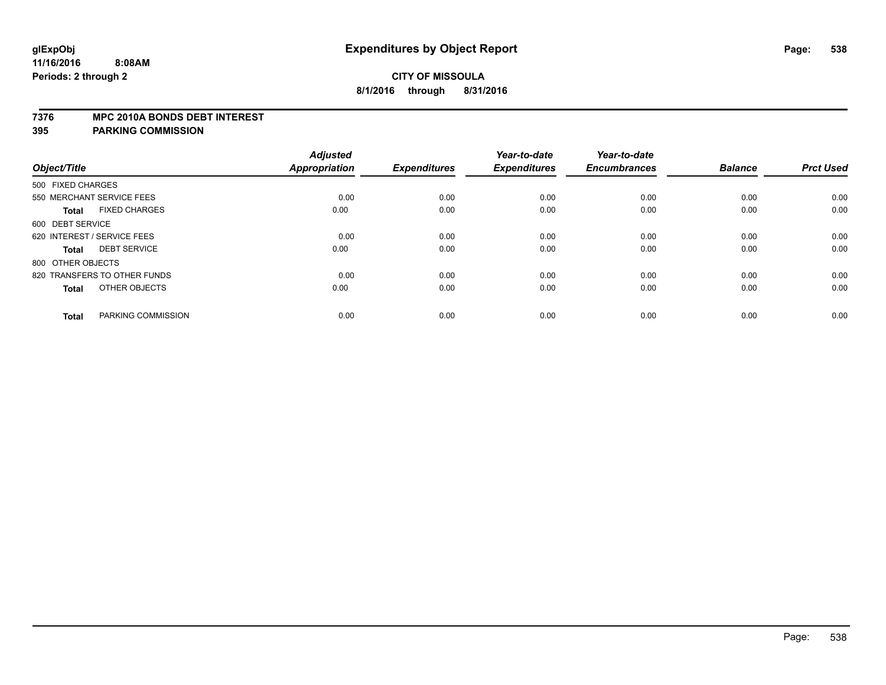### **7376 MPC 2010A BONDS DEBT INTEREST**

| Object/Title                         | <b>Adjusted</b><br>Appropriation | <b>Expenditures</b> | Year-to-date<br><b>Expenditures</b> | Year-to-date<br><b>Encumbrances</b> | <b>Balance</b> | <b>Prct Used</b> |
|--------------------------------------|----------------------------------|---------------------|-------------------------------------|-------------------------------------|----------------|------------------|
|                                      |                                  |                     |                                     |                                     |                |                  |
| 500 FIXED CHARGES                    |                                  |                     |                                     |                                     |                |                  |
| 550 MERCHANT SERVICE FEES            | 0.00                             | 0.00                | 0.00                                | 0.00                                | 0.00           | 0.00             |
| <b>FIXED CHARGES</b><br><b>Total</b> | 0.00                             | 0.00                | 0.00                                | 0.00                                | 0.00           | 0.00             |
| 600 DEBT SERVICE                     |                                  |                     |                                     |                                     |                |                  |
| 620 INTEREST / SERVICE FEES          | 0.00                             | 0.00                | 0.00                                | 0.00                                | 0.00           | 0.00             |
| <b>DEBT SERVICE</b><br><b>Total</b>  | 0.00                             | 0.00                | 0.00                                | 0.00                                | 0.00           | 0.00             |
| 800 OTHER OBJECTS                    |                                  |                     |                                     |                                     |                |                  |
| 820 TRANSFERS TO OTHER FUNDS         | 0.00                             | 0.00                | 0.00                                | 0.00                                | 0.00           | 0.00             |
| OTHER OBJECTS<br><b>Total</b>        | 0.00                             | 0.00                | 0.00                                | 0.00                                | 0.00           | 0.00             |
| PARKING COMMISSION<br><b>Total</b>   | 0.00                             | 0.00                | 0.00                                | 0.00                                | 0.00           | 0.00             |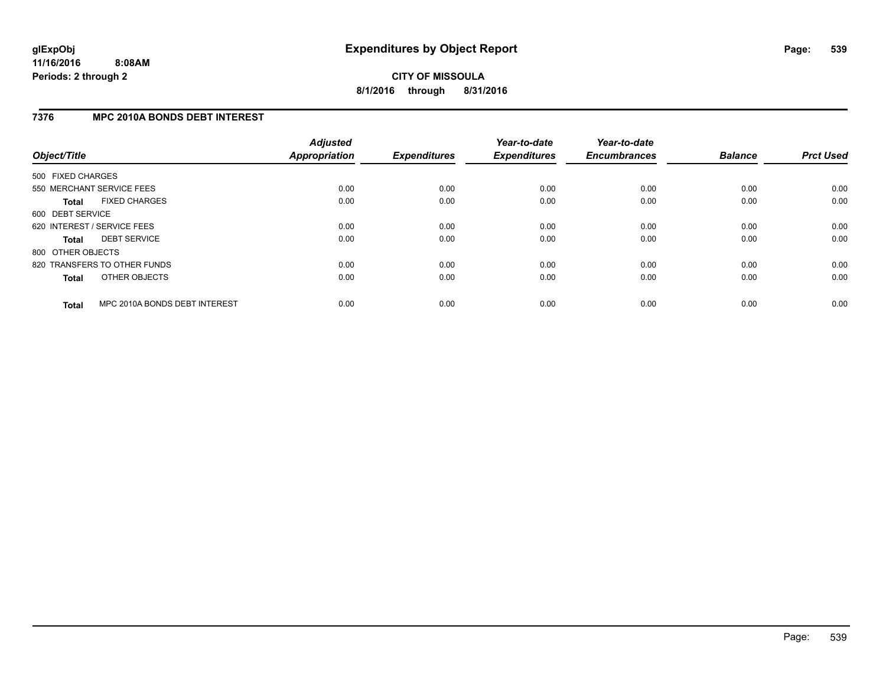## **7376 MPC 2010A BONDS DEBT INTEREST**

| Object/Title      |                               | <b>Adjusted</b><br><b>Appropriation</b> | <b>Expenditures</b> | Year-to-date<br><b>Expenditures</b> | Year-to-date<br><b>Encumbrances</b> | <b>Balance</b> | <b>Prct Used</b> |
|-------------------|-------------------------------|-----------------------------------------|---------------------|-------------------------------------|-------------------------------------|----------------|------------------|
| 500 FIXED CHARGES |                               |                                         |                     |                                     |                                     |                |                  |
|                   | 550 MERCHANT SERVICE FEES     | 0.00                                    | 0.00                | 0.00                                | 0.00                                | 0.00           | 0.00             |
| <b>Total</b>      | <b>FIXED CHARGES</b>          | 0.00                                    | 0.00                | 0.00                                | 0.00                                | 0.00           | 0.00             |
| 600 DEBT SERVICE  |                               |                                         |                     |                                     |                                     |                |                  |
|                   | 620 INTEREST / SERVICE FEES   | 0.00                                    | 0.00                | 0.00                                | 0.00                                | 0.00           | 0.00             |
| <b>Total</b>      | <b>DEBT SERVICE</b>           | 0.00                                    | 0.00                | 0.00                                | 0.00                                | 0.00           | 0.00             |
| 800 OTHER OBJECTS |                               |                                         |                     |                                     |                                     |                |                  |
|                   | 820 TRANSFERS TO OTHER FUNDS  | 0.00                                    | 0.00                | 0.00                                | 0.00                                | 0.00           | 0.00             |
| <b>Total</b>      | OTHER OBJECTS                 | 0.00                                    | 0.00                | 0.00                                | 0.00                                | 0.00           | 0.00             |
| <b>Total</b>      | MPC 2010A BONDS DEBT INTEREST | 0.00                                    | 0.00                | 0.00                                | 0.00                                | 0.00           | 0.00             |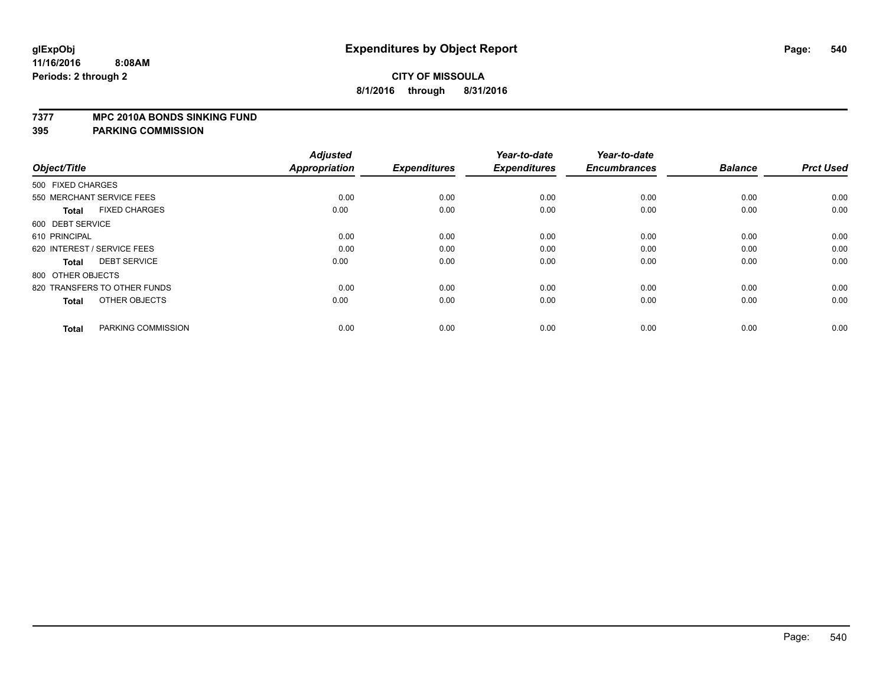### **7377 MPC 2010A BONDS SINKING FUND**

| Object/Title                         | <b>Adjusted</b><br><b>Appropriation</b> | <b>Expenditures</b> | Year-to-date<br><b>Expenditures</b> | Year-to-date<br><b>Encumbrances</b> | <b>Balance</b> | <b>Prct Used</b> |
|--------------------------------------|-----------------------------------------|---------------------|-------------------------------------|-------------------------------------|----------------|------------------|
| 500 FIXED CHARGES                    |                                         |                     |                                     |                                     |                |                  |
| 550 MERCHANT SERVICE FEES            | 0.00                                    | 0.00                | 0.00                                | 0.00                                | 0.00           | 0.00             |
| <b>FIXED CHARGES</b><br><b>Total</b> | 0.00                                    | 0.00                | 0.00                                | 0.00                                | 0.00           | 0.00             |
| 600 DEBT SERVICE                     |                                         |                     |                                     |                                     |                |                  |
| 610 PRINCIPAL                        | 0.00                                    | 0.00                | 0.00                                | 0.00                                | 0.00           | 0.00             |
| 620 INTEREST / SERVICE FEES          | 0.00                                    | 0.00                | 0.00                                | 0.00                                | 0.00           | 0.00             |
| <b>DEBT SERVICE</b><br><b>Total</b>  | 0.00                                    | 0.00                | 0.00                                | 0.00                                | 0.00           | 0.00             |
| 800 OTHER OBJECTS                    |                                         |                     |                                     |                                     |                |                  |
| 820 TRANSFERS TO OTHER FUNDS         | 0.00                                    | 0.00                | 0.00                                | 0.00                                | 0.00           | 0.00             |
| OTHER OBJECTS<br><b>Total</b>        | 0.00                                    | 0.00                | 0.00                                | 0.00                                | 0.00           | 0.00             |
|                                      |                                         |                     |                                     |                                     |                |                  |
| PARKING COMMISSION<br><b>Total</b>   | 0.00                                    | 0.00                | 0.00                                | 0.00                                | 0.00           | 0.00             |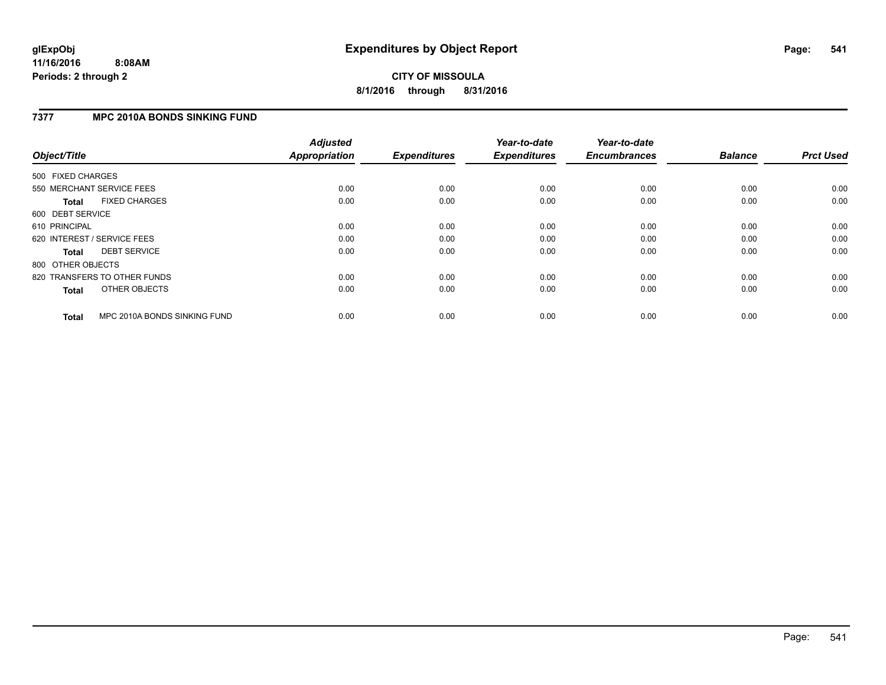#### **7377 MPC 2010A BONDS SINKING FUND**

| Object/Title                 |                              | <b>Adjusted</b><br><b>Appropriation</b> | <b>Expenditures</b> | Year-to-date<br><b>Expenditures</b> | Year-to-date<br><b>Encumbrances</b> | <b>Balance</b> | <b>Prct Used</b> |
|------------------------------|------------------------------|-----------------------------------------|---------------------|-------------------------------------|-------------------------------------|----------------|------------------|
| 500 FIXED CHARGES            |                              |                                         |                     |                                     |                                     |                |                  |
| 550 MERCHANT SERVICE FEES    |                              | 0.00                                    | 0.00                | 0.00                                | 0.00                                | 0.00           | 0.00             |
| <b>Total</b>                 | <b>FIXED CHARGES</b>         | 0.00                                    | 0.00                | 0.00                                | 0.00                                | 0.00           | 0.00             |
| 600 DEBT SERVICE             |                              |                                         |                     |                                     |                                     |                |                  |
| 610 PRINCIPAL                |                              | 0.00                                    | 0.00                | 0.00                                | 0.00                                | 0.00           | 0.00             |
| 620 INTEREST / SERVICE FEES  |                              | 0.00                                    | 0.00                | 0.00                                | 0.00                                | 0.00           | 0.00             |
| Total                        | <b>DEBT SERVICE</b>          | 0.00                                    | 0.00                | 0.00                                | 0.00                                | 0.00           | 0.00             |
| 800 OTHER OBJECTS            |                              |                                         |                     |                                     |                                     |                |                  |
| 820 TRANSFERS TO OTHER FUNDS |                              | 0.00                                    | 0.00                | 0.00                                | 0.00                                | 0.00           | 0.00             |
| <b>Total</b>                 | OTHER OBJECTS                | 0.00                                    | 0.00                | 0.00                                | 0.00                                | 0.00           | 0.00             |
| <b>Total</b>                 | MPC 2010A BONDS SINKING FUND | 0.00                                    | 0.00                | 0.00                                | 0.00                                | 0.00           | 0.00             |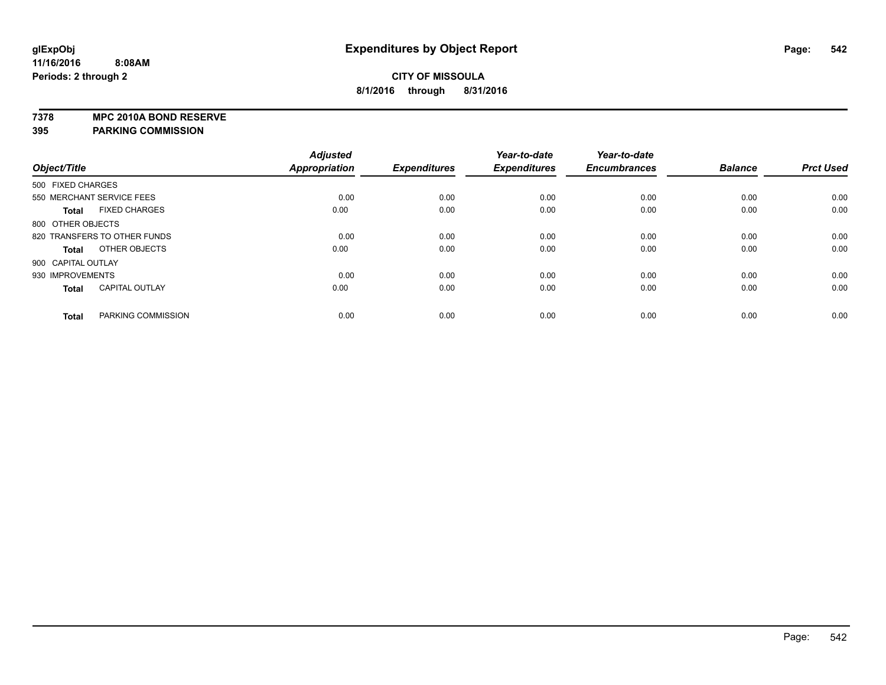**7378 MPC 2010A BOND RESERVE**

**395 PARKING COMMISSION**

|                    |                              | <b>Adjusted</b> |                     | Year-to-date        | Year-to-date        |                |                  |
|--------------------|------------------------------|-----------------|---------------------|---------------------|---------------------|----------------|------------------|
| Object/Title       |                              | Appropriation   | <b>Expenditures</b> | <b>Expenditures</b> | <b>Encumbrances</b> | <b>Balance</b> | <b>Prct Used</b> |
| 500 FIXED CHARGES  |                              |                 |                     |                     |                     |                |                  |
|                    | 550 MERCHANT SERVICE FEES    | 0.00            | 0.00                | 0.00                | 0.00                | 0.00           | 0.00             |
| <b>Total</b>       | <b>FIXED CHARGES</b>         | 0.00            | 0.00                | 0.00                | 0.00                | 0.00           | 0.00             |
| 800 OTHER OBJECTS  |                              |                 |                     |                     |                     |                |                  |
|                    | 820 TRANSFERS TO OTHER FUNDS | 0.00            | 0.00                | 0.00                | 0.00                | 0.00           | 0.00             |
| <b>Total</b>       | OTHER OBJECTS                | 0.00            | 0.00                | 0.00                | 0.00                | 0.00           | 0.00             |
| 900 CAPITAL OUTLAY |                              |                 |                     |                     |                     |                |                  |
| 930 IMPROVEMENTS   |                              | 0.00            | 0.00                | 0.00                | 0.00                | 0.00           | 0.00             |
| <b>Total</b>       | <b>CAPITAL OUTLAY</b>        | 0.00            | 0.00                | 0.00                | 0.00                | 0.00           | 0.00             |
| <b>Total</b>       | PARKING COMMISSION           | 0.00            | 0.00                | 0.00                | 0.00                | 0.00           | 0.00             |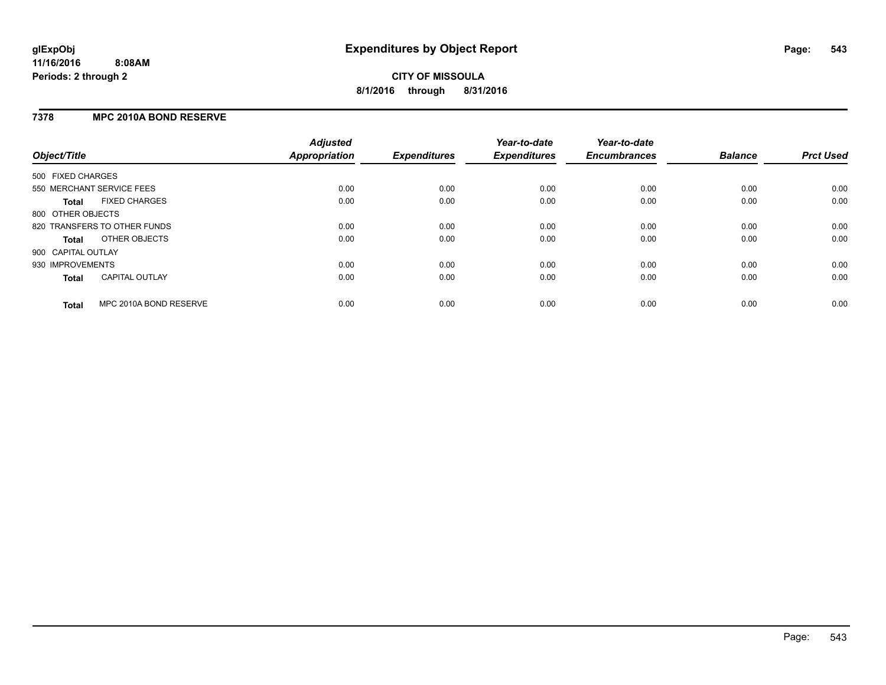#### **7378 MPC 2010A BOND RESERVE**

| Object/Title       |                              | <b>Adjusted</b><br><b>Appropriation</b> | <b>Expenditures</b> | Year-to-date<br><b>Expenditures</b> | Year-to-date<br><b>Encumbrances</b> | <b>Balance</b> | <b>Prct Used</b> |
|--------------------|------------------------------|-----------------------------------------|---------------------|-------------------------------------|-------------------------------------|----------------|------------------|
| 500 FIXED CHARGES  |                              |                                         |                     |                                     |                                     |                |                  |
|                    | 550 MERCHANT SERVICE FEES    | 0.00                                    | 0.00                | 0.00                                | 0.00                                | 0.00           | 0.00             |
| <b>Total</b>       | <b>FIXED CHARGES</b>         | 0.00                                    | 0.00                | 0.00                                | 0.00                                | 0.00           | 0.00             |
| 800 OTHER OBJECTS  |                              |                                         |                     |                                     |                                     |                |                  |
|                    | 820 TRANSFERS TO OTHER FUNDS | 0.00                                    | 0.00                | 0.00                                | 0.00                                | 0.00           | 0.00             |
| <b>Total</b>       | OTHER OBJECTS                | 0.00                                    | 0.00                | 0.00                                | 0.00                                | 0.00           | 0.00             |
| 900 CAPITAL OUTLAY |                              |                                         |                     |                                     |                                     |                |                  |
| 930 IMPROVEMENTS   |                              | 0.00                                    | 0.00                | 0.00                                | 0.00                                | 0.00           | 0.00             |
| Total              | <b>CAPITAL OUTLAY</b>        | 0.00                                    | 0.00                | 0.00                                | 0.00                                | 0.00           | 0.00             |
| <b>Total</b>       | MPC 2010A BOND RESERVE       | 0.00                                    | 0.00                | 0.00                                | 0.00                                | 0.00           | 0.00             |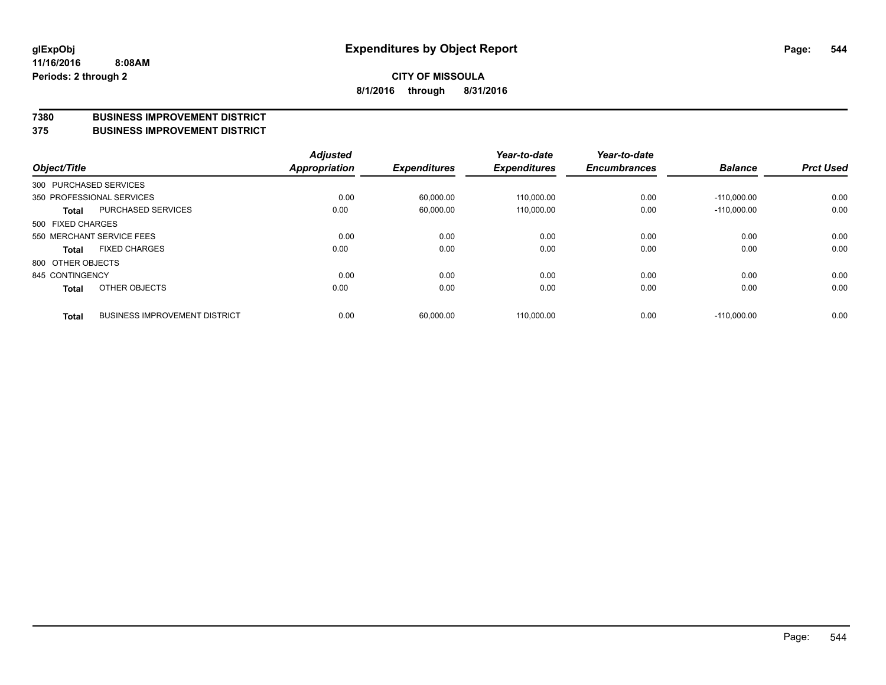#### **7380 BUSINESS IMPROVEMENT DISTRICT**

**375 BUSINESS IMPROVEMENT DISTRICT**

| Object/Title      |                                      | <b>Adjusted</b><br>Appropriation | <b>Expenditures</b> | Year-to-date<br><b>Expenditures</b> | Year-to-date<br><b>Encumbrances</b> | <b>Balance</b> | <b>Prct Used</b> |
|-------------------|--------------------------------------|----------------------------------|---------------------|-------------------------------------|-------------------------------------|----------------|------------------|
|                   | 300 PURCHASED SERVICES               |                                  |                     |                                     |                                     |                |                  |
|                   | 350 PROFESSIONAL SERVICES            | 0.00                             | 60.000.00           | 110.000.00                          | 0.00                                | $-110.000.00$  | 0.00             |
| <b>Total</b>      | <b>PURCHASED SERVICES</b>            | 0.00                             | 60,000.00           | 110,000.00                          | 0.00                                | $-110.000.00$  | 0.00             |
| 500 FIXED CHARGES |                                      |                                  |                     |                                     |                                     |                |                  |
|                   | 550 MERCHANT SERVICE FEES            | 0.00                             | 0.00                | 0.00                                | 0.00                                | 0.00           | 0.00             |
| <b>Total</b>      | <b>FIXED CHARGES</b>                 | 0.00                             | 0.00                | 0.00                                | 0.00                                | 0.00           | 0.00             |
| 800 OTHER OBJECTS |                                      |                                  |                     |                                     |                                     |                |                  |
| 845 CONTINGENCY   |                                      | 0.00                             | 0.00                | 0.00                                | 0.00                                | 0.00           | 0.00             |
| <b>Total</b>      | OTHER OBJECTS                        | 0.00                             | 0.00                | 0.00                                | 0.00                                | 0.00           | 0.00             |
| <b>Total</b>      | <b>BUSINESS IMPROVEMENT DISTRICT</b> | 0.00                             | 60,000.00           | 110.000.00                          | 0.00                                | $-110.000.00$  | 0.00             |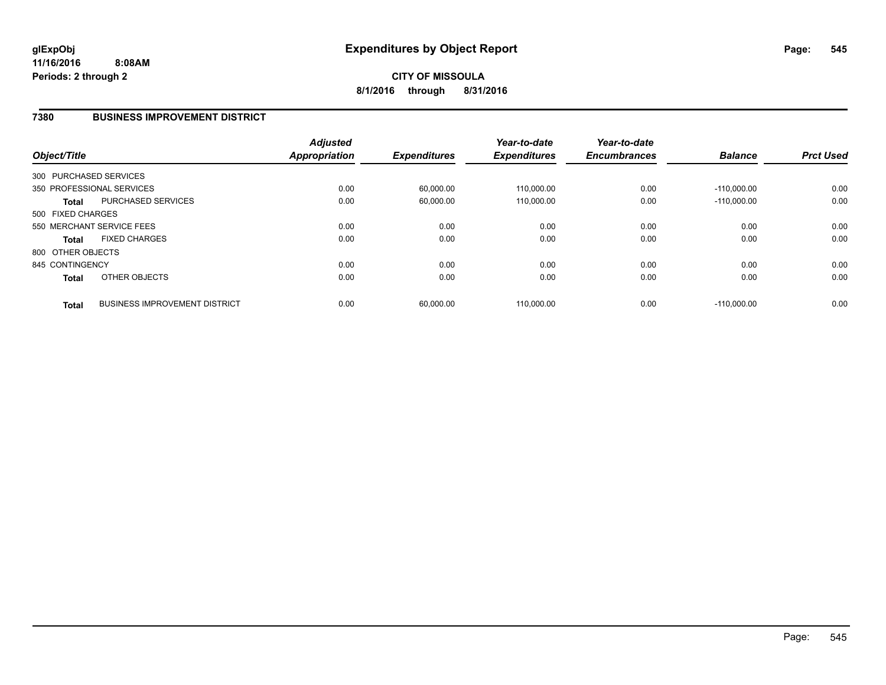#### **7380 BUSINESS IMPROVEMENT DISTRICT**

| Object/Title           |                                      | <b>Adjusted</b><br><b>Appropriation</b> | <b>Expenditures</b> | Year-to-date<br><b>Expenditures</b> | Year-to-date<br><b>Encumbrances</b> | <b>Balance</b> | <b>Prct Used</b> |
|------------------------|--------------------------------------|-----------------------------------------|---------------------|-------------------------------------|-------------------------------------|----------------|------------------|
| 300 PURCHASED SERVICES |                                      |                                         |                     |                                     |                                     |                |                  |
|                        | 350 PROFESSIONAL SERVICES            | 0.00                                    | 60,000.00           | 110,000.00                          | 0.00                                | $-110.000.00$  | 0.00             |
| <b>Total</b>           | PURCHASED SERVICES                   | 0.00                                    | 60,000.00           | 110.000.00                          | 0.00                                | $-110.000.00$  | 0.00             |
| 500 FIXED CHARGES      |                                      |                                         |                     |                                     |                                     |                |                  |
|                        | 550 MERCHANT SERVICE FEES            | 0.00                                    | 0.00                | 0.00                                | 0.00                                | 0.00           | 0.00             |
| <b>Total</b>           | <b>FIXED CHARGES</b>                 | 0.00                                    | 0.00                | 0.00                                | 0.00                                | 0.00           | 0.00             |
| 800 OTHER OBJECTS      |                                      |                                         |                     |                                     |                                     |                |                  |
| 845 CONTINGENCY        |                                      | 0.00                                    | 0.00                | 0.00                                | 0.00                                | 0.00           | 0.00             |
| <b>Total</b>           | OTHER OBJECTS                        | 0.00                                    | 0.00                | 0.00                                | 0.00                                | 0.00           | 0.00             |
| <b>Total</b>           | <b>BUSINESS IMPROVEMENT DISTRICT</b> | 0.00                                    | 60,000.00           | 110.000.00                          | 0.00                                | $-110.000.00$  | 0.00             |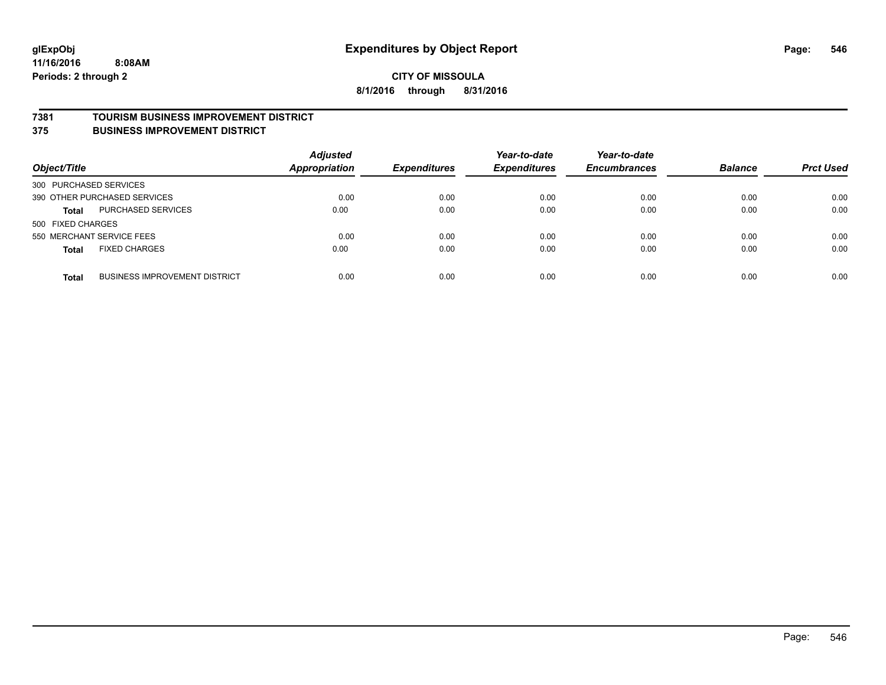#### **7381 TOURISM BUSINESS IMPROVEMENT DISTRICT**

**375 BUSINESS IMPROVEMENT DISTRICT**

| Object/Title                 |                                      | <b>Adjusted</b><br>Appropriation | <b>Expenditures</b> | Year-to-date<br><b>Expenditures</b> | Year-to-date<br><b>Encumbrances</b> | <b>Balance</b> | <b>Prct Used</b> |
|------------------------------|--------------------------------------|----------------------------------|---------------------|-------------------------------------|-------------------------------------|----------------|------------------|
| 300 PURCHASED SERVICES       |                                      |                                  |                     |                                     |                                     |                |                  |
| 390 OTHER PURCHASED SERVICES |                                      | 0.00                             | 0.00                | 0.00                                | 0.00                                | 0.00           | 0.00             |
| <b>Total</b>                 | PURCHASED SERVICES                   | 0.00                             | 0.00                | 0.00                                | 0.00                                | 0.00           | 0.00             |
| 500 FIXED CHARGES            |                                      |                                  |                     |                                     |                                     |                |                  |
| 550 MERCHANT SERVICE FEES    |                                      | 0.00                             | 0.00                | 0.00                                | 0.00                                | 0.00           | 0.00             |
| <b>Total</b>                 | <b>FIXED CHARGES</b>                 | 0.00                             | 0.00                | 0.00                                | 0.00                                | 0.00           | 0.00             |
| <b>Total</b>                 | <b>BUSINESS IMPROVEMENT DISTRICT</b> | 0.00                             | 0.00                | 0.00                                | 0.00                                | 0.00           | 0.00             |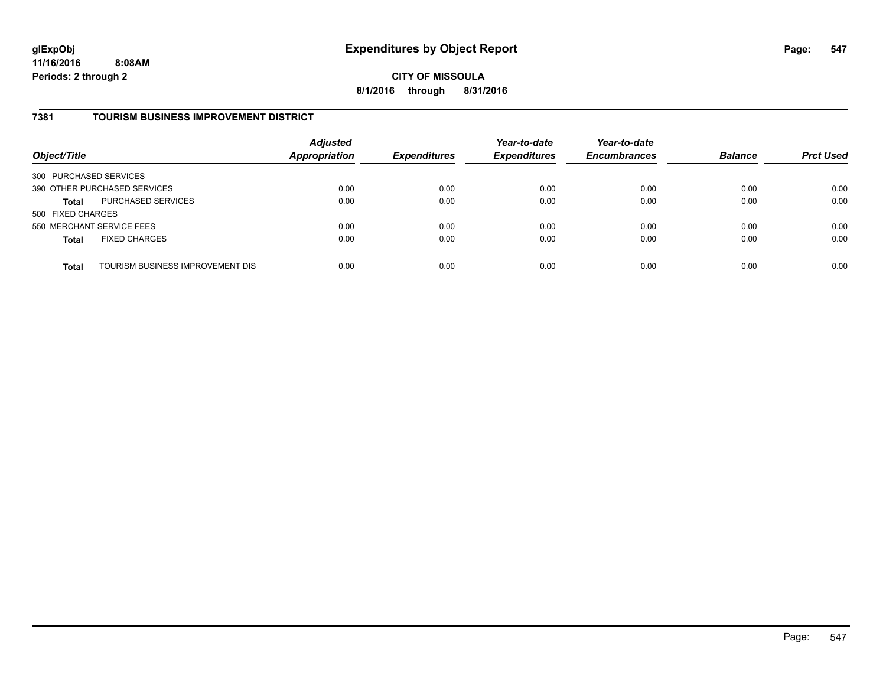**CITY OF MISSOULA 8/1/2016 through 8/31/2016**

#### **7381 TOURISM BUSINESS IMPROVEMENT DISTRICT**

| Object/Title                 |                                  | <b>Adjusted</b><br><b>Appropriation</b> | <b>Expenditures</b> | Year-to-date<br><b>Expenditures</b> | Year-to-date<br><b>Encumbrances</b> | <b>Balance</b> | <b>Prct Used</b> |
|------------------------------|----------------------------------|-----------------------------------------|---------------------|-------------------------------------|-------------------------------------|----------------|------------------|
| 300 PURCHASED SERVICES       |                                  |                                         |                     |                                     |                                     |                |                  |
| 390 OTHER PURCHASED SERVICES |                                  | 0.00                                    | 0.00                | 0.00                                | 0.00                                | 0.00           | 0.00             |
| <b>Total</b>                 | PURCHASED SERVICES               | 0.00                                    | 0.00                | 0.00                                | 0.00                                | 0.00           | 0.00             |
| 500 FIXED CHARGES            |                                  |                                         |                     |                                     |                                     |                |                  |
| 550 MERCHANT SERVICE FEES    |                                  | 0.00                                    | 0.00                | 0.00                                | 0.00                                | 0.00           | 0.00             |
| <b>Total</b>                 | <b>FIXED CHARGES</b>             | 0.00                                    | 0.00                | 0.00                                | 0.00                                | 0.00           | 0.00             |
| <b>Total</b>                 | TOURISM BUSINESS IMPROVEMENT DIS | 0.00                                    | 0.00                | 0.00                                | 0.00                                | 0.00           | 0.00             |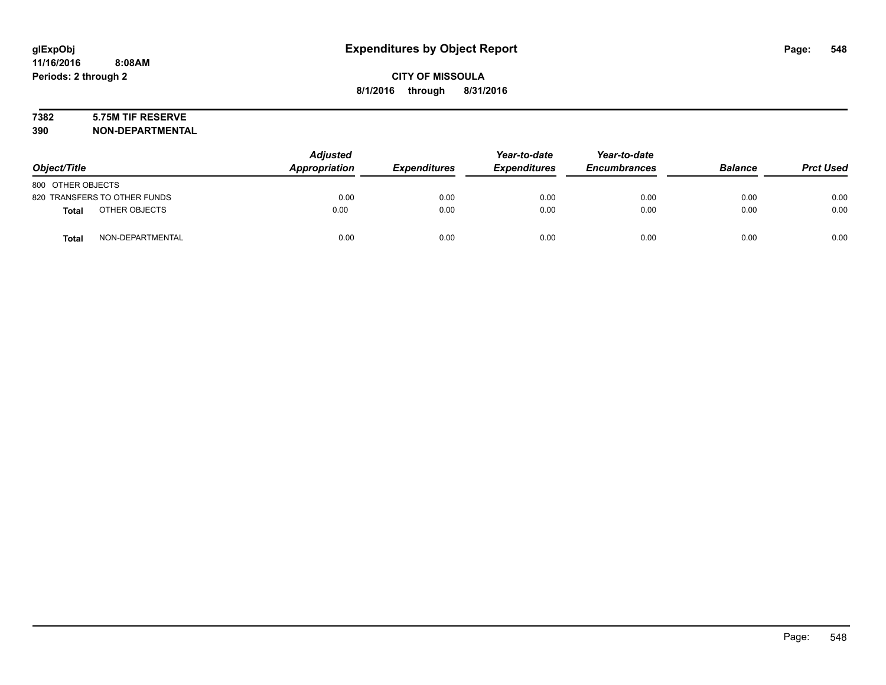### **7382 5.75M TIF RESERVE**

**390 NON-DEPARTMENTAL**

| Object/Title      |                              | <b>Adjusted</b><br>Appropriation | <b>Expenditures</b> | Year-to-date<br><b>Expenditures</b> | Year-to-date<br><b>Encumbrances</b> | <b>Balance</b> | <b>Prct Used</b> |
|-------------------|------------------------------|----------------------------------|---------------------|-------------------------------------|-------------------------------------|----------------|------------------|
| 800 OTHER OBJECTS |                              |                                  |                     |                                     |                                     |                |                  |
|                   | 820 TRANSFERS TO OTHER FUNDS | 0.00                             | 0.00                | 0.00                                | 0.00                                | 0.00           | 0.00             |
| <b>Total</b>      | OTHER OBJECTS                | 0.00                             | 0.00                | 0.00                                | 0.00                                | 0.00           | 0.00             |
| <b>Total</b>      | NON-DEPARTMENTAL             | 0.00                             | 0.00                | 0.00                                | 0.00                                | 0.00           | 0.00             |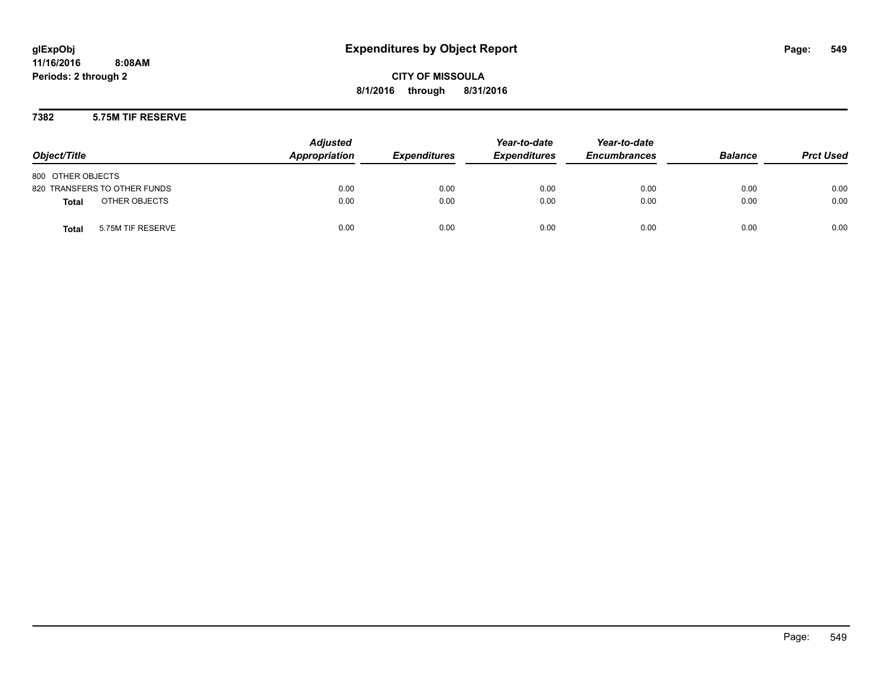**CITY OF MISSOULA 8/1/2016 through 8/31/2016**

#### **7382 5.75M TIF RESERVE**

| Object/Title                      | <b>Adjusted</b><br>Appropriation | <b>Expenditures</b> | Year-to-date<br><b>Expenditures</b> | Year-to-date<br><b>Encumbrances</b> | <b>Balance</b> | <b>Prct Used</b> |
|-----------------------------------|----------------------------------|---------------------|-------------------------------------|-------------------------------------|----------------|------------------|
| 800 OTHER OBJECTS                 |                                  |                     |                                     |                                     |                |                  |
| 820 TRANSFERS TO OTHER FUNDS      | 0.00                             | 0.00                | 0.00                                | 0.00                                | 0.00           | 0.00             |
| OTHER OBJECTS<br><b>Total</b>     | 0.00                             | 0.00                | 0.00                                | 0.00                                | 0.00           | 0.00             |
| 5.75M TIF RESERVE<br><b>Total</b> | 0.00                             | 0.00                | 0.00                                | 0.00                                | 0.00           | 0.00             |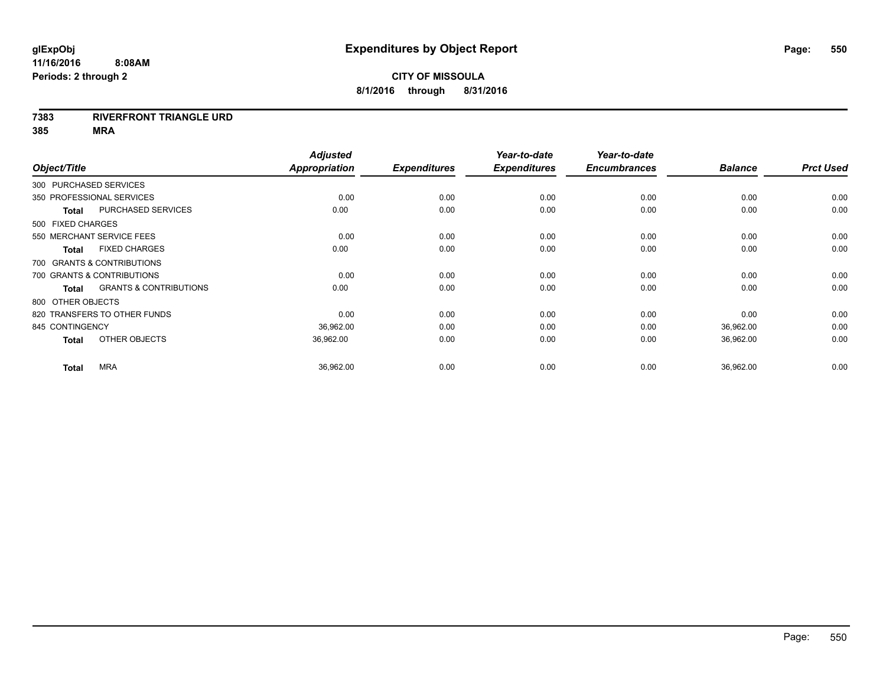#### **7383 RIVERFRONT TRIANGLE URD**

|                        |                                   | <b>Adjusted</b> |                     | Year-to-date        | Year-to-date        |                |                  |
|------------------------|-----------------------------------|-----------------|---------------------|---------------------|---------------------|----------------|------------------|
| Object/Title           |                                   | Appropriation   | <b>Expenditures</b> | <b>Expenditures</b> | <b>Encumbrances</b> | <b>Balance</b> | <b>Prct Used</b> |
| 300 PURCHASED SERVICES |                                   |                 |                     |                     |                     |                |                  |
|                        | 350 PROFESSIONAL SERVICES         | 0.00            | 0.00                | 0.00                | 0.00                | 0.00           | 0.00             |
| <b>Total</b>           | PURCHASED SERVICES                | 0.00            | 0.00                | 0.00                | 0.00                | 0.00           | 0.00             |
| 500 FIXED CHARGES      |                                   |                 |                     |                     |                     |                |                  |
|                        | 550 MERCHANT SERVICE FEES         | 0.00            | 0.00                | 0.00                | 0.00                | 0.00           | 0.00             |
| <b>Total</b>           | <b>FIXED CHARGES</b>              | 0.00            | 0.00                | 0.00                | 0.00                | 0.00           | 0.00             |
|                        | 700 GRANTS & CONTRIBUTIONS        |                 |                     |                     |                     |                |                  |
|                        | 700 GRANTS & CONTRIBUTIONS        | 0.00            | 0.00                | 0.00                | 0.00                | 0.00           | 0.00             |
| <b>Total</b>           | <b>GRANTS &amp; CONTRIBUTIONS</b> | 0.00            | 0.00                | 0.00                | 0.00                | 0.00           | 0.00             |
| 800 OTHER OBJECTS      |                                   |                 |                     |                     |                     |                |                  |
|                        | 820 TRANSFERS TO OTHER FUNDS      | 0.00            | 0.00                | 0.00                | 0.00                | 0.00           | 0.00             |
| 845 CONTINGENCY        |                                   | 36,962.00       | 0.00                | 0.00                | 0.00                | 36,962.00      | 0.00             |
| <b>Total</b>           | OTHER OBJECTS                     | 36.962.00       | 0.00                | 0.00                | 0.00                | 36,962.00      | 0.00             |
| <b>Total</b>           | <b>MRA</b>                        | 36,962.00       | 0.00                | 0.00                | 0.00                | 36,962.00      | 0.00             |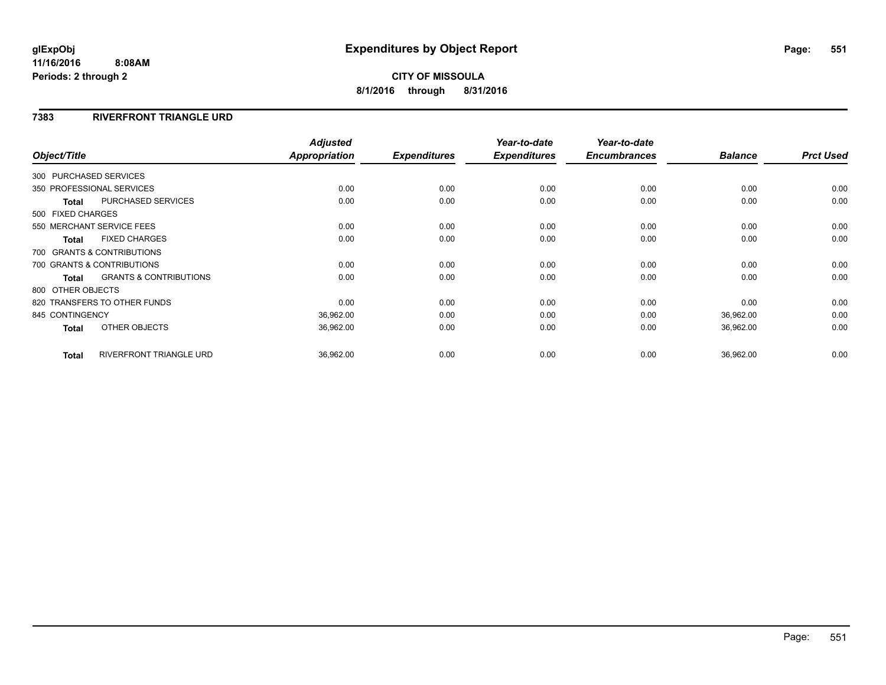### **CITY OF MISSOULA 8/1/2016 through 8/31/2016**

#### **7383 RIVERFRONT TRIANGLE URD**

| Object/Title                                      | <b>Adjusted</b><br><b>Appropriation</b> |      | <b>Expenditures</b> | Year-to-date<br><b>Expenditures</b> | Year-to-date<br><b>Encumbrances</b> | <b>Balance</b> | <b>Prct Used</b> |
|---------------------------------------------------|-----------------------------------------|------|---------------------|-------------------------------------|-------------------------------------|----------------|------------------|
|                                                   |                                         |      |                     |                                     |                                     |                |                  |
| 300 PURCHASED SERVICES                            |                                         |      |                     |                                     |                                     |                |                  |
| 350 PROFESSIONAL SERVICES                         |                                         | 0.00 | 0.00                | 0.00                                | 0.00                                | 0.00           | 0.00             |
| <b>PURCHASED SERVICES</b><br><b>Total</b>         |                                         | 0.00 | 0.00                | 0.00                                | 0.00                                | 0.00           | 0.00             |
| 500 FIXED CHARGES                                 |                                         |      |                     |                                     |                                     |                |                  |
| 550 MERCHANT SERVICE FEES                         |                                         | 0.00 | 0.00                | 0.00                                | 0.00                                | 0.00           | 0.00             |
| <b>FIXED CHARGES</b><br><b>Total</b>              |                                         | 0.00 | 0.00                | 0.00                                | 0.00                                | 0.00           | 0.00             |
| 700 GRANTS & CONTRIBUTIONS                        |                                         |      |                     |                                     |                                     |                |                  |
| 700 GRANTS & CONTRIBUTIONS                        |                                         | 0.00 | 0.00                | 0.00                                | 0.00                                | 0.00           | 0.00             |
| <b>GRANTS &amp; CONTRIBUTIONS</b><br><b>Total</b> |                                         | 0.00 | 0.00                | 0.00                                | 0.00                                | 0.00           | 0.00             |
| 800 OTHER OBJECTS                                 |                                         |      |                     |                                     |                                     |                |                  |
| 820 TRANSFERS TO OTHER FUNDS                      |                                         | 0.00 | 0.00                | 0.00                                | 0.00                                | 0.00           | 0.00             |
| 845 CONTINGENCY                                   | 36,962.00                               |      | 0.00                | 0.00                                | 0.00                                | 36,962.00      | 0.00             |
| OTHER OBJECTS<br><b>Total</b>                     | 36,962.00                               |      | 0.00                | 0.00                                | 0.00                                | 36,962.00      | 0.00             |
|                                                   |                                         |      |                     |                                     |                                     |                |                  |
| <b>RIVERFRONT TRIANGLE URD</b><br><b>Total</b>    | 36,962.00                               |      | 0.00                | 0.00                                | 0.00                                | 36,962.00      | 0.00             |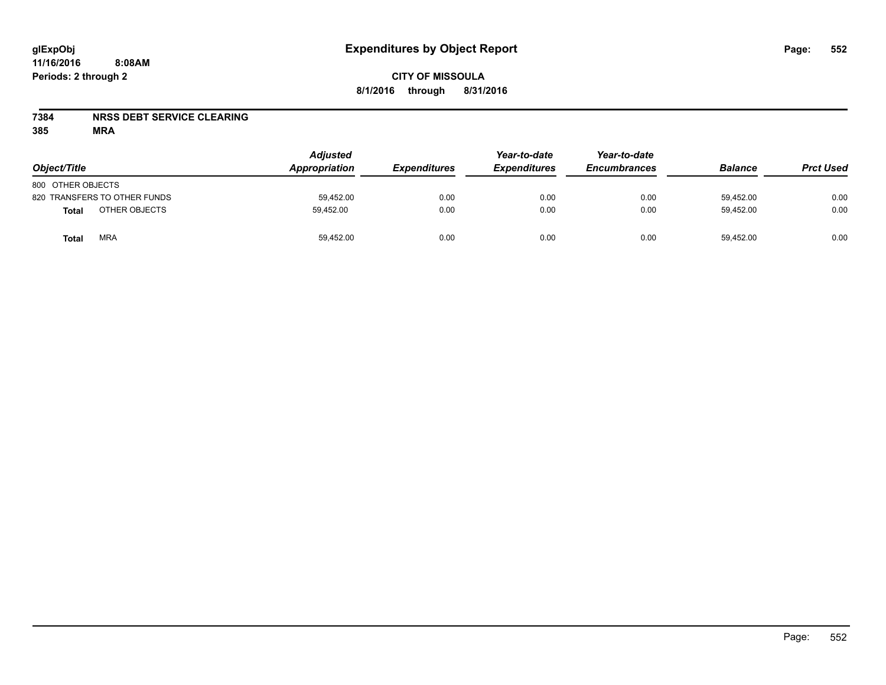#### **7384 NRSS DEBT SERVICE CLEARING**

| Object/Title                 | <b>Adjusted</b><br>Appropriation | <b>Expenditures</b> | Year-to-date<br><b>Expenditures</b> | Year-to-date<br><b>Encumbrances</b> | <b>Balance</b> | <b>Prct Used</b> |
|------------------------------|----------------------------------|---------------------|-------------------------------------|-------------------------------------|----------------|------------------|
| 800 OTHER OBJECTS            |                                  |                     |                                     |                                     |                |                  |
| 820 TRANSFERS TO OTHER FUNDS | 59,452.00                        | 0.00                | 0.00                                | 0.00                                | 59,452.00      | 0.00             |
| OTHER OBJECTS<br>Total       | 59.452.00                        | 0.00                | 0.00                                | 0.00                                | 59.452.00      | 0.00             |
| <b>MRA</b><br>Total          | 59,452.00                        | 0.00                | 0.00                                | 0.00                                | 59,452.00      | 0.00             |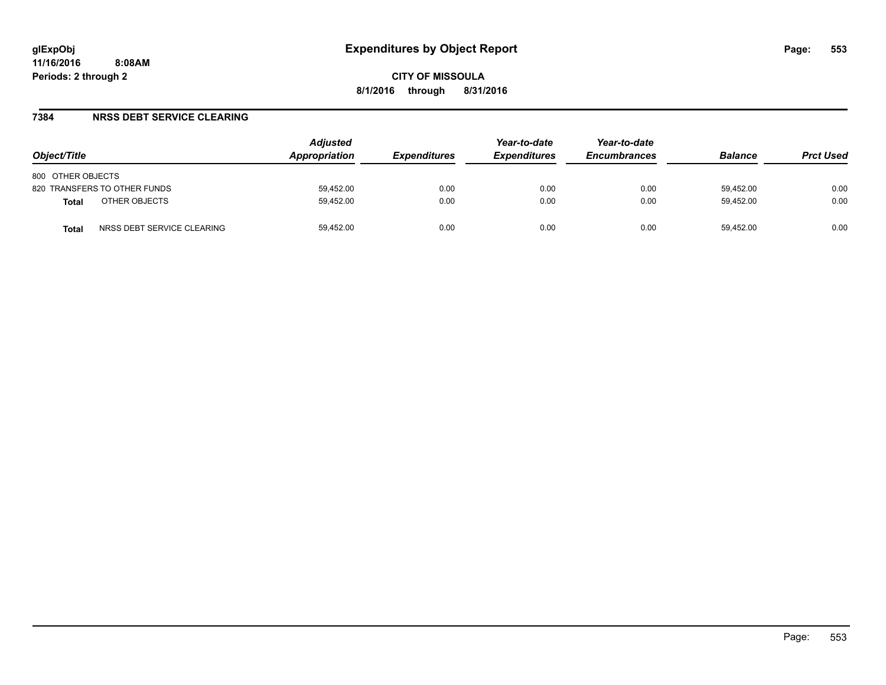#### **7384 NRSS DEBT SERVICE CLEARING**

| Object/Title                        | <b>Adjusted</b><br><b>Appropriation</b> | <i><b>Expenditures</b></i> | Year-to-date<br><b>Expenditures</b> | Year-to-date<br><b>Encumbrances</b> | <b>Balance</b> | <b>Prct Used</b> |
|-------------------------------------|-----------------------------------------|----------------------------|-------------------------------------|-------------------------------------|----------------|------------------|
| 800 OTHER OBJECTS                   |                                         |                            |                                     |                                     |                |                  |
| 820 TRANSFERS TO OTHER FUNDS        | 59.452.00                               | 0.00                       | 0.00                                | 0.00                                | 59.452.00      | 0.00             |
| OTHER OBJECTS<br><b>Total</b>       | 59.452.00                               | 0.00                       | 0.00                                | 0.00                                | 59.452.00      | 0.00             |
| NRSS DEBT SERVICE CLEARING<br>Total | 59.452.00                               | 0.00                       | 0.00                                | 0.00                                | 59.452.00      | 0.00             |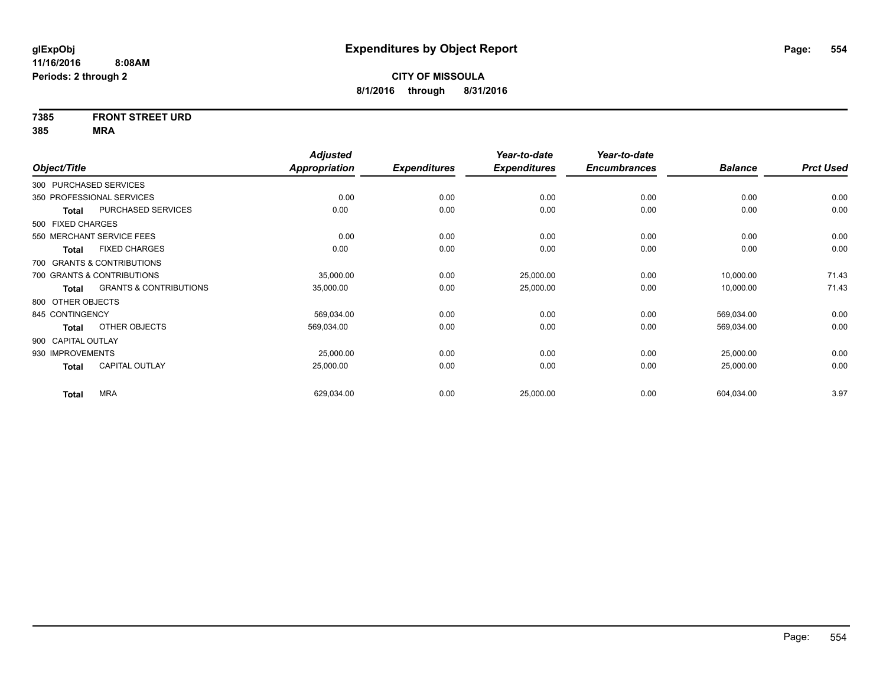### **7385 FRONT STREET URD**

|                    |                                   | <b>Adjusted</b>      |                     | Year-to-date        | Year-to-date        |                |                  |
|--------------------|-----------------------------------|----------------------|---------------------|---------------------|---------------------|----------------|------------------|
| Object/Title       |                                   | <b>Appropriation</b> | <b>Expenditures</b> | <b>Expenditures</b> | <b>Encumbrances</b> | <b>Balance</b> | <b>Prct Used</b> |
|                    | 300 PURCHASED SERVICES            |                      |                     |                     |                     |                |                  |
|                    | 350 PROFESSIONAL SERVICES         | 0.00                 | 0.00                | 0.00                | 0.00                | 0.00           | 0.00             |
| <b>Total</b>       | PURCHASED SERVICES                | 0.00                 | 0.00                | 0.00                | 0.00                | 0.00           | 0.00             |
| 500 FIXED CHARGES  |                                   |                      |                     |                     |                     |                |                  |
|                    | 550 MERCHANT SERVICE FEES         | 0.00                 | 0.00                | 0.00                | 0.00                | 0.00           | 0.00             |
| <b>Total</b>       | <b>FIXED CHARGES</b>              | 0.00                 | 0.00                | 0.00                | 0.00                | 0.00           | 0.00             |
|                    | 700 GRANTS & CONTRIBUTIONS        |                      |                     |                     |                     |                |                  |
|                    | 700 GRANTS & CONTRIBUTIONS        | 35,000.00            | 0.00                | 25,000.00           | 0.00                | 10,000.00      | 71.43            |
| Total              | <b>GRANTS &amp; CONTRIBUTIONS</b> | 35,000.00            | 0.00                | 25,000.00           | 0.00                | 10,000.00      | 71.43            |
| 800 OTHER OBJECTS  |                                   |                      |                     |                     |                     |                |                  |
| 845 CONTINGENCY    |                                   | 569,034.00           | 0.00                | 0.00                | 0.00                | 569,034.00     | 0.00             |
| Total              | OTHER OBJECTS                     | 569,034.00           | 0.00                | 0.00                | 0.00                | 569,034.00     | 0.00             |
| 900 CAPITAL OUTLAY |                                   |                      |                     |                     |                     |                |                  |
| 930 IMPROVEMENTS   |                                   | 25,000.00            | 0.00                | 0.00                | 0.00                | 25,000.00      | 0.00             |
| <b>Total</b>       | <b>CAPITAL OUTLAY</b>             | 25,000.00            | 0.00                | 0.00                | 0.00                | 25,000.00      | 0.00             |
| <b>Total</b>       | <b>MRA</b>                        | 629,034.00           | 0.00                | 25,000.00           | 0.00                | 604,034.00     | 3.97             |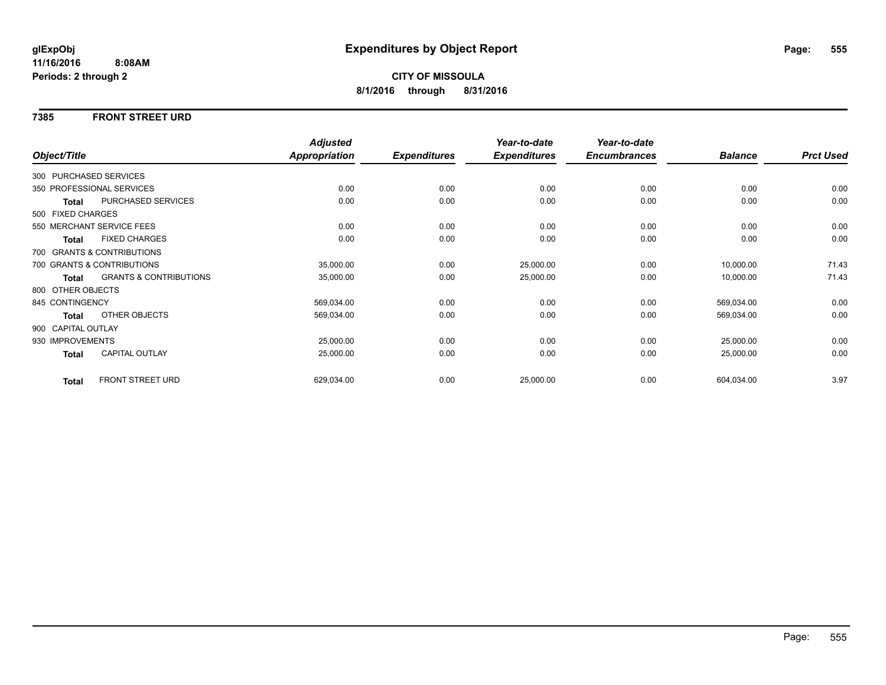#### **7385 FRONT STREET URD**

|                        |                                   | <b>Adjusted</b> |                     | Year-to-date        | Year-to-date        |                |                  |
|------------------------|-----------------------------------|-----------------|---------------------|---------------------|---------------------|----------------|------------------|
| Object/Title           |                                   | Appropriation   | <b>Expenditures</b> | <b>Expenditures</b> | <b>Encumbrances</b> | <b>Balance</b> | <b>Prct Used</b> |
| 300 PURCHASED SERVICES |                                   |                 |                     |                     |                     |                |                  |
|                        | 350 PROFESSIONAL SERVICES         | 0.00            | 0.00                | 0.00                | 0.00                | 0.00           | 0.00             |
| <b>Total</b>           | <b>PURCHASED SERVICES</b>         | 0.00            | 0.00                | 0.00                | 0.00                | 0.00           | 0.00             |
| 500 FIXED CHARGES      |                                   |                 |                     |                     |                     |                |                  |
|                        | 550 MERCHANT SERVICE FEES         | 0.00            | 0.00                | 0.00                | 0.00                | 0.00           | 0.00             |
| <b>Total</b>           | <b>FIXED CHARGES</b>              | 0.00            | 0.00                | 0.00                | 0.00                | 0.00           | 0.00             |
|                        | 700 GRANTS & CONTRIBUTIONS        |                 |                     |                     |                     |                |                  |
|                        | 700 GRANTS & CONTRIBUTIONS        | 35,000.00       | 0.00                | 25,000.00           | 0.00                | 10,000.00      | 71.43            |
| Total                  | <b>GRANTS &amp; CONTRIBUTIONS</b> | 35,000.00       | 0.00                | 25,000.00           | 0.00                | 10,000.00      | 71.43            |
| 800 OTHER OBJECTS      |                                   |                 |                     |                     |                     |                |                  |
| 845 CONTINGENCY        |                                   | 569,034.00      | 0.00                | 0.00                | 0.00                | 569,034.00     | 0.00             |
| <b>Total</b>           | OTHER OBJECTS                     | 569,034.00      | 0.00                | 0.00                | 0.00                | 569,034.00     | 0.00             |
| 900 CAPITAL OUTLAY     |                                   |                 |                     |                     |                     |                |                  |
| 930 IMPROVEMENTS       |                                   | 25,000.00       | 0.00                | 0.00                | 0.00                | 25,000.00      | 0.00             |
| <b>Total</b>           | <b>CAPITAL OUTLAY</b>             | 25,000.00       | 0.00                | 0.00                | 0.00                | 25,000.00      | 0.00             |
| <b>Total</b>           | FRONT STREET URD                  | 629,034.00      | 0.00                | 25,000.00           | 0.00                | 604,034.00     | 3.97             |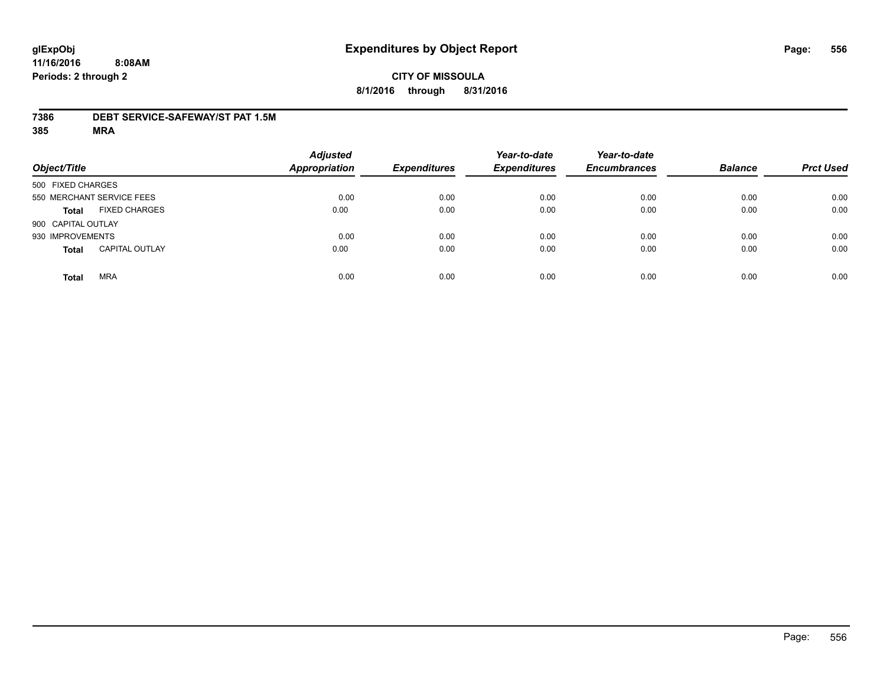#### **7386 DEBT SERVICE-SAFEWAY/ST PAT 1.5M**

| Object/Title               |                       | <b>Adjusted</b><br><b>Appropriation</b> | <b>Expenditures</b> | Year-to-date<br><b>Expenditures</b> | Year-to-date<br><b>Encumbrances</b> | <b>Balance</b> | <b>Prct Used</b> |
|----------------------------|-----------------------|-----------------------------------------|---------------------|-------------------------------------|-------------------------------------|----------------|------------------|
| 500 FIXED CHARGES          |                       |                                         |                     |                                     |                                     |                |                  |
| 550 MERCHANT SERVICE FEES  |                       | 0.00                                    | 0.00                | 0.00                                | 0.00                                | 0.00           | 0.00             |
| <b>Total</b>               | <b>FIXED CHARGES</b>  | 0.00                                    | 0.00                | 0.00                                | 0.00                                | 0.00           | 0.00             |
| 900 CAPITAL OUTLAY         |                       |                                         |                     |                                     |                                     |                |                  |
| 930 IMPROVEMENTS           |                       | 0.00                                    | 0.00                | 0.00                                | 0.00                                | 0.00           | 0.00             |
| <b>Total</b>               | <b>CAPITAL OUTLAY</b> | 0.00                                    | 0.00                | 0.00                                | 0.00                                | 0.00           | 0.00             |
| <b>MRA</b><br><b>Total</b> |                       | 0.00                                    | 0.00                | 0.00                                | 0.00                                | 0.00           | 0.00             |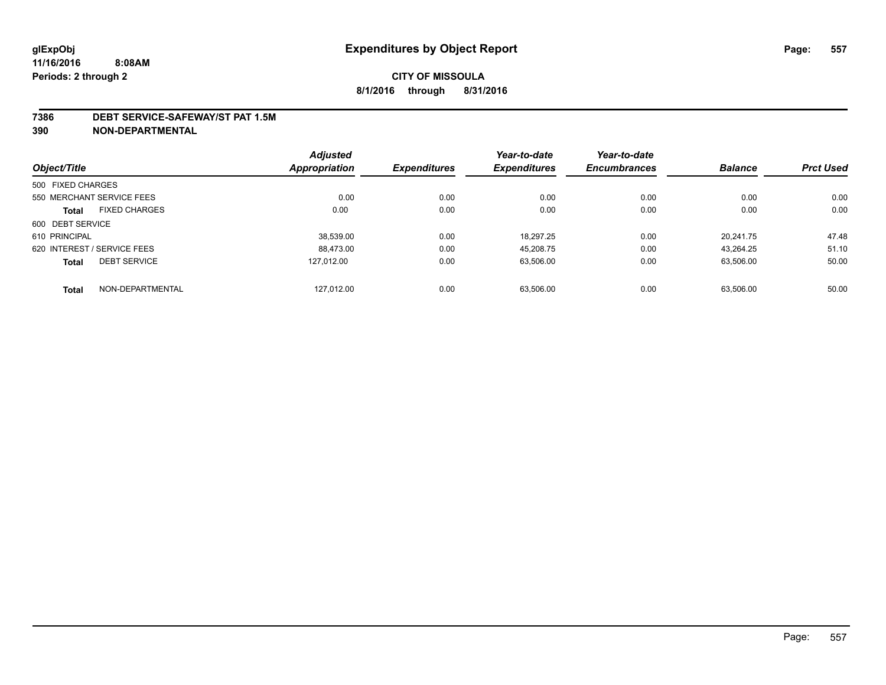#### **7386 DEBT SERVICE-SAFEWAY/ST PAT 1.5M**

**390 NON-DEPARTMENTAL**

|                                      | <b>Adjusted</b> |                     | Year-to-date        | Year-to-date        |                |                  |
|--------------------------------------|-----------------|---------------------|---------------------|---------------------|----------------|------------------|
| Object/Title                         | Appropriation   | <b>Expenditures</b> | <b>Expenditures</b> | <b>Encumbrances</b> | <b>Balance</b> | <b>Prct Used</b> |
| 500 FIXED CHARGES                    |                 |                     |                     |                     |                |                  |
| 550 MERCHANT SERVICE FEES            | 0.00            | 0.00                | 0.00                | 0.00                | 0.00           | 0.00             |
| <b>FIXED CHARGES</b><br><b>Total</b> | 0.00            | 0.00                | 0.00                | 0.00                | 0.00           | 0.00             |
| 600 DEBT SERVICE                     |                 |                     |                     |                     |                |                  |
| 610 PRINCIPAL                        | 38.539.00       | 0.00                | 18.297.25           | 0.00                | 20.241.75      | 47.48            |
| 620 INTEREST / SERVICE FEES          | 88.473.00       | 0.00                | 45.208.75           | 0.00                | 43.264.25      | 51.10            |
| <b>DEBT SERVICE</b><br><b>Total</b>  | 127.012.00      | 0.00                | 63,506.00           | 0.00                | 63,506.00      | 50.00            |
| NON-DEPARTMENTAL<br><b>Total</b>     | 127,012.00      | 0.00                | 63.506.00           | 0.00                | 63.506.00      | 50.00            |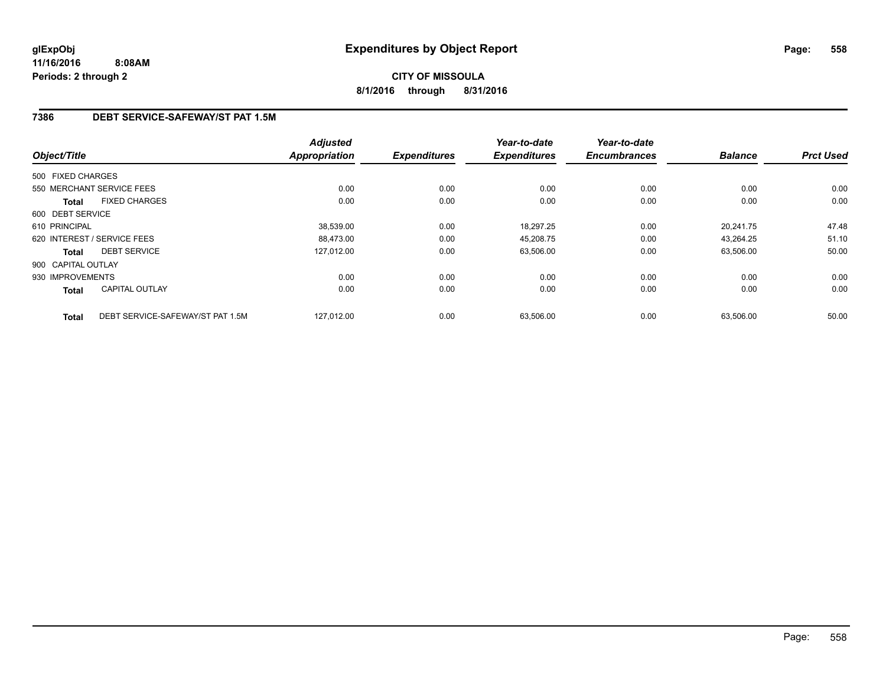### **7386 DEBT SERVICE-SAFEWAY/ST PAT 1.5M**

| Object/Title       |                                  | <b>Adjusted</b><br><b>Appropriation</b> | <b>Expenditures</b> | Year-to-date<br><b>Expenditures</b> | Year-to-date<br><b>Encumbrances</b> | <b>Balance</b> | <b>Prct Used</b> |
|--------------------|----------------------------------|-----------------------------------------|---------------------|-------------------------------------|-------------------------------------|----------------|------------------|
| 500 FIXED CHARGES  |                                  |                                         |                     |                                     |                                     |                |                  |
|                    | 550 MERCHANT SERVICE FEES        | 0.00                                    | 0.00                | 0.00                                | 0.00                                | 0.00           | 0.00             |
| <b>Total</b>       | <b>FIXED CHARGES</b>             | 0.00                                    | 0.00                | 0.00                                | 0.00                                | 0.00           | 0.00             |
| 600 DEBT SERVICE   |                                  |                                         |                     |                                     |                                     |                |                  |
| 610 PRINCIPAL      |                                  | 38,539.00                               | 0.00                | 18,297.25                           | 0.00                                | 20.241.75      | 47.48            |
|                    | 620 INTEREST / SERVICE FEES      | 88.473.00                               | 0.00                | 45,208.75                           | 0.00                                | 43.264.25      | 51.10            |
| <b>Total</b>       | <b>DEBT SERVICE</b>              | 127.012.00                              | 0.00                | 63,506.00                           | 0.00                                | 63,506.00      | 50.00            |
| 900 CAPITAL OUTLAY |                                  |                                         |                     |                                     |                                     |                |                  |
| 930 IMPROVEMENTS   |                                  | 0.00                                    | 0.00                | 0.00                                | 0.00                                | 0.00           | 0.00             |
| Total              | <b>CAPITAL OUTLAY</b>            | 0.00                                    | 0.00                | 0.00                                | 0.00                                | 0.00           | 0.00             |
| <b>Total</b>       | DEBT SERVICE-SAFEWAY/ST PAT 1.5M | 127,012.00                              | 0.00                | 63,506.00                           | 0.00                                | 63,506.00      | 50.00            |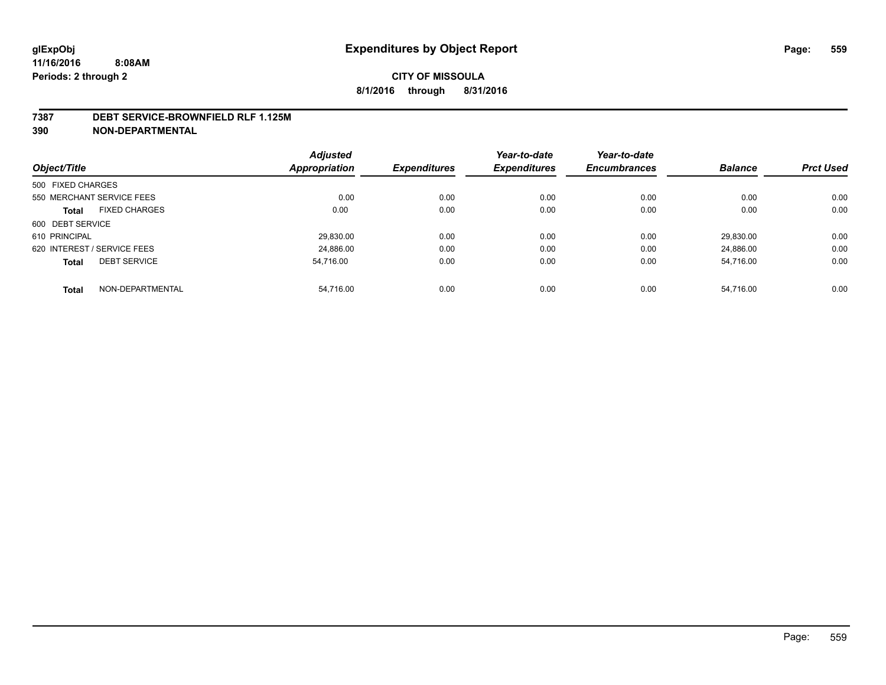#### **7387 DEBT SERVICE-BROWNFIELD RLF 1.125M**

**390 NON-DEPARTMENTAL**

|                                     | <b>Adjusted</b> |                     | Year-to-date        | Year-to-date        |                |                  |
|-------------------------------------|-----------------|---------------------|---------------------|---------------------|----------------|------------------|
| Object/Title                        | Appropriation   | <b>Expenditures</b> | <b>Expenditures</b> | <b>Encumbrances</b> | <b>Balance</b> | <b>Prct Used</b> |
| 500 FIXED CHARGES                   |                 |                     |                     |                     |                |                  |
| 550 MERCHANT SERVICE FEES           | 0.00            | 0.00                | 0.00                | 0.00                | 0.00           | 0.00             |
| <b>FIXED CHARGES</b><br>Total       | 0.00            | 0.00                | 0.00                | 0.00                | 0.00           | 0.00             |
| 600 DEBT SERVICE                    |                 |                     |                     |                     |                |                  |
| 610 PRINCIPAL                       | 29.830.00       | 0.00                | 0.00                | 0.00                | 29.830.00      | 0.00             |
| 620 INTEREST / SERVICE FEES         | 24.886.00       | 0.00                | 0.00                | 0.00                | 24.886.00      | 0.00             |
| <b>DEBT SERVICE</b><br><b>Total</b> | 54.716.00       | 0.00                | 0.00                | 0.00                | 54.716.00      | 0.00             |
|                                     |                 |                     |                     |                     |                |                  |
| NON-DEPARTMENTAL<br><b>Total</b>    | 54.716.00       | 0.00                | 0.00                | 0.00                | 54.716.00      | 0.00             |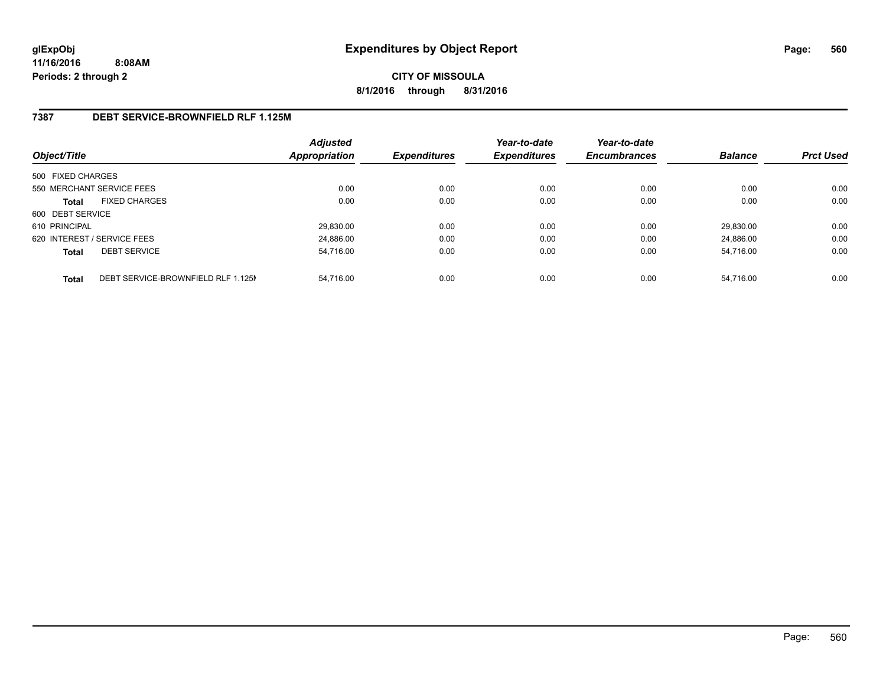**CITY OF MISSOULA 8/1/2016 through 8/31/2016**

#### **7387 DEBT SERVICE-BROWNFIELD RLF 1.125M**

| Object/Title      |                                    | <b>Adjusted</b><br><b>Appropriation</b> | <b>Expenditures</b> | Year-to-date<br><b>Expenditures</b> | Year-to-date<br><b>Encumbrances</b> | <b>Balance</b> | <b>Prct Used</b> |
|-------------------|------------------------------------|-----------------------------------------|---------------------|-------------------------------------|-------------------------------------|----------------|------------------|
| 500 FIXED CHARGES |                                    |                                         |                     |                                     |                                     |                |                  |
|                   | 550 MERCHANT SERVICE FEES          | 0.00                                    | 0.00                | 0.00                                | 0.00                                | 0.00           | 0.00             |
| <b>Total</b>      | <b>FIXED CHARGES</b>               | 0.00                                    | 0.00                | 0.00                                | 0.00                                | 0.00           | 0.00             |
| 600 DEBT SERVICE  |                                    |                                         |                     |                                     |                                     |                |                  |
| 610 PRINCIPAL     |                                    | 29,830.00                               | 0.00                | 0.00                                | 0.00                                | 29.830.00      | 0.00             |
|                   | 620 INTEREST / SERVICE FEES        | 24.886.00                               | 0.00                | 0.00                                | 0.00                                | 24.886.00      | 0.00             |
| <b>Total</b>      | <b>DEBT SERVICE</b>                | 54.716.00                               | 0.00                | 0.00                                | 0.00                                | 54.716.00      | 0.00             |
| <b>Total</b>      | DEBT SERVICE-BROWNFIELD RLF 1.125M | 54.716.00                               | 0.00                | 0.00                                | 0.00                                | 54.716.00      | 0.00             |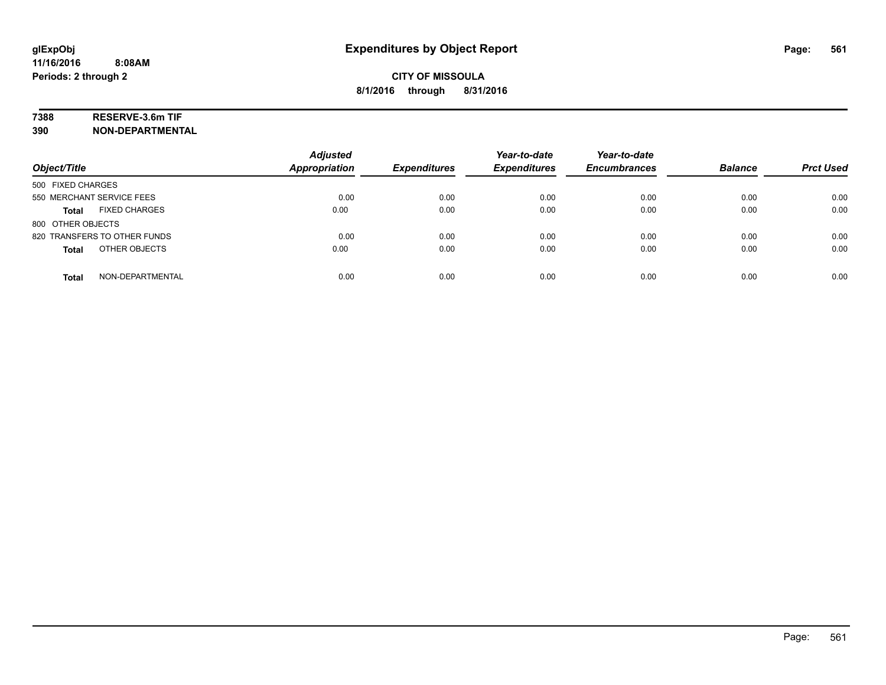### **7388 RESERVE-3.6m TIF**

**390 NON-DEPARTMENTAL**

| Object/Title                         | <b>Adjusted</b><br><b>Appropriation</b> | <b>Expenditures</b> | Year-to-date<br><b>Expenditures</b> | Year-to-date<br><b>Encumbrances</b> | <b>Balance</b> | <b>Prct Used</b> |
|--------------------------------------|-----------------------------------------|---------------------|-------------------------------------|-------------------------------------|----------------|------------------|
| 500 FIXED CHARGES                    |                                         |                     |                                     |                                     |                |                  |
| 550 MERCHANT SERVICE FEES            | 0.00                                    | 0.00                | 0.00                                | 0.00                                | 0.00           | 0.00             |
| <b>FIXED CHARGES</b><br><b>Total</b> | 0.00                                    | 0.00                | 0.00                                | 0.00                                | 0.00           | 0.00             |
| 800 OTHER OBJECTS                    |                                         |                     |                                     |                                     |                |                  |
| 820 TRANSFERS TO OTHER FUNDS         | 0.00                                    | 0.00                | 0.00                                | 0.00                                | 0.00           | 0.00             |
| OTHER OBJECTS<br><b>Total</b>        | 0.00                                    | 0.00                | 0.00                                | 0.00                                | 0.00           | 0.00             |
| NON-DEPARTMENTAL<br><b>Total</b>     | 0.00                                    | 0.00                | 0.00                                | 0.00                                | 0.00           | 0.00             |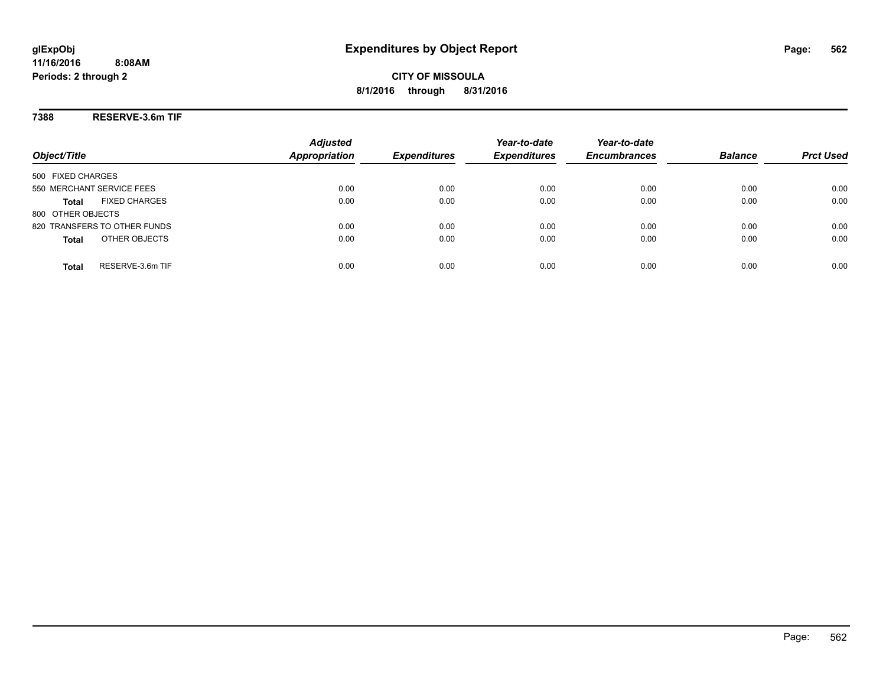#### **7388 RESERVE-3.6m TIF**

| Object/Title                         | <b>Adjusted</b><br><b>Appropriation</b> | <b>Expenditures</b> | Year-to-date<br><b>Expenditures</b> | Year-to-date<br><b>Encumbrances</b> | <b>Balance</b> | <b>Prct Used</b> |
|--------------------------------------|-----------------------------------------|---------------------|-------------------------------------|-------------------------------------|----------------|------------------|
| 500 FIXED CHARGES                    |                                         |                     |                                     |                                     |                |                  |
| 550 MERCHANT SERVICE FEES            | 0.00                                    | 0.00                | 0.00                                | 0.00                                | 0.00           | 0.00             |
| <b>FIXED CHARGES</b><br><b>Total</b> | 0.00                                    | 0.00                | 0.00                                | 0.00                                | 0.00           | 0.00             |
| 800 OTHER OBJECTS                    |                                         |                     |                                     |                                     |                |                  |
| 820 TRANSFERS TO OTHER FUNDS         | 0.00                                    | 0.00                | 0.00                                | 0.00                                | 0.00           | 0.00             |
| OTHER OBJECTS<br><b>Total</b>        | 0.00                                    | 0.00                | 0.00                                | 0.00                                | 0.00           | 0.00             |
| RESERVE-3.6m TIF<br>Total            | 0.00                                    | 0.00                | 0.00                                | 0.00                                | 0.00           | 0.00             |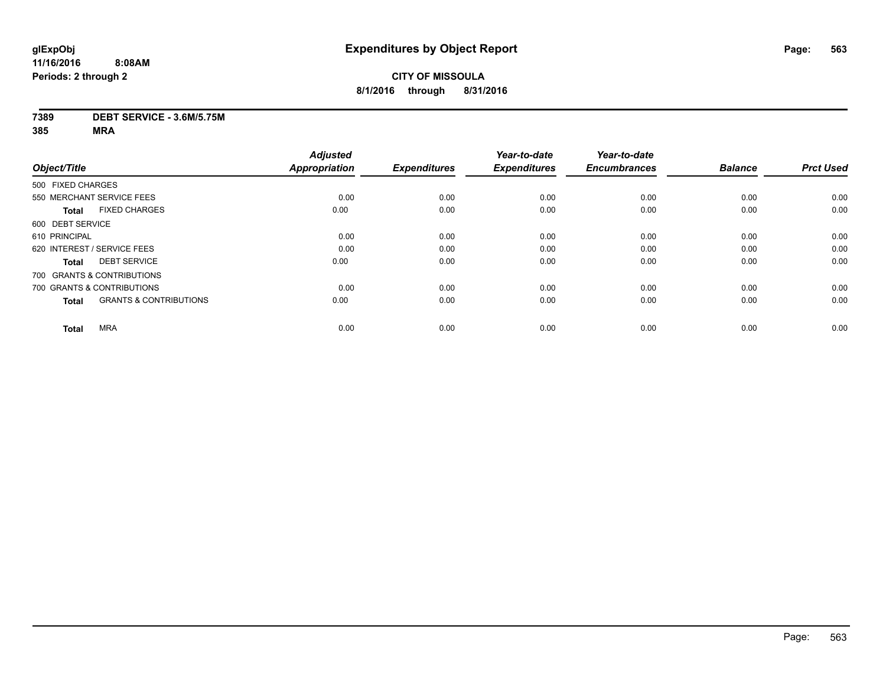### **CITY OF MISSOULA 8/1/2016 through 8/31/2016**

#### **7389 DEBT SERVICE - 3.6M/5.75M**

|                                                   | <b>Adjusted</b>      |                     | Year-to-date        | Year-to-date        |                |                  |
|---------------------------------------------------|----------------------|---------------------|---------------------|---------------------|----------------|------------------|
| Object/Title                                      | <b>Appropriation</b> | <b>Expenditures</b> | <b>Expenditures</b> | <b>Encumbrances</b> | <b>Balance</b> | <b>Prct Used</b> |
| 500 FIXED CHARGES                                 |                      |                     |                     |                     |                |                  |
| 550 MERCHANT SERVICE FEES                         | 0.00                 | 0.00                | 0.00                | 0.00                | 0.00           | 0.00             |
| <b>FIXED CHARGES</b><br><b>Total</b>              | 0.00                 | 0.00                | 0.00                | 0.00                | 0.00           | 0.00             |
| 600 DEBT SERVICE                                  |                      |                     |                     |                     |                |                  |
| 610 PRINCIPAL                                     | 0.00                 | 0.00                | 0.00                | 0.00                | 0.00           | 0.00             |
| 620 INTEREST / SERVICE FEES                       | 0.00                 | 0.00                | 0.00                | 0.00                | 0.00           | 0.00             |
| <b>DEBT SERVICE</b><br><b>Total</b>               | 0.00                 | 0.00                | 0.00                | 0.00                | 0.00           | 0.00             |
| 700 GRANTS & CONTRIBUTIONS                        |                      |                     |                     |                     |                |                  |
| 700 GRANTS & CONTRIBUTIONS                        | 0.00                 | 0.00                | 0.00                | 0.00                | 0.00           | 0.00             |
| <b>GRANTS &amp; CONTRIBUTIONS</b><br><b>Total</b> | 0.00                 | 0.00                | 0.00                | 0.00                | 0.00           | 0.00             |
|                                                   |                      |                     |                     |                     |                |                  |
| <b>MRA</b><br><b>Total</b>                        | 0.00                 | 0.00                | 0.00                | 0.00                | 0.00           | 0.00             |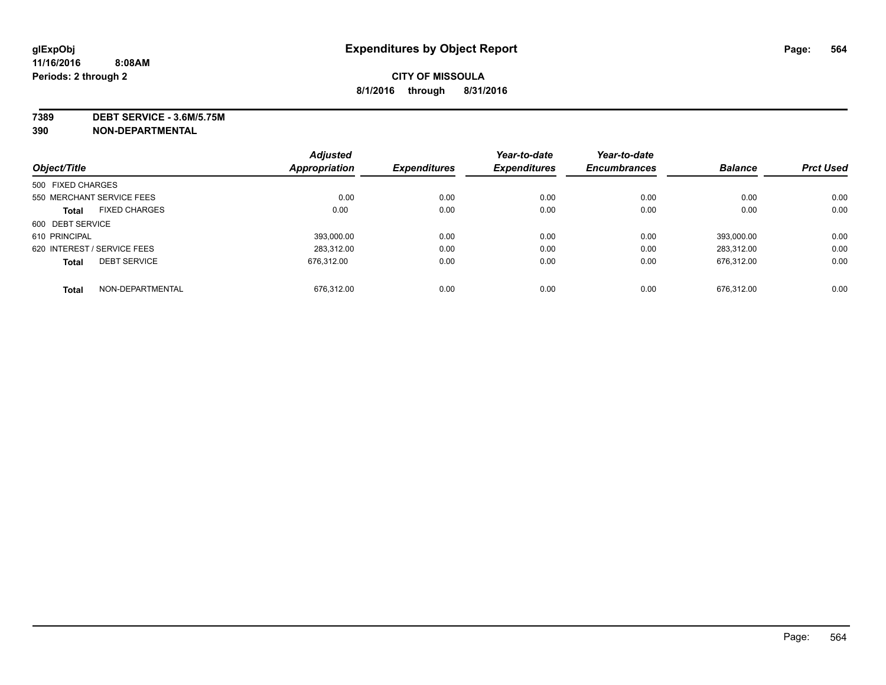**7389 DEBT SERVICE - 3.6M/5.75M**

**390 NON-DEPARTMENTAL**

|                   |                             | <b>Adjusted</b> |                     | Year-to-date        | Year-to-date        |                |                  |
|-------------------|-----------------------------|-----------------|---------------------|---------------------|---------------------|----------------|------------------|
| Object/Title      |                             | Appropriation   | <b>Expenditures</b> | <b>Expenditures</b> | <b>Encumbrances</b> | <b>Balance</b> | <b>Prct Used</b> |
| 500 FIXED CHARGES |                             |                 |                     |                     |                     |                |                  |
|                   | 550 MERCHANT SERVICE FEES   | 0.00            | 0.00                | 0.00                | 0.00                | 0.00           | 0.00             |
| <b>Total</b>      | <b>FIXED CHARGES</b>        | 0.00            | 0.00                | 0.00                | 0.00                | 0.00           | 0.00             |
| 600 DEBT SERVICE  |                             |                 |                     |                     |                     |                |                  |
| 610 PRINCIPAL     |                             | 393.000.00      | 0.00                | 0.00                | 0.00                | 393.000.00     | 0.00             |
|                   | 620 INTEREST / SERVICE FEES | 283.312.00      | 0.00                | 0.00                | 0.00                | 283.312.00     | 0.00             |
| <b>Total</b>      | <b>DEBT SERVICE</b>         | 676.312.00      | 0.00                | 0.00                | 0.00                | 676,312.00     | 0.00             |
| <b>Total</b>      | NON-DEPARTMENTAL            | 676.312.00      | 0.00                | 0.00                | 0.00                | 676.312.00     | 0.00             |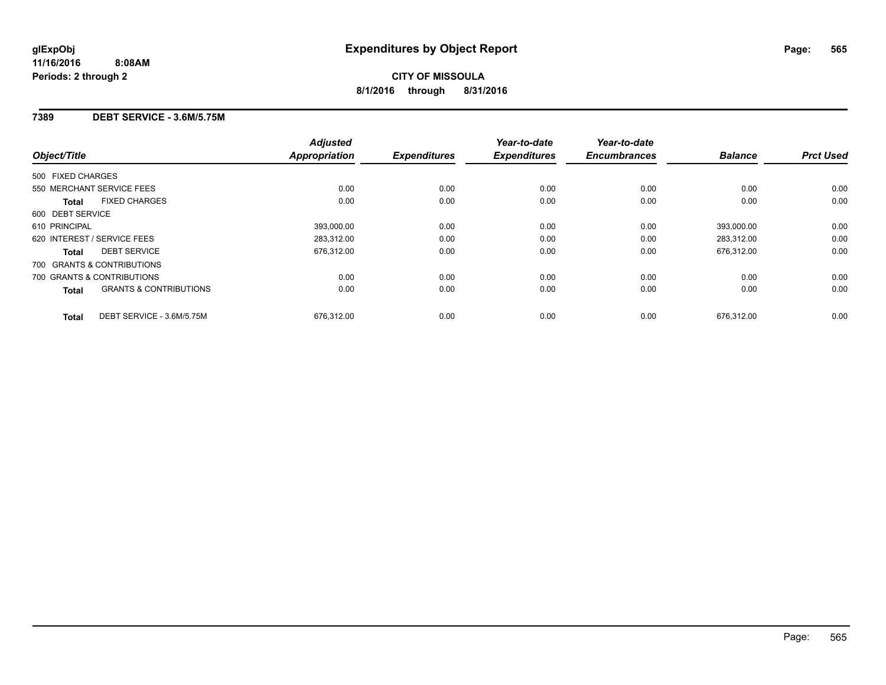#### **7389 DEBT SERVICE - 3.6M/5.75M**

| Object/Title                                      | <b>Adjusted</b><br><b>Appropriation</b> | <b>Expenditures</b> | Year-to-date<br><b>Expenditures</b> | Year-to-date<br><b>Encumbrances</b> | <b>Balance</b> | <b>Prct Used</b> |
|---------------------------------------------------|-----------------------------------------|---------------------|-------------------------------------|-------------------------------------|----------------|------------------|
|                                                   |                                         |                     |                                     |                                     |                |                  |
| 500 FIXED CHARGES                                 |                                         |                     |                                     |                                     |                |                  |
| 550 MERCHANT SERVICE FEES                         | 0.00                                    | 0.00                | 0.00                                | 0.00                                | 0.00           | 0.00             |
| <b>FIXED CHARGES</b><br><b>Total</b>              | 0.00                                    | 0.00                | 0.00                                | 0.00                                | 0.00           | 0.00             |
| 600 DEBT SERVICE                                  |                                         |                     |                                     |                                     |                |                  |
| 610 PRINCIPAL                                     | 393,000.00                              | 0.00                | 0.00                                | 0.00                                | 393,000.00     | 0.00             |
| 620 INTEREST / SERVICE FEES                       | 283.312.00                              | 0.00                | 0.00                                | 0.00                                | 283.312.00     | 0.00             |
| <b>DEBT SERVICE</b><br><b>Total</b>               | 676,312.00                              | 0.00                | 0.00                                | 0.00                                | 676,312.00     | 0.00             |
| 700 GRANTS & CONTRIBUTIONS                        |                                         |                     |                                     |                                     |                |                  |
| 700 GRANTS & CONTRIBUTIONS                        | 0.00                                    | 0.00                | 0.00                                | 0.00                                | 0.00           | 0.00             |
| <b>GRANTS &amp; CONTRIBUTIONS</b><br><b>Total</b> | 0.00                                    | 0.00                | 0.00                                | 0.00                                | 0.00           | 0.00             |
| DEBT SERVICE - 3.6M/5.75M<br><b>Total</b>         | 676,312.00                              | 0.00                | 0.00                                | 0.00                                | 676.312.00     | 0.00             |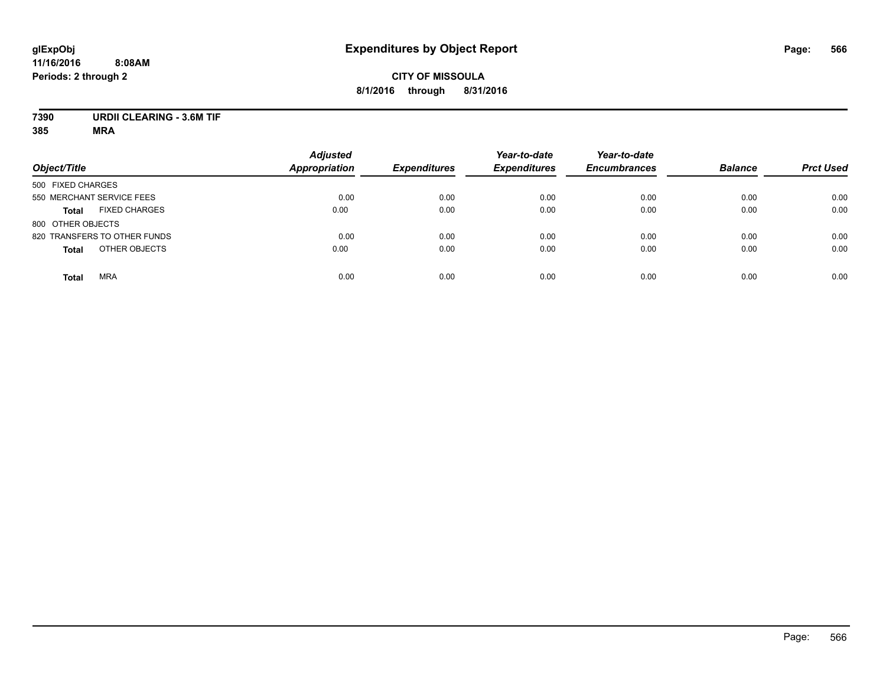### **CITY OF MISSOULA 8/1/2016 through 8/31/2016**

### **7390 URDII CLEARING - 3.6M TIF**

| Object/Title                         | <b>Adjusted</b><br><b>Appropriation</b> | <b>Expenditures</b> | Year-to-date<br><b>Expenditures</b> | Year-to-date<br><b>Encumbrances</b> | <b>Balance</b> | <b>Prct Used</b> |
|--------------------------------------|-----------------------------------------|---------------------|-------------------------------------|-------------------------------------|----------------|------------------|
| 500 FIXED CHARGES                    |                                         |                     |                                     |                                     |                |                  |
| 550 MERCHANT SERVICE FEES            | 0.00                                    | 0.00                | 0.00                                | 0.00                                | 0.00           | 0.00             |
| <b>FIXED CHARGES</b><br><b>Total</b> | 0.00                                    | 0.00                | 0.00                                | 0.00                                | 0.00           | 0.00             |
| 800 OTHER OBJECTS                    |                                         |                     |                                     |                                     |                |                  |
| 820 TRANSFERS TO OTHER FUNDS         | 0.00                                    | 0.00                | 0.00                                | 0.00                                | 0.00           | 0.00             |
| OTHER OBJECTS<br><b>Total</b>        | 0.00                                    | 0.00                | 0.00                                | 0.00                                | 0.00           | 0.00             |
| <b>MRA</b><br><b>Total</b>           | 0.00                                    | 0.00                | 0.00                                | 0.00                                | 0.00           | 0.00             |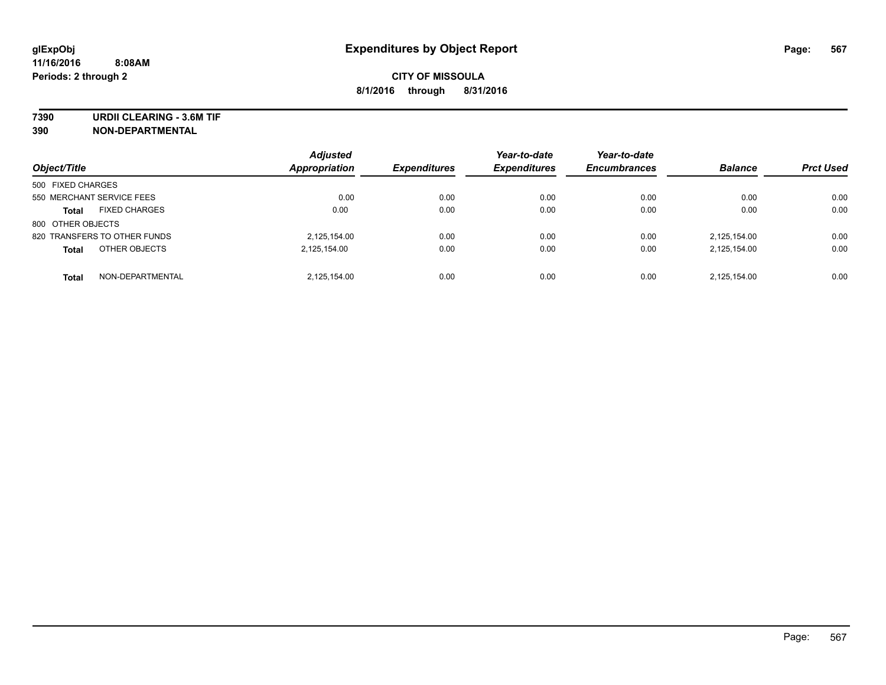**7390 URDII CLEARING - 3.6M TIF**

**390 NON-DEPARTMENTAL**

| Object/Title                         | <b>Adjusted</b><br>Appropriation | <b>Expenditures</b> | Year-to-date<br><b>Expenditures</b> | Year-to-date<br><b>Encumbrances</b> | <b>Balance</b> | <b>Prct Used</b> |
|--------------------------------------|----------------------------------|---------------------|-------------------------------------|-------------------------------------|----------------|------------------|
| 500 FIXED CHARGES                    |                                  |                     |                                     |                                     |                |                  |
| 550 MERCHANT SERVICE FEES            | 0.00                             | 0.00                | 0.00                                | 0.00                                | 0.00           | 0.00             |
| <b>FIXED CHARGES</b><br><b>Total</b> | 0.00                             | 0.00                | 0.00                                | 0.00                                | 0.00           | 0.00             |
| 800 OTHER OBJECTS                    |                                  |                     |                                     |                                     |                |                  |
| 820 TRANSFERS TO OTHER FUNDS         | 2,125,154.00                     | 0.00                | 0.00                                | 0.00                                | 2,125,154.00   | 0.00             |
| OTHER OBJECTS<br><b>Total</b>        | 2,125,154.00                     | 0.00                | 0.00                                | 0.00                                | 2,125,154.00   | 0.00             |
| NON-DEPARTMENTAL<br><b>Total</b>     | 2.125.154.00                     | 0.00                | 0.00                                | 0.00                                | 2.125.154.00   | 0.00             |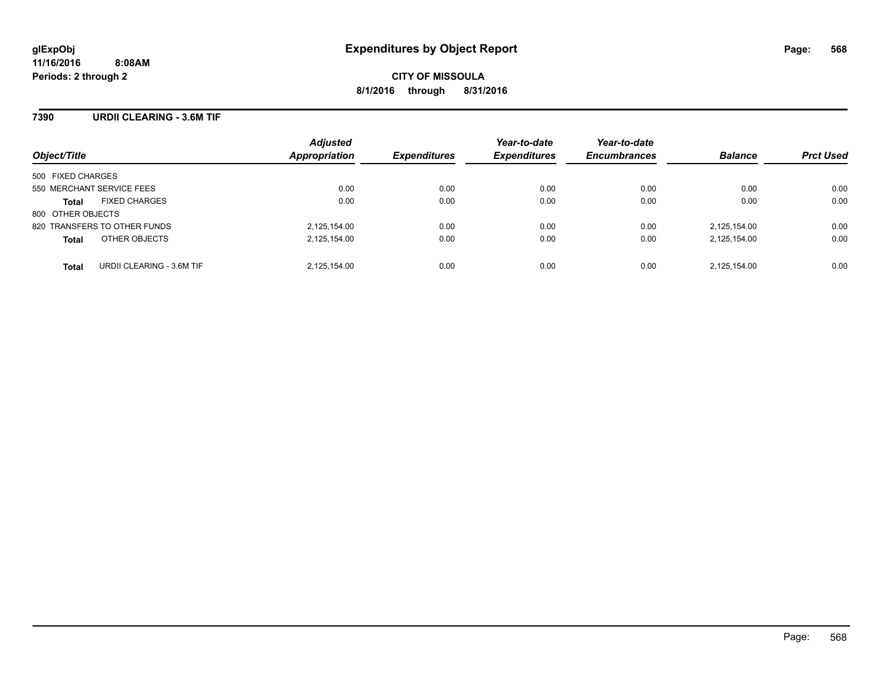#### **7390 URDII CLEARING - 3.6M TIF**

| Object/Title                              | <b>Adjusted</b><br>Appropriation | <b>Expenditures</b> | Year-to-date<br><b>Expenditures</b> | Year-to-date<br><b>Encumbrances</b> | <b>Balance</b> | <b>Prct Used</b> |
|-------------------------------------------|----------------------------------|---------------------|-------------------------------------|-------------------------------------|----------------|------------------|
| 500 FIXED CHARGES                         |                                  |                     |                                     |                                     |                |                  |
| 550 MERCHANT SERVICE FEES                 | 0.00                             | 0.00                | 0.00                                | 0.00                                | 0.00           | 0.00             |
| <b>FIXED CHARGES</b><br><b>Total</b>      | 0.00                             | 0.00                | 0.00                                | 0.00                                | 0.00           | 0.00             |
| 800 OTHER OBJECTS                         |                                  |                     |                                     |                                     |                |                  |
| 820 TRANSFERS TO OTHER FUNDS              | 2,125,154.00                     | 0.00                | 0.00                                | 0.00                                | 2,125,154.00   | 0.00             |
| OTHER OBJECTS<br><b>Total</b>             | 2,125,154.00                     | 0.00                | 0.00                                | 0.00                                | 2,125,154.00   | 0.00             |
| URDII CLEARING - 3.6M TIF<br><b>Total</b> | 2,125,154.00                     | 0.00                | 0.00                                | 0.00                                | 2.125.154.00   | 0.00             |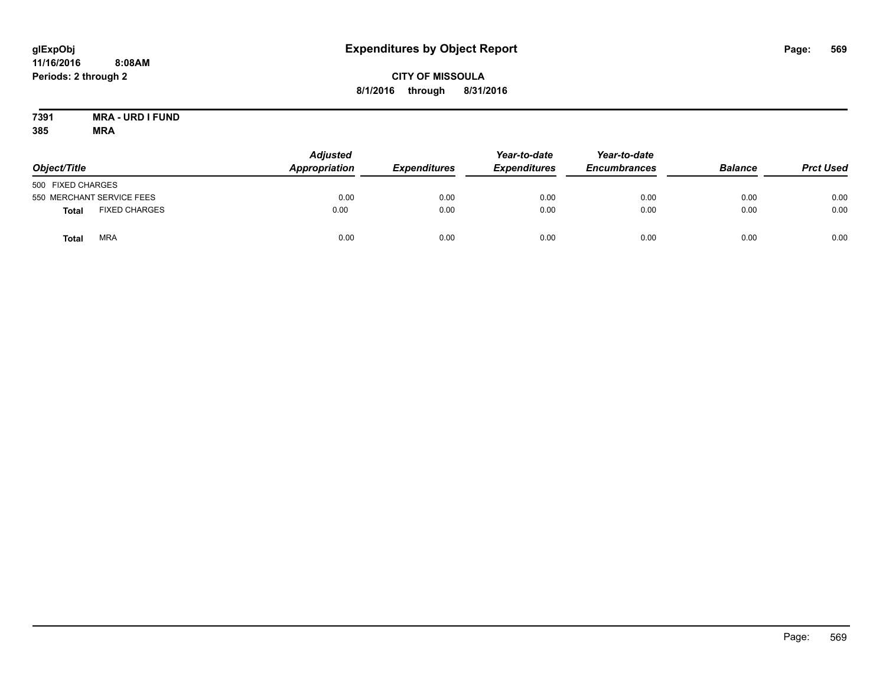### **CITY OF MISSOULA 8/1/2016 through 8/31/2016**

#### **7391 MRA - URD I FUND 385 MRA**

| Object/Title                         | <b>Adjusted</b><br>Appropriation | <b>Expenditures</b> | Year-to-date<br><b>Expenditures</b> | Year-to-date<br><b>Encumbrances</b> | <b>Balance</b> | <b>Prct Used</b> |
|--------------------------------------|----------------------------------|---------------------|-------------------------------------|-------------------------------------|----------------|------------------|
| 500 FIXED CHARGES                    |                                  |                     |                                     |                                     |                |                  |
| 550 MERCHANT SERVICE FEES            | 0.00                             | 0.00                | 0.00                                | 0.00                                | 0.00           | 0.00             |
| <b>FIXED CHARGES</b><br><b>Total</b> | 0.00                             | 0.00                | 0.00                                | 0.00                                | 0.00           | 0.00             |
| <b>MRA</b><br><b>Total</b>           | 0.00                             | 0.00                | 0.00                                | 0.00                                | 0.00           | 0.00             |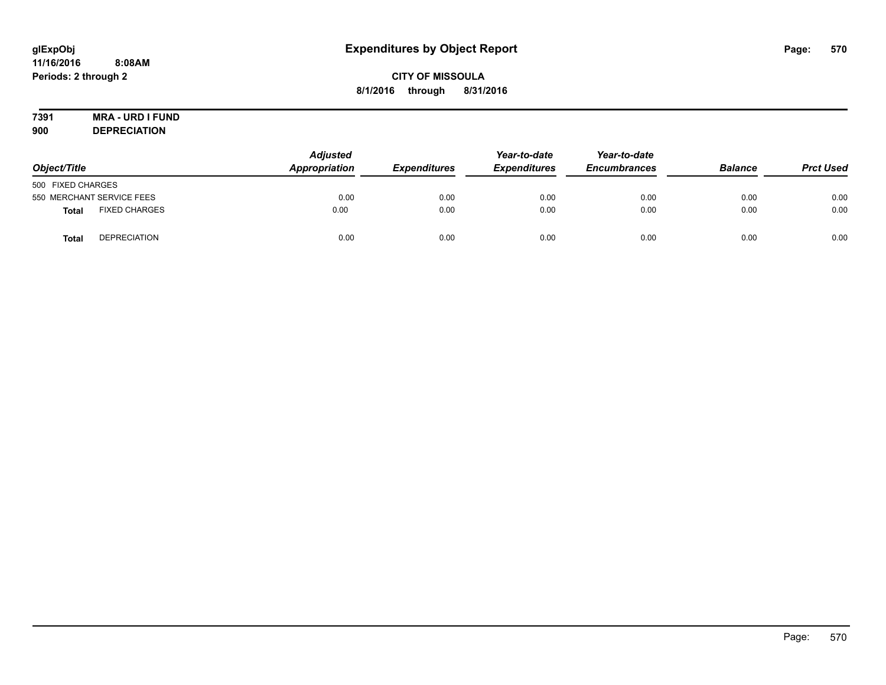### **CITY OF MISSOULA 8/1/2016 through 8/31/2016**

# **7391 MRA - URD I FUND**

**900 DEPRECIATION**

| Object/Title              |                      | <b>Adjusted</b><br>Appropriation | <b>Expenditures</b> | Year-to-date<br><b>Expenditures</b> | Year-to-date<br><b>Encumbrances</b> | <b>Balance</b> | <b>Prct Used</b> |
|---------------------------|----------------------|----------------------------------|---------------------|-------------------------------------|-------------------------------------|----------------|------------------|
| 500 FIXED CHARGES         |                      |                                  |                     |                                     |                                     |                |                  |
| 550 MERCHANT SERVICE FEES |                      | 0.00                             | 0.00                | 0.00                                | 0.00                                | 0.00           | 0.00             |
| <b>Total</b>              | <b>FIXED CHARGES</b> | 0.00                             | 0.00                | 0.00                                | 0.00                                | 0.00           | 0.00             |
| <b>Total</b>              | <b>DEPRECIATION</b>  | 0.00                             | 0.00                | 0.00                                | 0.00                                | 0.00           | 0.00             |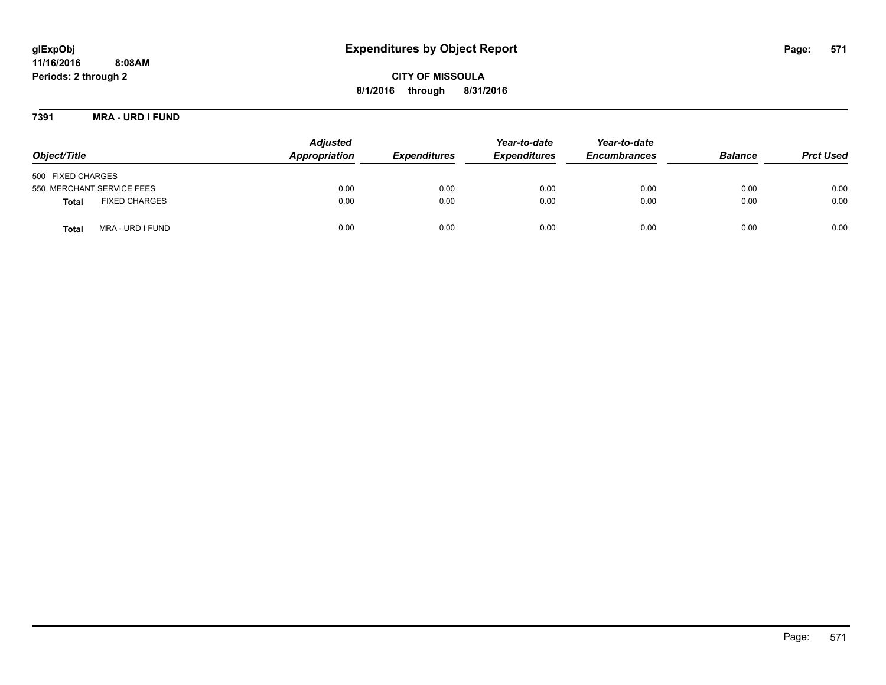## **glExpObj Expenditures by Object Report Page: 571**

**11/16/2016 8:08AM Periods: 2 through 2**

**8/1/2016 through 8/31/2016**

**7391 MRA - URD I FUND**

| Object/Title                         | <b>Adjusted</b><br>Appropriation | <b>Expenditures</b> | Year-to-date<br><b>Expenditures</b> | Year-to-date<br><b>Encumbrances</b> | <b>Balance</b> | <b>Prct Used</b> |
|--------------------------------------|----------------------------------|---------------------|-------------------------------------|-------------------------------------|----------------|------------------|
| 500 FIXED CHARGES                    |                                  |                     |                                     |                                     |                |                  |
| 550 MERCHANT SERVICE FEES            | 0.00                             | 0.00                | 0.00                                | 0.00                                | 0.00           | 0.00             |
| <b>FIXED CHARGES</b><br><b>Total</b> | 0.00                             | 0.00                | 0.00                                | 0.00                                | 0.00           | 0.00             |
| MRA - URD I FUND<br><b>Total</b>     | 0.00                             | 0.00                | 0.00                                | 0.00                                | 0.00           | 0.00             |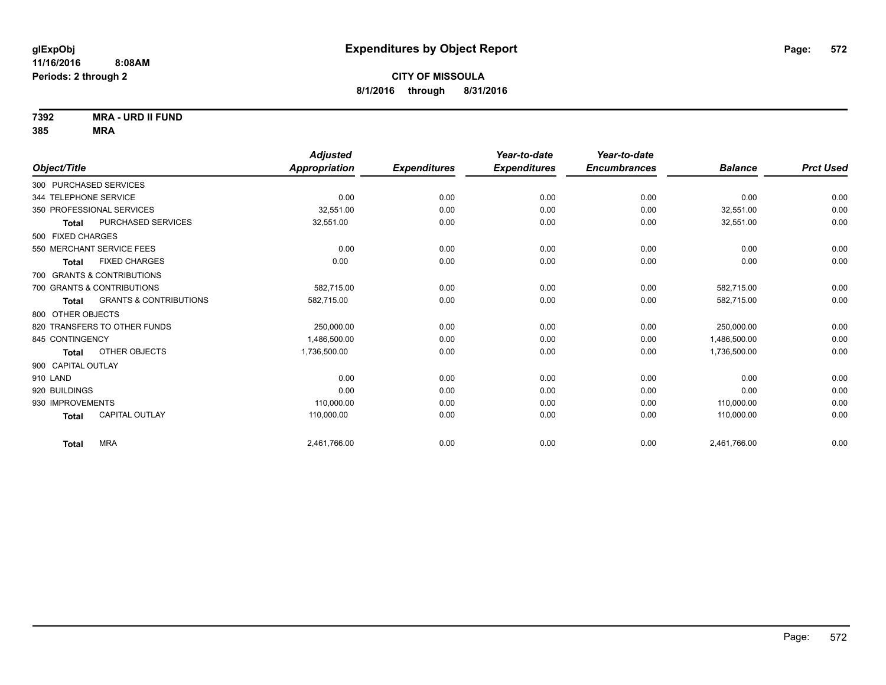**7392 MRA - URD II FUND**

|                                                   | <b>Adjusted</b>      |                     | Year-to-date        | Year-to-date        |                |                  |
|---------------------------------------------------|----------------------|---------------------|---------------------|---------------------|----------------|------------------|
| Object/Title                                      | <b>Appropriation</b> | <b>Expenditures</b> | <b>Expenditures</b> | <b>Encumbrances</b> | <b>Balance</b> | <b>Prct Used</b> |
| 300 PURCHASED SERVICES                            |                      |                     |                     |                     |                |                  |
| 344 TELEPHONE SERVICE                             | 0.00                 | 0.00                | 0.00                | 0.00                | 0.00           | 0.00             |
| 350 PROFESSIONAL SERVICES                         | 32,551.00            | 0.00                | 0.00                | 0.00                | 32,551.00      | 0.00             |
| PURCHASED SERVICES<br><b>Total</b>                | 32,551.00            | 0.00                | 0.00                | 0.00                | 32,551.00      | 0.00             |
| 500 FIXED CHARGES                                 |                      |                     |                     |                     |                |                  |
| 550 MERCHANT SERVICE FEES                         | 0.00                 | 0.00                | 0.00                | 0.00                | 0.00           | 0.00             |
| <b>FIXED CHARGES</b><br>Total                     | 0.00                 | 0.00                | 0.00                | 0.00                | 0.00           | 0.00             |
| 700 GRANTS & CONTRIBUTIONS                        |                      |                     |                     |                     |                |                  |
| 700 GRANTS & CONTRIBUTIONS                        | 582.715.00           | 0.00                | 0.00                | 0.00                | 582,715.00     | 0.00             |
| <b>GRANTS &amp; CONTRIBUTIONS</b><br><b>Total</b> | 582,715.00           | 0.00                | 0.00                | 0.00                | 582,715.00     | 0.00             |
| 800 OTHER OBJECTS                                 |                      |                     |                     |                     |                |                  |
| 820 TRANSFERS TO OTHER FUNDS                      | 250,000.00           | 0.00                | 0.00                | 0.00                | 250.000.00     | 0.00             |
| 845 CONTINGENCY                                   | 1,486,500.00         | 0.00                | 0.00                | 0.00                | 1,486,500.00   | 0.00             |
| OTHER OBJECTS<br><b>Total</b>                     | 1,736,500.00         | 0.00                | 0.00                | 0.00                | 1,736,500.00   | 0.00             |
| 900 CAPITAL OUTLAY                                |                      |                     |                     |                     |                |                  |
| 910 LAND                                          | 0.00                 | 0.00                | 0.00                | 0.00                | 0.00           | 0.00             |
| 920 BUILDINGS                                     | 0.00                 | 0.00                | 0.00                | 0.00                | 0.00           | 0.00             |
| 930 IMPROVEMENTS                                  | 110,000.00           | 0.00                | 0.00                | 0.00                | 110,000.00     | 0.00             |
| <b>CAPITAL OUTLAY</b><br><b>Total</b>             | 110,000.00           | 0.00                | 0.00                | 0.00                | 110,000.00     | 0.00             |
| <b>MRA</b><br><b>Total</b>                        | 2,461,766.00         | 0.00                | 0.00                | 0.00                | 2,461,766.00   | 0.00             |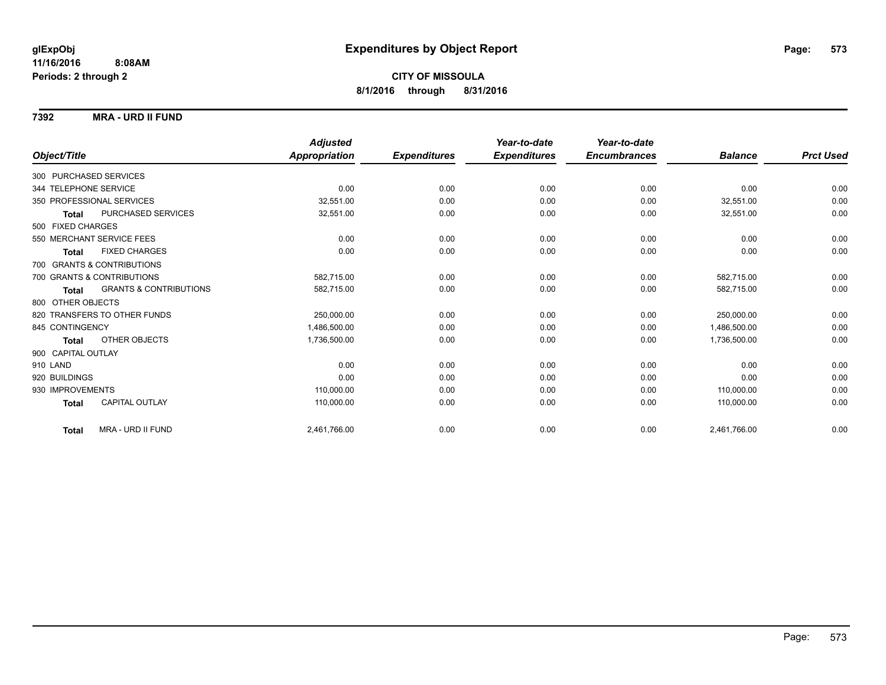#### **7392 MRA - URD II FUND**

|                            |                                   | <b>Adjusted</b> |                     | Year-to-date        | Year-to-date        |                |                  |
|----------------------------|-----------------------------------|-----------------|---------------------|---------------------|---------------------|----------------|------------------|
| Object/Title               |                                   | Appropriation   | <b>Expenditures</b> | <b>Expenditures</b> | <b>Encumbrances</b> | <b>Balance</b> | <b>Prct Used</b> |
| 300 PURCHASED SERVICES     |                                   |                 |                     |                     |                     |                |                  |
| 344 TELEPHONE SERVICE      |                                   | 0.00            | 0.00                | 0.00                | 0.00                | 0.00           | 0.00             |
| 350 PROFESSIONAL SERVICES  |                                   | 32.551.00       | 0.00                | 0.00                | 0.00                | 32,551.00      | 0.00             |
| <b>Total</b>               | PURCHASED SERVICES                | 32,551.00       | 0.00                | 0.00                | 0.00                | 32,551.00      | 0.00             |
| 500 FIXED CHARGES          |                                   |                 |                     |                     |                     |                |                  |
| 550 MERCHANT SERVICE FEES  |                                   | 0.00            | 0.00                | 0.00                | 0.00                | 0.00           | 0.00             |
| <b>Total</b>               | <b>FIXED CHARGES</b>              | 0.00            | 0.00                | 0.00                | 0.00                | 0.00           | 0.00             |
| 700 GRANTS & CONTRIBUTIONS |                                   |                 |                     |                     |                     |                |                  |
| 700 GRANTS & CONTRIBUTIONS |                                   | 582,715.00      | 0.00                | 0.00                | 0.00                | 582.715.00     | 0.00             |
| <b>Total</b>               | <b>GRANTS &amp; CONTRIBUTIONS</b> | 582,715.00      | 0.00                | 0.00                | 0.00                | 582,715.00     | 0.00             |
| 800 OTHER OBJECTS          |                                   |                 |                     |                     |                     |                |                  |
|                            | 820 TRANSFERS TO OTHER FUNDS      | 250,000.00      | 0.00                | 0.00                | 0.00                | 250,000.00     | 0.00             |
| 845 CONTINGENCY            |                                   | 1,486,500.00    | 0.00                | 0.00                | 0.00                | 1,486,500.00   | 0.00             |
| <b>Total</b>               | OTHER OBJECTS                     | 1,736,500.00    | 0.00                | 0.00                | 0.00                | 1,736,500.00   | 0.00             |
| 900 CAPITAL OUTLAY         |                                   |                 |                     |                     |                     |                |                  |
| 910 LAND                   |                                   | 0.00            | 0.00                | 0.00                | 0.00                | 0.00           | 0.00             |
| 920 BUILDINGS              |                                   | 0.00            | 0.00                | 0.00                | 0.00                | 0.00           | 0.00             |
| 930 IMPROVEMENTS           |                                   | 110,000.00      | 0.00                | 0.00                | 0.00                | 110.000.00     | 0.00             |
| <b>Total</b>               | <b>CAPITAL OUTLAY</b>             | 110,000.00      | 0.00                | 0.00                | 0.00                | 110,000.00     | 0.00             |
| <b>Total</b>               | MRA - URD II FUND                 | 2,461,766.00    | 0.00                | 0.00                | 0.00                | 2,461,766.00   | 0.00             |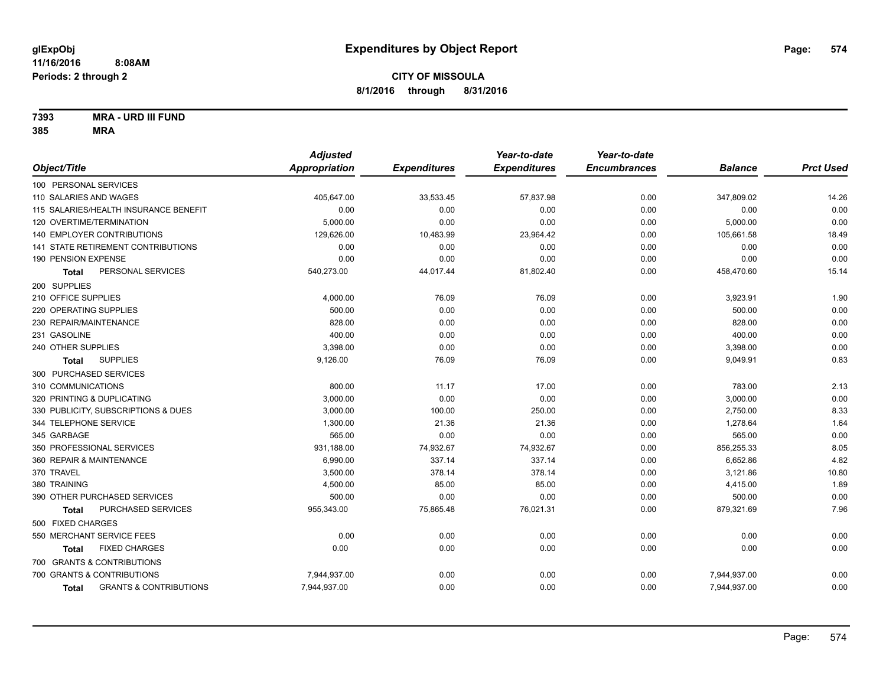**7393 MRA - URD III FUND**

|                                            | <b>Adjusted</b> |                     | Year-to-date        | Year-to-date        |                |                  |
|--------------------------------------------|-----------------|---------------------|---------------------|---------------------|----------------|------------------|
| Object/Title                               | Appropriation   | <b>Expenditures</b> | <b>Expenditures</b> | <b>Encumbrances</b> | <b>Balance</b> | <b>Prct Used</b> |
| 100 PERSONAL SERVICES                      |                 |                     |                     |                     |                |                  |
| 110 SALARIES AND WAGES                     | 405,647.00      | 33,533.45           | 57,837.98           | 0.00                | 347,809.02     | 14.26            |
| 115 SALARIES/HEALTH INSURANCE BENEFIT      | 0.00            | 0.00                | 0.00                | 0.00                | 0.00           | 0.00             |
| 120 OVERTIME/TERMINATION                   | 5,000.00        | 0.00                | 0.00                | 0.00                | 5,000.00       | 0.00             |
| 140 EMPLOYER CONTRIBUTIONS                 | 129,626.00      | 10,483.99           | 23,964.42           | 0.00                | 105,661.58     | 18.49            |
| 141 STATE RETIREMENT CONTRIBUTIONS         | 0.00            | 0.00                | 0.00                | 0.00                | 0.00           | 0.00             |
| 190 PENSION EXPENSE                        | 0.00            | 0.00                | 0.00                | 0.00                | 0.00           | 0.00             |
| PERSONAL SERVICES<br><b>Total</b>          | 540,273.00      | 44,017.44           | 81,802.40           | 0.00                | 458,470.60     | 15.14            |
| 200 SUPPLIES                               |                 |                     |                     |                     |                |                  |
| 210 OFFICE SUPPLIES                        | 4,000.00        | 76.09               | 76.09               | 0.00                | 3,923.91       | 1.90             |
| 220 OPERATING SUPPLIES                     | 500.00          | 0.00                | 0.00                | 0.00                | 500.00         | 0.00             |
| 230 REPAIR/MAINTENANCE                     | 828.00          | 0.00                | 0.00                | 0.00                | 828.00         | 0.00             |
| 231 GASOLINE                               | 400.00          | 0.00                | 0.00                | 0.00                | 400.00         | 0.00             |
| 240 OTHER SUPPLIES                         | 3,398.00        | 0.00                | 0.00                | 0.00                | 3,398.00       | 0.00             |
| <b>SUPPLIES</b><br>Total                   | 9,126.00        | 76.09               | 76.09               | 0.00                | 9,049.91       | 0.83             |
| 300 PURCHASED SERVICES                     |                 |                     |                     |                     |                |                  |
| 310 COMMUNICATIONS                         | 800.00          | 11.17               | 17.00               | 0.00                | 783.00         | 2.13             |
| 320 PRINTING & DUPLICATING                 | 3,000.00        | 0.00                | 0.00                | 0.00                | 3,000.00       | 0.00             |
| 330 PUBLICITY, SUBSCRIPTIONS & DUES        | 3,000.00        | 100.00              | 250.00              | 0.00                | 2,750.00       | 8.33             |
| 344 TELEPHONE SERVICE                      | 1,300.00        | 21.36               | 21.36               | 0.00                | 1,278.64       | 1.64             |
| 345 GARBAGE                                | 565.00          | 0.00                | 0.00                | 0.00                | 565.00         | 0.00             |
| 350 PROFESSIONAL SERVICES                  | 931,188.00      | 74,932.67           | 74,932.67           | 0.00                | 856,255.33     | 8.05             |
| 360 REPAIR & MAINTENANCE                   | 6,990.00        | 337.14              | 337.14              | 0.00                | 6,652.86       | 4.82             |
| 370 TRAVEL                                 | 3,500.00        | 378.14              | 378.14              | 0.00                | 3,121.86       | 10.80            |
| 380 TRAINING                               | 4,500.00        | 85.00               | 85.00               | 0.00                | 4,415.00       | 1.89             |
| 390 OTHER PURCHASED SERVICES               | 500.00          | 0.00                | 0.00                | 0.00                | 500.00         | 0.00             |
| PURCHASED SERVICES<br><b>Total</b>         | 955,343.00      | 75,865.48           | 76,021.31           | 0.00                | 879,321.69     | 7.96             |
| 500 FIXED CHARGES                          |                 |                     |                     |                     |                |                  |
| 550 MERCHANT SERVICE FEES                  | 0.00            | 0.00                | 0.00                | 0.00                | 0.00           | 0.00             |
| <b>FIXED CHARGES</b><br>Total              | 0.00            | 0.00                | 0.00                | 0.00                | 0.00           | 0.00             |
| 700 GRANTS & CONTRIBUTIONS                 |                 |                     |                     |                     |                |                  |
| 700 GRANTS & CONTRIBUTIONS                 | 7,944,937.00    | 0.00                | 0.00                | 0.00                | 7,944,937.00   | 0.00             |
| <b>GRANTS &amp; CONTRIBUTIONS</b><br>Total | 7,944,937.00    | 0.00                | 0.00                | 0.00                | 7,944,937.00   | 0.00             |
|                                            |                 |                     |                     |                     |                |                  |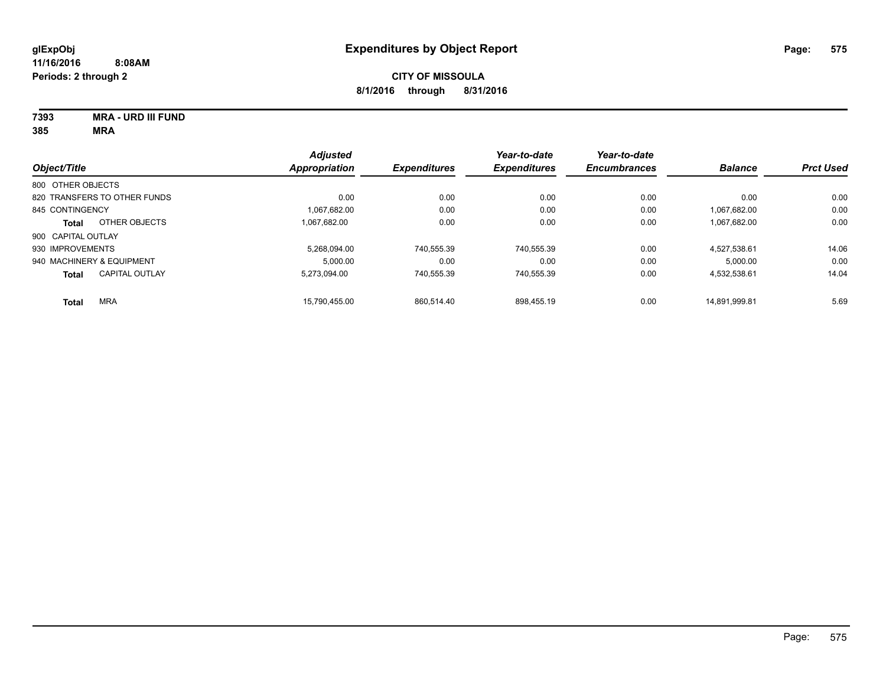**7393 MRA - URD III FUND**

|                              |                       | <b>Adjusted</b>     |                     | Year-to-date        | Year-to-date   |                  |       |
|------------------------------|-----------------------|---------------------|---------------------|---------------------|----------------|------------------|-------|
| Object/Title                 | <b>Appropriation</b>  | <b>Expenditures</b> | <b>Expenditures</b> | <b>Encumbrances</b> | <b>Balance</b> | <b>Prct Used</b> |       |
| 800 OTHER OBJECTS            |                       |                     |                     |                     |                |                  |       |
| 820 TRANSFERS TO OTHER FUNDS |                       | 0.00                | 0.00                | 0.00                | 0.00           | 0.00             | 0.00  |
| 845 CONTINGENCY              |                       | 1,067,682.00        | 0.00                | 0.00                | 0.00           | 1,067,682.00     | 0.00  |
| <b>Total</b>                 | OTHER OBJECTS         | 1.067.682.00        | 0.00                | 0.00                | 0.00           | 1,067,682.00     | 0.00  |
| 900 CAPITAL OUTLAY           |                       |                     |                     |                     |                |                  |       |
| 930 IMPROVEMENTS             |                       | 5.268.094.00        | 740.555.39          | 740.555.39          | 0.00           | 4.527.538.61     | 14.06 |
| 940 MACHINERY & EQUIPMENT    |                       | 5.000.00            | 0.00                | 0.00                | 0.00           | 5.000.00         | 0.00  |
| <b>Total</b>                 | <b>CAPITAL OUTLAY</b> | 5.273.094.00        | 740.555.39          | 740.555.39          | 0.00           | 4.532.538.61     | 14.04 |
| <b>Total</b>                 | <b>MRA</b>            | 15.790.455.00       | 860.514.40          | 898.455.19          | 0.00           | 14.891.999.81    | 5.69  |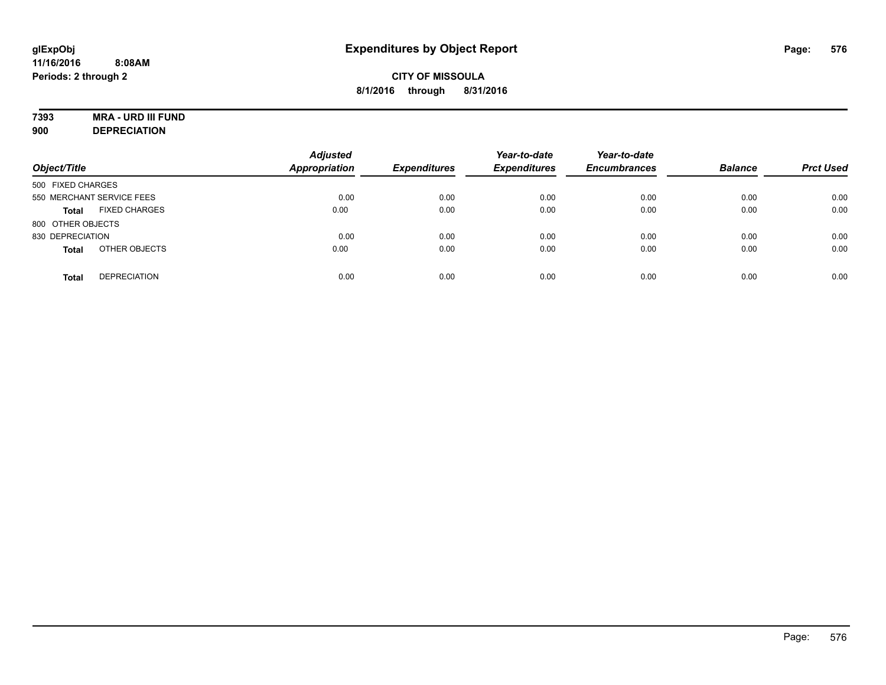# **7393 MRA - URD III FUND**

**900 DEPRECIATION**

| Object/Title                         | <b>Adjusted</b><br>Appropriation | <b>Expenditures</b> | Year-to-date<br><b>Expenditures</b> | Year-to-date<br><b>Encumbrances</b> | <b>Balance</b> | <b>Prct Used</b> |
|--------------------------------------|----------------------------------|---------------------|-------------------------------------|-------------------------------------|----------------|------------------|
| 500 FIXED CHARGES                    |                                  |                     |                                     |                                     |                |                  |
| 550 MERCHANT SERVICE FEES            | 0.00                             | 0.00                | 0.00                                | 0.00                                | 0.00           | 0.00             |
| <b>FIXED CHARGES</b><br><b>Total</b> | 0.00                             | 0.00                | 0.00                                | 0.00                                | 0.00           | 0.00             |
| 800 OTHER OBJECTS                    |                                  |                     |                                     |                                     |                |                  |
| 830 DEPRECIATION                     | 0.00                             | 0.00                | 0.00                                | 0.00                                | 0.00           | 0.00             |
| OTHER OBJECTS<br><b>Total</b>        | 0.00                             | 0.00                | 0.00                                | 0.00                                | 0.00           | 0.00             |
| <b>DEPRECIATION</b><br><b>Total</b>  | 0.00                             | 0.00                | 0.00                                | 0.00                                | 0.00           | 0.00             |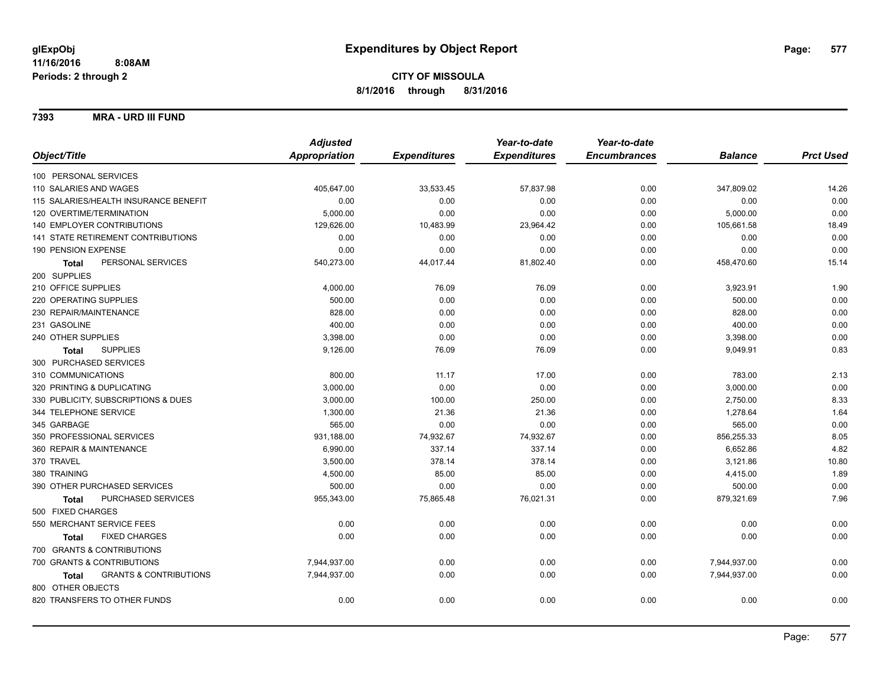#### **7393 MRA - URD III FUND**

|                                            | <b>Adjusted</b>      |                     | Year-to-date        | Year-to-date        |                |                  |
|--------------------------------------------|----------------------|---------------------|---------------------|---------------------|----------------|------------------|
| Object/Title                               | <b>Appropriation</b> | <b>Expenditures</b> | <b>Expenditures</b> | <b>Encumbrances</b> | <b>Balance</b> | <b>Prct Used</b> |
| 100 PERSONAL SERVICES                      |                      |                     |                     |                     |                |                  |
| 110 SALARIES AND WAGES                     | 405,647.00           | 33,533.45           | 57,837.98           | 0.00                | 347,809.02     | 14.26            |
| 115 SALARIES/HEALTH INSURANCE BENEFIT      | 0.00                 | 0.00                | 0.00                | 0.00                | 0.00           | 0.00             |
| 120 OVERTIME/TERMINATION                   | 5,000.00             | 0.00                | 0.00                | 0.00                | 5,000.00       | 0.00             |
| 140 EMPLOYER CONTRIBUTIONS                 | 129,626.00           | 10,483.99           | 23,964.42           | 0.00                | 105,661.58     | 18.49            |
| <b>141 STATE RETIREMENT CONTRIBUTIONS</b>  | 0.00                 | 0.00                | 0.00                | 0.00                | 0.00           | 0.00             |
| 190 PENSION EXPENSE                        | 0.00                 | 0.00                | 0.00                | 0.00                | 0.00           | 0.00             |
| PERSONAL SERVICES<br><b>Total</b>          | 540,273.00           | 44,017.44           | 81,802.40           | 0.00                | 458,470.60     | 15.14            |
| 200 SUPPLIES                               |                      |                     |                     |                     |                |                  |
| 210 OFFICE SUPPLIES                        | 4,000.00             | 76.09               | 76.09               | 0.00                | 3,923.91       | 1.90             |
| 220 OPERATING SUPPLIES                     | 500.00               | 0.00                | 0.00                | 0.00                | 500.00         | 0.00             |
| 230 REPAIR/MAINTENANCE                     | 828.00               | 0.00                | 0.00                | 0.00                | 828.00         | 0.00             |
| 231 GASOLINE                               | 400.00               | 0.00                | 0.00                | 0.00                | 400.00         | 0.00             |
| 240 OTHER SUPPLIES                         | 3,398.00             | 0.00                | 0.00                | 0.00                | 3,398.00       | 0.00             |
| <b>SUPPLIES</b><br>Total                   | 9,126.00             | 76.09               | 76.09               | 0.00                | 9,049.91       | 0.83             |
| 300 PURCHASED SERVICES                     |                      |                     |                     |                     |                |                  |
| 310 COMMUNICATIONS                         | 800.00               | 11.17               | 17.00               | 0.00                | 783.00         | 2.13             |
| 320 PRINTING & DUPLICATING                 | 3,000.00             | 0.00                | 0.00                | 0.00                | 3,000.00       | 0.00             |
| 330 PUBLICITY, SUBSCRIPTIONS & DUES        | 3,000.00             | 100.00              | 250.00              | 0.00                | 2,750.00       | 8.33             |
| 344 TELEPHONE SERVICE                      | 1,300.00             | 21.36               | 21.36               | 0.00                | 1,278.64       | 1.64             |
| 345 GARBAGE                                | 565.00               | 0.00                | 0.00                | 0.00                | 565.00         | 0.00             |
| 350 PROFESSIONAL SERVICES                  | 931,188.00           | 74,932.67           | 74,932.67           | 0.00                | 856,255.33     | 8.05             |
| 360 REPAIR & MAINTENANCE                   | 6,990.00             | 337.14              | 337.14              | 0.00                | 6,652.86       | 4.82             |
| 370 TRAVEL                                 | 3,500.00             | 378.14              | 378.14              | 0.00                | 3,121.86       | 10.80            |
| 380 TRAINING                               | 4,500.00             | 85.00               | 85.00               | 0.00                | 4,415.00       | 1.89             |
| 390 OTHER PURCHASED SERVICES               | 500.00               | 0.00                | 0.00                | 0.00                | 500.00         | 0.00             |
| PURCHASED SERVICES<br><b>Total</b>         | 955,343.00           | 75,865.48           | 76,021.31           | 0.00                | 879,321.69     | 7.96             |
| 500 FIXED CHARGES                          |                      |                     |                     |                     |                |                  |
| 550 MERCHANT SERVICE FEES                  | 0.00                 | 0.00                | 0.00                | 0.00                | 0.00           | 0.00             |
| <b>FIXED CHARGES</b><br><b>Total</b>       | 0.00                 | 0.00                | 0.00                | 0.00                | 0.00           | 0.00             |
| 700 GRANTS & CONTRIBUTIONS                 |                      |                     |                     |                     |                |                  |
| 700 GRANTS & CONTRIBUTIONS                 | 7,944,937.00         | 0.00                | 0.00                | 0.00                | 7,944,937.00   | 0.00             |
| <b>GRANTS &amp; CONTRIBUTIONS</b><br>Total | 7,944,937.00         | 0.00                | 0.00                | 0.00                | 7,944,937.00   | 0.00             |
| 800 OTHER OBJECTS                          |                      |                     |                     |                     |                |                  |
| 820 TRANSFERS TO OTHER FUNDS               | 0.00                 | 0.00                | 0.00                | 0.00                | 0.00           | 0.00             |
|                                            |                      |                     |                     |                     |                |                  |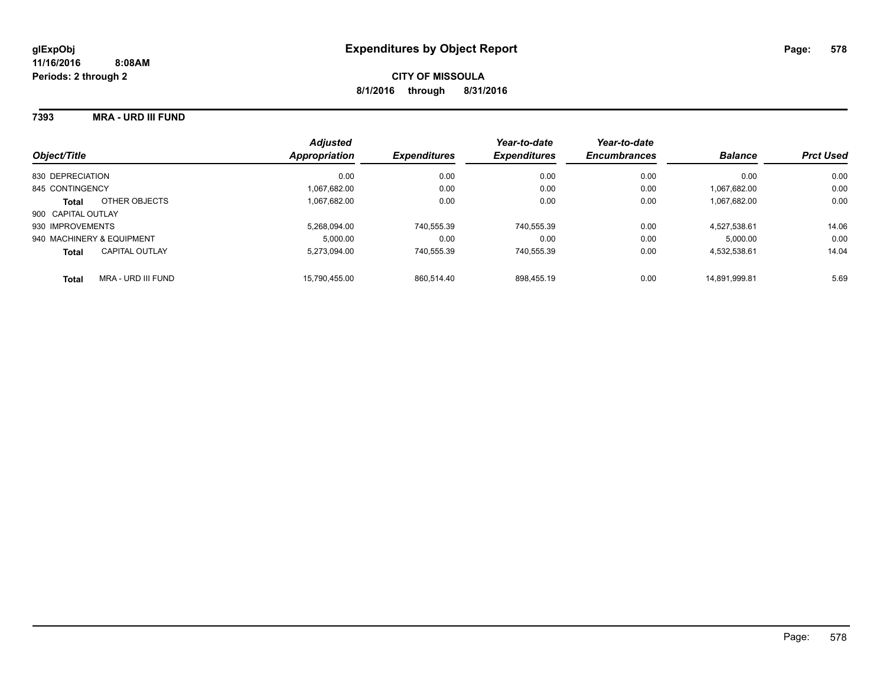#### **7393 MRA - URD III FUND**

| Object/Title                          | <b>Adjusted</b><br>Appropriation | <b>Expenditures</b> | Year-to-date<br><b>Expenditures</b> | Year-to-date<br><b>Encumbrances</b> | <b>Balance</b> | <b>Prct Used</b> |
|---------------------------------------|----------------------------------|---------------------|-------------------------------------|-------------------------------------|----------------|------------------|
| 830 DEPRECIATION                      | 0.00                             | 0.00                | 0.00                                | 0.00                                | 0.00           | 0.00             |
| 845 CONTINGENCY                       | 1.067.682.00                     | 0.00                | 0.00                                | 0.00                                | 1.067.682.00   | 0.00             |
| OTHER OBJECTS<br><b>Total</b>         | 1.067.682.00                     | 0.00                | 0.00                                | 0.00                                | 1.067.682.00   | 0.00             |
| 900 CAPITAL OUTLAY                    |                                  |                     |                                     |                                     |                |                  |
| 930 IMPROVEMENTS                      | 5.268.094.00                     | 740,555.39          | 740.555.39                          | 0.00                                | 4.527.538.61   | 14.06            |
| 940 MACHINERY & EQUIPMENT             | 5.000.00                         | 0.00                | 0.00                                | 0.00                                | 5.000.00       | 0.00             |
| <b>CAPITAL OUTLAY</b><br><b>Total</b> | 5.273.094.00                     | 740.555.39          | 740.555.39                          | 0.00                                | 4.532.538.61   | 14.04            |
| MRA - URD III FUND<br><b>Total</b>    | 15.790.455.00                    | 860.514.40          | 898.455.19                          | 0.00                                | 14.891.999.81  | 5.69             |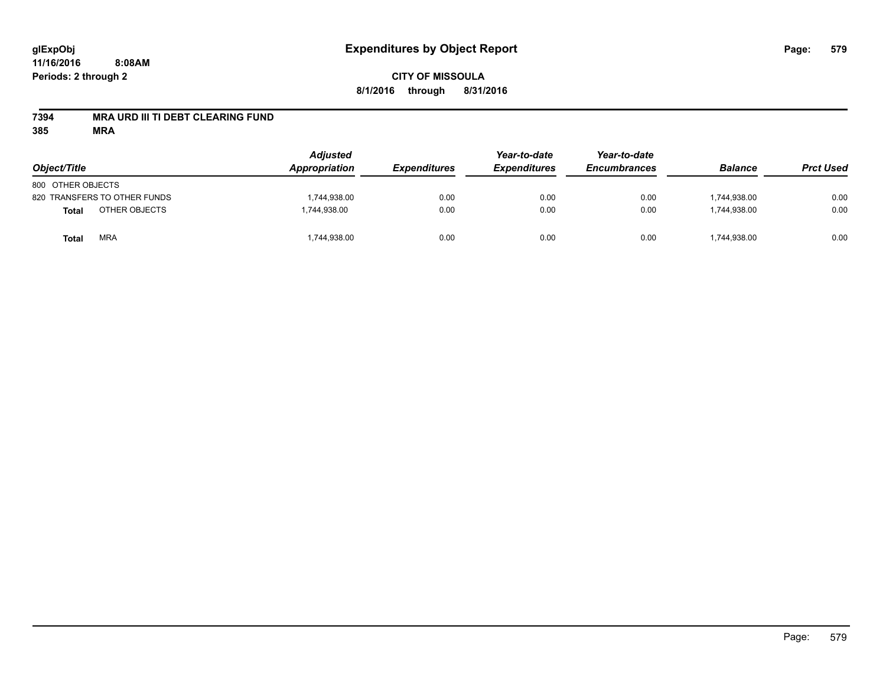# **CITY OF MISSOULA 8/1/2016 through 8/31/2016**

## **7394 MRA URD III TI DEBT CLEARING FUND**

| Object/Title                  | <b>Adjusted</b><br>Appropriation | <b>Expenditures</b> | Year-to-date<br><b>Expenditures</b> | Year-to-date<br><b>Encumbrances</b> | <b>Balance</b> | <b>Prct Used</b> |
|-------------------------------|----------------------------------|---------------------|-------------------------------------|-------------------------------------|----------------|------------------|
| 800 OTHER OBJECTS             |                                  |                     |                                     |                                     |                |                  |
| 820 TRANSFERS TO OTHER FUNDS  | 1,744,938.00                     | 0.00                | 0.00                                | 0.00                                | 1.744.938.00   | 0.00             |
| OTHER OBJECTS<br><b>Total</b> | 1,744,938.00                     | 0.00                | 0.00                                | 0.00                                | 1,744,938.00   | 0.00             |
| <b>MRA</b><br>Total           | 1,744,938.00                     | 0.00                | 0.00                                | 0.00                                | 1,744,938.00   | 0.00             |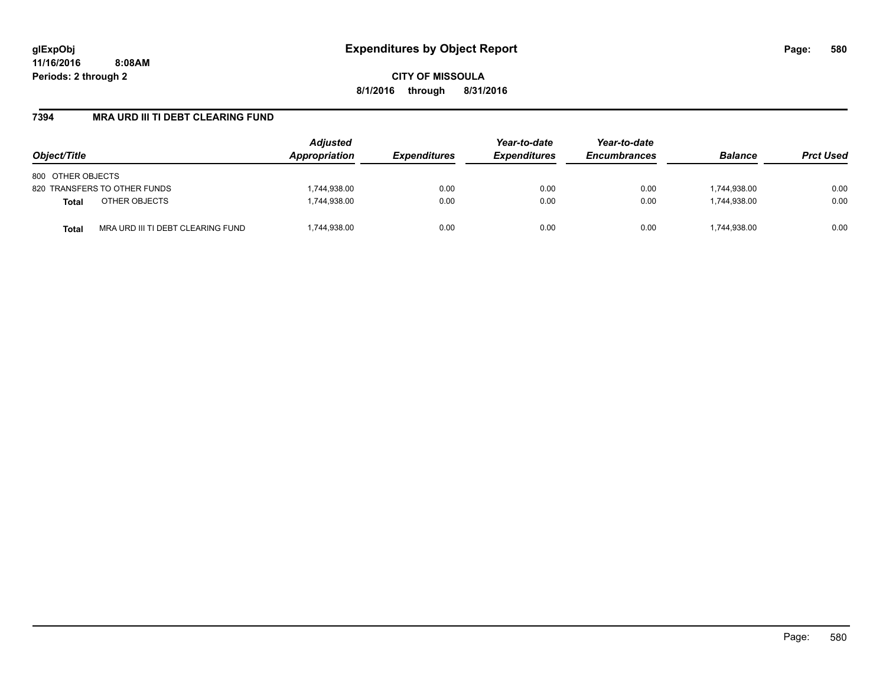**CITY OF MISSOULA 8/1/2016 through 8/31/2016**

## **7394 MRA URD III TI DEBT CLEARING FUND**

| Object/Title                                      | <b>Adjusted</b><br>Appropriation | <b>Expenditures</b> | Year-to-date<br><b>Expenditures</b> | Year-to-date<br><b>Encumbrances</b> | <b>Balance</b> | <b>Prct Used</b> |
|---------------------------------------------------|----------------------------------|---------------------|-------------------------------------|-------------------------------------|----------------|------------------|
| 800 OTHER OBJECTS                                 |                                  |                     |                                     |                                     |                |                  |
| 820 TRANSFERS TO OTHER FUNDS                      | 1,744,938.00                     | 0.00                | 0.00                                | 0.00                                | 1,744,938.00   | 0.00             |
| OTHER OBJECTS<br><b>Total</b>                     | 1,744,938.00                     | 0.00                | 0.00                                | 0.00                                | 1.744.938.00   | 0.00             |
| MRA URD III TI DEBT CLEARING FUND<br><b>Total</b> | ,744,938.00                      | 0.00                | 0.00                                | 0.00                                | 1,744,938.00   | 0.00             |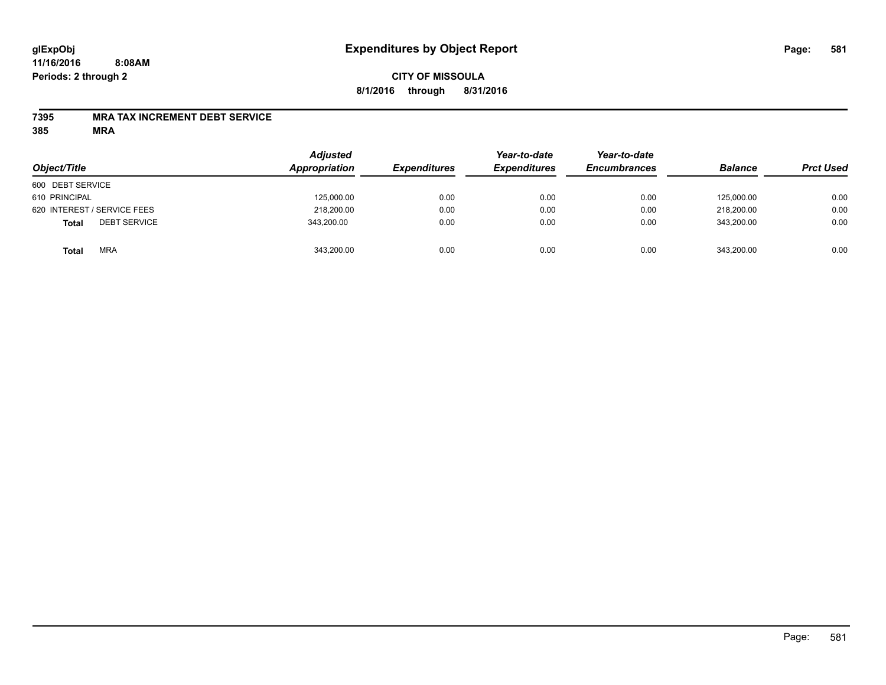## **CITY OF MISSOULA 8/1/2016 through 8/31/2016**

#### **7395 MRA TAX INCREMENT DEBT SERVICE**

| Object/Title                        | <b>Adjusted</b><br>Appropriation | <b>Expenditures</b> | Year-to-date<br><b>Expenditures</b> | Year-to-date<br><b>Encumbrances</b> | <b>Balance</b> | <b>Prct Used</b> |
|-------------------------------------|----------------------------------|---------------------|-------------------------------------|-------------------------------------|----------------|------------------|
| 600 DEBT SERVICE                    |                                  |                     |                                     |                                     |                |                  |
| 610 PRINCIPAL                       | 125,000.00                       | 0.00                | 0.00                                | 0.00                                | 125,000.00     | 0.00             |
| 620 INTEREST / SERVICE FEES         | 218,200.00                       | 0.00                | 0.00                                | 0.00                                | 218,200.00     | 0.00             |
| <b>DEBT SERVICE</b><br><b>Total</b> | 343,200.00                       | 0.00                | 0.00                                | 0.00                                | 343.200.00     | 0.00             |
| <b>MRA</b><br><b>Total</b>          | 343,200.00                       | 0.00                | 0.00                                | 0.00                                | 343,200.00     | 0.00             |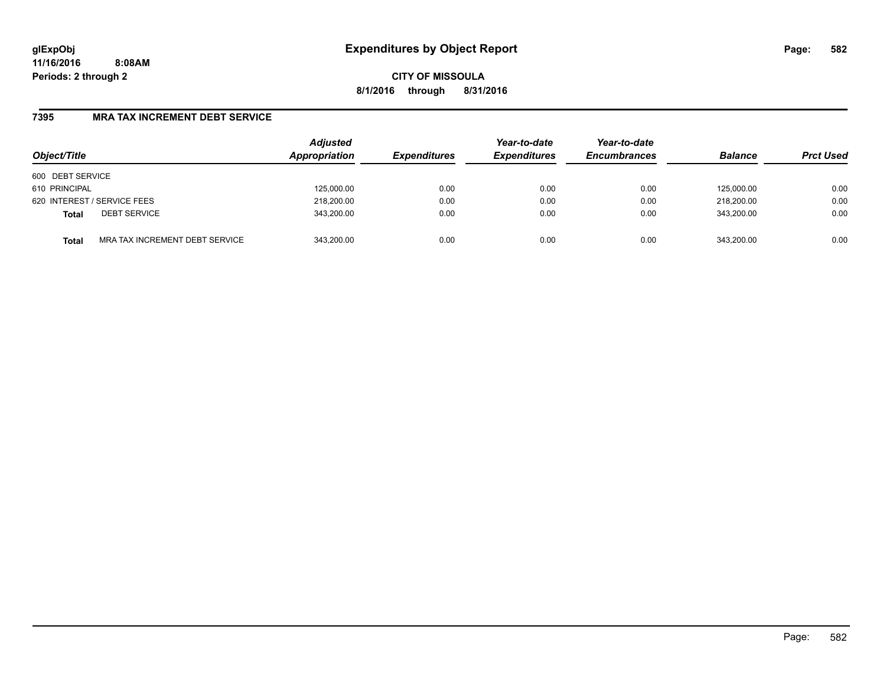**CITY OF MISSOULA 8/1/2016 through 8/31/2016**

## **7395 MRA TAX INCREMENT DEBT SERVICE**

| Object/Title                |                                | <b>Adjusted</b><br>Appropriation | <b>Expenditures</b> | Year-to-date<br><b>Expenditures</b> | Year-to-date<br><b>Encumbrances</b> | <b>Balance</b> | <b>Prct Used</b> |
|-----------------------------|--------------------------------|----------------------------------|---------------------|-------------------------------------|-------------------------------------|----------------|------------------|
| 600 DEBT SERVICE            |                                |                                  |                     |                                     |                                     |                |                  |
| 610 PRINCIPAL               |                                | 125,000.00                       | 0.00                | 0.00                                | 0.00                                | 125.000.00     | 0.00             |
| 620 INTEREST / SERVICE FEES |                                | 218,200.00                       | 0.00                | 0.00                                | 0.00                                | 218,200.00     | 0.00             |
| <b>Total</b>                | <b>DEBT SERVICE</b>            | 343,200.00                       | 0.00                | 0.00                                | 0.00                                | 343.200.00     | 0.00             |
| <b>Total</b>                | MRA TAX INCREMENT DEBT SERVICE | 343.200.00                       | 0.00                | 0.00                                | 0.00                                | 343.200.00     | 0.00             |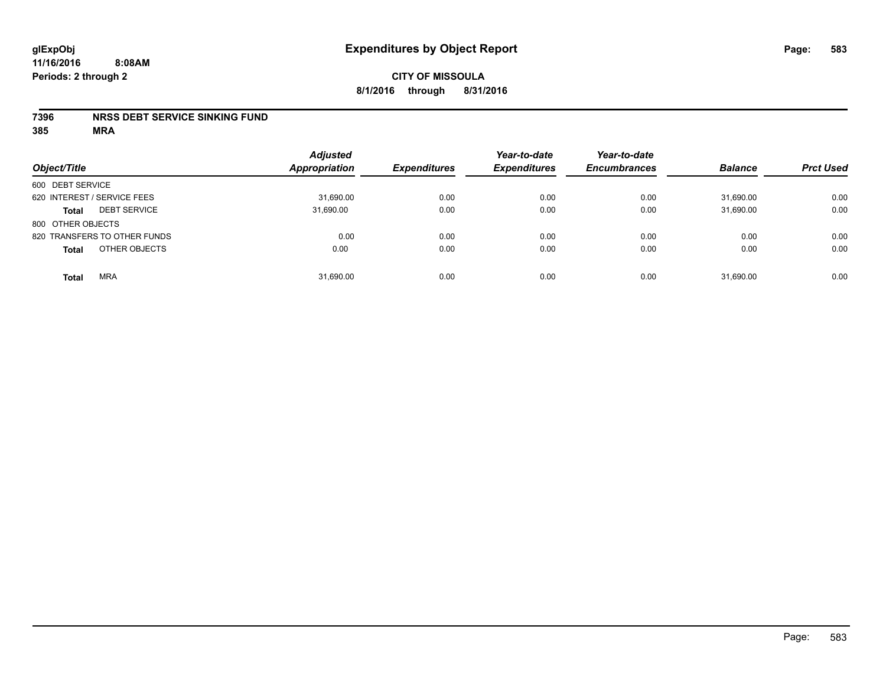#### **7396 NRSS DEBT SERVICE SINKING FUND**

| Object/Title                        | <b>Adjusted</b><br><b>Appropriation</b> | <b>Expenditures</b> | Year-to-date<br><b>Expenditures</b> | Year-to-date<br><b>Encumbrances</b> | <b>Balance</b> | <b>Prct Used</b> |
|-------------------------------------|-----------------------------------------|---------------------|-------------------------------------|-------------------------------------|----------------|------------------|
| 600 DEBT SERVICE                    |                                         |                     |                                     |                                     |                |                  |
| 620 INTEREST / SERVICE FEES         | 31,690.00                               | 0.00                | 0.00                                | 0.00                                | 31,690.00      | 0.00             |
| <b>DEBT SERVICE</b><br><b>Total</b> | 31,690.00                               | 0.00                | 0.00                                | 0.00                                | 31,690.00      | 0.00             |
| 800 OTHER OBJECTS                   |                                         |                     |                                     |                                     |                |                  |
| 820 TRANSFERS TO OTHER FUNDS        | 0.00                                    | 0.00                | 0.00                                | 0.00                                | 0.00           | 0.00             |
| OTHER OBJECTS<br><b>Total</b>       | 0.00                                    | 0.00                | 0.00                                | 0.00                                | 0.00           | 0.00             |
| <b>MRA</b><br><b>Total</b>          | 31,690.00                               | 0.00                | 0.00                                | 0.00                                | 31,690.00      | 0.00             |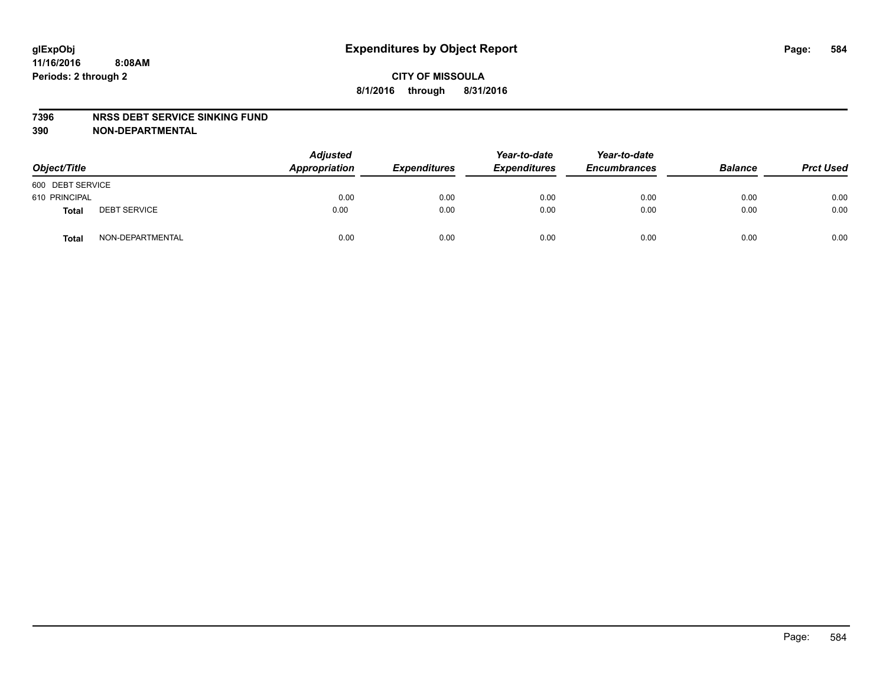#### **7396 NRSS DEBT SERVICE SINKING FUND**

**390 NON-DEPARTMENTAL**

| Object/Title     |                     | <b>Adjusted</b><br>Appropriation | <b>Expenditures</b> | Year-to-date<br><b>Expenditures</b> | Year-to-date<br><b>Encumbrances</b> | <b>Balance</b> | <b>Prct Used</b> |
|------------------|---------------------|----------------------------------|---------------------|-------------------------------------|-------------------------------------|----------------|------------------|
| 600 DEBT SERVICE |                     |                                  |                     |                                     |                                     |                |                  |
| 610 PRINCIPAL    |                     | 0.00                             | 0.00                | 0.00                                | 0.00                                | 0.00           | 0.00             |
| Total            | <b>DEBT SERVICE</b> | 0.00                             | 0.00                | 0.00                                | 0.00                                | 0.00           | 0.00             |
| Total            | NON-DEPARTMENTAL    | 0.00                             | 0.00                | 0.00                                | 0.00                                | 0.00           | 0.00             |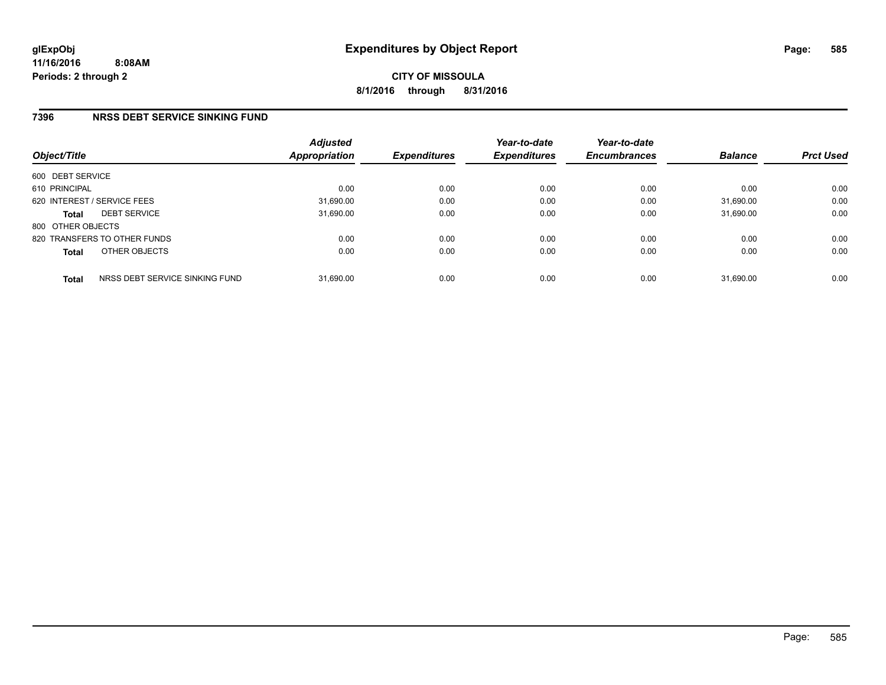# **7396 NRSS DEBT SERVICE SINKING FUND**

| Object/Title      |                                | <b>Adjusted</b><br>Appropriation | <b>Expenditures</b> | Year-to-date<br><b>Expenditures</b> | Year-to-date<br><b>Encumbrances</b> | <b>Balance</b> | <b>Prct Used</b> |
|-------------------|--------------------------------|----------------------------------|---------------------|-------------------------------------|-------------------------------------|----------------|------------------|
| 600 DEBT SERVICE  |                                |                                  |                     |                                     |                                     |                |                  |
| 610 PRINCIPAL     |                                | 0.00                             | 0.00                | 0.00                                | 0.00                                | 0.00           | 0.00             |
|                   | 620 INTEREST / SERVICE FEES    | 31,690.00                        | 0.00                | 0.00                                | 0.00                                | 31,690.00      | 0.00             |
| <b>Total</b>      | <b>DEBT SERVICE</b>            | 31,690.00                        | 0.00                | 0.00                                | 0.00                                | 31.690.00      | 0.00             |
| 800 OTHER OBJECTS |                                |                                  |                     |                                     |                                     |                |                  |
|                   | 820 TRANSFERS TO OTHER FUNDS   | 0.00                             | 0.00                | 0.00                                | 0.00                                | 0.00           | 0.00             |
| <b>Total</b>      | OTHER OBJECTS                  | 0.00                             | 0.00                | 0.00                                | 0.00                                | 0.00           | 0.00             |
| <b>Total</b>      | NRSS DEBT SERVICE SINKING FUND | 31,690.00                        | 0.00                | 0.00                                | 0.00                                | 31.690.00      | 0.00             |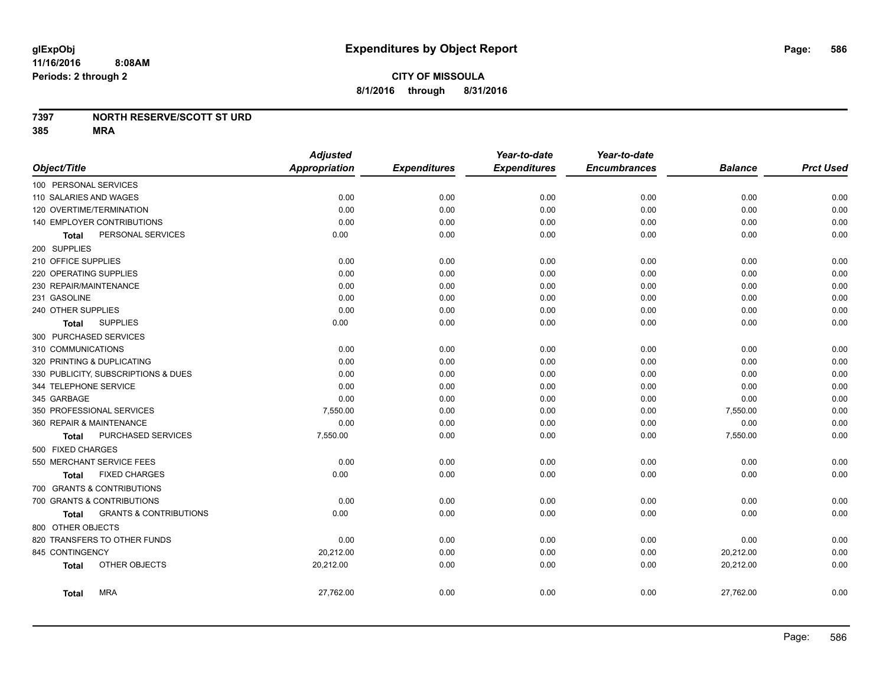#### **7397 NORTH RESERVE/SCOTT ST URD**

|                                                   | <b>Adjusted</b> |                     | Year-to-date        | Year-to-date        |                |                  |
|---------------------------------------------------|-----------------|---------------------|---------------------|---------------------|----------------|------------------|
| Object/Title                                      | Appropriation   | <b>Expenditures</b> | <b>Expenditures</b> | <b>Encumbrances</b> | <b>Balance</b> | <b>Prct Used</b> |
| 100 PERSONAL SERVICES                             |                 |                     |                     |                     |                |                  |
| 110 SALARIES AND WAGES                            | 0.00            | 0.00                | 0.00                | 0.00                | 0.00           | 0.00             |
| 120 OVERTIME/TERMINATION                          | 0.00            | 0.00                | 0.00                | 0.00                | 0.00           | 0.00             |
| 140 EMPLOYER CONTRIBUTIONS                        | 0.00            | 0.00                | 0.00                | 0.00                | 0.00           | 0.00             |
| PERSONAL SERVICES<br>Total                        | 0.00            | 0.00                | 0.00                | 0.00                | 0.00           | 0.00             |
| 200 SUPPLIES                                      |                 |                     |                     |                     |                |                  |
| 210 OFFICE SUPPLIES                               | 0.00            | 0.00                | 0.00                | 0.00                | 0.00           | 0.00             |
| 220 OPERATING SUPPLIES                            | 0.00            | 0.00                | 0.00                | 0.00                | 0.00           | 0.00             |
| 230 REPAIR/MAINTENANCE                            | 0.00            | 0.00                | 0.00                | 0.00                | 0.00           | 0.00             |
| 231 GASOLINE                                      | 0.00            | 0.00                | 0.00                | 0.00                | 0.00           | 0.00             |
| 240 OTHER SUPPLIES                                | 0.00            | 0.00                | 0.00                | 0.00                | 0.00           | 0.00             |
| <b>SUPPLIES</b><br>Total                          | 0.00            | 0.00                | 0.00                | 0.00                | 0.00           | 0.00             |
| 300 PURCHASED SERVICES                            |                 |                     |                     |                     |                |                  |
| 310 COMMUNICATIONS                                | 0.00            | 0.00                | 0.00                | 0.00                | 0.00           | 0.00             |
| 320 PRINTING & DUPLICATING                        | 0.00            | 0.00                | 0.00                | 0.00                | 0.00           | 0.00             |
| 330 PUBLICITY, SUBSCRIPTIONS & DUES               | 0.00            | 0.00                | 0.00                | 0.00                | 0.00           | 0.00             |
| 344 TELEPHONE SERVICE                             | 0.00            | 0.00                | 0.00                | 0.00                | 0.00           | 0.00             |
| 345 GARBAGE                                       | 0.00            | 0.00                | 0.00                | 0.00                | 0.00           | 0.00             |
| 350 PROFESSIONAL SERVICES                         | 7,550.00        | 0.00                | 0.00                | 0.00                | 7,550.00       | 0.00             |
| 360 REPAIR & MAINTENANCE                          | 0.00            | 0.00                | 0.00                | 0.00                | 0.00           | 0.00             |
| PURCHASED SERVICES<br><b>Total</b>                | 7,550.00        | 0.00                | 0.00                | 0.00                | 7,550.00       | 0.00             |
| 500 FIXED CHARGES                                 |                 |                     |                     |                     |                |                  |
| 550 MERCHANT SERVICE FEES                         | 0.00            | 0.00                | 0.00                | 0.00                | 0.00           | 0.00             |
| <b>FIXED CHARGES</b><br>Total                     | 0.00            | 0.00                | 0.00                | 0.00                | 0.00           | 0.00             |
| 700 GRANTS & CONTRIBUTIONS                        |                 |                     |                     |                     |                |                  |
| 700 GRANTS & CONTRIBUTIONS                        | 0.00            | 0.00                | 0.00                | 0.00                | 0.00           | 0.00             |
| <b>GRANTS &amp; CONTRIBUTIONS</b><br><b>Total</b> | 0.00            | 0.00                | 0.00                | 0.00                | 0.00           | 0.00             |
| 800 OTHER OBJECTS                                 |                 |                     |                     |                     |                |                  |
| 820 TRANSFERS TO OTHER FUNDS                      | 0.00            | 0.00                | 0.00                | 0.00                | 0.00           | 0.00             |
| 845 CONTINGENCY                                   | 20,212.00       | 0.00                | 0.00                | 0.00                | 20,212.00      | 0.00             |
| OTHER OBJECTS<br><b>Total</b>                     | 20,212.00       | 0.00                | 0.00                | 0.00                | 20,212.00      | 0.00             |
| <b>MRA</b><br><b>Total</b>                        | 27,762.00       | 0.00                | 0.00                | 0.00                | 27,762.00      | 0.00             |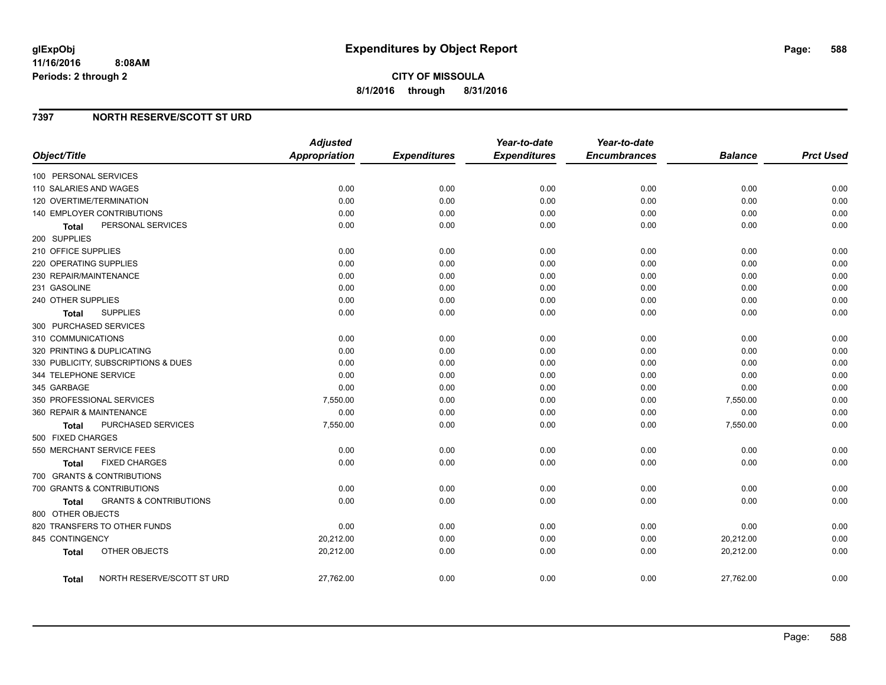## **7397 NORTH RESERVE/SCOTT ST URD**

| Object/Title                               | <b>Adjusted</b><br><b>Appropriation</b> | <b>Expenditures</b> | Year-to-date<br><b>Expenditures</b> | Year-to-date<br><b>Encumbrances</b> | <b>Balance</b> | <b>Prct Used</b> |
|--------------------------------------------|-----------------------------------------|---------------------|-------------------------------------|-------------------------------------|----------------|------------------|
| 100 PERSONAL SERVICES                      |                                         |                     |                                     |                                     |                |                  |
| 110 SALARIES AND WAGES                     | 0.00                                    | 0.00                | 0.00                                | 0.00                                | 0.00           | 0.00             |
| 120 OVERTIME/TERMINATION                   | 0.00                                    | 0.00                | 0.00                                | 0.00                                | 0.00           | 0.00             |
| 140 EMPLOYER CONTRIBUTIONS                 | 0.00                                    | 0.00                | 0.00                                | 0.00                                | 0.00           | 0.00             |
| PERSONAL SERVICES<br><b>Total</b>          | 0.00                                    | 0.00                | 0.00                                | 0.00                                | 0.00           | 0.00             |
| 200 SUPPLIES                               |                                         |                     |                                     |                                     |                |                  |
| 210 OFFICE SUPPLIES                        | 0.00                                    | 0.00                | 0.00                                | 0.00                                | 0.00           | 0.00             |
| 220 OPERATING SUPPLIES                     | 0.00                                    | 0.00                | 0.00                                | 0.00                                | 0.00           | 0.00             |
| 230 REPAIR/MAINTENANCE                     | 0.00                                    | 0.00                | 0.00                                | 0.00                                | 0.00           | 0.00             |
| 231 GASOLINE                               | 0.00                                    | 0.00                | 0.00                                | 0.00                                | 0.00           | 0.00             |
| 240 OTHER SUPPLIES                         | 0.00                                    | 0.00                | 0.00                                | 0.00                                | 0.00           | 0.00             |
| <b>SUPPLIES</b><br>Total                   | 0.00                                    | 0.00                | 0.00                                | 0.00                                | 0.00           | 0.00             |
| 300 PURCHASED SERVICES                     |                                         |                     |                                     |                                     |                |                  |
| 310 COMMUNICATIONS                         | 0.00                                    | 0.00                | 0.00                                | 0.00                                | 0.00           | 0.00             |
| 320 PRINTING & DUPLICATING                 | 0.00                                    | 0.00                | 0.00                                | 0.00                                | 0.00           | 0.00             |
| 330 PUBLICITY, SUBSCRIPTIONS & DUES        | 0.00                                    | 0.00                | 0.00                                | 0.00                                | 0.00           | 0.00             |
| 344 TELEPHONE SERVICE                      | 0.00                                    | 0.00                | 0.00                                | 0.00                                | 0.00           | 0.00             |
| 345 GARBAGE                                | 0.00                                    | 0.00                | 0.00                                | 0.00                                | 0.00           | 0.00             |
| 350 PROFESSIONAL SERVICES                  | 7,550.00                                | 0.00                | 0.00                                | 0.00                                | 7,550.00       | 0.00             |
| 360 REPAIR & MAINTENANCE                   | 0.00                                    | 0.00                | 0.00                                | 0.00                                | 0.00           | 0.00             |
| PURCHASED SERVICES<br><b>Total</b>         | 7,550.00                                | 0.00                | 0.00                                | 0.00                                | 7,550.00       | 0.00             |
| 500 FIXED CHARGES                          |                                         |                     |                                     |                                     |                |                  |
| 550 MERCHANT SERVICE FEES                  | 0.00                                    | 0.00                | 0.00                                | 0.00                                | 0.00           | 0.00             |
| <b>FIXED CHARGES</b><br>Total              | 0.00                                    | 0.00                | 0.00                                | 0.00                                | 0.00           | 0.00             |
| 700 GRANTS & CONTRIBUTIONS                 |                                         |                     |                                     |                                     |                |                  |
| 700 GRANTS & CONTRIBUTIONS                 | 0.00                                    | 0.00                | 0.00                                | 0.00                                | 0.00           | 0.00             |
| <b>GRANTS &amp; CONTRIBUTIONS</b><br>Total | 0.00                                    | 0.00                | 0.00                                | 0.00                                | 0.00           | 0.00             |
| 800 OTHER OBJECTS                          |                                         |                     |                                     |                                     |                |                  |
| 820 TRANSFERS TO OTHER FUNDS               | 0.00                                    | 0.00                | 0.00                                | 0.00                                | 0.00           | 0.00             |
| 845 CONTINGENCY                            | 20,212.00                               | 0.00                | 0.00                                | 0.00                                | 20,212.00      | 0.00             |
| OTHER OBJECTS<br><b>Total</b>              | 20,212.00                               | 0.00                | 0.00                                | 0.00                                | 20,212.00      | 0.00             |
| NORTH RESERVE/SCOTT ST URD<br>Total        | 27,762.00                               | 0.00                | 0.00                                | 0.00                                | 27,762.00      | 0.00             |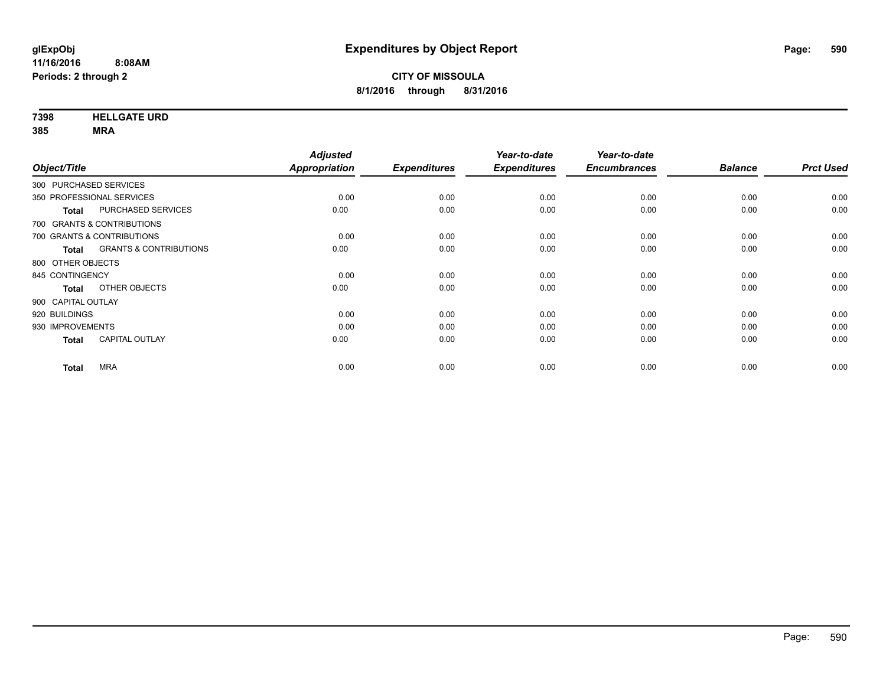**7398 HELLGATE URD**

| Object/Title           |                                   | <b>Adjusted</b><br>Appropriation | <b>Expenditures</b> | Year-to-date<br><b>Expenditures</b> | Year-to-date<br><b>Encumbrances</b> | <b>Balance</b> | <b>Prct Used</b> |
|------------------------|-----------------------------------|----------------------------------|---------------------|-------------------------------------|-------------------------------------|----------------|------------------|
| 300 PURCHASED SERVICES |                                   |                                  |                     |                                     |                                     |                |                  |
|                        |                                   |                                  |                     |                                     |                                     |                |                  |
|                        | 350 PROFESSIONAL SERVICES         | 0.00                             | 0.00                | 0.00                                | 0.00                                | 0.00           | 0.00             |
| <b>Total</b>           | PURCHASED SERVICES                | 0.00                             | 0.00                | 0.00                                | 0.00                                | 0.00           | 0.00             |
|                        | 700 GRANTS & CONTRIBUTIONS        |                                  |                     |                                     |                                     |                |                  |
|                        | 700 GRANTS & CONTRIBUTIONS        | 0.00                             | 0.00                | 0.00                                | 0.00                                | 0.00           | 0.00             |
| <b>Total</b>           | <b>GRANTS &amp; CONTRIBUTIONS</b> | 0.00                             | 0.00                | 0.00                                | 0.00                                | 0.00           | 0.00             |
| 800 OTHER OBJECTS      |                                   |                                  |                     |                                     |                                     |                |                  |
| 845 CONTINGENCY        |                                   | 0.00                             | 0.00                | 0.00                                | 0.00                                | 0.00           | 0.00             |
| <b>Total</b>           | OTHER OBJECTS                     | 0.00                             | 0.00                | 0.00                                | 0.00                                | 0.00           | 0.00             |
| 900 CAPITAL OUTLAY     |                                   |                                  |                     |                                     |                                     |                |                  |
| 920 BUILDINGS          |                                   | 0.00                             | 0.00                | 0.00                                | 0.00                                | 0.00           | 0.00             |
| 930 IMPROVEMENTS       |                                   | 0.00                             | 0.00                | 0.00                                | 0.00                                | 0.00           | 0.00             |
| <b>Total</b>           | CAPITAL OUTLAY                    | 0.00                             | 0.00                | 0.00                                | 0.00                                | 0.00           | 0.00             |
| <b>Total</b>           | <b>MRA</b>                        | 0.00                             | 0.00                | 0.00                                | 0.00                                | 0.00           | 0.00             |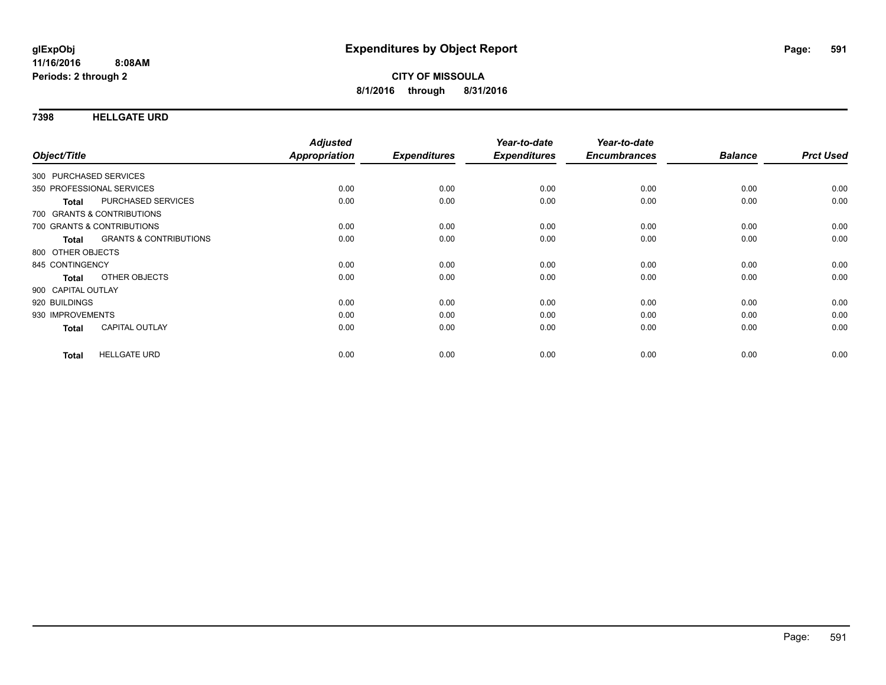#### **7398 HELLGATE URD**

| Object/Title           |                                   | <b>Adjusted</b><br>Appropriation | <b>Expenditures</b> | Year-to-date<br><b>Expenditures</b> | Year-to-date<br><b>Encumbrances</b> | <b>Balance</b> | <b>Prct Used</b> |
|------------------------|-----------------------------------|----------------------------------|---------------------|-------------------------------------|-------------------------------------|----------------|------------------|
|                        |                                   |                                  |                     |                                     |                                     |                |                  |
| 300 PURCHASED SERVICES |                                   |                                  |                     |                                     |                                     |                |                  |
|                        | 350 PROFESSIONAL SERVICES         | 0.00                             | 0.00                | 0.00                                | 0.00                                | 0.00           | 0.00             |
| <b>Total</b>           | PURCHASED SERVICES                | 0.00                             | 0.00                | 0.00                                | 0.00                                | 0.00           | 0.00             |
|                        | 700 GRANTS & CONTRIBUTIONS        |                                  |                     |                                     |                                     |                |                  |
|                        | 700 GRANTS & CONTRIBUTIONS        | 0.00                             | 0.00                | 0.00                                | 0.00                                | 0.00           | 0.00             |
| Total                  | <b>GRANTS &amp; CONTRIBUTIONS</b> | 0.00                             | 0.00                | 0.00                                | 0.00                                | 0.00           | 0.00             |
| 800 OTHER OBJECTS      |                                   |                                  |                     |                                     |                                     |                |                  |
| 845 CONTINGENCY        |                                   | 0.00                             | 0.00                | 0.00                                | 0.00                                | 0.00           | 0.00             |
| <b>Total</b>           | OTHER OBJECTS                     | 0.00                             | 0.00                | 0.00                                | 0.00                                | 0.00           | 0.00             |
| 900 CAPITAL OUTLAY     |                                   |                                  |                     |                                     |                                     |                |                  |
| 920 BUILDINGS          |                                   | 0.00                             | 0.00                | 0.00                                | 0.00                                | 0.00           | 0.00             |
| 930 IMPROVEMENTS       |                                   | 0.00                             | 0.00                | 0.00                                | 0.00                                | 0.00           | 0.00             |
| <b>Total</b>           | <b>CAPITAL OUTLAY</b>             | 0.00                             | 0.00                | 0.00                                | 0.00                                | 0.00           | 0.00             |
|                        |                                   |                                  |                     |                                     |                                     |                |                  |
| <b>Total</b>           | <b>HELLGATE URD</b>               | 0.00                             | 0.00                | 0.00                                | 0.00                                | 0.00           | 0.00             |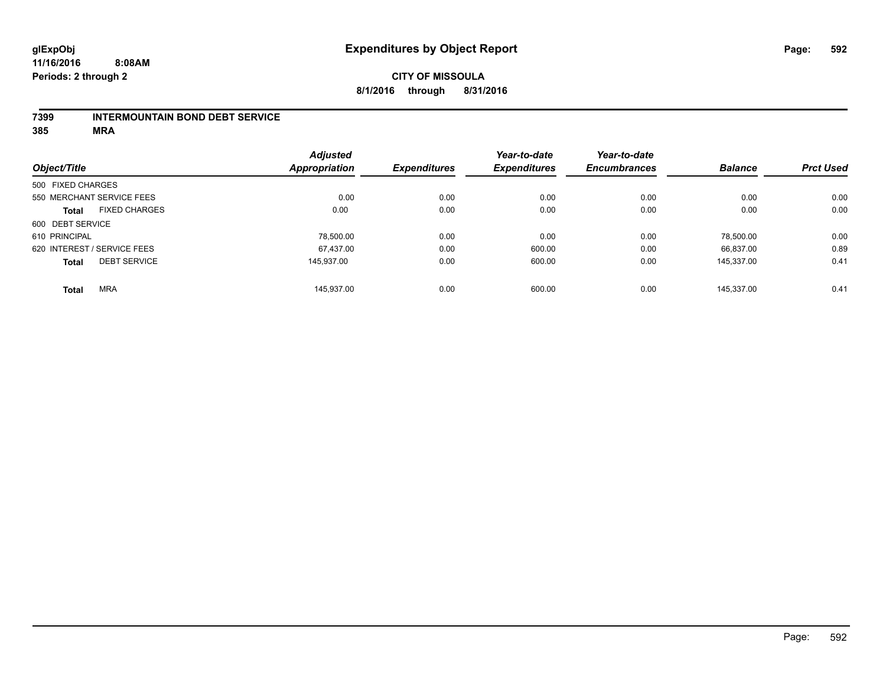#### **7399 INTERMOUNTAIN BOND DEBT SERVICE**

|                   |                             | <b>Adjusted</b>      |                     | Year-to-date        | Year-to-date        |                |                  |
|-------------------|-----------------------------|----------------------|---------------------|---------------------|---------------------|----------------|------------------|
| Object/Title      |                             | <b>Appropriation</b> | <b>Expenditures</b> | <b>Expenditures</b> | <b>Encumbrances</b> | <b>Balance</b> | <b>Prct Used</b> |
| 500 FIXED CHARGES |                             |                      |                     |                     |                     |                |                  |
|                   | 550 MERCHANT SERVICE FEES   | 0.00                 | 0.00                | 0.00                | 0.00                | 0.00           | 0.00             |
| <b>Total</b>      | <b>FIXED CHARGES</b>        | 0.00                 | 0.00                | 0.00                | 0.00                | 0.00           | 0.00             |
| 600 DEBT SERVICE  |                             |                      |                     |                     |                     |                |                  |
| 610 PRINCIPAL     |                             | 78,500.00            | 0.00                | 0.00                | 0.00                | 78.500.00      | 0.00             |
|                   | 620 INTEREST / SERVICE FEES | 67.437.00            | 0.00                | 600.00              | 0.00                | 66.837.00      | 0.89             |
| <b>Total</b>      | <b>DEBT SERVICE</b>         | 145.937.00           | 0.00                | 600.00              | 0.00                | 145.337.00     | 0.41             |
| <b>Total</b>      | <b>MRA</b>                  | 145.937.00           | 0.00                | 600.00              | 0.00                | 145.337.00     | 0.41             |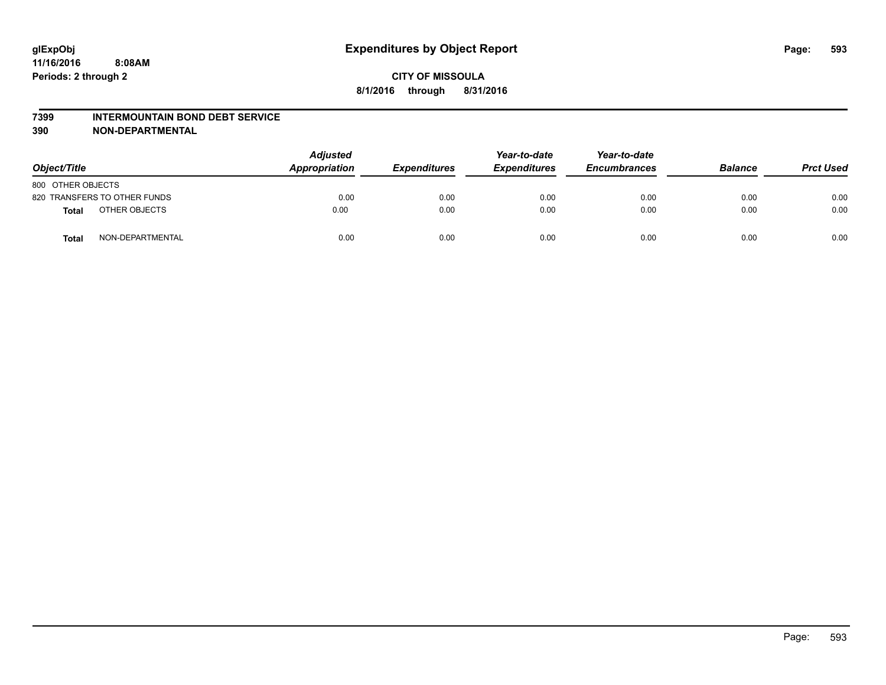#### **7399 INTERMOUNTAIN BOND DEBT SERVICE**

**390 NON-DEPARTMENTAL**

| Object/Title      |                              | <b>Adjusted</b><br>Appropriation | <b>Expenditures</b> | Year-to-date<br><b>Expenditures</b> | Year-to-date<br><b>Encumbrances</b> | <b>Balance</b> | <b>Prct Used</b> |
|-------------------|------------------------------|----------------------------------|---------------------|-------------------------------------|-------------------------------------|----------------|------------------|
| 800 OTHER OBJECTS |                              |                                  |                     |                                     |                                     |                |                  |
|                   | 820 TRANSFERS TO OTHER FUNDS | 0.00                             | 0.00                | 0.00                                | 0.00                                | 0.00           | 0.00             |
| <b>Total</b>      | OTHER OBJECTS                | 0.00                             | 0.00                | 0.00                                | 0.00                                | 0.00           | 0.00             |
| <b>Total</b>      | NON-DEPARTMENTAL             | 0.00                             | 0.00                | 0.00                                | 0.00                                | 0.00           | 0.00             |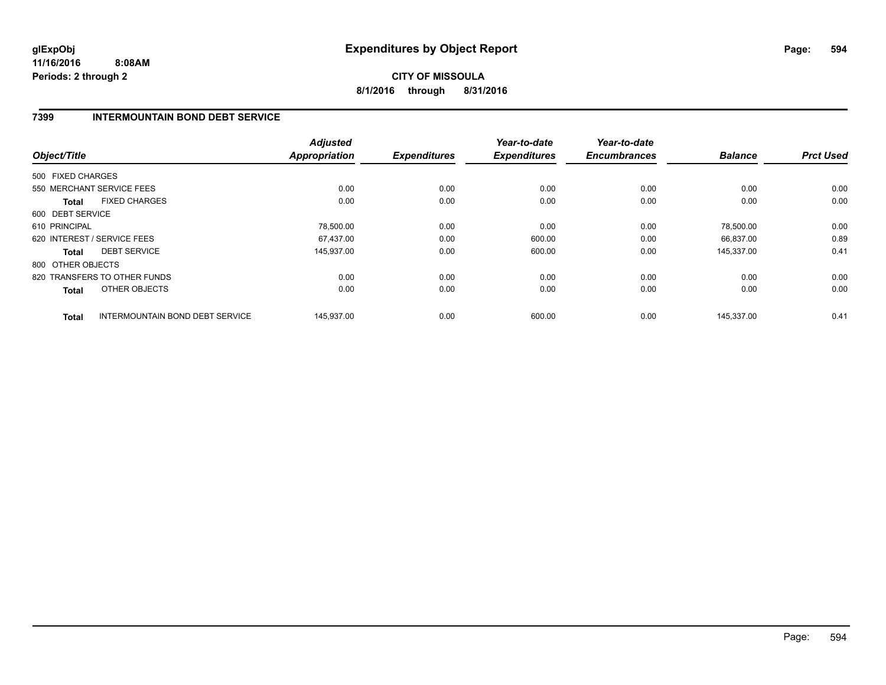# **CITY OF MISSOULA 8/1/2016 through 8/31/2016**

## **7399 INTERMOUNTAIN BOND DEBT SERVICE**

| Object/Title      |                                 | <b>Adjusted</b><br><b>Appropriation</b> | <b>Expenditures</b> | Year-to-date<br><b>Expenditures</b> | Year-to-date<br><b>Encumbrances</b> | <b>Balance</b> | <b>Prct Used</b> |
|-------------------|---------------------------------|-----------------------------------------|---------------------|-------------------------------------|-------------------------------------|----------------|------------------|
| 500 FIXED CHARGES |                                 |                                         |                     |                                     |                                     |                |                  |
|                   |                                 |                                         |                     |                                     |                                     |                |                  |
|                   | 550 MERCHANT SERVICE FEES       | 0.00                                    | 0.00                | 0.00                                | 0.00                                | 0.00           | 0.00             |
| <b>Total</b>      | <b>FIXED CHARGES</b>            | 0.00                                    | 0.00                | 0.00                                | 0.00                                | 0.00           | 0.00             |
| 600 DEBT SERVICE  |                                 |                                         |                     |                                     |                                     |                |                  |
| 610 PRINCIPAL     |                                 | 78,500.00                               | 0.00                | 0.00                                | 0.00                                | 78,500.00      | 0.00             |
|                   | 620 INTEREST / SERVICE FEES     | 67.437.00                               | 0.00                | 600.00                              | 0.00                                | 66.837.00      | 0.89             |
| <b>Total</b>      | <b>DEBT SERVICE</b>             | 145,937.00                              | 0.00                | 600.00                              | 0.00                                | 145,337.00     | 0.41             |
| 800 OTHER OBJECTS |                                 |                                         |                     |                                     |                                     |                |                  |
|                   | 820 TRANSFERS TO OTHER FUNDS    | 0.00                                    | 0.00                | 0.00                                | 0.00                                | 0.00           | 0.00             |
| Total             | OTHER OBJECTS                   | 0.00                                    | 0.00                | 0.00                                | 0.00                                | 0.00           | 0.00             |
| <b>Total</b>      | INTERMOUNTAIN BOND DEBT SERVICE | 145.937.00                              | 0.00                | 600.00                              | 0.00                                | 145,337.00     | 0.41             |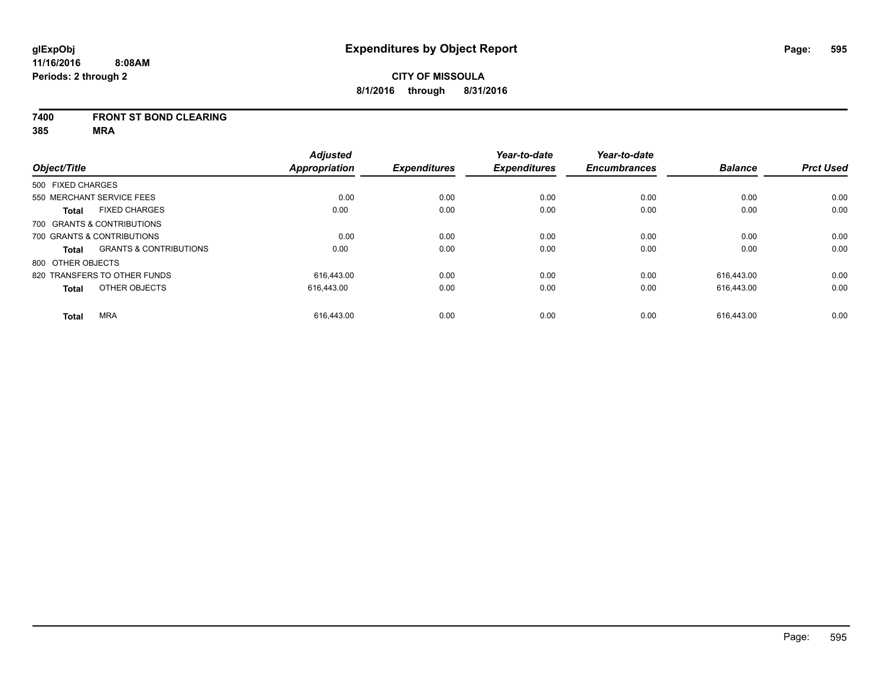#### **7400 FRONT ST BOND CLEARING**

|                   |                                   | <b>Adjusted</b> |                     | Year-to-date        | Year-to-date        |                |                  |
|-------------------|-----------------------------------|-----------------|---------------------|---------------------|---------------------|----------------|------------------|
| Object/Title      |                                   | Appropriation   | <b>Expenditures</b> | <b>Expenditures</b> | <b>Encumbrances</b> | <b>Balance</b> | <b>Prct Used</b> |
| 500 FIXED CHARGES |                                   |                 |                     |                     |                     |                |                  |
|                   | 550 MERCHANT SERVICE FEES         | 0.00            | 0.00                | 0.00                | 0.00                | 0.00           | 0.00             |
| <b>Total</b>      | <b>FIXED CHARGES</b>              | 0.00            | 0.00                | 0.00                | 0.00                | 0.00           | 0.00             |
|                   | 700 GRANTS & CONTRIBUTIONS        |                 |                     |                     |                     |                |                  |
|                   | 700 GRANTS & CONTRIBUTIONS        | 0.00            | 0.00                | 0.00                | 0.00                | 0.00           | 0.00             |
| <b>Total</b>      | <b>GRANTS &amp; CONTRIBUTIONS</b> | 0.00            | 0.00                | 0.00                | 0.00                | 0.00           | 0.00             |
| 800 OTHER OBJECTS |                                   |                 |                     |                     |                     |                |                  |
|                   | 820 TRANSFERS TO OTHER FUNDS      | 616.443.00      | 0.00                | 0.00                | 0.00                | 616.443.00     | 0.00             |
| <b>Total</b>      | OTHER OBJECTS                     | 616,443.00      | 0.00                | 0.00                | 0.00                | 616.443.00     | 0.00             |
| <b>Total</b>      | <b>MRA</b>                        | 616.443.00      | 0.00                | 0.00                | 0.00                | 616.443.00     | 0.00             |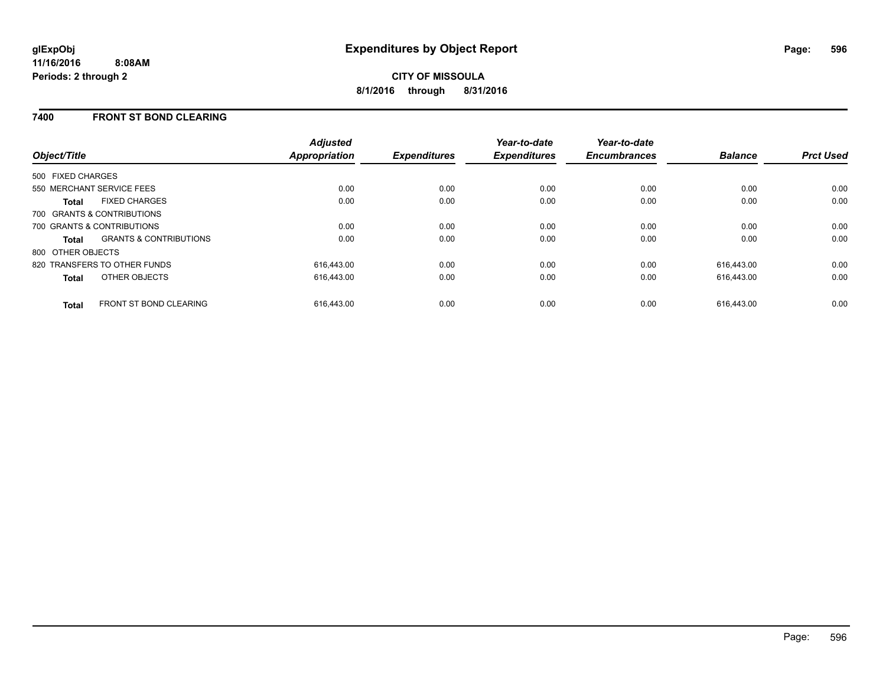## **7400 FRONT ST BOND CLEARING**

| Object/Title                                      | <b>Adjusted</b><br>Appropriation | <b>Expenditures</b> | Year-to-date<br><b>Expenditures</b> | Year-to-date<br><b>Encumbrances</b> | <b>Balance</b> | <b>Prct Used</b> |
|---------------------------------------------------|----------------------------------|---------------------|-------------------------------------|-------------------------------------|----------------|------------------|
| 500 FIXED CHARGES                                 |                                  |                     |                                     |                                     |                |                  |
| 550 MERCHANT SERVICE FEES                         | 0.00                             | 0.00                | 0.00                                | 0.00                                | 0.00           | 0.00             |
| <b>FIXED CHARGES</b><br><b>Total</b>              | 0.00                             | 0.00                | 0.00                                | 0.00                                | 0.00           | 0.00             |
| 700 GRANTS & CONTRIBUTIONS                        |                                  |                     |                                     |                                     |                |                  |
| 700 GRANTS & CONTRIBUTIONS                        | 0.00                             | 0.00                | 0.00                                | 0.00                                | 0.00           | 0.00             |
| <b>GRANTS &amp; CONTRIBUTIONS</b><br><b>Total</b> | 0.00                             | 0.00                | 0.00                                | 0.00                                | 0.00           | 0.00             |
| 800 OTHER OBJECTS                                 |                                  |                     |                                     |                                     |                |                  |
| 820 TRANSFERS TO OTHER FUNDS                      | 616.443.00                       | 0.00                | 0.00                                | 0.00                                | 616.443.00     | 0.00             |
| OTHER OBJECTS<br><b>Total</b>                     | 616.443.00                       | 0.00                | 0.00                                | 0.00                                | 616.443.00     | 0.00             |
| <b>FRONT ST BOND CLEARING</b><br><b>Total</b>     | 616.443.00                       | 0.00                | 0.00                                | 0.00                                | 616.443.00     | 0.00             |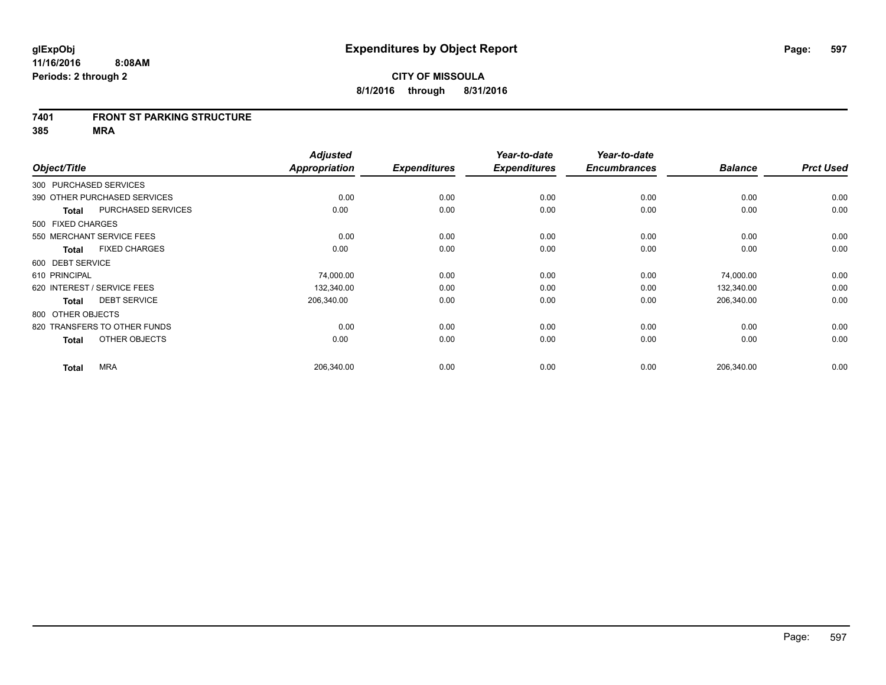#### **7401 FRONT ST PARKING STRUCTURE**

| Object/Title                 |                           | <b>Adjusted</b><br><b>Appropriation</b> | <b>Expenditures</b> | Year-to-date<br><b>Expenditures</b> | Year-to-date<br><b>Encumbrances</b> | <b>Balance</b> | <b>Prct Used</b> |
|------------------------------|---------------------------|-----------------------------------------|---------------------|-------------------------------------|-------------------------------------|----------------|------------------|
| 300 PURCHASED SERVICES       |                           |                                         |                     |                                     |                                     |                |                  |
| 390 OTHER PURCHASED SERVICES |                           | 0.00                                    | 0.00                | 0.00                                | 0.00                                | 0.00           | 0.00             |
| <b>Total</b>                 | <b>PURCHASED SERVICES</b> | 0.00                                    | 0.00                | 0.00                                | 0.00                                | 0.00           | 0.00             |
| 500 FIXED CHARGES            |                           |                                         |                     |                                     |                                     |                |                  |
| 550 MERCHANT SERVICE FEES    |                           | 0.00                                    | 0.00                | 0.00                                | 0.00                                | 0.00           | 0.00             |
| <b>Total</b>                 | <b>FIXED CHARGES</b>      | 0.00                                    | 0.00                | 0.00                                | 0.00                                | 0.00           | 0.00             |
| 600 DEBT SERVICE             |                           |                                         |                     |                                     |                                     |                |                  |
| 610 PRINCIPAL                |                           | 74,000.00                               | 0.00                | 0.00                                | 0.00                                | 74,000.00      | 0.00             |
| 620 INTEREST / SERVICE FEES  |                           | 132,340.00                              | 0.00                | 0.00                                | 0.00                                | 132,340.00     | 0.00             |
| <b>Total</b>                 | <b>DEBT SERVICE</b>       | 206,340.00                              | 0.00                | 0.00                                | 0.00                                | 206,340.00     | 0.00             |
| 800 OTHER OBJECTS            |                           |                                         |                     |                                     |                                     |                |                  |
| 820 TRANSFERS TO OTHER FUNDS |                           | 0.00                                    | 0.00                | 0.00                                | 0.00                                | 0.00           | 0.00             |
| <b>Total</b>                 | OTHER OBJECTS             | 0.00                                    | 0.00                | 0.00                                | 0.00                                | 0.00           | 0.00             |
| <b>MRA</b><br><b>Total</b>   |                           | 206,340.00                              | 0.00                | 0.00                                | 0.00                                | 206,340.00     | 0.00             |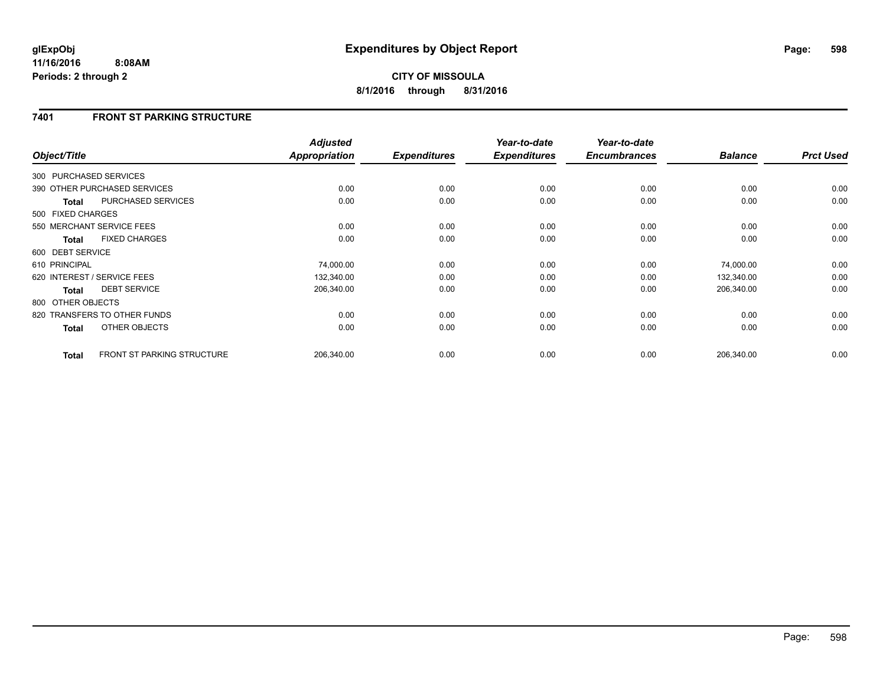## **7401 FRONT ST PARKING STRUCTURE**

|                        |                                   | <b>Adjusted</b>      |                     | Year-to-date        | Year-to-date        |                |                  |
|------------------------|-----------------------------------|----------------------|---------------------|---------------------|---------------------|----------------|------------------|
| Object/Title           |                                   | <b>Appropriation</b> | <b>Expenditures</b> | <b>Expenditures</b> | <b>Encumbrances</b> | <b>Balance</b> | <b>Prct Used</b> |
| 300 PURCHASED SERVICES |                                   |                      |                     |                     |                     |                |                  |
|                        | 390 OTHER PURCHASED SERVICES      | 0.00                 | 0.00                | 0.00                | 0.00                | 0.00           | 0.00             |
| <b>Total</b>           | PURCHASED SERVICES                | 0.00                 | 0.00                | 0.00                | 0.00                | 0.00           | 0.00             |
| 500 FIXED CHARGES      |                                   |                      |                     |                     |                     |                |                  |
|                        | 550 MERCHANT SERVICE FEES         | 0.00                 | 0.00                | 0.00                | 0.00                | 0.00           | 0.00             |
| <b>Total</b>           | <b>FIXED CHARGES</b>              | 0.00                 | 0.00                | 0.00                | 0.00                | 0.00           | 0.00             |
| 600 DEBT SERVICE       |                                   |                      |                     |                     |                     |                |                  |
| 610 PRINCIPAL          |                                   | 74,000.00            | 0.00                | 0.00                | 0.00                | 74,000.00      | 0.00             |
|                        | 620 INTEREST / SERVICE FEES       | 132,340.00           | 0.00                | 0.00                | 0.00                | 132,340.00     | 0.00             |
| <b>Total</b>           | <b>DEBT SERVICE</b>               | 206,340.00           | 0.00                | 0.00                | 0.00                | 206,340.00     | 0.00             |
| 800 OTHER OBJECTS      |                                   |                      |                     |                     |                     |                |                  |
|                        | 820 TRANSFERS TO OTHER FUNDS      | 0.00                 | 0.00                | 0.00                | 0.00                | 0.00           | 0.00             |
| <b>Total</b>           | OTHER OBJECTS                     | 0.00                 | 0.00                | 0.00                | 0.00                | 0.00           | 0.00             |
| <b>Total</b>           | <b>FRONT ST PARKING STRUCTURE</b> | 206,340.00           | 0.00                | 0.00                | 0.00                | 206,340.00     | 0.00             |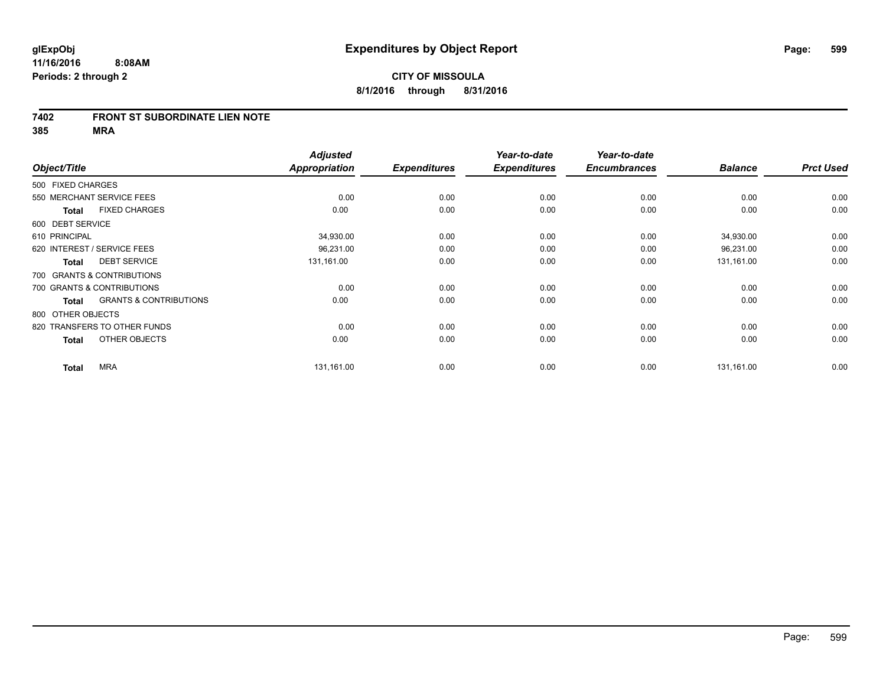#### **7402 FRONT ST SUBORDINATE LIEN NOTE**

|               |                                                   | <b>Adjusted</b> |                     | Year-to-date        | Year-to-date        |                |                  |
|---------------|---------------------------------------------------|-----------------|---------------------|---------------------|---------------------|----------------|------------------|
| Object/Title  |                                                   | Appropriation   | <b>Expenditures</b> | <b>Expenditures</b> | <b>Encumbrances</b> | <b>Balance</b> | <b>Prct Used</b> |
|               | 500 FIXED CHARGES                                 |                 |                     |                     |                     |                |                  |
|               | 550 MERCHANT SERVICE FEES                         | 0.00            | 0.00                | 0.00                | 0.00                | 0.00           | 0.00             |
|               | <b>FIXED CHARGES</b><br><b>Total</b>              | 0.00            | 0.00                | 0.00                | 0.00                | 0.00           | 0.00             |
|               | 600 DEBT SERVICE                                  |                 |                     |                     |                     |                |                  |
| 610 PRINCIPAL |                                                   | 34,930.00       | 0.00                | 0.00                | 0.00                | 34,930.00      | 0.00             |
|               | 620 INTEREST / SERVICE FEES                       | 96,231.00       | 0.00                | 0.00                | 0.00                | 96,231.00      | 0.00             |
|               | <b>DEBT SERVICE</b><br><b>Total</b>               | 131,161.00      | 0.00                | 0.00                | 0.00                | 131,161.00     | 0.00             |
|               | 700 GRANTS & CONTRIBUTIONS                        |                 |                     |                     |                     |                |                  |
|               | 700 GRANTS & CONTRIBUTIONS                        | 0.00            | 0.00                | 0.00                | 0.00                | 0.00           | 0.00             |
|               | <b>GRANTS &amp; CONTRIBUTIONS</b><br><b>Total</b> | 0.00            | 0.00                | 0.00                | 0.00                | 0.00           | 0.00             |
|               | 800 OTHER OBJECTS                                 |                 |                     |                     |                     |                |                  |
|               | 820 TRANSFERS TO OTHER FUNDS                      | 0.00            | 0.00                | 0.00                | 0.00                | 0.00           | 0.00             |
|               | OTHER OBJECTS<br><b>Total</b>                     | 0.00            | 0.00                | 0.00                | 0.00                | 0.00           | 0.00             |
|               | <b>MRA</b><br><b>Total</b>                        | 131,161.00      | 0.00                | 0.00                | 0.00                | 131,161.00     | 0.00             |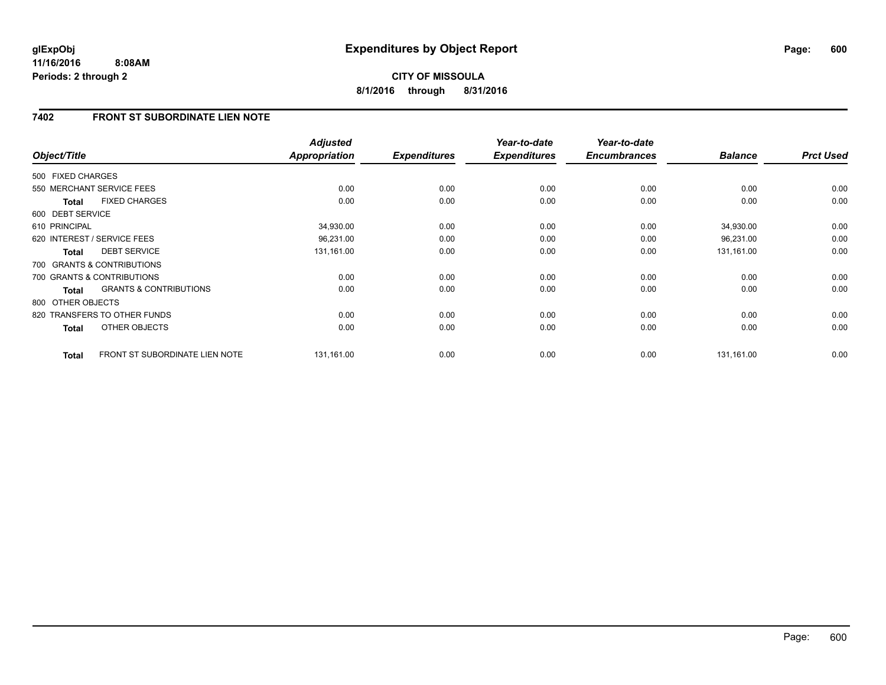**CITY OF MISSOULA 8/1/2016 through 8/31/2016**

## **7402 FRONT ST SUBORDINATE LIEN NOTE**

| Object/Title      |                                   | <b>Adjusted</b><br><b>Appropriation</b> | <b>Expenditures</b> | Year-to-date<br><b>Expenditures</b> | Year-to-date<br><b>Encumbrances</b> | <b>Balance</b> | <b>Prct Used</b> |
|-------------------|-----------------------------------|-----------------------------------------|---------------------|-------------------------------------|-------------------------------------|----------------|------------------|
| 500 FIXED CHARGES |                                   |                                         |                     |                                     |                                     |                |                  |
|                   | 550 MERCHANT SERVICE FEES         | 0.00                                    | 0.00                | 0.00                                | 0.00                                | 0.00           | 0.00             |
| <b>Total</b>      | <b>FIXED CHARGES</b>              | 0.00                                    | 0.00                | 0.00                                | 0.00                                | 0.00           | 0.00             |
| 600 DEBT SERVICE  |                                   |                                         |                     |                                     |                                     |                |                  |
| 610 PRINCIPAL     |                                   | 34,930.00                               | 0.00                | 0.00                                | 0.00                                | 34,930.00      | 0.00             |
|                   | 620 INTEREST / SERVICE FEES       | 96,231.00                               | 0.00                | 0.00                                | 0.00                                | 96,231.00      | 0.00             |
| <b>Total</b>      | <b>DEBT SERVICE</b>               | 131,161.00                              | 0.00                | 0.00                                | 0.00                                | 131,161.00     | 0.00             |
|                   | 700 GRANTS & CONTRIBUTIONS        |                                         |                     |                                     |                                     |                |                  |
|                   | 700 GRANTS & CONTRIBUTIONS        | 0.00                                    | 0.00                | 0.00                                | 0.00                                | 0.00           | 0.00             |
| <b>Total</b>      | <b>GRANTS &amp; CONTRIBUTIONS</b> | 0.00                                    | 0.00                | 0.00                                | 0.00                                | 0.00           | 0.00             |
| 800 OTHER OBJECTS |                                   |                                         |                     |                                     |                                     |                |                  |
|                   | 820 TRANSFERS TO OTHER FUNDS      | 0.00                                    | 0.00                | 0.00                                | 0.00                                | 0.00           | 0.00             |
| <b>Total</b>      | OTHER OBJECTS                     | 0.00                                    | 0.00                | 0.00                                | 0.00                                | 0.00           | 0.00             |
| <b>Total</b>      | FRONT ST SUBORDINATE LIEN NOTE    | 131,161.00                              | 0.00                | 0.00                                | 0.00                                | 131,161.00     | 0.00             |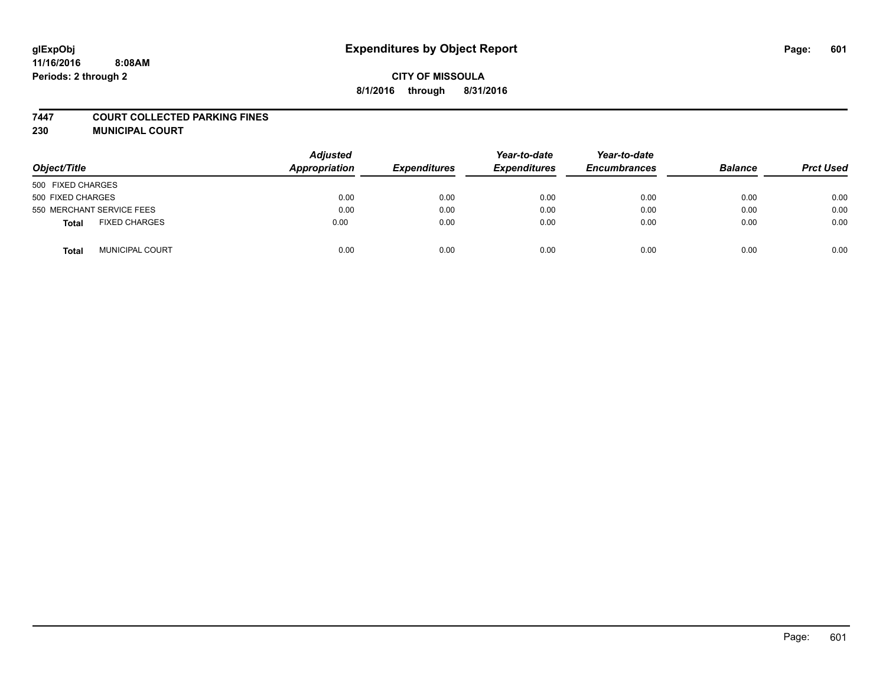#### **7447 COURT COLLECTED PARKING FINES**

**230 MUNICIPAL COURT**

| Object/Title                    | <b>Adjusted</b><br>Appropriation | <b>Expenditures</b> | Year-to-date<br><b>Expenditures</b> | Year-to-date<br><b>Encumbrances</b> | <b>Balance</b> | <b>Prct Used</b> |
|---------------------------------|----------------------------------|---------------------|-------------------------------------|-------------------------------------|----------------|------------------|
| 500 FIXED CHARGES               |                                  |                     |                                     |                                     |                |                  |
| 500 FIXED CHARGES               | 0.00                             | 0.00                | 0.00                                | 0.00                                | 0.00           | 0.00             |
| 550 MERCHANT SERVICE FEES       | 0.00                             | 0.00                | 0.00                                | 0.00                                | 0.00           | 0.00             |
| <b>FIXED CHARGES</b><br>Total   | 0.00                             | 0.00                | 0.00                                | 0.00                                | 0.00           | 0.00             |
| <b>MUNICIPAL COURT</b><br>Total | 0.00                             | 0.00                | 0.00                                | 0.00                                | 0.00           | 0.00             |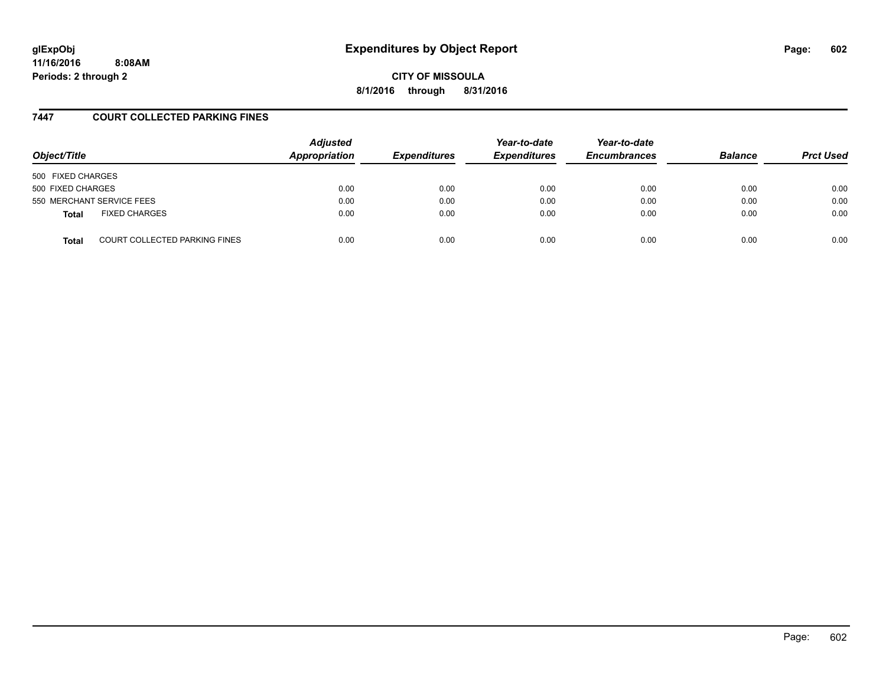# **glExpObj Expenditures by Object Report Page: 602**

**11/16/2016 8:08AM Periods: 2 through 2**

**CITY OF MISSOULA 8/1/2016 through 8/31/2016**

## **7447 COURT COLLECTED PARKING FINES**

| Object/Title      |                               | <b>Adjusted</b><br>Appropriation | <b>Expenditures</b> | Year-to-date<br><b>Expenditures</b> | Year-to-date<br><b>Encumbrances</b> | <b>Balance</b> | <b>Prct Used</b> |
|-------------------|-------------------------------|----------------------------------|---------------------|-------------------------------------|-------------------------------------|----------------|------------------|
| 500 FIXED CHARGES |                               |                                  |                     |                                     |                                     |                |                  |
| 500 FIXED CHARGES |                               | 0.00                             | 0.00                | 0.00                                | 0.00                                | 0.00           | 0.00             |
|                   | 550 MERCHANT SERVICE FEES     | 0.00                             | 0.00                | 0.00                                | 0.00                                | 0.00           | 0.00             |
| <b>Total</b>      | <b>FIXED CHARGES</b>          | 0.00                             | 0.00                | 0.00                                | 0.00                                | 0.00           | 0.00             |
| <b>Total</b>      | COURT COLLECTED PARKING FINES | 0.00                             | 0.00                | 0.00                                | 0.00                                | 0.00           | 0.00             |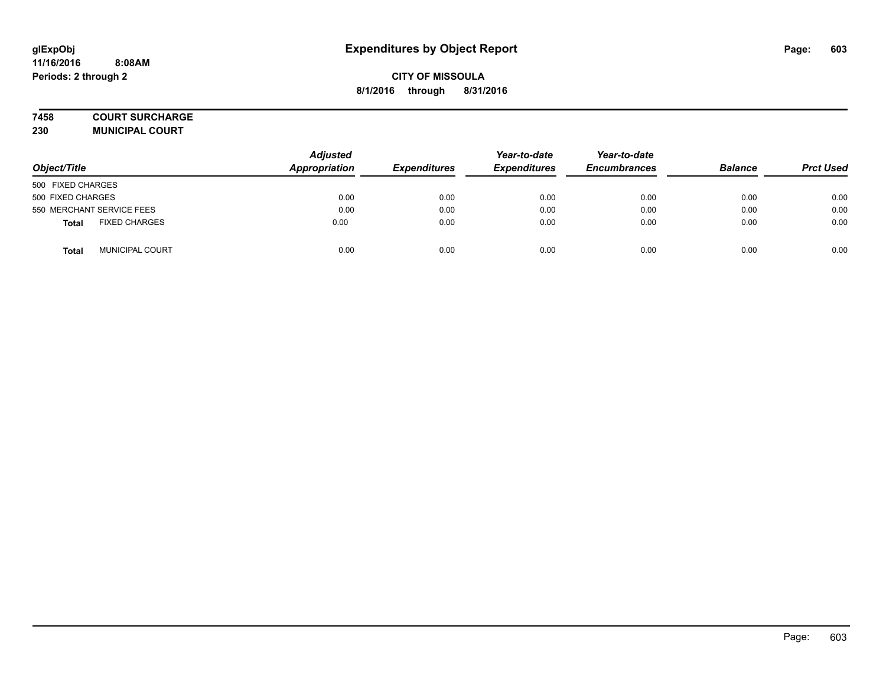#### **7458 COURT SURCHARGE**

**230 MUNICIPAL COURT**

| Object/Title                         | <b>Adjusted</b><br>Appropriation | <b>Expenditures</b> | Year-to-date<br><b>Expenditures</b> | Year-to-date<br><b>Encumbrances</b> | <b>Balance</b> | <b>Prct Used</b> |
|--------------------------------------|----------------------------------|---------------------|-------------------------------------|-------------------------------------|----------------|------------------|
| 500 FIXED CHARGES                    |                                  |                     |                                     |                                     |                |                  |
| 500 FIXED CHARGES                    | 0.00                             | 0.00                | 0.00                                | 0.00                                | 0.00           | 0.00             |
| 550 MERCHANT SERVICE FEES            | 0.00                             | 0.00                | 0.00                                | 0.00                                | 0.00           | 0.00             |
| <b>FIXED CHARGES</b><br><b>Total</b> | 0.00                             | 0.00                | 0.00                                | 0.00                                | 0.00           | 0.00             |
| <b>MUNICIPAL COURT</b><br>Total      | 0.00                             | 0.00                | 0.00                                | 0.00                                | 0.00           | 0.00             |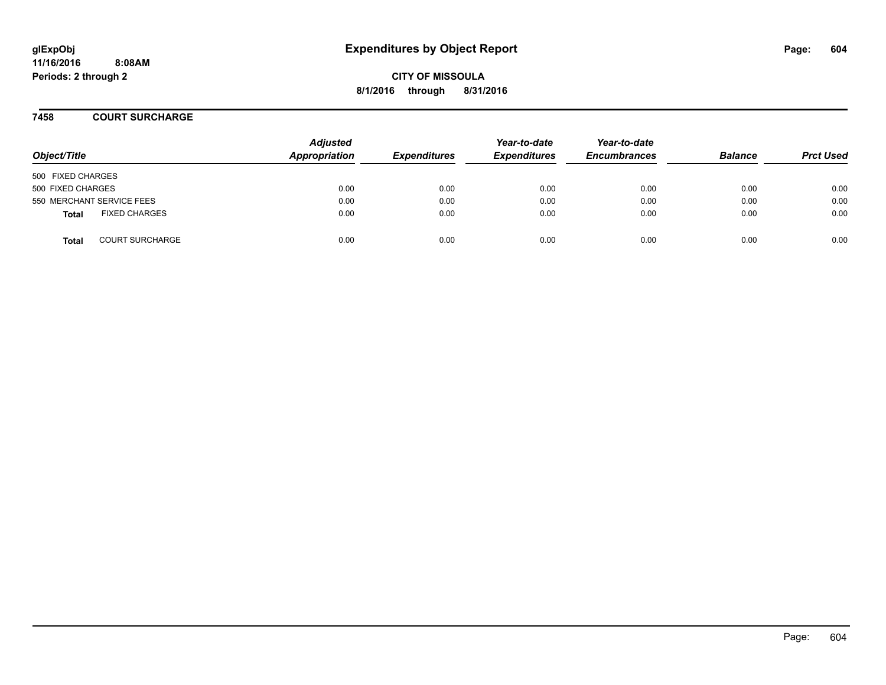**CITY OF MISSOULA 8/1/2016 through 8/31/2016**

#### **7458 COURT SURCHARGE**

| Object/Title      |                           | <b>Adjusted</b><br>Appropriation | <b>Expenditures</b> | Year-to-date<br><b>Expenditures</b> | Year-to-date<br><b>Encumbrances</b> | <b>Balance</b> | <b>Prct Used</b> |
|-------------------|---------------------------|----------------------------------|---------------------|-------------------------------------|-------------------------------------|----------------|------------------|
| 500 FIXED CHARGES |                           |                                  |                     |                                     |                                     |                |                  |
| 500 FIXED CHARGES |                           | 0.00                             | 0.00                | 0.00                                | 0.00                                | 0.00           | 0.00             |
|                   | 550 MERCHANT SERVICE FEES | 0.00                             | 0.00                | 0.00                                | 0.00                                | 0.00           | 0.00             |
| <b>Total</b>      | <b>FIXED CHARGES</b>      | 0.00                             | 0.00                | 0.00                                | 0.00                                | 0.00           | 0.00             |
| Total             | <b>COURT SURCHARGE</b>    | 0.00                             | 0.00                | 0.00                                | 0.00                                | 0.00           | 0.00             |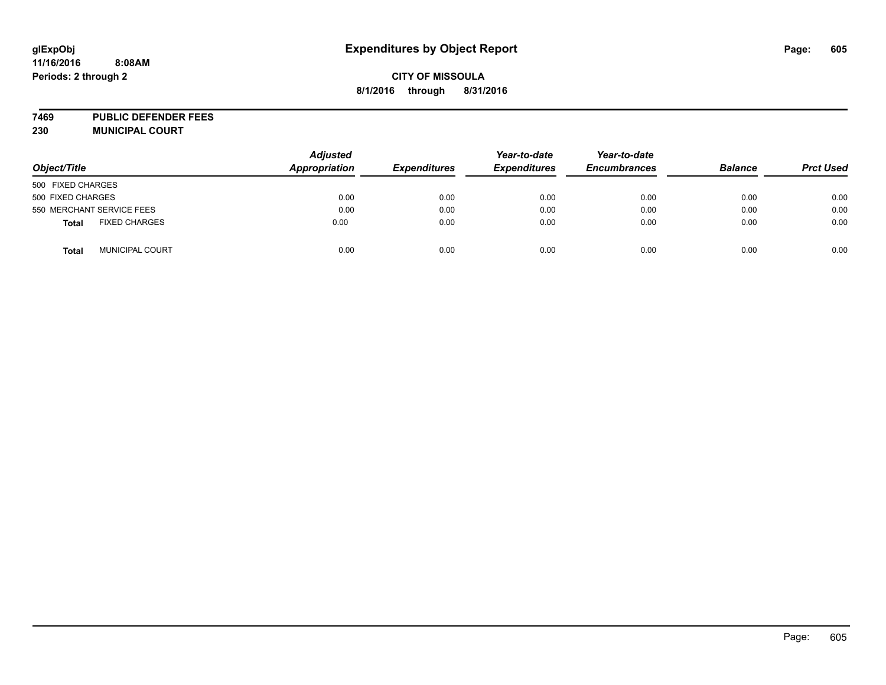# **glExpObj Expenditures by Object Report Page: 605**

#### **11/16/2016 8:08AM Periods: 2 through 2**

# **CITY OF MISSOULA 8/1/2016 through 8/31/2016**

**7469 PUBLIC DEFENDER FEES 230 MUNICIPAL COURT**

| Object/Title      |                           | <b>Adjusted</b><br><b>Appropriation</b> | <b>Expenditures</b> | Year-to-date<br><b>Expenditures</b> | Year-to-date<br><b>Encumbrances</b> | <b>Balance</b> | <b>Prct Used</b> |
|-------------------|---------------------------|-----------------------------------------|---------------------|-------------------------------------|-------------------------------------|----------------|------------------|
| 500 FIXED CHARGES |                           |                                         |                     |                                     |                                     |                |                  |
| 500 FIXED CHARGES |                           | 0.00                                    | 0.00                | 0.00                                | 0.00                                | 0.00           | 0.00             |
|                   | 550 MERCHANT SERVICE FEES | 0.00                                    | 0.00                | 0.00                                | 0.00                                | 0.00           | 0.00             |
| <b>Total</b>      | <b>FIXED CHARGES</b>      | 0.00                                    | 0.00                | 0.00                                | 0.00                                | 0.00           | 0.00             |
| <b>Total</b>      | <b>MUNICIPAL COURT</b>    | 0.00                                    | 0.00                | 0.00                                | 0.00                                | 0.00           | 0.00             |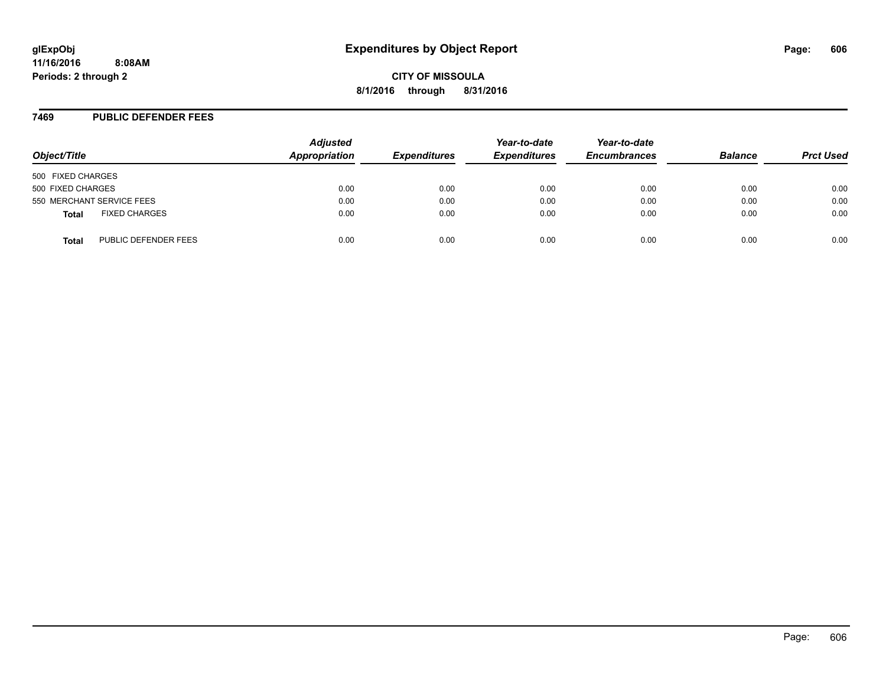#### **7469 PUBLIC DEFENDER FEES**

| Object/Title                         | <b>Adjusted</b><br>Appropriation | <b>Expenditures</b> | Year-to-date<br><b>Expenditures</b> | Year-to-date<br><b>Encumbrances</b> | <b>Balance</b> | <b>Prct Used</b> |
|--------------------------------------|----------------------------------|---------------------|-------------------------------------|-------------------------------------|----------------|------------------|
| 500 FIXED CHARGES                    |                                  |                     |                                     |                                     |                |                  |
| 500 FIXED CHARGES                    | 0.00                             | 0.00                | 0.00                                | 0.00                                | 0.00           | 0.00             |
| 550 MERCHANT SERVICE FEES            | 0.00                             | 0.00                | 0.00                                | 0.00                                | 0.00           | 0.00             |
| <b>FIXED CHARGES</b><br><b>Total</b> | 0.00                             | 0.00                | 0.00                                | 0.00                                | 0.00           | 0.00             |
| PUBLIC DEFENDER FEES<br>Total        | 0.00                             | 0.00                | 0.00                                | 0.00                                | 0.00           | 0.00             |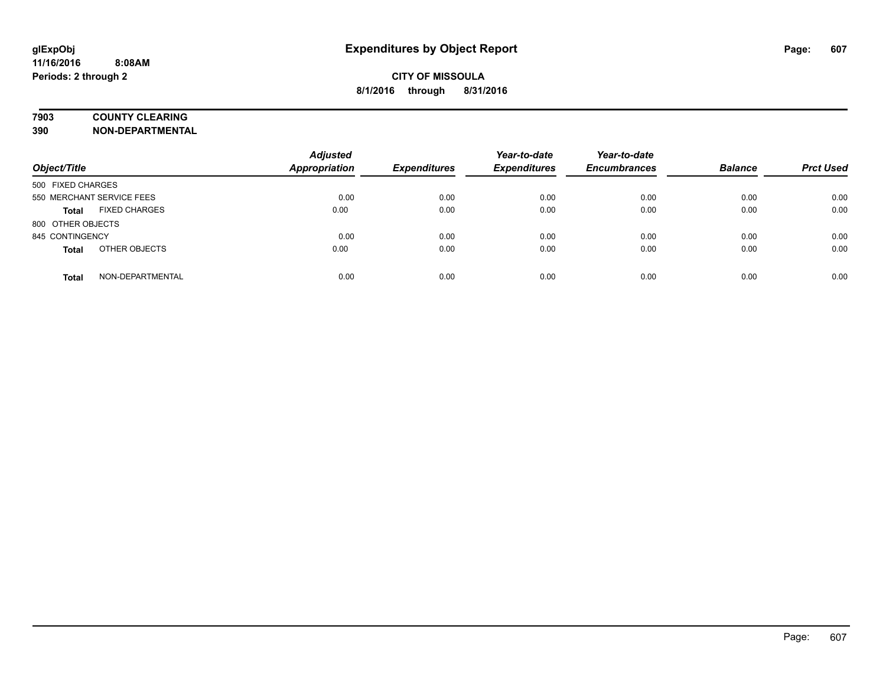## **7903 COUNTY CLEARING**

**390 NON-DEPARTMENTAL**

| Object/Title              |                      | <b>Adjusted</b><br><b>Appropriation</b> | <b>Expenditures</b> | Year-to-date<br><b>Expenditures</b> | Year-to-date<br><b>Encumbrances</b> | <b>Balance</b> | <b>Prct Used</b> |
|---------------------------|----------------------|-----------------------------------------|---------------------|-------------------------------------|-------------------------------------|----------------|------------------|
| 500 FIXED CHARGES         |                      |                                         |                     |                                     |                                     |                |                  |
| 550 MERCHANT SERVICE FEES |                      | 0.00                                    | 0.00                | 0.00                                | 0.00                                | 0.00           | 0.00             |
| <b>Total</b>              | <b>FIXED CHARGES</b> | 0.00                                    | 0.00                | 0.00                                | 0.00                                | 0.00           | 0.00             |
| 800 OTHER OBJECTS         |                      |                                         |                     |                                     |                                     |                |                  |
| 845 CONTINGENCY           |                      | 0.00                                    | 0.00                | 0.00                                | 0.00                                | 0.00           | 0.00             |
| <b>Total</b>              | OTHER OBJECTS        | 0.00                                    | 0.00                | 0.00                                | 0.00                                | 0.00           | 0.00             |
| <b>Total</b>              | NON-DEPARTMENTAL     | 0.00                                    | 0.00                | 0.00                                | 0.00                                | 0.00           | 0.00             |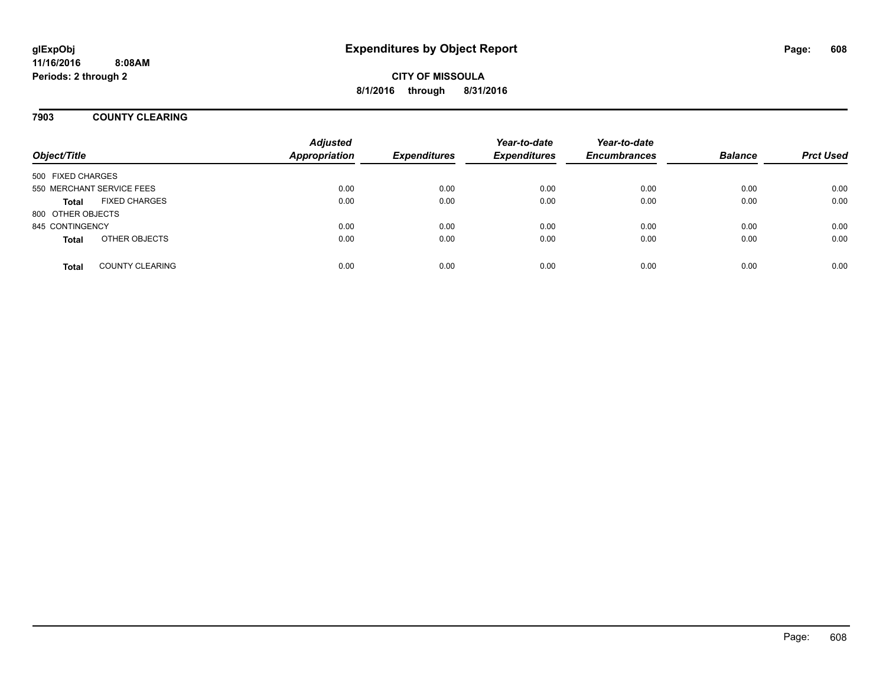## **7903 COUNTY CLEARING**

| Object/Title      |                           | <b>Adjusted</b><br><b>Appropriation</b> | <b>Expenditures</b> | Year-to-date<br><b>Expenditures</b> | Year-to-date<br><b>Encumbrances</b> | <b>Balance</b> | <b>Prct Used</b> |
|-------------------|---------------------------|-----------------------------------------|---------------------|-------------------------------------|-------------------------------------|----------------|------------------|
| 500 FIXED CHARGES |                           |                                         |                     |                                     |                                     |                |                  |
|                   | 550 MERCHANT SERVICE FEES | 0.00                                    | 0.00                | 0.00                                | 0.00                                | 0.00           | 0.00             |
| <b>Total</b>      | <b>FIXED CHARGES</b>      | 0.00                                    | 0.00                | 0.00                                | 0.00                                | 0.00           | 0.00             |
| 800 OTHER OBJECTS |                           |                                         |                     |                                     |                                     |                |                  |
| 845 CONTINGENCY   |                           | 0.00                                    | 0.00                | 0.00                                | 0.00                                | 0.00           | 0.00             |
| <b>Total</b>      | OTHER OBJECTS             | 0.00                                    | 0.00                | 0.00                                | 0.00                                | 0.00           | 0.00             |
| <b>Total</b>      | <b>COUNTY CLEARING</b>    | 0.00                                    | 0.00                | 0.00                                | 0.00                                | 0.00           | 0.00             |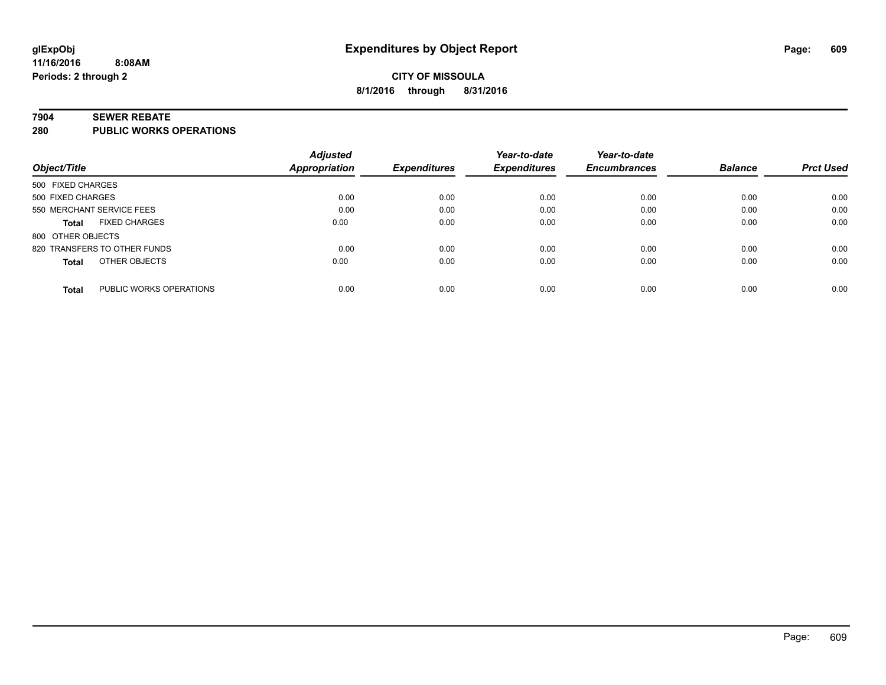#### **7904 SEWER REBATE**

**280 PUBLIC WORKS OPERATIONS**

|                                         | <b>Adjusted</b>      |                     | Year-to-date        | Year-to-date        |                |                  |
|-----------------------------------------|----------------------|---------------------|---------------------|---------------------|----------------|------------------|
| Object/Title                            | <b>Appropriation</b> | <b>Expenditures</b> | <b>Expenditures</b> | <b>Encumbrances</b> | <b>Balance</b> | <b>Prct Used</b> |
| 500 FIXED CHARGES                       |                      |                     |                     |                     |                |                  |
| 500 FIXED CHARGES                       | 0.00                 | 0.00                | 0.00                | 0.00                | 0.00           | 0.00             |
| 550 MERCHANT SERVICE FEES               | 0.00                 | 0.00                | 0.00                | 0.00                | 0.00           | 0.00             |
| <b>FIXED CHARGES</b><br><b>Total</b>    | 0.00                 | 0.00                | 0.00                | 0.00                | 0.00           | 0.00             |
| 800 OTHER OBJECTS                       |                      |                     |                     |                     |                |                  |
| 820 TRANSFERS TO OTHER FUNDS            | 0.00                 | 0.00                | 0.00                | 0.00                | 0.00           | 0.00             |
| OTHER OBJECTS<br><b>Total</b>           | 0.00                 | 0.00                | 0.00                | 0.00                | 0.00           | 0.00             |
| PUBLIC WORKS OPERATIONS<br><b>Total</b> | 0.00                 | 0.00                | 0.00                | 0.00                | 0.00           | 0.00             |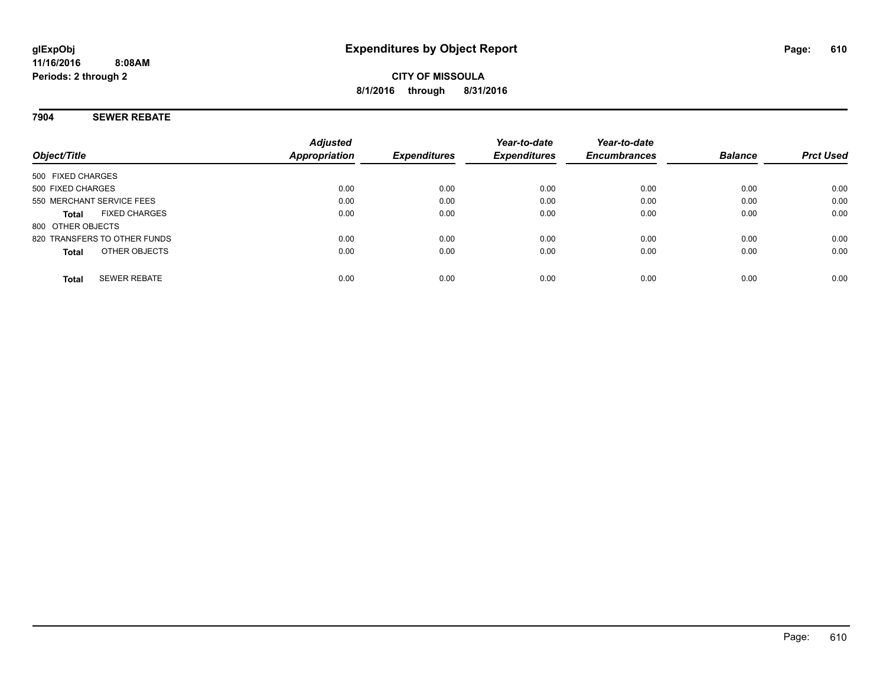#### **7904 SEWER REBATE**

|                                      | <b>Adjusted</b>      |                     | Year-to-date        | Year-to-date        |                |                  |
|--------------------------------------|----------------------|---------------------|---------------------|---------------------|----------------|------------------|
| Object/Title                         | <b>Appropriation</b> | <b>Expenditures</b> | <b>Expenditures</b> | <b>Encumbrances</b> | <b>Balance</b> | <b>Prct Used</b> |
| 500 FIXED CHARGES                    |                      |                     |                     |                     |                |                  |
| 500 FIXED CHARGES                    | 0.00                 | 0.00                | 0.00                | 0.00                | 0.00           | 0.00             |
| 550 MERCHANT SERVICE FEES            | 0.00                 | 0.00                | 0.00                | 0.00                | 0.00           | 0.00             |
| <b>FIXED CHARGES</b><br><b>Total</b> | 0.00                 | 0.00                | 0.00                | 0.00                | 0.00           | 0.00             |
| 800 OTHER OBJECTS                    |                      |                     |                     |                     |                |                  |
| 820 TRANSFERS TO OTHER FUNDS         | 0.00                 | 0.00                | 0.00                | 0.00                | 0.00           | 0.00             |
| OTHER OBJECTS<br><b>Total</b>        | 0.00                 | 0.00                | 0.00                | 0.00                | 0.00           | 0.00             |
| <b>SEWER REBATE</b><br><b>Total</b>  | 0.00                 | 0.00                | 0.00                | 0.00                | 0.00           | 0.00             |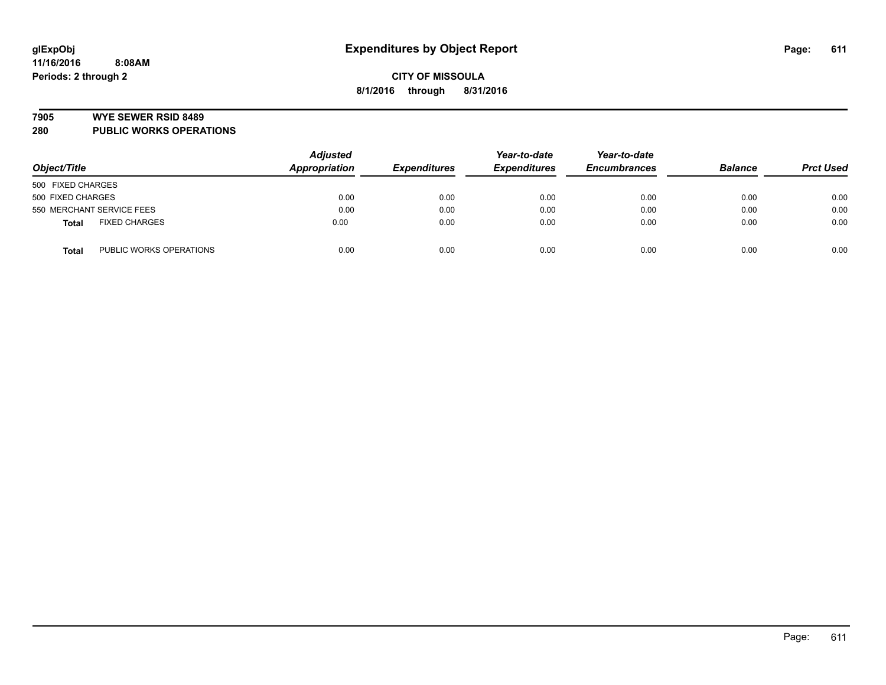#### **7905 WYE SEWER RSID 8489**

**280 PUBLIC WORKS OPERATIONS**

| Object/Title                            | <b>Adjusted</b><br>Appropriation | <b>Expenditures</b> | Year-to-date<br><b>Expenditures</b> | Year-to-date<br><b>Encumbrances</b> | <b>Balance</b> | <b>Prct Used</b> |
|-----------------------------------------|----------------------------------|---------------------|-------------------------------------|-------------------------------------|----------------|------------------|
| 500 FIXED CHARGES                       |                                  |                     |                                     |                                     |                |                  |
| 500 FIXED CHARGES                       | 0.00                             | 0.00                | 0.00                                | 0.00                                | 0.00           | 0.00             |
| 550 MERCHANT SERVICE FEES               | 0.00                             | 0.00                | 0.00                                | 0.00                                | 0.00           | 0.00             |
| <b>FIXED CHARGES</b><br><b>Total</b>    | 0.00                             | 0.00                | 0.00                                | 0.00                                | 0.00           | 0.00             |
| PUBLIC WORKS OPERATIONS<br><b>Total</b> | 0.00                             | 0.00                | 0.00                                | 0.00                                | 0.00           | 0.00             |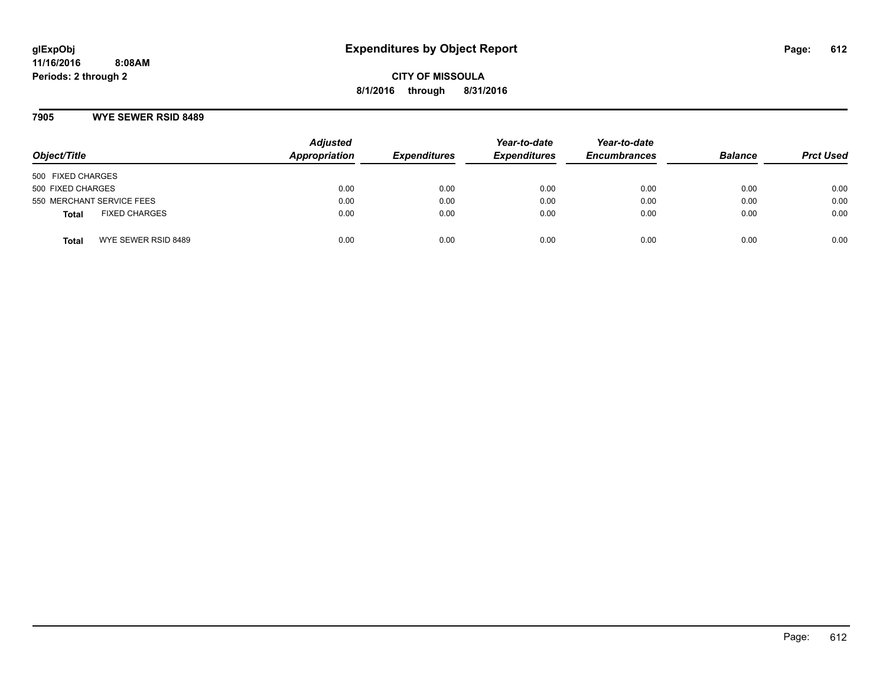**CITY OF MISSOULA 8/1/2016 through 8/31/2016**

#### **7905 WYE SEWER RSID 8489**

| Object/Title                         | <b>Adjusted</b><br><b>Appropriation</b> | <b>Expenditures</b> | Year-to-date<br><b>Expenditures</b> | Year-to-date<br><b>Encumbrances</b> | <b>Balance</b> | <b>Prct Used</b> |
|--------------------------------------|-----------------------------------------|---------------------|-------------------------------------|-------------------------------------|----------------|------------------|
| 500 FIXED CHARGES                    |                                         |                     |                                     |                                     |                |                  |
| 500 FIXED CHARGES                    | 0.00                                    | 0.00                | 0.00                                | 0.00                                | 0.00           | 0.00             |
| 550 MERCHANT SERVICE FEES            | 0.00                                    | 0.00                | 0.00                                | 0.00                                | 0.00           | 0.00             |
| <b>FIXED CHARGES</b><br><b>Total</b> | 0.00                                    | 0.00                | 0.00                                | 0.00                                | 0.00           | 0.00             |
| WYE SEWER RSID 8489<br>Total         | 0.00                                    | 0.00                | 0.00                                | 0.00                                | 0.00           | 0.00             |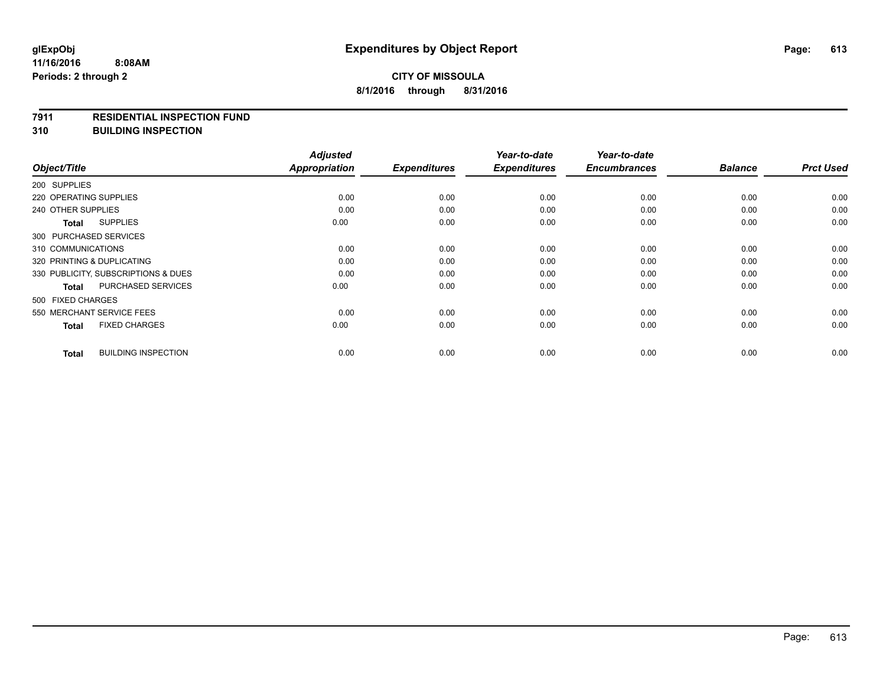#### **7911 RESIDENTIAL INSPECTION FUND**

**310 BUILDING INSPECTION**

|                                            | <b>Adjusted</b>      |                     | Year-to-date        | Year-to-date        |                |                  |
|--------------------------------------------|----------------------|---------------------|---------------------|---------------------|----------------|------------------|
| Object/Title                               | <b>Appropriation</b> | <b>Expenditures</b> | <b>Expenditures</b> | <b>Encumbrances</b> | <b>Balance</b> | <b>Prct Used</b> |
| 200 SUPPLIES                               |                      |                     |                     |                     |                |                  |
| 220 OPERATING SUPPLIES                     | 0.00                 | 0.00                | 0.00                | 0.00                | 0.00           | 0.00             |
| 240 OTHER SUPPLIES                         | 0.00                 | 0.00                | 0.00                | 0.00                | 0.00           | 0.00             |
| <b>SUPPLIES</b><br>Total                   | 0.00                 | 0.00                | 0.00                | 0.00                | 0.00           | 0.00             |
| 300 PURCHASED SERVICES                     |                      |                     |                     |                     |                |                  |
| 310 COMMUNICATIONS                         | 0.00                 | 0.00                | 0.00                | 0.00                | 0.00           | 0.00             |
| 320 PRINTING & DUPLICATING                 | 0.00                 | 0.00                | 0.00                | 0.00                | 0.00           | 0.00             |
| 330 PUBLICITY, SUBSCRIPTIONS & DUES        | 0.00                 | 0.00                | 0.00                | 0.00                | 0.00           | 0.00             |
| <b>PURCHASED SERVICES</b><br><b>Total</b>  | 0.00                 | 0.00                | 0.00                | 0.00                | 0.00           | 0.00             |
| 500 FIXED CHARGES                          |                      |                     |                     |                     |                |                  |
| 550 MERCHANT SERVICE FEES                  | 0.00                 | 0.00                | 0.00                | 0.00                | 0.00           | 0.00             |
| <b>FIXED CHARGES</b><br><b>Total</b>       | 0.00                 | 0.00                | 0.00                | 0.00                | 0.00           | 0.00             |
| <b>BUILDING INSPECTION</b><br><b>Total</b> | 0.00                 | 0.00                | 0.00                | 0.00                | 0.00           | 0.00             |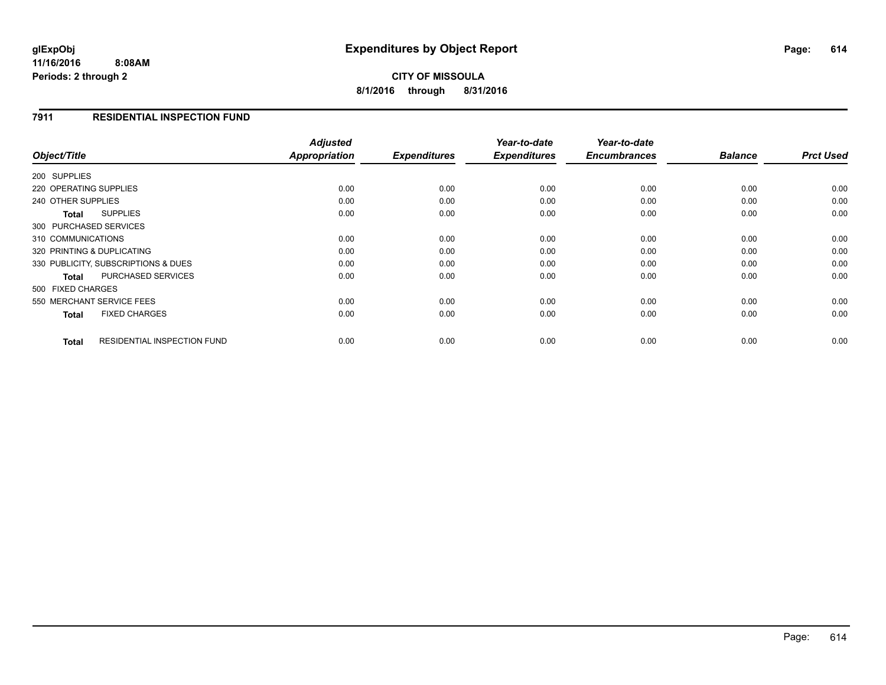**11/16/2016 8:08AM Periods: 2 through 2**

## **CITY OF MISSOULA 8/1/2016 through 8/31/2016**

### **7911 RESIDENTIAL INSPECTION FUND**

|                                             | <b>Adjusted</b> |                     | Year-to-date        | Year-to-date        |                |                  |
|---------------------------------------------|-----------------|---------------------|---------------------|---------------------|----------------|------------------|
| Object/Title                                | Appropriation   | <b>Expenditures</b> | <b>Expenditures</b> | <b>Encumbrances</b> | <b>Balance</b> | <b>Prct Used</b> |
| 200 SUPPLIES                                |                 |                     |                     |                     |                |                  |
| 220 OPERATING SUPPLIES                      | 0.00            | 0.00                | 0.00                | 0.00                | 0.00           | 0.00             |
| 240 OTHER SUPPLIES                          | 0.00            | 0.00                | 0.00                | 0.00                | 0.00           | 0.00             |
| <b>SUPPLIES</b><br>Total                    | 0.00            | 0.00                | 0.00                | 0.00                | 0.00           | 0.00             |
| 300 PURCHASED SERVICES                      |                 |                     |                     |                     |                |                  |
| 310 COMMUNICATIONS                          | 0.00            | 0.00                | 0.00                | 0.00                | 0.00           | 0.00             |
| 320 PRINTING & DUPLICATING                  | 0.00            | 0.00                | 0.00                | 0.00                | 0.00           | 0.00             |
| 330 PUBLICITY, SUBSCRIPTIONS & DUES         | 0.00            | 0.00                | 0.00                | 0.00                | 0.00           | 0.00             |
| PURCHASED SERVICES<br><b>Total</b>          | 0.00            | 0.00                | 0.00                | 0.00                | 0.00           | 0.00             |
| 500 FIXED CHARGES                           |                 |                     |                     |                     |                |                  |
| 550 MERCHANT SERVICE FEES                   | 0.00            | 0.00                | 0.00                | 0.00                | 0.00           | 0.00             |
| <b>FIXED CHARGES</b><br><b>Total</b>        | 0.00            | 0.00                | 0.00                | 0.00                | 0.00           | 0.00             |
| <b>RESIDENTIAL INSPECTION FUND</b><br>Total | 0.00            | 0.00                | 0.00                | 0.00                | 0.00           | 0.00             |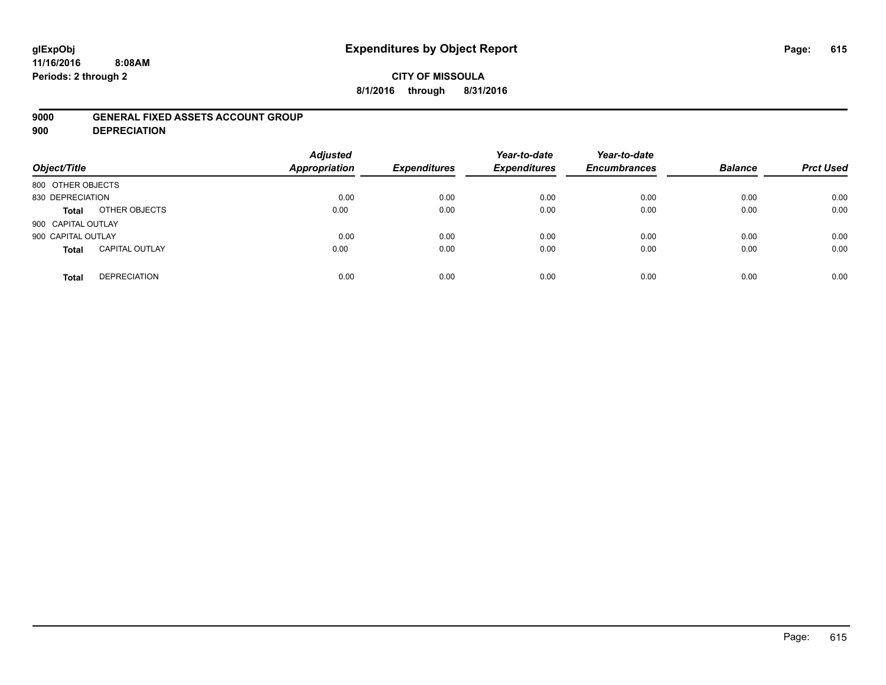# **glExpObj Expenditures by Object Report Page: 615**

**11/16/2016 8:08AM Periods: 2 through 2**

### **CITY OF MISSOULA 8/1/2016 through 8/31/2016**

### **9000 GENERAL FIXED ASSETS ACCOUNT GROUP**

**900 DEPRECIATION**

| Object/Title       |                       | <b>Adjusted</b><br>Appropriation | <b>Expenditures</b> | Year-to-date<br><b>Expenditures</b> | Year-to-date<br><b>Encumbrances</b> | <b>Balance</b> | <b>Prct Used</b> |
|--------------------|-----------------------|----------------------------------|---------------------|-------------------------------------|-------------------------------------|----------------|------------------|
| 800 OTHER OBJECTS  |                       |                                  |                     |                                     |                                     |                |                  |
| 830 DEPRECIATION   |                       | 0.00                             | 0.00                | 0.00                                | 0.00                                | 0.00           | 0.00             |
| Total              | OTHER OBJECTS         | 0.00                             | 0.00                | 0.00                                | 0.00                                | 0.00           | 0.00             |
| 900 CAPITAL OUTLAY |                       |                                  |                     |                                     |                                     |                |                  |
| 900 CAPITAL OUTLAY |                       | 0.00                             | 0.00                | 0.00                                | 0.00                                | 0.00           | 0.00             |
| <b>Total</b>       | <b>CAPITAL OUTLAY</b> | 0.00                             | 0.00                | 0.00                                | 0.00                                | 0.00           | 0.00             |
| <b>Total</b>       | <b>DEPRECIATION</b>   | 0.00                             | 0.00                | 0.00                                | 0.00                                | 0.00           | 0.00             |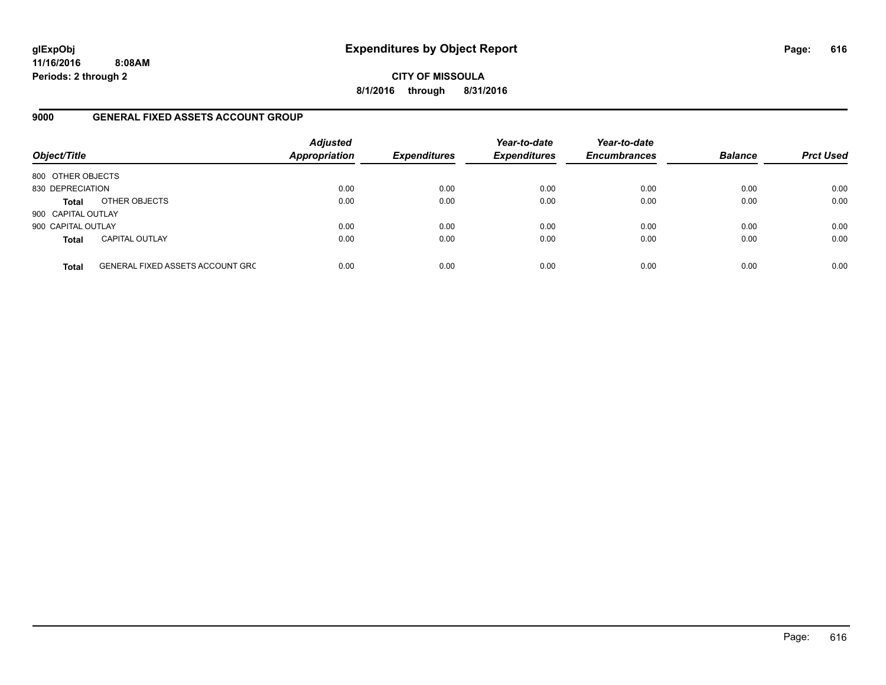**11/16/2016 8:08AM Periods: 2 through 2**

**CITY OF MISSOULA 8/1/2016 through 8/31/2016**

### **9000 GENERAL FIXED ASSETS ACCOUNT GROUP**

| Object/Title       |                                         | <b>Adjusted</b><br><b>Appropriation</b> | <b>Expenditures</b> | Year-to-date<br><b>Expenditures</b> | Year-to-date<br><b>Encumbrances</b> | <b>Balance</b> | <b>Prct Used</b> |
|--------------------|-----------------------------------------|-----------------------------------------|---------------------|-------------------------------------|-------------------------------------|----------------|------------------|
| 800 OTHER OBJECTS  |                                         |                                         |                     |                                     |                                     |                |                  |
| 830 DEPRECIATION   |                                         | 0.00                                    | 0.00                | 0.00                                | 0.00                                | 0.00           | 0.00             |
| <b>Total</b>       | OTHER OBJECTS                           | 0.00                                    | 0.00                | 0.00                                | 0.00                                | 0.00           | 0.00             |
| 900 CAPITAL OUTLAY |                                         |                                         |                     |                                     |                                     |                |                  |
| 900 CAPITAL OUTLAY |                                         | 0.00                                    | 0.00                | 0.00                                | 0.00                                | 0.00           | 0.00             |
| <b>Total</b>       | <b>CAPITAL OUTLAY</b>                   | 0.00                                    | 0.00                | 0.00                                | 0.00                                | 0.00           | 0.00             |
| <b>Total</b>       | <b>GENERAL FIXED ASSETS ACCOUNT GRC</b> | 0.00                                    | 0.00                | 0.00                                | 0.00                                | 0.00           | 0.00             |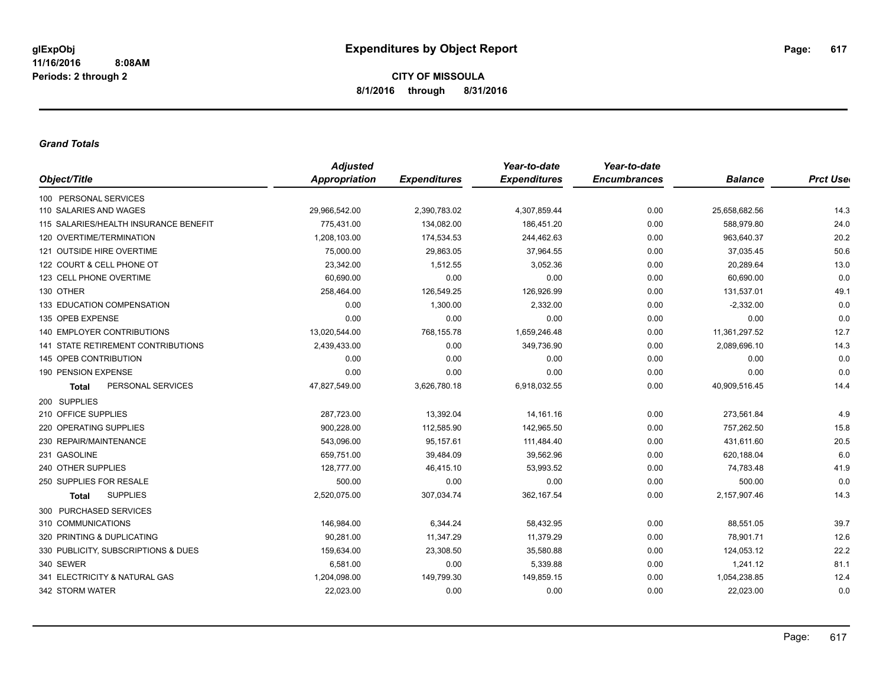#### *Grand Totals*

|                                           | <b>Adjusted</b>      |                     | Year-to-date        | Year-to-date        |                |                  |
|-------------------------------------------|----------------------|---------------------|---------------------|---------------------|----------------|------------------|
| Object/Title                              | <b>Appropriation</b> | <b>Expenditures</b> | <b>Expenditures</b> | <b>Encumbrances</b> | <b>Balance</b> | <b>Prct User</b> |
| 100 PERSONAL SERVICES                     |                      |                     |                     |                     |                |                  |
| 110 SALARIES AND WAGES                    | 29,966,542.00        | 2,390,783.02        | 4,307,859.44        | 0.00                | 25,658,682.56  | 14.3             |
| 115 SALARIES/HEALTH INSURANCE BENEFIT     | 775.431.00           | 134,082.00          | 186.451.20          | 0.00                | 588,979.80     | 24.0             |
| 120 OVERTIME/TERMINATION                  | 1,208,103.00         | 174,534.53          | 244,462.63          | 0.00                | 963,640.37     | 20.2             |
| 121 OUTSIDE HIRE OVERTIME                 | 75,000.00            | 29,863.05           | 37,964.55           | 0.00                | 37,035.45      | 50.6             |
| 122 COURT & CELL PHONE OT                 | 23,342.00            | 1,512.55            | 3,052.36            | 0.00                | 20,289.64      | 13.0             |
| 123 CELL PHONE OVERTIME                   | 60,690.00            | 0.00                | 0.00                | 0.00                | 60,690.00      | 0.0              |
| 130 OTHER                                 | 258,464.00           | 126,549.25          | 126,926.99          | 0.00                | 131,537.01     | 49.1             |
| 133 EDUCATION COMPENSATION                | 0.00                 | 1,300.00            | 2,332.00            | 0.00                | $-2,332.00$    | 0.0              |
| 135 OPEB EXPENSE                          | 0.00                 | 0.00                | 0.00                | 0.00                | 0.00           | 0.0              |
| <b>140 EMPLOYER CONTRIBUTIONS</b>         | 13,020,544.00        | 768,155.78          | 1,659,246.48        | 0.00                | 11,361,297.52  | 12.7             |
| <b>141 STATE RETIREMENT CONTRIBUTIONS</b> | 2,439,433.00         | 0.00                | 349,736.90          | 0.00                | 2,089,696.10   | 14.3             |
| 145 OPEB CONTRIBUTION                     | 0.00                 | 0.00                | 0.00                | 0.00                | 0.00           | 0.0              |
| 190 PENSION EXPENSE                       | 0.00                 | 0.00                | 0.00                | 0.00                | 0.00           | 0.0              |
| PERSONAL SERVICES<br><b>Total</b>         | 47,827,549.00        | 3,626,780.18        | 6,918,032.55        | 0.00                | 40,909,516.45  | 14.4             |
| 200 SUPPLIES                              |                      |                     |                     |                     |                |                  |
| 210 OFFICE SUPPLIES                       | 287,723.00           | 13,392.04           | 14,161.16           | 0.00                | 273,561.84     | 4.9              |
| 220 OPERATING SUPPLIES                    | 900,228.00           | 112,585.90          | 142,965.50          | 0.00                | 757,262.50     | 15.8             |
| 230 REPAIR/MAINTENANCE                    | 543,096.00           | 95,157.61           | 111,484.40          | 0.00                | 431,611.60     | 20.5             |
| 231 GASOLINE                              | 659,751.00           | 39,484.09           | 39,562.96           | 0.00                | 620,188.04     | 6.0              |
| 240 OTHER SUPPLIES                        | 128,777.00           | 46,415.10           | 53,993.52           | 0.00                | 74,783.48      | 41.9             |
| 250 SUPPLIES FOR RESALE                   | 500.00               | 0.00                | 0.00                | 0.00                | 500.00         | 0.0              |
| <b>SUPPLIES</b><br>Total                  | 2,520,075.00         | 307,034.74          | 362,167.54          | 0.00                | 2,157,907.46   | 14.3             |
| 300 PURCHASED SERVICES                    |                      |                     |                     |                     |                |                  |
| 310 COMMUNICATIONS                        | 146,984.00           | 6,344.24            | 58,432.95           | 0.00                | 88,551.05      | 39.7             |
| 320 PRINTING & DUPLICATING                | 90,281.00            | 11,347.29           | 11,379.29           | 0.00                | 78,901.71      | 12.6             |
| 330 PUBLICITY, SUBSCRIPTIONS & DUES       | 159,634.00           | 23,308.50           | 35,580.88           | 0.00                | 124,053.12     | 22.2             |
| 340 SEWER                                 | 6,581.00             | 0.00                | 5,339.88            | 0.00                | 1,241.12       | 81.1             |
| 341 ELECTRICITY & NATURAL GAS             | 1,204,098.00         | 149,799.30          | 149,859.15          | 0.00                | 1,054,238.85   | 12.4             |
| 342 STORM WATER                           | 22,023.00            | 0.00                | 0.00                | 0.00                | 22,023.00      | 0.0              |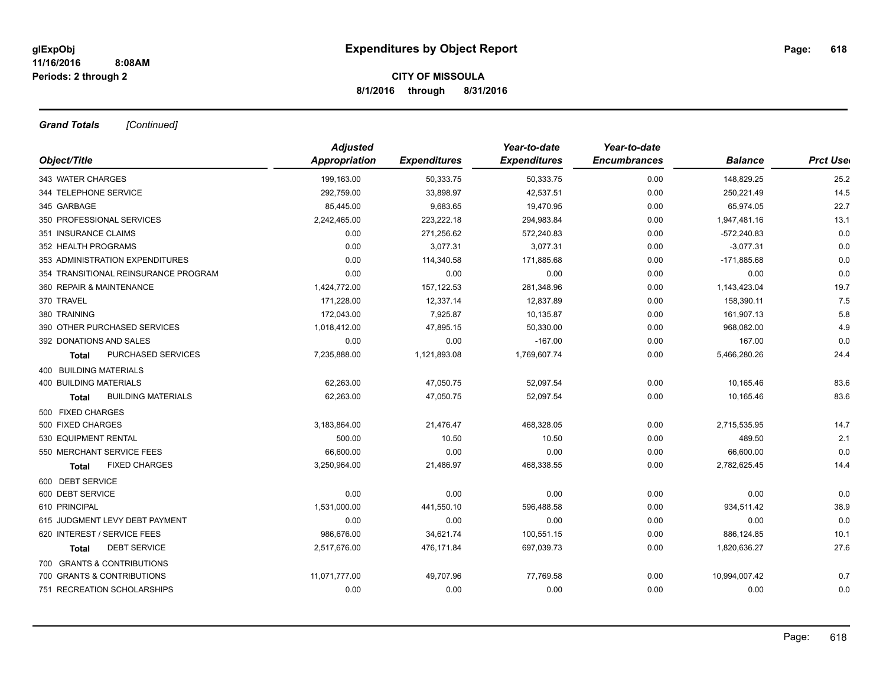*Grand Totals [Continued]*

|                                      | <b>Adjusted</b> |                     | Year-to-date        | Year-to-date        |                |                  |
|--------------------------------------|-----------------|---------------------|---------------------|---------------------|----------------|------------------|
| Object/Title                         | Appropriation   | <b>Expenditures</b> | <b>Expenditures</b> | <b>Encumbrances</b> | <b>Balance</b> | <b>Prct User</b> |
| 343 WATER CHARGES                    | 199,163.00      | 50,333.75           | 50,333.75           | 0.00                | 148,829.25     | 25.2             |
| 344 TELEPHONE SERVICE                | 292,759.00      | 33,898.97           | 42,537.51           | 0.00                | 250,221.49     | 14.5             |
| 345 GARBAGE                          | 85,445.00       | 9,683.65            | 19,470.95           | 0.00                | 65,974.05      | 22.7             |
| 350 PROFESSIONAL SERVICES            | 2,242,465.00    | 223,222.18          | 294,983.84          | 0.00                | 1,947,481.16   | 13.1             |
| 351 INSURANCE CLAIMS                 | 0.00            | 271,256.62          | 572,240.83          | 0.00                | $-572,240.83$  | 0.0              |
| 352 HEALTH PROGRAMS                  | 0.00            | 3,077.31            | 3,077.31            | 0.00                | $-3,077.31$    | 0.0              |
| 353 ADMINISTRATION EXPENDITURES      | 0.00            | 114,340.58          | 171,885.68          | 0.00                | $-171,885.68$  | 0.0              |
| 354 TRANSITIONAL REINSURANCE PROGRAM | 0.00            | 0.00                | 0.00                | 0.00                | 0.00           | 0.0              |
| 360 REPAIR & MAINTENANCE             | 1,424,772.00    | 157, 122.53         | 281,348.96          | 0.00                | 1,143,423.04   | 19.7             |
| 370 TRAVEL                           | 171,228.00      | 12,337.14           | 12,837.89           | 0.00                | 158,390.11     | 7.5              |
| 380 TRAINING                         | 172,043.00      | 7,925.87            | 10,135.87           | 0.00                | 161,907.13     | 5.8              |
| 390 OTHER PURCHASED SERVICES         | 1,018,412.00    | 47,895.15           | 50,330.00           | 0.00                | 968,082.00     | 4.9              |
| 392 DONATIONS AND SALES              | 0.00            | 0.00                | $-167.00$           | 0.00                | 167.00         | 0.0              |
| PURCHASED SERVICES<br><b>Total</b>   | 7,235,888.00    | 1,121,893.08        | 1,769,607.74        | 0.00                | 5,466,280.26   | 24.4             |
| 400 BUILDING MATERIALS               |                 |                     |                     |                     |                |                  |
| <b>400 BUILDING MATERIALS</b>        | 62,263.00       | 47,050.75           | 52,097.54           | 0.00                | 10,165.46      | 83.6             |
| <b>BUILDING MATERIALS</b><br>Total   | 62,263.00       | 47,050.75           | 52,097.54           | 0.00                | 10,165.46      | 83.6             |
| 500 FIXED CHARGES                    |                 |                     |                     |                     |                |                  |
| 500 FIXED CHARGES                    | 3,183,864.00    | 21,476.47           | 468,328.05          | 0.00                | 2,715,535.95   | 14.7             |
| 530 EQUIPMENT RENTAL                 | 500.00          | 10.50               | 10.50               | 0.00                | 489.50         | 2.1              |
| 550 MERCHANT SERVICE FEES            | 66,600.00       | 0.00                | 0.00                | 0.00                | 66,600.00      | 0.0              |
| <b>FIXED CHARGES</b><br>Total        | 3,250,964.00    | 21,486.97           | 468,338.55          | 0.00                | 2,782,625.45   | 14.4             |
| 600 DEBT SERVICE                     |                 |                     |                     |                     |                |                  |
| 600 DEBT SERVICE                     | 0.00            | 0.00                | 0.00                | 0.00                | 0.00           | 0.0              |
| 610 PRINCIPAL                        | 1,531,000.00    | 441,550.10          | 596,488.58          | 0.00                | 934,511.42     | 38.9             |
| 615 JUDGMENT LEVY DEBT PAYMENT       | 0.00            | 0.00                | 0.00                | 0.00                | 0.00           | 0.0              |
| 620 INTEREST / SERVICE FEES          | 986,676.00      | 34,621.74           | 100,551.15          | 0.00                | 886,124.85     | 10.1             |
| <b>DEBT SERVICE</b><br><b>Total</b>  | 2,517,676.00    | 476,171.84          | 697,039.73          | 0.00                | 1,820,636.27   | 27.6             |
| 700 GRANTS & CONTRIBUTIONS           |                 |                     |                     |                     |                |                  |
| 700 GRANTS & CONTRIBUTIONS           | 11,071,777.00   | 49,707.96           | 77,769.58           | 0.00                | 10,994,007.42  | 0.7              |
| 751 RECREATION SCHOLARSHIPS          | 0.00            | 0.00                | 0.00                | 0.00                | 0.00           | 0.0              |
|                                      |                 |                     |                     |                     |                |                  |